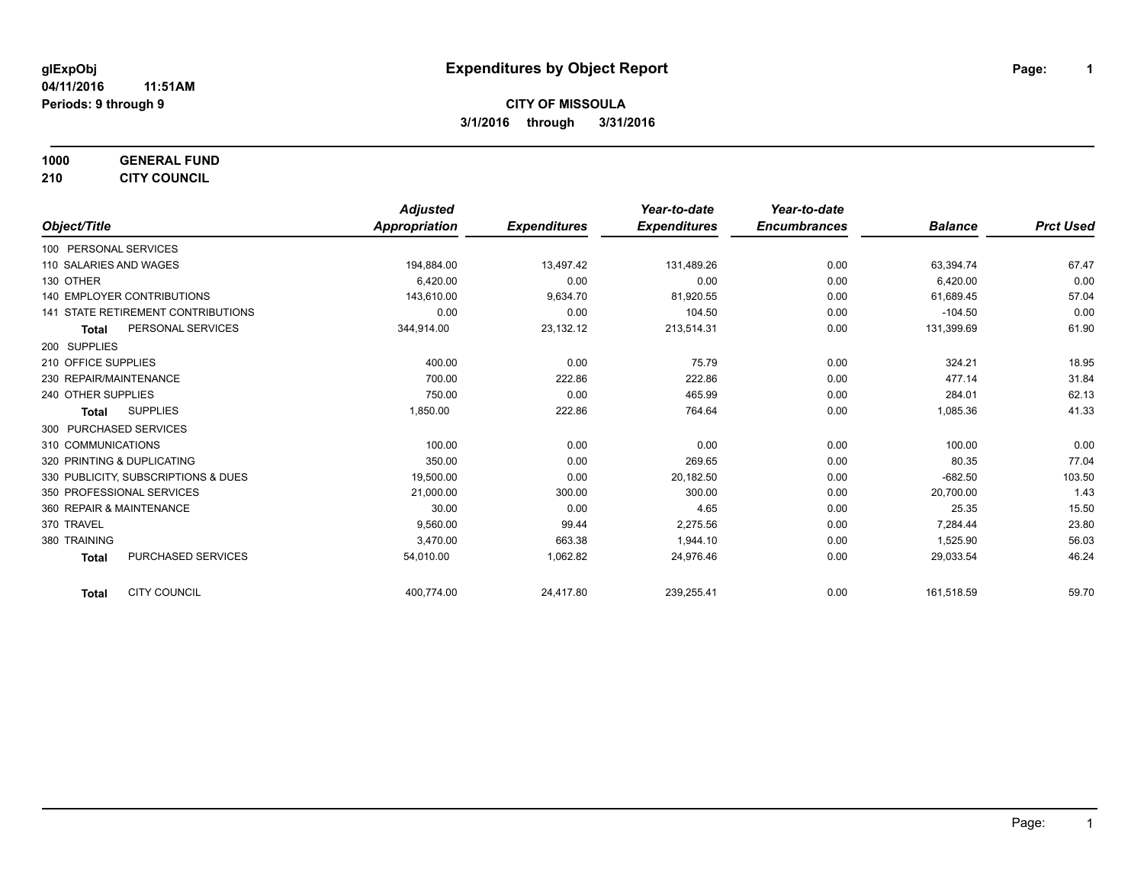**1000 GENERAL FUND 210 CITY COUNCIL**

*Object/Title Adjusted Appropriation Expenditures Year-to-date Expenditures Year-to-date Encumbrances Balance Prct Used* 100 PERSONAL SERVICES 110 SALARIES AND WAGES 194 200 194,884.00 13,497.42 131,489.26 131,489.26 0.00 63,394.74 67.47 130 OTHER 6,420.00 0.00 0.00 0.00 6,420.00 0.00 140 EMPLOYER CONTRIBUTIONS 143,610.00 9,634.70 81,920.55 0.00 61,689.45 57.04 141 STATE RETIREMENT CONTRIBUTIONS 0.00 0.00 104.50 0.00 -104.50 0.00 **Total** PERSONAL SERVICES 344,914.00 23,132.12 213,514.31 0.00 131,399.69 61.90 200 SUPPLIES 210 OFFICE SUPPLIES 400.00 0.00 75.79 0.00 324.21 18.95 230 REPAIR/MAINTENANCE 200 222.86 222.86 222.86 222.86 222.86 222.86 222.86 222.86 222.86 222.86 31.84 240 OTHER SUPPLIES 750.00 465.99 0.00 284.01 62.13 **Total** SUPPLIES 1,850.00 222.86 764.64 0.00 1,085.36 41.33 300 PURCHASED SERVICES 310 COMMUNICATIONS 100.00 0.00 0.00 0.00 100.00 0.00 320 PRINTING & DUPLICATING CONTROL CONTROL CONTROL CONTROL CONTROL CONTROL 269.65 0.00 0.00 0.00 80.35 77.04 330 PUBLICITY, SUBSCRIPTIONS & DUES 19,500.00 0.00 20,182.50 0.00 -682.50 103.50 350 PROFESSIONAL SERVICES 21,000.00 300.00 300.00 0.00 20,700.00 1.43 360 REPAIR & MAINTENANCE 30.00 0.00 4.65 0.00 25.35 15.50 370 TRAVEL 9,560.00 99.44 2,275.56 0.00 23.80 380 TRAINING 3,470.00 663.38 1,944.10 0.00 1,525.90 56.03 **Total** PURCHASED SERVICES 6.24 54,010.00 54,010.00 1,062.82 24,976.46 0.00 29,033.54 24,076.46

**Total** CITY COUNCIL 400,774.00 24,417.80 239,255.41 0.00 161,518.59 59.70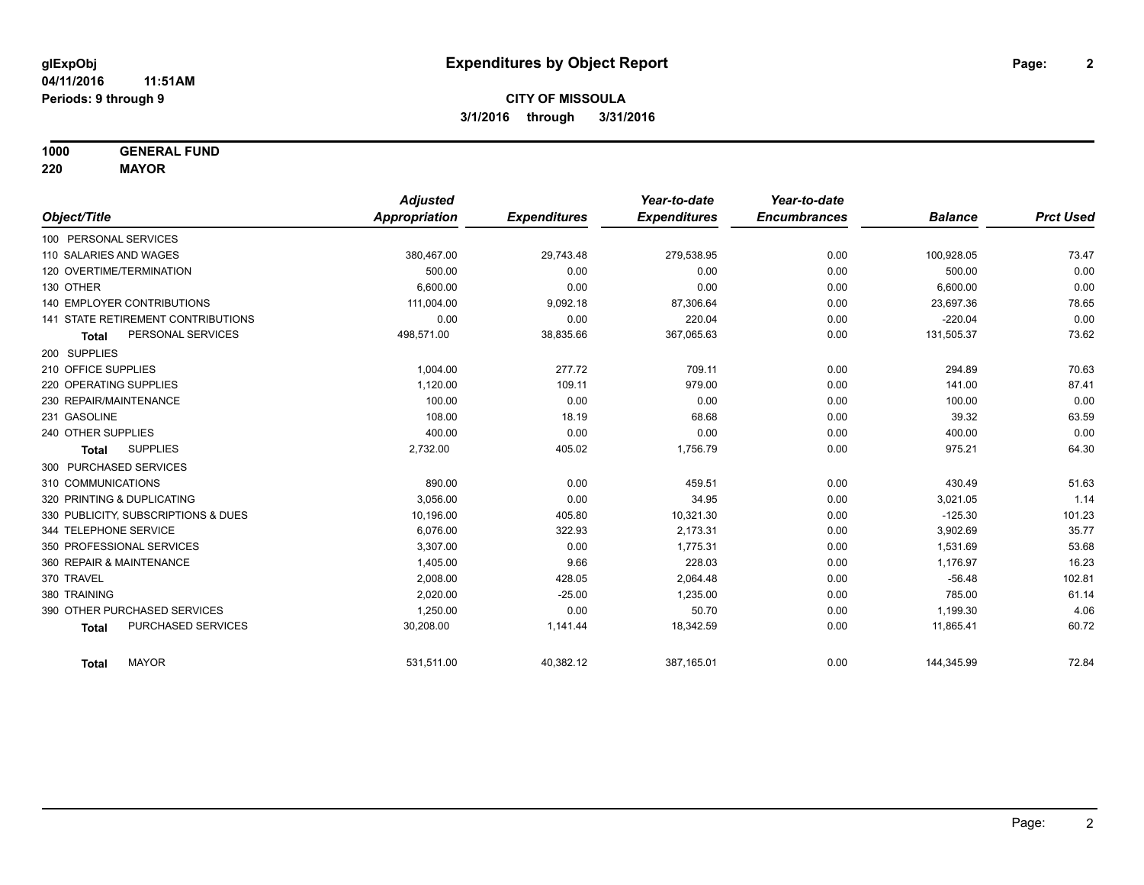**1000 GENERAL FUND**

**220 MAYOR**

|                                     | <b>Adjusted</b> |                     | Year-to-date        | Year-to-date        |                |                  |
|-------------------------------------|-----------------|---------------------|---------------------|---------------------|----------------|------------------|
| Object/Title                        | Appropriation   | <b>Expenditures</b> | <b>Expenditures</b> | <b>Encumbrances</b> | <b>Balance</b> | <b>Prct Used</b> |
| 100 PERSONAL SERVICES               |                 |                     |                     |                     |                |                  |
| 110 SALARIES AND WAGES              | 380,467.00      | 29,743.48           | 279,538.95          | 0.00                | 100,928.05     | 73.47            |
| 120 OVERTIME/TERMINATION            | 500.00          | 0.00                | 0.00                | 0.00                | 500.00         | 0.00             |
| 130 OTHER                           | 6.600.00        | 0.00                | 0.00                | 0.00                | 6,600.00       | 0.00             |
| <b>140 EMPLOYER CONTRIBUTIONS</b>   | 111,004.00      | 9,092.18            | 87,306.64           | 0.00                | 23,697.36      | 78.65            |
| 141 STATE RETIREMENT CONTRIBUTIONS  | 0.00            | 0.00                | 220.04              | 0.00                | $-220.04$      | 0.00             |
| PERSONAL SERVICES<br><b>Total</b>   | 498,571.00      | 38,835.66           | 367,065.63          | 0.00                | 131,505.37     | 73.62            |
| 200 SUPPLIES                        |                 |                     |                     |                     |                |                  |
| 210 OFFICE SUPPLIES                 | 1,004.00        | 277.72              | 709.11              | 0.00                | 294.89         | 70.63            |
| 220 OPERATING SUPPLIES              | 1,120.00        | 109.11              | 979.00              | 0.00                | 141.00         | 87.41            |
| 230 REPAIR/MAINTENANCE              | 100.00          | 0.00                | 0.00                | 0.00                | 100.00         | 0.00             |
| 231 GASOLINE                        | 108.00          | 18.19               | 68.68               | 0.00                | 39.32          | 63.59            |
| 240 OTHER SUPPLIES                  | 400.00          | 0.00                | 0.00                | 0.00                | 400.00         | 0.00             |
| <b>SUPPLIES</b><br><b>Total</b>     | 2,732.00        | 405.02              | 1,756.79            | 0.00                | 975.21         | 64.30            |
| 300 PURCHASED SERVICES              |                 |                     |                     |                     |                |                  |
| 310 COMMUNICATIONS                  | 890.00          | 0.00                | 459.51              | 0.00                | 430.49         | 51.63            |
| 320 PRINTING & DUPLICATING          | 3.056.00        | 0.00                | 34.95               | 0.00                | 3,021.05       | 1.14             |
| 330 PUBLICITY, SUBSCRIPTIONS & DUES | 10,196.00       | 405.80              | 10,321.30           | 0.00                | $-125.30$      | 101.23           |
| 344 TELEPHONE SERVICE               | 6.076.00        | 322.93              | 2,173.31            | 0.00                | 3,902.69       | 35.77            |
| 350 PROFESSIONAL SERVICES           | 3,307.00        | 0.00                | 1,775.31            | 0.00                | 1,531.69       | 53.68            |
| 360 REPAIR & MAINTENANCE            | 1,405.00        | 9.66                | 228.03              | 0.00                | 1,176.97       | 16.23            |
| 370 TRAVEL                          | 2,008.00        | 428.05              | 2,064.48            | 0.00                | $-56.48$       | 102.81           |
| 380 TRAINING                        | 2,020.00        | $-25.00$            | 1,235.00            | 0.00                | 785.00         | 61.14            |
| 390 OTHER PURCHASED SERVICES        | 1,250.00        | 0.00                | 50.70               | 0.00                | 1,199.30       | 4.06             |
| PURCHASED SERVICES<br><b>Total</b>  | 30,208.00       | 1,141.44            | 18,342.59           | 0.00                | 11,865.41      | 60.72            |
| <b>MAYOR</b><br><b>Total</b>        | 531,511.00      | 40,382.12           | 387,165.01          | 0.00                | 144,345.99     | 72.84            |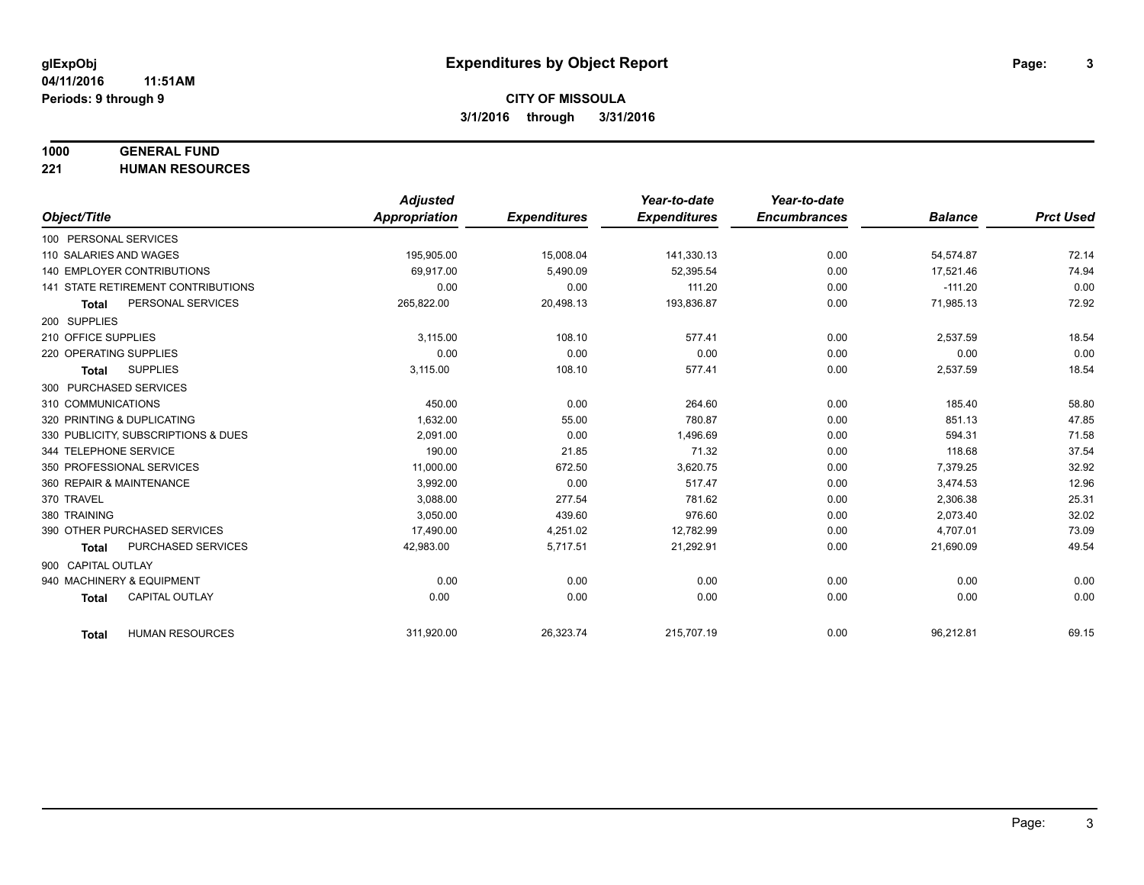#### **1000 GENERAL FUND**

**221 HUMAN RESOURCES**

|                                           | <b>Adjusted</b>      |                     | Year-to-date        | Year-to-date        |                |                  |
|-------------------------------------------|----------------------|---------------------|---------------------|---------------------|----------------|------------------|
| Object/Title                              | <b>Appropriation</b> | <b>Expenditures</b> | <b>Expenditures</b> | <b>Encumbrances</b> | <b>Balance</b> | <b>Prct Used</b> |
| 100 PERSONAL SERVICES                     |                      |                     |                     |                     |                |                  |
| 110 SALARIES AND WAGES                    | 195,905.00           | 15,008.04           | 141,330.13          | 0.00                | 54,574.87      | 72.14            |
| <b>140 EMPLOYER CONTRIBUTIONS</b>         | 69,917.00            | 5,490.09            | 52,395.54           | 0.00                | 17,521.46      | 74.94            |
| <b>141 STATE RETIREMENT CONTRIBUTIONS</b> | 0.00                 | 0.00                | 111.20              | 0.00                | $-111.20$      | 0.00             |
| PERSONAL SERVICES<br><b>Total</b>         | 265,822.00           | 20,498.13           | 193,836.87          | 0.00                | 71,985.13      | 72.92            |
| 200 SUPPLIES                              |                      |                     |                     |                     |                |                  |
| 210 OFFICE SUPPLIES                       | 3,115.00             | 108.10              | 577.41              | 0.00                | 2,537.59       | 18.54            |
| 220 OPERATING SUPPLIES                    | 0.00                 | 0.00                | 0.00                | 0.00                | 0.00           | 0.00             |
| <b>SUPPLIES</b><br><b>Total</b>           | 3,115.00             | 108.10              | 577.41              | 0.00                | 2,537.59       | 18.54            |
| 300 PURCHASED SERVICES                    |                      |                     |                     |                     |                |                  |
| 310 COMMUNICATIONS                        | 450.00               | 0.00                | 264.60              | 0.00                | 185.40         | 58.80            |
| 320 PRINTING & DUPLICATING                | 1,632.00             | 55.00               | 780.87              | 0.00                | 851.13         | 47.85            |
| 330 PUBLICITY, SUBSCRIPTIONS & DUES       | 2,091.00             | 0.00                | 1,496.69            | 0.00                | 594.31         | 71.58            |
| 344 TELEPHONE SERVICE                     | 190.00               | 21.85               | 71.32               | 0.00                | 118.68         | 37.54            |
| 350 PROFESSIONAL SERVICES                 | 11,000.00            | 672.50              | 3,620.75            | 0.00                | 7,379.25       | 32.92            |
| 360 REPAIR & MAINTENANCE                  | 3,992.00             | 0.00                | 517.47              | 0.00                | 3,474.53       | 12.96            |
| 370 TRAVEL                                | 3.088.00             | 277.54              | 781.62              | 0.00                | 2,306.38       | 25.31            |
| 380 TRAINING                              | 3,050.00             | 439.60              | 976.60              | 0.00                | 2,073.40       | 32.02            |
| 390 OTHER PURCHASED SERVICES              | 17,490.00            | 4,251.02            | 12,782.99           | 0.00                | 4,707.01       | 73.09            |
| PURCHASED SERVICES<br>Total               | 42,983.00            | 5,717.51            | 21,292.91           | 0.00                | 21,690.09      | 49.54            |
| 900 CAPITAL OUTLAY                        |                      |                     |                     |                     |                |                  |
| 940 MACHINERY & EQUIPMENT                 | 0.00                 | 0.00                | 0.00                | 0.00                | 0.00           | 0.00             |
| <b>CAPITAL OUTLAY</b><br><b>Total</b>     | 0.00                 | 0.00                | 0.00                | 0.00                | 0.00           | 0.00             |
| <b>HUMAN RESOURCES</b><br>Total           | 311,920.00           | 26,323.74           | 215,707.19          | 0.00                | 96,212.81      | 69.15            |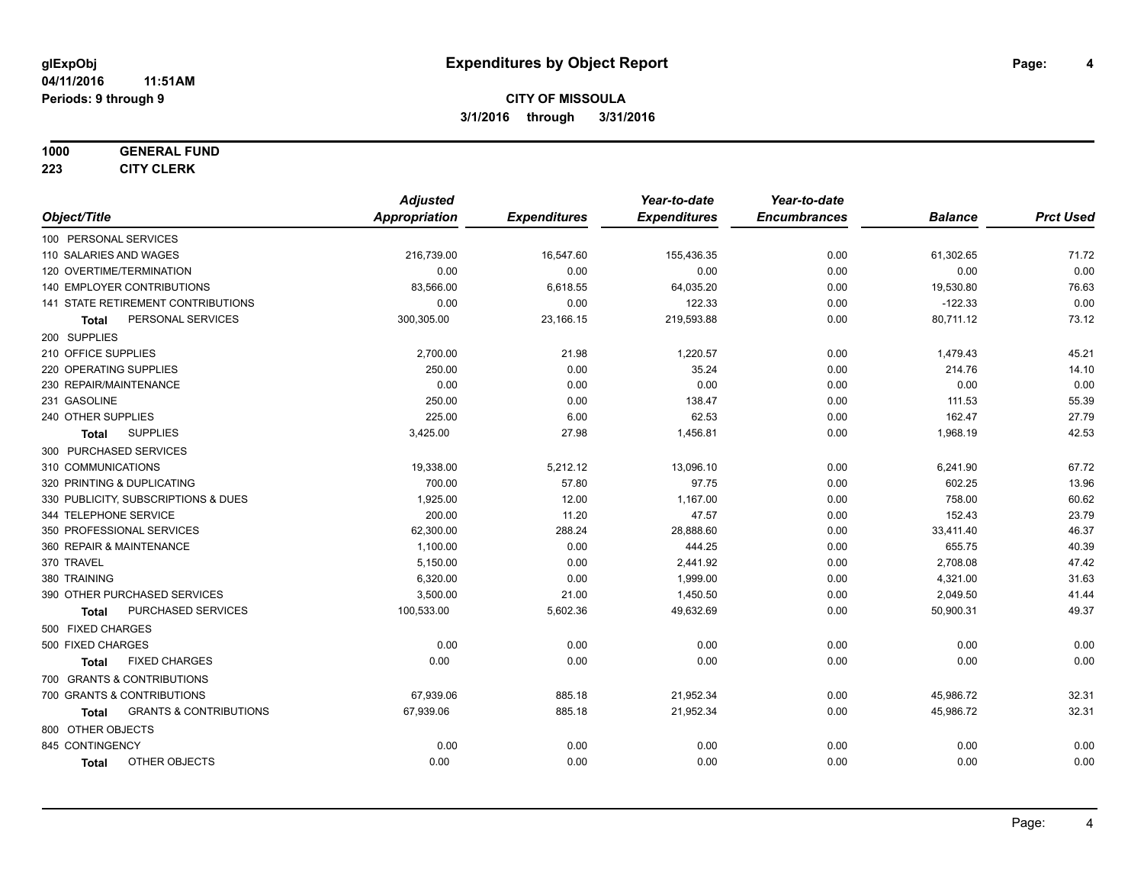#### **1000 GENERAL FUND**

**223 CITY CLERK**

|                                                   | <b>Adjusted</b>      |                     | Year-to-date        | Year-to-date        |                |                  |
|---------------------------------------------------|----------------------|---------------------|---------------------|---------------------|----------------|------------------|
| Object/Title                                      | <b>Appropriation</b> | <b>Expenditures</b> | <b>Expenditures</b> | <b>Encumbrances</b> | <b>Balance</b> | <b>Prct Used</b> |
| 100 PERSONAL SERVICES                             |                      |                     |                     |                     |                |                  |
| 110 SALARIES AND WAGES                            | 216,739.00           | 16,547.60           | 155,436.35          | 0.00                | 61,302.65      | 71.72            |
| 120 OVERTIME/TERMINATION                          | 0.00                 | 0.00                | 0.00                | 0.00                | 0.00           | 0.00             |
| 140 EMPLOYER CONTRIBUTIONS                        | 83,566.00            | 6,618.55            | 64,035.20           | 0.00                | 19,530.80      | 76.63            |
| 141 STATE RETIREMENT CONTRIBUTIONS                | 0.00                 | 0.00                | 122.33              | 0.00                | $-122.33$      | 0.00             |
| PERSONAL SERVICES<br>Total                        | 300,305.00           | 23,166.15           | 219,593.88          | 0.00                | 80,711.12      | 73.12            |
| 200 SUPPLIES                                      |                      |                     |                     |                     |                |                  |
| 210 OFFICE SUPPLIES                               | 2,700.00             | 21.98               | 1,220.57            | 0.00                | 1,479.43       | 45.21            |
| 220 OPERATING SUPPLIES                            | 250.00               | 0.00                | 35.24               | 0.00                | 214.76         | 14.10            |
| 230 REPAIR/MAINTENANCE                            | 0.00                 | 0.00                | 0.00                | 0.00                | 0.00           | 0.00             |
| 231 GASOLINE                                      | 250.00               | 0.00                | 138.47              | 0.00                | 111.53         | 55.39            |
| 240 OTHER SUPPLIES                                | 225.00               | 6.00                | 62.53               | 0.00                | 162.47         | 27.79            |
| <b>SUPPLIES</b><br><b>Total</b>                   | 3,425.00             | 27.98               | 1,456.81            | 0.00                | 1,968.19       | 42.53            |
| 300 PURCHASED SERVICES                            |                      |                     |                     |                     |                |                  |
| 310 COMMUNICATIONS                                | 19,338.00            | 5,212.12            | 13,096.10           | 0.00                | 6,241.90       | 67.72            |
| 320 PRINTING & DUPLICATING                        | 700.00               | 57.80               | 97.75               | 0.00                | 602.25         | 13.96            |
| 330 PUBLICITY, SUBSCRIPTIONS & DUES               | 1,925.00             | 12.00               | 1,167.00            | 0.00                | 758.00         | 60.62            |
| 344 TELEPHONE SERVICE                             | 200.00               | 11.20               | 47.57               | 0.00                | 152.43         | 23.79            |
| 350 PROFESSIONAL SERVICES                         | 62,300.00            | 288.24              | 28,888.60           | 0.00                | 33,411.40      | 46.37            |
| 360 REPAIR & MAINTENANCE                          | 1,100.00             | 0.00                | 444.25              | 0.00                | 655.75         | 40.39            |
| 370 TRAVEL                                        | 5,150.00             | 0.00                | 2,441.92            | 0.00                | 2,708.08       | 47.42            |
| 380 TRAINING                                      | 6,320.00             | 0.00                | 1,999.00            | 0.00                | 4,321.00       | 31.63            |
| 390 OTHER PURCHASED SERVICES                      | 3,500.00             | 21.00               | 1,450.50            | 0.00                | 2,049.50       | 41.44            |
| PURCHASED SERVICES<br><b>Total</b>                | 100,533.00           | 5,602.36            | 49,632.69           | 0.00                | 50,900.31      | 49.37            |
| 500 FIXED CHARGES                                 |                      |                     |                     |                     |                |                  |
| 500 FIXED CHARGES                                 | 0.00                 | 0.00                | 0.00                | 0.00                | 0.00           | 0.00             |
| <b>FIXED CHARGES</b><br><b>Total</b>              | 0.00                 | 0.00                | 0.00                | 0.00                | 0.00           | 0.00             |
| 700 GRANTS & CONTRIBUTIONS                        |                      |                     |                     |                     |                |                  |
| 700 GRANTS & CONTRIBUTIONS                        | 67,939.06            | 885.18              | 21,952.34           | 0.00                | 45,986.72      | 32.31            |
| <b>GRANTS &amp; CONTRIBUTIONS</b><br><b>Total</b> | 67,939.06            | 885.18              | 21,952.34           | 0.00                | 45,986.72      | 32.31            |
| 800 OTHER OBJECTS                                 |                      |                     |                     |                     |                |                  |
| 845 CONTINGENCY                                   | 0.00                 | 0.00                | 0.00                | 0.00                | 0.00           | 0.00             |
| OTHER OBJECTS<br><b>Total</b>                     | 0.00                 | 0.00                | 0.00                | 0.00                | 0.00           | 0.00             |
|                                                   |                      |                     |                     |                     |                |                  |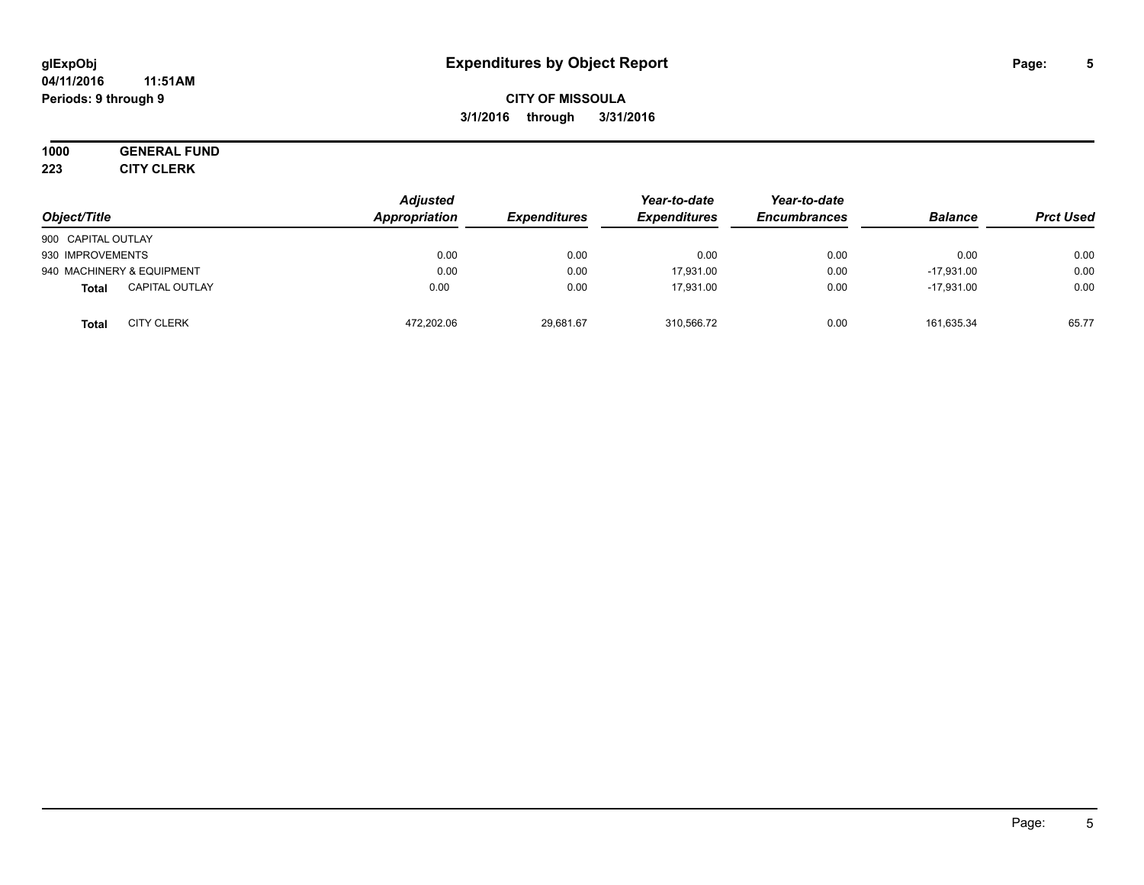#### **04/11/2016 11:51AM Periods: 9 through 9**

# **CITY OF MISSOULA 3/1/2016 through 3/31/2016**

# **1000 GENERAL FUND**

**223 CITY CLERK**

| Object/Title                      | <b>Adjusted</b><br>Appropriation | <b>Expenditures</b> | Year-to-date<br><b>Expenditures</b> | Year-to-date<br><b>Encumbrances</b> | <b>Balance</b> | <b>Prct Used</b> |
|-----------------------------------|----------------------------------|---------------------|-------------------------------------|-------------------------------------|----------------|------------------|
| 900 CAPITAL OUTLAY                |                                  |                     |                                     |                                     |                |                  |
| 930 IMPROVEMENTS                  | 0.00                             | 0.00                | 0.00                                | 0.00                                | 0.00           | 0.00             |
| 940 MACHINERY & EQUIPMENT         | 0.00                             | 0.00                | 17.931.00                           | 0.00                                | $-17.931.00$   | 0.00             |
| <b>CAPITAL OUTLAY</b><br>Total    | 0.00                             | 0.00                | 17.931.00                           | 0.00                                | $-17.931.00$   | 0.00             |
| <b>CITY CLERK</b><br><b>Total</b> | 472,202.06                       | 29,681.67           | 310,566.72                          | 0.00                                | 161,635.34     | 65.77            |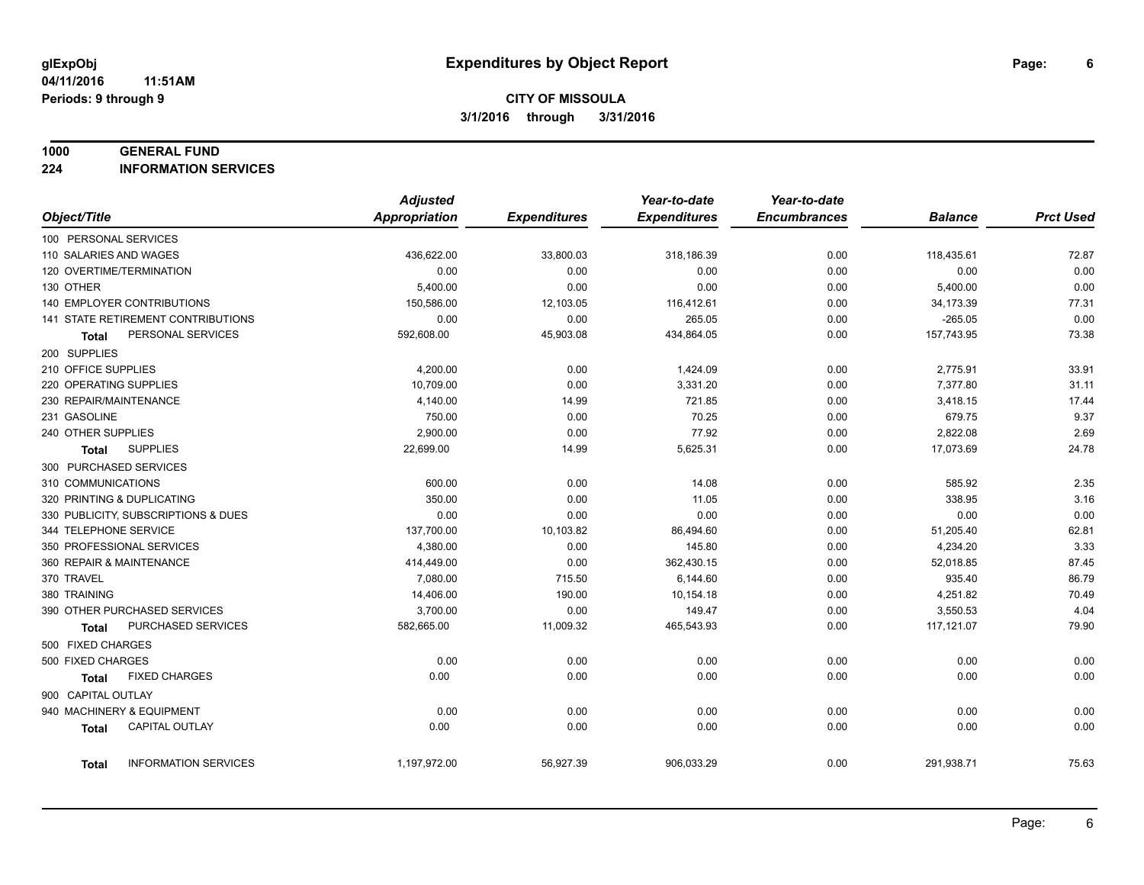#### **1000 GENERAL FUND**

**224 INFORMATION SERVICES**

|                                           | <b>Adjusted</b>      |                     | Year-to-date        | Year-to-date        |                |                  |
|-------------------------------------------|----------------------|---------------------|---------------------|---------------------|----------------|------------------|
| Object/Title                              | <b>Appropriation</b> | <b>Expenditures</b> | <b>Expenditures</b> | <b>Encumbrances</b> | <b>Balance</b> | <b>Prct Used</b> |
| 100 PERSONAL SERVICES                     |                      |                     |                     |                     |                |                  |
| 110 SALARIES AND WAGES                    | 436,622.00           | 33,800.03           | 318,186.39          | 0.00                | 118,435.61     | 72.87            |
| 120 OVERTIME/TERMINATION                  | 0.00                 | 0.00                | 0.00                | 0.00                | 0.00           | 0.00             |
| 130 OTHER                                 | 5,400.00             | 0.00                | 0.00                | 0.00                | 5,400.00       | 0.00             |
| 140 EMPLOYER CONTRIBUTIONS                | 150,586.00           | 12,103.05           | 116,412.61          | 0.00                | 34,173.39      | 77.31            |
| <b>141 STATE RETIREMENT CONTRIBUTIONS</b> | 0.00                 | 0.00                | 265.05              | 0.00                | $-265.05$      | 0.00             |
| PERSONAL SERVICES<br>Total                | 592,608.00           | 45,903.08           | 434,864.05          | 0.00                | 157,743.95     | 73.38            |
| 200 SUPPLIES                              |                      |                     |                     |                     |                |                  |
| 210 OFFICE SUPPLIES                       | 4,200.00             | 0.00                | 1,424.09            | 0.00                | 2,775.91       | 33.91            |
| 220 OPERATING SUPPLIES                    | 10,709.00            | 0.00                | 3,331.20            | 0.00                | 7,377.80       | 31.11            |
| 230 REPAIR/MAINTENANCE                    | 4,140.00             | 14.99               | 721.85              | 0.00                | 3,418.15       | 17.44            |
| 231 GASOLINE                              | 750.00               | 0.00                | 70.25               | 0.00                | 679.75         | 9.37             |
| 240 OTHER SUPPLIES                        | 2,900.00             | 0.00                | 77.92               | 0.00                | 2,822.08       | 2.69             |
| <b>SUPPLIES</b><br><b>Total</b>           | 22,699.00            | 14.99               | 5,625.31            | 0.00                | 17,073.69      | 24.78            |
| 300 PURCHASED SERVICES                    |                      |                     |                     |                     |                |                  |
| 310 COMMUNICATIONS                        | 600.00               | 0.00                | 14.08               | 0.00                | 585.92         | 2.35             |
| 320 PRINTING & DUPLICATING                | 350.00               | 0.00                | 11.05               | 0.00                | 338.95         | 3.16             |
| 330 PUBLICITY, SUBSCRIPTIONS & DUES       | 0.00                 | 0.00                | 0.00                | 0.00                | 0.00           | 0.00             |
| 344 TELEPHONE SERVICE                     | 137,700.00           | 10,103.82           | 86,494.60           | 0.00                | 51,205.40      | 62.81            |
| 350 PROFESSIONAL SERVICES                 | 4,380.00             | 0.00                | 145.80              | 0.00                | 4,234.20       | 3.33             |
| 360 REPAIR & MAINTENANCE                  | 414,449.00           | 0.00                | 362,430.15          | 0.00                | 52,018.85      | 87.45            |
| 370 TRAVEL                                | 7,080.00             | 715.50              | 6,144.60            | 0.00                | 935.40         | 86.79            |
| 380 TRAINING                              | 14,406.00            | 190.00              | 10,154.18           | 0.00                | 4,251.82       | 70.49            |
| 390 OTHER PURCHASED SERVICES              | 3,700.00             | 0.00                | 149.47              | 0.00                | 3,550.53       | 4.04             |
| PURCHASED SERVICES<br>Total               | 582,665.00           | 11,009.32           | 465,543.93          | 0.00                | 117,121.07     | 79.90            |
| 500 FIXED CHARGES                         |                      |                     |                     |                     |                |                  |
| 500 FIXED CHARGES                         | 0.00                 | 0.00                | 0.00                | 0.00                | 0.00           | 0.00             |
| <b>FIXED CHARGES</b><br>Total             | 0.00                 | 0.00                | 0.00                | 0.00                | 0.00           | 0.00             |
| 900 CAPITAL OUTLAY                        |                      |                     |                     |                     |                |                  |
| 940 MACHINERY & EQUIPMENT                 | 0.00                 | 0.00                | 0.00                | 0.00                | 0.00           | 0.00             |
| CAPITAL OUTLAY<br><b>Total</b>            | 0.00                 | 0.00                | 0.00                | 0.00                | 0.00           | 0.00             |
|                                           |                      |                     |                     |                     |                |                  |
| <b>INFORMATION SERVICES</b><br>Total      | 1,197,972.00         | 56,927.39           | 906,033.29          | 0.00                | 291,938.71     | 75.63            |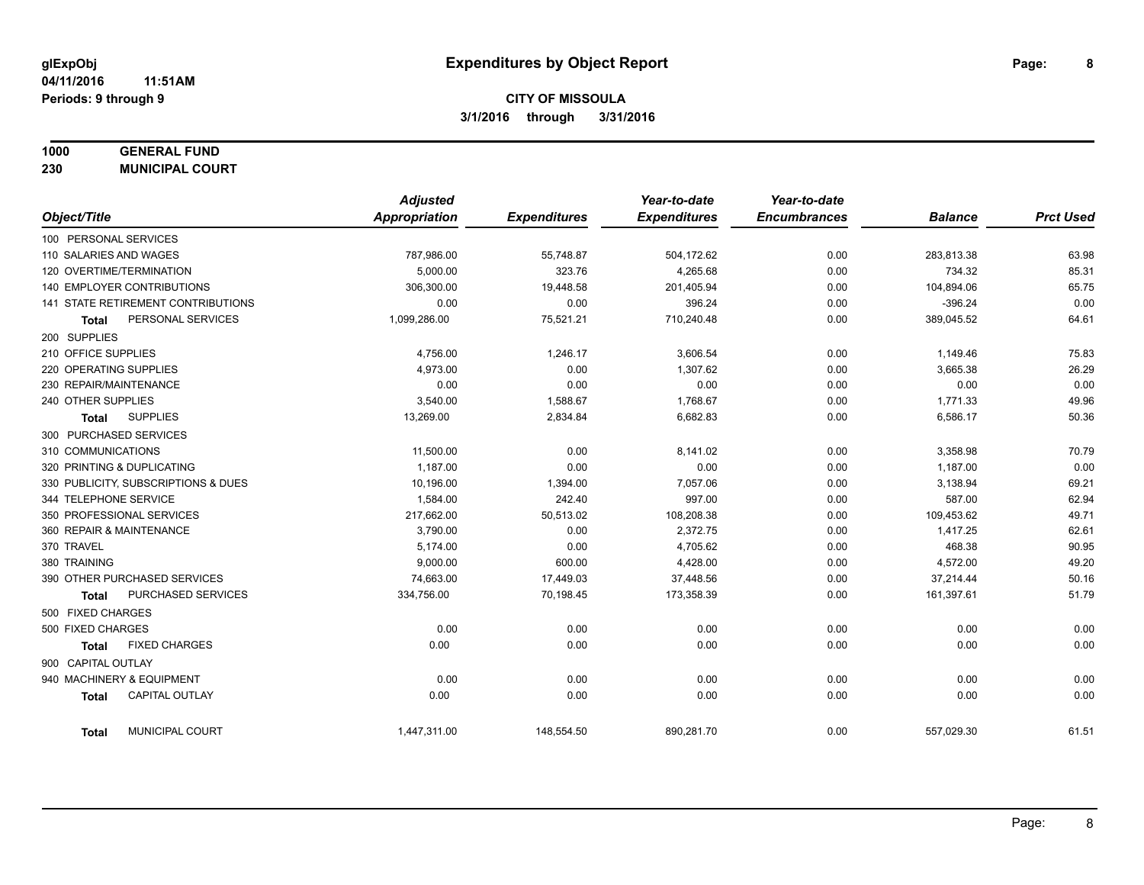# **1000 GENERAL FUND**

**230 MUNICIPAL COURT**

|                        |                                     | <b>Adjusted</b>      |                     | Year-to-date        | Year-to-date        |                |                  |
|------------------------|-------------------------------------|----------------------|---------------------|---------------------|---------------------|----------------|------------------|
| Object/Title           |                                     | <b>Appropriation</b> | <b>Expenditures</b> | <b>Expenditures</b> | <b>Encumbrances</b> | <b>Balance</b> | <b>Prct Used</b> |
| 100 PERSONAL SERVICES  |                                     |                      |                     |                     |                     |                |                  |
| 110 SALARIES AND WAGES |                                     | 787,986.00           | 55,748.87           | 504,172.62          | 0.00                | 283,813.38     | 63.98            |
|                        | 120 OVERTIME/TERMINATION            | 5,000.00             | 323.76              | 4,265.68            | 0.00                | 734.32         | 85.31            |
|                        | <b>140 EMPLOYER CONTRIBUTIONS</b>   | 306,300.00           | 19,448.58           | 201,405.94          | 0.00                | 104,894.06     | 65.75            |
|                        | 141 STATE RETIREMENT CONTRIBUTIONS  | 0.00                 | 0.00                | 396.24              | 0.00                | $-396.24$      | 0.00             |
| <b>Total</b>           | PERSONAL SERVICES                   | 1,099,286.00         | 75,521.21           | 710,240.48          | 0.00                | 389,045.52     | 64.61            |
| 200 SUPPLIES           |                                     |                      |                     |                     |                     |                |                  |
| 210 OFFICE SUPPLIES    |                                     | 4,756.00             | 1,246.17            | 3,606.54            | 0.00                | 1,149.46       | 75.83            |
| 220 OPERATING SUPPLIES |                                     | 4,973.00             | 0.00                | 1,307.62            | 0.00                | 3,665.38       | 26.29            |
| 230 REPAIR/MAINTENANCE |                                     | 0.00                 | 0.00                | 0.00                | 0.00                | 0.00           | 0.00             |
| 240 OTHER SUPPLIES     |                                     | 3,540.00             | 1,588.67            | 1,768.67            | 0.00                | 1,771.33       | 49.96            |
| <b>Total</b>           | <b>SUPPLIES</b>                     | 13,269.00            | 2,834.84            | 6,682.83            | 0.00                | 6,586.17       | 50.36            |
|                        | 300 PURCHASED SERVICES              |                      |                     |                     |                     |                |                  |
| 310 COMMUNICATIONS     |                                     | 11,500.00            | 0.00                | 8,141.02            | 0.00                | 3,358.98       | 70.79            |
|                        | 320 PRINTING & DUPLICATING          | 1,187.00             | 0.00                | 0.00                | 0.00                | 1,187.00       | 0.00             |
|                        | 330 PUBLICITY, SUBSCRIPTIONS & DUES | 10.196.00            | 1,394.00            | 7,057.06            | 0.00                | 3,138.94       | 69.21            |
| 344 TELEPHONE SERVICE  |                                     | 1,584.00             | 242.40              | 997.00              | 0.00                | 587.00         | 62.94            |
|                        | 350 PROFESSIONAL SERVICES           | 217,662.00           | 50,513.02           | 108,208.38          | 0.00                | 109,453.62     | 49.71            |
|                        | 360 REPAIR & MAINTENANCE            | 3,790.00             | 0.00                | 2,372.75            | 0.00                | 1,417.25       | 62.61            |
| 370 TRAVEL             |                                     | 5,174.00             | 0.00                | 4,705.62            | 0.00                | 468.38         | 90.95            |
| 380 TRAINING           |                                     | 9,000.00             | 600.00              | 4,428.00            | 0.00                | 4,572.00       | 49.20            |
|                        | 390 OTHER PURCHASED SERVICES        | 74,663.00            | 17,449.03           | 37,448.56           | 0.00                | 37,214.44      | 50.16            |
| <b>Total</b>           | PURCHASED SERVICES                  | 334,756.00           | 70,198.45           | 173,358.39          | 0.00                | 161,397.61     | 51.79            |
| 500 FIXED CHARGES      |                                     |                      |                     |                     |                     |                |                  |
| 500 FIXED CHARGES      |                                     | 0.00                 | 0.00                | 0.00                | 0.00                | 0.00           | 0.00             |
| <b>Total</b>           | <b>FIXED CHARGES</b>                | 0.00                 | 0.00                | 0.00                | 0.00                | 0.00           | 0.00             |
| 900 CAPITAL OUTLAY     |                                     |                      |                     |                     |                     |                |                  |
|                        | 940 MACHINERY & EQUIPMENT           | 0.00                 | 0.00                | 0.00                | 0.00                | 0.00           | 0.00             |
| <b>Total</b>           | <b>CAPITAL OUTLAY</b>               | 0.00                 | 0.00                | 0.00                | 0.00                | 0.00           | 0.00             |
| <b>Total</b>           | MUNICIPAL COURT                     | 1,447,311.00         | 148,554.50          | 890,281.70          | 0.00                | 557,029.30     | 61.51            |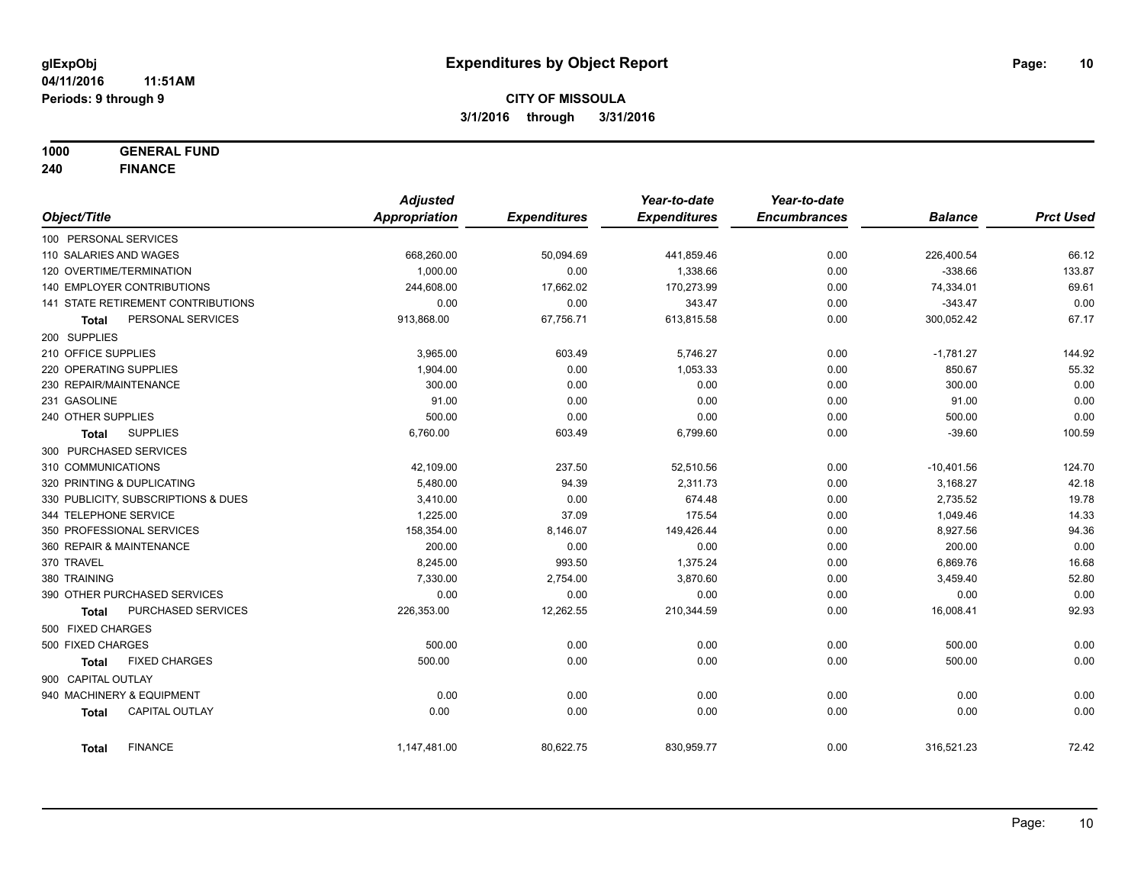**1000 GENERAL FUND**

**240 FINANCE**

|                            |                                     | <b>Adjusted</b> |                     | Year-to-date        | Year-to-date        |                |                  |
|----------------------------|-------------------------------------|-----------------|---------------------|---------------------|---------------------|----------------|------------------|
| Object/Title               |                                     | Appropriation   | <b>Expenditures</b> | <b>Expenditures</b> | <b>Encumbrances</b> | <b>Balance</b> | <b>Prct Used</b> |
| 100 PERSONAL SERVICES      |                                     |                 |                     |                     |                     |                |                  |
| 110 SALARIES AND WAGES     |                                     | 668,260.00      | 50,094.69           | 441,859.46          | 0.00                | 226,400.54     | 66.12            |
| 120 OVERTIME/TERMINATION   |                                     | 1,000.00        | 0.00                | 1,338.66            | 0.00                | $-338.66$      | 133.87           |
|                            | 140 EMPLOYER CONTRIBUTIONS          | 244,608.00      | 17,662.02           | 170,273.99          | 0.00                | 74,334.01      | 69.61            |
|                            | 141 STATE RETIREMENT CONTRIBUTIONS  | 0.00            | 0.00                | 343.47              | 0.00                | $-343.47$      | 0.00             |
| <b>Total</b>               | PERSONAL SERVICES                   | 913,868.00      | 67,756.71           | 613,815.58          | 0.00                | 300,052.42     | 67.17            |
| 200 SUPPLIES               |                                     |                 |                     |                     |                     |                |                  |
| 210 OFFICE SUPPLIES        |                                     | 3,965.00        | 603.49              | 5,746.27            | 0.00                | $-1,781.27$    | 144.92           |
| 220 OPERATING SUPPLIES     |                                     | 1,904.00        | 0.00                | 1,053.33            | 0.00                | 850.67         | 55.32            |
| 230 REPAIR/MAINTENANCE     |                                     | 300.00          | 0.00                | 0.00                | 0.00                | 300.00         | 0.00             |
| 231 GASOLINE               |                                     | 91.00           | 0.00                | 0.00                | 0.00                | 91.00          | 0.00             |
| 240 OTHER SUPPLIES         |                                     | 500.00          | 0.00                | 0.00                | 0.00                | 500.00         | 0.00             |
| Total                      | <b>SUPPLIES</b>                     | 6,760.00        | 603.49              | 6,799.60            | 0.00                | $-39.60$       | 100.59           |
| 300 PURCHASED SERVICES     |                                     |                 |                     |                     |                     |                |                  |
| 310 COMMUNICATIONS         |                                     | 42,109.00       | 237.50              | 52,510.56           | 0.00                | $-10,401.56$   | 124.70           |
| 320 PRINTING & DUPLICATING |                                     | 5,480.00        | 94.39               | 2,311.73            | 0.00                | 3,168.27       | 42.18            |
|                            | 330 PUBLICITY, SUBSCRIPTIONS & DUES | 3,410.00        | 0.00                | 674.48              | 0.00                | 2,735.52       | 19.78            |
| 344 TELEPHONE SERVICE      |                                     | 1,225.00        | 37.09               | 175.54              | 0.00                | 1,049.46       | 14.33            |
| 350 PROFESSIONAL SERVICES  |                                     | 158,354.00      | 8,146.07            | 149,426.44          | 0.00                | 8,927.56       | 94.36            |
| 360 REPAIR & MAINTENANCE   |                                     | 200.00          | 0.00                | 0.00                | 0.00                | 200.00         | 0.00             |
| 370 TRAVEL                 |                                     | 8,245.00        | 993.50              | 1,375.24            | 0.00                | 6,869.76       | 16.68            |
| 380 TRAINING               |                                     | 7,330.00        | 2,754.00            | 3,870.60            | 0.00                | 3,459.40       | 52.80            |
|                            | 390 OTHER PURCHASED SERVICES        | 0.00            | 0.00                | 0.00                | 0.00                | 0.00           | 0.00             |
| <b>Total</b>               | <b>PURCHASED SERVICES</b>           | 226,353.00      | 12,262.55           | 210,344.59          | 0.00                | 16,008.41      | 92.93            |
| 500 FIXED CHARGES          |                                     |                 |                     |                     |                     |                |                  |
| 500 FIXED CHARGES          |                                     | 500.00          | 0.00                | 0.00                | 0.00                | 500.00         | 0.00             |
| <b>Total</b>               | <b>FIXED CHARGES</b>                | 500.00          | 0.00                | 0.00                | 0.00                | 500.00         | 0.00             |
| 900 CAPITAL OUTLAY         |                                     |                 |                     |                     |                     |                |                  |
| 940 MACHINERY & EQUIPMENT  |                                     | 0.00            | 0.00                | 0.00                | 0.00                | 0.00           | 0.00             |
| <b>Total</b>               | <b>CAPITAL OUTLAY</b>               | 0.00            | 0.00                | 0.00                | 0.00                | 0.00           | 0.00             |
| <b>Total</b>               | <b>FINANCE</b>                      | 1,147,481.00    | 80,622.75           | 830,959.77          | 0.00                | 316,521.23     | 72.42            |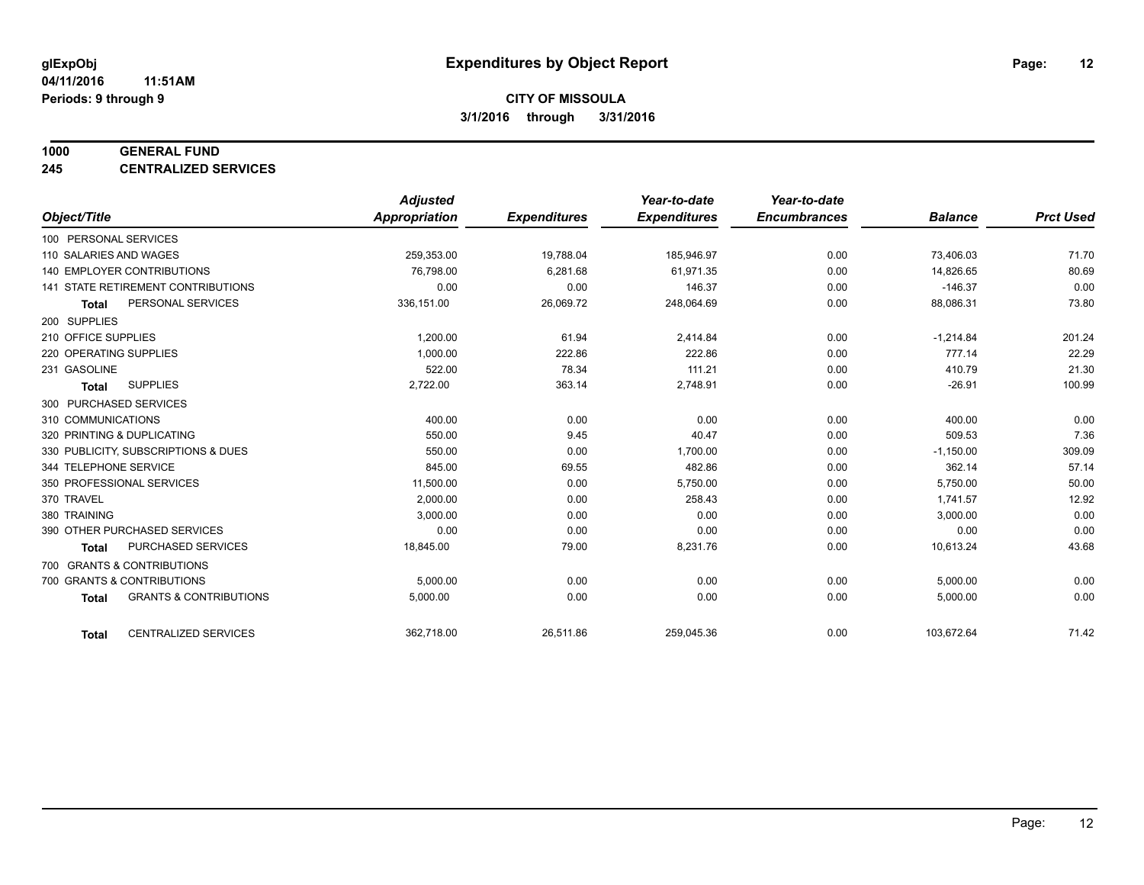#### **1000 GENERAL FUND**

**245 CENTRALIZED SERVICES**

|                                                   | <b>Adjusted</b> |                     | Year-to-date        | Year-to-date        |                |                  |
|---------------------------------------------------|-----------------|---------------------|---------------------|---------------------|----------------|------------------|
| Object/Title                                      | Appropriation   | <b>Expenditures</b> | <b>Expenditures</b> | <b>Encumbrances</b> | <b>Balance</b> | <b>Prct Used</b> |
| 100 PERSONAL SERVICES                             |                 |                     |                     |                     |                |                  |
| 110 SALARIES AND WAGES                            | 259,353.00      | 19,788.04           | 185,946.97          | 0.00                | 73,406.03      | 71.70            |
| 140 EMPLOYER CONTRIBUTIONS                        | 76,798.00       | 6,281.68            | 61.971.35           | 0.00                | 14,826.65      | 80.69            |
| 141 STATE RETIREMENT CONTRIBUTIONS                | 0.00            | 0.00                | 146.37              | 0.00                | $-146.37$      | 0.00             |
| PERSONAL SERVICES<br><b>Total</b>                 | 336,151.00      | 26,069.72           | 248,064.69          | 0.00                | 88,086.31      | 73.80            |
| 200 SUPPLIES                                      |                 |                     |                     |                     |                |                  |
| 210 OFFICE SUPPLIES                               | 1,200.00        | 61.94               | 2.414.84            | 0.00                | $-1,214.84$    | 201.24           |
| 220 OPERATING SUPPLIES                            | 1.000.00        | 222.86              | 222.86              | 0.00                | 777.14         | 22.29            |
| 231 GASOLINE                                      | 522.00          | 78.34               | 111.21              | 0.00                | 410.79         | 21.30            |
| <b>SUPPLIES</b><br><b>Total</b>                   | 2,722.00        | 363.14              | 2,748.91            | 0.00                | $-26.91$       | 100.99           |
| 300 PURCHASED SERVICES                            |                 |                     |                     |                     |                |                  |
| 310 COMMUNICATIONS                                | 400.00          | 0.00                | 0.00                | 0.00                | 400.00         | 0.00             |
| 320 PRINTING & DUPLICATING                        | 550.00          | 9.45                | 40.47               | 0.00                | 509.53         | 7.36             |
| 330 PUBLICITY, SUBSCRIPTIONS & DUES               | 550.00          | 0.00                | 1,700.00            | 0.00                | $-1,150.00$    | 309.09           |
| 344 TELEPHONE SERVICE                             | 845.00          | 69.55               | 482.86              | 0.00                | 362.14         | 57.14            |
| 350 PROFESSIONAL SERVICES                         | 11,500.00       | 0.00                | 5,750.00            | 0.00                | 5,750.00       | 50.00            |
| 370 TRAVEL                                        | 2.000.00        | 0.00                | 258.43              | 0.00                | 1,741.57       | 12.92            |
| 380 TRAINING                                      | 3,000.00        | 0.00                | 0.00                | 0.00                | 3,000.00       | 0.00             |
| 390 OTHER PURCHASED SERVICES                      | 0.00            | 0.00                | 0.00                | 0.00                | 0.00           | 0.00             |
| <b>PURCHASED SERVICES</b><br><b>Total</b>         | 18,845.00       | 79.00               | 8,231.76            | 0.00                | 10,613.24      | 43.68            |
| 700 GRANTS & CONTRIBUTIONS                        |                 |                     |                     |                     |                |                  |
| 700 GRANTS & CONTRIBUTIONS                        | 5,000.00        | 0.00                | 0.00                | 0.00                | 5,000.00       | 0.00             |
| <b>GRANTS &amp; CONTRIBUTIONS</b><br><b>Total</b> | 5,000.00        | 0.00                | 0.00                | 0.00                | 5,000.00       | 0.00             |
|                                                   |                 |                     |                     |                     |                |                  |
| <b>CENTRALIZED SERVICES</b><br><b>Total</b>       | 362,718.00      | 26,511.86           | 259,045.36          | 0.00                | 103,672.64     | 71.42            |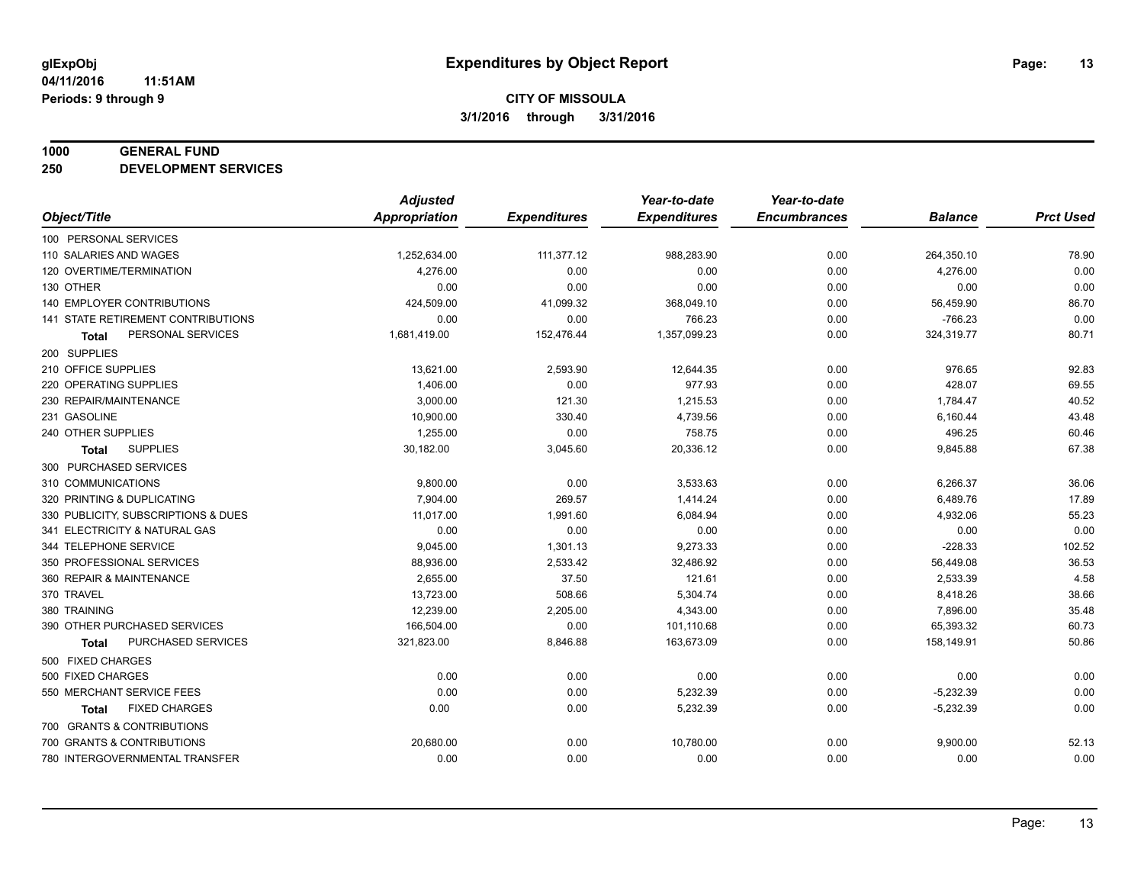#### **1000 GENERAL FUND**

**250 DEVELOPMENT SERVICES**

|                                     | <b>Adjusted</b>      |                     | Year-to-date        | Year-to-date        |                |                  |
|-------------------------------------|----------------------|---------------------|---------------------|---------------------|----------------|------------------|
| Object/Title                        | <b>Appropriation</b> | <b>Expenditures</b> | <b>Expenditures</b> | <b>Encumbrances</b> | <b>Balance</b> | <b>Prct Used</b> |
| 100 PERSONAL SERVICES               |                      |                     |                     |                     |                |                  |
| 110 SALARIES AND WAGES              | 1,252,634.00         | 111,377.12          | 988,283.90          | 0.00                | 264,350.10     | 78.90            |
| 120 OVERTIME/TERMINATION            | 4,276.00             | 0.00                | 0.00                | 0.00                | 4,276.00       | 0.00             |
| 130 OTHER                           | 0.00                 | 0.00                | 0.00                | 0.00                | 0.00           | 0.00             |
| 140 EMPLOYER CONTRIBUTIONS          | 424,509.00           | 41,099.32           | 368,049.10          | 0.00                | 56,459.90      | 86.70            |
| 141 STATE RETIREMENT CONTRIBUTIONS  | 0.00                 | 0.00                | 766.23              | 0.00                | $-766.23$      | 0.00             |
| PERSONAL SERVICES<br><b>Total</b>   | 1,681,419.00         | 152,476.44          | 1,357,099.23        | 0.00                | 324,319.77     | 80.71            |
| 200 SUPPLIES                        |                      |                     |                     |                     |                |                  |
| 210 OFFICE SUPPLIES                 | 13,621.00            | 2,593.90            | 12,644.35           | 0.00                | 976.65         | 92.83            |
| 220 OPERATING SUPPLIES              | 1,406.00             | 0.00                | 977.93              | 0.00                | 428.07         | 69.55            |
| 230 REPAIR/MAINTENANCE              | 3,000.00             | 121.30              | 1,215.53            | 0.00                | 1,784.47       | 40.52            |
| 231 GASOLINE                        | 10,900.00            | 330.40              | 4,739.56            | 0.00                | 6,160.44       | 43.48            |
| 240 OTHER SUPPLIES                  | 1,255.00             | 0.00                | 758.75              | 0.00                | 496.25         | 60.46            |
| <b>SUPPLIES</b><br>Total            | 30,182.00            | 3,045.60            | 20,336.12           | 0.00                | 9,845.88       | 67.38            |
| 300 PURCHASED SERVICES              |                      |                     |                     |                     |                |                  |
| 310 COMMUNICATIONS                  | 9,800.00             | 0.00                | 3,533.63            | 0.00                | 6,266.37       | 36.06            |
| 320 PRINTING & DUPLICATING          | 7.904.00             | 269.57              | 1,414.24            | 0.00                | 6,489.76       | 17.89            |
| 330 PUBLICITY, SUBSCRIPTIONS & DUES | 11,017.00            | 1,991.60            | 6,084.94            | 0.00                | 4,932.06       | 55.23            |
| 341 ELECTRICITY & NATURAL GAS       | 0.00                 | 0.00                | 0.00                | 0.00                | 0.00           | 0.00             |
| 344 TELEPHONE SERVICE               | 9,045.00             | 1,301.13            | 9,273.33            | 0.00                | $-228.33$      | 102.52           |
| 350 PROFESSIONAL SERVICES           | 88,936.00            | 2,533.42            | 32,486.92           | 0.00                | 56,449.08      | 36.53            |
| 360 REPAIR & MAINTENANCE            | 2,655.00             | 37.50               | 121.61              | 0.00                | 2,533.39       | 4.58             |
| 370 TRAVEL                          | 13,723.00            | 508.66              | 5,304.74            | 0.00                | 8,418.26       | 38.66            |
| 380 TRAINING                        | 12,239.00            | 2,205.00            | 4,343.00            | 0.00                | 7,896.00       | 35.48            |
| 390 OTHER PURCHASED SERVICES        | 166,504.00           | 0.00                | 101,110.68          | 0.00                | 65,393.32      | 60.73            |
| PURCHASED SERVICES<br><b>Total</b>  | 321,823.00           | 8,846.88            | 163,673.09          | 0.00                | 158,149.91     | 50.86            |
| 500 FIXED CHARGES                   |                      |                     |                     |                     |                |                  |
| 500 FIXED CHARGES                   | 0.00                 | 0.00                | 0.00                | 0.00                | 0.00           | 0.00             |
| 550 MERCHANT SERVICE FEES           | 0.00                 | 0.00                | 5,232.39            | 0.00                | $-5,232.39$    | 0.00             |
| <b>FIXED CHARGES</b><br>Total       | 0.00                 | 0.00                | 5,232.39            | 0.00                | $-5,232.39$    | 0.00             |
| 700 GRANTS & CONTRIBUTIONS          |                      |                     |                     |                     |                |                  |
| 700 GRANTS & CONTRIBUTIONS          | 20,680.00            | 0.00                | 10,780.00           | 0.00                | 9,900.00       | 52.13            |
| 780 INTERGOVERNMENTAL TRANSFER      | 0.00                 | 0.00                | 0.00                | 0.00                | 0.00           | 0.00             |
|                                     |                      |                     |                     |                     |                |                  |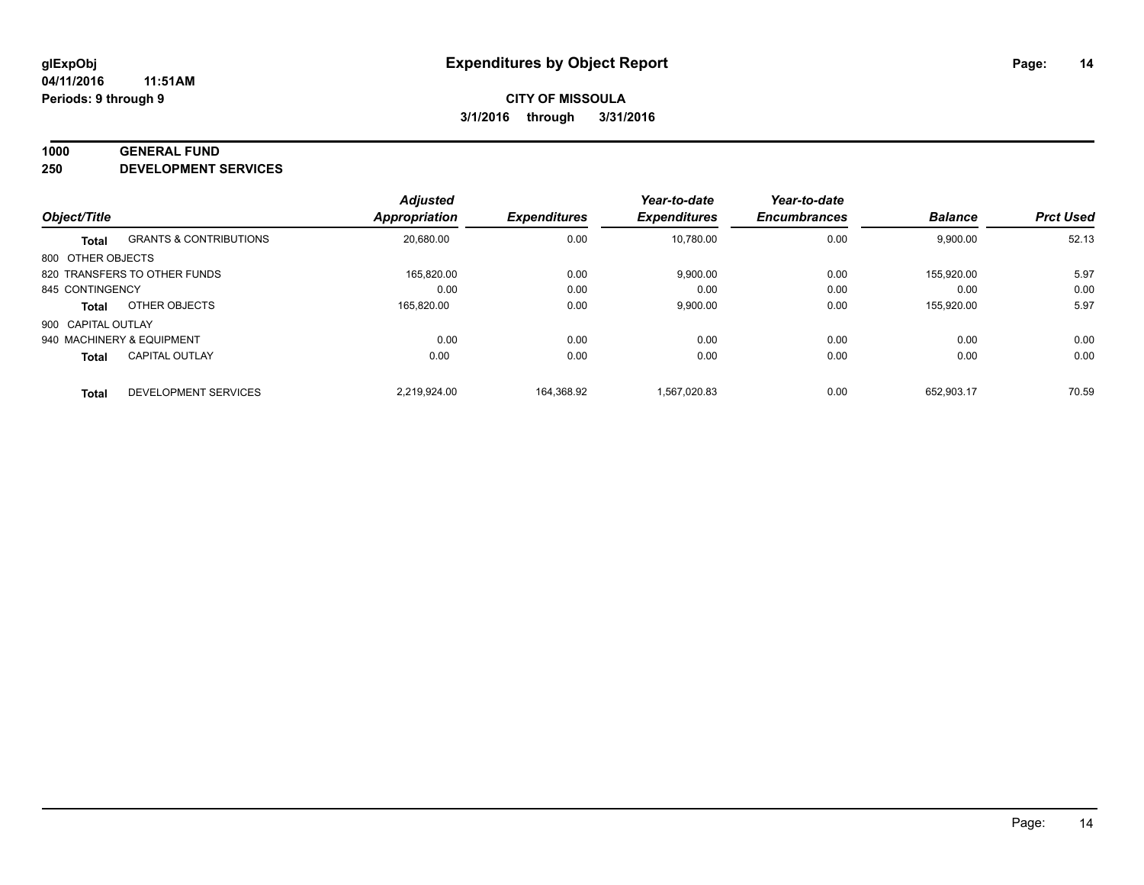#### **1000 GENERAL FUND**

**250 DEVELOPMENT SERVICES**

| Object/Title       |                                   | <b>Adjusted</b><br><b>Appropriation</b> | <b>Expenditures</b> | Year-to-date<br><b>Expenditures</b> | Year-to-date<br><b>Encumbrances</b> | <b>Balance</b> | <b>Prct Used</b> |
|--------------------|-----------------------------------|-----------------------------------------|---------------------|-------------------------------------|-------------------------------------|----------------|------------------|
|                    |                                   |                                         |                     |                                     |                                     |                |                  |
| <b>Total</b>       | <b>GRANTS &amp; CONTRIBUTIONS</b> | 20,680.00                               | 0.00                | 10.780.00                           | 0.00                                | 9,900.00       | 52.13            |
| 800 OTHER OBJECTS  |                                   |                                         |                     |                                     |                                     |                |                  |
|                    | 820 TRANSFERS TO OTHER FUNDS      | 165.820.00                              | 0.00                | 9,900.00                            | 0.00                                | 155.920.00     | 5.97             |
| 845 CONTINGENCY    |                                   | 0.00                                    | 0.00                | 0.00                                | 0.00                                | 0.00           | 0.00             |
| <b>Total</b>       | OTHER OBJECTS                     | 165,820.00                              | 0.00                | 9,900.00                            | 0.00                                | 155,920.00     | 5.97             |
| 900 CAPITAL OUTLAY |                                   |                                         |                     |                                     |                                     |                |                  |
|                    | 940 MACHINERY & EQUIPMENT         | 0.00                                    | 0.00                | 0.00                                | 0.00                                | 0.00           | 0.00             |
| <b>Total</b>       | <b>CAPITAL OUTLAY</b>             | 0.00                                    | 0.00                | 0.00                                | 0.00                                | 0.00           | 0.00             |
| <b>Total</b>       | DEVELOPMENT SERVICES              | 2.219.924.00                            | 164.368.92          | 1.567.020.83                        | 0.00                                | 652.903.17     | 70.59            |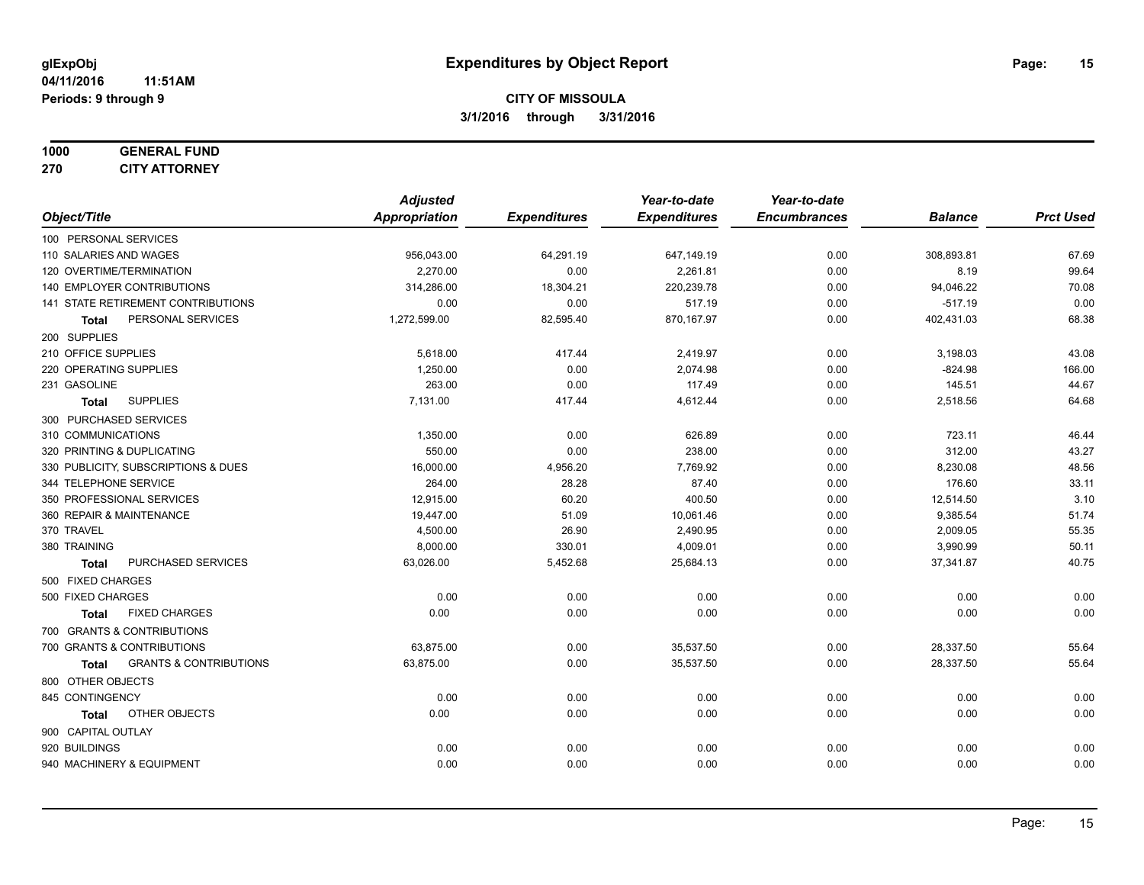#### **1000 GENERAL FUND 270 CITY ATTORNEY**

|                                                   | <b>Adjusted</b> |                     | Year-to-date        | Year-to-date        |                |                  |
|---------------------------------------------------|-----------------|---------------------|---------------------|---------------------|----------------|------------------|
| Object/Title                                      | Appropriation   | <b>Expenditures</b> | <b>Expenditures</b> | <b>Encumbrances</b> | <b>Balance</b> | <b>Prct Used</b> |
| 100 PERSONAL SERVICES                             |                 |                     |                     |                     |                |                  |
| 110 SALARIES AND WAGES                            | 956,043.00      | 64,291.19           | 647,149.19          | 0.00                | 308,893.81     | 67.69            |
| 120 OVERTIME/TERMINATION                          | 2,270.00        | 0.00                | 2,261.81            | 0.00                | 8.19           | 99.64            |
| 140 EMPLOYER CONTRIBUTIONS                        | 314,286.00      | 18,304.21           | 220,239.78          | 0.00                | 94,046.22      | 70.08            |
| 141 STATE RETIREMENT CONTRIBUTIONS                | 0.00            | 0.00                | 517.19              | 0.00                | $-517.19$      | 0.00             |
| PERSONAL SERVICES<br><b>Total</b>                 | 1,272,599.00    | 82,595.40           | 870,167.97          | 0.00                | 402,431.03     | 68.38            |
| 200 SUPPLIES                                      |                 |                     |                     |                     |                |                  |
| 210 OFFICE SUPPLIES                               | 5,618.00        | 417.44              | 2,419.97            | 0.00                | 3,198.03       | 43.08            |
| 220 OPERATING SUPPLIES                            | 1,250.00        | 0.00                | 2,074.98            | 0.00                | $-824.98$      | 166.00           |
| 231 GASOLINE                                      | 263.00          | 0.00                | 117.49              | 0.00                | 145.51         | 44.67            |
| <b>SUPPLIES</b><br>Total                          | 7,131.00        | 417.44              | 4,612.44            | 0.00                | 2,518.56       | 64.68            |
| 300 PURCHASED SERVICES                            |                 |                     |                     |                     |                |                  |
| 310 COMMUNICATIONS                                | 1,350.00        | 0.00                | 626.89              | 0.00                | 723.11         | 46.44            |
| 320 PRINTING & DUPLICATING                        | 550.00          | 0.00                | 238.00              | 0.00                | 312.00         | 43.27            |
| 330 PUBLICITY, SUBSCRIPTIONS & DUES               | 16,000.00       | 4,956.20            | 7,769.92            | 0.00                | 8,230.08       | 48.56            |
| 344 TELEPHONE SERVICE                             | 264.00          | 28.28               | 87.40               | 0.00                | 176.60         | 33.11            |
| 350 PROFESSIONAL SERVICES                         | 12,915.00       | 60.20               | 400.50              | 0.00                | 12,514.50      | 3.10             |
| 360 REPAIR & MAINTENANCE                          | 19,447.00       | 51.09               | 10,061.46           | 0.00                | 9,385.54       | 51.74            |
| 370 TRAVEL                                        | 4,500.00        | 26.90               | 2,490.95            | 0.00                | 2,009.05       | 55.35            |
| 380 TRAINING                                      | 8,000.00        | 330.01              | 4,009.01            | 0.00                | 3,990.99       | 50.11            |
| PURCHASED SERVICES<br><b>Total</b>                | 63,026.00       | 5,452.68            | 25,684.13           | 0.00                | 37,341.87      | 40.75            |
| 500 FIXED CHARGES                                 |                 |                     |                     |                     |                |                  |
| 500 FIXED CHARGES                                 | 0.00            | 0.00                | 0.00                | 0.00                | 0.00           | 0.00             |
| <b>FIXED CHARGES</b><br><b>Total</b>              | 0.00            | 0.00                | 0.00                | 0.00                | 0.00           | 0.00             |
| 700 GRANTS & CONTRIBUTIONS                        |                 |                     |                     |                     |                |                  |
| 700 GRANTS & CONTRIBUTIONS                        | 63,875.00       | 0.00                | 35,537.50           | 0.00                | 28,337.50      | 55.64            |
| <b>GRANTS &amp; CONTRIBUTIONS</b><br><b>Total</b> | 63,875.00       | 0.00                | 35,537.50           | 0.00                | 28,337.50      | 55.64            |
| 800 OTHER OBJECTS                                 |                 |                     |                     |                     |                |                  |
| 845 CONTINGENCY                                   | 0.00            | 0.00                | 0.00                | 0.00                | 0.00           | 0.00             |
| OTHER OBJECTS<br><b>Total</b>                     | 0.00            | 0.00                | 0.00                | 0.00                | 0.00           | 0.00             |
| 900 CAPITAL OUTLAY                                |                 |                     |                     |                     |                |                  |
| 920 BUILDINGS                                     | 0.00            | 0.00                | 0.00                | 0.00                | 0.00           | 0.00             |
| 940 MACHINERY & EQUIPMENT                         | 0.00            | 0.00                | 0.00                | 0.00                | 0.00           | 0.00             |
|                                                   |                 |                     |                     |                     |                |                  |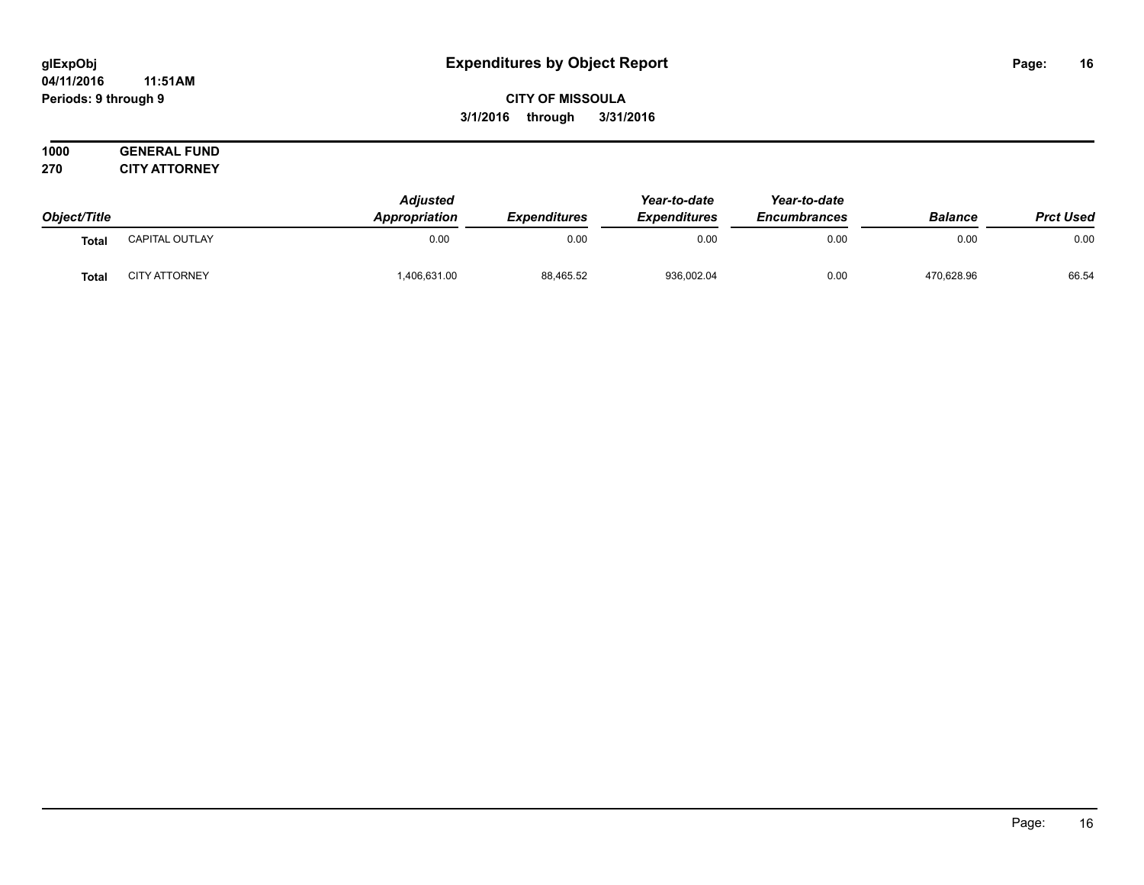#### **04/11/2016 11:51AM Periods: 9 through 9**

**CITY OF MISSOULA 3/1/2016 through 3/31/2016**

|              |                       | <b>Adjusted</b> |                     | Year-to-date        | Year-to-date        |                |                  |
|--------------|-----------------------|-----------------|---------------------|---------------------|---------------------|----------------|------------------|
| Object/Title |                       | Appropriation   | <b>Expenditures</b> | <b>Expenditures</b> | <b>Encumbrances</b> | <b>Balance</b> | <b>Prct Used</b> |
| Tota         | <b>CAPITAL OUTLAY</b> | 0.00            | 0.00                | 0.00                | 0.00                | 0.00           | 0.00             |
| Tota.        | <b>CITY ATTORNEY</b>  | 1,406,631.00    | 88,465.52           | 936,002.04          | 0.00                | 470.628.96     | 66.54            |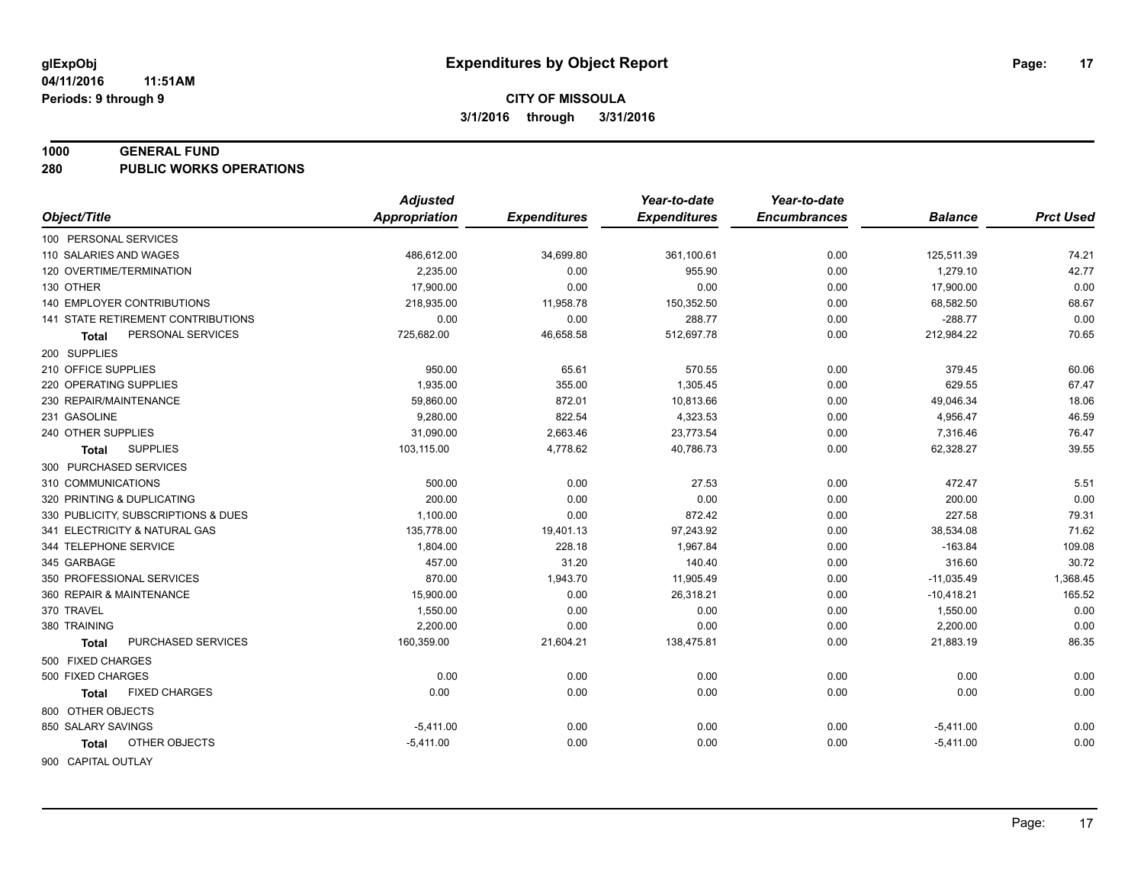#### **1000 GENERAL FUND**

**280 PUBLIC WORKS OPERATIONS**

| <b>Appropriation</b><br><b>Expenditures</b><br>Object/Title<br><b>Expenditures</b><br><b>Encumbrances</b><br><b>Balance</b><br>100 PERSONAL SERVICES<br>110 SALARIES AND WAGES<br>486,612.00<br>34,699.80<br>361,100.61<br>0.00<br>125,511.39<br>74.21<br>42.77<br>120 OVERTIME/TERMINATION<br>2.235.00<br>1,279.10<br>0.00<br>955.90<br>0.00<br>0.00<br>130 OTHER<br>17,900.00<br>0.00<br>0.00<br>0.00<br>17,900.00<br><b>140 EMPLOYER CONTRIBUTIONS</b><br>68.67<br>218,935.00<br>11,958.78<br>150,352.50<br>0.00<br>68,582.50<br>0.00<br>141 STATE RETIREMENT CONTRIBUTIONS<br>$-288.77$<br>0.00<br>0.00<br>288.77<br>0.00<br>70.65<br>46,658.58<br>512,697.78<br>PERSONAL SERVICES<br>725,682.00<br>0.00<br>212,984.22<br>Total<br>200 SUPPLIES<br>210 OFFICE SUPPLIES<br>950.00<br>65.61<br>570.55<br>379.45<br>60.06<br>0.00<br>67.47<br>220 OPERATING SUPPLIES<br>1,935.00<br>355.00<br>1,305.45<br>629.55<br>0.00<br>59,860.00<br>872.01<br>10,813.66<br>49,046.34<br>18.06<br>230 REPAIR/MAINTENANCE<br>0.00<br>822.54<br>46.59<br>231 GASOLINE<br>9,280.00<br>4,323.53<br>4,956.47<br>0.00<br>2,663.46<br>76.47<br>240 OTHER SUPPLIES<br>31,090.00<br>23,773.54<br>0.00<br>7,316.46<br>39.55<br><b>SUPPLIES</b><br>103,115.00<br>4,778.62<br>40,786.73<br>0.00<br>62,328.27<br>Total<br>300 PURCHASED SERVICES<br>5.51<br>310 COMMUNICATIONS<br>500.00<br>0.00<br>27.53<br>0.00<br>472.47<br>200.00<br>0.00<br>320 PRINTING & DUPLICATING<br>0.00<br>0.00<br>0.00<br>200.00<br>0.00<br>227.58<br>79.31<br>330 PUBLICITY, SUBSCRIPTIONS & DUES<br>1,100.00<br>872.42<br>0.00<br>71.62<br>341 ELECTRICITY & NATURAL GAS<br>135,778.00<br>19,401.13<br>97,243.92<br>0.00<br>38,534.08<br>344 TELEPHONE SERVICE<br>1,804.00<br>228.18<br>1,967.84<br>$-163.84$<br>109.08<br>0.00<br>457.00<br>30.72<br>345 GARBAGE<br>31.20<br>140.40<br>0.00<br>316.60<br>350 PROFESSIONAL SERVICES<br>870.00<br>1,943.70<br>11,905.49<br>0.00<br>$-11,035.49$<br>1,368.45<br>15,900.00<br>165.52<br>360 REPAIR & MAINTENANCE<br>0.00<br>26,318.21<br>0.00<br>$-10,418.21$<br>370 TRAVEL<br>1,550.00<br>0.00<br>0.00<br>1,550.00<br>0.00<br>0.00<br>0.00<br>2,200.00<br>0.00<br>2,200.00<br>380 TRAINING<br>0.00<br>0.00<br>86.35<br>PURCHASED SERVICES<br>160,359.00<br>21,604.21<br>138,475.81<br>21,883.19<br>0.00<br><b>Total</b><br>500 FIXED CHARGES<br>0.00<br>0.00<br>0.00<br>0.00<br>500 FIXED CHARGES<br>0.00<br>0.00<br>0.00<br>0.00<br>0.00<br><b>FIXED CHARGES</b><br>0.00<br>0.00<br>0.00<br>Total<br>800 OTHER OBJECTS | <b>Adjusted</b> | Year-to-date | Year-to-date |                  |
|------------------------------------------------------------------------------------------------------------------------------------------------------------------------------------------------------------------------------------------------------------------------------------------------------------------------------------------------------------------------------------------------------------------------------------------------------------------------------------------------------------------------------------------------------------------------------------------------------------------------------------------------------------------------------------------------------------------------------------------------------------------------------------------------------------------------------------------------------------------------------------------------------------------------------------------------------------------------------------------------------------------------------------------------------------------------------------------------------------------------------------------------------------------------------------------------------------------------------------------------------------------------------------------------------------------------------------------------------------------------------------------------------------------------------------------------------------------------------------------------------------------------------------------------------------------------------------------------------------------------------------------------------------------------------------------------------------------------------------------------------------------------------------------------------------------------------------------------------------------------------------------------------------------------------------------------------------------------------------------------------------------------------------------------------------------------------------------------------------------------------------------------------------------------------------------------------------------------------------------------------------------------------------------------------------------------------------------------------------------------------------------------------------------------------------------------------------------------------------------------------------------------------|-----------------|--------------|--------------|------------------|
|                                                                                                                                                                                                                                                                                                                                                                                                                                                                                                                                                                                                                                                                                                                                                                                                                                                                                                                                                                                                                                                                                                                                                                                                                                                                                                                                                                                                                                                                                                                                                                                                                                                                                                                                                                                                                                                                                                                                                                                                                                                                                                                                                                                                                                                                                                                                                                                                                                                                                                                              |                 |              |              | <b>Prct Used</b> |
|                                                                                                                                                                                                                                                                                                                                                                                                                                                                                                                                                                                                                                                                                                                                                                                                                                                                                                                                                                                                                                                                                                                                                                                                                                                                                                                                                                                                                                                                                                                                                                                                                                                                                                                                                                                                                                                                                                                                                                                                                                                                                                                                                                                                                                                                                                                                                                                                                                                                                                                              |                 |              |              |                  |
|                                                                                                                                                                                                                                                                                                                                                                                                                                                                                                                                                                                                                                                                                                                                                                                                                                                                                                                                                                                                                                                                                                                                                                                                                                                                                                                                                                                                                                                                                                                                                                                                                                                                                                                                                                                                                                                                                                                                                                                                                                                                                                                                                                                                                                                                                                                                                                                                                                                                                                                              |                 |              |              |                  |
|                                                                                                                                                                                                                                                                                                                                                                                                                                                                                                                                                                                                                                                                                                                                                                                                                                                                                                                                                                                                                                                                                                                                                                                                                                                                                                                                                                                                                                                                                                                                                                                                                                                                                                                                                                                                                                                                                                                                                                                                                                                                                                                                                                                                                                                                                                                                                                                                                                                                                                                              |                 |              |              |                  |
|                                                                                                                                                                                                                                                                                                                                                                                                                                                                                                                                                                                                                                                                                                                                                                                                                                                                                                                                                                                                                                                                                                                                                                                                                                                                                                                                                                                                                                                                                                                                                                                                                                                                                                                                                                                                                                                                                                                                                                                                                                                                                                                                                                                                                                                                                                                                                                                                                                                                                                                              |                 |              |              |                  |
|                                                                                                                                                                                                                                                                                                                                                                                                                                                                                                                                                                                                                                                                                                                                                                                                                                                                                                                                                                                                                                                                                                                                                                                                                                                                                                                                                                                                                                                                                                                                                                                                                                                                                                                                                                                                                                                                                                                                                                                                                                                                                                                                                                                                                                                                                                                                                                                                                                                                                                                              |                 |              |              |                  |
|                                                                                                                                                                                                                                                                                                                                                                                                                                                                                                                                                                                                                                                                                                                                                                                                                                                                                                                                                                                                                                                                                                                                                                                                                                                                                                                                                                                                                                                                                                                                                                                                                                                                                                                                                                                                                                                                                                                                                                                                                                                                                                                                                                                                                                                                                                                                                                                                                                                                                                                              |                 |              |              |                  |
|                                                                                                                                                                                                                                                                                                                                                                                                                                                                                                                                                                                                                                                                                                                                                                                                                                                                                                                                                                                                                                                                                                                                                                                                                                                                                                                                                                                                                                                                                                                                                                                                                                                                                                                                                                                                                                                                                                                                                                                                                                                                                                                                                                                                                                                                                                                                                                                                                                                                                                                              |                 |              |              |                  |
|                                                                                                                                                                                                                                                                                                                                                                                                                                                                                                                                                                                                                                                                                                                                                                                                                                                                                                                                                                                                                                                                                                                                                                                                                                                                                                                                                                                                                                                                                                                                                                                                                                                                                                                                                                                                                                                                                                                                                                                                                                                                                                                                                                                                                                                                                                                                                                                                                                                                                                                              |                 |              |              |                  |
|                                                                                                                                                                                                                                                                                                                                                                                                                                                                                                                                                                                                                                                                                                                                                                                                                                                                                                                                                                                                                                                                                                                                                                                                                                                                                                                                                                                                                                                                                                                                                                                                                                                                                                                                                                                                                                                                                                                                                                                                                                                                                                                                                                                                                                                                                                                                                                                                                                                                                                                              |                 |              |              |                  |
|                                                                                                                                                                                                                                                                                                                                                                                                                                                                                                                                                                                                                                                                                                                                                                                                                                                                                                                                                                                                                                                                                                                                                                                                                                                                                                                                                                                                                                                                                                                                                                                                                                                                                                                                                                                                                                                                                                                                                                                                                                                                                                                                                                                                                                                                                                                                                                                                                                                                                                                              |                 |              |              |                  |
|                                                                                                                                                                                                                                                                                                                                                                                                                                                                                                                                                                                                                                                                                                                                                                                                                                                                                                                                                                                                                                                                                                                                                                                                                                                                                                                                                                                                                                                                                                                                                                                                                                                                                                                                                                                                                                                                                                                                                                                                                                                                                                                                                                                                                                                                                                                                                                                                                                                                                                                              |                 |              |              |                  |
|                                                                                                                                                                                                                                                                                                                                                                                                                                                                                                                                                                                                                                                                                                                                                                                                                                                                                                                                                                                                                                                                                                                                                                                                                                                                                                                                                                                                                                                                                                                                                                                                                                                                                                                                                                                                                                                                                                                                                                                                                                                                                                                                                                                                                                                                                                                                                                                                                                                                                                                              |                 |              |              |                  |
|                                                                                                                                                                                                                                                                                                                                                                                                                                                                                                                                                                                                                                                                                                                                                                                                                                                                                                                                                                                                                                                                                                                                                                                                                                                                                                                                                                                                                                                                                                                                                                                                                                                                                                                                                                                                                                                                                                                                                                                                                                                                                                                                                                                                                                                                                                                                                                                                                                                                                                                              |                 |              |              |                  |
|                                                                                                                                                                                                                                                                                                                                                                                                                                                                                                                                                                                                                                                                                                                                                                                                                                                                                                                                                                                                                                                                                                                                                                                                                                                                                                                                                                                                                                                                                                                                                                                                                                                                                                                                                                                                                                                                                                                                                                                                                                                                                                                                                                                                                                                                                                                                                                                                                                                                                                                              |                 |              |              |                  |
|                                                                                                                                                                                                                                                                                                                                                                                                                                                                                                                                                                                                                                                                                                                                                                                                                                                                                                                                                                                                                                                                                                                                                                                                                                                                                                                                                                                                                                                                                                                                                                                                                                                                                                                                                                                                                                                                                                                                                                                                                                                                                                                                                                                                                                                                                                                                                                                                                                                                                                                              |                 |              |              |                  |
|                                                                                                                                                                                                                                                                                                                                                                                                                                                                                                                                                                                                                                                                                                                                                                                                                                                                                                                                                                                                                                                                                                                                                                                                                                                                                                                                                                                                                                                                                                                                                                                                                                                                                                                                                                                                                                                                                                                                                                                                                                                                                                                                                                                                                                                                                                                                                                                                                                                                                                                              |                 |              |              |                  |
|                                                                                                                                                                                                                                                                                                                                                                                                                                                                                                                                                                                                                                                                                                                                                                                                                                                                                                                                                                                                                                                                                                                                                                                                                                                                                                                                                                                                                                                                                                                                                                                                                                                                                                                                                                                                                                                                                                                                                                                                                                                                                                                                                                                                                                                                                                                                                                                                                                                                                                                              |                 |              |              |                  |
|                                                                                                                                                                                                                                                                                                                                                                                                                                                                                                                                                                                                                                                                                                                                                                                                                                                                                                                                                                                                                                                                                                                                                                                                                                                                                                                                                                                                                                                                                                                                                                                                                                                                                                                                                                                                                                                                                                                                                                                                                                                                                                                                                                                                                                                                                                                                                                                                                                                                                                                              |                 |              |              |                  |
|                                                                                                                                                                                                                                                                                                                                                                                                                                                                                                                                                                                                                                                                                                                                                                                                                                                                                                                                                                                                                                                                                                                                                                                                                                                                                                                                                                                                                                                                                                                                                                                                                                                                                                                                                                                                                                                                                                                                                                                                                                                                                                                                                                                                                                                                                                                                                                                                                                                                                                                              |                 |              |              |                  |
|                                                                                                                                                                                                                                                                                                                                                                                                                                                                                                                                                                                                                                                                                                                                                                                                                                                                                                                                                                                                                                                                                                                                                                                                                                                                                                                                                                                                                                                                                                                                                                                                                                                                                                                                                                                                                                                                                                                                                                                                                                                                                                                                                                                                                                                                                                                                                                                                                                                                                                                              |                 |              |              |                  |
|                                                                                                                                                                                                                                                                                                                                                                                                                                                                                                                                                                                                                                                                                                                                                                                                                                                                                                                                                                                                                                                                                                                                                                                                                                                                                                                                                                                                                                                                                                                                                                                                                                                                                                                                                                                                                                                                                                                                                                                                                                                                                                                                                                                                                                                                                                                                                                                                                                                                                                                              |                 |              |              |                  |
|                                                                                                                                                                                                                                                                                                                                                                                                                                                                                                                                                                                                                                                                                                                                                                                                                                                                                                                                                                                                                                                                                                                                                                                                                                                                                                                                                                                                                                                                                                                                                                                                                                                                                                                                                                                                                                                                                                                                                                                                                                                                                                                                                                                                                                                                                                                                                                                                                                                                                                                              |                 |              |              |                  |
|                                                                                                                                                                                                                                                                                                                                                                                                                                                                                                                                                                                                                                                                                                                                                                                                                                                                                                                                                                                                                                                                                                                                                                                                                                                                                                                                                                                                                                                                                                                                                                                                                                                                                                                                                                                                                                                                                                                                                                                                                                                                                                                                                                                                                                                                                                                                                                                                                                                                                                                              |                 |              |              |                  |
|                                                                                                                                                                                                                                                                                                                                                                                                                                                                                                                                                                                                                                                                                                                                                                                                                                                                                                                                                                                                                                                                                                                                                                                                                                                                                                                                                                                                                                                                                                                                                                                                                                                                                                                                                                                                                                                                                                                                                                                                                                                                                                                                                                                                                                                                                                                                                                                                                                                                                                                              |                 |              |              |                  |
|                                                                                                                                                                                                                                                                                                                                                                                                                                                                                                                                                                                                                                                                                                                                                                                                                                                                                                                                                                                                                                                                                                                                                                                                                                                                                                                                                                                                                                                                                                                                                                                                                                                                                                                                                                                                                                                                                                                                                                                                                                                                                                                                                                                                                                                                                                                                                                                                                                                                                                                              |                 |              |              |                  |
|                                                                                                                                                                                                                                                                                                                                                                                                                                                                                                                                                                                                                                                                                                                                                                                                                                                                                                                                                                                                                                                                                                                                                                                                                                                                                                                                                                                                                                                                                                                                                                                                                                                                                                                                                                                                                                                                                                                                                                                                                                                                                                                                                                                                                                                                                                                                                                                                                                                                                                                              |                 |              |              |                  |
|                                                                                                                                                                                                                                                                                                                                                                                                                                                                                                                                                                                                                                                                                                                                                                                                                                                                                                                                                                                                                                                                                                                                                                                                                                                                                                                                                                                                                                                                                                                                                                                                                                                                                                                                                                                                                                                                                                                                                                                                                                                                                                                                                                                                                                                                                                                                                                                                                                                                                                                              |                 |              |              |                  |
|                                                                                                                                                                                                                                                                                                                                                                                                                                                                                                                                                                                                                                                                                                                                                                                                                                                                                                                                                                                                                                                                                                                                                                                                                                                                                                                                                                                                                                                                                                                                                                                                                                                                                                                                                                                                                                                                                                                                                                                                                                                                                                                                                                                                                                                                                                                                                                                                                                                                                                                              |                 |              |              |                  |
|                                                                                                                                                                                                                                                                                                                                                                                                                                                                                                                                                                                                                                                                                                                                                                                                                                                                                                                                                                                                                                                                                                                                                                                                                                                                                                                                                                                                                                                                                                                                                                                                                                                                                                                                                                                                                                                                                                                                                                                                                                                                                                                                                                                                                                                                                                                                                                                                                                                                                                                              |                 |              |              |                  |
|                                                                                                                                                                                                                                                                                                                                                                                                                                                                                                                                                                                                                                                                                                                                                                                                                                                                                                                                                                                                                                                                                                                                                                                                                                                                                                                                                                                                                                                                                                                                                                                                                                                                                                                                                                                                                                                                                                                                                                                                                                                                                                                                                                                                                                                                                                                                                                                                                                                                                                                              |                 |              |              |                  |
| 850 SALARY SAVINGS<br>0.00<br>$-5,411.00$<br>0.00<br>0.00<br>0.00<br>$-5,411.00$                                                                                                                                                                                                                                                                                                                                                                                                                                                                                                                                                                                                                                                                                                                                                                                                                                                                                                                                                                                                                                                                                                                                                                                                                                                                                                                                                                                                                                                                                                                                                                                                                                                                                                                                                                                                                                                                                                                                                                                                                                                                                                                                                                                                                                                                                                                                                                                                                                             |                 |              |              |                  |
| 0.00<br>OTHER OBJECTS<br>0.00<br>0.00<br>0.00<br>$-5,411.00$<br>$-5,411.00$<br><b>Total</b>                                                                                                                                                                                                                                                                                                                                                                                                                                                                                                                                                                                                                                                                                                                                                                                                                                                                                                                                                                                                                                                                                                                                                                                                                                                                                                                                                                                                                                                                                                                                                                                                                                                                                                                                                                                                                                                                                                                                                                                                                                                                                                                                                                                                                                                                                                                                                                                                                                  |                 |              |              |                  |
| 900 CAPITAL OUTLAY                                                                                                                                                                                                                                                                                                                                                                                                                                                                                                                                                                                                                                                                                                                                                                                                                                                                                                                                                                                                                                                                                                                                                                                                                                                                                                                                                                                                                                                                                                                                                                                                                                                                                                                                                                                                                                                                                                                                                                                                                                                                                                                                                                                                                                                                                                                                                                                                                                                                                                           |                 |              |              |                  |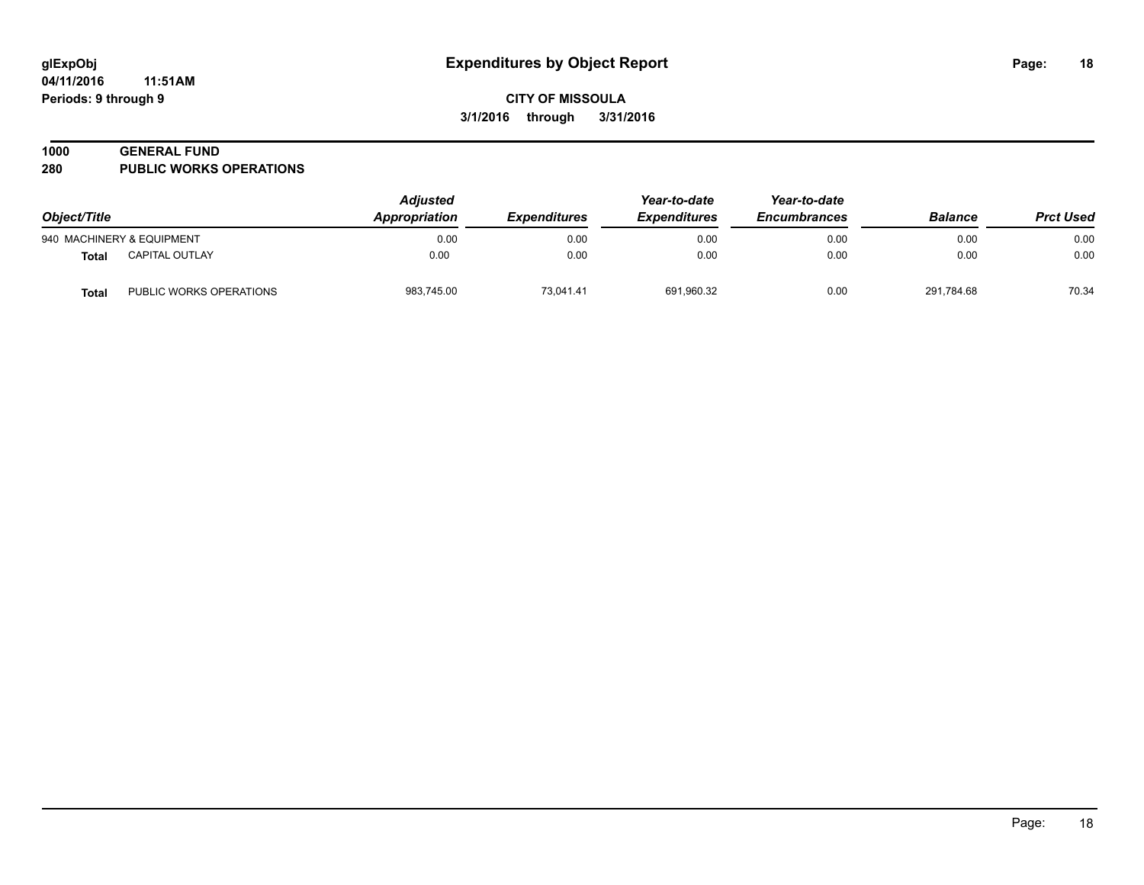#### **1000 GENERAL FUND**

**280 PUBLIC WORKS OPERATIONS**

| Object/Title |                           | <b>Adjusted</b><br>Appropriation | <i><b>Expenditures</b></i> | Year-to-date<br><b>Expenditures</b> | Year-to-date<br><b>Encumbrances</b> | <b>Balance</b> | <b>Prct Used</b> |
|--------------|---------------------------|----------------------------------|----------------------------|-------------------------------------|-------------------------------------|----------------|------------------|
|              | 940 MACHINERY & EQUIPMENT | 0.00                             | 0.00                       | 0.00                                | 0.00                                | 0.00           | 0.00             |
| Total        | CAPITAL OUTLAY            | 0.00                             | 0.00                       | 0.00                                | 0.00                                | 0.00           | 0.00             |
| Total        | PUBLIC WORKS OPERATIONS   | 983,745.00                       | 73,041.41                  | 691,960.32                          | 0.00                                | 291,784.68     | 70.34            |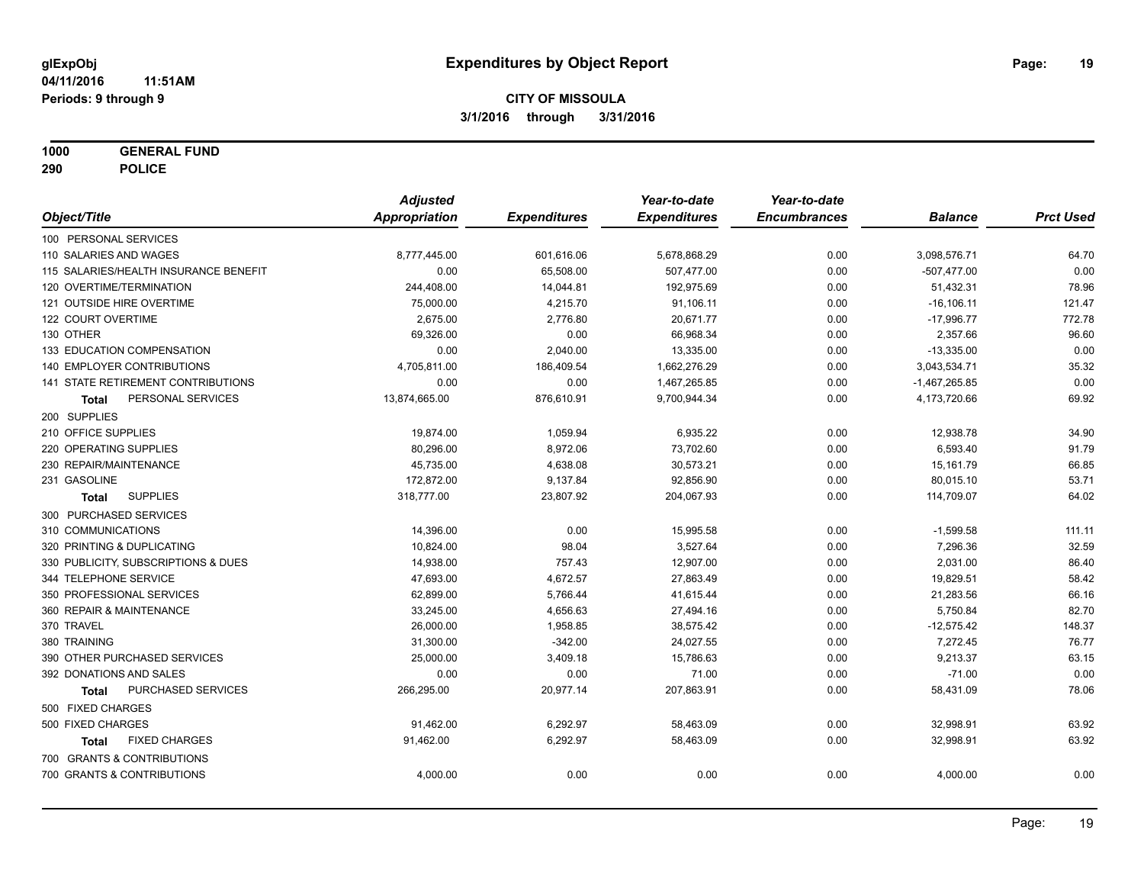**1000 GENERAL FUND**

**290 POLICE**

|                                           | <b>Adjusted</b> |                     | Year-to-date        | Year-to-date        |                 |                  |
|-------------------------------------------|-----------------|---------------------|---------------------|---------------------|-----------------|------------------|
| Object/Title                              | Appropriation   | <b>Expenditures</b> | <b>Expenditures</b> | <b>Encumbrances</b> | <b>Balance</b>  | <b>Prct Used</b> |
| 100 PERSONAL SERVICES                     |                 |                     |                     |                     |                 |                  |
| 110 SALARIES AND WAGES                    | 8,777,445.00    | 601,616.06          | 5,678,868.29        | 0.00                | 3,098,576.71    | 64.70            |
| 115 SALARIES/HEALTH INSURANCE BENEFIT     | 0.00            | 65,508.00           | 507,477.00          | 0.00                | $-507,477.00$   | 0.00             |
| 120 OVERTIME/TERMINATION                  | 244,408.00      | 14,044.81           | 192,975.69          | 0.00                | 51,432.31       | 78.96            |
| 121 OUTSIDE HIRE OVERTIME                 | 75,000.00       | 4,215.70            | 91,106.11           | 0.00                | $-16, 106.11$   | 121.47           |
| 122 COURT OVERTIME                        | 2,675.00        | 2,776.80            | 20,671.77           | 0.00                | $-17,996.77$    | 772.78           |
| 130 OTHER                                 | 69,326.00       | 0.00                | 66,968.34           | 0.00                | 2,357.66        | 96.60            |
| 133 EDUCATION COMPENSATION                | 0.00            | 2,040.00            | 13,335.00           | 0.00                | $-13,335.00$    | 0.00             |
| <b>140 EMPLOYER CONTRIBUTIONS</b>         | 4,705,811.00    | 186,409.54          | 1,662,276.29        | 0.00                | 3,043,534.71    | 35.32            |
| <b>141 STATE RETIREMENT CONTRIBUTIONS</b> | 0.00            | 0.00                | 1,467,265.85        | 0.00                | $-1,467,265.85$ | 0.00             |
| PERSONAL SERVICES<br>Total                | 13,874,665.00   | 876,610.91          | 9,700,944.34        | 0.00                | 4,173,720.66    | 69.92            |
| 200 SUPPLIES                              |                 |                     |                     |                     |                 |                  |
| 210 OFFICE SUPPLIES                       | 19,874.00       | 1,059.94            | 6,935.22            | 0.00                | 12,938.78       | 34.90            |
| 220 OPERATING SUPPLIES                    | 80,296.00       | 8,972.06            | 73,702.60           | 0.00                | 6,593.40        | 91.79            |
| 230 REPAIR/MAINTENANCE                    | 45,735.00       | 4,638.08            | 30,573.21           | 0.00                | 15,161.79       | 66.85            |
| 231 GASOLINE                              | 172,872.00      | 9,137.84            | 92,856.90           | 0.00                | 80,015.10       | 53.71            |
| <b>SUPPLIES</b><br>Total                  | 318,777.00      | 23,807.92           | 204,067.93          | 0.00                | 114,709.07      | 64.02            |
| 300 PURCHASED SERVICES                    |                 |                     |                     |                     |                 |                  |
| 310 COMMUNICATIONS                        | 14,396.00       | 0.00                | 15,995.58           | 0.00                | $-1,599.58$     | 111.11           |
| 320 PRINTING & DUPLICATING                | 10,824.00       | 98.04               | 3,527.64            | 0.00                | 7,296.36        | 32.59            |
| 330 PUBLICITY, SUBSCRIPTIONS & DUES       | 14,938.00       | 757.43              | 12,907.00           | 0.00                | 2,031.00        | 86.40            |
| 344 TELEPHONE SERVICE                     | 47,693.00       | 4,672.57            | 27,863.49           | 0.00                | 19,829.51       | 58.42            |
| 350 PROFESSIONAL SERVICES                 | 62,899.00       | 5,766.44            | 41,615.44           | 0.00                | 21,283.56       | 66.16            |
| 360 REPAIR & MAINTENANCE                  | 33,245.00       | 4,656.63            | 27,494.16           | 0.00                | 5,750.84        | 82.70            |
| 370 TRAVEL                                | 26,000.00       | 1,958.85            | 38,575.42           | 0.00                | $-12,575.42$    | 148.37           |
| 380 TRAINING                              | 31,300.00       | $-342.00$           | 24,027.55           | 0.00                | 7,272.45        | 76.77            |
| 390 OTHER PURCHASED SERVICES              | 25,000.00       | 3,409.18            | 15,786.63           | 0.00                | 9,213.37        | 63.15            |
| 392 DONATIONS AND SALES                   | 0.00            | 0.00                | 71.00               | 0.00                | $-71.00$        | 0.00             |
| PURCHASED SERVICES<br><b>Total</b>        | 266,295.00      | 20,977.14           | 207,863.91          | 0.00                | 58,431.09       | 78.06            |
| 500 FIXED CHARGES                         |                 |                     |                     |                     |                 |                  |
| 500 FIXED CHARGES                         | 91,462.00       | 6,292.97            | 58,463.09           | 0.00                | 32,998.91       | 63.92            |
| <b>FIXED CHARGES</b><br>Total             | 91,462.00       | 6,292.97            | 58,463.09           | 0.00                | 32,998.91       | 63.92            |
| 700 GRANTS & CONTRIBUTIONS                |                 |                     |                     |                     |                 |                  |
| 700 GRANTS & CONTRIBUTIONS                | 4,000.00        | 0.00                | 0.00                | 0.00                | 4,000.00        | 0.00             |
|                                           |                 |                     |                     |                     |                 |                  |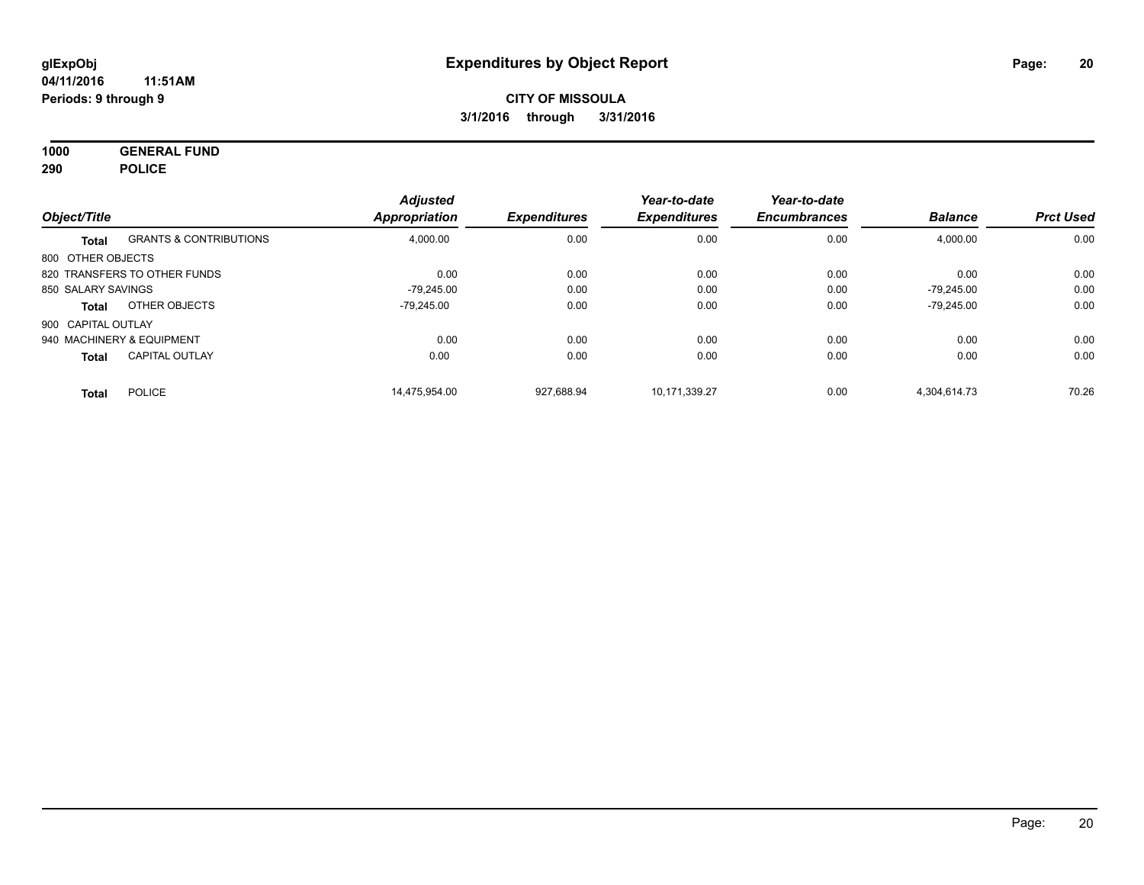**1000 GENERAL FUND 290 POLICE**

|                           |                                   | <b>Adjusted</b>      | <b>Expenditures</b> | Year-to-date<br><b>Expenditures</b> | Year-to-date<br><b>Encumbrances</b> | <b>Balance</b> | <b>Prct Used</b> |
|---------------------------|-----------------------------------|----------------------|---------------------|-------------------------------------|-------------------------------------|----------------|------------------|
| Object/Title              |                                   | <b>Appropriation</b> |                     |                                     |                                     |                |                  |
| <b>Total</b>              | <b>GRANTS &amp; CONTRIBUTIONS</b> | 4,000.00             | 0.00                | 0.00                                | 0.00                                | 4,000.00       | 0.00             |
| 800 OTHER OBJECTS         |                                   |                      |                     |                                     |                                     |                |                  |
|                           | 820 TRANSFERS TO OTHER FUNDS      | 0.00                 | 0.00                | 0.00                                | 0.00                                | 0.00           | 0.00             |
| 850 SALARY SAVINGS        |                                   | -79.245.00           | 0.00                | 0.00                                | 0.00                                | $-79.245.00$   | 0.00             |
| Total                     | OTHER OBJECTS                     | -79.245.00           | 0.00                | 0.00                                | 0.00                                | $-79.245.00$   | 0.00             |
| 900 CAPITAL OUTLAY        |                                   |                      |                     |                                     |                                     |                |                  |
| 940 MACHINERY & EQUIPMENT |                                   | 0.00                 | 0.00                | 0.00                                | 0.00                                | 0.00           | 0.00             |
| <b>Total</b>              | <b>CAPITAL OUTLAY</b>             | 0.00                 | 0.00                | 0.00                                | 0.00                                | 0.00           | 0.00             |
| <b>Total</b>              | <b>POLICE</b>                     | 14.475.954.00        | 927.688.94          | 10.171.339.27                       | 0.00                                | 4.304.614.73   | 70.26            |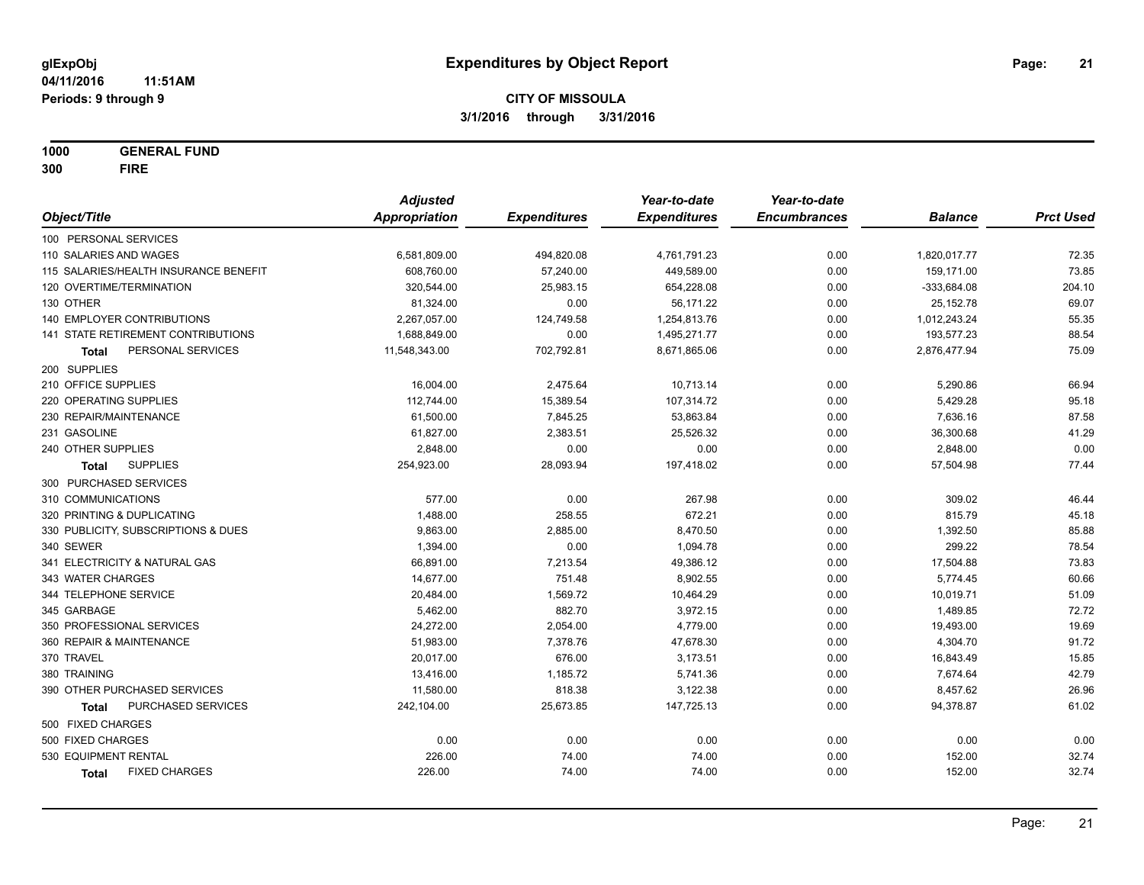**1000 GENERAL FUND 300 FIRE**

|                                           | <b>Adjusted</b>      |                     | Year-to-date        | Year-to-date        |                |                  |
|-------------------------------------------|----------------------|---------------------|---------------------|---------------------|----------------|------------------|
| Object/Title                              | <b>Appropriation</b> | <b>Expenditures</b> | <b>Expenditures</b> | <b>Encumbrances</b> | <b>Balance</b> | <b>Prct Used</b> |
| 100 PERSONAL SERVICES                     |                      |                     |                     |                     |                |                  |
| 110 SALARIES AND WAGES                    | 6,581,809.00         | 494,820.08          | 4,761,791.23        | 0.00                | 1,820,017.77   | 72.35            |
| 115 SALARIES/HEALTH INSURANCE BENEFIT     | 608,760.00           | 57,240.00           | 449,589.00          | 0.00                | 159,171.00     | 73.85            |
| 120 OVERTIME/TERMINATION                  | 320,544.00           | 25,983.15           | 654,228.08          | 0.00                | $-333,684.08$  | 204.10           |
| 130 OTHER                                 | 81,324.00            | 0.00                | 56,171.22           | 0.00                | 25, 152. 78    | 69.07            |
| 140 EMPLOYER CONTRIBUTIONS                | 2,267,057.00         | 124,749.58          | 1,254,813.76        | 0.00                | 1,012,243.24   | 55.35            |
| 141 STATE RETIREMENT CONTRIBUTIONS        | 1,688,849.00         | 0.00                | 1,495,271.77        | 0.00                | 193,577.23     | 88.54            |
| PERSONAL SERVICES<br>Total                | 11,548,343.00        | 702,792.81          | 8,671,865.06        | 0.00                | 2,876,477.94   | 75.09            |
| 200 SUPPLIES                              |                      |                     |                     |                     |                |                  |
| 210 OFFICE SUPPLIES                       | 16,004.00            | 2,475.64            | 10,713.14           | 0.00                | 5,290.86       | 66.94            |
| 220 OPERATING SUPPLIES                    | 112,744.00           | 15,389.54           | 107,314.72          | 0.00                | 5,429.28       | 95.18            |
| 230 REPAIR/MAINTENANCE                    | 61,500.00            | 7,845.25            | 53,863.84           | 0.00                | 7,636.16       | 87.58            |
| 231 GASOLINE                              | 61,827.00            | 2,383.51            | 25,526.32           | 0.00                | 36,300.68      | 41.29            |
| 240 OTHER SUPPLIES                        | 2,848.00             | 0.00                | 0.00                | 0.00                | 2,848.00       | 0.00             |
| <b>SUPPLIES</b><br>Total                  | 254,923.00           | 28,093.94           | 197,418.02          | 0.00                | 57,504.98      | 77.44            |
| 300 PURCHASED SERVICES                    |                      |                     |                     |                     |                |                  |
| 310 COMMUNICATIONS                        | 577.00               | 0.00                | 267.98              | 0.00                | 309.02         | 46.44            |
| 320 PRINTING & DUPLICATING                | 1,488.00             | 258.55              | 672.21              | 0.00                | 815.79         | 45.18            |
| 330 PUBLICITY, SUBSCRIPTIONS & DUES       | 9,863.00             | 2,885.00            | 8,470.50            | 0.00                | 1,392.50       | 85.88            |
| 340 SEWER                                 | 1,394.00             | 0.00                | 1,094.78            | 0.00                | 299.22         | 78.54            |
| 341 ELECTRICITY & NATURAL GAS             | 66,891.00            | 7,213.54            | 49,386.12           | 0.00                | 17,504.88      | 73.83            |
| 343 WATER CHARGES                         | 14,677.00            | 751.48              | 8,902.55            | 0.00                | 5,774.45       | 60.66            |
| 344 TELEPHONE SERVICE                     | 20,484.00            | 1,569.72            | 10,464.29           | 0.00                | 10,019.71      | 51.09            |
| 345 GARBAGE                               | 5,462.00             | 882.70              | 3,972.15            | 0.00                | 1,489.85       | 72.72            |
| 350 PROFESSIONAL SERVICES                 | 24,272.00            | 2,054.00            | 4,779.00            | 0.00                | 19,493.00      | 19.69            |
| 360 REPAIR & MAINTENANCE                  | 51,983.00            | 7,378.76            | 47,678.30           | 0.00                | 4,304.70       | 91.72            |
| 370 TRAVEL                                | 20,017.00            | 676.00              | 3,173.51            | 0.00                | 16,843.49      | 15.85            |
| 380 TRAINING                              | 13,416.00            | 1,185.72            | 5,741.36            | 0.00                | 7,674.64       | 42.79            |
| 390 OTHER PURCHASED SERVICES              | 11,580.00            | 818.38              | 3,122.38            | 0.00                | 8,457.62       | 26.96            |
| <b>PURCHASED SERVICES</b><br><b>Total</b> | 242,104.00           | 25,673.85           | 147,725.13          | 0.00                | 94,378.87      | 61.02            |
| 500 FIXED CHARGES                         |                      |                     |                     |                     |                |                  |
| 500 FIXED CHARGES                         | 0.00                 | 0.00                | 0.00                | 0.00                | 0.00           | 0.00             |
| 530 EQUIPMENT RENTAL                      | 226.00               | 74.00               | 74.00               | 0.00                | 152.00         | 32.74            |
| <b>FIXED CHARGES</b><br>Total             | 226.00               | 74.00               | 74.00               | 0.00                | 152.00         | 32.74            |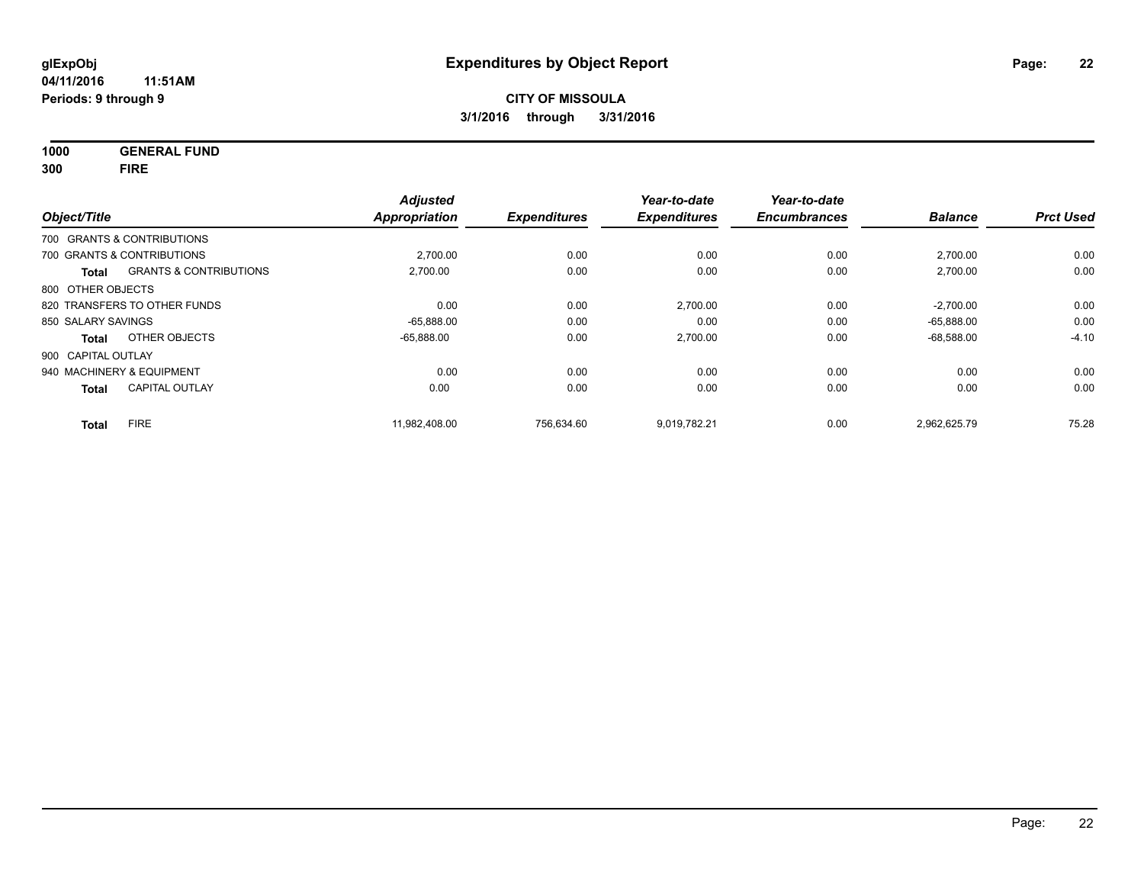**1000 GENERAL FUND**

**300 FIRE**

| Object/Title       |                                   | <b>Adjusted</b><br><b>Appropriation</b> | <b>Expenditures</b> | Year-to-date<br><b>Expenditures</b> | Year-to-date<br><b>Encumbrances</b> | <b>Balance</b> | <b>Prct Used</b> |
|--------------------|-----------------------------------|-----------------------------------------|---------------------|-------------------------------------|-------------------------------------|----------------|------------------|
|                    |                                   |                                         |                     |                                     |                                     |                |                  |
|                    | 700 GRANTS & CONTRIBUTIONS        |                                         |                     |                                     |                                     |                |                  |
|                    | 700 GRANTS & CONTRIBUTIONS        | 2,700.00                                | 0.00                | 0.00                                | 0.00                                | 2,700.00       | 0.00             |
| <b>Total</b>       | <b>GRANTS &amp; CONTRIBUTIONS</b> | 2,700.00                                | 0.00                | 0.00                                | 0.00                                | 2,700.00       | 0.00             |
| 800 OTHER OBJECTS  |                                   |                                         |                     |                                     |                                     |                |                  |
|                    | 820 TRANSFERS TO OTHER FUNDS      | 0.00                                    | 0.00                | 2,700.00                            | 0.00                                | $-2,700.00$    | 0.00             |
| 850 SALARY SAVINGS |                                   | $-65,888.00$                            | 0.00                | 0.00                                | 0.00                                | $-65,888.00$   | 0.00             |
| Total              | OTHER OBJECTS                     | $-65,888.00$                            | 0.00                | 2,700.00                            | 0.00                                | $-68,588.00$   | $-4.10$          |
| 900 CAPITAL OUTLAY |                                   |                                         |                     |                                     |                                     |                |                  |
|                    | 940 MACHINERY & EQUIPMENT         | 0.00                                    | 0.00                | 0.00                                | 0.00                                | 0.00           | 0.00             |
| <b>Total</b>       | <b>CAPITAL OUTLAY</b>             | 0.00                                    | 0.00                | 0.00                                | 0.00                                | 0.00           | 0.00             |
| <b>Total</b>       | <b>FIRE</b>                       | 11.982.408.00                           | 756,634.60          | 9,019,782.21                        | 0.00                                | 2,962,625.79   | 75.28            |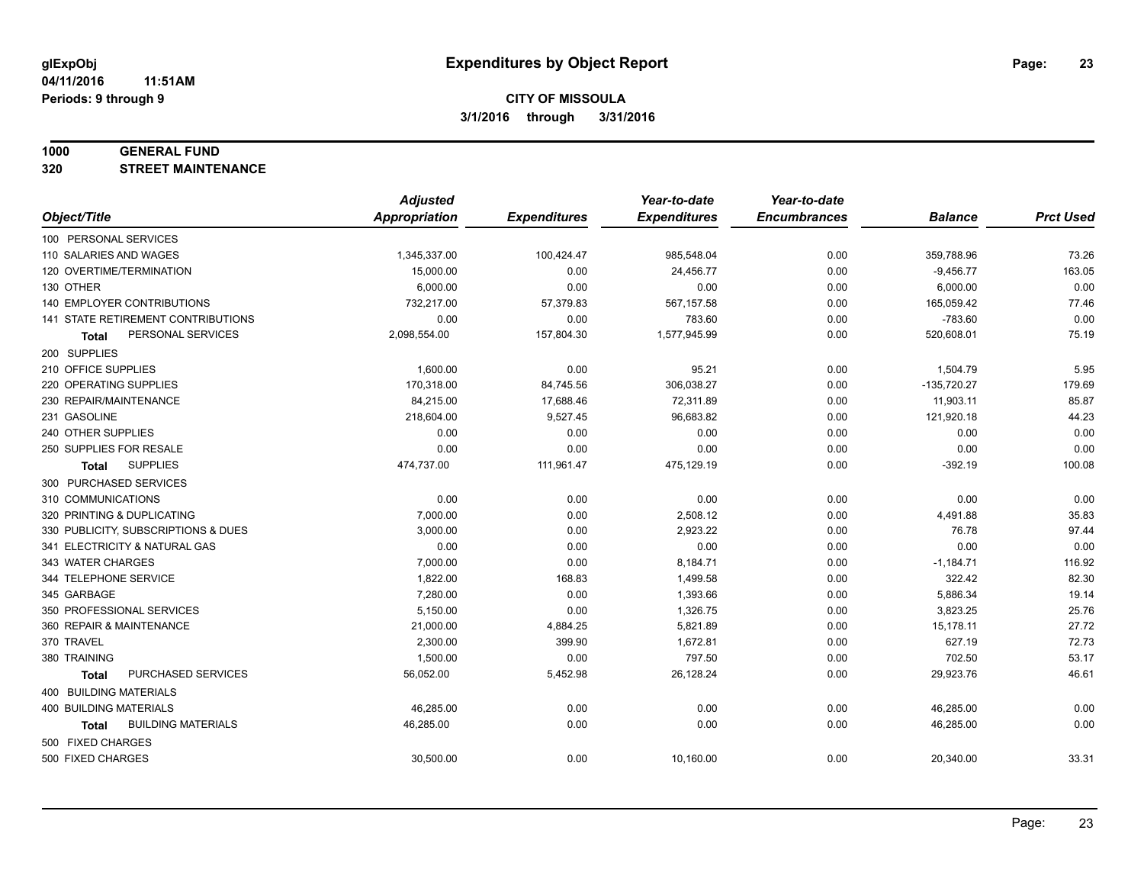#### **1000 GENERAL FUND**

**320 STREET MAINTENANCE**

|                                           | <b>Adjusted</b>      |                     | Year-to-date        | Year-to-date        |                |                  |
|-------------------------------------------|----------------------|---------------------|---------------------|---------------------|----------------|------------------|
| Object/Title                              | <b>Appropriation</b> | <b>Expenditures</b> | <b>Expenditures</b> | <b>Encumbrances</b> | <b>Balance</b> | <b>Prct Used</b> |
| 100 PERSONAL SERVICES                     |                      |                     |                     |                     |                |                  |
| 110 SALARIES AND WAGES                    | 1,345,337.00         | 100,424.47          | 985,548.04          | 0.00                | 359,788.96     | 73.26            |
| 120 OVERTIME/TERMINATION                  | 15,000.00            | 0.00                | 24,456.77           | 0.00                | $-9,456.77$    | 163.05           |
| 130 OTHER                                 | 6,000.00             | 0.00                | 0.00                | 0.00                | 6,000.00       | 0.00             |
| <b>140 EMPLOYER CONTRIBUTIONS</b>         | 732,217.00           | 57,379.83           | 567,157.58          | 0.00                | 165,059.42     | 77.46            |
| <b>141 STATE RETIREMENT CONTRIBUTIONS</b> | 0.00                 | 0.00                | 783.60              | 0.00                | $-783.60$      | 0.00             |
| PERSONAL SERVICES<br><b>Total</b>         | 2,098,554.00         | 157,804.30          | 1,577,945.99        | 0.00                | 520,608.01     | 75.19            |
| 200 SUPPLIES                              |                      |                     |                     |                     |                |                  |
| 210 OFFICE SUPPLIES                       | 1,600.00             | 0.00                | 95.21               | 0.00                | 1,504.79       | 5.95             |
| 220 OPERATING SUPPLIES                    | 170,318.00           | 84,745.56           | 306,038.27          | 0.00                | $-135,720.27$  | 179.69           |
| 230 REPAIR/MAINTENANCE                    | 84,215.00            | 17,688.46           | 72,311.89           | 0.00                | 11,903.11      | 85.87            |
| 231 GASOLINE                              | 218,604.00           | 9,527.45            | 96,683.82           | 0.00                | 121,920.18     | 44.23            |
| 240 OTHER SUPPLIES                        | 0.00                 | 0.00                | 0.00                | 0.00                | 0.00           | 0.00             |
| 250 SUPPLIES FOR RESALE                   | 0.00                 | 0.00                | 0.00                | 0.00                | 0.00           | 0.00             |
| <b>SUPPLIES</b><br><b>Total</b>           | 474,737.00           | 111,961.47          | 475,129.19          | 0.00                | $-392.19$      | 100.08           |
| 300 PURCHASED SERVICES                    |                      |                     |                     |                     |                |                  |
| 310 COMMUNICATIONS                        | 0.00                 | 0.00                | 0.00                | 0.00                | 0.00           | 0.00             |
| 320 PRINTING & DUPLICATING                | 7,000.00             | 0.00                | 2,508.12            | 0.00                | 4,491.88       | 35.83            |
| 330 PUBLICITY, SUBSCRIPTIONS & DUES       | 3,000.00             | 0.00                | 2,923.22            | 0.00                | 76.78          | 97.44            |
| 341 ELECTRICITY & NATURAL GAS             | 0.00                 | 0.00                | 0.00                | 0.00                | 0.00           | 0.00             |
| 343 WATER CHARGES                         | 7,000.00             | 0.00                | 8,184.71            | 0.00                | $-1,184.71$    | 116.92           |
| 344 TELEPHONE SERVICE                     | 1,822.00             | 168.83              | 1,499.58            | 0.00                | 322.42         | 82.30            |
| 345 GARBAGE                               | 7,280.00             | 0.00                | 1,393.66            | 0.00                | 5,886.34       | 19.14            |
| 350 PROFESSIONAL SERVICES                 | 5,150.00             | 0.00                | 1,326.75            | 0.00                | 3,823.25       | 25.76            |
| 360 REPAIR & MAINTENANCE                  | 21,000.00            | 4,884.25            | 5,821.89            | 0.00                | 15,178.11      | 27.72            |
| 370 TRAVEL                                | 2,300.00             | 399.90              | 1,672.81            | 0.00                | 627.19         | 72.73            |
| 380 TRAINING                              | 1,500.00             | 0.00                | 797.50              | 0.00                | 702.50         | 53.17            |
| PURCHASED SERVICES<br><b>Total</b>        | 56,052.00            | 5,452.98            | 26,128.24           | 0.00                | 29,923.76      | 46.61            |
| 400 BUILDING MATERIALS                    |                      |                     |                     |                     |                |                  |
| 400 BUILDING MATERIALS                    | 46,285.00            | 0.00                | 0.00                | 0.00                | 46,285.00      | 0.00             |
| <b>BUILDING MATERIALS</b><br>Total        | 46,285.00            | 0.00                | 0.00                | 0.00                | 46,285.00      | 0.00             |
| 500 FIXED CHARGES                         |                      |                     |                     |                     |                |                  |
| 500 FIXED CHARGES                         | 30,500.00            | 0.00                | 10,160.00           | 0.00                | 20,340.00      | 33.31            |
|                                           |                      |                     |                     |                     |                |                  |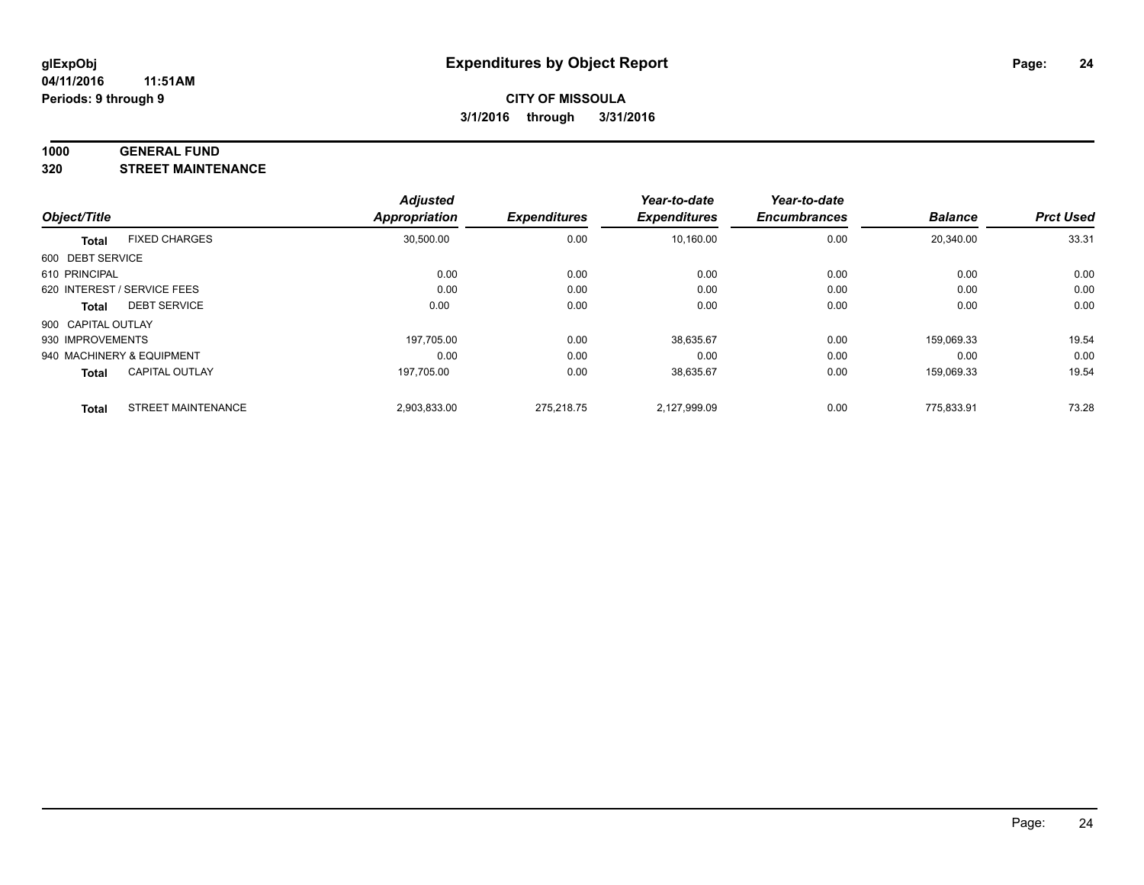#### **1000 GENERAL FUND**

**320 STREET MAINTENANCE**

|                    |                             | <b>Adjusted</b> |                     | Year-to-date        | Year-to-date        |                |                  |
|--------------------|-----------------------------|-----------------|---------------------|---------------------|---------------------|----------------|------------------|
| Object/Title       |                             | Appropriation   | <b>Expenditures</b> | <b>Expenditures</b> | <b>Encumbrances</b> | <b>Balance</b> | <b>Prct Used</b> |
| <b>Total</b>       | <b>FIXED CHARGES</b>        | 30,500.00       | 0.00                | 10,160.00           | 0.00                | 20,340.00      | 33.31            |
| 600 DEBT SERVICE   |                             |                 |                     |                     |                     |                |                  |
| 610 PRINCIPAL      |                             | 0.00            | 0.00                | 0.00                | 0.00                | 0.00           | 0.00             |
|                    | 620 INTEREST / SERVICE FEES | 0.00            | 0.00                | 0.00                | 0.00                | 0.00           | 0.00             |
| Total              | <b>DEBT SERVICE</b>         | 0.00            | 0.00                | 0.00                | 0.00                | 0.00           | 0.00             |
| 900 CAPITAL OUTLAY |                             |                 |                     |                     |                     |                |                  |
| 930 IMPROVEMENTS   |                             | 197,705.00      | 0.00                | 38,635.67           | 0.00                | 159,069.33     | 19.54            |
|                    | 940 MACHINERY & EQUIPMENT   | 0.00            | 0.00                | 0.00                | 0.00                | 0.00           | 0.00             |
| <b>Total</b>       | <b>CAPITAL OUTLAY</b>       | 197,705.00      | 0.00                | 38,635.67           | 0.00                | 159,069.33     | 19.54            |
| <b>Total</b>       | <b>STREET MAINTENANCE</b>   | 2,903,833.00    | 275.218.75          | 2.127.999.09        | 0.00                | 775.833.91     | 73.28            |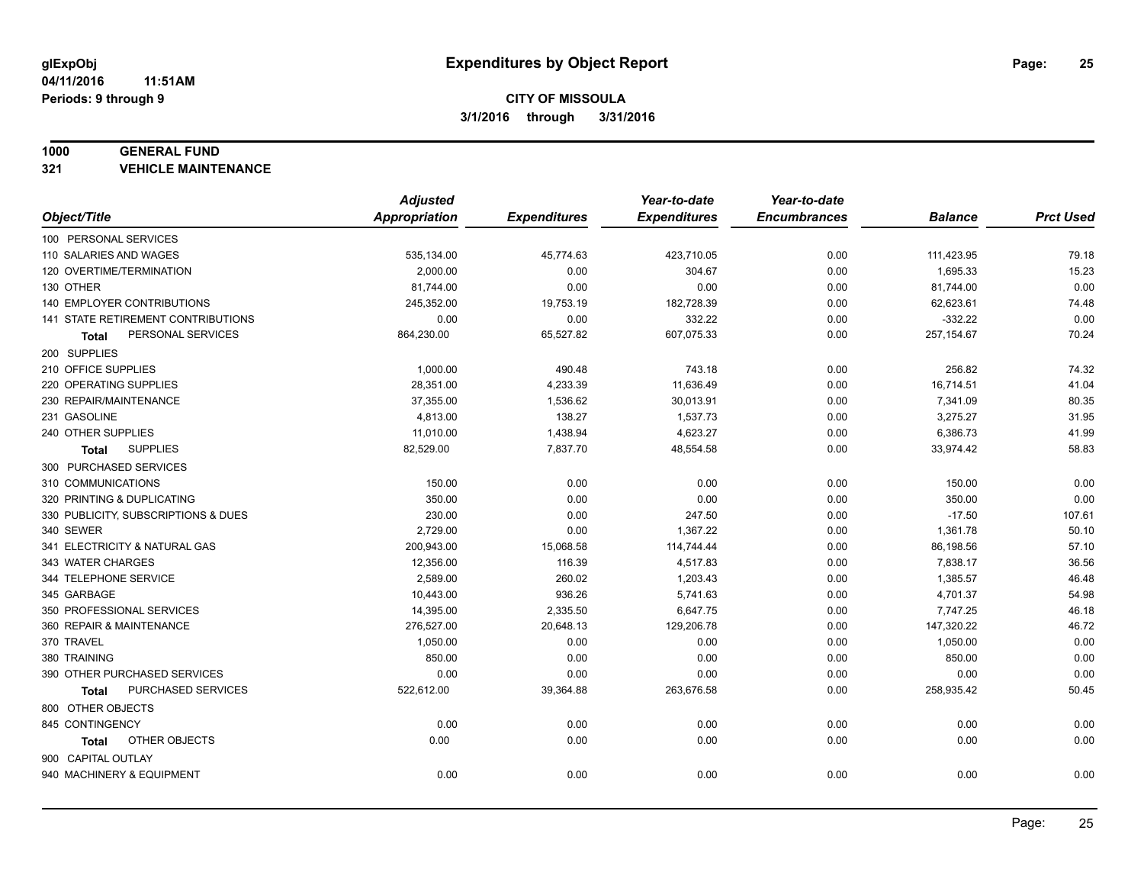#### **1000 GENERAL FUND**

**321 VEHICLE MAINTENANCE**

|                                     | <b>Adjusted</b>      |                     | Year-to-date        | Year-to-date        |                |                  |
|-------------------------------------|----------------------|---------------------|---------------------|---------------------|----------------|------------------|
| Object/Title                        | <b>Appropriation</b> | <b>Expenditures</b> | <b>Expenditures</b> | <b>Encumbrances</b> | <b>Balance</b> | <b>Prct Used</b> |
| 100 PERSONAL SERVICES               |                      |                     |                     |                     |                |                  |
| 110 SALARIES AND WAGES              | 535,134.00           | 45,774.63           | 423,710.05          | 0.00                | 111,423.95     | 79.18            |
| 120 OVERTIME/TERMINATION            | 2,000.00             | 0.00                | 304.67              | 0.00                | 1,695.33       | 15.23            |
| 130 OTHER                           | 81,744.00            | 0.00                | 0.00                | 0.00                | 81,744.00      | 0.00             |
| 140 EMPLOYER CONTRIBUTIONS          | 245,352.00           | 19,753.19           | 182,728.39          | 0.00                | 62,623.61      | 74.48            |
| 141 STATE RETIREMENT CONTRIBUTIONS  | 0.00                 | 0.00                | 332.22              | 0.00                | $-332.22$      | 0.00             |
| PERSONAL SERVICES<br>Total          | 864,230.00           | 65,527.82           | 607,075.33          | 0.00                | 257, 154.67    | 70.24            |
| 200 SUPPLIES                        |                      |                     |                     |                     |                |                  |
| 210 OFFICE SUPPLIES                 | 1,000.00             | 490.48              | 743.18              | 0.00                | 256.82         | 74.32            |
| 220 OPERATING SUPPLIES              | 28,351.00            | 4,233.39            | 11,636.49           | 0.00                | 16,714.51      | 41.04            |
| 230 REPAIR/MAINTENANCE              | 37,355.00            | 1,536.62            | 30,013.91           | 0.00                | 7,341.09       | 80.35            |
| 231 GASOLINE                        | 4,813.00             | 138.27              | 1,537.73            | 0.00                | 3,275.27       | 31.95            |
| 240 OTHER SUPPLIES                  | 11,010.00            | 1,438.94            | 4,623.27            | 0.00                | 6,386.73       | 41.99            |
| <b>SUPPLIES</b><br>Total            | 82,529.00            | 7,837.70            | 48,554.58           | 0.00                | 33,974.42      | 58.83            |
| 300 PURCHASED SERVICES              |                      |                     |                     |                     |                |                  |
| 310 COMMUNICATIONS                  | 150.00               | 0.00                | 0.00                | 0.00                | 150.00         | 0.00             |
| 320 PRINTING & DUPLICATING          | 350.00               | 0.00                | 0.00                | 0.00                | 350.00         | 0.00             |
| 330 PUBLICITY, SUBSCRIPTIONS & DUES | 230.00               | 0.00                | 247.50              | 0.00                | $-17.50$       | 107.61           |
| 340 SEWER                           | 2,729.00             | 0.00                | 1,367.22            | 0.00                | 1,361.78       | 50.10            |
| 341 ELECTRICITY & NATURAL GAS       | 200,943.00           | 15,068.58           | 114,744.44          | 0.00                | 86,198.56      | 57.10            |
| 343 WATER CHARGES                   | 12,356.00            | 116.39              | 4,517.83            | 0.00                | 7,838.17       | 36.56            |
| 344 TELEPHONE SERVICE               | 2,589.00             | 260.02              | 1,203.43            | 0.00                | 1,385.57       | 46.48            |
| 345 GARBAGE                         | 10,443.00            | 936.26              | 5,741.63            | 0.00                | 4,701.37       | 54.98            |
| 350 PROFESSIONAL SERVICES           | 14,395.00            | 2,335.50            | 6,647.75            | 0.00                | 7,747.25       | 46.18            |
| 360 REPAIR & MAINTENANCE            | 276,527.00           | 20,648.13           | 129,206.78          | 0.00                | 147,320.22     | 46.72            |
| 370 TRAVEL                          | 1,050.00             | 0.00                | 0.00                | 0.00                | 1,050.00       | 0.00             |
| 380 TRAINING                        | 850.00               | 0.00                | 0.00                | 0.00                | 850.00         | 0.00             |
| 390 OTHER PURCHASED SERVICES        | 0.00                 | 0.00                | 0.00                | 0.00                | 0.00           | 0.00             |
| PURCHASED SERVICES<br><b>Total</b>  | 522,612.00           | 39,364.88           | 263,676.58          | 0.00                | 258,935.42     | 50.45            |
| 800 OTHER OBJECTS                   |                      |                     |                     |                     |                |                  |
| 845 CONTINGENCY                     | 0.00                 | 0.00                | 0.00                | 0.00                | 0.00           | 0.00             |
| OTHER OBJECTS<br>Total              | 0.00                 | 0.00                | 0.00                | 0.00                | 0.00           | 0.00             |
| 900 CAPITAL OUTLAY                  |                      |                     |                     |                     |                |                  |
| 940 MACHINERY & EQUIPMENT           | 0.00                 | 0.00                | 0.00                | 0.00                | 0.00           | 0.00             |
|                                     |                      |                     |                     |                     |                |                  |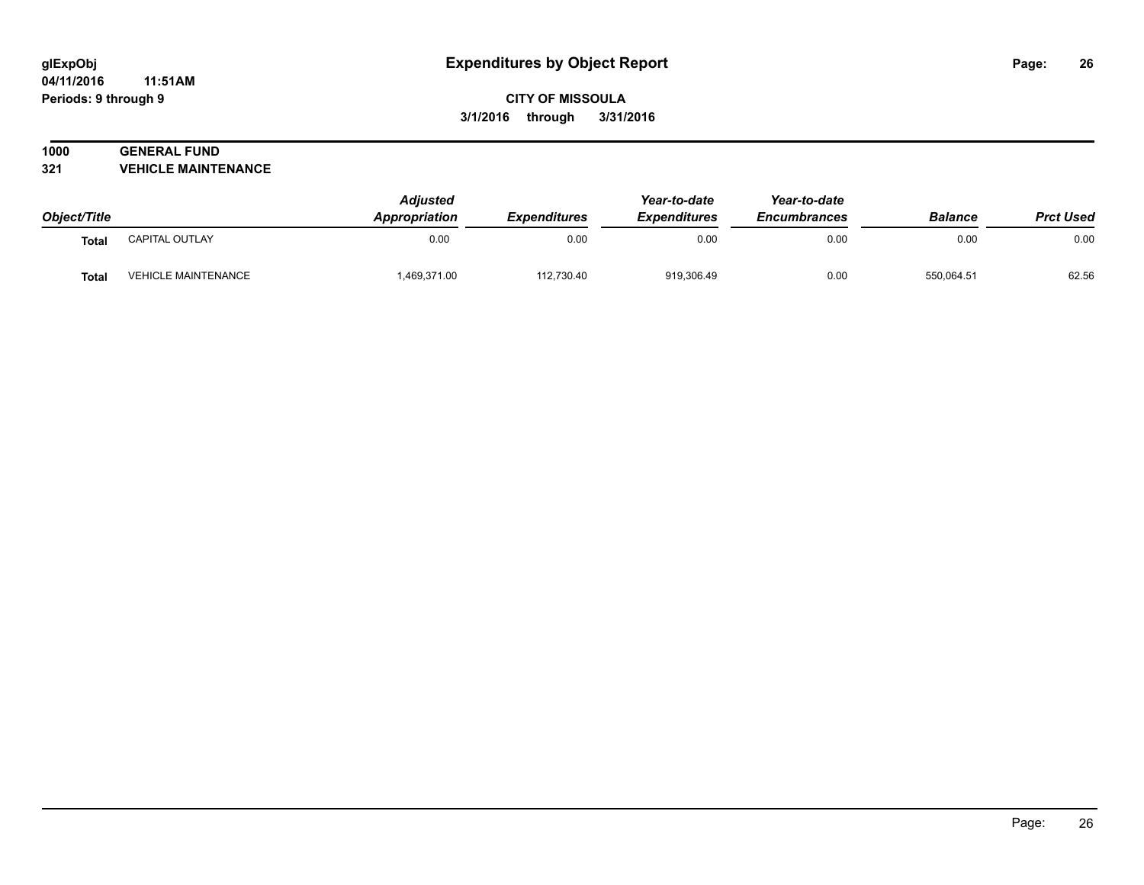#### **04/11/2016 11:51AM Periods: 9 through 9**

# **CITY OF MISSOULA 3/1/2016 through 3/31/2016**

# **1000 GENERAL FUND**

**321 VEHICLE MAINTENANCE**

|              |                     | <b>Adjusted</b><br>Appropriation | <i><b>Expenditures</b></i> | Year-to-date<br><b>Expenditures</b> | Year-to-date        | <b>Balance</b> | <b>Prct Used</b> |
|--------------|---------------------|----------------------------------|----------------------------|-------------------------------------|---------------------|----------------|------------------|
| Object/Title |                     |                                  |                            |                                     | <b>Encumbrances</b> |                |                  |
| <b>Total</b> | CAPITAL OUTLAY      | 0.00                             | 0.00                       | 0.00                                | 0.00                | 0.00           | 0.00             |
| Total        | VEHICLE MAINTENANCE | 1,469,371.00                     | 112.730.40                 | 919.306.49                          | 0.00                | 550.064.51     | 62.56            |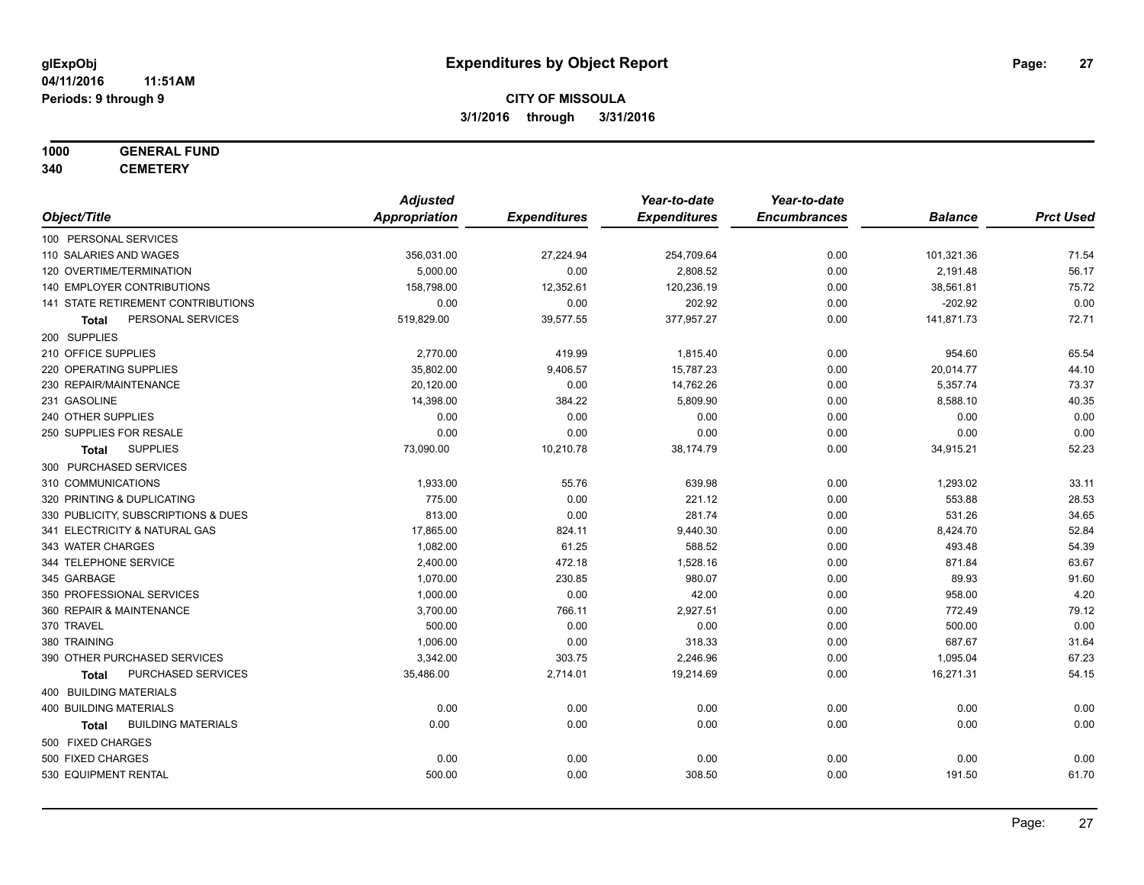# **1000 GENERAL FUND**

**340 CEMETERY**

|                                           | <b>Adjusted</b>      |                     | Year-to-date        | Year-to-date        |                |                  |
|-------------------------------------------|----------------------|---------------------|---------------------|---------------------|----------------|------------------|
| Object/Title                              | <b>Appropriation</b> | <b>Expenditures</b> | <b>Expenditures</b> | <b>Encumbrances</b> | <b>Balance</b> | <b>Prct Used</b> |
| 100 PERSONAL SERVICES                     |                      |                     |                     |                     |                |                  |
| 110 SALARIES AND WAGES                    | 356,031.00           | 27,224.94           | 254,709.64          | 0.00                | 101,321.36     | 71.54            |
| 120 OVERTIME/TERMINATION                  | 5,000.00             | 0.00                | 2,808.52            | 0.00                | 2,191.48       | 56.17            |
| <b>140 EMPLOYER CONTRIBUTIONS</b>         | 158,798.00           | 12,352.61           | 120,236.19          | 0.00                | 38,561.81      | 75.72            |
| 141 STATE RETIREMENT CONTRIBUTIONS        | 0.00                 | 0.00                | 202.92              | 0.00                | $-202.92$      | 0.00             |
| PERSONAL SERVICES<br>Total                | 519,829.00           | 39,577.55           | 377,957.27          | 0.00                | 141,871.73     | 72.71            |
| 200 SUPPLIES                              |                      |                     |                     |                     |                |                  |
| 210 OFFICE SUPPLIES                       | 2,770.00             | 419.99              | 1,815.40            | 0.00                | 954.60         | 65.54            |
| 220 OPERATING SUPPLIES                    | 35,802.00            | 9,406.57            | 15,787.23           | 0.00                | 20,014.77      | 44.10            |
| 230 REPAIR/MAINTENANCE                    | 20,120.00            | 0.00                | 14,762.26           | 0.00                | 5,357.74       | 73.37            |
| 231 GASOLINE                              | 14,398.00            | 384.22              | 5,809.90            | 0.00                | 8,588.10       | 40.35            |
| 240 OTHER SUPPLIES                        | 0.00                 | 0.00                | 0.00                | 0.00                | 0.00           | 0.00             |
| 250 SUPPLIES FOR RESALE                   | 0.00                 | 0.00                | 0.00                | 0.00                | 0.00           | 0.00             |
| <b>SUPPLIES</b><br>Total                  | 73,090.00            | 10,210.78           | 38,174.79           | 0.00                | 34,915.21      | 52.23            |
| 300 PURCHASED SERVICES                    |                      |                     |                     |                     |                |                  |
| 310 COMMUNICATIONS                        | 1,933.00             | 55.76               | 639.98              | 0.00                | 1,293.02       | 33.11            |
| 320 PRINTING & DUPLICATING                | 775.00               | 0.00                | 221.12              | 0.00                | 553.88         | 28.53            |
| 330 PUBLICITY, SUBSCRIPTIONS & DUES       | 813.00               | 0.00                | 281.74              | 0.00                | 531.26         | 34.65            |
| 341 ELECTRICITY & NATURAL GAS             | 17,865.00            | 824.11              | 9,440.30            | 0.00                | 8,424.70       | 52.84            |
| 343 WATER CHARGES                         | 1,082.00             | 61.25               | 588.52              | 0.00                | 493.48         | 54.39            |
| 344 TELEPHONE SERVICE                     | 2,400.00             | 472.18              | 1,528.16            | 0.00                | 871.84         | 63.67            |
| 345 GARBAGE                               | 1,070.00             | 230.85              | 980.07              | 0.00                | 89.93          | 91.60            |
| 350 PROFESSIONAL SERVICES                 | 1,000.00             | 0.00                | 42.00               | 0.00                | 958.00         | 4.20             |
| 360 REPAIR & MAINTENANCE                  | 3,700.00             | 766.11              | 2,927.51            | 0.00                | 772.49         | 79.12            |
| 370 TRAVEL                                | 500.00               | 0.00                | 0.00                | 0.00                | 500.00         | 0.00             |
| 380 TRAINING                              | 1,006.00             | 0.00                | 318.33              | 0.00                | 687.67         | 31.64            |
| 390 OTHER PURCHASED SERVICES              | 3,342.00             | 303.75              | 2,246.96            | 0.00                | 1,095.04       | 67.23            |
| PURCHASED SERVICES<br><b>Total</b>        | 35,486.00            | 2,714.01            | 19,214.69           | 0.00                | 16,271.31      | 54.15            |
| 400 BUILDING MATERIALS                    |                      |                     |                     |                     |                |                  |
| <b>400 BUILDING MATERIALS</b>             | 0.00                 | 0.00                | 0.00                | 0.00                | 0.00           | 0.00             |
| <b>BUILDING MATERIALS</b><br><b>Total</b> | 0.00                 | 0.00                | 0.00                | 0.00                | 0.00           | 0.00             |
| 500 FIXED CHARGES                         |                      |                     |                     |                     |                |                  |
| 500 FIXED CHARGES                         | 0.00                 | 0.00                | 0.00                | 0.00                | 0.00           | 0.00             |
| 530 EQUIPMENT RENTAL                      | 500.00               | 0.00                | 308.50              | 0.00                | 191.50         | 61.70            |
|                                           |                      |                     |                     |                     |                |                  |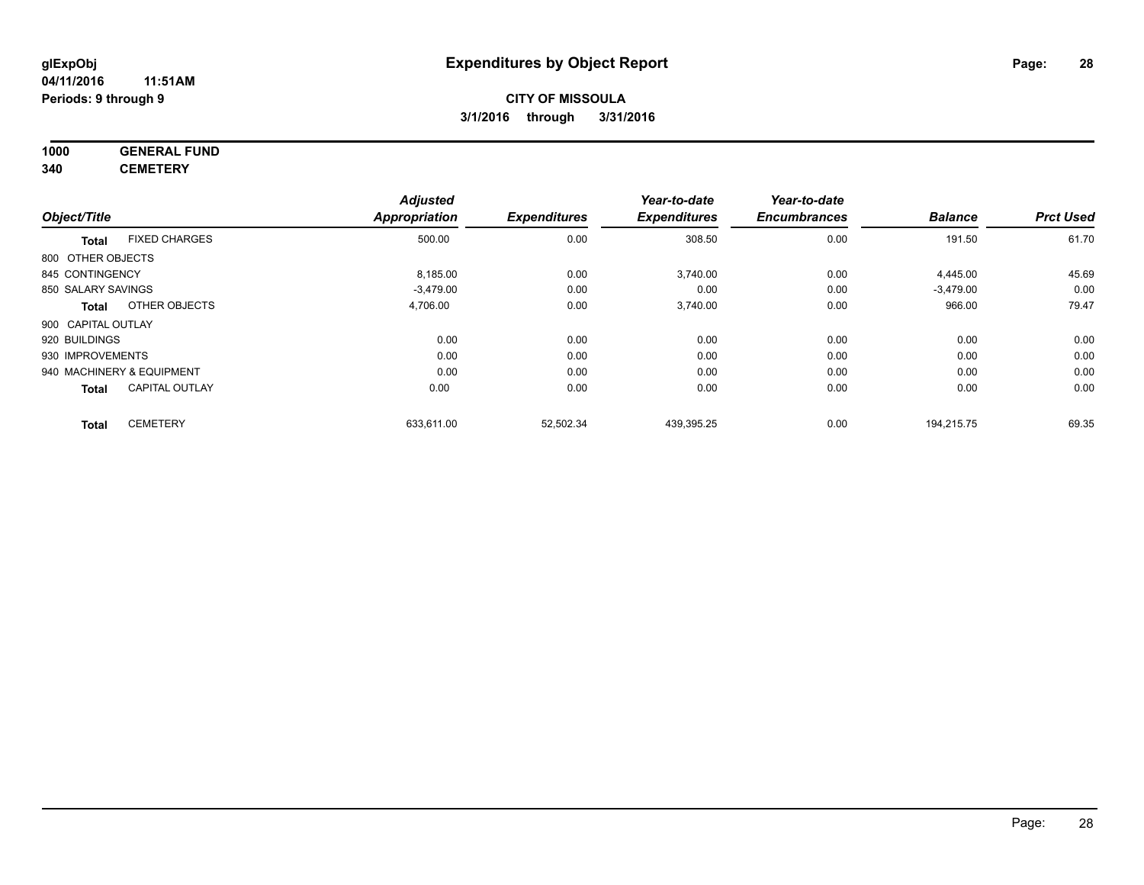# **1000 GENERAL FUND**

**340 CEMETERY**

|                           |                       | <b>Adjusted</b>      |                     | Year-to-date        | Year-to-date        |                |                  |
|---------------------------|-----------------------|----------------------|---------------------|---------------------|---------------------|----------------|------------------|
| Object/Title              |                       | <b>Appropriation</b> | <b>Expenditures</b> | <b>Expenditures</b> | <b>Encumbrances</b> | <b>Balance</b> | <b>Prct Used</b> |
| <b>Total</b>              | <b>FIXED CHARGES</b>  | 500.00               | 0.00                | 308.50              | 0.00                | 191.50         | 61.70            |
| 800 OTHER OBJECTS         |                       |                      |                     |                     |                     |                |                  |
| 845 CONTINGENCY           |                       | 8,185.00             | 0.00                | 3,740.00            | 0.00                | 4,445.00       | 45.69            |
| 850 SALARY SAVINGS        |                       | $-3,479.00$          | 0.00                | 0.00                | 0.00                | $-3,479.00$    | 0.00             |
| <b>Total</b>              | OTHER OBJECTS         | 4,706.00             | 0.00                | 3,740.00            | 0.00                | 966.00         | 79.47            |
| 900 CAPITAL OUTLAY        |                       |                      |                     |                     |                     |                |                  |
| 920 BUILDINGS             |                       | 0.00                 | 0.00                | 0.00                | 0.00                | 0.00           | 0.00             |
| 930 IMPROVEMENTS          |                       | 0.00                 | 0.00                | 0.00                | 0.00                | 0.00           | 0.00             |
| 940 MACHINERY & EQUIPMENT |                       | 0.00                 | 0.00                | 0.00                | 0.00                | 0.00           | 0.00             |
| <b>Total</b>              | <b>CAPITAL OUTLAY</b> | 0.00                 | 0.00                | 0.00                | 0.00                | 0.00           | 0.00             |
| <b>Total</b>              | <b>CEMETERY</b>       | 633,611.00           | 52,502.34           | 439,395.25          | 0.00                | 194,215.75     | 69.35            |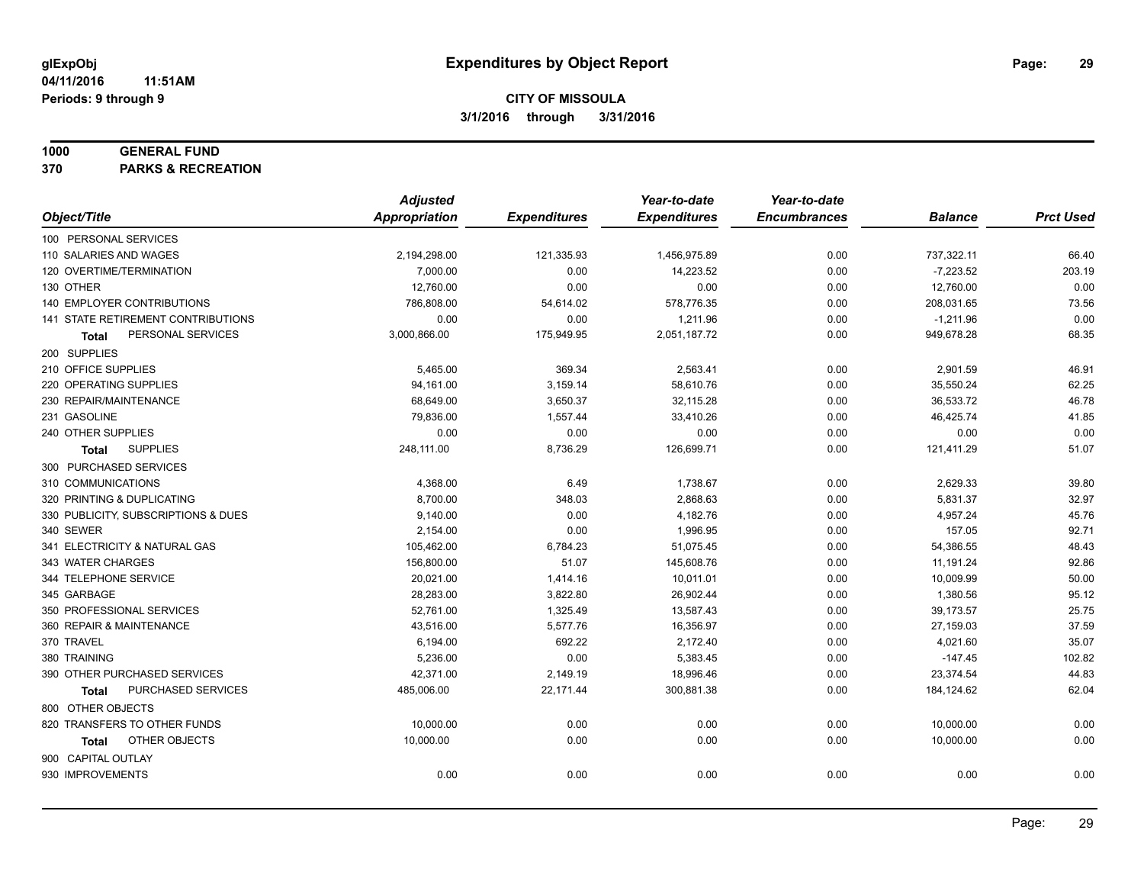#### **1000 GENERAL FUND**

**370 PARKS & RECREATION**

|                                     | <b>Adjusted</b>      |                     | Year-to-date        | Year-to-date        |                |                  |
|-------------------------------------|----------------------|---------------------|---------------------|---------------------|----------------|------------------|
| Object/Title                        | <b>Appropriation</b> | <b>Expenditures</b> | <b>Expenditures</b> | <b>Encumbrances</b> | <b>Balance</b> | <b>Prct Used</b> |
| 100 PERSONAL SERVICES               |                      |                     |                     |                     |                |                  |
| 110 SALARIES AND WAGES              | 2,194,298.00         | 121,335.93          | 1,456,975.89        | 0.00                | 737,322.11     | 66.40            |
| 120 OVERTIME/TERMINATION            | 7,000.00             | 0.00                | 14,223.52           | 0.00                | $-7,223.52$    | 203.19           |
| 130 OTHER                           | 12,760.00            | 0.00                | 0.00                | 0.00                | 12,760.00      | 0.00             |
| 140 EMPLOYER CONTRIBUTIONS          | 786,808.00           | 54,614.02           | 578,776.35          | 0.00                | 208,031.65     | 73.56            |
| 141 STATE RETIREMENT CONTRIBUTIONS  | 0.00                 | 0.00                | 1,211.96            | 0.00                | $-1,211.96$    | 0.00             |
| PERSONAL SERVICES<br>Total          | 3,000,866.00         | 175,949.95          | 2,051,187.72        | 0.00                | 949,678.28     | 68.35            |
| 200 SUPPLIES                        |                      |                     |                     |                     |                |                  |
| 210 OFFICE SUPPLIES                 | 5,465.00             | 369.34              | 2,563.41            | 0.00                | 2,901.59       | 46.91            |
| 220 OPERATING SUPPLIES              | 94,161.00            | 3,159.14            | 58,610.76           | 0.00                | 35,550.24      | 62.25            |
| 230 REPAIR/MAINTENANCE              | 68,649.00            | 3,650.37            | 32,115.28           | 0.00                | 36,533.72      | 46.78            |
| 231 GASOLINE                        | 79,836.00            | 1,557.44            | 33,410.26           | 0.00                | 46,425.74      | 41.85            |
| 240 OTHER SUPPLIES                  | 0.00                 | 0.00                | 0.00                | 0.00                | 0.00           | 0.00             |
| <b>SUPPLIES</b><br><b>Total</b>     | 248,111.00           | 8,736.29            | 126,699.71          | 0.00                | 121,411.29     | 51.07            |
| 300 PURCHASED SERVICES              |                      |                     |                     |                     |                |                  |
| 310 COMMUNICATIONS                  | 4,368.00             | 6.49                | 1,738.67            | 0.00                | 2,629.33       | 39.80            |
| 320 PRINTING & DUPLICATING          | 8,700.00             | 348.03              | 2,868.63            | 0.00                | 5,831.37       | 32.97            |
| 330 PUBLICITY, SUBSCRIPTIONS & DUES | 9,140.00             | 0.00                | 4,182.76            | 0.00                | 4,957.24       | 45.76            |
| 340 SEWER                           | 2,154.00             | 0.00                | 1,996.95            | 0.00                | 157.05         | 92.71            |
| 341 ELECTRICITY & NATURAL GAS       | 105,462.00           | 6,784.23            | 51,075.45           | 0.00                | 54,386.55      | 48.43            |
| 343 WATER CHARGES                   | 156,800.00           | 51.07               | 145,608.76          | 0.00                | 11,191.24      | 92.86            |
| 344 TELEPHONE SERVICE               | 20,021.00            | 1,414.16            | 10,011.01           | 0.00                | 10,009.99      | 50.00            |
| 345 GARBAGE                         | 28,283.00            | 3,822.80            | 26,902.44           | 0.00                | 1,380.56       | 95.12            |
| 350 PROFESSIONAL SERVICES           | 52,761.00            | 1,325.49            | 13,587.43           | 0.00                | 39,173.57      | 25.75            |
| 360 REPAIR & MAINTENANCE            | 43,516.00            | 5,577.76            | 16,356.97           | 0.00                | 27,159.03      | 37.59            |
| 370 TRAVEL                          | 6,194.00             | 692.22              | 2,172.40            | 0.00                | 4,021.60       | 35.07            |
| 380 TRAINING                        | 5,236.00             | 0.00                | 5,383.45            | 0.00                | $-147.45$      | 102.82           |
| 390 OTHER PURCHASED SERVICES        | 42,371.00            | 2,149.19            | 18,996.46           | 0.00                | 23,374.54      | 44.83            |
| PURCHASED SERVICES<br><b>Total</b>  | 485,006.00           | 22,171.44           | 300,881.38          | 0.00                | 184, 124.62    | 62.04            |
| 800 OTHER OBJECTS                   |                      |                     |                     |                     |                |                  |
| 820 TRANSFERS TO OTHER FUNDS        | 10,000.00            | 0.00                | 0.00                | 0.00                | 10,000.00      | 0.00             |
| OTHER OBJECTS<br>Total              | 10,000.00            | 0.00                | 0.00                | 0.00                | 10,000.00      | 0.00             |
| 900 CAPITAL OUTLAY                  |                      |                     |                     |                     |                |                  |
| 930 IMPROVEMENTS                    | 0.00                 | 0.00                | 0.00                | 0.00                | 0.00           | 0.00             |
|                                     |                      |                     |                     |                     |                |                  |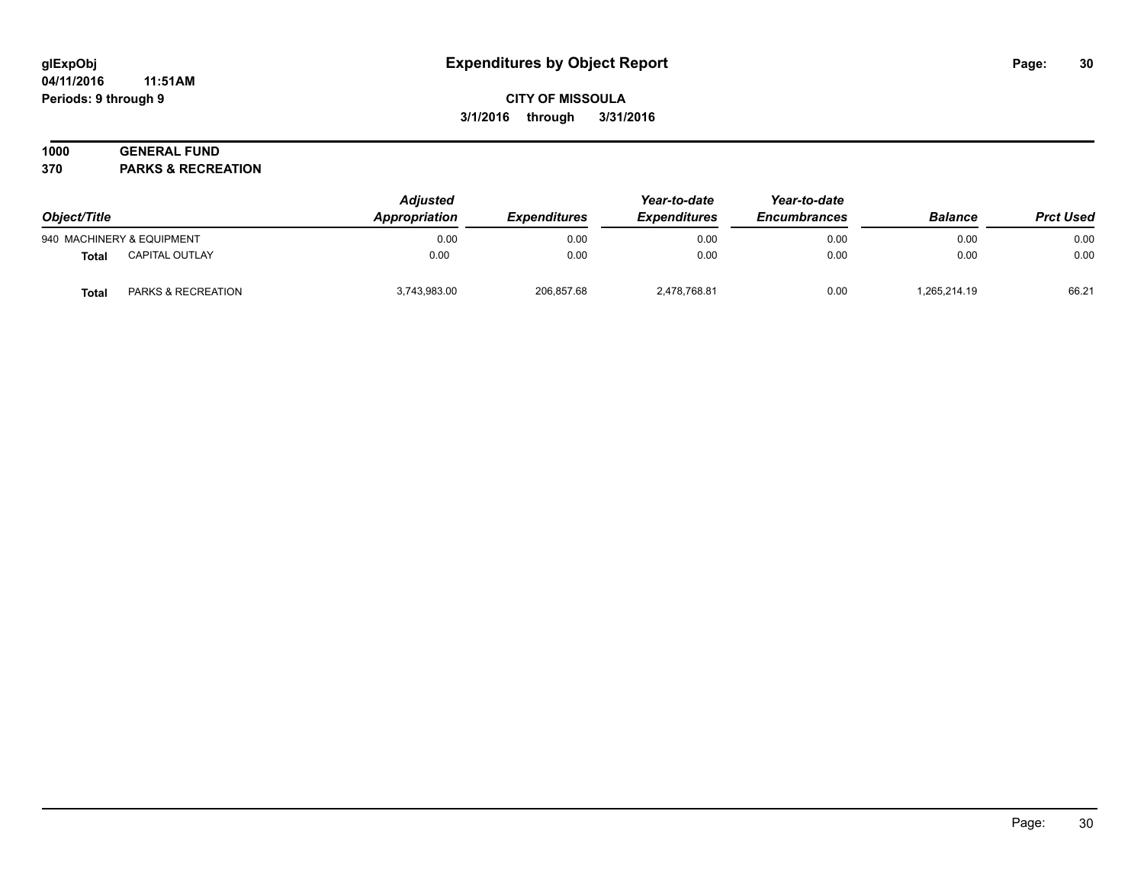#### **04/11/2016 11:51AM Periods: 9 through 9**

# **CITY OF MISSOULA 3/1/2016 through 3/31/2016**

# **1000 GENERAL FUND**

**370 PARKS & RECREATION**

| Object/Title |                           | <b>Adjusted</b><br>Appropriation | <i><b>Expenditures</b></i> | Year-to-date<br><b>Expenditures</b> | Year-to-date<br><b>Encumbrances</b> | <b>Balance</b> | <b>Prct Used</b> |
|--------------|---------------------------|----------------------------------|----------------------------|-------------------------------------|-------------------------------------|----------------|------------------|
|              | 940 MACHINERY & EQUIPMENT | 0.00                             | 0.00                       | 0.00                                | 0.00                                | 0.00           | 0.00             |
| Total        | CAPITAL OUTLAY            | 0.00                             | 0.00                       | 0.00                                | 0.00                                | 0.00           | 0.00             |
| Total        | PARKS & RECREATION        | 3,743,983.00                     | 206,857.68                 | 2,478,768.81                        | 0.00                                | 1,265,214.19   | 66.21            |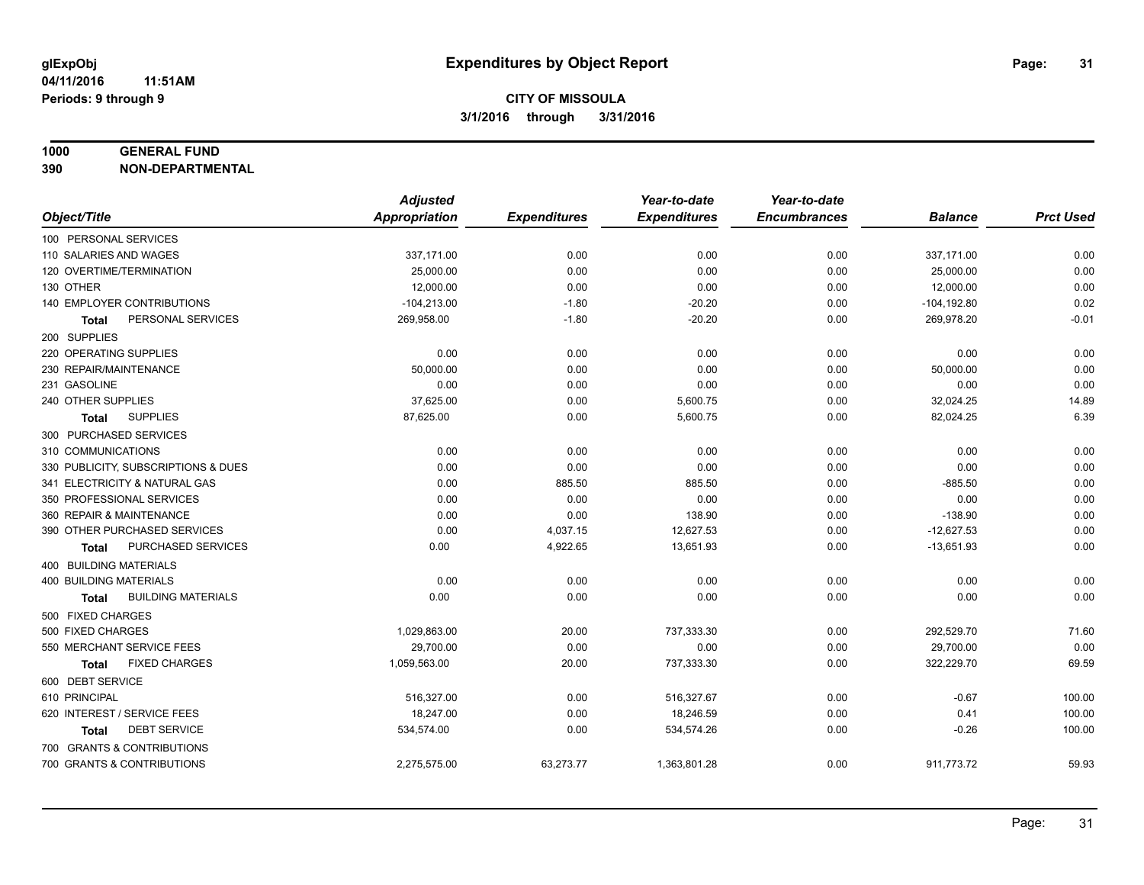#### **1000 GENERAL FUND**

**390 NON-DEPARTMENTAL**

|                                           | <b>Adjusted</b>      |                     | Year-to-date        | Year-to-date        |                |                  |
|-------------------------------------------|----------------------|---------------------|---------------------|---------------------|----------------|------------------|
| Object/Title                              | <b>Appropriation</b> | <b>Expenditures</b> | <b>Expenditures</b> | <b>Encumbrances</b> | <b>Balance</b> | <b>Prct Used</b> |
| 100 PERSONAL SERVICES                     |                      |                     |                     |                     |                |                  |
| 110 SALARIES AND WAGES                    | 337,171.00           | 0.00                | 0.00                | 0.00                | 337,171.00     | 0.00             |
| 120 OVERTIME/TERMINATION                  | 25,000.00            | 0.00                | 0.00                | 0.00                | 25,000.00      | 0.00             |
| 130 OTHER                                 | 12,000.00            | 0.00                | 0.00                | 0.00                | 12,000.00      | 0.00             |
| 140 EMPLOYER CONTRIBUTIONS                | $-104,213.00$        | $-1.80$             | $-20.20$            | 0.00                | $-104, 192.80$ | 0.02             |
| PERSONAL SERVICES<br>Total                | 269,958.00           | $-1.80$             | $-20.20$            | 0.00                | 269,978.20     | $-0.01$          |
| 200 SUPPLIES                              |                      |                     |                     |                     |                |                  |
| 220 OPERATING SUPPLIES                    | 0.00                 | 0.00                | 0.00                | 0.00                | 0.00           | 0.00             |
| 230 REPAIR/MAINTENANCE                    | 50,000.00            | 0.00                | 0.00                | 0.00                | 50,000.00      | 0.00             |
| 231 GASOLINE                              | 0.00                 | 0.00                | 0.00                | 0.00                | 0.00           | 0.00             |
| 240 OTHER SUPPLIES                        | 37,625.00            | 0.00                | 5,600.75            | 0.00                | 32,024.25      | 14.89            |
| <b>SUPPLIES</b><br>Total                  | 87,625.00            | 0.00                | 5,600.75            | 0.00                | 82,024.25      | 6.39             |
| 300 PURCHASED SERVICES                    |                      |                     |                     |                     |                |                  |
| 310 COMMUNICATIONS                        | 0.00                 | 0.00                | 0.00                | 0.00                | 0.00           | 0.00             |
| 330 PUBLICITY, SUBSCRIPTIONS & DUES       | 0.00                 | 0.00                | 0.00                | 0.00                | 0.00           | 0.00             |
| 341 ELECTRICITY & NATURAL GAS             | 0.00                 | 885.50              | 885.50              | 0.00                | $-885.50$      | 0.00             |
| 350 PROFESSIONAL SERVICES                 | 0.00                 | 0.00                | 0.00                | 0.00                | 0.00           | 0.00             |
| 360 REPAIR & MAINTENANCE                  | 0.00                 | 0.00                | 138.90              | 0.00                | $-138.90$      | 0.00             |
| 390 OTHER PURCHASED SERVICES              | 0.00                 | 4,037.15            | 12,627.53           | 0.00                | $-12,627.53$   | 0.00             |
| PURCHASED SERVICES<br><b>Total</b>        | 0.00                 | 4,922.65            | 13,651.93           | 0.00                | $-13,651.93$   | 0.00             |
| 400 BUILDING MATERIALS                    |                      |                     |                     |                     |                |                  |
| <b>400 BUILDING MATERIALS</b>             | 0.00                 | 0.00                | 0.00                | 0.00                | 0.00           | 0.00             |
| <b>BUILDING MATERIALS</b><br><b>Total</b> | 0.00                 | 0.00                | 0.00                | 0.00                | 0.00           | 0.00             |
| 500 FIXED CHARGES                         |                      |                     |                     |                     |                |                  |
| 500 FIXED CHARGES                         | 1,029,863.00         | 20.00               | 737,333.30          | 0.00                | 292,529.70     | 71.60            |
| 550 MERCHANT SERVICE FEES                 | 29,700.00            | 0.00                | 0.00                | 0.00                | 29,700.00      | 0.00             |
| <b>FIXED CHARGES</b><br><b>Total</b>      | 1,059,563.00         | 20.00               | 737,333.30          | 0.00                | 322,229.70     | 69.59            |
| 600 DEBT SERVICE                          |                      |                     |                     |                     |                |                  |
| 610 PRINCIPAL                             | 516,327.00           | 0.00                | 516,327.67          | 0.00                | $-0.67$        | 100.00           |
| 620 INTEREST / SERVICE FEES               | 18,247.00            | 0.00                | 18,246.59           | 0.00                | 0.41           | 100.00           |
| <b>DEBT SERVICE</b><br><b>Total</b>       | 534,574.00           | 0.00                | 534,574.26          | 0.00                | $-0.26$        | 100.00           |
| 700 GRANTS & CONTRIBUTIONS                |                      |                     |                     |                     |                |                  |
| 700 GRANTS & CONTRIBUTIONS                | 2,275,575.00         | 63,273.77           | 1,363,801.28        | 0.00                | 911,773.72     | 59.93            |
|                                           |                      |                     |                     |                     |                |                  |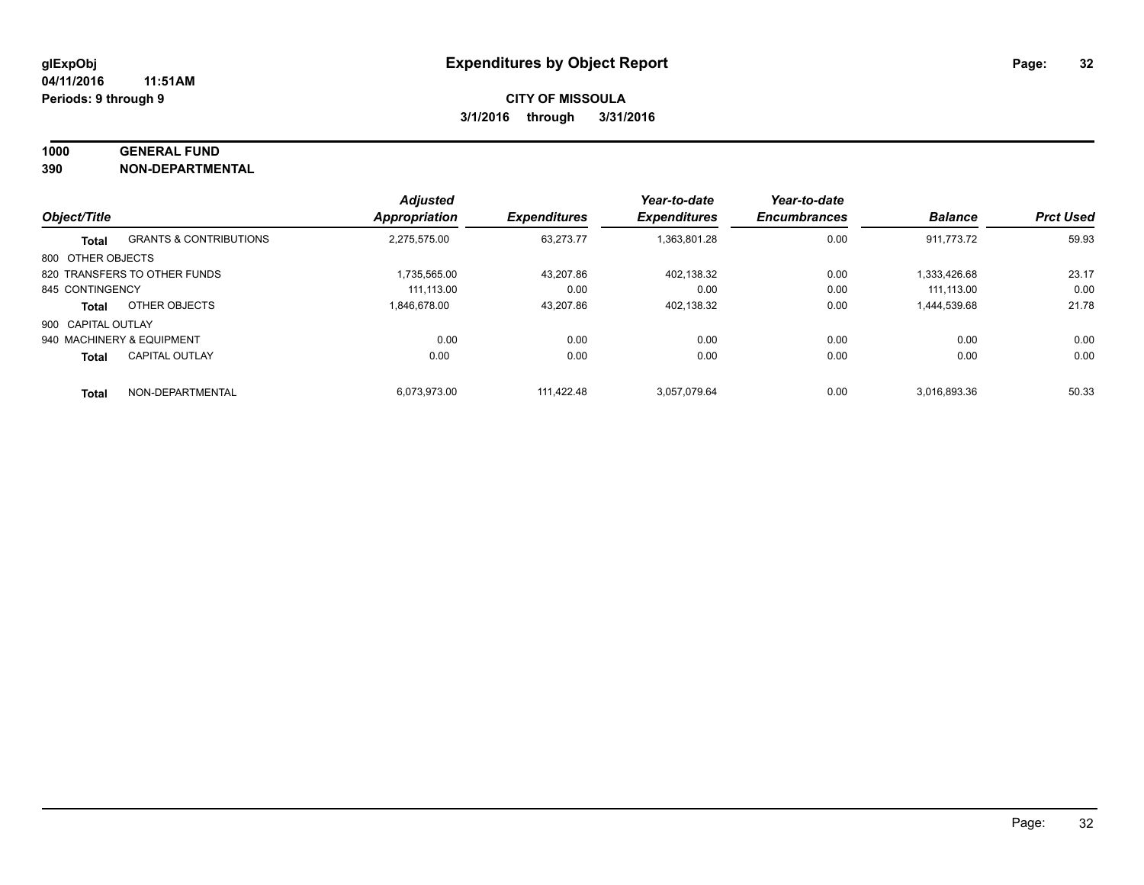#### **1000 GENERAL FUND**

**390 NON-DEPARTMENTAL**

| Object/Title       |                                   | <b>Adjusted</b><br><b>Appropriation</b> | <b>Expenditures</b> | Year-to-date<br><b>Expenditures</b> | Year-to-date<br><b>Encumbrances</b> | <b>Balance</b> | <b>Prct Used</b> |
|--------------------|-----------------------------------|-----------------------------------------|---------------------|-------------------------------------|-------------------------------------|----------------|------------------|
|                    |                                   |                                         |                     |                                     |                                     |                |                  |
| <b>Total</b>       | <b>GRANTS &amp; CONTRIBUTIONS</b> | 2.275.575.00                            | 63.273.77           | 1.363.801.28                        | 0.00                                | 911.773.72     | 59.93            |
| 800 OTHER OBJECTS  |                                   |                                         |                     |                                     |                                     |                |                  |
|                    | 820 TRANSFERS TO OTHER FUNDS      | 1.735.565.00                            | 43.207.86           | 402.138.32                          | 0.00                                | 1.333.426.68   | 23.17            |
| 845 CONTINGENCY    |                                   | 111.113.00                              | 0.00                | 0.00                                | 0.00                                | 111.113.00     | 0.00             |
| <b>Total</b>       | OTHER OBJECTS                     | 1.846.678.00                            | 43,207.86           | 402,138.32                          | 0.00                                | 1,444,539.68   | 21.78            |
| 900 CAPITAL OUTLAY |                                   |                                         |                     |                                     |                                     |                |                  |
|                    | 940 MACHINERY & EQUIPMENT         | 0.00                                    | 0.00                | 0.00                                | 0.00                                | 0.00           | 0.00             |
| <b>Total</b>       | <b>CAPITAL OUTLAY</b>             | 0.00                                    | 0.00                | 0.00                                | 0.00                                | 0.00           | 0.00             |
| <b>Total</b>       | NON-DEPARTMENTAL                  | 6.073.973.00                            | 111.422.48          | 3.057.079.64                        | 0.00                                | 3.016.893.36   | 50.33            |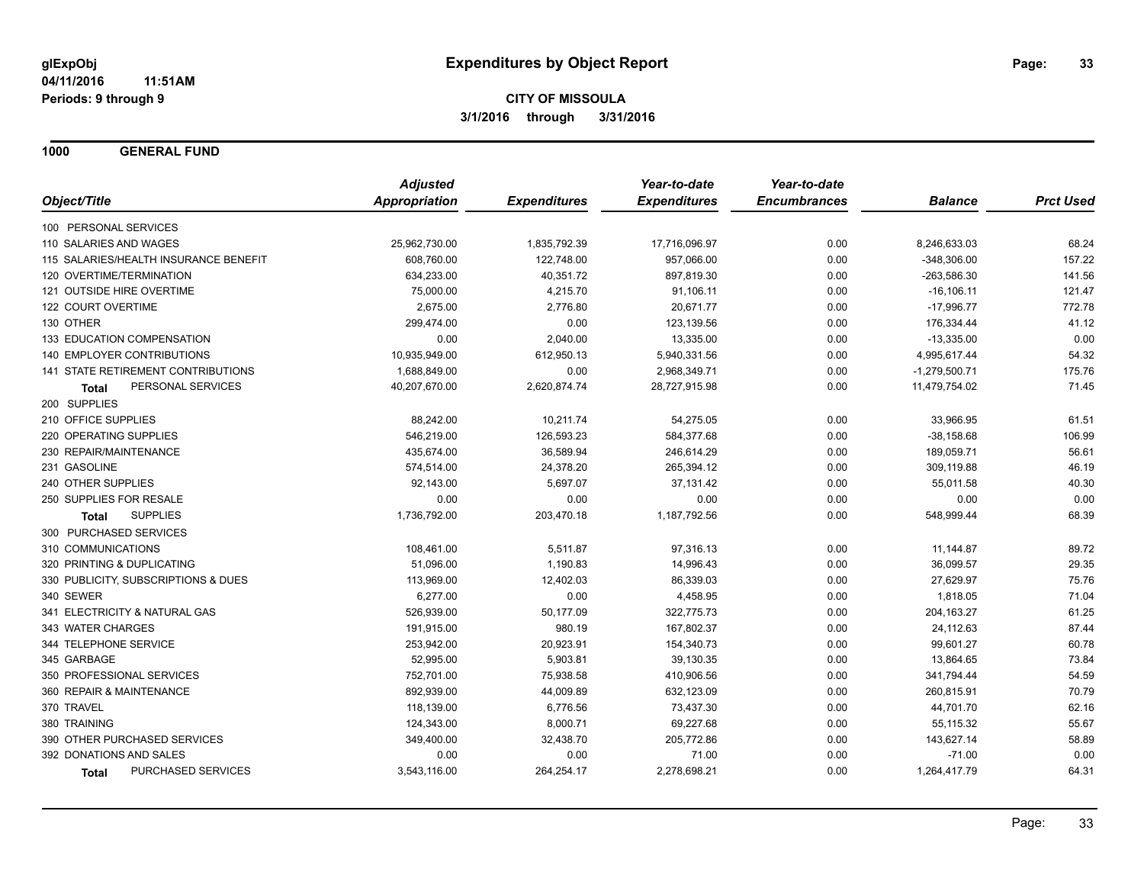**1000 GENERAL FUND**

|                                       | <b>Adjusted</b> |                     | Year-to-date        | Year-to-date        |                 |                  |
|---------------------------------------|-----------------|---------------------|---------------------|---------------------|-----------------|------------------|
| Object/Title                          | Appropriation   | <b>Expenditures</b> | <b>Expenditures</b> | <b>Encumbrances</b> | <b>Balance</b>  | <b>Prct Used</b> |
| 100 PERSONAL SERVICES                 |                 |                     |                     |                     |                 |                  |
| 110 SALARIES AND WAGES                | 25,962,730.00   | 1,835,792.39        | 17,716,096.97       | 0.00                | 8,246,633.03    | 68.24            |
| 115 SALARIES/HEALTH INSURANCE BENEFIT | 608,760.00      | 122,748.00          | 957,066.00          | 0.00                | $-348,306.00$   | 157.22           |
| 120 OVERTIME/TERMINATION              | 634,233.00      | 40,351.72           | 897,819.30          | 0.00                | $-263,586.30$   | 141.56           |
| 121 OUTSIDE HIRE OVERTIME             | 75,000.00       | 4,215.70            | 91,106.11           | 0.00                | $-16, 106.11$   | 121.47           |
| 122 COURT OVERTIME                    | 2,675.00        | 2,776.80            | 20,671.77           | 0.00                | $-17,996.77$    | 772.78           |
| 130 OTHER                             | 299,474.00      | 0.00                | 123,139.56          | 0.00                | 176,334.44      | 41.12            |
| 133 EDUCATION COMPENSATION            | 0.00            | 2,040.00            | 13,335.00           | 0.00                | $-13,335.00$    | 0.00             |
| 140 EMPLOYER CONTRIBUTIONS            | 10,935,949.00   | 612,950.13          | 5,940,331.56        | 0.00                | 4,995,617.44    | 54.32            |
| 141 STATE RETIREMENT CONTRIBUTIONS    | 1,688,849.00    | 0.00                | 2,968,349.71        | 0.00                | $-1,279,500.71$ | 175.76           |
| PERSONAL SERVICES<br>Total            | 40,207,670.00   | 2,620,874.74        | 28,727,915.98       | 0.00                | 11,479,754.02   | 71.45            |
| 200 SUPPLIES                          |                 |                     |                     |                     |                 |                  |
| 210 OFFICE SUPPLIES                   | 88,242.00       | 10,211.74           | 54,275.05           | 0.00                | 33,966.95       | 61.51            |
| 220 OPERATING SUPPLIES                | 546,219.00      | 126,593.23          | 584,377.68          | 0.00                | $-38,158.68$    | 106.99           |
| 230 REPAIR/MAINTENANCE                | 435,674.00      | 36,589.94           | 246,614.29          | 0.00                | 189,059.71      | 56.61            |
| 231 GASOLINE                          | 574,514.00      | 24,378.20           | 265,394.12          | 0.00                | 309,119.88      | 46.19            |
| 240 OTHER SUPPLIES                    | 92,143.00       | 5,697.07            | 37,131.42           | 0.00                | 55,011.58       | 40.30            |
| 250 SUPPLIES FOR RESALE               | 0.00            | 0.00                | 0.00                | 0.00                | 0.00            | 0.00             |
| <b>SUPPLIES</b><br><b>Total</b>       | 1,736,792.00    | 203,470.18          | 1,187,792.56        | 0.00                | 548,999.44      | 68.39            |
| 300 PURCHASED SERVICES                |                 |                     |                     |                     |                 |                  |
| 310 COMMUNICATIONS                    | 108,461.00      | 5,511.87            | 97,316.13           | 0.00                | 11,144.87       | 89.72            |
| 320 PRINTING & DUPLICATING            | 51,096.00       | 1,190.83            | 14,996.43           | 0.00                | 36,099.57       | 29.35            |
| 330 PUBLICITY, SUBSCRIPTIONS & DUES   | 113,969.00      | 12,402.03           | 86,339.03           | 0.00                | 27,629.97       | 75.76            |
| 340 SEWER                             | 6,277.00        | 0.00                | 4,458.95            | 0.00                | 1,818.05        | 71.04            |
| 341 ELECTRICITY & NATURAL GAS         | 526,939.00      | 50,177.09           | 322,775.73          | 0.00                | 204, 163.27     | 61.25            |
| 343 WATER CHARGES                     | 191,915.00      | 980.19              | 167,802.37          | 0.00                | 24,112.63       | 87.44            |
| 344 TELEPHONE SERVICE                 | 253,942.00      | 20,923.91           | 154,340.73          | 0.00                | 99,601.27       | 60.78            |
| 345 GARBAGE                           | 52,995.00       | 5,903.81            | 39,130.35           | 0.00                | 13,864.65       | 73.84            |
| 350 PROFESSIONAL SERVICES             | 752,701.00      | 75,938.58           | 410,906.56          | 0.00                | 341,794.44      | 54.59            |
| 360 REPAIR & MAINTENANCE              | 892,939.00      | 44,009.89           | 632,123.09          | 0.00                | 260,815.91      | 70.79            |
| 370 TRAVEL                            | 118,139.00      | 6,776.56            | 73,437.30           | 0.00                | 44,701.70       | 62.16            |
| 380 TRAINING                          | 124,343.00      | 8,000.71            | 69,227.68           | 0.00                | 55,115.32       | 55.67            |
| 390 OTHER PURCHASED SERVICES          | 349,400.00      | 32,438.70           | 205,772.86          | 0.00                | 143,627.14      | 58.89            |
| 392 DONATIONS AND SALES               | 0.00            | 0.00                | 71.00               | 0.00                | $-71.00$        | 0.00             |
| PURCHASED SERVICES<br><b>Total</b>    | 3,543,116.00    | 264,254.17          | 2,278,698.21        | 0.00                | 1,264,417.79    | 64.31            |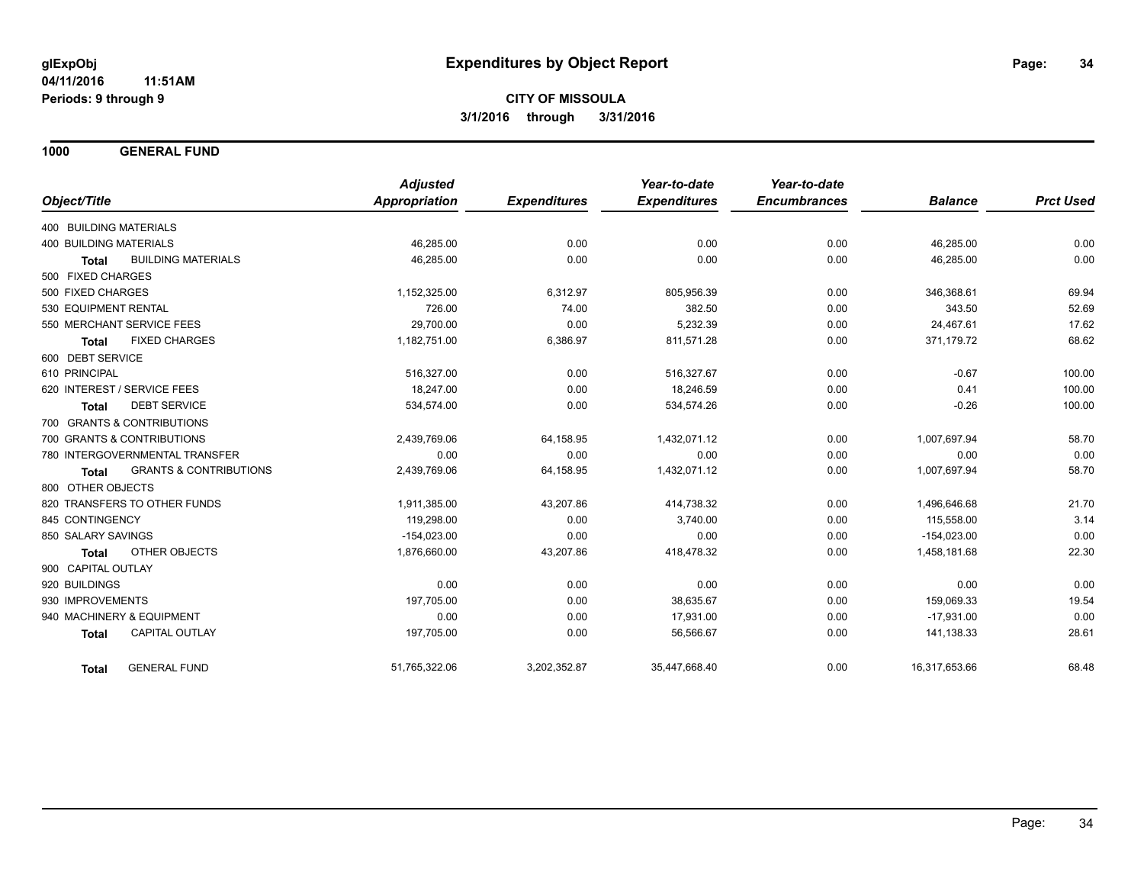**1000 GENERAL FUND**

|                                                   | <b>Adjusted</b> |                     | Year-to-date        | Year-to-date        |                |                  |
|---------------------------------------------------|-----------------|---------------------|---------------------|---------------------|----------------|------------------|
| Object/Title                                      | Appropriation   | <b>Expenditures</b> | <b>Expenditures</b> | <b>Encumbrances</b> | <b>Balance</b> | <b>Prct Used</b> |
| 400 BUILDING MATERIALS                            |                 |                     |                     |                     |                |                  |
| <b>400 BUILDING MATERIALS</b>                     | 46,285.00       | 0.00                | 0.00                | 0.00                | 46,285.00      | 0.00             |
| <b>BUILDING MATERIALS</b><br><b>Total</b>         | 46.285.00       | 0.00                | 0.00                | 0.00                | 46,285.00      | 0.00             |
| 500 FIXED CHARGES                                 |                 |                     |                     |                     |                |                  |
| 500 FIXED CHARGES                                 | 1,152,325.00    | 6,312.97            | 805,956.39          | 0.00                | 346,368.61     | 69.94            |
| 530 EQUIPMENT RENTAL                              | 726.00          | 74.00               | 382.50              | 0.00                | 343.50         | 52.69            |
| 550 MERCHANT SERVICE FEES                         | 29,700.00       | 0.00                | 5,232.39            | 0.00                | 24,467.61      | 17.62            |
| <b>FIXED CHARGES</b><br><b>Total</b>              | 1,182,751.00    | 6,386.97            | 811,571.28          | 0.00                | 371,179.72     | 68.62            |
| 600 DEBT SERVICE                                  |                 |                     |                     |                     |                |                  |
| 610 PRINCIPAL                                     | 516,327.00      | 0.00                | 516,327.67          | 0.00                | $-0.67$        | 100.00           |
| 620 INTEREST / SERVICE FEES                       | 18.247.00       | 0.00                | 18,246.59           | 0.00                | 0.41           | 100.00           |
| <b>DEBT SERVICE</b><br><b>Total</b>               | 534,574.00      | 0.00                | 534,574.26          | 0.00                | $-0.26$        | 100.00           |
| 700 GRANTS & CONTRIBUTIONS                        |                 |                     |                     |                     |                |                  |
| 700 GRANTS & CONTRIBUTIONS                        | 2.439.769.06    | 64,158.95           | 1,432,071.12        | 0.00                | 1.007.697.94   | 58.70            |
| 780 INTERGOVERNMENTAL TRANSFER                    | 0.00            | 0.00                | 0.00                | 0.00                | 0.00           | 0.00             |
| <b>GRANTS &amp; CONTRIBUTIONS</b><br><b>Total</b> | 2,439,769.06    | 64,158.95           | 1,432,071.12        | 0.00                | 1,007,697.94   | 58.70            |
| 800 OTHER OBJECTS                                 |                 |                     |                     |                     |                |                  |
| 820 TRANSFERS TO OTHER FUNDS                      | 1,911,385.00    | 43,207.86           | 414,738.32          | 0.00                | 1,496,646.68   | 21.70            |
| 845 CONTINGENCY                                   | 119,298.00      | 0.00                | 3.740.00            | 0.00                | 115.558.00     | 3.14             |
| 850 SALARY SAVINGS                                | $-154,023.00$   | 0.00                | 0.00                | 0.00                | $-154,023.00$  | 0.00             |
| OTHER OBJECTS<br><b>Total</b>                     | 1,876,660.00    | 43,207.86           | 418,478.32          | 0.00                | 1,458,181.68   | 22.30            |
| 900 CAPITAL OUTLAY                                |                 |                     |                     |                     |                |                  |
| 920 BUILDINGS                                     | 0.00            | 0.00                | 0.00                | 0.00                | 0.00           | 0.00             |
| 930 IMPROVEMENTS                                  | 197,705.00      | 0.00                | 38,635.67           | 0.00                | 159,069.33     | 19.54            |
| 940 MACHINERY & EQUIPMENT                         | 0.00            | 0.00                | 17,931.00           | 0.00                | $-17.931.00$   | 0.00             |
| <b>CAPITAL OUTLAY</b><br><b>Total</b>             | 197,705.00      | 0.00                | 56,566.67           | 0.00                | 141,138.33     | 28.61            |
| <b>GENERAL FUND</b><br>Total                      | 51,765,322.06   | 3,202,352.87        | 35,447,668.40       | 0.00                | 16,317,653.66  | 68.48            |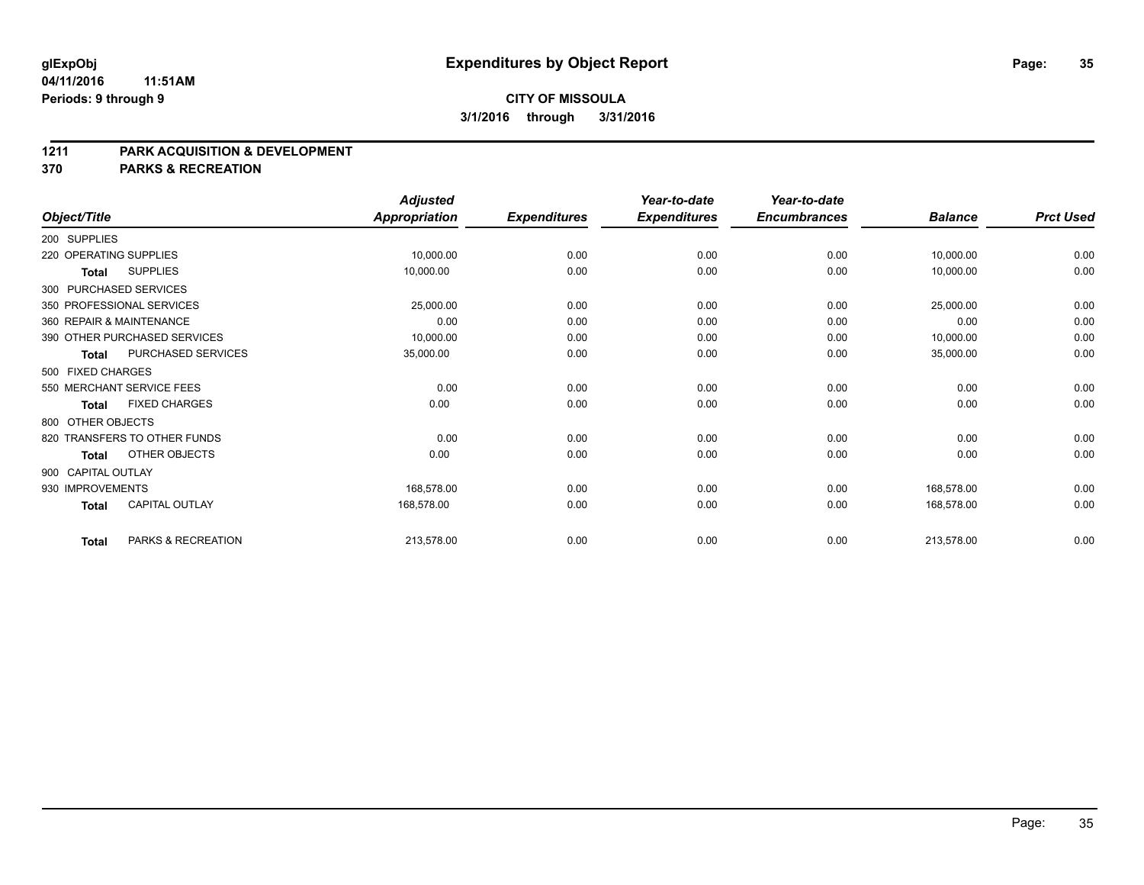#### **04/11/2016 11:51AM Periods: 9 through 9**

# **CITY OF MISSOULA 3/1/2016 through 3/31/2016**

#### **1211 PARK ACQUISITION & DEVELOPMENT**

**370 PARKS & RECREATION**

|                    |                              | <b>Adjusted</b>      |                     | Year-to-date        | Year-to-date        |                |                  |
|--------------------|------------------------------|----------------------|---------------------|---------------------|---------------------|----------------|------------------|
| Object/Title       |                              | <b>Appropriation</b> | <b>Expenditures</b> | <b>Expenditures</b> | <b>Encumbrances</b> | <b>Balance</b> | <b>Prct Used</b> |
| 200 SUPPLIES       |                              |                      |                     |                     |                     |                |                  |
|                    | 220 OPERATING SUPPLIES       | 10,000.00            | 0.00                | 0.00                | 0.00                | 10,000.00      | 0.00             |
| <b>Total</b>       | <b>SUPPLIES</b>              | 10,000.00            | 0.00                | 0.00                | 0.00                | 10,000.00      | 0.00             |
|                    | 300 PURCHASED SERVICES       |                      |                     |                     |                     |                |                  |
|                    | 350 PROFESSIONAL SERVICES    | 25,000.00            | 0.00                | 0.00                | 0.00                | 25,000.00      | 0.00             |
|                    | 360 REPAIR & MAINTENANCE     | 0.00                 | 0.00                | 0.00                | 0.00                | 0.00           | 0.00             |
|                    | 390 OTHER PURCHASED SERVICES | 10,000.00            | 0.00                | 0.00                | 0.00                | 10,000.00      | 0.00             |
| <b>Total</b>       | PURCHASED SERVICES           | 35,000.00            | 0.00                | 0.00                | 0.00                | 35,000.00      | 0.00             |
| 500 FIXED CHARGES  |                              |                      |                     |                     |                     |                |                  |
|                    | 550 MERCHANT SERVICE FEES    | 0.00                 | 0.00                | 0.00                | 0.00                | 0.00           | 0.00             |
| <b>Total</b>       | <b>FIXED CHARGES</b>         | 0.00                 | 0.00                | 0.00                | 0.00                | 0.00           | 0.00             |
| 800 OTHER OBJECTS  |                              |                      |                     |                     |                     |                |                  |
|                    | 820 TRANSFERS TO OTHER FUNDS | 0.00                 | 0.00                | 0.00                | 0.00                | 0.00           | 0.00             |
| Total              | OTHER OBJECTS                | 0.00                 | 0.00                | 0.00                | 0.00                | 0.00           | 0.00             |
| 900 CAPITAL OUTLAY |                              |                      |                     |                     |                     |                |                  |
| 930 IMPROVEMENTS   |                              | 168,578.00           | 0.00                | 0.00                | 0.00                | 168,578.00     | 0.00             |
| <b>Total</b>       | <b>CAPITAL OUTLAY</b>        | 168,578.00           | 0.00                | 0.00                | 0.00                | 168,578.00     | 0.00             |
| <b>Total</b>       | PARKS & RECREATION           | 213,578.00           | 0.00                | 0.00                | 0.00                | 213,578.00     | 0.00             |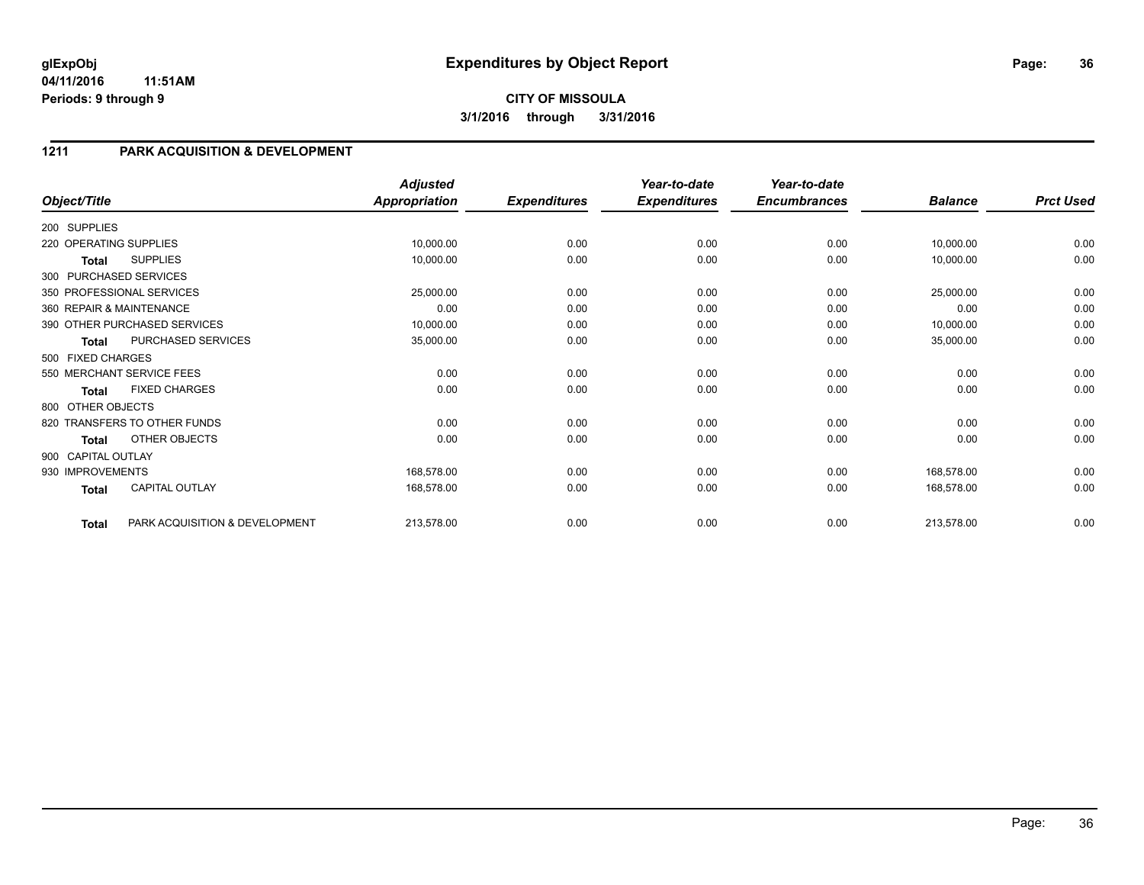#### **04/11/2016 11:51AM Periods: 9 through 9**

# **1211 PARK ACQUISITION & DEVELOPMENT**

| Object/Title           |                                | <b>Adjusted</b><br><b>Appropriation</b> | <b>Expenditures</b> | Year-to-date<br><b>Expenditures</b> | Year-to-date<br><b>Encumbrances</b> | <b>Balance</b> | <b>Prct Used</b> |
|------------------------|--------------------------------|-----------------------------------------|---------------------|-------------------------------------|-------------------------------------|----------------|------------------|
|                        |                                |                                         |                     |                                     |                                     |                |                  |
| 200 SUPPLIES           |                                |                                         |                     |                                     |                                     |                |                  |
| 220 OPERATING SUPPLIES |                                | 10,000.00                               | 0.00                | 0.00                                | 0.00                                | 10,000.00      | 0.00             |
| Total                  | <b>SUPPLIES</b>                | 10,000.00                               | 0.00                | 0.00                                | 0.00                                | 10,000.00      | 0.00             |
|                        | 300 PURCHASED SERVICES         |                                         |                     |                                     |                                     |                |                  |
|                        | 350 PROFESSIONAL SERVICES      | 25,000.00                               | 0.00                | 0.00                                | 0.00                                | 25,000.00      | 0.00             |
|                        | 360 REPAIR & MAINTENANCE       | 0.00                                    | 0.00                | 0.00                                | 0.00                                | 0.00           | 0.00             |
|                        | 390 OTHER PURCHASED SERVICES   | 10,000.00                               | 0.00                | 0.00                                | 0.00                                | 10,000.00      | 0.00             |
| <b>Total</b>           | PURCHASED SERVICES             | 35,000.00                               | 0.00                | 0.00                                | 0.00                                | 35,000.00      | 0.00             |
| 500 FIXED CHARGES      |                                |                                         |                     |                                     |                                     |                |                  |
|                        | 550 MERCHANT SERVICE FEES      | 0.00                                    | 0.00                | 0.00                                | 0.00                                | 0.00           | 0.00             |
| <b>Total</b>           | <b>FIXED CHARGES</b>           | 0.00                                    | 0.00                | 0.00                                | 0.00                                | 0.00           | 0.00             |
| 800 OTHER OBJECTS      |                                |                                         |                     |                                     |                                     |                |                  |
|                        | 820 TRANSFERS TO OTHER FUNDS   | 0.00                                    | 0.00                | 0.00                                | 0.00                                | 0.00           | 0.00             |
| <b>Total</b>           | OTHER OBJECTS                  | 0.00                                    | 0.00                | 0.00                                | 0.00                                | 0.00           | 0.00             |
| 900 CAPITAL OUTLAY     |                                |                                         |                     |                                     |                                     |                |                  |
| 930 IMPROVEMENTS       |                                | 168,578.00                              | 0.00                | 0.00                                | 0.00                                | 168,578.00     | 0.00             |
| <b>Total</b>           | <b>CAPITAL OUTLAY</b>          | 168,578.00                              | 0.00                | 0.00                                | 0.00                                | 168,578.00     | 0.00             |
| <b>Total</b>           | PARK ACQUISITION & DEVELOPMENT | 213,578.00                              | 0.00                | 0.00                                | 0.00                                | 213,578.00     | 0.00             |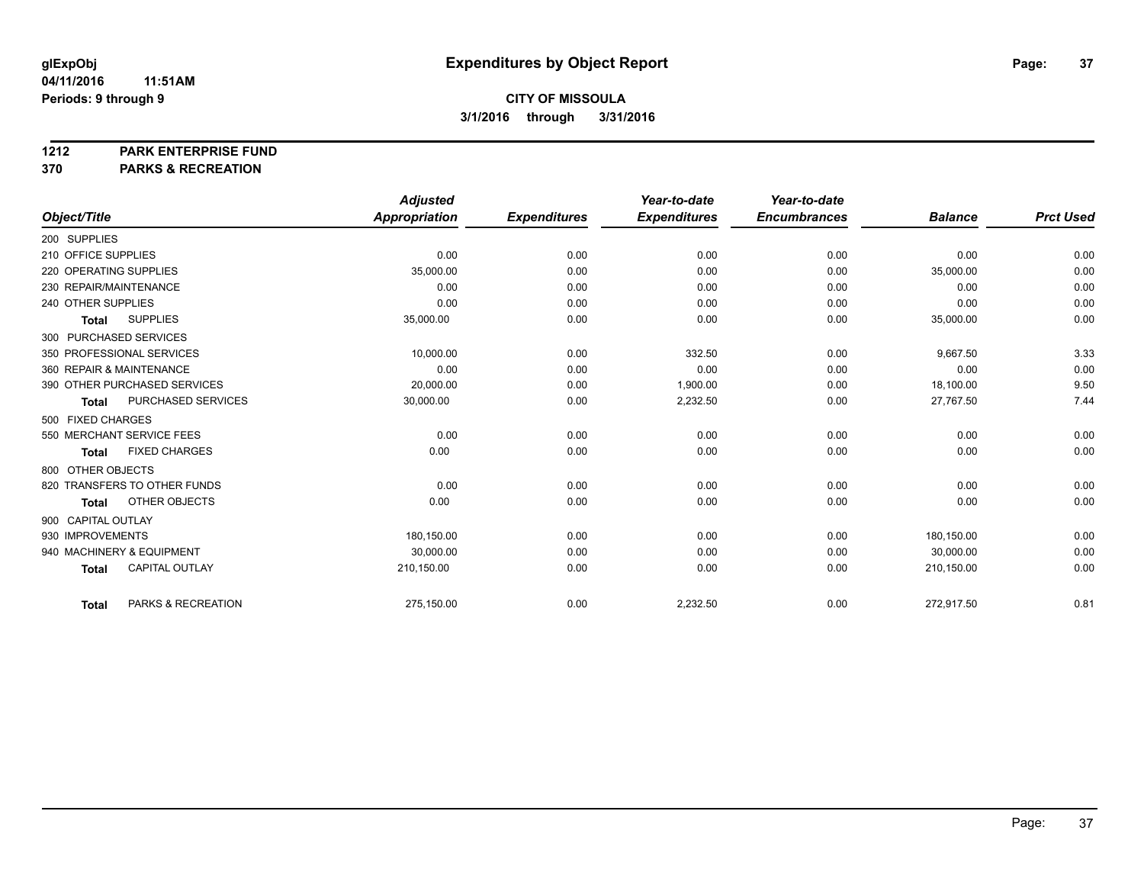#### **1212 PARK ENTERPRISE FUND**

**370 PARKS & RECREATION**

|                                       | <b>Adjusted</b> |                     | Year-to-date        | Year-to-date        |                |                  |
|---------------------------------------|-----------------|---------------------|---------------------|---------------------|----------------|------------------|
| Object/Title                          | Appropriation   | <b>Expenditures</b> | <b>Expenditures</b> | <b>Encumbrances</b> | <b>Balance</b> | <b>Prct Used</b> |
| 200 SUPPLIES                          |                 |                     |                     |                     |                |                  |
| 210 OFFICE SUPPLIES                   | 0.00            | 0.00                | 0.00                | 0.00                | 0.00           | 0.00             |
| 220 OPERATING SUPPLIES                | 35,000.00       | 0.00                | 0.00                | 0.00                | 35,000.00      | 0.00             |
| 230 REPAIR/MAINTENANCE                | 0.00            | 0.00                | 0.00                | 0.00                | 0.00           | 0.00             |
| 240 OTHER SUPPLIES                    | 0.00            | 0.00                | 0.00                | 0.00                | 0.00           | 0.00             |
| <b>SUPPLIES</b><br><b>Total</b>       | 35,000.00       | 0.00                | 0.00                | 0.00                | 35,000.00      | 0.00             |
| 300 PURCHASED SERVICES                |                 |                     |                     |                     |                |                  |
| 350 PROFESSIONAL SERVICES             | 10,000.00       | 0.00                | 332.50              | 0.00                | 9,667.50       | 3.33             |
| 360 REPAIR & MAINTENANCE              | 0.00            | 0.00                | 0.00                | 0.00                | 0.00           | 0.00             |
| 390 OTHER PURCHASED SERVICES          | 20,000.00       | 0.00                | 1,900.00            | 0.00                | 18,100.00      | 9.50             |
| PURCHASED SERVICES<br><b>Total</b>    | 30,000.00       | 0.00                | 2,232.50            | 0.00                | 27,767.50      | 7.44             |
| 500 FIXED CHARGES                     |                 |                     |                     |                     |                |                  |
| 550 MERCHANT SERVICE FEES             | 0.00            | 0.00                | 0.00                | 0.00                | 0.00           | 0.00             |
| <b>FIXED CHARGES</b><br><b>Total</b>  | 0.00            | 0.00                | 0.00                | 0.00                | 0.00           | 0.00             |
| 800 OTHER OBJECTS                     |                 |                     |                     |                     |                |                  |
| 820 TRANSFERS TO OTHER FUNDS          | 0.00            | 0.00                | 0.00                | 0.00                | 0.00           | 0.00             |
| OTHER OBJECTS<br><b>Total</b>         | 0.00            | 0.00                | 0.00                | 0.00                | 0.00           | 0.00             |
| 900 CAPITAL OUTLAY                    |                 |                     |                     |                     |                |                  |
| 930 IMPROVEMENTS                      | 180.150.00      | 0.00                | 0.00                | 0.00                | 180.150.00     | 0.00             |
| 940 MACHINERY & EQUIPMENT             | 30,000.00       | 0.00                | 0.00                | 0.00                | 30,000.00      | 0.00             |
| <b>CAPITAL OUTLAY</b><br><b>Total</b> | 210,150.00      | 0.00                | 0.00                | 0.00                | 210,150.00     | 0.00             |
| PARKS & RECREATION<br><b>Total</b>    | 275,150.00      | 0.00                | 2,232.50            | 0.00                | 272,917.50     | 0.81             |
|                                       |                 |                     |                     |                     |                |                  |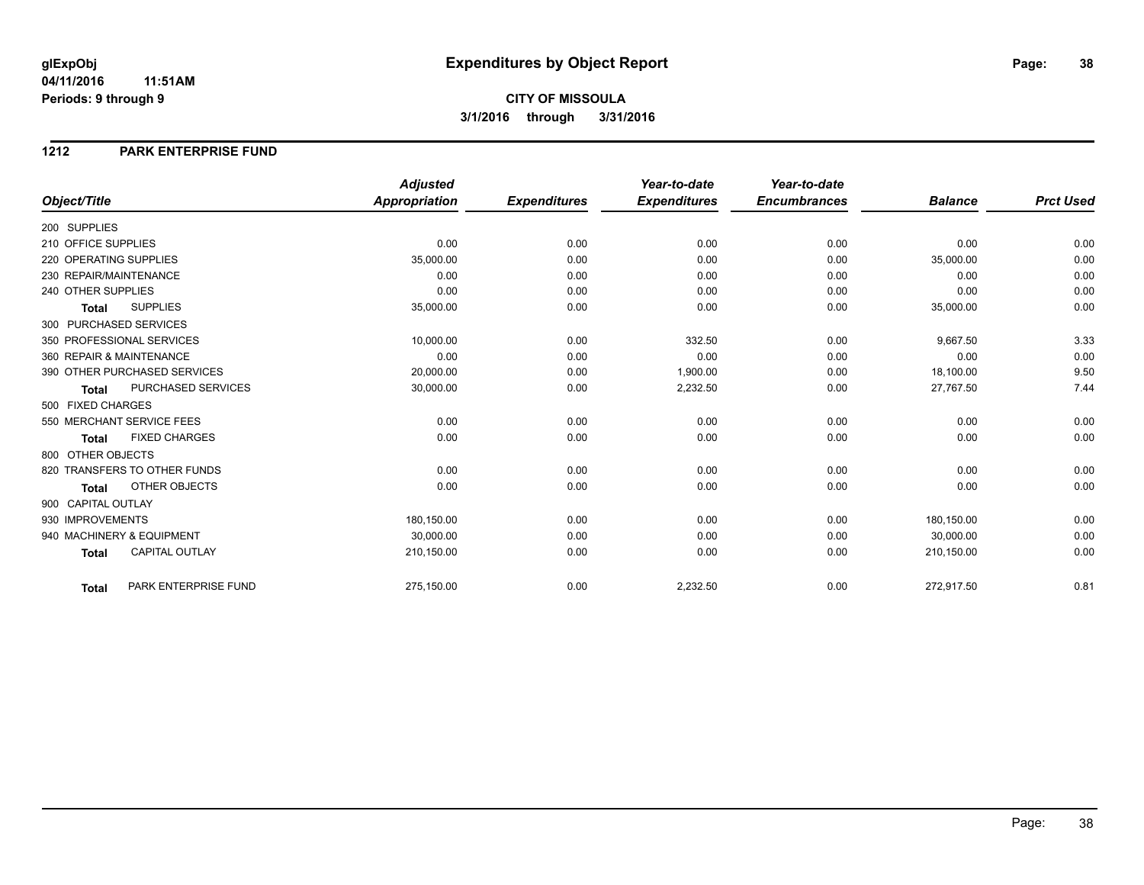### **1212 PARK ENTERPRISE FUND**

|                              |                       | <b>Adjusted</b>      |                     | Year-to-date        | Year-to-date        |                |                  |
|------------------------------|-----------------------|----------------------|---------------------|---------------------|---------------------|----------------|------------------|
| Object/Title                 |                       | <b>Appropriation</b> | <b>Expenditures</b> | <b>Expenditures</b> | <b>Encumbrances</b> | <b>Balance</b> | <b>Prct Used</b> |
| 200 SUPPLIES                 |                       |                      |                     |                     |                     |                |                  |
| 210 OFFICE SUPPLIES          |                       | 0.00                 | 0.00                | 0.00                | 0.00                | 0.00           | 0.00             |
| 220 OPERATING SUPPLIES       |                       | 35,000.00            | 0.00                | 0.00                | 0.00                | 35,000.00      | 0.00             |
| 230 REPAIR/MAINTENANCE       |                       | 0.00                 | 0.00                | 0.00                | 0.00                | 0.00           | 0.00             |
| 240 OTHER SUPPLIES           |                       | 0.00                 | 0.00                | 0.00                | 0.00                | 0.00           | 0.00             |
| <b>Total</b>                 | <b>SUPPLIES</b>       | 35,000.00            | 0.00                | 0.00                | 0.00                | 35,000.00      | 0.00             |
| 300 PURCHASED SERVICES       |                       |                      |                     |                     |                     |                |                  |
| 350 PROFESSIONAL SERVICES    |                       | 10,000.00            | 0.00                | 332.50              | 0.00                | 9,667.50       | 3.33             |
| 360 REPAIR & MAINTENANCE     |                       | 0.00                 | 0.00                | 0.00                | 0.00                | 0.00           | 0.00             |
| 390 OTHER PURCHASED SERVICES |                       | 20,000.00            | 0.00                | 1,900.00            | 0.00                | 18,100.00      | 9.50             |
| <b>Total</b>                 | PURCHASED SERVICES    | 30,000.00            | 0.00                | 2,232.50            | 0.00                | 27,767.50      | 7.44             |
| 500 FIXED CHARGES            |                       |                      |                     |                     |                     |                |                  |
| 550 MERCHANT SERVICE FEES    |                       | 0.00                 | 0.00                | 0.00                | 0.00                | 0.00           | 0.00             |
| <b>Total</b>                 | <b>FIXED CHARGES</b>  | 0.00                 | 0.00                | 0.00                | 0.00                | 0.00           | 0.00             |
| 800 OTHER OBJECTS            |                       |                      |                     |                     |                     |                |                  |
| 820 TRANSFERS TO OTHER FUNDS |                       | 0.00                 | 0.00                | 0.00                | 0.00                | 0.00           | 0.00             |
| <b>Total</b>                 | OTHER OBJECTS         | 0.00                 | 0.00                | 0.00                | 0.00                | 0.00           | 0.00             |
| 900 CAPITAL OUTLAY           |                       |                      |                     |                     |                     |                |                  |
| 930 IMPROVEMENTS             |                       | 180,150.00           | 0.00                | 0.00                | 0.00                | 180,150.00     | 0.00             |
| 940 MACHINERY & EQUIPMENT    |                       | 30,000.00            | 0.00                | 0.00                | 0.00                | 30,000.00      | 0.00             |
| <b>Total</b>                 | <b>CAPITAL OUTLAY</b> | 210,150.00           | 0.00                | 0.00                | 0.00                | 210,150.00     | 0.00             |
| <b>Total</b>                 | PARK ENTERPRISE FUND  | 275,150.00           | 0.00                | 2,232.50            | 0.00                | 272,917.50     | 0.81             |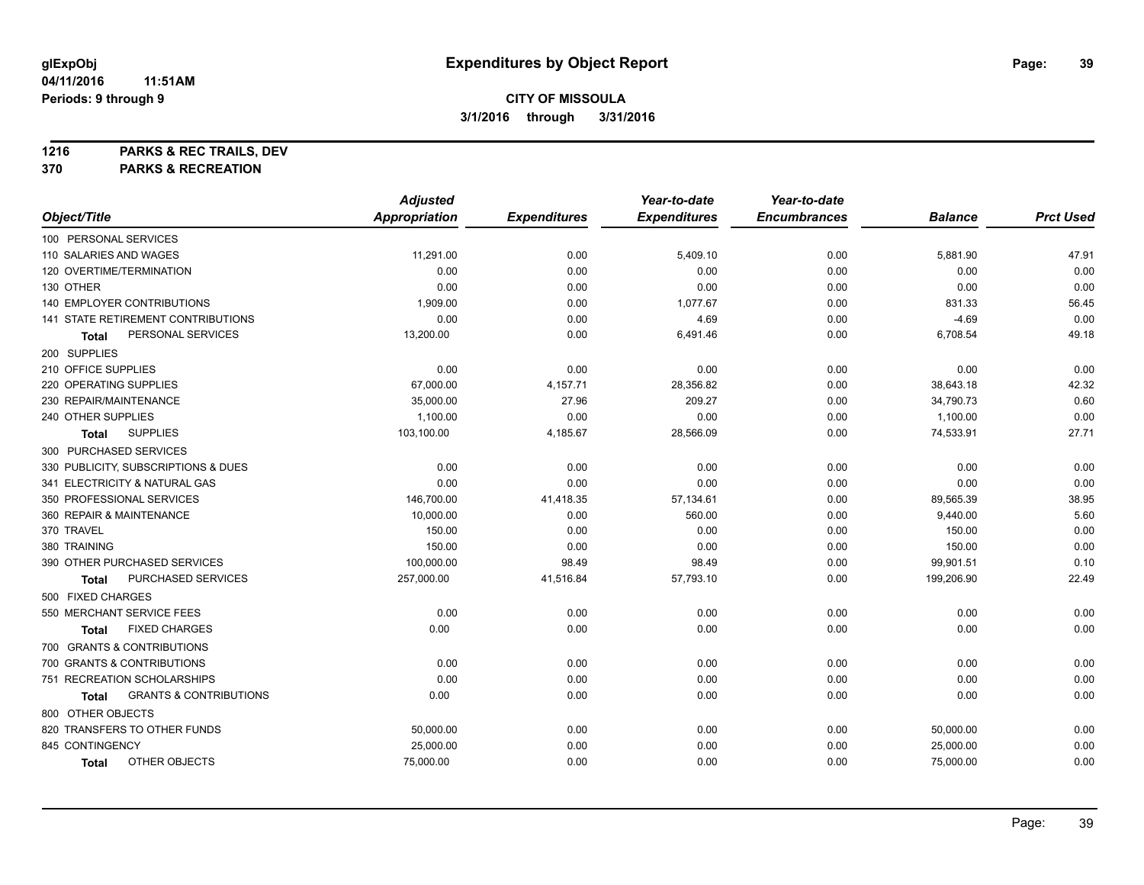**1216 PARKS & REC TRAILS, DEV**

**370 PARKS & RECREATION**

|                                            | <b>Adjusted</b>      |                     | Year-to-date        | Year-to-date        |                |                  |
|--------------------------------------------|----------------------|---------------------|---------------------|---------------------|----------------|------------------|
| Object/Title                               | <b>Appropriation</b> | <b>Expenditures</b> | <b>Expenditures</b> | <b>Encumbrances</b> | <b>Balance</b> | <b>Prct Used</b> |
| 100 PERSONAL SERVICES                      |                      |                     |                     |                     |                |                  |
| 110 SALARIES AND WAGES                     | 11,291.00            | 0.00                | 5,409.10            | 0.00                | 5,881.90       | 47.91            |
| 120 OVERTIME/TERMINATION                   | 0.00                 | 0.00                | 0.00                | 0.00                | 0.00           | 0.00             |
| 130 OTHER                                  | 0.00                 | 0.00                | 0.00                | 0.00                | 0.00           | 0.00             |
| 140 EMPLOYER CONTRIBUTIONS                 | 1,909.00             | 0.00                | 1,077.67            | 0.00                | 831.33         | 56.45            |
| 141 STATE RETIREMENT CONTRIBUTIONS         | 0.00                 | 0.00                | 4.69                | 0.00                | $-4.69$        | 0.00             |
| PERSONAL SERVICES<br>Total                 | 13,200.00            | 0.00                | 6,491.46            | 0.00                | 6,708.54       | 49.18            |
| 200 SUPPLIES                               |                      |                     |                     |                     |                |                  |
| 210 OFFICE SUPPLIES                        | 0.00                 | 0.00                | 0.00                | 0.00                | 0.00           | 0.00             |
| 220 OPERATING SUPPLIES                     | 67,000.00            | 4,157.71            | 28,356.82           | 0.00                | 38,643.18      | 42.32            |
| 230 REPAIR/MAINTENANCE                     | 35,000.00            | 27.96               | 209.27              | 0.00                | 34,790.73      | 0.60             |
| 240 OTHER SUPPLIES                         | 1,100.00             | 0.00                | 0.00                | 0.00                | 1,100.00       | 0.00             |
| <b>SUPPLIES</b><br>Total                   | 103,100.00           | 4,185.67            | 28,566.09           | 0.00                | 74,533.91      | 27.71            |
| 300 PURCHASED SERVICES                     |                      |                     |                     |                     |                |                  |
| 330 PUBLICITY, SUBSCRIPTIONS & DUES        | 0.00                 | 0.00                | 0.00                | 0.00                | 0.00           | 0.00             |
| 341 ELECTRICITY & NATURAL GAS              | 0.00                 | 0.00                | 0.00                | 0.00                | 0.00           | 0.00             |
| 350 PROFESSIONAL SERVICES                  | 146,700.00           | 41,418.35           | 57,134.61           | 0.00                | 89,565.39      | 38.95            |
| 360 REPAIR & MAINTENANCE                   | 10,000.00            | 0.00                | 560.00              | 0.00                | 9,440.00       | 5.60             |
| 370 TRAVEL                                 | 150.00               | 0.00                | 0.00                | 0.00                | 150.00         | 0.00             |
| 380 TRAINING                               | 150.00               | 0.00                | 0.00                | 0.00                | 150.00         | 0.00             |
| 390 OTHER PURCHASED SERVICES               | 100,000.00           | 98.49               | 98.49               | 0.00                | 99,901.51      | 0.10             |
| PURCHASED SERVICES<br>Total                | 257,000.00           | 41,516.84           | 57,793.10           | 0.00                | 199,206.90     | 22.49            |
| 500 FIXED CHARGES                          |                      |                     |                     |                     |                |                  |
| 550 MERCHANT SERVICE FEES                  | 0.00                 | 0.00                | 0.00                | 0.00                | 0.00           | 0.00             |
| <b>FIXED CHARGES</b><br>Total              | 0.00                 | 0.00                | 0.00                | 0.00                | 0.00           | 0.00             |
| 700 GRANTS & CONTRIBUTIONS                 |                      |                     |                     |                     |                |                  |
| 700 GRANTS & CONTRIBUTIONS                 | 0.00                 | 0.00                | 0.00                | 0.00                | 0.00           | 0.00             |
| 751 RECREATION SCHOLARSHIPS                | 0.00                 | 0.00                | 0.00                | 0.00                | 0.00           | 0.00             |
| <b>GRANTS &amp; CONTRIBUTIONS</b><br>Total | 0.00                 | 0.00                | 0.00                | 0.00                | 0.00           | 0.00             |
| 800 OTHER OBJECTS                          |                      |                     |                     |                     |                |                  |
| 820 TRANSFERS TO OTHER FUNDS               | 50,000.00            | 0.00                | 0.00                | 0.00                | 50,000.00      | 0.00             |
| 845 CONTINGENCY                            | 25,000.00            | 0.00                | 0.00                | 0.00                | 25,000.00      | 0.00             |
| OTHER OBJECTS<br><b>Total</b>              | 75,000.00            | 0.00                | 0.00                | 0.00                | 75,000.00      | 0.00             |
|                                            |                      |                     |                     |                     |                |                  |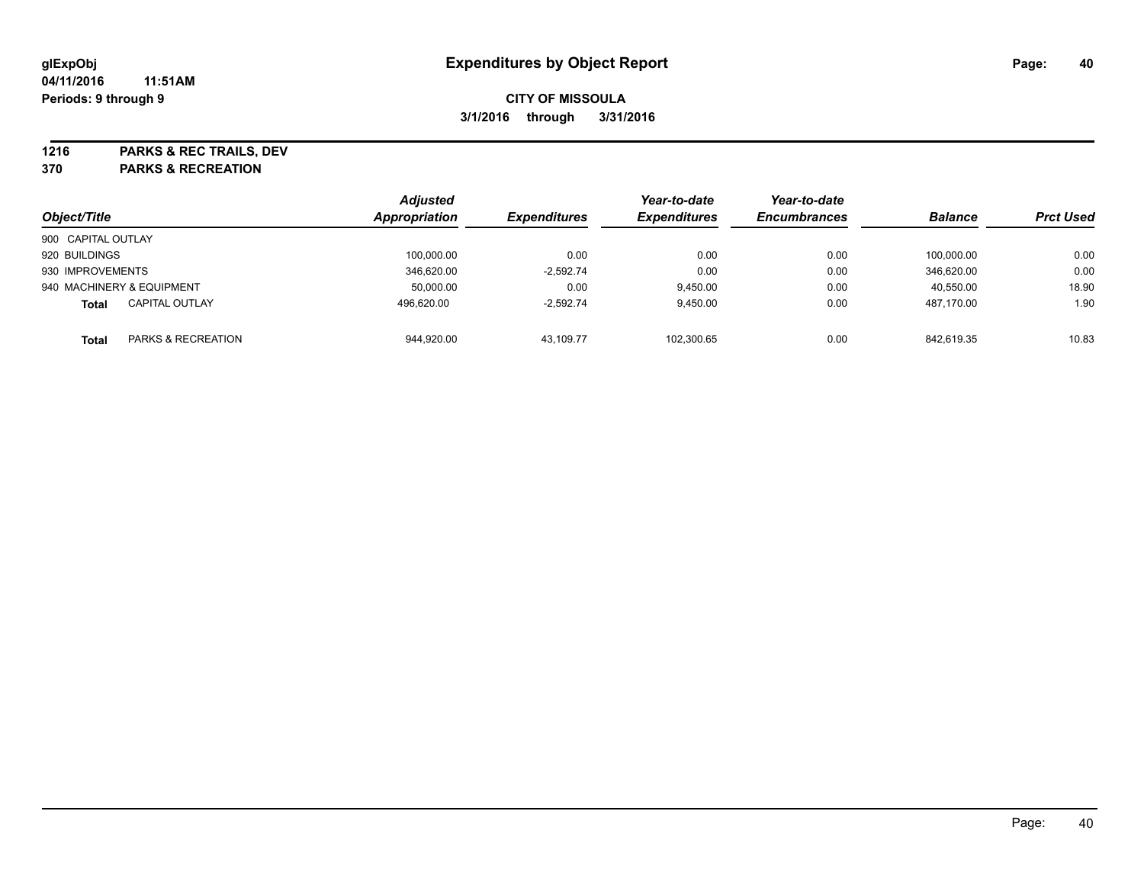**1216 PARKS & REC TRAILS, DEV**

**370 PARKS & RECREATION**

| Object/Title                          | Appropriation | <b>Adjusted</b> | <b>Expenditures</b> | Year-to-date<br><b>Expenditures</b> | Year-to-date<br><b>Encumbrances</b> | <b>Balance</b> | <b>Prct Used</b> |
|---------------------------------------|---------------|-----------------|---------------------|-------------------------------------|-------------------------------------|----------------|------------------|
| 900 CAPITAL OUTLAY                    |               |                 |                     |                                     |                                     |                |                  |
| 920 BUILDINGS                         |               | 100,000.00      | 0.00                | 0.00                                | 0.00                                | 100.000.00     | 0.00             |
| 930 IMPROVEMENTS                      |               | 346.620.00      | $-2.592.74$         | 0.00                                | 0.00                                | 346.620.00     | 0.00             |
| 940 MACHINERY & EQUIPMENT             |               | 50,000.00       | 0.00                | 9.450.00                            | 0.00                                | 40,550.00      | 18.90            |
| <b>CAPITAL OUTLAY</b><br><b>Total</b> |               | 496.620.00      | $-2,592.74$         | 9,450.00                            | 0.00                                | 487,170.00     | 1.90             |
| PARKS & RECREATION<br><b>Total</b>    |               | 944,920.00      | 43.109.77           | 102.300.65                          | 0.00                                | 842.619.35     | 10.83            |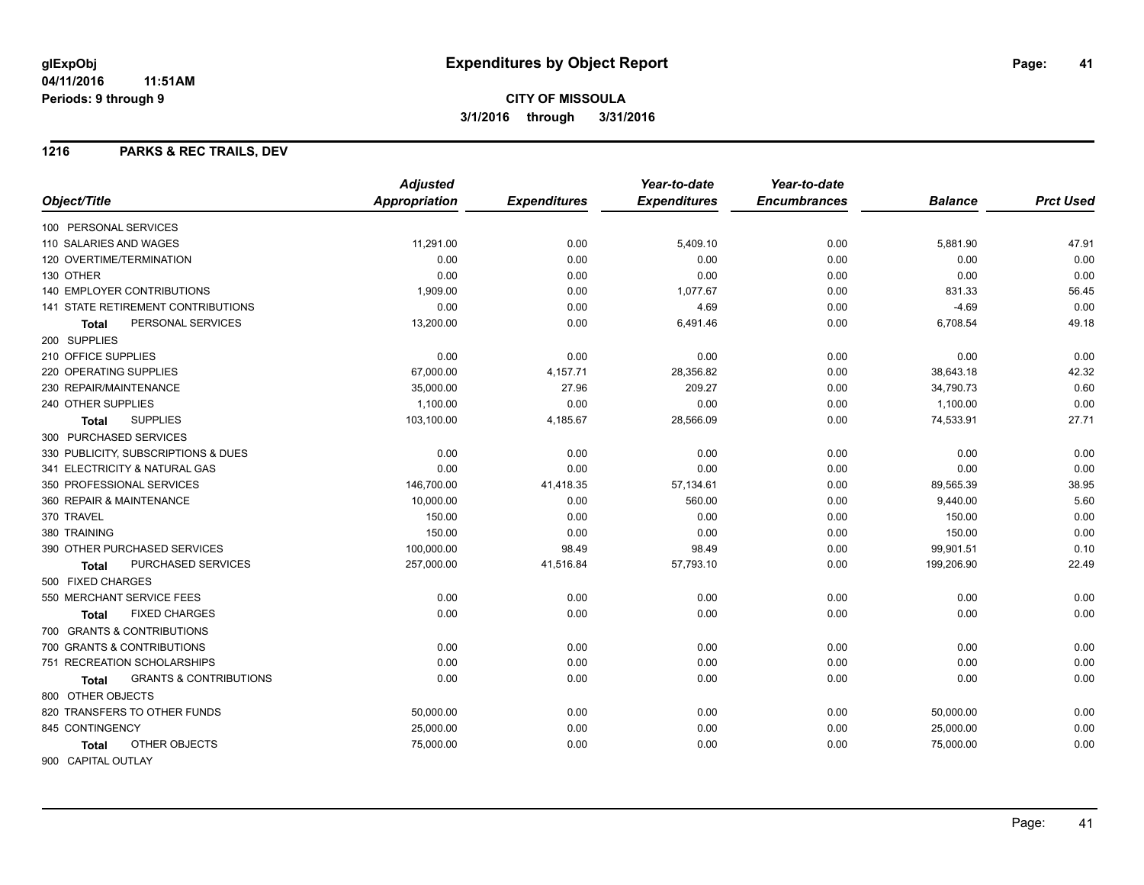## **CITY OF MISSOULA 3/1/2016 through 3/31/2016**

#### **1216 PARKS & REC TRAILS, DEV**

|                                                   | <b>Adjusted</b> |                     | Year-to-date        | Year-to-date        |                |                  |
|---------------------------------------------------|-----------------|---------------------|---------------------|---------------------|----------------|------------------|
| Object/Title                                      | Appropriation   | <b>Expenditures</b> | <b>Expenditures</b> | <b>Encumbrances</b> | <b>Balance</b> | <b>Prct Used</b> |
| 100 PERSONAL SERVICES                             |                 |                     |                     |                     |                |                  |
| 110 SALARIES AND WAGES                            | 11,291.00       | 0.00                | 5,409.10            | 0.00                | 5,881.90       | 47.91            |
| 120 OVERTIME/TERMINATION                          | 0.00            | 0.00                | 0.00                | 0.00                | 0.00           | 0.00             |
| 130 OTHER                                         | 0.00            | 0.00                | 0.00                | 0.00                | 0.00           | 0.00             |
| <b>140 EMPLOYER CONTRIBUTIONS</b>                 | 1,909.00        | 0.00                | 1,077.67            | 0.00                | 831.33         | 56.45            |
| <b>141 STATE RETIREMENT CONTRIBUTIONS</b>         | 0.00            | 0.00                | 4.69                | 0.00                | $-4.69$        | 0.00             |
| PERSONAL SERVICES<br>Total                        | 13,200.00       | 0.00                | 6,491.46            | 0.00                | 6,708.54       | 49.18            |
| 200 SUPPLIES                                      |                 |                     |                     |                     |                |                  |
| 210 OFFICE SUPPLIES                               | 0.00            | 0.00                | 0.00                | 0.00                | 0.00           | 0.00             |
| 220 OPERATING SUPPLIES                            | 67,000.00       | 4,157.71            | 28,356.82           | 0.00                | 38,643.18      | 42.32            |
| 230 REPAIR/MAINTENANCE                            | 35,000.00       | 27.96               | 209.27              | 0.00                | 34,790.73      | 0.60             |
| 240 OTHER SUPPLIES                                | 1,100.00        | 0.00                | 0.00                | 0.00                | 1,100.00       | 0.00             |
| <b>SUPPLIES</b><br><b>Total</b>                   | 103,100.00      | 4,185.67            | 28,566.09           | 0.00                | 74,533.91      | 27.71            |
| 300 PURCHASED SERVICES                            |                 |                     |                     |                     |                |                  |
| 330 PUBLICITY, SUBSCRIPTIONS & DUES               | 0.00            | 0.00                | 0.00                | 0.00                | 0.00           | 0.00             |
| 341 ELECTRICITY & NATURAL GAS                     | 0.00            | 0.00                | 0.00                | 0.00                | 0.00           | 0.00             |
| 350 PROFESSIONAL SERVICES                         | 146,700.00      | 41,418.35           | 57,134.61           | 0.00                | 89,565.39      | 38.95            |
| 360 REPAIR & MAINTENANCE                          | 10,000.00       | 0.00                | 560.00              | 0.00                | 9,440.00       | 5.60             |
| 370 TRAVEL                                        | 150.00          | 0.00                | 0.00                | 0.00                | 150.00         | 0.00             |
| 380 TRAINING                                      | 150.00          | 0.00                | 0.00                | 0.00                | 150.00         | 0.00             |
| 390 OTHER PURCHASED SERVICES                      | 100,000.00      | 98.49               | 98.49               | 0.00                | 99,901.51      | 0.10             |
| PURCHASED SERVICES<br>Total                       | 257,000.00      | 41,516.84           | 57,793.10           | 0.00                | 199,206.90     | 22.49            |
| 500 FIXED CHARGES                                 |                 |                     |                     |                     |                |                  |
| 550 MERCHANT SERVICE FEES                         | 0.00            | 0.00                | 0.00                | 0.00                | 0.00           | 0.00             |
| <b>FIXED CHARGES</b><br>Total                     | 0.00            | 0.00                | 0.00                | 0.00                | 0.00           | 0.00             |
| 700 GRANTS & CONTRIBUTIONS                        |                 |                     |                     |                     |                |                  |
| 700 GRANTS & CONTRIBUTIONS                        | 0.00            | 0.00                | 0.00                | 0.00                | 0.00           | 0.00             |
| 751 RECREATION SCHOLARSHIPS                       | 0.00            | 0.00                | 0.00                | 0.00                | 0.00           | 0.00             |
| <b>GRANTS &amp; CONTRIBUTIONS</b><br><b>Total</b> | 0.00            | 0.00                | 0.00                | 0.00                | 0.00           | 0.00             |
| 800 OTHER OBJECTS                                 |                 |                     |                     |                     |                |                  |
| 820 TRANSFERS TO OTHER FUNDS                      | 50,000.00       | 0.00                | 0.00                | 0.00                | 50,000.00      | 0.00             |
| 845 CONTINGENCY                                   | 25,000.00       | 0.00                | 0.00                | 0.00                | 25,000.00      | 0.00             |
| OTHER OBJECTS<br><b>Total</b>                     | 75,000.00       | 0.00                | 0.00                | 0.00                | 75,000.00      | 0.00             |
| 900 CAPITAL OUTLAY                                |                 |                     |                     |                     |                |                  |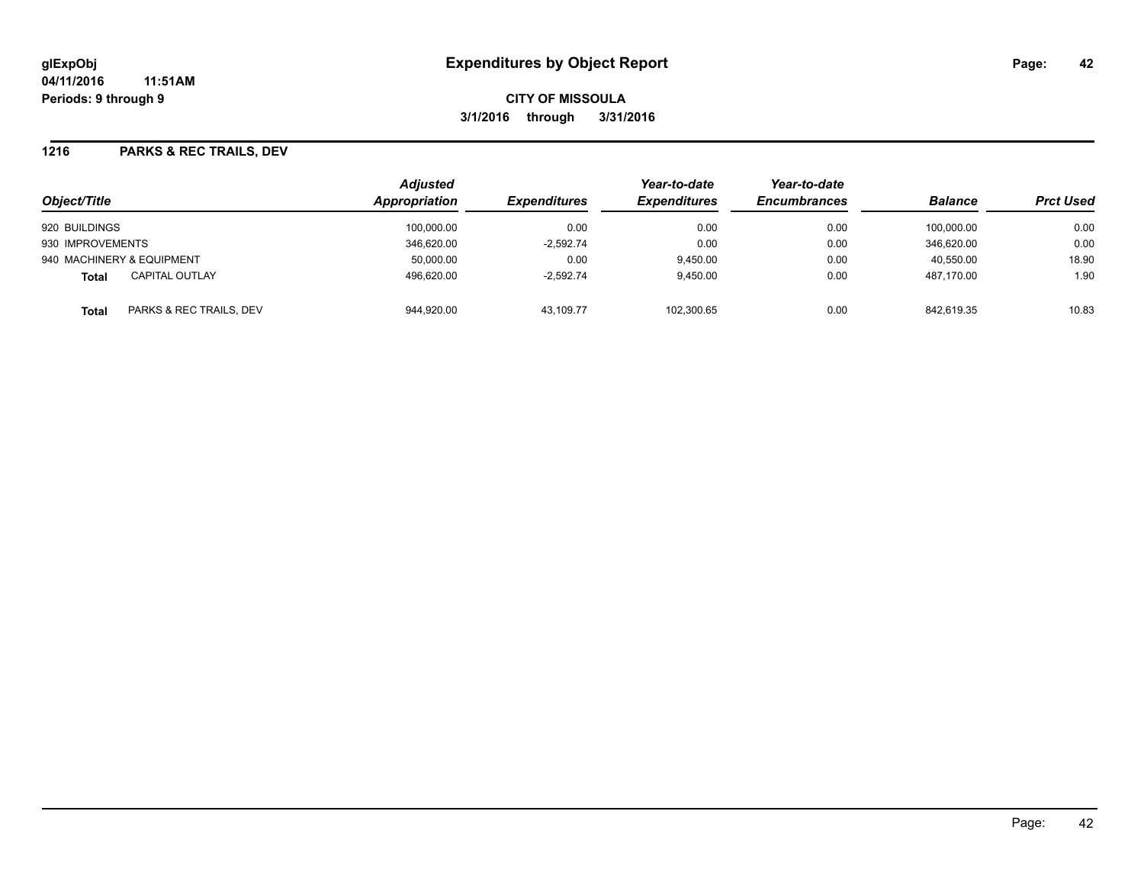#### **1216 PARKS & REC TRAILS, DEV**

| Object/Title                            | <b>Adjusted</b><br><b>Appropriation</b> | <i><b>Expenditures</b></i> | Year-to-date<br><b>Expenditures</b> | Year-to-date<br><b>Encumbrances</b> | <b>Balance</b> | <b>Prct Used</b> |
|-----------------------------------------|-----------------------------------------|----------------------------|-------------------------------------|-------------------------------------|----------------|------------------|
| 920 BUILDINGS                           | 100,000.00                              | 0.00                       | 0.00                                | 0.00                                | 100.000.00     | 0.00             |
| 930 IMPROVEMENTS                        | 346.620.00                              | $-2.592.74$                | 0.00                                | 0.00                                | 346.620.00     | 0.00             |
| 940 MACHINERY & EQUIPMENT               | 50,000.00                               | 0.00                       | 9,450.00                            | 0.00                                | 40,550.00      | 18.90            |
| <b>CAPITAL OUTLAY</b><br><b>Total</b>   | 496,620.00                              | $-2,592.74$                | 9,450.00                            | 0.00                                | 487.170.00     | 1.90             |
| PARKS & REC TRAILS, DEV<br><b>Total</b> | 944.920.00                              | 43.109.77                  | 102,300.65                          | 0.00                                | 842.619.35     | 10.83            |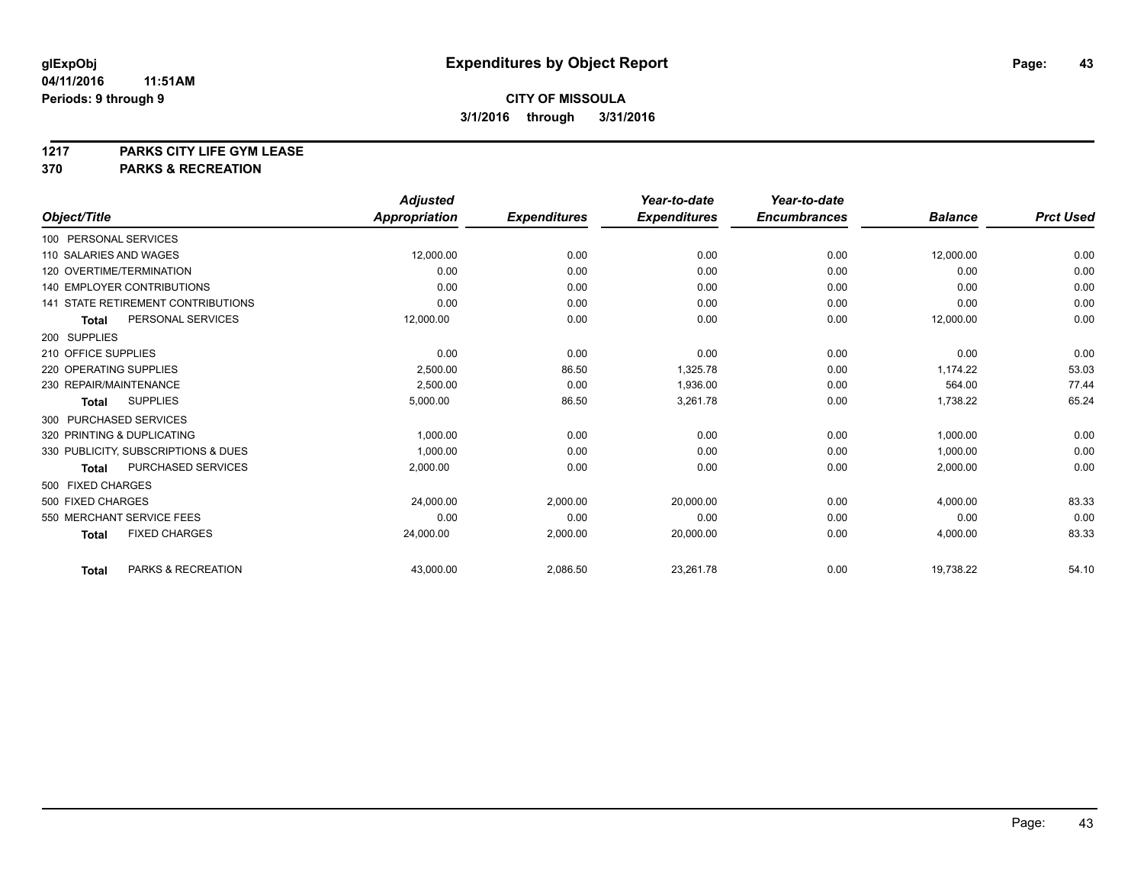# **1217 PARKS CITY LIFE GYM LEASE**

## **370 PARKS & RECREATION**

|                                           | <b>Adjusted</b>      |                     | Year-to-date        | Year-to-date        |                |                  |
|-------------------------------------------|----------------------|---------------------|---------------------|---------------------|----------------|------------------|
| Object/Title                              | <b>Appropriation</b> | <b>Expenditures</b> | <b>Expenditures</b> | <b>Encumbrances</b> | <b>Balance</b> | <b>Prct Used</b> |
| 100 PERSONAL SERVICES                     |                      |                     |                     |                     |                |                  |
| 110 SALARIES AND WAGES                    | 12,000.00            | 0.00                | 0.00                | 0.00                | 12,000.00      | 0.00             |
| 120 OVERTIME/TERMINATION                  | 0.00                 | 0.00                | 0.00                | 0.00                | 0.00           | 0.00             |
| <b>140 EMPLOYER CONTRIBUTIONS</b>         | 0.00                 | 0.00                | 0.00                | 0.00                | 0.00           | 0.00             |
| <b>141 STATE RETIREMENT CONTRIBUTIONS</b> | 0.00                 | 0.00                | 0.00                | 0.00                | 0.00           | 0.00             |
| PERSONAL SERVICES<br><b>Total</b>         | 12,000.00            | 0.00                | 0.00                | 0.00                | 12,000.00      | 0.00             |
| 200 SUPPLIES                              |                      |                     |                     |                     |                |                  |
| 210 OFFICE SUPPLIES                       | 0.00                 | 0.00                | 0.00                | 0.00                | 0.00           | 0.00             |
| 220 OPERATING SUPPLIES                    | 2,500.00             | 86.50               | 1,325.78            | 0.00                | 1,174.22       | 53.03            |
| 230 REPAIR/MAINTENANCE                    | 2,500.00             | 0.00                | 1,936.00            | 0.00                | 564.00         | 77.44            |
| <b>SUPPLIES</b><br><b>Total</b>           | 5,000.00             | 86.50               | 3,261.78            | 0.00                | 1,738.22       | 65.24            |
| 300 PURCHASED SERVICES                    |                      |                     |                     |                     |                |                  |
| 320 PRINTING & DUPLICATING                | 1,000.00             | 0.00                | 0.00                | 0.00                | 1,000.00       | 0.00             |
| 330 PUBLICITY, SUBSCRIPTIONS & DUES       | 1,000.00             | 0.00                | 0.00                | 0.00                | 1,000.00       | 0.00             |
| <b>PURCHASED SERVICES</b><br><b>Total</b> | 2,000.00             | 0.00                | 0.00                | 0.00                | 2,000.00       | 0.00             |
| 500 FIXED CHARGES                         |                      |                     |                     |                     |                |                  |
| 500 FIXED CHARGES                         | 24,000.00            | 2.000.00            | 20,000.00           | 0.00                | 4,000.00       | 83.33            |
| 550 MERCHANT SERVICE FEES                 | 0.00                 | 0.00                | 0.00                | 0.00                | 0.00           | 0.00             |
| <b>FIXED CHARGES</b><br><b>Total</b>      | 24,000.00            | 2,000.00            | 20,000.00           | 0.00                | 4,000.00       | 83.33            |
| PARKS & RECREATION<br><b>Total</b>        | 43,000.00            | 2,086.50            | 23,261.78           | 0.00                | 19,738.22      | 54.10            |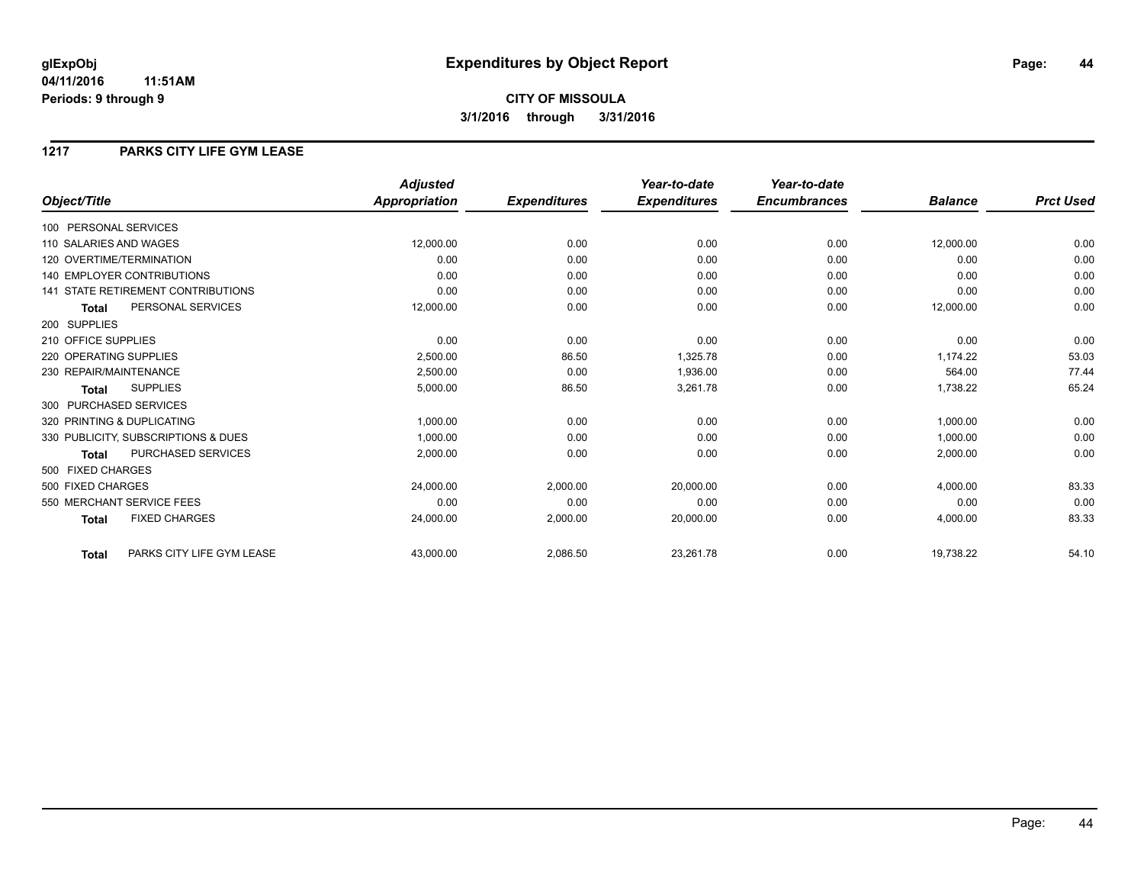**CITY OF MISSOULA 3/1/2016 through 3/31/2016**

### **1217 PARKS CITY LIFE GYM LEASE**

|                                           | <b>Adjusted</b> |                     | Year-to-date        | Year-to-date        |                |                  |
|-------------------------------------------|-----------------|---------------------|---------------------|---------------------|----------------|------------------|
| Object/Title                              | Appropriation   | <b>Expenditures</b> | <b>Expenditures</b> | <b>Encumbrances</b> | <b>Balance</b> | <b>Prct Used</b> |
| 100 PERSONAL SERVICES                     |                 |                     |                     |                     |                |                  |
| 110 SALARIES AND WAGES                    | 12,000.00       | 0.00                | 0.00                | 0.00                | 12,000.00      | 0.00             |
| 120 OVERTIME/TERMINATION                  | 0.00            | 0.00                | 0.00                | 0.00                | 0.00           | 0.00             |
| <b>140 EMPLOYER CONTRIBUTIONS</b>         | 0.00            | 0.00                | 0.00                | 0.00                | 0.00           | 0.00             |
| <b>141 STATE RETIREMENT CONTRIBUTIONS</b> | 0.00            | 0.00                | 0.00                | 0.00                | 0.00           | 0.00             |
| PERSONAL SERVICES<br><b>Total</b>         | 12,000.00       | 0.00                | 0.00                | 0.00                | 12,000.00      | 0.00             |
| 200 SUPPLIES                              |                 |                     |                     |                     |                |                  |
| 210 OFFICE SUPPLIES                       | 0.00            | 0.00                | 0.00                | 0.00                | 0.00           | 0.00             |
| 220 OPERATING SUPPLIES                    | 2,500.00        | 86.50               | 1,325.78            | 0.00                | 1.174.22       | 53.03            |
| 230 REPAIR/MAINTENANCE                    | 2,500.00        | 0.00                | 1,936.00            | 0.00                | 564.00         | 77.44            |
| <b>SUPPLIES</b><br><b>Total</b>           | 5,000.00        | 86.50               | 3,261.78            | 0.00                | 1,738.22       | 65.24            |
| 300 PURCHASED SERVICES                    |                 |                     |                     |                     |                |                  |
| 320 PRINTING & DUPLICATING                | 1,000.00        | 0.00                | 0.00                | 0.00                | 1,000.00       | 0.00             |
| 330 PUBLICITY, SUBSCRIPTIONS & DUES       | 1,000.00        | 0.00                | 0.00                | 0.00                | 1,000.00       | 0.00             |
| PURCHASED SERVICES<br><b>Total</b>        | 2,000.00        | 0.00                | 0.00                | 0.00                | 2,000.00       | 0.00             |
| 500 FIXED CHARGES                         |                 |                     |                     |                     |                |                  |
| 500 FIXED CHARGES                         | 24,000.00       | 2,000.00            | 20,000.00           | 0.00                | 4,000.00       | 83.33            |
| 550 MERCHANT SERVICE FEES                 | 0.00            | 0.00                | 0.00                | 0.00                | 0.00           | 0.00             |
| <b>FIXED CHARGES</b><br><b>Total</b>      | 24,000.00       | 2,000.00            | 20,000.00           | 0.00                | 4,000.00       | 83.33            |
| PARKS CITY LIFE GYM LEASE<br>Total        | 43,000.00       | 2,086.50            | 23,261.78           | 0.00                | 19,738.22      | 54.10            |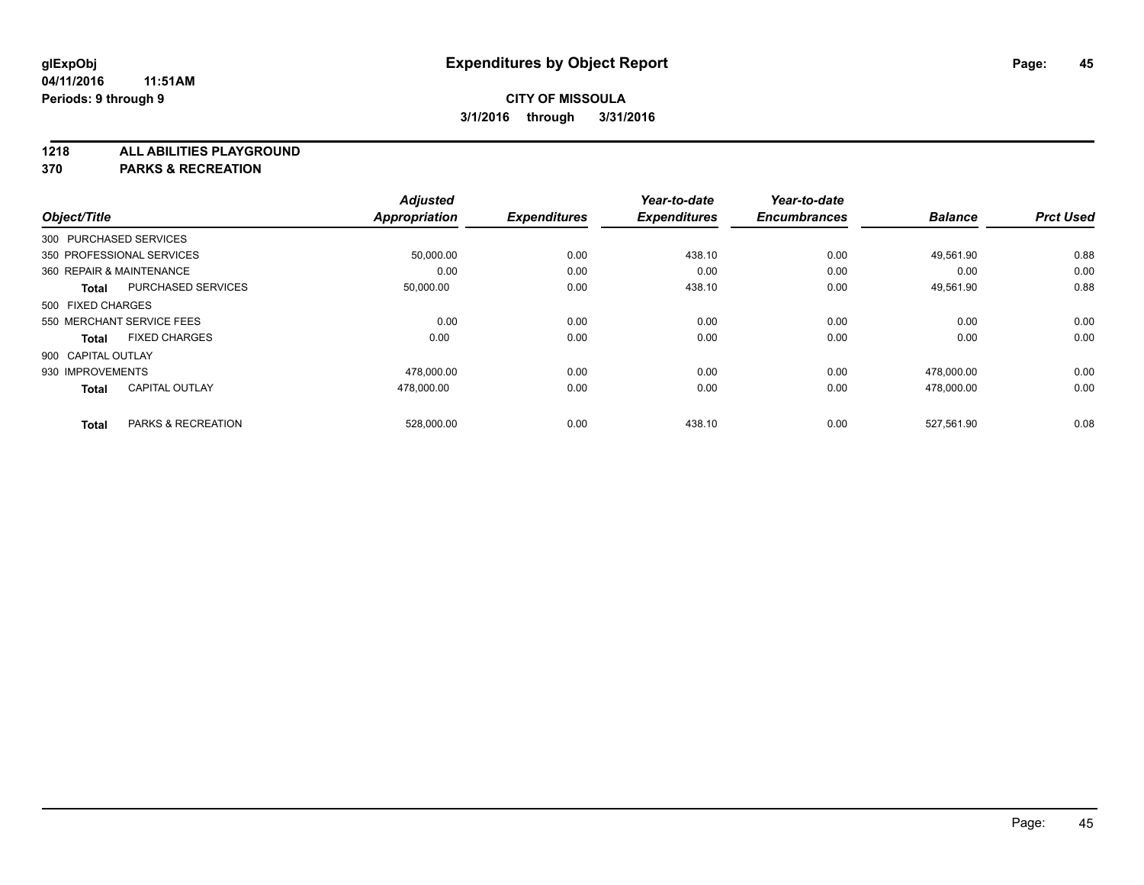**1218 ALL ABILITIES PLAYGROUND**

**370 PARKS & RECREATION**

|                          |                           | <b>Adjusted</b> |                     | Year-to-date        | Year-to-date        |                |                  |
|--------------------------|---------------------------|-----------------|---------------------|---------------------|---------------------|----------------|------------------|
| Object/Title             |                           | Appropriation   | <b>Expenditures</b> | <b>Expenditures</b> | <b>Encumbrances</b> | <b>Balance</b> | <b>Prct Used</b> |
| 300 PURCHASED SERVICES   |                           |                 |                     |                     |                     |                |                  |
|                          | 350 PROFESSIONAL SERVICES | 50,000.00       | 0.00                | 438.10              | 0.00                | 49,561.90      | 0.88             |
| 360 REPAIR & MAINTENANCE |                           | 0.00            | 0.00                | 0.00                | 0.00                | 0.00           | 0.00             |
| <b>Total</b>             | <b>PURCHASED SERVICES</b> | 50,000.00       | 0.00                | 438.10              | 0.00                | 49,561.90      | 0.88             |
| 500 FIXED CHARGES        |                           |                 |                     |                     |                     |                |                  |
|                          | 550 MERCHANT SERVICE FEES | 0.00            | 0.00                | 0.00                | 0.00                | 0.00           | 0.00             |
| <b>Total</b>             | <b>FIXED CHARGES</b>      | 0.00            | 0.00                | 0.00                | 0.00                | 0.00           | 0.00             |
| 900 CAPITAL OUTLAY       |                           |                 |                     |                     |                     |                |                  |
| 930 IMPROVEMENTS         |                           | 478,000.00      | 0.00                | 0.00                | 0.00                | 478,000.00     | 0.00             |
| <b>Total</b>             | <b>CAPITAL OUTLAY</b>     | 478,000.00      | 0.00                | 0.00                | 0.00                | 478.000.00     | 0.00             |
|                          |                           |                 |                     |                     |                     |                |                  |
| <b>Total</b>             | PARKS & RECREATION        | 528,000.00      | 0.00                | 438.10              | 0.00                | 527.561.90     | 0.08             |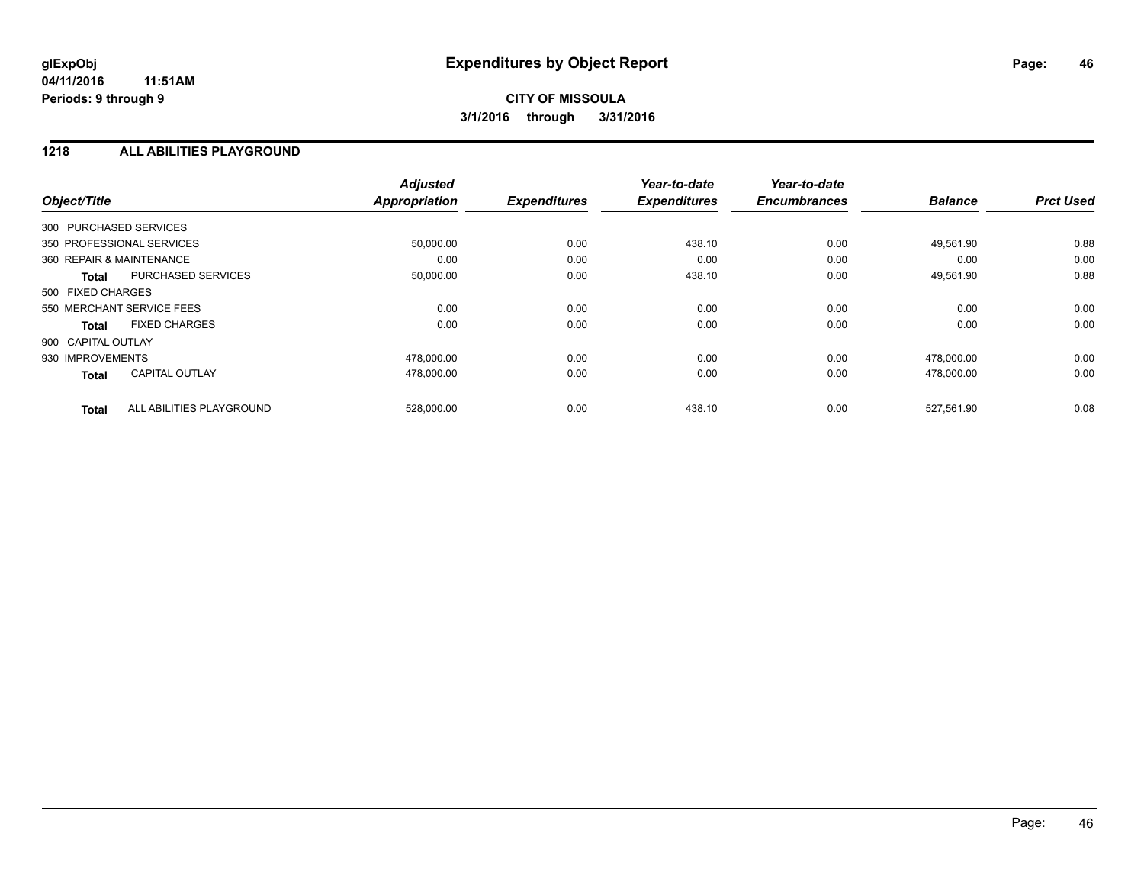## **CITY OF MISSOULA 3/1/2016 through 3/31/2016**

#### **1218 ALL ABILITIES PLAYGROUND**

| Object/Title             |                           | <b>Adjusted</b><br><b>Appropriation</b> | <b>Expenditures</b> | Year-to-date<br><b>Expenditures</b> | Year-to-date<br><b>Encumbrances</b> | <b>Balance</b> | <b>Prct Used</b> |
|--------------------------|---------------------------|-----------------------------------------|---------------------|-------------------------------------|-------------------------------------|----------------|------------------|
| 300 PURCHASED SERVICES   |                           |                                         |                     |                                     |                                     |                |                  |
|                          | 350 PROFESSIONAL SERVICES | 50,000.00                               | 0.00                | 438.10                              | 0.00                                | 49,561.90      | 0.88             |
| 360 REPAIR & MAINTENANCE |                           | 0.00                                    | 0.00                | 0.00                                | 0.00                                | 0.00           | 0.00             |
| <b>Total</b>             | <b>PURCHASED SERVICES</b> | 50,000.00                               | 0.00                | 438.10                              | 0.00                                | 49,561.90      | 0.88             |
| 500 FIXED CHARGES        |                           |                                         |                     |                                     |                                     |                |                  |
|                          | 550 MERCHANT SERVICE FEES | 0.00                                    | 0.00                | 0.00                                | 0.00                                | 0.00           | 0.00             |
| <b>Total</b>             | <b>FIXED CHARGES</b>      | 0.00                                    | 0.00                | 0.00                                | 0.00                                | 0.00           | 0.00             |
| 900 CAPITAL OUTLAY       |                           |                                         |                     |                                     |                                     |                |                  |
| 930 IMPROVEMENTS         |                           | 478,000.00                              | 0.00                | 0.00                                | 0.00                                | 478,000.00     | 0.00             |
| <b>Total</b>             | <b>CAPITAL OUTLAY</b>     | 478,000.00                              | 0.00                | 0.00                                | 0.00                                | 478,000.00     | 0.00             |
| <b>Total</b>             | ALL ABILITIES PLAYGROUND  | 528,000.00                              | 0.00                | 438.10                              | 0.00                                | 527,561.90     | 0.08             |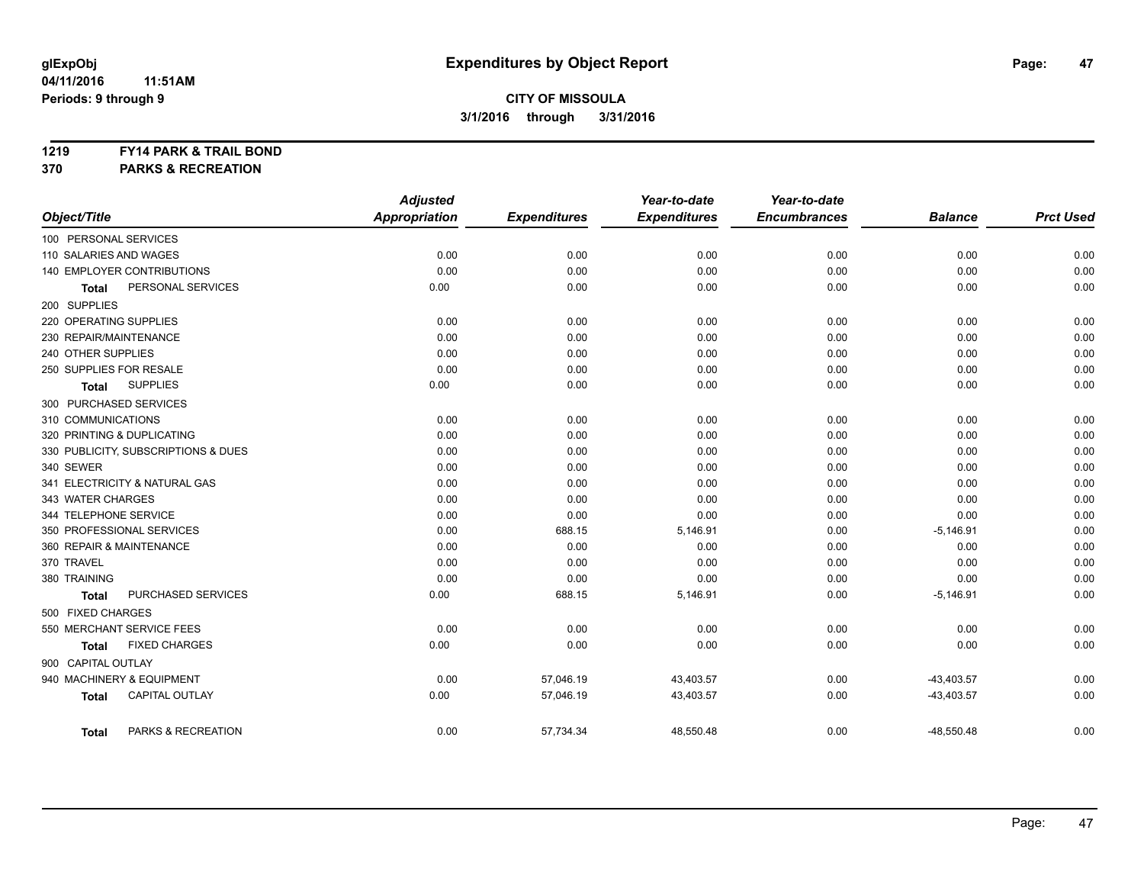#### **1219 FY14 PARK & TRAIL BOND**

**370 PARKS & RECREATION**

|                                       | <b>Adjusted</b>      |                     | Year-to-date        | Year-to-date        |                |                  |
|---------------------------------------|----------------------|---------------------|---------------------|---------------------|----------------|------------------|
| Object/Title                          | <b>Appropriation</b> | <b>Expenditures</b> | <b>Expenditures</b> | <b>Encumbrances</b> | <b>Balance</b> | <b>Prct Used</b> |
| 100 PERSONAL SERVICES                 |                      |                     |                     |                     |                |                  |
| 110 SALARIES AND WAGES                | 0.00                 | 0.00                | 0.00                | 0.00                | 0.00           | 0.00             |
| 140 EMPLOYER CONTRIBUTIONS            | 0.00                 | 0.00                | 0.00                | 0.00                | 0.00           | 0.00             |
| PERSONAL SERVICES<br><b>Total</b>     | 0.00                 | 0.00                | 0.00                | 0.00                | 0.00           | 0.00             |
| 200 SUPPLIES                          |                      |                     |                     |                     |                |                  |
| 220 OPERATING SUPPLIES                | 0.00                 | 0.00                | 0.00                | 0.00                | 0.00           | 0.00             |
| 230 REPAIR/MAINTENANCE                | 0.00                 | 0.00                | 0.00                | 0.00                | 0.00           | 0.00             |
| 240 OTHER SUPPLIES                    | 0.00                 | 0.00                | 0.00                | 0.00                | 0.00           | 0.00             |
| 250 SUPPLIES FOR RESALE               | 0.00                 | 0.00                | 0.00                | 0.00                | 0.00           | 0.00             |
| <b>SUPPLIES</b><br><b>Total</b>       | 0.00                 | 0.00                | 0.00                | 0.00                | 0.00           | 0.00             |
| 300 PURCHASED SERVICES                |                      |                     |                     |                     |                |                  |
| 310 COMMUNICATIONS                    | 0.00                 | 0.00                | 0.00                | 0.00                | 0.00           | 0.00             |
| 320 PRINTING & DUPLICATING            | 0.00                 | 0.00                | 0.00                | 0.00                | 0.00           | 0.00             |
| 330 PUBLICITY, SUBSCRIPTIONS & DUES   | 0.00                 | 0.00                | 0.00                | 0.00                | 0.00           | 0.00             |
| 340 SEWER                             | 0.00                 | 0.00                | 0.00                | 0.00                | 0.00           | 0.00             |
| 341 ELECTRICITY & NATURAL GAS         | 0.00                 | 0.00                | 0.00                | 0.00                | 0.00           | 0.00             |
| 343 WATER CHARGES                     | 0.00                 | 0.00                | 0.00                | 0.00                | 0.00           | 0.00             |
| 344 TELEPHONE SERVICE                 | 0.00                 | 0.00                | 0.00                | 0.00                | 0.00           | 0.00             |
| 350 PROFESSIONAL SERVICES             | 0.00                 | 688.15              | 5,146.91            | 0.00                | $-5,146.91$    | 0.00             |
| 360 REPAIR & MAINTENANCE              | 0.00                 | 0.00                | 0.00                | 0.00                | 0.00           | 0.00             |
| 370 TRAVEL                            | 0.00                 | 0.00                | 0.00                | 0.00                | 0.00           | 0.00             |
| 380 TRAINING                          | 0.00                 | 0.00                | 0.00                | 0.00                | 0.00           | 0.00             |
| PURCHASED SERVICES<br><b>Total</b>    | 0.00                 | 688.15              | 5,146.91            | 0.00                | $-5,146.91$    | 0.00             |
| 500 FIXED CHARGES                     |                      |                     |                     |                     |                |                  |
| 550 MERCHANT SERVICE FEES             | 0.00                 | 0.00                | 0.00                | 0.00                | 0.00           | 0.00             |
| <b>FIXED CHARGES</b><br><b>Total</b>  | 0.00                 | 0.00                | 0.00                | 0.00                | 0.00           | 0.00             |
| 900 CAPITAL OUTLAY                    |                      |                     |                     |                     |                |                  |
| 940 MACHINERY & EQUIPMENT             | 0.00                 | 57,046.19           | 43,403.57           | 0.00                | $-43,403.57$   | 0.00             |
| <b>CAPITAL OUTLAY</b><br><b>Total</b> | 0.00                 | 57,046.19           | 43,403.57           | 0.00                | $-43,403.57$   | 0.00             |
| PARKS & RECREATION<br><b>Total</b>    | 0.00                 | 57,734.34           | 48,550.48           | 0.00                | $-48,550.48$   | 0.00             |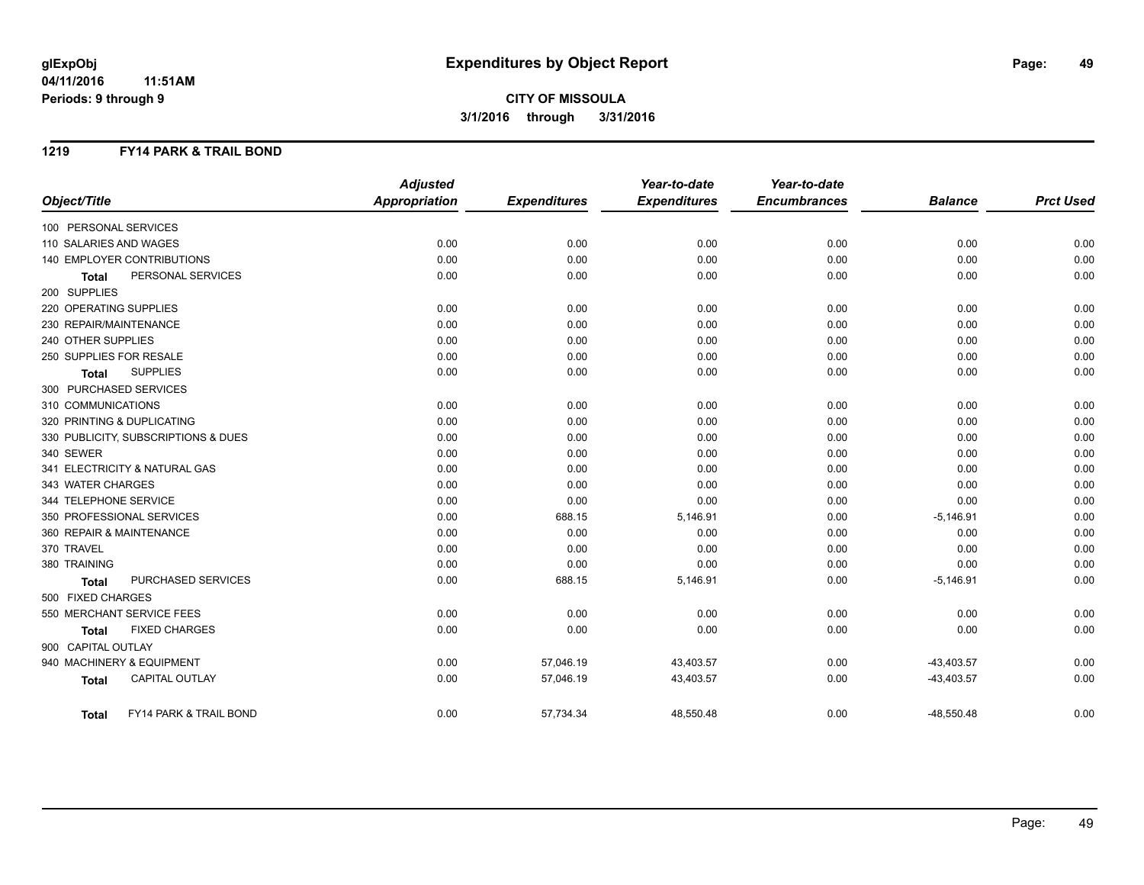## **CITY OF MISSOULA 3/1/2016 through 3/31/2016**

#### **1219 FY14 PARK & TRAIL BOND**

|                                        | <b>Adjusted</b>      |                     | Year-to-date        | Year-to-date        |                |                  |
|----------------------------------------|----------------------|---------------------|---------------------|---------------------|----------------|------------------|
| Object/Title                           | <b>Appropriation</b> | <b>Expenditures</b> | <b>Expenditures</b> | <b>Encumbrances</b> | <b>Balance</b> | <b>Prct Used</b> |
| 100 PERSONAL SERVICES                  |                      |                     |                     |                     |                |                  |
| 110 SALARIES AND WAGES                 | 0.00                 | 0.00                | 0.00                | 0.00                | 0.00           | 0.00             |
| <b>140 EMPLOYER CONTRIBUTIONS</b>      | 0.00                 | 0.00                | 0.00                | 0.00                | 0.00           | 0.00             |
| PERSONAL SERVICES<br><b>Total</b>      | 0.00                 | 0.00                | 0.00                | 0.00                | 0.00           | 0.00             |
| 200 SUPPLIES                           |                      |                     |                     |                     |                |                  |
| 220 OPERATING SUPPLIES                 | 0.00                 | 0.00                | 0.00                | 0.00                | 0.00           | 0.00             |
| 230 REPAIR/MAINTENANCE                 | 0.00                 | 0.00                | 0.00                | 0.00                | 0.00           | 0.00             |
| 240 OTHER SUPPLIES                     | 0.00                 | 0.00                | 0.00                | 0.00                | 0.00           | 0.00             |
| 250 SUPPLIES FOR RESALE                | 0.00                 | 0.00                | 0.00                | 0.00                | 0.00           | 0.00             |
| <b>SUPPLIES</b><br><b>Total</b>        | 0.00                 | 0.00                | 0.00                | 0.00                | 0.00           | 0.00             |
| 300 PURCHASED SERVICES                 |                      |                     |                     |                     |                |                  |
| 310 COMMUNICATIONS                     | 0.00                 | 0.00                | 0.00                | 0.00                | 0.00           | 0.00             |
| 320 PRINTING & DUPLICATING             | 0.00                 | 0.00                | 0.00                | 0.00                | 0.00           | 0.00             |
| 330 PUBLICITY, SUBSCRIPTIONS & DUES    | 0.00                 | 0.00                | 0.00                | 0.00                | 0.00           | 0.00             |
| 340 SEWER                              | 0.00                 | 0.00                | 0.00                | 0.00                | 0.00           | 0.00             |
| 341 ELECTRICITY & NATURAL GAS          | 0.00                 | 0.00                | 0.00                | 0.00                | 0.00           | 0.00             |
| 343 WATER CHARGES                      | 0.00                 | 0.00                | 0.00                | 0.00                | 0.00           | 0.00             |
| 344 TELEPHONE SERVICE                  | 0.00                 | 0.00                | 0.00                | 0.00                | 0.00           | 0.00             |
| 350 PROFESSIONAL SERVICES              | 0.00                 | 688.15              | 5,146.91            | 0.00                | $-5,146.91$    | 0.00             |
| 360 REPAIR & MAINTENANCE               | 0.00                 | 0.00                | 0.00                | 0.00                | 0.00           | 0.00             |
| 370 TRAVEL                             | 0.00                 | 0.00                | 0.00                | 0.00                | 0.00           | 0.00             |
| 380 TRAINING                           | 0.00                 | 0.00                | 0.00                | 0.00                | 0.00           | 0.00             |
| PURCHASED SERVICES<br><b>Total</b>     | 0.00                 | 688.15              | 5,146.91            | 0.00                | $-5,146.91$    | 0.00             |
| 500 FIXED CHARGES                      |                      |                     |                     |                     |                |                  |
| 550 MERCHANT SERVICE FEES              | 0.00                 | 0.00                | 0.00                | 0.00                | 0.00           | 0.00             |
| <b>FIXED CHARGES</b><br><b>Total</b>   | 0.00                 | 0.00                | 0.00                | 0.00                | 0.00           | 0.00             |
| 900 CAPITAL OUTLAY                     |                      |                     |                     |                     |                |                  |
| 940 MACHINERY & EQUIPMENT              | 0.00                 | 57,046.19           | 43,403.57           | 0.00                | $-43,403.57$   | 0.00             |
| <b>CAPITAL OUTLAY</b><br><b>Total</b>  | 0.00                 | 57,046.19           | 43,403.57           | 0.00                | $-43,403.57$   | 0.00             |
| FY14 PARK & TRAIL BOND<br><b>Total</b> | 0.00                 | 57,734.34           | 48,550.48           | 0.00                | $-48,550.48$   | 0.00             |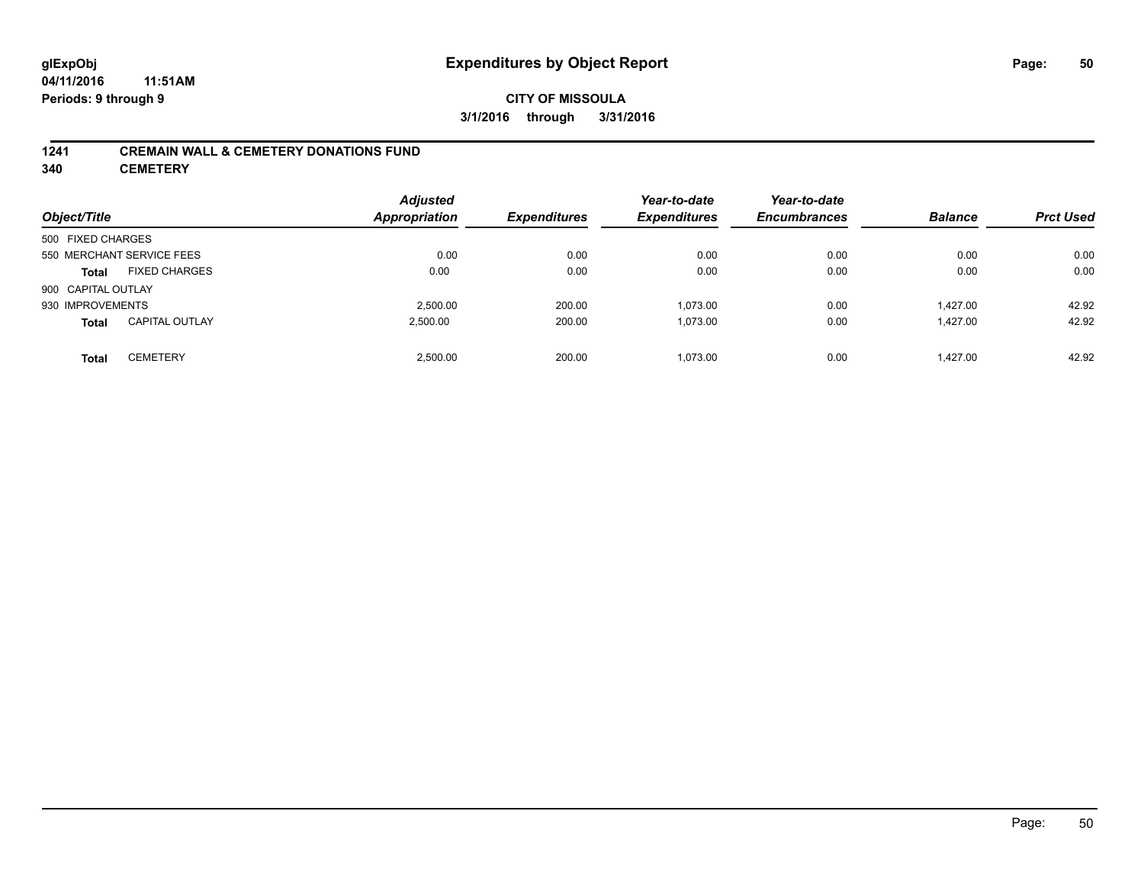#### **1241 CREMAIN WALL & CEMETERY DONATIONS FUND**

**340 CEMETERY**

| Object/Title              |                       | <b>Adjusted</b><br>Appropriation | <b>Expenditures</b> | Year-to-date<br><b>Expenditures</b> | Year-to-date<br><b>Encumbrances</b> | <b>Balance</b> | <b>Prct Used</b> |
|---------------------------|-----------------------|----------------------------------|---------------------|-------------------------------------|-------------------------------------|----------------|------------------|
| 500 FIXED CHARGES         |                       |                                  |                     |                                     |                                     |                |                  |
| 550 MERCHANT SERVICE FEES |                       | 0.00                             | 0.00                | 0.00                                | 0.00                                | 0.00           | 0.00             |
| <b>Total</b>              | <b>FIXED CHARGES</b>  | 0.00                             | 0.00                | 0.00                                | 0.00                                | 0.00           | 0.00             |
| 900 CAPITAL OUTLAY        |                       |                                  |                     |                                     |                                     |                |                  |
| 930 IMPROVEMENTS          |                       | 2.500.00                         | 200.00              | 1,073.00                            | 0.00                                | 1.427.00       | 42.92            |
| <b>Total</b>              | <b>CAPITAL OUTLAY</b> | 2,500.00                         | 200.00              | 1,073.00                            | 0.00                                | 1,427.00       | 42.92            |
| <b>Total</b>              | <b>CEMETERY</b>       | 2.500.00                         | 200.00              | 1.073.00                            | 0.00                                | 1.427.00       | 42.92            |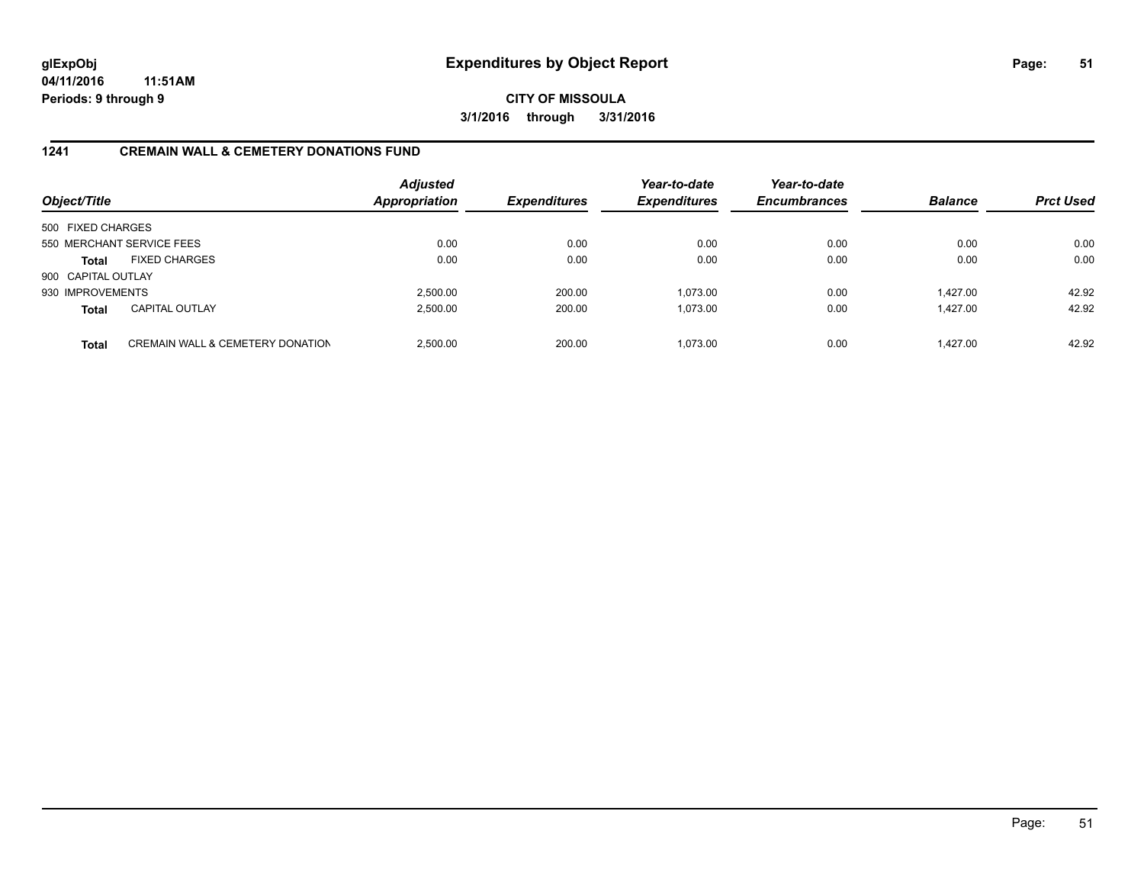**CITY OF MISSOULA 3/1/2016 through 3/31/2016**

### **1241 CREMAIN WALL & CEMETERY DONATIONS FUND**

| Object/Title       |                                             | <b>Adjusted</b><br>Appropriation | <b>Expenditures</b> | Year-to-date<br><b>Expenditures</b> | Year-to-date<br><b>Encumbrances</b> | <b>Balance</b> | <b>Prct Used</b> |
|--------------------|---------------------------------------------|----------------------------------|---------------------|-------------------------------------|-------------------------------------|----------------|------------------|
| 500 FIXED CHARGES  |                                             |                                  |                     |                                     |                                     |                |                  |
|                    | 550 MERCHANT SERVICE FEES                   | 0.00                             | 0.00                | 0.00                                | 0.00                                | 0.00           | 0.00             |
| <b>Total</b>       | <b>FIXED CHARGES</b>                        | 0.00                             | 0.00                | 0.00                                | 0.00                                | 0.00           | 0.00             |
| 900 CAPITAL OUTLAY |                                             |                                  |                     |                                     |                                     |                |                  |
| 930 IMPROVEMENTS   |                                             | 2.500.00                         | 200.00              | 1.073.00                            | 0.00                                | 1.427.00       | 42.92            |
| <b>Total</b>       | <b>CAPITAL OUTLAY</b>                       | 2,500.00                         | 200.00              | 1,073.00                            | 0.00                                | 1.427.00       | 42.92            |
| <b>Total</b>       | <b>CREMAIN WALL &amp; CEMETERY DONATION</b> | 2.500.00                         | 200.00              | 1.073.00                            | 0.00                                | 1.427.00       | 42.92            |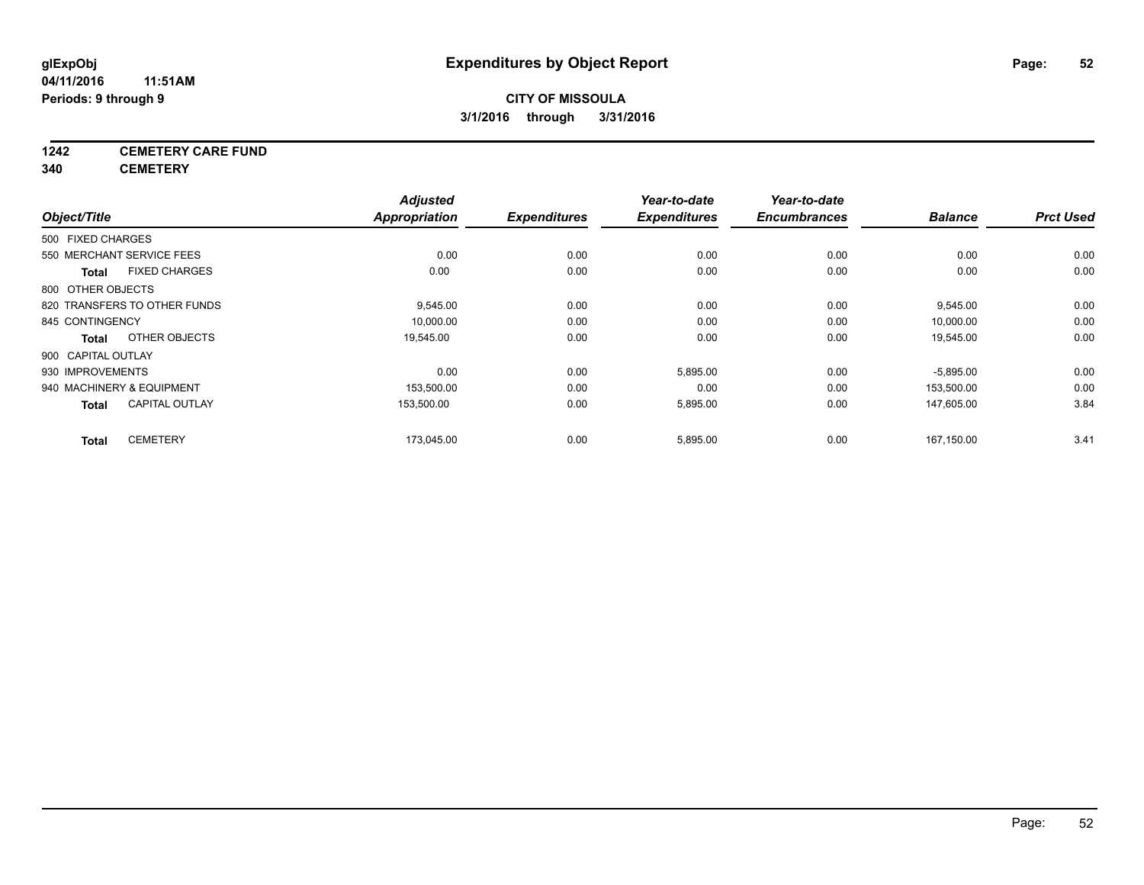## **1242 CEMETERY CARE FUND**

**340 CEMETERY**

|                           |                              | <b>Adjusted</b>      |                     | Year-to-date        | Year-to-date        |                |                  |
|---------------------------|------------------------------|----------------------|---------------------|---------------------|---------------------|----------------|------------------|
| Object/Title              |                              | <b>Appropriation</b> | <b>Expenditures</b> | <b>Expenditures</b> | <b>Encumbrances</b> | <b>Balance</b> | <b>Prct Used</b> |
| 500 FIXED CHARGES         |                              |                      |                     |                     |                     |                |                  |
| 550 MERCHANT SERVICE FEES |                              | 0.00                 | 0.00                | 0.00                | 0.00                | 0.00           | 0.00             |
| Total                     | <b>FIXED CHARGES</b>         | 0.00                 | 0.00                | 0.00                | 0.00                | 0.00           | 0.00             |
| 800 OTHER OBJECTS         |                              |                      |                     |                     |                     |                |                  |
|                           | 820 TRANSFERS TO OTHER FUNDS | 9,545.00             | 0.00                | 0.00                | 0.00                | 9,545.00       | 0.00             |
| 845 CONTINGENCY           |                              | 10,000.00            | 0.00                | 0.00                | 0.00                | 10,000.00      | 0.00             |
| Total                     | OTHER OBJECTS                | 19,545.00            | 0.00                | 0.00                | 0.00                | 19,545.00      | 0.00             |
| 900 CAPITAL OUTLAY        |                              |                      |                     |                     |                     |                |                  |
| 930 IMPROVEMENTS          |                              | 0.00                 | 0.00                | 5,895.00            | 0.00                | $-5,895.00$    | 0.00             |
| 940 MACHINERY & EQUIPMENT |                              | 153,500.00           | 0.00                | 0.00                | 0.00                | 153,500.00     | 0.00             |
| <b>Total</b>              | <b>CAPITAL OUTLAY</b>        | 153,500.00           | 0.00                | 5,895.00            | 0.00                | 147,605.00     | 3.84             |
| <b>Total</b>              | <b>CEMETERY</b>              | 173,045.00           | 0.00                | 5,895.00            | 0.00                | 167,150.00     | 3.41             |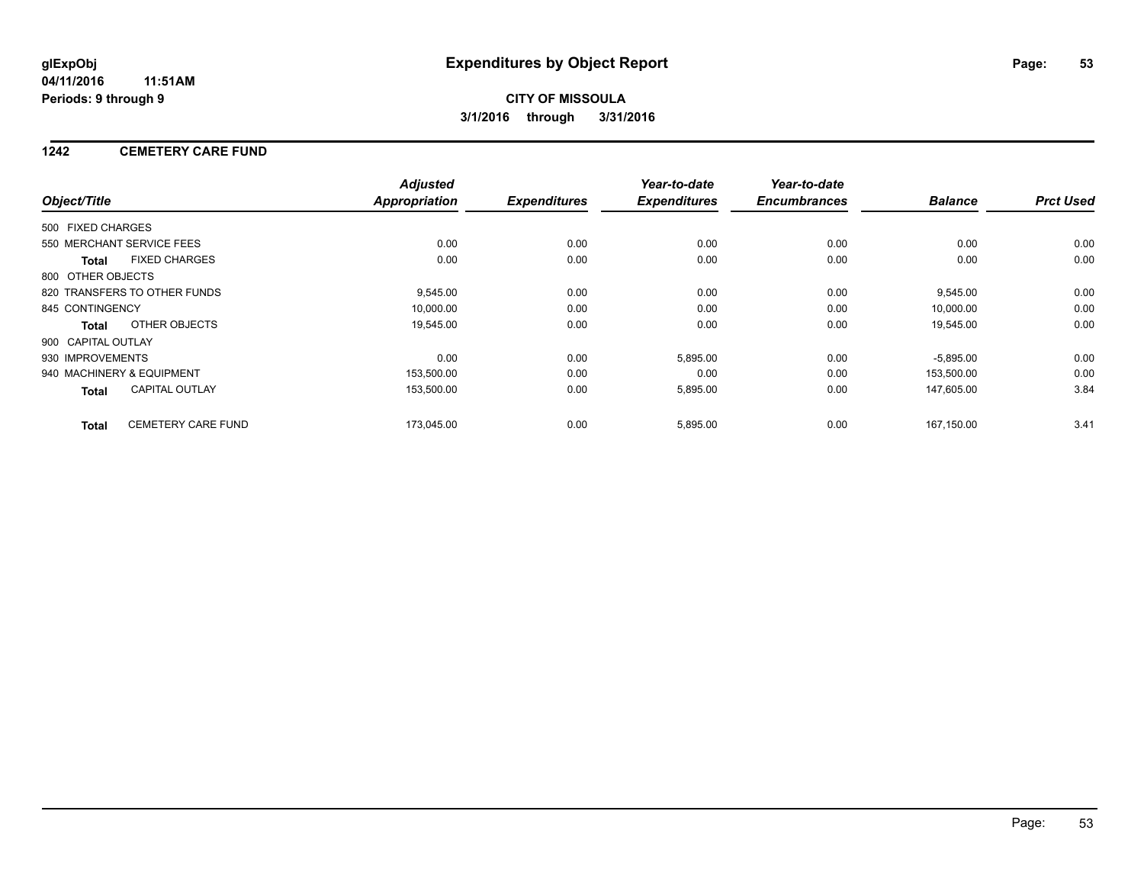### **1242 CEMETERY CARE FUND**

|                    |                              | <b>Adjusted</b> |                     | Year-to-date        | Year-to-date        |                |                  |
|--------------------|------------------------------|-----------------|---------------------|---------------------|---------------------|----------------|------------------|
| Object/Title       |                              | Appropriation   | <b>Expenditures</b> | <b>Expenditures</b> | <b>Encumbrances</b> | <b>Balance</b> | <b>Prct Used</b> |
| 500 FIXED CHARGES  |                              |                 |                     |                     |                     |                |                  |
|                    | 550 MERCHANT SERVICE FEES    | 0.00            | 0.00                | 0.00                | 0.00                | 0.00           | 0.00             |
| <b>Total</b>       | <b>FIXED CHARGES</b>         | 0.00            | 0.00                | 0.00                | 0.00                | 0.00           | 0.00             |
| 800 OTHER OBJECTS  |                              |                 |                     |                     |                     |                |                  |
|                    | 820 TRANSFERS TO OTHER FUNDS | 9,545.00        | 0.00                | 0.00                | 0.00                | 9,545.00       | 0.00             |
| 845 CONTINGENCY    |                              | 10,000.00       | 0.00                | 0.00                | 0.00                | 10,000.00      | 0.00             |
| Total              | OTHER OBJECTS                | 19,545.00       | 0.00                | 0.00                | 0.00                | 19,545.00      | 0.00             |
| 900 CAPITAL OUTLAY |                              |                 |                     |                     |                     |                |                  |
| 930 IMPROVEMENTS   |                              | 0.00            | 0.00                | 5,895.00            | 0.00                | $-5,895.00$    | 0.00             |
|                    | 940 MACHINERY & EQUIPMENT    | 153,500.00      | 0.00                | 0.00                | 0.00                | 153,500.00     | 0.00             |
| Total              | <b>CAPITAL OUTLAY</b>        | 153,500.00      | 0.00                | 5,895.00            | 0.00                | 147,605.00     | 3.84             |
| <b>Total</b>       | <b>CEMETERY CARE FUND</b>    | 173,045.00      | 0.00                | 5,895.00            | 0.00                | 167.150.00     | 3.41             |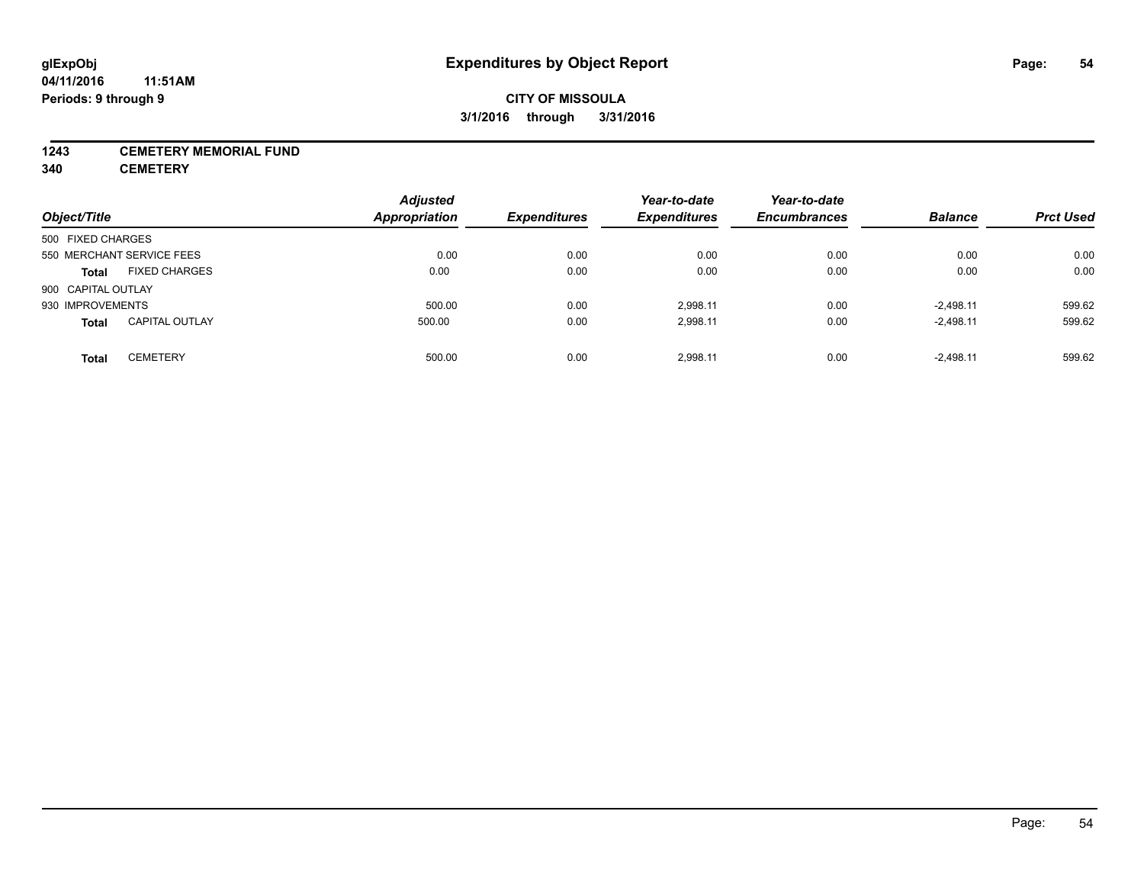#### **1243 CEMETERY MEMORIAL FUND**

**340 CEMETERY**

| Object/Title       |                           | <b>Adjusted</b><br>Appropriation | <b>Expenditures</b> | Year-to-date<br><b>Expenditures</b> | Year-to-date<br><b>Encumbrances</b> | <b>Balance</b> | <b>Prct Used</b> |
|--------------------|---------------------------|----------------------------------|---------------------|-------------------------------------|-------------------------------------|----------------|------------------|
|                    |                           |                                  |                     |                                     |                                     |                |                  |
| 500 FIXED CHARGES  |                           |                                  |                     |                                     |                                     |                |                  |
|                    | 550 MERCHANT SERVICE FEES | 0.00                             | 0.00                | 0.00                                | 0.00                                | 0.00           | 0.00             |
| <b>Total</b>       | <b>FIXED CHARGES</b>      | 0.00                             | 0.00                | 0.00                                | 0.00                                | 0.00           | 0.00             |
| 900 CAPITAL OUTLAY |                           |                                  |                     |                                     |                                     |                |                  |
| 930 IMPROVEMENTS   |                           | 500.00                           | 0.00                | 2.998.11                            | 0.00                                | $-2.498.11$    | 599.62           |
| <b>Total</b>       | <b>CAPITAL OUTLAY</b>     | 500.00                           | 0.00                | 2,998.11                            | 0.00                                | $-2,498.11$    | 599.62           |
| <b>Total</b>       | <b>CEMETERY</b>           | 500.00                           | 0.00                | 2.998.11                            | 0.00                                | $-2.498.11$    | 599.62           |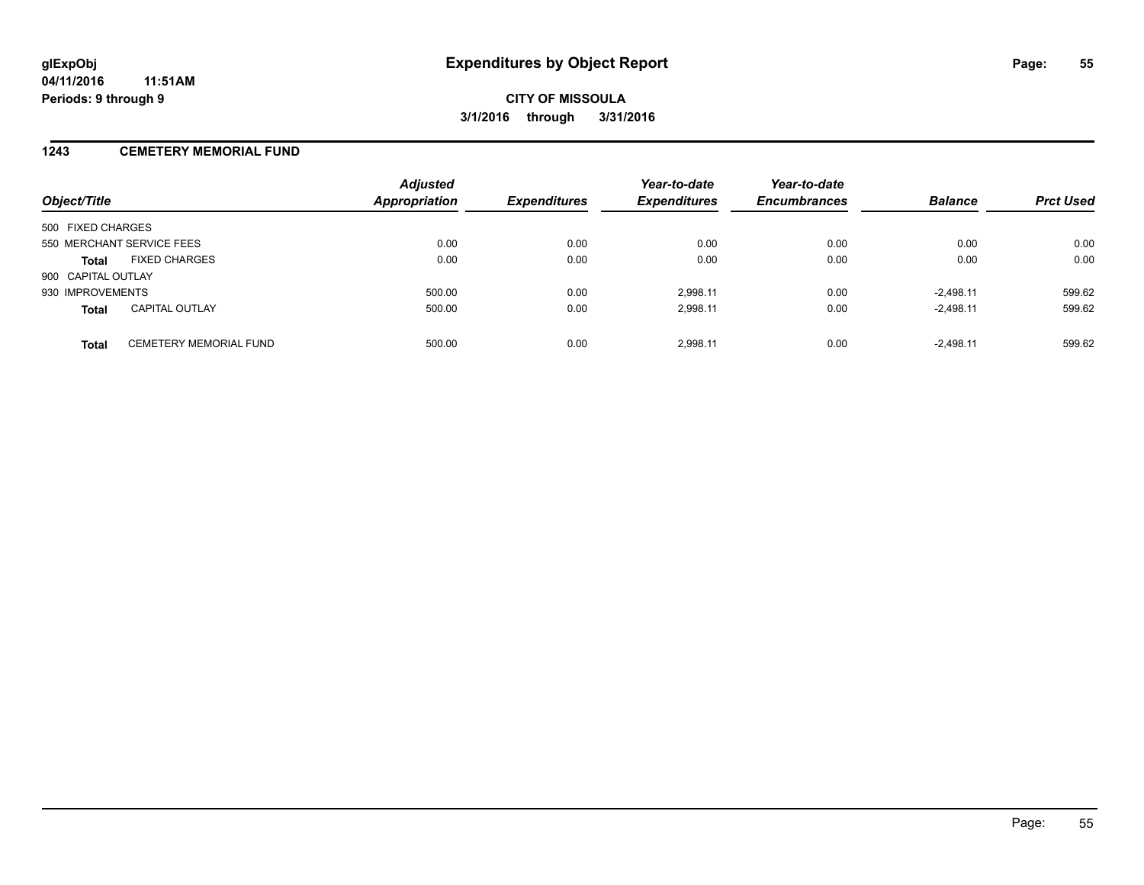### **1243 CEMETERY MEMORIAL FUND**

| Object/Title                                  | <b>Adjusted</b><br>Appropriation | <b>Expenditures</b> | Year-to-date<br><b>Expenditures</b> | Year-to-date<br><b>Encumbrances</b> | <b>Balance</b> | <b>Prct Used</b> |
|-----------------------------------------------|----------------------------------|---------------------|-------------------------------------|-------------------------------------|----------------|------------------|
| 500 FIXED CHARGES                             |                                  |                     |                                     |                                     |                |                  |
| 550 MERCHANT SERVICE FEES                     | 0.00                             | 0.00                | 0.00                                | 0.00                                | 0.00           | 0.00             |
| <b>FIXED CHARGES</b><br><b>Total</b>          | 0.00                             | 0.00                | 0.00                                | 0.00                                | 0.00           | 0.00             |
| 900 CAPITAL OUTLAY                            |                                  |                     |                                     |                                     |                |                  |
| 930 IMPROVEMENTS                              | 500.00                           | 0.00                | 2.998.11                            | 0.00                                | $-2.498.11$    | 599.62           |
| <b>CAPITAL OUTLAY</b><br><b>Total</b>         | 500.00                           | 0.00                | 2,998.11                            | 0.00                                | $-2,498.11$    | 599.62           |
| <b>CEMETERY MEMORIAL FUND</b><br><b>Total</b> | 500.00                           | 0.00                | 2.998.11                            | 0.00                                | $-2.498.11$    | 599.62           |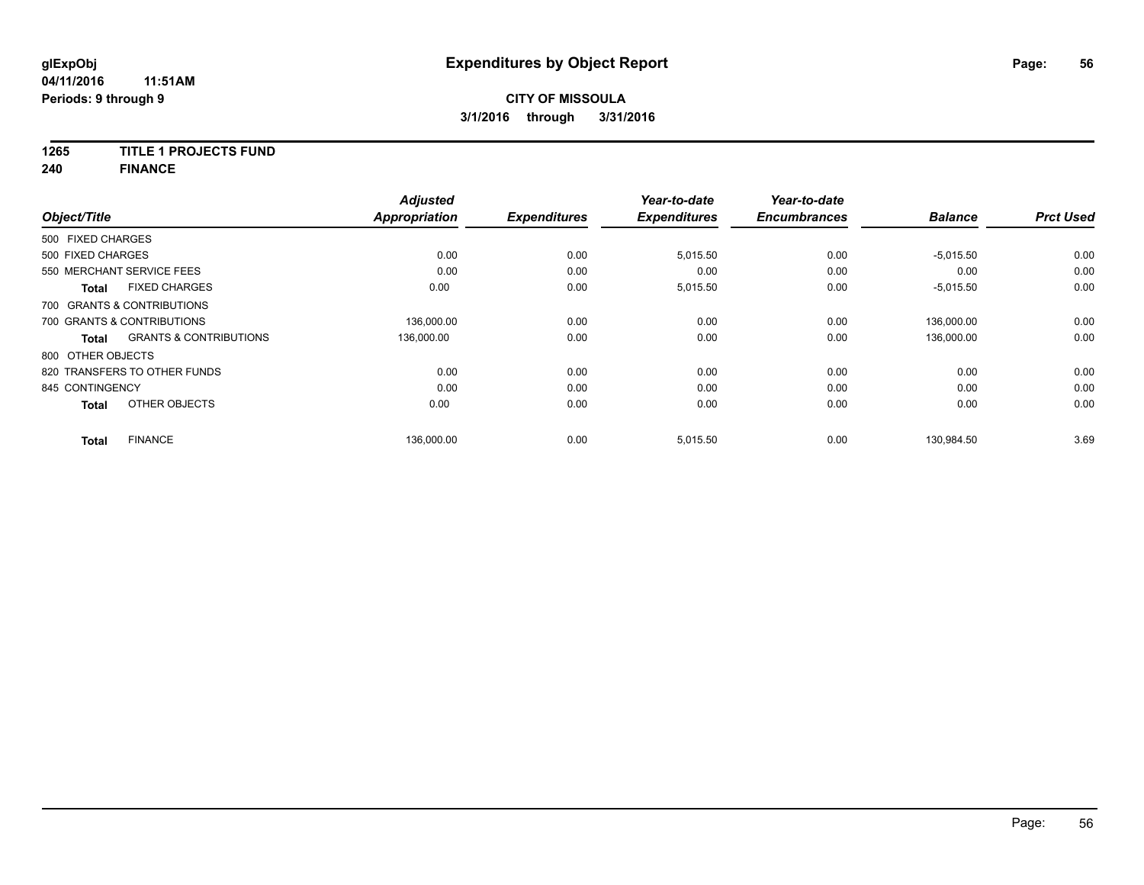## **1265 TITLE 1 PROJECTS FUND**

**240 FINANCE**

| Object/Title      |                                   | <b>Adjusted</b><br><b>Appropriation</b> | <b>Expenditures</b> | Year-to-date<br><b>Expenditures</b> | Year-to-date<br><b>Encumbrances</b> | <b>Balance</b> | <b>Prct Used</b> |
|-------------------|-----------------------------------|-----------------------------------------|---------------------|-------------------------------------|-------------------------------------|----------------|------------------|
|                   |                                   |                                         |                     |                                     |                                     |                |                  |
| 500 FIXED CHARGES |                                   |                                         |                     |                                     |                                     |                |                  |
| 500 FIXED CHARGES |                                   | 0.00                                    | 0.00                | 5,015.50                            | 0.00                                | $-5,015.50$    | 0.00             |
|                   | 550 MERCHANT SERVICE FEES         | 0.00                                    | 0.00                | 0.00                                | 0.00                                | 0.00           | 0.00             |
| <b>Total</b>      | <b>FIXED CHARGES</b>              | 0.00                                    | 0.00                | 5,015.50                            | 0.00                                | $-5,015.50$    | 0.00             |
|                   | 700 GRANTS & CONTRIBUTIONS        |                                         |                     |                                     |                                     |                |                  |
|                   | 700 GRANTS & CONTRIBUTIONS        | 136,000.00                              | 0.00                | 0.00                                | 0.00                                | 136,000.00     | 0.00             |
| <b>Total</b>      | <b>GRANTS &amp; CONTRIBUTIONS</b> | 136,000.00                              | 0.00                | 0.00                                | 0.00                                | 136,000.00     | 0.00             |
| 800 OTHER OBJECTS |                                   |                                         |                     |                                     |                                     |                |                  |
|                   | 820 TRANSFERS TO OTHER FUNDS      | 0.00                                    | 0.00                | 0.00                                | 0.00                                | 0.00           | 0.00             |
| 845 CONTINGENCY   |                                   | 0.00                                    | 0.00                | 0.00                                | 0.00                                | 0.00           | 0.00             |
| <b>Total</b>      | OTHER OBJECTS                     | 0.00                                    | 0.00                | 0.00                                | 0.00                                | 0.00           | 0.00             |
| <b>Total</b>      | <b>FINANCE</b>                    | 136,000.00                              | 0.00                | 5,015.50                            | 0.00                                | 130,984.50     | 3.69             |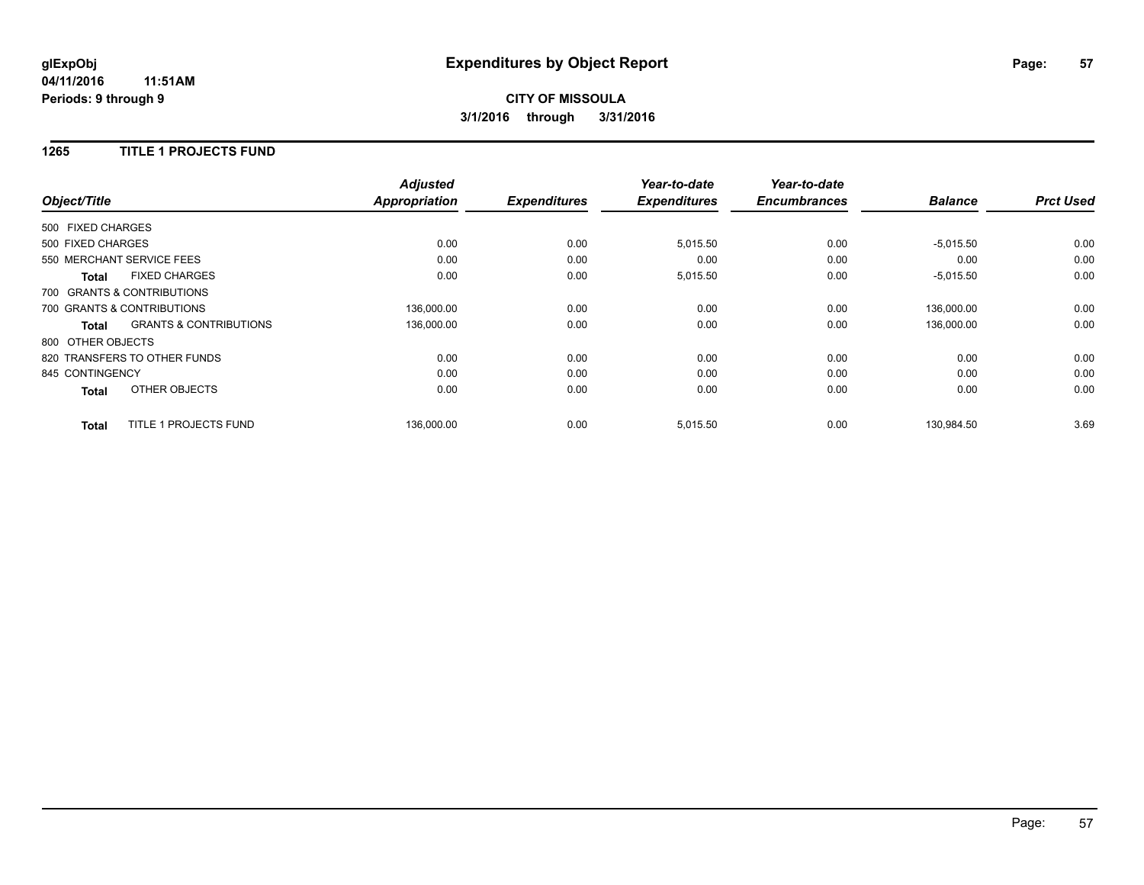## **CITY OF MISSOULA 3/1/2016 through 3/31/2016**

#### **1265 TITLE 1 PROJECTS FUND**

|                   |                                   | <b>Adjusted</b>      |                     | Year-to-date        | Year-to-date<br><b>Encumbrances</b> | <b>Balance</b> | <b>Prct Used</b> |
|-------------------|-----------------------------------|----------------------|---------------------|---------------------|-------------------------------------|----------------|------------------|
| Object/Title      |                                   | <b>Appropriation</b> | <b>Expenditures</b> | <b>Expenditures</b> |                                     |                |                  |
| 500 FIXED CHARGES |                                   |                      |                     |                     |                                     |                |                  |
| 500 FIXED CHARGES |                                   | 0.00                 | 0.00                | 5,015.50            | 0.00                                | $-5,015.50$    | 0.00             |
|                   | 550 MERCHANT SERVICE FEES         | 0.00                 | 0.00                | 0.00                | 0.00                                | 0.00           | 0.00             |
| <b>Total</b>      | <b>FIXED CHARGES</b>              | 0.00                 | 0.00                | 5,015.50            | 0.00                                | $-5,015.50$    | 0.00             |
|                   | 700 GRANTS & CONTRIBUTIONS        |                      |                     |                     |                                     |                |                  |
|                   | 700 GRANTS & CONTRIBUTIONS        | 136,000.00           | 0.00                | 0.00                | 0.00                                | 136.000.00     | 0.00             |
| Total             | <b>GRANTS &amp; CONTRIBUTIONS</b> | 136,000.00           | 0.00                | 0.00                | 0.00                                | 136,000.00     | 0.00             |
| 800 OTHER OBJECTS |                                   |                      |                     |                     |                                     |                |                  |
|                   | 820 TRANSFERS TO OTHER FUNDS      | 0.00                 | 0.00                | 0.00                | 0.00                                | 0.00           | 0.00             |
| 845 CONTINGENCY   |                                   | 0.00                 | 0.00                | 0.00                | 0.00                                | 0.00           | 0.00             |
| <b>Total</b>      | OTHER OBJECTS                     | 0.00                 | 0.00                | 0.00                | 0.00                                | 0.00           | 0.00             |
| <b>Total</b>      | TITLE 1 PROJECTS FUND             | 136.000.00           | 0.00                | 5,015.50            | 0.00                                | 130.984.50     | 3.69             |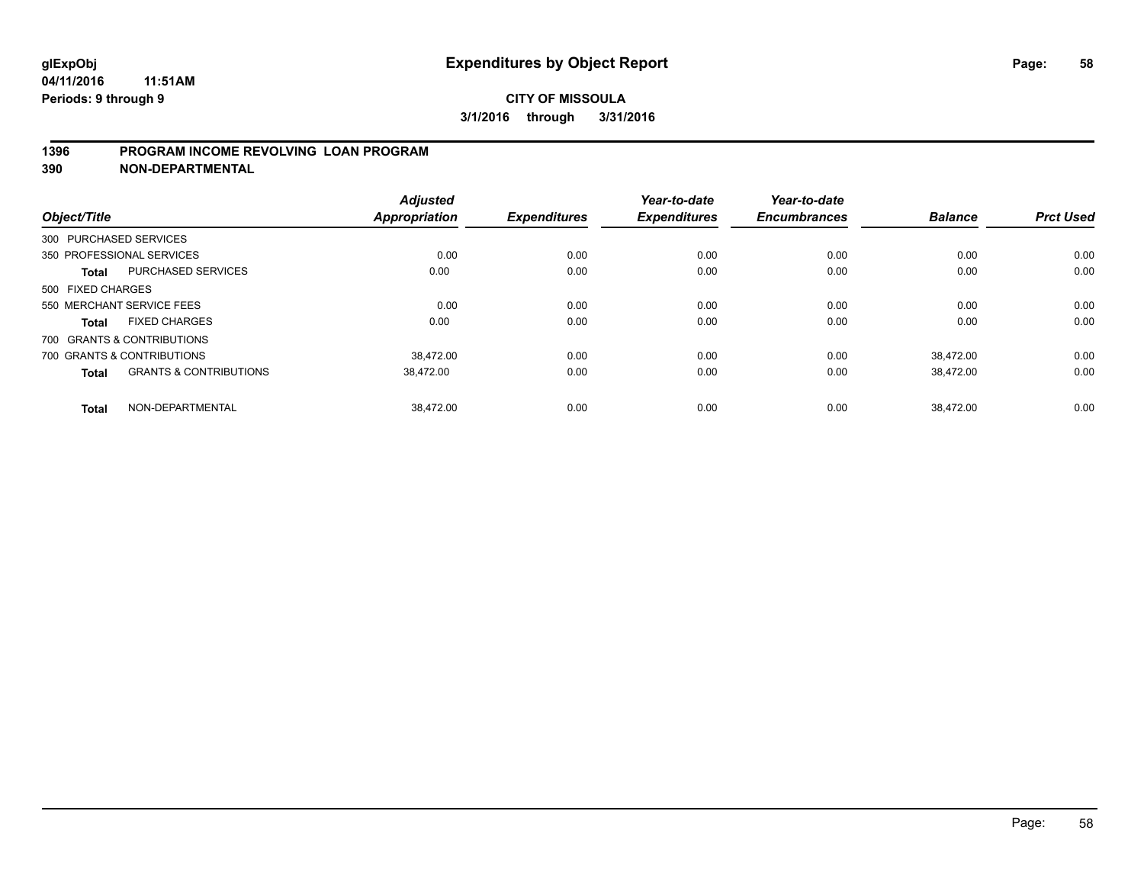### **1396 PROGRAM INCOME REVOLVING LOAN PROGRAM**

**390 NON-DEPARTMENTAL**

| Object/Title      |                                   | <b>Adjusted</b><br><b>Appropriation</b> | <b>Expenditures</b> | Year-to-date<br><b>Expenditures</b> | Year-to-date<br><b>Encumbrances</b> | <b>Balance</b> | <b>Prct Used</b> |
|-------------------|-----------------------------------|-----------------------------------------|---------------------|-------------------------------------|-------------------------------------|----------------|------------------|
|                   |                                   |                                         |                     |                                     |                                     |                |                  |
|                   | 300 PURCHASED SERVICES            |                                         |                     |                                     |                                     |                |                  |
|                   | 350 PROFESSIONAL SERVICES         | 0.00                                    | 0.00                | 0.00                                | 0.00                                | 0.00           | 0.00             |
| <b>Total</b>      | <b>PURCHASED SERVICES</b>         | 0.00                                    | 0.00                | 0.00                                | 0.00                                | 0.00           | 0.00             |
| 500 FIXED CHARGES |                                   |                                         |                     |                                     |                                     |                |                  |
|                   | 550 MERCHANT SERVICE FEES         | 0.00                                    | 0.00                | 0.00                                | 0.00                                | 0.00           | 0.00             |
| <b>Total</b>      | <b>FIXED CHARGES</b>              | 0.00                                    | 0.00                | 0.00                                | 0.00                                | 0.00           | 0.00             |
|                   | 700 GRANTS & CONTRIBUTIONS        |                                         |                     |                                     |                                     |                |                  |
|                   | 700 GRANTS & CONTRIBUTIONS        | 38.472.00                               | 0.00                | 0.00                                | 0.00                                | 38.472.00      | 0.00             |
| <b>Total</b>      | <b>GRANTS &amp; CONTRIBUTIONS</b> | 38,472.00                               | 0.00                | 0.00                                | 0.00                                | 38,472.00      | 0.00             |
| <b>Total</b>      | NON-DEPARTMENTAL                  | 38.472.00                               | 0.00                | 0.00                                | 0.00                                | 38.472.00      | 0.00             |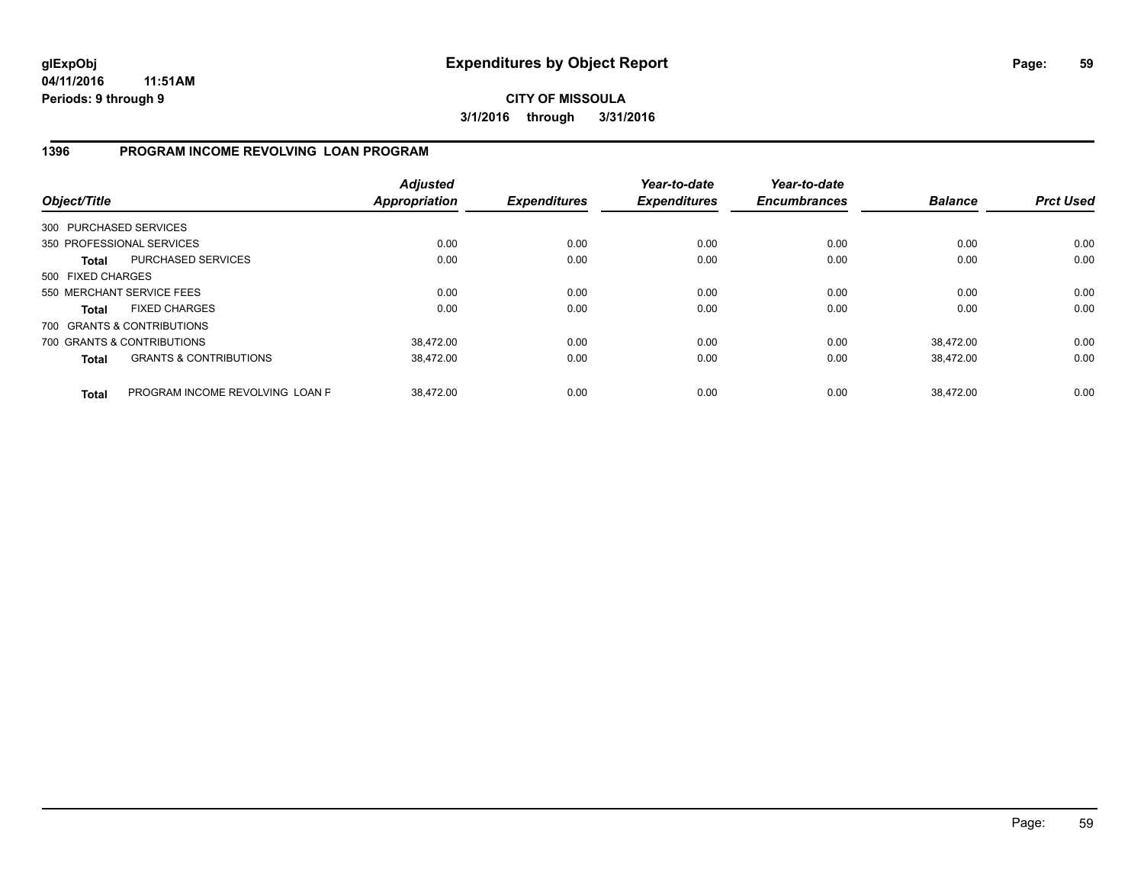**CITY OF MISSOULA 3/1/2016 through 3/31/2016**

### **1396 PROGRAM INCOME REVOLVING LOAN PROGRAM**

| Object/Title           |                                   | <b>Adjusted</b><br><b>Appropriation</b> | <b>Expenditures</b> | Year-to-date<br><b>Expenditures</b> | Year-to-date<br><b>Encumbrances</b> | <b>Balance</b> | <b>Prct Used</b> |
|------------------------|-----------------------------------|-----------------------------------------|---------------------|-------------------------------------|-------------------------------------|----------------|------------------|
| 300 PURCHASED SERVICES |                                   |                                         |                     |                                     |                                     |                |                  |
|                        | 350 PROFESSIONAL SERVICES         | 0.00                                    | 0.00                | 0.00                                | 0.00                                | 0.00           | 0.00             |
| Total                  | <b>PURCHASED SERVICES</b>         | 0.00                                    | 0.00                | 0.00                                | 0.00                                | 0.00           | 0.00             |
| 500 FIXED CHARGES      |                                   |                                         |                     |                                     |                                     |                |                  |
|                        | 550 MERCHANT SERVICE FEES         | 0.00                                    | 0.00                | 0.00                                | 0.00                                | 0.00           | 0.00             |
| <b>Total</b>           | <b>FIXED CHARGES</b>              | 0.00                                    | 0.00                | 0.00                                | 0.00                                | 0.00           | 0.00             |
|                        | 700 GRANTS & CONTRIBUTIONS        |                                         |                     |                                     |                                     |                |                  |
|                        | 700 GRANTS & CONTRIBUTIONS        | 38,472.00                               | 0.00                | 0.00                                | 0.00                                | 38.472.00      | 0.00             |
| <b>Total</b>           | <b>GRANTS &amp; CONTRIBUTIONS</b> | 38.472.00                               | 0.00                | 0.00                                | 0.00                                | 38.472.00      | 0.00             |
| <b>Total</b>           | PROGRAM INCOME REVOLVING LOAN P   | 38.472.00                               | 0.00                | 0.00                                | 0.00                                | 38.472.00      | 0.00             |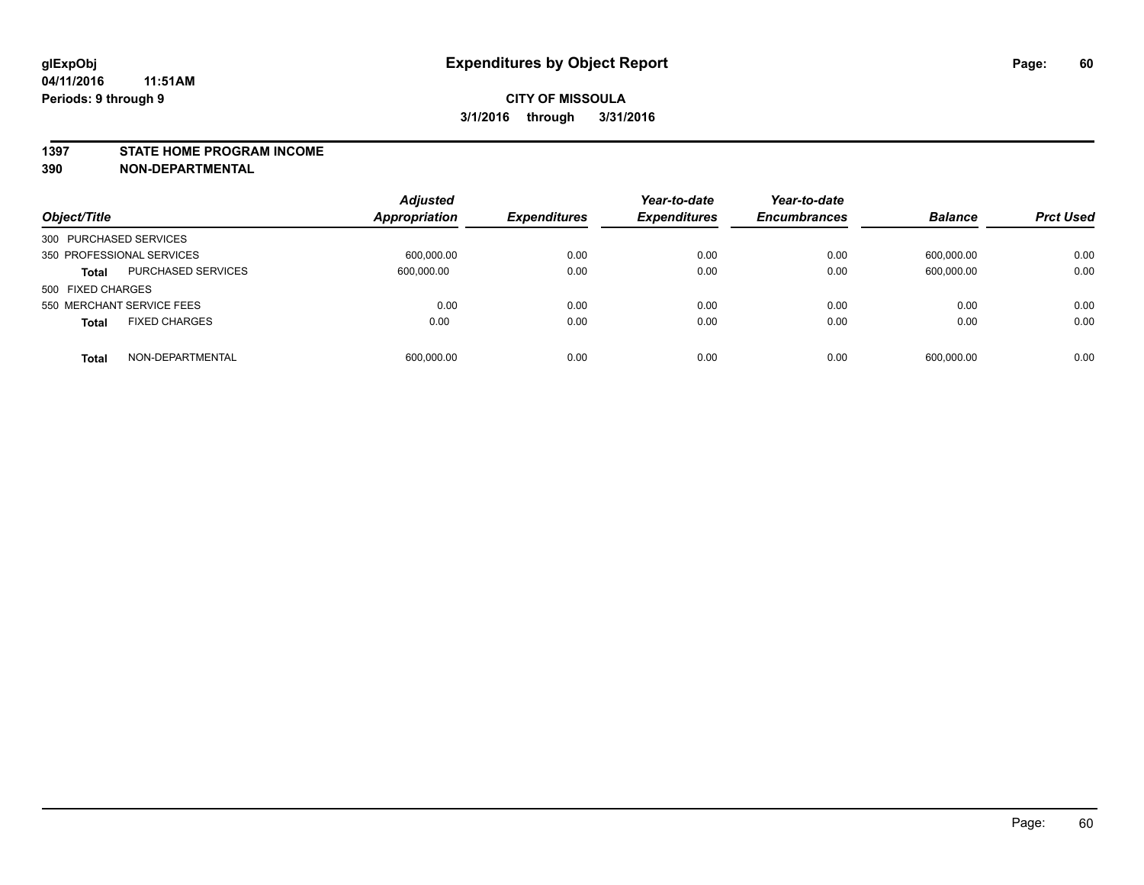#### **1397 STATE HOME PROGRAM INCOME**

**390 NON-DEPARTMENTAL**

| Object/Title                              | <b>Adjusted</b><br><b>Appropriation</b> | <b>Expenditures</b> | Year-to-date<br><b>Expenditures</b> | Year-to-date<br><b>Encumbrances</b> | <b>Balance</b> | <b>Prct Used</b> |
|-------------------------------------------|-----------------------------------------|---------------------|-------------------------------------|-------------------------------------|----------------|------------------|
| 300 PURCHASED SERVICES                    |                                         |                     |                                     |                                     |                |                  |
| 350 PROFESSIONAL SERVICES                 | 600,000.00                              | 0.00                | 0.00                                | 0.00                                | 600,000.00     | 0.00             |
| <b>PURCHASED SERVICES</b><br><b>Total</b> | 600,000.00                              | 0.00                | 0.00                                | 0.00                                | 600,000.00     | 0.00             |
| 500 FIXED CHARGES                         |                                         |                     |                                     |                                     |                |                  |
| 550 MERCHANT SERVICE FEES                 | 0.00                                    | 0.00                | 0.00                                | 0.00                                | 0.00           | 0.00             |
| <b>FIXED CHARGES</b><br><b>Total</b>      | 0.00                                    | 0.00                | 0.00                                | 0.00                                | 0.00           | 0.00             |
| NON-DEPARTMENTAL<br><b>Total</b>          | 600,000.00                              | 0.00                | 0.00                                | 0.00                                | 600,000.00     | 0.00             |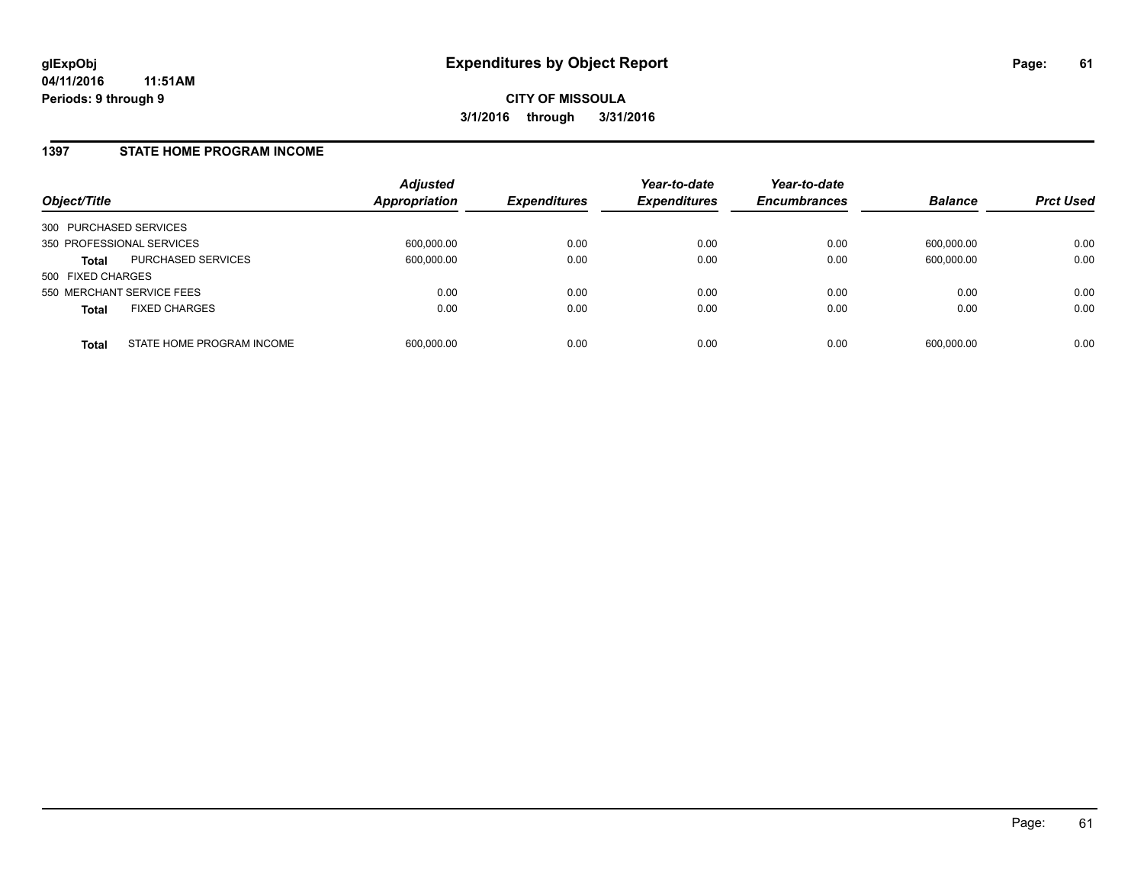#### **1397 STATE HOME PROGRAM INCOME**

| Object/Title              |                           | <b>Adjusted</b><br><b>Appropriation</b> | <b>Expenditures</b> | Year-to-date<br><b>Expenditures</b> | Year-to-date<br><b>Encumbrances</b> | <b>Balance</b> | <b>Prct Used</b> |
|---------------------------|---------------------------|-----------------------------------------|---------------------|-------------------------------------|-------------------------------------|----------------|------------------|
| 300 PURCHASED SERVICES    |                           |                                         |                     |                                     |                                     |                |                  |
| 350 PROFESSIONAL SERVICES |                           | 600,000.00                              | 0.00                | 0.00                                | 0.00                                | 600.000.00     | 0.00             |
| Total                     | PURCHASED SERVICES        | 600,000.00                              | 0.00                | 0.00                                | 0.00                                | 600,000.00     | 0.00             |
| 500 FIXED CHARGES         |                           |                                         |                     |                                     |                                     |                |                  |
| 550 MERCHANT SERVICE FEES |                           | 0.00                                    | 0.00                | 0.00                                | 0.00                                | 0.00           | 0.00             |
| <b>Total</b>              | <b>FIXED CHARGES</b>      | 0.00                                    | 0.00                | 0.00                                | 0.00                                | 0.00           | 0.00             |
| <b>Total</b>              | STATE HOME PROGRAM INCOME | 600,000.00                              | 0.00                | 0.00                                | 0.00                                | 600,000.00     | 0.00             |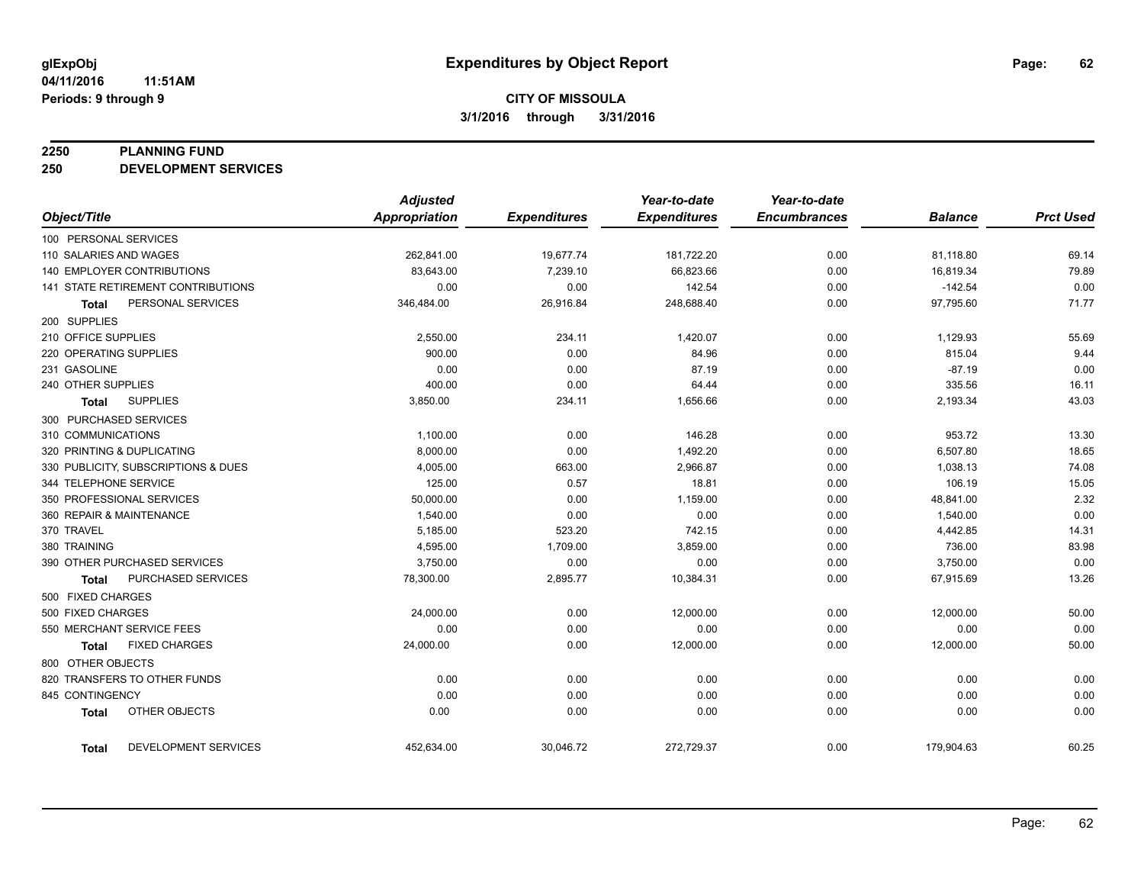#### **2250 PLANNING FUND**

**250 DEVELOPMENT SERVICES**

|                                      | <b>Adjusted</b>      |                     | Year-to-date        | Year-to-date        |                |                  |
|--------------------------------------|----------------------|---------------------|---------------------|---------------------|----------------|------------------|
| Object/Title                         | <b>Appropriation</b> | <b>Expenditures</b> | <b>Expenditures</b> | <b>Encumbrances</b> | <b>Balance</b> | <b>Prct Used</b> |
| 100 PERSONAL SERVICES                |                      |                     |                     |                     |                |                  |
| 110 SALARIES AND WAGES               | 262,841.00           | 19,677.74           | 181,722.20          | 0.00                | 81,118.80      | 69.14            |
| <b>140 EMPLOYER CONTRIBUTIONS</b>    | 83,643.00            | 7,239.10            | 66,823.66           | 0.00                | 16,819.34      | 79.89            |
| 141 STATE RETIREMENT CONTRIBUTIONS   | 0.00                 | 0.00                | 142.54              | 0.00                | $-142.54$      | 0.00             |
| PERSONAL SERVICES<br><b>Total</b>    | 346,484.00           | 26,916.84           | 248,688.40          | 0.00                | 97,795.60      | 71.77            |
| 200 SUPPLIES                         |                      |                     |                     |                     |                |                  |
| 210 OFFICE SUPPLIES                  | 2,550.00             | 234.11              | 1,420.07            | 0.00                | 1,129.93       | 55.69            |
| 220 OPERATING SUPPLIES               | 900.00               | 0.00                | 84.96               | 0.00                | 815.04         | 9.44             |
| 231 GASOLINE                         | 0.00                 | 0.00                | 87.19               | 0.00                | $-87.19$       | 0.00             |
| 240 OTHER SUPPLIES                   | 400.00               | 0.00                | 64.44               | 0.00                | 335.56         | 16.11            |
| <b>SUPPLIES</b><br><b>Total</b>      | 3,850.00             | 234.11              | 1,656.66            | 0.00                | 2,193.34       | 43.03            |
| 300 PURCHASED SERVICES               |                      |                     |                     |                     |                |                  |
| 310 COMMUNICATIONS                   | 1,100.00             | 0.00                | 146.28              | 0.00                | 953.72         | 13.30            |
| 320 PRINTING & DUPLICATING           | 8,000.00             | 0.00                | 1,492.20            | 0.00                | 6,507.80       | 18.65            |
| 330 PUBLICITY, SUBSCRIPTIONS & DUES  | 4,005.00             | 663.00              | 2,966.87            | 0.00                | 1,038.13       | 74.08            |
| 344 TELEPHONE SERVICE                | 125.00               | 0.57                | 18.81               | 0.00                | 106.19         | 15.05            |
| 350 PROFESSIONAL SERVICES            | 50,000.00            | 0.00                | 1,159.00            | 0.00                | 48,841.00      | 2.32             |
| 360 REPAIR & MAINTENANCE             | 1,540.00             | 0.00                | 0.00                | 0.00                | 1,540.00       | 0.00             |
| 370 TRAVEL                           | 5,185.00             | 523.20              | 742.15              | 0.00                | 4,442.85       | 14.31            |
| 380 TRAINING                         | 4,595.00             | 1,709.00            | 3,859.00            | 0.00                | 736.00         | 83.98            |
| 390 OTHER PURCHASED SERVICES         | 3,750.00             | 0.00                | 0.00                | 0.00                | 3,750.00       | 0.00             |
| PURCHASED SERVICES<br><b>Total</b>   | 78,300.00            | 2,895.77            | 10,384.31           | 0.00                | 67,915.69      | 13.26            |
| 500 FIXED CHARGES                    |                      |                     |                     |                     |                |                  |
| 500 FIXED CHARGES                    | 24,000.00            | 0.00                | 12,000.00           | 0.00                | 12,000.00      | 50.00            |
| 550 MERCHANT SERVICE FEES            | 0.00                 | 0.00                | 0.00                | 0.00                | 0.00           | 0.00             |
| <b>FIXED CHARGES</b><br><b>Total</b> | 24,000.00            | 0.00                | 12,000.00           | 0.00                | 12,000.00      | 50.00            |
| 800 OTHER OBJECTS                    |                      |                     |                     |                     |                |                  |
| 820 TRANSFERS TO OTHER FUNDS         | 0.00                 | 0.00                | 0.00                | 0.00                | 0.00           | 0.00             |
| 845 CONTINGENCY                      | 0.00                 | 0.00                | 0.00                | 0.00                | 0.00           | 0.00             |
| OTHER OBJECTS<br><b>Total</b>        | 0.00                 | 0.00                | 0.00                | 0.00                | 0.00           | 0.00             |
| DEVELOPMENT SERVICES<br><b>Total</b> | 452,634.00           | 30,046.72           | 272,729.37          | 0.00                | 179,904.63     | 60.25            |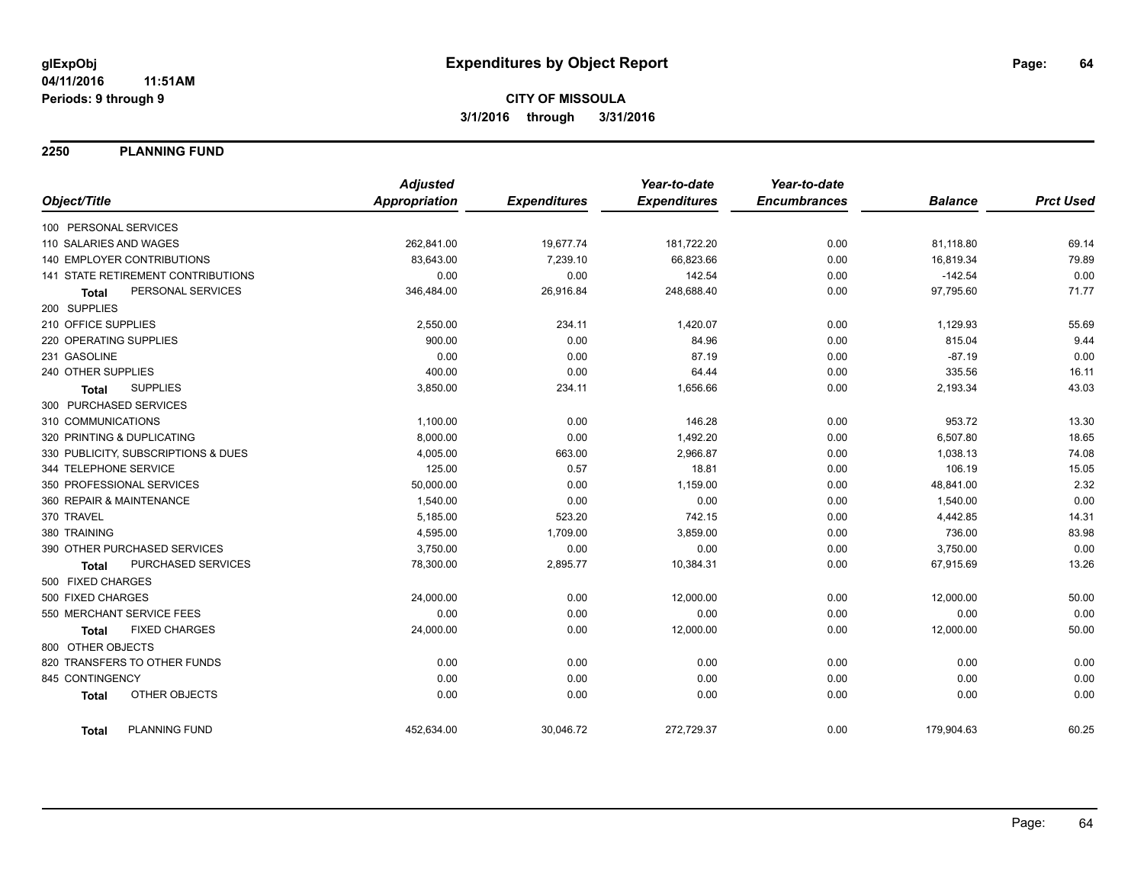**2250 PLANNING FUND**

|                                           | <b>Adjusted</b>      |                     | Year-to-date        | Year-to-date        |                |                  |
|-------------------------------------------|----------------------|---------------------|---------------------|---------------------|----------------|------------------|
| Object/Title                              | <b>Appropriation</b> | <b>Expenditures</b> | <b>Expenditures</b> | <b>Encumbrances</b> | <b>Balance</b> | <b>Prct Used</b> |
| 100 PERSONAL SERVICES                     |                      |                     |                     |                     |                |                  |
| 110 SALARIES AND WAGES                    | 262,841.00           | 19,677.74           | 181,722.20          | 0.00                | 81,118.80      | 69.14            |
| 140 EMPLOYER CONTRIBUTIONS                | 83,643.00            | 7,239.10            | 66,823.66           | 0.00                | 16,819.34      | 79.89            |
| <b>141 STATE RETIREMENT CONTRIBUTIONS</b> | 0.00                 | 0.00                | 142.54              | 0.00                | $-142.54$      | 0.00             |
| PERSONAL SERVICES<br><b>Total</b>         | 346,484.00           | 26,916.84           | 248,688.40          | 0.00                | 97,795.60      | 71.77            |
| 200 SUPPLIES                              |                      |                     |                     |                     |                |                  |
| 210 OFFICE SUPPLIES                       | 2,550.00             | 234.11              | 1,420.07            | 0.00                | 1,129.93       | 55.69            |
| 220 OPERATING SUPPLIES                    | 900.00               | 0.00                | 84.96               | 0.00                | 815.04         | 9.44             |
| 231 GASOLINE                              | 0.00                 | 0.00                | 87.19               | 0.00                | $-87.19$       | 0.00             |
| 240 OTHER SUPPLIES                        | 400.00               | 0.00                | 64.44               | 0.00                | 335.56         | 16.11            |
| <b>SUPPLIES</b><br><b>Total</b>           | 3,850.00             | 234.11              | 1,656.66            | 0.00                | 2,193.34       | 43.03            |
| 300 PURCHASED SERVICES                    |                      |                     |                     |                     |                |                  |
| 310 COMMUNICATIONS                        | 1,100.00             | 0.00                | 146.28              | 0.00                | 953.72         | 13.30            |
| 320 PRINTING & DUPLICATING                | 8,000.00             | 0.00                | 1,492.20            | 0.00                | 6,507.80       | 18.65            |
| 330 PUBLICITY, SUBSCRIPTIONS & DUES       | 4,005.00             | 663.00              | 2,966.87            | 0.00                | 1,038.13       | 74.08            |
| 344 TELEPHONE SERVICE                     | 125.00               | 0.57                | 18.81               | 0.00                | 106.19         | 15.05            |
| 350 PROFESSIONAL SERVICES                 | 50,000.00            | 0.00                | 1,159.00            | 0.00                | 48,841.00      | 2.32             |
| 360 REPAIR & MAINTENANCE                  | 1,540.00             | 0.00                | 0.00                | 0.00                | 1,540.00       | 0.00             |
| 370 TRAVEL                                | 5,185.00             | 523.20              | 742.15              | 0.00                | 4,442.85       | 14.31            |
| 380 TRAINING                              | 4,595.00             | 1,709.00            | 3,859.00            | 0.00                | 736.00         | 83.98            |
| 390 OTHER PURCHASED SERVICES              | 3,750.00             | 0.00                | 0.00                | 0.00                | 3,750.00       | 0.00             |
| PURCHASED SERVICES<br>Total               | 78,300.00            | 2,895.77            | 10,384.31           | 0.00                | 67,915.69      | 13.26            |
| 500 FIXED CHARGES                         |                      |                     |                     |                     |                |                  |
| 500 FIXED CHARGES                         | 24,000.00            | 0.00                | 12,000.00           | 0.00                | 12,000.00      | 50.00            |
| 550 MERCHANT SERVICE FEES                 | 0.00                 | 0.00                | 0.00                | 0.00                | 0.00           | 0.00             |
| <b>FIXED CHARGES</b><br><b>Total</b>      | 24,000.00            | 0.00                | 12,000.00           | 0.00                | 12,000.00      | 50.00            |
| 800 OTHER OBJECTS                         |                      |                     |                     |                     |                |                  |
| 820 TRANSFERS TO OTHER FUNDS              | 0.00                 | 0.00                | 0.00                | 0.00                | 0.00           | 0.00             |
| 845 CONTINGENCY                           | 0.00                 | 0.00                | 0.00                | 0.00                | 0.00           | 0.00             |
| OTHER OBJECTS<br><b>Total</b>             | 0.00                 | 0.00                | 0.00                | 0.00                | 0.00           | 0.00             |
| PLANNING FUND<br><b>Total</b>             | 452,634.00           | 30,046.72           | 272,729.37          | 0.00                | 179,904.63     | 60.25            |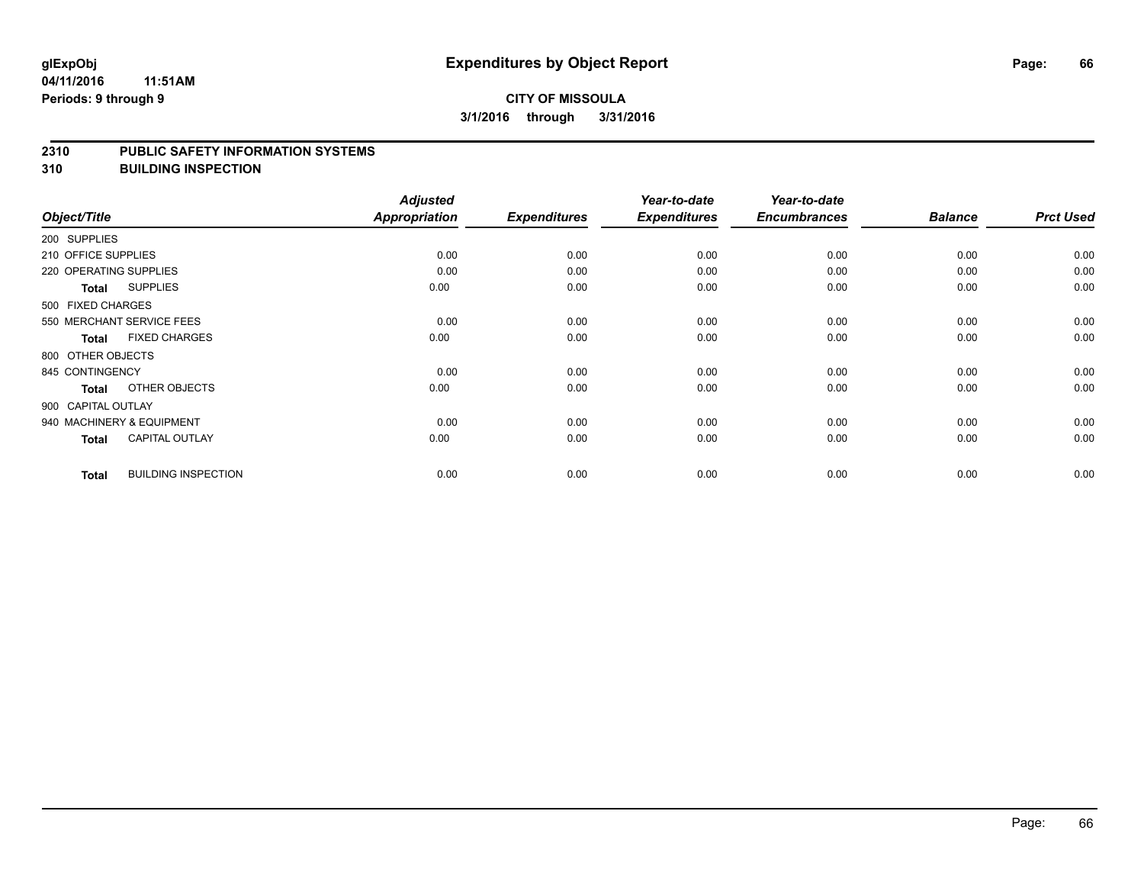## **CITY OF MISSOULA 3/1/2016 through 3/31/2016**

#### **2310 PUBLIC SAFETY INFORMATION SYSTEMS**

**310 BUILDING INSPECTION**

|                        |                            | <b>Adjusted</b> |                     | Year-to-date        | Year-to-date        |                |                  |
|------------------------|----------------------------|-----------------|---------------------|---------------------|---------------------|----------------|------------------|
| Object/Title           |                            | Appropriation   | <b>Expenditures</b> | <b>Expenditures</b> | <b>Encumbrances</b> | <b>Balance</b> | <b>Prct Used</b> |
| 200 SUPPLIES           |                            |                 |                     |                     |                     |                |                  |
| 210 OFFICE SUPPLIES    |                            | 0.00            | 0.00                | 0.00                | 0.00                | 0.00           | 0.00             |
| 220 OPERATING SUPPLIES |                            | 0.00            | 0.00                | 0.00                | 0.00                | 0.00           | 0.00             |
| <b>Total</b>           | <b>SUPPLIES</b>            | 0.00            | 0.00                | 0.00                | 0.00                | 0.00           | 0.00             |
| 500 FIXED CHARGES      |                            |                 |                     |                     |                     |                |                  |
|                        | 550 MERCHANT SERVICE FEES  | 0.00            | 0.00                | 0.00                | 0.00                | 0.00           | 0.00             |
| <b>Total</b>           | <b>FIXED CHARGES</b>       | 0.00            | 0.00                | 0.00                | 0.00                | 0.00           | 0.00             |
| 800 OTHER OBJECTS      |                            |                 |                     |                     |                     |                |                  |
| 845 CONTINGENCY        |                            | 0.00            | 0.00                | 0.00                | 0.00                | 0.00           | 0.00             |
| <b>Total</b>           | OTHER OBJECTS              | 0.00            | 0.00                | 0.00                | 0.00                | 0.00           | 0.00             |
| 900 CAPITAL OUTLAY     |                            |                 |                     |                     |                     |                |                  |
|                        | 940 MACHINERY & EQUIPMENT  | 0.00            | 0.00                | 0.00                | 0.00                | 0.00           | 0.00             |
| <b>Total</b>           | <b>CAPITAL OUTLAY</b>      | 0.00            | 0.00                | 0.00                | 0.00                | 0.00           | 0.00             |
| <b>Total</b>           | <b>BUILDING INSPECTION</b> | 0.00            | 0.00                | 0.00                | 0.00                | 0.00           | 0.00             |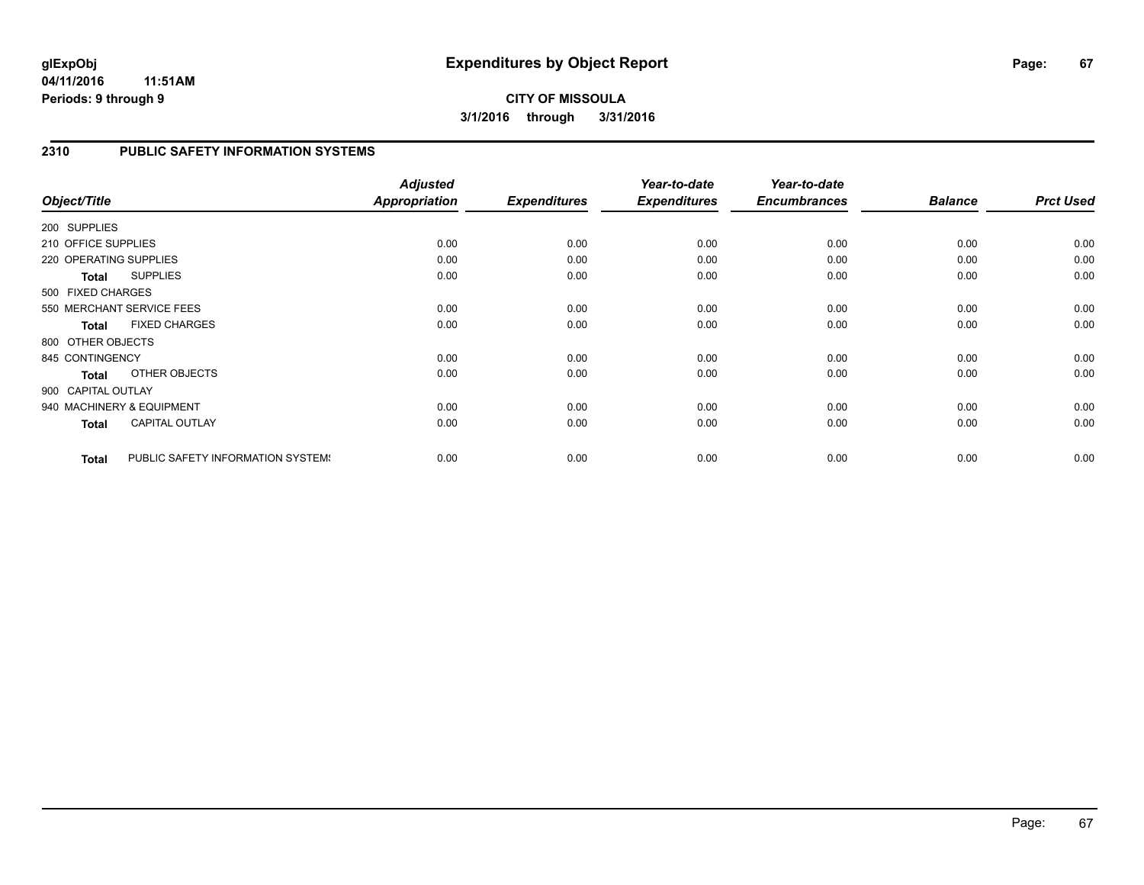## **CITY OF MISSOULA 3/1/2016 through 3/31/2016**

### **2310 PUBLIC SAFETY INFORMATION SYSTEMS**

|                        |                                   | <b>Adjusted</b> |                     | Year-to-date        | Year-to-date        |                |                  |
|------------------------|-----------------------------------|-----------------|---------------------|---------------------|---------------------|----------------|------------------|
| Object/Title           |                                   | Appropriation   | <b>Expenditures</b> | <b>Expenditures</b> | <b>Encumbrances</b> | <b>Balance</b> | <b>Prct Used</b> |
| 200 SUPPLIES           |                                   |                 |                     |                     |                     |                |                  |
| 210 OFFICE SUPPLIES    |                                   | 0.00            | 0.00                | 0.00                | 0.00                | 0.00           | 0.00             |
| 220 OPERATING SUPPLIES |                                   | 0.00            | 0.00                | 0.00                | 0.00                | 0.00           | 0.00             |
| <b>Total</b>           | <b>SUPPLIES</b>                   | 0.00            | 0.00                | 0.00                | 0.00                | 0.00           | 0.00             |
| 500 FIXED CHARGES      |                                   |                 |                     |                     |                     |                |                  |
|                        | 550 MERCHANT SERVICE FEES         | 0.00            | 0.00                | 0.00                | 0.00                | 0.00           | 0.00             |
| <b>Total</b>           | <b>FIXED CHARGES</b>              | 0.00            | 0.00                | 0.00                | 0.00                | 0.00           | 0.00             |
| 800 OTHER OBJECTS      |                                   |                 |                     |                     |                     |                |                  |
| 845 CONTINGENCY        |                                   | 0.00            | 0.00                | 0.00                | 0.00                | 0.00           | 0.00             |
| <b>Total</b>           | OTHER OBJECTS                     | 0.00            | 0.00                | 0.00                | 0.00                | 0.00           | 0.00             |
| 900 CAPITAL OUTLAY     |                                   |                 |                     |                     |                     |                |                  |
|                        | 940 MACHINERY & EQUIPMENT         | 0.00            | 0.00                | 0.00                | 0.00                | 0.00           | 0.00             |
| Total                  | <b>CAPITAL OUTLAY</b>             | 0.00            | 0.00                | 0.00                | 0.00                | 0.00           | 0.00             |
| <b>Total</b>           | PUBLIC SAFETY INFORMATION SYSTEM! | 0.00            | 0.00                | 0.00                | 0.00                | 0.00           | 0.00             |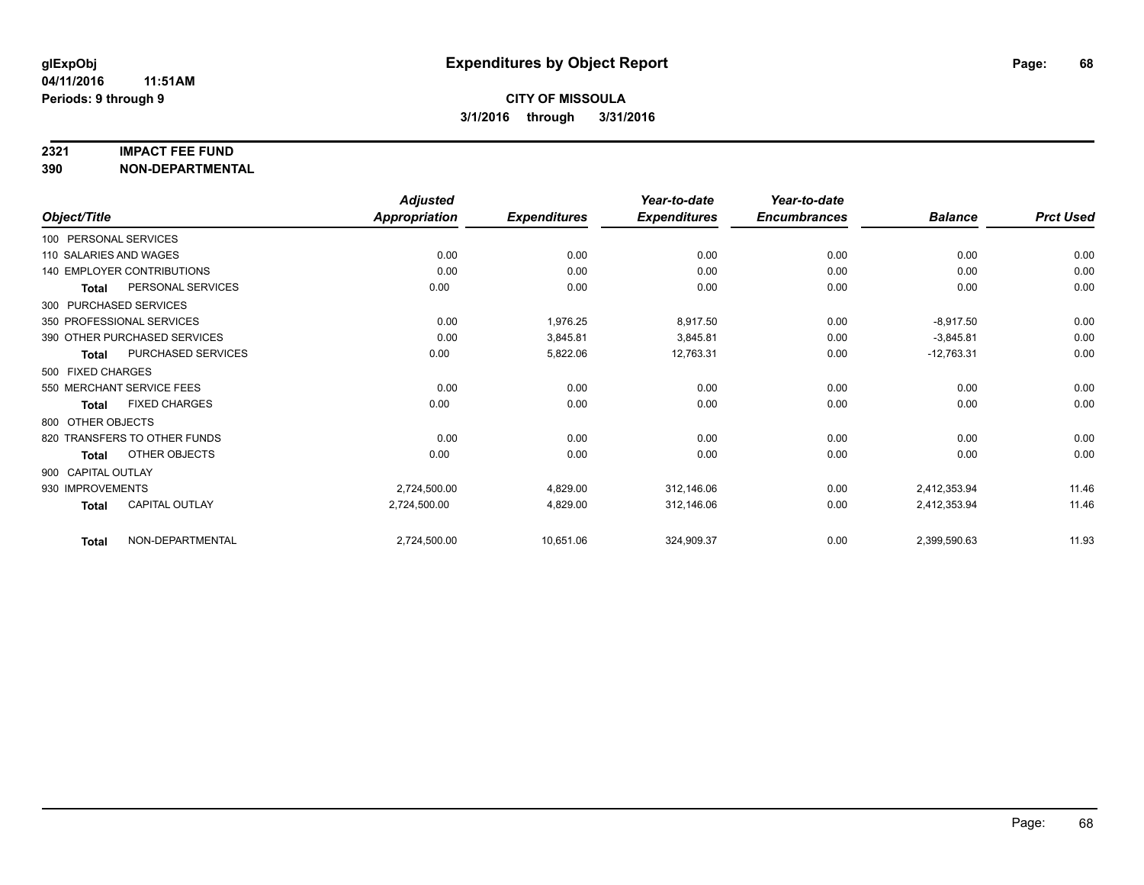#### **2321 IMPACT FEE FUND**

**390 NON-DEPARTMENTAL**

|                        |                              | <b>Adjusted</b>      |                     | Year-to-date        | Year-to-date        |                |                  |
|------------------------|------------------------------|----------------------|---------------------|---------------------|---------------------|----------------|------------------|
| Object/Title           |                              | <b>Appropriation</b> | <b>Expenditures</b> | <b>Expenditures</b> | <b>Encumbrances</b> | <b>Balance</b> | <b>Prct Used</b> |
| 100 PERSONAL SERVICES  |                              |                      |                     |                     |                     |                |                  |
| 110 SALARIES AND WAGES |                              | 0.00                 | 0.00                | 0.00                | 0.00                | 0.00           | 0.00             |
|                        | 140 EMPLOYER CONTRIBUTIONS   | 0.00                 | 0.00                | 0.00                | 0.00                | 0.00           | 0.00             |
| Total                  | PERSONAL SERVICES            | 0.00                 | 0.00                | 0.00                | 0.00                | 0.00           | 0.00             |
|                        | 300 PURCHASED SERVICES       |                      |                     |                     |                     |                |                  |
|                        | 350 PROFESSIONAL SERVICES    | 0.00                 | 1,976.25            | 8,917.50            | 0.00                | $-8,917.50$    | 0.00             |
|                        | 390 OTHER PURCHASED SERVICES | 0.00                 | 3,845.81            | 3,845.81            | 0.00                | $-3,845.81$    | 0.00             |
| Total                  | PURCHASED SERVICES           | 0.00                 | 5,822.06            | 12,763.31           | 0.00                | $-12,763.31$   | 0.00             |
| 500 FIXED CHARGES      |                              |                      |                     |                     |                     |                |                  |
|                        | 550 MERCHANT SERVICE FEES    | 0.00                 | 0.00                | 0.00                | 0.00                | 0.00           | 0.00             |
| <b>Total</b>           | <b>FIXED CHARGES</b>         | 0.00                 | 0.00                | 0.00                | 0.00                | 0.00           | 0.00             |
| 800 OTHER OBJECTS      |                              |                      |                     |                     |                     |                |                  |
|                        | 820 TRANSFERS TO OTHER FUNDS | 0.00                 | 0.00                | 0.00                | 0.00                | 0.00           | 0.00             |
| Total                  | OTHER OBJECTS                | 0.00                 | 0.00                | 0.00                | 0.00                | 0.00           | 0.00             |
| 900 CAPITAL OUTLAY     |                              |                      |                     |                     |                     |                |                  |
| 930 IMPROVEMENTS       |                              | 2,724,500.00         | 4,829.00            | 312,146.06          | 0.00                | 2,412,353.94   | 11.46            |
| <b>Total</b>           | CAPITAL OUTLAY               | 2,724,500.00         | 4,829.00            | 312,146.06          | 0.00                | 2,412,353.94   | 11.46            |
| <b>Total</b>           | NON-DEPARTMENTAL             | 2,724,500.00         | 10,651.06           | 324,909.37          | 0.00                | 2,399,590.63   | 11.93            |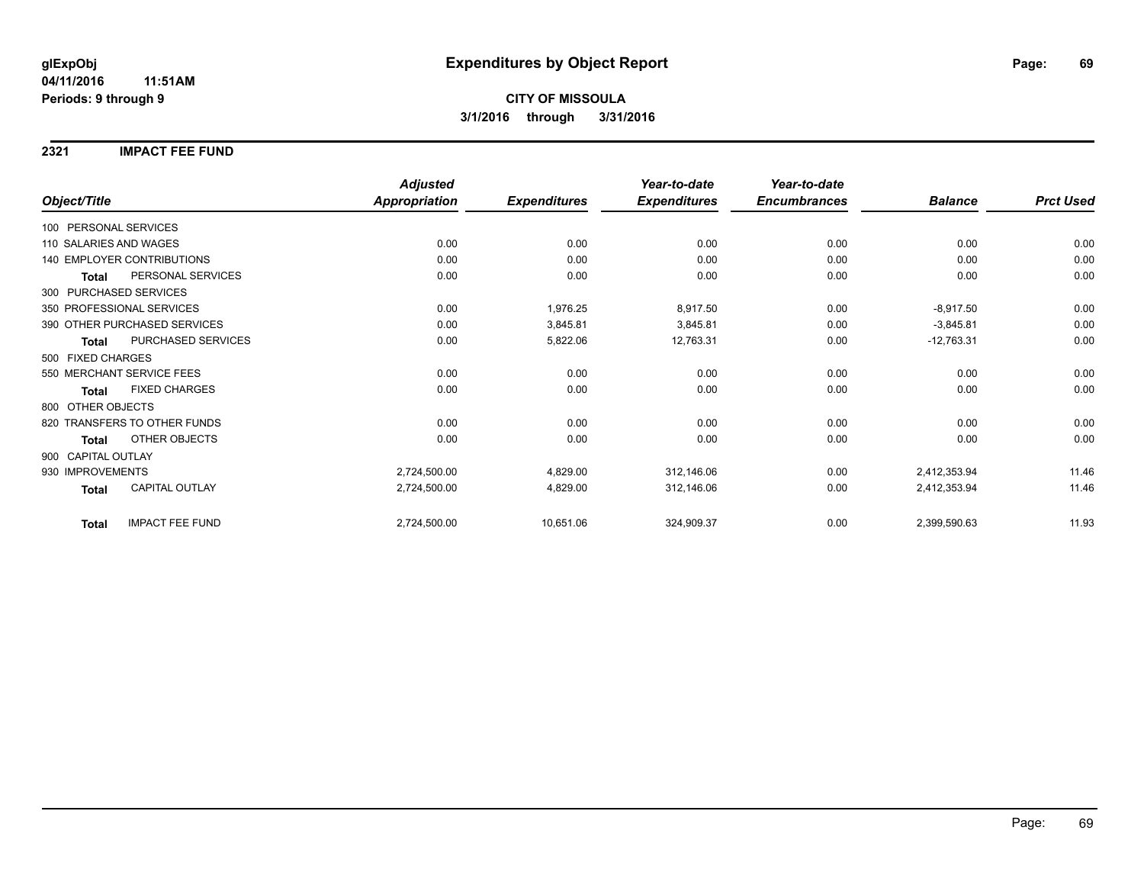### **2321 IMPACT FEE FUND**

|                                        | <b>Adjusted</b>      |                     | Year-to-date        | Year-to-date        |                |                  |
|----------------------------------------|----------------------|---------------------|---------------------|---------------------|----------------|------------------|
| Object/Title                           | <b>Appropriation</b> | <b>Expenditures</b> | <b>Expenditures</b> | <b>Encumbrances</b> | <b>Balance</b> | <b>Prct Used</b> |
| 100 PERSONAL SERVICES                  |                      |                     |                     |                     |                |                  |
| 110 SALARIES AND WAGES                 | 0.00                 | 0.00                | 0.00                | 0.00                | 0.00           | 0.00             |
| <b>140 EMPLOYER CONTRIBUTIONS</b>      | 0.00                 | 0.00                | 0.00                | 0.00                | 0.00           | 0.00             |
| PERSONAL SERVICES<br><b>Total</b>      | 0.00                 | 0.00                | 0.00                | 0.00                | 0.00           | 0.00             |
| 300 PURCHASED SERVICES                 |                      |                     |                     |                     |                |                  |
| 350 PROFESSIONAL SERVICES              | 0.00                 | 1,976.25            | 8,917.50            | 0.00                | $-8,917.50$    | 0.00             |
| 390 OTHER PURCHASED SERVICES           | 0.00                 | 3,845.81            | 3,845.81            | 0.00                | $-3,845.81$    | 0.00             |
| PURCHASED SERVICES<br><b>Total</b>     | 0.00                 | 5,822.06            | 12,763.31           | 0.00                | $-12,763.31$   | 0.00             |
| 500 FIXED CHARGES                      |                      |                     |                     |                     |                |                  |
| 550 MERCHANT SERVICE FEES              | 0.00                 | 0.00                | 0.00                | 0.00                | 0.00           | 0.00             |
| <b>FIXED CHARGES</b><br><b>Total</b>   | 0.00                 | 0.00                | 0.00                | 0.00                | 0.00           | 0.00             |
| 800 OTHER OBJECTS                      |                      |                     |                     |                     |                |                  |
| 820 TRANSFERS TO OTHER FUNDS           | 0.00                 | 0.00                | 0.00                | 0.00                | 0.00           | 0.00             |
| OTHER OBJECTS<br><b>Total</b>          | 0.00                 | 0.00                | 0.00                | 0.00                | 0.00           | 0.00             |
| 900 CAPITAL OUTLAY                     |                      |                     |                     |                     |                |                  |
| 930 IMPROVEMENTS                       | 2,724,500.00         | 4,829.00            | 312,146.06          | 0.00                | 2,412,353.94   | 11.46            |
| CAPITAL OUTLAY<br><b>Total</b>         | 2,724,500.00         | 4,829.00            | 312,146.06          | 0.00                | 2,412,353.94   | 11.46            |
| <b>IMPACT FEE FUND</b><br><b>Total</b> | 2,724,500.00         | 10,651.06           | 324,909.37          | 0.00                | 2,399,590.63   | 11.93            |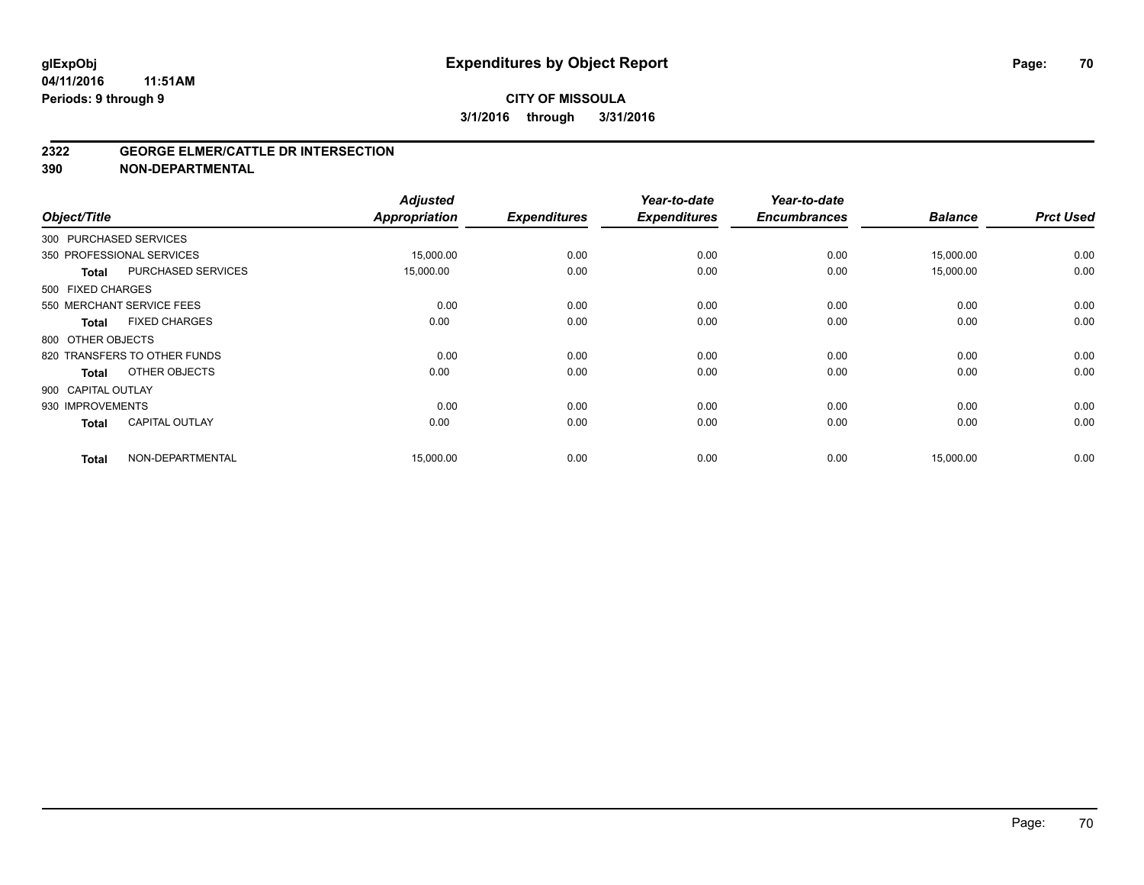#### **2322 GEORGE ELMER/CATTLE DR INTERSECTION**

**390 NON-DEPARTMENTAL**

| Object/Title       |                              | <b>Adjusted</b><br><b>Appropriation</b> | <b>Expenditures</b> | Year-to-date<br><b>Expenditures</b> | Year-to-date<br><b>Encumbrances</b> | <b>Balance</b> | <b>Prct Used</b> |
|--------------------|------------------------------|-----------------------------------------|---------------------|-------------------------------------|-------------------------------------|----------------|------------------|
|                    | 300 PURCHASED SERVICES       |                                         |                     |                                     |                                     |                |                  |
|                    | 350 PROFESSIONAL SERVICES    | 15,000.00                               | 0.00                | 0.00                                | 0.00                                | 15,000.00      | 0.00             |
| <b>Total</b>       | PURCHASED SERVICES           | 15,000.00                               | 0.00                | 0.00                                | 0.00                                | 15,000.00      | 0.00             |
| 500 FIXED CHARGES  |                              |                                         |                     |                                     |                                     |                |                  |
|                    | 550 MERCHANT SERVICE FEES    | 0.00                                    | 0.00                | 0.00                                | 0.00                                | 0.00           | 0.00             |
| <b>Total</b>       | <b>FIXED CHARGES</b>         | 0.00                                    | 0.00                | 0.00                                | 0.00                                | 0.00           | 0.00             |
| 800 OTHER OBJECTS  |                              |                                         |                     |                                     |                                     |                |                  |
|                    | 820 TRANSFERS TO OTHER FUNDS | 0.00                                    | 0.00                | 0.00                                | 0.00                                | 0.00           | 0.00             |
| <b>Total</b>       | OTHER OBJECTS                | 0.00                                    | 0.00                | 0.00                                | 0.00                                | 0.00           | 0.00             |
| 900 CAPITAL OUTLAY |                              |                                         |                     |                                     |                                     |                |                  |
| 930 IMPROVEMENTS   |                              | 0.00                                    | 0.00                | 0.00                                | 0.00                                | 0.00           | 0.00             |
| <b>Total</b>       | <b>CAPITAL OUTLAY</b>        | 0.00                                    | 0.00                | 0.00                                | 0.00                                | 0.00           | 0.00             |
| <b>Total</b>       | NON-DEPARTMENTAL             | 15,000.00                               | 0.00                | 0.00                                | 0.00                                | 15,000.00      | 0.00             |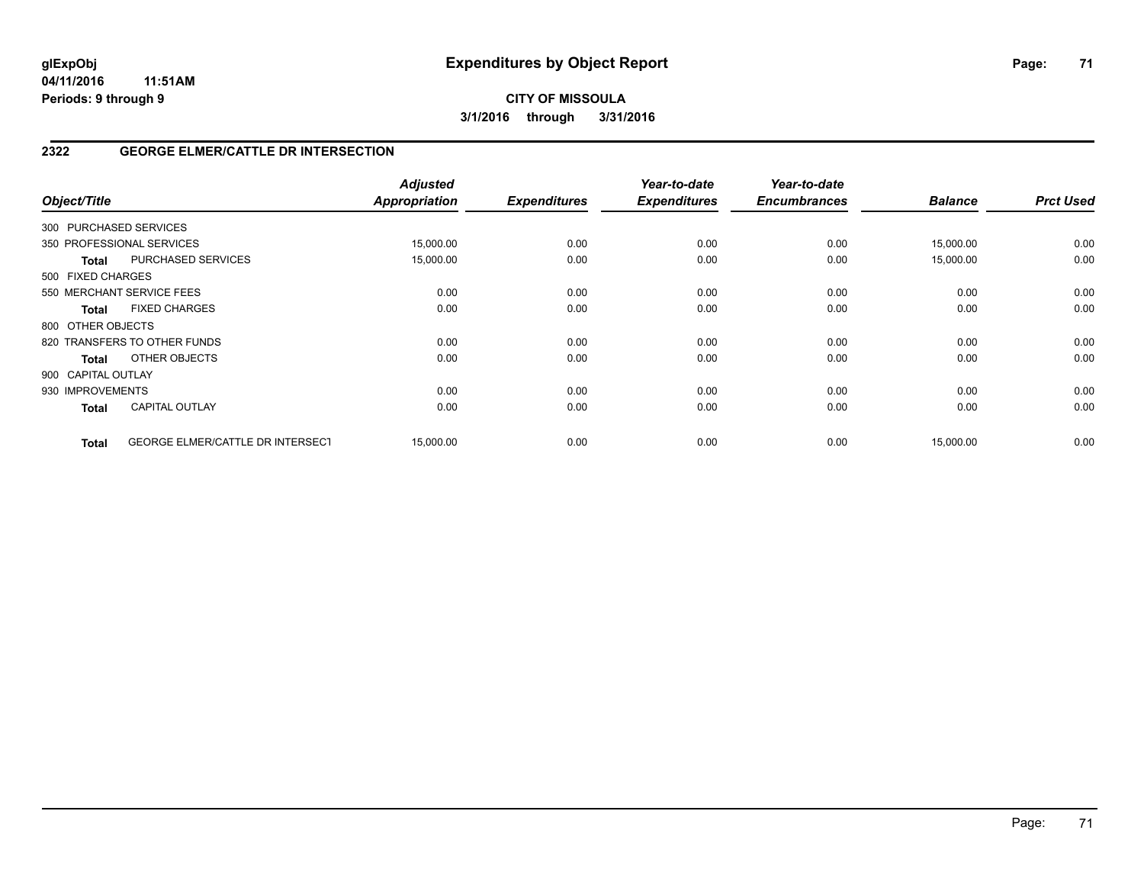**CITY OF MISSOULA 3/1/2016 through 3/31/2016**

## **2322 GEORGE ELMER/CATTLE DR INTERSECTION**

| Object/Title           |                                         | <b>Adjusted</b><br><b>Appropriation</b> | <b>Expenditures</b> | Year-to-date<br><b>Expenditures</b> | Year-to-date<br><b>Encumbrances</b> | <b>Balance</b> | <b>Prct Used</b> |
|------------------------|-----------------------------------------|-----------------------------------------|---------------------|-------------------------------------|-------------------------------------|----------------|------------------|
| 300 PURCHASED SERVICES |                                         |                                         |                     |                                     |                                     |                |                  |
|                        | 350 PROFESSIONAL SERVICES               | 15,000.00                               | 0.00                | 0.00                                | 0.00                                | 15,000.00      | 0.00             |
| <b>Total</b>           | PURCHASED SERVICES                      | 15,000.00                               | 0.00                | 0.00                                | 0.00                                | 15,000.00      | 0.00             |
| 500 FIXED CHARGES      |                                         |                                         |                     |                                     |                                     |                |                  |
|                        | 550 MERCHANT SERVICE FEES               | 0.00                                    | 0.00                | 0.00                                | 0.00                                | 0.00           | 0.00             |
| <b>Total</b>           | <b>FIXED CHARGES</b>                    | 0.00                                    | 0.00                | 0.00                                | 0.00                                | 0.00           | 0.00             |
| 800 OTHER OBJECTS      |                                         |                                         |                     |                                     |                                     |                |                  |
|                        | 820 TRANSFERS TO OTHER FUNDS            | 0.00                                    | 0.00                | 0.00                                | 0.00                                | 0.00           | 0.00             |
| Total                  | OTHER OBJECTS                           | 0.00                                    | 0.00                | 0.00                                | 0.00                                | 0.00           | 0.00             |
| 900 CAPITAL OUTLAY     |                                         |                                         |                     |                                     |                                     |                |                  |
| 930 IMPROVEMENTS       |                                         | 0.00                                    | 0.00                | 0.00                                | 0.00                                | 0.00           | 0.00             |
| <b>Total</b>           | <b>CAPITAL OUTLAY</b>                   | 0.00                                    | 0.00                | 0.00                                | 0.00                                | 0.00           | 0.00             |
| <b>Total</b>           | <b>GEORGE ELMER/CATTLE DR INTERSECT</b> | 15,000.00                               | 0.00                | 0.00                                | 0.00                                | 15,000.00      | 0.00             |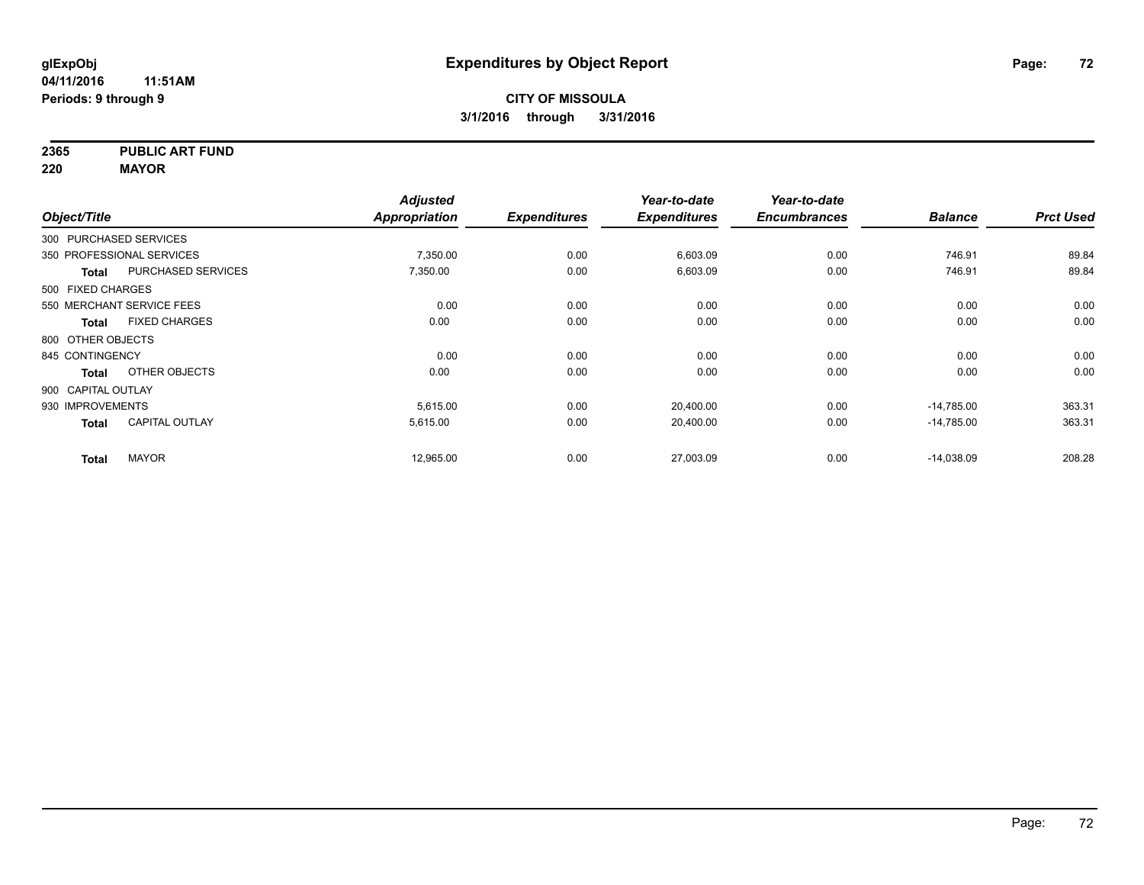**2365 PUBLIC ART FUND**

**220 MAYOR**

|                        |                           | <b>Adjusted</b>      |                     | Year-to-date        | Year-to-date        |                |                  |
|------------------------|---------------------------|----------------------|---------------------|---------------------|---------------------|----------------|------------------|
| Object/Title           |                           | <b>Appropriation</b> | <b>Expenditures</b> | <b>Expenditures</b> | <b>Encumbrances</b> | <b>Balance</b> | <b>Prct Used</b> |
| 300 PURCHASED SERVICES |                           |                      |                     |                     |                     |                |                  |
|                        | 350 PROFESSIONAL SERVICES | 7,350.00             | 0.00                | 6,603.09            | 0.00                | 746.91         | 89.84            |
| Total                  | PURCHASED SERVICES        | 7,350.00             | 0.00                | 6,603.09            | 0.00                | 746.91         | 89.84            |
| 500 FIXED CHARGES      |                           |                      |                     |                     |                     |                |                  |
|                        | 550 MERCHANT SERVICE FEES | 0.00                 | 0.00                | 0.00                | 0.00                | 0.00           | 0.00             |
| Total                  | <b>FIXED CHARGES</b>      | 0.00                 | 0.00                | 0.00                | 0.00                | 0.00           | 0.00             |
| 800 OTHER OBJECTS      |                           |                      |                     |                     |                     |                |                  |
| 845 CONTINGENCY        |                           | 0.00                 | 0.00                | 0.00                | 0.00                | 0.00           | 0.00             |
| <b>Total</b>           | OTHER OBJECTS             | 0.00                 | 0.00                | 0.00                | 0.00                | 0.00           | 0.00             |
| 900 CAPITAL OUTLAY     |                           |                      |                     |                     |                     |                |                  |
| 930 IMPROVEMENTS       |                           | 5,615.00             | 0.00                | 20,400.00           | 0.00                | $-14,785.00$   | 363.31           |
| <b>Total</b>           | <b>CAPITAL OUTLAY</b>     | 5,615.00             | 0.00                | 20,400.00           | 0.00                | $-14,785.00$   | 363.31           |
| <b>Total</b>           | <b>MAYOR</b>              | 12,965.00            | 0.00                | 27,003.09           | 0.00                | $-14,038.09$   | 208.28           |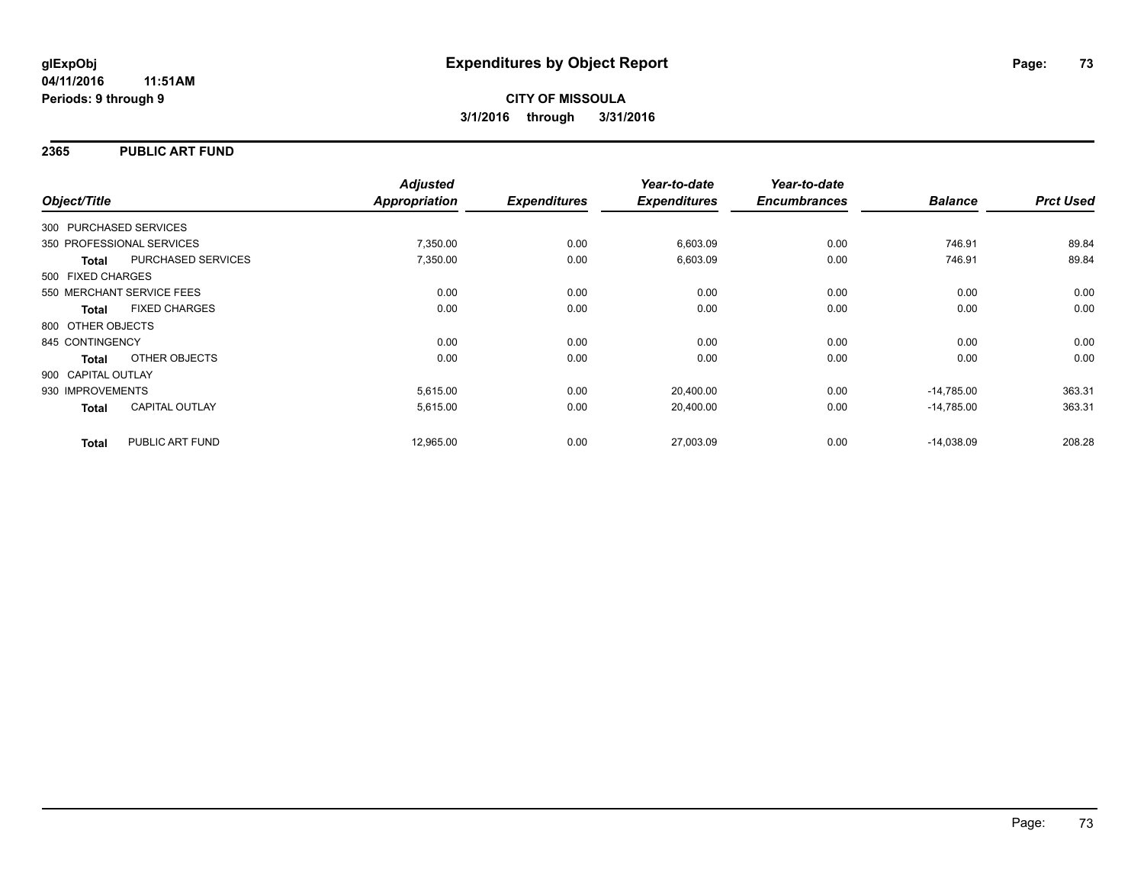### **2365 PUBLIC ART FUND**

|                        |                           | <b>Adjusted</b>      |                     | Year-to-date        | Year-to-date        |                |                  |
|------------------------|---------------------------|----------------------|---------------------|---------------------|---------------------|----------------|------------------|
| Object/Title           |                           | <b>Appropriation</b> | <b>Expenditures</b> | <b>Expenditures</b> | <b>Encumbrances</b> | <b>Balance</b> | <b>Prct Used</b> |
| 300 PURCHASED SERVICES |                           |                      |                     |                     |                     |                |                  |
|                        | 350 PROFESSIONAL SERVICES | 7,350.00             | 0.00                | 6,603.09            | 0.00                | 746.91         | 89.84            |
| <b>Total</b>           | PURCHASED SERVICES        | 7,350.00             | 0.00                | 6,603.09            | 0.00                | 746.91         | 89.84            |
| 500 FIXED CHARGES      |                           |                      |                     |                     |                     |                |                  |
|                        | 550 MERCHANT SERVICE FEES | 0.00                 | 0.00                | 0.00                | 0.00                | 0.00           | 0.00             |
| <b>Total</b>           | <b>FIXED CHARGES</b>      | 0.00                 | 0.00                | 0.00                | 0.00                | 0.00           | 0.00             |
| 800 OTHER OBJECTS      |                           |                      |                     |                     |                     |                |                  |
| 845 CONTINGENCY        |                           | 0.00                 | 0.00                | 0.00                | 0.00                | 0.00           | 0.00             |
| Total                  | OTHER OBJECTS             | 0.00                 | 0.00                | 0.00                | 0.00                | 0.00           | 0.00             |
| 900 CAPITAL OUTLAY     |                           |                      |                     |                     |                     |                |                  |
| 930 IMPROVEMENTS       |                           | 5,615.00             | 0.00                | 20,400.00           | 0.00                | $-14.785.00$   | 363.31           |
| <b>Total</b>           | <b>CAPITAL OUTLAY</b>     | 5,615.00             | 0.00                | 20,400.00           | 0.00                | $-14.785.00$   | 363.31           |
| <b>Total</b>           | PUBLIC ART FUND           | 12,965.00            | 0.00                | 27,003.09           | 0.00                | $-14.038.09$   | 208.28           |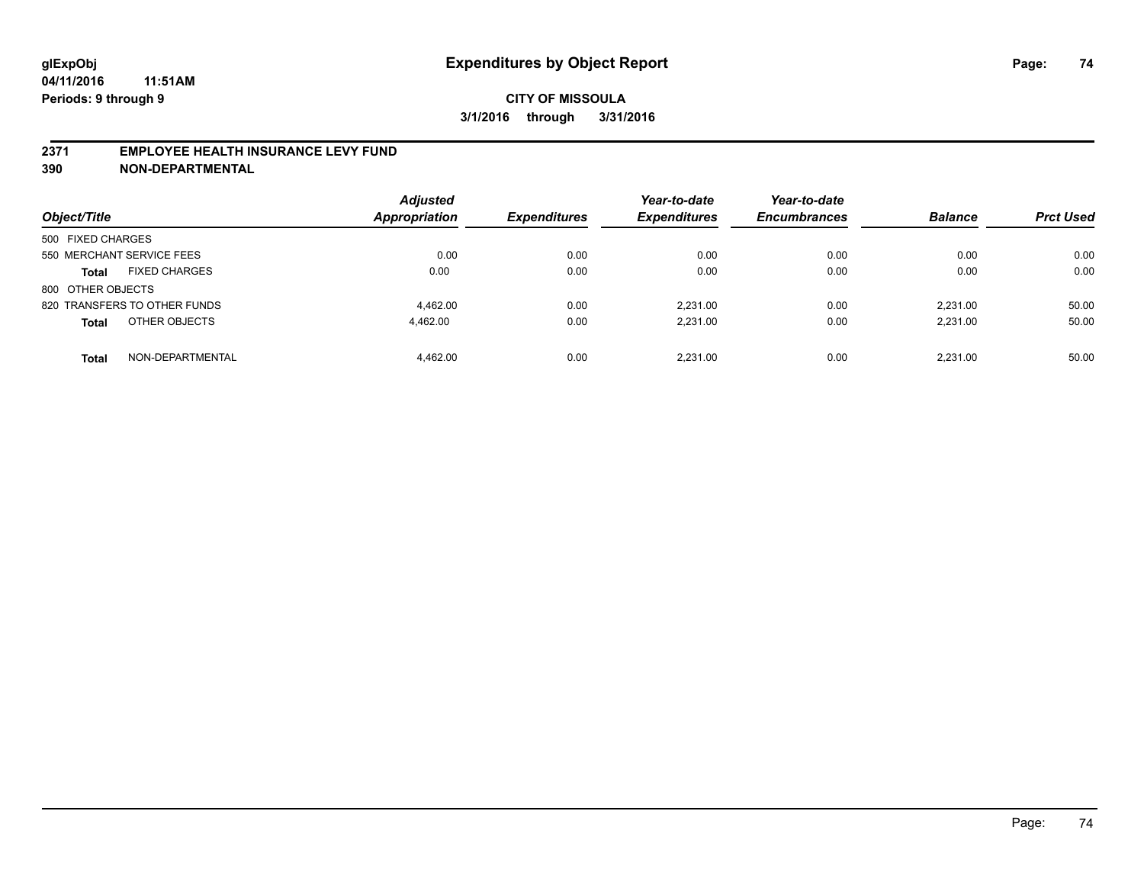#### **2371 EMPLOYEE HEALTH INSURANCE LEVY FUND**

**390 NON-DEPARTMENTAL**

| Object/Title                         | <b>Adjusted</b><br><b>Appropriation</b> | <b>Expenditures</b> | Year-to-date<br><b>Expenditures</b> | Year-to-date<br><b>Encumbrances</b> | <b>Balance</b> | <b>Prct Used</b> |
|--------------------------------------|-----------------------------------------|---------------------|-------------------------------------|-------------------------------------|----------------|------------------|
| 500 FIXED CHARGES                    |                                         |                     |                                     |                                     |                |                  |
| 550 MERCHANT SERVICE FEES            | 0.00                                    | 0.00                | 0.00                                | 0.00                                | 0.00           | 0.00             |
| <b>FIXED CHARGES</b><br><b>Total</b> | 0.00                                    | 0.00                | 0.00                                | 0.00                                | 0.00           | 0.00             |
| 800 OTHER OBJECTS                    |                                         |                     |                                     |                                     |                |                  |
| 820 TRANSFERS TO OTHER FUNDS         | 4.462.00                                | 0.00                | 2.231.00                            | 0.00                                | 2.231.00       | 50.00            |
| OTHER OBJECTS<br><b>Total</b>        | 4.462.00                                | 0.00                | 2.231.00                            | 0.00                                | 2.231.00       | 50.00            |
| NON-DEPARTMENTAL<br><b>Total</b>     | 4.462.00                                | 0.00                | 2.231.00                            | 0.00                                | 2.231.00       | 50.00            |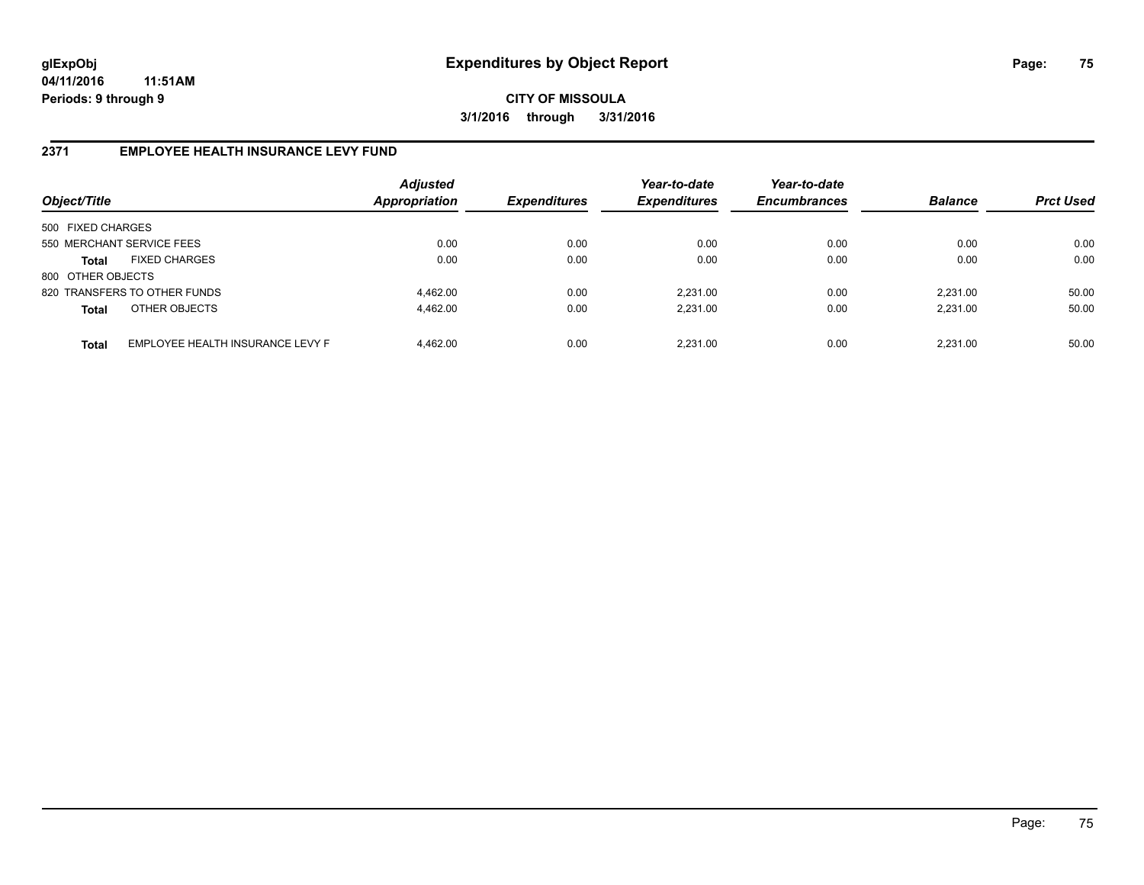**CITY OF MISSOULA 3/1/2016 through 3/31/2016**

## **2371 EMPLOYEE HEALTH INSURANCE LEVY FUND**

| Object/Title              |                                  | <b>Adjusted</b><br><b>Appropriation</b> | <b>Expenditures</b> | Year-to-date<br><b>Expenditures</b> | Year-to-date<br><b>Encumbrances</b> | <b>Balance</b> | <b>Prct Used</b> |
|---------------------------|----------------------------------|-----------------------------------------|---------------------|-------------------------------------|-------------------------------------|----------------|------------------|
| 500 FIXED CHARGES         |                                  |                                         |                     |                                     |                                     |                |                  |
| 550 MERCHANT SERVICE FEES |                                  | 0.00                                    | 0.00                | 0.00                                | 0.00                                | 0.00           | 0.00             |
| <b>Total</b>              | <b>FIXED CHARGES</b>             | 0.00                                    | 0.00                | 0.00                                | 0.00                                | 0.00           | 0.00             |
| 800 OTHER OBJECTS         |                                  |                                         |                     |                                     |                                     |                |                  |
|                           | 820 TRANSFERS TO OTHER FUNDS     | 4.462.00                                | 0.00                | 2.231.00                            | 0.00                                | 2.231.00       | 50.00            |
| <b>Total</b>              | OTHER OBJECTS                    | 4.462.00                                | 0.00                | 2.231.00                            | 0.00                                | 2.231.00       | 50.00            |
| <b>Total</b>              | EMPLOYEE HEALTH INSURANCE LEVY F | 4.462.00                                | 0.00                | 2.231.00                            | 0.00                                | 2.231.00       | 50.00            |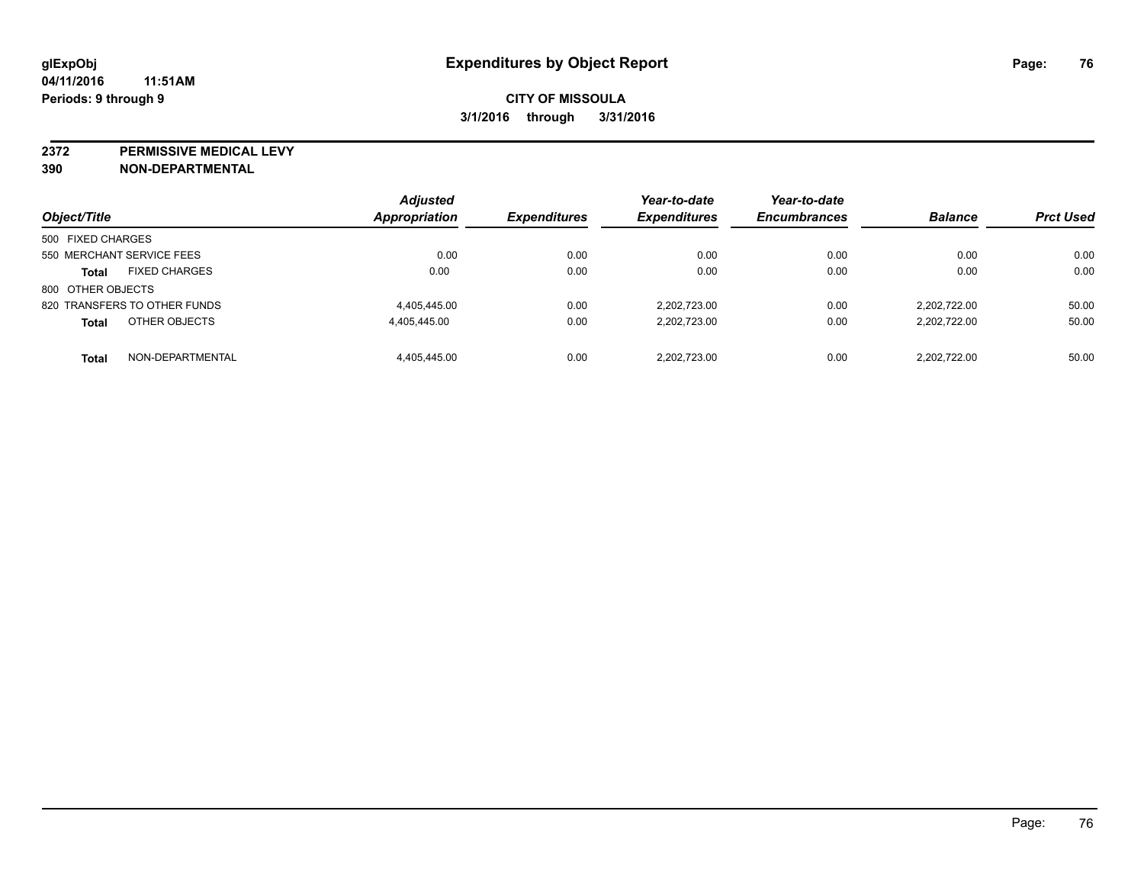**2372 PERMISSIVE MEDICAL LEVY**

**390 NON-DEPARTMENTAL**

|                              |                      | <b>Adjusted</b>      |                     | Year-to-date        | Year-to-date        |                |                  |
|------------------------------|----------------------|----------------------|---------------------|---------------------|---------------------|----------------|------------------|
| Object/Title                 |                      | <b>Appropriation</b> | <b>Expenditures</b> | <b>Expenditures</b> | <b>Encumbrances</b> | <b>Balance</b> | <b>Prct Used</b> |
| 500 FIXED CHARGES            |                      |                      |                     |                     |                     |                |                  |
| 550 MERCHANT SERVICE FEES    |                      | 0.00                 | 0.00                | 0.00                | 0.00                | 0.00           | 0.00             |
| <b>Total</b>                 | <b>FIXED CHARGES</b> | 0.00                 | 0.00                | 0.00                | 0.00                | 0.00           | 0.00             |
| 800 OTHER OBJECTS            |                      |                      |                     |                     |                     |                |                  |
| 820 TRANSFERS TO OTHER FUNDS |                      | 4,405,445.00         | 0.00                | 2.202.723.00        | 0.00                | 2.202.722.00   | 50.00            |
| <b>Total</b>                 | OTHER OBJECTS        | 4,405,445.00         | 0.00                | 2.202.723.00        | 0.00                | 2,202,722.00   | 50.00            |
| <b>Total</b>                 | NON-DEPARTMENTAL     | 4.405.445.00         | 0.00                | 2.202.723.00        | 0.00                | 2.202.722.00   | 50.00            |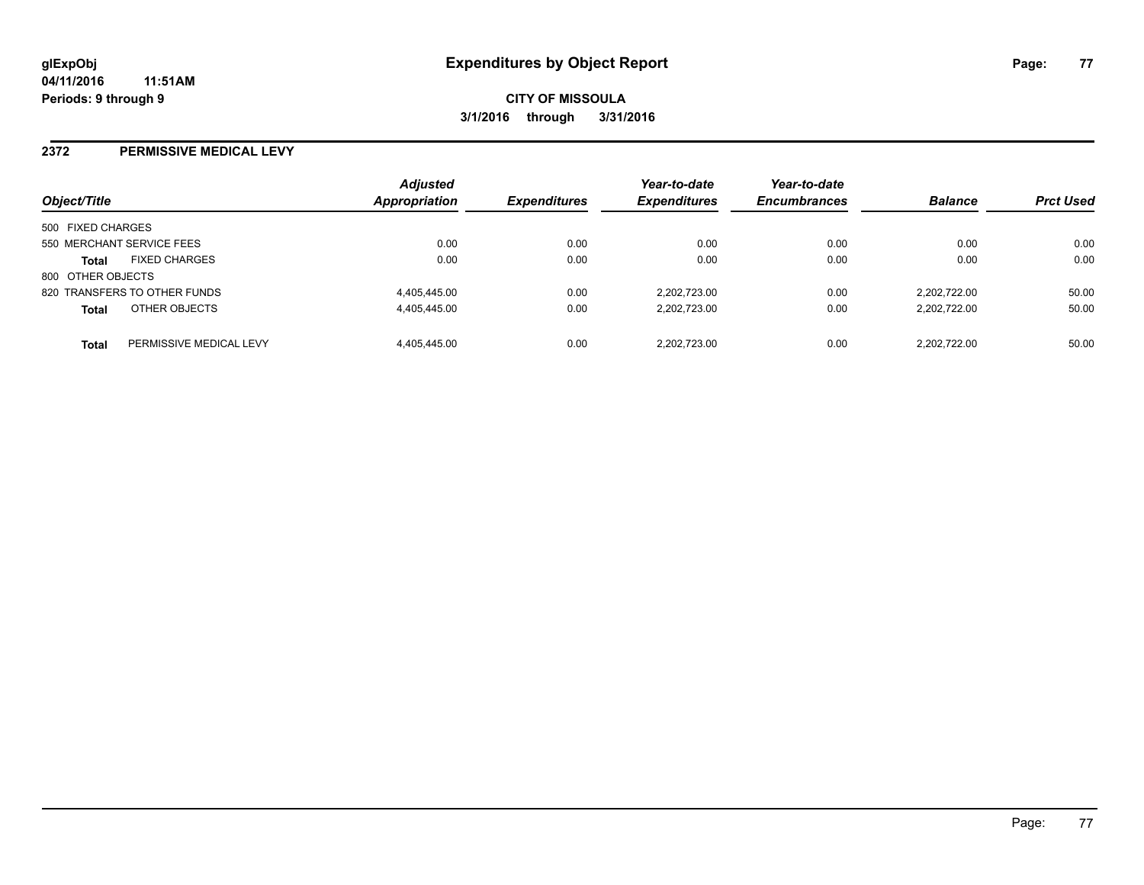#### **2372 PERMISSIVE MEDICAL LEVY**

| Object/Title      |                              | <b>Adjusted</b><br>Appropriation | <b>Expenditures</b> | Year-to-date<br><b>Expenditures</b> | Year-to-date<br><b>Encumbrances</b> | <b>Balance</b> | <b>Prct Used</b> |
|-------------------|------------------------------|----------------------------------|---------------------|-------------------------------------|-------------------------------------|----------------|------------------|
| 500 FIXED CHARGES |                              |                                  |                     |                                     |                                     |                |                  |
|                   | 550 MERCHANT SERVICE FEES    | 0.00                             | 0.00                | 0.00                                | 0.00                                | 0.00           | 0.00             |
| <b>Total</b>      | <b>FIXED CHARGES</b>         | 0.00                             | 0.00                | 0.00                                | 0.00                                | 0.00           | 0.00             |
| 800 OTHER OBJECTS |                              |                                  |                     |                                     |                                     |                |                  |
|                   | 820 TRANSFERS TO OTHER FUNDS | 4,405,445.00                     | 0.00                | 2.202.723.00                        | 0.00                                | 2.202.722.00   | 50.00            |
| <b>Total</b>      | OTHER OBJECTS                | 4,405,445.00                     | 0.00                | 2.202.723.00                        | 0.00                                | 2.202.722.00   | 50.00            |
| <b>Total</b>      | PERMISSIVE MEDICAL LEVY      | 4,405,445.00                     | 0.00                | 2.202.723.00                        | 0.00                                | 2.202.722.00   | 50.00            |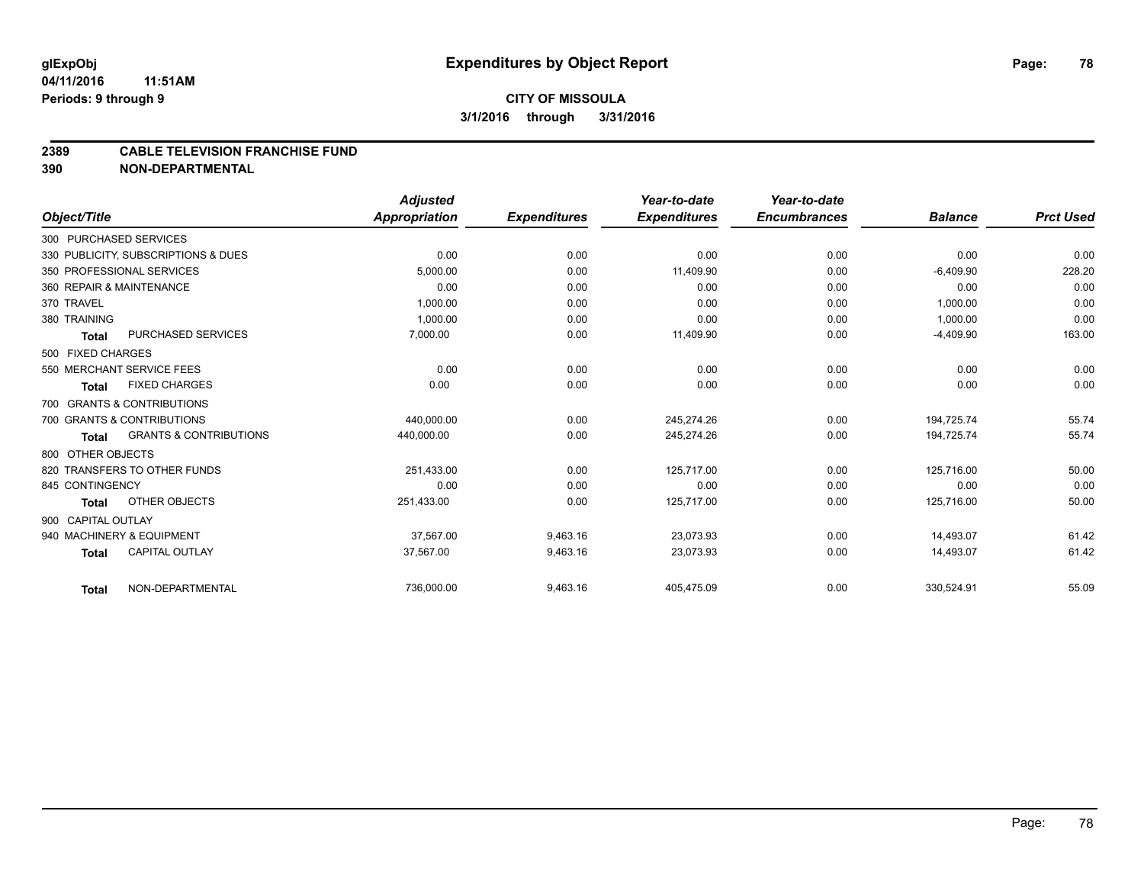# **CITY OF MISSOULA 3/1/2016 through 3/31/2016**

#### **2389 CABLE TELEVISION FRANCHISE FUND**

**390 NON-DEPARTMENTAL**

|                        |                                     | <b>Adjusted</b> |                     | Year-to-date        | Year-to-date        |                |                  |
|------------------------|-------------------------------------|-----------------|---------------------|---------------------|---------------------|----------------|------------------|
| Object/Title           |                                     | Appropriation   | <b>Expenditures</b> | <b>Expenditures</b> | <b>Encumbrances</b> | <b>Balance</b> | <b>Prct Used</b> |
| 300 PURCHASED SERVICES |                                     |                 |                     |                     |                     |                |                  |
|                        | 330 PUBLICITY, SUBSCRIPTIONS & DUES | 0.00            | 0.00                | 0.00                | 0.00                | 0.00           | 0.00             |
|                        | 350 PROFESSIONAL SERVICES           | 5.000.00        | 0.00                | 11,409.90           | 0.00                | $-6,409.90$    | 228.20           |
|                        | 360 REPAIR & MAINTENANCE            | 0.00            | 0.00                | 0.00                | 0.00                | 0.00           | 0.00             |
| 370 TRAVEL             |                                     | 1,000.00        | 0.00                | 0.00                | 0.00                | 1,000.00       | 0.00             |
| 380 TRAINING           |                                     | 1.000.00        | 0.00                | 0.00                | 0.00                | 1,000.00       | 0.00             |
| <b>Total</b>           | PURCHASED SERVICES                  | 7,000.00        | 0.00                | 11,409.90           | 0.00                | $-4,409.90$    | 163.00           |
| 500 FIXED CHARGES      |                                     |                 |                     |                     |                     |                |                  |
|                        | 550 MERCHANT SERVICE FEES           | 0.00            | 0.00                | 0.00                | 0.00                | 0.00           | 0.00             |
| <b>Total</b>           | <b>FIXED CHARGES</b>                | 0.00            | 0.00                | 0.00                | 0.00                | 0.00           | 0.00             |
|                        | 700 GRANTS & CONTRIBUTIONS          |                 |                     |                     |                     |                |                  |
|                        | 700 GRANTS & CONTRIBUTIONS          | 440.000.00      | 0.00                | 245,274.26          | 0.00                | 194,725.74     | 55.74            |
| <b>Total</b>           | <b>GRANTS &amp; CONTRIBUTIONS</b>   | 440,000.00      | 0.00                | 245,274.26          | 0.00                | 194,725.74     | 55.74            |
| 800 OTHER OBJECTS      |                                     |                 |                     |                     |                     |                |                  |
|                        | 820 TRANSFERS TO OTHER FUNDS        | 251,433.00      | 0.00                | 125,717.00          | 0.00                | 125,716.00     | 50.00            |
| 845 CONTINGENCY        |                                     | 0.00            | 0.00                | 0.00                | 0.00                | 0.00           | 0.00             |
| <b>Total</b>           | OTHER OBJECTS                       | 251,433.00      | 0.00                | 125,717.00          | 0.00                | 125,716.00     | 50.00            |
| 900 CAPITAL OUTLAY     |                                     |                 |                     |                     |                     |                |                  |
|                        | 940 MACHINERY & EQUIPMENT           | 37,567.00       | 9,463.16            | 23,073.93           | 0.00                | 14,493.07      | 61.42            |
| <b>Total</b>           | <b>CAPITAL OUTLAY</b>               | 37,567.00       | 9,463.16            | 23,073.93           | 0.00                | 14,493.07      | 61.42            |
| <b>Total</b>           | NON-DEPARTMENTAL                    | 736,000.00      | 9,463.16            | 405,475.09          | 0.00                | 330,524.91     | 55.09            |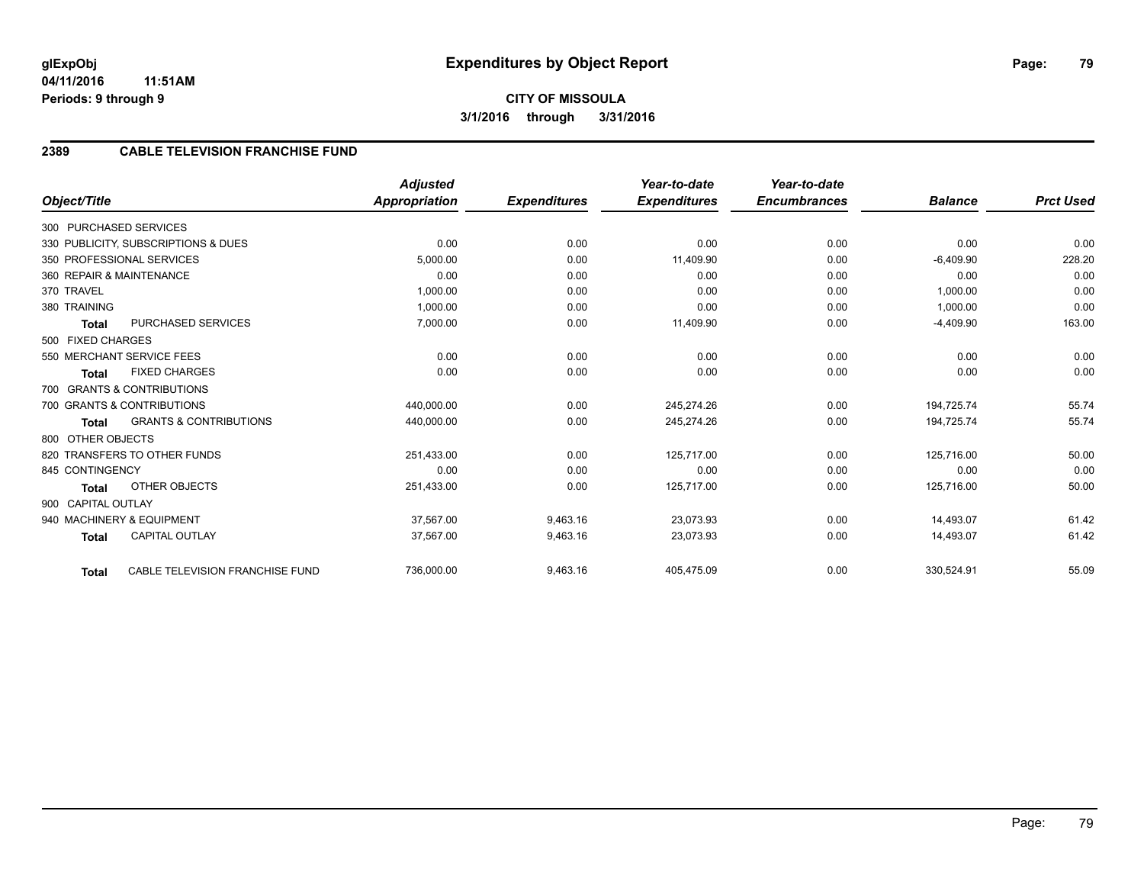## **2389 CABLE TELEVISION FRANCHISE FUND**

|                                                   | <b>Adjusted</b>      |                     | Year-to-date        | Year-to-date        |                |                  |
|---------------------------------------------------|----------------------|---------------------|---------------------|---------------------|----------------|------------------|
| Object/Title                                      | <b>Appropriation</b> | <b>Expenditures</b> | <b>Expenditures</b> | <b>Encumbrances</b> | <b>Balance</b> | <b>Prct Used</b> |
| 300 PURCHASED SERVICES                            |                      |                     |                     |                     |                |                  |
| 330 PUBLICITY, SUBSCRIPTIONS & DUES               | 0.00                 | 0.00                | 0.00                | 0.00                | 0.00           | 0.00             |
| 350 PROFESSIONAL SERVICES                         | 5,000.00             | 0.00                | 11,409.90           | 0.00                | $-6,409.90$    | 228.20           |
| 360 REPAIR & MAINTENANCE                          | 0.00                 | 0.00                | 0.00                | 0.00                | 0.00           | 0.00             |
| 370 TRAVEL                                        | 1,000.00             | 0.00                | 0.00                | 0.00                | 1,000.00       | 0.00             |
| 380 TRAINING                                      | 1,000.00             | 0.00                | 0.00                | 0.00                | 1,000.00       | 0.00             |
| PURCHASED SERVICES<br><b>Total</b>                | 7,000.00             | 0.00                | 11,409.90           | 0.00                | $-4,409.90$    | 163.00           |
| 500 FIXED CHARGES                                 |                      |                     |                     |                     |                |                  |
| 550 MERCHANT SERVICE FEES                         | 0.00                 | 0.00                | 0.00                | 0.00                | 0.00           | 0.00             |
| <b>FIXED CHARGES</b><br><b>Total</b>              | 0.00                 | 0.00                | 0.00                | 0.00                | 0.00           | 0.00             |
| 700 GRANTS & CONTRIBUTIONS                        |                      |                     |                     |                     |                |                  |
| 700 GRANTS & CONTRIBUTIONS                        | 440,000.00           | 0.00                | 245,274.26          | 0.00                | 194,725.74     | 55.74            |
| <b>GRANTS &amp; CONTRIBUTIONS</b><br><b>Total</b> | 440,000.00           | 0.00                | 245,274.26          | 0.00                | 194,725.74     | 55.74            |
| 800 OTHER OBJECTS                                 |                      |                     |                     |                     |                |                  |
| 820 TRANSFERS TO OTHER FUNDS                      | 251,433.00           | 0.00                | 125,717.00          | 0.00                | 125,716.00     | 50.00            |
| 845 CONTINGENCY                                   | 0.00                 | 0.00                | 0.00                | 0.00                | 0.00           | 0.00             |
| OTHER OBJECTS<br><b>Total</b>                     | 251,433.00           | 0.00                | 125,717.00          | 0.00                | 125,716.00     | 50.00            |
| 900 CAPITAL OUTLAY                                |                      |                     |                     |                     |                |                  |
| 940 MACHINERY & EQUIPMENT                         | 37.567.00            | 9,463.16            | 23,073.93           | 0.00                | 14.493.07      | 61.42            |
| <b>CAPITAL OUTLAY</b><br><b>Total</b>             | 37,567.00            | 9,463.16            | 23,073.93           | 0.00                | 14,493.07      | 61.42            |
|                                                   |                      |                     |                     |                     |                |                  |
| CABLE TELEVISION FRANCHISE FUND<br><b>Total</b>   | 736,000.00           | 9,463.16            | 405,475.09          | 0.00                | 330,524.91     | 55.09            |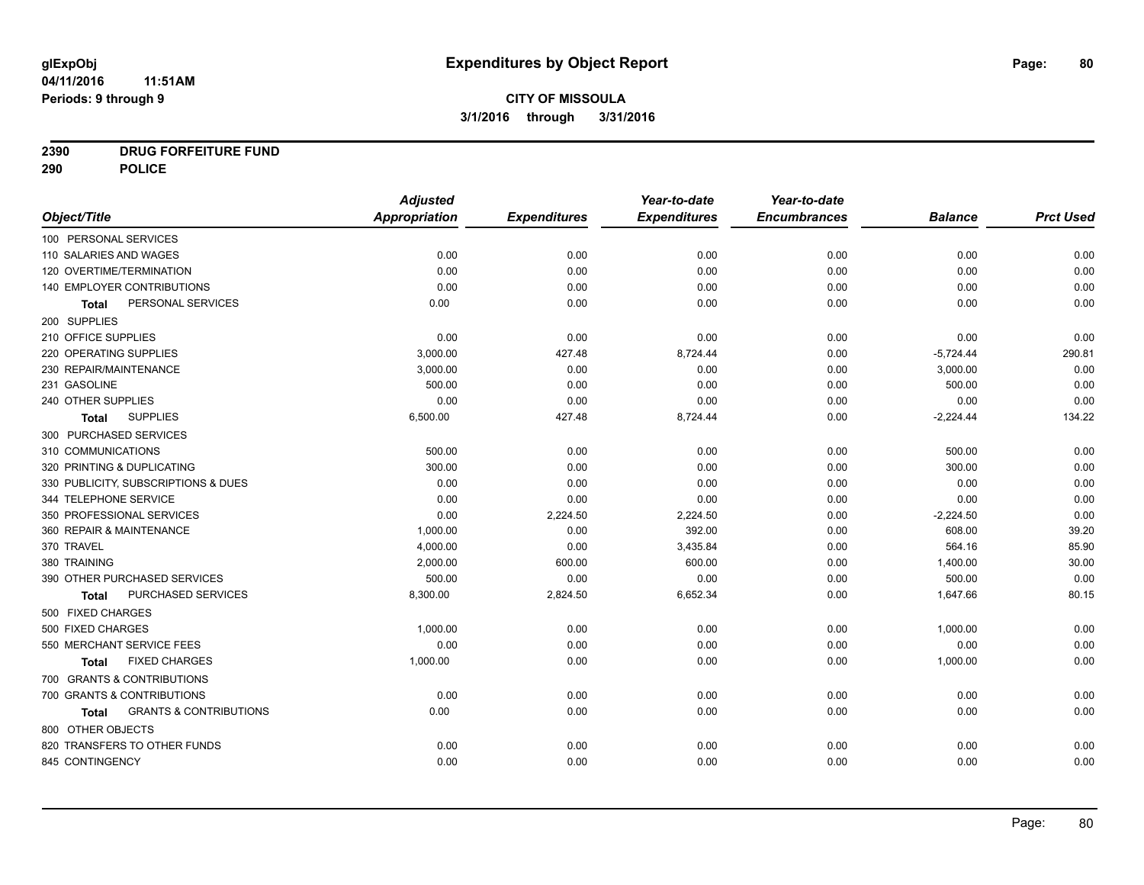# **CITY OF MISSOULA 3/1/2016 through 3/31/2016**

# **2390 DRUG FORFEITURE FUND**

**290 POLICE**

|                                            | <b>Adjusted</b> |                     | Year-to-date        | Year-to-date        |                |                  |
|--------------------------------------------|-----------------|---------------------|---------------------|---------------------|----------------|------------------|
| Object/Title                               | Appropriation   | <b>Expenditures</b> | <b>Expenditures</b> | <b>Encumbrances</b> | <b>Balance</b> | <b>Prct Used</b> |
| 100 PERSONAL SERVICES                      |                 |                     |                     |                     |                |                  |
| 110 SALARIES AND WAGES                     | 0.00            | 0.00                | 0.00                | 0.00                | 0.00           | 0.00             |
| 120 OVERTIME/TERMINATION                   | 0.00            | 0.00                | 0.00                | 0.00                | 0.00           | 0.00             |
| 140 EMPLOYER CONTRIBUTIONS                 | 0.00            | 0.00                | 0.00                | 0.00                | 0.00           | 0.00             |
| PERSONAL SERVICES<br><b>Total</b>          | 0.00            | 0.00                | 0.00                | 0.00                | 0.00           | 0.00             |
| 200 SUPPLIES                               |                 |                     |                     |                     |                |                  |
| 210 OFFICE SUPPLIES                        | 0.00            | 0.00                | 0.00                | 0.00                | 0.00           | 0.00             |
| 220 OPERATING SUPPLIES                     | 3,000.00        | 427.48              | 8,724.44            | 0.00                | $-5,724.44$    | 290.81           |
| 230 REPAIR/MAINTENANCE                     | 3,000.00        | 0.00                | 0.00                | 0.00                | 3,000.00       | 0.00             |
| 231 GASOLINE                               | 500.00          | 0.00                | 0.00                | 0.00                | 500.00         | 0.00             |
| 240 OTHER SUPPLIES                         | 0.00            | 0.00                | 0.00                | 0.00                | 0.00           | 0.00             |
| <b>SUPPLIES</b><br><b>Total</b>            | 6,500.00        | 427.48              | 8,724.44            | 0.00                | $-2,224.44$    | 134.22           |
| 300 PURCHASED SERVICES                     |                 |                     |                     |                     |                |                  |
| 310 COMMUNICATIONS                         | 500.00          | 0.00                | 0.00                | 0.00                | 500.00         | 0.00             |
| 320 PRINTING & DUPLICATING                 | 300.00          | 0.00                | 0.00                | 0.00                | 300.00         | 0.00             |
| 330 PUBLICITY, SUBSCRIPTIONS & DUES        | 0.00            | 0.00                | 0.00                | 0.00                | 0.00           | 0.00             |
| 344 TELEPHONE SERVICE                      | 0.00            | 0.00                | 0.00                | 0.00                | 0.00           | 0.00             |
| 350 PROFESSIONAL SERVICES                  | 0.00            | 2,224.50            | 2,224.50            | 0.00                | $-2,224.50$    | 0.00             |
| 360 REPAIR & MAINTENANCE                   | 1,000.00        | 0.00                | 392.00              | 0.00                | 608.00         | 39.20            |
| 370 TRAVEL                                 | 4,000.00        | 0.00                | 3,435.84            | 0.00                | 564.16         | 85.90            |
| 380 TRAINING                               | 2,000.00        | 600.00              | 600.00              | 0.00                | 1,400.00       | 30.00            |
| 390 OTHER PURCHASED SERVICES               | 500.00          | 0.00                | 0.00                | 0.00                | 500.00         | 0.00             |
| PURCHASED SERVICES<br>Total                | 8,300.00        | 2,824.50            | 6,652.34            | 0.00                | 1,647.66       | 80.15            |
| 500 FIXED CHARGES                          |                 |                     |                     |                     |                |                  |
| 500 FIXED CHARGES                          | 1,000.00        | 0.00                | 0.00                | 0.00                | 1,000.00       | 0.00             |
| 550 MERCHANT SERVICE FEES                  | 0.00            | 0.00                | 0.00                | 0.00                | 0.00           | 0.00             |
| <b>FIXED CHARGES</b><br>Total              | 1,000.00        | 0.00                | 0.00                | 0.00                | 1,000.00       | 0.00             |
| 700 GRANTS & CONTRIBUTIONS                 |                 |                     |                     |                     |                |                  |
| 700 GRANTS & CONTRIBUTIONS                 | 0.00            | 0.00                | 0.00                | 0.00                | 0.00           | 0.00             |
| <b>GRANTS &amp; CONTRIBUTIONS</b><br>Total | 0.00            | 0.00                | 0.00                | 0.00                | 0.00           | 0.00             |
| 800 OTHER OBJECTS                          |                 |                     |                     |                     |                |                  |
| 820 TRANSFERS TO OTHER FUNDS               | 0.00            | 0.00                | 0.00                | 0.00                | 0.00           | 0.00             |
| 845 CONTINGENCY                            | 0.00            | 0.00                | 0.00                | 0.00                | 0.00           | 0.00             |
|                                            |                 |                     |                     |                     |                |                  |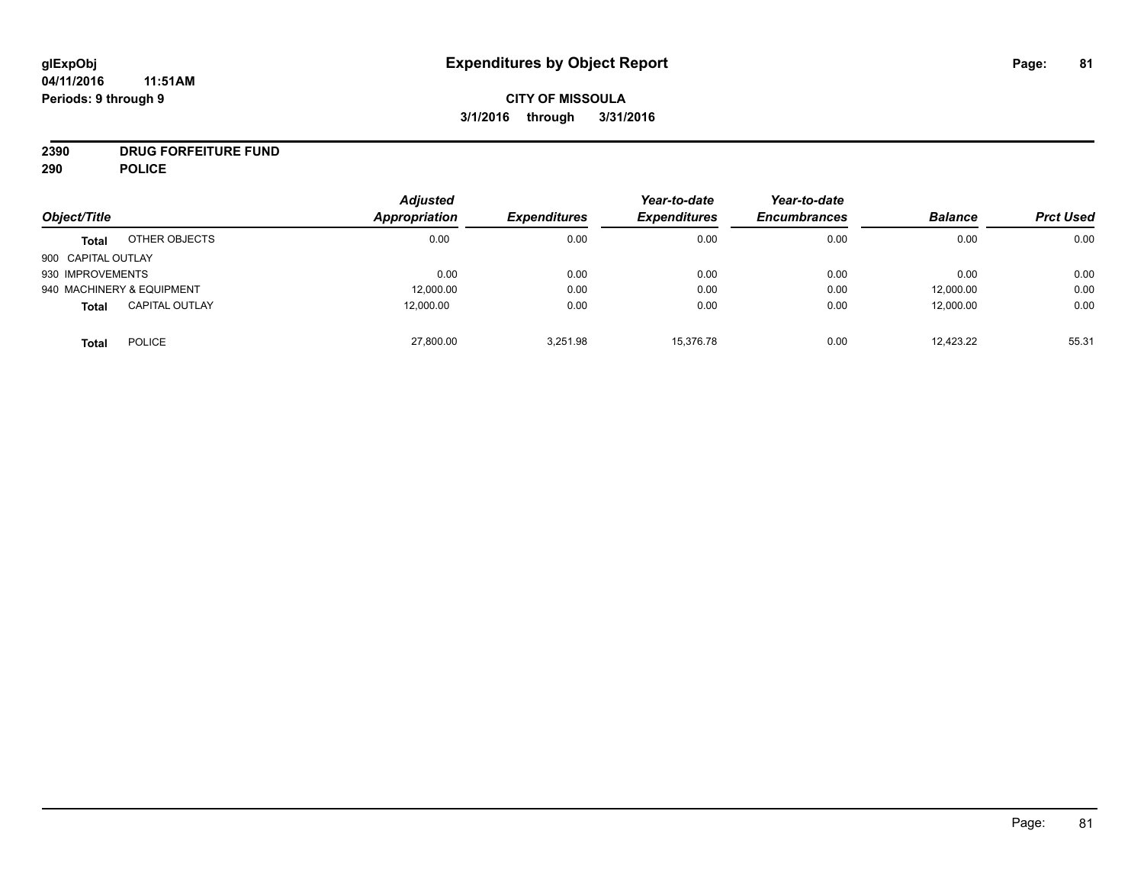# **CITY OF MISSOULA 3/1/2016 through 3/31/2016**

# **2390 DRUG FORFEITURE FUND**

**290 POLICE**

| Object/Title       |                           | <b>Adjusted</b><br><b>Appropriation</b> |                     | Year-to-date        | Year-to-date        | <b>Balance</b> | <b>Prct Used</b> |
|--------------------|---------------------------|-----------------------------------------|---------------------|---------------------|---------------------|----------------|------------------|
|                    |                           |                                         | <b>Expenditures</b> | <b>Expenditures</b> | <b>Encumbrances</b> |                |                  |
| <b>Total</b>       | OTHER OBJECTS             | 0.00                                    | 0.00                | 0.00                | 0.00                | 0.00           | 0.00             |
| 900 CAPITAL OUTLAY |                           |                                         |                     |                     |                     |                |                  |
| 930 IMPROVEMENTS   |                           | 0.00                                    | 0.00                | 0.00                | 0.00                | 0.00           | 0.00             |
|                    | 940 MACHINERY & EQUIPMENT | 12,000.00                               | 0.00                | 0.00                | 0.00                | 12,000.00      | 0.00             |
| <b>Total</b>       | <b>CAPITAL OUTLAY</b>     | 12,000.00                               | 0.00                | 0.00                | 0.00                | 12,000.00      | 0.00             |
| <b>Total</b>       | <b>POLICE</b>             | 27,800.00                               | 3,251.98            | 15.376.78           | 0.00                | 12,423.22      | 55.31            |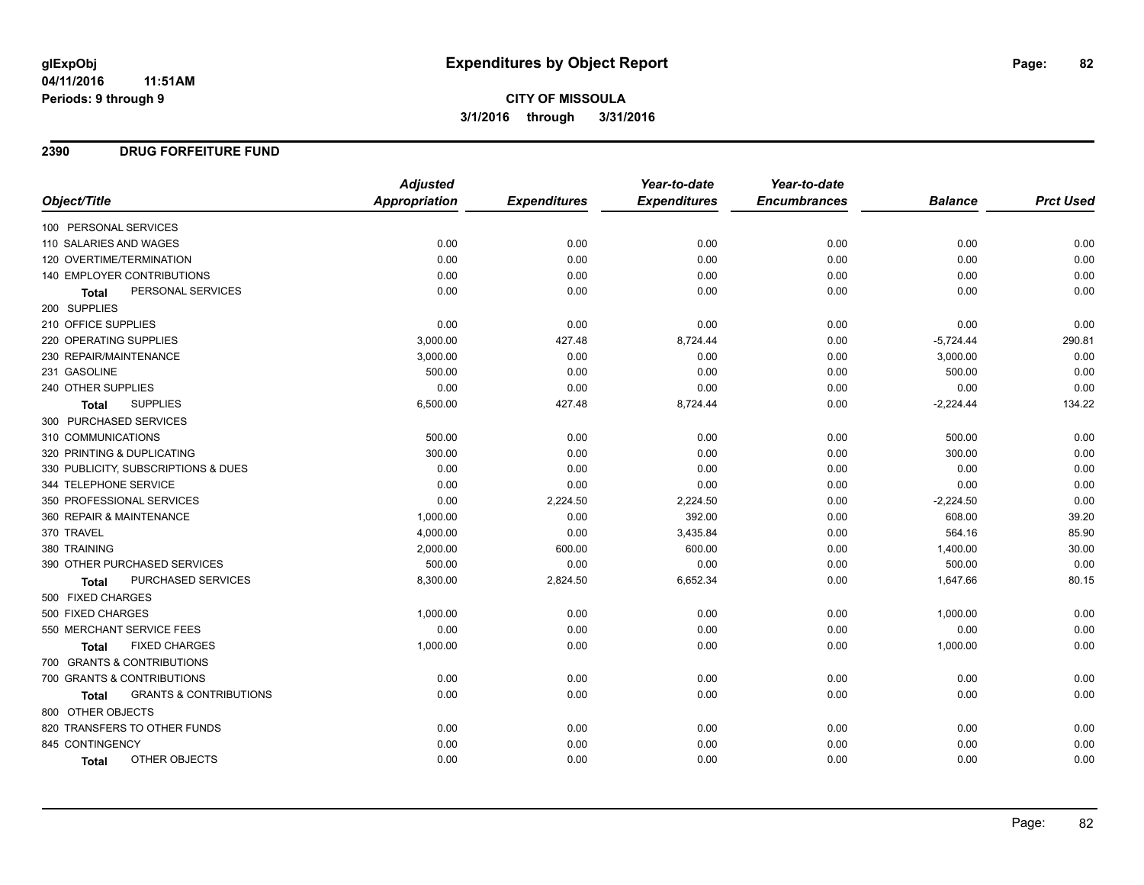**CITY OF MISSOULA 3/1/2016 through 3/31/2016**

### **2390 DRUG FORFEITURE FUND**

|                                            | <b>Adjusted</b> |                     | Year-to-date        | Year-to-date        |                |                  |
|--------------------------------------------|-----------------|---------------------|---------------------|---------------------|----------------|------------------|
| Object/Title                               | Appropriation   | <b>Expenditures</b> | <b>Expenditures</b> | <b>Encumbrances</b> | <b>Balance</b> | <b>Prct Used</b> |
| 100 PERSONAL SERVICES                      |                 |                     |                     |                     |                |                  |
| 110 SALARIES AND WAGES                     | 0.00            | 0.00                | 0.00                | 0.00                | 0.00           | 0.00             |
| 120 OVERTIME/TERMINATION                   | 0.00            | 0.00                | 0.00                | 0.00                | 0.00           | 0.00             |
| <b>140 EMPLOYER CONTRIBUTIONS</b>          | 0.00            | 0.00                | 0.00                | 0.00                | 0.00           | 0.00             |
| PERSONAL SERVICES<br>Total                 | 0.00            | 0.00                | 0.00                | 0.00                | 0.00           | 0.00             |
| 200 SUPPLIES                               |                 |                     |                     |                     |                |                  |
| 210 OFFICE SUPPLIES                        | 0.00            | 0.00                | 0.00                | 0.00                | 0.00           | 0.00             |
| 220 OPERATING SUPPLIES                     | 3,000.00        | 427.48              | 8,724.44            | 0.00                | $-5,724.44$    | 290.81           |
| 230 REPAIR/MAINTENANCE                     | 3,000.00        | 0.00                | 0.00                | 0.00                | 3,000.00       | 0.00             |
| 231 GASOLINE                               | 500.00          | 0.00                | 0.00                | 0.00                | 500.00         | 0.00             |
| 240 OTHER SUPPLIES                         | 0.00            | 0.00                | 0.00                | 0.00                | 0.00           | 0.00             |
| <b>SUPPLIES</b><br><b>Total</b>            | 6,500.00        | 427.48              | 8,724.44            | 0.00                | $-2,224.44$    | 134.22           |
| 300 PURCHASED SERVICES                     |                 |                     |                     |                     |                |                  |
| 310 COMMUNICATIONS                         | 500.00          | 0.00                | 0.00                | 0.00                | 500.00         | 0.00             |
| 320 PRINTING & DUPLICATING                 | 300.00          | 0.00                | 0.00                | 0.00                | 300.00         | 0.00             |
| 330 PUBLICITY, SUBSCRIPTIONS & DUES        | 0.00            | 0.00                | 0.00                | 0.00                | 0.00           | 0.00             |
| 344 TELEPHONE SERVICE                      | 0.00            | 0.00                | 0.00                | 0.00                | 0.00           | 0.00             |
| 350 PROFESSIONAL SERVICES                  | 0.00            | 2,224.50            | 2,224.50            | 0.00                | $-2,224.50$    | 0.00             |
| 360 REPAIR & MAINTENANCE                   | 1,000.00        | 0.00                | 392.00              | 0.00                | 608.00         | 39.20            |
| 370 TRAVEL                                 | 4,000.00        | 0.00                | 3,435.84            | 0.00                | 564.16         | 85.90            |
| 380 TRAINING                               | 2,000.00        | 600.00              | 600.00              | 0.00                | 1,400.00       | 30.00            |
| 390 OTHER PURCHASED SERVICES               | 500.00          | 0.00                | 0.00                | 0.00                | 500.00         | 0.00             |
| PURCHASED SERVICES<br><b>Total</b>         | 8,300.00        | 2,824.50            | 6,652.34            | 0.00                | 1,647.66       | 80.15            |
| 500 FIXED CHARGES                          |                 |                     |                     |                     |                |                  |
| 500 FIXED CHARGES                          | 1,000.00        | 0.00                | 0.00                | 0.00                | 1,000.00       | 0.00             |
| 550 MERCHANT SERVICE FEES                  | 0.00            | 0.00                | 0.00                | 0.00                | 0.00           | 0.00             |
| <b>FIXED CHARGES</b><br><b>Total</b>       | 1,000.00        | 0.00                | 0.00                | 0.00                | 1,000.00       | 0.00             |
| 700 GRANTS & CONTRIBUTIONS                 |                 |                     |                     |                     |                |                  |
| 700 GRANTS & CONTRIBUTIONS                 | 0.00            | 0.00                | 0.00                | 0.00                | 0.00           | 0.00             |
| <b>GRANTS &amp; CONTRIBUTIONS</b><br>Total | 0.00            | 0.00                | 0.00                | 0.00                | 0.00           | 0.00             |
| 800 OTHER OBJECTS                          |                 |                     |                     |                     |                |                  |
| 820 TRANSFERS TO OTHER FUNDS               | 0.00            | 0.00                | 0.00                | 0.00                | 0.00           | 0.00             |
| 845 CONTINGENCY                            | 0.00            | 0.00                | 0.00                | 0.00                | 0.00           | 0.00             |
| OTHER OBJECTS<br>Total                     | 0.00            | 0.00                | 0.00                | 0.00                | 0.00           | 0.00             |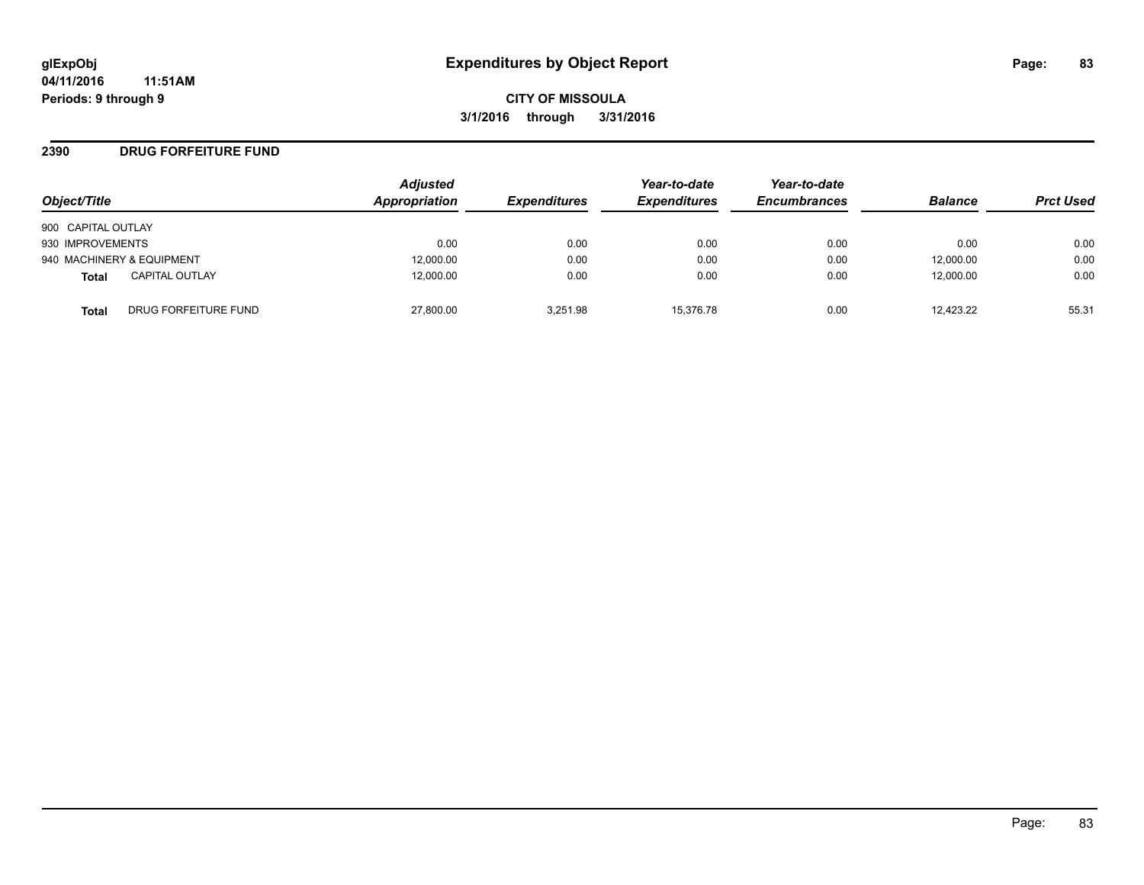### **2390 DRUG FORFEITURE FUND**

| Object/Title              |                       | <b>Adjusted</b><br>Appropriation | <b>Expenditures</b> | Year-to-date<br><b>Expenditures</b> | Year-to-date<br><b>Encumbrances</b> | <b>Balance</b> | <b>Prct Used</b> |
|---------------------------|-----------------------|----------------------------------|---------------------|-------------------------------------|-------------------------------------|----------------|------------------|
| 900 CAPITAL OUTLAY        |                       |                                  |                     |                                     |                                     |                |                  |
| 930 IMPROVEMENTS          |                       | 0.00                             | 0.00                | 0.00                                | 0.00                                | 0.00           | 0.00             |
| 940 MACHINERY & EQUIPMENT |                       | 12,000.00                        | 0.00                | 0.00                                | 0.00                                | 12,000.00      | 0.00             |
| <b>Total</b>              | <b>CAPITAL OUTLAY</b> | 12,000.00                        | 0.00                | 0.00                                | 0.00                                | 12,000.00      | 0.00             |
| Total                     | DRUG FORFEITURE FUND  | 27,800.00                        | 3.251.98            | 15.376.78                           | 0.00                                | 12.423.22      | 55.31            |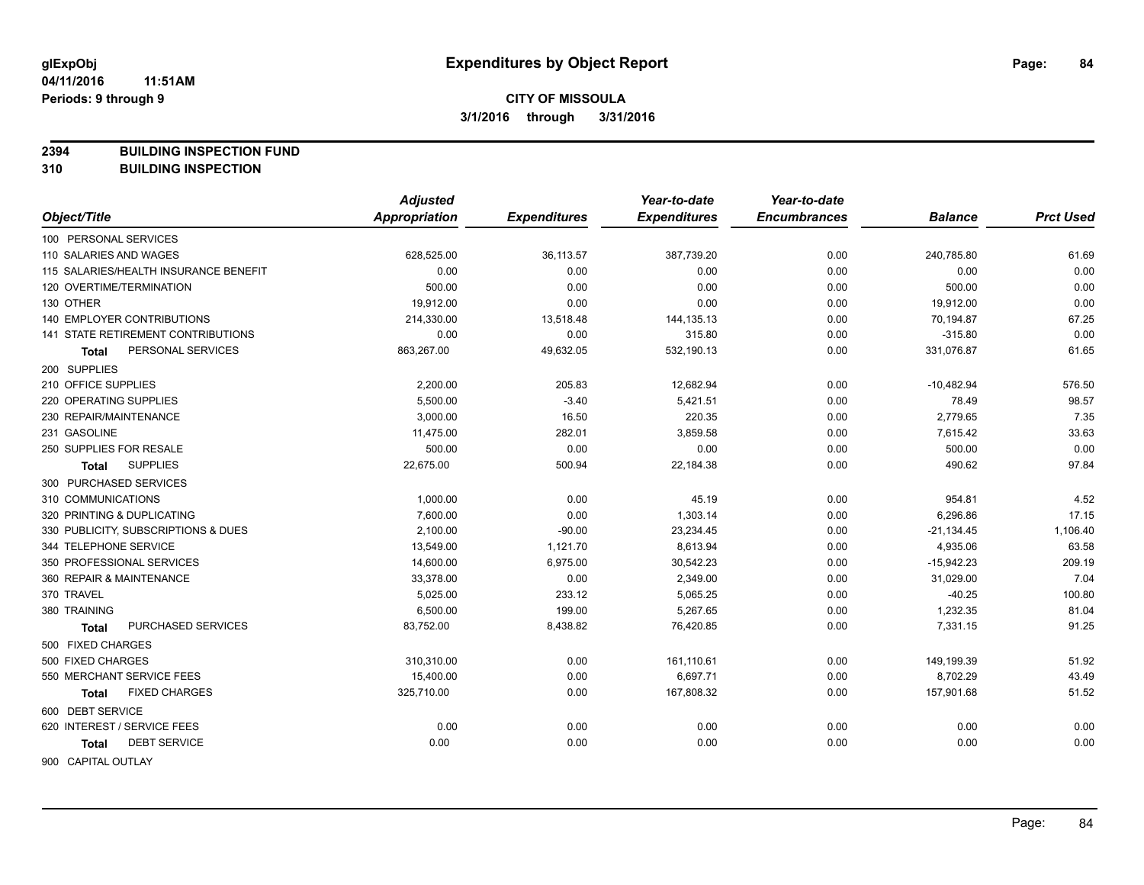**2394 BUILDING INSPECTION FUND**

**310 BUILDING INSPECTION**

|                                       | <b>Adjusted</b> |                     | Year-to-date        | Year-to-date        |                |                  |
|---------------------------------------|-----------------|---------------------|---------------------|---------------------|----------------|------------------|
| Object/Title                          | Appropriation   | <b>Expenditures</b> | <b>Expenditures</b> | <b>Encumbrances</b> | <b>Balance</b> | <b>Prct Used</b> |
| 100 PERSONAL SERVICES                 |                 |                     |                     |                     |                |                  |
| 110 SALARIES AND WAGES                | 628,525.00      | 36,113.57           | 387,739.20          | 0.00                | 240,785.80     | 61.69            |
| 115 SALARIES/HEALTH INSURANCE BENEFIT | 0.00            | 0.00                | 0.00                | 0.00                | 0.00           | 0.00             |
| 120 OVERTIME/TERMINATION              | 500.00          | 0.00                | 0.00                | 0.00                | 500.00         | 0.00             |
| 130 OTHER                             | 19,912.00       | 0.00                | 0.00                | 0.00                | 19,912.00      | 0.00             |
| 140 EMPLOYER CONTRIBUTIONS            | 214,330.00      | 13,518.48           | 144,135.13          | 0.00                | 70,194.87      | 67.25            |
| 141 STATE RETIREMENT CONTRIBUTIONS    | 0.00            | 0.00                | 315.80              | 0.00                | $-315.80$      | 0.00             |
| PERSONAL SERVICES<br><b>Total</b>     | 863,267.00      | 49,632.05           | 532,190.13          | 0.00                | 331,076.87     | 61.65            |
| 200 SUPPLIES                          |                 |                     |                     |                     |                |                  |
| 210 OFFICE SUPPLIES                   | 2,200.00        | 205.83              | 12,682.94           | 0.00                | $-10,482.94$   | 576.50           |
| 220 OPERATING SUPPLIES                | 5,500.00        | $-3.40$             | 5,421.51            | 0.00                | 78.49          | 98.57            |
| 230 REPAIR/MAINTENANCE                | 3,000.00        | 16.50               | 220.35              | 0.00                | 2,779.65       | 7.35             |
| 231 GASOLINE                          | 11,475.00       | 282.01              | 3,859.58            | 0.00                | 7,615.42       | 33.63            |
| 250 SUPPLIES FOR RESALE               | 500.00          | 0.00                | 0.00                | 0.00                | 500.00         | 0.00             |
| <b>SUPPLIES</b><br>Total              | 22,675.00       | 500.94              | 22,184.38           | 0.00                | 490.62         | 97.84            |
| 300 PURCHASED SERVICES                |                 |                     |                     |                     |                |                  |
| 310 COMMUNICATIONS                    | 1,000.00        | 0.00                | 45.19               | 0.00                | 954.81         | 4.52             |
| 320 PRINTING & DUPLICATING            | 7,600.00        | 0.00                | 1,303.14            | 0.00                | 6,296.86       | 17.15            |
| 330 PUBLICITY, SUBSCRIPTIONS & DUES   | 2,100.00        | $-90.00$            | 23,234.45           | 0.00                | $-21, 134.45$  | 1,106.40         |
| 344 TELEPHONE SERVICE                 | 13,549.00       | 1,121.70            | 8,613.94            | 0.00                | 4,935.06       | 63.58            |
| 350 PROFESSIONAL SERVICES             | 14,600.00       | 6,975.00            | 30,542.23           | 0.00                | $-15,942.23$   | 209.19           |
| 360 REPAIR & MAINTENANCE              | 33,378.00       | 0.00                | 2,349.00            | 0.00                | 31,029.00      | 7.04             |
| 370 TRAVEL                            | 5,025.00        | 233.12              | 5,065.25            | 0.00                | $-40.25$       | 100.80           |
| 380 TRAINING                          | 6,500.00        | 199.00              | 5,267.65            | 0.00                | 1,232.35       | 81.04            |
| PURCHASED SERVICES<br>Total           | 83,752.00       | 8,438.82            | 76,420.85           | 0.00                | 7,331.15       | 91.25            |
| 500 FIXED CHARGES                     |                 |                     |                     |                     |                |                  |
| 500 FIXED CHARGES                     | 310,310.00      | 0.00                | 161,110.61          | 0.00                | 149,199.39     | 51.92            |
| 550 MERCHANT SERVICE FEES             | 15,400.00       | 0.00                | 6,697.71            | 0.00                | 8,702.29       | 43.49            |
| <b>FIXED CHARGES</b><br><b>Total</b>  | 325,710.00      | 0.00                | 167,808.32          | 0.00                | 157,901.68     | 51.52            |
| 600 DEBT SERVICE                      |                 |                     |                     |                     |                |                  |
| 620 INTEREST / SERVICE FEES           | 0.00            | 0.00                | 0.00                | 0.00                | 0.00           | 0.00             |
| <b>DEBT SERVICE</b><br><b>Total</b>   | 0.00            | 0.00                | 0.00                | 0.00                | 0.00           | 0.00             |
| <b>GOO CADITAL OUTLAV</b>             |                 |                     |                     |                     |                |                  |

900 CAPITAL OUTLAY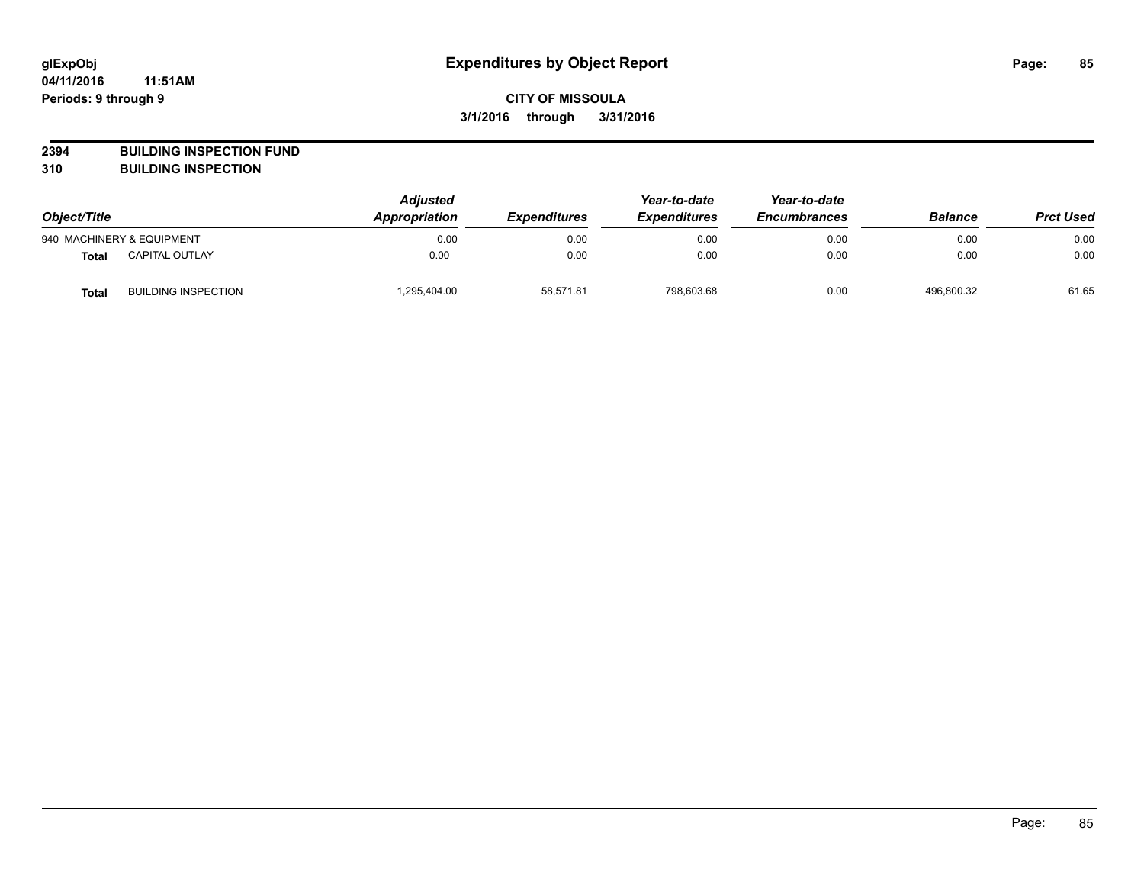**2394 BUILDING INSPECTION FUND**

**310 BUILDING INSPECTION**

| Object/Title |                            | <b>Adjusted</b><br><b>Appropriation</b><br><b>Expenditures</b> | Year-to-date<br><b>Expenditures</b> | Year-to-date<br><b>Encumbrances</b> | <b>Balance</b> | <b>Prct Used</b> |       |
|--------------|----------------------------|----------------------------------------------------------------|-------------------------------------|-------------------------------------|----------------|------------------|-------|
|              | 940 MACHINERY & EQUIPMENT  | 0.00                                                           | 0.00                                | 0.00                                | 0.00           | 0.00             | 0.00  |
| <b>Total</b> | <b>CAPITAL OUTLAY</b>      | 0.00                                                           | 0.00                                | 0.00                                | 0.00           | 0.00             | 0.00  |
| <b>Total</b> | <b>BUILDING INSPECTION</b> | ,295,404.00                                                    | 58,571.81                           | 798,603.68                          | 0.00           | 496,800.32       | 61.65 |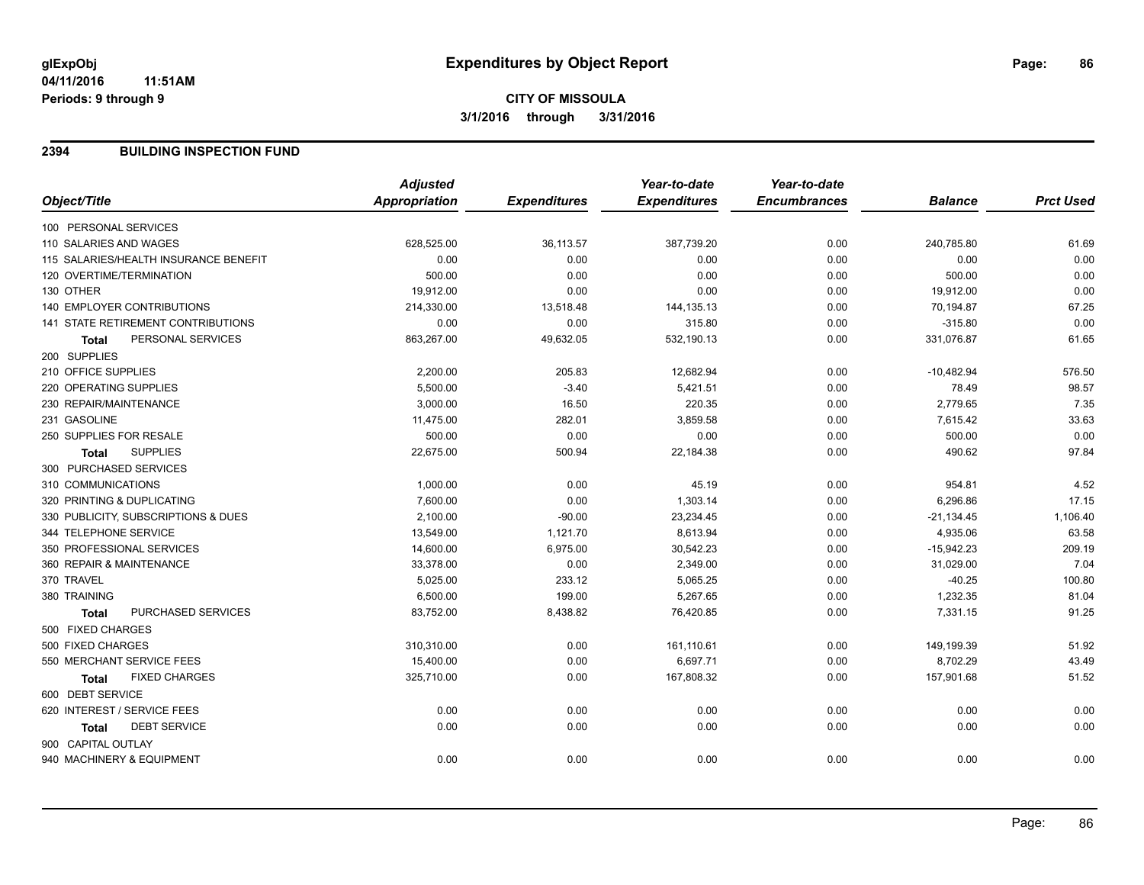# **CITY OF MISSOULA 3/1/2016 through 3/31/2016**

### **2394 BUILDING INSPECTION FUND**

|                                           | <b>Adjusted</b>      |                     | Year-to-date        | Year-to-date        |                |                  |
|-------------------------------------------|----------------------|---------------------|---------------------|---------------------|----------------|------------------|
| Object/Title                              | <b>Appropriation</b> | <b>Expenditures</b> | <b>Expenditures</b> | <b>Encumbrances</b> | <b>Balance</b> | <b>Prct Used</b> |
| 100 PERSONAL SERVICES                     |                      |                     |                     |                     |                |                  |
| 110 SALARIES AND WAGES                    | 628,525.00           | 36,113.57           | 387,739.20          | 0.00                | 240,785.80     | 61.69            |
| 115 SALARIES/HEALTH INSURANCE BENEFIT     | 0.00                 | 0.00                | 0.00                | 0.00                | 0.00           | 0.00             |
| 120 OVERTIME/TERMINATION                  | 500.00               | 0.00                | 0.00                | 0.00                | 500.00         | 0.00             |
| 130 OTHER                                 | 19,912.00            | 0.00                | 0.00                | 0.00                | 19,912.00      | 0.00             |
| <b>140 EMPLOYER CONTRIBUTIONS</b>         | 214,330.00           | 13,518.48           | 144,135.13          | 0.00                | 70,194.87      | 67.25            |
| 141 STATE RETIREMENT CONTRIBUTIONS        | 0.00                 | 0.00                | 315.80              | 0.00                | $-315.80$      | 0.00             |
| PERSONAL SERVICES<br><b>Total</b>         | 863,267.00           | 49,632.05           | 532,190.13          | 0.00                | 331,076.87     | 61.65            |
| 200 SUPPLIES                              |                      |                     |                     |                     |                |                  |
| 210 OFFICE SUPPLIES                       | 2,200.00             | 205.83              | 12,682.94           | 0.00                | $-10,482.94$   | 576.50           |
| 220 OPERATING SUPPLIES                    | 5,500.00             | $-3.40$             | 5,421.51            | 0.00                | 78.49          | 98.57            |
| 230 REPAIR/MAINTENANCE                    | 3,000.00             | 16.50               | 220.35              | 0.00                | 2,779.65       | 7.35             |
| 231 GASOLINE                              | 11,475.00            | 282.01              | 3,859.58            | 0.00                | 7,615.42       | 33.63            |
| 250 SUPPLIES FOR RESALE                   | 500.00               | 0.00                | 0.00                | 0.00                | 500.00         | 0.00             |
| <b>SUPPLIES</b><br><b>Total</b>           | 22,675.00            | 500.94              | 22,184.38           | 0.00                | 490.62         | 97.84            |
| 300 PURCHASED SERVICES                    |                      |                     |                     |                     |                |                  |
| 310 COMMUNICATIONS                        | 1,000.00             | 0.00                | 45.19               | 0.00                | 954.81         | 4.52             |
| 320 PRINTING & DUPLICATING                | 7,600.00             | 0.00                | 1,303.14            | 0.00                | 6,296.86       | 17.15            |
| 330 PUBLICITY, SUBSCRIPTIONS & DUES       | 2,100.00             | $-90.00$            | 23,234.45           | 0.00                | $-21,134.45$   | 1,106.40         |
| 344 TELEPHONE SERVICE                     | 13,549.00            | 1,121.70            | 8,613.94            | 0.00                | 4,935.06       | 63.58            |
| 350 PROFESSIONAL SERVICES                 | 14,600.00            | 6,975.00            | 30,542.23           | 0.00                | $-15,942.23$   | 209.19           |
| 360 REPAIR & MAINTENANCE                  | 33,378.00            | 0.00                | 2,349.00            | 0.00                | 31,029.00      | 7.04             |
| 370 TRAVEL                                | 5,025.00             | 233.12              | 5,065.25            | 0.00                | $-40.25$       | 100.80           |
| 380 TRAINING                              | 6,500.00             | 199.00              | 5,267.65            | 0.00                | 1,232.35       | 81.04            |
| <b>PURCHASED SERVICES</b><br><b>Total</b> | 83,752.00            | 8,438.82            | 76,420.85           | 0.00                | 7,331.15       | 91.25            |
| 500 FIXED CHARGES                         |                      |                     |                     |                     |                |                  |
| 500 FIXED CHARGES                         | 310,310.00           | 0.00                | 161,110.61          | 0.00                | 149,199.39     | 51.92            |
| 550 MERCHANT SERVICE FEES                 | 15,400.00            | 0.00                | 6,697.71            | 0.00                | 8,702.29       | 43.49            |
| <b>FIXED CHARGES</b><br><b>Total</b>      | 325,710.00           | 0.00                | 167,808.32          | 0.00                | 157,901.68     | 51.52            |
| 600 DEBT SERVICE                          |                      |                     |                     |                     |                |                  |
| 620 INTEREST / SERVICE FEES               | 0.00                 | 0.00                | 0.00                | 0.00                | 0.00           | 0.00             |
| <b>DEBT SERVICE</b><br><b>Total</b>       | 0.00                 | 0.00                | 0.00                | 0.00                | 0.00           | 0.00             |
| 900 CAPITAL OUTLAY                        |                      |                     |                     |                     |                |                  |
| 940 MACHINERY & EQUIPMENT                 | 0.00                 | 0.00                | 0.00                | 0.00                | 0.00           | 0.00             |
|                                           |                      |                     |                     |                     |                |                  |

Page: 86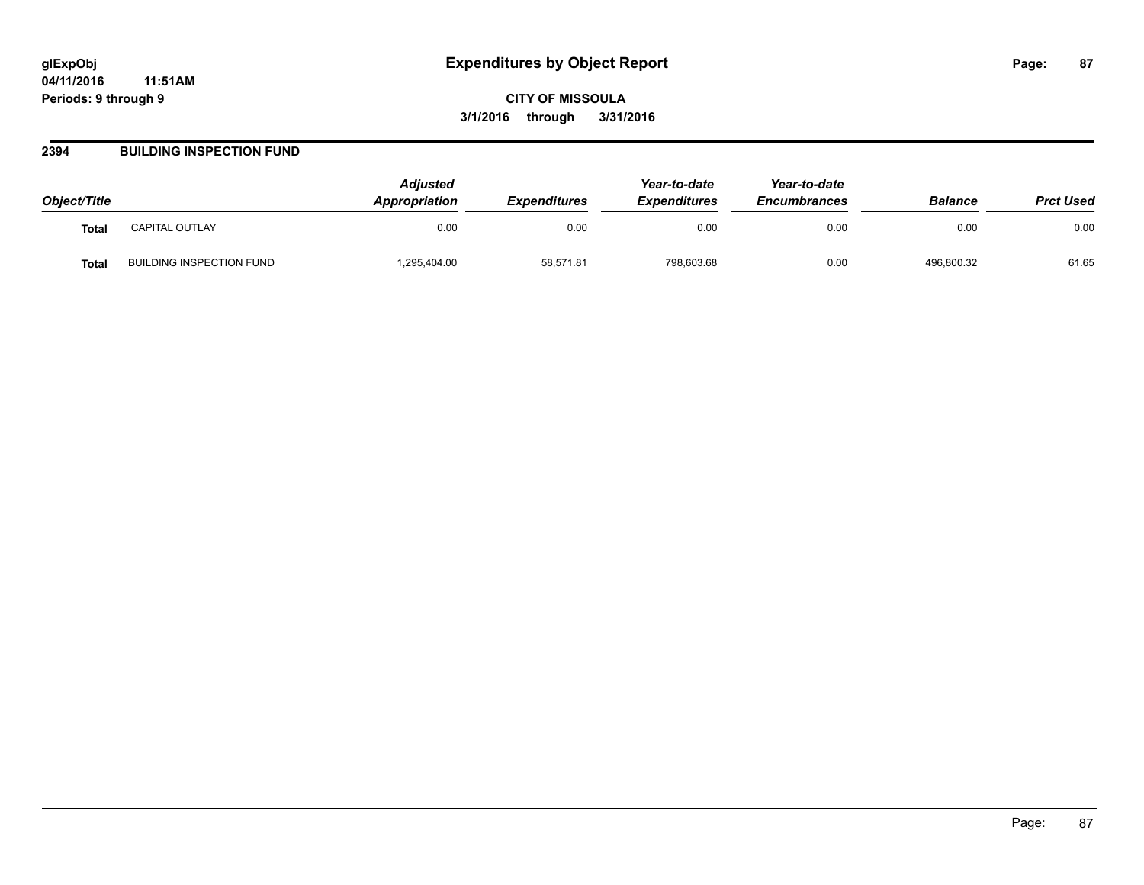### **2394 BUILDING INSPECTION FUND**

| Object/Title |                          | <b>Adjusted</b><br><b>Appropriation</b> | <b>Expenditures</b> | Year-to-date<br><b>Expenditures</b> | Year-to-date<br><b>Encumbrances</b> | <b>Balance</b> | <b>Prct Used</b> |
|--------------|--------------------------|-----------------------------------------|---------------------|-------------------------------------|-------------------------------------|----------------|------------------|
| <b>Total</b> | <b>CAPITAL OUTLAY</b>    | 0.00                                    | 0.00                | 0.00                                | 0.00                                | 0.00           | 0.00             |
| Total        | BUILDING INSPECTION FUND | .295,404.00                             | 58,571.81           | 798,603.68                          | 0.00                                | 496,800.32     | 61.65            |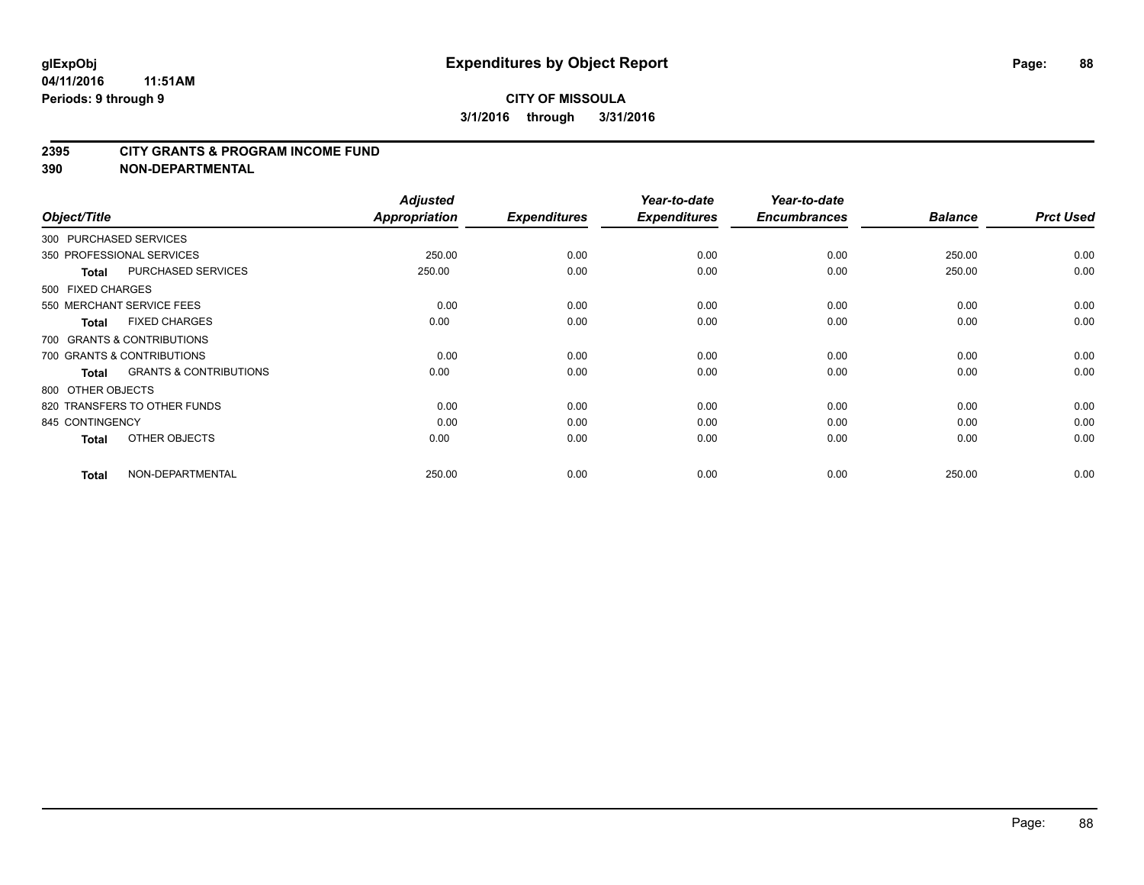#### **2395 CITY GRANTS & PROGRAM INCOME FUND**

**390 NON-DEPARTMENTAL**

| Object/Title               |                                   | <b>Adjusted</b><br>Appropriation | <b>Expenditures</b> | Year-to-date<br><b>Expenditures</b> | Year-to-date<br><b>Encumbrances</b> | <b>Balance</b> | <b>Prct Used</b> |
|----------------------------|-----------------------------------|----------------------------------|---------------------|-------------------------------------|-------------------------------------|----------------|------------------|
| 300 PURCHASED SERVICES     |                                   |                                  |                     |                                     |                                     |                |                  |
| 350 PROFESSIONAL SERVICES  |                                   | 250.00                           | 0.00                | 0.00                                | 0.00                                | 250.00         | 0.00             |
| <b>Total</b>               | PURCHASED SERVICES                | 250.00                           | 0.00                | 0.00                                | 0.00                                | 250.00         | 0.00             |
| 500 FIXED CHARGES          |                                   |                                  |                     |                                     |                                     |                |                  |
| 550 MERCHANT SERVICE FEES  |                                   | 0.00                             | 0.00                | 0.00                                | 0.00                                | 0.00           | 0.00             |
| <b>Total</b>               | <b>FIXED CHARGES</b>              | 0.00                             | 0.00                | 0.00                                | 0.00                                | 0.00           | 0.00             |
| 700 GRANTS & CONTRIBUTIONS |                                   |                                  |                     |                                     |                                     |                |                  |
| 700 GRANTS & CONTRIBUTIONS |                                   | 0.00                             | 0.00                | 0.00                                | 0.00                                | 0.00           | 0.00             |
| <b>Total</b>               | <b>GRANTS &amp; CONTRIBUTIONS</b> | 0.00                             | 0.00                | 0.00                                | 0.00                                | 0.00           | 0.00             |
| 800 OTHER OBJECTS          |                                   |                                  |                     |                                     |                                     |                |                  |
|                            | 820 TRANSFERS TO OTHER FUNDS      | 0.00                             | 0.00                | 0.00                                | 0.00                                | 0.00           | 0.00             |
| 845 CONTINGENCY            |                                   | 0.00                             | 0.00                | 0.00                                | 0.00                                | 0.00           | 0.00             |
| <b>Total</b>               | OTHER OBJECTS                     | 0.00                             | 0.00                | 0.00                                | 0.00                                | 0.00           | 0.00             |
| <b>Total</b>               | NON-DEPARTMENTAL                  | 250.00                           | 0.00                | 0.00                                | 0.00                                | 250.00         | 0.00             |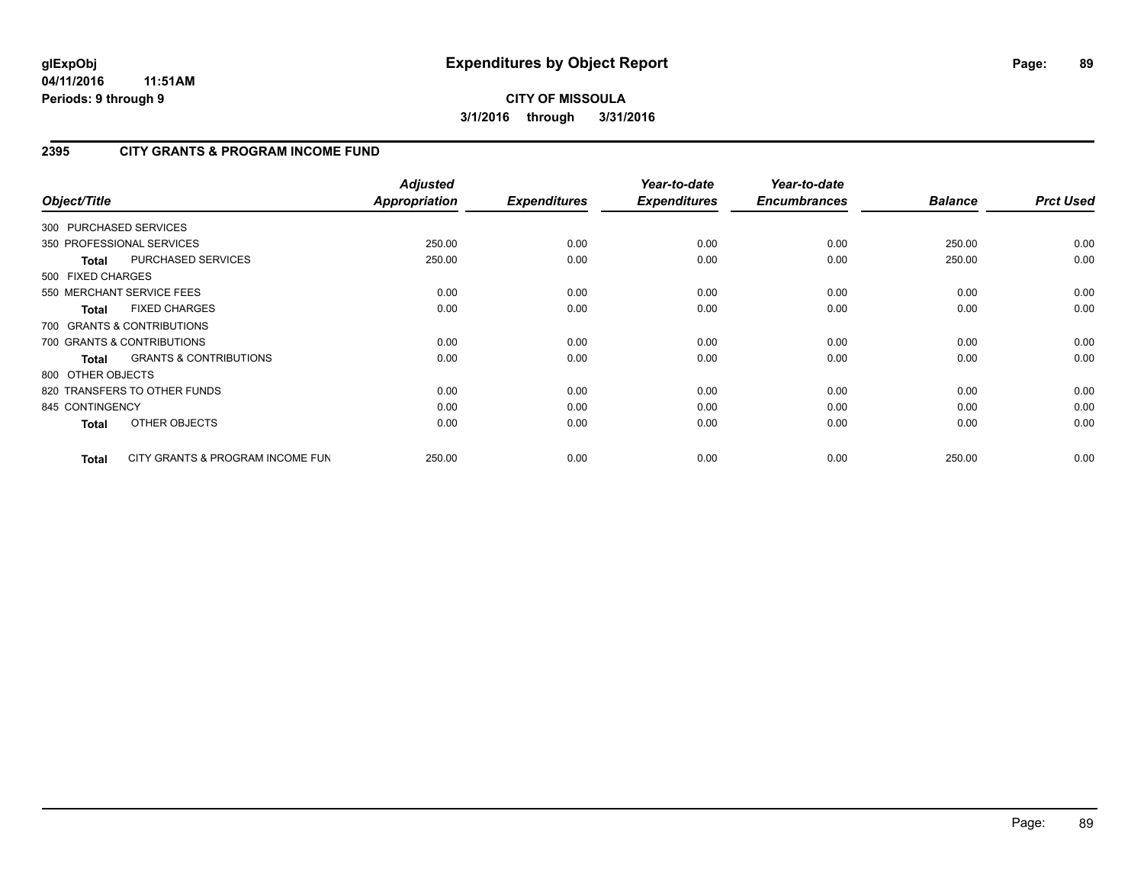# **2395 CITY GRANTS & PROGRAM INCOME FUND**

| Object/Title           |                                   | <b>Adjusted</b><br>Appropriation | <b>Expenditures</b> | Year-to-date<br><b>Expenditures</b> | Year-to-date<br><b>Encumbrances</b> | <b>Balance</b> | <b>Prct Used</b> |
|------------------------|-----------------------------------|----------------------------------|---------------------|-------------------------------------|-------------------------------------|----------------|------------------|
| 300 PURCHASED SERVICES |                                   |                                  |                     |                                     |                                     |                |                  |
|                        | 350 PROFESSIONAL SERVICES         | 250.00                           | 0.00                | 0.00                                | 0.00                                | 250.00         | 0.00             |
| <b>Total</b>           | PURCHASED SERVICES                | 250.00                           | 0.00                | 0.00                                | 0.00                                | 250.00         | 0.00             |
| 500 FIXED CHARGES      |                                   |                                  |                     |                                     |                                     |                |                  |
|                        | 550 MERCHANT SERVICE FEES         | 0.00                             | 0.00                | 0.00                                | 0.00                                | 0.00           | 0.00             |
| <b>Total</b>           | <b>FIXED CHARGES</b>              | 0.00                             | 0.00                | 0.00                                | 0.00                                | 0.00           | 0.00             |
|                        | 700 GRANTS & CONTRIBUTIONS        |                                  |                     |                                     |                                     |                |                  |
|                        | 700 GRANTS & CONTRIBUTIONS        | 0.00                             | 0.00                | 0.00                                | 0.00                                | 0.00           | 0.00             |
| <b>Total</b>           | <b>GRANTS &amp; CONTRIBUTIONS</b> | 0.00                             | 0.00                | 0.00                                | 0.00                                | 0.00           | 0.00             |
| 800 OTHER OBJECTS      |                                   |                                  |                     |                                     |                                     |                |                  |
|                        | 820 TRANSFERS TO OTHER FUNDS      | 0.00                             | 0.00                | 0.00                                | 0.00                                | 0.00           | 0.00             |
| 845 CONTINGENCY        |                                   | 0.00                             | 0.00                | 0.00                                | 0.00                                | 0.00           | 0.00             |
| <b>Total</b>           | OTHER OBJECTS                     | 0.00                             | 0.00                | 0.00                                | 0.00                                | 0.00           | 0.00             |
| <b>Total</b>           | CITY GRANTS & PROGRAM INCOME FUN  | 250.00                           | 0.00                | 0.00                                | 0.00                                | 250.00         | 0.00             |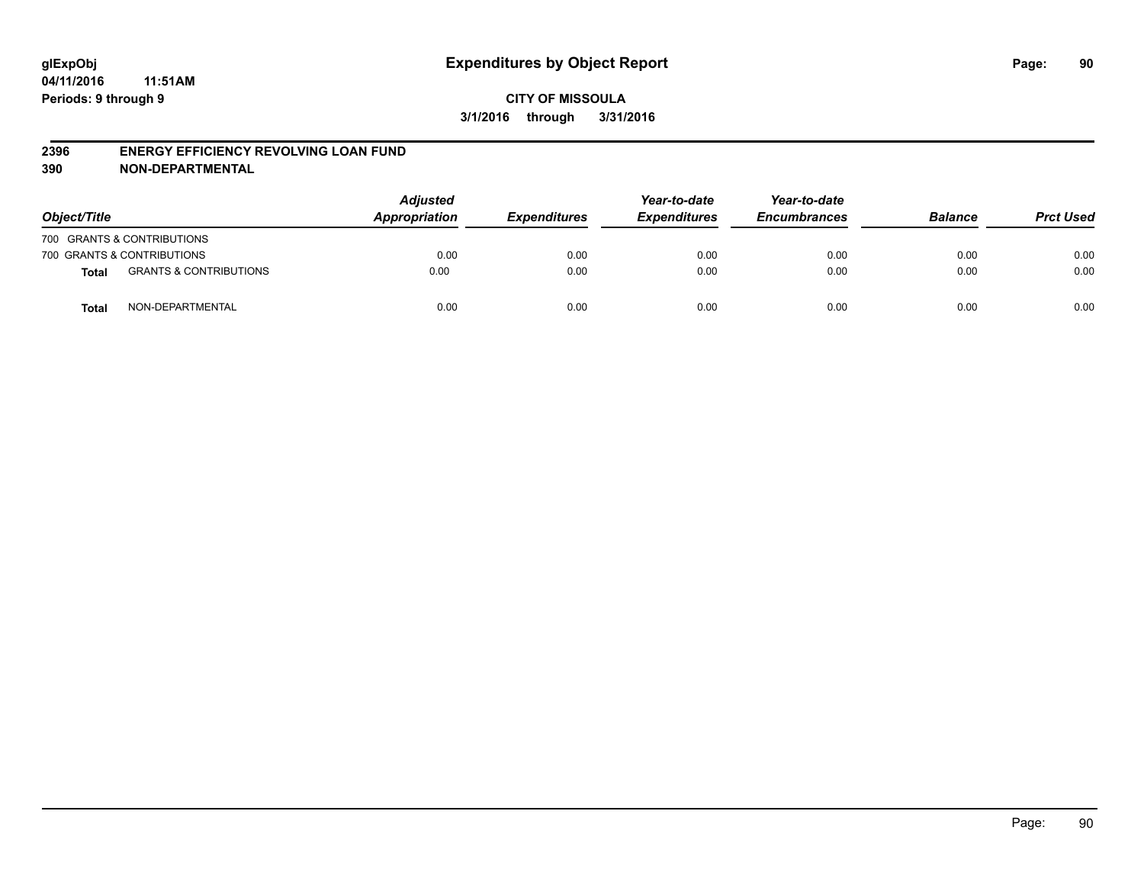#### **2396 ENERGY EFFICIENCY REVOLVING LOAN FUND**

**390 NON-DEPARTMENTAL**

| Object/Title |                                   | <b>Adjusted</b><br>Appropriation | <b>Expenditures</b> | Year-to-date<br><b>Expenditures</b> | Year-to-date<br><b>Encumbrances</b> | <b>Balance</b> | <b>Prct Used</b> |
|--------------|-----------------------------------|----------------------------------|---------------------|-------------------------------------|-------------------------------------|----------------|------------------|
|              | 700 GRANTS & CONTRIBUTIONS        |                                  |                     |                                     |                                     |                |                  |
|              | 700 GRANTS & CONTRIBUTIONS        | 0.00                             | 0.00                | 0.00                                | 0.00                                | 0.00           | 0.00             |
| <b>Total</b> | <b>GRANTS &amp; CONTRIBUTIONS</b> | 0.00                             | 0.00                | 0.00                                | 0.00                                | 0.00           | 0.00             |
| <b>Total</b> | NON-DEPARTMENTAL                  | 0.00                             | 0.00                | 0.00                                | 0.00                                | 0.00           | 0.00             |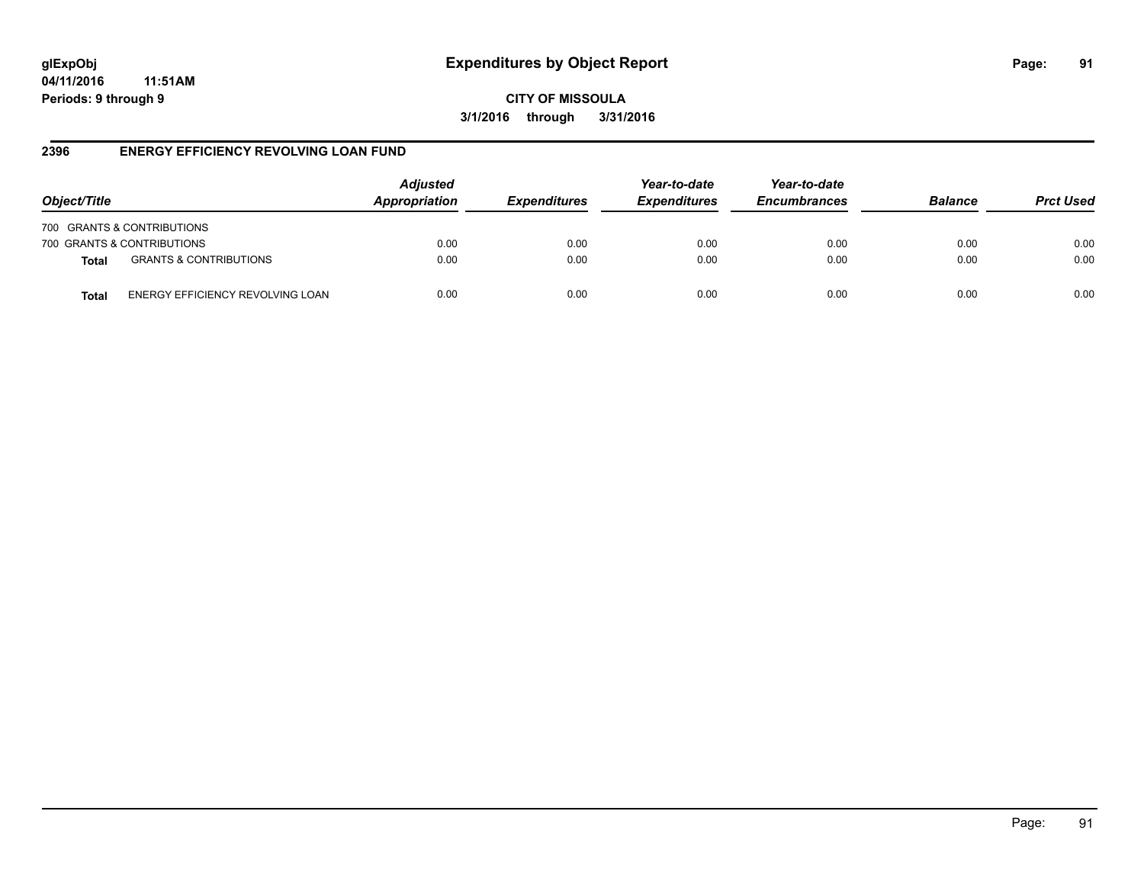# **glExpObj Expenditures by Object Report Page: 91**

**04/11/2016 11:51AM Periods: 9 through 9**

**CITY OF MISSOULA 3/1/2016 through 3/31/2016**

### **2396 ENERGY EFFICIENCY REVOLVING LOAN FUND**

| Object/Title               |                                   | <b>Adjusted</b><br>Appropriation | <b>Expenditures</b> | Year-to-date<br><b>Expenditures</b> | Year-to-date<br><b>Encumbrances</b> | <b>Balance</b> | <b>Prct Used</b> |
|----------------------------|-----------------------------------|----------------------------------|---------------------|-------------------------------------|-------------------------------------|----------------|------------------|
| 700 GRANTS & CONTRIBUTIONS |                                   |                                  |                     |                                     |                                     |                |                  |
| 700 GRANTS & CONTRIBUTIONS |                                   | 0.00                             | 0.00                | 0.00                                | 0.00                                | 0.00           | 0.00             |
| <b>Total</b>               | <b>GRANTS &amp; CONTRIBUTIONS</b> | 0.00                             | 0.00                | 0.00                                | 0.00                                | 0.00           | 0.00             |
| Total                      | ENERGY EFFICIENCY REVOLVING LOAN  | 0.00                             | 0.00                | 0.00                                | 0.00                                | 0.00           | 0.00             |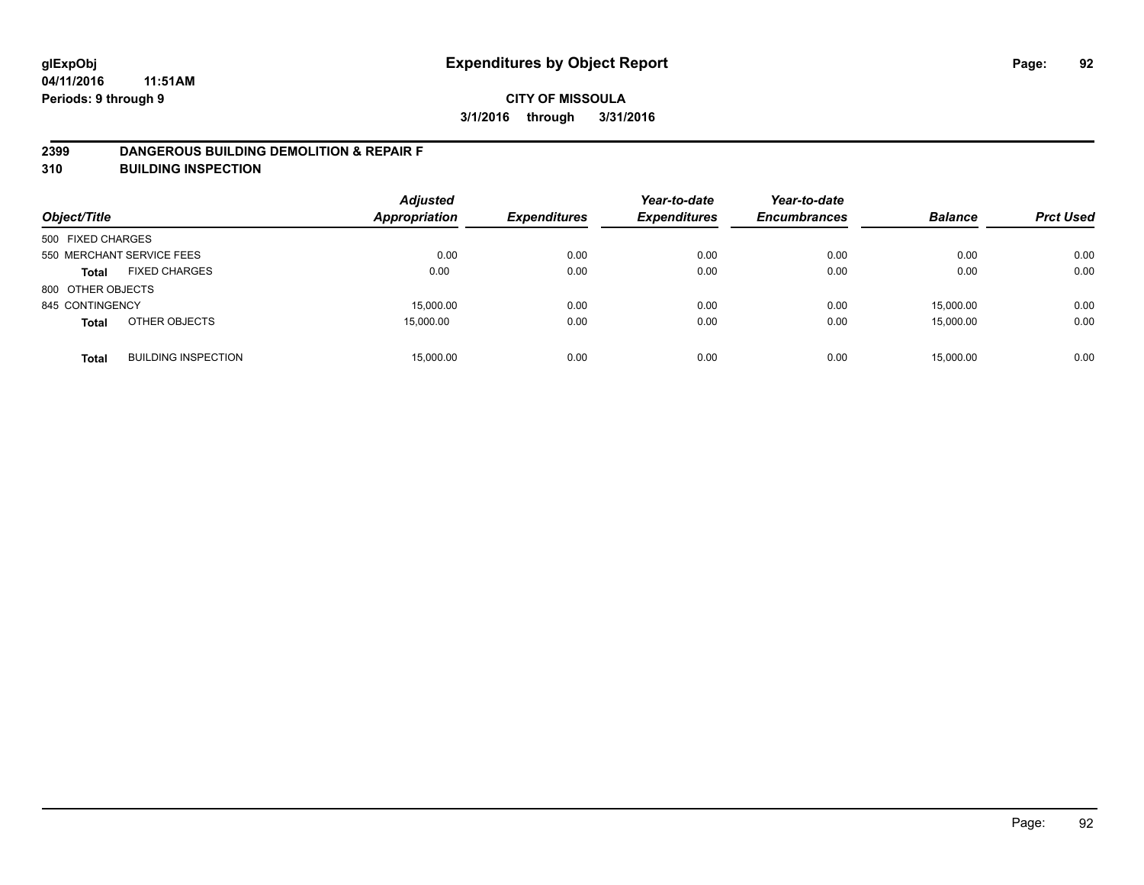### **2399 DANGEROUS BUILDING DEMOLITION & REPAIR F**

**310 BUILDING INSPECTION**

| Object/Title      |                            | <b>Adjusted</b><br><b>Appropriation</b> | <b>Expenditures</b> | Year-to-date<br><b>Expenditures</b> | Year-to-date<br><b>Encumbrances</b> | <b>Balance</b> | <b>Prct Used</b> |
|-------------------|----------------------------|-----------------------------------------|---------------------|-------------------------------------|-------------------------------------|----------------|------------------|
| 500 FIXED CHARGES |                            |                                         |                     |                                     |                                     |                |                  |
|                   | 550 MERCHANT SERVICE FEES  | 0.00                                    | 0.00                | 0.00                                | 0.00                                | 0.00           | 0.00             |
| <b>Total</b>      | <b>FIXED CHARGES</b>       | 0.00                                    | 0.00                | 0.00                                | 0.00                                | 0.00           | 0.00             |
| 800 OTHER OBJECTS |                            |                                         |                     |                                     |                                     |                |                  |
| 845 CONTINGENCY   |                            | 15,000.00                               | 0.00                | 0.00                                | 0.00                                | 15,000.00      | 0.00             |
| <b>Total</b>      | OTHER OBJECTS              | 15,000.00                               | 0.00                | 0.00                                | 0.00                                | 15,000.00      | 0.00             |
| <b>Total</b>      | <b>BUILDING INSPECTION</b> | 15,000.00                               | 0.00                | 0.00                                | 0.00                                | 15.000.00      | 0.00             |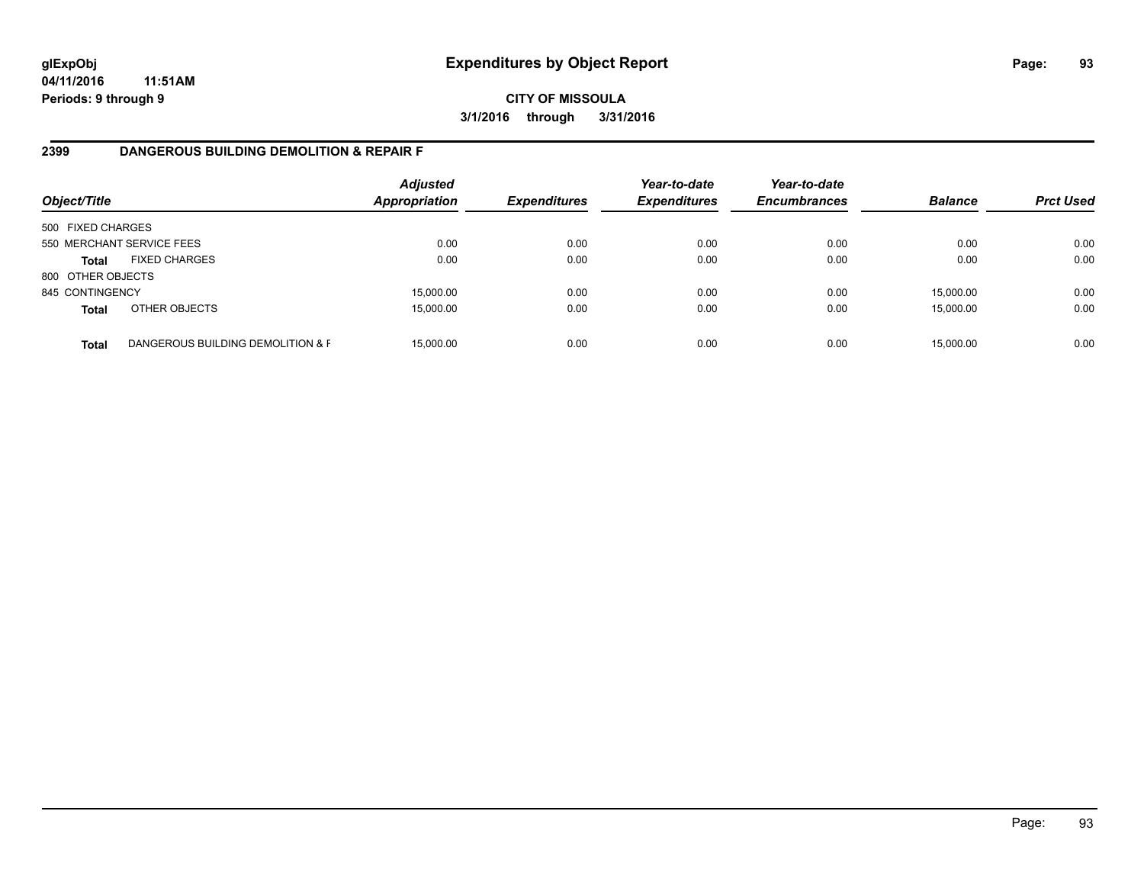# **CITY OF MISSOULA 3/1/2016 through 3/31/2016**

## **2399 DANGEROUS BUILDING DEMOLITION & REPAIR F**

| Object/Title      |                                   | <b>Adjusted</b><br>Appropriation | <b>Expenditures</b> | Year-to-date<br><b>Expenditures</b> | Year-to-date<br><b>Encumbrances</b> | <b>Balance</b> | <b>Prct Used</b> |
|-------------------|-----------------------------------|----------------------------------|---------------------|-------------------------------------|-------------------------------------|----------------|------------------|
| 500 FIXED CHARGES |                                   |                                  |                     |                                     |                                     |                |                  |
|                   | 550 MERCHANT SERVICE FEES         | 0.00                             | 0.00                | 0.00                                | 0.00                                | 0.00           | 0.00             |
| <b>Total</b>      | <b>FIXED CHARGES</b>              | 0.00                             | 0.00                | 0.00                                | 0.00                                | 0.00           | 0.00             |
| 800 OTHER OBJECTS |                                   |                                  |                     |                                     |                                     |                |                  |
| 845 CONTINGENCY   |                                   | 15,000.00                        | 0.00                | 0.00                                | 0.00                                | 15,000.00      | 0.00             |
| <b>Total</b>      | OTHER OBJECTS                     | 15,000.00                        | 0.00                | 0.00                                | 0.00                                | 15,000.00      | 0.00             |
| <b>Total</b>      | DANGEROUS BUILDING DEMOLITION & F | 15.000.00                        | 0.00                | 0.00                                | 0.00                                | 15,000.00      | 0.00             |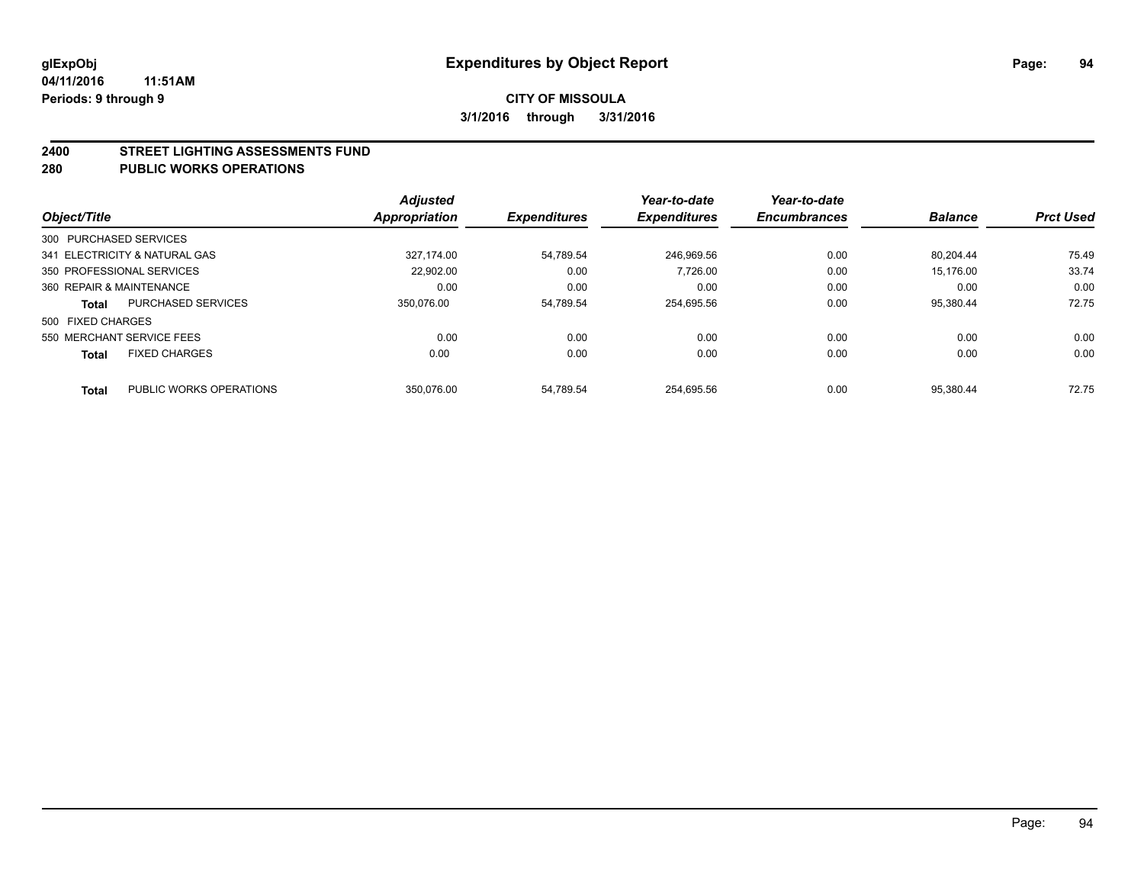#### **2400 STREET LIGHTING ASSESSMENTS FUND**

#### **280 PUBLIC WORKS OPERATIONS**

| Object/Title             |                               | <b>Adjusted</b><br><b>Appropriation</b> | <b>Expenditures</b> | Year-to-date<br><b>Expenditures</b> | Year-to-date<br><b>Encumbrances</b> | <b>Balance</b> | <b>Prct Used</b> |
|--------------------------|-------------------------------|-----------------------------------------|---------------------|-------------------------------------|-------------------------------------|----------------|------------------|
|                          |                               |                                         |                     |                                     |                                     |                |                  |
| 300 PURCHASED SERVICES   |                               |                                         |                     |                                     |                                     |                |                  |
|                          | 341 ELECTRICITY & NATURAL GAS | 327.174.00                              | 54.789.54           | 246.969.56                          | 0.00                                | 80.204.44      | 75.49            |
|                          | 350 PROFESSIONAL SERVICES     | 22,902.00                               | 0.00                | 7,726.00                            | 0.00                                | 15.176.00      | 33.74            |
| 360 REPAIR & MAINTENANCE |                               | 0.00                                    | 0.00                | 0.00                                | 0.00                                | 0.00           | 0.00             |
| <b>Total</b>             | <b>PURCHASED SERVICES</b>     | 350.076.00                              | 54.789.54           | 254.695.56                          | 0.00                                | 95.380.44      | 72.75            |
| 500 FIXED CHARGES        |                               |                                         |                     |                                     |                                     |                |                  |
|                          | 550 MERCHANT SERVICE FEES     | 0.00                                    | 0.00                | 0.00                                | 0.00                                | 0.00           | 0.00             |
| <b>Total</b>             | <b>FIXED CHARGES</b>          | 0.00                                    | 0.00                | 0.00                                | 0.00                                | 0.00           | 0.00             |
| Total                    | PUBLIC WORKS OPERATIONS       | 350.076.00                              | 54.789.54           | 254.695.56                          | 0.00                                | 95.380.44      | 72.75            |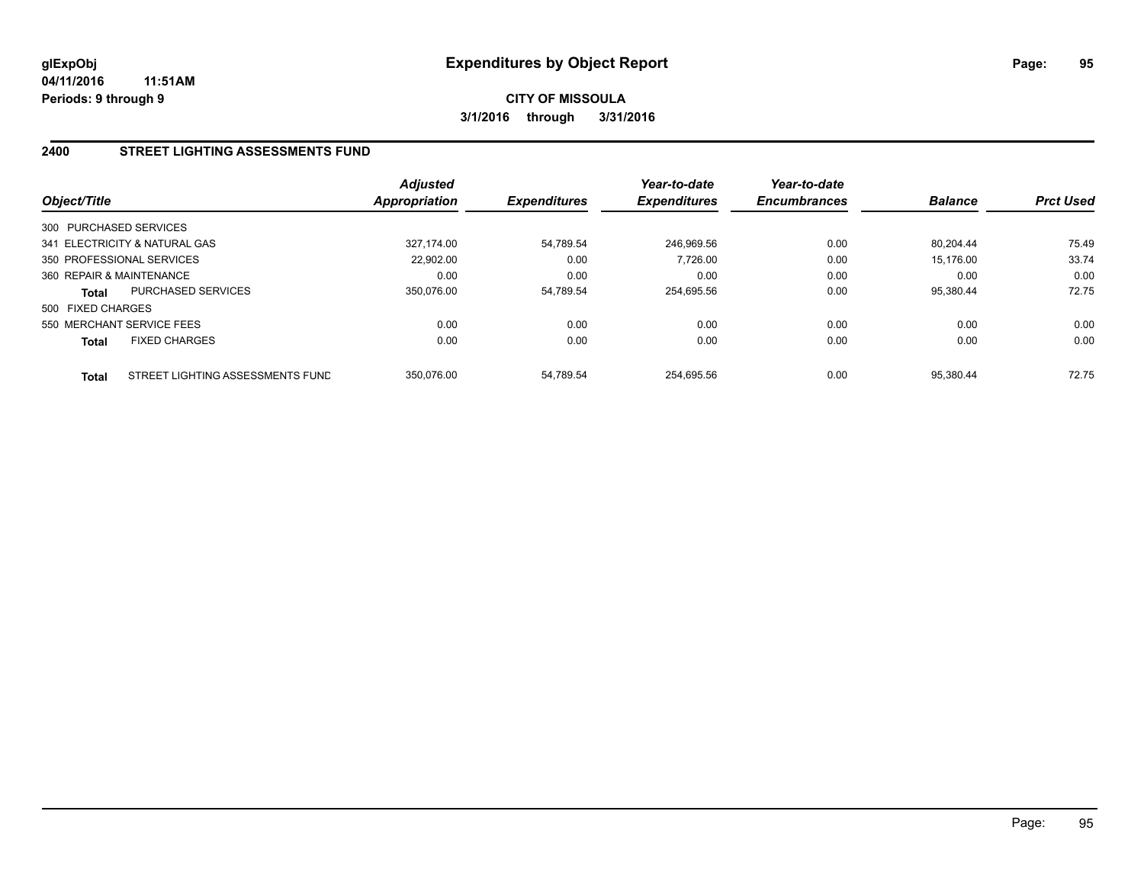## **2400 STREET LIGHTING ASSESSMENTS FUND**

| Object/Title             |                                  | <b>Adjusted</b><br><b>Appropriation</b> | <b>Expenditures</b> | Year-to-date<br><b>Expenditures</b> | Year-to-date<br><b>Encumbrances</b> | <b>Balance</b> | <b>Prct Used</b> |
|--------------------------|----------------------------------|-----------------------------------------|---------------------|-------------------------------------|-------------------------------------|----------------|------------------|
| 300 PURCHASED SERVICES   |                                  |                                         |                     |                                     |                                     |                |                  |
|                          | 341 ELECTRICITY & NATURAL GAS    | 327.174.00                              | 54,789.54           | 246.969.56                          | 0.00                                | 80.204.44      | 75.49            |
|                          | 350 PROFESSIONAL SERVICES        | 22.902.00                               | 0.00                | 7.726.00                            | 0.00                                | 15.176.00      | 33.74            |
| 360 REPAIR & MAINTENANCE |                                  | 0.00                                    | 0.00                | 0.00                                | 0.00                                | 0.00           | 0.00             |
| Total                    | <b>PURCHASED SERVICES</b>        | 350.076.00                              | 54,789.54           | 254,695.56                          | 0.00                                | 95,380.44      | 72.75            |
| 500 FIXED CHARGES        |                                  |                                         |                     |                                     |                                     |                |                  |
|                          | 550 MERCHANT SERVICE FEES        | 0.00                                    | 0.00                | 0.00                                | 0.00                                | 0.00           | 0.00             |
| <b>Total</b>             | <b>FIXED CHARGES</b>             | 0.00                                    | 0.00                | 0.00                                | 0.00                                | 0.00           | 0.00             |
| Total                    | STREET LIGHTING ASSESSMENTS FUND | 350.076.00                              | 54.789.54           | 254.695.56                          | 0.00                                | 95.380.44      | 72.75            |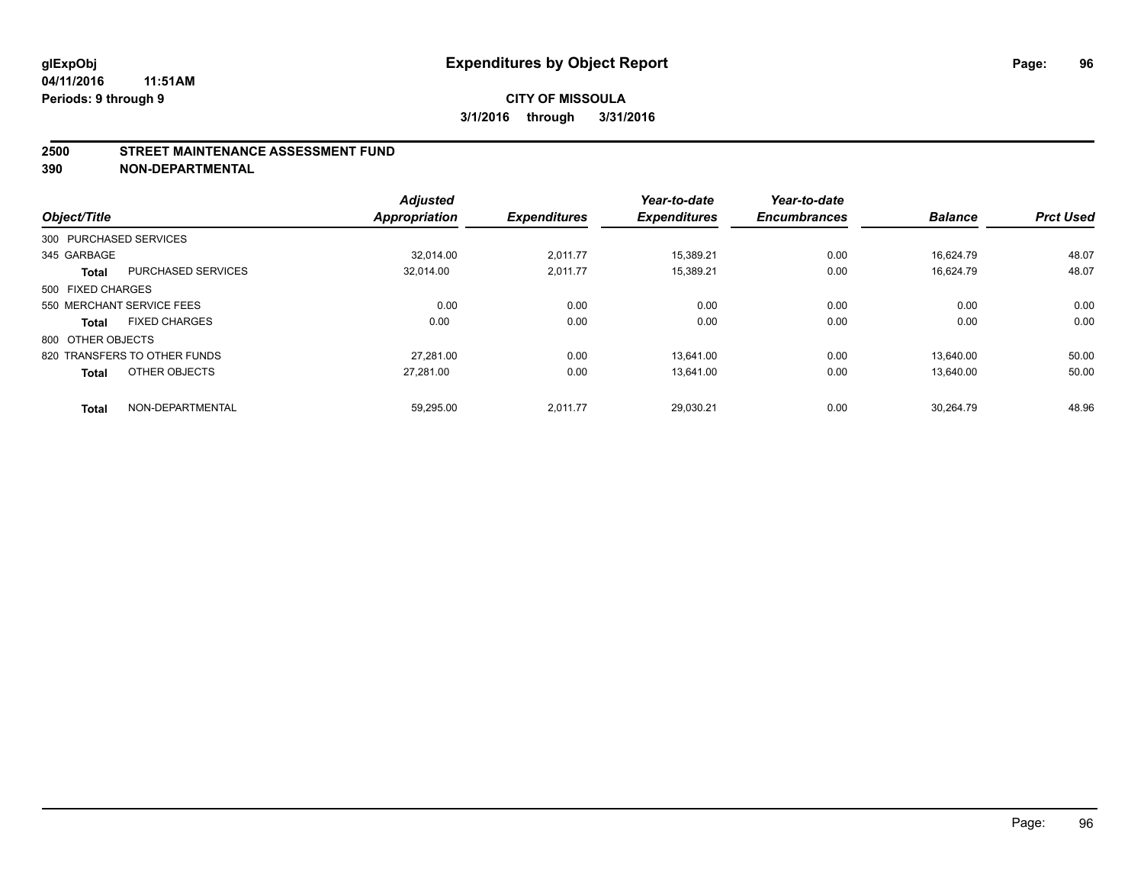#### **2500 STREET MAINTENANCE ASSESSMENT FUND**

**390 NON-DEPARTMENTAL**

| Object/Title           |                              | <b>Adjusted</b><br>Appropriation | <b>Expenditures</b> | Year-to-date<br><b>Expenditures</b> | Year-to-date<br><b>Encumbrances</b> | <b>Balance</b> | <b>Prct Used</b> |
|------------------------|------------------------------|----------------------------------|---------------------|-------------------------------------|-------------------------------------|----------------|------------------|
|                        |                              |                                  |                     |                                     |                                     |                |                  |
| 300 PURCHASED SERVICES |                              |                                  |                     |                                     |                                     |                |                  |
| 345 GARBAGE            |                              | 32.014.00                        | 2,011.77            | 15,389.21                           | 0.00                                | 16,624.79      | 48.07            |
| <b>Total</b>           | <b>PURCHASED SERVICES</b>    | 32.014.00                        | 2.011.77            | 15.389.21                           | 0.00                                | 16.624.79      | 48.07            |
| 500 FIXED CHARGES      |                              |                                  |                     |                                     |                                     |                |                  |
|                        | 550 MERCHANT SERVICE FEES    | 0.00                             | 0.00                | 0.00                                | 0.00                                | 0.00           | 0.00             |
| <b>Total</b>           | <b>FIXED CHARGES</b>         | 0.00                             | 0.00                | 0.00                                | 0.00                                | 0.00           | 0.00             |
| 800 OTHER OBJECTS      |                              |                                  |                     |                                     |                                     |                |                  |
|                        | 820 TRANSFERS TO OTHER FUNDS | 27.281.00                        | 0.00                | 13.641.00                           | 0.00                                | 13.640.00      | 50.00            |
| <b>Total</b>           | OTHER OBJECTS                | 27,281.00                        | 0.00                | 13,641.00                           | 0.00                                | 13,640.00      | 50.00            |
|                        |                              |                                  |                     |                                     |                                     |                |                  |
| <b>Total</b>           | NON-DEPARTMENTAL             | 59,295.00                        | 2,011.77            | 29,030.21                           | 0.00                                | 30.264.79      | 48.96            |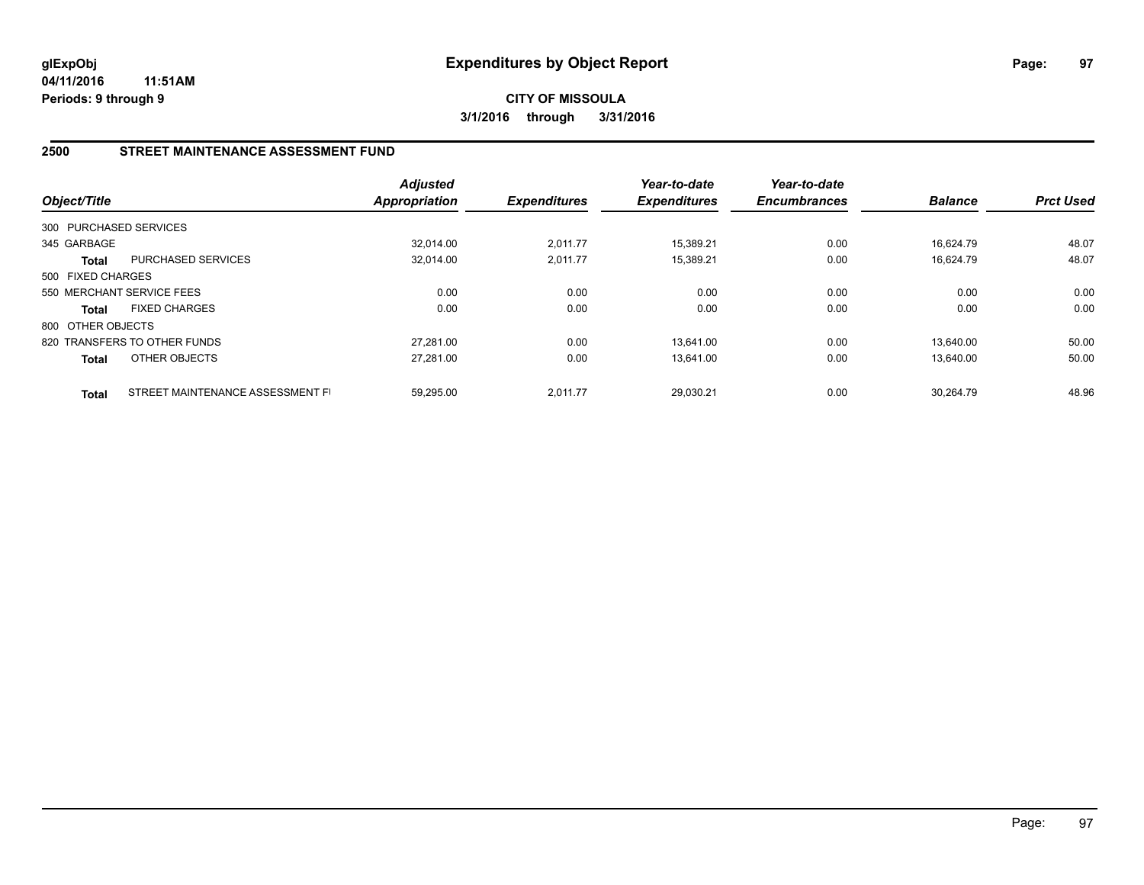## **2500 STREET MAINTENANCE ASSESSMENT FUND**

| Object/Title           |                                  | <b>Adjusted</b><br><b>Appropriation</b> | <b>Expenditures</b> | Year-to-date<br><b>Expenditures</b> | Year-to-date<br><b>Encumbrances</b> | <b>Balance</b> | <b>Prct Used</b> |
|------------------------|----------------------------------|-----------------------------------------|---------------------|-------------------------------------|-------------------------------------|----------------|------------------|
| 300 PURCHASED SERVICES |                                  |                                         |                     |                                     |                                     |                |                  |
| 345 GARBAGE            |                                  | 32.014.00                               | 2,011.77            | 15,389.21                           | 0.00                                | 16.624.79      | 48.07            |
| <b>Total</b>           | <b>PURCHASED SERVICES</b>        | 32,014.00                               | 2,011.77            | 15,389.21                           | 0.00                                | 16.624.79      | 48.07            |
| 500 FIXED CHARGES      |                                  |                                         |                     |                                     |                                     |                |                  |
|                        | 550 MERCHANT SERVICE FEES        | 0.00                                    | 0.00                | 0.00                                | 0.00                                | 0.00           | 0.00             |
| <b>Total</b>           | <b>FIXED CHARGES</b>             | 0.00                                    | 0.00                | 0.00                                | 0.00                                | 0.00           | 0.00             |
| 800 OTHER OBJECTS      |                                  |                                         |                     |                                     |                                     |                |                  |
|                        | 820 TRANSFERS TO OTHER FUNDS     | 27.281.00                               | 0.00                | 13.641.00                           | 0.00                                | 13.640.00      | 50.00            |
| <b>Total</b>           | OTHER OBJECTS                    | 27,281.00                               | 0.00                | 13,641.00                           | 0.00                                | 13,640.00      | 50.00            |
| <b>Total</b>           | STREET MAINTENANCE ASSESSMENT FI | 59.295.00                               | 2.011.77            | 29.030.21                           | 0.00                                | 30.264.79      | 48.96            |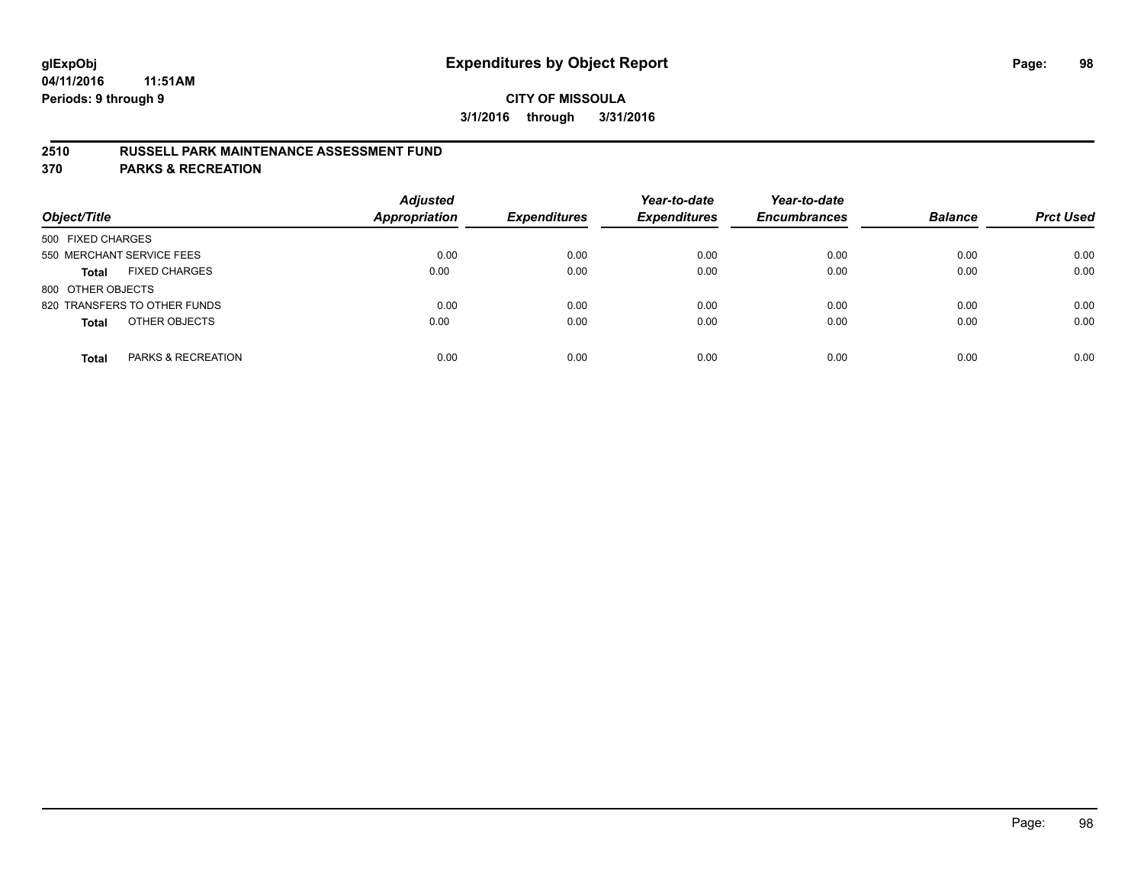## **2510 RUSSELL PARK MAINTENANCE ASSESSMENT FUND**

**370 PARKS & RECREATION**

| Object/Title                         | <b>Adjusted</b><br>Appropriation | <b>Expenditures</b> | Year-to-date<br><b>Expenditures</b> | Year-to-date<br><b>Encumbrances</b> | <b>Balance</b> | <b>Prct Used</b> |
|--------------------------------------|----------------------------------|---------------------|-------------------------------------|-------------------------------------|----------------|------------------|
| 500 FIXED CHARGES                    |                                  |                     |                                     |                                     |                |                  |
| 550 MERCHANT SERVICE FEES            | 0.00                             | 0.00                | 0.00                                | 0.00                                | 0.00           | 0.00             |
| <b>FIXED CHARGES</b><br><b>Total</b> | 0.00                             | 0.00                | 0.00                                | 0.00                                | 0.00           | 0.00             |
| 800 OTHER OBJECTS                    |                                  |                     |                                     |                                     |                |                  |
| 820 TRANSFERS TO OTHER FUNDS         | 0.00                             | 0.00                | 0.00                                | 0.00                                | 0.00           | 0.00             |
| OTHER OBJECTS<br><b>Total</b>        | 0.00                             | 0.00                | 0.00                                | 0.00                                | 0.00           | 0.00             |
| PARKS & RECREATION<br><b>Total</b>   | 0.00                             | 0.00                | 0.00                                | 0.00                                | 0.00           | 0.00             |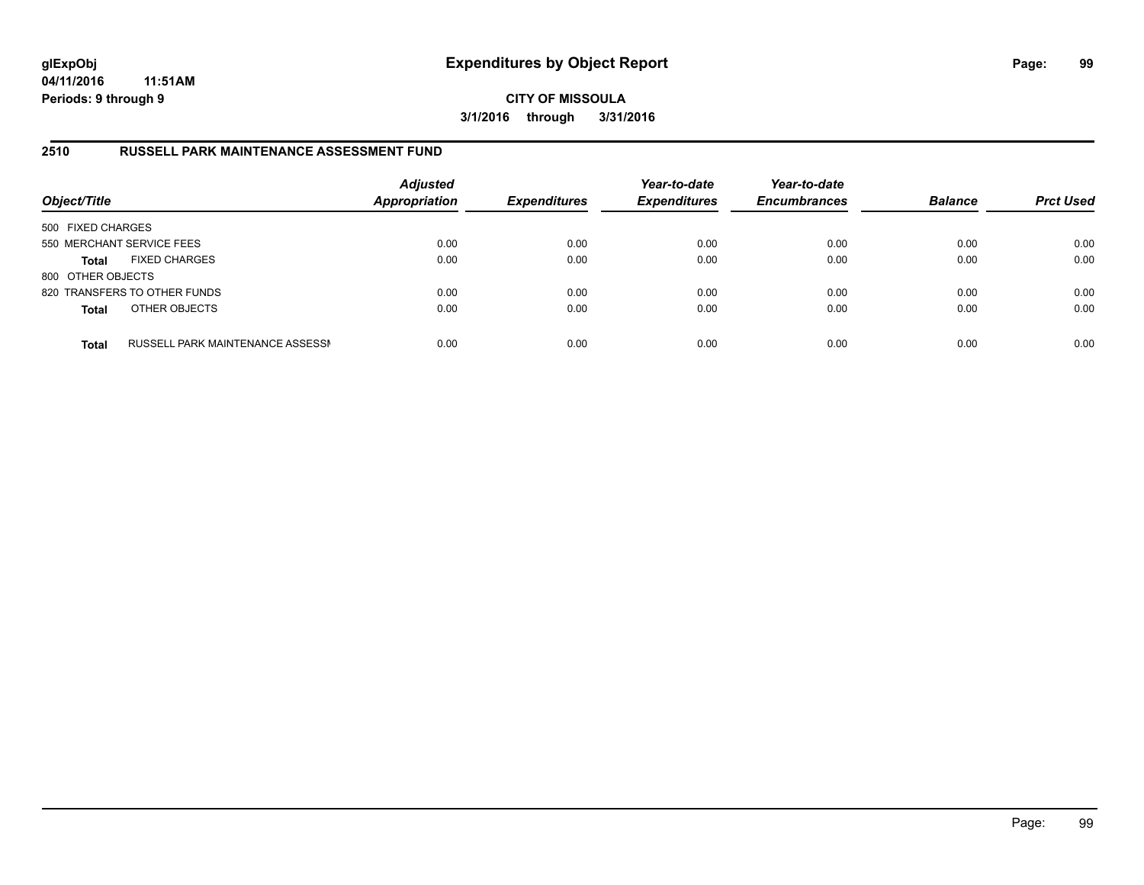**CITY OF MISSOULA 3/1/2016 through 3/31/2016**

### **2510 RUSSELL PARK MAINTENANCE ASSESSMENT FUND**

| Object/Title              |                                  | <b>Adjusted</b><br><b>Appropriation</b> | <b>Expenditures</b> | Year-to-date<br><b>Expenditures</b> | Year-to-date<br><b>Encumbrances</b> | <b>Balance</b> | <b>Prct Used</b> |
|---------------------------|----------------------------------|-----------------------------------------|---------------------|-------------------------------------|-------------------------------------|----------------|------------------|
| 500 FIXED CHARGES         |                                  |                                         |                     |                                     |                                     |                |                  |
| 550 MERCHANT SERVICE FEES |                                  | 0.00                                    | 0.00                | 0.00                                | 0.00                                | 0.00           | 0.00             |
| <b>Total</b>              | <b>FIXED CHARGES</b>             | 0.00                                    | 0.00                | 0.00                                | 0.00                                | 0.00           | 0.00             |
| 800 OTHER OBJECTS         |                                  |                                         |                     |                                     |                                     |                |                  |
|                           | 820 TRANSFERS TO OTHER FUNDS     | 0.00                                    | 0.00                | 0.00                                | 0.00                                | 0.00           | 0.00             |
| <b>Total</b>              | OTHER OBJECTS                    | 0.00                                    | 0.00                | 0.00                                | 0.00                                | 0.00           | 0.00             |
| <b>Total</b>              | RUSSELL PARK MAINTENANCE ASSESSN | 0.00                                    | 0.00                | 0.00                                | 0.00                                | 0.00           | 0.00             |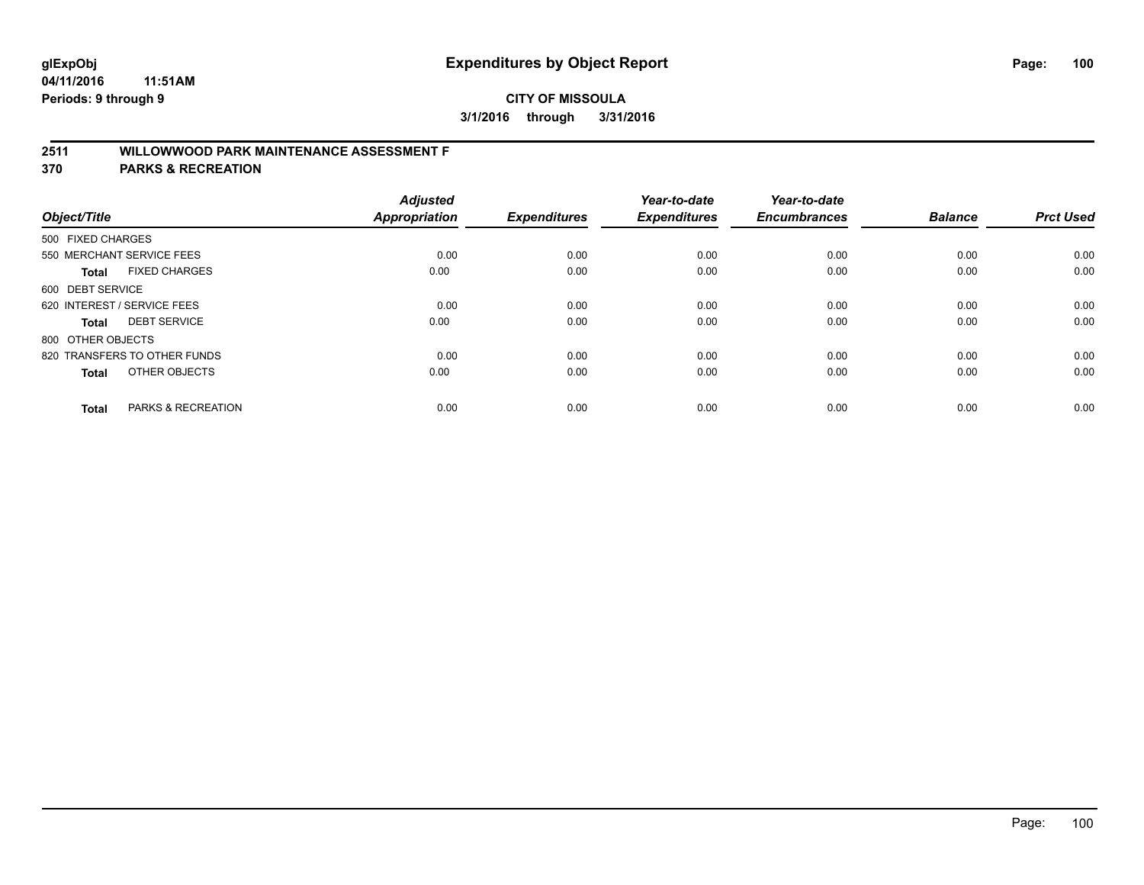# **2511 WILLOWWOOD PARK MAINTENANCE ASSESSMENT F**

**370 PARKS & RECREATION**

| Object/Title                |                               | <b>Adjusted</b><br><b>Appropriation</b> | <b>Expenditures</b> | Year-to-date<br><b>Expenditures</b> | Year-to-date<br><b>Encumbrances</b> | <b>Balance</b> | <b>Prct Used</b> |
|-----------------------------|-------------------------------|-----------------------------------------|---------------------|-------------------------------------|-------------------------------------|----------------|------------------|
| 500 FIXED CHARGES           |                               |                                         |                     |                                     |                                     |                |                  |
|                             | 550 MERCHANT SERVICE FEES     | 0.00                                    | 0.00                | 0.00                                | 0.00                                | 0.00           | 0.00             |
| <b>Total</b>                | <b>FIXED CHARGES</b>          | 0.00                                    | 0.00                | 0.00                                | 0.00                                | 0.00           | 0.00             |
| 600 DEBT SERVICE            |                               |                                         |                     |                                     |                                     |                |                  |
| 620 INTEREST / SERVICE FEES |                               | 0.00                                    | 0.00                | 0.00                                | 0.00                                | 0.00           | 0.00             |
| Total                       | <b>DEBT SERVICE</b>           | 0.00                                    | 0.00                | 0.00                                | 0.00                                | 0.00           | 0.00             |
| 800 OTHER OBJECTS           |                               |                                         |                     |                                     |                                     |                |                  |
|                             | 820 TRANSFERS TO OTHER FUNDS  | 0.00                                    | 0.00                | 0.00                                | 0.00                                | 0.00           | 0.00             |
| Total                       | OTHER OBJECTS                 | 0.00                                    | 0.00                | 0.00                                | 0.00                                | 0.00           | 0.00             |
|                             |                               |                                         |                     |                                     |                                     |                |                  |
| <b>Total</b>                | <b>PARKS &amp; RECREATION</b> | 0.00                                    | 0.00                | 0.00                                | 0.00                                | 0.00           | 0.00             |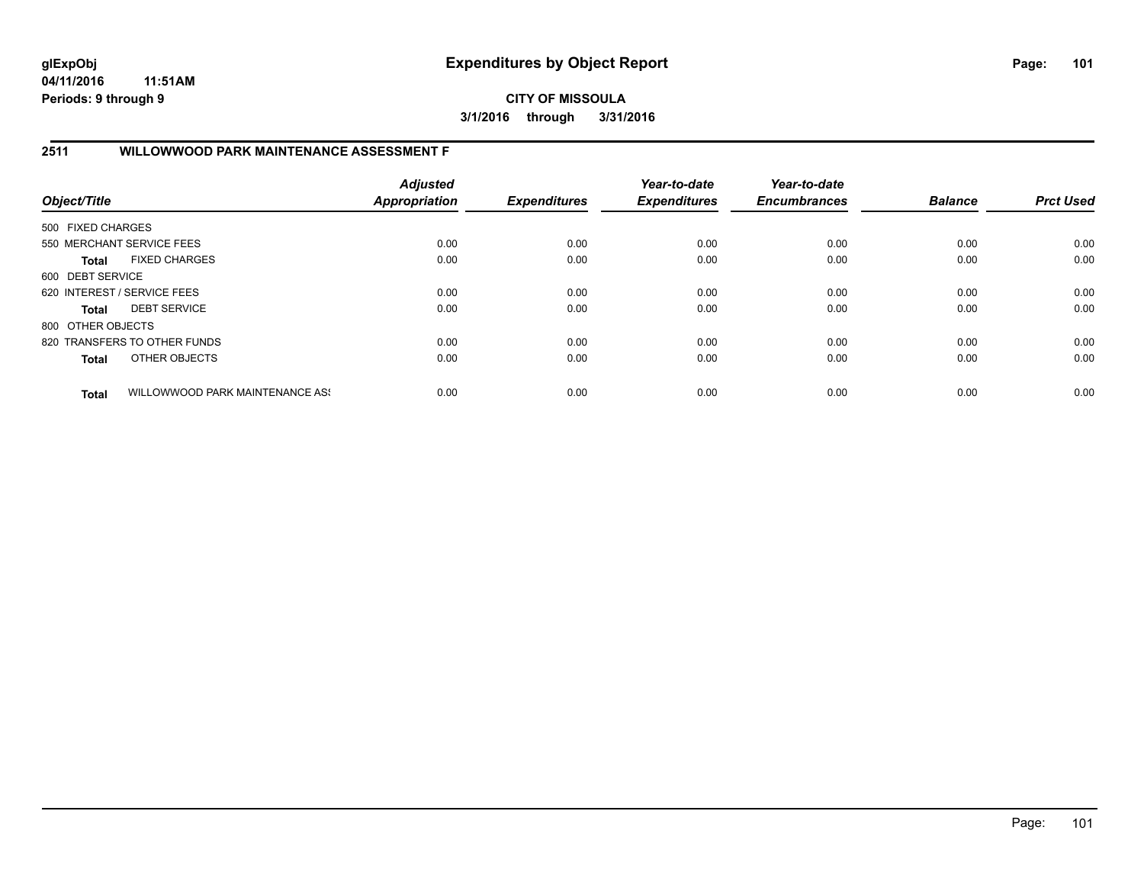**CITY OF MISSOULA 3/1/2016 through 3/31/2016**

# **2511 WILLOWWOOD PARK MAINTENANCE ASSESSMENT F**

| Object/Title                |                                 | <b>Adjusted</b><br><b>Appropriation</b> | <b>Expenditures</b> | Year-to-date<br><b>Expenditures</b> | Year-to-date<br><b>Encumbrances</b> | <b>Balance</b> | <b>Prct Used</b> |
|-----------------------------|---------------------------------|-----------------------------------------|---------------------|-------------------------------------|-------------------------------------|----------------|------------------|
| 500 FIXED CHARGES           |                                 |                                         |                     |                                     |                                     |                |                  |
|                             | 550 MERCHANT SERVICE FEES       | 0.00                                    | 0.00                | 0.00                                | 0.00                                | 0.00           | 0.00             |
| <b>Total</b>                | <b>FIXED CHARGES</b>            | 0.00                                    | 0.00                | 0.00                                | 0.00                                | 0.00           | 0.00             |
| 600 DEBT SERVICE            |                                 |                                         |                     |                                     |                                     |                |                  |
| 620 INTEREST / SERVICE FEES |                                 | 0.00                                    | 0.00                | 0.00                                | 0.00                                | 0.00           | 0.00             |
| <b>Total</b>                | <b>DEBT SERVICE</b>             | 0.00                                    | 0.00                | 0.00                                | 0.00                                | 0.00           | 0.00             |
| 800 OTHER OBJECTS           |                                 |                                         |                     |                                     |                                     |                |                  |
|                             | 820 TRANSFERS TO OTHER FUNDS    | 0.00                                    | 0.00                | 0.00                                | 0.00                                | 0.00           | 0.00             |
| <b>Total</b>                | OTHER OBJECTS                   | 0.00                                    | 0.00                | 0.00                                | 0.00                                | 0.00           | 0.00             |
| <b>Total</b>                | WILLOWWOOD PARK MAINTENANCE ASS | 0.00                                    | 0.00                | 0.00                                | 0.00                                | 0.00           | 0.00             |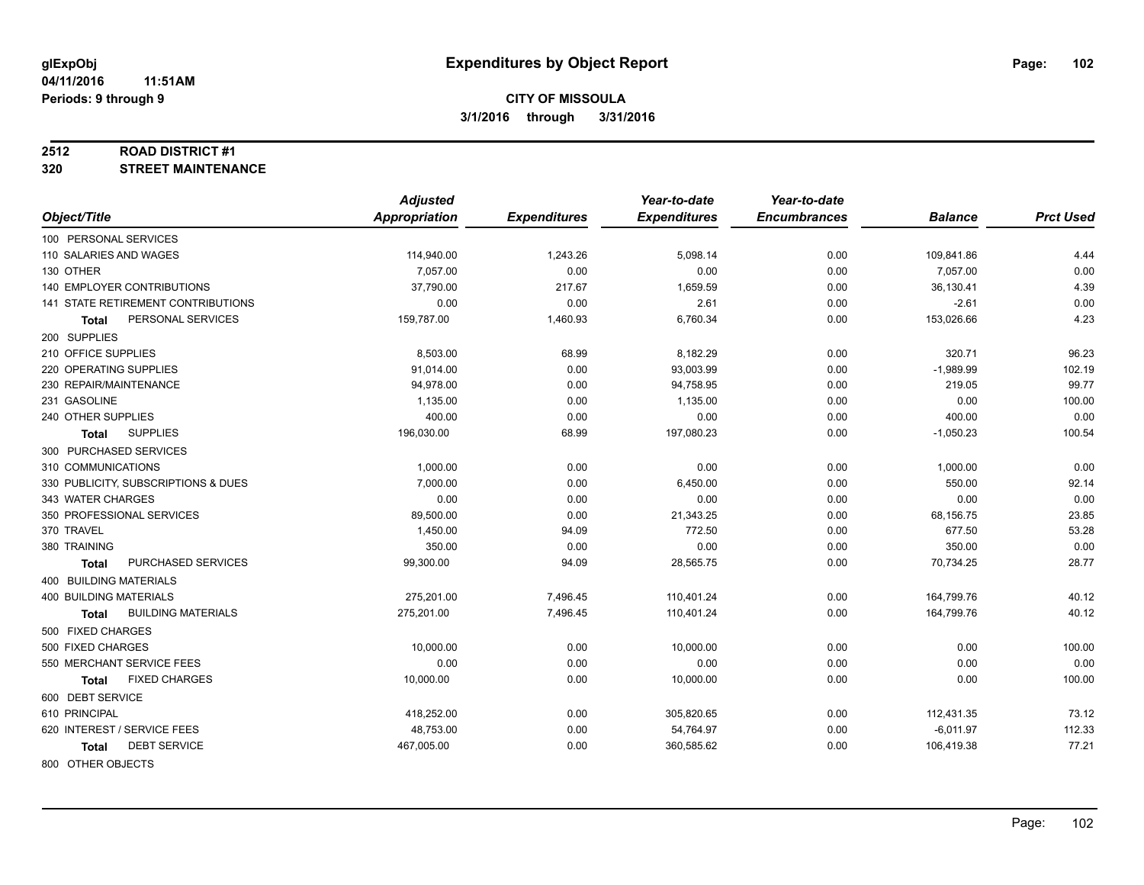#### **2512 ROAD DISTRICT #1**

**320 STREET MAINTENANCE**

|                                           | <b>Adjusted</b> |                     | Year-to-date        | Year-to-date        |                |                  |
|-------------------------------------------|-----------------|---------------------|---------------------|---------------------|----------------|------------------|
| Object/Title                              | Appropriation   | <b>Expenditures</b> | <b>Expenditures</b> | <b>Encumbrances</b> | <b>Balance</b> | <b>Prct Used</b> |
| 100 PERSONAL SERVICES                     |                 |                     |                     |                     |                |                  |
| 110 SALARIES AND WAGES                    | 114,940.00      | 1,243.26            | 5,098.14            | 0.00                | 109,841.86     | 4.44             |
| 130 OTHER                                 | 7,057.00        | 0.00                | 0.00                | 0.00                | 7,057.00       | 0.00             |
| 140 EMPLOYER CONTRIBUTIONS                | 37,790.00       | 217.67              | 1,659.59            | 0.00                | 36,130.41      | 4.39             |
| 141 STATE RETIREMENT CONTRIBUTIONS        | 0.00            | 0.00                | 2.61                | 0.00                | $-2.61$        | 0.00             |
| PERSONAL SERVICES<br>Total                | 159,787.00      | 1,460.93            | 6,760.34            | 0.00                | 153,026.66     | 4.23             |
| 200 SUPPLIES                              |                 |                     |                     |                     |                |                  |
| 210 OFFICE SUPPLIES                       | 8,503.00        | 68.99               | 8,182.29            | 0.00                | 320.71         | 96.23            |
| 220 OPERATING SUPPLIES                    | 91,014.00       | 0.00                | 93,003.99           | 0.00                | $-1,989.99$    | 102.19           |
| 230 REPAIR/MAINTENANCE                    | 94,978.00       | 0.00                | 94,758.95           | 0.00                | 219.05         | 99.77            |
| 231 GASOLINE                              | 1,135.00        | 0.00                | 1,135.00            | 0.00                | 0.00           | 100.00           |
| 240 OTHER SUPPLIES                        | 400.00          | 0.00                | 0.00                | 0.00                | 400.00         | 0.00             |
| <b>SUPPLIES</b><br>Total                  | 196,030.00      | 68.99               | 197,080.23          | 0.00                | $-1,050.23$    | 100.54           |
| 300 PURCHASED SERVICES                    |                 |                     |                     |                     |                |                  |
| 310 COMMUNICATIONS                        | 1,000.00        | 0.00                | 0.00                | 0.00                | 1,000.00       | 0.00             |
| 330 PUBLICITY, SUBSCRIPTIONS & DUES       | 7,000.00        | 0.00                | 6,450.00            | 0.00                | 550.00         | 92.14            |
| 343 WATER CHARGES                         | 0.00            | 0.00                | 0.00                | 0.00                | 0.00           | 0.00             |
| 350 PROFESSIONAL SERVICES                 | 89,500.00       | 0.00                | 21,343.25           | 0.00                | 68,156.75      | 23.85            |
| 370 TRAVEL                                | 1,450.00        | 94.09               | 772.50              | 0.00                | 677.50         | 53.28            |
| 380 TRAINING                              | 350.00          | 0.00                | 0.00                | 0.00                | 350.00         | 0.00             |
| PURCHASED SERVICES<br><b>Total</b>        | 99,300.00       | 94.09               | 28,565.75           | 0.00                | 70,734.25      | 28.77            |
| 400 BUILDING MATERIALS                    |                 |                     |                     |                     |                |                  |
| <b>400 BUILDING MATERIALS</b>             | 275,201.00      | 7,496.45            | 110,401.24          | 0.00                | 164,799.76     | 40.12            |
| <b>BUILDING MATERIALS</b><br><b>Total</b> | 275,201.00      | 7,496.45            | 110,401.24          | 0.00                | 164,799.76     | 40.12            |
| 500 FIXED CHARGES                         |                 |                     |                     |                     |                |                  |
| 500 FIXED CHARGES                         | 10,000.00       | 0.00                | 10,000.00           | 0.00                | 0.00           | 100.00           |
| 550 MERCHANT SERVICE FEES                 | 0.00            | 0.00                | 0.00                | 0.00                | 0.00           | 0.00             |
| <b>FIXED CHARGES</b><br><b>Total</b>      | 10,000.00       | 0.00                | 10,000.00           | 0.00                | 0.00           | 100.00           |
| 600 DEBT SERVICE                          |                 |                     |                     |                     |                |                  |
| 610 PRINCIPAL                             | 418,252.00      | 0.00                | 305,820.65          | 0.00                | 112,431.35     | 73.12            |
| 620 INTEREST / SERVICE FEES               | 48,753.00       | 0.00                | 54,764.97           | 0.00                | $-6,011.97$    | 112.33           |
| <b>DEBT SERVICE</b><br><b>Total</b>       | 467,005.00      | 0.00                | 360,585.62          | 0.00                | 106,419.38     | 77.21            |
| 800 OTHER OBJECTS                         |                 |                     |                     |                     |                |                  |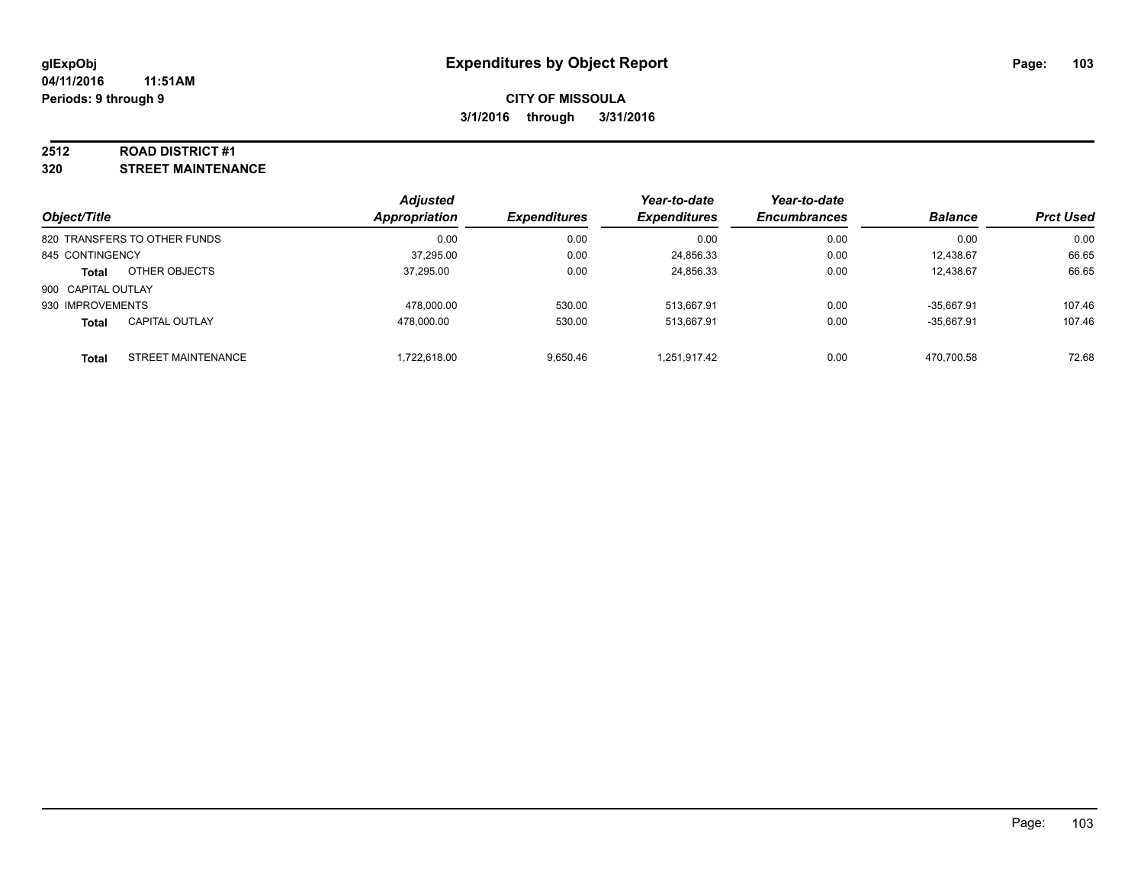#### **2512 ROAD DISTRICT #1**

**320 STREET MAINTENANCE**

| Object/Title       |                              | <b>Adjusted</b><br>Appropriation | <b>Expenditures</b> | Year-to-date<br><b>Expenditures</b> | Year-to-date<br><b>Encumbrances</b> | <b>Balance</b> | <b>Prct Used</b> |
|--------------------|------------------------------|----------------------------------|---------------------|-------------------------------------|-------------------------------------|----------------|------------------|
|                    | 820 TRANSFERS TO OTHER FUNDS | 0.00                             | 0.00                | 0.00                                | 0.00                                | 0.00           | 0.00             |
| 845 CONTINGENCY    |                              | 37,295.00                        | 0.00                | 24,856.33                           | 0.00                                | 12,438.67      | 66.65            |
| <b>Total</b>       | OTHER OBJECTS                | 37.295.00                        | 0.00                | 24,856.33                           | 0.00                                | 12.438.67      | 66.65            |
| 900 CAPITAL OUTLAY |                              |                                  |                     |                                     |                                     |                |                  |
| 930 IMPROVEMENTS   |                              | 478.000.00                       | 530.00              | 513.667.91                          | 0.00                                | $-35.667.91$   | 107.46           |
| <b>Total</b>       | <b>CAPITAL OUTLAY</b>        | 478.000.00                       | 530.00              | 513,667.91                          | 0.00                                | $-35.667.91$   | 107.46           |
| Total              | STREET MAINTENANCE           | 1,722,618.00                     | 9.650.46            | 1,251,917.42                        | 0.00                                | 470.700.58     | 72.68            |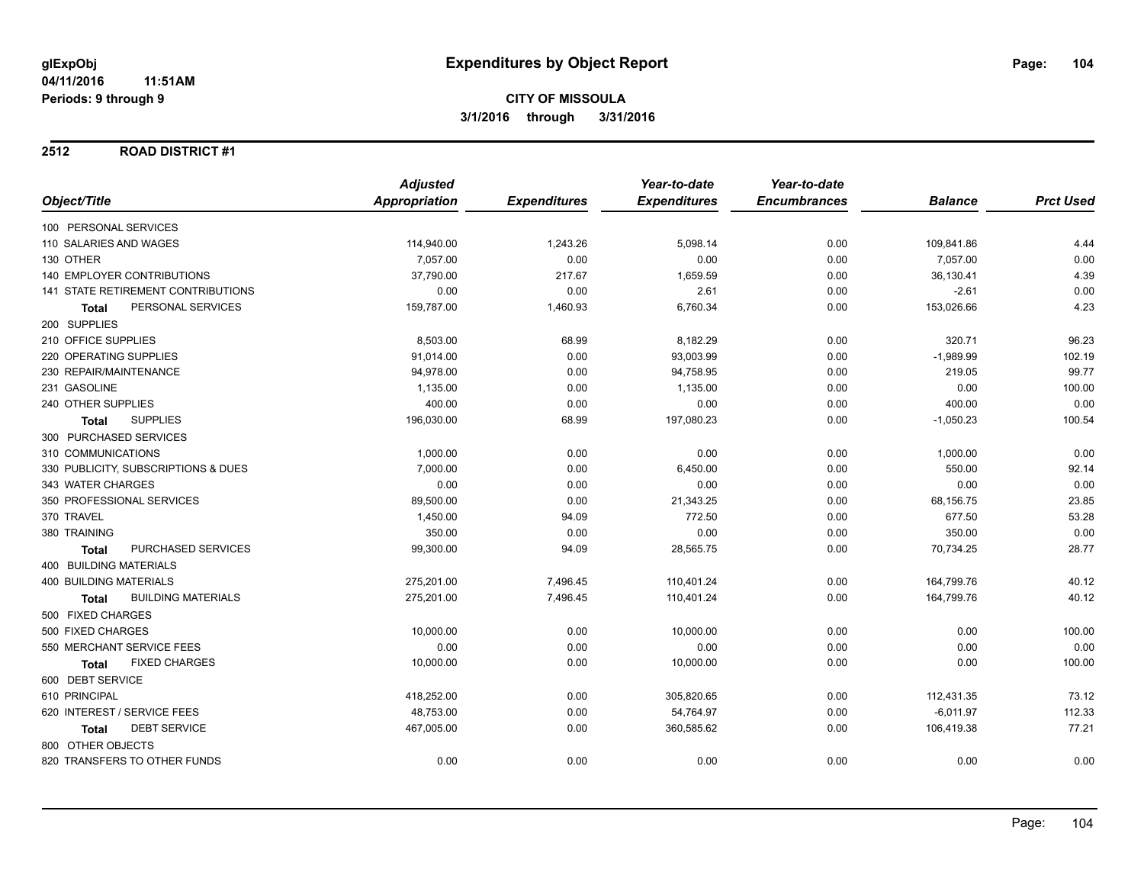### **2512 ROAD DISTRICT #1**

|                                           | <b>Adjusted</b> |                     | Year-to-date        | Year-to-date        |                |                  |
|-------------------------------------------|-----------------|---------------------|---------------------|---------------------|----------------|------------------|
| Object/Title                              | Appropriation   | <b>Expenditures</b> | <b>Expenditures</b> | <b>Encumbrances</b> | <b>Balance</b> | <b>Prct Used</b> |
| 100 PERSONAL SERVICES                     |                 |                     |                     |                     |                |                  |
| 110 SALARIES AND WAGES                    | 114,940.00      | 1,243.26            | 5,098.14            | 0.00                | 109,841.86     | 4.44             |
| 130 OTHER                                 | 7,057.00        | 0.00                | 0.00                | 0.00                | 7,057.00       | 0.00             |
| <b>140 EMPLOYER CONTRIBUTIONS</b>         | 37,790.00       | 217.67              | 1,659.59            | 0.00                | 36,130.41      | 4.39             |
| 141 STATE RETIREMENT CONTRIBUTIONS        | 0.00            | 0.00                | 2.61                | 0.00                | $-2.61$        | 0.00             |
| PERSONAL SERVICES<br><b>Total</b>         | 159,787.00      | 1,460.93            | 6,760.34            | 0.00                | 153,026.66     | 4.23             |
| 200 SUPPLIES                              |                 |                     |                     |                     |                |                  |
| 210 OFFICE SUPPLIES                       | 8,503.00        | 68.99               | 8,182.29            | 0.00                | 320.71         | 96.23            |
| 220 OPERATING SUPPLIES                    | 91,014.00       | 0.00                | 93,003.99           | 0.00                | $-1,989.99$    | 102.19           |
| 230 REPAIR/MAINTENANCE                    | 94,978.00       | 0.00                | 94,758.95           | 0.00                | 219.05         | 99.77            |
| 231 GASOLINE                              | 1,135.00        | 0.00                | 1,135.00            | 0.00                | 0.00           | 100.00           |
| 240 OTHER SUPPLIES                        | 400.00          | 0.00                | 0.00                | 0.00                | 400.00         | 0.00             |
| <b>SUPPLIES</b><br><b>Total</b>           | 196,030.00      | 68.99               | 197,080.23          | 0.00                | $-1,050.23$    | 100.54           |
| 300 PURCHASED SERVICES                    |                 |                     |                     |                     |                |                  |
| 310 COMMUNICATIONS                        | 1,000.00        | 0.00                | 0.00                | 0.00                | 1,000.00       | 0.00             |
| 330 PUBLICITY, SUBSCRIPTIONS & DUES       | 7,000.00        | 0.00                | 6,450.00            | 0.00                | 550.00         | 92.14            |
| 343 WATER CHARGES                         | 0.00            | 0.00                | 0.00                | 0.00                | 0.00           | 0.00             |
| 350 PROFESSIONAL SERVICES                 | 89,500.00       | 0.00                | 21,343.25           | 0.00                | 68,156.75      | 23.85            |
| 370 TRAVEL                                | 1,450.00        | 94.09               | 772.50              | 0.00                | 677.50         | 53.28            |
| 380 TRAINING                              | 350.00          | 0.00                | 0.00                | 0.00                | 350.00         | 0.00             |
| <b>PURCHASED SERVICES</b><br>Total        | 99,300.00       | 94.09               | 28,565.75           | 0.00                | 70,734.25      | 28.77            |
| <b>400 BUILDING MATERIALS</b>             |                 |                     |                     |                     |                |                  |
| <b>400 BUILDING MATERIALS</b>             | 275,201.00      | 7,496.45            | 110,401.24          | 0.00                | 164,799.76     | 40.12            |
| <b>BUILDING MATERIALS</b><br><b>Total</b> | 275,201.00      | 7,496.45            | 110,401.24          | 0.00                | 164,799.76     | 40.12            |
| 500 FIXED CHARGES                         |                 |                     |                     |                     |                |                  |
| 500 FIXED CHARGES                         | 10,000.00       | 0.00                | 10,000.00           | 0.00                | 0.00           | 100.00           |
| 550 MERCHANT SERVICE FEES                 | 0.00            | 0.00                | 0.00                | 0.00                | 0.00           | 0.00             |
| <b>FIXED CHARGES</b><br><b>Total</b>      | 10,000.00       | 0.00                | 10,000.00           | 0.00                | 0.00           | 100.00           |
| 600 DEBT SERVICE                          |                 |                     |                     |                     |                |                  |
| 610 PRINCIPAL                             | 418,252.00      | 0.00                | 305,820.65          | 0.00                | 112,431.35     | 73.12            |
| 620 INTEREST / SERVICE FEES               | 48,753.00       | 0.00                | 54,764.97           | 0.00                | $-6,011.97$    | 112.33           |
| <b>DEBT SERVICE</b><br><b>Total</b>       | 467,005.00      | 0.00                | 360,585.62          | 0.00                | 106,419.38     | 77.21            |
| 800 OTHER OBJECTS                         |                 |                     |                     |                     |                |                  |
| 820 TRANSFERS TO OTHER FUNDS              | 0.00            | 0.00                | 0.00                | 0.00                | 0.00           | 0.00             |
|                                           |                 |                     |                     |                     |                |                  |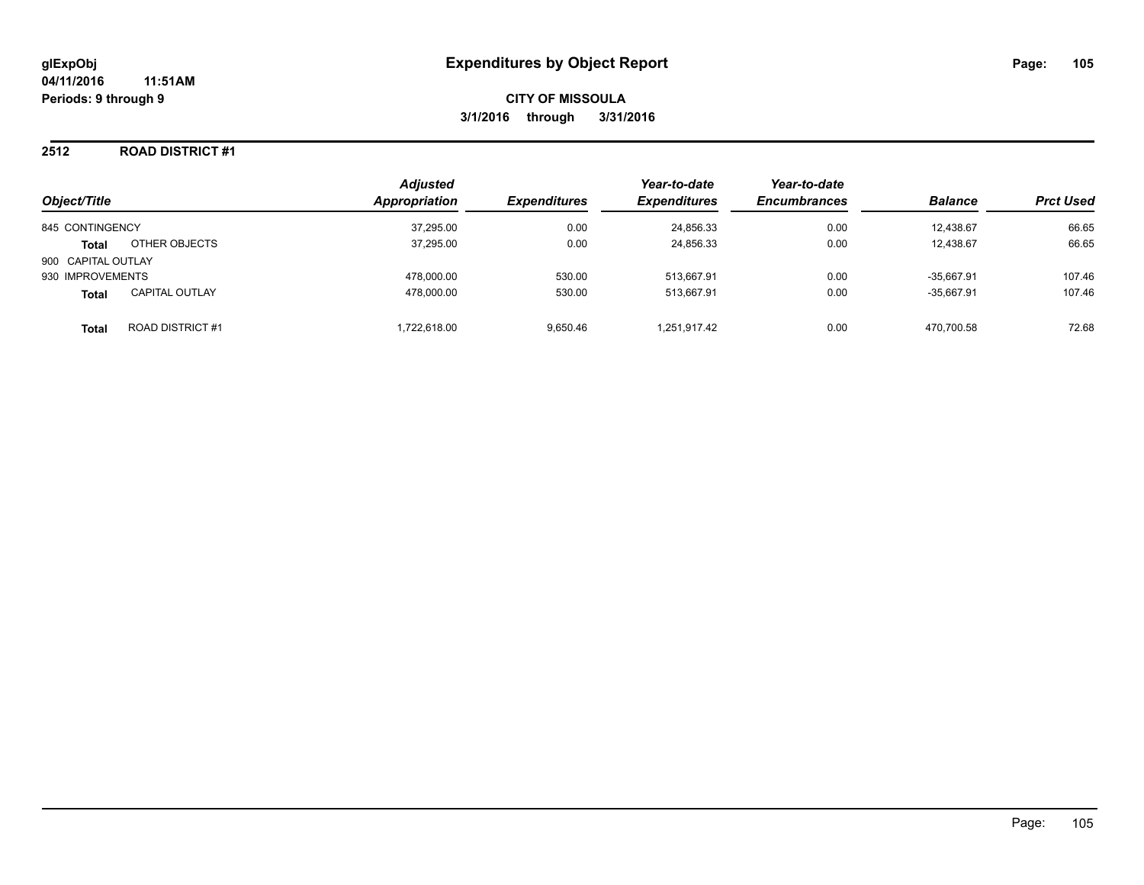#### **2512 ROAD DISTRICT #1**

| Object/Title       |                        | <b>Adjusted</b><br>Appropriation | <b>Expenditures</b> | Year-to-date<br><b>Expenditures</b> | Year-to-date<br><b>Encumbrances</b> | <b>Balance</b> | <b>Prct Used</b> |
|--------------------|------------------------|----------------------------------|---------------------|-------------------------------------|-------------------------------------|----------------|------------------|
| 845 CONTINGENCY    |                        | 37,295.00                        | 0.00                | 24,856.33                           | 0.00                                | 12.438.67      | 66.65            |
| <b>Total</b>       | OTHER OBJECTS          | 37,295.00                        | 0.00                | 24,856.33                           | 0.00                                | 12,438.67      | 66.65            |
| 900 CAPITAL OUTLAY |                        |                                  |                     |                                     |                                     |                |                  |
| 930 IMPROVEMENTS   |                        | 478.000.00                       | 530.00              | 513,667.91                          | 0.00                                | $-35.667.91$   | 107.46           |
| <b>Total</b>       | <b>CAPITAL OUTLAY</b>  | 478.000.00                       | 530.00              | 513.667.91                          | 0.00                                | $-35.667.91$   | 107.46           |
| <b>Total</b>       | <b>ROAD DISTRICT#1</b> | 1.722.618.00                     | 9.650.46            | 1,251,917.42                        | 0.00                                | 470.700.58     | 72.68            |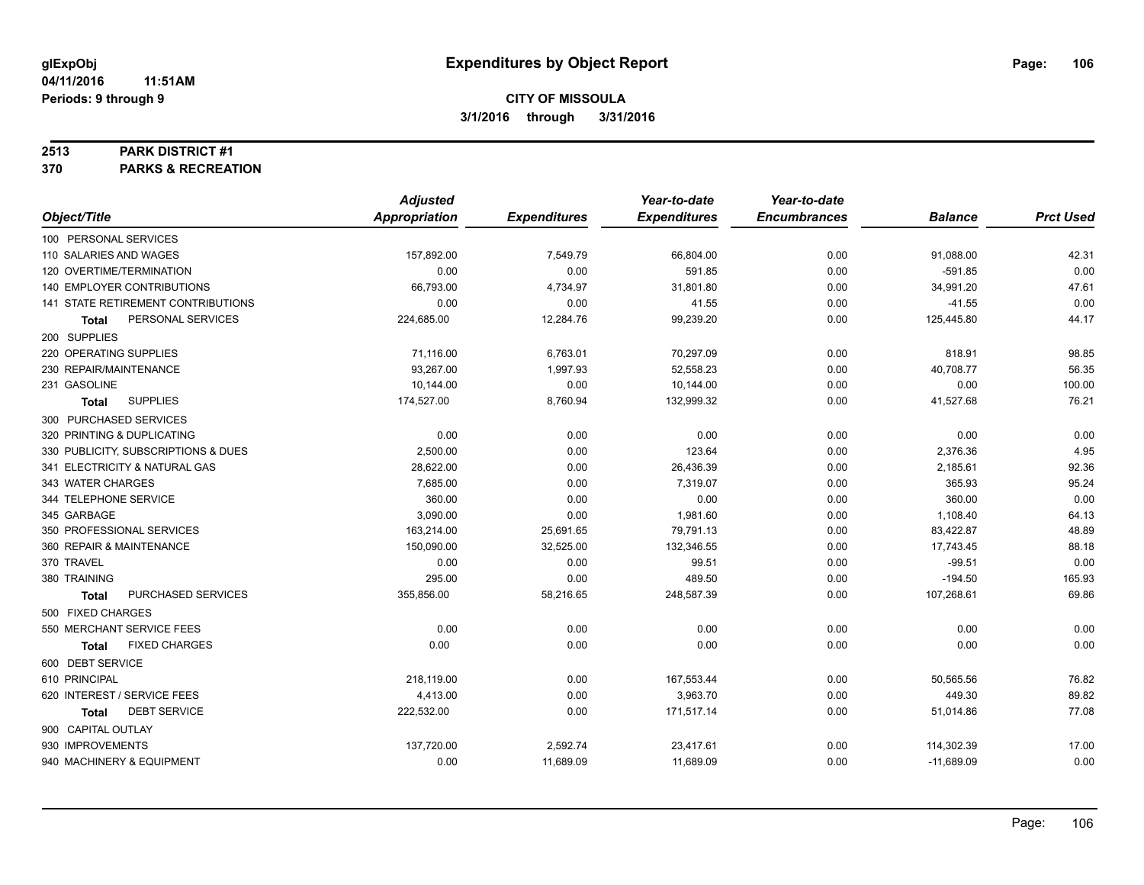#### **2513 PARK DISTRICT #1**

**370 PARKS & RECREATION**

|                                      | <b>Adjusted</b>      |                     | Year-to-date        | Year-to-date        |                |                  |
|--------------------------------------|----------------------|---------------------|---------------------|---------------------|----------------|------------------|
| Object/Title                         | <b>Appropriation</b> | <b>Expenditures</b> | <b>Expenditures</b> | <b>Encumbrances</b> | <b>Balance</b> | <b>Prct Used</b> |
| 100 PERSONAL SERVICES                |                      |                     |                     |                     |                |                  |
| 110 SALARIES AND WAGES               | 157,892.00           | 7,549.79            | 66,804.00           | 0.00                | 91,088.00      | 42.31            |
| 120 OVERTIME/TERMINATION             | 0.00                 | 0.00                | 591.85              | 0.00                | $-591.85$      | 0.00             |
| 140 EMPLOYER CONTRIBUTIONS           | 66,793.00            | 4,734.97            | 31,801.80           | 0.00                | 34,991.20      | 47.61            |
| 141 STATE RETIREMENT CONTRIBUTIONS   | 0.00                 | 0.00                | 41.55               | 0.00                | $-41.55$       | 0.00             |
| PERSONAL SERVICES<br><b>Total</b>    | 224,685.00           | 12,284.76           | 99,239.20           | 0.00                | 125,445.80     | 44.17            |
| 200 SUPPLIES                         |                      |                     |                     |                     |                |                  |
| 220 OPERATING SUPPLIES               | 71,116.00            | 6,763.01            | 70,297.09           | 0.00                | 818.91         | 98.85            |
| 230 REPAIR/MAINTENANCE               | 93,267.00            | 1,997.93            | 52,558.23           | 0.00                | 40,708.77      | 56.35            |
| 231 GASOLINE                         | 10,144.00            | 0.00                | 10,144.00           | 0.00                | 0.00           | 100.00           |
| <b>SUPPLIES</b><br><b>Total</b>      | 174,527.00           | 8,760.94            | 132,999.32          | 0.00                | 41,527.68      | 76.21            |
| 300 PURCHASED SERVICES               |                      |                     |                     |                     |                |                  |
| 320 PRINTING & DUPLICATING           | 0.00                 | 0.00                | 0.00                | 0.00                | 0.00           | 0.00             |
| 330 PUBLICITY, SUBSCRIPTIONS & DUES  | 2,500.00             | 0.00                | 123.64              | 0.00                | 2,376.36       | 4.95             |
| 341 ELECTRICITY & NATURAL GAS        | 28,622.00            | 0.00                | 26,436.39           | 0.00                | 2,185.61       | 92.36            |
| 343 WATER CHARGES                    | 7,685.00             | 0.00                | 7,319.07            | 0.00                | 365.93         | 95.24            |
| 344 TELEPHONE SERVICE                | 360.00               | 0.00                | 0.00                | 0.00                | 360.00         | 0.00             |
| 345 GARBAGE                          | 3,090.00             | 0.00                | 1,981.60            | 0.00                | 1,108.40       | 64.13            |
| 350 PROFESSIONAL SERVICES            | 163,214.00           | 25,691.65           | 79,791.13           | 0.00                | 83,422.87      | 48.89            |
| 360 REPAIR & MAINTENANCE             | 150,090.00           | 32,525.00           | 132,346.55          | 0.00                | 17,743.45      | 88.18            |
| 370 TRAVEL                           | 0.00                 | 0.00                | 99.51               | 0.00                | $-99.51$       | 0.00             |
| 380 TRAINING                         | 295.00               | 0.00                | 489.50              | 0.00                | $-194.50$      | 165.93           |
| PURCHASED SERVICES<br><b>Total</b>   | 355,856.00           | 58,216.65           | 248,587.39          | 0.00                | 107,268.61     | 69.86            |
| 500 FIXED CHARGES                    |                      |                     |                     |                     |                |                  |
| 550 MERCHANT SERVICE FEES            | 0.00                 | 0.00                | 0.00                | 0.00                | 0.00           | 0.00             |
| <b>FIXED CHARGES</b><br><b>Total</b> | 0.00                 | 0.00                | 0.00                | 0.00                | 0.00           | 0.00             |
| 600 DEBT SERVICE                     |                      |                     |                     |                     |                |                  |
| 610 PRINCIPAL                        | 218,119.00           | 0.00                | 167,553.44          | 0.00                | 50,565.56      | 76.82            |
| 620 INTEREST / SERVICE FEES          | 4,413.00             | 0.00                | 3,963.70            | 0.00                | 449.30         | 89.82            |
| <b>DEBT SERVICE</b><br><b>Total</b>  | 222,532.00           | 0.00                | 171,517.14          | 0.00                | 51,014.86      | 77.08            |
| 900 CAPITAL OUTLAY                   |                      |                     |                     |                     |                |                  |
| 930 IMPROVEMENTS                     | 137,720.00           | 2,592.74            | 23,417.61           | 0.00                | 114,302.39     | 17.00            |
| 940 MACHINERY & EQUIPMENT            | 0.00                 | 11,689.09           | 11,689.09           | 0.00                | $-11,689.09$   | 0.00             |
|                                      |                      |                     |                     |                     |                |                  |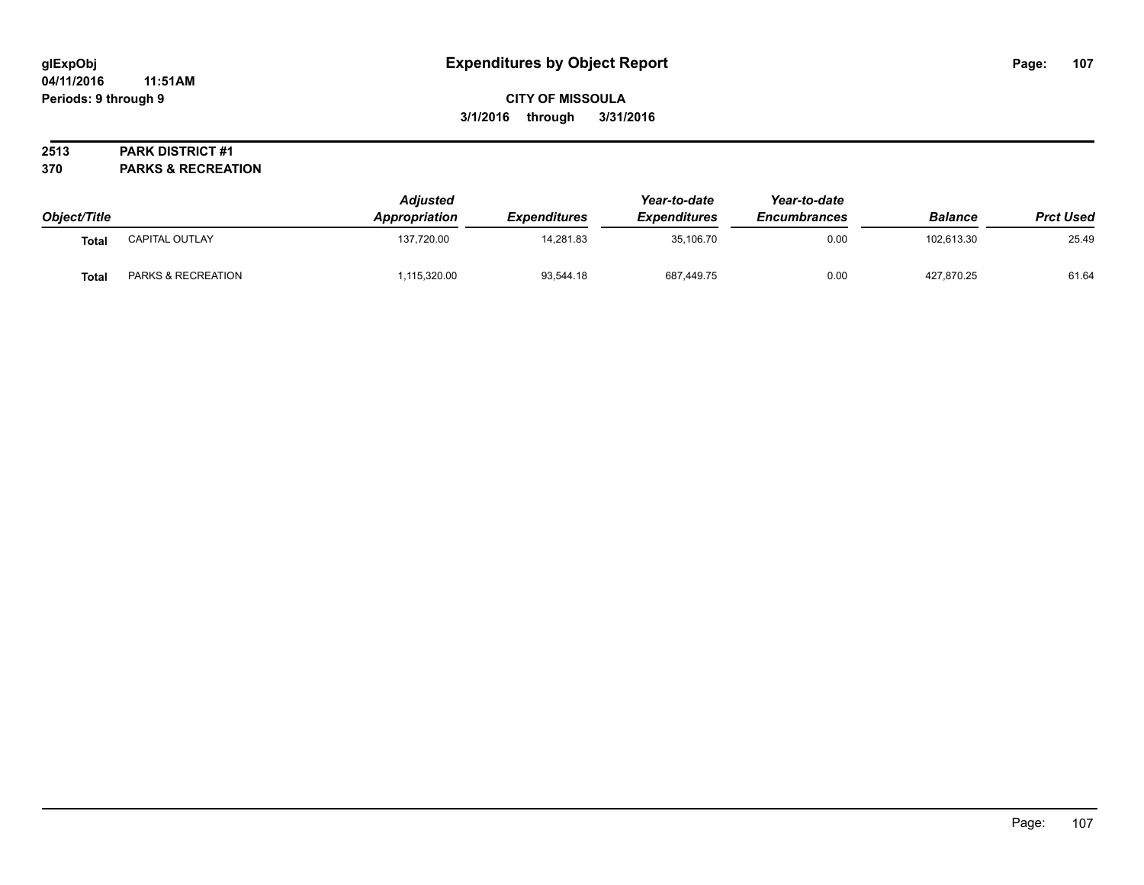# **CITY OF MISSOULA 3/1/2016 through 3/31/2016**

## **2513 PARK DISTRICT #1**

**370 PARKS & RECREATION**

| Object/Title |                       | <b>Adjusted</b><br><b>Appropriation</b> | <b>Expenditures</b> | Year-to-date<br><b>Expenditures</b> | Year-to-date<br><b>Encumbrances</b> | <b>Balance</b> | <b>Prct Used</b> |
|--------------|-----------------------|-----------------------------------------|---------------------|-------------------------------------|-------------------------------------|----------------|------------------|
| <b>Total</b> | <b>CAPITAL OUTLAY</b> | 137,720.00                              | 14.281.83           | 35,106.70                           | 0.00                                | 102.613.30     | 25.49            |
| <b>Total</b> | PARKS & RECREATION    | ,115,320.00                             | 93,544.18           | 687,449.75                          | 0.00                                | 427,870.25     | 61.64            |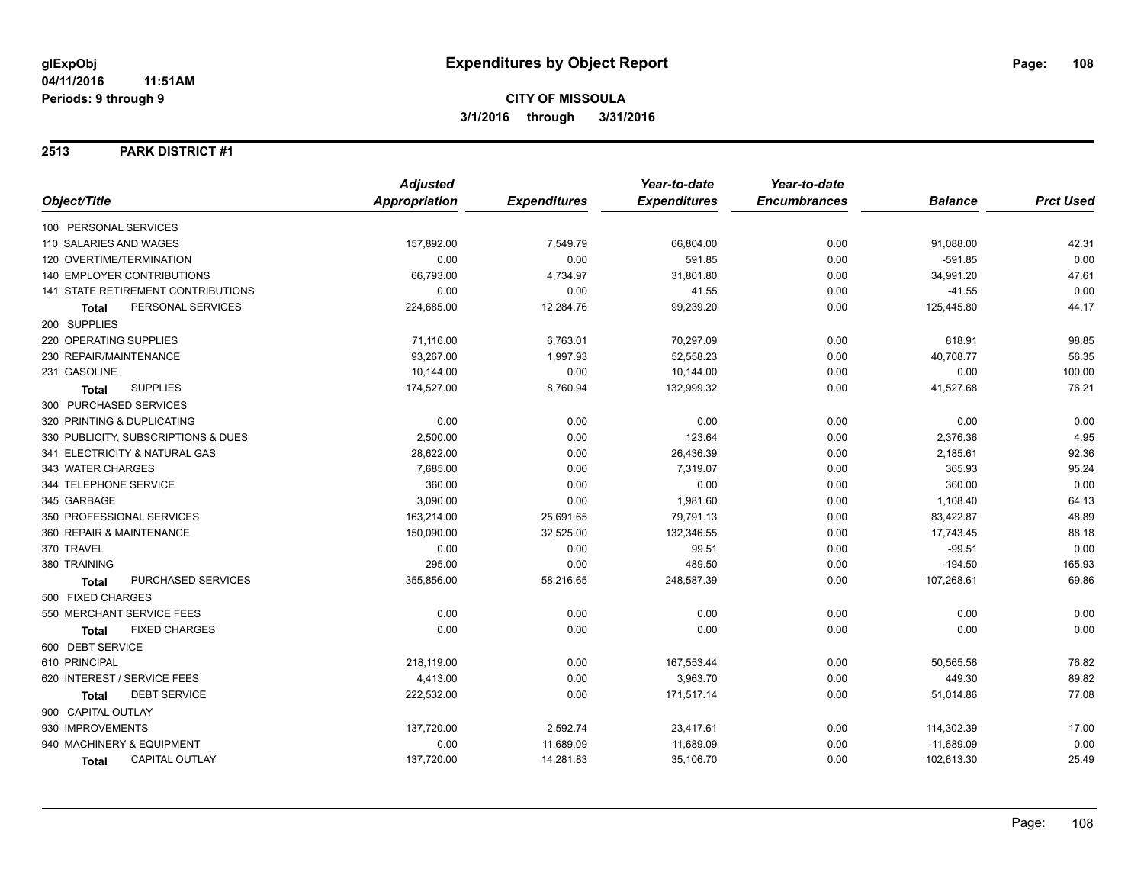#### **2513 PARK DISTRICT #1**

|                                           | <b>Adjusted</b> |                     | Year-to-date        | Year-to-date        |                |                  |
|-------------------------------------------|-----------------|---------------------|---------------------|---------------------|----------------|------------------|
| Object/Title                              | Appropriation   | <b>Expenditures</b> | <b>Expenditures</b> | <b>Encumbrances</b> | <b>Balance</b> | <b>Prct Used</b> |
| 100 PERSONAL SERVICES                     |                 |                     |                     |                     |                |                  |
| 110 SALARIES AND WAGES                    | 157,892.00      | 7,549.79            | 66,804.00           | 0.00                | 91,088.00      | 42.31            |
| 120 OVERTIME/TERMINATION                  | 0.00            | 0.00                | 591.85              | 0.00                | $-591.85$      | 0.00             |
| 140 EMPLOYER CONTRIBUTIONS                | 66,793.00       | 4,734.97            | 31,801.80           | 0.00                | 34,991.20      | 47.61            |
| <b>141 STATE RETIREMENT CONTRIBUTIONS</b> | 0.00            | 0.00                | 41.55               | 0.00                | $-41.55$       | 0.00             |
| PERSONAL SERVICES<br><b>Total</b>         | 224,685.00      | 12,284.76           | 99,239.20           | 0.00                | 125,445.80     | 44.17            |
| 200 SUPPLIES                              |                 |                     |                     |                     |                |                  |
| 220 OPERATING SUPPLIES                    | 71,116.00       | 6,763.01            | 70,297.09           | 0.00                | 818.91         | 98.85            |
| 230 REPAIR/MAINTENANCE                    | 93,267.00       | 1,997.93            | 52,558.23           | 0.00                | 40,708.77      | 56.35            |
| 231 GASOLINE                              | 10,144.00       | 0.00                | 10,144.00           | 0.00                | 0.00           | 100.00           |
| <b>SUPPLIES</b><br><b>Total</b>           | 174,527.00      | 8,760.94            | 132,999.32          | 0.00                | 41,527.68      | 76.21            |
| 300 PURCHASED SERVICES                    |                 |                     |                     |                     |                |                  |
| 320 PRINTING & DUPLICATING                | 0.00            | 0.00                | 0.00                | 0.00                | 0.00           | 0.00             |
| 330 PUBLICITY, SUBSCRIPTIONS & DUES       | 2,500.00        | 0.00                | 123.64              | 0.00                | 2,376.36       | 4.95             |
| 341 ELECTRICITY & NATURAL GAS             | 28,622.00       | 0.00                | 26,436.39           | 0.00                | 2,185.61       | 92.36            |
| 343 WATER CHARGES                         | 7,685.00        | 0.00                | 7,319.07            | 0.00                | 365.93         | 95.24            |
| 344 TELEPHONE SERVICE                     | 360.00          | 0.00                | 0.00                | 0.00                | 360.00         | 0.00             |
| 345 GARBAGE                               | 3,090.00        | 0.00                | 1,981.60            | 0.00                | 1,108.40       | 64.13            |
| 350 PROFESSIONAL SERVICES                 | 163,214.00      | 25,691.65           | 79,791.13           | 0.00                | 83,422.87      | 48.89            |
| 360 REPAIR & MAINTENANCE                  | 150,090.00      | 32,525.00           | 132,346.55          | 0.00                | 17,743.45      | 88.18            |
| 370 TRAVEL                                | 0.00            | 0.00                | 99.51               | 0.00                | $-99.51$       | 0.00             |
| 380 TRAINING                              | 295.00          | 0.00                | 489.50              | 0.00                | $-194.50$      | 165.93           |
| PURCHASED SERVICES<br><b>Total</b>        | 355,856.00      | 58,216.65           | 248,587.39          | 0.00                | 107,268.61     | 69.86            |
| 500 FIXED CHARGES                         |                 |                     |                     |                     |                |                  |
| 550 MERCHANT SERVICE FEES                 | 0.00            | 0.00                | 0.00                | 0.00                | 0.00           | 0.00             |
| <b>FIXED CHARGES</b><br>Total             | 0.00            | 0.00                | 0.00                | 0.00                | 0.00           | 0.00             |
| 600 DEBT SERVICE                          |                 |                     |                     |                     |                |                  |
| 610 PRINCIPAL                             | 218,119.00      | 0.00                | 167,553.44          | 0.00                | 50,565.56      | 76.82            |
| 620 INTEREST / SERVICE FEES               | 4,413.00        | 0.00                | 3,963.70            | 0.00                | 449.30         | 89.82            |
| <b>DEBT SERVICE</b><br><b>Total</b>       | 222,532.00      | 0.00                | 171,517.14          | 0.00                | 51,014.86      | 77.08            |
| 900 CAPITAL OUTLAY                        |                 |                     |                     |                     |                |                  |
| 930 IMPROVEMENTS                          | 137,720.00      | 2,592.74            | 23,417.61           | 0.00                | 114,302.39     | 17.00            |
| 940 MACHINERY & EQUIPMENT                 | 0.00            | 11,689.09           | 11,689.09           | 0.00                | $-11,689.09$   | 0.00             |
| <b>CAPITAL OUTLAY</b><br>Total            | 137,720.00      | 14,281.83           | 35,106.70           | 0.00                | 102,613.30     | 25.49            |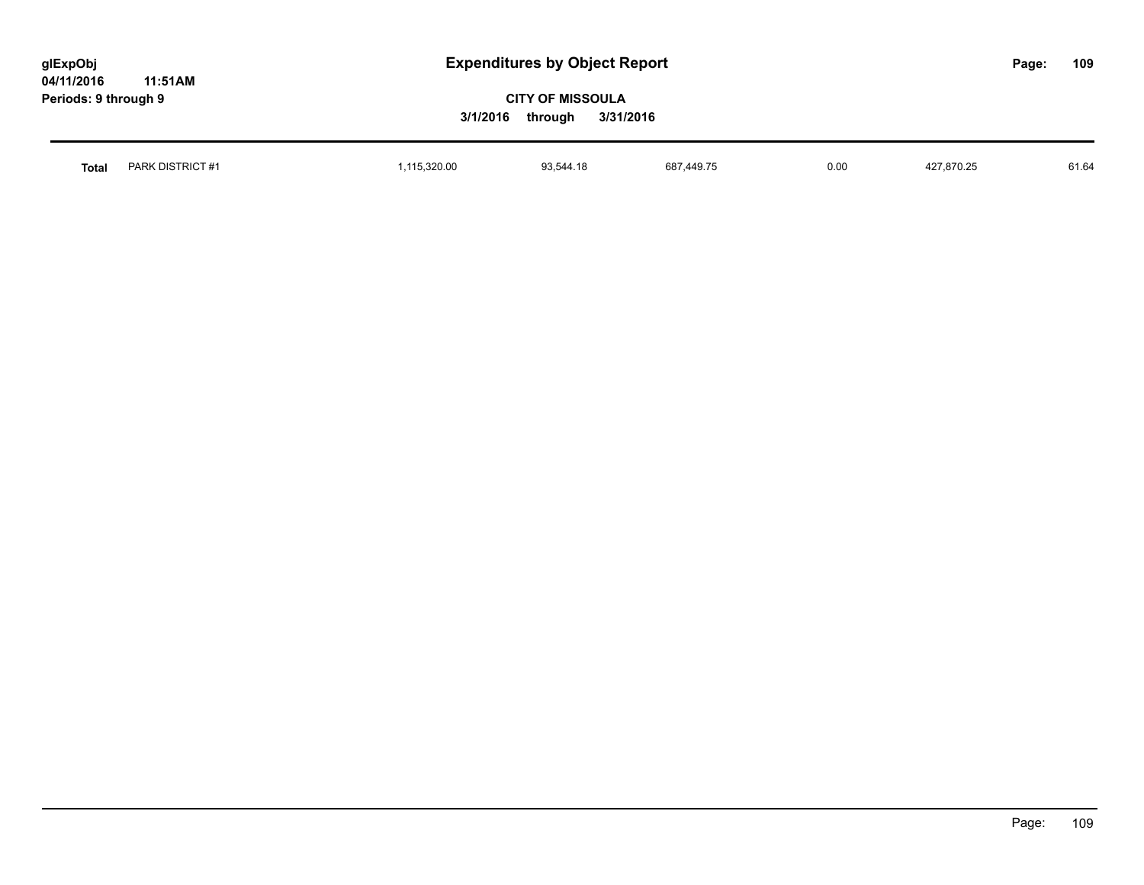| glExpObj             |         |
|----------------------|---------|
| 04/11/2016           | 11:51AM |
| Periods: 9 through 9 |         |

| Total | <b>PARK</b><br><b>SIGT:</b><br>.<br>DISTRIC | 320.00 | u z<br>77. IU | 687<br>AAO7F | 0.00 | ,870.25 | 61.64 |
|-------|---------------------------------------------|--------|---------------|--------------|------|---------|-------|
|       |                                             |        |               |              |      |         |       |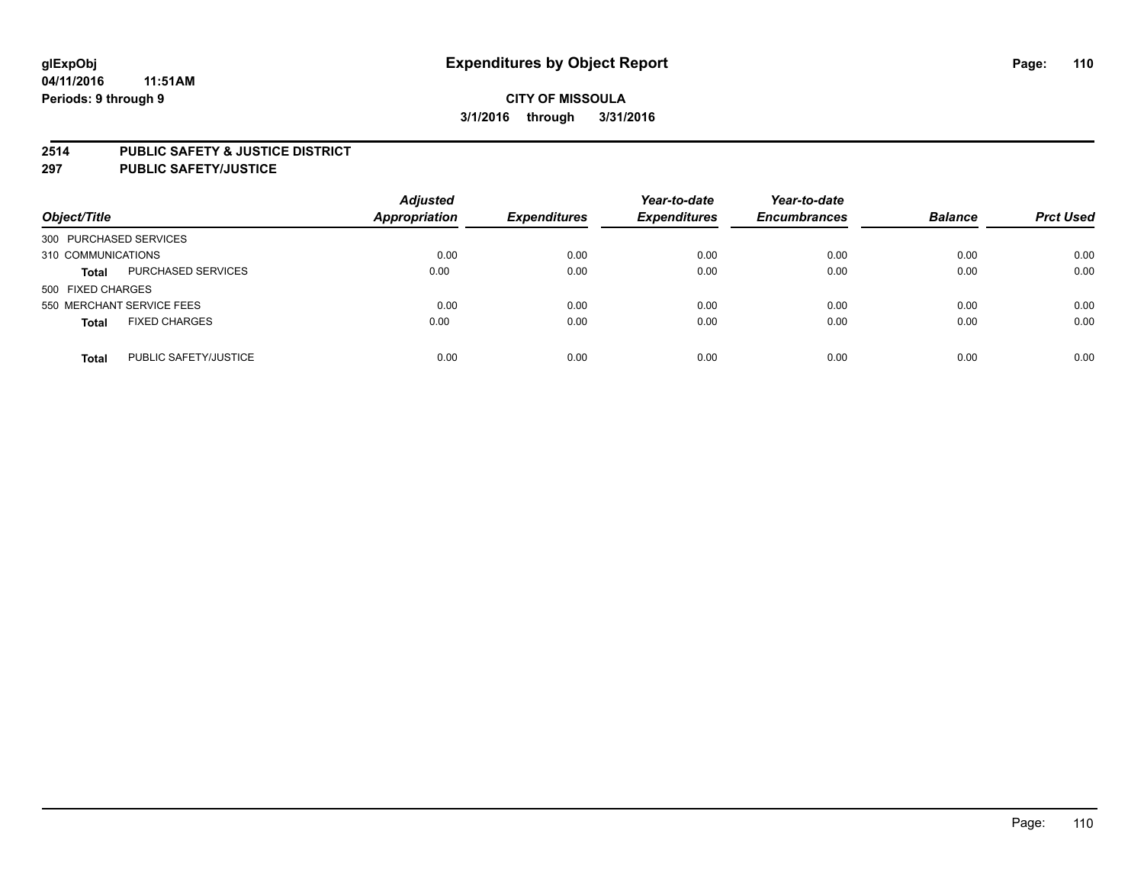#### **2514 PUBLIC SAFETY & JUSTICE DISTRICT**

**297 PUBLIC SAFETY/JUSTICE**

| Object/Title                          | <b>Adjusted</b><br>Appropriation | <b>Expenditures</b> | Year-to-date<br><b>Expenditures</b> | Year-to-date<br><b>Encumbrances</b> | <b>Balance</b> | <b>Prct Used</b> |
|---------------------------------------|----------------------------------|---------------------|-------------------------------------|-------------------------------------|----------------|------------------|
| 300 PURCHASED SERVICES                |                                  |                     |                                     |                                     |                |                  |
| 310 COMMUNICATIONS                    | 0.00                             | 0.00                | 0.00                                | 0.00                                | 0.00           | 0.00             |
| PURCHASED SERVICES<br><b>Total</b>    | 0.00                             | 0.00                | 0.00                                | 0.00                                | 0.00           | 0.00             |
| 500 FIXED CHARGES                     |                                  |                     |                                     |                                     |                |                  |
| 550 MERCHANT SERVICE FEES             | 0.00                             | 0.00                | 0.00                                | 0.00                                | 0.00           | 0.00             |
| <b>FIXED CHARGES</b><br><b>Total</b>  | 0.00                             | 0.00                | 0.00                                | 0.00                                | 0.00           | 0.00             |
| PUBLIC SAFETY/JUSTICE<br><b>Total</b> | 0.00                             | 0.00                | 0.00                                | 0.00                                | 0.00           | 0.00             |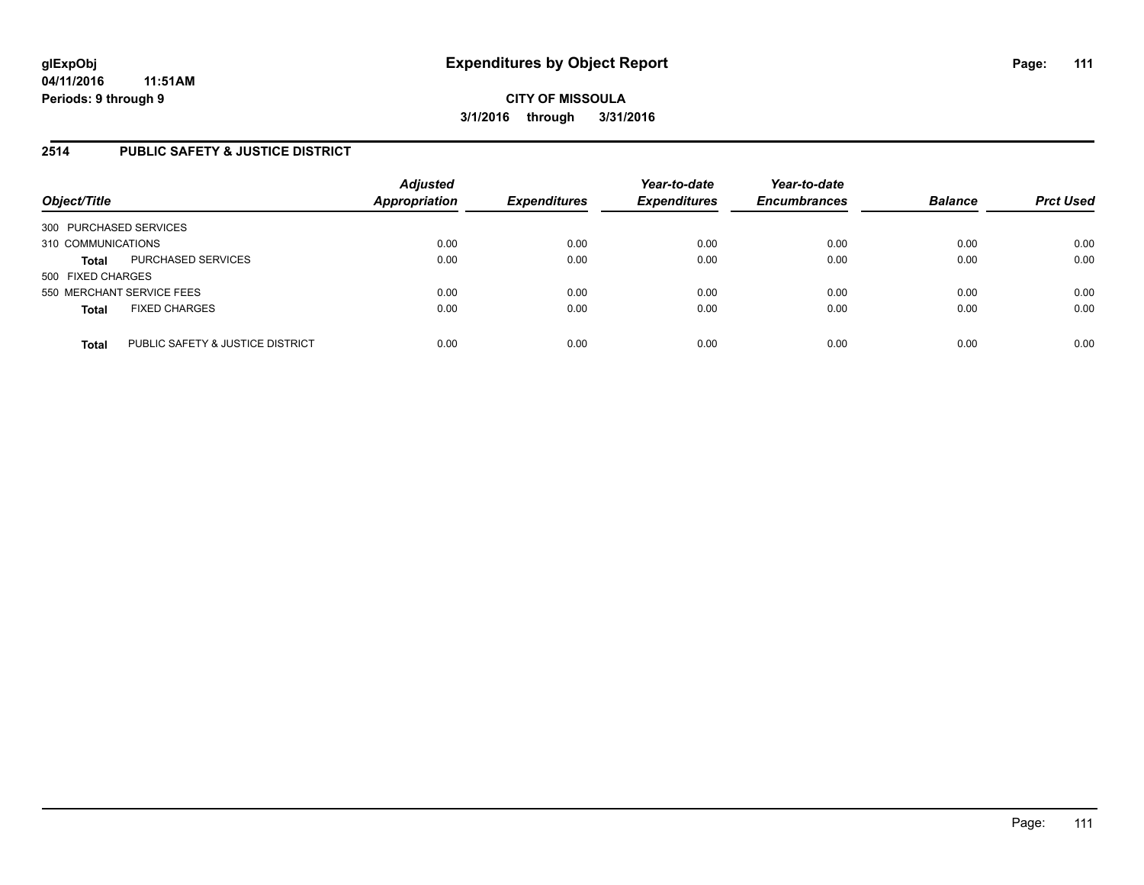## **2514 PUBLIC SAFETY & JUSTICE DISTRICT**

| Object/Title                                     | <b>Adjusted</b><br><b>Appropriation</b> | <b>Expenditures</b> | Year-to-date<br><b>Expenditures</b> | Year-to-date<br><b>Encumbrances</b> | <b>Balance</b> | <b>Prct Used</b> |
|--------------------------------------------------|-----------------------------------------|---------------------|-------------------------------------|-------------------------------------|----------------|------------------|
| 300 PURCHASED SERVICES                           |                                         |                     |                                     |                                     |                |                  |
| 310 COMMUNICATIONS                               | 0.00                                    | 0.00                | 0.00                                | 0.00                                | 0.00           | 0.00             |
| PURCHASED SERVICES<br><b>Total</b>               | 0.00                                    | 0.00                | 0.00                                | 0.00                                | 0.00           | 0.00             |
| 500 FIXED CHARGES                                |                                         |                     |                                     |                                     |                |                  |
| 550 MERCHANT SERVICE FEES                        | 0.00                                    | 0.00                | 0.00                                | 0.00                                | 0.00           | 0.00             |
| <b>FIXED CHARGES</b><br><b>Total</b>             | 0.00                                    | 0.00                | 0.00                                | 0.00                                | 0.00           | 0.00             |
| PUBLIC SAFETY & JUSTICE DISTRICT<br><b>Total</b> | 0.00                                    | 0.00                | 0.00                                | 0.00                                | 0.00           | 0.00             |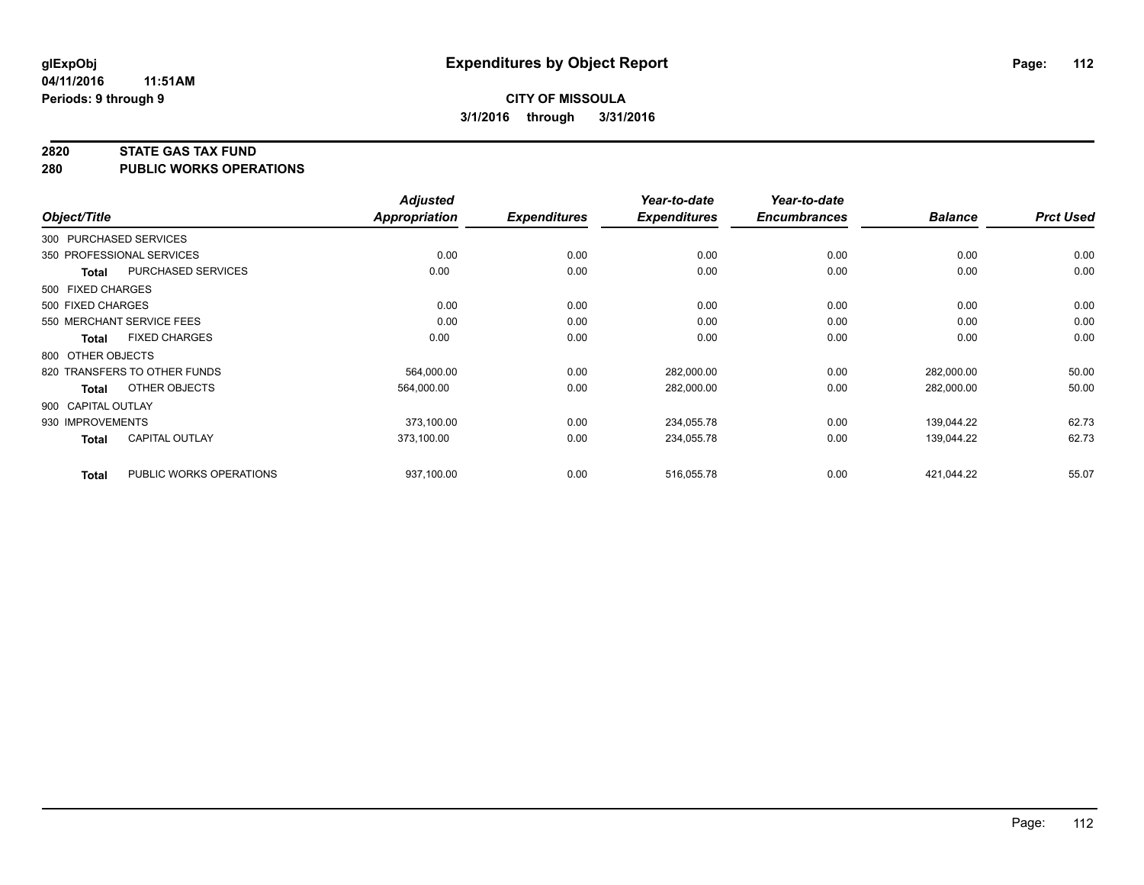#### **2820 STATE GAS TAX FUND**

**280 PUBLIC WORKS OPERATIONS**

|              |                                         | <b>Adjusted</b> |                     | Year-to-date        | Year-to-date        |                |                  |
|--------------|-----------------------------------------|-----------------|---------------------|---------------------|---------------------|----------------|------------------|
| Object/Title |                                         | Appropriation   | <b>Expenditures</b> | <b>Expenditures</b> | <b>Encumbrances</b> | <b>Balance</b> | <b>Prct Used</b> |
|              | 300 PURCHASED SERVICES                  |                 |                     |                     |                     |                |                  |
|              | 350 PROFESSIONAL SERVICES               | 0.00            | 0.00                | 0.00                | 0.00                | 0.00           | 0.00             |
|              | PURCHASED SERVICES<br><b>Total</b>      | 0.00            | 0.00                | 0.00                | 0.00                | 0.00           | 0.00             |
|              | 500 FIXED CHARGES                       |                 |                     |                     |                     |                |                  |
|              | 500 FIXED CHARGES                       | 0.00            | 0.00                | 0.00                | 0.00                | 0.00           | 0.00             |
|              | 550 MERCHANT SERVICE FEES               | 0.00            | 0.00                | 0.00                | 0.00                | 0.00           | 0.00             |
|              | <b>FIXED CHARGES</b><br>Total           | 0.00            | 0.00                | 0.00                | 0.00                | 0.00           | 0.00             |
|              | 800 OTHER OBJECTS                       |                 |                     |                     |                     |                |                  |
|              | 820 TRANSFERS TO OTHER FUNDS            | 564,000.00      | 0.00                | 282,000.00          | 0.00                | 282,000.00     | 50.00            |
|              | OTHER OBJECTS<br>Total                  | 564,000.00      | 0.00                | 282,000.00          | 0.00                | 282,000.00     | 50.00            |
|              | 900 CAPITAL OUTLAY                      |                 |                     |                     |                     |                |                  |
|              | 930 IMPROVEMENTS                        | 373,100.00      | 0.00                | 234,055.78          | 0.00                | 139,044.22     | 62.73            |
|              | <b>CAPITAL OUTLAY</b><br>Total          | 373.100.00      | 0.00                | 234,055.78          | 0.00                | 139.044.22     | 62.73            |
|              | PUBLIC WORKS OPERATIONS<br><b>Total</b> | 937,100.00      | 0.00                | 516,055.78          | 0.00                | 421,044.22     | 55.07            |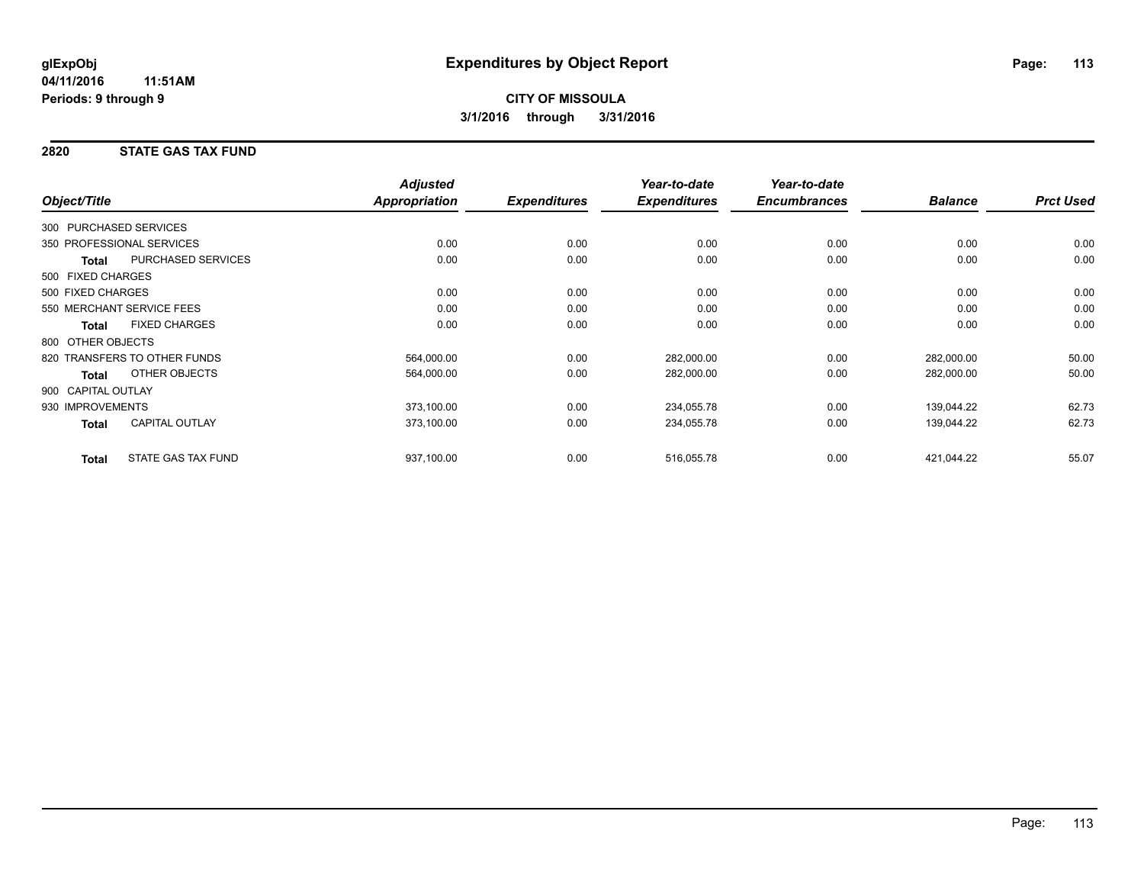## **2820 STATE GAS TAX FUND**

|                        |                              | <b>Adjusted</b>      |                     | Year-to-date        | Year-to-date        |                |                  |
|------------------------|------------------------------|----------------------|---------------------|---------------------|---------------------|----------------|------------------|
| Object/Title           |                              | <b>Appropriation</b> | <b>Expenditures</b> | <b>Expenditures</b> | <b>Encumbrances</b> | <b>Balance</b> | <b>Prct Used</b> |
| 300 PURCHASED SERVICES |                              |                      |                     |                     |                     |                |                  |
|                        | 350 PROFESSIONAL SERVICES    | 0.00                 | 0.00                | 0.00                | 0.00                | 0.00           | 0.00             |
| Total                  | PURCHASED SERVICES           | 0.00                 | 0.00                | 0.00                | 0.00                | 0.00           | 0.00             |
| 500 FIXED CHARGES      |                              |                      |                     |                     |                     |                |                  |
| 500 FIXED CHARGES      |                              | 0.00                 | 0.00                | 0.00                | 0.00                | 0.00           | 0.00             |
|                        | 550 MERCHANT SERVICE FEES    | 0.00                 | 0.00                | 0.00                | 0.00                | 0.00           | 0.00             |
| <b>Total</b>           | <b>FIXED CHARGES</b>         | 0.00                 | 0.00                | 0.00                | 0.00                | 0.00           | 0.00             |
| 800 OTHER OBJECTS      |                              |                      |                     |                     |                     |                |                  |
|                        | 820 TRANSFERS TO OTHER FUNDS | 564,000.00           | 0.00                | 282,000.00          | 0.00                | 282,000.00     | 50.00            |
| <b>Total</b>           | OTHER OBJECTS                | 564,000.00           | 0.00                | 282,000.00          | 0.00                | 282,000.00     | 50.00            |
| 900 CAPITAL OUTLAY     |                              |                      |                     |                     |                     |                |                  |
| 930 IMPROVEMENTS       |                              | 373,100.00           | 0.00                | 234,055.78          | 0.00                | 139,044.22     | 62.73            |
| Total                  | <b>CAPITAL OUTLAY</b>        | 373,100.00           | 0.00                | 234,055.78          | 0.00                | 139,044.22     | 62.73            |
| <b>Total</b>           | <b>STATE GAS TAX FUND</b>    | 937,100.00           | 0.00                | 516,055.78          | 0.00                | 421,044.22     | 55.07            |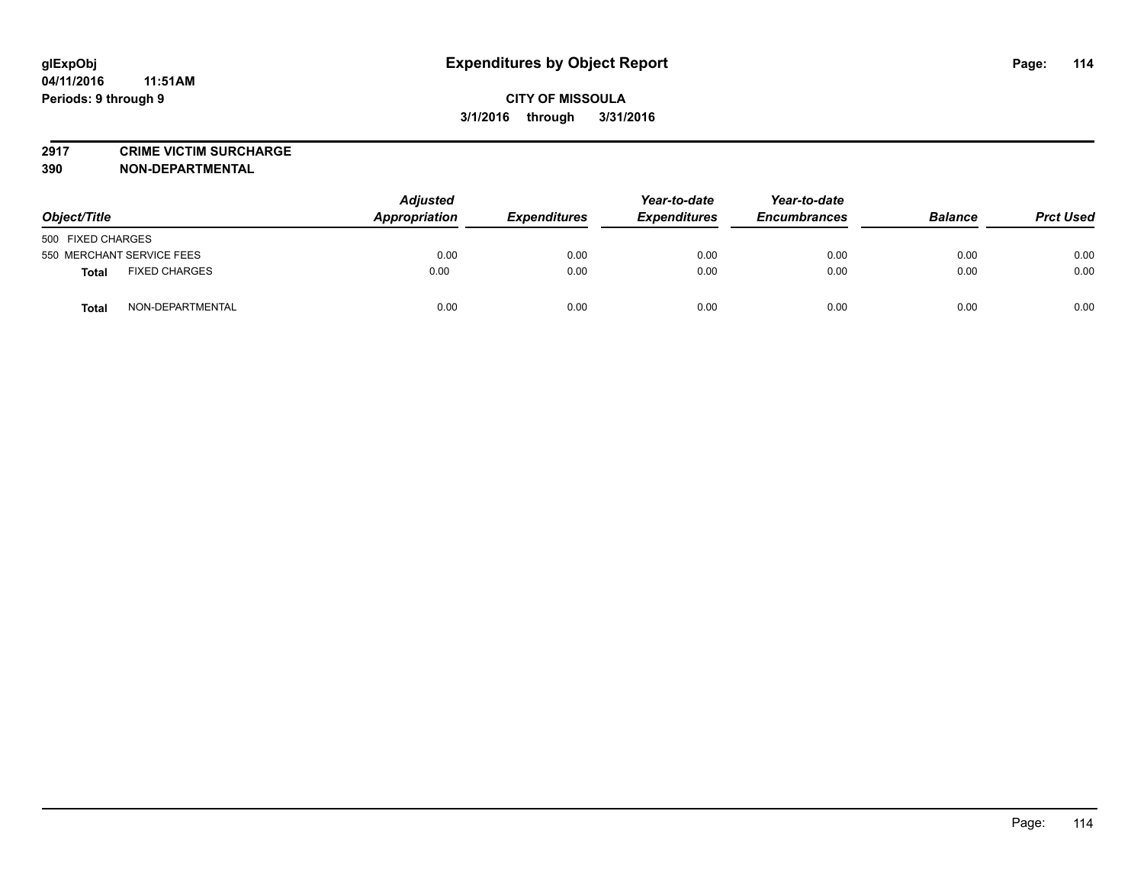**2917 CRIME VICTIM SURCHARGE**

**390 NON-DEPARTMENTAL**

| Object/Title                     | <b>Adjusted</b><br><b>Appropriation</b> | <b>Expenditures</b> | Year-to-date<br><b>Expenditures</b> | Year-to-date<br><b>Encumbrances</b> | <b>Balance</b> | <b>Prct Used</b> |
|----------------------------------|-----------------------------------------|---------------------|-------------------------------------|-------------------------------------|----------------|------------------|
| 500 FIXED CHARGES                |                                         |                     |                                     |                                     |                |                  |
| 550 MERCHANT SERVICE FEES        | 0.00                                    | 0.00                | 0.00                                | 0.00                                | 0.00           | 0.00             |
| <b>FIXED CHARGES</b><br>Total    | 0.00                                    | 0.00                | 0.00                                | 0.00                                | 0.00           | 0.00             |
| NON-DEPARTMENTAL<br><b>Total</b> | 0.00                                    | 0.00                | 0.00                                | 0.00                                | 0.00           | 0.00             |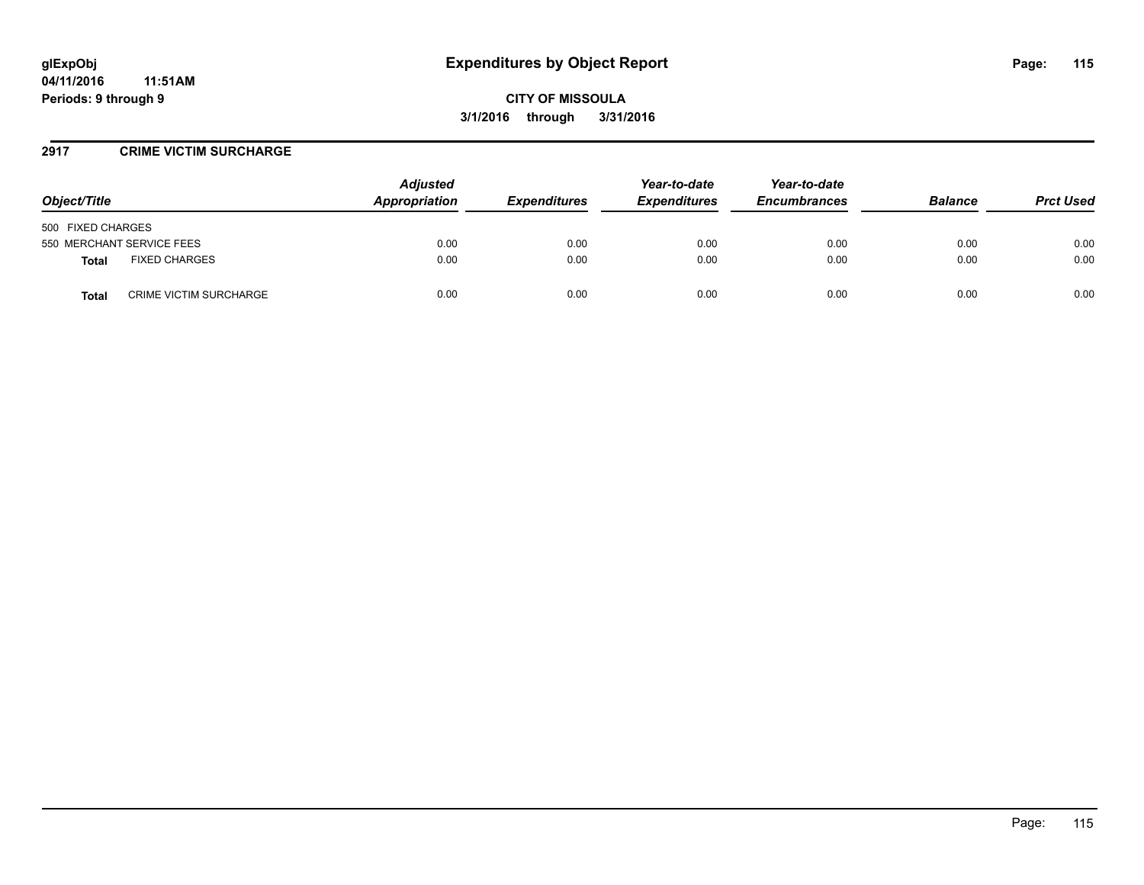### **2917 CRIME VICTIM SURCHARGE**

| Object/Title                                  | <b>Adjusted</b><br>Appropriation | <b>Expenditures</b> | Year-to-date<br><b>Expenditures</b> | Year-to-date<br><b>Encumbrances</b> | <b>Balance</b> | <b>Prct Used</b> |
|-----------------------------------------------|----------------------------------|---------------------|-------------------------------------|-------------------------------------|----------------|------------------|
| 500 FIXED CHARGES                             |                                  |                     |                                     |                                     |                |                  |
| 550 MERCHANT SERVICE FEES                     | 0.00                             | 0.00                | 0.00                                | 0.00                                | 0.00           | 0.00             |
| <b>FIXED CHARGES</b><br>Total                 | 0.00                             | 0.00                | 0.00                                | 0.00                                | 0.00           | 0.00             |
| <b>CRIME VICTIM SURCHARGE</b><br><b>Total</b> | 0.00                             | 0.00                | 0.00                                | 0.00                                | 0.00           | 0.00             |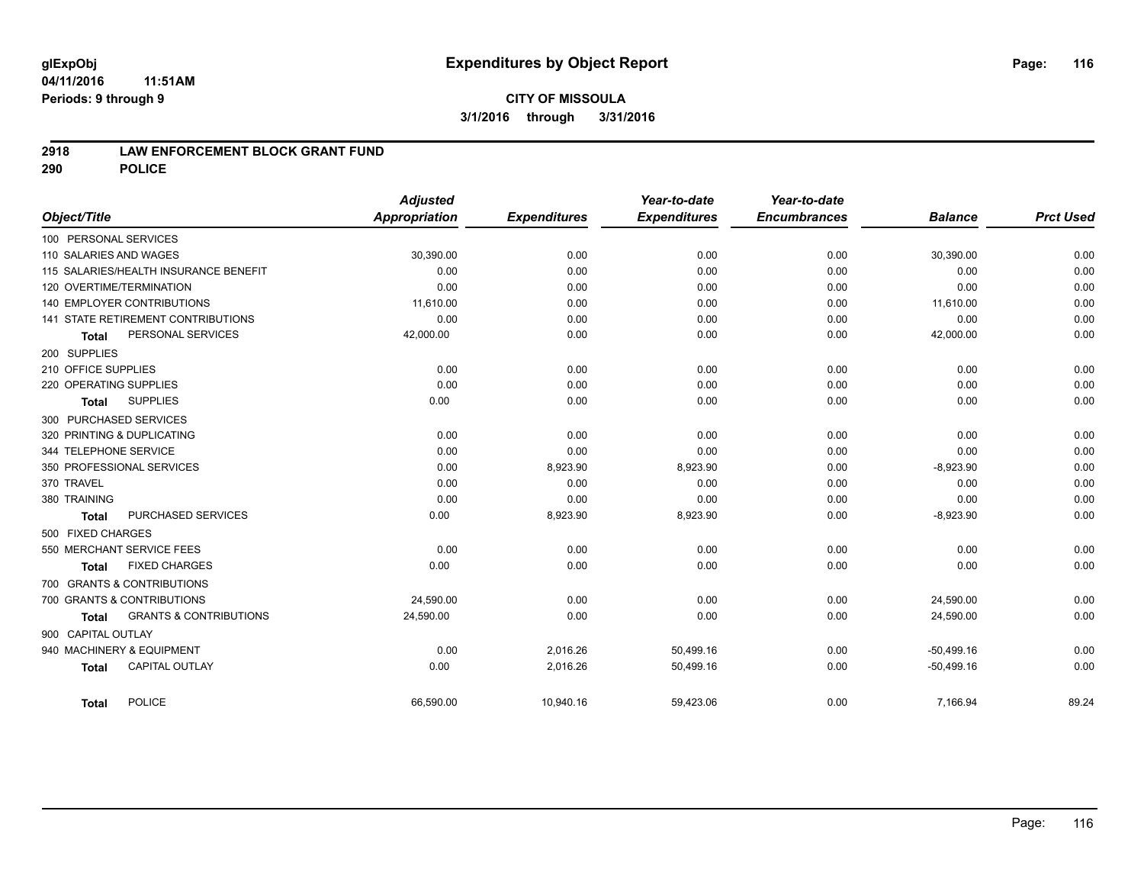## **2918 LAW ENFORCEMENT BLOCK GRANT FUND**

**290 POLICE**

|              |                                                   | <b>Adjusted</b>      |                     | Year-to-date        | Year-to-date        |                |                  |
|--------------|---------------------------------------------------|----------------------|---------------------|---------------------|---------------------|----------------|------------------|
| Object/Title |                                                   | <b>Appropriation</b> | <b>Expenditures</b> | <b>Expenditures</b> | <b>Encumbrances</b> | <b>Balance</b> | <b>Prct Used</b> |
|              | 100 PERSONAL SERVICES                             |                      |                     |                     |                     |                |                  |
|              | 110 SALARIES AND WAGES                            | 30,390.00            | 0.00                | 0.00                | 0.00                | 30,390.00      | 0.00             |
|              | 115 SALARIES/HEALTH INSURANCE BENEFIT             | 0.00                 | 0.00                | 0.00                | 0.00                | 0.00           | 0.00             |
|              | 120 OVERTIME/TERMINATION                          | 0.00                 | 0.00                | 0.00                | 0.00                | 0.00           | 0.00             |
|              | <b>140 EMPLOYER CONTRIBUTIONS</b>                 | 11,610.00            | 0.00                | 0.00                | 0.00                | 11,610.00      | 0.00             |
|              | <b>141 STATE RETIREMENT CONTRIBUTIONS</b>         | 0.00                 | 0.00                | 0.00                | 0.00                | 0.00           | 0.00             |
|              | PERSONAL SERVICES<br><b>Total</b>                 | 42,000.00            | 0.00                | 0.00                | 0.00                | 42,000.00      | 0.00             |
| 200 SUPPLIES |                                                   |                      |                     |                     |                     |                |                  |
|              | 210 OFFICE SUPPLIES                               | 0.00                 | 0.00                | 0.00                | 0.00                | 0.00           | 0.00             |
|              | 220 OPERATING SUPPLIES                            | 0.00                 | 0.00                | 0.00                | 0.00                | 0.00           | 0.00             |
|              | <b>SUPPLIES</b><br><b>Total</b>                   | 0.00                 | 0.00                | 0.00                | 0.00                | 0.00           | 0.00             |
|              | 300 PURCHASED SERVICES                            |                      |                     |                     |                     |                |                  |
|              | 320 PRINTING & DUPLICATING                        | 0.00                 | 0.00                | 0.00                | 0.00                | 0.00           | 0.00             |
|              | 344 TELEPHONE SERVICE                             | 0.00                 | 0.00                | 0.00                | 0.00                | 0.00           | 0.00             |
|              | 350 PROFESSIONAL SERVICES                         | 0.00                 | 8,923.90            | 8,923.90            | 0.00                | $-8,923.90$    | 0.00             |
| 370 TRAVEL   |                                                   | 0.00                 | 0.00                | 0.00                | 0.00                | 0.00           | 0.00             |
| 380 TRAINING |                                                   | 0.00                 | 0.00                | 0.00                | 0.00                | 0.00           | 0.00             |
|              | PURCHASED SERVICES<br><b>Total</b>                | 0.00                 | 8,923.90            | 8,923.90            | 0.00                | $-8,923.90$    | 0.00             |
|              | 500 FIXED CHARGES                                 |                      |                     |                     |                     |                |                  |
|              | 550 MERCHANT SERVICE FEES                         | 0.00                 | 0.00                | 0.00                | 0.00                | 0.00           | 0.00             |
|              | <b>FIXED CHARGES</b><br><b>Total</b>              | 0.00                 | 0.00                | 0.00                | 0.00                | 0.00           | 0.00             |
|              | 700 GRANTS & CONTRIBUTIONS                        |                      |                     |                     |                     |                |                  |
|              | 700 GRANTS & CONTRIBUTIONS                        | 24,590.00            | 0.00                | 0.00                | 0.00                | 24,590.00      | 0.00             |
|              | <b>GRANTS &amp; CONTRIBUTIONS</b><br><b>Total</b> | 24,590.00            | 0.00                | 0.00                | 0.00                | 24,590.00      | 0.00             |
|              | 900 CAPITAL OUTLAY                                |                      |                     |                     |                     |                |                  |
|              | 940 MACHINERY & EQUIPMENT                         | 0.00                 | 2,016.26            | 50,499.16           | 0.00                | $-50,499.16$   | 0.00             |
|              | <b>CAPITAL OUTLAY</b><br><b>Total</b>             | 0.00                 | 2,016.26            | 50,499.16           | 0.00                | $-50,499.16$   | 0.00             |
|              |                                                   |                      |                     |                     |                     |                |                  |
|              | <b>POLICE</b><br><b>Total</b>                     | 66,590.00            | 10,940.16           | 59,423.06           | 0.00                | 7,166.94       | 89.24            |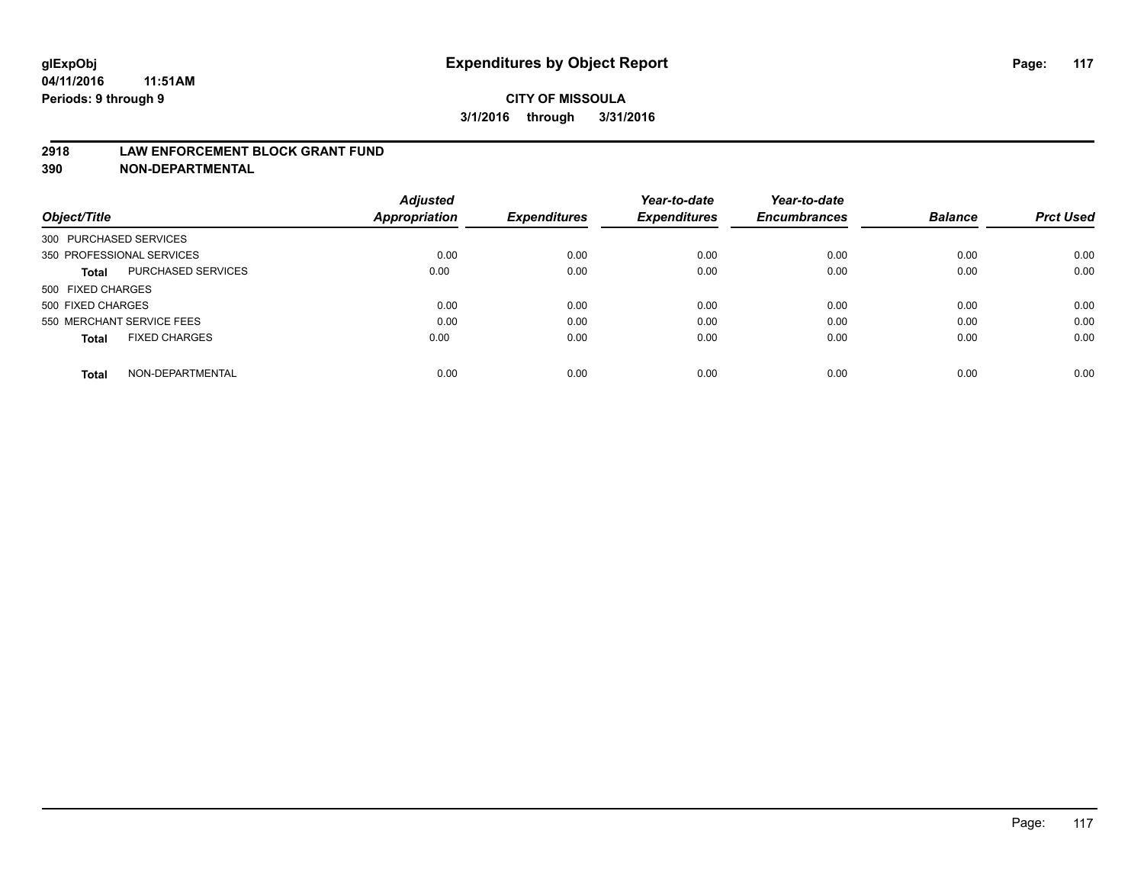#### **2918 LAW ENFORCEMENT BLOCK GRANT FUND**

**390 NON-DEPARTMENTAL**

|                           |                      | <b>Adjusted</b> |                     | Year-to-date        | Year-to-date<br><b>Encumbrances</b> | <b>Balance</b> | <b>Prct Used</b> |
|---------------------------|----------------------|-----------------|---------------------|---------------------|-------------------------------------|----------------|------------------|
| Object/Title              |                      | Appropriation   | <b>Expenditures</b> | <b>Expenditures</b> |                                     |                |                  |
| 300 PURCHASED SERVICES    |                      |                 |                     |                     |                                     |                |                  |
| 350 PROFESSIONAL SERVICES |                      | 0.00            | 0.00                | 0.00                | 0.00                                | 0.00           | 0.00             |
| Total                     | PURCHASED SERVICES   | 0.00            | 0.00                | 0.00                | 0.00                                | 0.00           | 0.00             |
| 500 FIXED CHARGES         |                      |                 |                     |                     |                                     |                |                  |
| 500 FIXED CHARGES         |                      | 0.00            | 0.00                | 0.00                | 0.00                                | 0.00           | 0.00             |
| 550 MERCHANT SERVICE FEES |                      | 0.00            | 0.00                | 0.00                | 0.00                                | 0.00           | 0.00             |
| <b>Total</b>              | <b>FIXED CHARGES</b> | 0.00            | 0.00                | 0.00                | 0.00                                | 0.00           | 0.00             |
| <b>Total</b>              | NON-DEPARTMENTAL     | 0.00            | 0.00                | 0.00                | 0.00                                | 0.00           | 0.00             |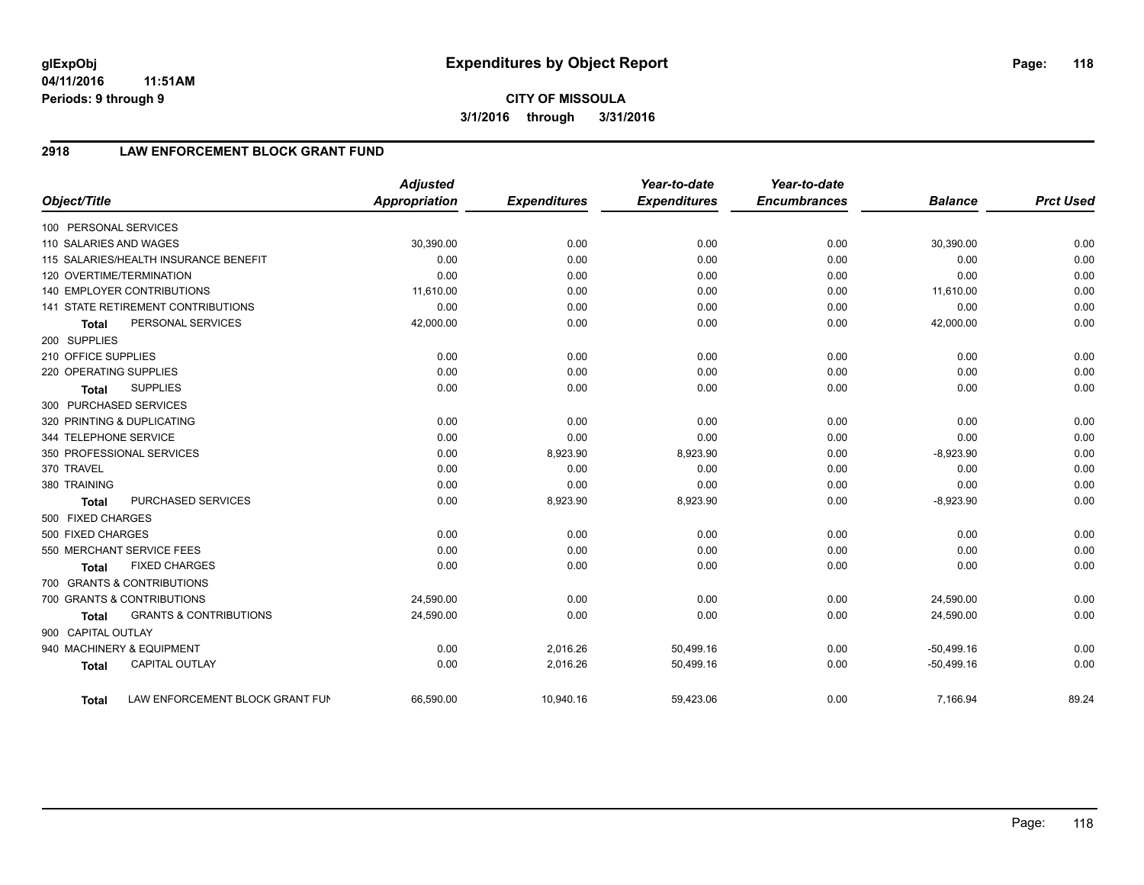# **2918 LAW ENFORCEMENT BLOCK GRANT FUND**

| Object/Title           |                                           | <b>Adjusted</b><br><b>Appropriation</b> | <b>Expenditures</b> | Year-to-date<br><b>Expenditures</b> | Year-to-date<br><b>Encumbrances</b> | <b>Balance</b> | <b>Prct Used</b> |
|------------------------|-------------------------------------------|-----------------------------------------|---------------------|-------------------------------------|-------------------------------------|----------------|------------------|
| 100 PERSONAL SERVICES  |                                           |                                         |                     |                                     |                                     |                |                  |
| 110 SALARIES AND WAGES |                                           | 30,390.00                               | 0.00                | 0.00                                | 0.00                                | 30,390.00      | 0.00             |
|                        | 115 SALARIES/HEALTH INSURANCE BENEFIT     | 0.00                                    | 0.00                | 0.00                                | 0.00                                | 0.00           | 0.00             |
|                        | 120 OVERTIME/TERMINATION                  | 0.00                                    | 0.00                | 0.00                                | 0.00                                | 0.00           | 0.00             |
|                        | 140 EMPLOYER CONTRIBUTIONS                | 11,610.00                               | 0.00                | 0.00                                | 0.00                                | 11,610.00      | 0.00             |
|                        | <b>141 STATE RETIREMENT CONTRIBUTIONS</b> | 0.00                                    | 0.00                | 0.00                                | 0.00                                | 0.00           | 0.00             |
| <b>Total</b>           | PERSONAL SERVICES                         | 42,000.00                               | 0.00                | 0.00                                | 0.00                                | 42,000.00      | 0.00             |
| 200 SUPPLIES           |                                           |                                         |                     |                                     |                                     |                |                  |
| 210 OFFICE SUPPLIES    |                                           | 0.00                                    | 0.00                | 0.00                                | 0.00                                | 0.00           | 0.00             |
| 220 OPERATING SUPPLIES |                                           | 0.00                                    | 0.00                | 0.00                                | 0.00                                | 0.00           | 0.00             |
| <b>Total</b>           | <b>SUPPLIES</b>                           | 0.00                                    | 0.00                | 0.00                                | 0.00                                | 0.00           | 0.00             |
|                        | 300 PURCHASED SERVICES                    |                                         |                     |                                     |                                     |                |                  |
|                        | 320 PRINTING & DUPLICATING                | 0.00                                    | 0.00                | 0.00                                | 0.00                                | 0.00           | 0.00             |
| 344 TELEPHONE SERVICE  |                                           | 0.00                                    | 0.00                | 0.00                                | 0.00                                | 0.00           | 0.00             |
|                        | 350 PROFESSIONAL SERVICES                 | 0.00                                    | 8,923.90            | 8,923.90                            | 0.00                                | $-8,923.90$    | 0.00             |
| 370 TRAVEL             |                                           | 0.00                                    | 0.00                | 0.00                                | 0.00                                | 0.00           | 0.00             |
| 380 TRAINING           |                                           | 0.00                                    | 0.00                | 0.00                                | 0.00                                | 0.00           | 0.00             |
| <b>Total</b>           | PURCHASED SERVICES                        | 0.00                                    | 8,923.90            | 8,923.90                            | 0.00                                | $-8,923.90$    | 0.00             |
| 500 FIXED CHARGES      |                                           |                                         |                     |                                     |                                     |                |                  |
| 500 FIXED CHARGES      |                                           | 0.00                                    | 0.00                | 0.00                                | 0.00                                | 0.00           | 0.00             |
|                        | 550 MERCHANT SERVICE FEES                 | 0.00                                    | 0.00                | 0.00                                | 0.00                                | 0.00           | 0.00             |
| <b>Total</b>           | <b>FIXED CHARGES</b>                      | 0.00                                    | 0.00                | 0.00                                | 0.00                                | 0.00           | 0.00             |
|                        | 700 GRANTS & CONTRIBUTIONS                |                                         |                     |                                     |                                     |                |                  |
|                        | 700 GRANTS & CONTRIBUTIONS                | 24,590.00                               | 0.00                | 0.00                                | 0.00                                | 24,590.00      | 0.00             |
| <b>Total</b>           | <b>GRANTS &amp; CONTRIBUTIONS</b>         | 24,590.00                               | 0.00                | 0.00                                | 0.00                                | 24,590.00      | 0.00             |
| 900 CAPITAL OUTLAY     |                                           |                                         |                     |                                     |                                     |                |                  |
|                        | 940 MACHINERY & EQUIPMENT                 | 0.00                                    | 2,016.26            | 50,499.16                           | 0.00                                | $-50,499.16$   | 0.00             |
| <b>Total</b>           | <b>CAPITAL OUTLAY</b>                     | 0.00                                    | 2,016.26            | 50,499.16                           | 0.00                                | $-50,499.16$   | 0.00             |
| <b>Total</b>           | LAW ENFORCEMENT BLOCK GRANT FUN           | 66,590.00                               | 10,940.16           | 59,423.06                           | 0.00                                | 7,166.94       | 89.24            |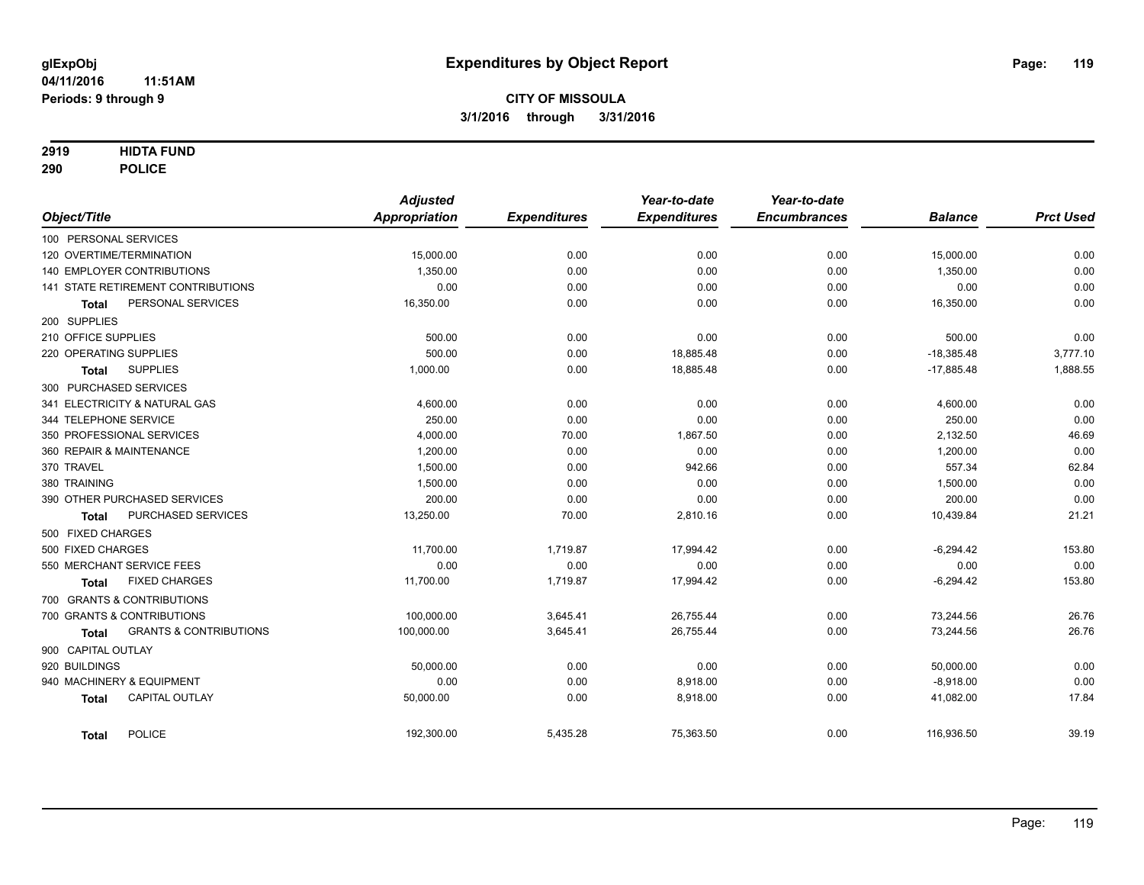## **2919 HIDTA FUND**

**290 POLICE**

|                                            | <b>Adjusted</b>      |                     | Year-to-date        | Year-to-date        |                |                  |
|--------------------------------------------|----------------------|---------------------|---------------------|---------------------|----------------|------------------|
| Object/Title                               | <b>Appropriation</b> | <b>Expenditures</b> | <b>Expenditures</b> | <b>Encumbrances</b> | <b>Balance</b> | <b>Prct Used</b> |
| 100 PERSONAL SERVICES                      |                      |                     |                     |                     |                |                  |
| 120 OVERTIME/TERMINATION                   | 15,000.00            | 0.00                | 0.00                | 0.00                | 15,000.00      | 0.00             |
| 140 EMPLOYER CONTRIBUTIONS                 | 1,350.00             | 0.00                | 0.00                | 0.00                | 1,350.00       | 0.00             |
| 141 STATE RETIREMENT CONTRIBUTIONS         | 0.00                 | 0.00                | 0.00                | 0.00                | 0.00           | 0.00             |
| PERSONAL SERVICES<br><b>Total</b>          | 16,350.00            | 0.00                | 0.00                | 0.00                | 16,350.00      | 0.00             |
| 200 SUPPLIES                               |                      |                     |                     |                     |                |                  |
| 210 OFFICE SUPPLIES                        | 500.00               | 0.00                | 0.00                | 0.00                | 500.00         | 0.00             |
| 220 OPERATING SUPPLIES                     | 500.00               | 0.00                | 18,885.48           | 0.00                | $-18,385.48$   | 3,777.10         |
| <b>SUPPLIES</b><br><b>Total</b>            | 1,000.00             | 0.00                | 18,885.48           | 0.00                | $-17,885.48$   | 1,888.55         |
| 300 PURCHASED SERVICES                     |                      |                     |                     |                     |                |                  |
| 341 ELECTRICITY & NATURAL GAS              | 4,600.00             | 0.00                | 0.00                | 0.00                | 4,600.00       | 0.00             |
| 344 TELEPHONE SERVICE                      | 250.00               | 0.00                | 0.00                | 0.00                | 250.00         | 0.00             |
| 350 PROFESSIONAL SERVICES                  | 4,000.00             | 70.00               | 1,867.50            | 0.00                | 2,132.50       | 46.69            |
| 360 REPAIR & MAINTENANCE                   | 1,200.00             | 0.00                | 0.00                | 0.00                | 1,200.00       | 0.00             |
| 370 TRAVEL                                 | 1,500.00             | 0.00                | 942.66              | 0.00                | 557.34         | 62.84            |
| 380 TRAINING                               | 1,500.00             | 0.00                | 0.00                | 0.00                | 1,500.00       | 0.00             |
| 390 OTHER PURCHASED SERVICES               | 200.00               | 0.00                | 0.00                | 0.00                | 200.00         | 0.00             |
| PURCHASED SERVICES<br><b>Total</b>         | 13,250.00            | 70.00               | 2,810.16            | 0.00                | 10,439.84      | 21.21            |
| 500 FIXED CHARGES                          |                      |                     |                     |                     |                |                  |
| 500 FIXED CHARGES                          | 11,700.00            | 1,719.87            | 17,994.42           | 0.00                | $-6,294.42$    | 153.80           |
| 550 MERCHANT SERVICE FEES                  | 0.00                 | 0.00                | 0.00                | 0.00                | 0.00           | 0.00             |
| <b>FIXED CHARGES</b><br>Total              | 11,700.00            | 1,719.87            | 17,994.42           | 0.00                | $-6,294.42$    | 153.80           |
| 700 GRANTS & CONTRIBUTIONS                 |                      |                     |                     |                     |                |                  |
| 700 GRANTS & CONTRIBUTIONS                 | 100,000.00           | 3,645.41            | 26,755.44           | 0.00                | 73,244.56      | 26.76            |
| <b>GRANTS &amp; CONTRIBUTIONS</b><br>Total | 100,000.00           | 3,645.41            | 26,755.44           | 0.00                | 73,244.56      | 26.76            |
| 900 CAPITAL OUTLAY                         |                      |                     |                     |                     |                |                  |
| 920 BUILDINGS                              | 50,000.00            | 0.00                | 0.00                | 0.00                | 50,000.00      | 0.00             |
| 940 MACHINERY & EQUIPMENT                  | 0.00                 | 0.00                | 8,918.00            | 0.00                | $-8,918.00$    | 0.00             |
| <b>CAPITAL OUTLAY</b><br><b>Total</b>      | 50,000.00            | 0.00                | 8,918.00            | 0.00                | 41,082.00      | 17.84            |
| <b>POLICE</b><br><b>Total</b>              | 192,300.00           | 5,435.28            | 75,363.50           | 0.00                | 116,936.50     | 39.19            |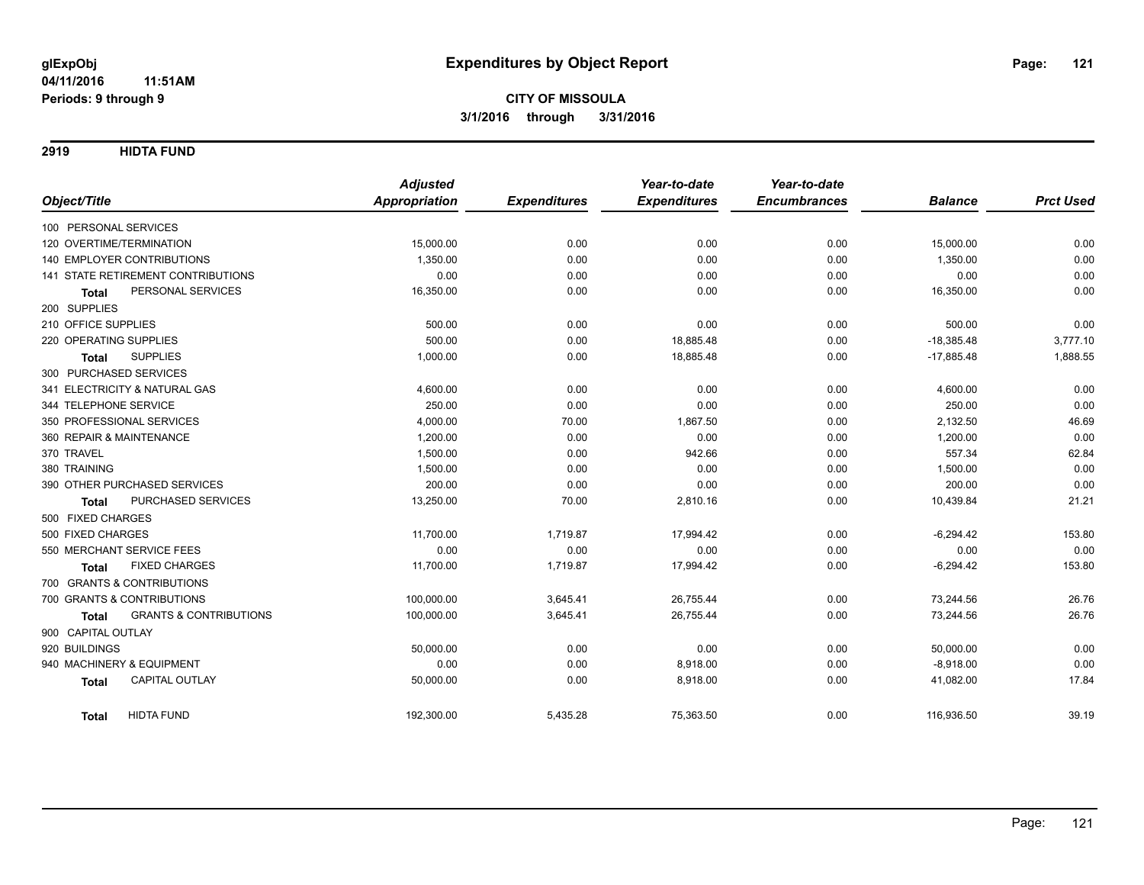**2919 HIDTA FUND**

|                                                   | <b>Adjusted</b>      |                     | Year-to-date        | Year-to-date        |                |                  |
|---------------------------------------------------|----------------------|---------------------|---------------------|---------------------|----------------|------------------|
| Object/Title                                      | <b>Appropriation</b> | <b>Expenditures</b> | <b>Expenditures</b> | <b>Encumbrances</b> | <b>Balance</b> | <b>Prct Used</b> |
| 100 PERSONAL SERVICES                             |                      |                     |                     |                     |                |                  |
| 120 OVERTIME/TERMINATION                          | 15,000.00            | 0.00                | 0.00                | 0.00                | 15,000.00      | 0.00             |
| <b>140 EMPLOYER CONTRIBUTIONS</b>                 | 1,350.00             | 0.00                | 0.00                | 0.00                | 1,350.00       | 0.00             |
| 141 STATE RETIREMENT CONTRIBUTIONS                | 0.00                 | 0.00                | 0.00                | 0.00                | 0.00           | 0.00             |
| PERSONAL SERVICES<br><b>Total</b>                 | 16,350.00            | 0.00                | 0.00                | 0.00                | 16,350.00      | 0.00             |
| 200 SUPPLIES                                      |                      |                     |                     |                     |                |                  |
| 210 OFFICE SUPPLIES                               | 500.00               | 0.00                | 0.00                | 0.00                | 500.00         | 0.00             |
| 220 OPERATING SUPPLIES                            | 500.00               | 0.00                | 18,885.48           | 0.00                | $-18,385.48$   | 3,777.10         |
| <b>SUPPLIES</b><br><b>Total</b>                   | 1,000.00             | 0.00                | 18,885.48           | 0.00                | $-17,885.48$   | 1,888.55         |
| 300 PURCHASED SERVICES                            |                      |                     |                     |                     |                |                  |
| 341 ELECTRICITY & NATURAL GAS                     | 4,600.00             | 0.00                | 0.00                | 0.00                | 4,600.00       | 0.00             |
| 344 TELEPHONE SERVICE                             | 250.00               | 0.00                | 0.00                | 0.00                | 250.00         | 0.00             |
| 350 PROFESSIONAL SERVICES                         | 4,000.00             | 70.00               | 1,867.50            | 0.00                | 2,132.50       | 46.69            |
| 360 REPAIR & MAINTENANCE                          | 1,200.00             | 0.00                | 0.00                | 0.00                | 1,200.00       | 0.00             |
| 370 TRAVEL                                        | 1,500.00             | 0.00                | 942.66              | 0.00                | 557.34         | 62.84            |
| 380 TRAINING                                      | 1,500.00             | 0.00                | 0.00                | 0.00                | 1,500.00       | 0.00             |
| 390 OTHER PURCHASED SERVICES                      | 200.00               | 0.00                | 0.00                | 0.00                | 200.00         | 0.00             |
| PURCHASED SERVICES<br><b>Total</b>                | 13,250.00            | 70.00               | 2,810.16            | 0.00                | 10,439.84      | 21.21            |
| 500 FIXED CHARGES                                 |                      |                     |                     |                     |                |                  |
| 500 FIXED CHARGES                                 | 11,700.00            | 1,719.87            | 17,994.42           | 0.00                | $-6,294.42$    | 153.80           |
| 550 MERCHANT SERVICE FEES                         | 0.00                 | 0.00                | 0.00                | 0.00                | 0.00           | 0.00             |
| <b>FIXED CHARGES</b><br><b>Total</b>              | 11,700.00            | 1,719.87            | 17,994.42           | 0.00                | $-6,294.42$    | 153.80           |
| 700 GRANTS & CONTRIBUTIONS                        |                      |                     |                     |                     |                |                  |
| 700 GRANTS & CONTRIBUTIONS                        | 100,000.00           | 3,645.41            | 26,755.44           | 0.00                | 73,244.56      | 26.76            |
| <b>GRANTS &amp; CONTRIBUTIONS</b><br><b>Total</b> | 100,000.00           | 3,645.41            | 26,755.44           | 0.00                | 73,244.56      | 26.76            |
| 900 CAPITAL OUTLAY                                |                      |                     |                     |                     |                |                  |
| 920 BUILDINGS                                     | 50,000.00            | 0.00                | 0.00                | 0.00                | 50,000.00      | 0.00             |
| 940 MACHINERY & EQUIPMENT                         | 0.00                 | 0.00                | 8,918.00            | 0.00                | $-8,918.00$    | 0.00             |
| <b>CAPITAL OUTLAY</b><br><b>Total</b>             | 50,000.00            | 0.00                | 8,918.00            | 0.00                | 41,082.00      | 17.84            |
| <b>HIDTA FUND</b><br><b>Total</b>                 | 192,300.00           | 5,435.28            | 75,363.50           | 0.00                | 116,936.50     | 39.19            |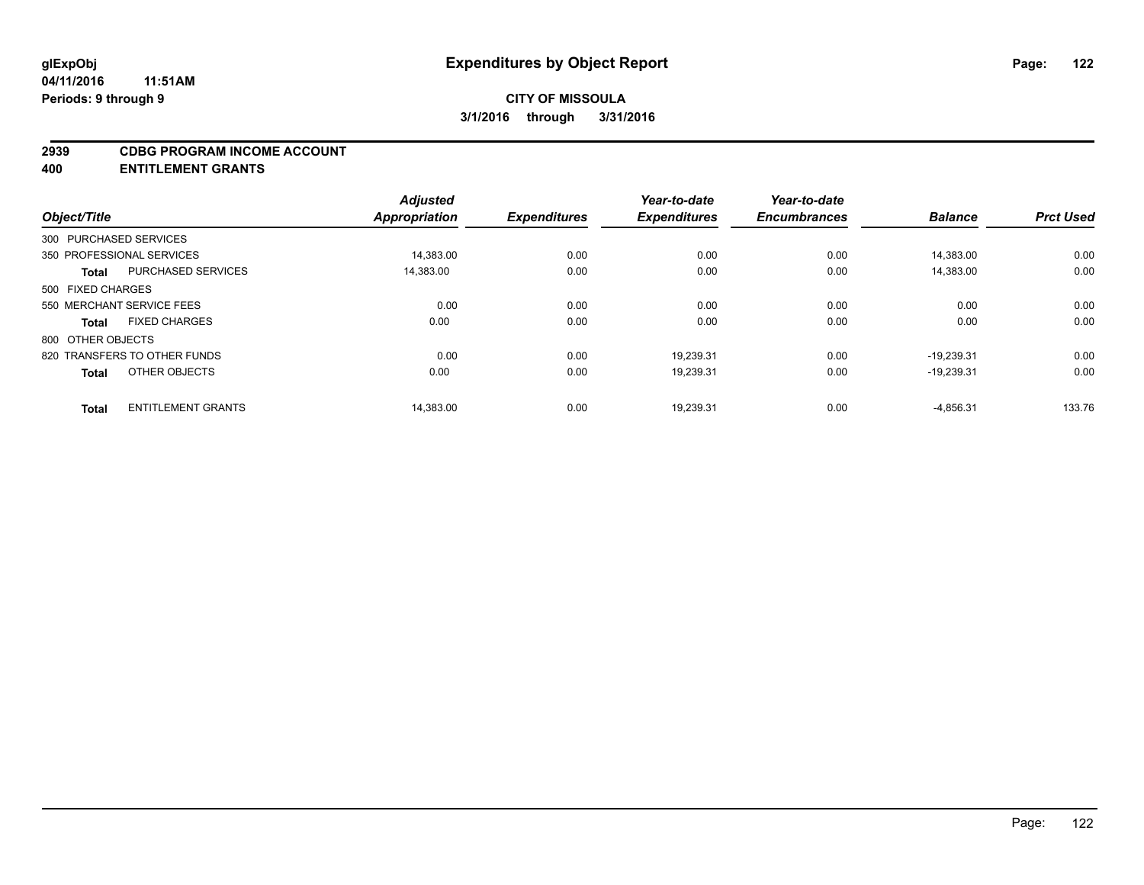#### **2939 CDBG PROGRAM INCOME ACCOUNT**

**400 ENTITLEMENT GRANTS**

| Object/Title           |                              | <b>Adjusted</b><br><b>Appropriation</b> | <b>Expenditures</b> | Year-to-date<br><b>Expenditures</b> | Year-to-date<br><b>Encumbrances</b> | <b>Balance</b> | <b>Prct Used</b> |
|------------------------|------------------------------|-----------------------------------------|---------------------|-------------------------------------|-------------------------------------|----------------|------------------|
|                        |                              |                                         |                     |                                     |                                     |                |                  |
| 300 PURCHASED SERVICES |                              |                                         |                     |                                     |                                     |                |                  |
|                        | 350 PROFESSIONAL SERVICES    | 14,383.00                               | 0.00                | 0.00                                | 0.00                                | 14,383.00      | 0.00             |
| <b>Total</b>           | PURCHASED SERVICES           | 14,383.00                               | 0.00                | 0.00                                | 0.00                                | 14.383.00      | 0.00             |
| 500 FIXED CHARGES      |                              |                                         |                     |                                     |                                     |                |                  |
|                        | 550 MERCHANT SERVICE FEES    | 0.00                                    | 0.00                | 0.00                                | 0.00                                | 0.00           | 0.00             |
| <b>Total</b>           | <b>FIXED CHARGES</b>         | 0.00                                    | 0.00                | 0.00                                | 0.00                                | 0.00           | 0.00             |
| 800 OTHER OBJECTS      |                              |                                         |                     |                                     |                                     |                |                  |
|                        | 820 TRANSFERS TO OTHER FUNDS | 0.00                                    | 0.00                | 19.239.31                           | 0.00                                | $-19.239.31$   | 0.00             |
| <b>Total</b>           | OTHER OBJECTS                | 0.00                                    | 0.00                | 19,239.31                           | 0.00                                | $-19,239.31$   | 0.00             |
|                        |                              |                                         |                     |                                     |                                     |                |                  |
| <b>Total</b>           | <b>ENTITLEMENT GRANTS</b>    | 14,383.00                               | 0.00                | 19,239.31                           | 0.00                                | $-4,856.31$    | 133.76           |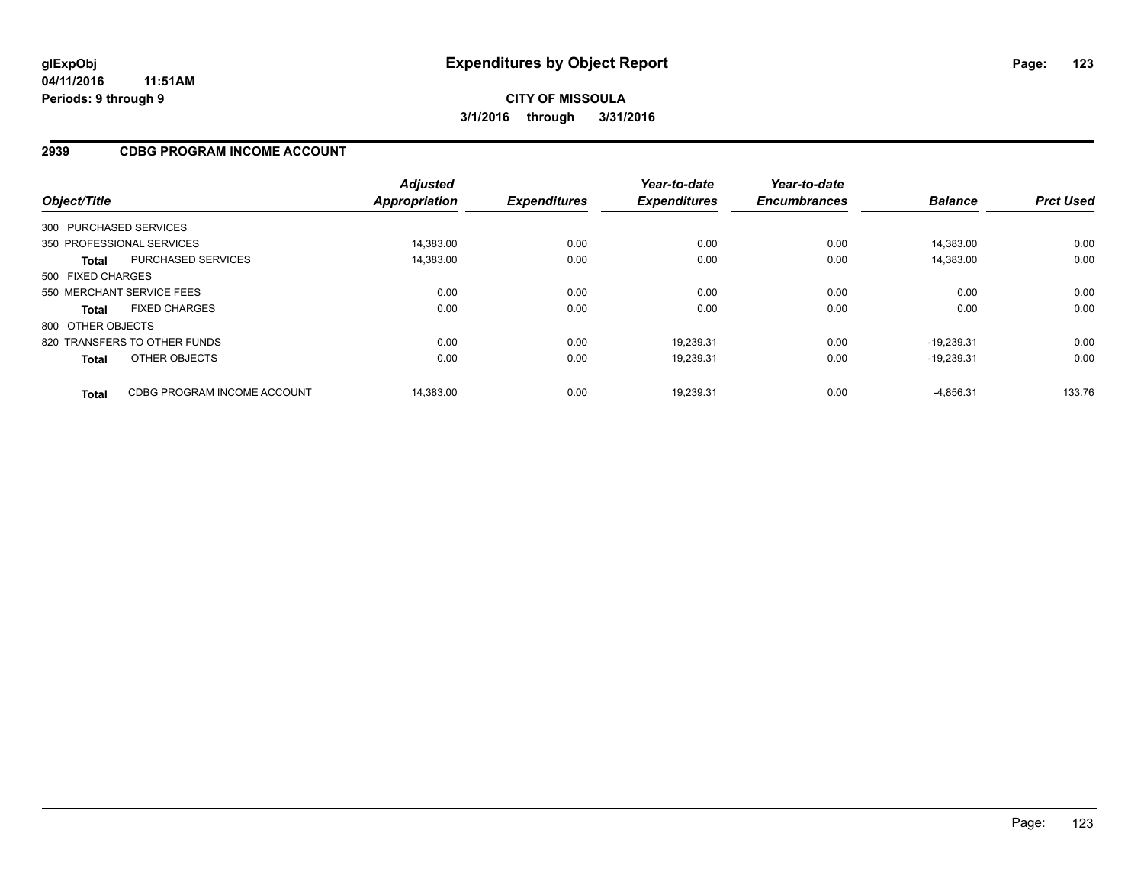## **2939 CDBG PROGRAM INCOME ACCOUNT**

| Object/Title      |                              | <b>Adjusted</b><br><b>Appropriation</b> | <b>Expenditures</b> | Year-to-date<br><b>Expenditures</b> | Year-to-date<br><b>Encumbrances</b> | <b>Balance</b> | <b>Prct Used</b> |
|-------------------|------------------------------|-----------------------------------------|---------------------|-------------------------------------|-------------------------------------|----------------|------------------|
|                   | 300 PURCHASED SERVICES       |                                         |                     |                                     |                                     |                |                  |
|                   | 350 PROFESSIONAL SERVICES    | 14.383.00                               | 0.00                | 0.00                                | 0.00                                | 14.383.00      | 0.00             |
| <b>Total</b>      | PURCHASED SERVICES           | 14,383.00                               | 0.00                | 0.00                                | 0.00                                | 14.383.00      | 0.00             |
| 500 FIXED CHARGES |                              |                                         |                     |                                     |                                     |                |                  |
|                   | 550 MERCHANT SERVICE FEES    | 0.00                                    | 0.00                | 0.00                                | 0.00                                | 0.00           | 0.00             |
| <b>Total</b>      | <b>FIXED CHARGES</b>         | 0.00                                    | 0.00                | 0.00                                | 0.00                                | 0.00           | 0.00             |
| 800 OTHER OBJECTS |                              |                                         |                     |                                     |                                     |                |                  |
|                   | 820 TRANSFERS TO OTHER FUNDS | 0.00                                    | 0.00                | 19.239.31                           | 0.00                                | $-19.239.31$   | 0.00             |
| <b>Total</b>      | OTHER OBJECTS                | 0.00                                    | 0.00                | 19,239.31                           | 0.00                                | $-19.239.31$   | 0.00             |
| <b>Total</b>      | CDBG PROGRAM INCOME ACCOUNT  | 14.383.00                               | 0.00                | 19.239.31                           | 0.00                                | $-4.856.31$    | 133.76           |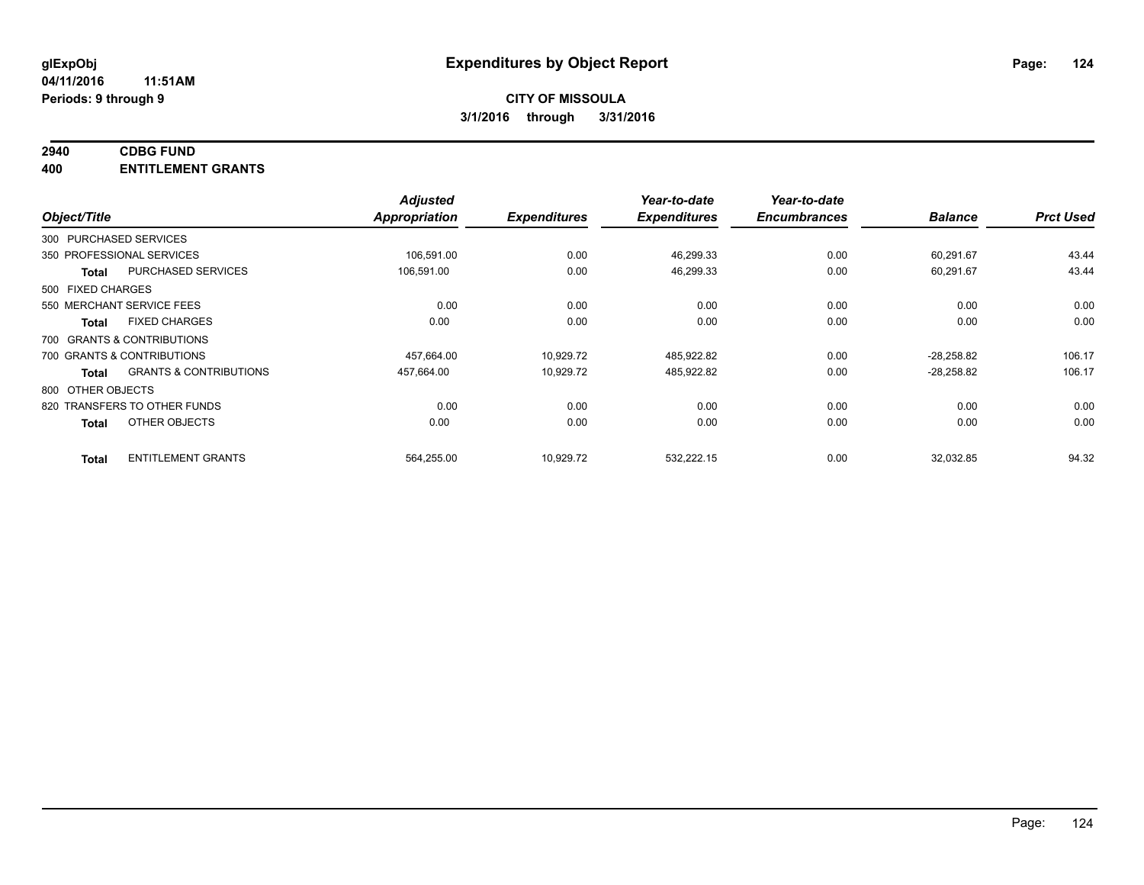## **2940 CDBG FUND**

**400 ENTITLEMENT GRANTS**

| Object/Title               |                                   | <b>Adjusted</b><br>Appropriation | <b>Expenditures</b> | Year-to-date<br><b>Expenditures</b> | Year-to-date<br><b>Encumbrances</b> | <b>Balance</b> | <b>Prct Used</b> |
|----------------------------|-----------------------------------|----------------------------------|---------------------|-------------------------------------|-------------------------------------|----------------|------------------|
| 300 PURCHASED SERVICES     |                                   |                                  |                     |                                     |                                     |                |                  |
| 350 PROFESSIONAL SERVICES  |                                   | 106,591.00                       | 0.00                | 46,299.33                           | 0.00                                | 60,291.67      | 43.44            |
| <b>Total</b>               | <b>PURCHASED SERVICES</b>         | 106,591.00                       | 0.00                | 46,299.33                           | 0.00                                | 60,291.67      | 43.44            |
| 500 FIXED CHARGES          |                                   |                                  |                     |                                     |                                     |                |                  |
| 550 MERCHANT SERVICE FEES  |                                   | 0.00                             | 0.00                | 0.00                                | 0.00                                | 0.00           | 0.00             |
| <b>Total</b>               | <b>FIXED CHARGES</b>              | 0.00                             | 0.00                | 0.00                                | 0.00                                | 0.00           | 0.00             |
| 700 GRANTS & CONTRIBUTIONS |                                   |                                  |                     |                                     |                                     |                |                  |
| 700 GRANTS & CONTRIBUTIONS |                                   | 457,664.00                       | 10,929.72           | 485,922.82                          | 0.00                                | $-28,258.82$   | 106.17           |
| Total                      | <b>GRANTS &amp; CONTRIBUTIONS</b> | 457,664.00                       | 10,929.72           | 485,922.82                          | 0.00                                | $-28,258.82$   | 106.17           |
| 800 OTHER OBJECTS          |                                   |                                  |                     |                                     |                                     |                |                  |
|                            | 820 TRANSFERS TO OTHER FUNDS      | 0.00                             | 0.00                | 0.00                                | 0.00                                | 0.00           | 0.00             |
| <b>Total</b>               | OTHER OBJECTS                     | 0.00                             | 0.00                | 0.00                                | 0.00                                | 0.00           | 0.00             |
| <b>Total</b>               | <b>ENTITLEMENT GRANTS</b>         | 564,255.00                       | 10,929.72           | 532,222.15                          | 0.00                                | 32,032.85      | 94.32            |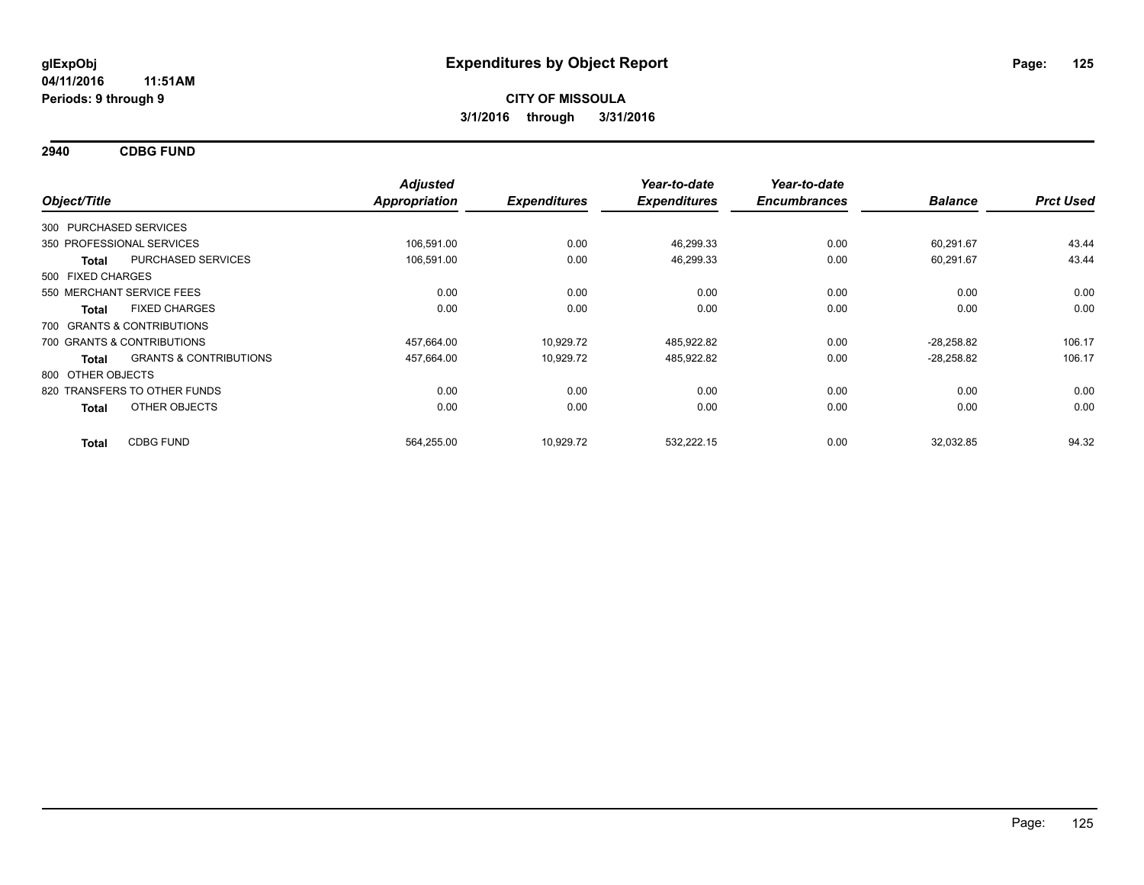**2940 CDBG FUND**

| Object/Title                                      | <b>Adjusted</b><br><b>Appropriation</b> | <b>Expenditures</b> | Year-to-date<br><b>Expenditures</b> | Year-to-date<br><b>Encumbrances</b> | <b>Balance</b> | <b>Prct Used</b> |
|---------------------------------------------------|-----------------------------------------|---------------------|-------------------------------------|-------------------------------------|----------------|------------------|
| 300 PURCHASED SERVICES                            |                                         |                     |                                     |                                     |                |                  |
| 350 PROFESSIONAL SERVICES                         | 106,591.00                              | 0.00                | 46,299.33                           | 0.00                                | 60,291.67      | 43.44            |
| PURCHASED SERVICES<br><b>Total</b>                | 106,591.00                              | 0.00                | 46,299.33                           | 0.00                                | 60,291.67      | 43.44            |
| 500 FIXED CHARGES                                 |                                         |                     |                                     |                                     |                |                  |
| 550 MERCHANT SERVICE FEES                         | 0.00                                    | 0.00                | 0.00                                | 0.00                                | 0.00           | 0.00             |
| <b>FIXED CHARGES</b><br><b>Total</b>              | 0.00                                    | 0.00                | 0.00                                | 0.00                                | 0.00           | 0.00             |
| 700 GRANTS & CONTRIBUTIONS                        |                                         |                     |                                     |                                     |                |                  |
| 700 GRANTS & CONTRIBUTIONS                        | 457,664.00                              | 10,929.72           | 485,922.82                          | 0.00                                | $-28,258.82$   | 106.17           |
| <b>GRANTS &amp; CONTRIBUTIONS</b><br><b>Total</b> | 457,664.00                              | 10,929.72           | 485,922.82                          | 0.00                                | $-28,258.82$   | 106.17           |
| 800 OTHER OBJECTS                                 |                                         |                     |                                     |                                     |                |                  |
| 820 TRANSFERS TO OTHER FUNDS                      | 0.00                                    | 0.00                | 0.00                                | 0.00                                | 0.00           | 0.00             |
| OTHER OBJECTS<br><b>Total</b>                     | 0.00                                    | 0.00                | 0.00                                | 0.00                                | 0.00           | 0.00             |
| <b>CDBG FUND</b><br><b>Total</b>                  | 564,255.00                              | 10,929.72           | 532,222.15                          | 0.00                                | 32,032.85      | 94.32            |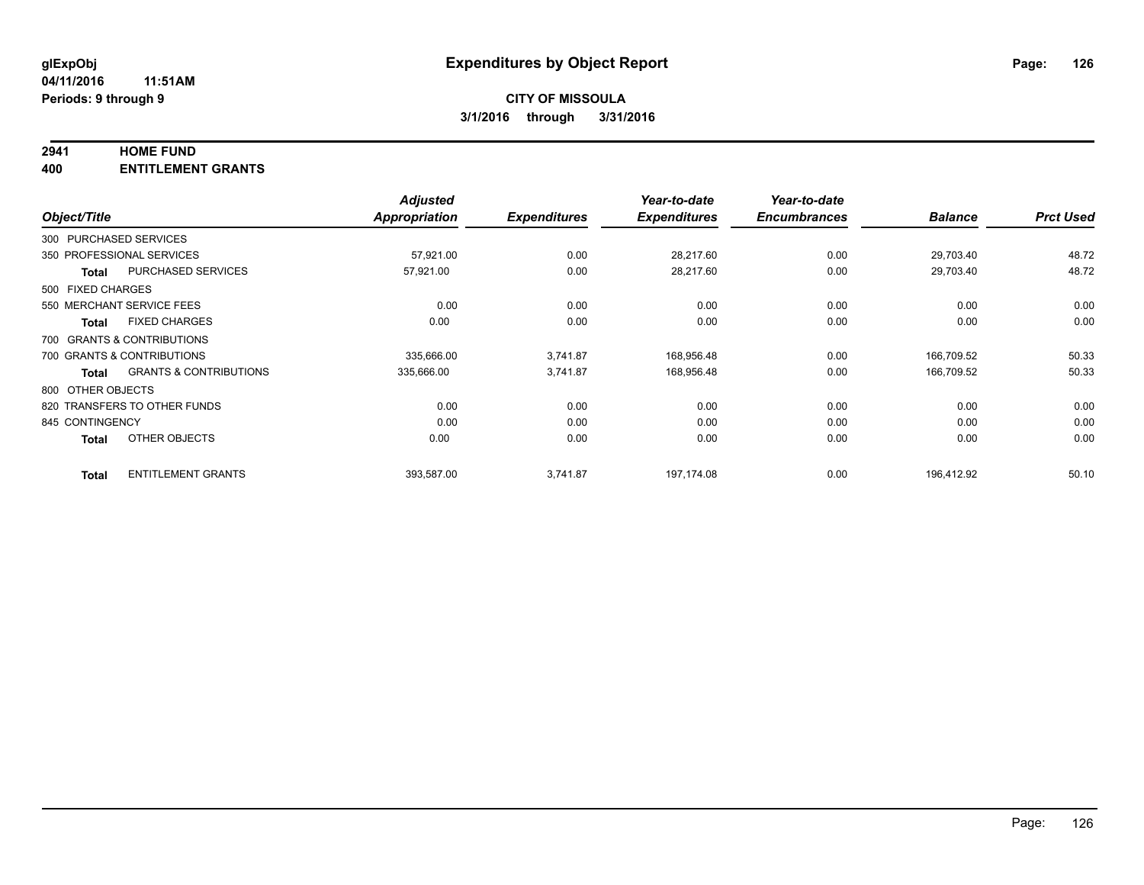#### **2941 HOME FUND**

**400 ENTITLEMENT GRANTS**

| Object/Title      |                                   | <b>Adjusted</b><br>Appropriation | <b>Expenditures</b> | Year-to-date<br><b>Expenditures</b> | Year-to-date<br><b>Encumbrances</b> | <b>Balance</b> | <b>Prct Used</b> |
|-------------------|-----------------------------------|----------------------------------|---------------------|-------------------------------------|-------------------------------------|----------------|------------------|
|                   | 300 PURCHASED SERVICES            |                                  |                     |                                     |                                     |                |                  |
|                   | 350 PROFESSIONAL SERVICES         | 57,921.00                        | 0.00                | 28,217.60                           | 0.00                                | 29,703.40      | 48.72            |
| <b>Total</b>      | <b>PURCHASED SERVICES</b>         | 57,921.00                        | 0.00                | 28,217.60                           | 0.00                                | 29,703.40      | 48.72            |
| 500 FIXED CHARGES |                                   |                                  |                     |                                     |                                     |                |                  |
|                   | 550 MERCHANT SERVICE FEES         | 0.00                             | 0.00                | 0.00                                | 0.00                                | 0.00           | 0.00             |
| <b>Total</b>      | <b>FIXED CHARGES</b>              | 0.00                             | 0.00                | 0.00                                | 0.00                                | 0.00           | 0.00             |
|                   | 700 GRANTS & CONTRIBUTIONS        |                                  |                     |                                     |                                     |                |                  |
|                   | 700 GRANTS & CONTRIBUTIONS        | 335,666.00                       | 3,741.87            | 168,956.48                          | 0.00                                | 166.709.52     | 50.33            |
| <b>Total</b>      | <b>GRANTS &amp; CONTRIBUTIONS</b> | 335,666.00                       | 3,741.87            | 168,956.48                          | 0.00                                | 166,709.52     | 50.33            |
| 800 OTHER OBJECTS |                                   |                                  |                     |                                     |                                     |                |                  |
|                   | 820 TRANSFERS TO OTHER FUNDS      | 0.00                             | 0.00                | 0.00                                | 0.00                                | 0.00           | 0.00             |
| 845 CONTINGENCY   |                                   | 0.00                             | 0.00                | 0.00                                | 0.00                                | 0.00           | 0.00             |
| <b>Total</b>      | OTHER OBJECTS                     | 0.00                             | 0.00                | 0.00                                | 0.00                                | 0.00           | 0.00             |
| <b>Total</b>      | <b>ENTITLEMENT GRANTS</b>         | 393,587.00                       | 3,741.87            | 197.174.08                          | 0.00                                | 196,412.92     | 50.10            |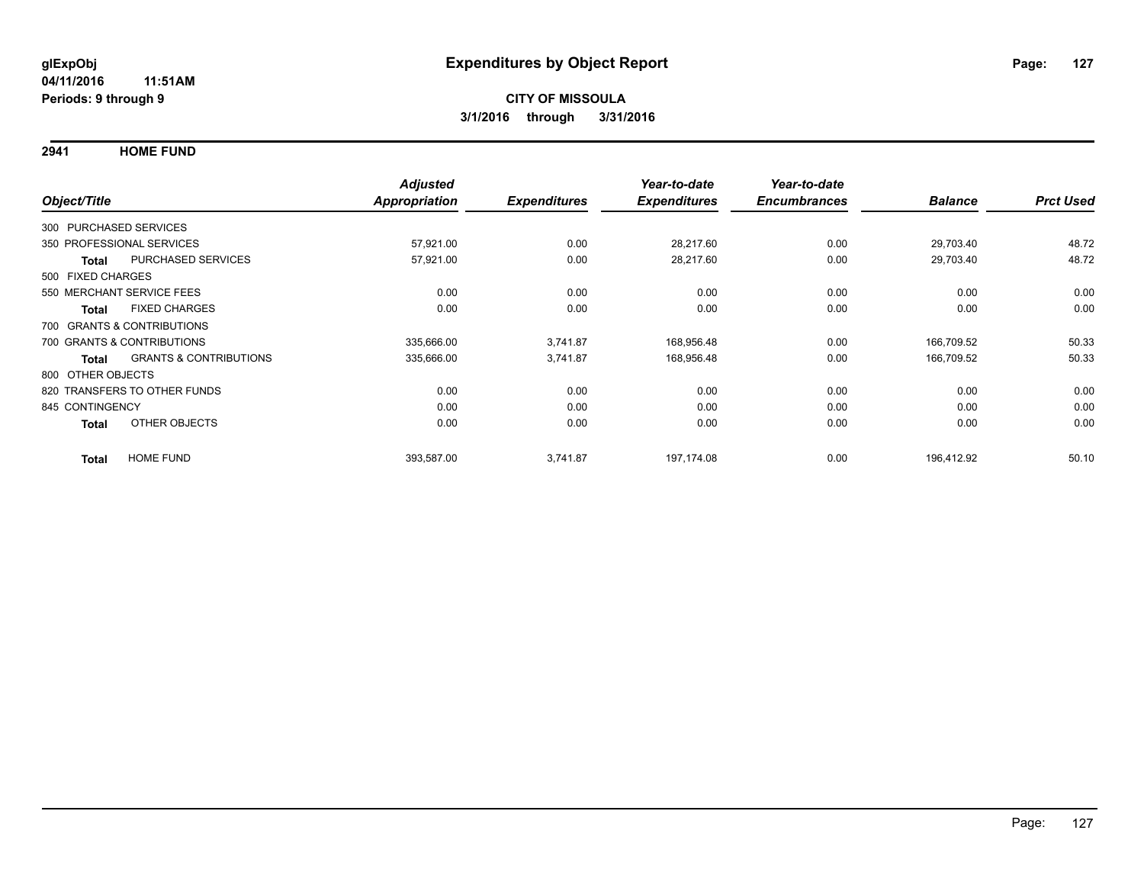**2941 HOME FUND**

|                   |                                   | <b>Adjusted</b>      |                     | Year-to-date        | Year-to-date        |                |                  |
|-------------------|-----------------------------------|----------------------|---------------------|---------------------|---------------------|----------------|------------------|
| Object/Title      |                                   | <b>Appropriation</b> | <b>Expenditures</b> | <b>Expenditures</b> | <b>Encumbrances</b> | <b>Balance</b> | <b>Prct Used</b> |
|                   | 300 PURCHASED SERVICES            |                      |                     |                     |                     |                |                  |
|                   | 350 PROFESSIONAL SERVICES         | 57,921.00            | 0.00                | 28,217.60           | 0.00                | 29,703.40      | 48.72            |
| Total             | PURCHASED SERVICES                | 57,921.00            | 0.00                | 28,217.60           | 0.00                | 29,703.40      | 48.72            |
| 500 FIXED CHARGES |                                   |                      |                     |                     |                     |                |                  |
|                   | 550 MERCHANT SERVICE FEES         | 0.00                 | 0.00                | 0.00                | 0.00                | 0.00           | 0.00             |
| <b>Total</b>      | <b>FIXED CHARGES</b>              | 0.00                 | 0.00                | 0.00                | 0.00                | 0.00           | 0.00             |
|                   | 700 GRANTS & CONTRIBUTIONS        |                      |                     |                     |                     |                |                  |
|                   | 700 GRANTS & CONTRIBUTIONS        | 335,666.00           | 3,741.87            | 168,956.48          | 0.00                | 166,709.52     | 50.33            |
| <b>Total</b>      | <b>GRANTS &amp; CONTRIBUTIONS</b> | 335,666.00           | 3,741.87            | 168,956.48          | 0.00                | 166,709.52     | 50.33            |
| 800 OTHER OBJECTS |                                   |                      |                     |                     |                     |                |                  |
|                   | 820 TRANSFERS TO OTHER FUNDS      | 0.00                 | 0.00                | 0.00                | 0.00                | 0.00           | 0.00             |
| 845 CONTINGENCY   |                                   | 0.00                 | 0.00                | 0.00                | 0.00                | 0.00           | 0.00             |
| <b>Total</b>      | OTHER OBJECTS                     | 0.00                 | 0.00                | 0.00                | 0.00                | 0.00           | 0.00             |
| <b>Total</b>      | <b>HOME FUND</b>                  | 393,587.00           | 3.741.87            | 197.174.08          | 0.00                | 196.412.92     | 50.10            |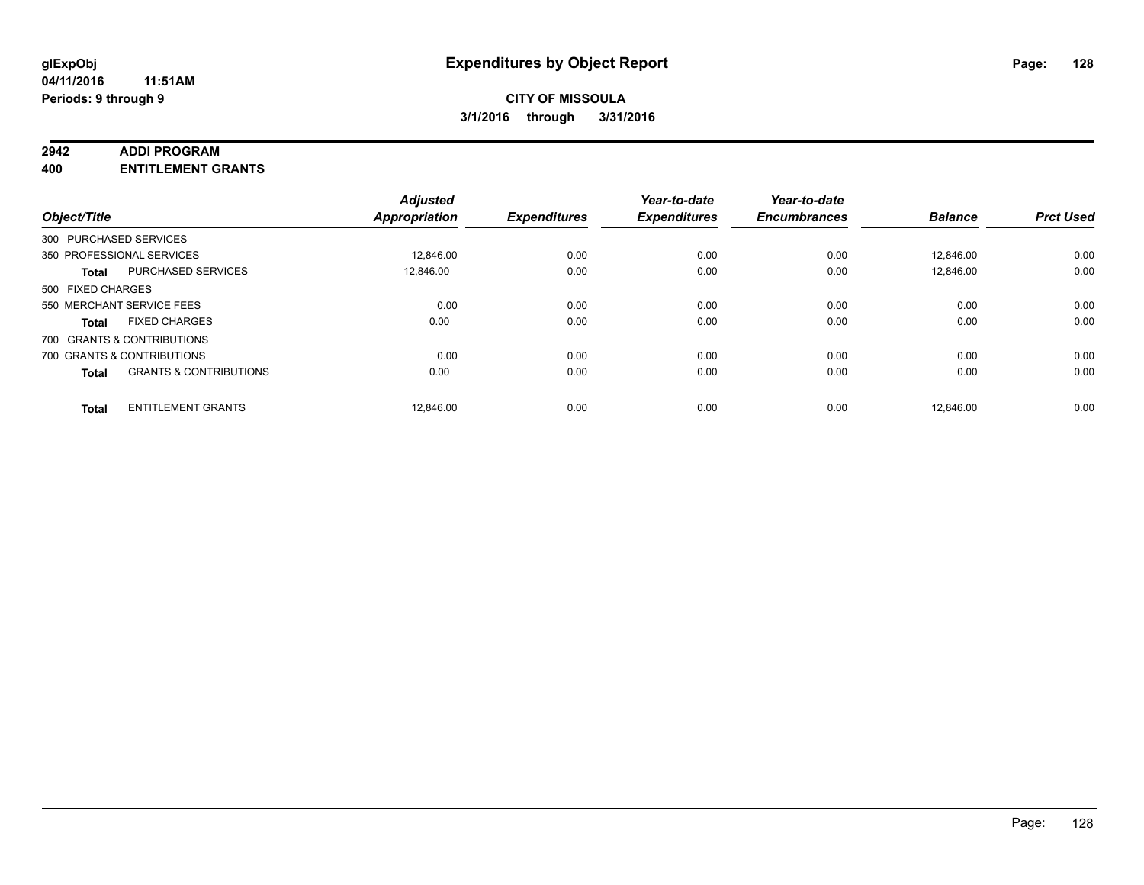#### **2942 ADDI PROGRAM**

**400 ENTITLEMENT GRANTS**

| Object/Title      |                                   | <b>Adjusted</b><br><b>Appropriation</b> | <b>Expenditures</b> | Year-to-date<br><b>Expenditures</b> | Year-to-date<br><b>Encumbrances</b> | <b>Balance</b> | <b>Prct Used</b> |
|-------------------|-----------------------------------|-----------------------------------------|---------------------|-------------------------------------|-------------------------------------|----------------|------------------|
|                   | 300 PURCHASED SERVICES            |                                         |                     |                                     |                                     |                |                  |
|                   | 350 PROFESSIONAL SERVICES         | 12,846.00                               | 0.00                | 0.00                                | 0.00                                | 12,846.00      | 0.00             |
| <b>Total</b>      | <b>PURCHASED SERVICES</b>         | 12.846.00                               | 0.00                | 0.00                                | 0.00                                | 12.846.00      | 0.00             |
| 500 FIXED CHARGES |                                   |                                         |                     |                                     |                                     |                |                  |
|                   | 550 MERCHANT SERVICE FEES         | 0.00                                    | 0.00                | 0.00                                | 0.00                                | 0.00           | 0.00             |
| <b>Total</b>      | <b>FIXED CHARGES</b>              | 0.00                                    | 0.00                | 0.00                                | 0.00                                | 0.00           | 0.00             |
|                   | 700 GRANTS & CONTRIBUTIONS        |                                         |                     |                                     |                                     |                |                  |
|                   | 700 GRANTS & CONTRIBUTIONS        | 0.00                                    | 0.00                | 0.00                                | 0.00                                | 0.00           | 0.00             |
| <b>Total</b>      | <b>GRANTS &amp; CONTRIBUTIONS</b> | 0.00                                    | 0.00                | 0.00                                | 0.00                                | 0.00           | 0.00             |
| <b>Total</b>      | <b>ENTITLEMENT GRANTS</b>         | 12,846.00                               | 0.00                | 0.00                                | 0.00                                | 12.846.00      | 0.00             |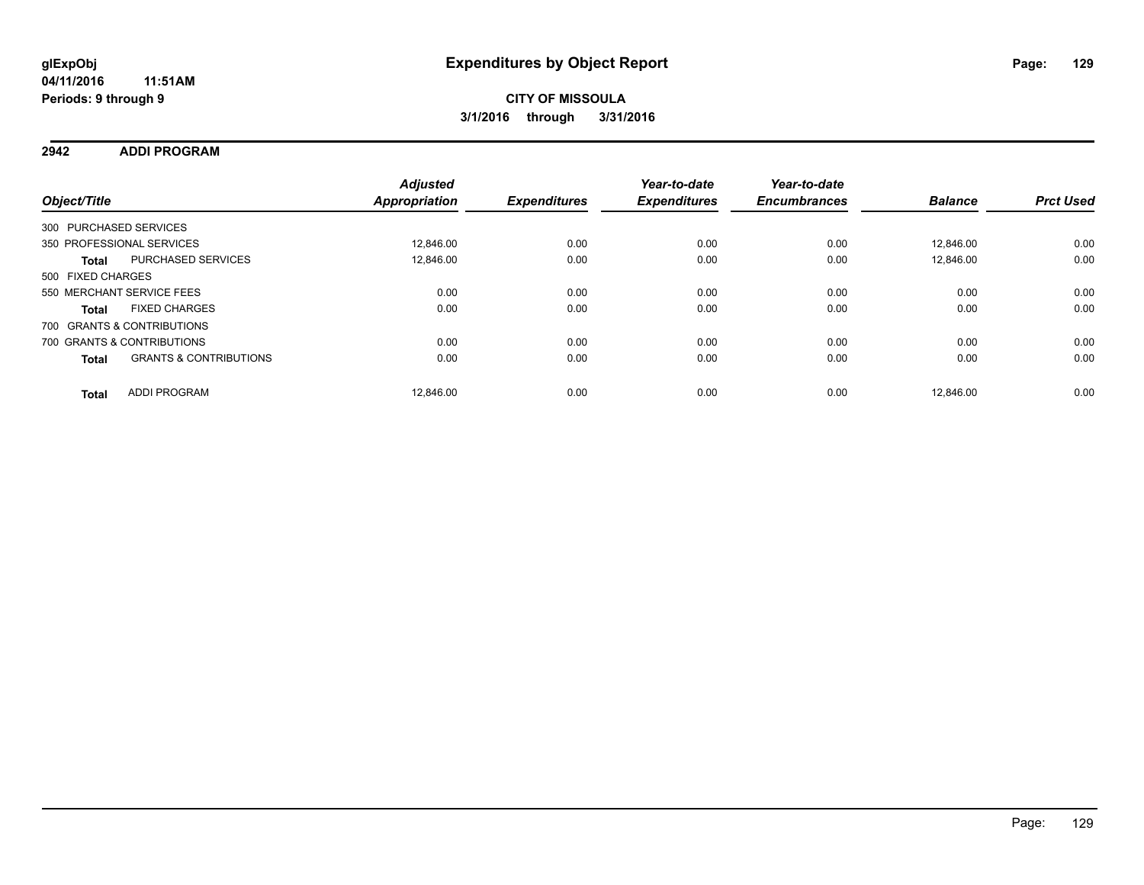**2942 ADDI PROGRAM**

| Object/Title      |                                   | <b>Adjusted</b><br>Appropriation | <b>Expenditures</b> | Year-to-date<br><b>Expenditures</b> | Year-to-date<br><b>Encumbrances</b> | <b>Balance</b> | <b>Prct Used</b> |
|-------------------|-----------------------------------|----------------------------------|---------------------|-------------------------------------|-------------------------------------|----------------|------------------|
|                   | 300 PURCHASED SERVICES            |                                  |                     |                                     |                                     |                |                  |
|                   |                                   |                                  |                     |                                     |                                     |                |                  |
|                   | 350 PROFESSIONAL SERVICES         | 12.846.00                        | 0.00                | 0.00                                | 0.00                                | 12.846.00      | 0.00             |
| <b>Total</b>      | PURCHASED SERVICES                | 12,846.00                        | 0.00                | 0.00                                | 0.00                                | 12.846.00      | 0.00             |
| 500 FIXED CHARGES |                                   |                                  |                     |                                     |                                     |                |                  |
|                   | 550 MERCHANT SERVICE FEES         | 0.00                             | 0.00                | 0.00                                | 0.00                                | 0.00           | 0.00             |
| <b>Total</b>      | <b>FIXED CHARGES</b>              | 0.00                             | 0.00                | 0.00                                | 0.00                                | 0.00           | 0.00             |
|                   | 700 GRANTS & CONTRIBUTIONS        |                                  |                     |                                     |                                     |                |                  |
|                   | 700 GRANTS & CONTRIBUTIONS        | 0.00                             | 0.00                | 0.00                                | 0.00                                | 0.00           | 0.00             |
| <b>Total</b>      | <b>GRANTS &amp; CONTRIBUTIONS</b> | 0.00                             | 0.00                | 0.00                                | 0.00                                | 0.00           | 0.00             |
| <b>Total</b>      | ADDI PROGRAM                      | 12.846.00                        | 0.00                | 0.00                                | 0.00                                | 12.846.00      | 0.00             |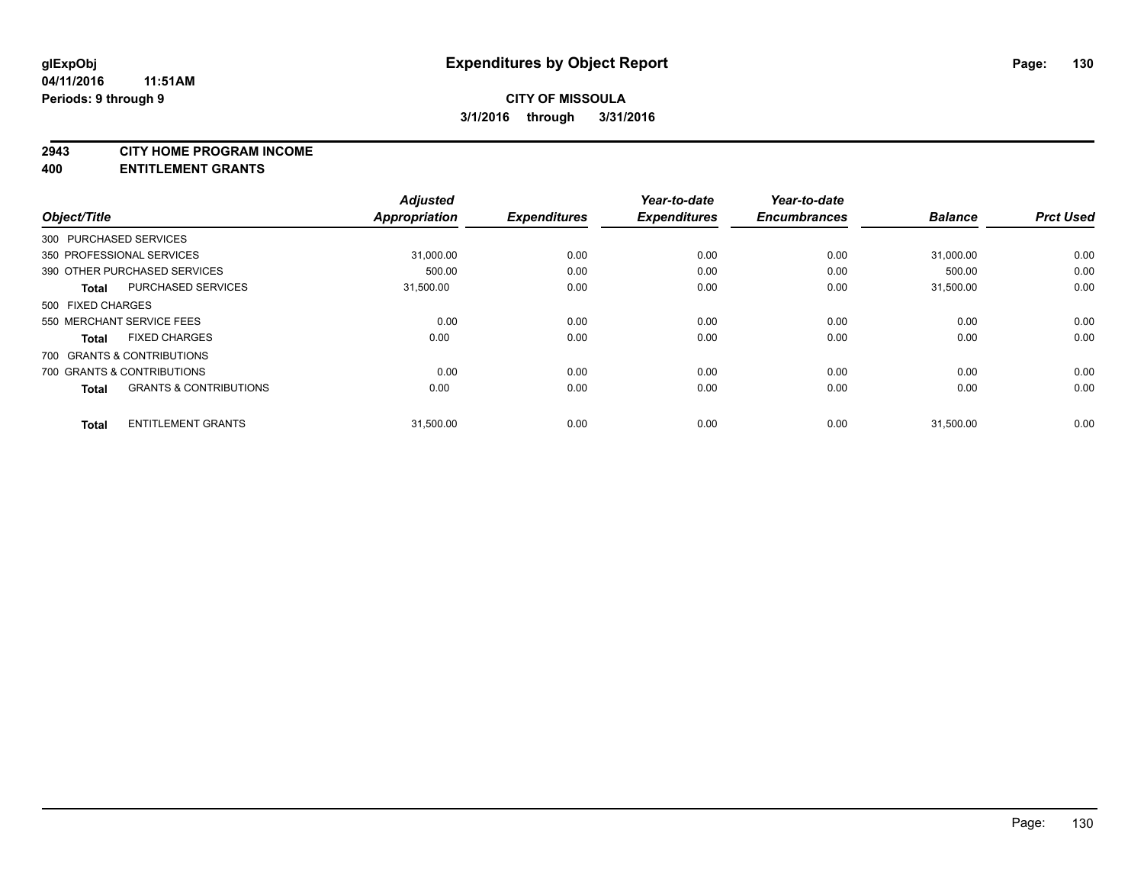#### **2943 CITY HOME PROGRAM INCOME**

**400 ENTITLEMENT GRANTS**

| Object/Title           |                                   | <b>Adjusted</b><br><b>Appropriation</b> | <b>Expenditures</b> | Year-to-date<br><b>Expenditures</b> | Year-to-date<br><b>Encumbrances</b> | <b>Balance</b> | <b>Prct Used</b> |
|------------------------|-----------------------------------|-----------------------------------------|---------------------|-------------------------------------|-------------------------------------|----------------|------------------|
| 300 PURCHASED SERVICES |                                   |                                         |                     |                                     |                                     |                |                  |
|                        | 350 PROFESSIONAL SERVICES         | 31,000.00                               | 0.00                | 0.00                                | 0.00                                | 31,000.00      | 0.00             |
|                        | 390 OTHER PURCHASED SERVICES      | 500.00                                  | 0.00                | 0.00                                | 0.00                                | 500.00         | 0.00             |
| Total                  | PURCHASED SERVICES                | 31,500.00                               | 0.00                | 0.00                                | 0.00                                | 31,500.00      | 0.00             |
| 500 FIXED CHARGES      |                                   |                                         |                     |                                     |                                     |                |                  |
|                        | 550 MERCHANT SERVICE FEES         | 0.00                                    | 0.00                | 0.00                                | 0.00                                | 0.00           | 0.00             |
| <b>Total</b>           | <b>FIXED CHARGES</b>              | 0.00                                    | 0.00                | 0.00                                | 0.00                                | 0.00           | 0.00             |
|                        | 700 GRANTS & CONTRIBUTIONS        |                                         |                     |                                     |                                     |                |                  |
|                        | 700 GRANTS & CONTRIBUTIONS        | 0.00                                    | 0.00                | 0.00                                | 0.00                                | 0.00           | 0.00             |
| Total                  | <b>GRANTS &amp; CONTRIBUTIONS</b> | 0.00                                    | 0.00                | 0.00                                | 0.00                                | 0.00           | 0.00             |
| <b>Total</b>           | <b>ENTITLEMENT GRANTS</b>         | 31,500.00                               | 0.00                | 0.00                                | 0.00                                | 31,500.00      | 0.00             |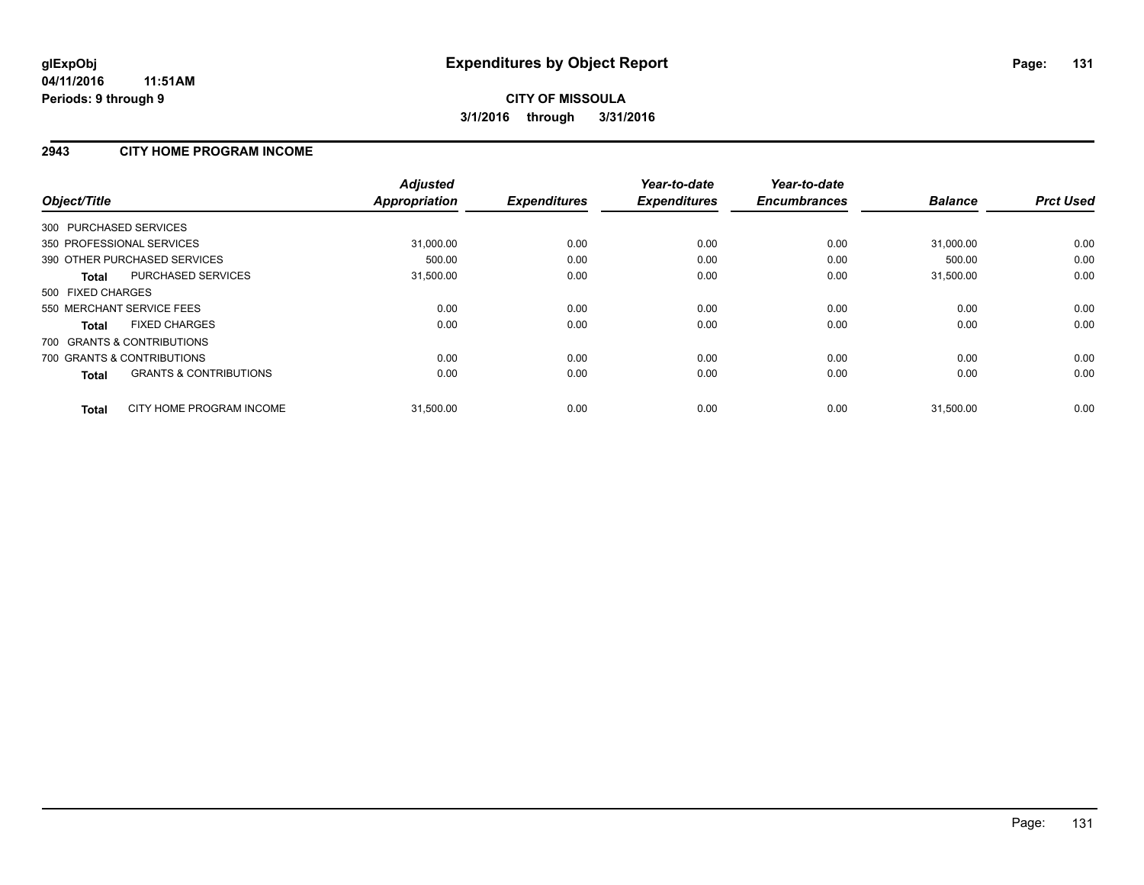## **2943 CITY HOME PROGRAM INCOME**

| Object/Title                                      | <b>Adjusted</b><br>Appropriation | <b>Expenditures</b> | Year-to-date<br><b>Expenditures</b> | Year-to-date<br><b>Encumbrances</b> | <b>Balance</b> | <b>Prct Used</b> |
|---------------------------------------------------|----------------------------------|---------------------|-------------------------------------|-------------------------------------|----------------|------------------|
| 300 PURCHASED SERVICES                            |                                  |                     |                                     |                                     |                |                  |
| 350 PROFESSIONAL SERVICES                         | 31,000.00                        | 0.00                | 0.00                                | 0.00                                | 31,000.00      | 0.00             |
| 390 OTHER PURCHASED SERVICES                      | 500.00                           | 0.00                | 0.00                                | 0.00                                | 500.00         | 0.00             |
| <b>PURCHASED SERVICES</b><br><b>Total</b>         | 31,500.00                        | 0.00                | 0.00                                | 0.00                                | 31,500.00      | 0.00             |
| 500 FIXED CHARGES                                 |                                  |                     |                                     |                                     |                |                  |
| 550 MERCHANT SERVICE FEES                         | 0.00                             | 0.00                | 0.00                                | 0.00                                | 0.00           | 0.00             |
| <b>FIXED CHARGES</b><br><b>Total</b>              | 0.00                             | 0.00                | 0.00                                | 0.00                                | 0.00           | 0.00             |
| 700 GRANTS & CONTRIBUTIONS                        |                                  |                     |                                     |                                     |                |                  |
| 700 GRANTS & CONTRIBUTIONS                        | 0.00                             | 0.00                | 0.00                                | 0.00                                | 0.00           | 0.00             |
| <b>GRANTS &amp; CONTRIBUTIONS</b><br><b>Total</b> | 0.00                             | 0.00                | 0.00                                | 0.00                                | 0.00           | 0.00             |
| CITY HOME PROGRAM INCOME<br><b>Total</b>          | 31,500.00                        | 0.00                | 0.00                                | 0.00                                | 31,500.00      | 0.00             |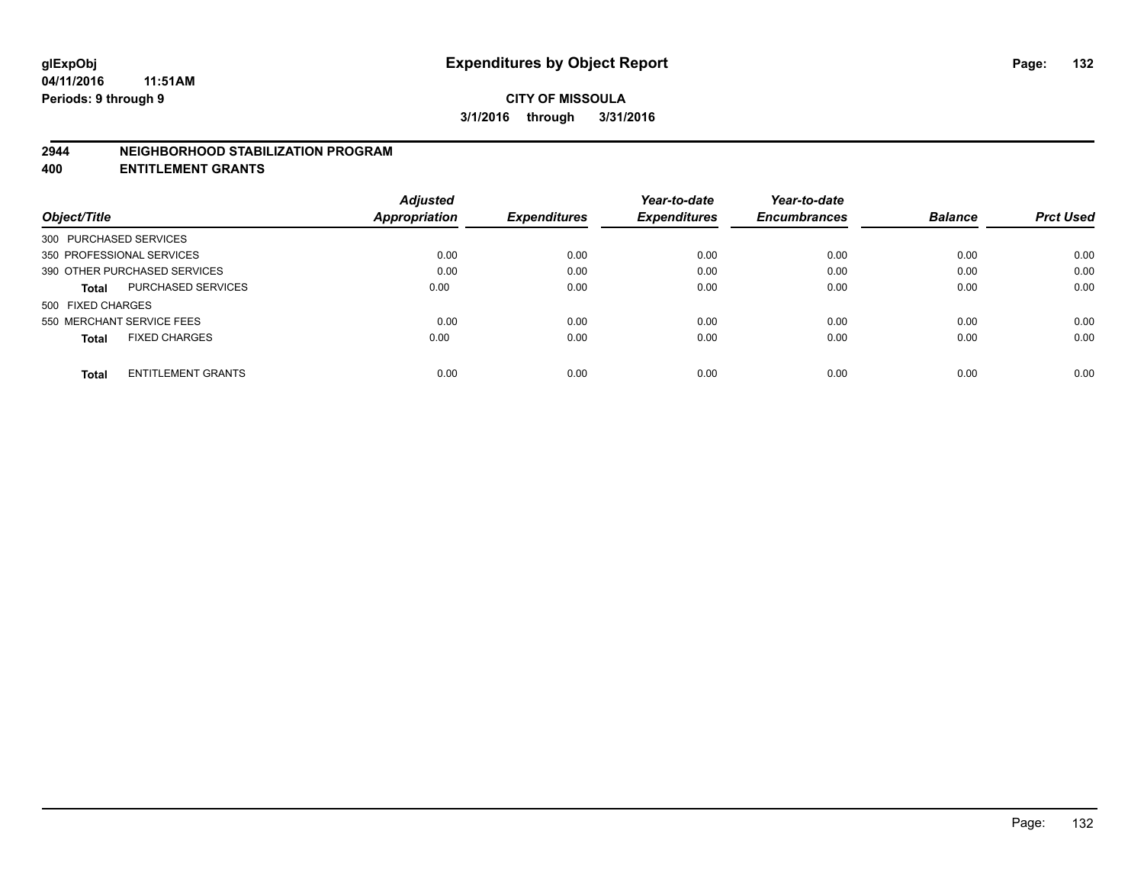#### **2944 NEIGHBORHOOD STABILIZATION PROGRAM**

**400 ENTITLEMENT GRANTS**

|                                           | <b>Adjusted</b>      |                     | Year-to-date        | Year-to-date        |                |                  |
|-------------------------------------------|----------------------|---------------------|---------------------|---------------------|----------------|------------------|
| Object/Title                              | <b>Appropriation</b> | <b>Expenditures</b> | <b>Expenditures</b> | <b>Encumbrances</b> | <b>Balance</b> | <b>Prct Used</b> |
| 300 PURCHASED SERVICES                    |                      |                     |                     |                     |                |                  |
| 350 PROFESSIONAL SERVICES                 | 0.00                 | 0.00                | 0.00                | 0.00                | 0.00           | 0.00             |
| 390 OTHER PURCHASED SERVICES              | 0.00                 | 0.00                | 0.00                | 0.00                | 0.00           | 0.00             |
| PURCHASED SERVICES<br><b>Total</b>        | 0.00                 | 0.00                | 0.00                | 0.00                | 0.00           | 0.00             |
| 500 FIXED CHARGES                         |                      |                     |                     |                     |                |                  |
| 550 MERCHANT SERVICE FEES                 | 0.00                 | 0.00                | 0.00                | 0.00                | 0.00           | 0.00             |
| <b>FIXED CHARGES</b><br><b>Total</b>      | 0.00                 | 0.00                | 0.00                | 0.00                | 0.00           | 0.00             |
| <b>ENTITLEMENT GRANTS</b><br><b>Total</b> | 0.00                 | 0.00                | 0.00                | 0.00                | 0.00           | 0.00             |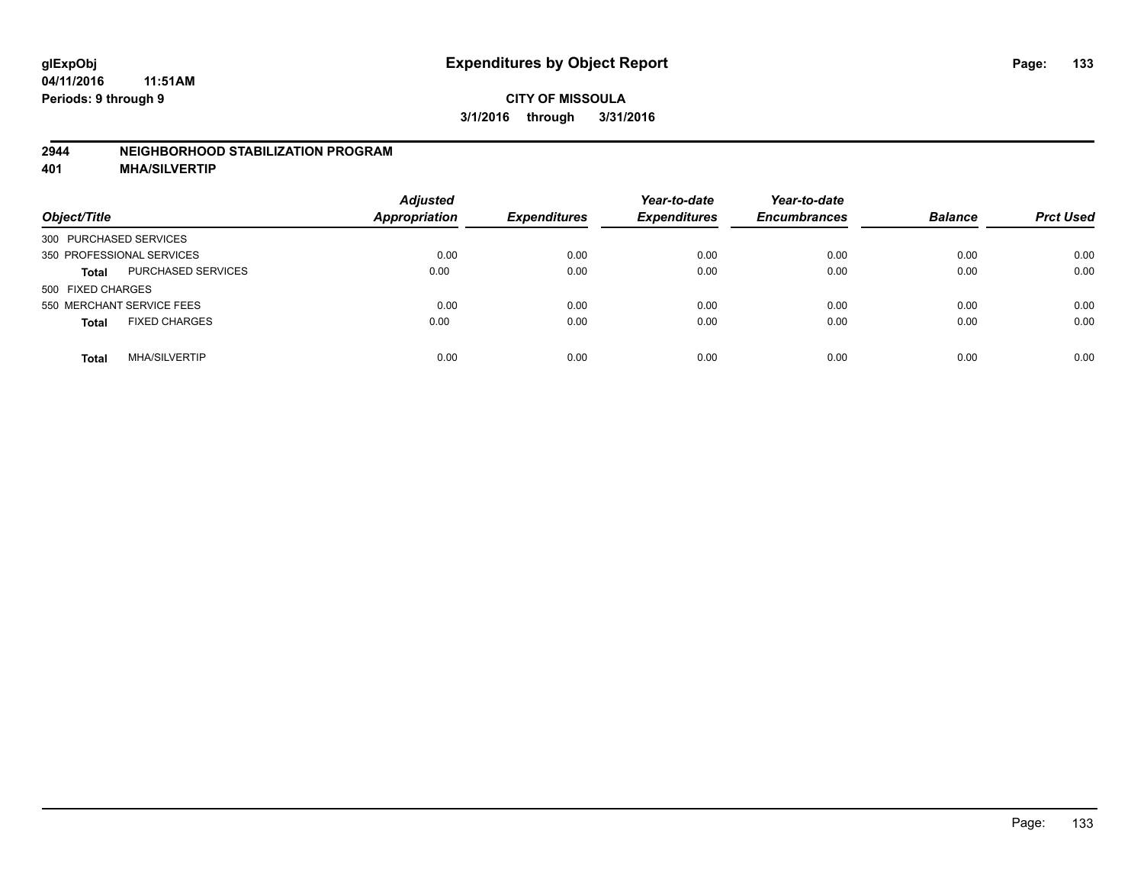#### **2944 NEIGHBORHOOD STABILIZATION PROGRAM**

**401 MHA/SILVERTIP**

| Object/Title                              | <b>Adjusted</b><br><b>Appropriation</b> | <b>Expenditures</b> | Year-to-date<br><b>Expenditures</b> | Year-to-date<br><b>Encumbrances</b> | <b>Balance</b> | <b>Prct Used</b> |
|-------------------------------------------|-----------------------------------------|---------------------|-------------------------------------|-------------------------------------|----------------|------------------|
| 300 PURCHASED SERVICES                    |                                         |                     |                                     |                                     |                |                  |
| 350 PROFESSIONAL SERVICES                 | 0.00                                    | 0.00                | 0.00                                | 0.00                                | 0.00           | 0.00             |
| <b>PURCHASED SERVICES</b><br><b>Total</b> | 0.00                                    | 0.00                | 0.00                                | 0.00                                | 0.00           | 0.00             |
| 500 FIXED CHARGES                         |                                         |                     |                                     |                                     |                |                  |
| 550 MERCHANT SERVICE FEES                 | 0.00                                    | 0.00                | 0.00                                | 0.00                                | 0.00           | 0.00             |
| <b>FIXED CHARGES</b><br><b>Total</b>      | 0.00                                    | 0.00                | 0.00                                | 0.00                                | 0.00           | 0.00             |
| <b>MHA/SILVERTIP</b><br>Total             | 0.00                                    | 0.00                | 0.00                                | 0.00                                | 0.00           | 0.00             |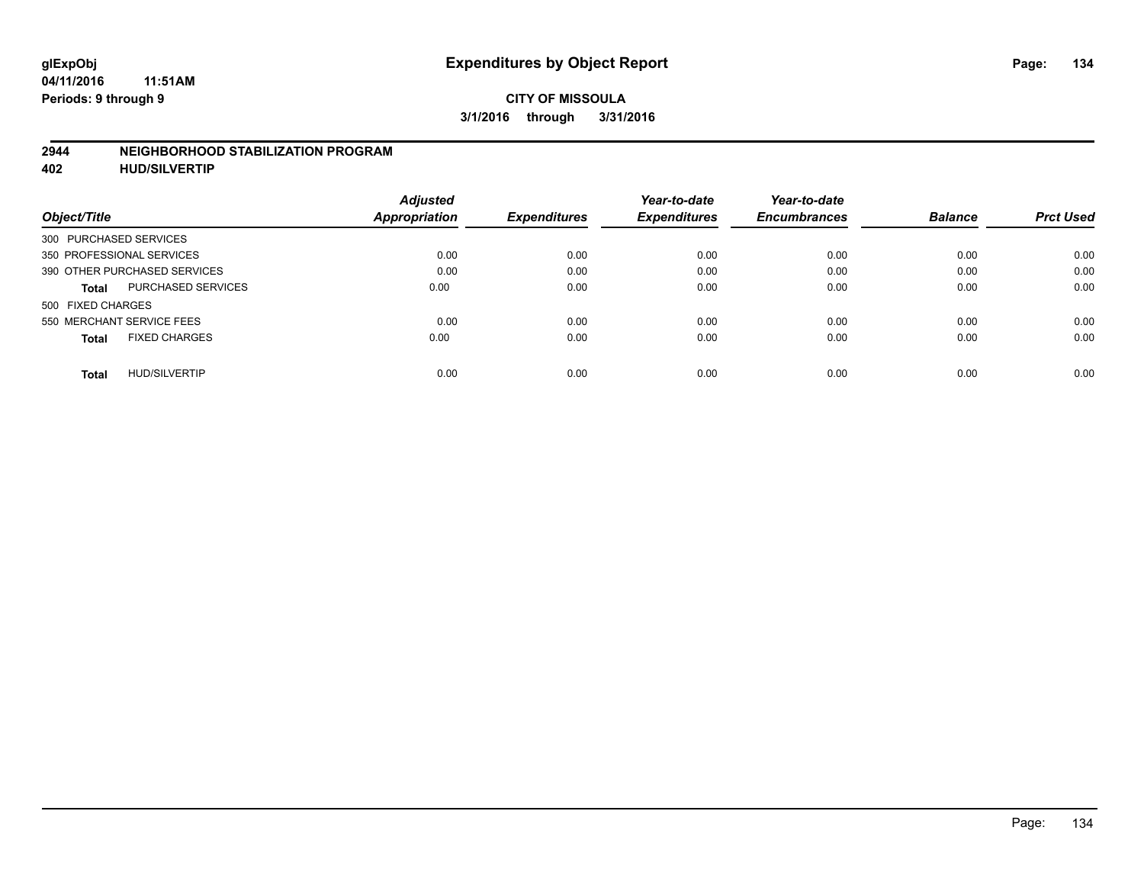#### **2944 NEIGHBORHOOD STABILIZATION PROGRAM**

**402 HUD/SILVERTIP**

| Object/Title                         | <b>Adjusted</b><br>Appropriation | <b>Expenditures</b> | Year-to-date<br><b>Expenditures</b> | Year-to-date<br><b>Encumbrances</b> | <b>Balance</b> | <b>Prct Used</b> |
|--------------------------------------|----------------------------------|---------------------|-------------------------------------|-------------------------------------|----------------|------------------|
| 300 PURCHASED SERVICES               |                                  |                     |                                     |                                     |                |                  |
| 350 PROFESSIONAL SERVICES            | 0.00                             | 0.00                | 0.00                                | 0.00                                | 0.00           | 0.00             |
| 390 OTHER PURCHASED SERVICES         | 0.00                             | 0.00                | 0.00                                | 0.00                                | 0.00           | 0.00             |
| <b>PURCHASED SERVICES</b><br>Total   | 0.00                             | 0.00                | 0.00                                | 0.00                                | 0.00           | 0.00             |
| 500 FIXED CHARGES                    |                                  |                     |                                     |                                     |                |                  |
| 550 MERCHANT SERVICE FEES            | 0.00                             | 0.00                | 0.00                                | 0.00                                | 0.00           | 0.00             |
| <b>FIXED CHARGES</b><br><b>Total</b> | 0.00                             | 0.00                | 0.00                                | 0.00                                | 0.00           | 0.00             |
| <b>HUD/SILVERTIP</b><br><b>Total</b> | 0.00                             | 0.00                | 0.00                                | 0.00                                | 0.00           | 0.00             |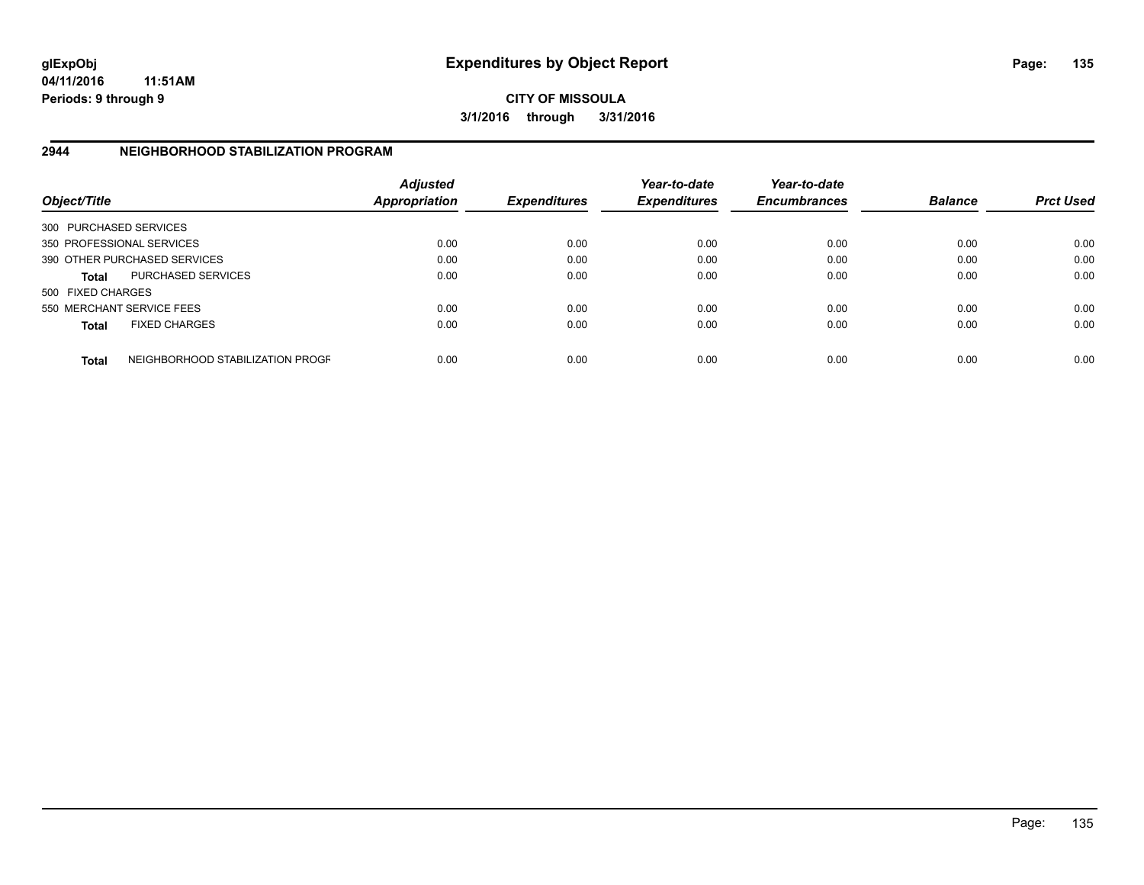**CITY OF MISSOULA 3/1/2016 through 3/31/2016**

## **2944 NEIGHBORHOOD STABILIZATION PROGRAM**

| Object/Title           |                                  | <b>Adjusted</b><br><b>Appropriation</b> | <b>Expenditures</b> | Year-to-date<br><b>Expenditures</b> | Year-to-date<br><b>Encumbrances</b> | <b>Balance</b> | <b>Prct Used</b> |
|------------------------|----------------------------------|-----------------------------------------|---------------------|-------------------------------------|-------------------------------------|----------------|------------------|
| 300 PURCHASED SERVICES |                                  |                                         |                     |                                     |                                     |                |                  |
|                        | 350 PROFESSIONAL SERVICES        | 0.00                                    | 0.00                | 0.00                                | 0.00                                | 0.00           | 0.00             |
|                        | 390 OTHER PURCHASED SERVICES     | 0.00                                    | 0.00                | 0.00                                | 0.00                                | 0.00           | 0.00             |
| <b>Total</b>           | PURCHASED SERVICES               | 0.00                                    | 0.00                | 0.00                                | 0.00                                | 0.00           | 0.00             |
| 500 FIXED CHARGES      |                                  |                                         |                     |                                     |                                     |                |                  |
|                        | 550 MERCHANT SERVICE FEES        | 0.00                                    | 0.00                | 0.00                                | 0.00                                | 0.00           | 0.00             |
| <b>Total</b>           | <b>FIXED CHARGES</b>             | 0.00                                    | 0.00                | 0.00                                | 0.00                                | 0.00           | 0.00             |
| <b>Total</b>           | NEIGHBORHOOD STABILIZATION PROGF | 0.00                                    | 0.00                | 0.00                                | 0.00                                | 0.00           | 0.00             |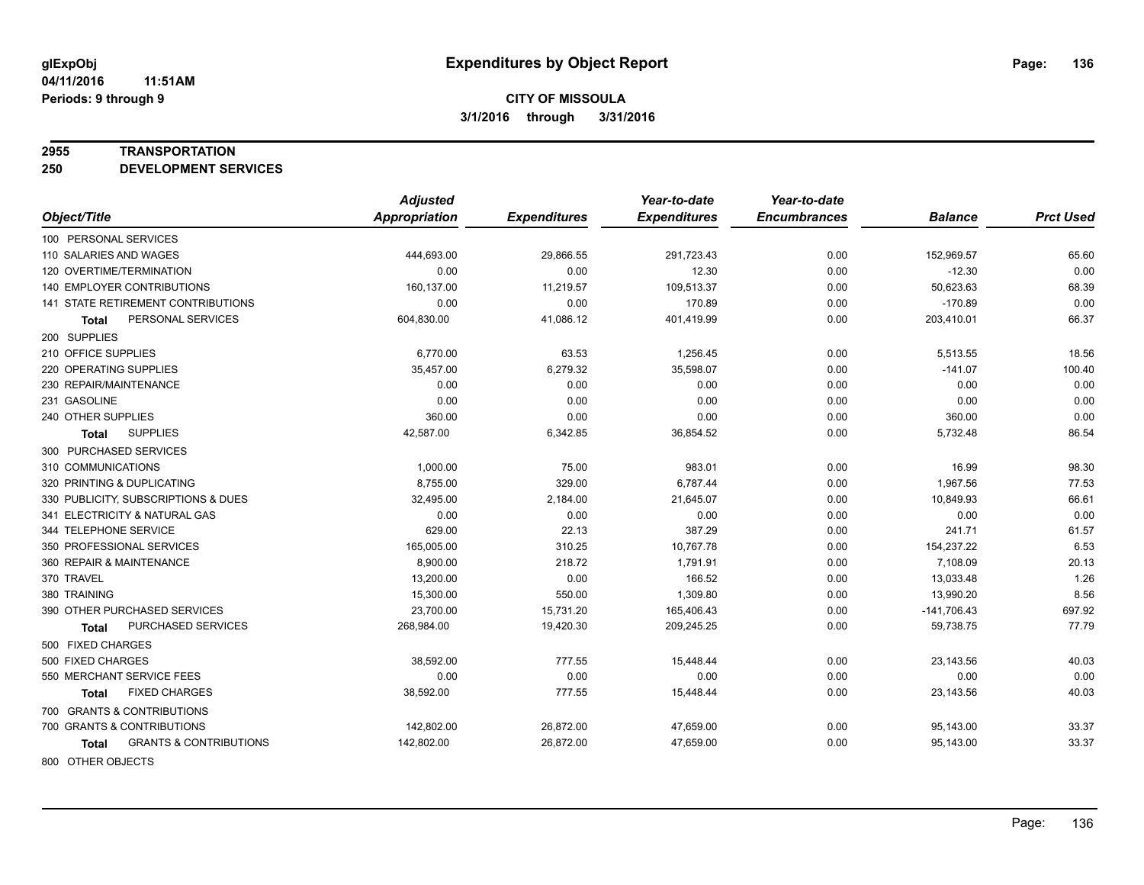#### **2955 TRANSPORTATION**

**250 DEVELOPMENT SERVICES**

|                                            | <b>Adjusted</b> |                     | Year-to-date        | Year-to-date        |                |                  |
|--------------------------------------------|-----------------|---------------------|---------------------|---------------------|----------------|------------------|
| Object/Title                               | Appropriation   | <b>Expenditures</b> | <b>Expenditures</b> | <b>Encumbrances</b> | <b>Balance</b> | <b>Prct Used</b> |
| 100 PERSONAL SERVICES                      |                 |                     |                     |                     |                |                  |
| 110 SALARIES AND WAGES                     | 444,693.00      | 29,866.55           | 291,723.43          | 0.00                | 152,969.57     | 65.60            |
| 120 OVERTIME/TERMINATION                   | 0.00            | 0.00                | 12.30               | 0.00                | $-12.30$       | 0.00             |
| <b>140 EMPLOYER CONTRIBUTIONS</b>          | 160,137.00      | 11,219.57           | 109,513.37          | 0.00                | 50,623.63      | 68.39            |
| <b>141 STATE RETIREMENT CONTRIBUTIONS</b>  | 0.00            | 0.00                | 170.89              | 0.00                | $-170.89$      | 0.00             |
| PERSONAL SERVICES<br>Total                 | 604,830.00      | 41,086.12           | 401,419.99          | 0.00                | 203,410.01     | 66.37            |
| 200 SUPPLIES                               |                 |                     |                     |                     |                |                  |
| 210 OFFICE SUPPLIES                        | 6,770.00        | 63.53               | 1,256.45            | 0.00                | 5,513.55       | 18.56            |
| 220 OPERATING SUPPLIES                     | 35,457.00       | 6,279.32            | 35,598.07           | 0.00                | $-141.07$      | 100.40           |
| 230 REPAIR/MAINTENANCE                     | 0.00            | 0.00                | 0.00                | 0.00                | 0.00           | 0.00             |
| 231 GASOLINE                               | 0.00            | 0.00                | 0.00                | 0.00                | 0.00           | 0.00             |
| 240 OTHER SUPPLIES                         | 360.00          | 0.00                | 0.00                | 0.00                | 360.00         | 0.00             |
| <b>SUPPLIES</b><br>Total                   | 42,587.00       | 6,342.85            | 36,854.52           | 0.00                | 5,732.48       | 86.54            |
| 300 PURCHASED SERVICES                     |                 |                     |                     |                     |                |                  |
| 310 COMMUNICATIONS                         | 1,000.00        | 75.00               | 983.01              | 0.00                | 16.99          | 98.30            |
| 320 PRINTING & DUPLICATING                 | 8,755.00        | 329.00              | 6,787.44            | 0.00                | 1,967.56       | 77.53            |
| 330 PUBLICITY, SUBSCRIPTIONS & DUES        | 32,495.00       | 2,184.00            | 21,645.07           | 0.00                | 10,849.93      | 66.61            |
| 341 ELECTRICITY & NATURAL GAS              | 0.00            | 0.00                | 0.00                | 0.00                | 0.00           | 0.00             |
| 344 TELEPHONE SERVICE                      | 629.00          | 22.13               | 387.29              | 0.00                | 241.71         | 61.57            |
| 350 PROFESSIONAL SERVICES                  | 165,005.00      | 310.25              | 10,767.78           | 0.00                | 154,237.22     | 6.53             |
| 360 REPAIR & MAINTENANCE                   | 8,900.00        | 218.72              | 1,791.91            | 0.00                | 7,108.09       | 20.13            |
| 370 TRAVEL                                 | 13,200.00       | 0.00                | 166.52              | 0.00                | 13,033.48      | 1.26             |
| 380 TRAINING                               | 15,300.00       | 550.00              | 1,309.80            | 0.00                | 13,990.20      | 8.56             |
| 390 OTHER PURCHASED SERVICES               | 23,700.00       | 15,731.20           | 165,406.43          | 0.00                | $-141,706.43$  | 697.92           |
| PURCHASED SERVICES<br>Total                | 268,984.00      | 19,420.30           | 209,245.25          | 0.00                | 59,738.75      | 77.79            |
| 500 FIXED CHARGES                          |                 |                     |                     |                     |                |                  |
| 500 FIXED CHARGES                          | 38,592.00       | 777.55              | 15,448.44           | 0.00                | 23,143.56      | 40.03            |
| 550 MERCHANT SERVICE FEES                  | 0.00            | 0.00                | 0.00                | 0.00                | 0.00           | 0.00             |
| <b>FIXED CHARGES</b><br>Total              | 38,592.00       | 777.55              | 15,448.44           | 0.00                | 23,143.56      | 40.03            |
| 700 GRANTS & CONTRIBUTIONS                 |                 |                     |                     |                     |                |                  |
| 700 GRANTS & CONTRIBUTIONS                 | 142,802.00      | 26,872.00           | 47,659.00           | 0.00                | 95,143.00      | 33.37            |
| <b>GRANTS &amp; CONTRIBUTIONS</b><br>Total | 142,802.00      | 26,872.00           | 47,659.00           | 0.00                | 95,143.00      | 33.37            |
| 000 OTHER OR IECTO                         |                 |                     |                     |                     |                |                  |

800 OTHER OBJECTS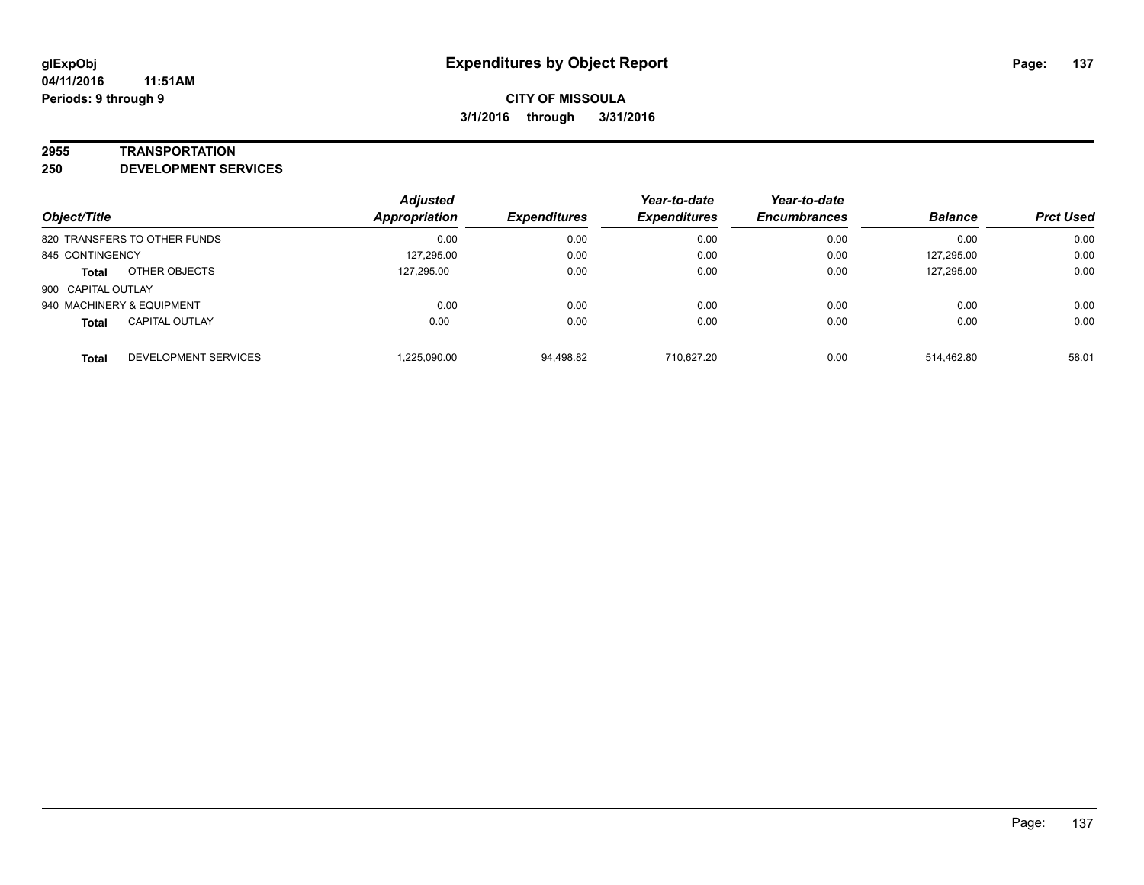#### **2955 TRANSPORTATION**

**250 DEVELOPMENT SERVICES**

| Object/Title                          | <b>Adjusted</b><br><b>Appropriation</b> | <b>Expenditures</b> | Year-to-date<br><b>Expenditures</b> | Year-to-date<br><b>Encumbrances</b> | <b>Balance</b> | <b>Prct Used</b> |
|---------------------------------------|-----------------------------------------|---------------------|-------------------------------------|-------------------------------------|----------------|------------------|
| 820 TRANSFERS TO OTHER FUNDS          | 0.00                                    | 0.00                | 0.00                                | 0.00                                | 0.00           | 0.00             |
| 845 CONTINGENCY                       | 127,295.00                              | 0.00                | 0.00                                | 0.00                                | 127,295.00     | 0.00             |
| OTHER OBJECTS<br><b>Total</b>         | 127.295.00                              | 0.00                | 0.00                                | 0.00                                | 127,295.00     | 0.00             |
| 900 CAPITAL OUTLAY                    |                                         |                     |                                     |                                     |                |                  |
| 940 MACHINERY & EQUIPMENT             | 0.00                                    | 0.00                | 0.00                                | 0.00                                | 0.00           | 0.00             |
| <b>CAPITAL OUTLAY</b><br><b>Total</b> | 0.00                                    | 0.00                | 0.00                                | 0.00                                | 0.00           | 0.00             |
| DEVELOPMENT SERVICES<br><b>Total</b>  | 1,225,090.00                            | 94,498.82           | 710.627.20                          | 0.00                                | 514.462.80     | 58.01            |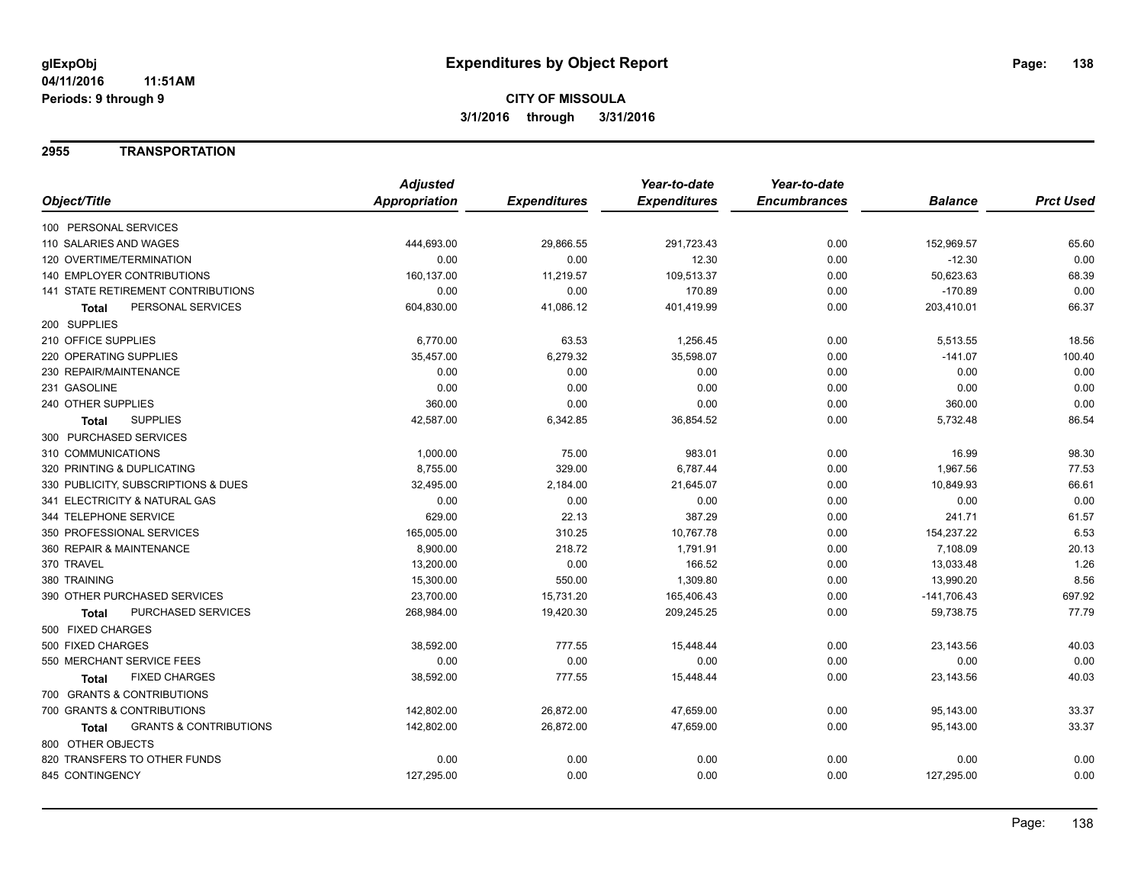## **2955 TRANSPORTATION**

|                                            | <b>Adjusted</b> |                     | Year-to-date        | Year-to-date        |                |                  |
|--------------------------------------------|-----------------|---------------------|---------------------|---------------------|----------------|------------------|
| Object/Title                               | Appropriation   | <b>Expenditures</b> | <b>Expenditures</b> | <b>Encumbrances</b> | <b>Balance</b> | <b>Prct Used</b> |
| 100 PERSONAL SERVICES                      |                 |                     |                     |                     |                |                  |
| 110 SALARIES AND WAGES                     | 444,693.00      | 29,866.55           | 291,723.43          | 0.00                | 152,969.57     | 65.60            |
| 120 OVERTIME/TERMINATION                   | 0.00            | 0.00                | 12.30               | 0.00                | $-12.30$       | 0.00             |
| 140 EMPLOYER CONTRIBUTIONS                 | 160,137.00      | 11,219.57           | 109,513.37          | 0.00                | 50,623.63      | 68.39            |
| 141 STATE RETIREMENT CONTRIBUTIONS         | 0.00            | 0.00                | 170.89              | 0.00                | $-170.89$      | 0.00             |
| PERSONAL SERVICES<br><b>Total</b>          | 604,830.00      | 41,086.12           | 401,419.99          | 0.00                | 203,410.01     | 66.37            |
| 200 SUPPLIES                               |                 |                     |                     |                     |                |                  |
| 210 OFFICE SUPPLIES                        | 6,770.00        | 63.53               | 1,256.45            | 0.00                | 5,513.55       | 18.56            |
| 220 OPERATING SUPPLIES                     | 35,457.00       | 6,279.32            | 35,598.07           | 0.00                | $-141.07$      | 100.40           |
| 230 REPAIR/MAINTENANCE                     | 0.00            | 0.00                | 0.00                | 0.00                | 0.00           | 0.00             |
| 231 GASOLINE                               | 0.00            | 0.00                | 0.00                | 0.00                | 0.00           | 0.00             |
| 240 OTHER SUPPLIES                         | 360.00          | 0.00                | 0.00                | 0.00                | 360.00         | 0.00             |
| <b>SUPPLIES</b><br>Total                   | 42,587.00       | 6,342.85            | 36,854.52           | 0.00                | 5,732.48       | 86.54            |
| 300 PURCHASED SERVICES                     |                 |                     |                     |                     |                |                  |
| 310 COMMUNICATIONS                         | 1,000.00        | 75.00               | 983.01              | 0.00                | 16.99          | 98.30            |
| 320 PRINTING & DUPLICATING                 | 8,755.00        | 329.00              | 6,787.44            | 0.00                | 1,967.56       | 77.53            |
| 330 PUBLICITY, SUBSCRIPTIONS & DUES        | 32,495.00       | 2,184.00            | 21,645.07           | 0.00                | 10,849.93      | 66.61            |
| 341 ELECTRICITY & NATURAL GAS              | 0.00            | 0.00                | 0.00                | 0.00                | 0.00           | 0.00             |
| 344 TELEPHONE SERVICE                      | 629.00          | 22.13               | 387.29              | 0.00                | 241.71         | 61.57            |
| 350 PROFESSIONAL SERVICES                  | 165,005.00      | 310.25              | 10,767.78           | 0.00                | 154,237.22     | 6.53             |
| 360 REPAIR & MAINTENANCE                   | 8,900.00        | 218.72              | 1,791.91            | 0.00                | 7,108.09       | 20.13            |
| 370 TRAVEL                                 | 13,200.00       | 0.00                | 166.52              | 0.00                | 13,033.48      | 1.26             |
| 380 TRAINING                               | 15,300.00       | 550.00              | 1,309.80            | 0.00                | 13,990.20      | 8.56             |
| 390 OTHER PURCHASED SERVICES               | 23,700.00       | 15,731.20           | 165,406.43          | 0.00                | $-141,706.43$  | 697.92           |
| PURCHASED SERVICES<br><b>Total</b>         | 268,984.00      | 19,420.30           | 209,245.25          | 0.00                | 59,738.75      | 77.79            |
| 500 FIXED CHARGES                          |                 |                     |                     |                     |                |                  |
| 500 FIXED CHARGES                          | 38,592.00       | 777.55              | 15,448.44           | 0.00                | 23,143.56      | 40.03            |
| 550 MERCHANT SERVICE FEES                  | 0.00            | 0.00                | 0.00                | 0.00                | 0.00           | 0.00             |
| <b>FIXED CHARGES</b><br>Total              | 38,592.00       | 777.55              | 15,448.44           | 0.00                | 23,143.56      | 40.03            |
| 700 GRANTS & CONTRIBUTIONS                 |                 |                     |                     |                     |                |                  |
| 700 GRANTS & CONTRIBUTIONS                 | 142,802.00      | 26,872.00           | 47,659.00           | 0.00                | 95,143.00      | 33.37            |
| <b>GRANTS &amp; CONTRIBUTIONS</b><br>Total | 142,802.00      | 26,872.00           | 47,659.00           | 0.00                | 95,143.00      | 33.37            |
| 800 OTHER OBJECTS                          |                 |                     |                     |                     |                |                  |
| 820 TRANSFERS TO OTHER FUNDS               | 0.00            | 0.00                | 0.00                | 0.00                | 0.00           | 0.00             |
| 845 CONTINGENCY                            | 127,295.00      | 0.00                | 0.00                | 0.00                | 127,295.00     | 0.00             |
|                                            |                 |                     |                     |                     |                |                  |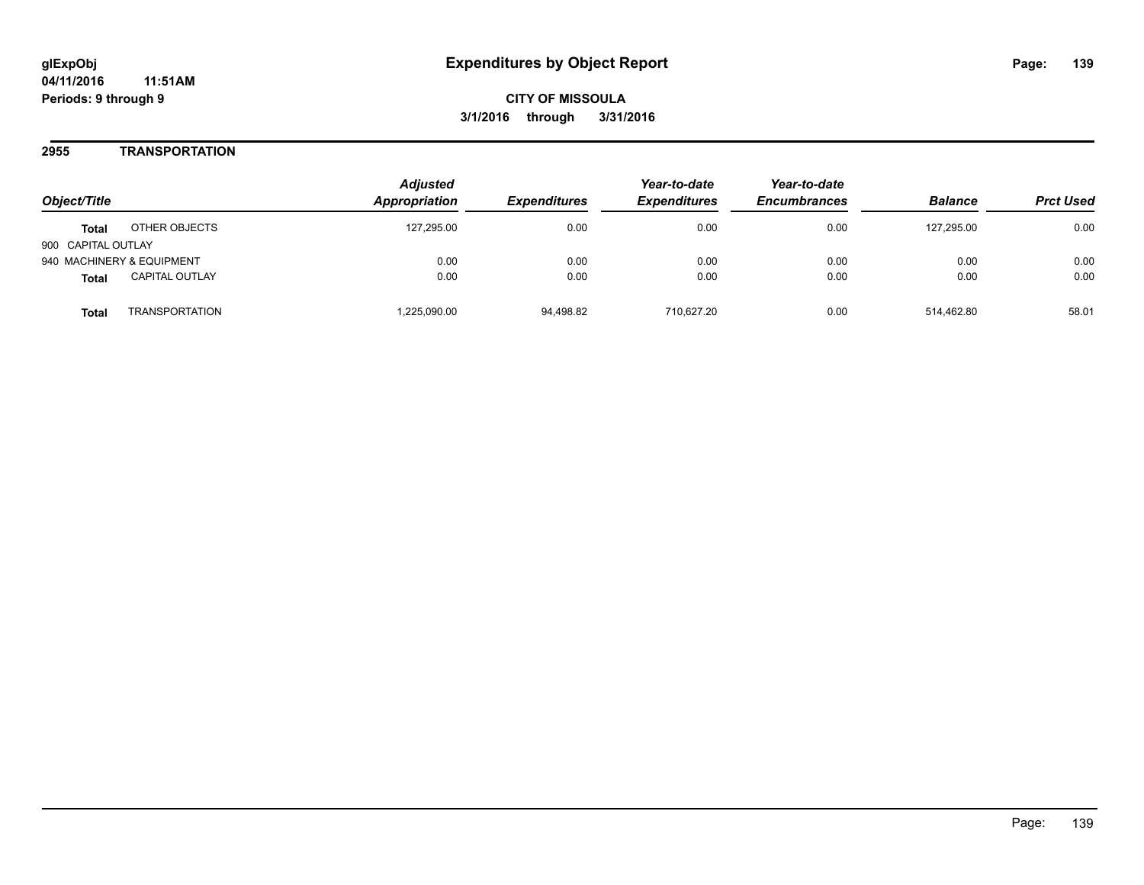## **2955 TRANSPORTATION**

| Object/Title                          | <b>Adjusted</b><br>Appropriation | <i><b>Expenditures</b></i> | Year-to-date<br><b>Expenditures</b> | Year-to-date<br><b>Encumbrances</b> | <b>Balance</b> | <b>Prct Used</b> |
|---------------------------------------|----------------------------------|----------------------------|-------------------------------------|-------------------------------------|----------------|------------------|
| OTHER OBJECTS<br><b>Total</b>         | 127.295.00                       | 0.00                       | 0.00                                | 0.00                                | 127.295.00     | 0.00             |
| 900 CAPITAL OUTLAY                    |                                  |                            |                                     |                                     |                |                  |
| 940 MACHINERY & EQUIPMENT             | 0.00                             | 0.00                       | 0.00                                | 0.00                                | 0.00           | 0.00             |
| <b>CAPITAL OUTLAY</b><br><b>Total</b> | 0.00                             | 0.00                       | 0.00                                | 0.00                                | 0.00           | 0.00             |
| <b>TRANSPORTATION</b><br>Total        | .225,090.00                      | 94,498.82                  | 710.627.20                          | 0.00                                | 514.462.80     | 58.01            |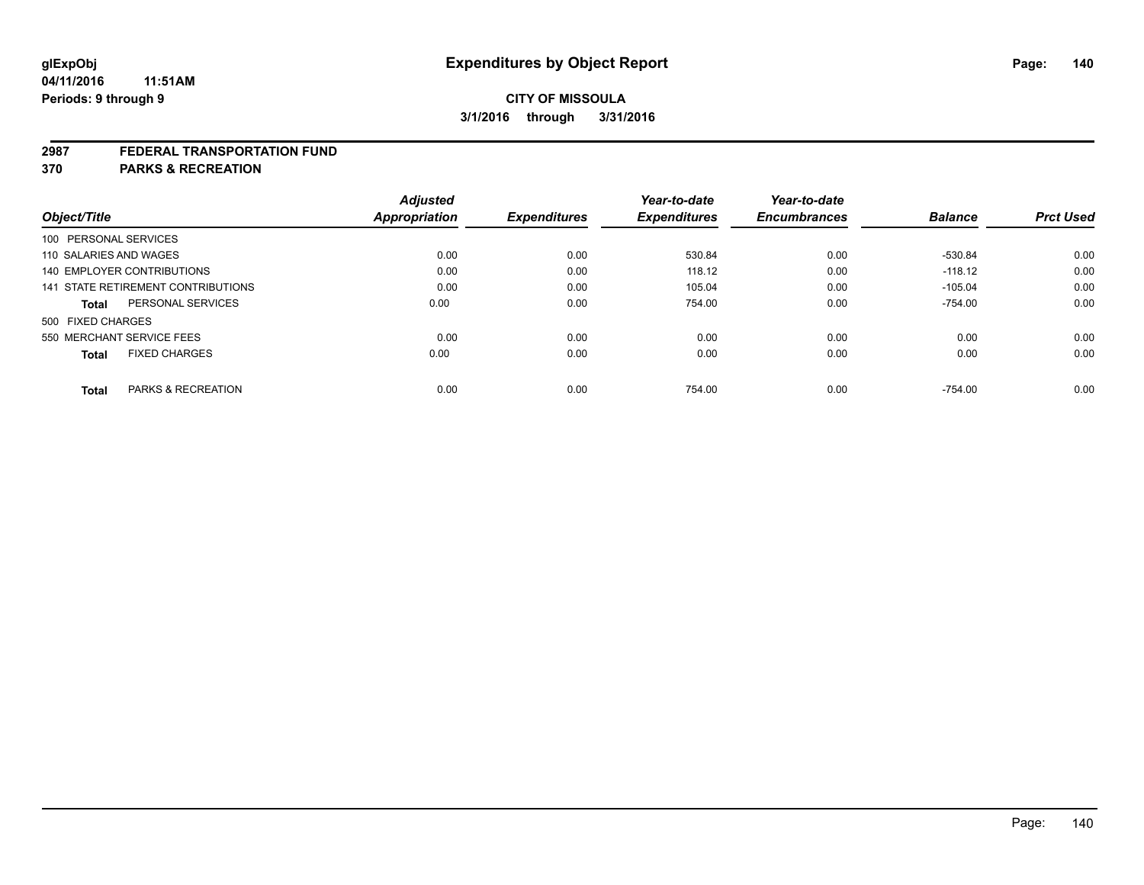#### **2987 FEDERAL TRANSPORTATION FUND**

**370 PARKS & RECREATION**

| Object/Title           |                                    | <b>Adjusted</b><br>Appropriation | <b>Expenditures</b> | Year-to-date<br><b>Expenditures</b> | Year-to-date<br><b>Encumbrances</b> | <b>Balance</b> | <b>Prct Used</b> |
|------------------------|------------------------------------|----------------------------------|---------------------|-------------------------------------|-------------------------------------|----------------|------------------|
| 100 PERSONAL SERVICES  |                                    |                                  |                     |                                     |                                     |                |                  |
| 110 SALARIES AND WAGES |                                    | 0.00                             | 0.00                | 530.84                              | 0.00                                | -530.84        | 0.00             |
|                        | <b>140 EMPLOYER CONTRIBUTIONS</b>  | 0.00                             | 0.00                | 118.12                              | 0.00                                | $-118.12$      | 0.00             |
|                        | 141 STATE RETIREMENT CONTRIBUTIONS | 0.00                             | 0.00                | 105.04                              | 0.00                                | $-105.04$      | 0.00             |
| <b>Total</b>           | PERSONAL SERVICES                  | 0.00                             | 0.00                | 754.00                              | 0.00                                | $-754.00$      | 0.00             |
| 500 FIXED CHARGES      |                                    |                                  |                     |                                     |                                     |                |                  |
|                        | 550 MERCHANT SERVICE FEES          | 0.00                             | 0.00                | 0.00                                | 0.00                                | 0.00           | 0.00             |
| <b>Total</b>           | <b>FIXED CHARGES</b>               | 0.00                             | 0.00                | 0.00                                | 0.00                                | 0.00           | 0.00             |
| <b>Total</b>           | PARKS & RECREATION                 | 0.00                             | 0.00                | 754.00                              | 0.00                                | $-754.00$      | 0.00             |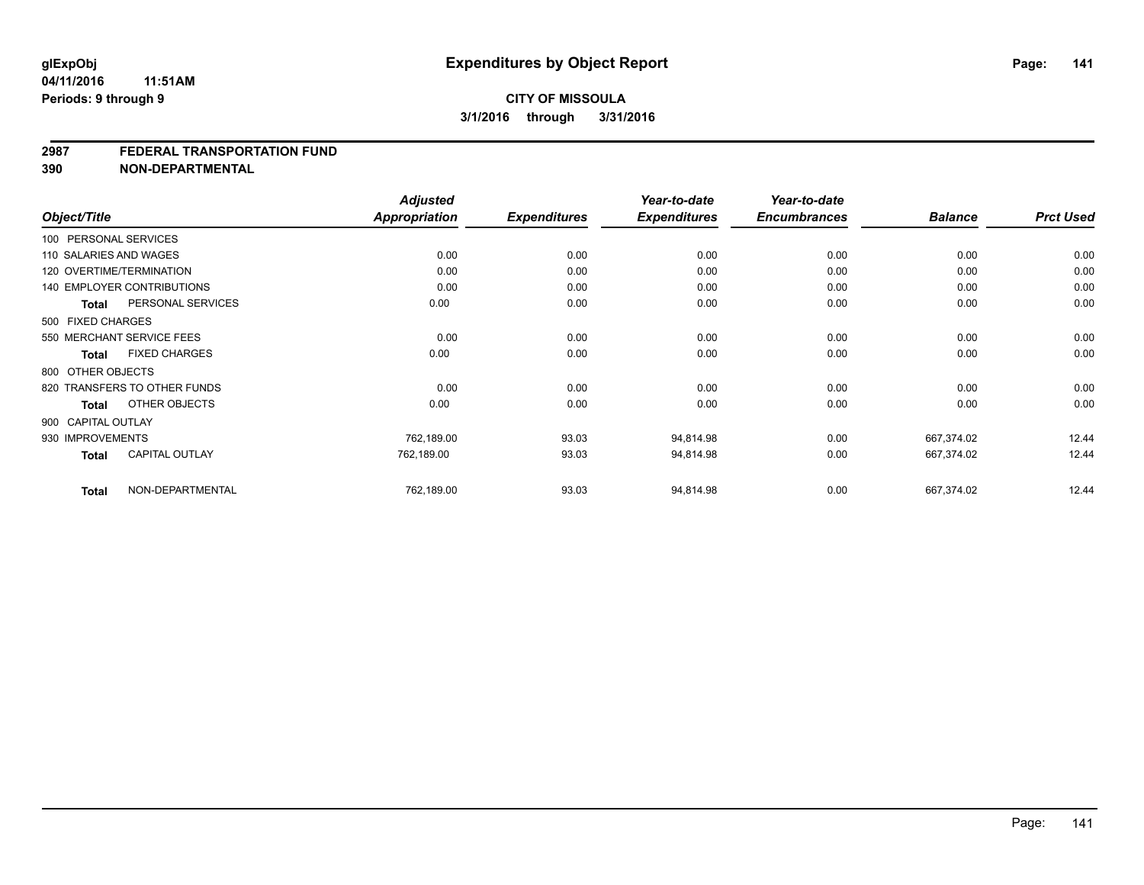## **CITY OF MISSOULA 3/1/2016 through 3/31/2016**

#### **2987 FEDERAL TRANSPORTATION FUND**

**390 NON-DEPARTMENTAL**

| Object/Title           |                                   | <b>Adjusted</b><br><b>Appropriation</b> | <b>Expenditures</b> | Year-to-date<br><b>Expenditures</b> | Year-to-date<br><b>Encumbrances</b> | <b>Balance</b> | <b>Prct Used</b> |
|------------------------|-----------------------------------|-----------------------------------------|---------------------|-------------------------------------|-------------------------------------|----------------|------------------|
|                        |                                   |                                         |                     |                                     |                                     |                |                  |
| 100 PERSONAL SERVICES  |                                   |                                         |                     |                                     |                                     |                |                  |
| 110 SALARIES AND WAGES |                                   | 0.00                                    | 0.00                | 0.00                                | 0.00                                | 0.00           | 0.00             |
|                        | 120 OVERTIME/TERMINATION          | 0.00                                    | 0.00                | 0.00                                | 0.00                                | 0.00           | 0.00             |
|                        | <b>140 EMPLOYER CONTRIBUTIONS</b> | 0.00                                    | 0.00                | 0.00                                | 0.00                                | 0.00           | 0.00             |
| Total                  | PERSONAL SERVICES                 | 0.00                                    | 0.00                | 0.00                                | 0.00                                | 0.00           | 0.00             |
| 500 FIXED CHARGES      |                                   |                                         |                     |                                     |                                     |                |                  |
|                        | 550 MERCHANT SERVICE FEES         | 0.00                                    | 0.00                | 0.00                                | 0.00                                | 0.00           | 0.00             |
| Total                  | <b>FIXED CHARGES</b>              | 0.00                                    | 0.00                | 0.00                                | 0.00                                | 0.00           | 0.00             |
| 800 OTHER OBJECTS      |                                   |                                         |                     |                                     |                                     |                |                  |
|                        | 820 TRANSFERS TO OTHER FUNDS      | 0.00                                    | 0.00                | 0.00                                | 0.00                                | 0.00           | 0.00             |
| Total                  | OTHER OBJECTS                     | 0.00                                    | 0.00                | 0.00                                | 0.00                                | 0.00           | 0.00             |
| 900 CAPITAL OUTLAY     |                                   |                                         |                     |                                     |                                     |                |                  |
| 930 IMPROVEMENTS       |                                   | 762,189.00                              | 93.03               | 94,814.98                           | 0.00                                | 667.374.02     | 12.44            |
| <b>Total</b>           | <b>CAPITAL OUTLAY</b>             | 762,189.00                              | 93.03               | 94,814.98                           | 0.00                                | 667,374.02     | 12.44            |
| <b>Total</b>           | NON-DEPARTMENTAL                  | 762,189.00                              | 93.03               | 94,814.98                           | 0.00                                | 667,374.02     | 12.44            |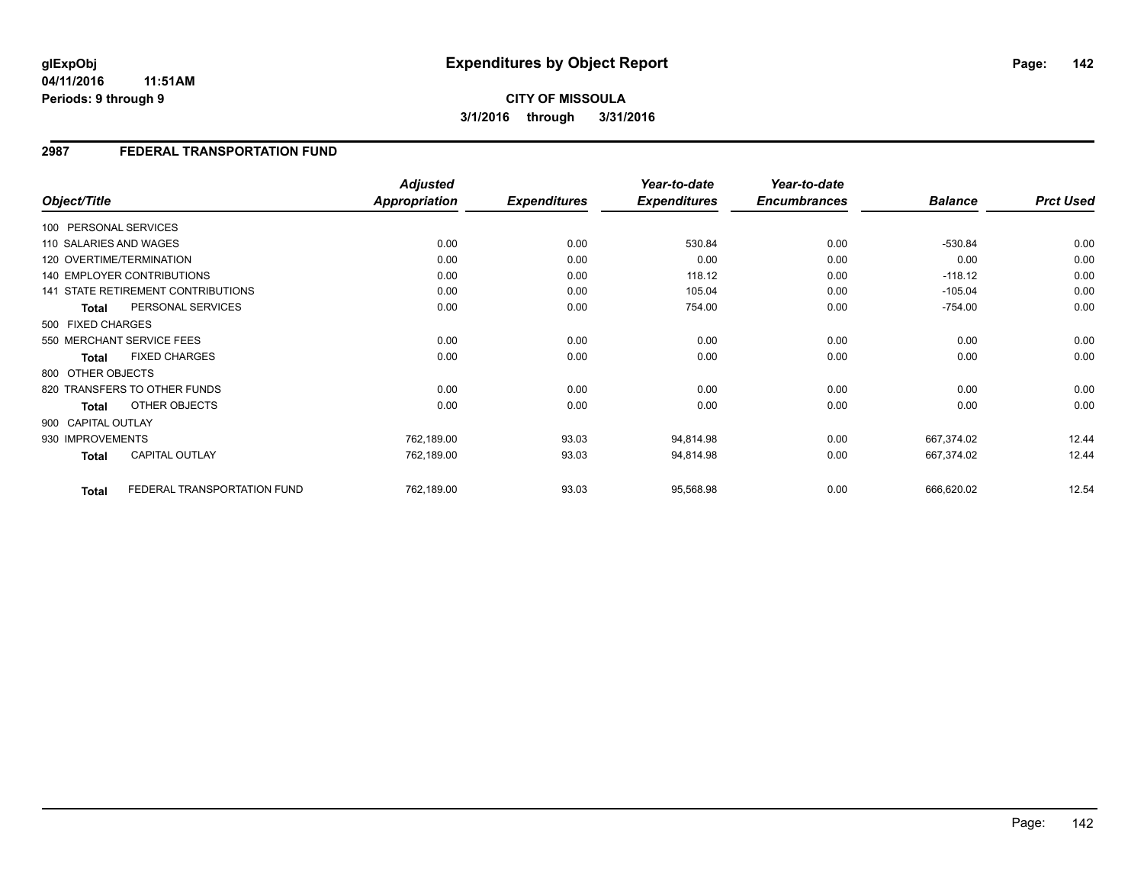## **2987 FEDERAL TRANSPORTATION FUND**

|                    |                                    | <b>Adjusted</b> |                     | Year-to-date        | Year-to-date        |                |                  |
|--------------------|------------------------------------|-----------------|---------------------|---------------------|---------------------|----------------|------------------|
| Object/Title       |                                    | Appropriation   | <b>Expenditures</b> | <b>Expenditures</b> | <b>Encumbrances</b> | <b>Balance</b> | <b>Prct Used</b> |
|                    | 100 PERSONAL SERVICES              |                 |                     |                     |                     |                |                  |
|                    | 110 SALARIES AND WAGES             | 0.00            | 0.00                | 530.84              | 0.00                | $-530.84$      | 0.00             |
|                    | 120 OVERTIME/TERMINATION           | 0.00            | 0.00                | 0.00                | 0.00                | 0.00           | 0.00             |
|                    | <b>140 EMPLOYER CONTRIBUTIONS</b>  | 0.00            | 0.00                | 118.12              | 0.00                | $-118.12$      | 0.00             |
|                    | 141 STATE RETIREMENT CONTRIBUTIONS | 0.00            | 0.00                | 105.04              | 0.00                | $-105.04$      | 0.00             |
| <b>Total</b>       | PERSONAL SERVICES                  | 0.00            | 0.00                | 754.00              | 0.00                | $-754.00$      | 0.00             |
| 500 FIXED CHARGES  |                                    |                 |                     |                     |                     |                |                  |
|                    | 550 MERCHANT SERVICE FEES          | 0.00            | 0.00                | 0.00                | 0.00                | 0.00           | 0.00             |
| Total              | <b>FIXED CHARGES</b>               | 0.00            | 0.00                | 0.00                | 0.00                | 0.00           | 0.00             |
| 800 OTHER OBJECTS  |                                    |                 |                     |                     |                     |                |                  |
|                    | 820 TRANSFERS TO OTHER FUNDS       | 0.00            | 0.00                | 0.00                | 0.00                | 0.00           | 0.00             |
| <b>Total</b>       | OTHER OBJECTS                      | 0.00            | 0.00                | 0.00                | 0.00                | 0.00           | 0.00             |
| 900 CAPITAL OUTLAY |                                    |                 |                     |                     |                     |                |                  |
| 930 IMPROVEMENTS   |                                    | 762,189.00      | 93.03               | 94,814.98           | 0.00                | 667,374.02     | 12.44            |
| <b>Total</b>       | <b>CAPITAL OUTLAY</b>              | 762,189.00      | 93.03               | 94,814.98           | 0.00                | 667,374.02     | 12.44            |
| <b>Total</b>       | FEDERAL TRANSPORTATION FUND        | 762,189.00      | 93.03               | 95,568.98           | 0.00                | 666,620.02     | 12.54            |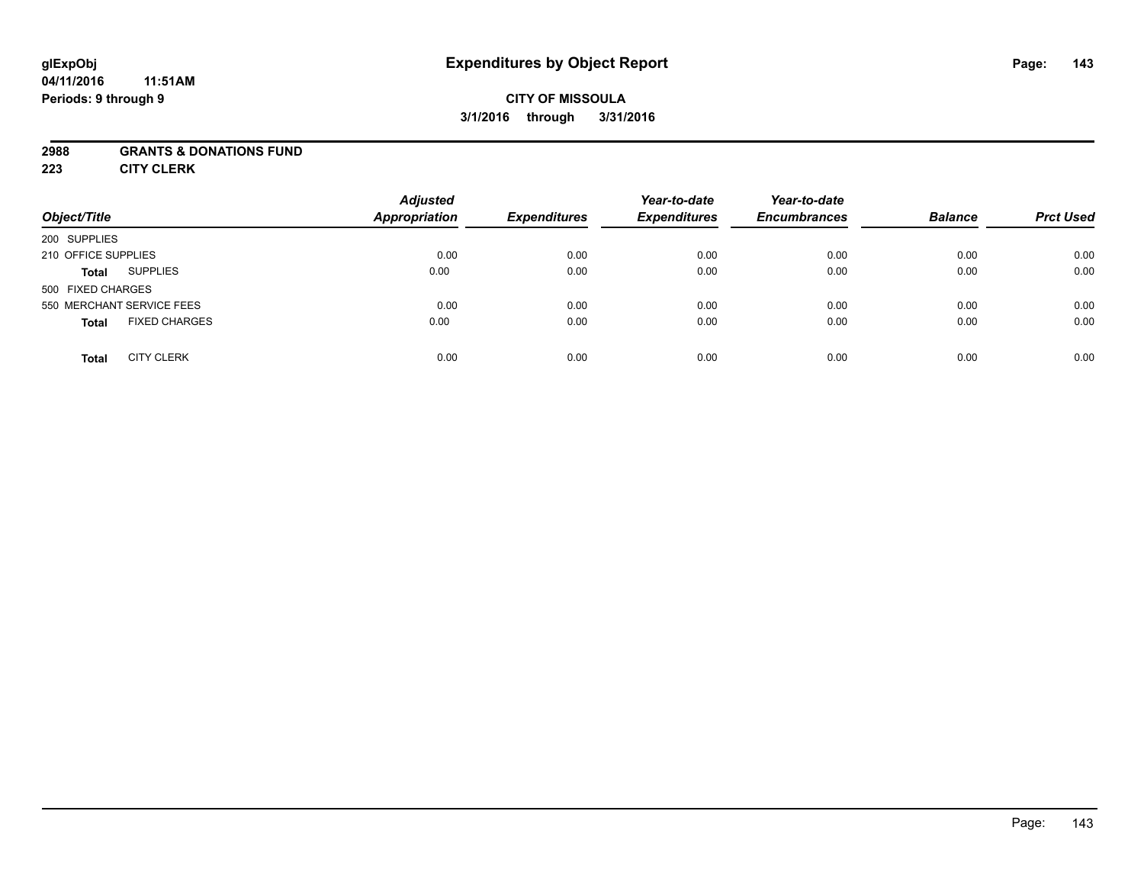## **CITY OF MISSOULA 3/1/2016 through 3/31/2016**

## **2988 GRANTS & DONATIONS FUND**

**223 CITY CLERK**

| Object/Title                         | <b>Adjusted</b><br><b>Appropriation</b> | <b>Expenditures</b> | Year-to-date<br><b>Expenditures</b> | Year-to-date<br><b>Encumbrances</b> | <b>Balance</b> | <b>Prct Used</b> |
|--------------------------------------|-----------------------------------------|---------------------|-------------------------------------|-------------------------------------|----------------|------------------|
| 200 SUPPLIES                         |                                         |                     |                                     |                                     |                |                  |
| 210 OFFICE SUPPLIES                  | 0.00                                    | 0.00                | 0.00                                | 0.00                                | 0.00           | 0.00             |
| <b>SUPPLIES</b><br><b>Total</b>      | 0.00                                    | 0.00                | 0.00                                | 0.00                                | 0.00           | 0.00             |
| 500 FIXED CHARGES                    |                                         |                     |                                     |                                     |                |                  |
| 550 MERCHANT SERVICE FEES            | 0.00                                    | 0.00                | 0.00                                | 0.00                                | 0.00           | 0.00             |
| <b>FIXED CHARGES</b><br><b>Total</b> | 0.00                                    | 0.00                | 0.00                                | 0.00                                | 0.00           | 0.00             |
| <b>CITY CLERK</b><br><b>Total</b>    | 0.00                                    | 0.00                | 0.00                                | 0.00                                | 0.00           | 0.00             |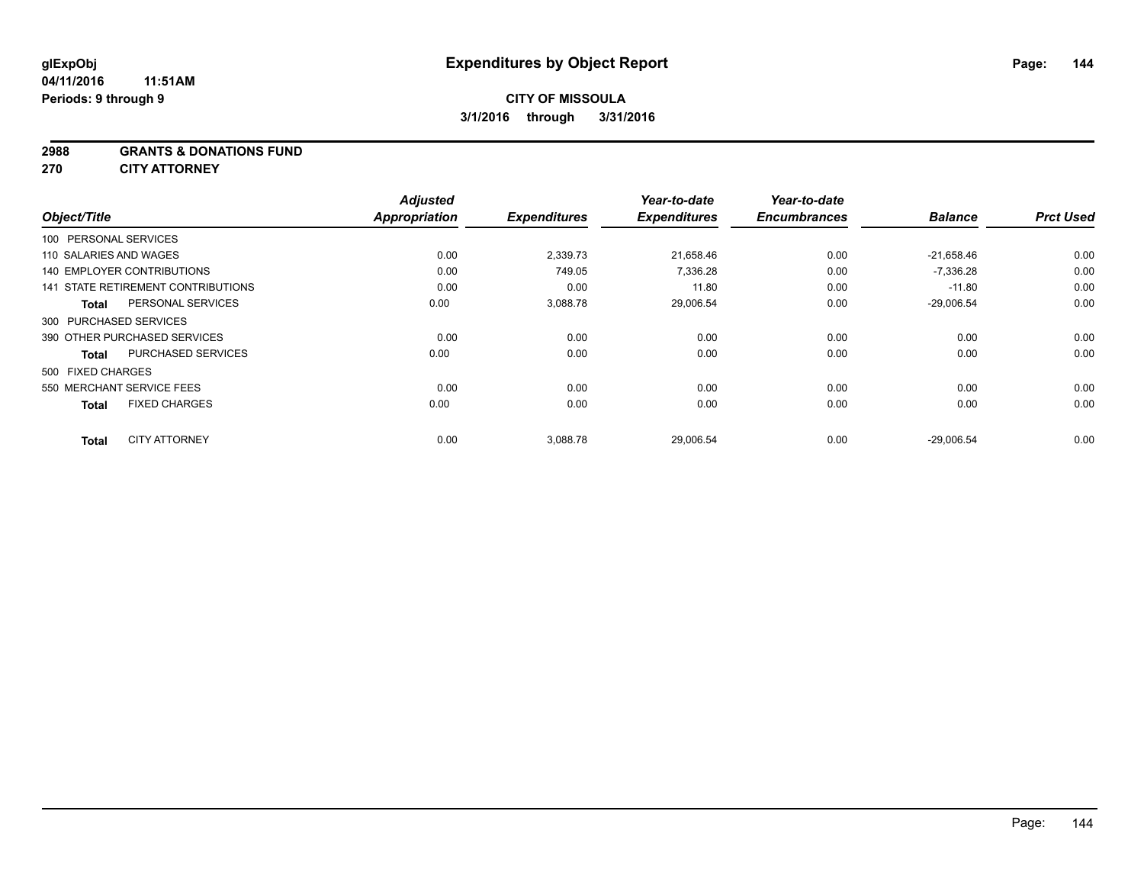#### **2988 GRANTS & DONATIONS FUND**

**270 CITY ATTORNEY**

|                                      |                           | <b>Adjusted</b>      |                     | Year-to-date        | Year-to-date        | <b>Balance</b> | <b>Prct Used</b> |
|--------------------------------------|---------------------------|----------------------|---------------------|---------------------|---------------------|----------------|------------------|
| Object/Title                         |                           | <b>Appropriation</b> | <b>Expenditures</b> | <b>Expenditures</b> | <b>Encumbrances</b> |                |                  |
| 100 PERSONAL SERVICES                |                           |                      |                     |                     |                     |                |                  |
| 110 SALARIES AND WAGES               |                           | 0.00                 | 2,339.73            | 21,658.46           | 0.00                | $-21.658.46$   | 0.00             |
| <b>140 EMPLOYER CONTRIBUTIONS</b>    |                           | 0.00                 | 749.05              | 7,336.28            | 0.00                | $-7,336.28$    | 0.00             |
| 141 STATE RETIREMENT CONTRIBUTIONS   |                           | 0.00                 | 0.00                | 11.80               | 0.00                | $-11.80$       | 0.00             |
| Total                                | PERSONAL SERVICES         | 0.00                 | 3,088.78            | 29,006.54           | 0.00                | $-29,006.54$   | 0.00             |
| 300 PURCHASED SERVICES               |                           |                      |                     |                     |                     |                |                  |
| 390 OTHER PURCHASED SERVICES         |                           | 0.00                 | 0.00                | 0.00                | 0.00                | 0.00           | 0.00             |
| <b>Total</b>                         | <b>PURCHASED SERVICES</b> | 0.00                 | 0.00                | 0.00                | 0.00                | 0.00           | 0.00             |
| 500 FIXED CHARGES                    |                           |                      |                     |                     |                     |                |                  |
| 550 MERCHANT SERVICE FEES            |                           | 0.00                 | 0.00                | 0.00                | 0.00                | 0.00           | 0.00             |
| <b>FIXED CHARGES</b><br><b>Total</b> |                           | 0.00                 | 0.00                | 0.00                | 0.00                | 0.00           | 0.00             |
| <b>CITY ATTORNEY</b><br><b>Total</b> |                           | 0.00                 | 3,088.78            | 29.006.54           | 0.00                | $-29.006.54$   | 0.00             |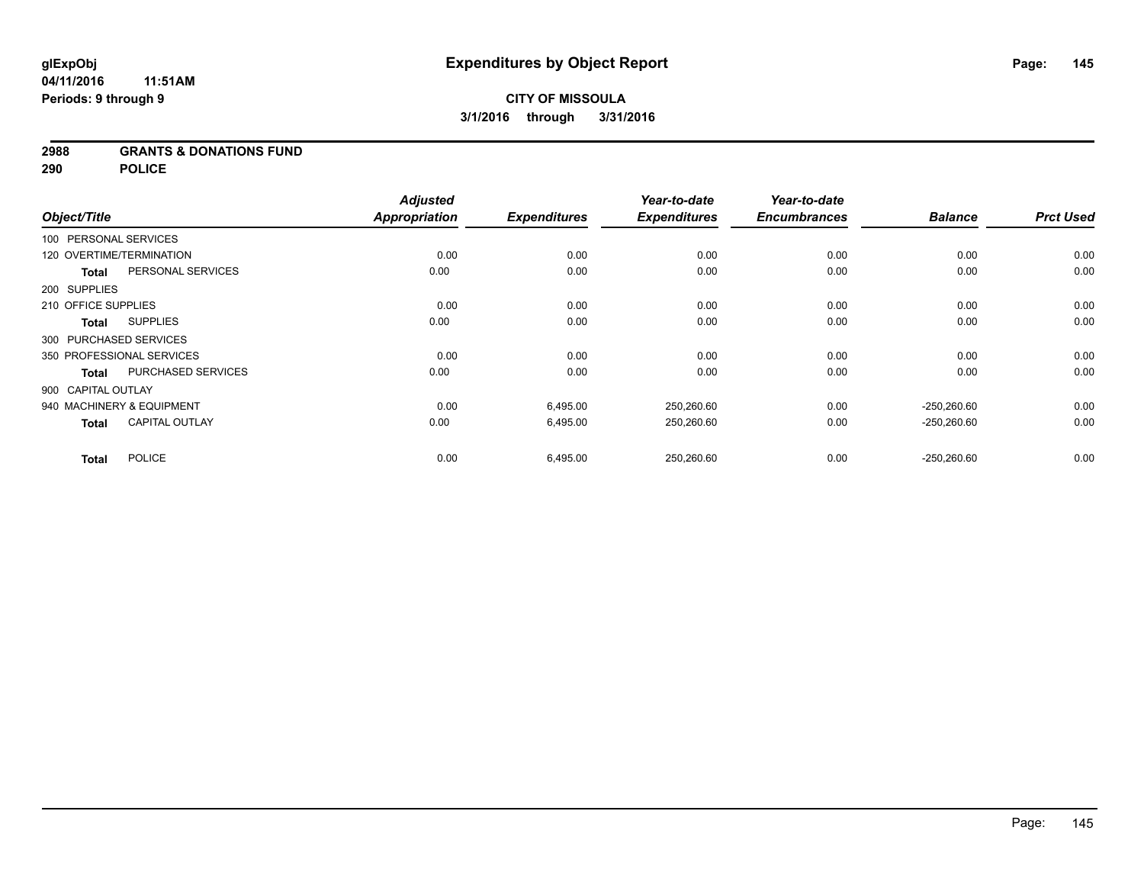#### **2988 GRANTS & DONATIONS FUND**

**290 POLICE**

|                       |                           | <b>Adjusted</b>      |                     | Year-to-date        | Year-to-date<br><b>Encumbrances</b> |                | <b>Prct Used</b> |
|-----------------------|---------------------------|----------------------|---------------------|---------------------|-------------------------------------|----------------|------------------|
| Object/Title          |                           | <b>Appropriation</b> | <b>Expenditures</b> | <b>Expenditures</b> |                                     | <b>Balance</b> |                  |
| 100 PERSONAL SERVICES |                           |                      |                     |                     |                                     |                |                  |
|                       | 120 OVERTIME/TERMINATION  | 0.00                 | 0.00                | 0.00                | 0.00                                | 0.00           | 0.00             |
| <b>Total</b>          | PERSONAL SERVICES         | 0.00                 | 0.00                | 0.00                | 0.00                                | 0.00           | 0.00             |
| 200 SUPPLIES          |                           |                      |                     |                     |                                     |                |                  |
| 210 OFFICE SUPPLIES   |                           | 0.00                 | 0.00                | 0.00                | 0.00                                | 0.00           | 0.00             |
| <b>Total</b>          | <b>SUPPLIES</b>           | 0.00                 | 0.00                | 0.00                | 0.00                                | 0.00           | 0.00             |
|                       | 300 PURCHASED SERVICES    |                      |                     |                     |                                     |                |                  |
|                       | 350 PROFESSIONAL SERVICES | 0.00                 | 0.00                | 0.00                | 0.00                                | 0.00           | 0.00             |
| <b>Total</b>          | <b>PURCHASED SERVICES</b> | 0.00                 | 0.00                | 0.00                | 0.00                                | 0.00           | 0.00             |
| 900 CAPITAL OUTLAY    |                           |                      |                     |                     |                                     |                |                  |
|                       | 940 MACHINERY & EQUIPMENT | 0.00                 | 6,495.00            | 250,260.60          | 0.00                                | $-250.260.60$  | 0.00             |
| <b>Total</b>          | <b>CAPITAL OUTLAY</b>     | 0.00                 | 6,495.00            | 250,260.60          | 0.00                                | $-250,260.60$  | 0.00             |
| <b>Total</b>          | <b>POLICE</b>             | 0.00                 | 6,495.00            | 250,260.60          | 0.00                                | $-250,260.60$  | 0.00             |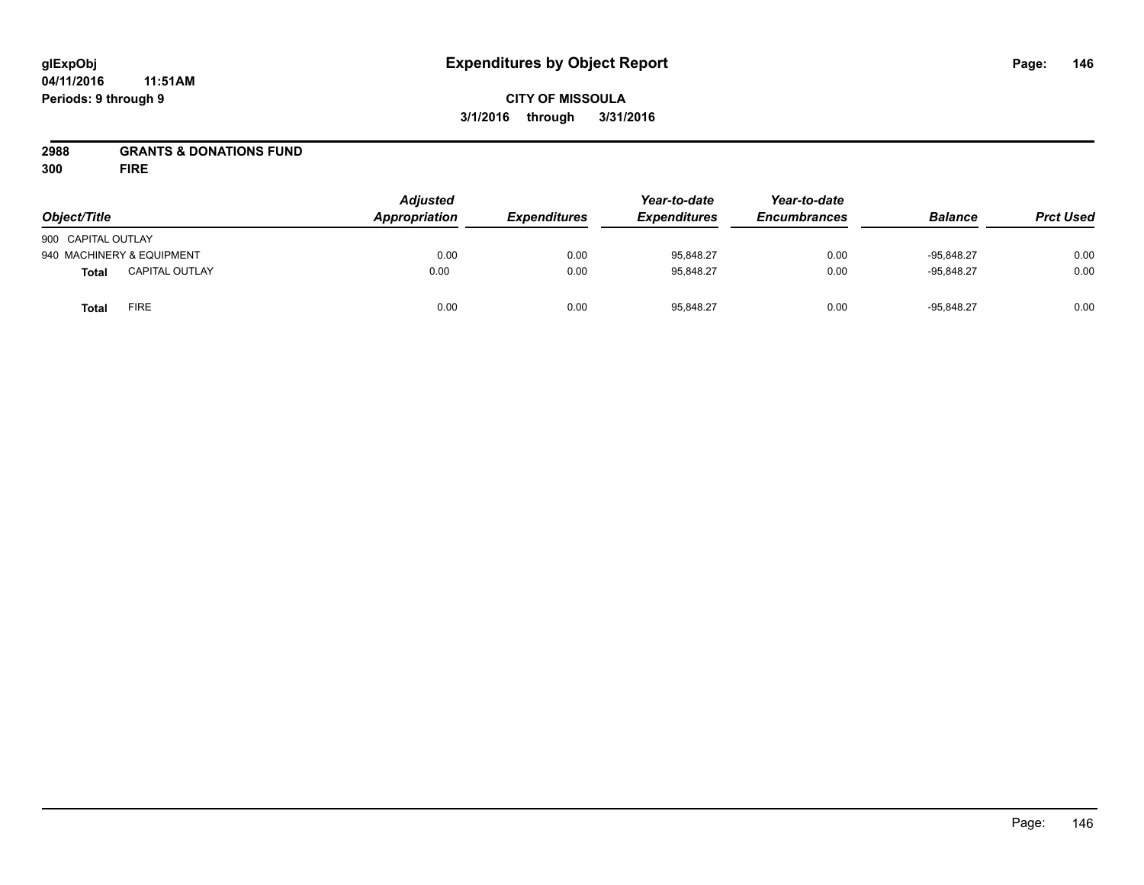## **CITY OF MISSOULA 3/1/2016 through 3/31/2016**

### **2988 GRANTS & DONATIONS FUND**

**300 FIRE**

| Object/Title       |                           | <b>Adjusted</b><br>Appropriation | <b>Expenditures</b> | Year-to-date<br><b>Expenditures</b> | Year-to-date<br><b>Encumbrances</b> | <b>Balance</b> | <b>Prct Used</b> |
|--------------------|---------------------------|----------------------------------|---------------------|-------------------------------------|-------------------------------------|----------------|------------------|
| 900 CAPITAL OUTLAY |                           |                                  |                     |                                     |                                     |                |                  |
|                    | 940 MACHINERY & EQUIPMENT | 0.00                             | 0.00                | 95,848.27                           | 0.00                                | $-95.848.27$   | 0.00             |
| <b>Total</b>       | <b>CAPITAL OUTLAY</b>     | 0.00                             | 0.00                | 95,848.27                           | 0.00                                | $-95.848.27$   | 0.00             |
| <b>Total</b>       | <b>FIRE</b>               | 0.00                             | 0.00                | 95,848.27                           | 0.00                                | $-95,848.27$   | 0.00             |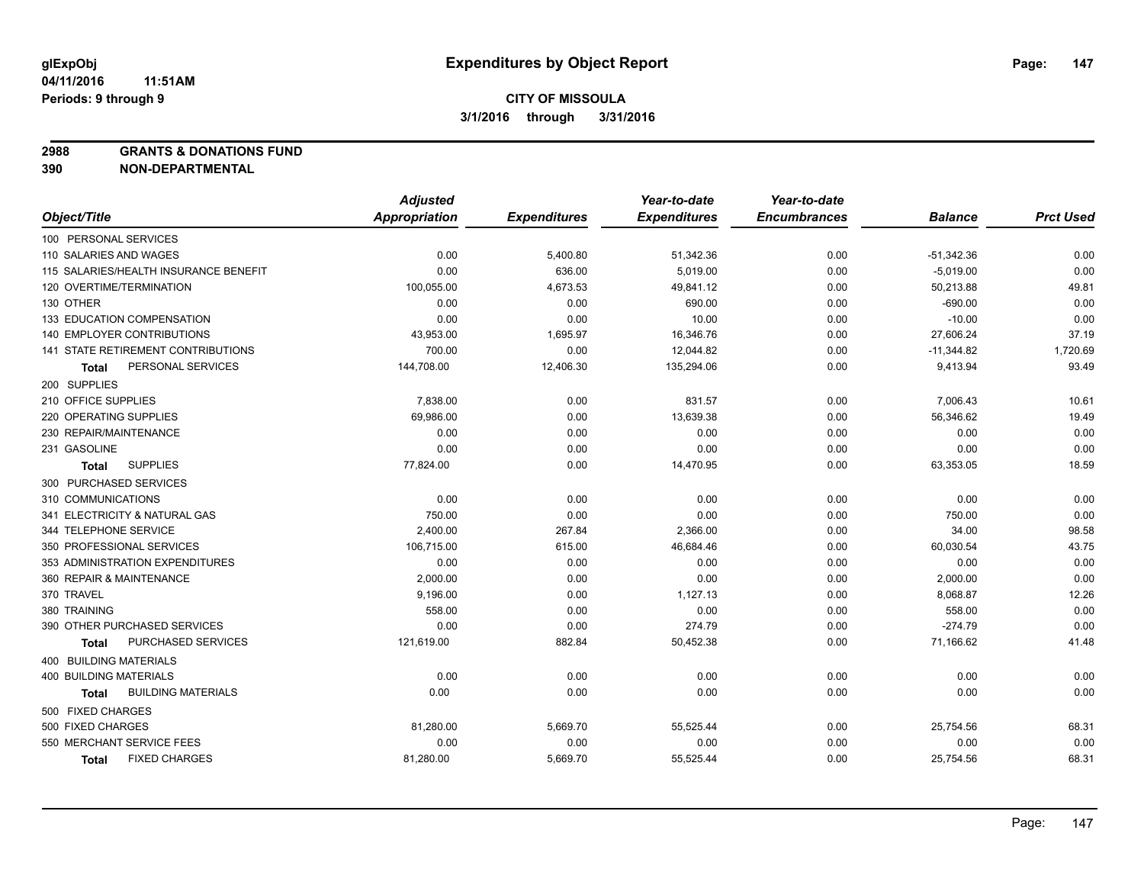**2988 GRANTS & DONATIONS FUND**

|                                       | <b>Adjusted</b> |                     | Year-to-date        | Year-to-date        |                |                  |
|---------------------------------------|-----------------|---------------------|---------------------|---------------------|----------------|------------------|
| Object/Title                          | Appropriation   | <b>Expenditures</b> | <b>Expenditures</b> | <b>Encumbrances</b> | <b>Balance</b> | <b>Prct Used</b> |
| 100 PERSONAL SERVICES                 |                 |                     |                     |                     |                |                  |
| 110 SALARIES AND WAGES                | 0.00            | 5,400.80            | 51,342.36           | 0.00                | $-51,342.36$   | 0.00             |
| 115 SALARIES/HEALTH INSURANCE BENEFIT | 0.00            | 636.00              | 5.019.00            | 0.00                | $-5,019.00$    | 0.00             |
| 120 OVERTIME/TERMINATION              | 100,055.00      | 4,673.53            | 49,841.12           | 0.00                | 50,213.88      | 49.81            |
| 130 OTHER                             | 0.00            | 0.00                | 690.00              | 0.00                | $-690.00$      | 0.00             |
| <b>133 EDUCATION COMPENSATION</b>     | 0.00            | 0.00                | 10.00               | 0.00                | $-10.00$       | 0.00             |
| <b>140 EMPLOYER CONTRIBUTIONS</b>     | 43,953.00       | 1,695.97            | 16,346.76           | 0.00                | 27,606.24      | 37.19            |
| 141 STATE RETIREMENT CONTRIBUTIONS    | 700.00          | 0.00                | 12,044.82           | 0.00                | $-11,344.82$   | 1,720.69         |
| PERSONAL SERVICES<br>Total            | 144,708.00      | 12,406.30           | 135,294.06          | 0.00                | 9,413.94       | 93.49            |
| 200 SUPPLIES                          |                 |                     |                     |                     |                |                  |
| 210 OFFICE SUPPLIES                   | 7,838.00        | 0.00                | 831.57              | 0.00                | 7,006.43       | 10.61            |
| 220 OPERATING SUPPLIES                | 69,986.00       | 0.00                | 13,639.38           | 0.00                | 56,346.62      | 19.49            |
| 230 REPAIR/MAINTENANCE                | 0.00            | 0.00                | 0.00                | 0.00                | 0.00           | 0.00             |
| 231 GASOLINE                          | 0.00            | 0.00                | 0.00                | 0.00                | 0.00           | 0.00             |
| <b>SUPPLIES</b><br>Total              | 77,824.00       | 0.00                | 14,470.95           | 0.00                | 63,353.05      | 18.59            |
| 300 PURCHASED SERVICES                |                 |                     |                     |                     |                |                  |
| 310 COMMUNICATIONS                    | 0.00            | 0.00                | 0.00                | 0.00                | 0.00           | 0.00             |
| 341 ELECTRICITY & NATURAL GAS         | 750.00          | 0.00                | 0.00                | 0.00                | 750.00         | 0.00             |
| 344 TELEPHONE SERVICE                 | 2,400.00        | 267.84              | 2,366.00            | 0.00                | 34.00          | 98.58            |
| 350 PROFESSIONAL SERVICES             | 106,715.00      | 615.00              | 46,684.46           | 0.00                | 60,030.54      | 43.75            |
| 353 ADMINISTRATION EXPENDITURES       | 0.00            | 0.00                | 0.00                | 0.00                | 0.00           | 0.00             |
| 360 REPAIR & MAINTENANCE              | 2,000.00        | 0.00                | 0.00                | 0.00                | 2,000.00       | 0.00             |
| 370 TRAVEL                            | 9,196.00        | 0.00                | 1,127.13            | 0.00                | 8,068.87       | 12.26            |
| 380 TRAINING                          | 558.00          | 0.00                | 0.00                | 0.00                | 558.00         | 0.00             |
| 390 OTHER PURCHASED SERVICES          | 0.00            | 0.00                | 274.79              | 0.00                | $-274.79$      | 0.00             |
| <b>PURCHASED SERVICES</b><br>Total    | 121,619.00      | 882.84              | 50,452.38           | 0.00                | 71,166.62      | 41.48            |
| <b>400 BUILDING MATERIALS</b>         |                 |                     |                     |                     |                |                  |
| 400 BUILDING MATERIALS                | 0.00            | 0.00                | 0.00                | 0.00                | 0.00           | 0.00             |
| <b>BUILDING MATERIALS</b><br>Total    | 0.00            | 0.00                | 0.00                | 0.00                | 0.00           | 0.00             |
| 500 FIXED CHARGES                     |                 |                     |                     |                     |                |                  |
| 500 FIXED CHARGES                     | 81,280.00       | 5,669.70            | 55,525.44           | 0.00                | 25,754.56      | 68.31            |
| 550 MERCHANT SERVICE FEES             | 0.00            | 0.00                | 0.00                | 0.00                | 0.00           | 0.00             |
| <b>FIXED CHARGES</b><br><b>Total</b>  | 81,280.00       | 5,669.70            | 55,525.44           | 0.00                | 25,754.56      | 68.31            |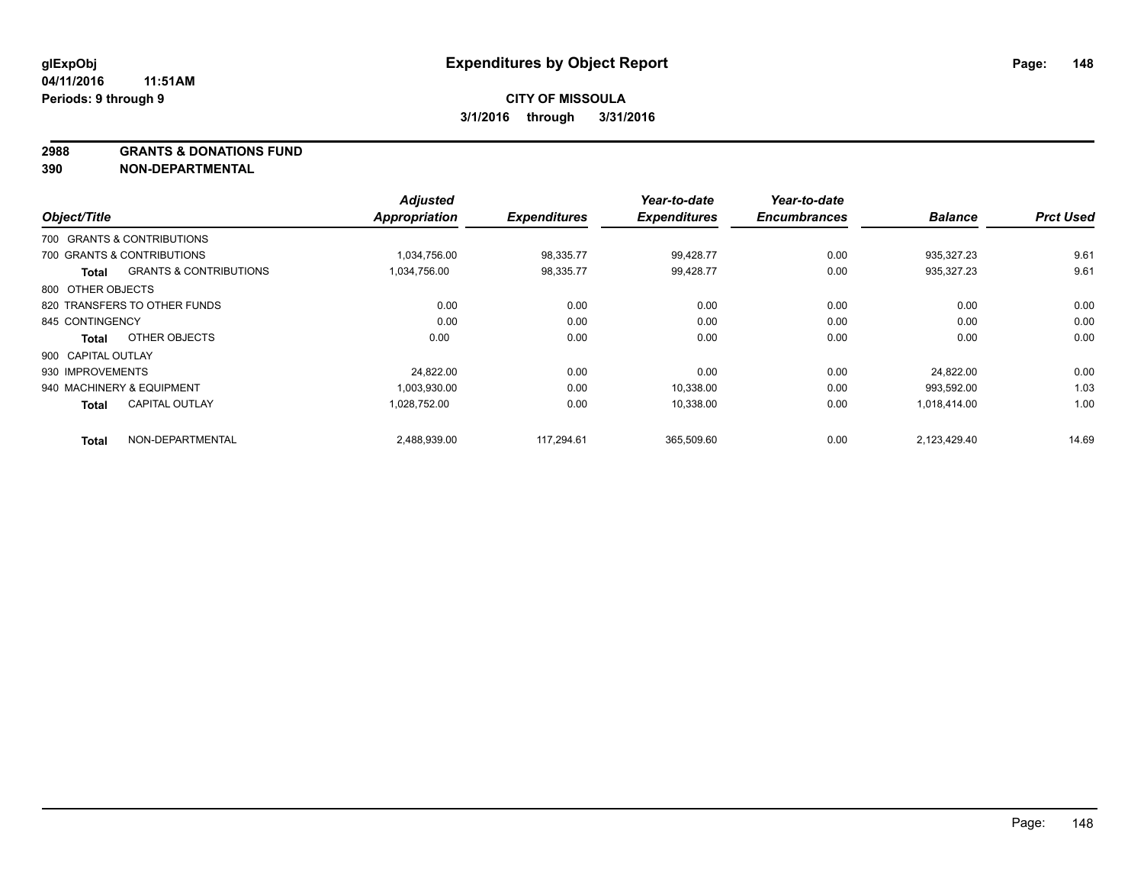**2988 GRANTS & DONATIONS FUND**

| Object/Title       |                                   | <b>Adjusted</b><br><b>Appropriation</b> | <b>Expenditures</b> | Year-to-date<br><b>Expenditures</b> | Year-to-date<br><b>Encumbrances</b> | <b>Balance</b> | <b>Prct Used</b> |
|--------------------|-----------------------------------|-----------------------------------------|---------------------|-------------------------------------|-------------------------------------|----------------|------------------|
|                    |                                   |                                         |                     |                                     |                                     |                |                  |
|                    | 700 GRANTS & CONTRIBUTIONS        |                                         |                     |                                     |                                     |                |                  |
|                    | 700 GRANTS & CONTRIBUTIONS        | 1,034,756.00                            | 98,335.77           | 99,428.77                           | 0.00                                | 935,327.23     | 9.61             |
| Total              | <b>GRANTS &amp; CONTRIBUTIONS</b> | 1,034,756.00                            | 98,335.77           | 99,428.77                           | 0.00                                | 935,327.23     | 9.61             |
| 800 OTHER OBJECTS  |                                   |                                         |                     |                                     |                                     |                |                  |
|                    | 820 TRANSFERS TO OTHER FUNDS      | 0.00                                    | 0.00                | 0.00                                | 0.00                                | 0.00           | 0.00             |
| 845 CONTINGENCY    |                                   | 0.00                                    | 0.00                | 0.00                                | 0.00                                | 0.00           | 0.00             |
| <b>Total</b>       | OTHER OBJECTS                     | 0.00                                    | 0.00                | 0.00                                | 0.00                                | 0.00           | 0.00             |
| 900 CAPITAL OUTLAY |                                   |                                         |                     |                                     |                                     |                |                  |
| 930 IMPROVEMENTS   |                                   | 24.822.00                               | 0.00                | 0.00                                | 0.00                                | 24.822.00      | 0.00             |
|                    | 940 MACHINERY & EQUIPMENT         | 1,003,930.00                            | 0.00                | 10,338.00                           | 0.00                                | 993,592.00     | 1.03             |
| <b>Total</b>       | <b>CAPITAL OUTLAY</b>             | 1,028,752.00                            | 0.00                | 10,338.00                           | 0.00                                | 1,018,414.00   | 1.00             |
| <b>Total</b>       | NON-DEPARTMENTAL                  | 2,488,939.00                            | 117.294.61          | 365,509.60                          | 0.00                                | 2,123,429.40   | 14.69            |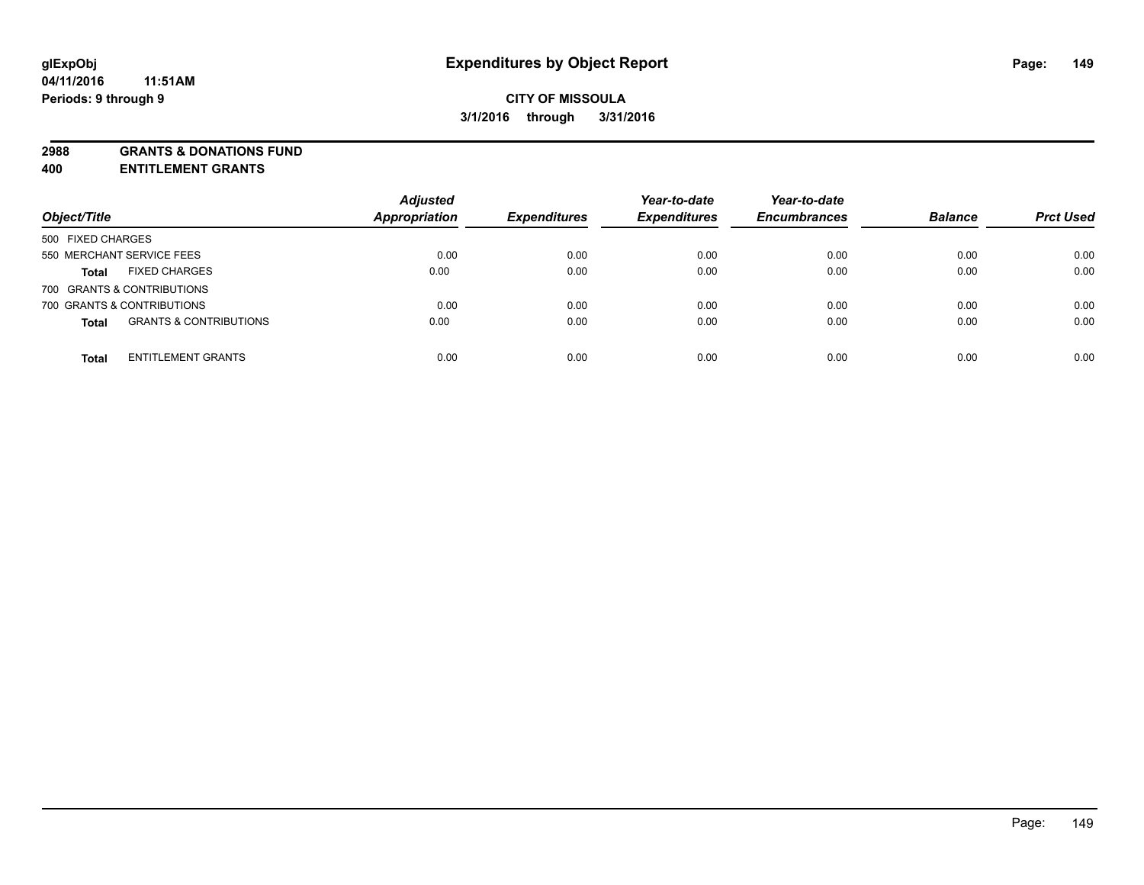**2988 GRANTS & DONATIONS FUND**

**400 ENTITLEMENT GRANTS**

| Object/Title                                      | <b>Adjusted</b><br><b>Appropriation</b> | <b>Expenditures</b> | Year-to-date<br><b>Expenditures</b> | Year-to-date<br><b>Encumbrances</b> | <b>Balance</b> | <b>Prct Used</b> |
|---------------------------------------------------|-----------------------------------------|---------------------|-------------------------------------|-------------------------------------|----------------|------------------|
| 500 FIXED CHARGES                                 |                                         |                     |                                     |                                     |                |                  |
| 550 MERCHANT SERVICE FEES                         | 0.00                                    | 0.00                | 0.00                                | 0.00                                | 0.00           | 0.00             |
| <b>FIXED CHARGES</b><br><b>Total</b>              | 0.00                                    | 0.00                | 0.00                                | 0.00                                | 0.00           | 0.00             |
| 700 GRANTS & CONTRIBUTIONS                        |                                         |                     |                                     |                                     |                |                  |
| 700 GRANTS & CONTRIBUTIONS                        | 0.00                                    | 0.00                | 0.00                                | 0.00                                | 0.00           | 0.00             |
| <b>GRANTS &amp; CONTRIBUTIONS</b><br><b>Total</b> | 0.00                                    | 0.00                | 0.00                                | 0.00                                | 0.00           | 0.00             |
| <b>ENTITLEMENT GRANTS</b><br><b>Total</b>         | 0.00                                    | 0.00                | 0.00                                | 0.00                                | 0.00           | 0.00             |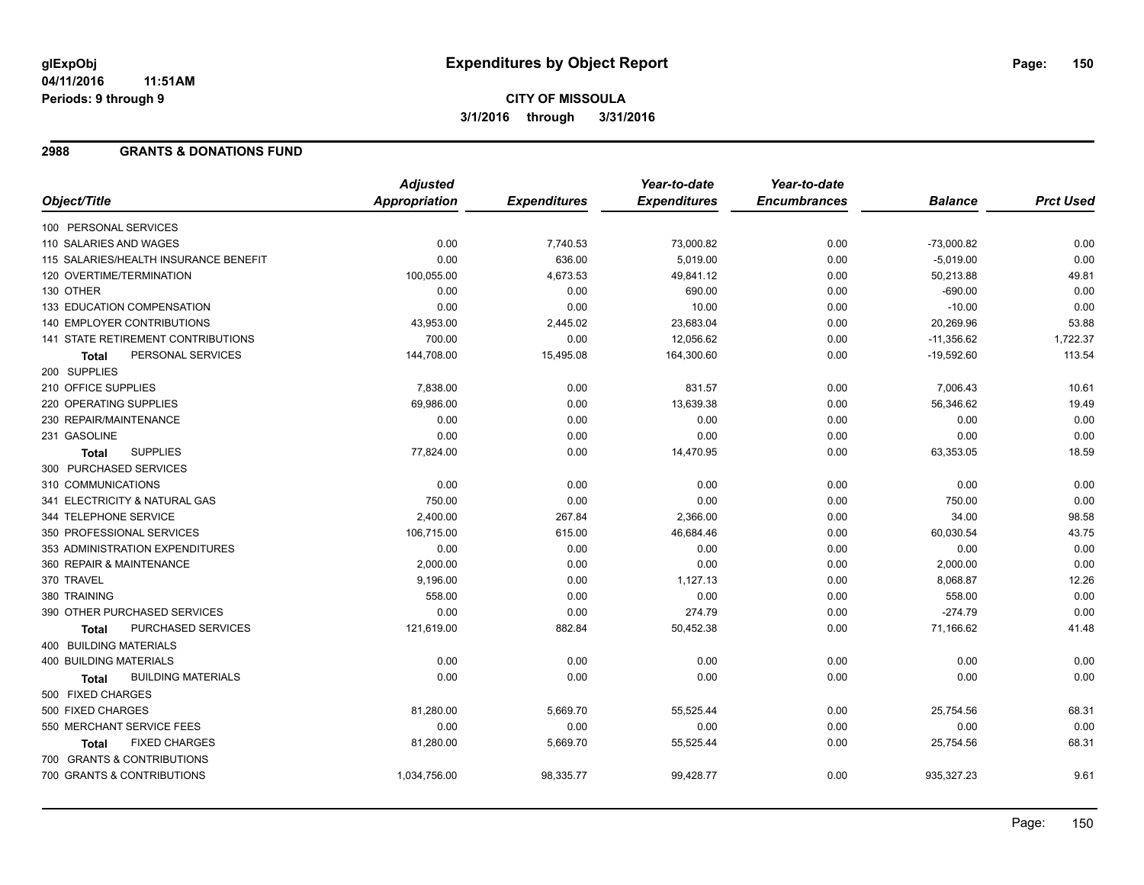## **CITY OF MISSOULA 3/1/2016 through 3/31/2016**

#### **2988 GRANTS & DONATIONS FUND**

|                                           | <b>Adjusted</b>      |                     | Year-to-date        | Year-to-date        |                |                  |
|-------------------------------------------|----------------------|---------------------|---------------------|---------------------|----------------|------------------|
| Object/Title                              | <b>Appropriation</b> | <b>Expenditures</b> | <b>Expenditures</b> | <b>Encumbrances</b> | <b>Balance</b> | <b>Prct Used</b> |
| 100 PERSONAL SERVICES                     |                      |                     |                     |                     |                |                  |
| 110 SALARIES AND WAGES                    | 0.00                 | 7,740.53            | 73,000.82           | 0.00                | $-73,000.82$   | 0.00             |
| 115 SALARIES/HEALTH INSURANCE BENEFIT     | 0.00                 | 636.00              | 5,019.00            | 0.00                | $-5,019.00$    | 0.00             |
| 120 OVERTIME/TERMINATION                  | 100,055.00           | 4,673.53            | 49,841.12           | 0.00                | 50,213.88      | 49.81            |
| 130 OTHER                                 | 0.00                 | 0.00                | 690.00              | 0.00                | $-690.00$      | 0.00             |
| 133 EDUCATION COMPENSATION                | 0.00                 | 0.00                | 10.00               | 0.00                | $-10.00$       | 0.00             |
| 140 EMPLOYER CONTRIBUTIONS                | 43,953.00            | 2,445.02            | 23,683.04           | 0.00                | 20,269.96      | 53.88            |
| 141 STATE RETIREMENT CONTRIBUTIONS        | 700.00               | 0.00                | 12,056.62           | 0.00                | $-11,356.62$   | 1,722.37         |
| PERSONAL SERVICES<br>Total                | 144,708.00           | 15,495.08           | 164,300.60          | 0.00                | $-19,592.60$   | 113.54           |
| 200 SUPPLIES                              |                      |                     |                     |                     |                |                  |
| 210 OFFICE SUPPLIES                       | 7,838.00             | 0.00                | 831.57              | 0.00                | 7,006.43       | 10.61            |
| 220 OPERATING SUPPLIES                    | 69,986.00            | 0.00                | 13,639.38           | 0.00                | 56,346.62      | 19.49            |
| 230 REPAIR/MAINTENANCE                    | 0.00                 | 0.00                | 0.00                | 0.00                | 0.00           | 0.00             |
| 231 GASOLINE                              | 0.00                 | 0.00                | 0.00                | 0.00                | 0.00           | 0.00             |
| <b>SUPPLIES</b><br><b>Total</b>           | 77.824.00            | 0.00                | 14,470.95           | 0.00                | 63,353.05      | 18.59            |
| 300 PURCHASED SERVICES                    |                      |                     |                     |                     |                |                  |
| 310 COMMUNICATIONS                        | 0.00                 | 0.00                | 0.00                | 0.00                | 0.00           | 0.00             |
| 341 ELECTRICITY & NATURAL GAS             | 750.00               | 0.00                | 0.00                | 0.00                | 750.00         | 0.00             |
| 344 TELEPHONE SERVICE                     | 2,400.00             | 267.84              | 2,366.00            | 0.00                | 34.00          | 98.58            |
| 350 PROFESSIONAL SERVICES                 | 106,715.00           | 615.00              | 46,684.46           | 0.00                | 60,030.54      | 43.75            |
| 353 ADMINISTRATION EXPENDITURES           | 0.00                 | 0.00                | 0.00                | 0.00                | 0.00           | 0.00             |
| 360 REPAIR & MAINTENANCE                  | 2,000.00             | 0.00                | 0.00                | 0.00                | 2,000.00       | 0.00             |
| 370 TRAVEL                                | 9,196.00             | 0.00                | 1,127.13            | 0.00                | 8,068.87       | 12.26            |
| 380 TRAINING                              | 558.00               | 0.00                | 0.00                | 0.00                | 558.00         | 0.00             |
| 390 OTHER PURCHASED SERVICES              | 0.00                 | 0.00                | 274.79              | 0.00                | $-274.79$      | 0.00             |
| PURCHASED SERVICES<br><b>Total</b>        | 121,619.00           | 882.84              | 50,452.38           | 0.00                | 71,166.62      | 41.48            |
| 400 BUILDING MATERIALS                    |                      |                     |                     |                     |                |                  |
| <b>400 BUILDING MATERIALS</b>             | 0.00                 | 0.00                | 0.00                | 0.00                | 0.00           | 0.00             |
| <b>BUILDING MATERIALS</b><br><b>Total</b> | 0.00                 | 0.00                | 0.00                | 0.00                | 0.00           | 0.00             |
| 500 FIXED CHARGES                         |                      |                     |                     |                     |                |                  |
| 500 FIXED CHARGES                         | 81,280.00            | 5,669.70            | 55,525.44           | 0.00                | 25,754.56      | 68.31            |
| 550 MERCHANT SERVICE FEES                 | 0.00                 | 0.00                | 0.00                | 0.00                | 0.00           | 0.00             |
| <b>FIXED CHARGES</b><br><b>Total</b>      | 81,280.00            | 5,669.70            | 55,525.44           | 0.00                | 25,754.56      | 68.31            |
| 700 GRANTS & CONTRIBUTIONS                |                      |                     |                     |                     |                |                  |
| 700 GRANTS & CONTRIBUTIONS                | 1,034,756.00         | 98,335.77           | 99,428.77           | 0.00                | 935,327.23     | 9.61             |
|                                           |                      |                     |                     |                     |                |                  |

Page: 150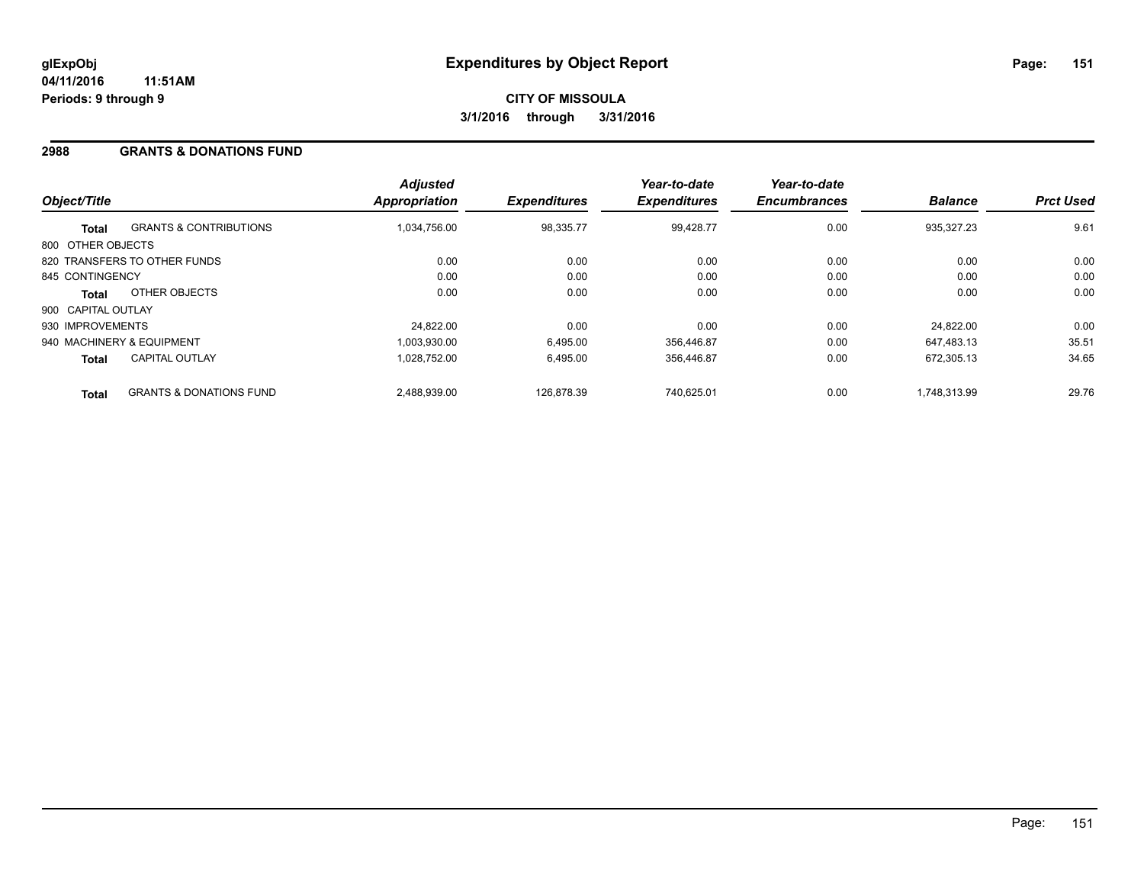#### **2988 GRANTS & DONATIONS FUND**

| Object/Title       |                                    | <b>Adjusted</b><br><b>Appropriation</b> | <b>Expenditures</b> | Year-to-date<br><b>Expenditures</b> | Year-to-date<br><b>Encumbrances</b> | <b>Balance</b> | <b>Prct Used</b> |
|--------------------|------------------------------------|-----------------------------------------|---------------------|-------------------------------------|-------------------------------------|----------------|------------------|
| <b>Total</b>       | <b>GRANTS &amp; CONTRIBUTIONS</b>  | 1,034,756.00                            | 98,335.77           | 99.428.77                           | 0.00                                | 935,327.23     | 9.61             |
| 800 OTHER OBJECTS  |                                    |                                         |                     |                                     |                                     |                |                  |
|                    | 820 TRANSFERS TO OTHER FUNDS       | 0.00                                    | 0.00                | 0.00                                | 0.00                                | 0.00           | 0.00             |
| 845 CONTINGENCY    |                                    | 0.00                                    | 0.00                | 0.00                                | 0.00                                | 0.00           | 0.00             |
| <b>Total</b>       | OTHER OBJECTS                      | 0.00                                    | 0.00                | 0.00                                | 0.00                                | 0.00           | 0.00             |
| 900 CAPITAL OUTLAY |                                    |                                         |                     |                                     |                                     |                |                  |
| 930 IMPROVEMENTS   |                                    | 24.822.00                               | 0.00                | 0.00                                | 0.00                                | 24.822.00      | 0.00             |
|                    | 940 MACHINERY & EQUIPMENT          | 1.003.930.00                            | 6,495.00            | 356.446.87                          | 0.00                                | 647.483.13     | 35.51            |
| <b>Total</b>       | <b>CAPITAL OUTLAY</b>              | 1.028.752.00                            | 6.495.00            | 356.446.87                          | 0.00                                | 672.305.13     | 34.65            |
| <b>Total</b>       | <b>GRANTS &amp; DONATIONS FUND</b> | 2,488,939.00                            | 126.878.39          | 740.625.01                          | 0.00                                | 1.748.313.99   | 29.76            |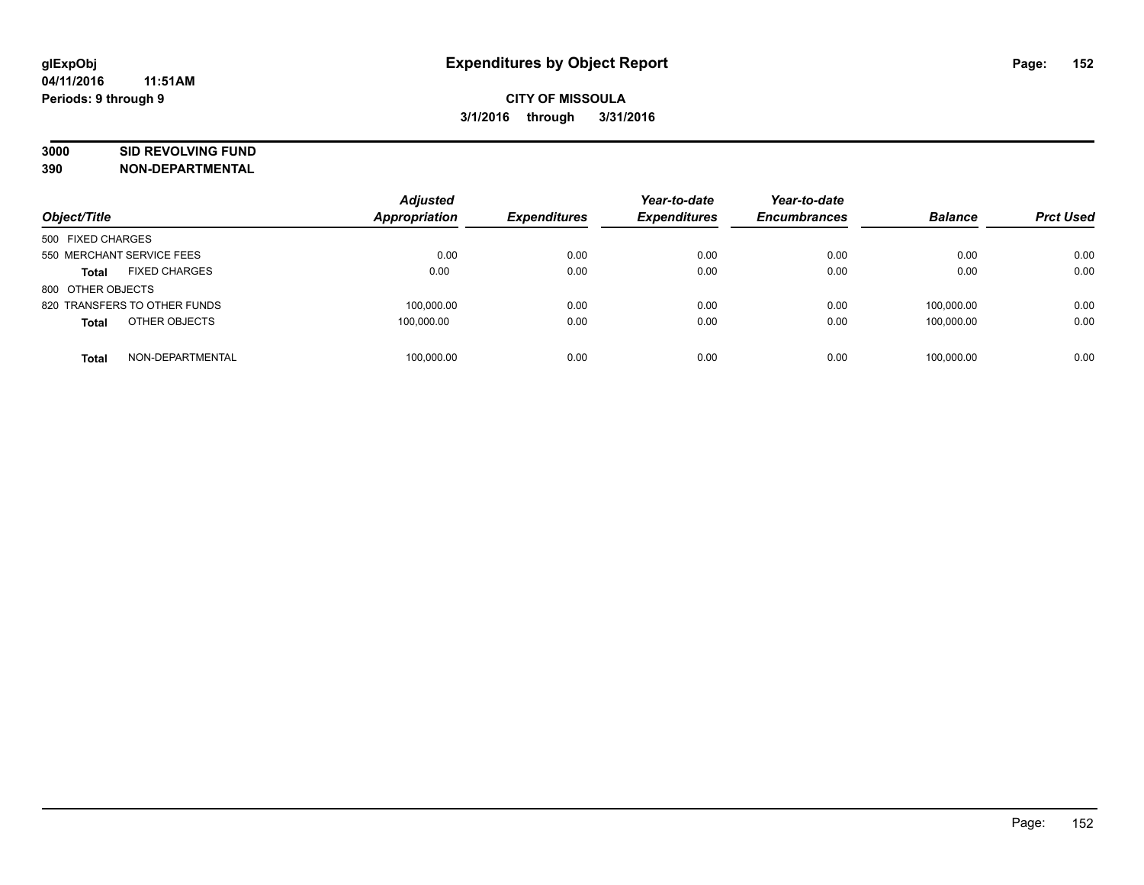# **3000 SID REVOLVING FUND**

| Object/Title                         | <b>Adjusted</b><br>Appropriation | <b>Expenditures</b> | Year-to-date<br><b>Expenditures</b> | Year-to-date<br><b>Encumbrances</b> | <b>Balance</b> | <b>Prct Used</b> |
|--------------------------------------|----------------------------------|---------------------|-------------------------------------|-------------------------------------|----------------|------------------|
| 500 FIXED CHARGES                    |                                  |                     |                                     |                                     |                |                  |
| 550 MERCHANT SERVICE FEES            | 0.00                             | 0.00                | 0.00                                | 0.00                                | 0.00           | 0.00             |
| <b>FIXED CHARGES</b><br><b>Total</b> | 0.00                             | 0.00                | 0.00                                | 0.00                                | 0.00           | 0.00             |
| 800 OTHER OBJECTS                    |                                  |                     |                                     |                                     |                |                  |
| 820 TRANSFERS TO OTHER FUNDS         | 100.000.00                       | 0.00                | 0.00                                | 0.00                                | 100.000.00     | 0.00             |
| OTHER OBJECTS<br><b>Total</b>        | 100,000.00                       | 0.00                | 0.00                                | 0.00                                | 100.000.00     | 0.00             |
| NON-DEPARTMENTAL<br><b>Total</b>     | 100.000.00                       | 0.00                | 0.00                                | 0.00                                | 100.000.00     | 0.00             |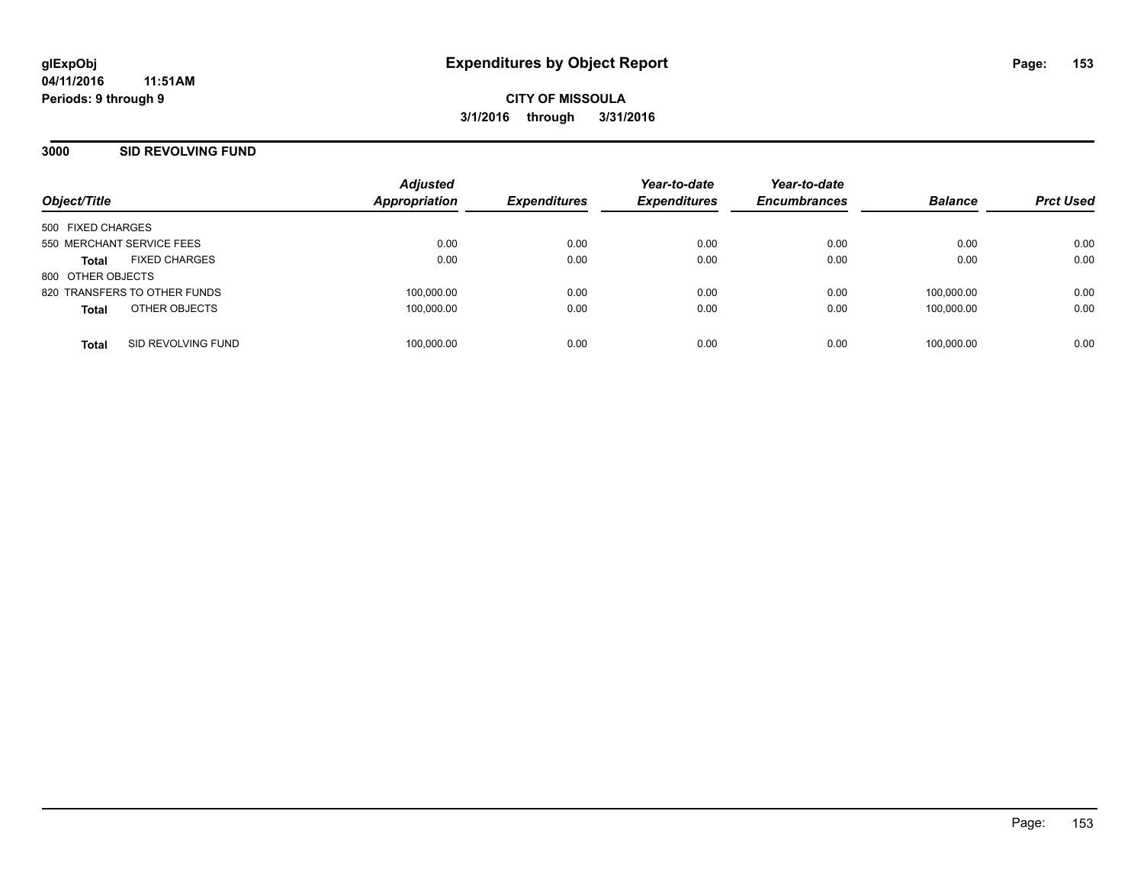#### **3000 SID REVOLVING FUND**

| Object/Title                         | <b>Adjusted</b><br><b>Appropriation</b> | <b>Expenditures</b> | Year-to-date<br><b>Expenditures</b> | Year-to-date<br><b>Encumbrances</b> | <b>Balance</b> | <b>Prct Used</b> |
|--------------------------------------|-----------------------------------------|---------------------|-------------------------------------|-------------------------------------|----------------|------------------|
|                                      |                                         |                     |                                     |                                     |                |                  |
| 500 FIXED CHARGES                    |                                         |                     |                                     |                                     |                |                  |
| 550 MERCHANT SERVICE FEES            | 0.00                                    | 0.00                | 0.00                                | 0.00                                | 0.00           | 0.00             |
| <b>FIXED CHARGES</b><br><b>Total</b> | 0.00                                    | 0.00                | 0.00                                | 0.00                                | 0.00           | 0.00             |
| 800 OTHER OBJECTS                    |                                         |                     |                                     |                                     |                |                  |
| 820 TRANSFERS TO OTHER FUNDS         | 100,000.00                              | 0.00                | 0.00                                | 0.00                                | 100,000.00     | 0.00             |
| OTHER OBJECTS<br><b>Total</b>        | 100,000.00                              | 0.00                | 0.00                                | 0.00                                | 100.000.00     | 0.00             |
| SID REVOLVING FUND<br><b>Total</b>   | 100,000.00                              | 0.00                | 0.00                                | 0.00                                | 100.000.00     | 0.00             |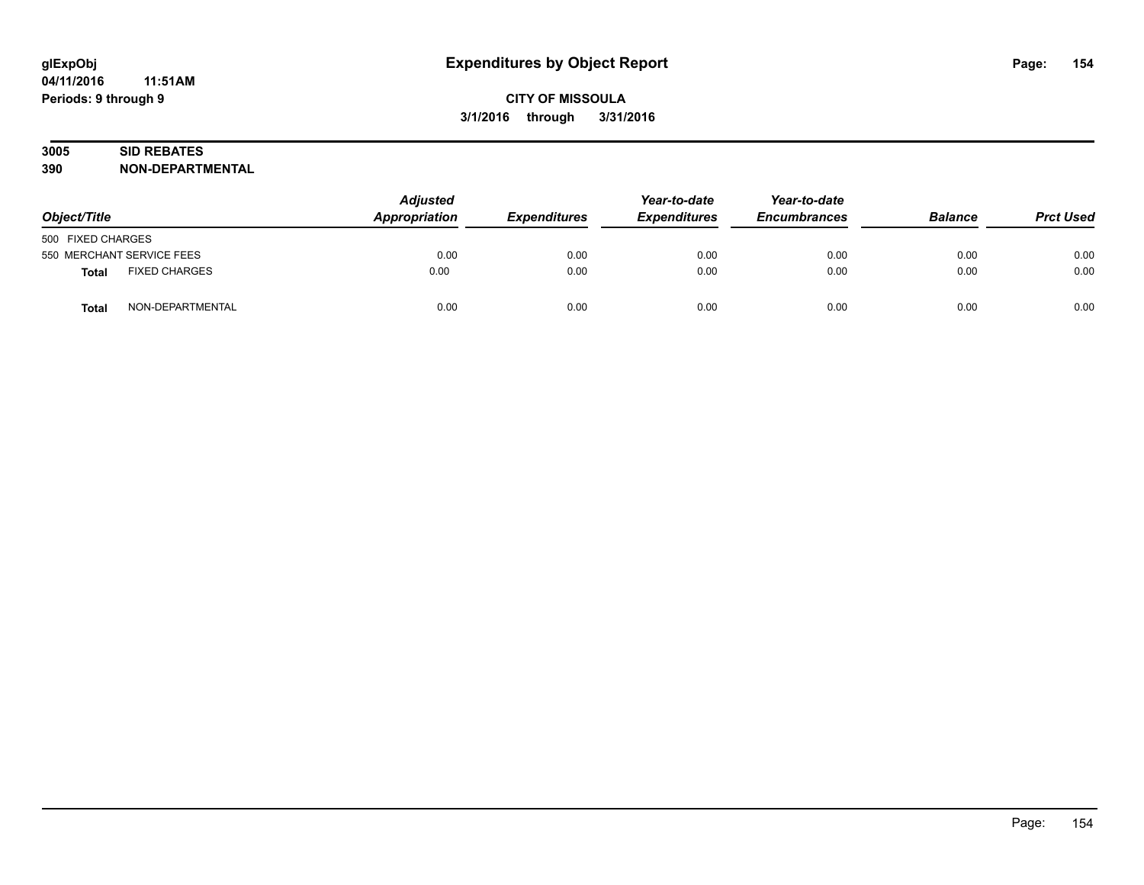# **3005 SID REBATES**

| Object/Title              |                      | <b>Adjusted</b><br>Appropriation | <b>Expenditures</b> | Year-to-date<br><b>Expenditures</b> | Year-to-date<br><b>Encumbrances</b> | <b>Balance</b> | <b>Prct Used</b> |
|---------------------------|----------------------|----------------------------------|---------------------|-------------------------------------|-------------------------------------|----------------|------------------|
| 500 FIXED CHARGES         |                      |                                  |                     |                                     |                                     |                |                  |
| 550 MERCHANT SERVICE FEES |                      | 0.00                             | 0.00                | 0.00                                | 0.00                                | 0.00           | 0.00             |
| <b>Total</b>              | <b>FIXED CHARGES</b> | 0.00                             | 0.00                | 0.00                                | 0.00                                | 0.00           | 0.00             |
| <b>Total</b>              | NON-DEPARTMENTAL     | 0.00                             | 0.00                | 0.00                                | 0.00                                | 0.00           | 0.00             |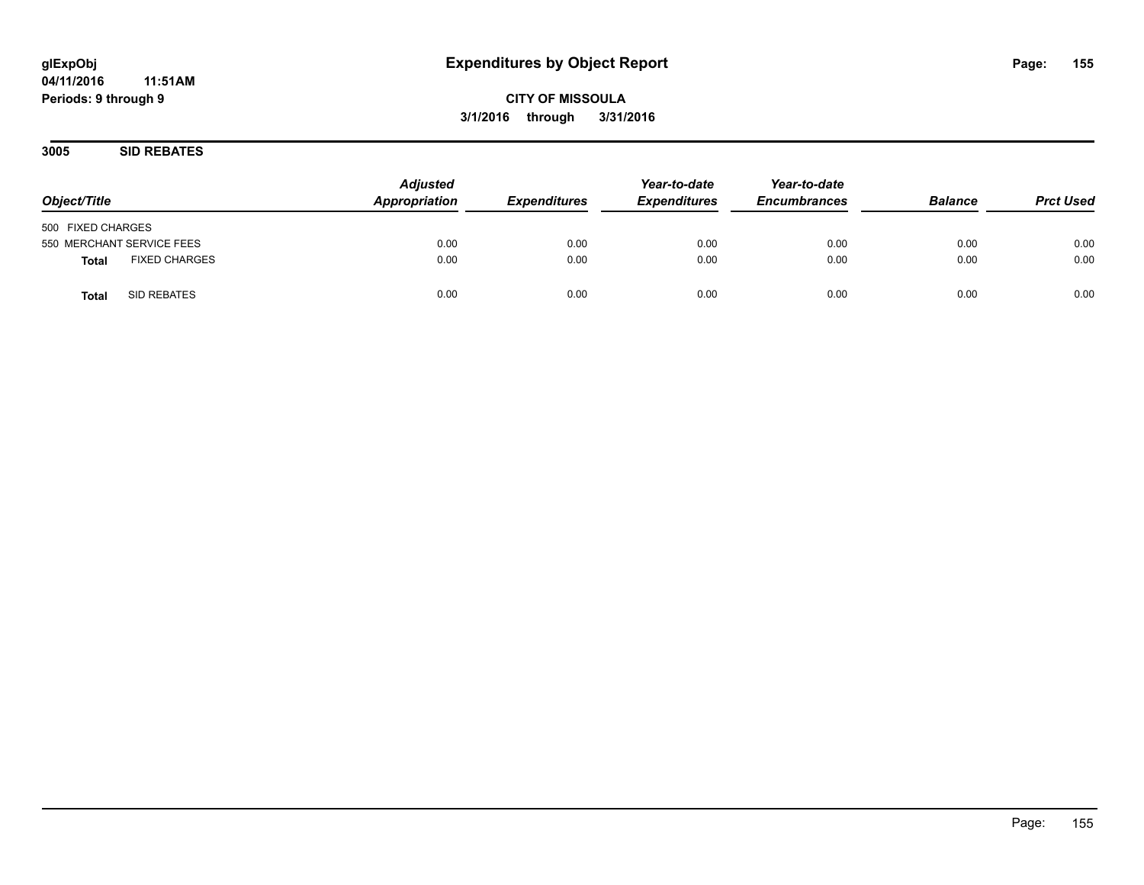**3005 SID REBATES**

| Object/Title                         | <b>Adjusted</b><br>Appropriation | <b>Expenditures</b> | Year-to-date<br><b>Expenditures</b> | Year-to-date<br><b>Encumbrances</b> | <b>Balance</b> | <b>Prct Used</b> |
|--------------------------------------|----------------------------------|---------------------|-------------------------------------|-------------------------------------|----------------|------------------|
| 500 FIXED CHARGES                    |                                  |                     |                                     |                                     |                |                  |
| 550 MERCHANT SERVICE FEES            | 0.00                             | 0.00                | 0.00                                | 0.00                                | 0.00           | 0.00             |
| <b>FIXED CHARGES</b><br><b>Total</b> | 0.00                             | 0.00                | 0.00                                | 0.00                                | 0.00           | 0.00             |
| SID REBATES<br><b>Total</b>          | 0.00                             | 0.00                | 0.00                                | 0.00                                | 0.00           | 0.00             |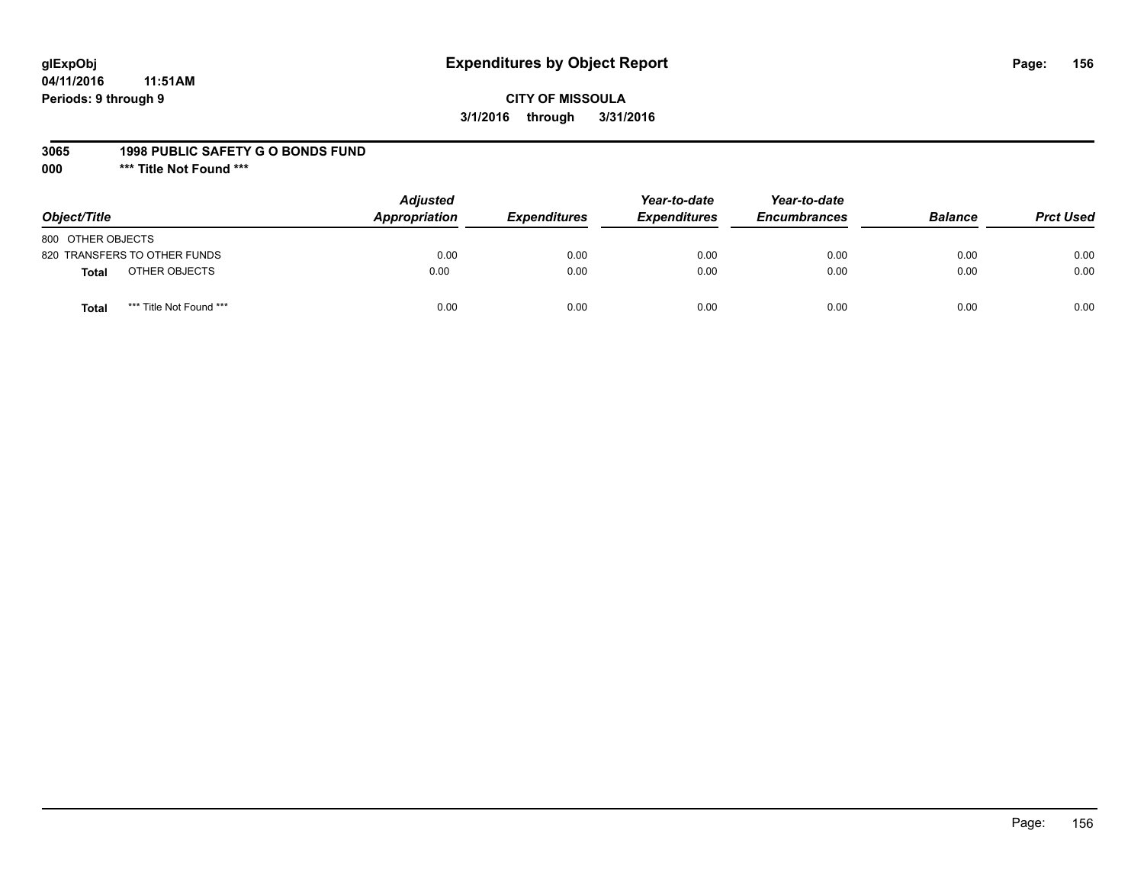## **glExpObj Expenditures by Object Report Page: 156**

#### **CITY OF MISSOULA 3/1/2016 through 3/31/2016**

#### **3065 1998 PUBLIC SAFETY G O BONDS FUND**

**000 \*\*\* Title Not Found \*\*\***

| Object/Title                            | <b>Adjusted</b><br>Appropriation | <b>Expenditures</b> | Year-to-date<br><b>Expenditures</b> | Year-to-date<br><b>Encumbrances</b> | <b>Balance</b> | <b>Prct Used</b> |
|-----------------------------------------|----------------------------------|---------------------|-------------------------------------|-------------------------------------|----------------|------------------|
| 800 OTHER OBJECTS                       |                                  |                     |                                     |                                     |                |                  |
| 820 TRANSFERS TO OTHER FUNDS            | 0.00                             | 0.00                | 0.00                                | 0.00                                | 0.00           | 0.00             |
| OTHER OBJECTS<br>Total                  | 0.00                             | 0.00                | 0.00                                | 0.00                                | 0.00           | 0.00             |
| *** Title Not Found ***<br><b>Total</b> | 0.00                             | 0.00                | 0.00                                | 0.00                                | 0.00           | 0.00             |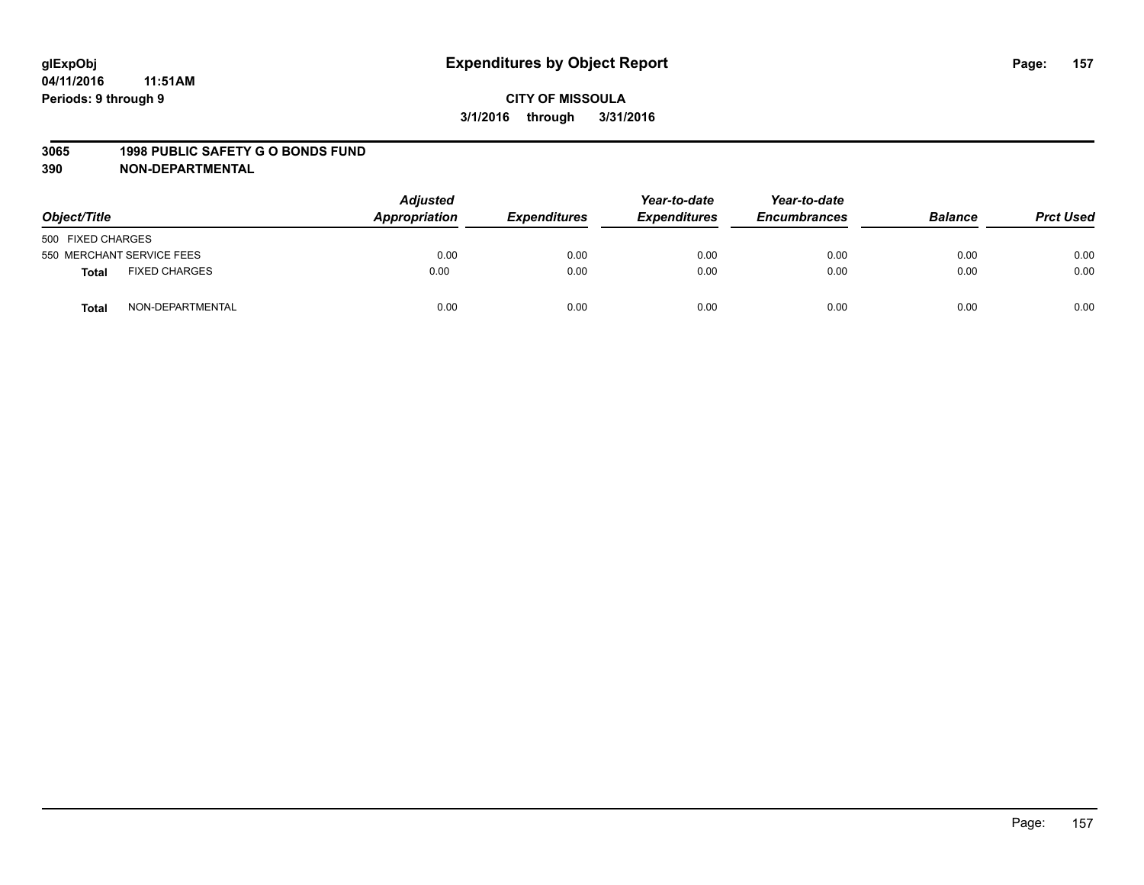#### **3065 1998 PUBLIC SAFETY G O BONDS FUND**

| Object/Title      |                           | <b>Adjusted</b><br>Appropriation<br><b>Expenditures</b> | Year-to-date<br><b>Expenditures</b> | Year-to-date<br><b>Encumbrances</b> | <b>Balance</b> | <b>Prct Used</b> |      |
|-------------------|---------------------------|---------------------------------------------------------|-------------------------------------|-------------------------------------|----------------|------------------|------|
| 500 FIXED CHARGES |                           |                                                         |                                     |                                     |                |                  |      |
|                   | 550 MERCHANT SERVICE FEES | 0.00                                                    | 0.00                                | 0.00                                | 0.00           | 0.00             | 0.00 |
| <b>Total</b>      | <b>FIXED CHARGES</b>      | 0.00                                                    | 0.00                                | 0.00                                | 0.00           | 0.00             | 0.00 |
| <b>Total</b>      | NON-DEPARTMENTAL          | 0.00                                                    | 0.00                                | 0.00                                | 0.00           | 0.00             | 0.00 |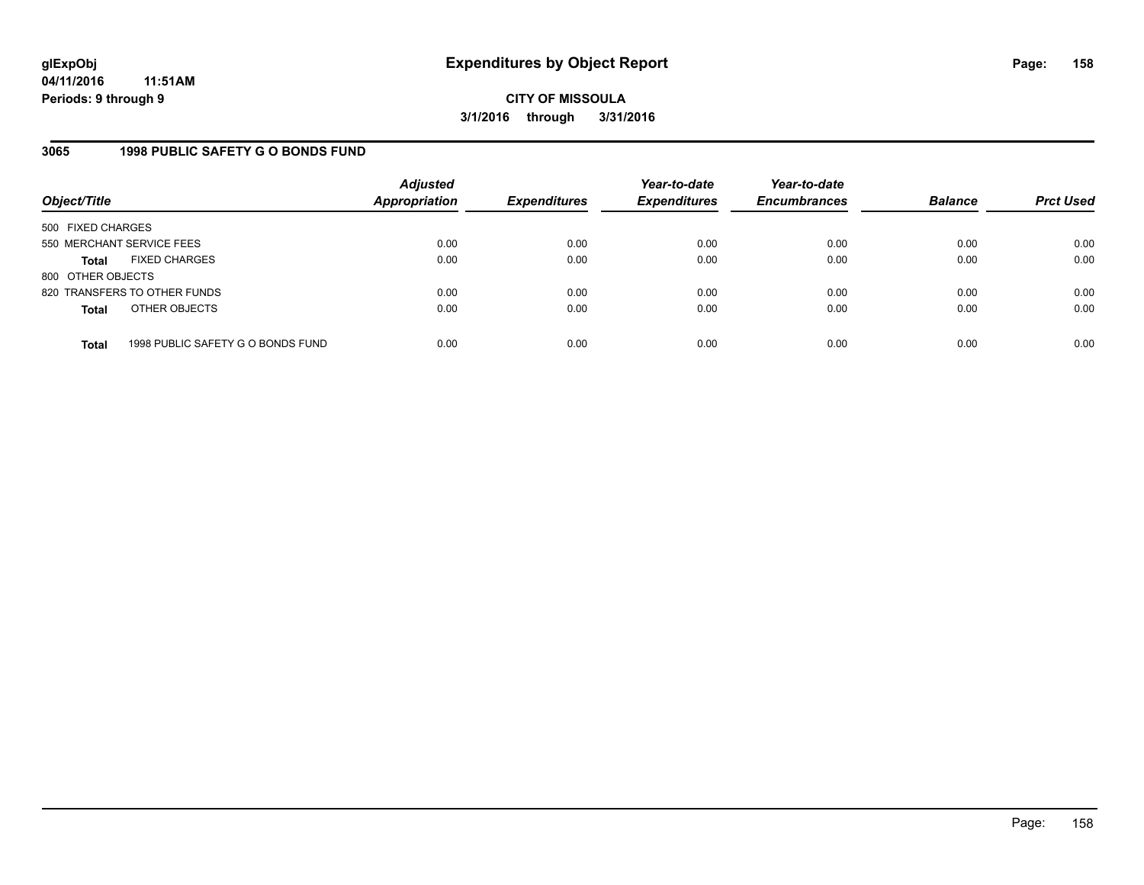### **3065 1998 PUBLIC SAFETY G O BONDS FUND**

| Object/Title              |                                   | <b>Adjusted</b><br>Appropriation | <b>Expenditures</b> | Year-to-date<br><b>Expenditures</b> | Year-to-date<br><b>Encumbrances</b> | <b>Balance</b> | <b>Prct Used</b> |
|---------------------------|-----------------------------------|----------------------------------|---------------------|-------------------------------------|-------------------------------------|----------------|------------------|
| 500 FIXED CHARGES         |                                   |                                  |                     |                                     |                                     |                |                  |
| 550 MERCHANT SERVICE FEES |                                   | 0.00                             | 0.00                | 0.00                                | 0.00                                | 0.00           | 0.00             |
| Total                     | <b>FIXED CHARGES</b>              | 0.00                             | 0.00                | 0.00                                | 0.00                                | 0.00           | 0.00             |
| 800 OTHER OBJECTS         |                                   |                                  |                     |                                     |                                     |                |                  |
|                           | 820 TRANSFERS TO OTHER FUNDS      | 0.00                             | 0.00                | 0.00                                | 0.00                                | 0.00           | 0.00             |
| <b>Total</b>              | OTHER OBJECTS                     | 0.00                             | 0.00                | 0.00                                | 0.00                                | 0.00           | 0.00             |
| <b>Total</b>              | 1998 PUBLIC SAFETY G O BONDS FUND | 0.00                             | 0.00                | 0.00                                | 0.00                                | 0.00           | 0.00             |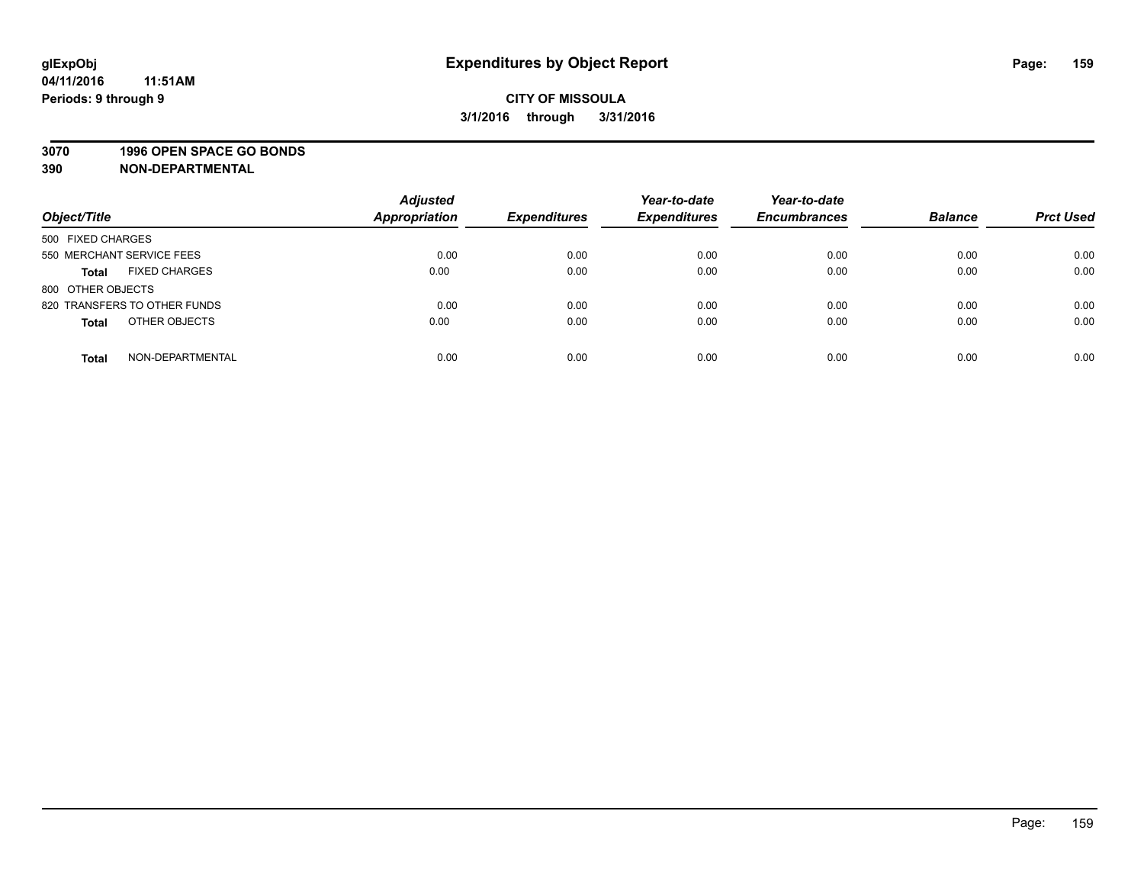#### **3070 1996 OPEN SPACE GO BONDS**

| Object/Title                         | <b>Adjusted</b><br><b>Appropriation</b> | <b>Expenditures</b> | Year-to-date<br><b>Expenditures</b> | Year-to-date<br><b>Encumbrances</b> | <b>Balance</b> | <b>Prct Used</b> |
|--------------------------------------|-----------------------------------------|---------------------|-------------------------------------|-------------------------------------|----------------|------------------|
| 500 FIXED CHARGES                    |                                         |                     |                                     |                                     |                |                  |
| 550 MERCHANT SERVICE FEES            | 0.00                                    | 0.00                | 0.00                                | 0.00                                | 0.00           | 0.00             |
| <b>FIXED CHARGES</b><br><b>Total</b> | 0.00                                    | 0.00                | 0.00                                | 0.00                                | 0.00           | 0.00             |
| 800 OTHER OBJECTS                    |                                         |                     |                                     |                                     |                |                  |
| 820 TRANSFERS TO OTHER FUNDS         | 0.00                                    | 0.00                | 0.00                                | 0.00                                | 0.00           | 0.00             |
| OTHER OBJECTS<br><b>Total</b>        | 0.00                                    | 0.00                | 0.00                                | 0.00                                | 0.00           | 0.00             |
| NON-DEPARTMENTAL<br><b>Total</b>     | 0.00                                    | 0.00                | 0.00                                | 0.00                                | 0.00           | 0.00             |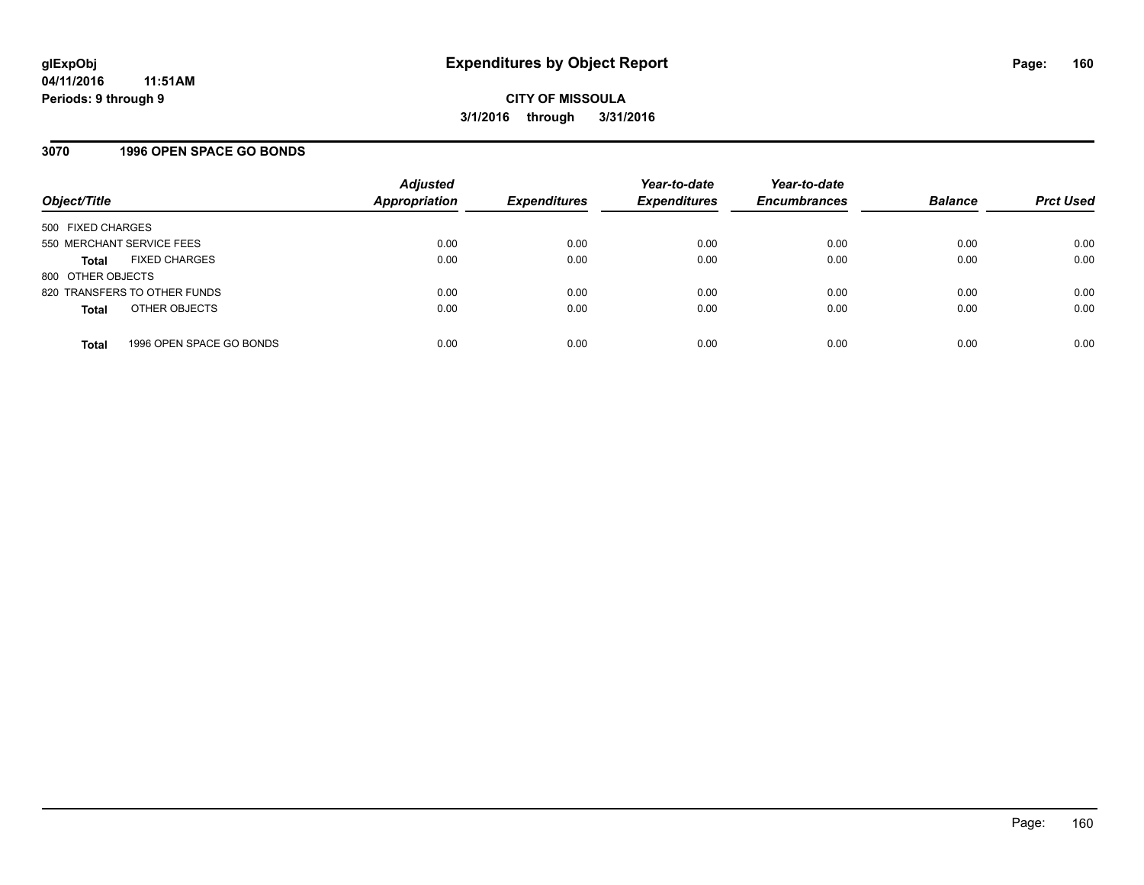#### **3070 1996 OPEN SPACE GO BONDS**

| Object/Title              |                              | <b>Adjusted</b><br>Appropriation | <b>Expenditures</b> | Year-to-date<br><b>Expenditures</b> | Year-to-date<br><b>Encumbrances</b> | <b>Balance</b> | <b>Prct Used</b> |
|---------------------------|------------------------------|----------------------------------|---------------------|-------------------------------------|-------------------------------------|----------------|------------------|
| 500 FIXED CHARGES         |                              |                                  |                     |                                     |                                     |                |                  |
| 550 MERCHANT SERVICE FEES |                              | 0.00                             | 0.00                | 0.00                                | 0.00                                | 0.00           | 0.00             |
| Total                     | <b>FIXED CHARGES</b>         | 0.00                             | 0.00                | 0.00                                | 0.00                                | 0.00           | 0.00             |
| 800 OTHER OBJECTS         |                              |                                  |                     |                                     |                                     |                |                  |
|                           | 820 TRANSFERS TO OTHER FUNDS | 0.00                             | 0.00                | 0.00                                | 0.00                                | 0.00           | 0.00             |
| <b>Total</b>              | OTHER OBJECTS                | 0.00                             | 0.00                | 0.00                                | 0.00                                | 0.00           | 0.00             |
| <b>Total</b>              | 1996 OPEN SPACE GO BONDS     | 0.00                             | 0.00                | 0.00                                | 0.00                                | 0.00           | 0.00             |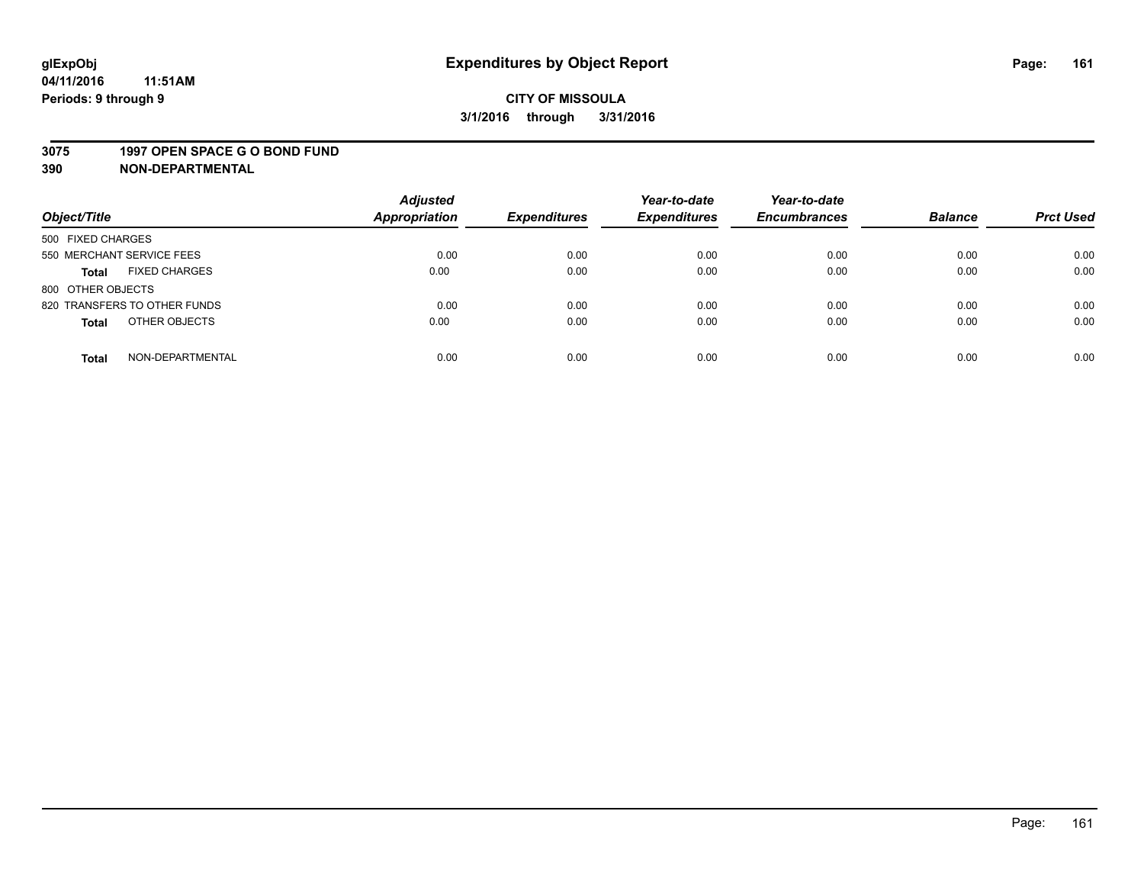## **CITY OF MISSOULA 3/1/2016 through 3/31/2016**

#### **3075 1997 OPEN SPACE G O BOND FUND**

| Object/Title                         | <b>Adjusted</b><br>Appropriation | <b>Expenditures</b> | Year-to-date<br><b>Expenditures</b> | Year-to-date<br><b>Encumbrances</b> | <b>Balance</b> | <b>Prct Used</b> |
|--------------------------------------|----------------------------------|---------------------|-------------------------------------|-------------------------------------|----------------|------------------|
| 500 FIXED CHARGES                    |                                  |                     |                                     |                                     |                |                  |
| 550 MERCHANT SERVICE FEES            | 0.00                             | 0.00                | 0.00                                | 0.00                                | 0.00           | 0.00             |
| <b>FIXED CHARGES</b><br><b>Total</b> | 0.00                             | 0.00                | 0.00                                | 0.00                                | 0.00           | 0.00             |
| 800 OTHER OBJECTS                    |                                  |                     |                                     |                                     |                |                  |
| 820 TRANSFERS TO OTHER FUNDS         | 0.00                             | 0.00                | 0.00                                | 0.00                                | 0.00           | 0.00             |
| OTHER OBJECTS<br><b>Total</b>        | 0.00                             | 0.00                | 0.00                                | 0.00                                | 0.00           | 0.00             |
| NON-DEPARTMENTAL<br><b>Total</b>     | 0.00                             | 0.00                | 0.00                                | 0.00                                | 0.00           | 0.00             |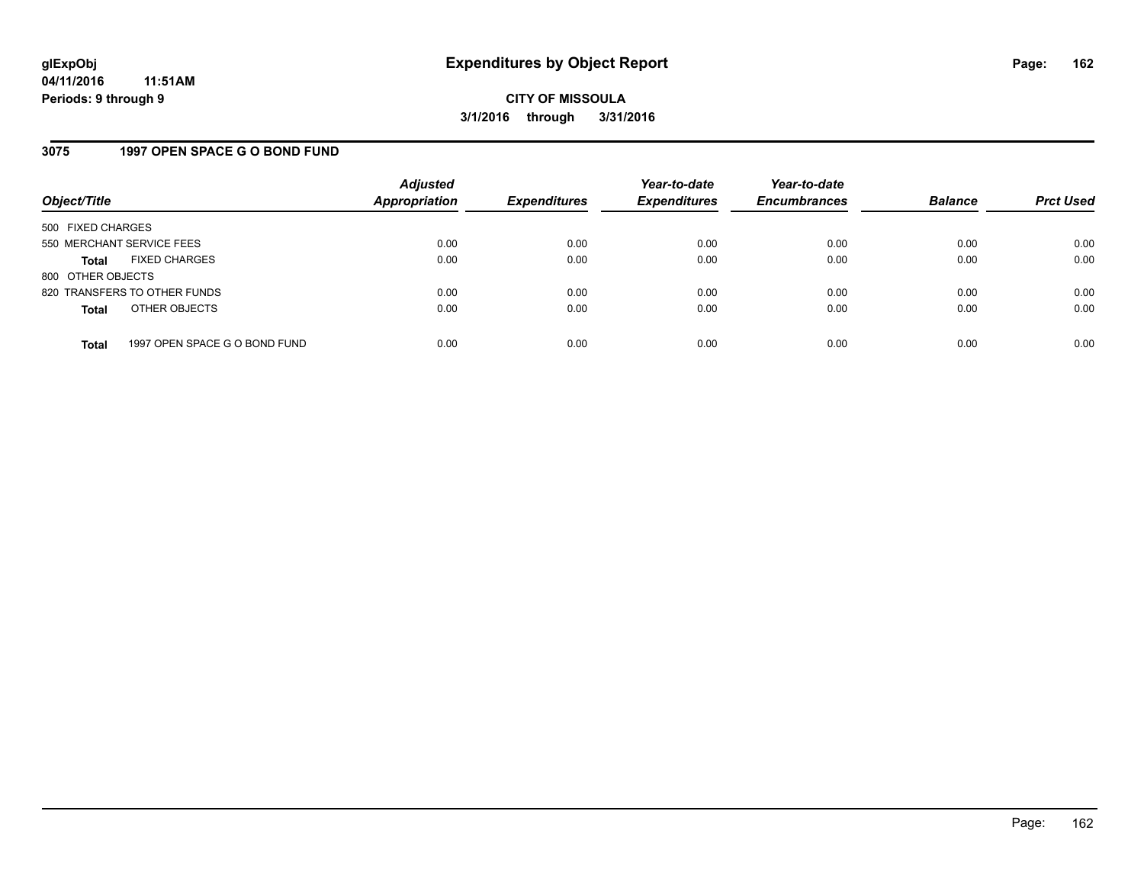### **3075 1997 OPEN SPACE G O BOND FUND**

| Object/Title              |                               | <b>Adjusted</b><br>Appropriation | <b>Expenditures</b> | Year-to-date<br><b>Expenditures</b> | Year-to-date<br><b>Encumbrances</b> | <b>Balance</b> | <b>Prct Used</b> |
|---------------------------|-------------------------------|----------------------------------|---------------------|-------------------------------------|-------------------------------------|----------------|------------------|
| 500 FIXED CHARGES         |                               |                                  |                     |                                     |                                     |                |                  |
| 550 MERCHANT SERVICE FEES |                               | 0.00                             | 0.00                | 0.00                                | 0.00                                | 0.00           | 0.00             |
| Total                     | <b>FIXED CHARGES</b>          | 0.00                             | 0.00                | 0.00                                | 0.00                                | 0.00           | 0.00             |
| 800 OTHER OBJECTS         |                               |                                  |                     |                                     |                                     |                |                  |
|                           | 820 TRANSFERS TO OTHER FUNDS  | 0.00                             | 0.00                | 0.00                                | 0.00                                | 0.00           | 0.00             |
| <b>Total</b>              | OTHER OBJECTS                 | 0.00                             | 0.00                | 0.00                                | 0.00                                | 0.00           | 0.00             |
| <b>Total</b>              | 1997 OPEN SPACE G O BOND FUND | 0.00                             | 0.00                | 0.00                                | 0.00                                | 0.00           | 0.00             |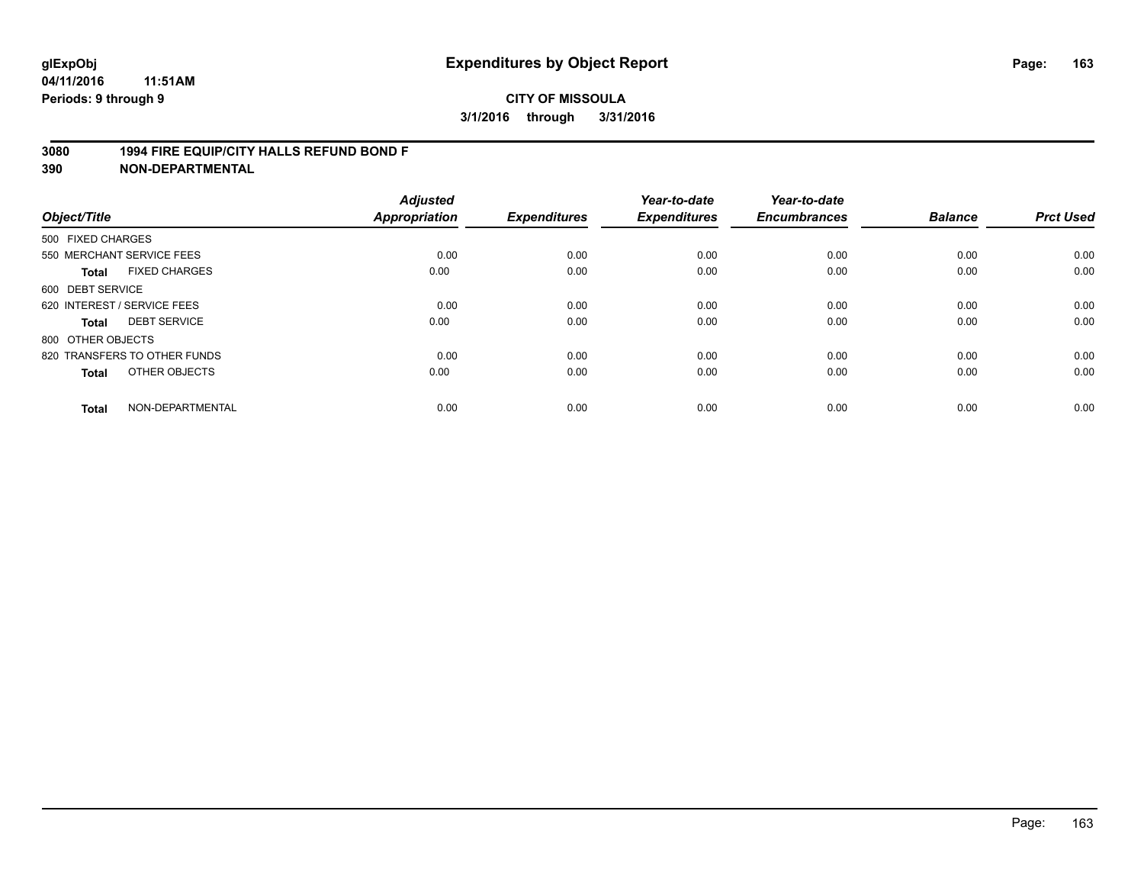#### **3080 1994 FIRE EQUIP/CITY HALLS REFUND BOND F**

| Object/Title                         | <b>Adjusted</b><br>Appropriation | <b>Expenditures</b> | Year-to-date<br><b>Expenditures</b> | Year-to-date<br><b>Encumbrances</b> | <b>Balance</b> | <b>Prct Used</b> |
|--------------------------------------|----------------------------------|---------------------|-------------------------------------|-------------------------------------|----------------|------------------|
| 500 FIXED CHARGES                    |                                  |                     |                                     |                                     |                |                  |
| 550 MERCHANT SERVICE FEES            | 0.00                             | 0.00                | 0.00                                | 0.00                                | 0.00           | 0.00             |
| <b>FIXED CHARGES</b><br><b>Total</b> | 0.00                             | 0.00                | 0.00                                | 0.00                                | 0.00           | 0.00             |
| 600 DEBT SERVICE                     |                                  |                     |                                     |                                     |                |                  |
| 620 INTEREST / SERVICE FEES          | 0.00                             | 0.00                | 0.00                                | 0.00                                | 0.00           | 0.00             |
| <b>DEBT SERVICE</b><br><b>Total</b>  | 0.00                             | 0.00                | 0.00                                | 0.00                                | 0.00           | 0.00             |
| 800 OTHER OBJECTS                    |                                  |                     |                                     |                                     |                |                  |
| 820 TRANSFERS TO OTHER FUNDS         | 0.00                             | 0.00                | 0.00                                | 0.00                                | 0.00           | 0.00             |
| OTHER OBJECTS<br><b>Total</b>        | 0.00                             | 0.00                | 0.00                                | 0.00                                | 0.00           | 0.00             |
| NON-DEPARTMENTAL<br><b>Total</b>     | 0.00                             | 0.00                | 0.00                                | 0.00                                | 0.00           | 0.00             |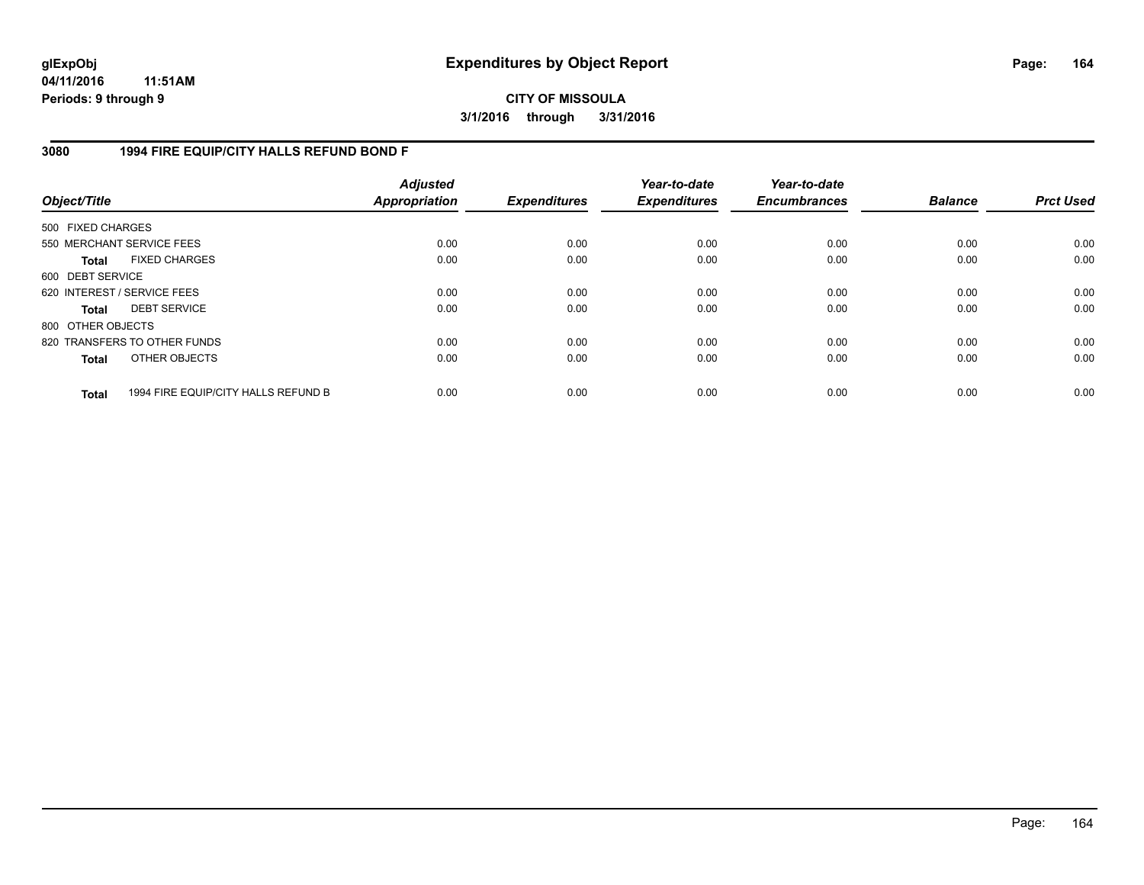### **CITY OF MISSOULA 3/1/2016 through 3/31/2016**

### **3080 1994 FIRE EQUIP/CITY HALLS REFUND BOND F**

| Object/Title      |                                     | <b>Adjusted</b><br><b>Appropriation</b> | <b>Expenditures</b> | Year-to-date<br><b>Expenditures</b> | Year-to-date<br><b>Encumbrances</b> | <b>Balance</b> | <b>Prct Used</b> |
|-------------------|-------------------------------------|-----------------------------------------|---------------------|-------------------------------------|-------------------------------------|----------------|------------------|
| 500 FIXED CHARGES |                                     |                                         |                     |                                     |                                     |                |                  |
|                   | 550 MERCHANT SERVICE FEES           | 0.00                                    | 0.00                | 0.00                                | 0.00                                | 0.00           | 0.00             |
| <b>Total</b>      | <b>FIXED CHARGES</b>                | 0.00                                    | 0.00                | 0.00                                | 0.00                                | 0.00           | 0.00             |
| 600 DEBT SERVICE  |                                     |                                         |                     |                                     |                                     |                |                  |
|                   | 620 INTEREST / SERVICE FEES         | 0.00                                    | 0.00                | 0.00                                | 0.00                                | 0.00           | 0.00             |
| <b>Total</b>      | <b>DEBT SERVICE</b>                 | 0.00                                    | 0.00                | 0.00                                | 0.00                                | 0.00           | 0.00             |
| 800 OTHER OBJECTS |                                     |                                         |                     |                                     |                                     |                |                  |
|                   | 820 TRANSFERS TO OTHER FUNDS        | 0.00                                    | 0.00                | 0.00                                | 0.00                                | 0.00           | 0.00             |
| <b>Total</b>      | OTHER OBJECTS                       | 0.00                                    | 0.00                | 0.00                                | 0.00                                | 0.00           | 0.00             |
| <b>Total</b>      | 1994 FIRE EQUIP/CITY HALLS REFUND B | 0.00                                    | 0.00                | 0.00                                | 0.00                                | 0.00           | 0.00             |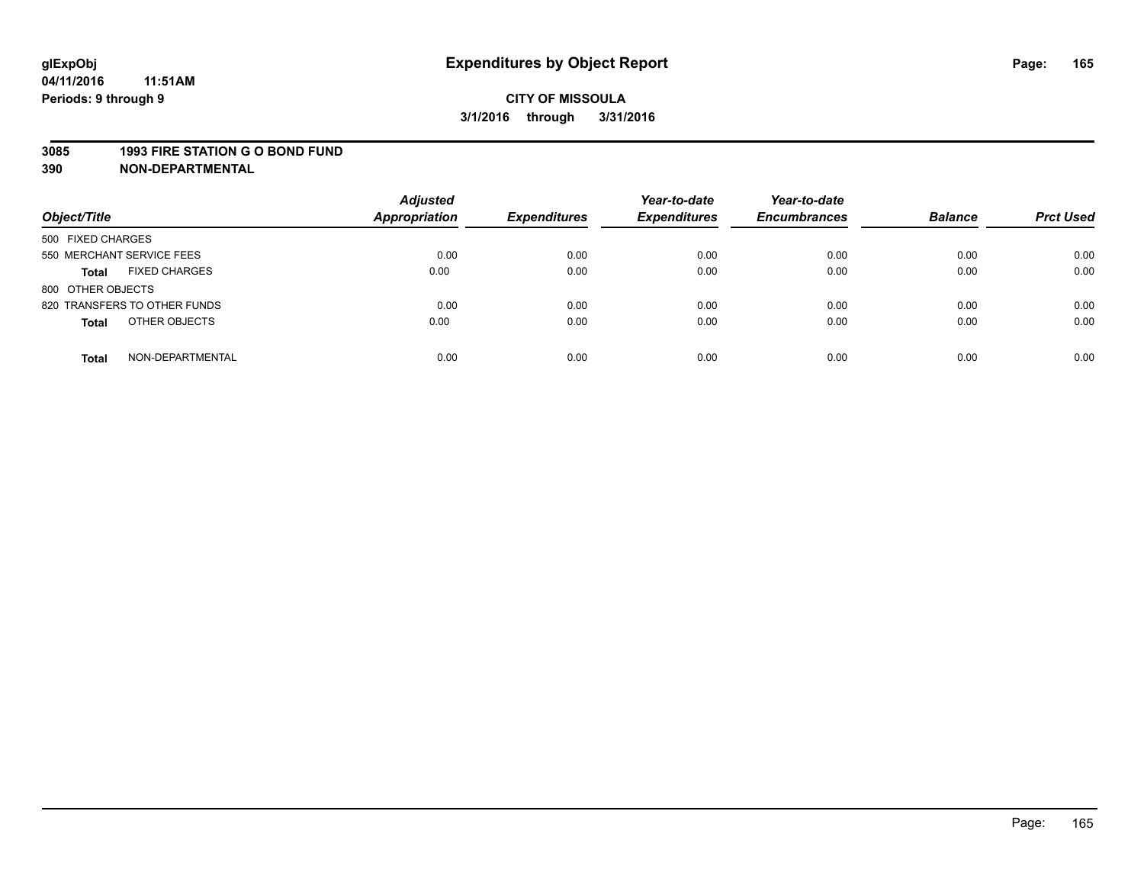#### **3085 1993 FIRE STATION G O BOND FUND**

| Object/Title                         | <b>Adjusted</b><br><b>Appropriation</b> | <b>Expenditures</b> | Year-to-date<br><b>Expenditures</b> | Year-to-date<br><b>Encumbrances</b> | <b>Balance</b> | <b>Prct Used</b> |
|--------------------------------------|-----------------------------------------|---------------------|-------------------------------------|-------------------------------------|----------------|------------------|
| 500 FIXED CHARGES                    |                                         |                     |                                     |                                     |                |                  |
| 550 MERCHANT SERVICE FEES            | 0.00                                    | 0.00                | 0.00                                | 0.00                                | 0.00           | 0.00             |
| <b>FIXED CHARGES</b><br><b>Total</b> | 0.00                                    | 0.00                | 0.00                                | 0.00                                | 0.00           | 0.00             |
| 800 OTHER OBJECTS                    |                                         |                     |                                     |                                     |                |                  |
| 820 TRANSFERS TO OTHER FUNDS         | 0.00                                    | 0.00                | 0.00                                | 0.00                                | 0.00           | 0.00             |
| OTHER OBJECTS<br><b>Total</b>        | 0.00                                    | 0.00                | 0.00                                | 0.00                                | 0.00           | 0.00             |
| NON-DEPARTMENTAL<br><b>Total</b>     | 0.00                                    | 0.00                | 0.00                                | 0.00                                | 0.00           | 0.00             |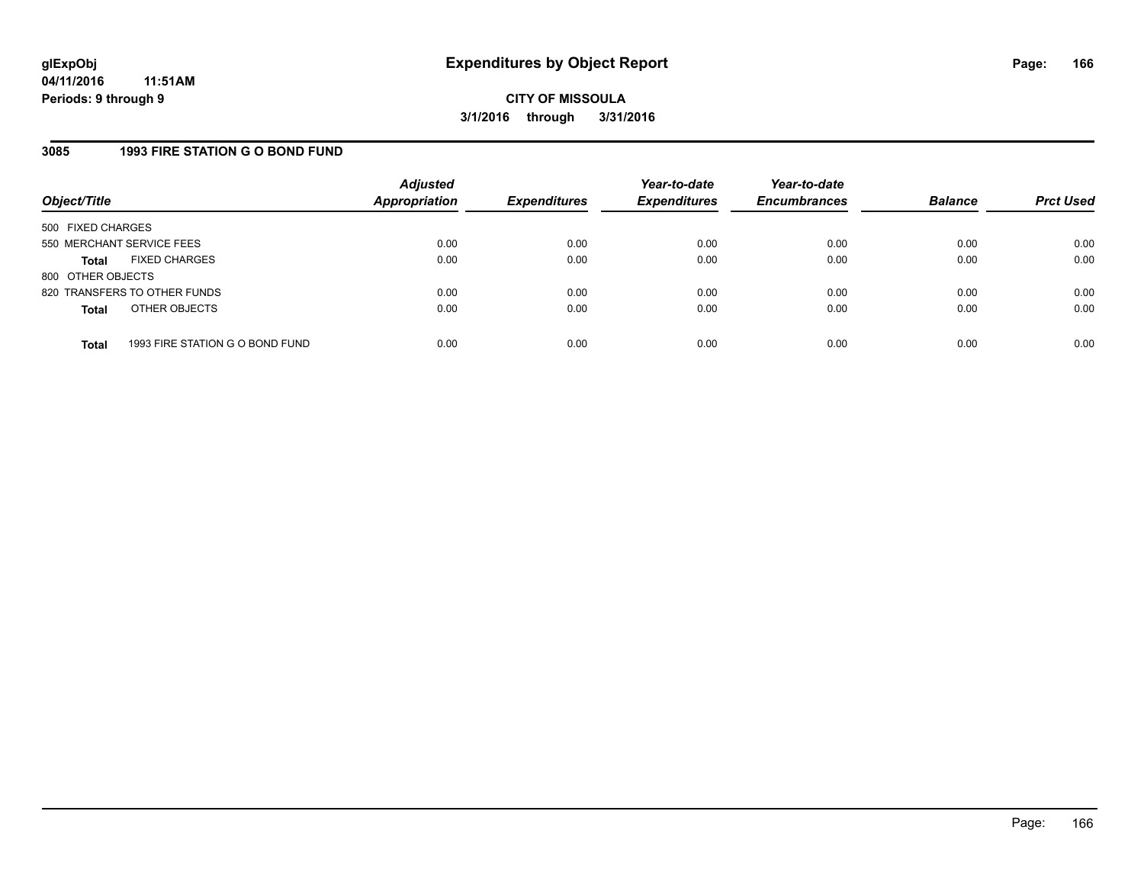### **3085 1993 FIRE STATION G O BOND FUND**

| Object/Title              |                                 | <b>Adjusted</b><br>Appropriation | <b>Expenditures</b> | Year-to-date<br><b>Expenditures</b> | Year-to-date<br><b>Encumbrances</b> | <b>Balance</b> | <b>Prct Used</b> |
|---------------------------|---------------------------------|----------------------------------|---------------------|-------------------------------------|-------------------------------------|----------------|------------------|
| 500 FIXED CHARGES         |                                 |                                  |                     |                                     |                                     |                |                  |
| 550 MERCHANT SERVICE FEES |                                 | 0.00                             | 0.00                | 0.00                                | 0.00                                | 0.00           | 0.00             |
| Total                     | <b>FIXED CHARGES</b>            | 0.00                             | 0.00                | 0.00                                | 0.00                                | 0.00           | 0.00             |
| 800 OTHER OBJECTS         |                                 |                                  |                     |                                     |                                     |                |                  |
|                           | 820 TRANSFERS TO OTHER FUNDS    | 0.00                             | 0.00                | 0.00                                | 0.00                                | 0.00           | 0.00             |
| <b>Total</b>              | OTHER OBJECTS                   | 0.00                             | 0.00                | 0.00                                | 0.00                                | 0.00           | 0.00             |
|                           |                                 |                                  |                     |                                     |                                     |                |                  |
| <b>Total</b>              | 1993 FIRE STATION G O BOND FUND | 0.00                             | 0.00                | 0.00                                | 0.00                                | 0.00           | 0.00             |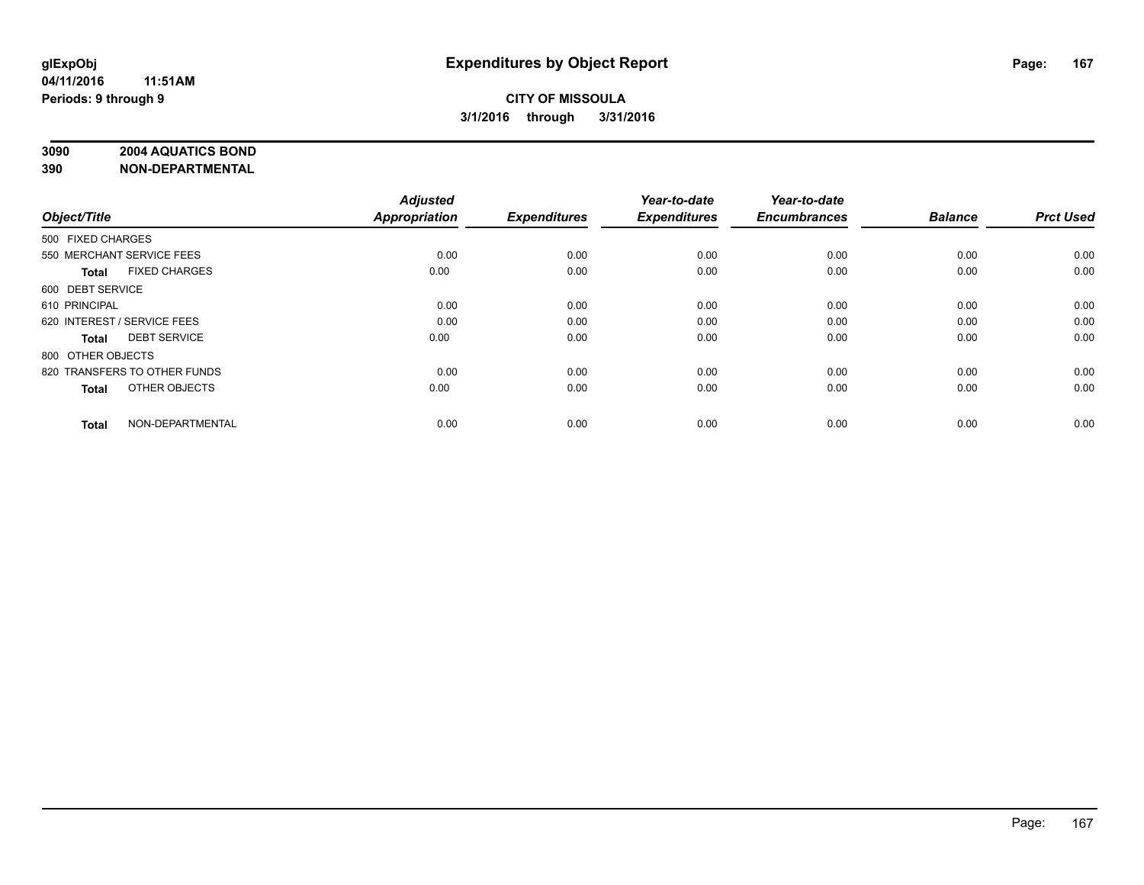### **3090 2004 AQUATICS BOND**

| Object/Title                |                              | <b>Adjusted</b><br><b>Appropriation</b> | <b>Expenditures</b> | Year-to-date<br><b>Expenditures</b> | Year-to-date<br><b>Encumbrances</b> | <b>Balance</b> | <b>Prct Used</b> |
|-----------------------------|------------------------------|-----------------------------------------|---------------------|-------------------------------------|-------------------------------------|----------------|------------------|
|                             |                              |                                         |                     |                                     |                                     |                |                  |
| 500 FIXED CHARGES           |                              |                                         |                     |                                     |                                     |                |                  |
| 550 MERCHANT SERVICE FEES   |                              | 0.00                                    | 0.00                | 0.00                                | 0.00                                | 0.00           | 0.00             |
| <b>Total</b>                | <b>FIXED CHARGES</b>         | 0.00                                    | 0.00                | 0.00                                | 0.00                                | 0.00           | 0.00             |
| 600 DEBT SERVICE            |                              |                                         |                     |                                     |                                     |                |                  |
| 610 PRINCIPAL               |                              | 0.00                                    | 0.00                | 0.00                                | 0.00                                | 0.00           | 0.00             |
| 620 INTEREST / SERVICE FEES |                              | 0.00                                    | 0.00                | 0.00                                | 0.00                                | 0.00           | 0.00             |
| <b>Total</b>                | <b>DEBT SERVICE</b>          | 0.00                                    | 0.00                | 0.00                                | 0.00                                | 0.00           | 0.00             |
| 800 OTHER OBJECTS           |                              |                                         |                     |                                     |                                     |                |                  |
|                             | 820 TRANSFERS TO OTHER FUNDS | 0.00                                    | 0.00                | 0.00                                | 0.00                                | 0.00           | 0.00             |
| <b>Total</b>                | OTHER OBJECTS                | 0.00                                    | 0.00                | 0.00                                | 0.00                                | 0.00           | 0.00             |
|                             |                              |                                         |                     |                                     |                                     |                |                  |
| <b>Total</b>                | NON-DEPARTMENTAL             | 0.00                                    | 0.00                | 0.00                                | 0.00                                | 0.00           | 0.00             |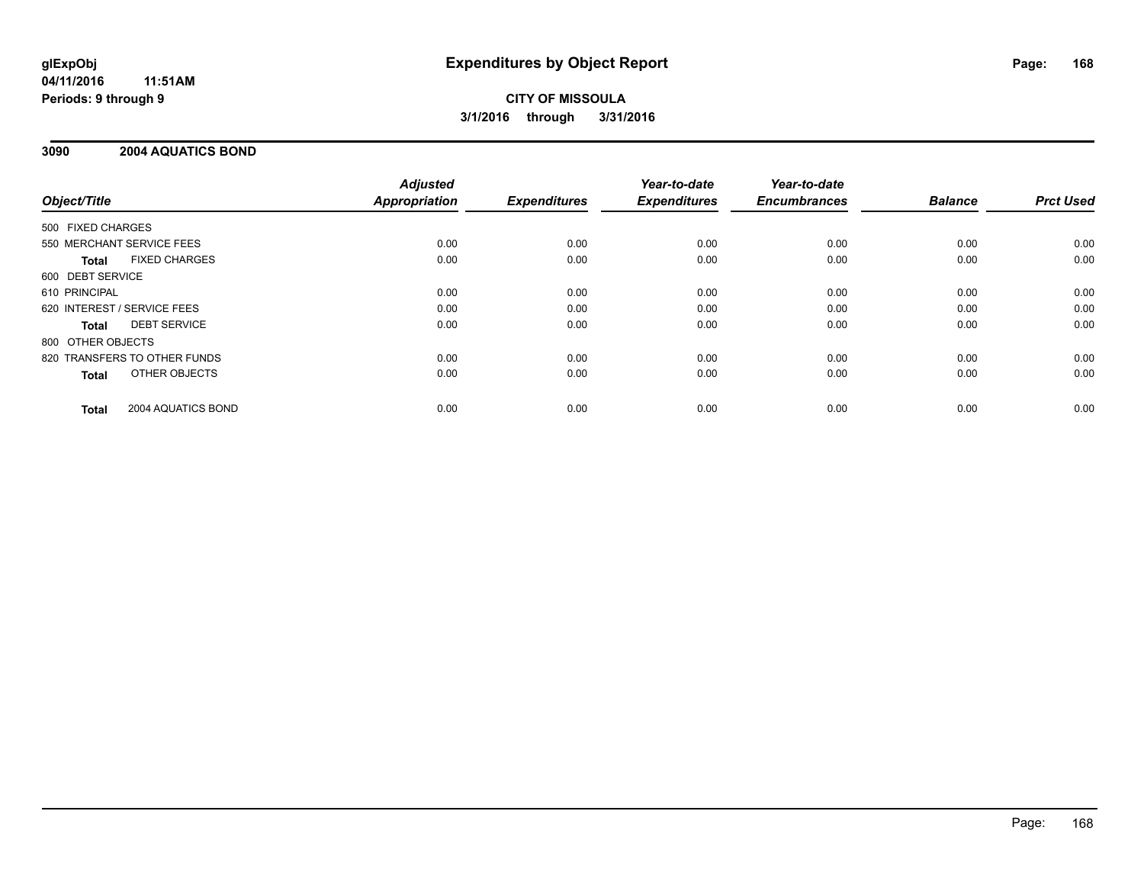## **CITY OF MISSOULA 3/1/2016 through 3/31/2016**

### **3090 2004 AQUATICS BOND**

|                              |                      | <b>Adjusted</b>      |                     | Year-to-date        | Year-to-date<br><b>Encumbrances</b> | <b>Balance</b> | <b>Prct Used</b> |
|------------------------------|----------------------|----------------------|---------------------|---------------------|-------------------------------------|----------------|------------------|
| Object/Title                 |                      | <b>Appropriation</b> | <b>Expenditures</b> | <b>Expenditures</b> |                                     |                |                  |
| 500 FIXED CHARGES            |                      |                      |                     |                     |                                     |                |                  |
| 550 MERCHANT SERVICE FEES    |                      | 0.00                 | 0.00                | 0.00                | 0.00                                | 0.00           | 0.00             |
| Total                        | <b>FIXED CHARGES</b> | 0.00                 | 0.00                | 0.00                | 0.00                                | 0.00           | 0.00             |
| 600 DEBT SERVICE             |                      |                      |                     |                     |                                     |                |                  |
| 610 PRINCIPAL                |                      | 0.00                 | 0.00                | 0.00                | 0.00                                | 0.00           | 0.00             |
| 620 INTEREST / SERVICE FEES  |                      | 0.00                 | 0.00                | 0.00                | 0.00                                | 0.00           | 0.00             |
| Total                        | <b>DEBT SERVICE</b>  | 0.00                 | 0.00                | 0.00                | 0.00                                | 0.00           | 0.00             |
| 800 OTHER OBJECTS            |                      |                      |                     |                     |                                     |                |                  |
| 820 TRANSFERS TO OTHER FUNDS |                      | 0.00                 | 0.00                | 0.00                | 0.00                                | 0.00           | 0.00             |
| <b>Total</b>                 | OTHER OBJECTS        | 0.00                 | 0.00                | 0.00                | 0.00                                | 0.00           | 0.00             |
| <b>Total</b>                 | 2004 AQUATICS BOND   | 0.00                 | 0.00                | 0.00                | 0.00                                | 0.00           | 0.00             |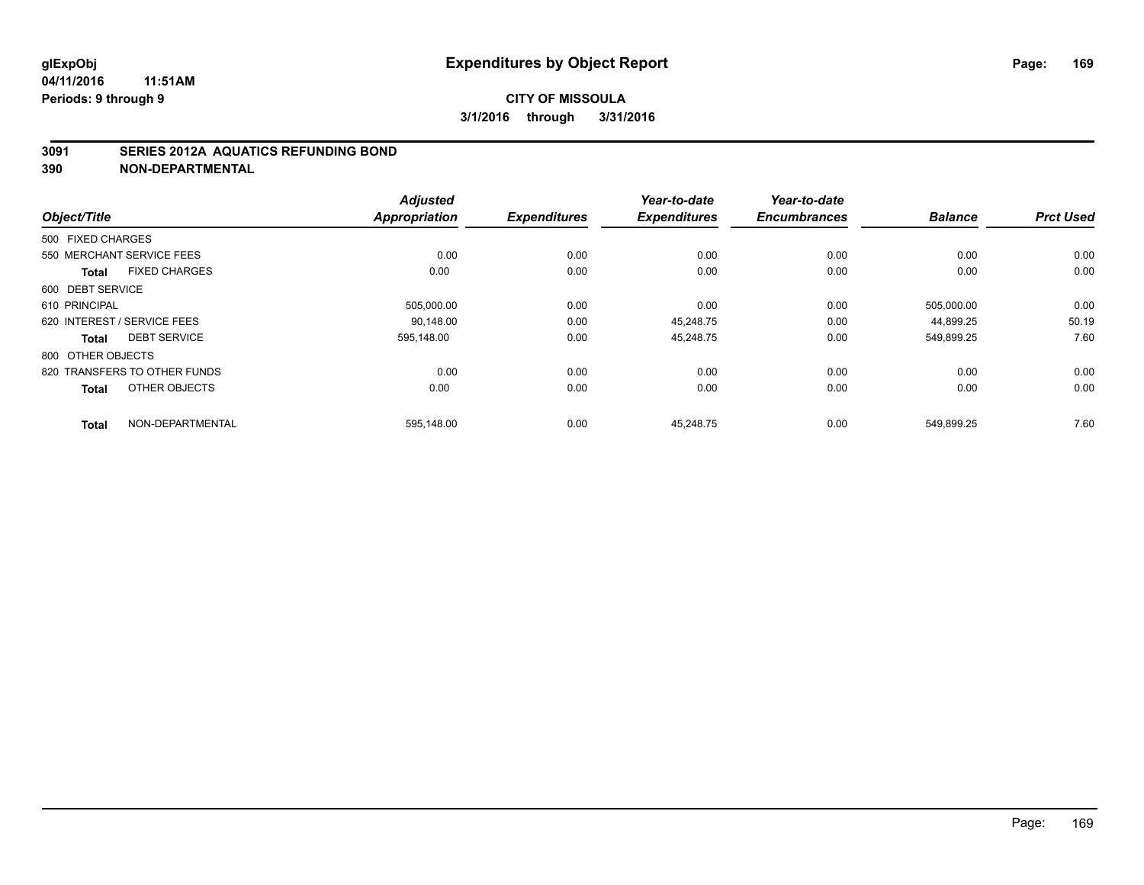#### **3091 SERIES 2012A AQUATICS REFUNDING BOND**

|                                      | <b>Adjusted</b>      |                     | Year-to-date        | Year-to-date        |                |                  |
|--------------------------------------|----------------------|---------------------|---------------------|---------------------|----------------|------------------|
| Object/Title                         | <b>Appropriation</b> | <b>Expenditures</b> | <b>Expenditures</b> | <b>Encumbrances</b> | <b>Balance</b> | <b>Prct Used</b> |
| 500 FIXED CHARGES                    |                      |                     |                     |                     |                |                  |
| 550 MERCHANT SERVICE FEES            | 0.00                 | 0.00                | 0.00                | 0.00                | 0.00           | 0.00             |
| <b>FIXED CHARGES</b><br><b>Total</b> | 0.00                 | 0.00                | 0.00                | 0.00                | 0.00           | 0.00             |
| 600 DEBT SERVICE                     |                      |                     |                     |                     |                |                  |
| 610 PRINCIPAL                        | 505,000.00           | 0.00                | 0.00                | 0.00                | 505,000.00     | 0.00             |
| 620 INTEREST / SERVICE FEES          | 90.148.00            | 0.00                | 45.248.75           | 0.00                | 44.899.25      | 50.19            |
| <b>DEBT SERVICE</b><br><b>Total</b>  | 595,148.00           | 0.00                | 45,248.75           | 0.00                | 549,899.25     | 7.60             |
| 800 OTHER OBJECTS                    |                      |                     |                     |                     |                |                  |
| 820 TRANSFERS TO OTHER FUNDS         | 0.00                 | 0.00                | 0.00                | 0.00                | 0.00           | 0.00             |
| OTHER OBJECTS<br><b>Total</b>        | 0.00                 | 0.00                | 0.00                | 0.00                | 0.00           | 0.00             |
| NON-DEPARTMENTAL                     | 595,148.00           | 0.00                | 45.248.75           | 0.00                | 549.899.25     | 7.60             |
| <b>Total</b>                         |                      |                     |                     |                     |                |                  |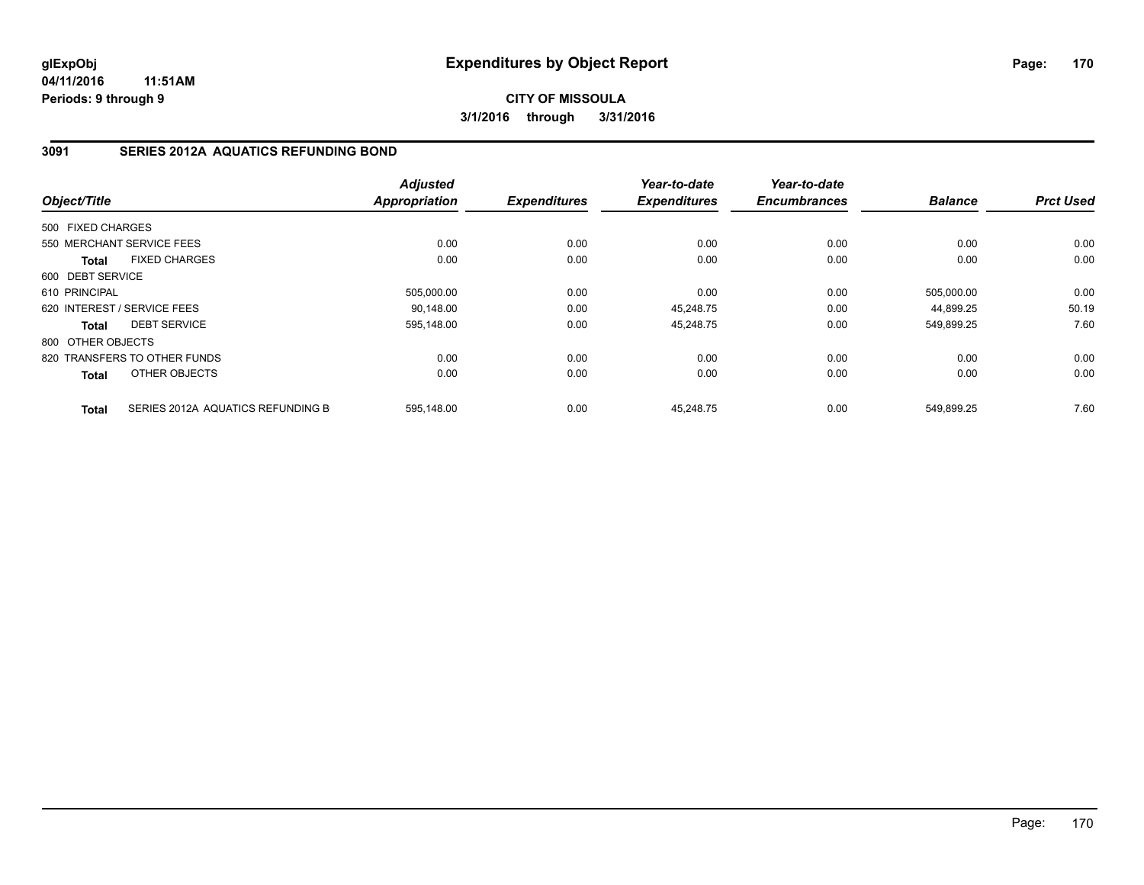**CITY OF MISSOULA 3/1/2016 through 3/31/2016**

### **3091 SERIES 2012A AQUATICS REFUNDING BOND**

|                   |                                   | <b>Adjusted</b> |                     | Year-to-date        | Year-to-date        |                |                  |
|-------------------|-----------------------------------|-----------------|---------------------|---------------------|---------------------|----------------|------------------|
| Object/Title      |                                   | Appropriation   | <b>Expenditures</b> | <b>Expenditures</b> | <b>Encumbrances</b> | <b>Balance</b> | <b>Prct Used</b> |
| 500 FIXED CHARGES |                                   |                 |                     |                     |                     |                |                  |
|                   | 550 MERCHANT SERVICE FEES         | 0.00            | 0.00                | 0.00                | 0.00                | 0.00           | 0.00             |
| <b>Total</b>      | <b>FIXED CHARGES</b>              | 0.00            | 0.00                | 0.00                | 0.00                | 0.00           | 0.00             |
| 600 DEBT SERVICE  |                                   |                 |                     |                     |                     |                |                  |
| 610 PRINCIPAL     |                                   | 505,000.00      | 0.00                | 0.00                | 0.00                | 505,000.00     | 0.00             |
|                   | 620 INTEREST / SERVICE FEES       | 90.148.00       | 0.00                | 45.248.75           | 0.00                | 44.899.25      | 50.19            |
| <b>Total</b>      | <b>DEBT SERVICE</b>               | 595,148.00      | 0.00                | 45,248.75           | 0.00                | 549,899.25     | 7.60             |
| 800 OTHER OBJECTS |                                   |                 |                     |                     |                     |                |                  |
|                   | 820 TRANSFERS TO OTHER FUNDS      | 0.00            | 0.00                | 0.00                | 0.00                | 0.00           | 0.00             |
| <b>Total</b>      | OTHER OBJECTS                     | 0.00            | 0.00                | 0.00                | 0.00                | 0.00           | 0.00             |
| <b>Total</b>      | SERIES 2012A AQUATICS REFUNDING B | 595.148.00      | 0.00                | 45.248.75           | 0.00                | 549.899.25     | 7.60             |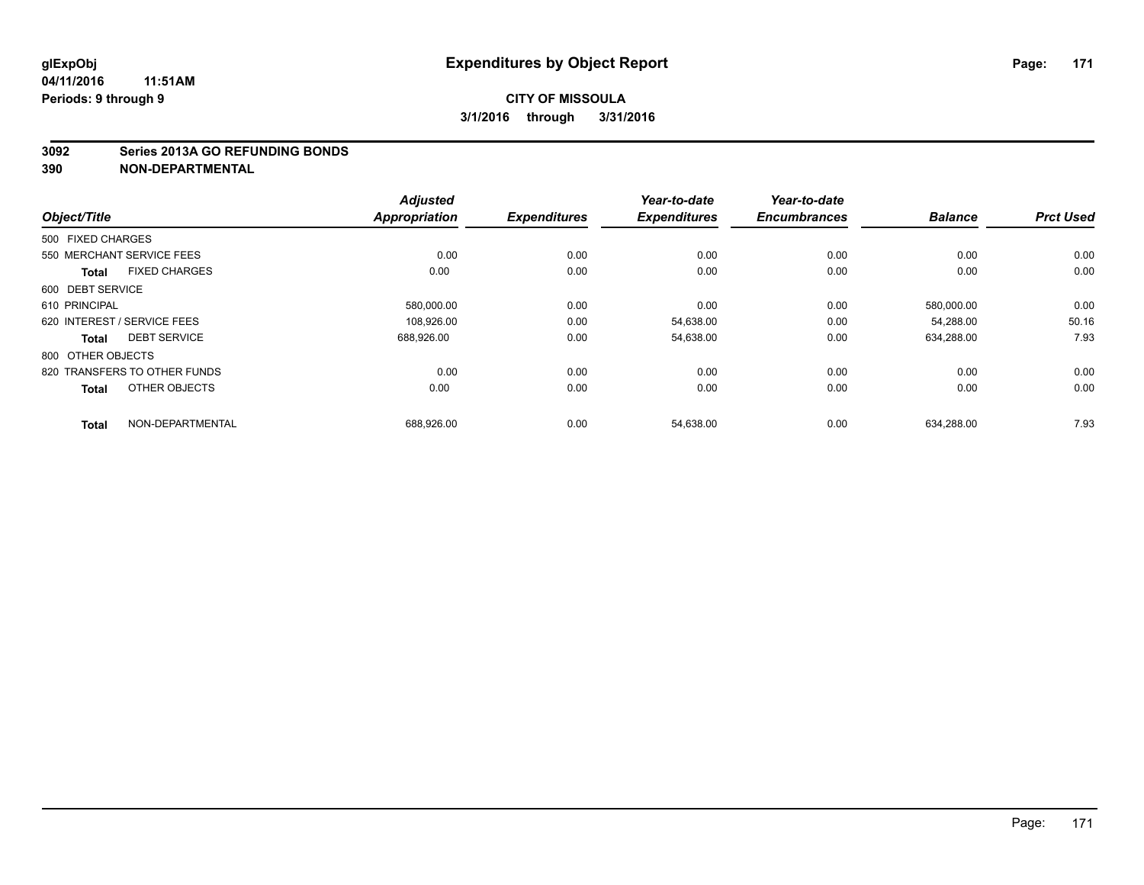#### **3092 Series 2013A GO REFUNDING BONDS**

|                                      | <b>Adjusted</b> |                     | Year-to-date        | Year-to-date        |                |                  |
|--------------------------------------|-----------------|---------------------|---------------------|---------------------|----------------|------------------|
| Object/Title                         | Appropriation   | <b>Expenditures</b> | <b>Expenditures</b> | <b>Encumbrances</b> | <b>Balance</b> | <b>Prct Used</b> |
| 500 FIXED CHARGES                    |                 |                     |                     |                     |                |                  |
| 550 MERCHANT SERVICE FEES            | 0.00            | 0.00                | 0.00                | 0.00                | 0.00           | 0.00             |
| <b>FIXED CHARGES</b><br><b>Total</b> | 0.00            | 0.00                | 0.00                | 0.00                | 0.00           | 0.00             |
| 600 DEBT SERVICE                     |                 |                     |                     |                     |                |                  |
| 610 PRINCIPAL                        | 580,000.00      | 0.00                | 0.00                | 0.00                | 580,000.00     | 0.00             |
| 620 INTEREST / SERVICE FEES          | 108,926.00      | 0.00                | 54,638.00           | 0.00                | 54.288.00      | 50.16            |
| <b>DEBT SERVICE</b><br><b>Total</b>  | 688,926.00      | 0.00                | 54,638.00           | 0.00                | 634,288.00     | 7.93             |
| 800 OTHER OBJECTS                    |                 |                     |                     |                     |                |                  |
| 820 TRANSFERS TO OTHER FUNDS         | 0.00            | 0.00                | 0.00                | 0.00                | 0.00           | 0.00             |
| OTHER OBJECTS<br><b>Total</b>        | 0.00            | 0.00                | 0.00                | 0.00                | 0.00           | 0.00             |
| NON-DEPARTMENTAL                     |                 |                     |                     |                     | 634,288.00     | 7.93             |
| <b>Total</b>                         | 688,926.00      | 0.00                | 54,638.00           | 0.00                |                |                  |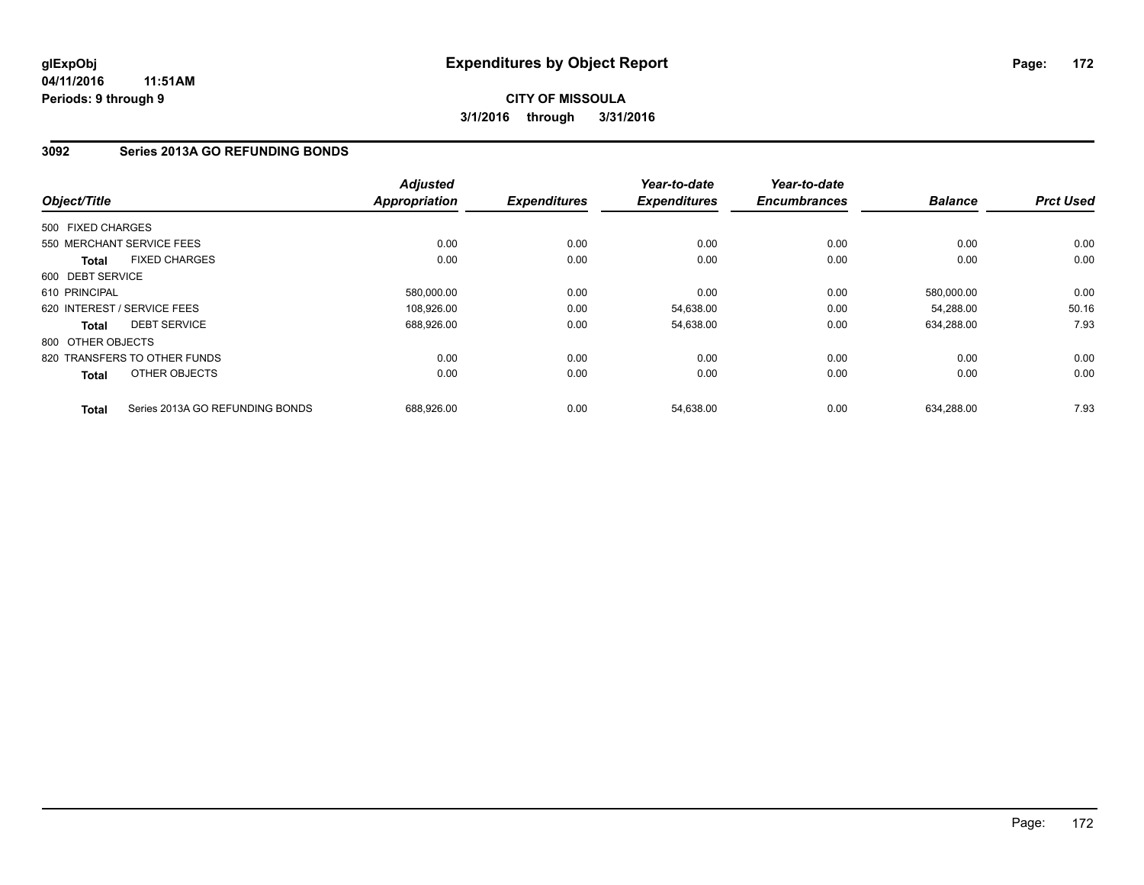### **CITY OF MISSOULA 3/1/2016 through 3/31/2016**

### **3092 Series 2013A GO REFUNDING BONDS**

| Object/Title      |                                 | <b>Adjusted</b><br><b>Appropriation</b> | <b>Expenditures</b> | Year-to-date<br><b>Expenditures</b> | Year-to-date<br><b>Encumbrances</b> | <b>Balance</b> | <b>Prct Used</b> |
|-------------------|---------------------------------|-----------------------------------------|---------------------|-------------------------------------|-------------------------------------|----------------|------------------|
| 500 FIXED CHARGES |                                 |                                         |                     |                                     |                                     |                |                  |
|                   | 550 MERCHANT SERVICE FEES       | 0.00                                    | 0.00                | 0.00                                | 0.00                                | 0.00           | 0.00             |
| <b>Total</b>      | <b>FIXED CHARGES</b>            | 0.00                                    | 0.00                | 0.00                                | 0.00                                | 0.00           | 0.00             |
| 600 DEBT SERVICE  |                                 |                                         |                     |                                     |                                     |                |                  |
| 610 PRINCIPAL     |                                 | 580,000.00                              | 0.00                | 0.00                                | 0.00                                | 580,000.00     | 0.00             |
|                   | 620 INTEREST / SERVICE FEES     | 108,926.00                              | 0.00                | 54,638.00                           | 0.00                                | 54,288.00      | 50.16            |
| <b>Total</b>      | <b>DEBT SERVICE</b>             | 688,926.00                              | 0.00                | 54,638.00                           | 0.00                                | 634,288.00     | 7.93             |
| 800 OTHER OBJECTS |                                 |                                         |                     |                                     |                                     |                |                  |
|                   | 820 TRANSFERS TO OTHER FUNDS    | 0.00                                    | 0.00                | 0.00                                | 0.00                                | 0.00           | 0.00             |
| Total             | OTHER OBJECTS                   | 0.00                                    | 0.00                | 0.00                                | 0.00                                | 0.00           | 0.00             |
| <b>Total</b>      | Series 2013A GO REFUNDING BONDS | 688,926.00                              | 0.00                | 54,638.00                           | 0.00                                | 634,288.00     | 7.93             |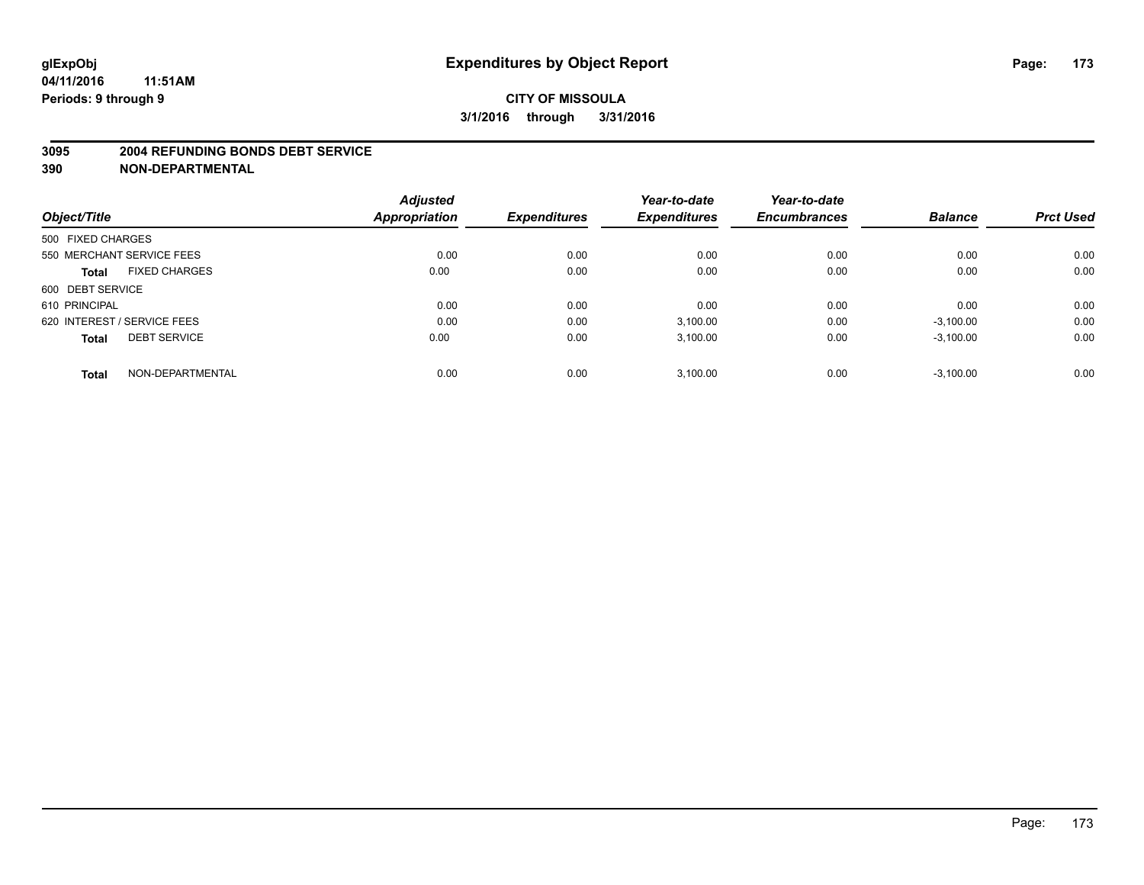#### **3095 2004 REFUNDING BONDS DEBT SERVICE**

|                                      | <b>Adjusted</b> |                     | Year-to-date        | Year-to-date        |                |                  |
|--------------------------------------|-----------------|---------------------|---------------------|---------------------|----------------|------------------|
| Object/Title                         | Appropriation   | <b>Expenditures</b> | <b>Expenditures</b> | <b>Encumbrances</b> | <b>Balance</b> | <b>Prct Used</b> |
| 500 FIXED CHARGES                    |                 |                     |                     |                     |                |                  |
| 550 MERCHANT SERVICE FEES            | 0.00            | 0.00                | 0.00                | 0.00                | 0.00           | 0.00             |
| <b>FIXED CHARGES</b><br><b>Total</b> | 0.00            | 0.00                | 0.00                | 0.00                | 0.00           | 0.00             |
| 600 DEBT SERVICE                     |                 |                     |                     |                     |                |                  |
| 610 PRINCIPAL                        | 0.00            | 0.00                | 0.00                | 0.00                | 0.00           | 0.00             |
| 620 INTEREST / SERVICE FEES          | 0.00            | 0.00                | 3.100.00            | 0.00                | $-3,100.00$    | 0.00             |
| <b>DEBT SERVICE</b><br><b>Total</b>  | 0.00            | 0.00                | 3,100.00            | 0.00                | $-3,100.00$    | 0.00             |
| NON-DEPARTMENTAL<br><b>Total</b>     | 0.00            | 0.00                | 3.100.00            | 0.00                | $-3.100.00$    | 0.00             |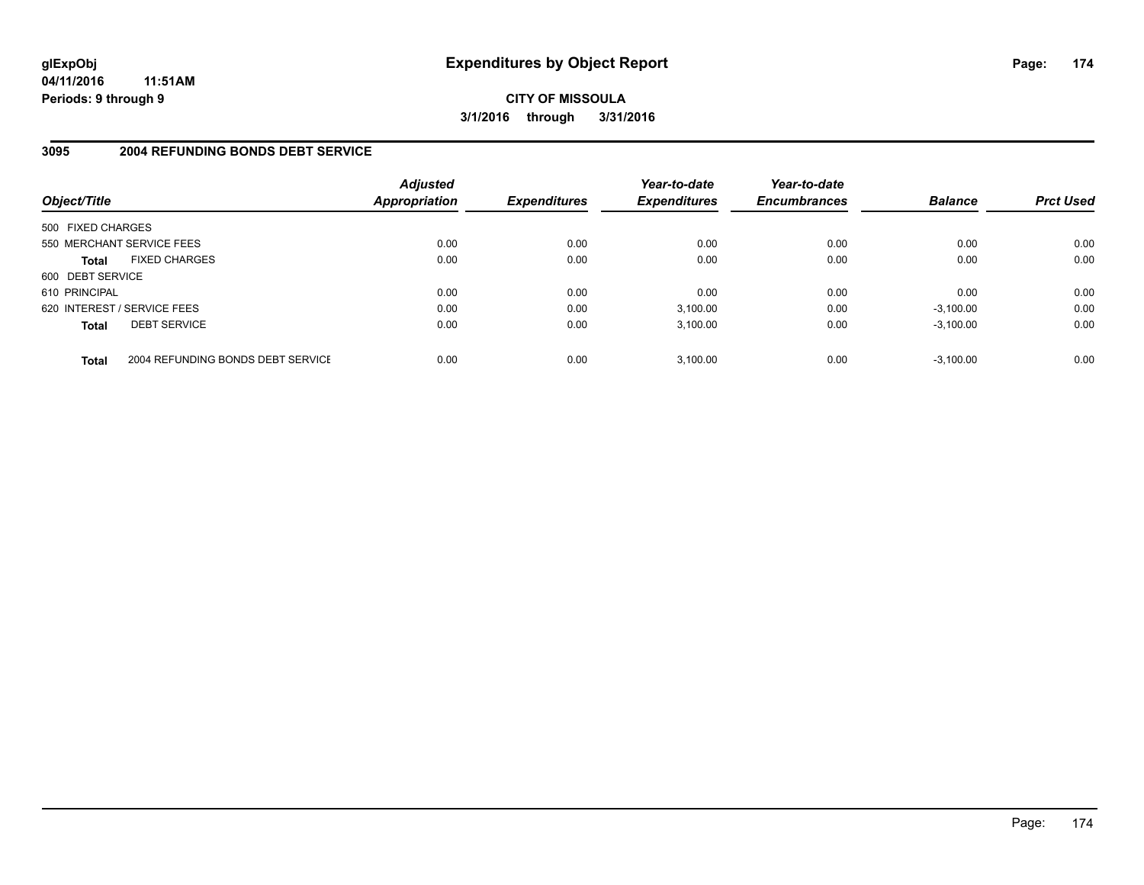**CITY OF MISSOULA 3/1/2016 through 3/31/2016**

### **3095 2004 REFUNDING BONDS DEBT SERVICE**

| Object/Title                |                                   | <b>Adjusted</b><br>Appropriation | <b>Expenditures</b> | Year-to-date<br><b>Expenditures</b> | Year-to-date<br><b>Encumbrances</b> | <b>Balance</b> | <b>Prct Used</b> |
|-----------------------------|-----------------------------------|----------------------------------|---------------------|-------------------------------------|-------------------------------------|----------------|------------------|
| 500 FIXED CHARGES           |                                   |                                  |                     |                                     |                                     |                |                  |
| 550 MERCHANT SERVICE FEES   |                                   | 0.00                             | 0.00                | 0.00                                | 0.00                                | 0.00           | 0.00             |
| <b>Total</b>                | <b>FIXED CHARGES</b>              | 0.00                             | 0.00                | 0.00                                | 0.00                                | 0.00           | 0.00             |
| 600 DEBT SERVICE            |                                   |                                  |                     |                                     |                                     |                |                  |
| 610 PRINCIPAL               |                                   | 0.00                             | 0.00                | 0.00                                | 0.00                                | 0.00           | 0.00             |
| 620 INTEREST / SERVICE FEES |                                   | 0.00                             | 0.00                | 3,100.00                            | 0.00                                | $-3,100.00$    | 0.00             |
| <b>Total</b>                | <b>DEBT SERVICE</b>               | 0.00                             | 0.00                | 3.100.00                            | 0.00                                | $-3.100.00$    | 0.00             |
| <b>Total</b>                | 2004 REFUNDING BONDS DEBT SERVICE | 0.00                             | 0.00                | 3.100.00                            | 0.00                                | $-3.100.00$    | 0.00             |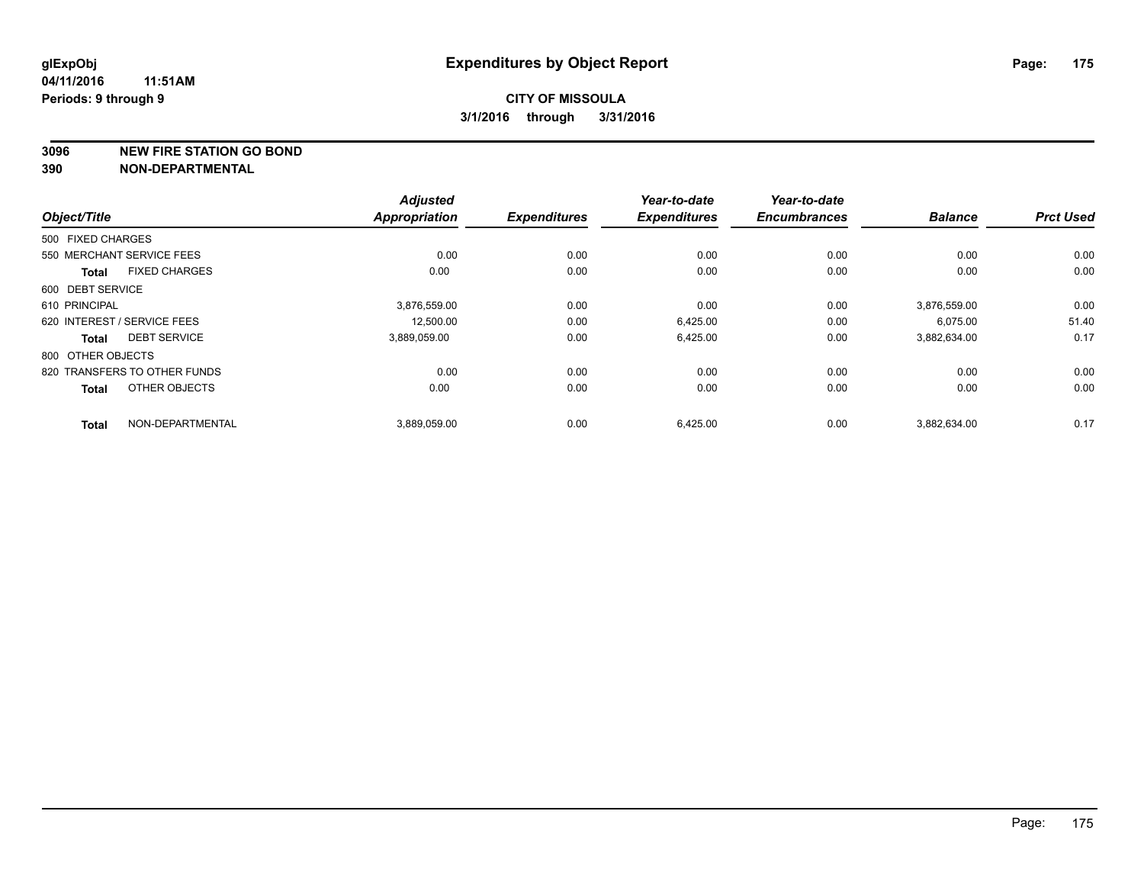**3096 NEW FIRE STATION GO BOND**

|                   |                              | <b>Adjusted</b>      |                     | Year-to-date        | Year-to-date        |                |                  |
|-------------------|------------------------------|----------------------|---------------------|---------------------|---------------------|----------------|------------------|
| Object/Title      |                              | <b>Appropriation</b> | <b>Expenditures</b> | <b>Expenditures</b> | <b>Encumbrances</b> | <b>Balance</b> | <b>Prct Used</b> |
| 500 FIXED CHARGES |                              |                      |                     |                     |                     |                |                  |
|                   | 550 MERCHANT SERVICE FEES    | 0.00                 | 0.00                | 0.00                | 0.00                | 0.00           | 0.00             |
| <b>Total</b>      | <b>FIXED CHARGES</b>         | 0.00                 | 0.00                | 0.00                | 0.00                | 0.00           | 0.00             |
| 600 DEBT SERVICE  |                              |                      |                     |                     |                     |                |                  |
| 610 PRINCIPAL     |                              | 3,876,559.00         | 0.00                | 0.00                | 0.00                | 3,876,559.00   | 0.00             |
|                   | 620 INTEREST / SERVICE FEES  | 12,500.00            | 0.00                | 6,425.00            | 0.00                | 6,075.00       | 51.40            |
| <b>Total</b>      | <b>DEBT SERVICE</b>          | 3,889,059.00         | 0.00                | 6,425.00            | 0.00                | 3,882,634.00   | 0.17             |
| 800 OTHER OBJECTS |                              |                      |                     |                     |                     |                |                  |
|                   | 820 TRANSFERS TO OTHER FUNDS | 0.00                 | 0.00                | 0.00                | 0.00                | 0.00           | 0.00             |
| <b>Total</b>      | OTHER OBJECTS                | 0.00                 | 0.00                | 0.00                | 0.00                | 0.00           | 0.00             |
| <b>Total</b>      | NON-DEPARTMENTAL             | 3,889,059.00         | 0.00                | 6,425.00            | 0.00                | 3,882,634.00   | 0.17             |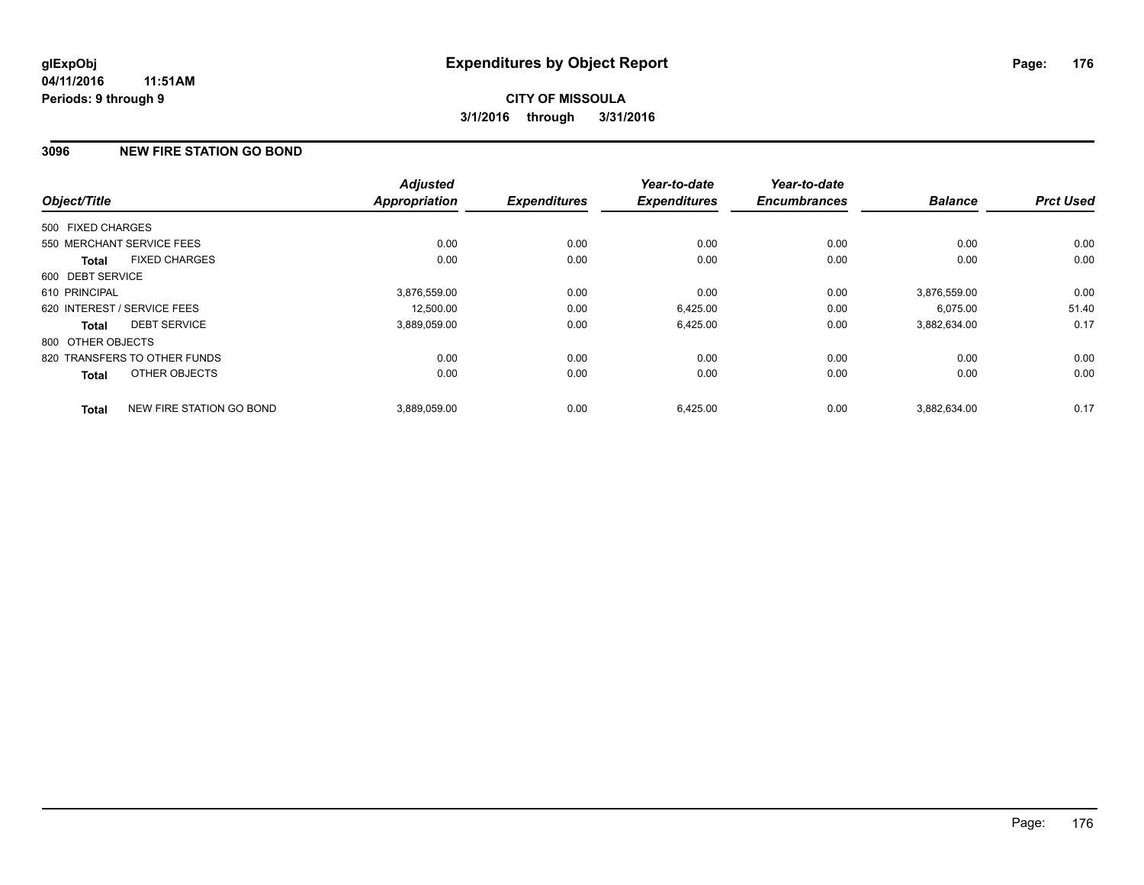### **3096 NEW FIRE STATION GO BOND**

|                   |                              | <b>Adjusted</b>      |                     | Year-to-date<br><b>Expenditures</b> | Year-to-date<br><b>Encumbrances</b> | <b>Balance</b> | <b>Prct Used</b> |
|-------------------|------------------------------|----------------------|---------------------|-------------------------------------|-------------------------------------|----------------|------------------|
| Object/Title      |                              | <b>Appropriation</b> | <b>Expenditures</b> |                                     |                                     |                |                  |
| 500 FIXED CHARGES |                              |                      |                     |                                     |                                     |                |                  |
|                   | 550 MERCHANT SERVICE FEES    | 0.00                 | 0.00                | 0.00                                | 0.00                                | 0.00           | 0.00             |
| <b>Total</b>      | <b>FIXED CHARGES</b>         | 0.00                 | 0.00                | 0.00                                | 0.00                                | 0.00           | 0.00             |
| 600 DEBT SERVICE  |                              |                      |                     |                                     |                                     |                |                  |
| 610 PRINCIPAL     |                              | 3,876,559.00         | 0.00                | 0.00                                | 0.00                                | 3.876.559.00   | 0.00             |
|                   | 620 INTEREST / SERVICE FEES  | 12,500.00            | 0.00                | 6,425.00                            | 0.00                                | 6,075.00       | 51.40            |
| <b>Total</b>      | <b>DEBT SERVICE</b>          | 3,889,059.00         | 0.00                | 6,425.00                            | 0.00                                | 3,882,634.00   | 0.17             |
| 800 OTHER OBJECTS |                              |                      |                     |                                     |                                     |                |                  |
|                   | 820 TRANSFERS TO OTHER FUNDS | 0.00                 | 0.00                | 0.00                                | 0.00                                | 0.00           | 0.00             |
| Total             | OTHER OBJECTS                | 0.00                 | 0.00                | 0.00                                | 0.00                                | 0.00           | 0.00             |
| <b>Total</b>      | NEW FIRE STATION GO BOND     | 3.889.059.00         | 0.00                | 6,425.00                            | 0.00                                | 3.882.634.00   | 0.17             |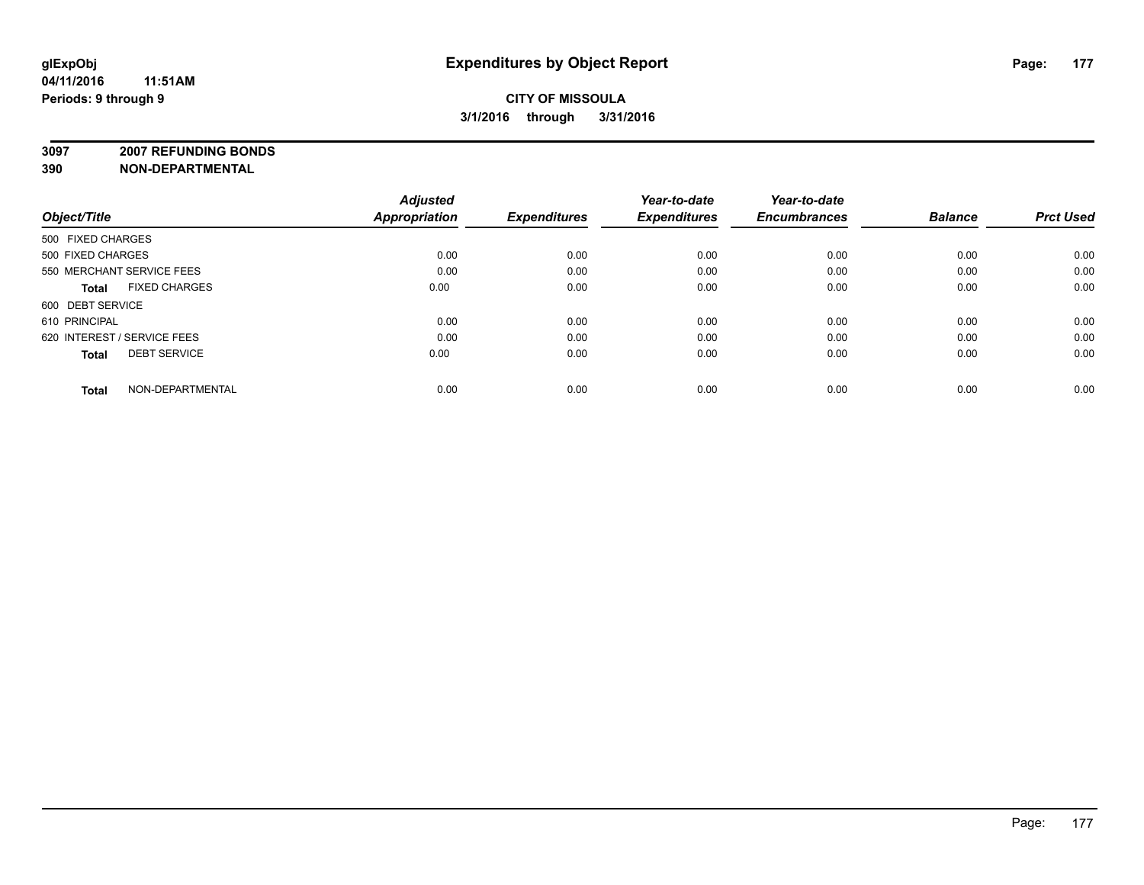### **CITY OF MISSOULA 3/1/2016 through 3/31/2016**

**3097 2007 REFUNDING BONDS**

| Object/Title                         | <b>Adjusted</b><br>Appropriation | <b>Expenditures</b> | Year-to-date<br><b>Expenditures</b> | Year-to-date<br><b>Encumbrances</b> | <b>Balance</b> | <b>Prct Used</b> |
|--------------------------------------|----------------------------------|---------------------|-------------------------------------|-------------------------------------|----------------|------------------|
| 500 FIXED CHARGES                    |                                  |                     |                                     |                                     |                |                  |
| 500 FIXED CHARGES                    | 0.00                             | 0.00                | 0.00                                | 0.00                                | 0.00           | 0.00             |
| 550 MERCHANT SERVICE FEES            | 0.00                             | 0.00                | 0.00                                | 0.00                                | 0.00           | 0.00             |
| <b>FIXED CHARGES</b><br><b>Total</b> | 0.00                             | 0.00                | 0.00                                | 0.00                                | 0.00           | 0.00             |
| 600 DEBT SERVICE                     |                                  |                     |                                     |                                     |                |                  |
| 610 PRINCIPAL                        | 0.00                             | 0.00                | 0.00                                | 0.00                                | 0.00           | 0.00             |
| 620 INTEREST / SERVICE FEES          | 0.00                             | 0.00                | 0.00                                | 0.00                                | 0.00           | 0.00             |
| <b>DEBT SERVICE</b><br><b>Total</b>  | 0.00                             | 0.00                | 0.00                                | 0.00                                | 0.00           | 0.00             |
| NON-DEPARTMENTAL<br><b>Total</b>     | 0.00                             | 0.00                | 0.00                                | 0.00                                | 0.00           | 0.00             |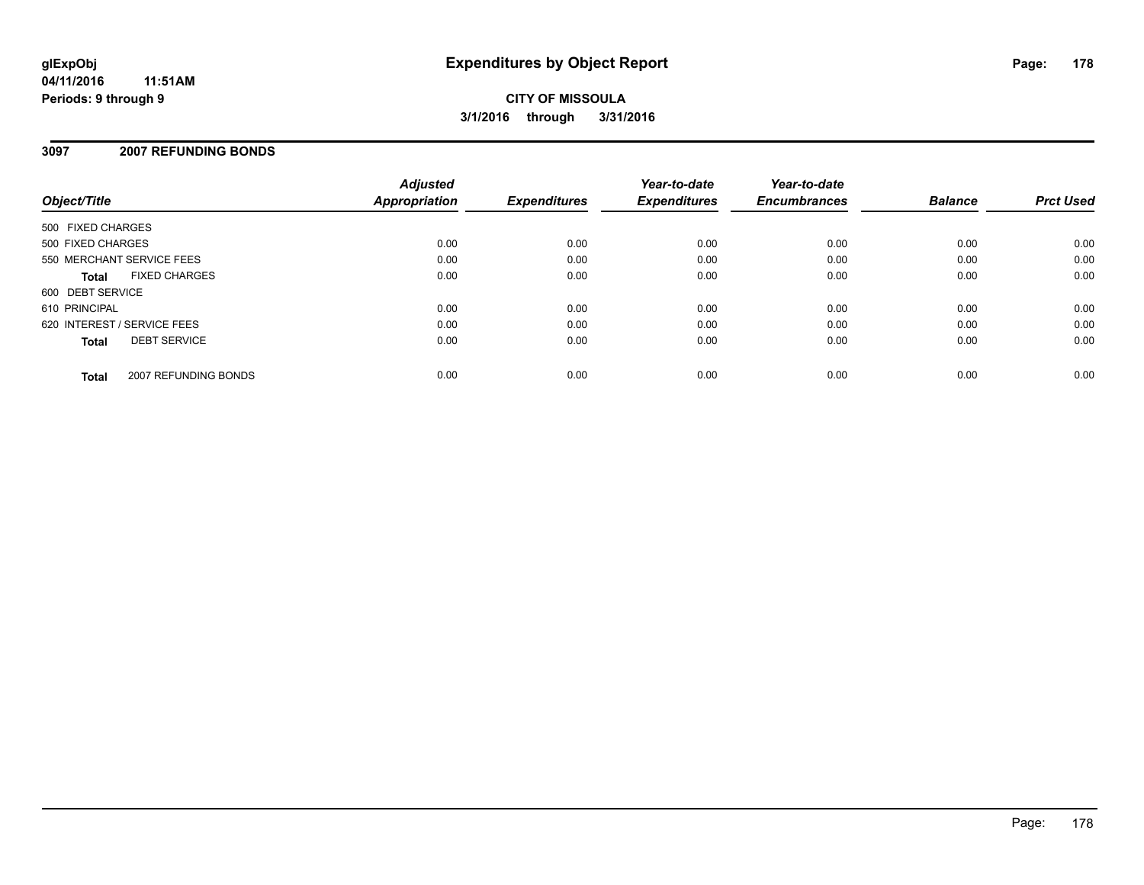#### **3097 2007 REFUNDING BONDS**

| Object/Title                |                      | <b>Adjusted</b><br>Appropriation | <b>Expenditures</b> | Year-to-date<br><b>Expenditures</b> | Year-to-date<br><b>Encumbrances</b> | <b>Balance</b> | <b>Prct Used</b> |
|-----------------------------|----------------------|----------------------------------|---------------------|-------------------------------------|-------------------------------------|----------------|------------------|
| 500 FIXED CHARGES           |                      |                                  |                     |                                     |                                     |                |                  |
| 500 FIXED CHARGES           |                      | 0.00                             | 0.00                | 0.00                                | 0.00                                | 0.00           | 0.00             |
| 550 MERCHANT SERVICE FEES   |                      | 0.00                             | 0.00                | 0.00                                | 0.00                                | 0.00           | 0.00             |
| Total                       | <b>FIXED CHARGES</b> | 0.00                             | 0.00                | 0.00                                | 0.00                                | 0.00           | 0.00             |
| 600 DEBT SERVICE            |                      |                                  |                     |                                     |                                     |                |                  |
| 610 PRINCIPAL               |                      | 0.00                             | 0.00                | 0.00                                | 0.00                                | 0.00           | 0.00             |
| 620 INTEREST / SERVICE FEES |                      | 0.00                             | 0.00                | 0.00                                | 0.00                                | 0.00           | 0.00             |
| <b>Total</b>                | <b>DEBT SERVICE</b>  | 0.00                             | 0.00                | 0.00                                | 0.00                                | 0.00           | 0.00             |
| <b>Total</b>                | 2007 REFUNDING BONDS | 0.00                             | 0.00                | 0.00                                | 0.00                                | 0.00           | 0.00             |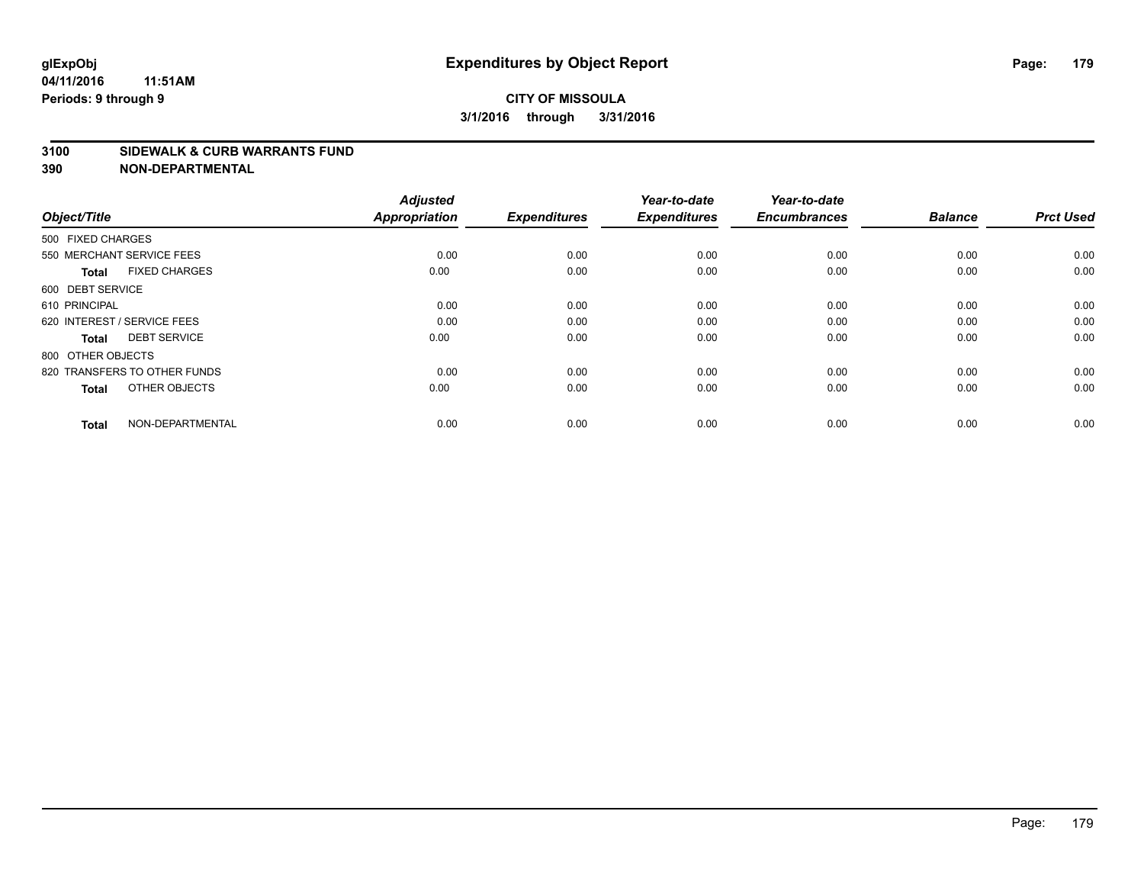#### **3100 SIDEWALK & CURB WARRANTS FUND**

| Object/Title                         | <b>Adjusted</b><br>Appropriation | <b>Expenditures</b> | Year-to-date<br><b>Expenditures</b> | Year-to-date<br><b>Encumbrances</b> | <b>Balance</b> | <b>Prct Used</b> |
|--------------------------------------|----------------------------------|---------------------|-------------------------------------|-------------------------------------|----------------|------------------|
| 500 FIXED CHARGES                    |                                  |                     |                                     |                                     |                |                  |
| 550 MERCHANT SERVICE FEES            | 0.00                             | 0.00                | 0.00                                | 0.00                                | 0.00           | 0.00             |
| <b>FIXED CHARGES</b><br><b>Total</b> | 0.00                             | 0.00                | 0.00                                | 0.00                                | 0.00           | 0.00             |
| 600 DEBT SERVICE                     |                                  |                     |                                     |                                     |                |                  |
| 610 PRINCIPAL                        | 0.00                             | 0.00                | 0.00                                | 0.00                                | 0.00           | 0.00             |
| 620 INTEREST / SERVICE FEES          | 0.00                             | 0.00                | 0.00                                | 0.00                                | 0.00           | 0.00             |
| <b>DEBT SERVICE</b><br><b>Total</b>  | 0.00                             | 0.00                | 0.00                                | 0.00                                | 0.00           | 0.00             |
| 800 OTHER OBJECTS                    |                                  |                     |                                     |                                     |                |                  |
| 820 TRANSFERS TO OTHER FUNDS         | 0.00                             | 0.00                | 0.00                                | 0.00                                | 0.00           | 0.00             |
| OTHER OBJECTS<br><b>Total</b>        | 0.00                             | 0.00                | 0.00                                | 0.00                                | 0.00           | 0.00             |
|                                      |                                  |                     |                                     |                                     |                |                  |
| NON-DEPARTMENTAL<br><b>Total</b>     | 0.00                             | 0.00                | 0.00                                | 0.00                                | 0.00           | 0.00             |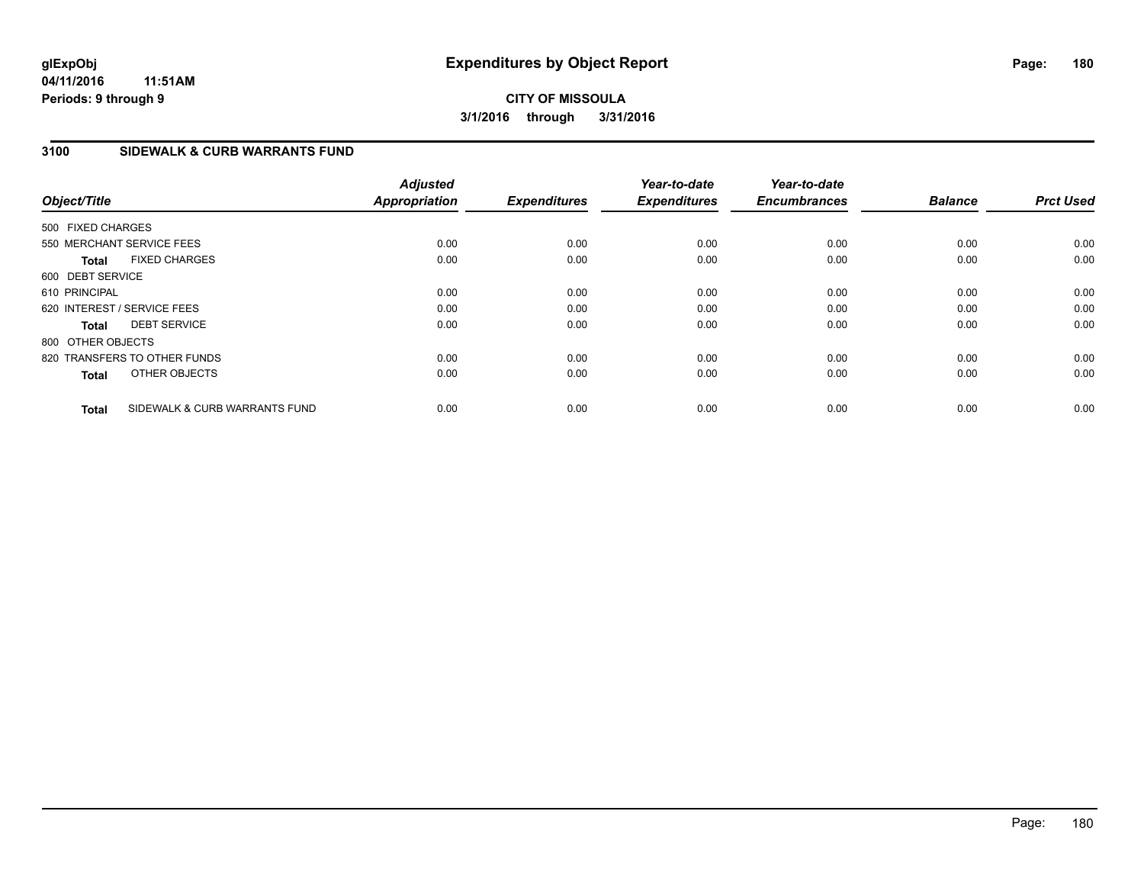### **3100 SIDEWALK & CURB WARRANTS FUND**

| Object/Title      |                               | <b>Adjusted</b><br><b>Appropriation</b> | <b>Expenditures</b> | Year-to-date<br><b>Expenditures</b> | Year-to-date<br><b>Encumbrances</b> | <b>Balance</b> | <b>Prct Used</b> |
|-------------------|-------------------------------|-----------------------------------------|---------------------|-------------------------------------|-------------------------------------|----------------|------------------|
| 500 FIXED CHARGES |                               |                                         |                     |                                     |                                     |                |                  |
|                   | 550 MERCHANT SERVICE FEES     | 0.00                                    | 0.00                | 0.00                                | 0.00                                | 0.00           | 0.00             |
| <b>Total</b>      | <b>FIXED CHARGES</b>          | 0.00                                    | 0.00                | 0.00                                | 0.00                                | 0.00           | 0.00             |
| 600 DEBT SERVICE  |                               |                                         |                     |                                     |                                     |                |                  |
| 610 PRINCIPAL     |                               | 0.00                                    | 0.00                | 0.00                                | 0.00                                | 0.00           | 0.00             |
|                   | 620 INTEREST / SERVICE FEES   | 0.00                                    | 0.00                | 0.00                                | 0.00                                | 0.00           | 0.00             |
| Total             | <b>DEBT SERVICE</b>           | 0.00                                    | 0.00                | 0.00                                | 0.00                                | 0.00           | 0.00             |
| 800 OTHER OBJECTS |                               |                                         |                     |                                     |                                     |                |                  |
|                   | 820 TRANSFERS TO OTHER FUNDS  | 0.00                                    | 0.00                | 0.00                                | 0.00                                | 0.00           | 0.00             |
| <b>Total</b>      | OTHER OBJECTS                 | 0.00                                    | 0.00                | 0.00                                | 0.00                                | 0.00           | 0.00             |
| <b>Total</b>      | SIDEWALK & CURB WARRANTS FUND | 0.00                                    | 0.00                | 0.00                                | 0.00                                | 0.00           | 0.00             |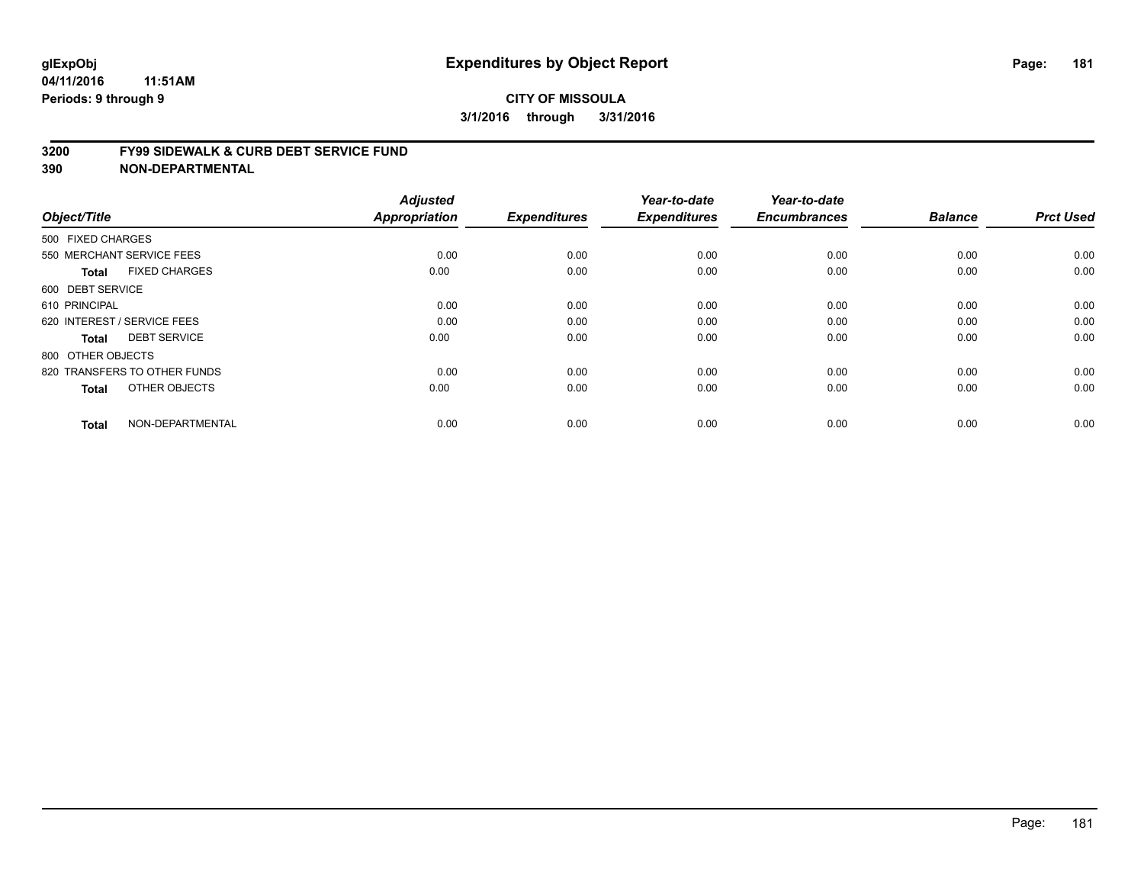#### **3200 FY99 SIDEWALK & CURB DEBT SERVICE FUND**

| Object/Title                         | <b>Adjusted</b><br>Appropriation | <b>Expenditures</b> | Year-to-date<br><b>Expenditures</b> | Year-to-date<br><b>Encumbrances</b> | <b>Balance</b> | <b>Prct Used</b> |
|--------------------------------------|----------------------------------|---------------------|-------------------------------------|-------------------------------------|----------------|------------------|
| 500 FIXED CHARGES                    |                                  |                     |                                     |                                     |                |                  |
|                                      |                                  |                     |                                     |                                     |                |                  |
| 550 MERCHANT SERVICE FEES            | 0.00                             | 0.00                | 0.00                                | 0.00                                | 0.00           | 0.00             |
| <b>FIXED CHARGES</b><br><b>Total</b> | 0.00                             | 0.00                | 0.00                                | 0.00                                | 0.00           | 0.00             |
| 600 DEBT SERVICE                     |                                  |                     |                                     |                                     |                |                  |
| 610 PRINCIPAL                        | 0.00                             | 0.00                | 0.00                                | 0.00                                | 0.00           | 0.00             |
| 620 INTEREST / SERVICE FEES          | 0.00                             | 0.00                | 0.00                                | 0.00                                | 0.00           | 0.00             |
| <b>DEBT SERVICE</b><br><b>Total</b>  | 0.00                             | 0.00                | 0.00                                | 0.00                                | 0.00           | 0.00             |
| 800 OTHER OBJECTS                    |                                  |                     |                                     |                                     |                |                  |
| 820 TRANSFERS TO OTHER FUNDS         | 0.00                             | 0.00                | 0.00                                | 0.00                                | 0.00           | 0.00             |
| OTHER OBJECTS<br><b>Total</b>        | 0.00                             | 0.00                | 0.00                                | 0.00                                | 0.00           | 0.00             |
|                                      |                                  |                     |                                     |                                     |                |                  |
| NON-DEPARTMENTAL<br><b>Total</b>     | 0.00                             | 0.00                | 0.00                                | 0.00                                | 0.00           | 0.00             |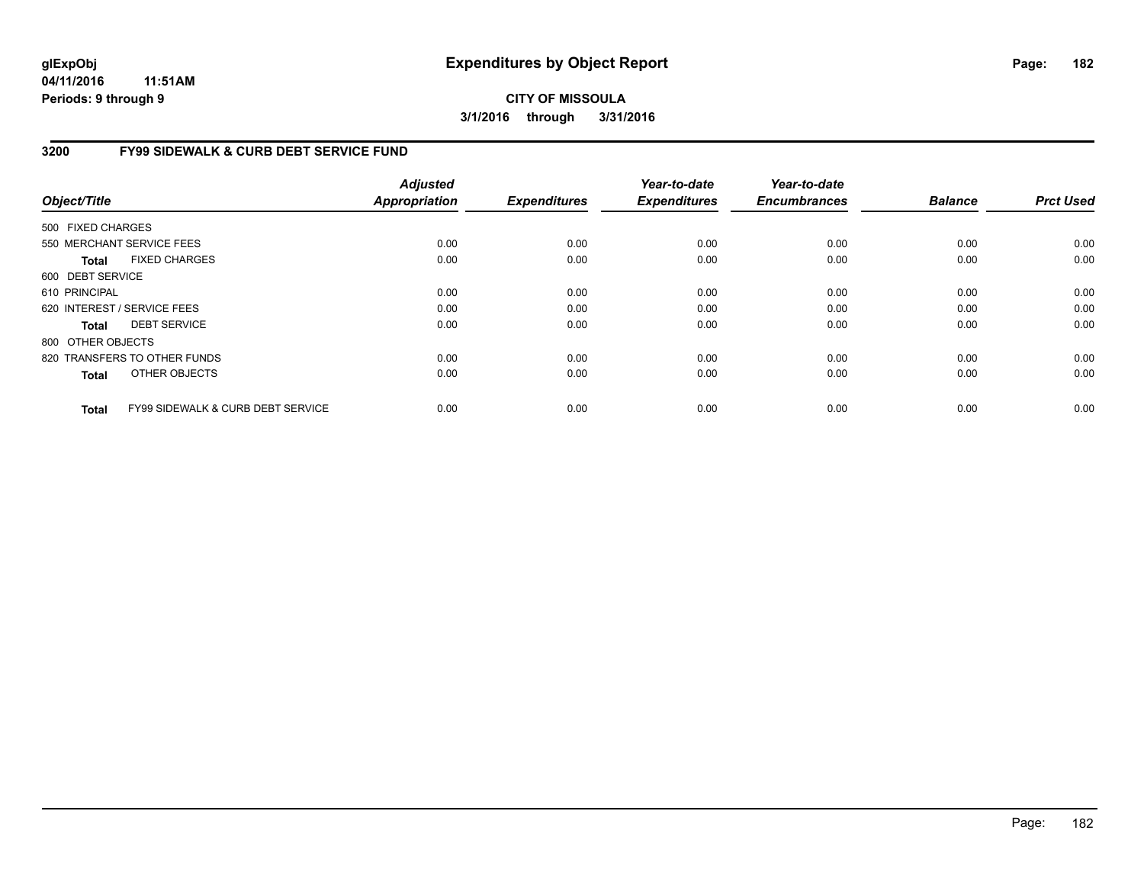**04/11/2016 11:51AM Periods: 9 through 9**

**CITY OF MISSOULA 3/1/2016 through 3/31/2016**

### **3200 FY99 SIDEWALK & CURB DEBT SERVICE FUND**

| Object/Title      |                                              | <b>Adjusted</b><br><b>Appropriation</b> | <b>Expenditures</b> | Year-to-date<br><b>Expenditures</b> | Year-to-date<br><b>Encumbrances</b> | <b>Balance</b> | <b>Prct Used</b> |
|-------------------|----------------------------------------------|-----------------------------------------|---------------------|-------------------------------------|-------------------------------------|----------------|------------------|
| 500 FIXED CHARGES |                                              |                                         |                     |                                     |                                     |                |                  |
|                   | 550 MERCHANT SERVICE FEES                    | 0.00                                    | 0.00                | 0.00                                | 0.00                                | 0.00           | 0.00             |
| <b>Total</b>      | <b>FIXED CHARGES</b>                         | 0.00                                    | 0.00                | 0.00                                | 0.00                                | 0.00           | 0.00             |
| 600 DEBT SERVICE  |                                              |                                         |                     |                                     |                                     |                |                  |
| 610 PRINCIPAL     |                                              | 0.00                                    | 0.00                | 0.00                                | 0.00                                | 0.00           | 0.00             |
|                   | 620 INTEREST / SERVICE FEES                  | 0.00                                    | 0.00                | 0.00                                | 0.00                                | 0.00           | 0.00             |
| <b>Total</b>      | <b>DEBT SERVICE</b>                          | 0.00                                    | 0.00                | 0.00                                | 0.00                                | 0.00           | 0.00             |
| 800 OTHER OBJECTS |                                              |                                         |                     |                                     |                                     |                |                  |
|                   | 820 TRANSFERS TO OTHER FUNDS                 | 0.00                                    | 0.00                | 0.00                                | 0.00                                | 0.00           | 0.00             |
| <b>Total</b>      | <b>OTHER OBJECTS</b>                         | 0.00                                    | 0.00                | 0.00                                | 0.00                                | 0.00           | 0.00             |
| <b>Total</b>      | <b>FY99 SIDEWALK &amp; CURB DEBT SERVICE</b> | 0.00                                    | 0.00                | 0.00                                | 0.00                                | 0.00           | 0.00             |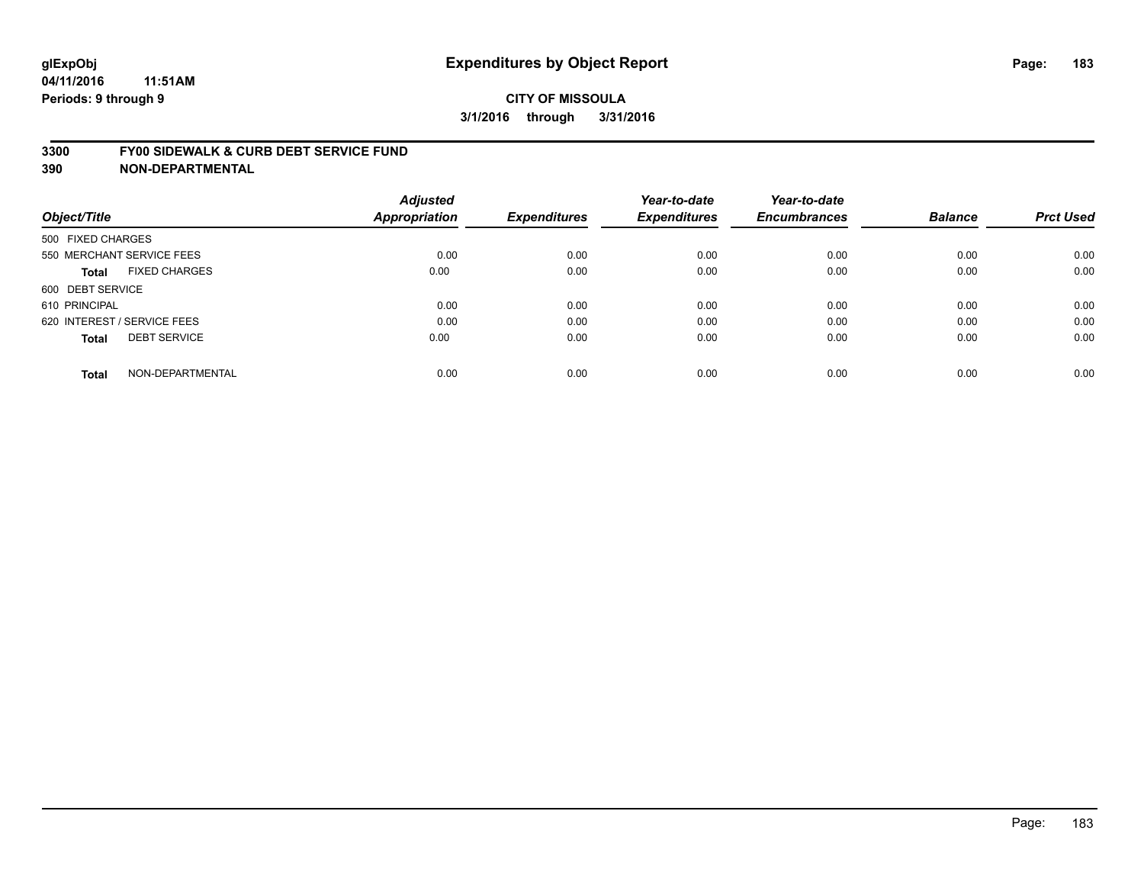#### **3300 FY00 SIDEWALK & CURB DEBT SERVICE FUND**

| Object/Title                         | <b>Adjusted</b><br><b>Appropriation</b> | <b>Expenditures</b> | Year-to-date<br><b>Expenditures</b> | Year-to-date<br><b>Encumbrances</b> | <b>Balance</b> | <b>Prct Used</b> |
|--------------------------------------|-----------------------------------------|---------------------|-------------------------------------|-------------------------------------|----------------|------------------|
| 500 FIXED CHARGES                    |                                         |                     |                                     |                                     |                |                  |
| 550 MERCHANT SERVICE FEES            | 0.00                                    | 0.00                | 0.00                                | 0.00                                | 0.00           | 0.00             |
| <b>FIXED CHARGES</b><br><b>Total</b> | 0.00                                    | 0.00                | 0.00                                | 0.00                                | 0.00           | 0.00             |
| 600 DEBT SERVICE                     |                                         |                     |                                     |                                     |                |                  |
| 610 PRINCIPAL                        | 0.00                                    | 0.00                | 0.00                                | 0.00                                | 0.00           | 0.00             |
| 620 INTEREST / SERVICE FEES          | 0.00                                    | 0.00                | 0.00                                | 0.00                                | 0.00           | 0.00             |
| <b>DEBT SERVICE</b><br><b>Total</b>  | 0.00                                    | 0.00                | 0.00                                | 0.00                                | 0.00           | 0.00             |
| NON-DEPARTMENTAL<br><b>Total</b>     | 0.00                                    | 0.00                | 0.00                                | 0.00                                | 0.00           | 0.00             |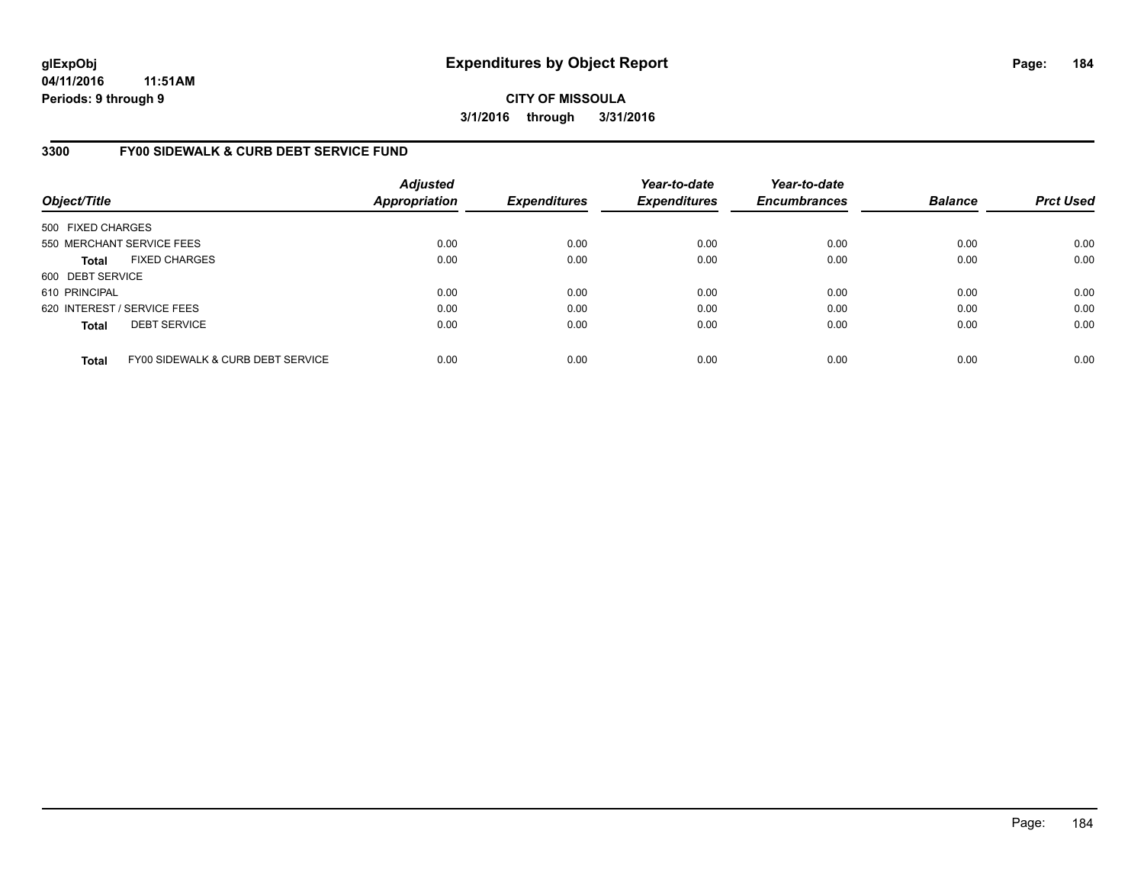**04/11/2016 11:51AM Periods: 9 through 9**

**CITY OF MISSOULA 3/1/2016 through 3/31/2016**

### **3300 FY00 SIDEWALK & CURB DEBT SERVICE FUND**

| Object/Title                |                                   | <b>Adjusted</b><br><b>Appropriation</b> | <b>Expenditures</b> | Year-to-date<br><b>Expenditures</b> | Year-to-date<br><b>Encumbrances</b> | <b>Balance</b> | <b>Prct Used</b> |
|-----------------------------|-----------------------------------|-----------------------------------------|---------------------|-------------------------------------|-------------------------------------|----------------|------------------|
| 500 FIXED CHARGES           |                                   |                                         |                     |                                     |                                     |                |                  |
|                             | 550 MERCHANT SERVICE FEES         | 0.00                                    | 0.00                | 0.00                                | 0.00                                | 0.00           | 0.00             |
| <b>Total</b>                | <b>FIXED CHARGES</b>              | 0.00                                    | 0.00                | 0.00                                | 0.00                                | 0.00           | 0.00             |
| 600 DEBT SERVICE            |                                   |                                         |                     |                                     |                                     |                |                  |
| 610 PRINCIPAL               |                                   | 0.00                                    | 0.00                | 0.00                                | 0.00                                | 0.00           | 0.00             |
| 620 INTEREST / SERVICE FEES |                                   | 0.00                                    | 0.00                | 0.00                                | 0.00                                | 0.00           | 0.00             |
| <b>Total</b>                | <b>DEBT SERVICE</b>               | 0.00                                    | 0.00                | 0.00                                | 0.00                                | 0.00           | 0.00             |
| <b>Total</b>                | FY00 SIDEWALK & CURB DEBT SERVICE | 0.00                                    | 0.00                | 0.00                                | 0.00                                | 0.00           | 0.00             |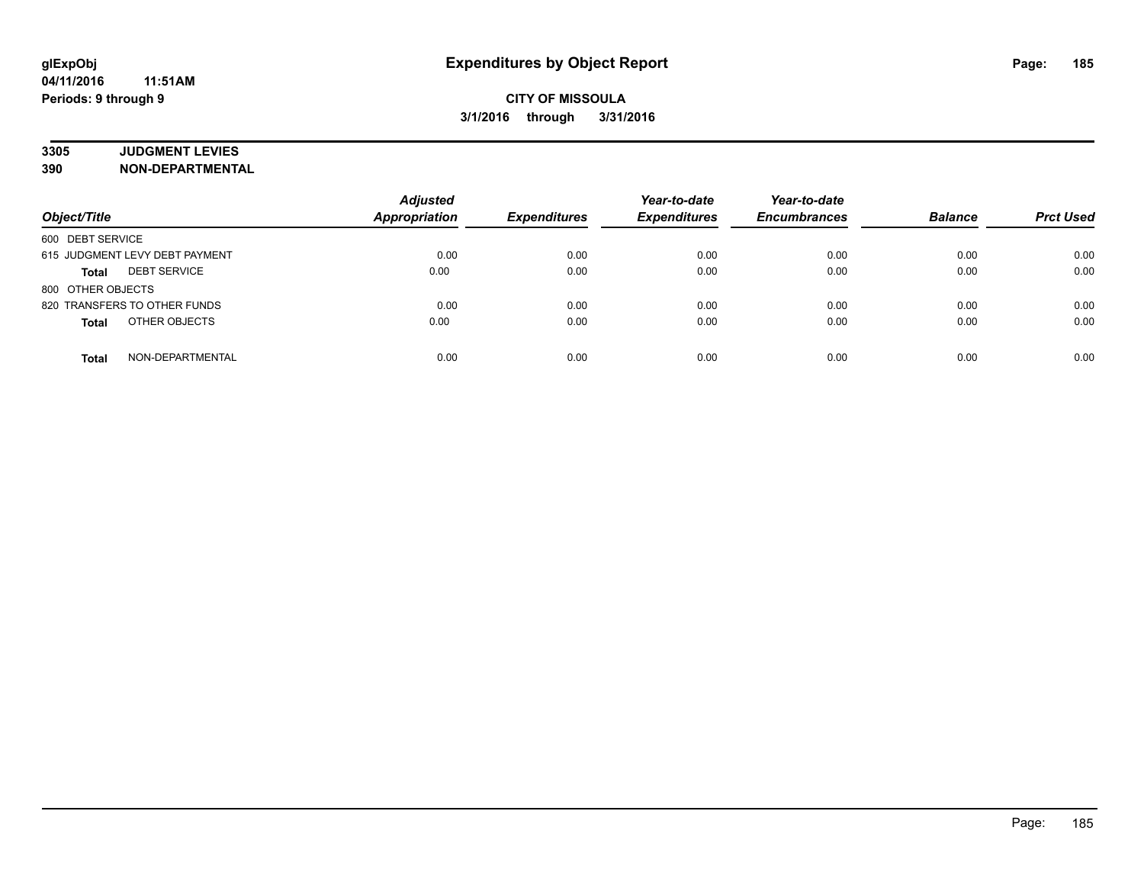# **3305 JUDGMENT LEVIES**

| Object/Title                        | <b>Adjusted</b><br><b>Appropriation</b> | <b>Expenditures</b> | Year-to-date<br><b>Expenditures</b> | Year-to-date<br><b>Encumbrances</b> | <b>Balance</b> | <b>Prct Used</b> |
|-------------------------------------|-----------------------------------------|---------------------|-------------------------------------|-------------------------------------|----------------|------------------|
| 600 DEBT SERVICE                    |                                         |                     |                                     |                                     |                |                  |
| 615 JUDGMENT LEVY DEBT PAYMENT      | 0.00                                    | 0.00                | 0.00                                | 0.00                                | 0.00           | 0.00             |
| <b>DEBT SERVICE</b><br><b>Total</b> | 0.00                                    | 0.00                | 0.00                                | 0.00                                | 0.00           | 0.00             |
| 800 OTHER OBJECTS                   |                                         |                     |                                     |                                     |                |                  |
| 820 TRANSFERS TO OTHER FUNDS        | 0.00                                    | 0.00                | 0.00                                | 0.00                                | 0.00           | 0.00             |
| OTHER OBJECTS<br><b>Total</b>       | 0.00                                    | 0.00                | 0.00                                | 0.00                                | 0.00           | 0.00             |
| NON-DEPARTMENTAL<br><b>Total</b>    | 0.00                                    | 0.00                | 0.00                                | 0.00                                | 0.00           | 0.00             |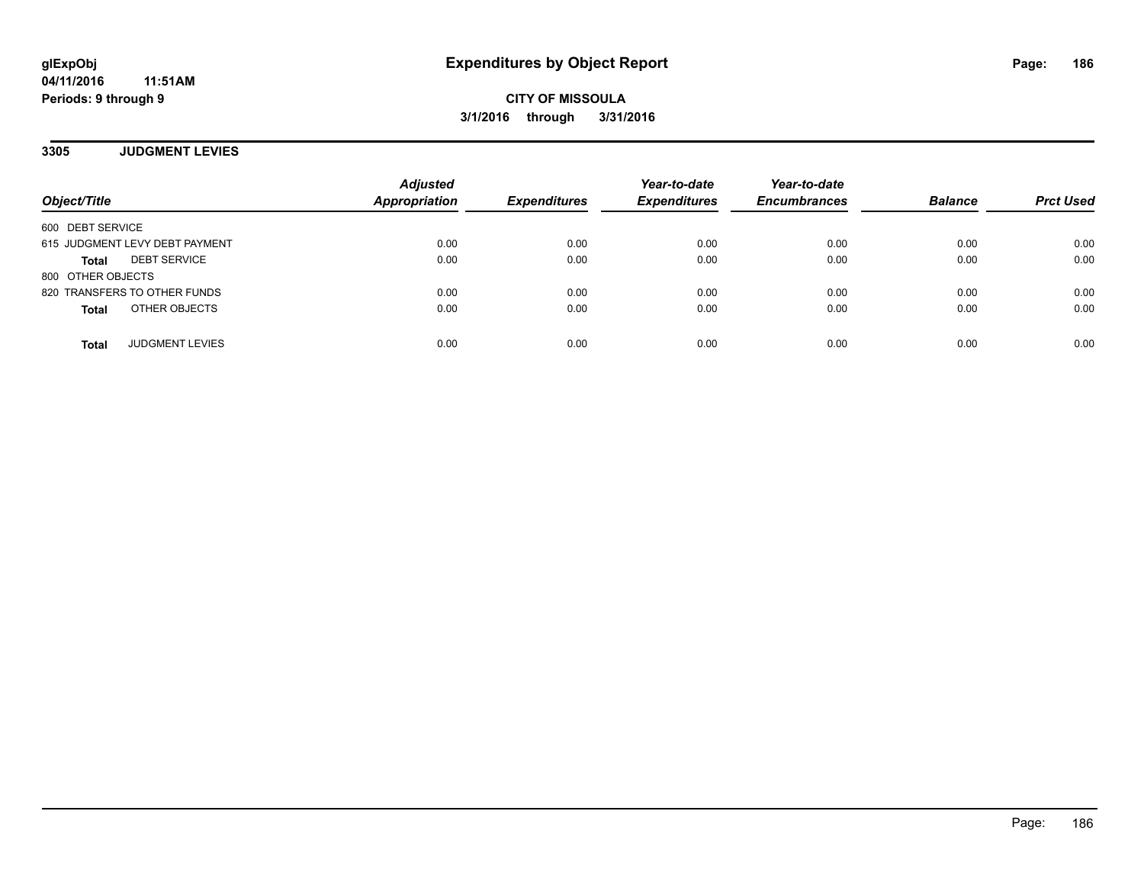**3305 JUDGMENT LEVIES**

| Object/Title                        | <b>Adjusted</b><br>Appropriation | <b>Expenditures</b> | Year-to-date<br><b>Expenditures</b> | Year-to-date<br><b>Encumbrances</b> | <b>Balance</b> | <b>Prct Used</b> |
|-------------------------------------|----------------------------------|---------------------|-------------------------------------|-------------------------------------|----------------|------------------|
| 600 DEBT SERVICE                    |                                  |                     |                                     |                                     |                |                  |
| 615 JUDGMENT LEVY DEBT PAYMENT      | 0.00                             | 0.00                | 0.00                                | 0.00                                | 0.00           | 0.00             |
| <b>DEBT SERVICE</b><br><b>Total</b> | 0.00                             | 0.00                | 0.00                                | 0.00                                | 0.00           | 0.00             |
| 800 OTHER OBJECTS                   |                                  |                     |                                     |                                     |                |                  |
| 820 TRANSFERS TO OTHER FUNDS        | 0.00                             | 0.00                | 0.00                                | 0.00                                | 0.00           | 0.00             |
| OTHER OBJECTS<br><b>Total</b>       | 0.00                             | 0.00                | 0.00                                | 0.00                                | 0.00           | 0.00             |
| <b>JUDGMENT LEVIES</b><br>Total     | 0.00                             | 0.00                | 0.00                                | 0.00                                | 0.00           | 0.00             |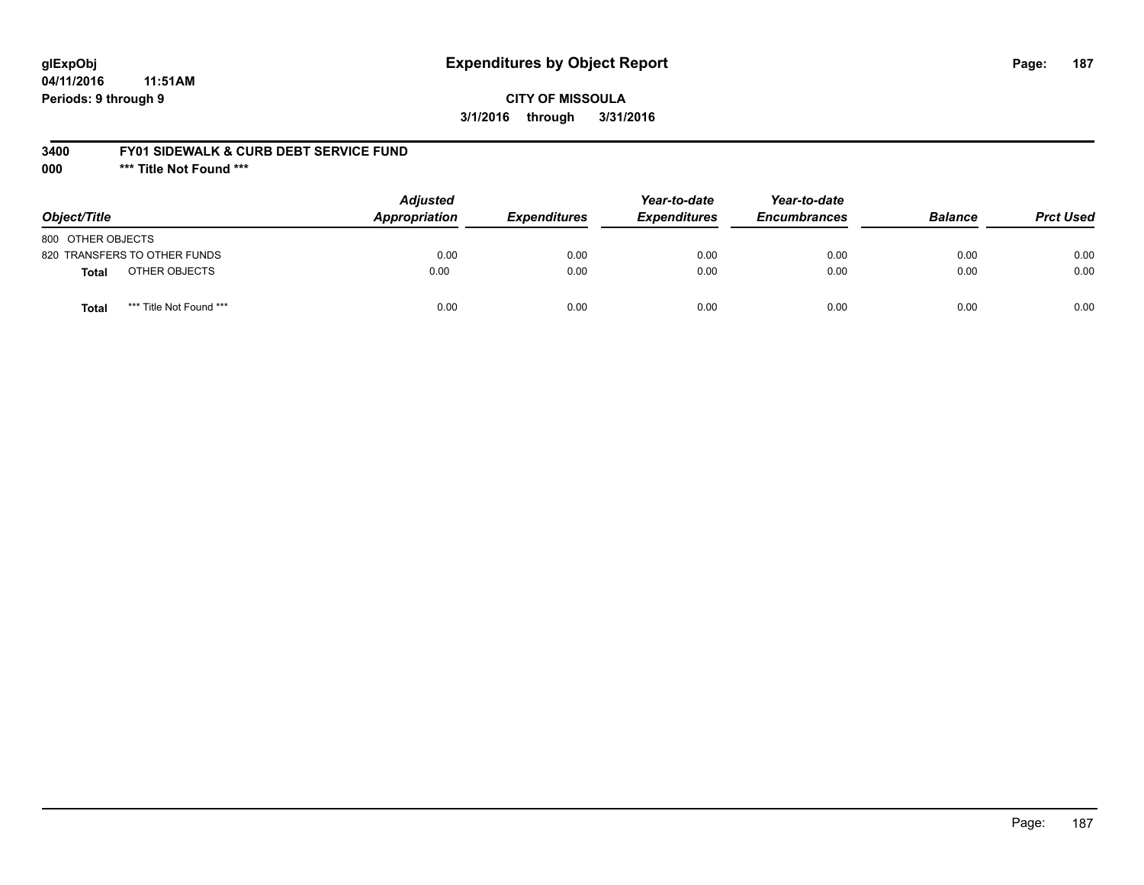## **glExpObj Expenditures by Object Report Page: 187**

**04/11/2016 11:51AM Periods: 9 through 9**

#### **3400 FY01 SIDEWALK & CURB DEBT SERVICE FUND**

**000 \*\*\* Title Not Found \*\*\***

| Object/Title                            | <b>Adjusted</b><br>Appropriation | <b>Expenditures</b> | Year-to-date<br><b>Expenditures</b> | Year-to-date<br><b>Encumbrances</b> | <b>Balance</b> | <b>Prct Used</b> |
|-----------------------------------------|----------------------------------|---------------------|-------------------------------------|-------------------------------------|----------------|------------------|
| 800 OTHER OBJECTS                       |                                  |                     |                                     |                                     |                |                  |
| 820 TRANSFERS TO OTHER FUNDS            | 0.00                             | 0.00                | 0.00                                | 0.00                                | 0.00           | 0.00             |
| OTHER OBJECTS<br>Total                  | 0.00                             | 0.00                | 0.00                                | 0.00                                | 0.00           | 0.00             |
| *** Title Not Found ***<br><b>Total</b> | 0.00                             | 0.00                | 0.00                                | 0.00                                | 0.00           | 0.00             |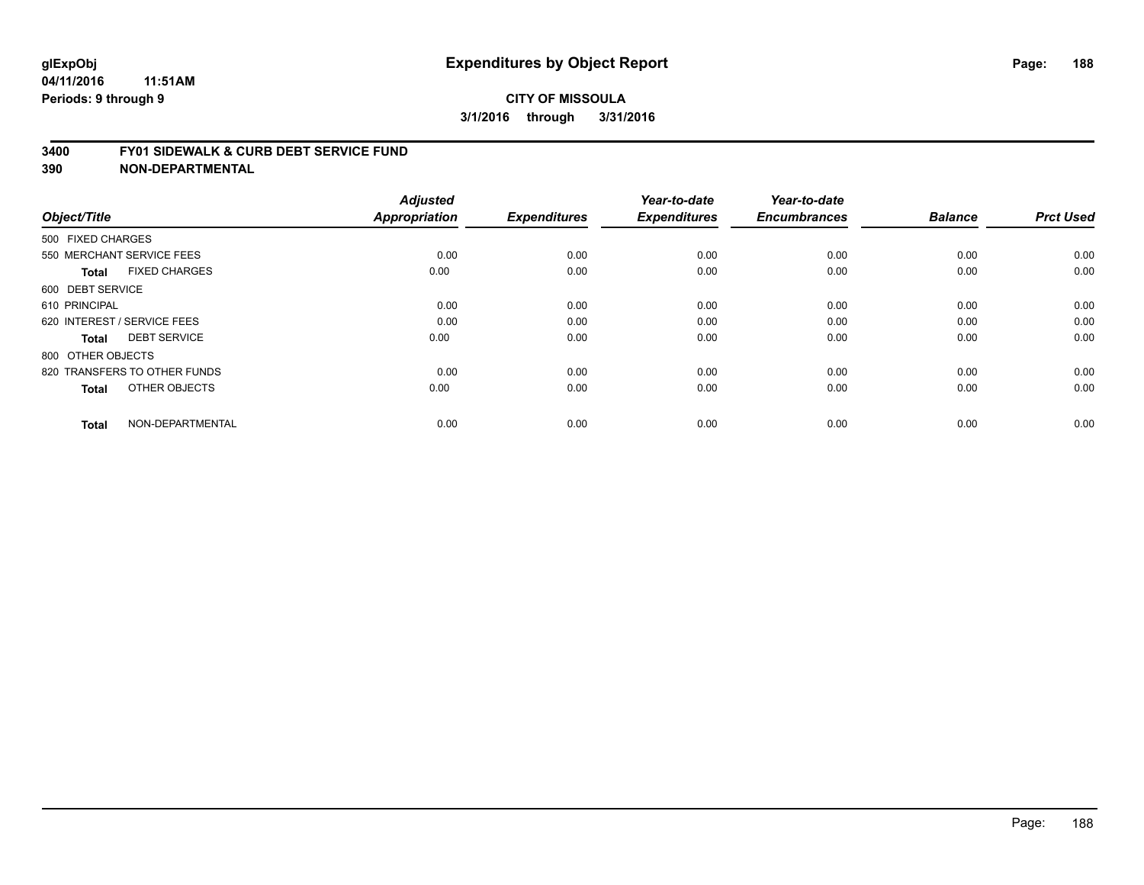#### **3400 FY01 SIDEWALK & CURB DEBT SERVICE FUND**

| Object/Title                         | <b>Adjusted</b><br>Appropriation | <b>Expenditures</b> | Year-to-date<br><b>Expenditures</b> | Year-to-date<br><b>Encumbrances</b> | <b>Balance</b> | <b>Prct Used</b> |
|--------------------------------------|----------------------------------|---------------------|-------------------------------------|-------------------------------------|----------------|------------------|
| 500 FIXED CHARGES                    |                                  |                     |                                     |                                     |                |                  |
|                                      |                                  |                     |                                     |                                     |                |                  |
| 550 MERCHANT SERVICE FEES            | 0.00                             | 0.00                | 0.00                                | 0.00                                | 0.00           | 0.00             |
| <b>FIXED CHARGES</b><br><b>Total</b> | 0.00                             | 0.00                | 0.00                                | 0.00                                | 0.00           | 0.00             |
| 600 DEBT SERVICE                     |                                  |                     |                                     |                                     |                |                  |
| 610 PRINCIPAL                        | 0.00                             | 0.00                | 0.00                                | 0.00                                | 0.00           | 0.00             |
| 620 INTEREST / SERVICE FEES          | 0.00                             | 0.00                | 0.00                                | 0.00                                | 0.00           | 0.00             |
| <b>DEBT SERVICE</b><br><b>Total</b>  | 0.00                             | 0.00                | 0.00                                | 0.00                                | 0.00           | 0.00             |
| 800 OTHER OBJECTS                    |                                  |                     |                                     |                                     |                |                  |
| 820 TRANSFERS TO OTHER FUNDS         | 0.00                             | 0.00                | 0.00                                | 0.00                                | 0.00           | 0.00             |
| OTHER OBJECTS<br><b>Total</b>        | 0.00                             | 0.00                | 0.00                                | 0.00                                | 0.00           | 0.00             |
|                                      |                                  |                     |                                     |                                     |                |                  |
| NON-DEPARTMENTAL<br><b>Total</b>     | 0.00                             | 0.00                | 0.00                                | 0.00                                | 0.00           | 0.00             |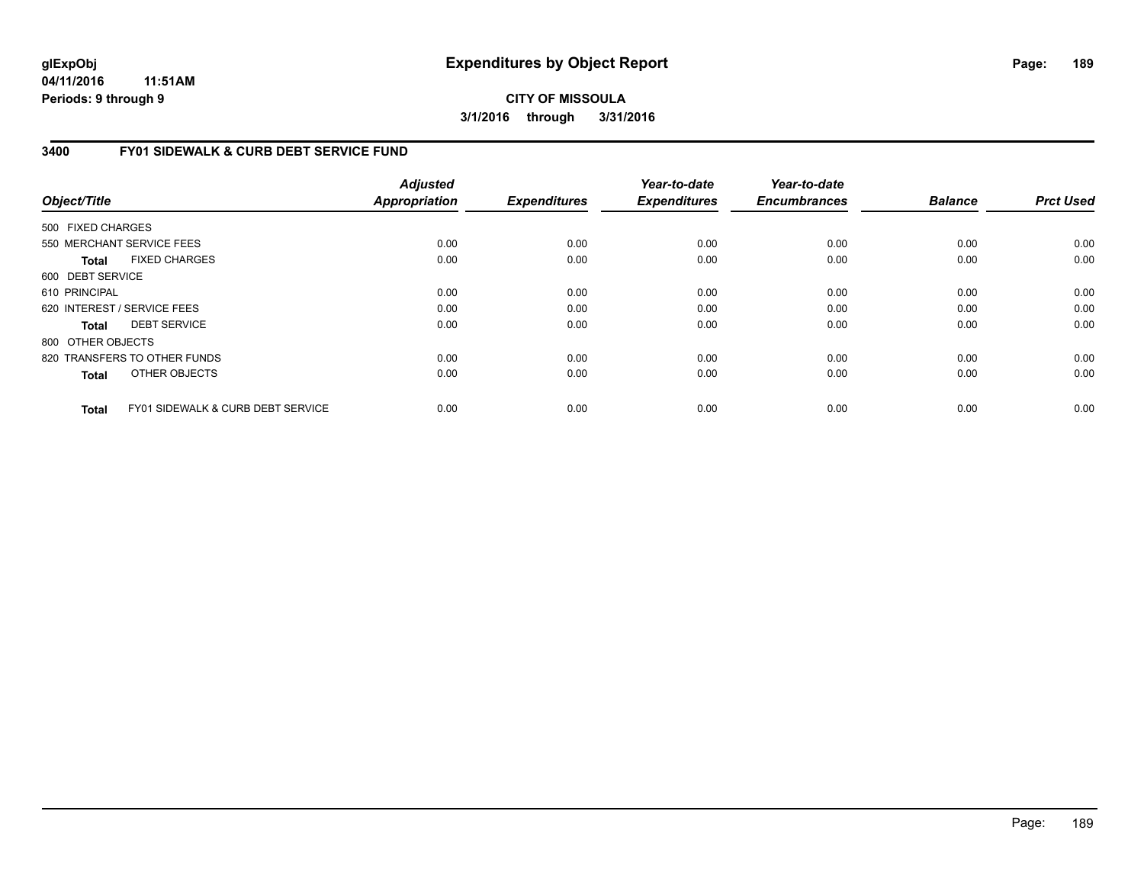**04/11/2016 11:51AM Periods: 9 through 9**

**CITY OF MISSOULA 3/1/2016 through 3/31/2016**

### **3400 FY01 SIDEWALK & CURB DEBT SERVICE FUND**

| Object/Title      |                                              | <b>Adjusted</b><br><b>Appropriation</b> | <b>Expenditures</b> | Year-to-date<br><b>Expenditures</b> | Year-to-date<br><b>Encumbrances</b> | <b>Balance</b> | <b>Prct Used</b> |
|-------------------|----------------------------------------------|-----------------------------------------|---------------------|-------------------------------------|-------------------------------------|----------------|------------------|
| 500 FIXED CHARGES |                                              |                                         |                     |                                     |                                     |                |                  |
|                   | 550 MERCHANT SERVICE FEES                    | 0.00                                    | 0.00                | 0.00                                | 0.00                                | 0.00           | 0.00             |
|                   |                                              |                                         |                     |                                     |                                     |                |                  |
| <b>Total</b>      | <b>FIXED CHARGES</b>                         | 0.00                                    | 0.00                | 0.00                                | 0.00                                | 0.00           | 0.00             |
| 600 DEBT SERVICE  |                                              |                                         |                     |                                     |                                     |                |                  |
| 610 PRINCIPAL     |                                              | 0.00                                    | 0.00                | 0.00                                | 0.00                                | 0.00           | 0.00             |
|                   | 620 INTEREST / SERVICE FEES                  | 0.00                                    | 0.00                | 0.00                                | 0.00                                | 0.00           | 0.00             |
| <b>Total</b>      | <b>DEBT SERVICE</b>                          | 0.00                                    | 0.00                | 0.00                                | 0.00                                | 0.00           | 0.00             |
| 800 OTHER OBJECTS |                                              |                                         |                     |                                     |                                     |                |                  |
|                   | 820 TRANSFERS TO OTHER FUNDS                 | 0.00                                    | 0.00                | 0.00                                | 0.00                                | 0.00           | 0.00             |
| <b>Total</b>      | OTHER OBJECTS                                | 0.00                                    | 0.00                | 0.00                                | 0.00                                | 0.00           | 0.00             |
| <b>Total</b>      | <b>FY01 SIDEWALK &amp; CURB DEBT SERVICE</b> | 0.00                                    | 0.00                | 0.00                                | 0.00                                | 0.00           | 0.00             |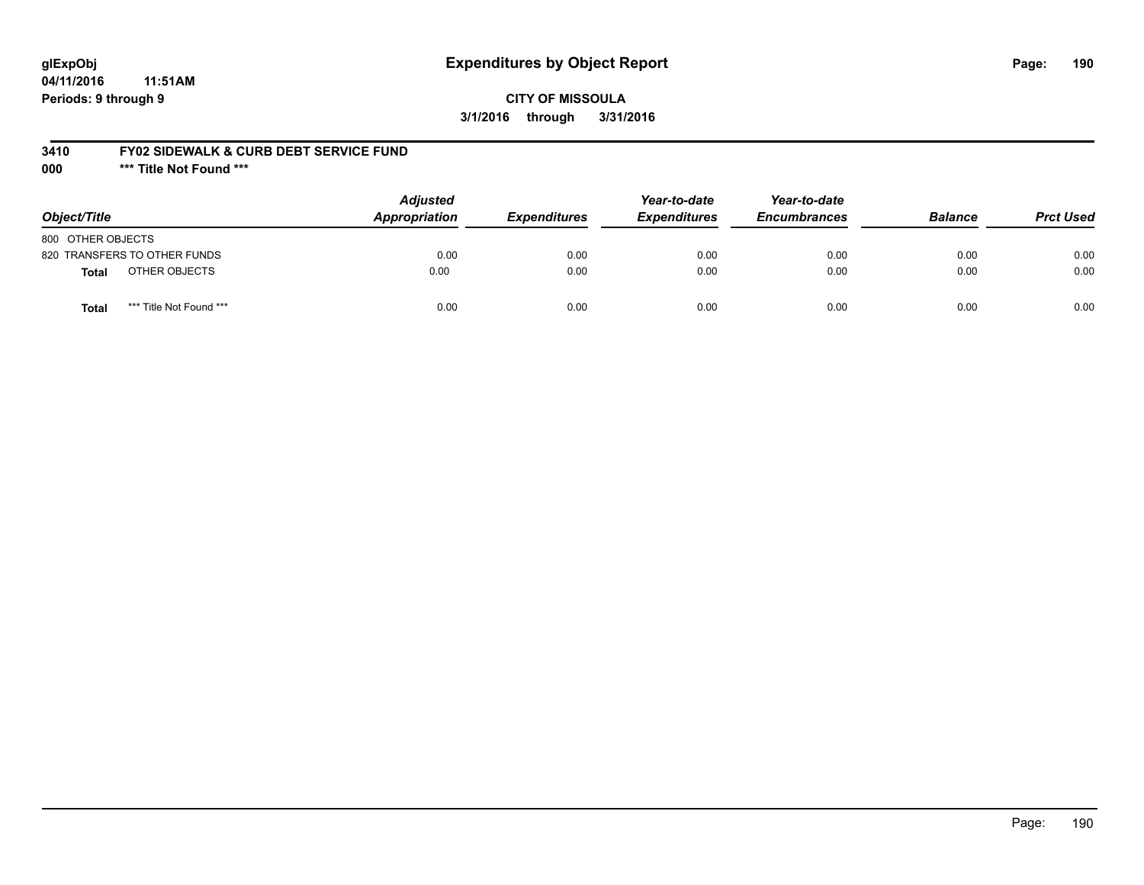## **glExpObj Expenditures by Object Report Page: 190**

**04/11/2016 11:51AM Periods: 9 through 9**

#### **3410 FY02 SIDEWALK & CURB DEBT SERVICE FUND**

**000 \*\*\* Title Not Found \*\*\***

| Object/Title                            | <b>Adjusted</b><br><b>Appropriation</b> | <b>Expenditures</b> | Year-to-date<br><b>Expenditures</b> | Year-to-date<br><b>Encumbrances</b> | <b>Balance</b> | <b>Prct Used</b> |
|-----------------------------------------|-----------------------------------------|---------------------|-------------------------------------|-------------------------------------|----------------|------------------|
| 800 OTHER OBJECTS                       |                                         |                     |                                     |                                     |                |                  |
| 820 TRANSFERS TO OTHER FUNDS            | 0.00                                    | 0.00                | 0.00                                | 0.00                                | 0.00           | 0.00             |
| OTHER OBJECTS<br>Total                  | 0.00                                    | 0.00                | 0.00                                | 0.00                                | 0.00           | 0.00             |
| *** Title Not Found ***<br><b>Total</b> | 0.00                                    | 0.00                | 0.00                                | 0.00                                | 0.00           | 0.00             |

Page: 190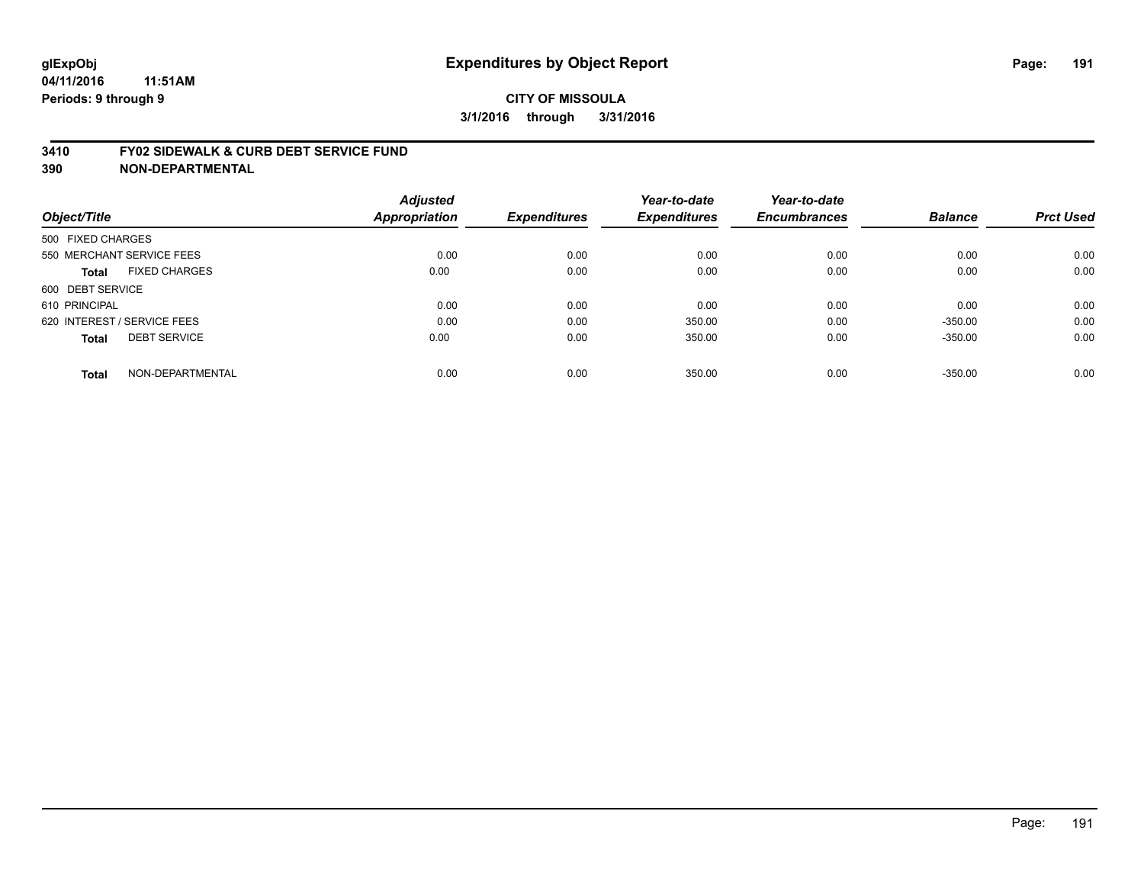#### **3410 FY02 SIDEWALK & CURB DEBT SERVICE FUND**

| <b>Adjusted</b> |                              | Year-to-date                | Year-to-date                  |                             | <b>Prct Used</b>            |
|-----------------|------------------------------|-----------------------------|-------------------------------|-----------------------------|-----------------------------|
|                 |                              |                             |                               |                             |                             |
|                 |                              |                             |                               |                             |                             |
| 0.00            | 0.00                         | 0.00                        | 0.00                          | 0.00                        | 0.00                        |
| 0.00            | 0.00                         | 0.00                        | 0.00                          | 0.00                        | 0.00                        |
|                 |                              |                             |                               |                             |                             |
| 0.00            | 0.00                         | 0.00                        | 0.00                          | 0.00                        | 0.00                        |
| 0.00            | 0.00                         | 350.00                      | 0.00                          | $-350.00$                   | 0.00                        |
| 0.00            | 0.00                         | 350.00                      | 0.00                          | $-350.00$                   | 0.00                        |
|                 |                              |                             |                               |                             | 0.00                        |
|                 | <b>Appropriation</b><br>0.00 | <b>Expenditures</b><br>0.00 | <b>Expenditures</b><br>350.00 | <b>Encumbrances</b><br>0.00 | <b>Balance</b><br>$-350.00$ |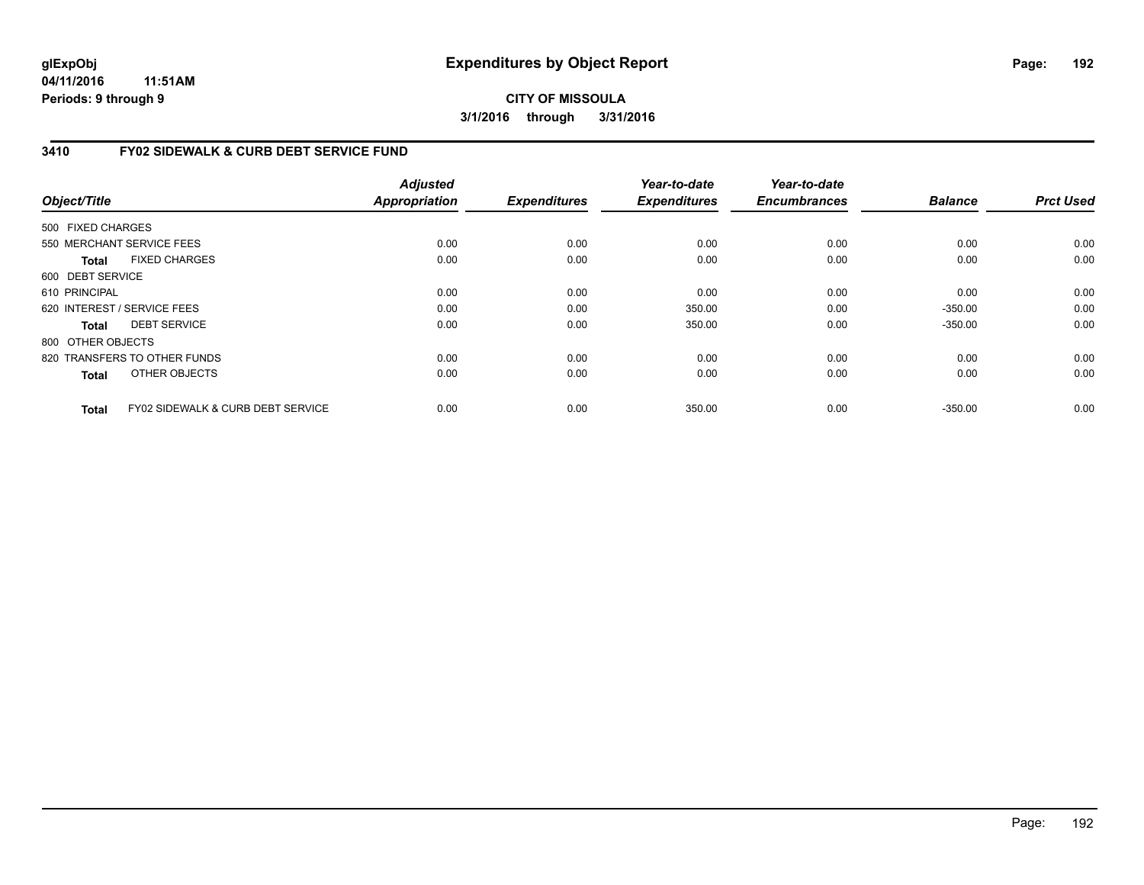**04/11/2016 11:51AM Periods: 9 through 9**

## **CITY OF MISSOULA 3/1/2016 through 3/31/2016**

## **3410 FY02 SIDEWALK & CURB DEBT SERVICE FUND**

| Object/Title      |                                   | <b>Adjusted</b><br>Appropriation | <b>Expenditures</b> | Year-to-date<br><b>Expenditures</b> | Year-to-date<br><b>Encumbrances</b> | <b>Balance</b> | <b>Prct Used</b> |
|-------------------|-----------------------------------|----------------------------------|---------------------|-------------------------------------|-------------------------------------|----------------|------------------|
| 500 FIXED CHARGES |                                   |                                  |                     |                                     |                                     |                |                  |
|                   | 550 MERCHANT SERVICE FEES         | 0.00                             | 0.00                | 0.00                                | 0.00                                | 0.00           | 0.00             |
| <b>Total</b>      | <b>FIXED CHARGES</b>              | 0.00                             | 0.00                | 0.00                                | 0.00                                | 0.00           | 0.00             |
| 600 DEBT SERVICE  |                                   |                                  |                     |                                     |                                     |                |                  |
| 610 PRINCIPAL     |                                   | 0.00                             | 0.00                | 0.00                                | 0.00                                | 0.00           | 0.00             |
|                   | 620 INTEREST / SERVICE FEES       | 0.00                             | 0.00                | 350.00                              | 0.00                                | $-350.00$      | 0.00             |
| Total             | <b>DEBT SERVICE</b>               | 0.00                             | 0.00                | 350.00                              | 0.00                                | $-350.00$      | 0.00             |
| 800 OTHER OBJECTS |                                   |                                  |                     |                                     |                                     |                |                  |
|                   | 820 TRANSFERS TO OTHER FUNDS      | 0.00                             | 0.00                | 0.00                                | 0.00                                | 0.00           | 0.00             |
| <b>Total</b>      | OTHER OBJECTS                     | 0.00                             | 0.00                | 0.00                                | 0.00                                | 0.00           | 0.00             |
| <b>Total</b>      | FY02 SIDEWALK & CURB DEBT SERVICE | 0.00                             | 0.00                | 350.00                              | 0.00                                | $-350.00$      | 0.00             |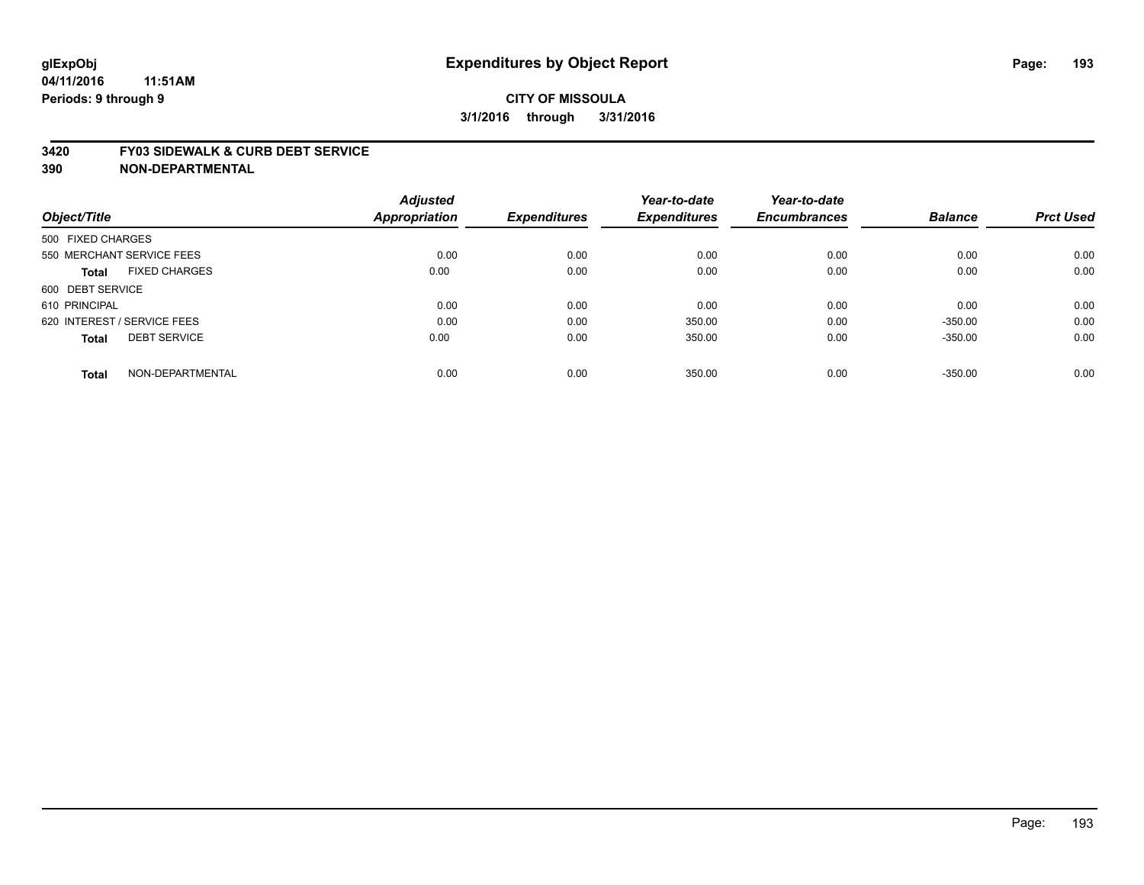#### **3420 FY03 SIDEWALK & CURB DEBT SERVICE**

|                                      | <b>Adjusted</b> |                     | Year-to-date        | Year-to-date        |                |                  |
|--------------------------------------|-----------------|---------------------|---------------------|---------------------|----------------|------------------|
| Object/Title                         | Appropriation   | <b>Expenditures</b> | <b>Expenditures</b> | <b>Encumbrances</b> | <b>Balance</b> | <b>Prct Used</b> |
| 500 FIXED CHARGES                    |                 |                     |                     |                     |                |                  |
| 550 MERCHANT SERVICE FEES            | 0.00            | 0.00                | 0.00                | 0.00                | 0.00           | 0.00             |
| <b>FIXED CHARGES</b><br><b>Total</b> | 0.00            | 0.00                | 0.00                | 0.00                | 0.00           | 0.00             |
| 600 DEBT SERVICE                     |                 |                     |                     |                     |                |                  |
| 610 PRINCIPAL                        | 0.00            | 0.00                | 0.00                | 0.00                | 0.00           | 0.00             |
| 620 INTEREST / SERVICE FEES          | 0.00            | 0.00                | 350.00              | 0.00                | $-350.00$      | 0.00             |
| <b>DEBT SERVICE</b><br><b>Total</b>  | 0.00            | 0.00                | 350.00              | 0.00                | $-350.00$      | 0.00             |
| NON-DEPARTMENTAL<br><b>Total</b>     | 0.00            | 0.00                | 350.00              | 0.00                | $-350.00$      | 0.00             |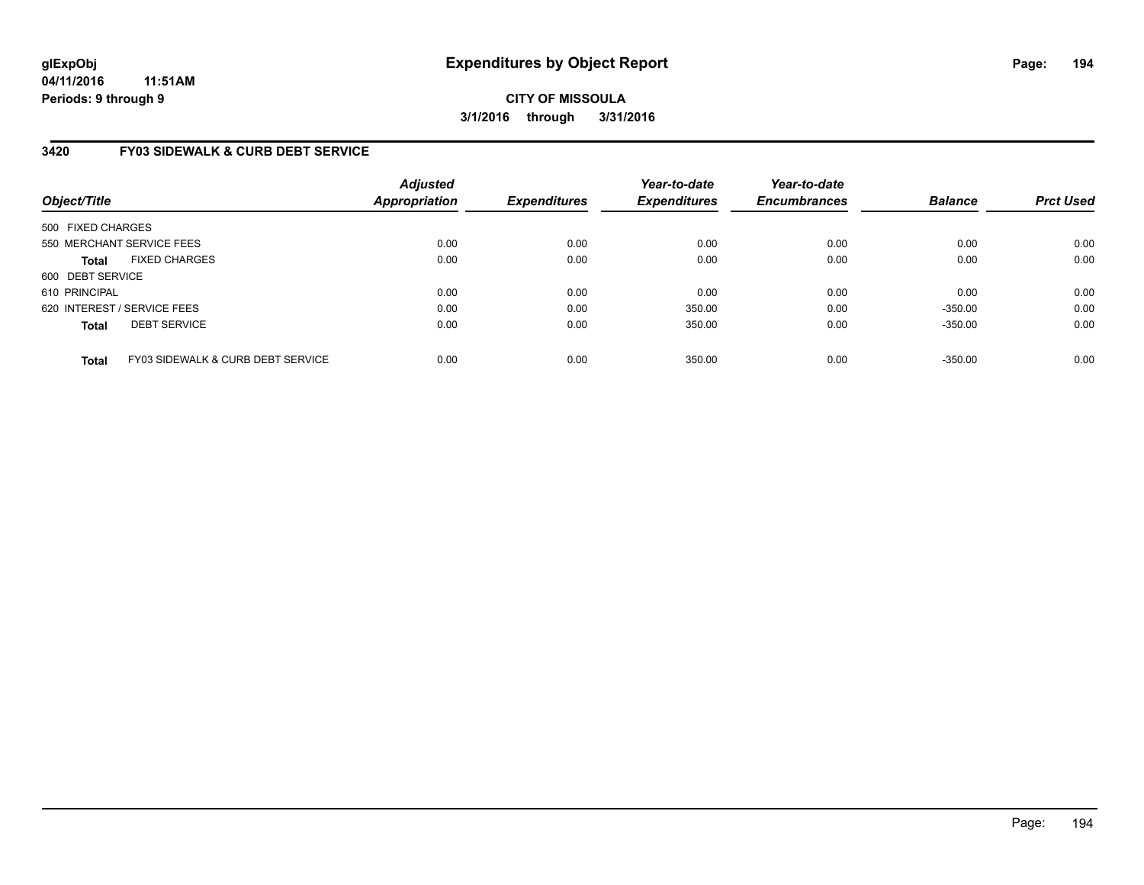## **3420 FY03 SIDEWALK & CURB DEBT SERVICE**

| Object/Title                |                                   | <b>Adjusted</b><br>Appropriation | <b>Expenditures</b> | Year-to-date<br><b>Expenditures</b> | Year-to-date<br><b>Encumbrances</b> | <b>Balance</b> | <b>Prct Used</b> |
|-----------------------------|-----------------------------------|----------------------------------|---------------------|-------------------------------------|-------------------------------------|----------------|------------------|
| 500 FIXED CHARGES           |                                   |                                  |                     |                                     |                                     |                |                  |
| 550 MERCHANT SERVICE FEES   |                                   | 0.00                             | 0.00                | 0.00                                | 0.00                                | 0.00           | 0.00             |
| <b>Total</b>                | <b>FIXED CHARGES</b>              | 0.00                             | 0.00                | 0.00                                | 0.00                                | 0.00           | 0.00             |
| 600 DEBT SERVICE            |                                   |                                  |                     |                                     |                                     |                |                  |
| 610 PRINCIPAL               |                                   | 0.00                             | 0.00                | 0.00                                | 0.00                                | 0.00           | 0.00             |
| 620 INTEREST / SERVICE FEES |                                   | 0.00                             | 0.00                | 350.00                              | 0.00                                | $-350.00$      | 0.00             |
| <b>Total</b>                | <b>DEBT SERVICE</b>               | 0.00                             | 0.00                | 350.00                              | 0.00                                | $-350.00$      | 0.00             |
| <b>Total</b>                | FY03 SIDEWALK & CURB DEBT SERVICE | 0.00                             | 0.00                | 350.00                              | 0.00                                | $-350.00$      | 0.00             |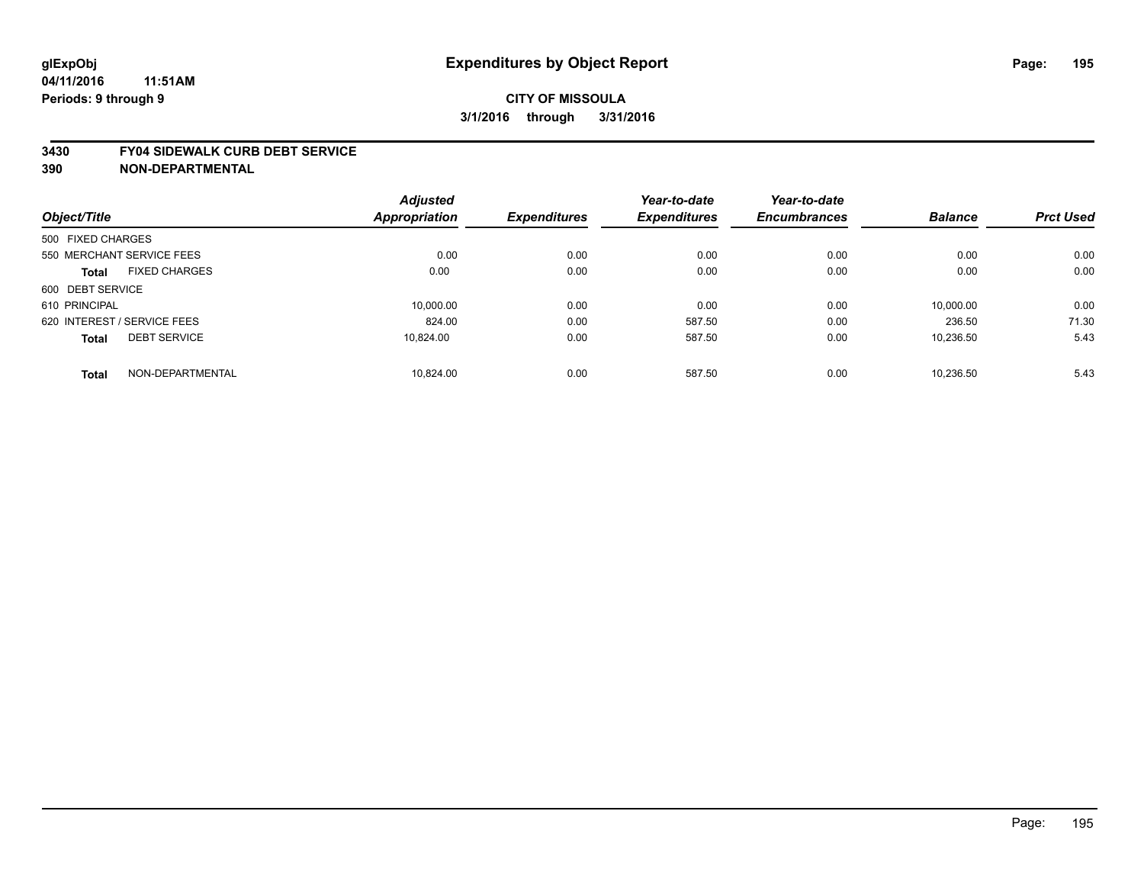#### **3430 FY04 SIDEWALK CURB DEBT SERVICE**

|                             |                      | <b>Adjusted</b> |                     | Year-to-date        | Year-to-date        |                |                  |
|-----------------------------|----------------------|-----------------|---------------------|---------------------|---------------------|----------------|------------------|
| Object/Title                |                      | Appropriation   | <b>Expenditures</b> | <b>Expenditures</b> | <b>Encumbrances</b> | <b>Balance</b> | <b>Prct Used</b> |
| 500 FIXED CHARGES           |                      |                 |                     |                     |                     |                |                  |
| 550 MERCHANT SERVICE FEES   |                      | 0.00            | 0.00                | 0.00                | 0.00                | 0.00           | 0.00             |
| <b>Total</b>                | <b>FIXED CHARGES</b> | 0.00            | 0.00                | 0.00                | 0.00                | 0.00           | 0.00             |
| 600 DEBT SERVICE            |                      |                 |                     |                     |                     |                |                  |
| 610 PRINCIPAL               |                      | 10.000.00       | 0.00                | 0.00                | 0.00                | 10.000.00      | 0.00             |
| 620 INTEREST / SERVICE FEES |                      | 824.00          | 0.00                | 587.50              | 0.00                | 236.50         | 71.30            |
| <b>Total</b>                | <b>DEBT SERVICE</b>  | 10.824.00       | 0.00                | 587.50              | 0.00                | 10,236.50      | 5.43             |
| <b>Total</b>                | NON-DEPARTMENTAL     | 10.824.00       | 0.00                | 587.50              | 0.00                | 10.236.50      | 5.43             |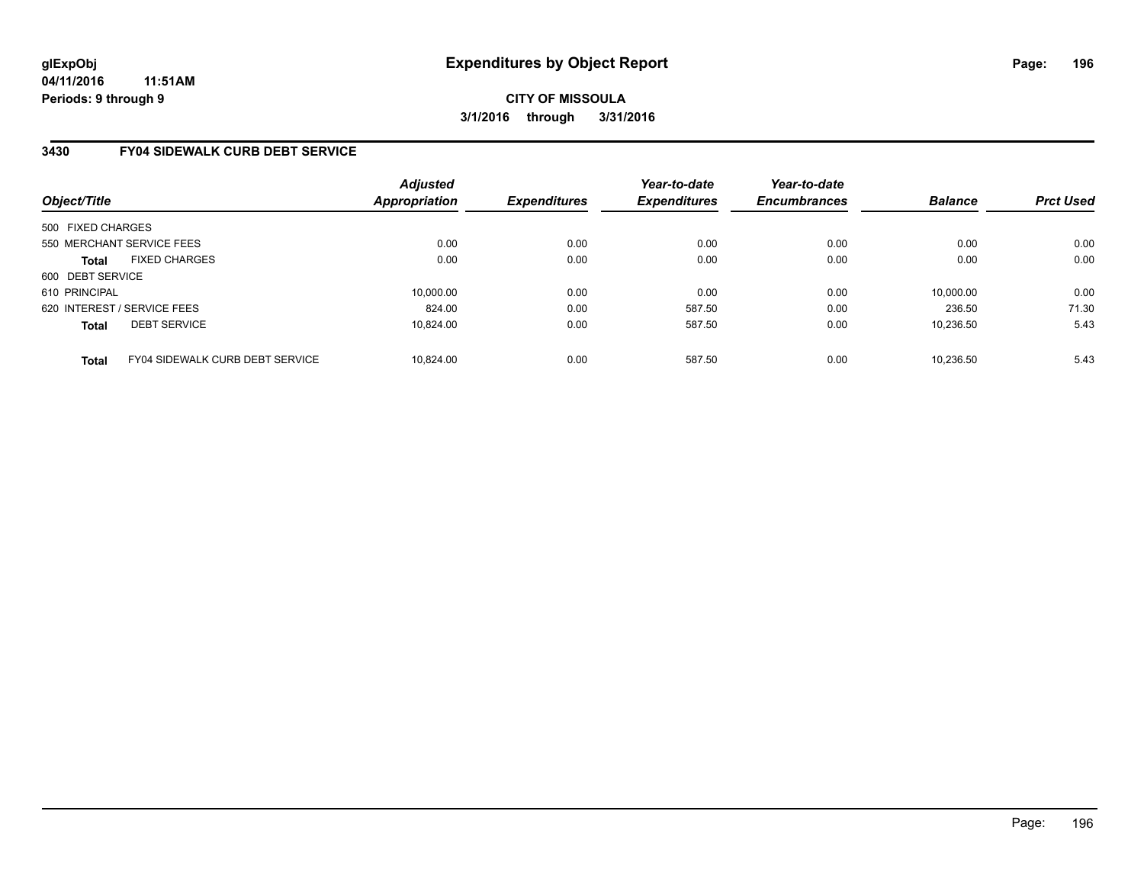### **3430 FY04 SIDEWALK CURB DEBT SERVICE**

| Object/Title                |                                 | Adjusted<br><b>Appropriation</b> | <b>Expenditures</b> | Year-to-date<br><b>Expenditures</b> | Year-to-date<br><b>Encumbrances</b> | <b>Balance</b> | <b>Prct Used</b> |
|-----------------------------|---------------------------------|----------------------------------|---------------------|-------------------------------------|-------------------------------------|----------------|------------------|
| 500 FIXED CHARGES           |                                 |                                  |                     |                                     |                                     |                |                  |
|                             | 550 MERCHANT SERVICE FEES       | 0.00                             | 0.00                | 0.00                                | 0.00                                | 0.00           | 0.00             |
| <b>Total</b>                | <b>FIXED CHARGES</b>            | 0.00                             | 0.00                | 0.00                                | 0.00                                | 0.00           | 0.00             |
| 600 DEBT SERVICE            |                                 |                                  |                     |                                     |                                     |                |                  |
| 610 PRINCIPAL               |                                 | 10.000.00                        | 0.00                | 0.00                                | 0.00                                | 10,000.00      | 0.00             |
| 620 INTEREST / SERVICE FEES |                                 | 824.00                           | 0.00                | 587.50                              | 0.00                                | 236.50         | 71.30            |
| <b>Total</b>                | <b>DEBT SERVICE</b>             | 10.824.00                        | 0.00                | 587.50                              | 0.00                                | 10.236.50      | 5.43             |
| <b>Total</b>                | FY04 SIDEWALK CURB DEBT SERVICE | 10.824.00                        | 0.00                | 587.50                              | 0.00                                | 10.236.50      | 5.43             |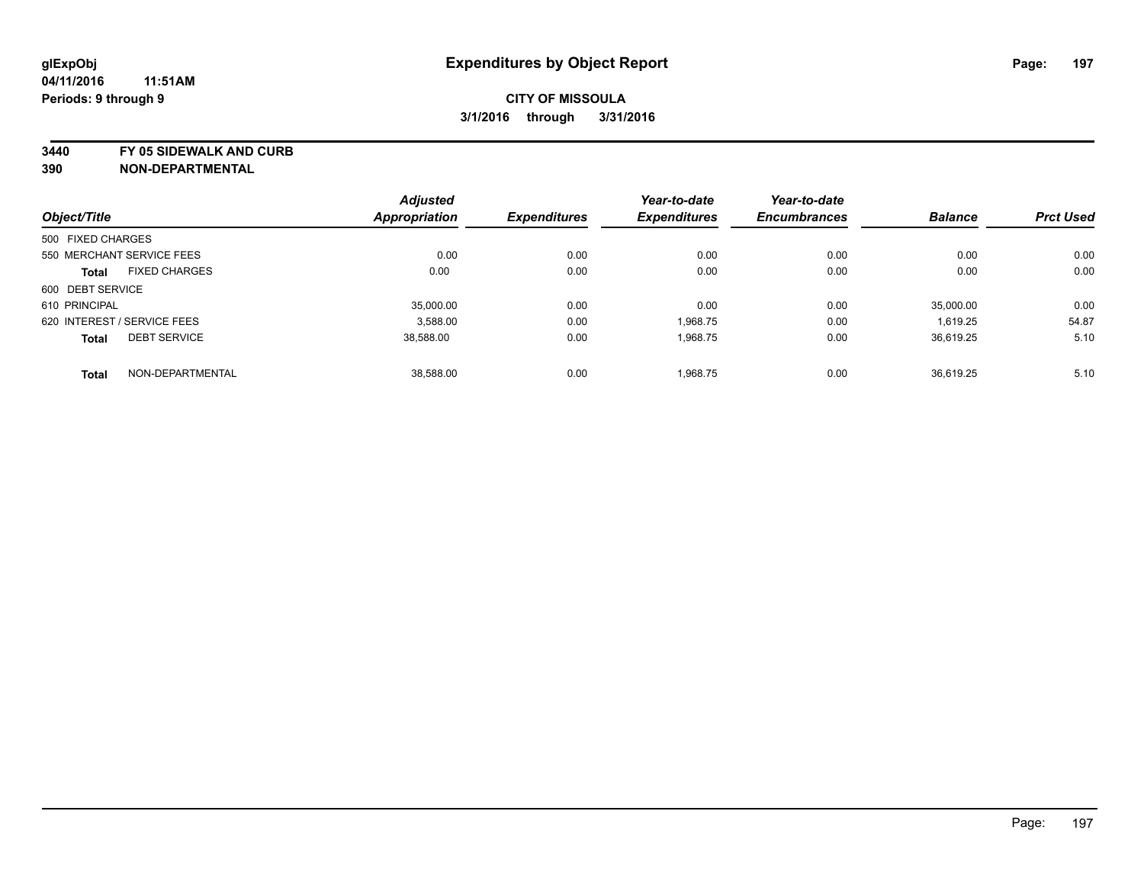**3440 FY 05 SIDEWALK AND CURB**

| Object/Title      |                             | <b>Adjusted</b>      | <b>Expenditures</b> | Year-to-date        | Year-to-date        | <b>Balance</b> | <b>Prct Used</b> |
|-------------------|-----------------------------|----------------------|---------------------|---------------------|---------------------|----------------|------------------|
|                   |                             | <b>Appropriation</b> |                     | <b>Expenditures</b> | <b>Encumbrances</b> |                |                  |
| 500 FIXED CHARGES |                             |                      |                     |                     |                     |                |                  |
|                   | 550 MERCHANT SERVICE FEES   | 0.00                 | 0.00                | 0.00                | 0.00                | 0.00           | 0.00             |
| <b>Total</b>      | <b>FIXED CHARGES</b>        | 0.00                 | 0.00                | 0.00                | 0.00                | 0.00           | 0.00             |
| 600 DEBT SERVICE  |                             |                      |                     |                     |                     |                |                  |
| 610 PRINCIPAL     |                             | 35,000.00            | 0.00                | 0.00                | 0.00                | 35.000.00      | 0.00             |
|                   | 620 INTEREST / SERVICE FEES | 3.588.00             | 0.00                | 1.968.75            | 0.00                | 1,619.25       | 54.87            |
| <b>Total</b>      | <b>DEBT SERVICE</b>         | 38,588.00            | 0.00                | 1,968.75            | 0.00                | 36,619.25      | 5.10             |
| <b>Total</b>      | NON-DEPARTMENTAL            | 38.588.00            | 0.00                | 1,968.75            | 0.00                | 36.619.25      | 5.10             |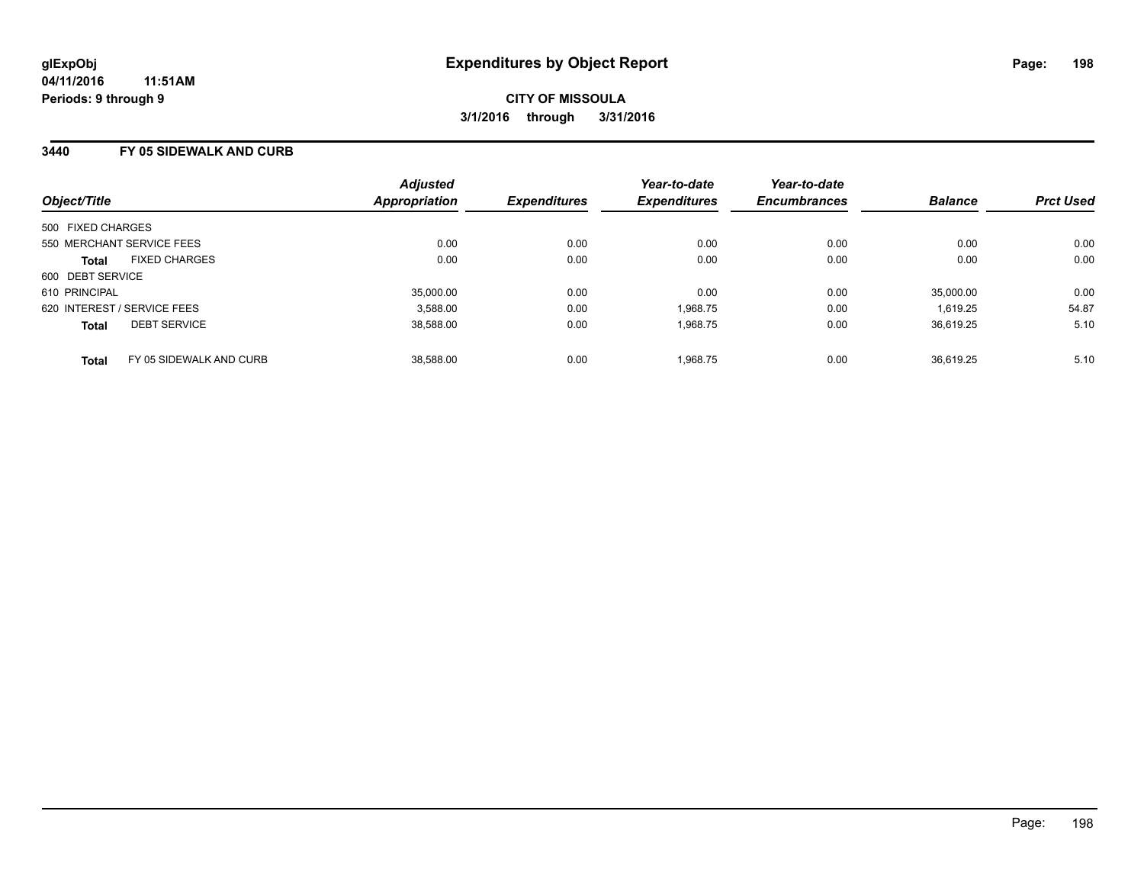#### **3440 FY 05 SIDEWALK AND CURB**

| Object/Title                |                         | <b>Adjusted</b><br>Appropriation | <b>Expenditures</b> | Year-to-date<br><b>Expenditures</b> | Year-to-date<br><b>Encumbrances</b> | <b>Balance</b> | <b>Prct Used</b> |
|-----------------------------|-------------------------|----------------------------------|---------------------|-------------------------------------|-------------------------------------|----------------|------------------|
| 500 FIXED CHARGES           |                         |                                  |                     |                                     |                                     |                |                  |
|                             |                         |                                  |                     |                                     |                                     |                |                  |
| 550 MERCHANT SERVICE FEES   |                         | 0.00                             | 0.00                | 0.00                                | 0.00                                | 0.00           | 0.00             |
| <b>Total</b>                | <b>FIXED CHARGES</b>    | 0.00                             | 0.00                | 0.00                                | 0.00                                | 0.00           | 0.00             |
| 600 DEBT SERVICE            |                         |                                  |                     |                                     |                                     |                |                  |
| 610 PRINCIPAL               |                         | 35,000.00                        | 0.00                | 0.00                                | 0.00                                | 35,000.00      | 0.00             |
| 620 INTEREST / SERVICE FEES |                         | 3,588.00                         | 0.00                | 1,968.75                            | 0.00                                | 1.619.25       | 54.87            |
| <b>Total</b>                | <b>DEBT SERVICE</b>     | 38,588.00                        | 0.00                | 1,968.75                            | 0.00                                | 36.619.25      | 5.10             |
| <b>Total</b>                | FY 05 SIDEWALK AND CURB | 38.588.00                        | 0.00                | 1.968.75                            | 0.00                                | 36.619.25      | 5.10             |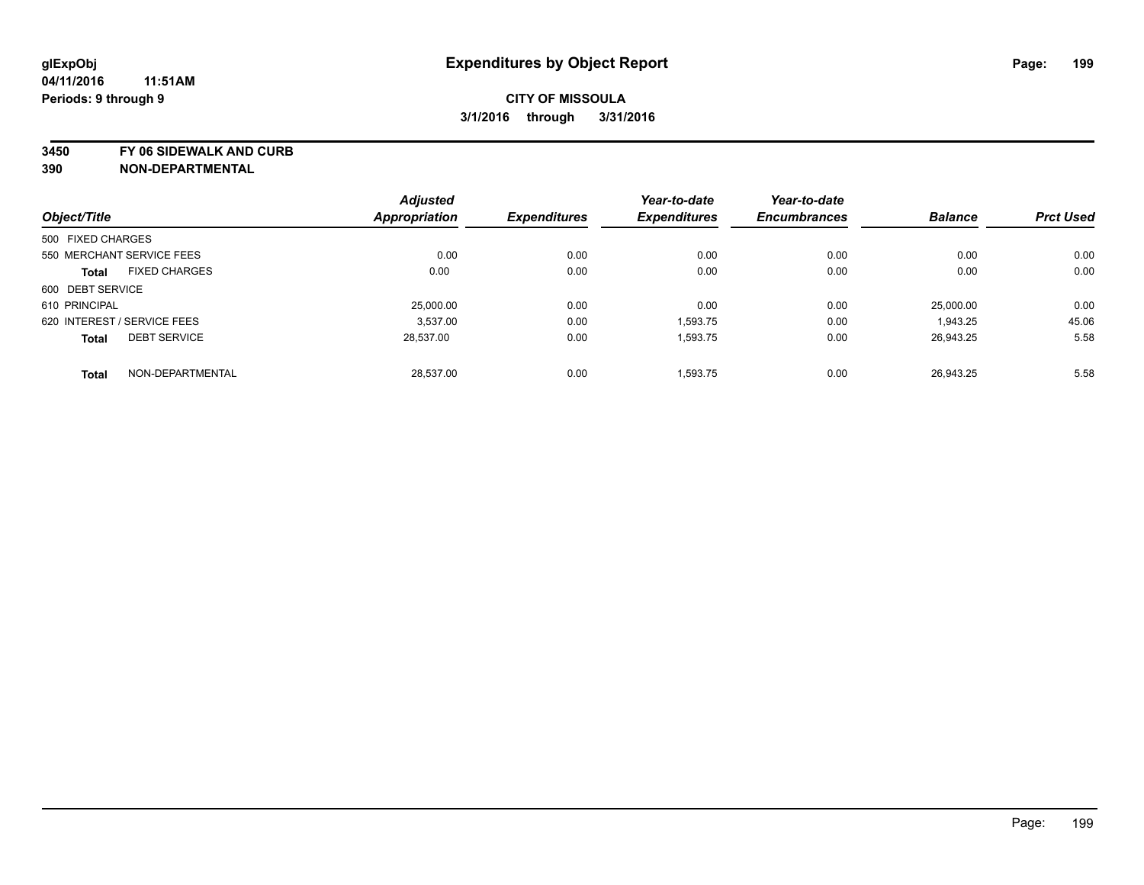**3450 FY 06 SIDEWALK AND CURB**

|                   |                             | <b>Adjusted</b>      |                     | Year-to-date        | Year-to-date        |                |                  |
|-------------------|-----------------------------|----------------------|---------------------|---------------------|---------------------|----------------|------------------|
| Object/Title      |                             | <b>Appropriation</b> | <b>Expenditures</b> | <b>Expenditures</b> | <b>Encumbrances</b> | <b>Balance</b> | <b>Prct Used</b> |
| 500 FIXED CHARGES |                             |                      |                     |                     |                     |                |                  |
|                   | 550 MERCHANT SERVICE FEES   | 0.00                 | 0.00                | 0.00                | 0.00                | 0.00           | 0.00             |
| <b>Total</b>      | <b>FIXED CHARGES</b>        | 0.00                 | 0.00                | 0.00                | 0.00                | 0.00           | 0.00             |
| 600 DEBT SERVICE  |                             |                      |                     |                     |                     |                |                  |
| 610 PRINCIPAL     |                             | 25,000.00            | 0.00                | 0.00                | 0.00                | 25.000.00      | 0.00             |
|                   | 620 INTEREST / SERVICE FEES | 3.537.00             | 0.00                | 1.593.75            | 0.00                | 1,943.25       | 45.06            |
| <b>Total</b>      | <b>DEBT SERVICE</b>         | 28,537.00            | 0.00                | 1,593.75            | 0.00                | 26,943.25      | 5.58             |
| <b>Total</b>      | NON-DEPARTMENTAL            | 28.537.00            | 0.00                | 1,593.75            | 0.00                | 26.943.25      | 5.58             |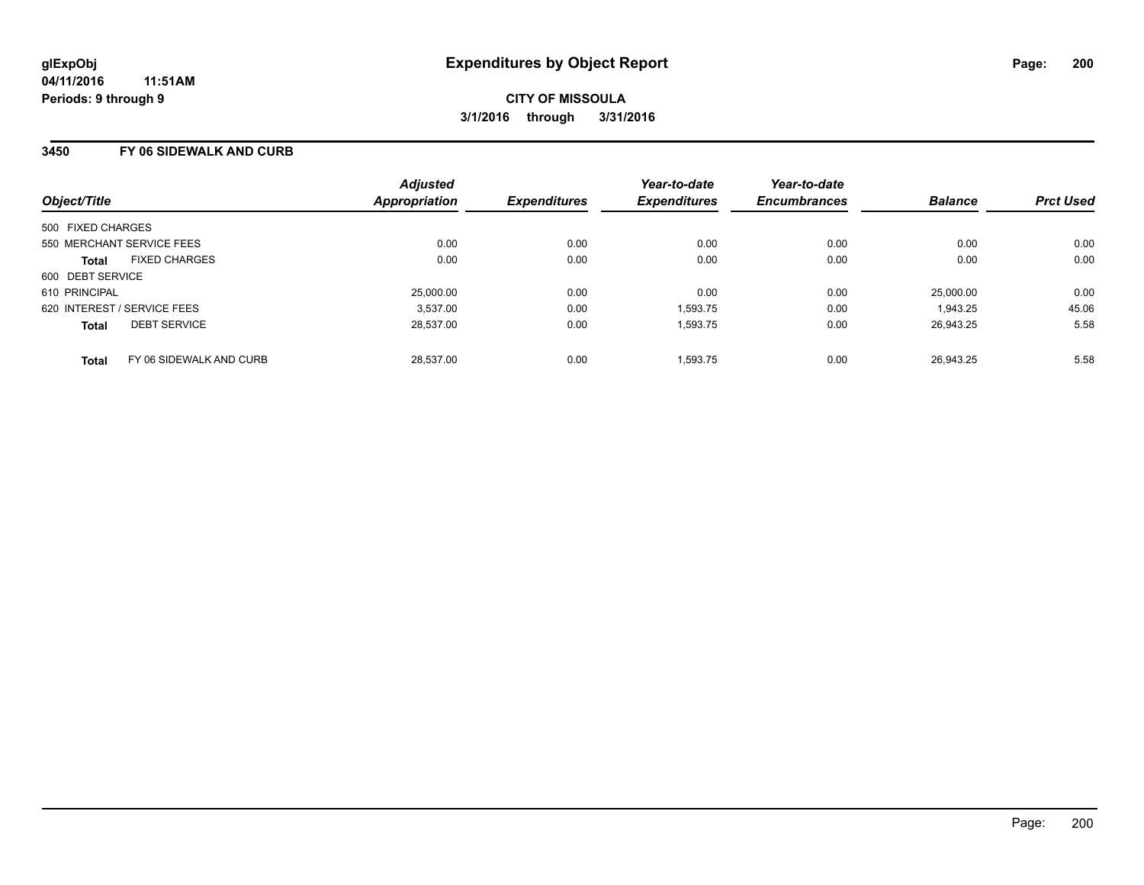#### **3450 FY 06 SIDEWALK AND CURB**

| Object/Title                            | <b>Adjusted</b><br>Appropriation | <b>Expenditures</b> | Year-to-date<br><b>Expenditures</b> | Year-to-date<br><b>Encumbrances</b> | <b>Balance</b> | <b>Prct Used</b> |
|-----------------------------------------|----------------------------------|---------------------|-------------------------------------|-------------------------------------|----------------|------------------|
| 500 FIXED CHARGES                       |                                  |                     |                                     |                                     |                |                  |
| 550 MERCHANT SERVICE FEES               | 0.00                             | 0.00                | 0.00                                | 0.00                                | 0.00           | 0.00             |
| <b>FIXED CHARGES</b><br><b>Total</b>    | 0.00                             | 0.00                | 0.00                                | 0.00                                | 0.00           | 0.00             |
| 600 DEBT SERVICE                        |                                  |                     |                                     |                                     |                |                  |
| 610 PRINCIPAL                           | 25,000.00                        | 0.00                | 0.00                                | 0.00                                | 25,000.00      | 0.00             |
| 620 INTEREST / SERVICE FEES             | 3,537.00                         | 0.00                | 1,593.75                            | 0.00                                | 1.943.25       | 45.06            |
| <b>DEBT SERVICE</b><br><b>Total</b>     | 28.537.00                        | 0.00                | 1,593.75                            | 0.00                                | 26,943.25      | 5.58             |
| FY 06 SIDEWALK AND CURB<br><b>Total</b> | 28.537.00                        | 0.00                | 1.593.75                            | 0.00                                | 26.943.25      | 5.58             |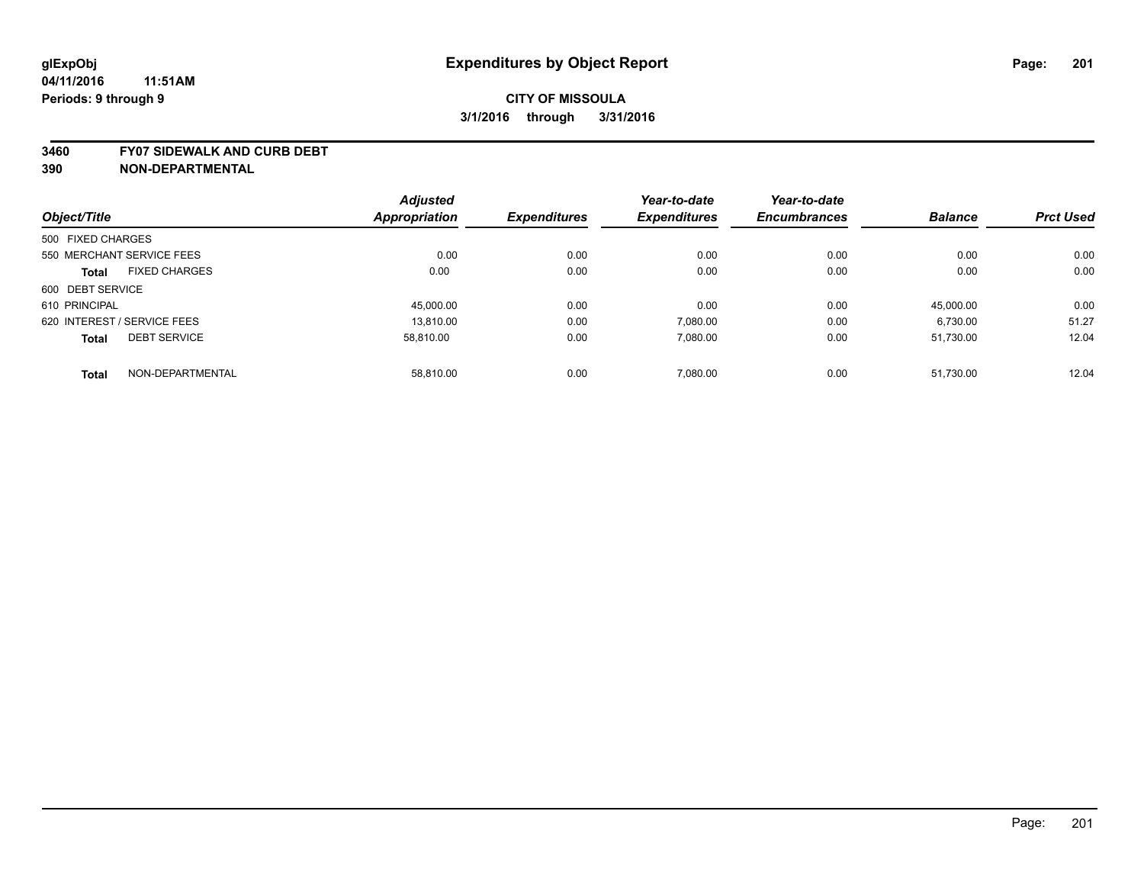#### **3460 FY07 SIDEWALK AND CURB DEBT**

|                                      | <b>Adjusted</b> |                     | Year-to-date        | Year-to-date        |                |                  |
|--------------------------------------|-----------------|---------------------|---------------------|---------------------|----------------|------------------|
| Object/Title                         | Appropriation   | <b>Expenditures</b> | <b>Expenditures</b> | <b>Encumbrances</b> | <b>Balance</b> | <b>Prct Used</b> |
| 500 FIXED CHARGES                    |                 |                     |                     |                     |                |                  |
| 550 MERCHANT SERVICE FEES            | 0.00            | 0.00                | 0.00                | 0.00                | 0.00           | 0.00             |
| <b>FIXED CHARGES</b><br><b>Total</b> | 0.00            | 0.00                | 0.00                | 0.00                | 0.00           | 0.00             |
| 600 DEBT SERVICE                     |                 |                     |                     |                     |                |                  |
| 610 PRINCIPAL                        | 45,000.00       | 0.00                | 0.00                | 0.00                | 45.000.00      | 0.00             |
| 620 INTEREST / SERVICE FEES          | 13.810.00       | 0.00                | 7.080.00            | 0.00                | 6.730.00       | 51.27            |
| <b>DEBT SERVICE</b><br><b>Total</b>  | 58.810.00       | 0.00                | 7.080.00            | 0.00                | 51,730.00      | 12.04            |
| NON-DEPARTMENTAL<br><b>Total</b>     | 58.810.00       | 0.00                | 7.080.00            | 0.00                | 51.730.00      | 12.04            |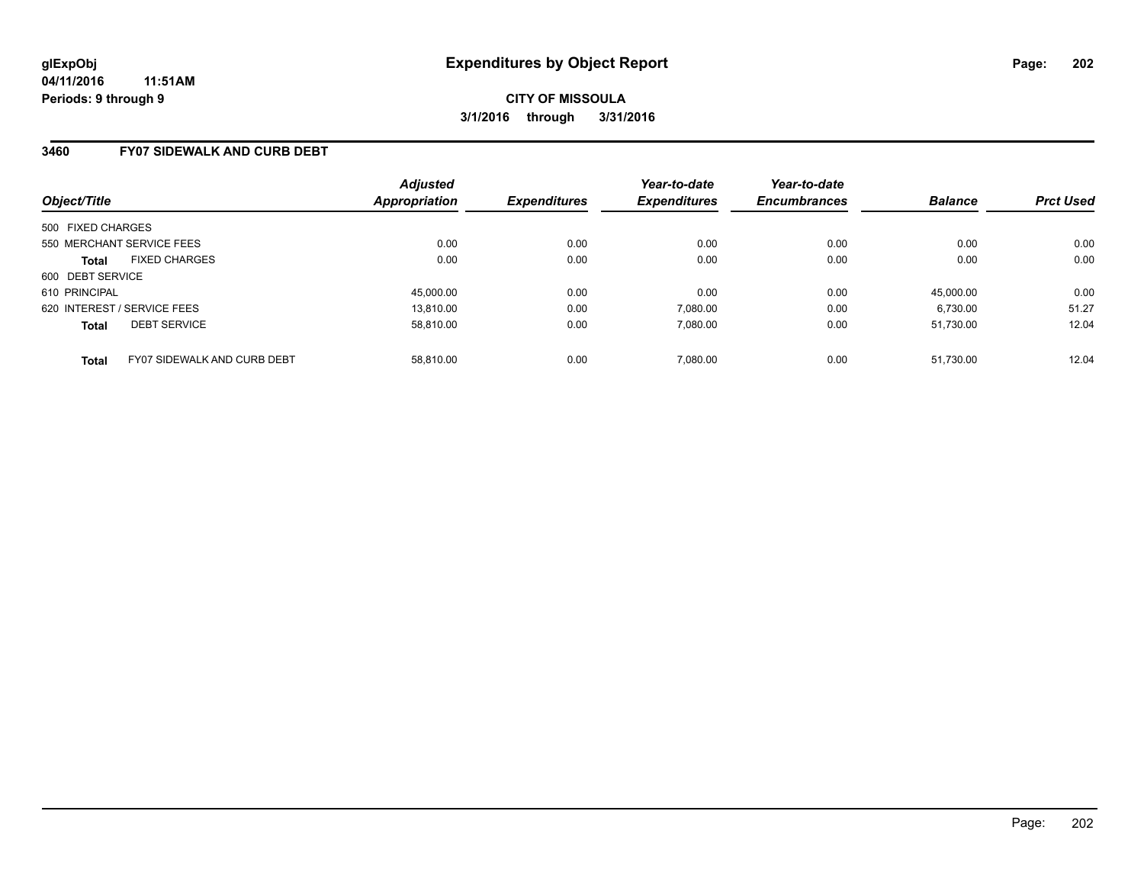### **3460 FY07 SIDEWALK AND CURB DEBT**

| Object/Title                                | <b>Adjusted</b><br>Appropriation | <b>Expenditures</b> | Year-to-date<br><b>Expenditures</b> | Year-to-date<br><b>Encumbrances</b> | <b>Balance</b> | <b>Prct Used</b> |
|---------------------------------------------|----------------------------------|---------------------|-------------------------------------|-------------------------------------|----------------|------------------|
| 500 FIXED CHARGES                           |                                  |                     |                                     |                                     |                |                  |
| 550 MERCHANT SERVICE FEES                   | 0.00                             | 0.00                | 0.00                                | 0.00                                | 0.00           | 0.00             |
| <b>FIXED CHARGES</b><br><b>Total</b>        | 0.00                             | 0.00                | 0.00                                | 0.00                                | 0.00           | 0.00             |
| 600 DEBT SERVICE                            |                                  |                     |                                     |                                     |                |                  |
| 610 PRINCIPAL                               | 45,000.00                        | 0.00                | 0.00                                | 0.00                                | 45.000.00      | 0.00             |
| 620 INTEREST / SERVICE FEES                 | 13.810.00                        | 0.00                | 7,080.00                            | 0.00                                | 6,730.00       | 51.27            |
| <b>DEBT SERVICE</b><br><b>Total</b>         | 58.810.00                        | 0.00                | 7.080.00                            | 0.00                                | 51.730.00      | 12.04            |
| FY07 SIDEWALK AND CURB DEBT<br><b>Total</b> | 58.810.00                        | 0.00                | 7.080.00                            | 0.00                                | 51.730.00      | 12.04            |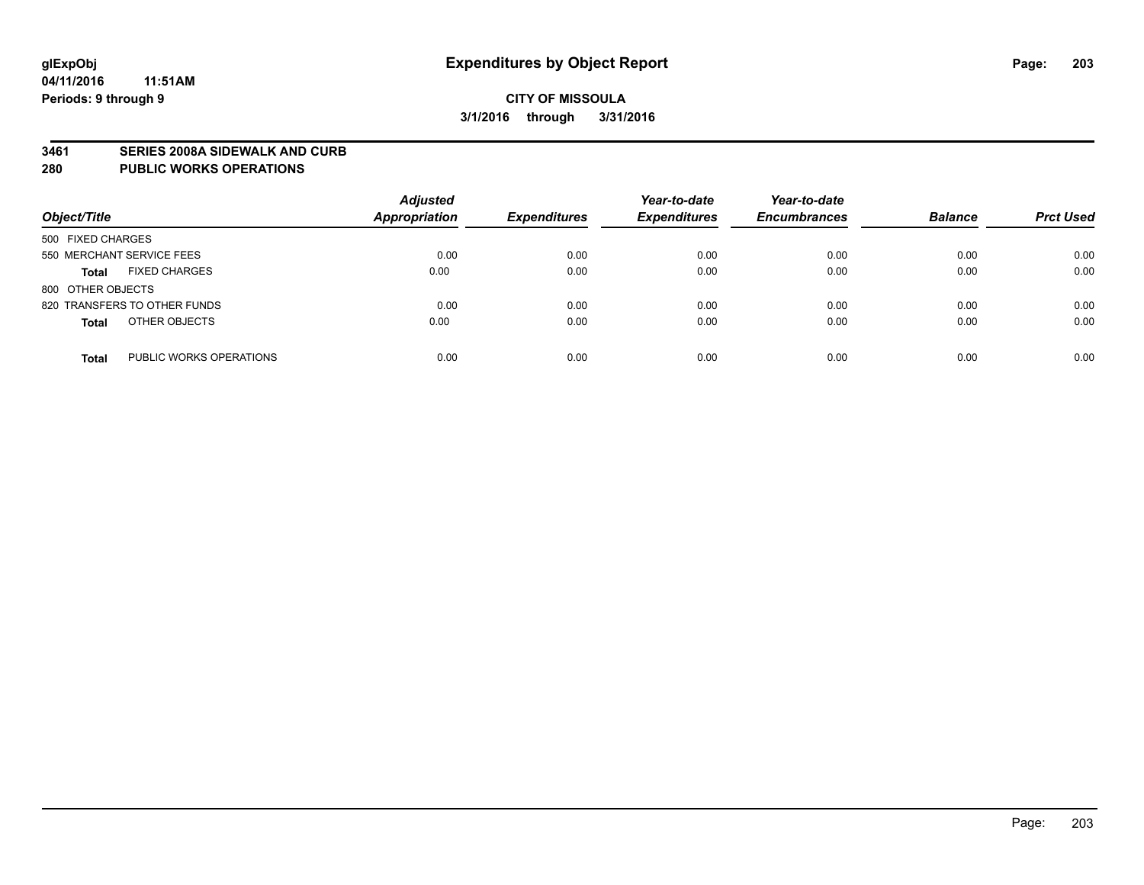#### **3461 SERIES 2008A SIDEWALK AND CURB**

#### **280 PUBLIC WORKS OPERATIONS**

| Object/Title                            | <b>Adjusted</b><br>Appropriation | <b>Expenditures</b> | Year-to-date<br><b>Expenditures</b> | Year-to-date<br><b>Encumbrances</b> | <b>Balance</b> | <b>Prct Used</b> |
|-----------------------------------------|----------------------------------|---------------------|-------------------------------------|-------------------------------------|----------------|------------------|
| 500 FIXED CHARGES                       |                                  |                     |                                     |                                     |                |                  |
| 550 MERCHANT SERVICE FEES               | 0.00                             | 0.00                | 0.00                                | 0.00                                | 0.00           | 0.00             |
| <b>FIXED CHARGES</b><br><b>Total</b>    | 0.00                             | 0.00                | 0.00                                | 0.00                                | 0.00           | 0.00             |
| 800 OTHER OBJECTS                       |                                  |                     |                                     |                                     |                |                  |
| 820 TRANSFERS TO OTHER FUNDS            | 0.00                             | 0.00                | 0.00                                | 0.00                                | 0.00           | 0.00             |
| OTHER OBJECTS<br><b>Total</b>           | 0.00                             | 0.00                | 0.00                                | 0.00                                | 0.00           | 0.00             |
| PUBLIC WORKS OPERATIONS<br><b>Total</b> | 0.00                             | 0.00                | 0.00                                | 0.00                                | 0.00           | 0.00             |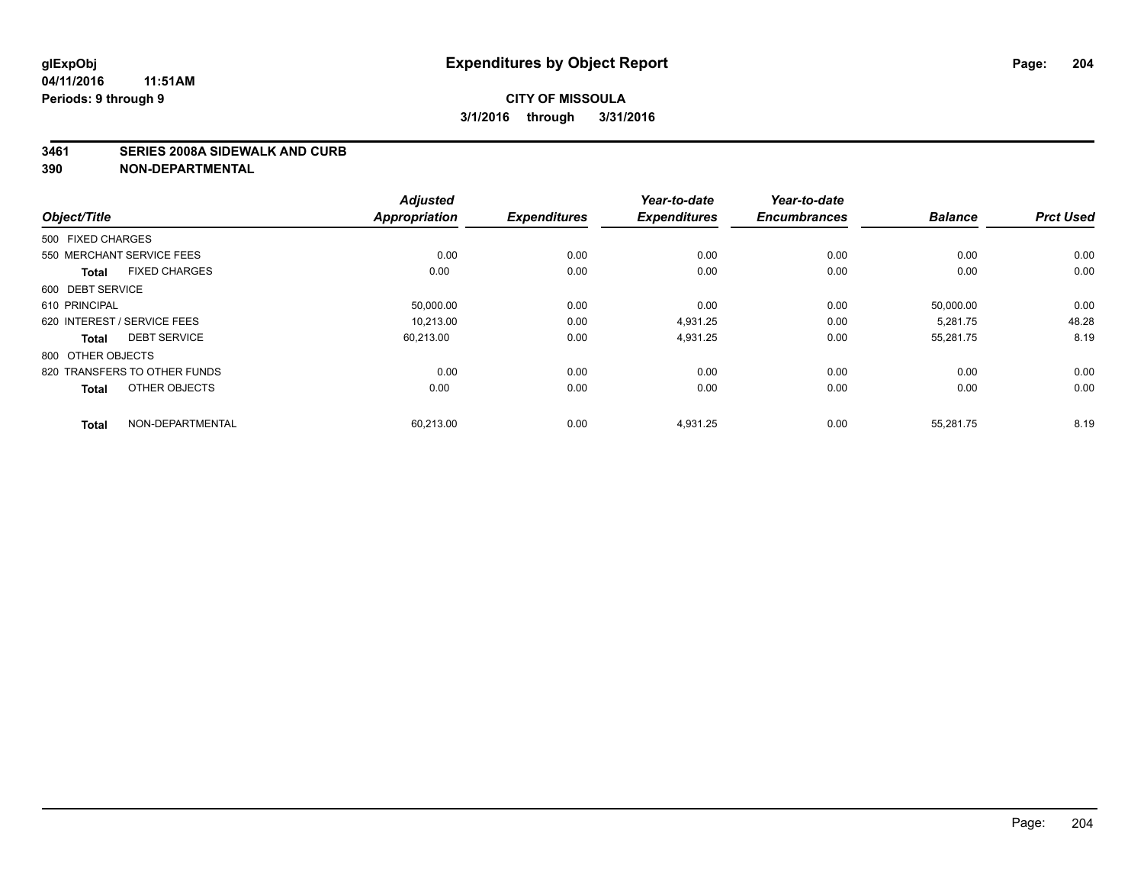#### **3461 SERIES 2008A SIDEWALK AND CURB**

| Object/Title                         | <b>Adjusted</b><br><b>Appropriation</b> | <b>Expenditures</b> | Year-to-date<br><b>Expenditures</b> | Year-to-date<br><b>Encumbrances</b> | <b>Balance</b> | <b>Prct Used</b> |
|--------------------------------------|-----------------------------------------|---------------------|-------------------------------------|-------------------------------------|----------------|------------------|
| 500 FIXED CHARGES                    |                                         |                     |                                     |                                     |                |                  |
|                                      |                                         |                     |                                     |                                     |                |                  |
| 550 MERCHANT SERVICE FEES            | 0.00                                    | 0.00                | 0.00                                | 0.00                                | 0.00           | 0.00             |
| <b>FIXED CHARGES</b><br><b>Total</b> | 0.00                                    | 0.00                | 0.00                                | 0.00                                | 0.00           | 0.00             |
| 600 DEBT SERVICE                     |                                         |                     |                                     |                                     |                |                  |
| 610 PRINCIPAL                        | 50,000.00                               | 0.00                | 0.00                                | 0.00                                | 50,000.00      | 0.00             |
| 620 INTEREST / SERVICE FEES          | 10,213.00                               | 0.00                | 4,931.25                            | 0.00                                | 5,281.75       | 48.28            |
| <b>DEBT SERVICE</b><br><b>Total</b>  | 60,213.00                               | 0.00                | 4,931.25                            | 0.00                                | 55,281.75      | 8.19             |
| 800 OTHER OBJECTS                    |                                         |                     |                                     |                                     |                |                  |
| 820 TRANSFERS TO OTHER FUNDS         | 0.00                                    | 0.00                | 0.00                                | 0.00                                | 0.00           | 0.00             |
| OTHER OBJECTS<br><b>Total</b>        | 0.00                                    | 0.00                | 0.00                                | 0.00                                | 0.00           | 0.00             |
| NON-DEPARTMENTAL<br><b>Total</b>     | 60,213.00                               | 0.00                | 4,931.25                            | 0.00                                | 55,281.75      | 8.19             |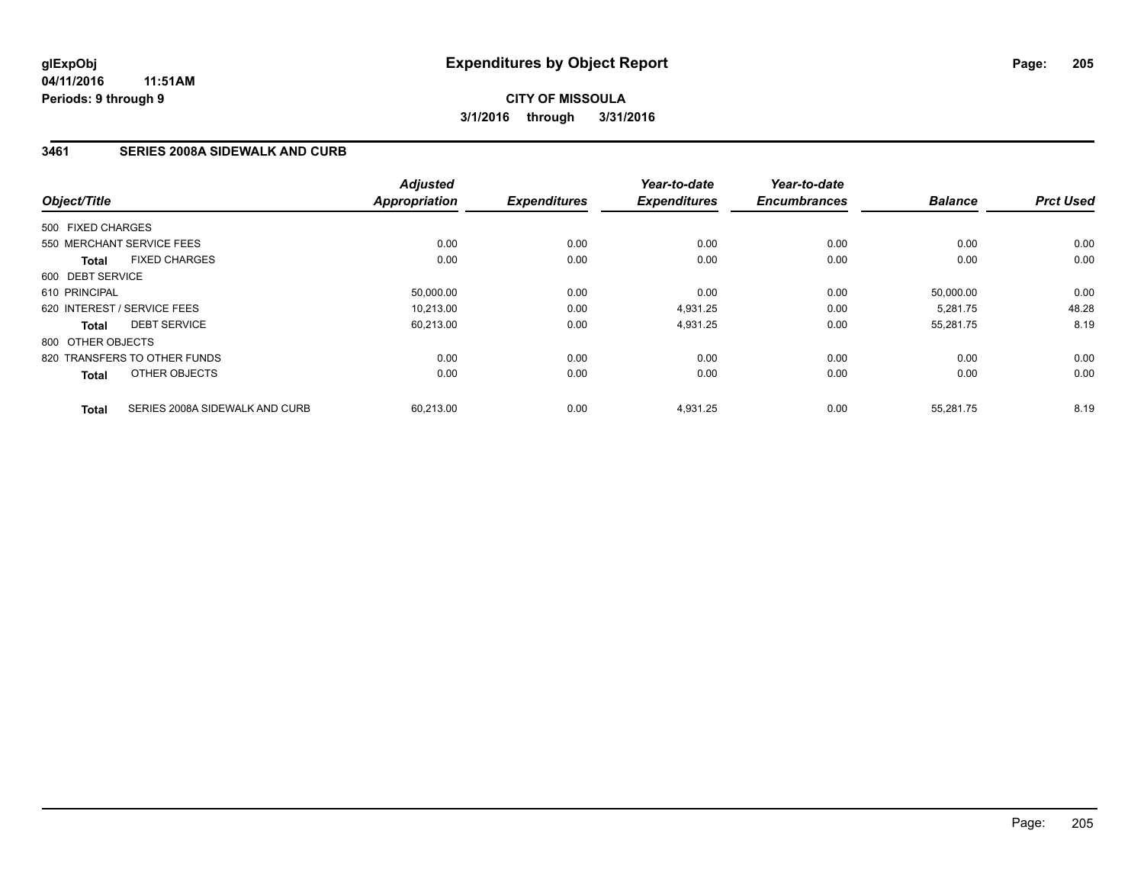### **3461 SERIES 2008A SIDEWALK AND CURB**

| Object/Title                 |                                | <b>Adjusted</b><br><b>Appropriation</b> | <b>Expenditures</b> | Year-to-date<br><b>Expenditures</b> | Year-to-date<br><b>Encumbrances</b> | <b>Balance</b> | <b>Prct Used</b> |
|------------------------------|--------------------------------|-----------------------------------------|---------------------|-------------------------------------|-------------------------------------|----------------|------------------|
|                              |                                |                                         |                     |                                     |                                     |                |                  |
| 500 FIXED CHARGES            |                                |                                         |                     |                                     |                                     |                |                  |
| 550 MERCHANT SERVICE FEES    |                                | 0.00                                    | 0.00                | 0.00                                | 0.00                                | 0.00           | 0.00             |
| <b>Total</b>                 | <b>FIXED CHARGES</b>           | 0.00                                    | 0.00                | 0.00                                | 0.00                                | 0.00           | 0.00             |
| 600 DEBT SERVICE             |                                |                                         |                     |                                     |                                     |                |                  |
| 610 PRINCIPAL                |                                | 50,000.00                               | 0.00                | 0.00                                | 0.00                                | 50.000.00      | 0.00             |
| 620 INTEREST / SERVICE FEES  |                                | 10.213.00                               | 0.00                | 4,931.25                            | 0.00                                | 5,281.75       | 48.28            |
| <b>Total</b>                 | <b>DEBT SERVICE</b>            | 60,213.00                               | 0.00                | 4,931.25                            | 0.00                                | 55,281.75      | 8.19             |
| 800 OTHER OBJECTS            |                                |                                         |                     |                                     |                                     |                |                  |
| 820 TRANSFERS TO OTHER FUNDS |                                | 0.00                                    | 0.00                | 0.00                                | 0.00                                | 0.00           | 0.00             |
| <b>Total</b>                 | OTHER OBJECTS                  | 0.00                                    | 0.00                | 0.00                                | 0.00                                | 0.00           | 0.00             |
| <b>Total</b>                 | SERIES 2008A SIDEWALK AND CURB | 60.213.00                               | 0.00                | 4,931.25                            | 0.00                                | 55,281.75      | 8.19             |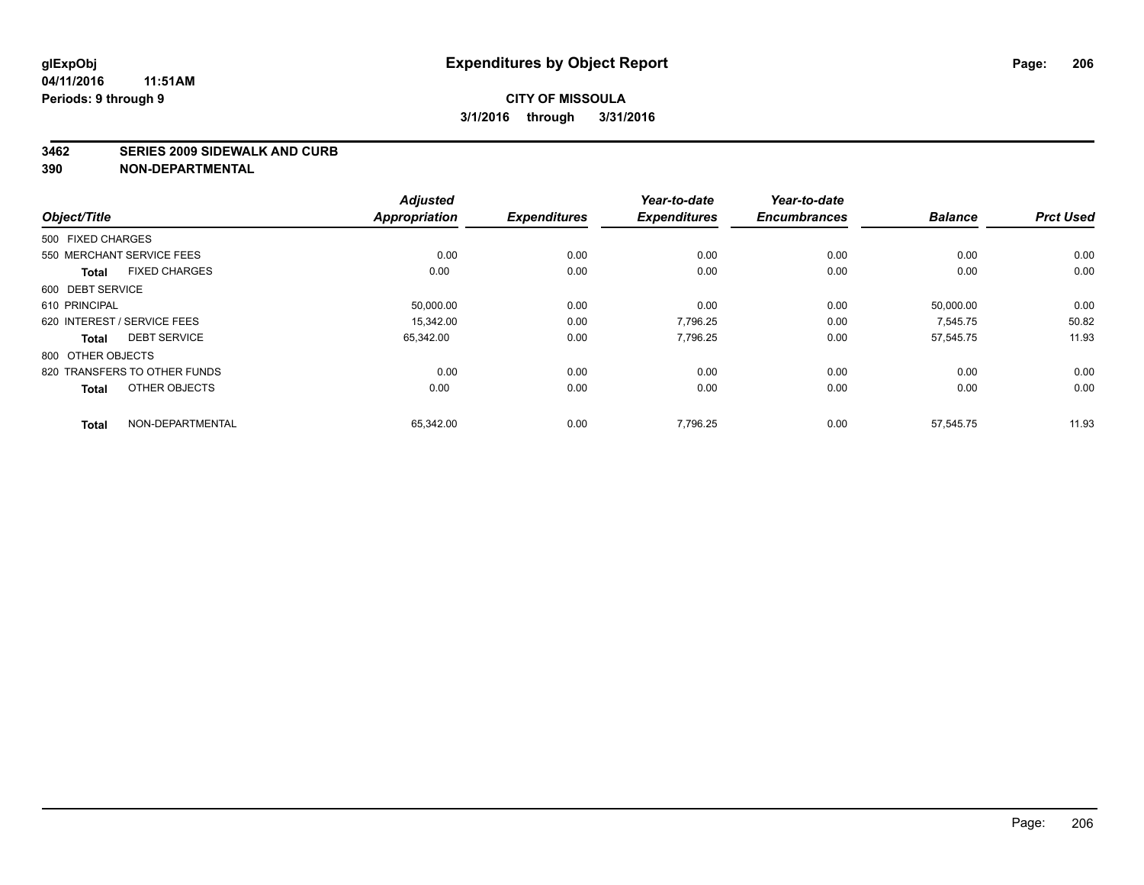#### **3462 SERIES 2009 SIDEWALK AND CURB**

|                                      | <b>Adjusted</b>      |                     | Year-to-date        | Year-to-date        |                |                  |
|--------------------------------------|----------------------|---------------------|---------------------|---------------------|----------------|------------------|
| Object/Title                         | <b>Appropriation</b> | <b>Expenditures</b> | <b>Expenditures</b> | <b>Encumbrances</b> | <b>Balance</b> | <b>Prct Used</b> |
| 500 FIXED CHARGES                    |                      |                     |                     |                     |                |                  |
| 550 MERCHANT SERVICE FEES            | 0.00                 | 0.00                | 0.00                | 0.00                | 0.00           | 0.00             |
| <b>FIXED CHARGES</b><br><b>Total</b> | 0.00                 | 0.00                | 0.00                | 0.00                | 0.00           | 0.00             |
| 600 DEBT SERVICE                     |                      |                     |                     |                     |                |                  |
| 610 PRINCIPAL                        | 50,000.00            | 0.00                | 0.00                | 0.00                | 50,000.00      | 0.00             |
| 620 INTEREST / SERVICE FEES          | 15.342.00            | 0.00                | 7.796.25            | 0.00                | 7.545.75       | 50.82            |
| <b>DEBT SERVICE</b><br><b>Total</b>  | 65,342.00            | 0.00                | 7,796.25            | 0.00                | 57,545.75      | 11.93            |
| 800 OTHER OBJECTS                    |                      |                     |                     |                     |                |                  |
| 820 TRANSFERS TO OTHER FUNDS         | 0.00                 | 0.00                | 0.00                | 0.00                | 0.00           | 0.00             |
| OTHER OBJECTS<br><b>Total</b>        | 0.00                 | 0.00                | 0.00                | 0.00                | 0.00           | 0.00             |
|                                      |                      |                     |                     |                     |                |                  |
| NON-DEPARTMENTAL<br><b>Total</b>     | 65,342.00            | 0.00                | 7,796.25            | 0.00                | 57,545.75      | 11.93            |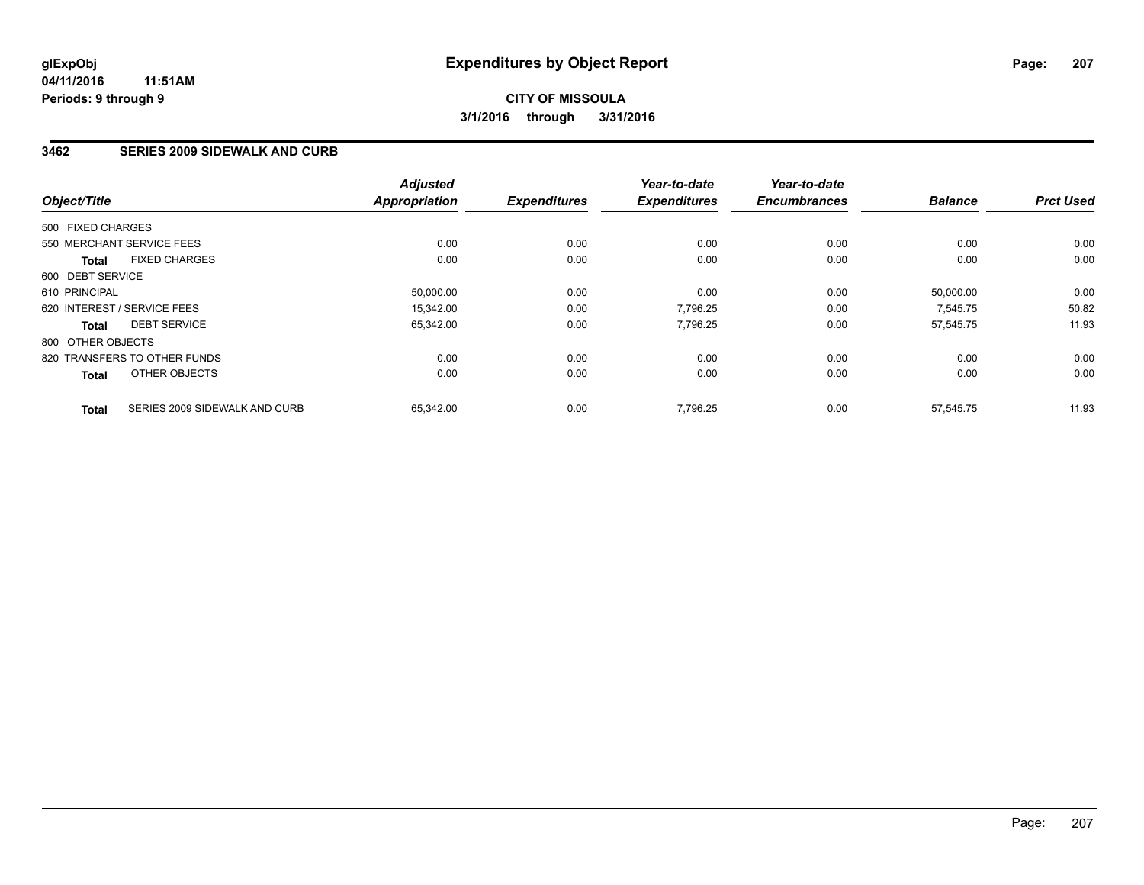### **3462 SERIES 2009 SIDEWALK AND CURB**

| Object/Title                                  | <b>Adjusted</b><br><b>Appropriation</b> | <b>Expenditures</b> | Year-to-date<br><b>Expenditures</b> | Year-to-date<br><b>Encumbrances</b> | <b>Balance</b> | <b>Prct Used</b> |
|-----------------------------------------------|-----------------------------------------|---------------------|-------------------------------------|-------------------------------------|----------------|------------------|
| 500 FIXED CHARGES                             |                                         |                     |                                     |                                     |                |                  |
| 550 MERCHANT SERVICE FEES                     | 0.00                                    | 0.00                | 0.00                                | 0.00                                | 0.00           | 0.00             |
| <b>FIXED CHARGES</b><br><b>Total</b>          | 0.00                                    | 0.00                | 0.00                                | 0.00                                | 0.00           | 0.00             |
| 600 DEBT SERVICE                              |                                         |                     |                                     |                                     |                |                  |
| 610 PRINCIPAL                                 | 50,000.00                               | 0.00                | 0.00                                | 0.00                                | 50,000.00      | 0.00             |
| 620 INTEREST / SERVICE FEES                   | 15.342.00                               | 0.00                | 7,796.25                            | 0.00                                | 7,545.75       | 50.82            |
| <b>DEBT SERVICE</b><br><b>Total</b>           | 65,342.00                               | 0.00                | 7,796.25                            | 0.00                                | 57,545.75      | 11.93            |
| 800 OTHER OBJECTS                             |                                         |                     |                                     |                                     |                |                  |
| 820 TRANSFERS TO OTHER FUNDS                  | 0.00                                    | 0.00                | 0.00                                | 0.00                                | 0.00           | 0.00             |
| OTHER OBJECTS<br><b>Total</b>                 | 0.00                                    | 0.00                | 0.00                                | 0.00                                | 0.00           | 0.00             |
| SERIES 2009 SIDEWALK AND CURB<br><b>Total</b> | 65,342.00                               | 0.00                | 7,796.25                            | 0.00                                | 57,545.75      | 11.93            |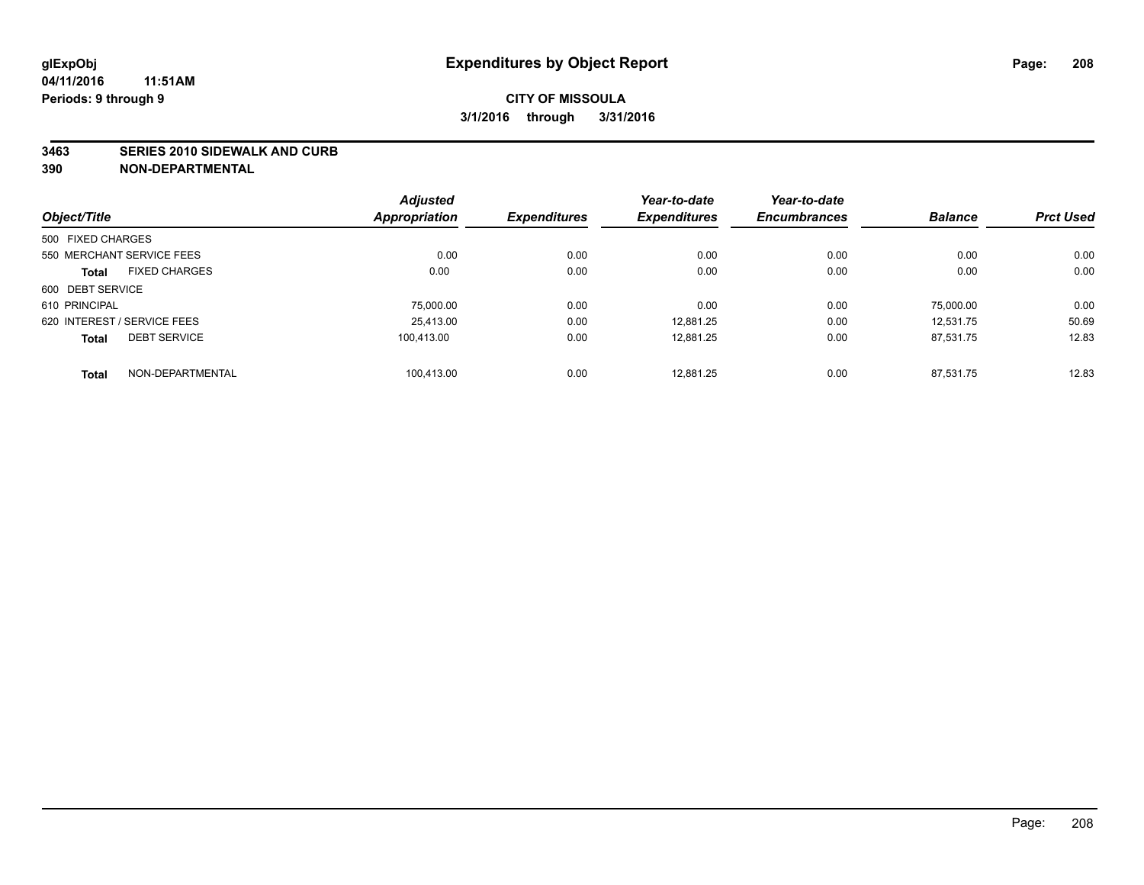#### **3463 SERIES 2010 SIDEWALK AND CURB**

|                                      | <b>Adjusted</b>      |                     | Year-to-date        | Year-to-date        |                |                  |
|--------------------------------------|----------------------|---------------------|---------------------|---------------------|----------------|------------------|
| Object/Title                         | <b>Appropriation</b> | <b>Expenditures</b> | <b>Expenditures</b> | <b>Encumbrances</b> | <b>Balance</b> | <b>Prct Used</b> |
| 500 FIXED CHARGES                    |                      |                     |                     |                     |                |                  |
| 550 MERCHANT SERVICE FEES            | 0.00                 | 0.00                | 0.00                | 0.00                | 0.00           | 0.00             |
| <b>FIXED CHARGES</b><br><b>Total</b> | 0.00                 | 0.00                | 0.00                | 0.00                | 0.00           | 0.00             |
| 600 DEBT SERVICE                     |                      |                     |                     |                     |                |                  |
| 610 PRINCIPAL                        | 75.000.00            | 0.00                | 0.00                | 0.00                | 75.000.00      | 0.00             |
| 620 INTEREST / SERVICE FEES          | 25.413.00            | 0.00                | 12,881.25           | 0.00                | 12.531.75      | 50.69            |
| <b>DEBT SERVICE</b><br><b>Total</b>  | 100.413.00           | 0.00                | 12,881.25           | 0.00                | 87,531.75      | 12.83            |
| NON-DEPARTMENTAL<br><b>Total</b>     | 100.413.00           | 0.00                | 12.881.25           | 0.00                | 87.531.75      | 12.83            |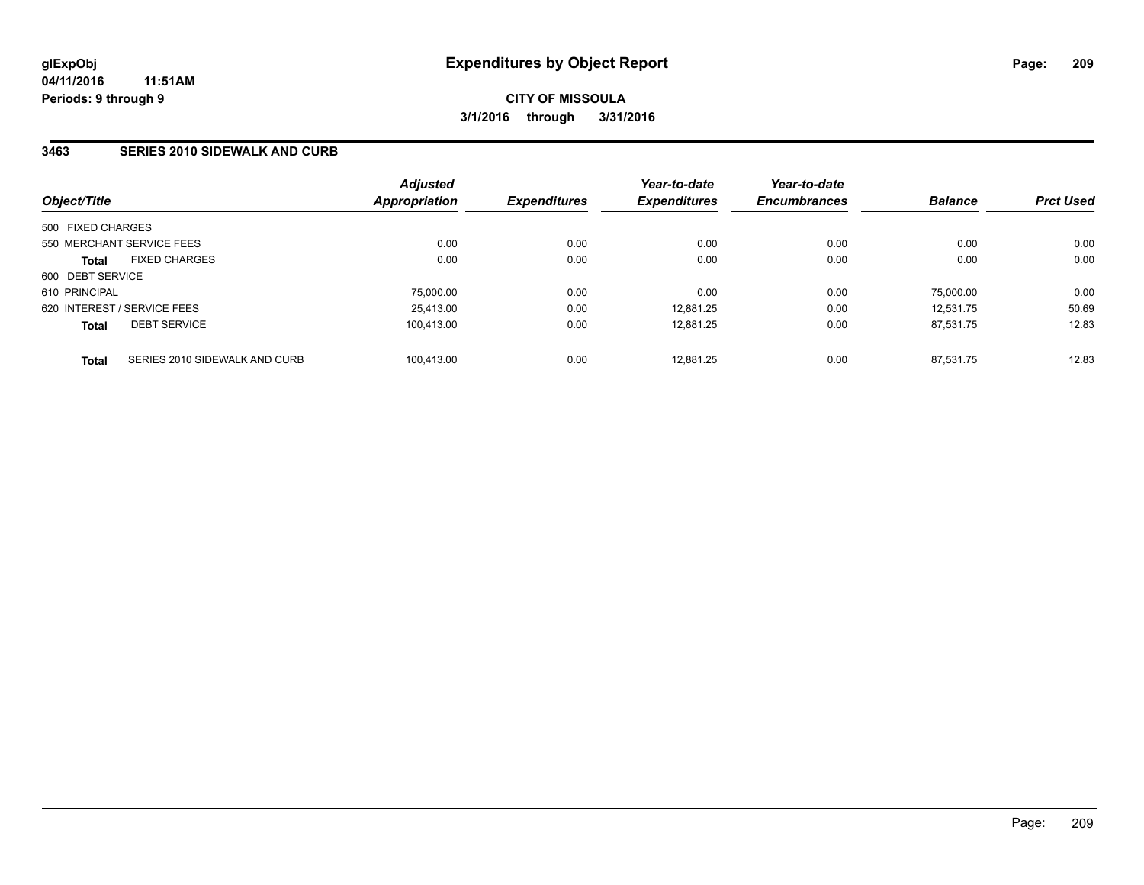## **3463 SERIES 2010 SIDEWALK AND CURB**

| Object/Title      |                               | <b>Adjusted</b><br>Appropriation | <b>Expenditures</b> | Year-to-date<br><b>Expenditures</b> | Year-to-date<br><b>Encumbrances</b> | <b>Balance</b> | <b>Prct Used</b> |
|-------------------|-------------------------------|----------------------------------|---------------------|-------------------------------------|-------------------------------------|----------------|------------------|
| 500 FIXED CHARGES |                               |                                  |                     |                                     |                                     |                |                  |
|                   | 550 MERCHANT SERVICE FEES     | 0.00                             | 0.00                | 0.00                                | 0.00                                | 0.00           | 0.00             |
| <b>Total</b>      | <b>FIXED CHARGES</b>          | 0.00                             | 0.00                | 0.00                                | 0.00                                | 0.00           | 0.00             |
| 600 DEBT SERVICE  |                               |                                  |                     |                                     |                                     |                |                  |
| 610 PRINCIPAL     |                               | 75.000.00                        | 0.00                | 0.00                                | 0.00                                | 75.000.00      | 0.00             |
|                   | 620 INTEREST / SERVICE FEES   | 25,413.00                        | 0.00                | 12.881.25                           | 0.00                                | 12.531.75      | 50.69            |
| <b>Total</b>      | <b>DEBT SERVICE</b>           | 100.413.00                       | 0.00                | 12.881.25                           | 0.00                                | 87.531.75      | 12.83            |
| <b>Total</b>      | SERIES 2010 SIDEWALK AND CURB | 100.413.00                       | 0.00                | 12.881.25                           | 0.00                                | 87.531.75      | 12.83            |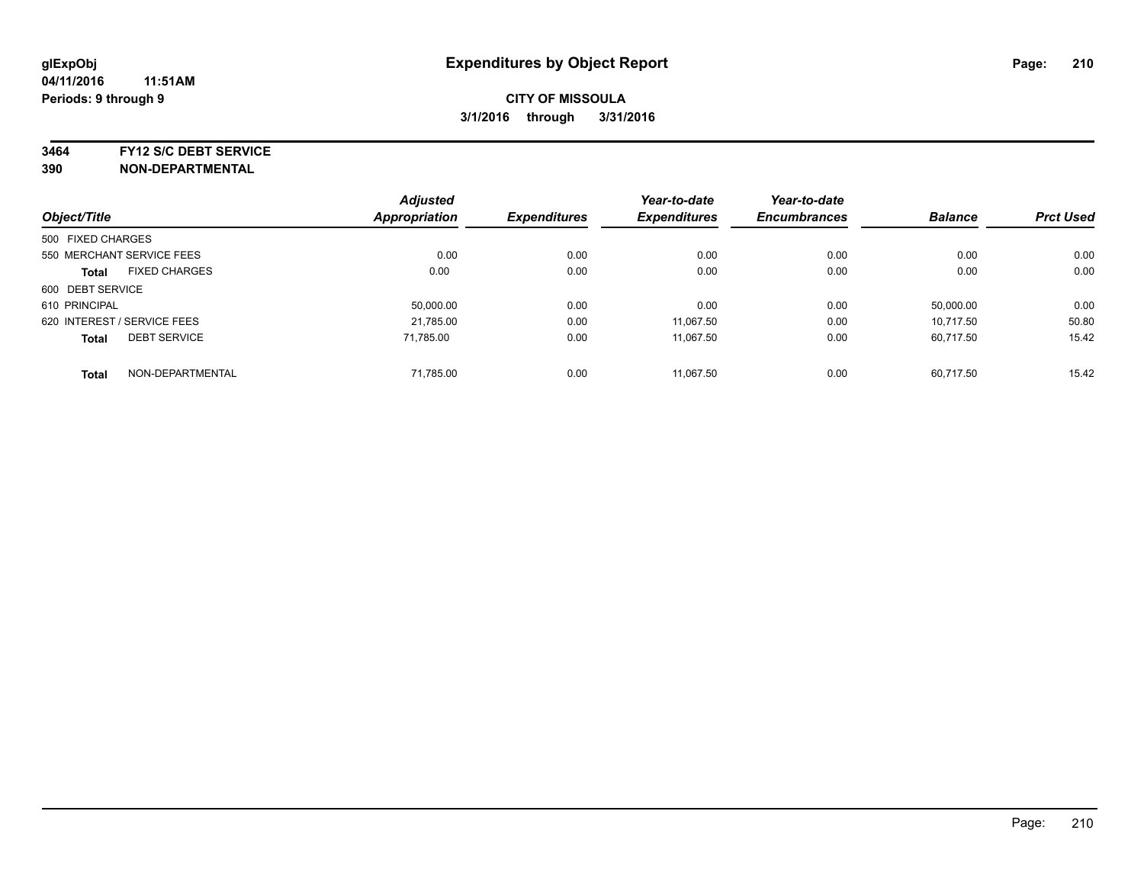**3464 FY12 S/C DEBT SERVICE**

|                   |                             | <b>Adjusted</b>      |                     | Year-to-date        | Year-to-date        |                |                  |
|-------------------|-----------------------------|----------------------|---------------------|---------------------|---------------------|----------------|------------------|
| Object/Title      |                             | <b>Appropriation</b> | <b>Expenditures</b> | <b>Expenditures</b> | <b>Encumbrances</b> | <b>Balance</b> | <b>Prct Used</b> |
| 500 FIXED CHARGES |                             |                      |                     |                     |                     |                |                  |
|                   | 550 MERCHANT SERVICE FEES   | 0.00                 | 0.00                | 0.00                | 0.00                | 0.00           | 0.00             |
| <b>Total</b>      | <b>FIXED CHARGES</b>        | 0.00                 | 0.00                | 0.00                | 0.00                | 0.00           | 0.00             |
| 600 DEBT SERVICE  |                             |                      |                     |                     |                     |                |                  |
| 610 PRINCIPAL     |                             | 50.000.00            | 0.00                | 0.00                | 0.00                | 50.000.00      | 0.00             |
|                   | 620 INTEREST / SERVICE FEES | 21.785.00            | 0.00                | 11.067.50           | 0.00                | 10.717.50      | 50.80            |
| <b>Total</b>      | <b>DEBT SERVICE</b>         | 71.785.00            | 0.00                | 11,067.50           | 0.00                | 60.717.50      | 15.42            |
| <b>Total</b>      | NON-DEPARTMENTAL            | 71,785.00            | 0.00                | 11.067.50           | 0.00                | 60.717.50      | 15.42            |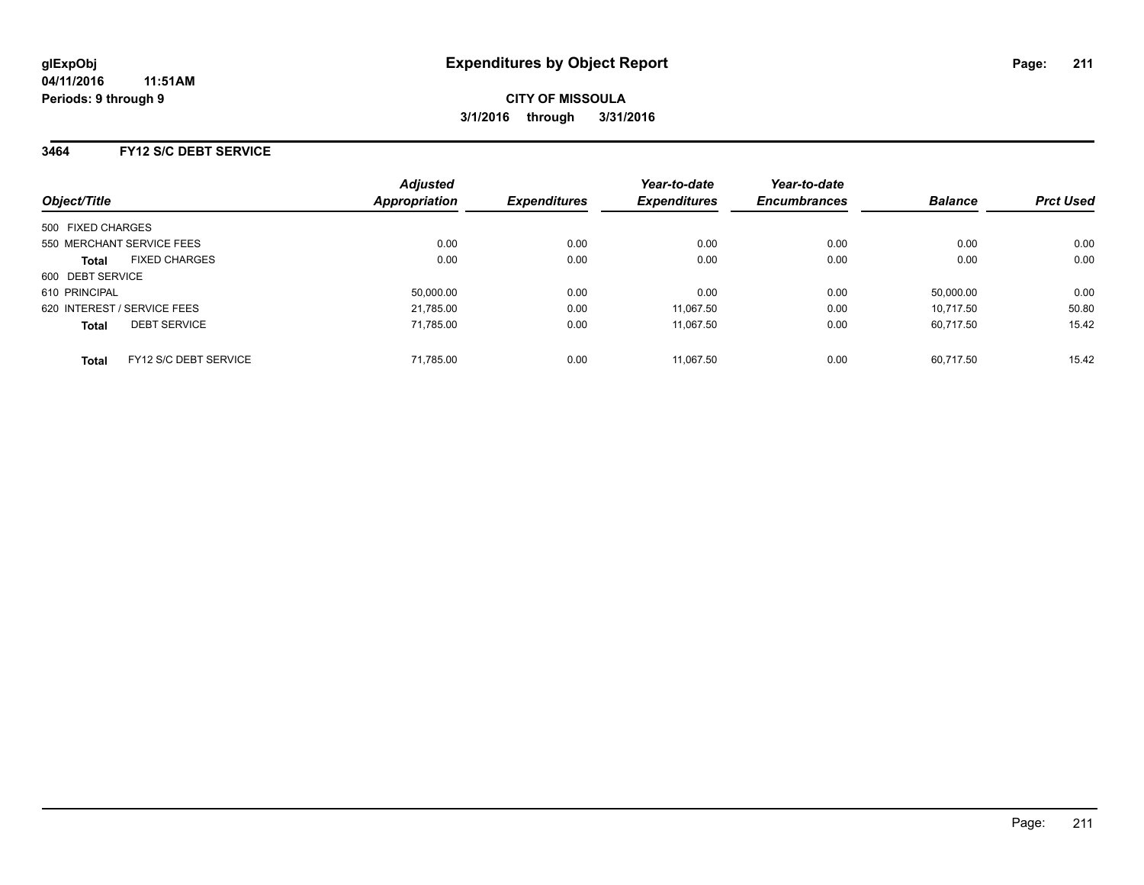### **3464 FY12 S/C DEBT SERVICE**

| Object/Title      |                             | <b>Adjusted</b><br><b>Appropriation</b> | <b>Expenditures</b> | Year-to-date<br><b>Expenditures</b> | Year-to-date<br><b>Encumbrances</b> | <b>Balance</b> | <b>Prct Used</b> |
|-------------------|-----------------------------|-----------------------------------------|---------------------|-------------------------------------|-------------------------------------|----------------|------------------|
|                   |                             |                                         |                     |                                     |                                     |                |                  |
| 500 FIXED CHARGES |                             |                                         |                     |                                     |                                     |                |                  |
|                   | 550 MERCHANT SERVICE FEES   | 0.00                                    | 0.00                | 0.00                                | 0.00                                | 0.00           | 0.00             |
| <b>Total</b>      | <b>FIXED CHARGES</b>        | 0.00                                    | 0.00                | 0.00                                | 0.00                                | 0.00           | 0.00             |
| 600 DEBT SERVICE  |                             |                                         |                     |                                     |                                     |                |                  |
| 610 PRINCIPAL     |                             | 50,000.00                               | 0.00                | 0.00                                | 0.00                                | 50,000.00      | 0.00             |
|                   | 620 INTEREST / SERVICE FEES | 21,785.00                               | 0.00                | 11.067.50                           | 0.00                                | 10.717.50      | 50.80            |
| <b>Total</b>      | <b>DEBT SERVICE</b>         | 71,785.00                               | 0.00                | 11.067.50                           | 0.00                                | 60.717.50      | 15.42            |
| <b>Total</b>      | FY12 S/C DEBT SERVICE       | 71,785.00                               | 0.00                | 11.067.50                           | 0.00                                | 60.717.50      | 15.42            |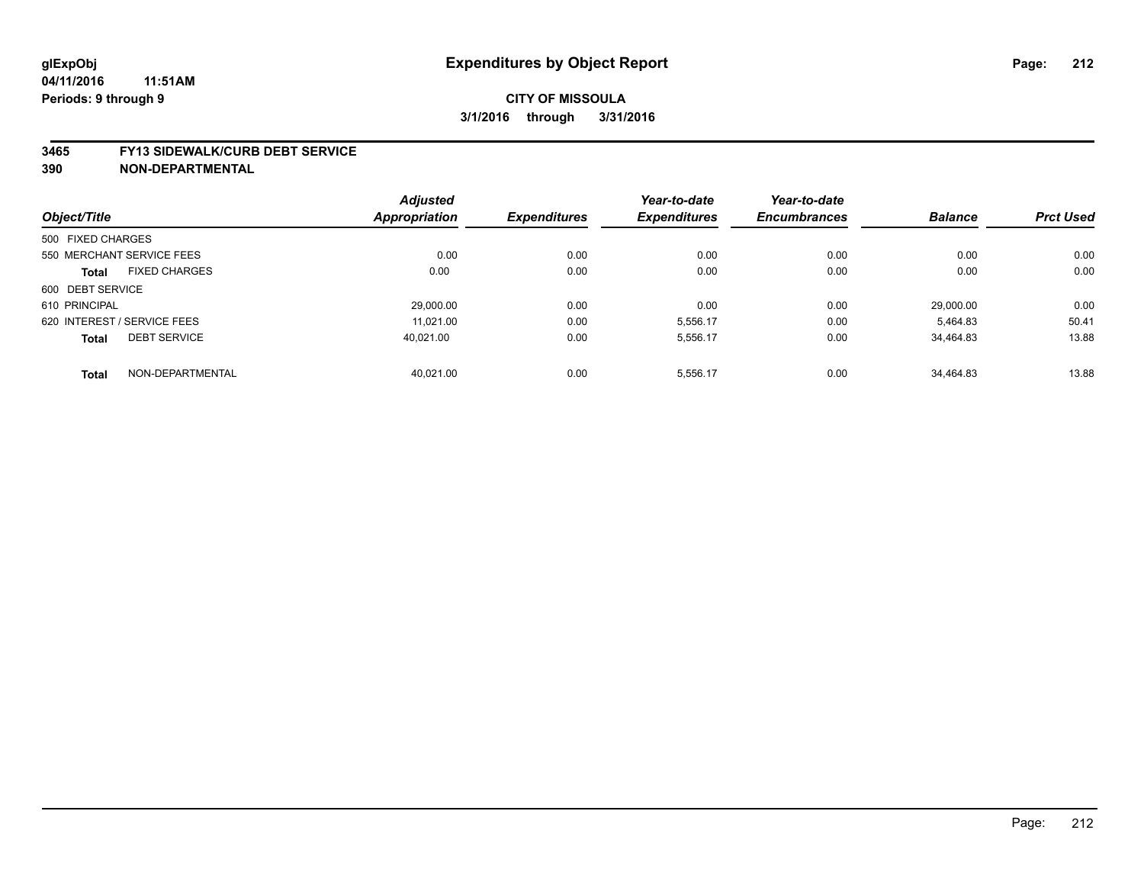#### **04/11/2016 11:51AM Periods: 9 through 9**

## **CITY OF MISSOULA 3/1/2016 through 3/31/2016**

#### **3465 FY13 SIDEWALK/CURB DEBT SERVICE**

|                   |                             | <b>Adjusted</b>      |                     | Year-to-date        | Year-to-date        |                |                  |
|-------------------|-----------------------------|----------------------|---------------------|---------------------|---------------------|----------------|------------------|
| Object/Title      |                             | <b>Appropriation</b> | <b>Expenditures</b> | <b>Expenditures</b> | <b>Encumbrances</b> | <b>Balance</b> | <b>Prct Used</b> |
| 500 FIXED CHARGES |                             |                      |                     |                     |                     |                |                  |
|                   | 550 MERCHANT SERVICE FEES   | 0.00                 | 0.00                | 0.00                | 0.00                | 0.00           | 0.00             |
| <b>Total</b>      | <b>FIXED CHARGES</b>        | 0.00                 | 0.00                | 0.00                | 0.00                | 0.00           | 0.00             |
| 600 DEBT SERVICE  |                             |                      |                     |                     |                     |                |                  |
| 610 PRINCIPAL     |                             | 29,000.00            | 0.00                | 0.00                | 0.00                | 29.000.00      | 0.00             |
|                   | 620 INTEREST / SERVICE FEES | 11.021.00            | 0.00                | 5,556.17            | 0.00                | 5.464.83       | 50.41            |
| <b>Total</b>      | <b>DEBT SERVICE</b>         | 40.021.00            | 0.00                | 5,556.17            | 0.00                | 34.464.83      | 13.88            |
| <b>Total</b>      | NON-DEPARTMENTAL            | 40.021.00            | 0.00                | 5.556.17            | 0.00                | 34.464.83      | 13.88            |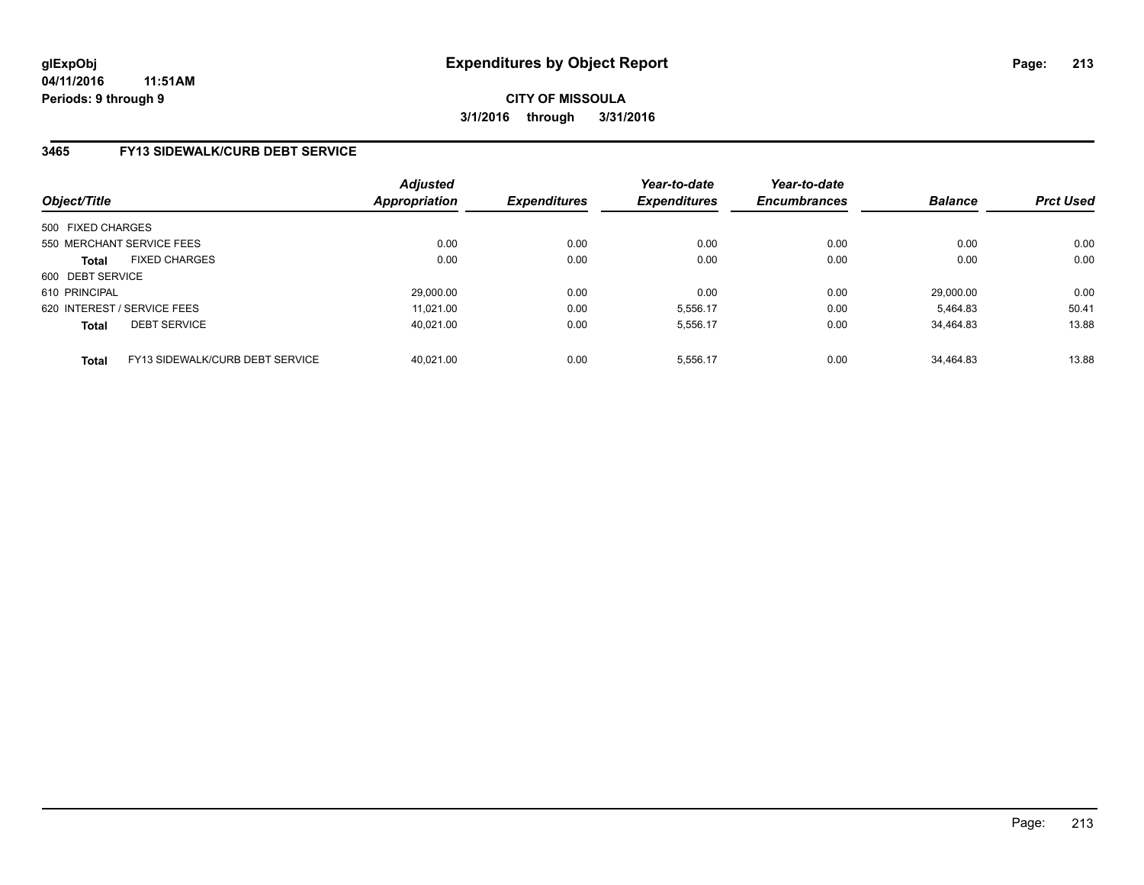## **3465 FY13 SIDEWALK/CURB DEBT SERVICE**

| Object/Title                |                                 | <b>Adjusted</b><br><b>Appropriation</b> | <b>Expenditures</b> | Year-to-date<br><b>Expenditures</b> | Year-to-date<br><b>Encumbrances</b> | <b>Balance</b> | <b>Prct Used</b> |
|-----------------------------|---------------------------------|-----------------------------------------|---------------------|-------------------------------------|-------------------------------------|----------------|------------------|
| 500 FIXED CHARGES           |                                 |                                         |                     |                                     |                                     |                |                  |
| 550 MERCHANT SERVICE FEES   |                                 | 0.00                                    | 0.00                | 0.00                                | 0.00                                | 0.00           | 0.00             |
| <b>Total</b>                | <b>FIXED CHARGES</b>            | 0.00                                    | 0.00                | 0.00                                | 0.00                                | 0.00           | 0.00             |
| 600 DEBT SERVICE            |                                 |                                         |                     |                                     |                                     |                |                  |
| 610 PRINCIPAL               |                                 | 29,000.00                               | 0.00                | 0.00                                | 0.00                                | 29.000.00      | 0.00             |
| 620 INTEREST / SERVICE FEES |                                 | 11.021.00                               | 0.00                | 5.556.17                            | 0.00                                | 5.464.83       | 50.41            |
| <b>Total</b>                | <b>DEBT SERVICE</b>             | 40.021.00                               | 0.00                | 5.556.17                            | 0.00                                | 34.464.83      | 13.88            |
| <b>Total</b>                | FY13 SIDEWALK/CURB DEBT SERVICE | 40.021.00                               | 0.00                | 5,556.17                            | 0.00                                | 34.464.83      | 13.88            |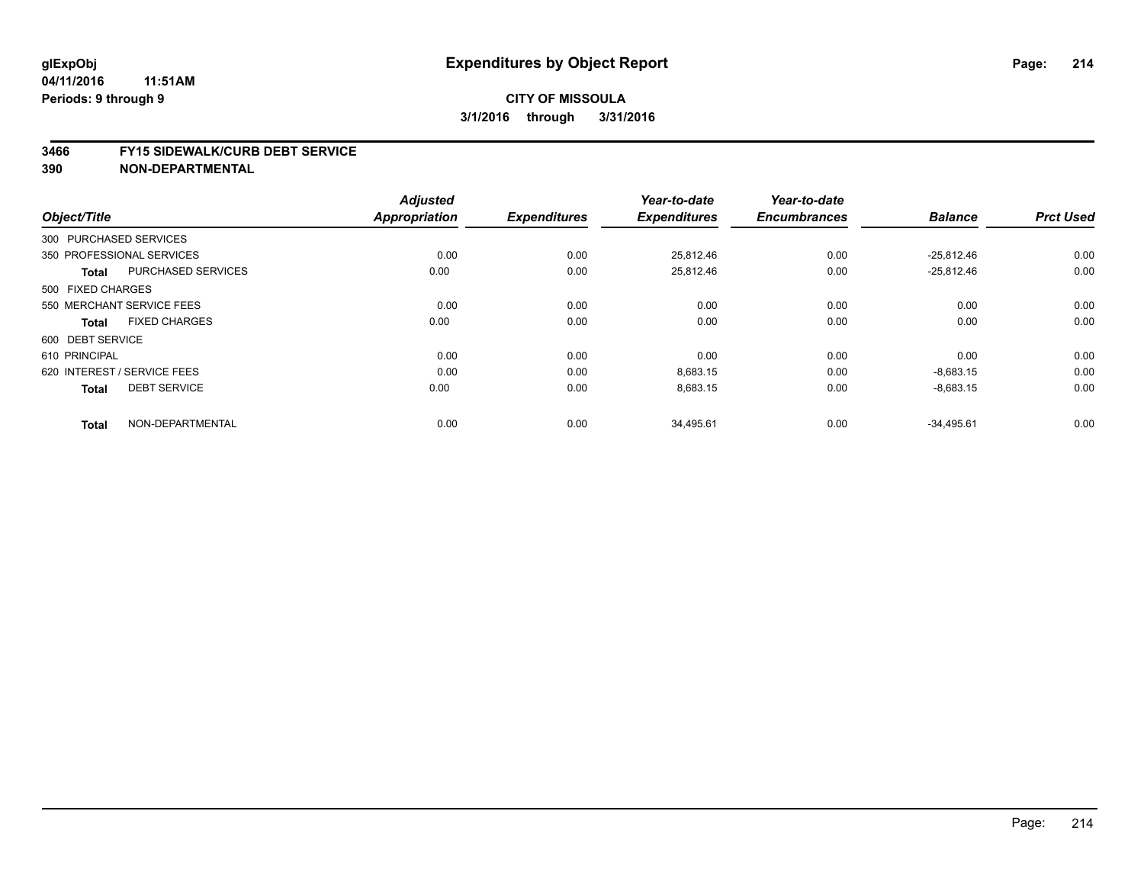#### **3466 FY15 SIDEWALK/CURB DEBT SERVICE**

|                             |                           | <b>Adjusted</b><br><b>Appropriation</b> |                     | Year-to-date<br><b>Expenditures</b> | Year-to-date<br><b>Encumbrances</b> | <b>Balance</b> | <b>Prct Used</b> |
|-----------------------------|---------------------------|-----------------------------------------|---------------------|-------------------------------------|-------------------------------------|----------------|------------------|
| Object/Title                |                           |                                         | <b>Expenditures</b> |                                     |                                     |                |                  |
| 300 PURCHASED SERVICES      |                           |                                         |                     |                                     |                                     |                |                  |
| 350 PROFESSIONAL SERVICES   |                           | 0.00                                    | 0.00                | 25.812.46                           | 0.00                                | $-25.812.46$   | 0.00             |
| <b>Total</b>                | <b>PURCHASED SERVICES</b> | 0.00                                    | 0.00                | 25,812.46                           | 0.00                                | $-25,812.46$   | 0.00             |
| 500 FIXED CHARGES           |                           |                                         |                     |                                     |                                     |                |                  |
| 550 MERCHANT SERVICE FEES   |                           | 0.00                                    | 0.00                | 0.00                                | 0.00                                | 0.00           | 0.00             |
| <b>Total</b>                | <b>FIXED CHARGES</b>      | 0.00                                    | 0.00                | 0.00                                | 0.00                                | 0.00           | 0.00             |
| 600 DEBT SERVICE            |                           |                                         |                     |                                     |                                     |                |                  |
| 610 PRINCIPAL               |                           | 0.00                                    | 0.00                | 0.00                                | 0.00                                | 0.00           | 0.00             |
| 620 INTEREST / SERVICE FEES |                           | 0.00                                    | 0.00                | 8,683.15                            | 0.00                                | $-8,683.15$    | 0.00             |
| <b>Total</b>                | <b>DEBT SERVICE</b>       | 0.00                                    | 0.00                | 8,683.15                            | 0.00                                | $-8,683.15$    | 0.00             |
| <b>Total</b>                | NON-DEPARTMENTAL          | 0.00                                    | 0.00                | 34,495.61                           | 0.00                                | $-34,495.61$   | 0.00             |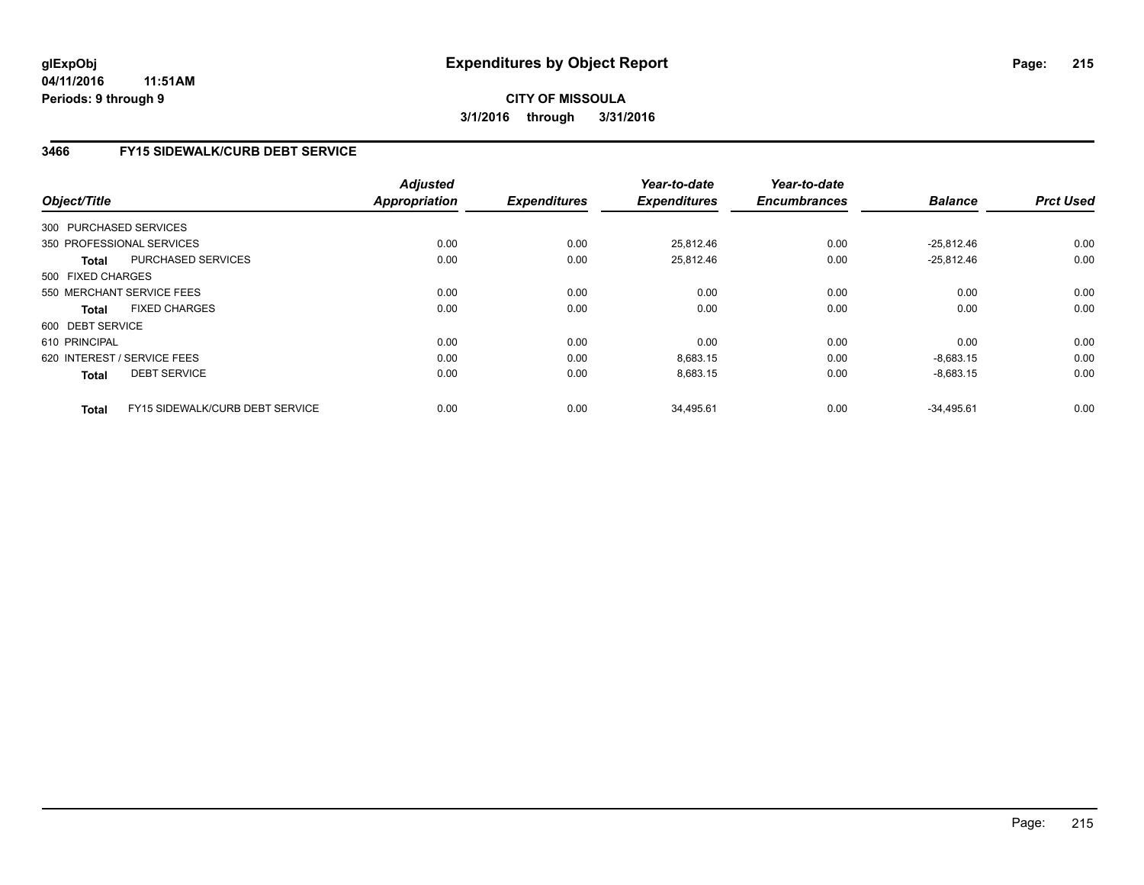**04/11/2016 11:51AM Periods: 9 through 9**

## **CITY OF MISSOULA 3/1/2016 through 3/31/2016**

## **3466 FY15 SIDEWALK/CURB DEBT SERVICE**

|                        |                                        | <b>Adjusted</b>      |                     | Year-to-date        | Year-to-date        |                |                  |
|------------------------|----------------------------------------|----------------------|---------------------|---------------------|---------------------|----------------|------------------|
| Object/Title           |                                        | <b>Appropriation</b> | <b>Expenditures</b> | <b>Expenditures</b> | <b>Encumbrances</b> | <b>Balance</b> | <b>Prct Used</b> |
| 300 PURCHASED SERVICES |                                        |                      |                     |                     |                     |                |                  |
|                        | 350 PROFESSIONAL SERVICES              | 0.00                 | 0.00                | 25,812.46           | 0.00                | $-25.812.46$   | 0.00             |
| Total                  | PURCHASED SERVICES                     | 0.00                 | 0.00                | 25,812.46           | 0.00                | $-25,812.46$   | 0.00             |
| 500 FIXED CHARGES      |                                        |                      |                     |                     |                     |                |                  |
|                        | 550 MERCHANT SERVICE FEES              | 0.00                 | 0.00                | 0.00                | 0.00                | 0.00           | 0.00             |
| <b>Total</b>           | <b>FIXED CHARGES</b>                   | 0.00                 | 0.00                | 0.00                | 0.00                | 0.00           | 0.00             |
| 600 DEBT SERVICE       |                                        |                      |                     |                     |                     |                |                  |
| 610 PRINCIPAL          |                                        | 0.00                 | 0.00                | 0.00                | 0.00                | 0.00           | 0.00             |
|                        | 620 INTEREST / SERVICE FEES            | 0.00                 | 0.00                | 8,683.15            | 0.00                | $-8,683.15$    | 0.00             |
| <b>Total</b>           | <b>DEBT SERVICE</b>                    | 0.00                 | 0.00                | 8,683.15            | 0.00                | $-8,683.15$    | 0.00             |
| <b>Total</b>           | <b>FY15 SIDEWALK/CURB DEBT SERVICE</b> | 0.00                 | 0.00                | 34,495.61           | 0.00                | $-34,495.61$   | 0.00             |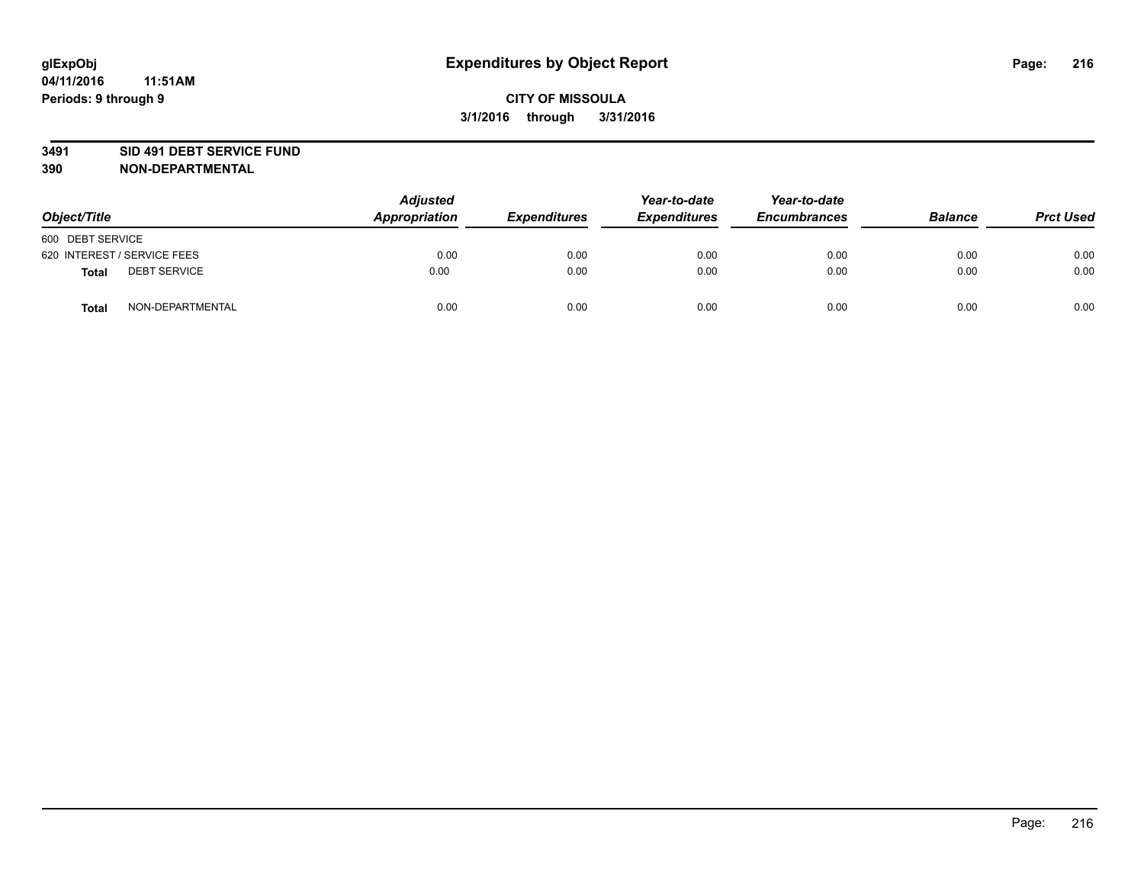### **3491 SID 491 DEBT SERVICE FUND**

| Object/Title                 | <b>Adjusted</b><br>Appropriation | <b>Expenditures</b> | Year-to-date<br><b>Expenditures</b> | Year-to-date<br><b>Encumbrances</b> | <b>Balance</b> | <b>Prct Used</b> |
|------------------------------|----------------------------------|---------------------|-------------------------------------|-------------------------------------|----------------|------------------|
| 600 DEBT SERVICE             |                                  |                     |                                     |                                     |                |                  |
| 620 INTEREST / SERVICE FEES  | 0.00                             | 0.00                | 0.00                                | 0.00                                | 0.00           | 0.00             |
| <b>DEBT SERVICE</b><br>Total | 0.00                             | 0.00                | 0.00                                | 0.00                                | 0.00           | 0.00             |
| NON-DEPARTMENTAL<br>Total    | 0.00                             | 0.00                | 0.00                                | 0.00                                | 0.00           | 0.00             |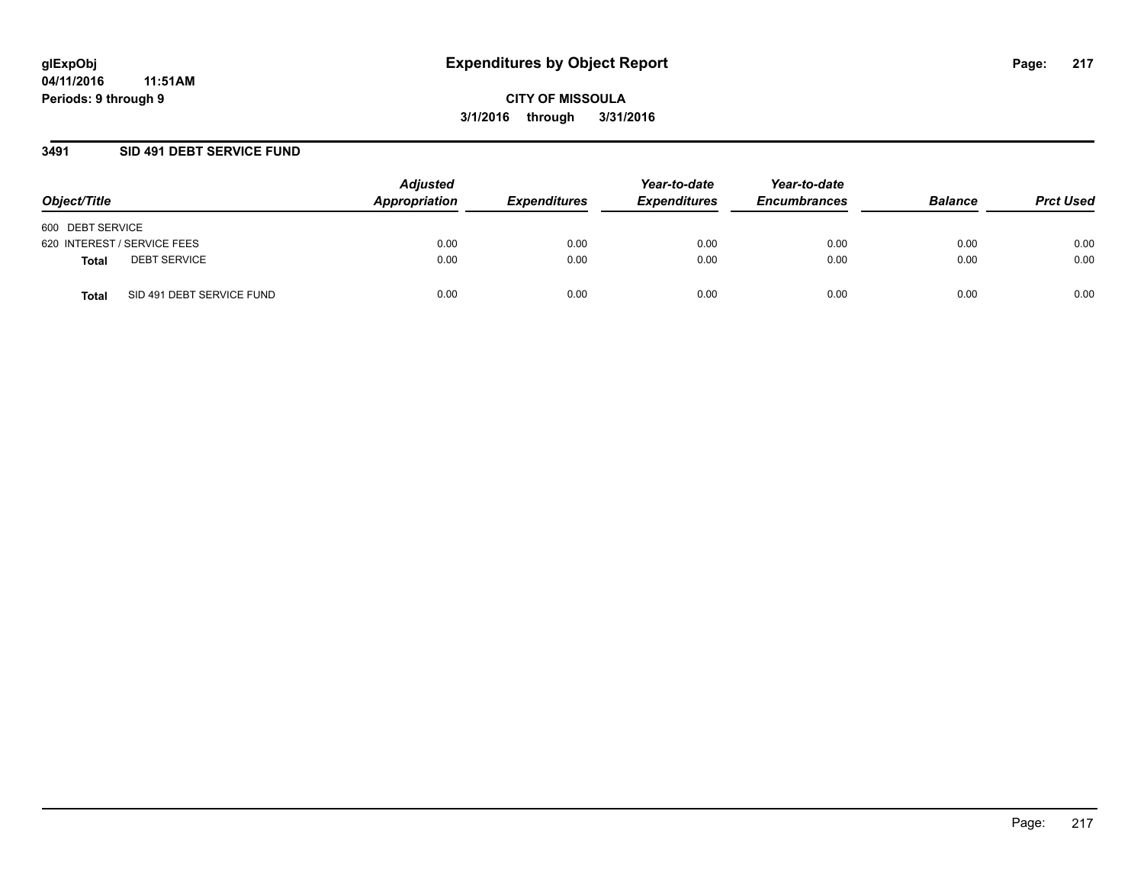### **3491 SID 491 DEBT SERVICE FUND**

| Object/Title                              | <b>Adjusted</b><br>Appropriation | <b>Expenditures</b> | Year-to-date<br><b>Expenditures</b> | Year-to-date<br><b>Encumbrances</b> | <b>Balance</b> | <b>Prct Used</b> |
|-------------------------------------------|----------------------------------|---------------------|-------------------------------------|-------------------------------------|----------------|------------------|
| 600 DEBT SERVICE                          |                                  |                     |                                     |                                     |                |                  |
| 620 INTEREST / SERVICE FEES               | 0.00                             | 0.00                | 0.00                                | 0.00                                | 0.00           | 0.00             |
| <b>DEBT SERVICE</b><br><b>Total</b>       | 0.00                             | 0.00                | 0.00                                | 0.00                                | 0.00           | 0.00             |
| SID 491 DEBT SERVICE FUND<br><b>Total</b> | 0.00                             | 0.00                | 0.00                                | 0.00                                | 0.00           | 0.00             |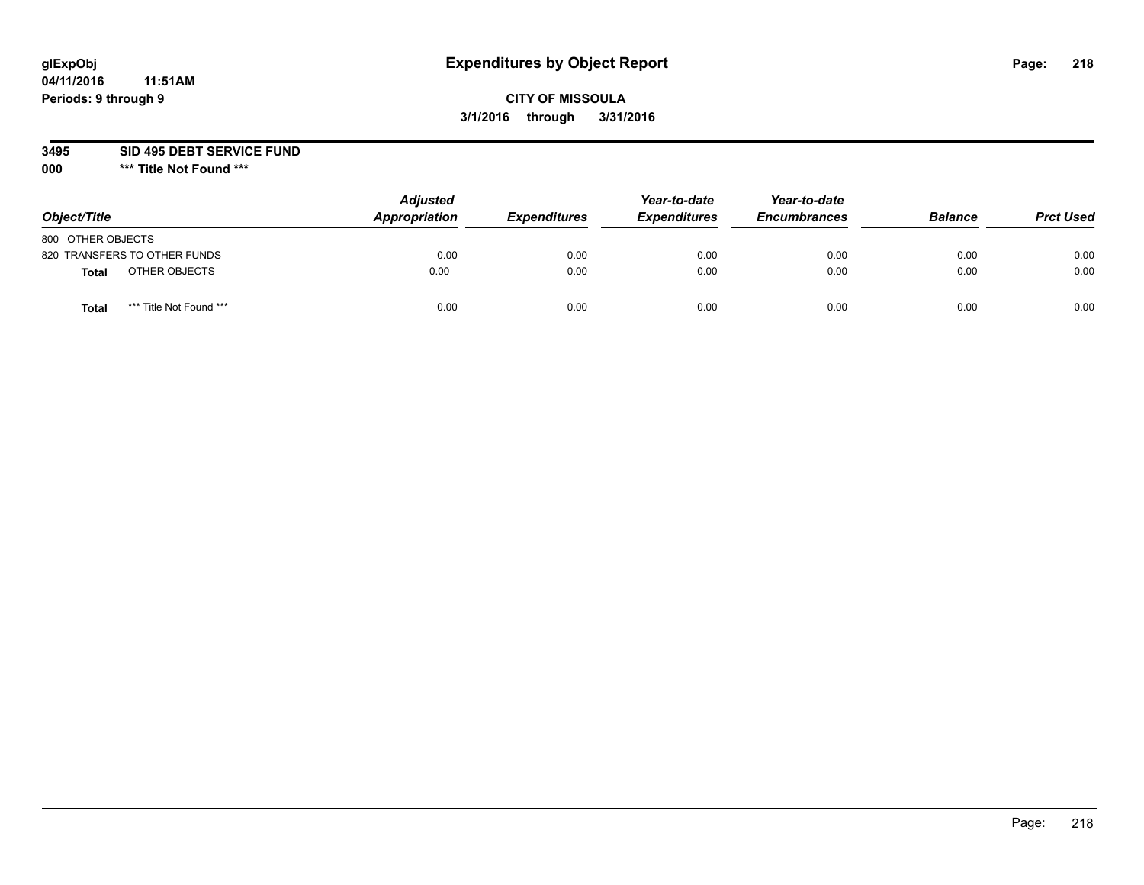# **CITY OF MISSOULA 3/1/2016 through 3/31/2016**

**3495 SID 495 DEBT SERVICE FUND**

| Object/Title                     | <b>Adjusted</b><br>Appropriation | <b>Expenditures</b> | Year-to-date<br><b>Expenditures</b> | Year-to-date<br><b>Encumbrances</b> | <b>Balance</b> | <b>Prct Used</b> |
|----------------------------------|----------------------------------|---------------------|-------------------------------------|-------------------------------------|----------------|------------------|
| 800 OTHER OBJECTS                |                                  |                     |                                     |                                     |                |                  |
| 820 TRANSFERS TO OTHER FUNDS     | 0.00                             | 0.00                | 0.00                                | 0.00                                | 0.00           | 0.00             |
| OTHER OBJECTS<br><b>Total</b>    | 0.00                             | 0.00                | 0.00                                | 0.00                                | 0.00           | 0.00             |
| *** Title Not Found ***<br>Total | 0.00                             | 0.00                | 0.00                                | 0.00                                | 0.00           | 0.00             |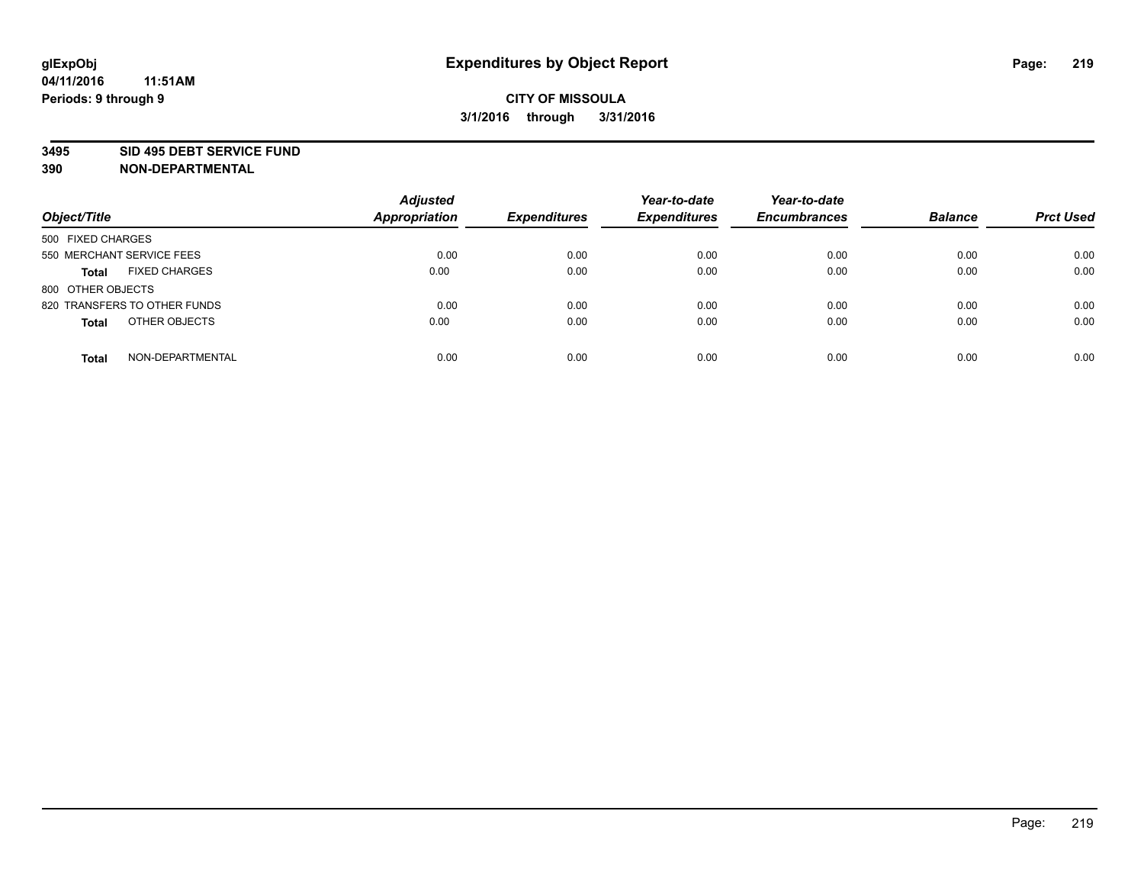#### **3495 SID 495 DEBT SERVICE FUND**

| Object/Title                         | <b>Adjusted</b><br><b>Appropriation</b> | <b>Expenditures</b> | Year-to-date<br><b>Expenditures</b> | Year-to-date<br><b>Encumbrances</b> | <b>Balance</b> | <b>Prct Used</b> |
|--------------------------------------|-----------------------------------------|---------------------|-------------------------------------|-------------------------------------|----------------|------------------|
| 500 FIXED CHARGES                    |                                         |                     |                                     |                                     |                |                  |
| 550 MERCHANT SERVICE FEES            | 0.00                                    | 0.00                | 0.00                                | 0.00                                | 0.00           | 0.00             |
| <b>FIXED CHARGES</b><br><b>Total</b> | 0.00                                    | 0.00                | 0.00                                | 0.00                                | 0.00           | 0.00             |
| 800 OTHER OBJECTS                    |                                         |                     |                                     |                                     |                |                  |
| 820 TRANSFERS TO OTHER FUNDS         | 0.00                                    | 0.00                | 0.00                                | 0.00                                | 0.00           | 0.00             |
| OTHER OBJECTS<br><b>Total</b>        | 0.00                                    | 0.00                | 0.00                                | 0.00                                | 0.00           | 0.00             |
| NON-DEPARTMENTAL<br><b>Total</b>     | 0.00                                    | 0.00                | 0.00                                | 0.00                                | 0.00           | 0.00             |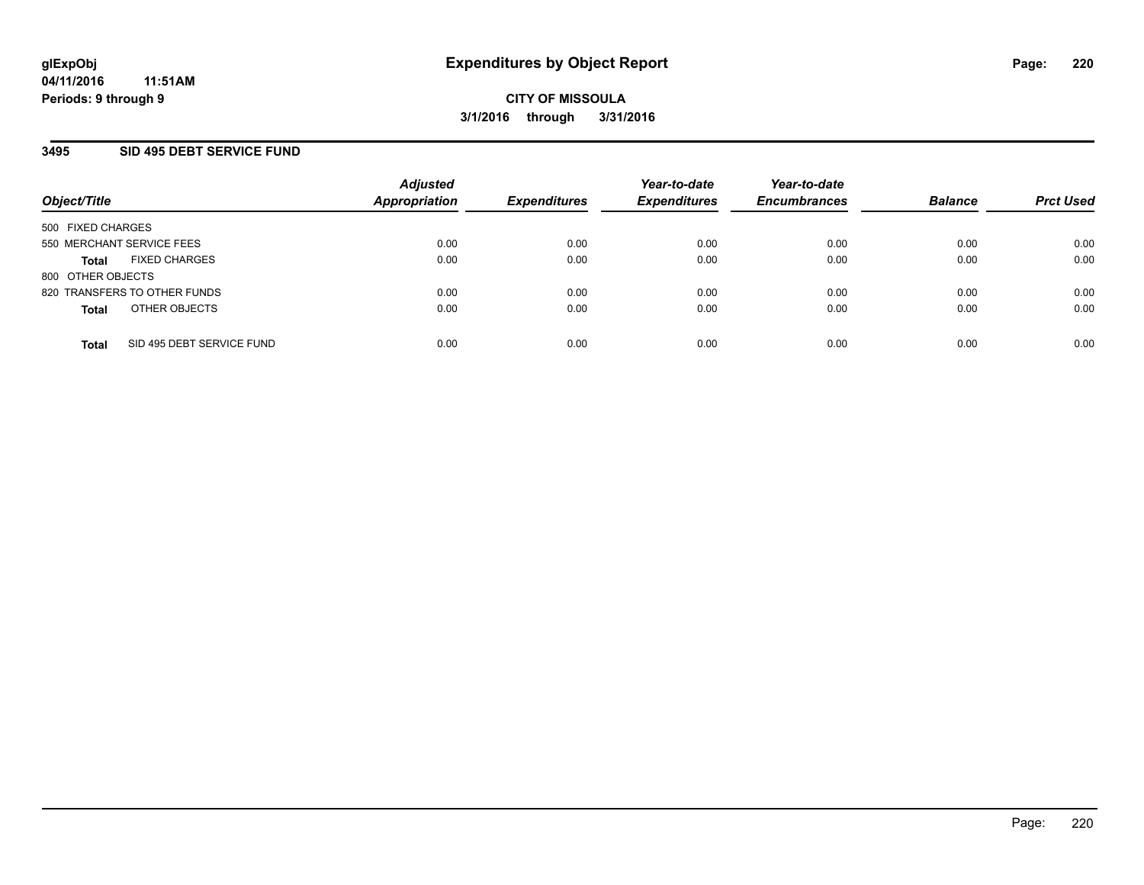### **3495 SID 495 DEBT SERVICE FUND**

| Object/Title                              | <b>Adjusted</b><br><b>Appropriation</b> | <b>Expenditures</b> | Year-to-date<br><b>Expenditures</b> | Year-to-date<br><b>Encumbrances</b> | <b>Balance</b> | <b>Prct Used</b> |
|-------------------------------------------|-----------------------------------------|---------------------|-------------------------------------|-------------------------------------|----------------|------------------|
| 500 FIXED CHARGES                         |                                         |                     |                                     |                                     |                |                  |
| 550 MERCHANT SERVICE FEES                 | 0.00                                    | 0.00                | 0.00                                | 0.00                                | 0.00           | 0.00             |
| <b>FIXED CHARGES</b><br><b>Total</b>      | 0.00                                    | 0.00                | 0.00                                | 0.00                                | 0.00           | 0.00             |
| 800 OTHER OBJECTS                         |                                         |                     |                                     |                                     |                |                  |
| 820 TRANSFERS TO OTHER FUNDS              | 0.00                                    | 0.00                | 0.00                                | 0.00                                | 0.00           | 0.00             |
| OTHER OBJECTS<br><b>Total</b>             | 0.00                                    | 0.00                | 0.00                                | 0.00                                | 0.00           | 0.00             |
| SID 495 DEBT SERVICE FUND<br><b>Total</b> | 0.00                                    | 0.00                | 0.00                                | 0.00                                | 0.00           | 0.00             |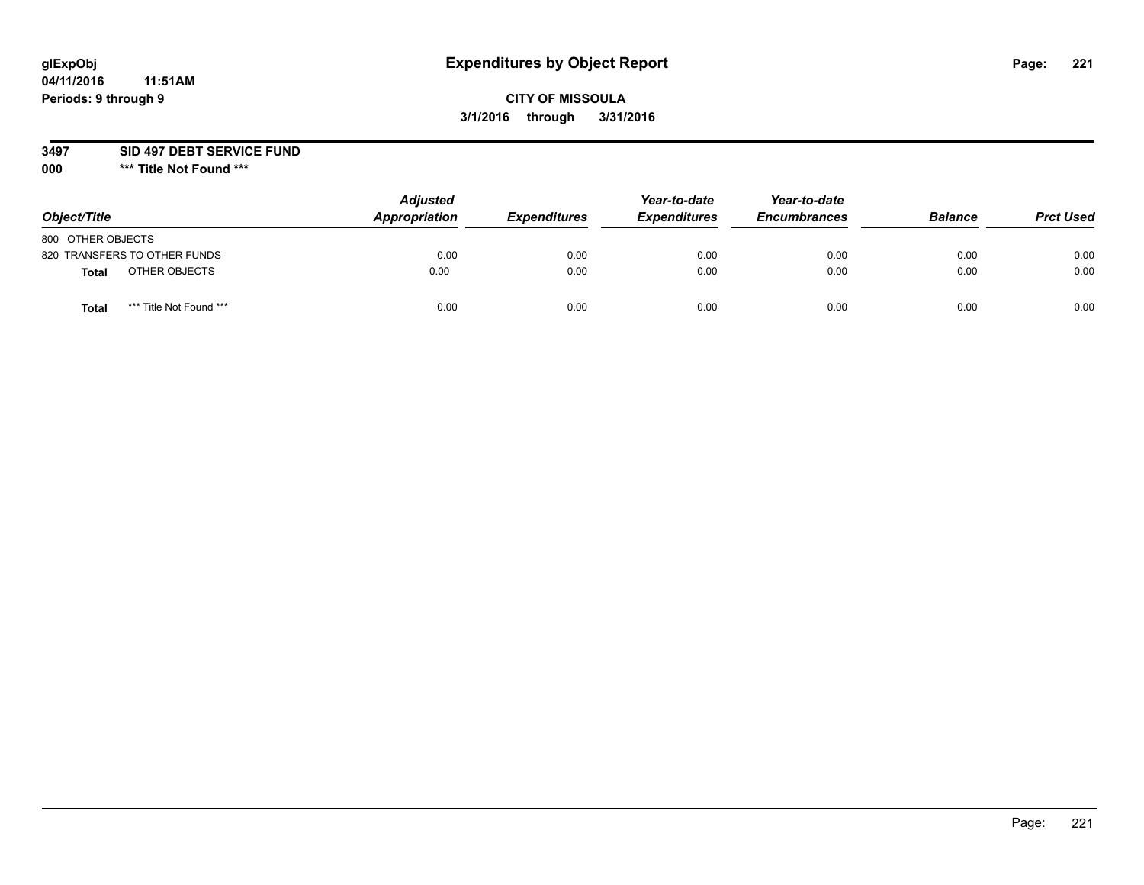# **CITY OF MISSOULA 3/1/2016 through 3/31/2016**

#### **3497 SID 497 DEBT SERVICE FUND**

| Object/Title                            | <b>Adjusted</b><br>Appropriation | <b>Expenditures</b> | Year-to-date<br><b>Expenditures</b> | Year-to-date<br><b>Encumbrances</b> | <b>Balance</b> | <b>Prct Used</b> |
|-----------------------------------------|----------------------------------|---------------------|-------------------------------------|-------------------------------------|----------------|------------------|
| 800 OTHER OBJECTS                       |                                  |                     |                                     |                                     |                |                  |
| 820 TRANSFERS TO OTHER FUNDS            | 0.00                             | 0.00                | 0.00                                | 0.00                                | 0.00           | 0.00             |
| OTHER OBJECTS<br><b>Total</b>           | 0.00                             | 0.00                | 0.00                                | 0.00                                | 0.00           | 0.00             |
| *** Title Not Found ***<br><b>Total</b> | 0.00                             | 0.00                | 0.00                                | 0.00                                | 0.00           | 0.00             |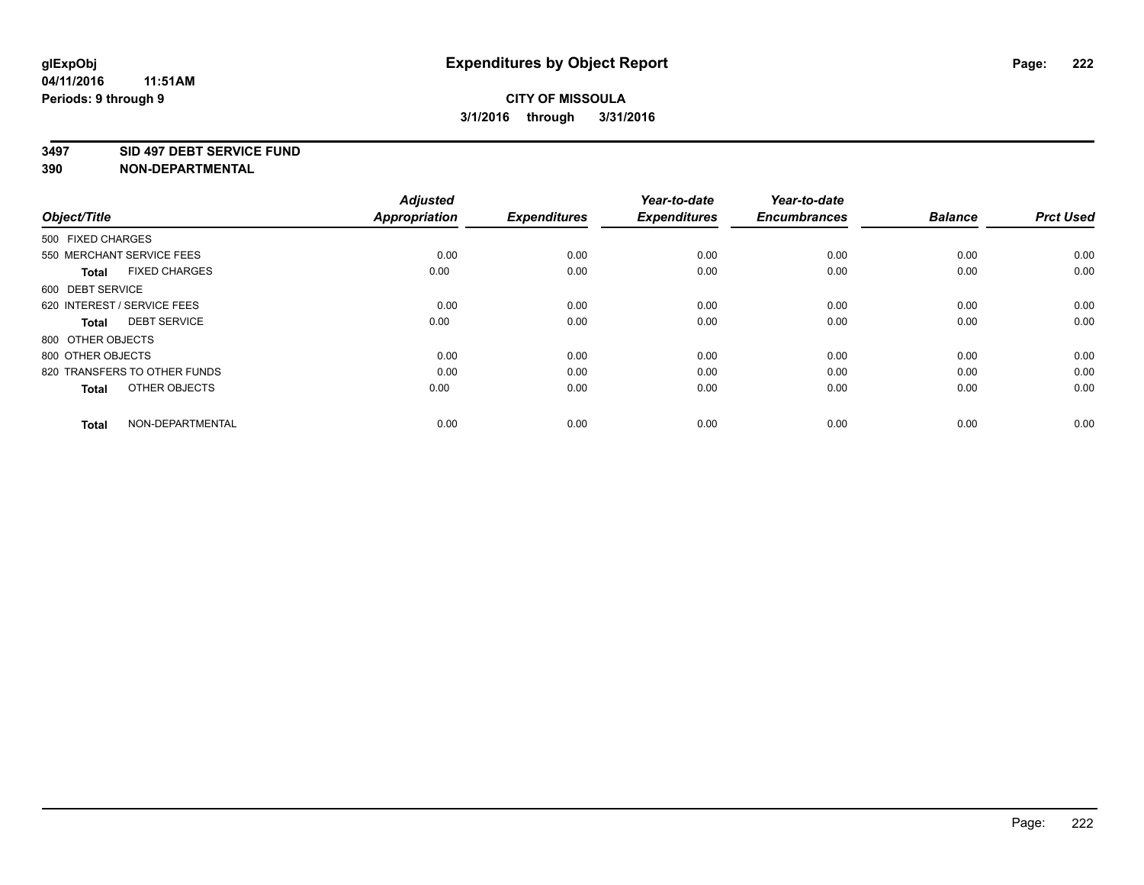#### **3497 SID 497 DEBT SERVICE FUND**

| Object/Title                         | <b>Adjusted</b><br><b>Appropriation</b> | <b>Expenditures</b> | Year-to-date<br><b>Expenditures</b> | Year-to-date<br><b>Encumbrances</b> | <b>Balance</b> | <b>Prct Used</b> |
|--------------------------------------|-----------------------------------------|---------------------|-------------------------------------|-------------------------------------|----------------|------------------|
| 500 FIXED CHARGES                    |                                         |                     |                                     |                                     |                |                  |
| 550 MERCHANT SERVICE FEES            | 0.00                                    | 0.00                | 0.00                                | 0.00                                | 0.00           | 0.00             |
| <b>FIXED CHARGES</b><br><b>Total</b> | 0.00                                    | 0.00                | 0.00                                | 0.00                                | 0.00           | 0.00             |
| 600 DEBT SERVICE                     |                                         |                     |                                     |                                     |                |                  |
| 620 INTEREST / SERVICE FEES          | 0.00                                    | 0.00                | 0.00                                | 0.00                                | 0.00           | 0.00             |
| <b>DEBT SERVICE</b><br><b>Total</b>  | 0.00                                    | 0.00                | 0.00                                | 0.00                                | 0.00           | 0.00             |
| 800 OTHER OBJECTS                    |                                         |                     |                                     |                                     |                |                  |
| 800 OTHER OBJECTS                    | 0.00                                    | 0.00                | 0.00                                | 0.00                                | 0.00           | 0.00             |
| 820 TRANSFERS TO OTHER FUNDS         | 0.00                                    | 0.00                | 0.00                                | 0.00                                | 0.00           | 0.00             |
| OTHER OBJECTS<br><b>Total</b>        | 0.00                                    | 0.00                | 0.00                                | 0.00                                | 0.00           | 0.00             |
|                                      |                                         |                     |                                     |                                     |                |                  |
| NON-DEPARTMENTAL<br><b>Total</b>     | 0.00                                    | 0.00                | 0.00                                | 0.00                                | 0.00           | 0.00             |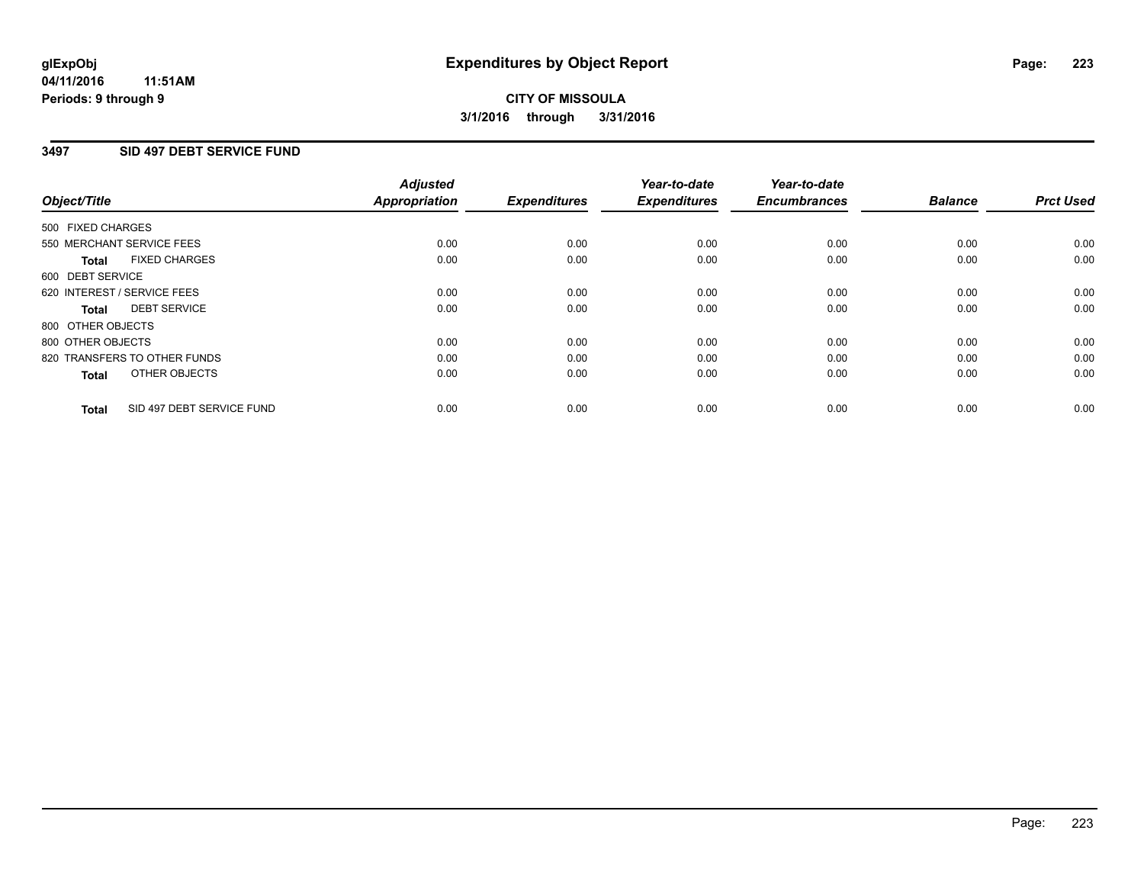### **3497 SID 497 DEBT SERVICE FUND**

|                                           | <b>Adjusted</b>      | <b>Expenditures</b> | Year-to-date<br><b>Expenditures</b> | Year-to-date<br><b>Encumbrances</b> | <b>Balance</b> | <b>Prct Used</b> |
|-------------------------------------------|----------------------|---------------------|-------------------------------------|-------------------------------------|----------------|------------------|
| Object/Title                              | <b>Appropriation</b> |                     |                                     |                                     |                |                  |
| 500 FIXED CHARGES                         |                      |                     |                                     |                                     |                |                  |
| 550 MERCHANT SERVICE FEES                 | 0.00                 | 0.00                | 0.00                                | 0.00                                | 0.00           | 0.00             |
| <b>FIXED CHARGES</b><br>Total             | 0.00                 | 0.00                | 0.00                                | 0.00                                | 0.00           | 0.00             |
| 600 DEBT SERVICE                          |                      |                     |                                     |                                     |                |                  |
| 620 INTEREST / SERVICE FEES               | 0.00                 | 0.00                | 0.00                                | 0.00                                | 0.00           | 0.00             |
| <b>DEBT SERVICE</b><br>Total              | 0.00                 | 0.00                | 0.00                                | 0.00                                | 0.00           | 0.00             |
| 800 OTHER OBJECTS                         |                      |                     |                                     |                                     |                |                  |
| 800 OTHER OBJECTS                         | 0.00                 | 0.00                | 0.00                                | 0.00                                | 0.00           | 0.00             |
| 820 TRANSFERS TO OTHER FUNDS              | 0.00                 | 0.00                | 0.00                                | 0.00                                | 0.00           | 0.00             |
| OTHER OBJECTS<br><b>Total</b>             | 0.00                 | 0.00                | 0.00                                | 0.00                                | 0.00           | 0.00             |
|                                           |                      |                     |                                     |                                     |                |                  |
| SID 497 DEBT SERVICE FUND<br><b>Total</b> | 0.00                 | 0.00                | 0.00                                | 0.00                                | 0.00           | 0.00             |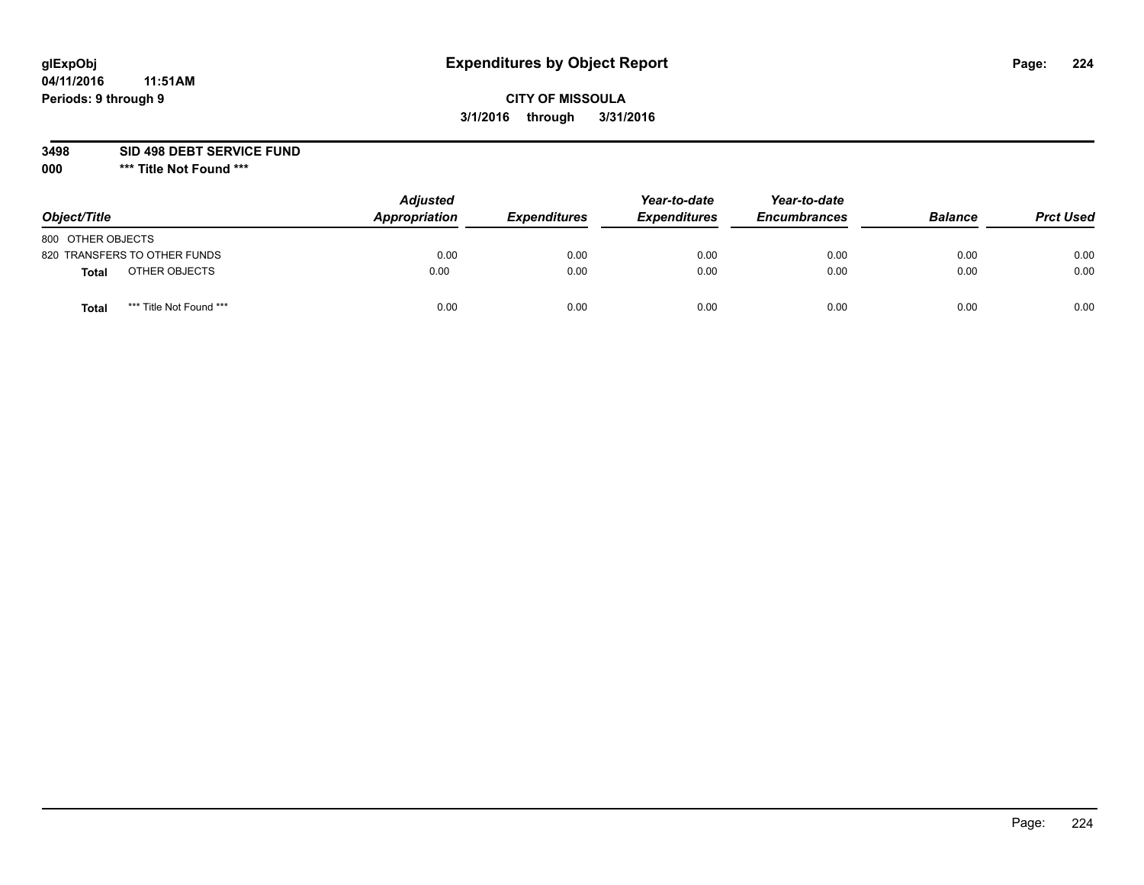# **CITY OF MISSOULA 3/1/2016 through 3/31/2016**

**3498 SID 498 DEBT SERVICE FUND**

| Object/Title                     | <b>Adjusted</b><br>Appropriation | <b>Expenditures</b> | Year-to-date<br><b>Expenditures</b> | Year-to-date<br><b>Encumbrances</b> | <b>Balance</b> | <b>Prct Used</b> |
|----------------------------------|----------------------------------|---------------------|-------------------------------------|-------------------------------------|----------------|------------------|
| 800 OTHER OBJECTS                |                                  |                     |                                     |                                     |                |                  |
| 820 TRANSFERS TO OTHER FUNDS     | 0.00                             | 0.00                | 0.00                                | 0.00                                | 0.00           | 0.00             |
| OTHER OBJECTS<br><b>Total</b>    | 0.00                             | 0.00                | 0.00                                | 0.00                                | 0.00           | 0.00             |
| *** Title Not Found ***<br>Total | 0.00                             | 0.00                | 0.00                                | 0.00                                | 0.00           | 0.00             |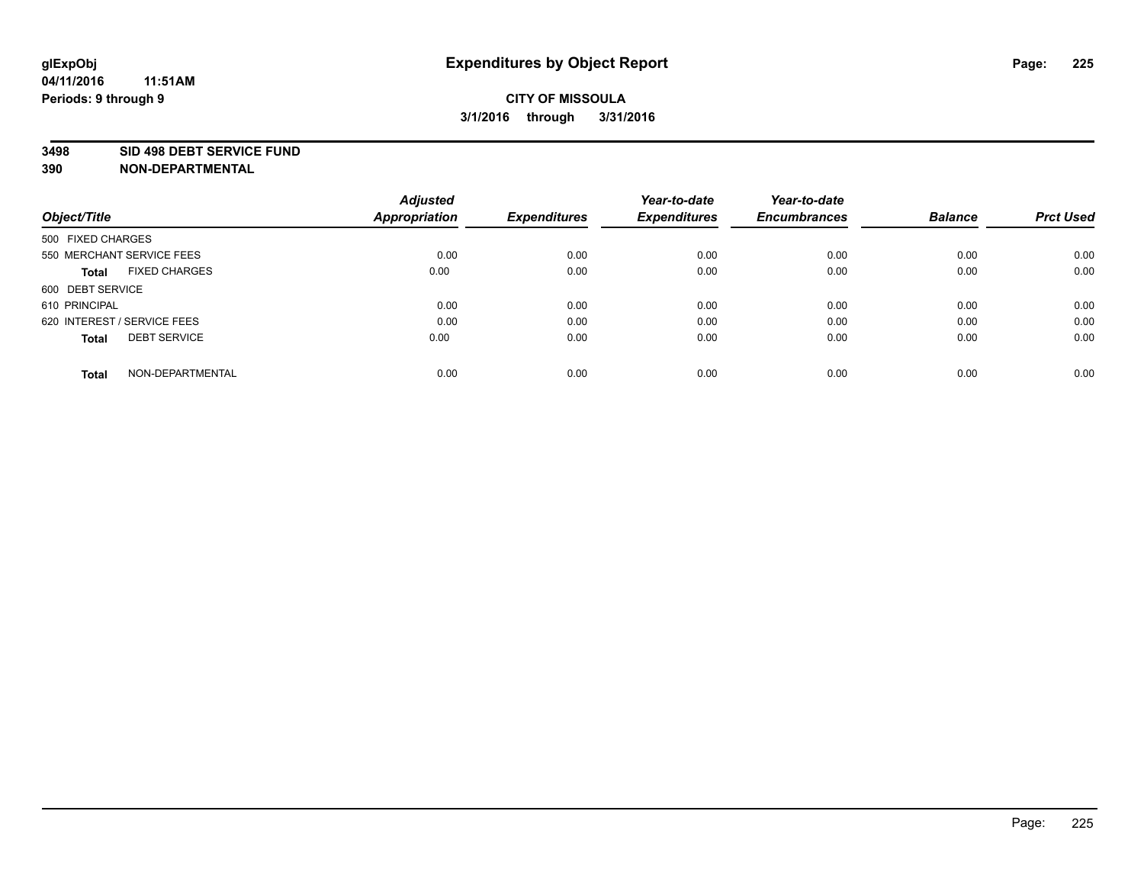#### **3498 SID 498 DEBT SERVICE FUND**

| Object/Title                         | <b>Adjusted</b><br><b>Appropriation</b> | <b>Expenditures</b> | Year-to-date<br><b>Expenditures</b> | Year-to-date<br><b>Encumbrances</b> | <b>Balance</b> | <b>Prct Used</b> |
|--------------------------------------|-----------------------------------------|---------------------|-------------------------------------|-------------------------------------|----------------|------------------|
| 500 FIXED CHARGES                    |                                         |                     |                                     |                                     |                |                  |
| 550 MERCHANT SERVICE FEES            | 0.00                                    | 0.00                | 0.00                                | 0.00                                | 0.00           | 0.00             |
| <b>FIXED CHARGES</b><br><b>Total</b> | 0.00                                    | 0.00                | 0.00                                | 0.00                                | 0.00           | 0.00             |
| 600 DEBT SERVICE                     |                                         |                     |                                     |                                     |                |                  |
| 610 PRINCIPAL                        | 0.00                                    | 0.00                | 0.00                                | 0.00                                | 0.00           | 0.00             |
| 620 INTEREST / SERVICE FEES          | 0.00                                    | 0.00                | 0.00                                | 0.00                                | 0.00           | 0.00             |
| <b>DEBT SERVICE</b><br><b>Total</b>  | 0.00                                    | 0.00                | 0.00                                | 0.00                                | 0.00           | 0.00             |
| NON-DEPARTMENTAL<br><b>Total</b>     | 0.00                                    | 0.00                | 0.00                                | 0.00                                | 0.00           | 0.00             |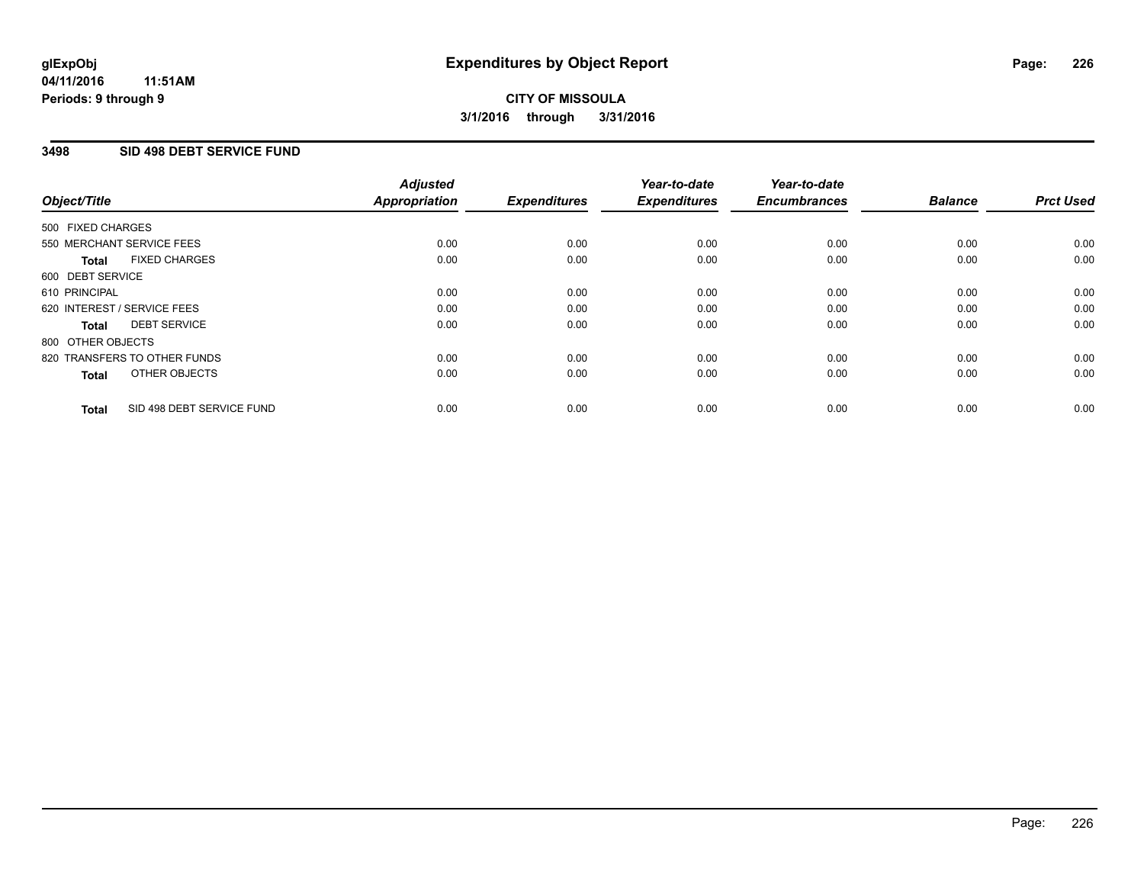### **3498 SID 498 DEBT SERVICE FUND**

| Object/Title      |                              | <b>Adjusted</b><br>Appropriation | <b>Expenditures</b> | Year-to-date<br><b>Expenditures</b> | Year-to-date<br><b>Encumbrances</b> | <b>Balance</b> | <b>Prct Used</b> |
|-------------------|------------------------------|----------------------------------|---------------------|-------------------------------------|-------------------------------------|----------------|------------------|
| 500 FIXED CHARGES |                              |                                  |                     |                                     |                                     |                |                  |
|                   | 550 MERCHANT SERVICE FEES    | 0.00                             | 0.00                | 0.00                                | 0.00                                | 0.00           | 0.00             |
| <b>Total</b>      | <b>FIXED CHARGES</b>         | 0.00                             | 0.00                | 0.00                                | 0.00                                | 0.00           | 0.00             |
| 600 DEBT SERVICE  |                              |                                  |                     |                                     |                                     |                |                  |
| 610 PRINCIPAL     |                              | 0.00                             | 0.00                | 0.00                                | 0.00                                | 0.00           | 0.00             |
|                   | 620 INTEREST / SERVICE FEES  | 0.00                             | 0.00                | 0.00                                | 0.00                                | 0.00           | 0.00             |
| Total             | <b>DEBT SERVICE</b>          | 0.00                             | 0.00                | 0.00                                | 0.00                                | 0.00           | 0.00             |
| 800 OTHER OBJECTS |                              |                                  |                     |                                     |                                     |                |                  |
|                   | 820 TRANSFERS TO OTHER FUNDS | 0.00                             | 0.00                | 0.00                                | 0.00                                | 0.00           | 0.00             |
| <b>Total</b>      | OTHER OBJECTS                | 0.00                             | 0.00                | 0.00                                | 0.00                                | 0.00           | 0.00             |
| <b>Total</b>      | SID 498 DEBT SERVICE FUND    | 0.00                             | 0.00                | 0.00                                | 0.00                                | 0.00           | 0.00             |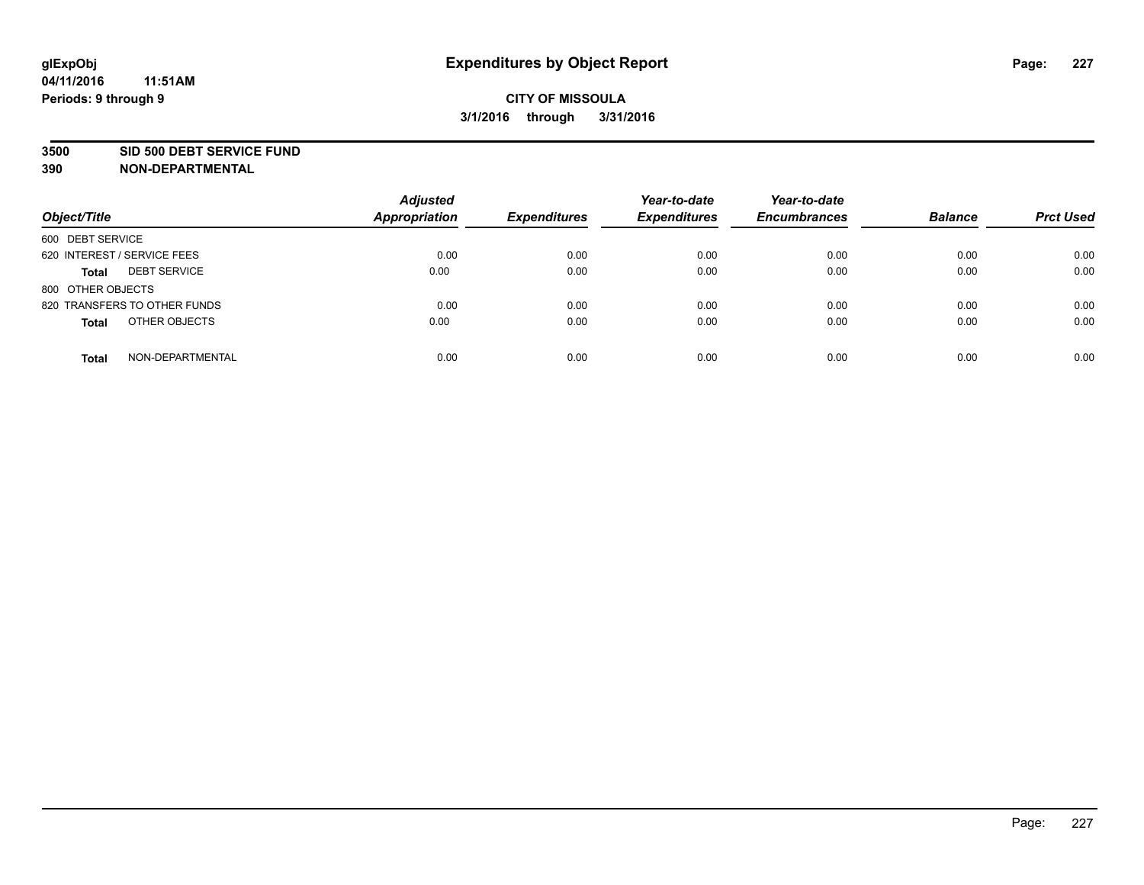#### **3500 SID 500 DEBT SERVICE FUND**

| Object/Title                        | <b>Adjusted</b><br><b>Appropriation</b> | <b>Expenditures</b> | Year-to-date<br><b>Expenditures</b> | Year-to-date<br><b>Encumbrances</b> | <b>Balance</b> | <b>Prct Used</b> |
|-------------------------------------|-----------------------------------------|---------------------|-------------------------------------|-------------------------------------|----------------|------------------|
| 600 DEBT SERVICE                    |                                         |                     |                                     |                                     |                |                  |
| 620 INTEREST / SERVICE FEES         | 0.00                                    | 0.00                | 0.00                                | 0.00                                | 0.00           | 0.00             |
| <b>DEBT SERVICE</b><br><b>Total</b> | 0.00                                    | 0.00                | 0.00                                | 0.00                                | 0.00           | 0.00             |
| 800 OTHER OBJECTS                   |                                         |                     |                                     |                                     |                |                  |
| 820 TRANSFERS TO OTHER FUNDS        | 0.00                                    | 0.00                | 0.00                                | 0.00                                | 0.00           | 0.00             |
| OTHER OBJECTS<br><b>Total</b>       | 0.00                                    | 0.00                | 0.00                                | 0.00                                | 0.00           | 0.00             |
| NON-DEPARTMENTAL<br><b>Total</b>    | 0.00                                    | 0.00                | 0.00                                | 0.00                                | 0.00           | 0.00             |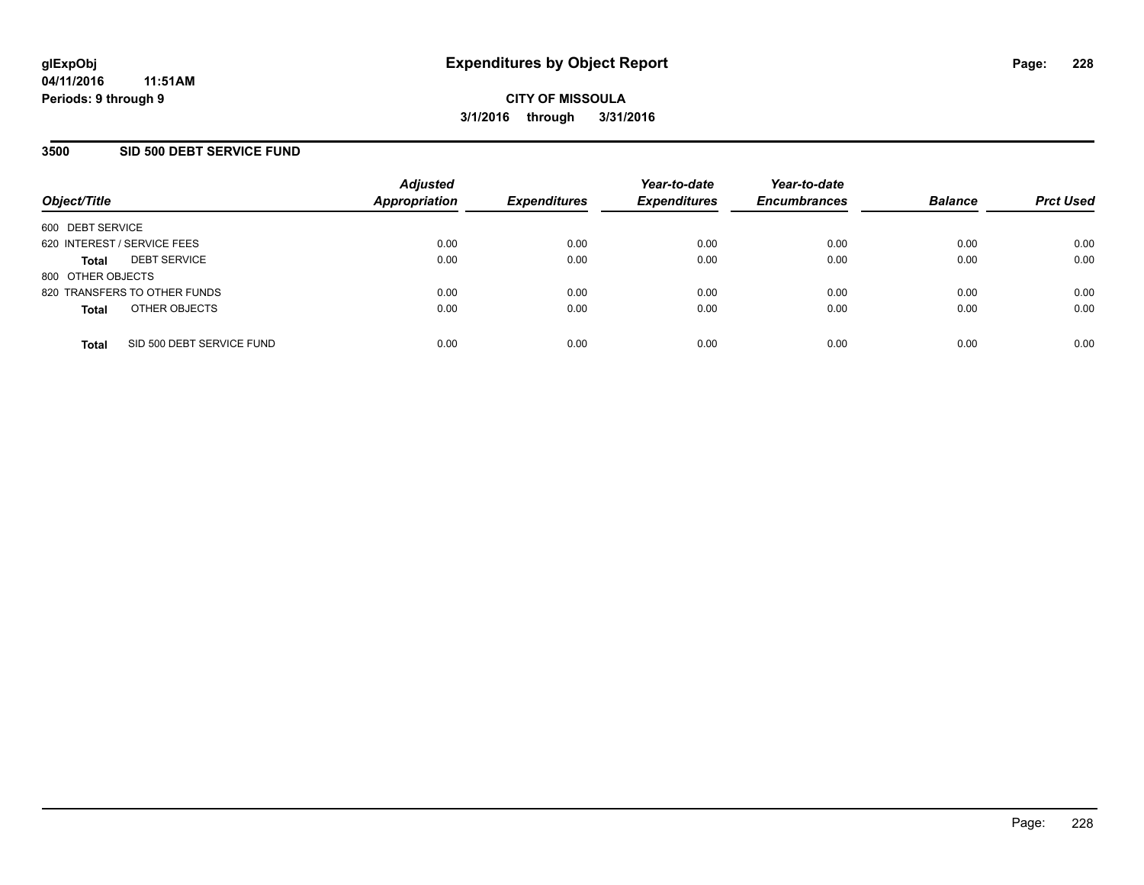### **3500 SID 500 DEBT SERVICE FUND**

| Object/Title                |                              | <b>Adjusted</b><br><b>Appropriation</b> | <b>Expenditures</b> | Year-to-date<br><b>Expenditures</b> | Year-to-date<br><b>Encumbrances</b> | <b>Balance</b> | <b>Prct Used</b> |
|-----------------------------|------------------------------|-----------------------------------------|---------------------|-------------------------------------|-------------------------------------|----------------|------------------|
| 600 DEBT SERVICE            |                              |                                         |                     |                                     |                                     |                |                  |
| 620 INTEREST / SERVICE FEES |                              | 0.00                                    | 0.00                | 0.00                                | 0.00                                | 0.00           | 0.00             |
| <b>Total</b>                | <b>DEBT SERVICE</b>          | 0.00                                    | 0.00                | 0.00                                | 0.00                                | 0.00           | 0.00             |
| 800 OTHER OBJECTS           |                              |                                         |                     |                                     |                                     |                |                  |
|                             | 820 TRANSFERS TO OTHER FUNDS | 0.00                                    | 0.00                | 0.00                                | 0.00                                | 0.00           | 0.00             |
| <b>Total</b>                | OTHER OBJECTS                | 0.00                                    | 0.00                | 0.00                                | 0.00                                | 0.00           | 0.00             |
| <b>Total</b>                | SID 500 DEBT SERVICE FUND    | 0.00                                    | 0.00                | 0.00                                | 0.00                                | 0.00           | 0.00             |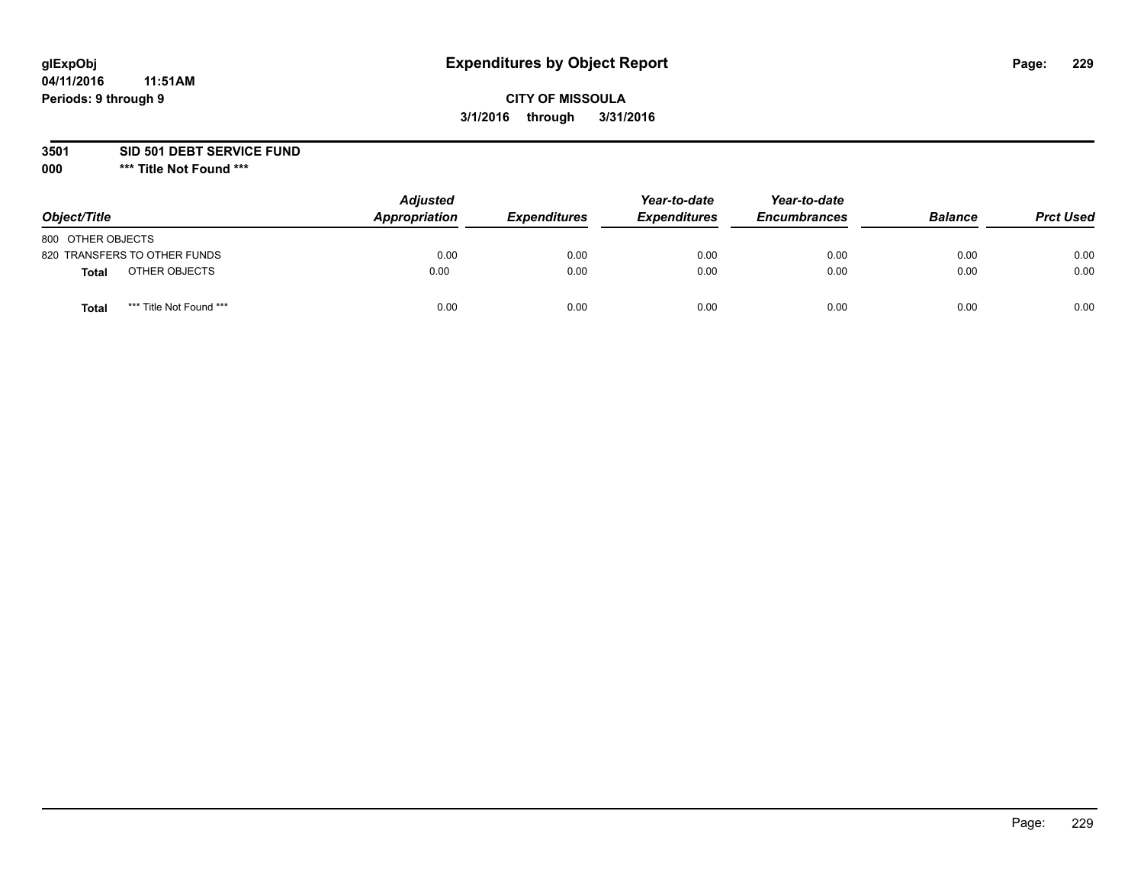# **CITY OF MISSOULA 3/1/2016 through 3/31/2016**

**3501 SID 501 DEBT SERVICE FUND**

| Object/Title                            | <b>Adjusted</b><br>Appropriation | <b>Expenditures</b> | Year-to-date<br><b>Expenditures</b> | Year-to-date<br><b>Encumbrances</b> | <b>Balance</b> | <b>Prct Used</b> |
|-----------------------------------------|----------------------------------|---------------------|-------------------------------------|-------------------------------------|----------------|------------------|
| 800 OTHER OBJECTS                       |                                  |                     |                                     |                                     |                |                  |
| 820 TRANSFERS TO OTHER FUNDS            | 0.00                             | 0.00                | 0.00                                | 0.00                                | 0.00           | 0.00             |
| OTHER OBJECTS<br><b>Total</b>           | 0.00                             | 0.00                | 0.00                                | 0.00                                | 0.00           | 0.00             |
| *** Title Not Found ***<br><b>Total</b> | 0.00                             | 0.00                | 0.00                                | 0.00                                | 0.00           | 0.00             |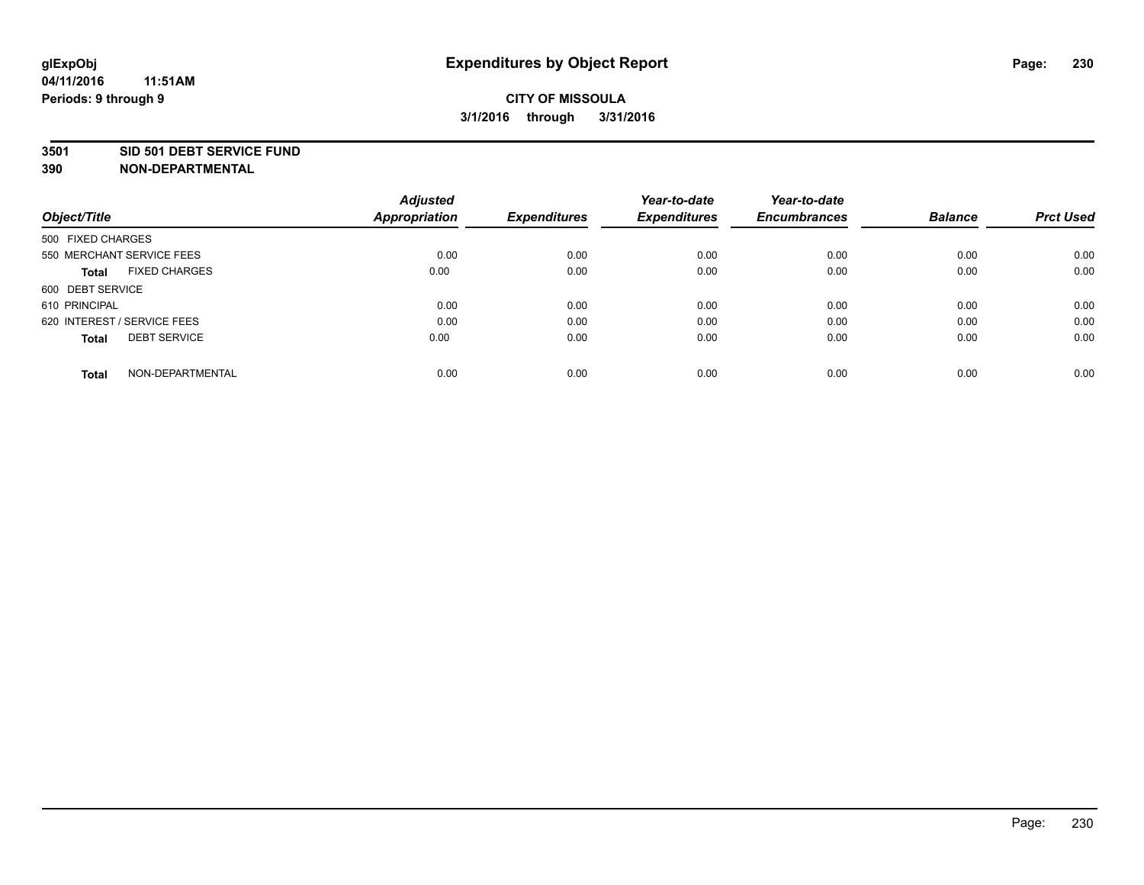#### **3501 SID 501 DEBT SERVICE FUND**

| Object/Title                         | <b>Adjusted</b><br><b>Appropriation</b> | <b>Expenditures</b> | Year-to-date<br><b>Expenditures</b> | Year-to-date<br><b>Encumbrances</b> | <b>Balance</b> | <b>Prct Used</b> |
|--------------------------------------|-----------------------------------------|---------------------|-------------------------------------|-------------------------------------|----------------|------------------|
| 500 FIXED CHARGES                    |                                         |                     |                                     |                                     |                |                  |
| 550 MERCHANT SERVICE FEES            | 0.00                                    | 0.00                | 0.00                                | 0.00                                | 0.00           | 0.00             |
| <b>FIXED CHARGES</b><br><b>Total</b> | 0.00                                    | 0.00                | 0.00                                | 0.00                                | 0.00           | 0.00             |
| 600 DEBT SERVICE                     |                                         |                     |                                     |                                     |                |                  |
| 610 PRINCIPAL                        | 0.00                                    | 0.00                | 0.00                                | 0.00                                | 0.00           | 0.00             |
| 620 INTEREST / SERVICE FEES          | 0.00                                    | 0.00                | 0.00                                | 0.00                                | 0.00           | 0.00             |
| <b>DEBT SERVICE</b><br><b>Total</b>  | 0.00                                    | 0.00                | 0.00                                | 0.00                                | 0.00           | 0.00             |
| NON-DEPARTMENTAL<br><b>Total</b>     | 0.00                                    | 0.00                | 0.00                                | 0.00                                | 0.00           | 0.00             |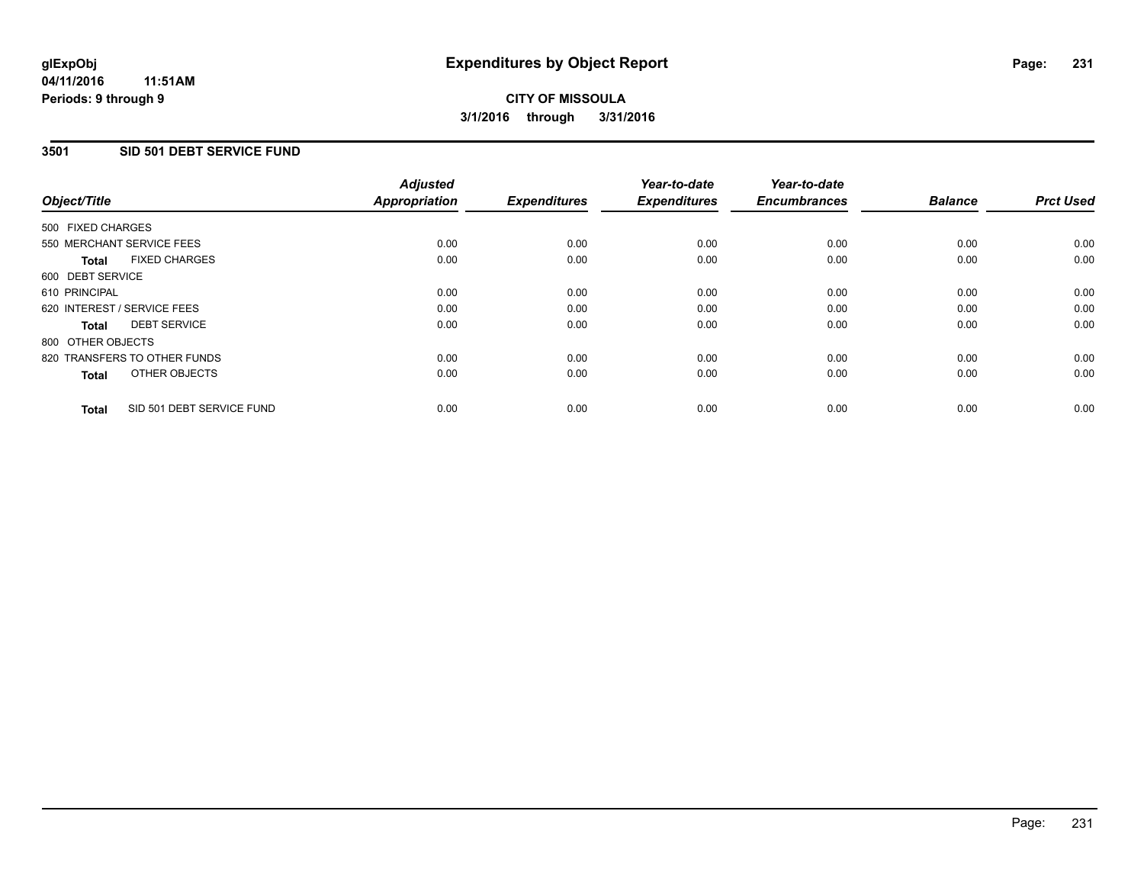### **3501 SID 501 DEBT SERVICE FUND**

| Object/Title                              | <b>Adjusted</b><br><b>Appropriation</b> | <b>Expenditures</b> | Year-to-date<br><b>Expenditures</b> | Year-to-date<br><b>Encumbrances</b> | <b>Balance</b> | <b>Prct Used</b> |
|-------------------------------------------|-----------------------------------------|---------------------|-------------------------------------|-------------------------------------|----------------|------------------|
|                                           |                                         |                     |                                     |                                     |                |                  |
| 500 FIXED CHARGES                         |                                         |                     |                                     |                                     |                |                  |
| 550 MERCHANT SERVICE FEES                 | 0.00                                    | 0.00                | 0.00                                | 0.00                                | 0.00           | 0.00             |
| <b>FIXED CHARGES</b><br>Total             | 0.00                                    | 0.00                | 0.00                                | 0.00                                | 0.00           | 0.00             |
| 600 DEBT SERVICE                          |                                         |                     |                                     |                                     |                |                  |
| 610 PRINCIPAL                             | 0.00                                    | 0.00                | 0.00                                | 0.00                                | 0.00           | 0.00             |
| 620 INTEREST / SERVICE FEES               | 0.00                                    | 0.00                | 0.00                                | 0.00                                | 0.00           | 0.00             |
| <b>DEBT SERVICE</b><br><b>Total</b>       | 0.00                                    | 0.00                | 0.00                                | 0.00                                | 0.00           | 0.00             |
| 800 OTHER OBJECTS                         |                                         |                     |                                     |                                     |                |                  |
| 820 TRANSFERS TO OTHER FUNDS              | 0.00                                    | 0.00                | 0.00                                | 0.00                                | 0.00           | 0.00             |
| OTHER OBJECTS<br><b>Total</b>             | 0.00                                    | 0.00                | 0.00                                | 0.00                                | 0.00           | 0.00             |
|                                           |                                         |                     |                                     |                                     |                |                  |
| SID 501 DEBT SERVICE FUND<br><b>Total</b> | 0.00                                    | 0.00                | 0.00                                | 0.00                                | 0.00           | 0.00             |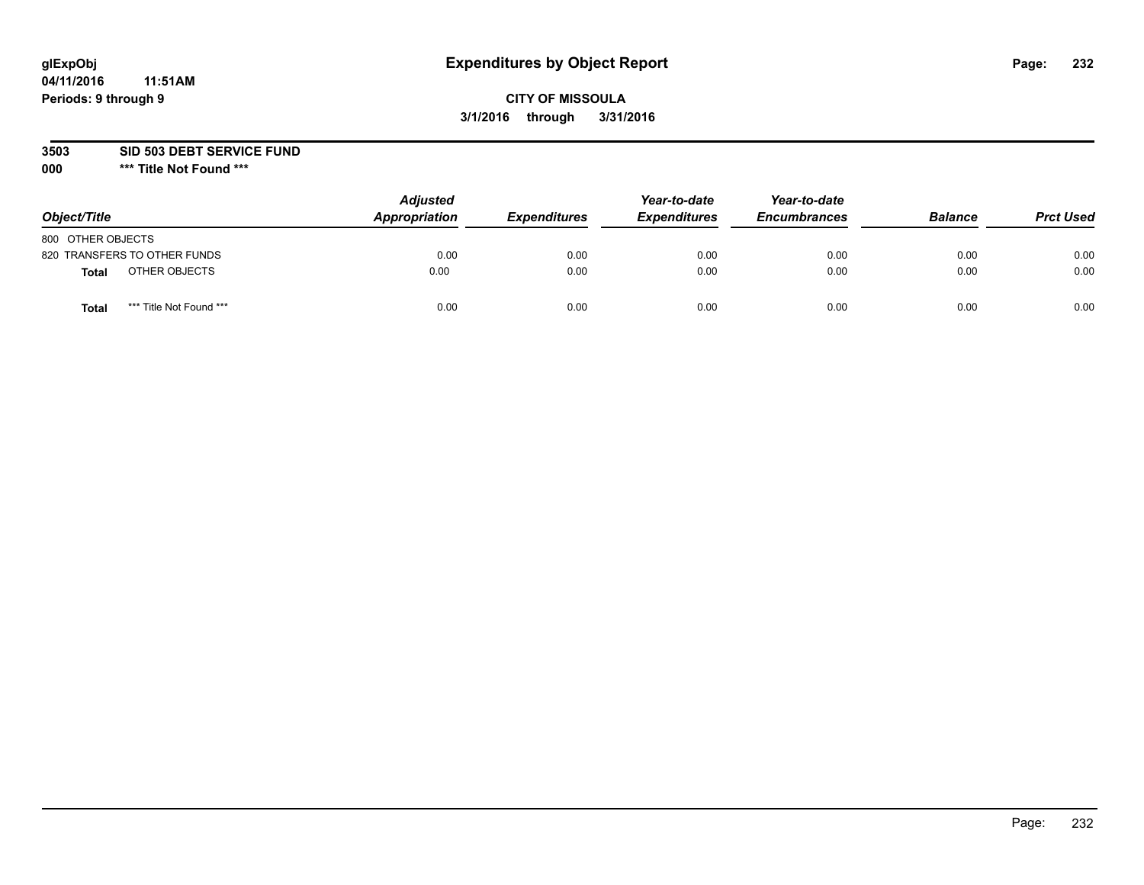# **CITY OF MISSOULA 3/1/2016 through 3/31/2016**

**3503 SID 503 DEBT SERVICE FUND**

| Object/Title                            | <b>Adjusted</b><br>Appropriation | <b>Expenditures</b> | Year-to-date<br><b>Expenditures</b> | Year-to-date<br><b>Encumbrances</b> | <b>Balance</b> | <b>Prct Used</b> |
|-----------------------------------------|----------------------------------|---------------------|-------------------------------------|-------------------------------------|----------------|------------------|
| 800 OTHER OBJECTS                       |                                  |                     |                                     |                                     |                |                  |
| 820 TRANSFERS TO OTHER FUNDS            | 0.00                             | 0.00                | 0.00                                | 0.00                                | 0.00           | 0.00             |
| OTHER OBJECTS<br><b>Total</b>           | 0.00                             | 0.00                | 0.00                                | 0.00                                | 0.00           | 0.00             |
| *** Title Not Found ***<br><b>Total</b> | 0.00                             | 0.00                | 0.00                                | 0.00                                | 0.00           | 0.00             |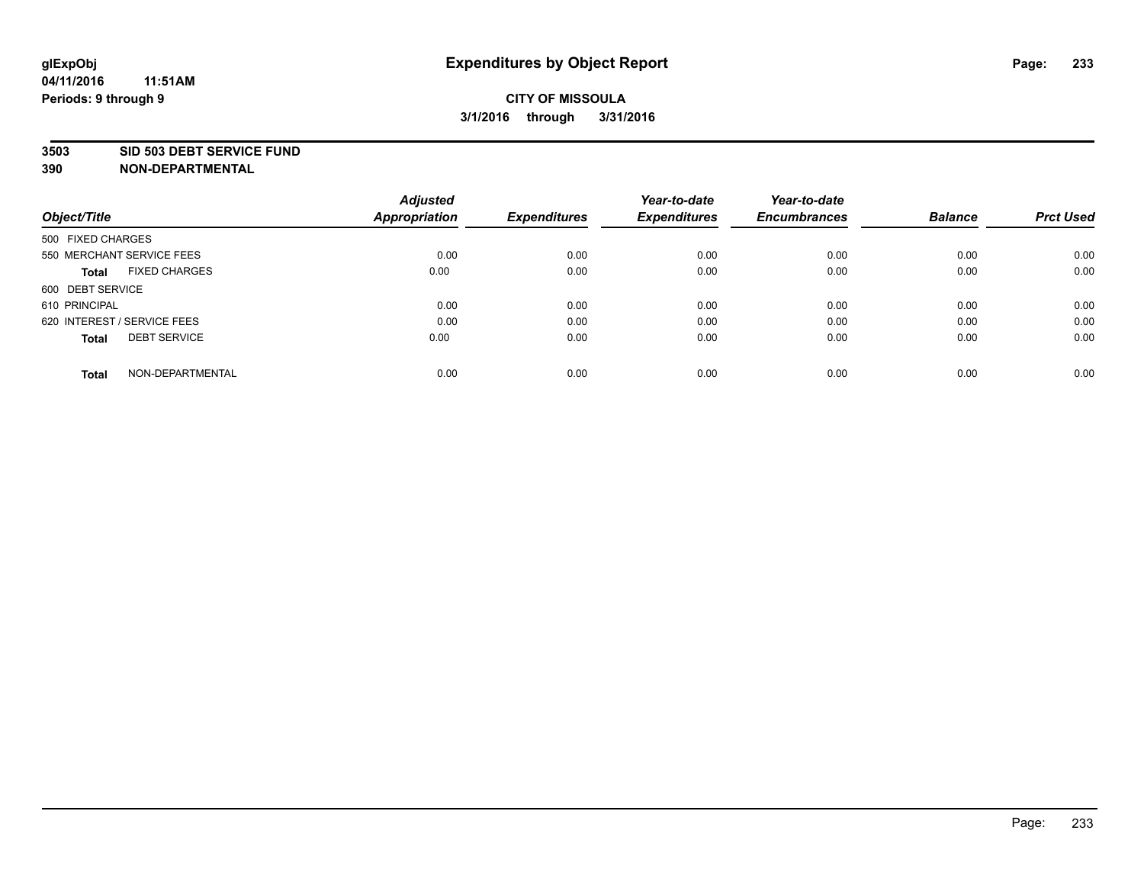#### **3503 SID 503 DEBT SERVICE FUND**

| Object/Title                         | <b>Adjusted</b><br><b>Appropriation</b> | <b>Expenditures</b> | Year-to-date<br><b>Expenditures</b> | Year-to-date<br><b>Encumbrances</b> | <b>Balance</b> | <b>Prct Used</b> |
|--------------------------------------|-----------------------------------------|---------------------|-------------------------------------|-------------------------------------|----------------|------------------|
|                                      |                                         |                     |                                     |                                     |                |                  |
| 500 FIXED CHARGES                    |                                         |                     |                                     |                                     |                |                  |
| 550 MERCHANT SERVICE FEES            | 0.00                                    | 0.00                | 0.00                                | 0.00                                | 0.00           | 0.00             |
| <b>FIXED CHARGES</b><br><b>Total</b> | 0.00                                    | 0.00                | 0.00                                | 0.00                                | 0.00           | 0.00             |
| 600 DEBT SERVICE                     |                                         |                     |                                     |                                     |                |                  |
| 610 PRINCIPAL                        | 0.00                                    | 0.00                | 0.00                                | 0.00                                | 0.00           | 0.00             |
| 620 INTEREST / SERVICE FEES          | 0.00                                    | 0.00                | 0.00                                | 0.00                                | 0.00           | 0.00             |
| <b>DEBT SERVICE</b><br><b>Total</b>  | 0.00                                    | 0.00                | 0.00                                | 0.00                                | 0.00           | 0.00             |
| NON-DEPARTMENTAL<br><b>Total</b>     | 0.00                                    | 0.00                | 0.00                                | 0.00                                | 0.00           | 0.00             |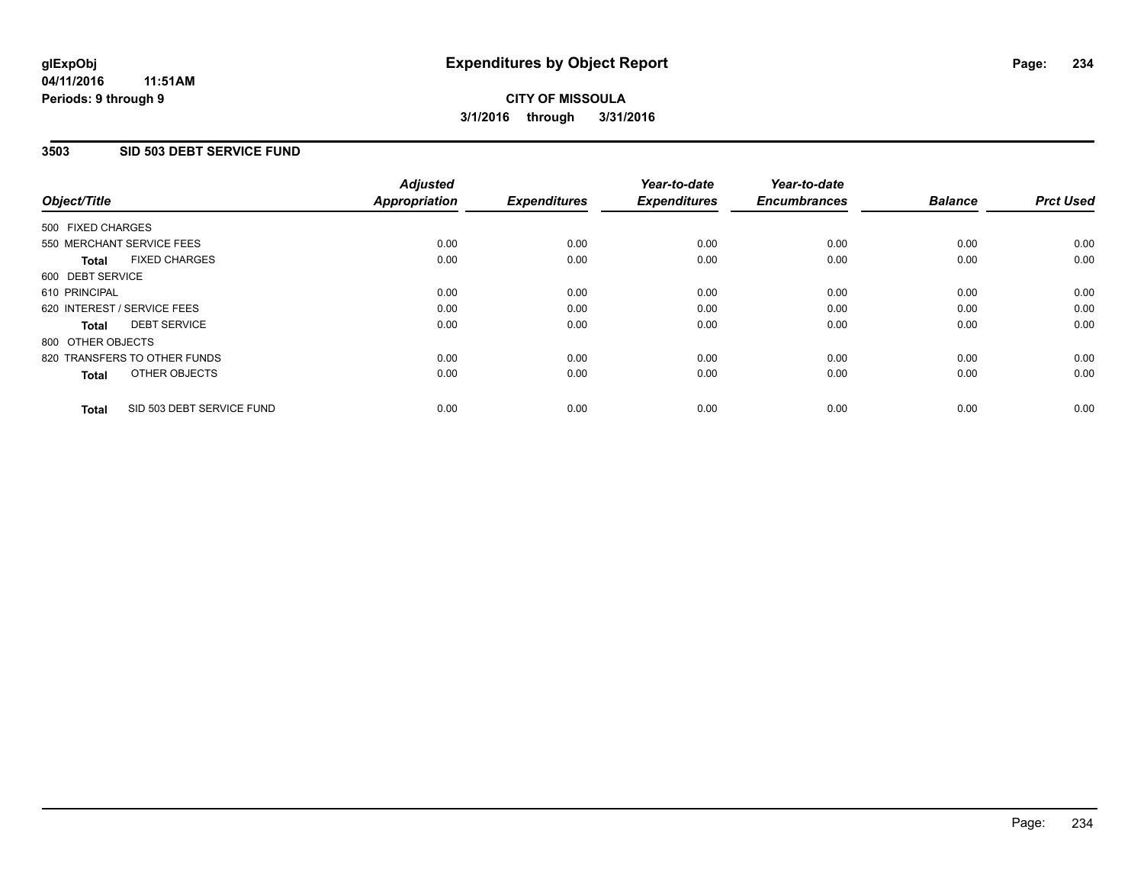### **3503 SID 503 DEBT SERVICE FUND**

| Object/Title                              | <b>Adjusted</b><br><b>Appropriation</b> | <b>Expenditures</b> | Year-to-date<br><b>Expenditures</b> | Year-to-date<br><b>Encumbrances</b> | <b>Balance</b> | <b>Prct Used</b> |
|-------------------------------------------|-----------------------------------------|---------------------|-------------------------------------|-------------------------------------|----------------|------------------|
|                                           |                                         |                     |                                     |                                     |                |                  |
| 500 FIXED CHARGES                         |                                         |                     |                                     |                                     |                |                  |
| 550 MERCHANT SERVICE FEES                 | 0.00                                    | 0.00                | 0.00                                | 0.00                                | 0.00           | 0.00             |
| <b>FIXED CHARGES</b><br>Total             | 0.00                                    | 0.00                | 0.00                                | 0.00                                | 0.00           | 0.00             |
| 600 DEBT SERVICE                          |                                         |                     |                                     |                                     |                |                  |
| 610 PRINCIPAL                             | 0.00                                    | 0.00                | 0.00                                | 0.00                                | 0.00           | 0.00             |
| 620 INTEREST / SERVICE FEES               | 0.00                                    | 0.00                | 0.00                                | 0.00                                | 0.00           | 0.00             |
| <b>DEBT SERVICE</b><br><b>Total</b>       | 0.00                                    | 0.00                | 0.00                                | 0.00                                | 0.00           | 0.00             |
| 800 OTHER OBJECTS                         |                                         |                     |                                     |                                     |                |                  |
| 820 TRANSFERS TO OTHER FUNDS              | 0.00                                    | 0.00                | 0.00                                | 0.00                                | 0.00           | 0.00             |
| OTHER OBJECTS<br><b>Total</b>             | 0.00                                    | 0.00                | 0.00                                | 0.00                                | 0.00           | 0.00             |
|                                           |                                         |                     |                                     |                                     |                |                  |
| SID 503 DEBT SERVICE FUND<br><b>Total</b> | 0.00                                    | 0.00                | 0.00                                | 0.00                                | 0.00           | 0.00             |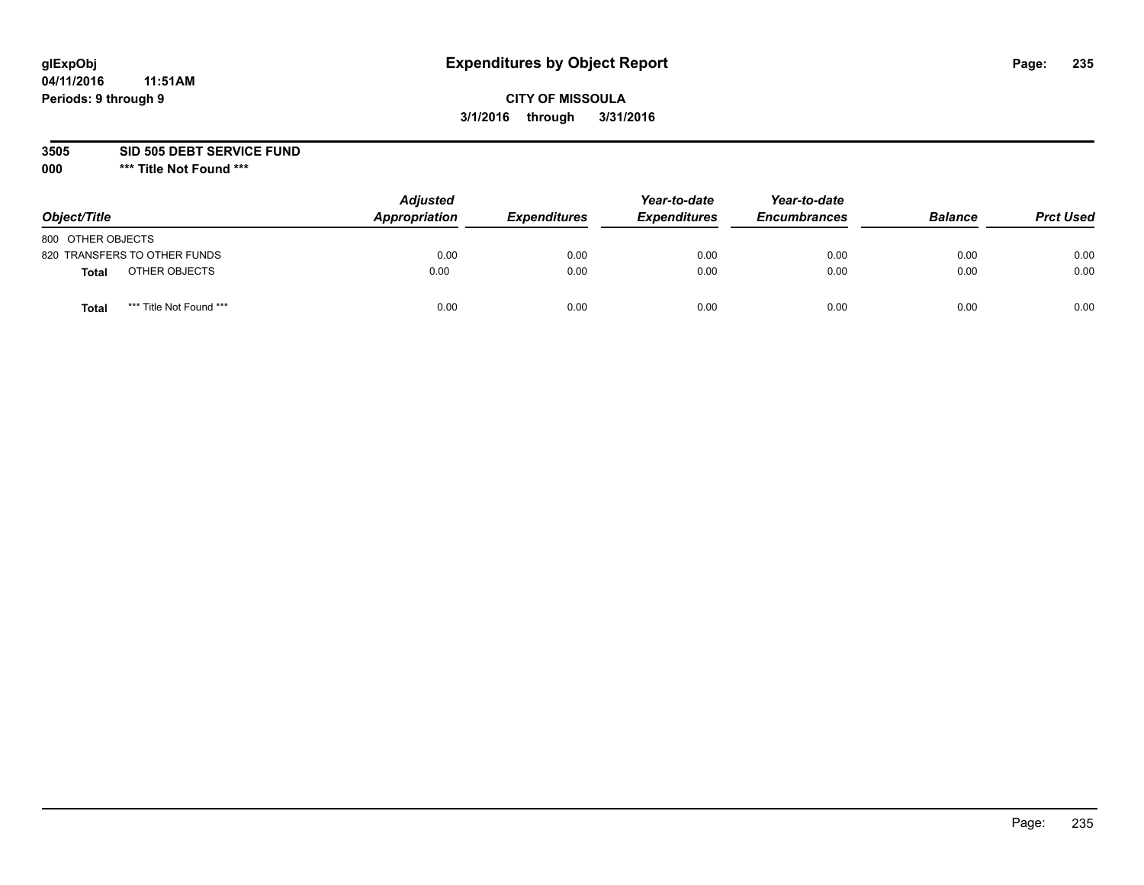# **CITY OF MISSOULA 3/1/2016 through 3/31/2016**

**3505 SID 505 DEBT SERVICE FUND**

| Object/Title                     | <b>Adjusted</b><br>Appropriation | <b>Expenditures</b> | Year-to-date<br><b>Expenditures</b> | Year-to-date<br><b>Encumbrances</b> | <b>Balance</b> | <b>Prct Used</b> |
|----------------------------------|----------------------------------|---------------------|-------------------------------------|-------------------------------------|----------------|------------------|
| 800 OTHER OBJECTS                |                                  |                     |                                     |                                     |                |                  |
| 820 TRANSFERS TO OTHER FUNDS     | 0.00                             | 0.00                | 0.00                                | 0.00                                | 0.00           | 0.00             |
| OTHER OBJECTS<br><b>Total</b>    | 0.00                             | 0.00                | 0.00                                | 0.00                                | 0.00           | 0.00             |
| *** Title Not Found ***<br>Total | 0.00                             | 0.00                | 0.00                                | 0.00                                | 0.00           | 0.00             |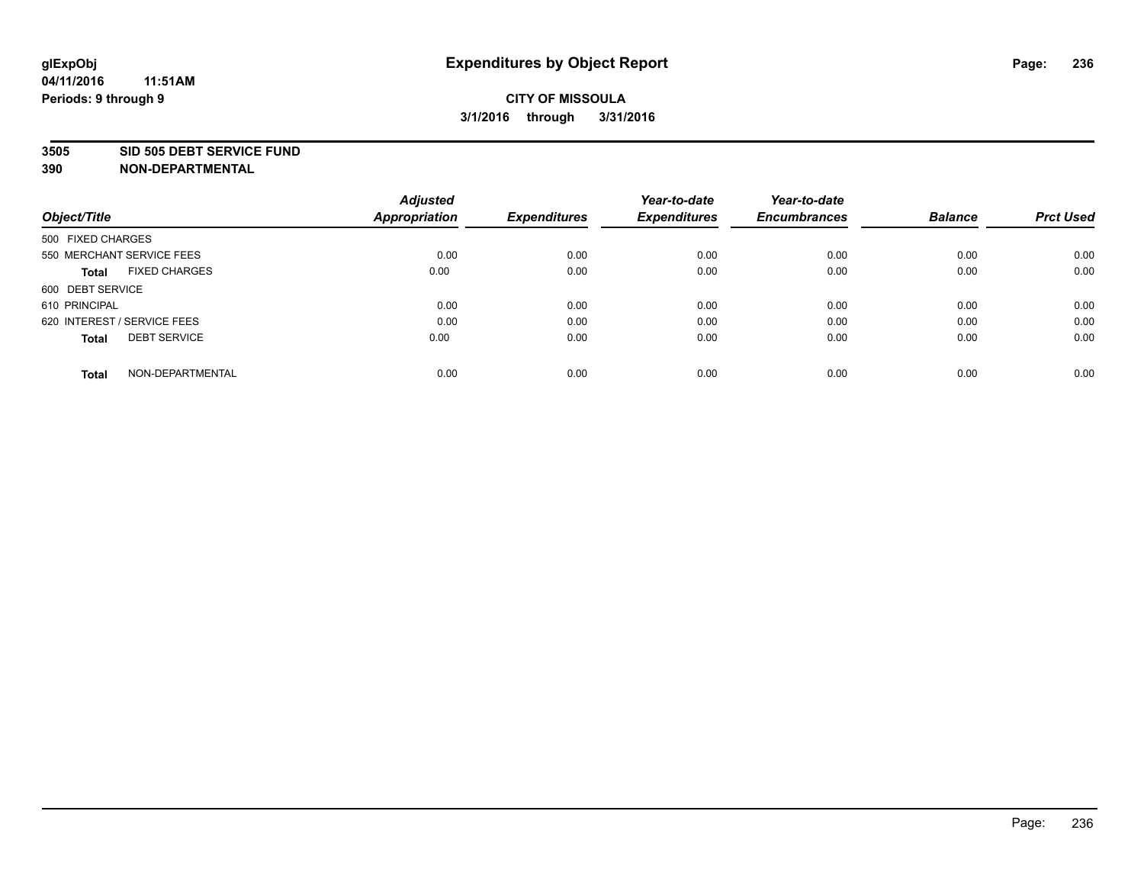#### **3505 SID 505 DEBT SERVICE FUND**

|                                      | <b>Adjusted</b>      |                     | Year-to-date        | Year-to-date        |                |                  |
|--------------------------------------|----------------------|---------------------|---------------------|---------------------|----------------|------------------|
| Object/Title                         | <b>Appropriation</b> | <b>Expenditures</b> | <b>Expenditures</b> | <b>Encumbrances</b> | <b>Balance</b> | <b>Prct Used</b> |
| 500 FIXED CHARGES                    |                      |                     |                     |                     |                |                  |
| 550 MERCHANT SERVICE FEES            | 0.00                 | 0.00                | 0.00                | 0.00                | 0.00           | 0.00             |
| <b>FIXED CHARGES</b><br><b>Total</b> | 0.00                 | 0.00                | 0.00                | 0.00                | 0.00           | 0.00             |
| 600 DEBT SERVICE                     |                      |                     |                     |                     |                |                  |
| 610 PRINCIPAL                        | 0.00                 | 0.00                | 0.00                | 0.00                | 0.00           | 0.00             |
| 620 INTEREST / SERVICE FEES          | 0.00                 | 0.00                | 0.00                | 0.00                | 0.00           | 0.00             |
| <b>DEBT SERVICE</b><br><b>Total</b>  | 0.00                 | 0.00                | 0.00                | 0.00                | 0.00           | 0.00             |
| NON-DEPARTMENTAL<br><b>Total</b>     | 0.00                 | 0.00                | 0.00                | 0.00                | 0.00           | 0.00             |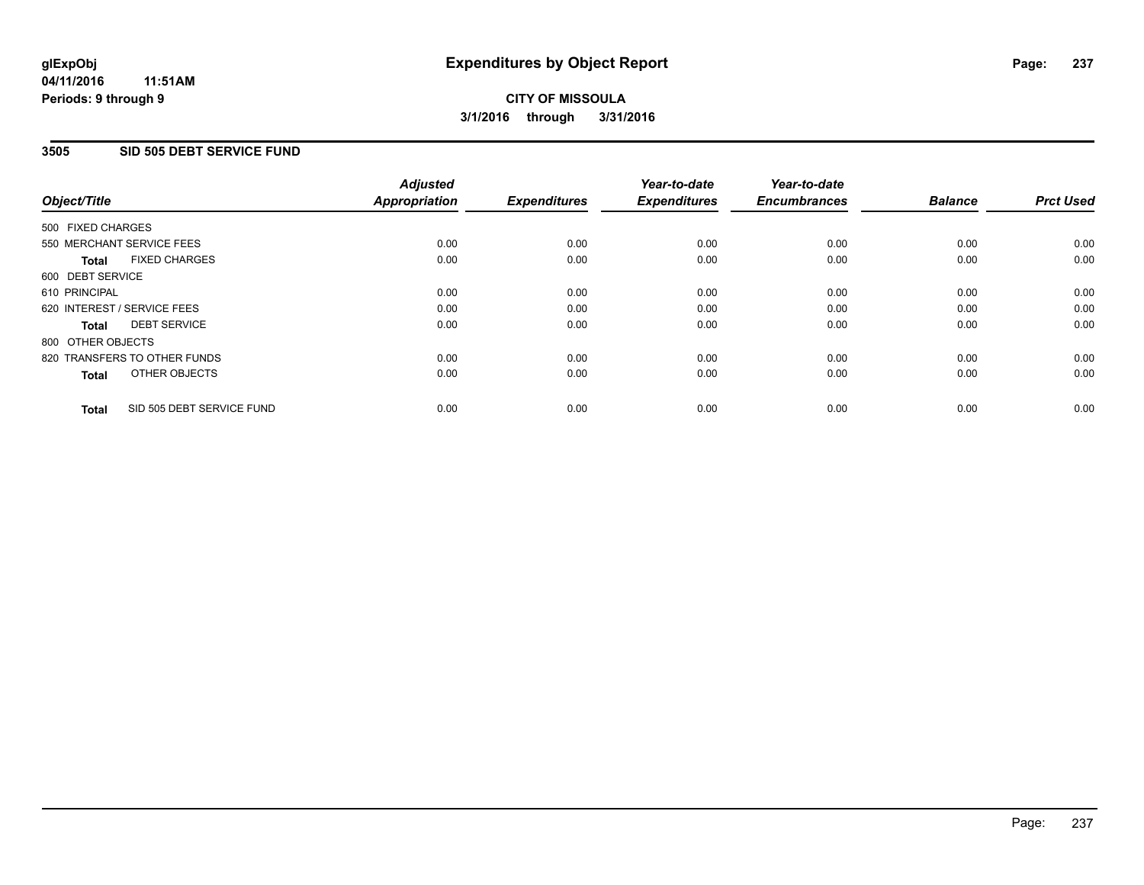### **3505 SID 505 DEBT SERVICE FUND**

| Object/Title                              | <b>Adjusted</b><br><b>Appropriation</b> | <b>Expenditures</b> | Year-to-date<br><b>Expenditures</b> | Year-to-date<br><b>Encumbrances</b> | <b>Balance</b> | <b>Prct Used</b> |
|-------------------------------------------|-----------------------------------------|---------------------|-------------------------------------|-------------------------------------|----------------|------------------|
|                                           |                                         |                     |                                     |                                     |                |                  |
| 500 FIXED CHARGES                         |                                         |                     |                                     |                                     |                |                  |
| 550 MERCHANT SERVICE FEES                 | 0.00                                    | 0.00                | 0.00                                | 0.00                                | 0.00           | 0.00             |
| <b>FIXED CHARGES</b><br><b>Total</b>      | 0.00                                    | 0.00                | 0.00                                | 0.00                                | 0.00           | 0.00             |
| 600 DEBT SERVICE                          |                                         |                     |                                     |                                     |                |                  |
| 610 PRINCIPAL                             | 0.00                                    | 0.00                | 0.00                                | 0.00                                | 0.00           | 0.00             |
| 620 INTEREST / SERVICE FEES               | 0.00                                    | 0.00                | 0.00                                | 0.00                                | 0.00           | 0.00             |
| <b>DEBT SERVICE</b><br><b>Total</b>       | 0.00                                    | 0.00                | 0.00                                | 0.00                                | 0.00           | 0.00             |
| 800 OTHER OBJECTS                         |                                         |                     |                                     |                                     |                |                  |
| 820 TRANSFERS TO OTHER FUNDS              | 0.00                                    | 0.00                | 0.00                                | 0.00                                | 0.00           | 0.00             |
| OTHER OBJECTS<br><b>Total</b>             | 0.00                                    | 0.00                | 0.00                                | 0.00                                | 0.00           | 0.00             |
| SID 505 DEBT SERVICE FUND<br><b>Total</b> | 0.00                                    | 0.00                | 0.00                                | 0.00                                | 0.00           | 0.00             |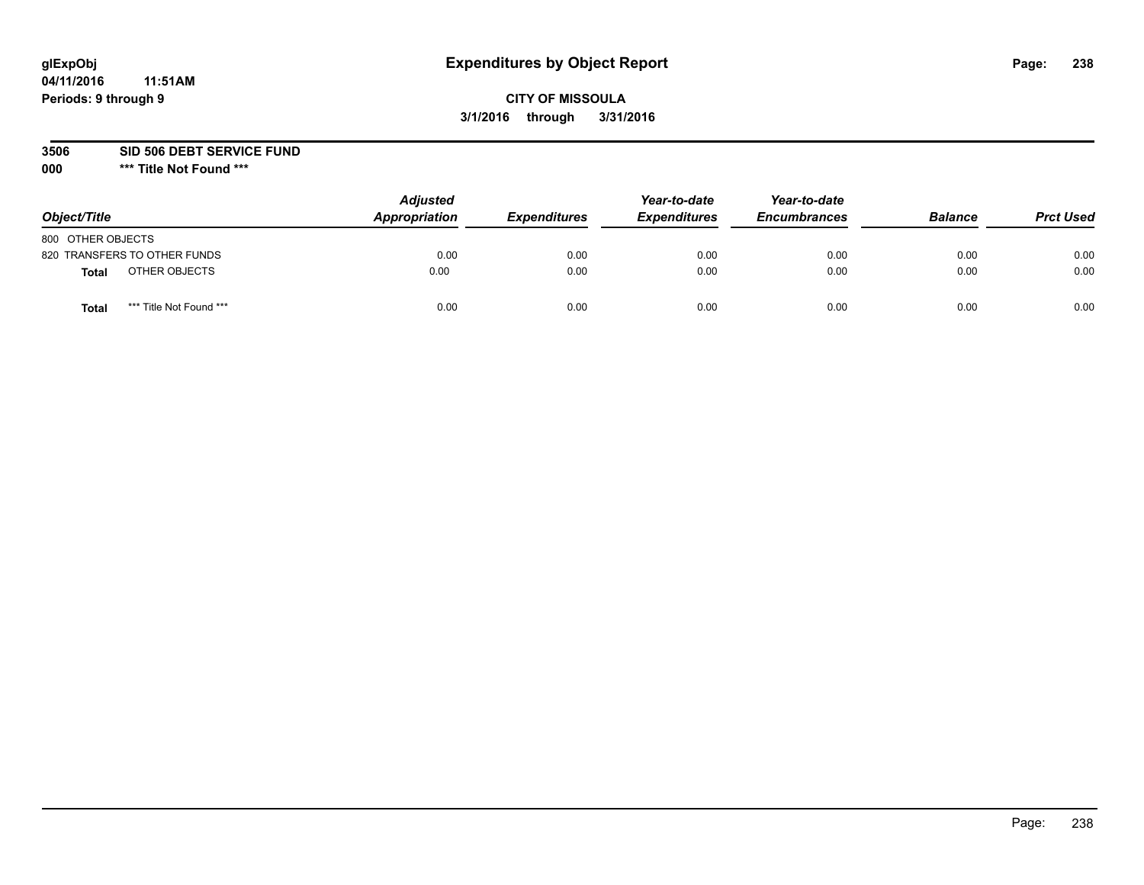# **CITY OF MISSOULA 3/1/2016 through 3/31/2016**

**3506 SID 506 DEBT SERVICE FUND**

| Object/Title                     | <b>Adjusted</b><br>Appropriation | <b>Expenditures</b> | Year-to-date<br><b>Expenditures</b> | Year-to-date<br><b>Encumbrances</b> | <b>Balance</b> | <b>Prct Used</b> |
|----------------------------------|----------------------------------|---------------------|-------------------------------------|-------------------------------------|----------------|------------------|
| 800 OTHER OBJECTS                |                                  |                     |                                     |                                     |                |                  |
| 820 TRANSFERS TO OTHER FUNDS     | 0.00                             | 0.00                | 0.00                                | 0.00                                | 0.00           | 0.00             |
| OTHER OBJECTS<br><b>Total</b>    | 0.00                             | 0.00                | 0.00                                | 0.00                                | 0.00           | 0.00             |
| *** Title Not Found ***<br>Total | 0.00                             | 0.00                | 0.00                                | 0.00                                | 0.00           | 0.00             |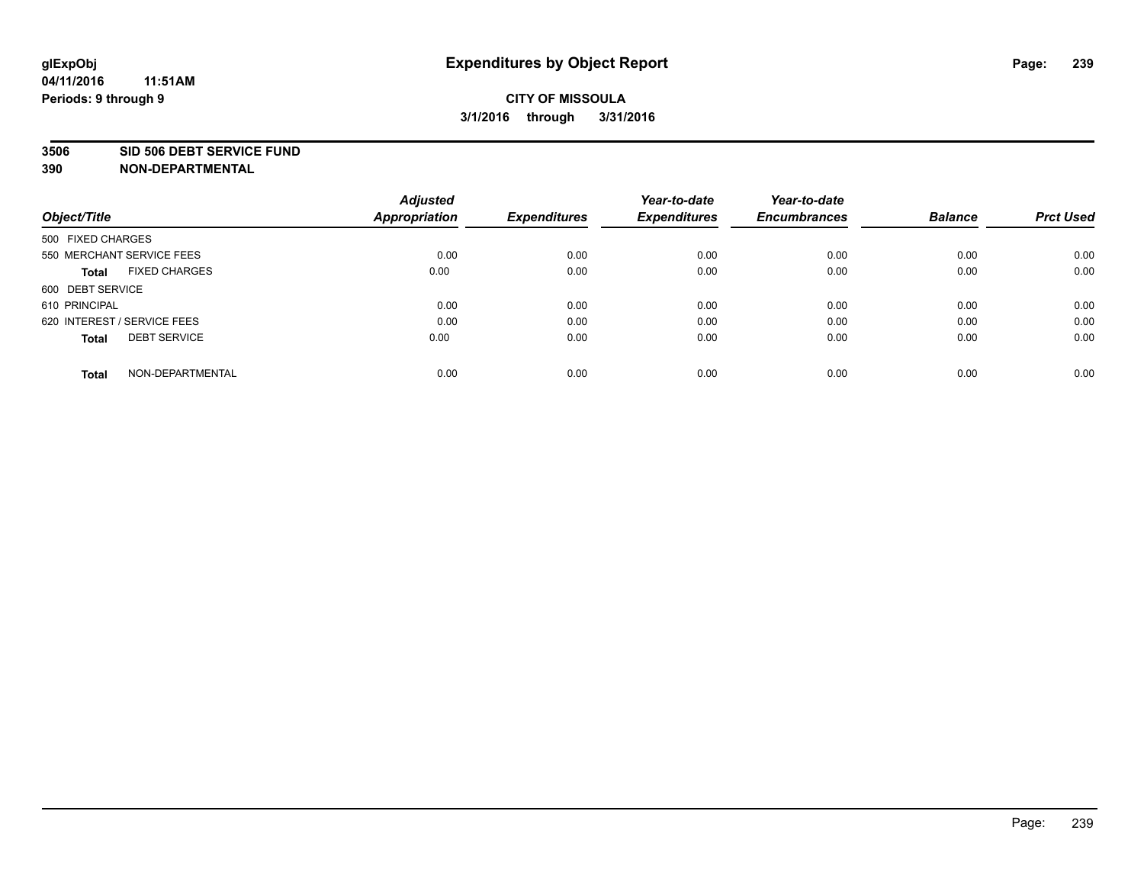#### **3506 SID 506 DEBT SERVICE FUND**

|                                      | <b>Adjusted</b>      |                     | Year-to-date        | Year-to-date        |                |                  |
|--------------------------------------|----------------------|---------------------|---------------------|---------------------|----------------|------------------|
| Object/Title                         | <b>Appropriation</b> | <b>Expenditures</b> | <b>Expenditures</b> | <b>Encumbrances</b> | <b>Balance</b> | <b>Prct Used</b> |
| 500 FIXED CHARGES                    |                      |                     |                     |                     |                |                  |
| 550 MERCHANT SERVICE FEES            | 0.00                 | 0.00                | 0.00                | 0.00                | 0.00           | 0.00             |
| <b>FIXED CHARGES</b><br><b>Total</b> | 0.00                 | 0.00                | 0.00                | 0.00                | 0.00           | 0.00             |
| 600 DEBT SERVICE                     |                      |                     |                     |                     |                |                  |
| 610 PRINCIPAL                        | 0.00                 | 0.00                | 0.00                | 0.00                | 0.00           | 0.00             |
| 620 INTEREST / SERVICE FEES          | 0.00                 | 0.00                | 0.00                | 0.00                | 0.00           | 0.00             |
| <b>DEBT SERVICE</b><br><b>Total</b>  | 0.00                 | 0.00                | 0.00                | 0.00                | 0.00           | 0.00             |
| NON-DEPARTMENTAL<br><b>Total</b>     | 0.00                 | 0.00                | 0.00                | 0.00                | 0.00           | 0.00             |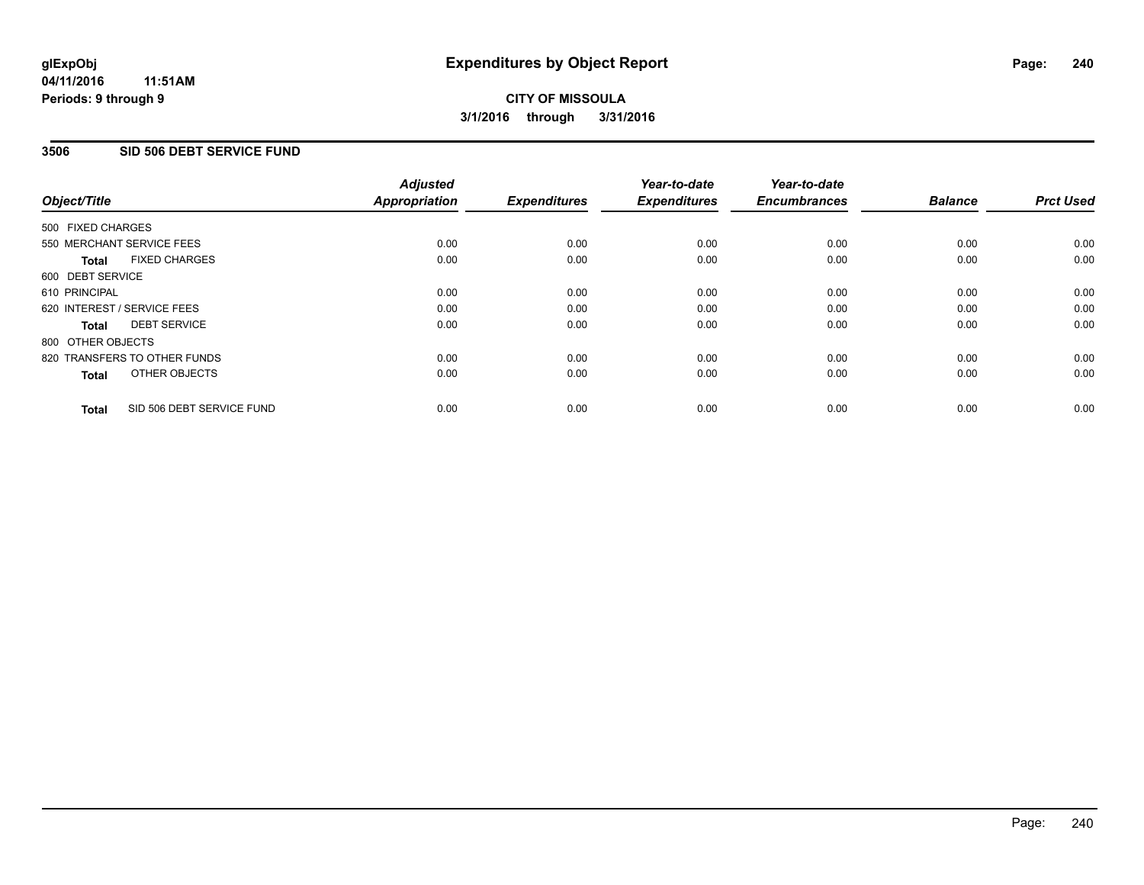### **3506 SID 506 DEBT SERVICE FUND**

| Object/Title      |                              | <b>Adjusted</b><br>Appropriation | <b>Expenditures</b> | Year-to-date<br><b>Expenditures</b> | Year-to-date<br><b>Encumbrances</b> | <b>Balance</b> | <b>Prct Used</b> |
|-------------------|------------------------------|----------------------------------|---------------------|-------------------------------------|-------------------------------------|----------------|------------------|
| 500 FIXED CHARGES |                              |                                  |                     |                                     |                                     |                |                  |
|                   | 550 MERCHANT SERVICE FEES    | 0.00                             | 0.00                | 0.00                                | 0.00                                | 0.00           | 0.00             |
| <b>Total</b>      | <b>FIXED CHARGES</b>         | 0.00                             | 0.00                | 0.00                                | 0.00                                | 0.00           | 0.00             |
| 600 DEBT SERVICE  |                              |                                  |                     |                                     |                                     |                |                  |
| 610 PRINCIPAL     |                              | 0.00                             | 0.00                | 0.00                                | 0.00                                | 0.00           | 0.00             |
|                   | 620 INTEREST / SERVICE FEES  | 0.00                             | 0.00                | 0.00                                | 0.00                                | 0.00           | 0.00             |
| Total             | <b>DEBT SERVICE</b>          | 0.00                             | 0.00                | 0.00                                | 0.00                                | 0.00           | 0.00             |
| 800 OTHER OBJECTS |                              |                                  |                     |                                     |                                     |                |                  |
|                   | 820 TRANSFERS TO OTHER FUNDS | 0.00                             | 0.00                | 0.00                                | 0.00                                | 0.00           | 0.00             |
| <b>Total</b>      | OTHER OBJECTS                | 0.00                             | 0.00                | 0.00                                | 0.00                                | 0.00           | 0.00             |
| <b>Total</b>      | SID 506 DEBT SERVICE FUND    | 0.00                             | 0.00                | 0.00                                | 0.00                                | 0.00           | 0.00             |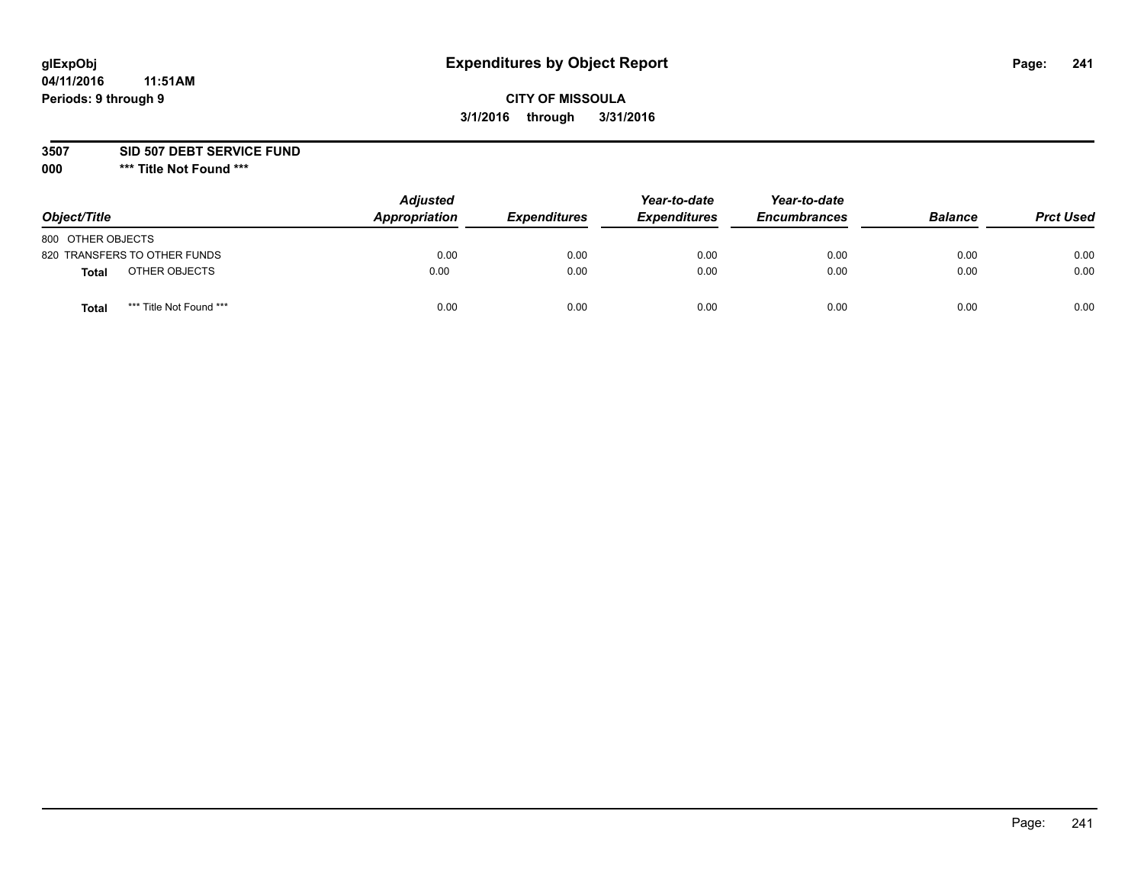# **CITY OF MISSOULA 3/1/2016 through 3/31/2016**

**3507 SID 507 DEBT SERVICE FUND**

| Object/Title                            | <b>Adjusted</b><br>Appropriation | <b>Expenditures</b> | Year-to-date<br><b>Expenditures</b> | Year-to-date<br><b>Encumbrances</b> | <b>Balance</b> | <b>Prct Used</b> |
|-----------------------------------------|----------------------------------|---------------------|-------------------------------------|-------------------------------------|----------------|------------------|
| 800 OTHER OBJECTS                       |                                  |                     |                                     |                                     |                |                  |
| 820 TRANSFERS TO OTHER FUNDS            | 0.00                             | 0.00                | 0.00                                | 0.00                                | 0.00           | 0.00             |
| OTHER OBJECTS<br><b>Total</b>           | 0.00                             | 0.00                | 0.00                                | 0.00                                | 0.00           | 0.00             |
| *** Title Not Found ***<br><b>Total</b> | 0.00                             | 0.00                | 0.00                                | 0.00                                | 0.00           | 0.00             |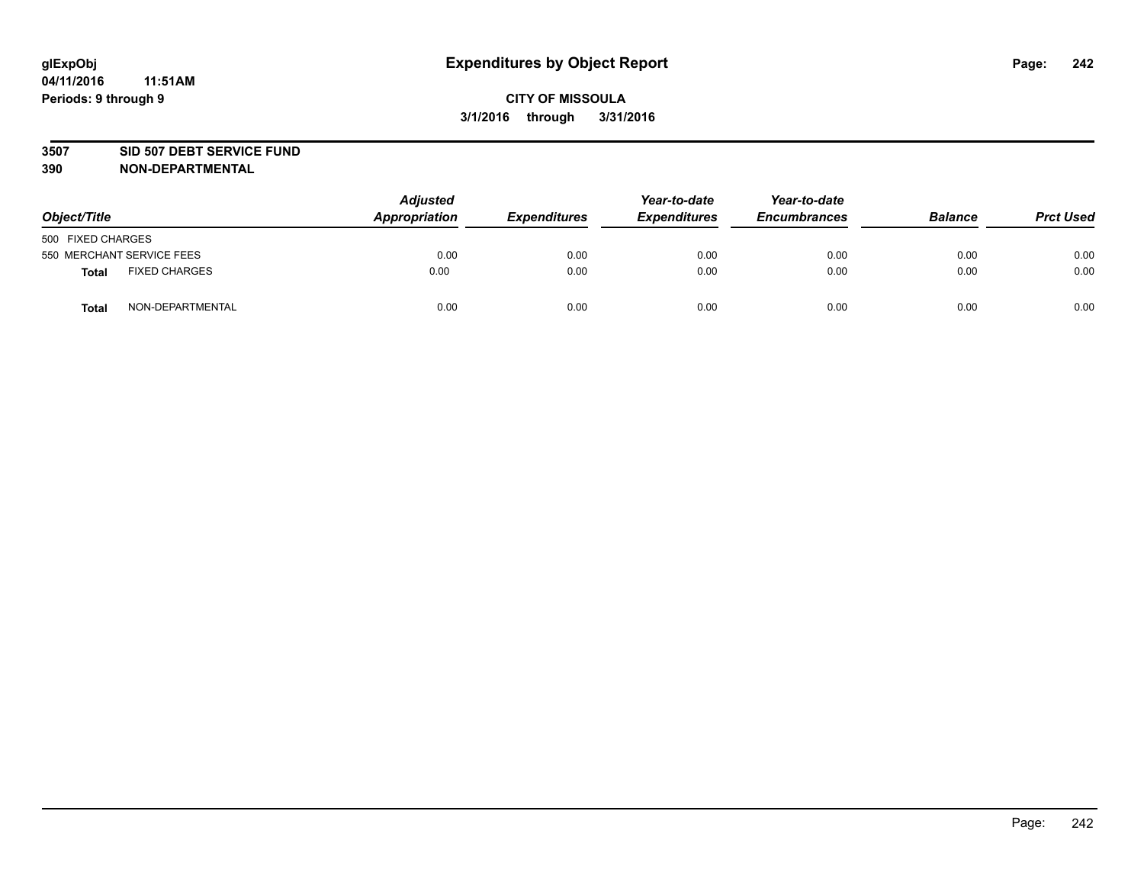#### **3507 SID 507 DEBT SERVICE FUND**

| Object/Title      |                           | <b>Adjusted</b><br>Appropriation | <b>Expenditures</b> | Year-to-date<br><b>Expenditures</b> | Year-to-date<br><b>Encumbrances</b> | <b>Balance</b> | <b>Prct Used</b> |
|-------------------|---------------------------|----------------------------------|---------------------|-------------------------------------|-------------------------------------|----------------|------------------|
| 500 FIXED CHARGES |                           |                                  |                     |                                     |                                     |                |                  |
|                   | 550 MERCHANT SERVICE FEES | 0.00                             | 0.00                | 0.00                                | 0.00                                | 0.00           | 0.00             |
| <b>Total</b>      | <b>FIXED CHARGES</b>      | 0.00                             | 0.00                | 0.00                                | 0.00                                | 0.00           | 0.00             |
| <b>Total</b>      | NON-DEPARTMENTAL          | 0.00                             | 0.00                | 0.00                                | 0.00                                | 0.00           | 0.00             |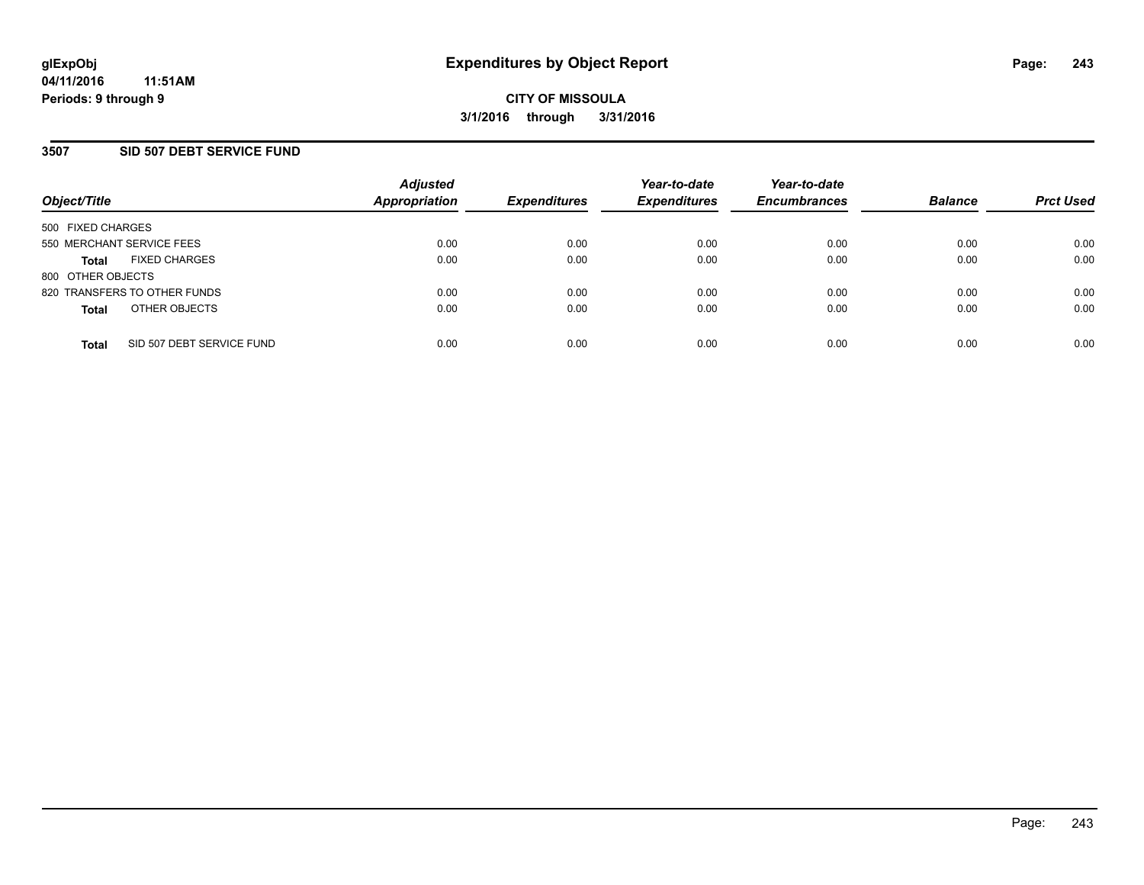### **3507 SID 507 DEBT SERVICE FUND**

| Object/Title                              | <b>Adjusted</b><br><b>Appropriation</b> | <b>Expenditures</b> | Year-to-date<br><b>Expenditures</b> | Year-to-date<br><b>Encumbrances</b> | <b>Balance</b> | <b>Prct Used</b> |
|-------------------------------------------|-----------------------------------------|---------------------|-------------------------------------|-------------------------------------|----------------|------------------|
| 500 FIXED CHARGES                         |                                         |                     |                                     |                                     |                |                  |
| 550 MERCHANT SERVICE FEES                 | 0.00                                    | 0.00                | 0.00                                | 0.00                                | 0.00           | 0.00             |
| <b>FIXED CHARGES</b><br><b>Total</b>      | 0.00                                    | 0.00                | 0.00                                | 0.00                                | 0.00           | 0.00             |
| 800 OTHER OBJECTS                         |                                         |                     |                                     |                                     |                |                  |
| 820 TRANSFERS TO OTHER FUNDS              | 0.00                                    | 0.00                | 0.00                                | 0.00                                | 0.00           | 0.00             |
| OTHER OBJECTS<br><b>Total</b>             | 0.00                                    | 0.00                | 0.00                                | 0.00                                | 0.00           | 0.00             |
| SID 507 DEBT SERVICE FUND<br><b>Total</b> | 0.00                                    | 0.00                | 0.00                                | 0.00                                | 0.00           | 0.00             |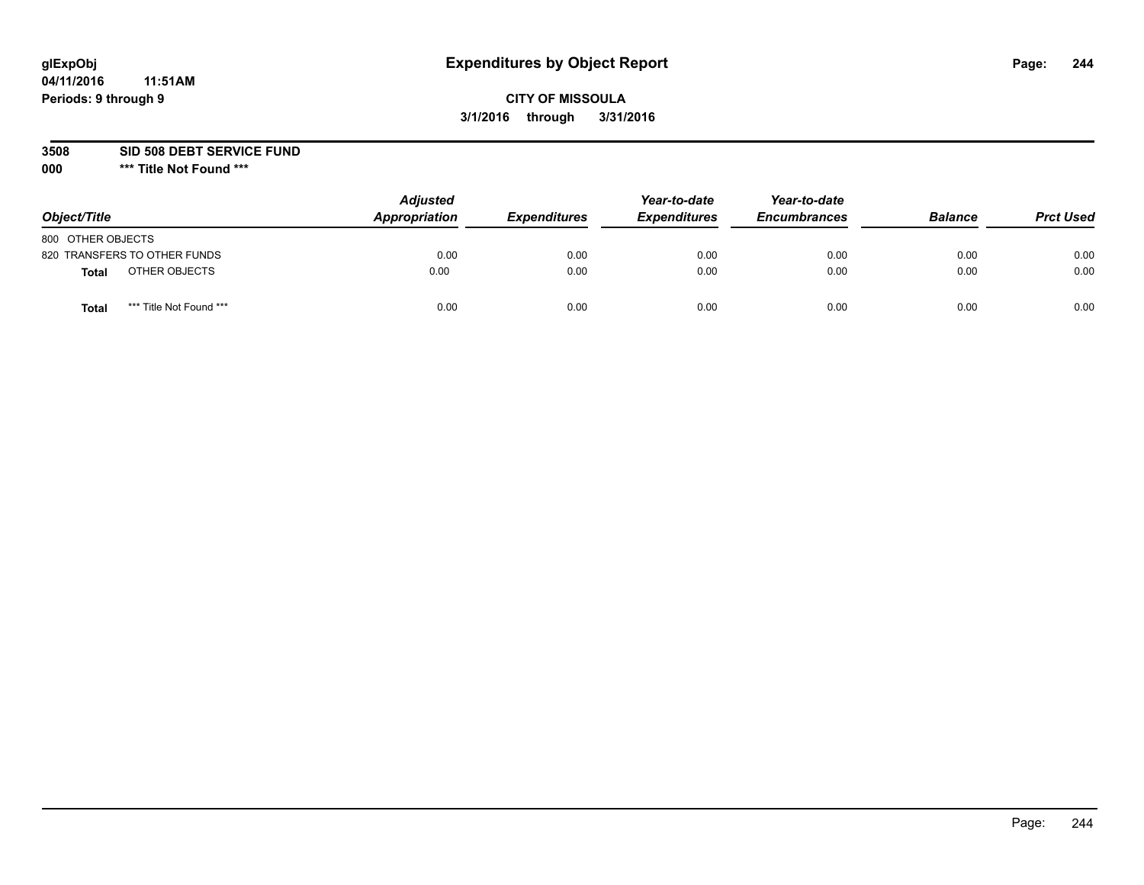# **CITY OF MISSOULA 3/1/2016 through 3/31/2016**

**3508 SID 508 DEBT SERVICE FUND**

| Object/Title                     | <b>Adjusted</b><br>Appropriation | <b>Expenditures</b> | Year-to-date<br><b>Expenditures</b> | Year-to-date<br><b>Encumbrances</b> | <b>Balance</b> | <b>Prct Used</b> |
|----------------------------------|----------------------------------|---------------------|-------------------------------------|-------------------------------------|----------------|------------------|
| 800 OTHER OBJECTS                |                                  |                     |                                     |                                     |                |                  |
| 820 TRANSFERS TO OTHER FUNDS     | 0.00                             | 0.00                | 0.00                                | 0.00                                | 0.00           | 0.00             |
| OTHER OBJECTS<br><b>Total</b>    | 0.00                             | 0.00                | 0.00                                | 0.00                                | 0.00           | 0.00             |
| *** Title Not Found ***<br>Total | 0.00                             | 0.00                | 0.00                                | 0.00                                | 0.00           | 0.00             |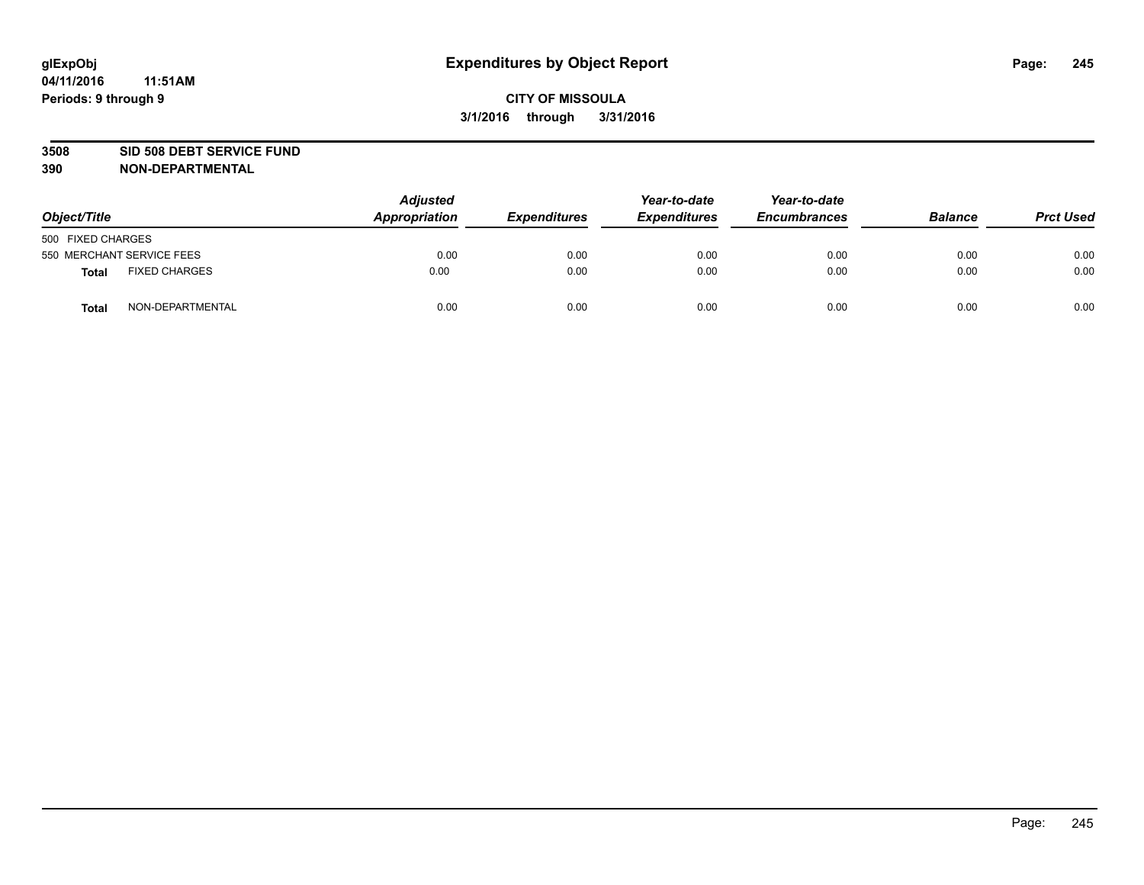#### **3508 SID 508 DEBT SERVICE FUND**

| Object/Title      |                           | <b>Adjusted</b><br>Appropriation | <b>Expenditures</b> | Year-to-date<br><b>Expenditures</b> | Year-to-date<br><b>Encumbrances</b> | <b>Balance</b> | <b>Prct Used</b> |
|-------------------|---------------------------|----------------------------------|---------------------|-------------------------------------|-------------------------------------|----------------|------------------|
| 500 FIXED CHARGES |                           |                                  |                     |                                     |                                     |                |                  |
|                   | 550 MERCHANT SERVICE FEES | 0.00                             | 0.00                | 0.00                                | 0.00                                | 0.00           | 0.00             |
| <b>Total</b>      | <b>FIXED CHARGES</b>      | 0.00                             | 0.00                | 0.00                                | 0.00                                | 0.00           | 0.00             |
| <b>Total</b>      | NON-DEPARTMENTAL          | 0.00                             | 0.00                | 0.00                                | 0.00                                | 0.00           | 0.00             |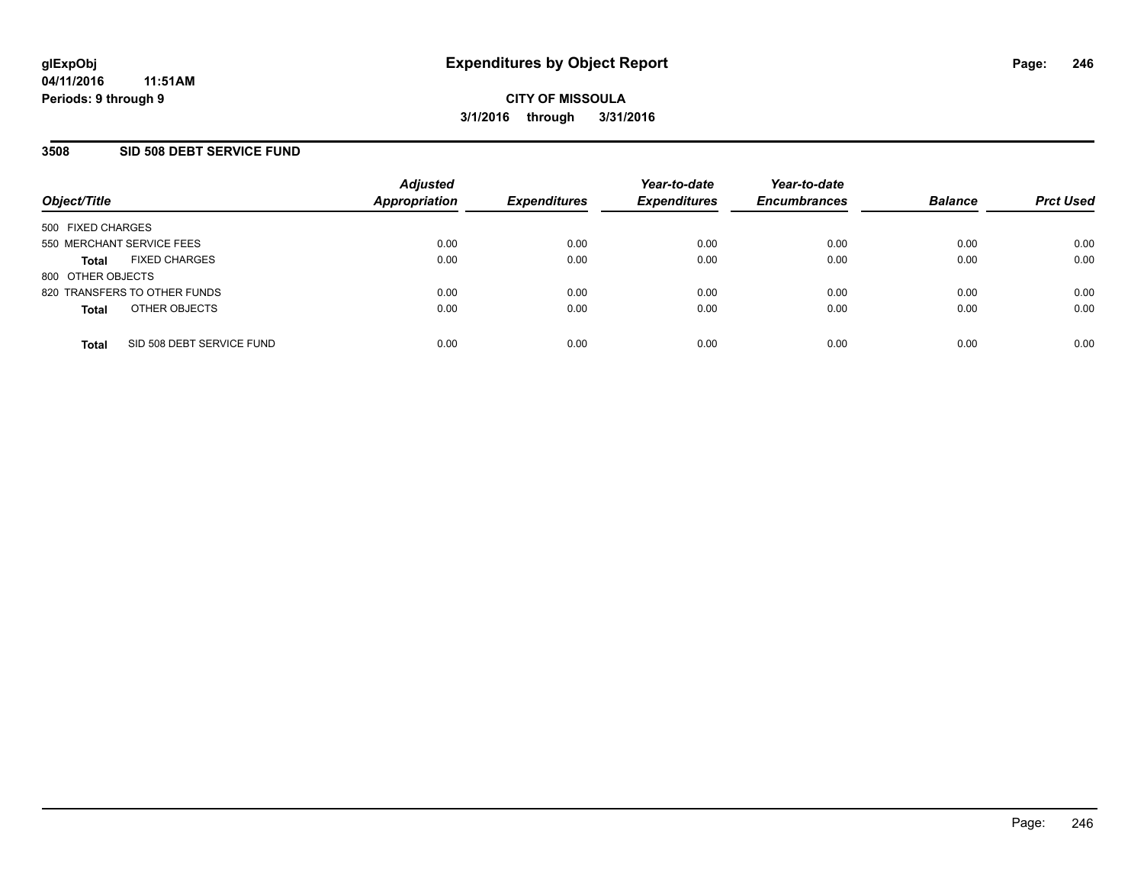### **3508 SID 508 DEBT SERVICE FUND**

| Object/Title                              | <b>Adjusted</b><br><b>Appropriation</b> | <b>Expenditures</b> | Year-to-date<br><b>Expenditures</b> | Year-to-date<br><b>Encumbrances</b> | <b>Balance</b> | <b>Prct Used</b> |
|-------------------------------------------|-----------------------------------------|---------------------|-------------------------------------|-------------------------------------|----------------|------------------|
| 500 FIXED CHARGES                         |                                         |                     |                                     |                                     |                |                  |
| 550 MERCHANT SERVICE FEES                 | 0.00                                    | 0.00                | 0.00                                | 0.00                                | 0.00           | 0.00             |
| <b>FIXED CHARGES</b><br><b>Total</b>      | 0.00                                    | 0.00                | 0.00                                | 0.00                                | 0.00           | 0.00             |
| 800 OTHER OBJECTS                         |                                         |                     |                                     |                                     |                |                  |
| 820 TRANSFERS TO OTHER FUNDS              | 0.00                                    | 0.00                | 0.00                                | 0.00                                | 0.00           | 0.00             |
| OTHER OBJECTS<br><b>Total</b>             | 0.00                                    | 0.00                | 0.00                                | 0.00                                | 0.00           | 0.00             |
| SID 508 DEBT SERVICE FUND<br><b>Total</b> | 0.00                                    | 0.00                | 0.00                                | 0.00                                | 0.00           | 0.00             |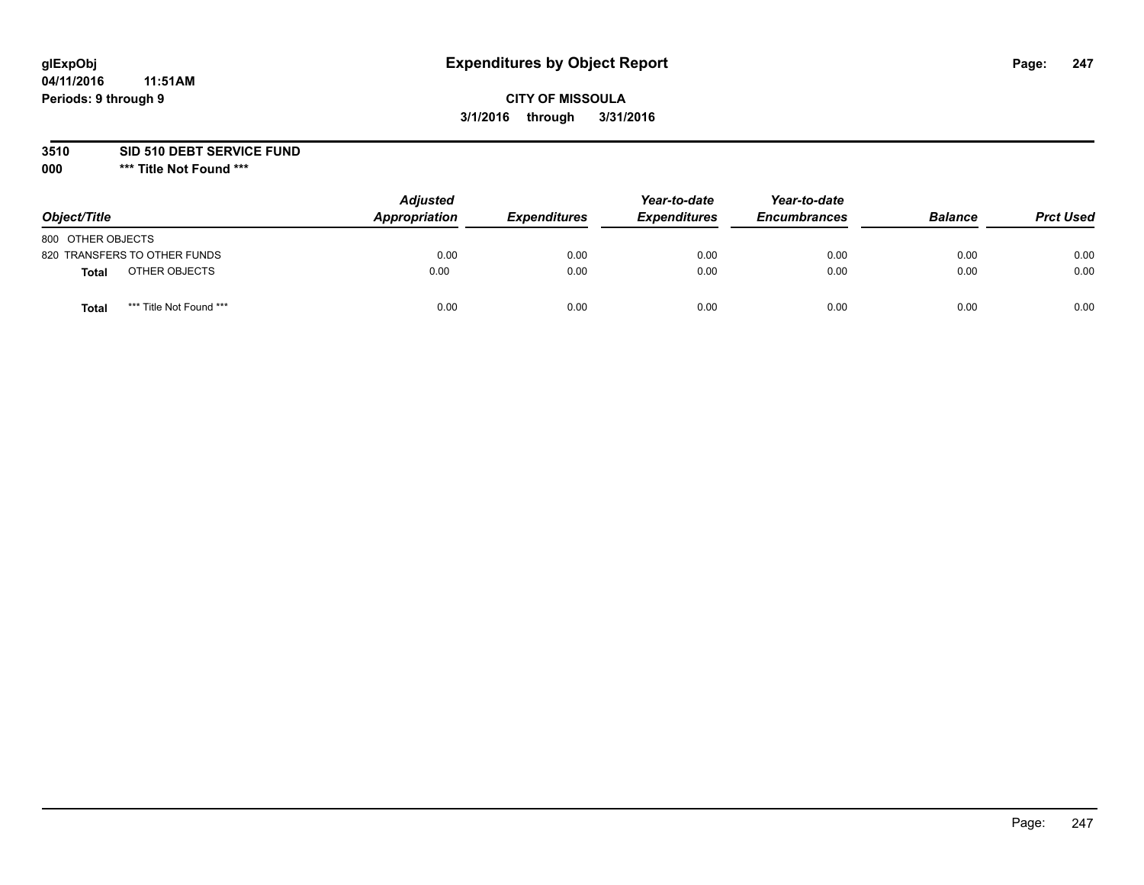# **CITY OF MISSOULA 3/1/2016 through 3/31/2016**

#### **3510 SID 510 DEBT SERVICE FUND**

| Object/Title                     | <b>Adjusted</b><br>Appropriation | <b>Expenditures</b> | Year-to-date<br><b>Expenditures</b> | Year-to-date<br><b>Encumbrances</b> | <b>Balance</b> | <b>Prct Used</b> |
|----------------------------------|----------------------------------|---------------------|-------------------------------------|-------------------------------------|----------------|------------------|
| 800 OTHER OBJECTS                |                                  |                     |                                     |                                     |                |                  |
| 820 TRANSFERS TO OTHER FUNDS     | 0.00                             | 0.00                | 0.00                                | 0.00                                | 0.00           | 0.00             |
| OTHER OBJECTS<br>Total           | 0.00                             | 0.00                | 0.00                                | 0.00                                | 0.00           | 0.00             |
| *** Title Not Found ***<br>Total | 0.00                             | 0.00                | 0.00                                | 0.00                                | 0.00           | 0.00             |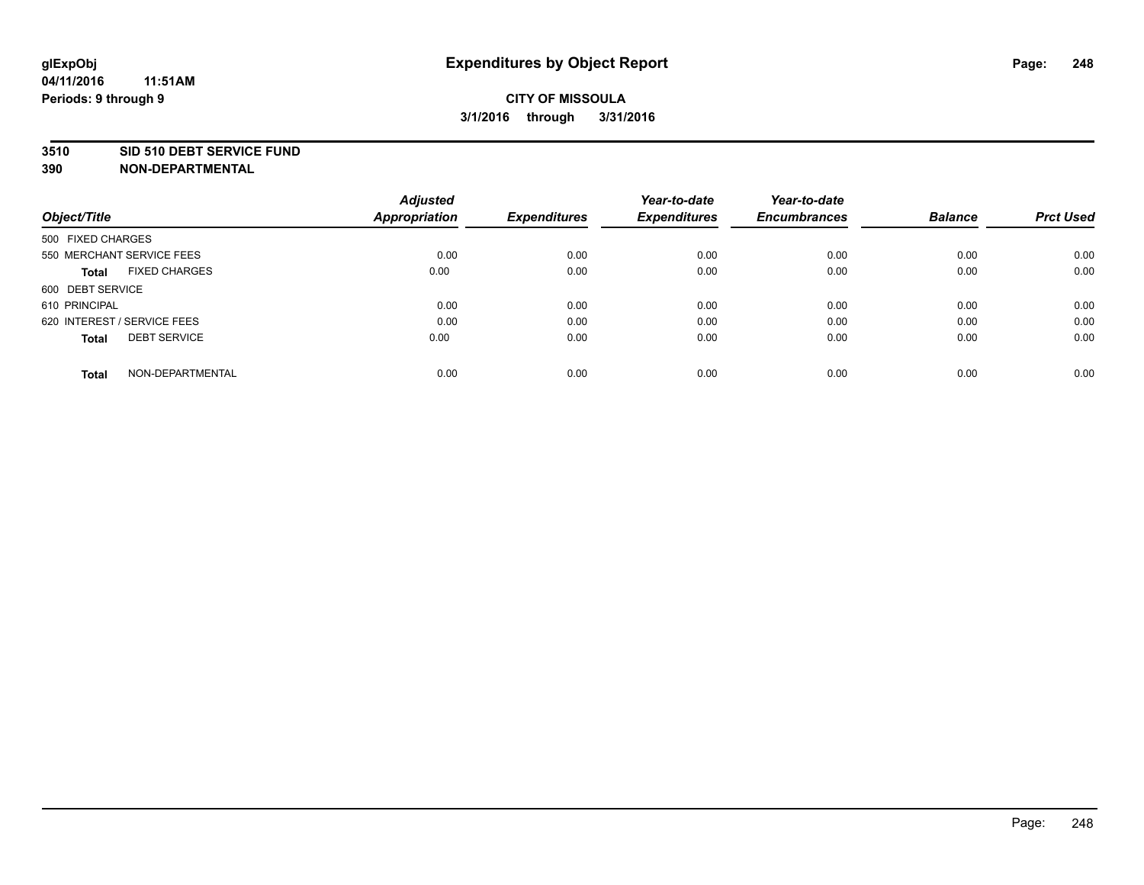#### **3510 SID 510 DEBT SERVICE FUND**

| Object/Title                         | <b>Adjusted</b><br><b>Appropriation</b> | <b>Expenditures</b> | Year-to-date<br><b>Expenditures</b> | Year-to-date<br><b>Encumbrances</b> | <b>Balance</b> | <b>Prct Used</b> |
|--------------------------------------|-----------------------------------------|---------------------|-------------------------------------|-------------------------------------|----------------|------------------|
|                                      |                                         |                     |                                     |                                     |                |                  |
| 500 FIXED CHARGES                    |                                         |                     |                                     |                                     |                |                  |
| 550 MERCHANT SERVICE FEES            | 0.00                                    | 0.00                | 0.00                                | 0.00                                | 0.00           | 0.00             |
| <b>FIXED CHARGES</b><br><b>Total</b> | 0.00                                    | 0.00                | 0.00                                | 0.00                                | 0.00           | 0.00             |
| 600 DEBT SERVICE                     |                                         |                     |                                     |                                     |                |                  |
| 610 PRINCIPAL                        | 0.00                                    | 0.00                | 0.00                                | 0.00                                | 0.00           | 0.00             |
| 620 INTEREST / SERVICE FEES          | 0.00                                    | 0.00                | 0.00                                | 0.00                                | 0.00           | 0.00             |
| <b>DEBT SERVICE</b><br><b>Total</b>  | 0.00                                    | 0.00                | 0.00                                | 0.00                                | 0.00           | 0.00             |
| NON-DEPARTMENTAL<br><b>Total</b>     | 0.00                                    | 0.00                | 0.00                                | 0.00                                | 0.00           | 0.00             |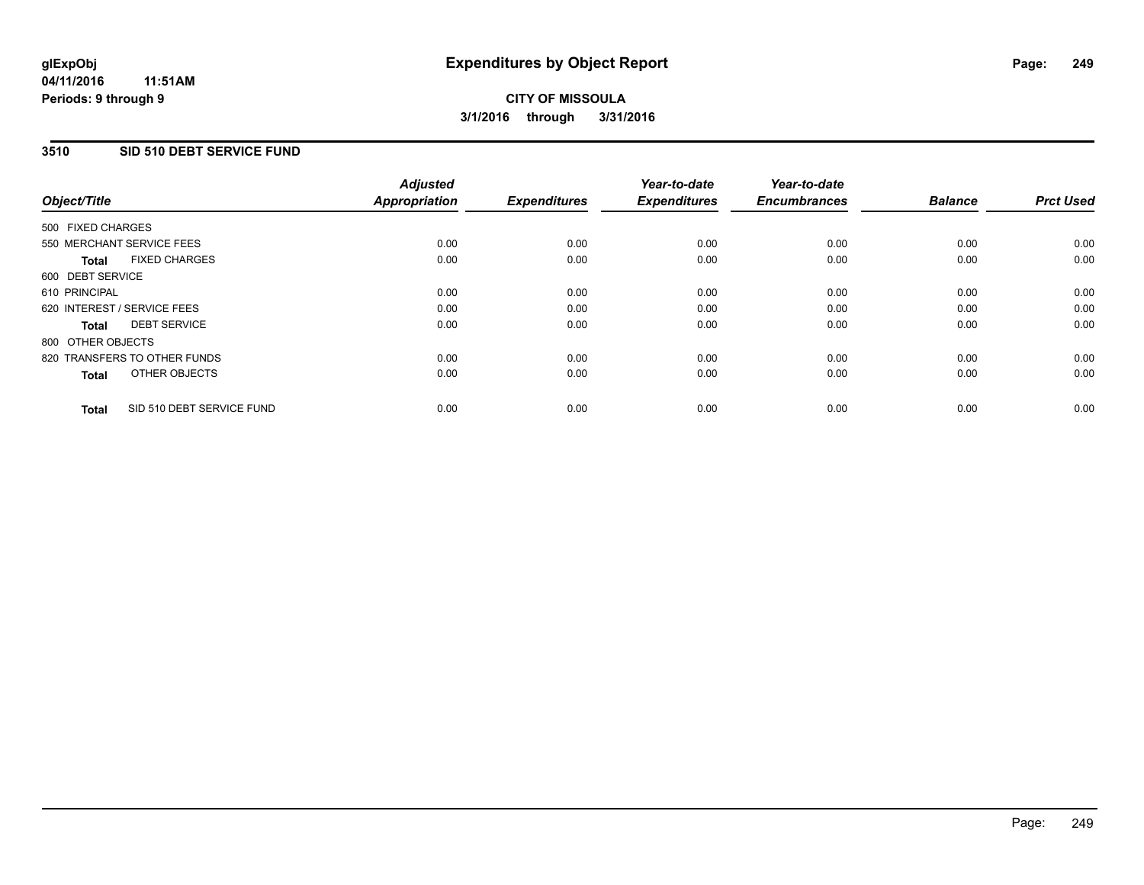### **3510 SID 510 DEBT SERVICE FUND**

| Object/Title                              | <b>Adjusted</b><br><b>Appropriation</b> | <b>Expenditures</b> | Year-to-date<br><b>Expenditures</b> | Year-to-date<br><b>Encumbrances</b> | <b>Balance</b> | <b>Prct Used</b> |
|-------------------------------------------|-----------------------------------------|---------------------|-------------------------------------|-------------------------------------|----------------|------------------|
|                                           |                                         |                     |                                     |                                     |                |                  |
| 500 FIXED CHARGES                         |                                         |                     |                                     |                                     |                |                  |
| 550 MERCHANT SERVICE FEES                 | 0.00                                    | 0.00                | 0.00                                | 0.00                                | 0.00           | 0.00             |
| <b>FIXED CHARGES</b><br>Total             | 0.00                                    | 0.00                | 0.00                                | 0.00                                | 0.00           | 0.00             |
| 600 DEBT SERVICE                          |                                         |                     |                                     |                                     |                |                  |
| 610 PRINCIPAL                             | 0.00                                    | 0.00                | 0.00                                | 0.00                                | 0.00           | 0.00             |
| 620 INTEREST / SERVICE FEES               | 0.00                                    | 0.00                | 0.00                                | 0.00                                | 0.00           | 0.00             |
| <b>DEBT SERVICE</b><br><b>Total</b>       | 0.00                                    | 0.00                | 0.00                                | 0.00                                | 0.00           | 0.00             |
| 800 OTHER OBJECTS                         |                                         |                     |                                     |                                     |                |                  |
| 820 TRANSFERS TO OTHER FUNDS              | 0.00                                    | 0.00                | 0.00                                | 0.00                                | 0.00           | 0.00             |
| OTHER OBJECTS<br><b>Total</b>             | 0.00                                    | 0.00                | 0.00                                | 0.00                                | 0.00           | 0.00             |
|                                           |                                         |                     |                                     |                                     |                |                  |
| SID 510 DEBT SERVICE FUND<br><b>Total</b> | 0.00                                    | 0.00                | 0.00                                | 0.00                                | 0.00           | 0.00             |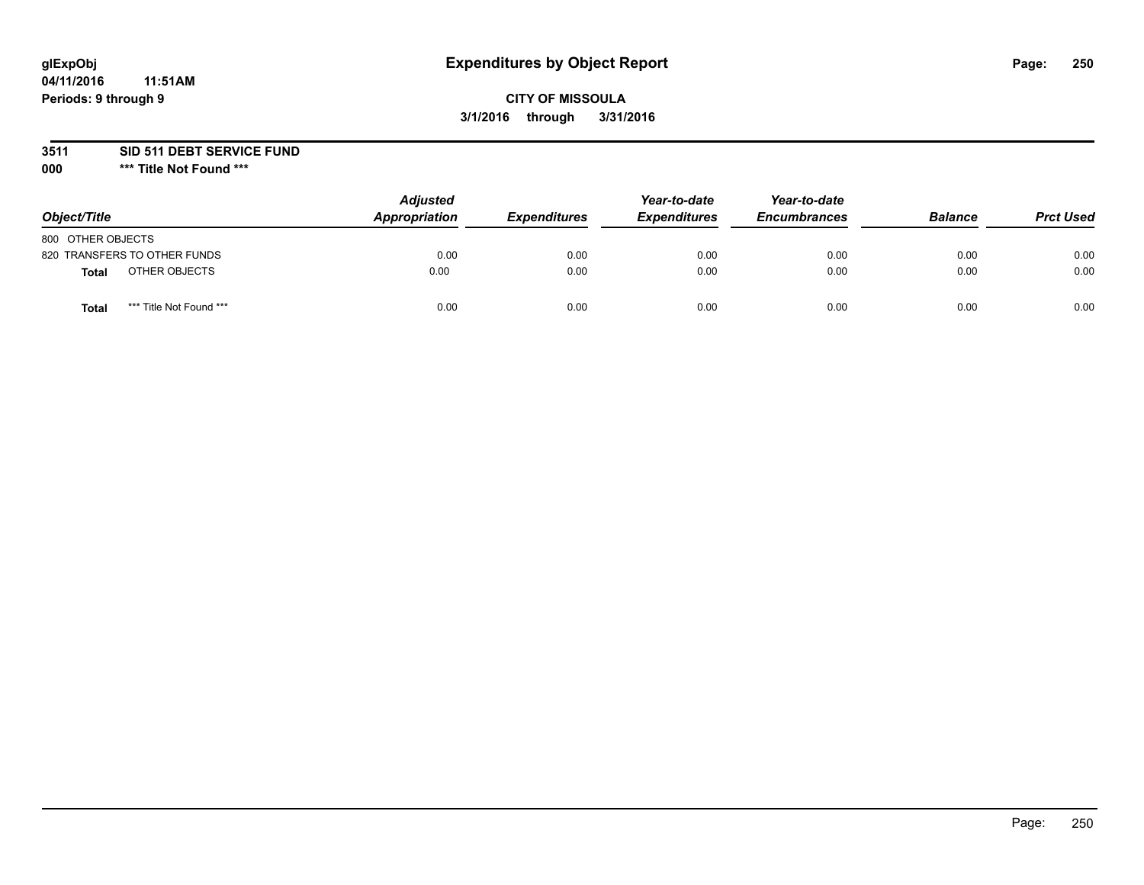# **CITY OF MISSOULA 3/1/2016 through 3/31/2016**

**3511 SID 511 DEBT SERVICE FUND**

| Object/Title                     | <b>Adjusted</b><br>Appropriation | <b>Expenditures</b> | Year-to-date<br><b>Expenditures</b> | Year-to-date<br><b>Encumbrances</b> | <b>Balance</b> | <b>Prct Used</b> |
|----------------------------------|----------------------------------|---------------------|-------------------------------------|-------------------------------------|----------------|------------------|
| 800 OTHER OBJECTS                |                                  |                     |                                     |                                     |                |                  |
| 820 TRANSFERS TO OTHER FUNDS     | 0.00                             | 0.00                | 0.00                                | 0.00                                | 0.00           | 0.00             |
| OTHER OBJECTS<br><b>Total</b>    | 0.00                             | 0.00                | 0.00                                | 0.00                                | 0.00           | 0.00             |
| *** Title Not Found ***<br>Total | 0.00                             | 0.00                | 0.00                                | 0.00                                | 0.00           | 0.00             |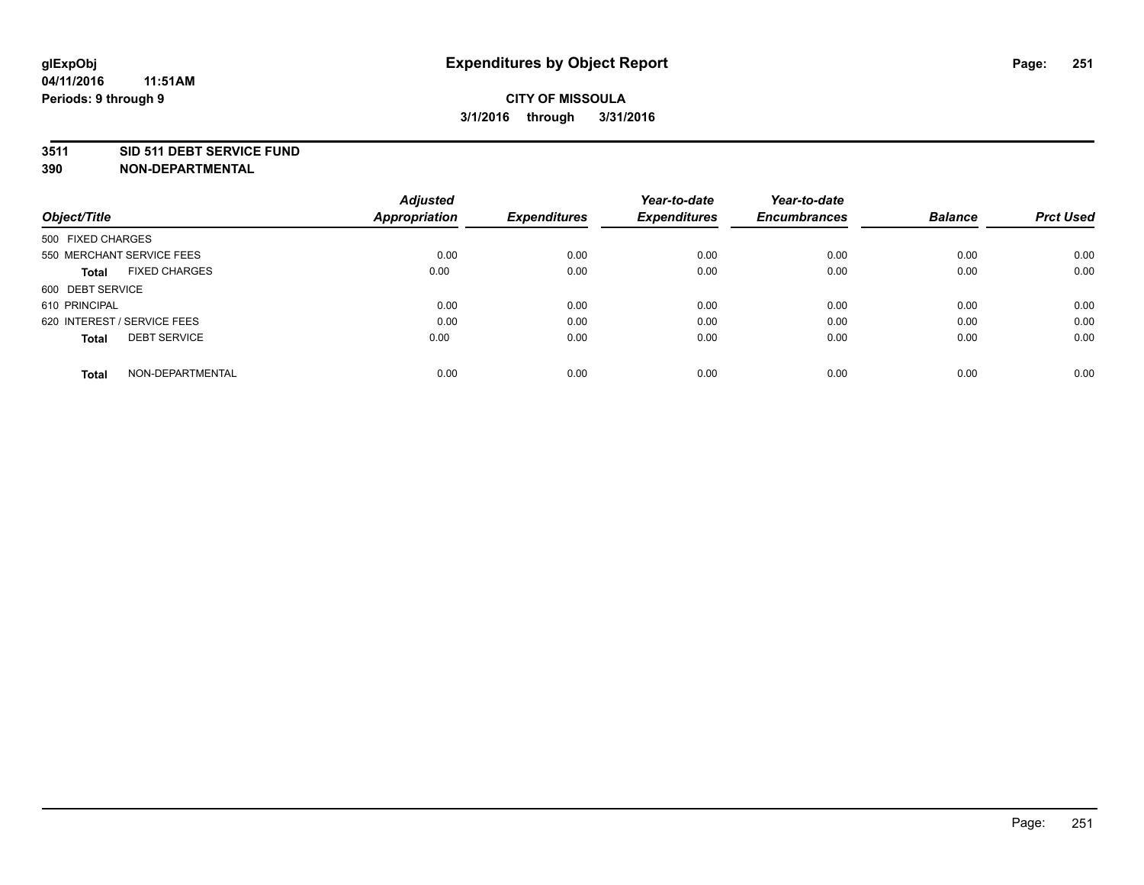#### **3511 SID 511 DEBT SERVICE FUND**

| Object/Title                        | <b>Adjusted</b><br><b>Appropriation</b> | <b>Expenditures</b> | Year-to-date<br><b>Expenditures</b> | Year-to-date<br><b>Encumbrances</b> | <b>Balance</b> | <b>Prct Used</b> |
|-------------------------------------|-----------------------------------------|---------------------|-------------------------------------|-------------------------------------|----------------|------------------|
|                                     |                                         |                     |                                     |                                     |                |                  |
| 500 FIXED CHARGES                   |                                         |                     |                                     |                                     |                |                  |
| 550 MERCHANT SERVICE FEES           | 0.00                                    | 0.00                | 0.00                                | 0.00                                | 0.00           | 0.00             |
| <b>FIXED CHARGES</b><br>Total       | 0.00                                    | 0.00                | 0.00                                | 0.00                                | 0.00           | 0.00             |
| 600 DEBT SERVICE                    |                                         |                     |                                     |                                     |                |                  |
| 610 PRINCIPAL                       | 0.00                                    | 0.00                | 0.00                                | 0.00                                | 0.00           | 0.00             |
| 620 INTEREST / SERVICE FEES         | 0.00                                    | 0.00                | 0.00                                | 0.00                                | 0.00           | 0.00             |
| <b>DEBT SERVICE</b><br><b>Total</b> | 0.00                                    | 0.00                | 0.00                                | 0.00                                | 0.00           | 0.00             |
| NON-DEPARTMENTAL<br><b>Total</b>    | 0.00                                    | 0.00                | 0.00                                | 0.00                                | 0.00           | 0.00             |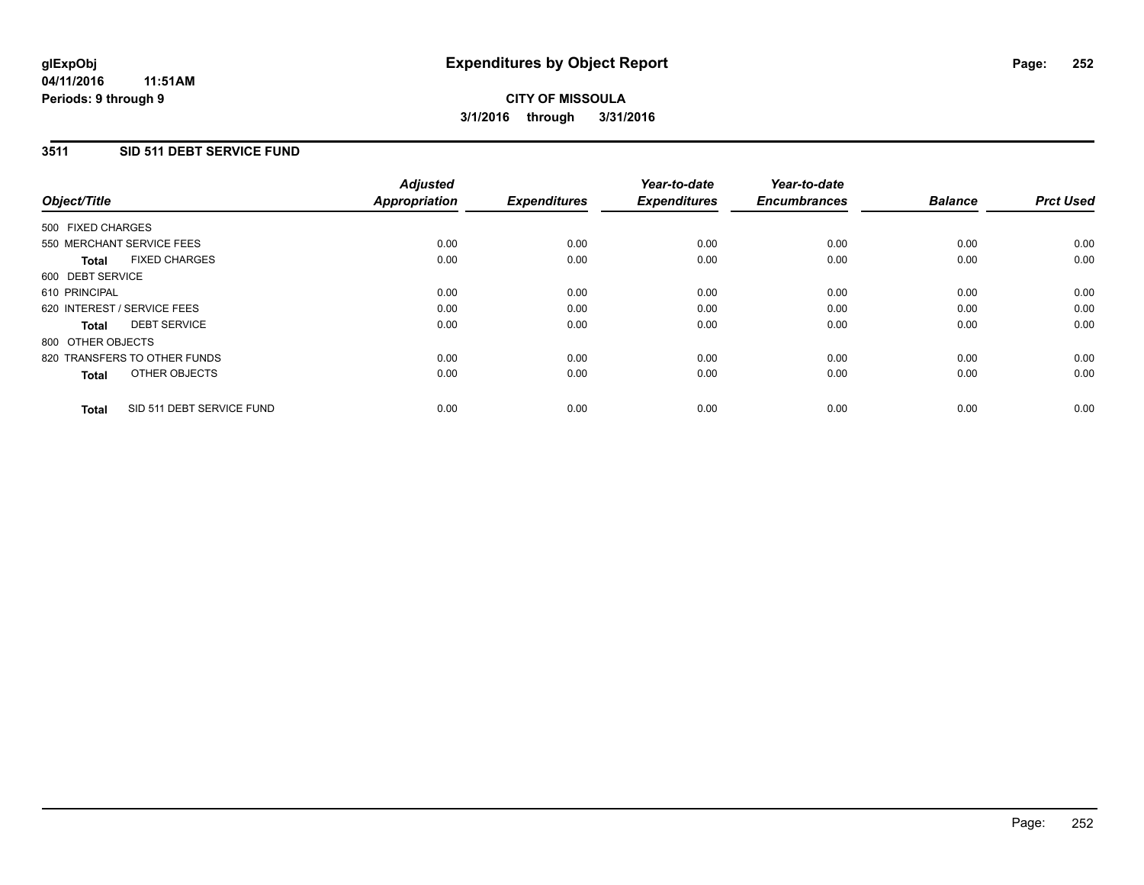### **3511 SID 511 DEBT SERVICE FUND**

| Object/Title                              | <b>Adjusted</b><br><b>Appropriation</b> | <b>Expenditures</b> | Year-to-date<br><b>Expenditures</b> | Year-to-date<br><b>Encumbrances</b> | <b>Balance</b> | <b>Prct Used</b> |
|-------------------------------------------|-----------------------------------------|---------------------|-------------------------------------|-------------------------------------|----------------|------------------|
|                                           |                                         |                     |                                     |                                     |                |                  |
| 500 FIXED CHARGES                         |                                         |                     |                                     |                                     |                |                  |
| 550 MERCHANT SERVICE FEES                 | 0.00                                    | 0.00                | 0.00                                | 0.00                                | 0.00           | 0.00             |
| <b>FIXED CHARGES</b><br>Total             | 0.00                                    | 0.00                | 0.00                                | 0.00                                | 0.00           | 0.00             |
| 600 DEBT SERVICE                          |                                         |                     |                                     |                                     |                |                  |
| 610 PRINCIPAL                             | 0.00                                    | 0.00                | 0.00                                | 0.00                                | 0.00           | 0.00             |
| 620 INTEREST / SERVICE FEES               | 0.00                                    | 0.00                | 0.00                                | 0.00                                | 0.00           | 0.00             |
| <b>DEBT SERVICE</b><br><b>Total</b>       | 0.00                                    | 0.00                | 0.00                                | 0.00                                | 0.00           | 0.00             |
| 800 OTHER OBJECTS                         |                                         |                     |                                     |                                     |                |                  |
| 820 TRANSFERS TO OTHER FUNDS              | 0.00                                    | 0.00                | 0.00                                | 0.00                                | 0.00           | 0.00             |
| OTHER OBJECTS<br><b>Total</b>             | 0.00                                    | 0.00                | 0.00                                | 0.00                                | 0.00           | 0.00             |
|                                           |                                         |                     |                                     |                                     |                |                  |
| SID 511 DEBT SERVICE FUND<br><b>Total</b> | 0.00                                    | 0.00                | 0.00                                | 0.00                                | 0.00           | 0.00             |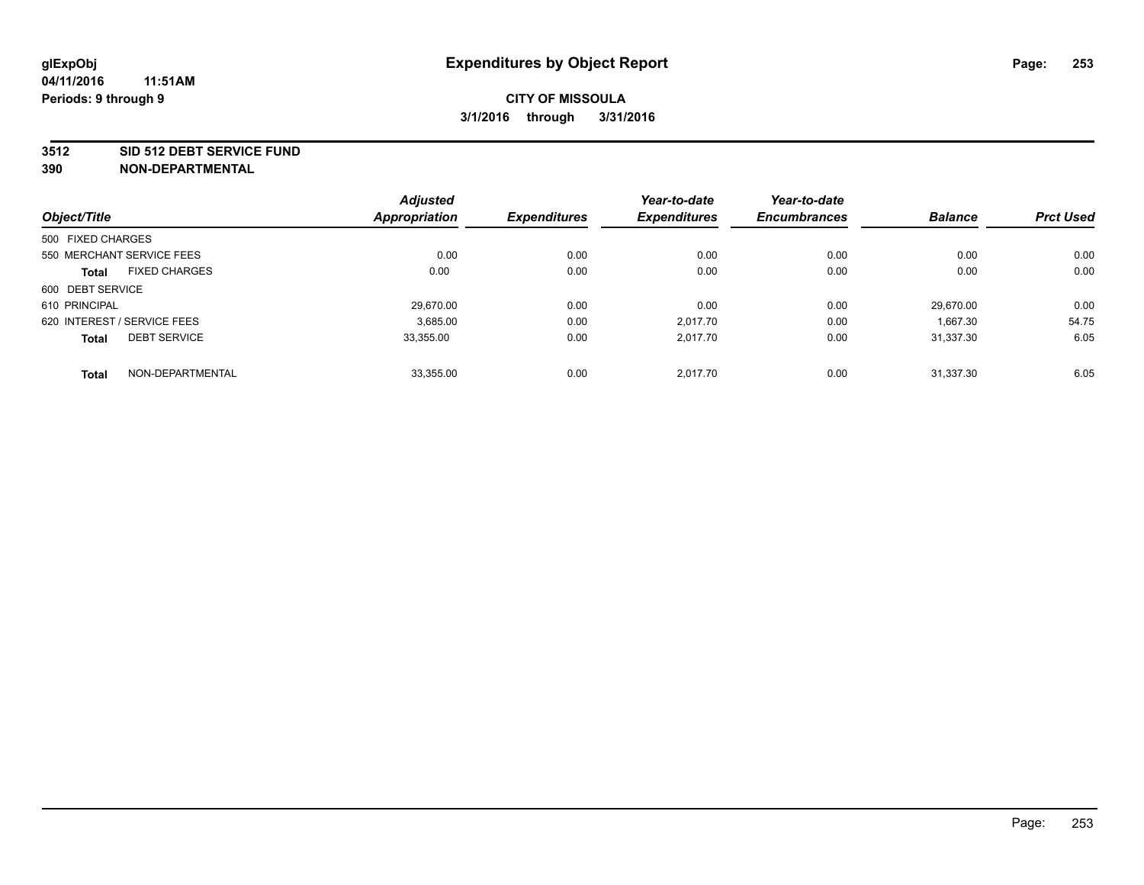#### **3512 SID 512 DEBT SERVICE FUND**

|                                      | <b>Adjusted</b>      |                     | Year-to-date        | Year-to-date        |                |                  |
|--------------------------------------|----------------------|---------------------|---------------------|---------------------|----------------|------------------|
| Object/Title                         | <b>Appropriation</b> | <b>Expenditures</b> | <b>Expenditures</b> | <b>Encumbrances</b> | <b>Balance</b> | <b>Prct Used</b> |
| 500 FIXED CHARGES                    |                      |                     |                     |                     |                |                  |
| 550 MERCHANT SERVICE FEES            | 0.00                 | 0.00                | 0.00                | 0.00                | 0.00           | 0.00             |
| <b>FIXED CHARGES</b><br><b>Total</b> | 0.00                 | 0.00                | 0.00                | 0.00                | 0.00           | 0.00             |
| 600 DEBT SERVICE                     |                      |                     |                     |                     |                |                  |
| 610 PRINCIPAL                        | 29.670.00            | 0.00                | 0.00                | 0.00                | 29.670.00      | 0.00             |
| 620 INTEREST / SERVICE FEES          | 3,685.00             | 0.00                | 2.017.70            | 0.00                | 1,667.30       | 54.75            |
| <b>DEBT SERVICE</b><br><b>Total</b>  | 33.355.00            | 0.00                | 2.017.70            | 0.00                | 31.337.30      | 6.05             |
| NON-DEPARTMENTAL<br><b>Total</b>     | 33,355.00            | 0.00                | 2.017.70            | 0.00                | 31.337.30      | 6.05             |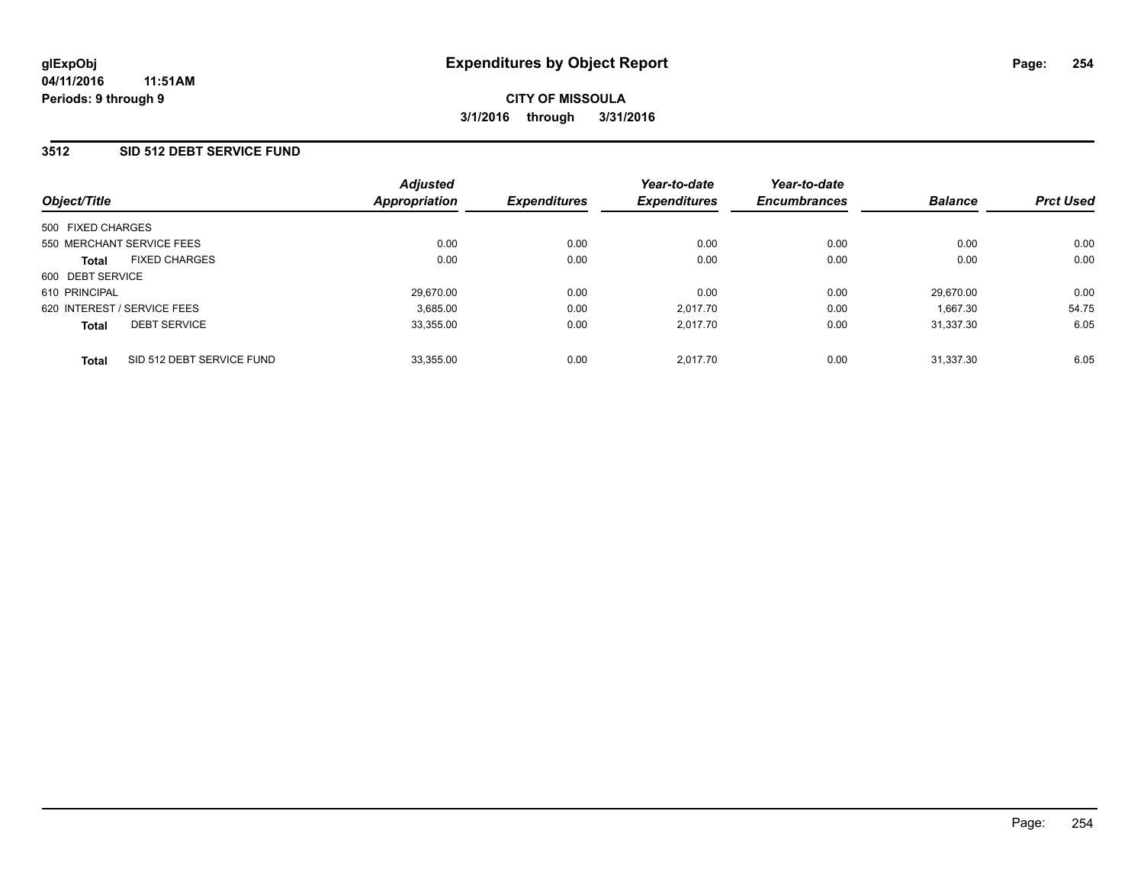#### **3512 SID 512 DEBT SERVICE FUND**

|                                           | <b>Adjusted</b> |                     | Year-to-date        | Year-to-date        |                |                  |
|-------------------------------------------|-----------------|---------------------|---------------------|---------------------|----------------|------------------|
| Object/Title                              | Appropriation   | <b>Expenditures</b> | <b>Expenditures</b> | <b>Encumbrances</b> | <b>Balance</b> | <b>Prct Used</b> |
| 500 FIXED CHARGES                         |                 |                     |                     |                     |                |                  |
| 550 MERCHANT SERVICE FEES                 | 0.00            | 0.00                | 0.00                | 0.00                | 0.00           | 0.00             |
| <b>FIXED CHARGES</b><br><b>Total</b>      | 0.00            | 0.00                | 0.00                | 0.00                | 0.00           | 0.00             |
| 600 DEBT SERVICE                          |                 |                     |                     |                     |                |                  |
| 610 PRINCIPAL                             | 29,670.00       | 0.00                | 0.00                | 0.00                | 29.670.00      | 0.00             |
| 620 INTEREST / SERVICE FEES               | 3,685.00        | 0.00                | 2.017.70            | 0.00                | 1.667.30       | 54.75            |
| <b>DEBT SERVICE</b><br><b>Total</b>       | 33,355.00       | 0.00                | 2.017.70            | 0.00                | 31.337.30      | 6.05             |
| SID 512 DEBT SERVICE FUND<br><b>Total</b> | 33,355.00       | 0.00                | 2.017.70            | 0.00                | 31.337.30      | 6.05             |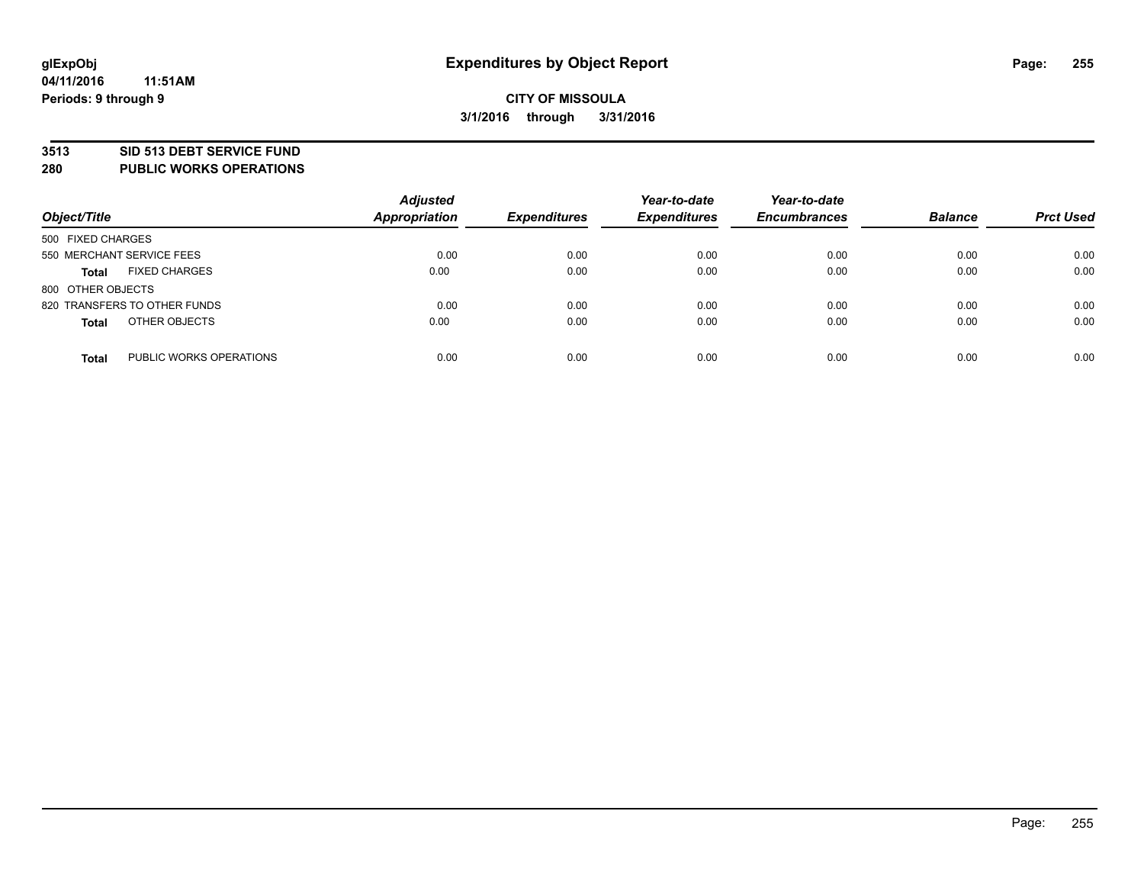#### **3513 SID 513 DEBT SERVICE FUND**

**280 PUBLIC WORKS OPERATIONS**

| Object/Title                            | <b>Adjusted</b><br><b>Appropriation</b> | <b>Expenditures</b> | Year-to-date<br><b>Expenditures</b> | Year-to-date<br><b>Encumbrances</b> | <b>Balance</b> | <b>Prct Used</b> |
|-----------------------------------------|-----------------------------------------|---------------------|-------------------------------------|-------------------------------------|----------------|------------------|
| 500 FIXED CHARGES                       |                                         |                     |                                     |                                     |                |                  |
| 550 MERCHANT SERVICE FEES               | 0.00                                    | 0.00                | 0.00                                | 0.00                                | 0.00           | 0.00             |
| <b>FIXED CHARGES</b><br><b>Total</b>    | 0.00                                    | 0.00                | 0.00                                | 0.00                                | 0.00           | 0.00             |
| 800 OTHER OBJECTS                       |                                         |                     |                                     |                                     |                |                  |
| 820 TRANSFERS TO OTHER FUNDS            | 0.00                                    | 0.00                | 0.00                                | 0.00                                | 0.00           | 0.00             |
| OTHER OBJECTS<br><b>Total</b>           | 0.00                                    | 0.00                | 0.00                                | 0.00                                | 0.00           | 0.00             |
| PUBLIC WORKS OPERATIONS<br><b>Total</b> | 0.00                                    | 0.00                | 0.00                                | 0.00                                | 0.00           | 0.00             |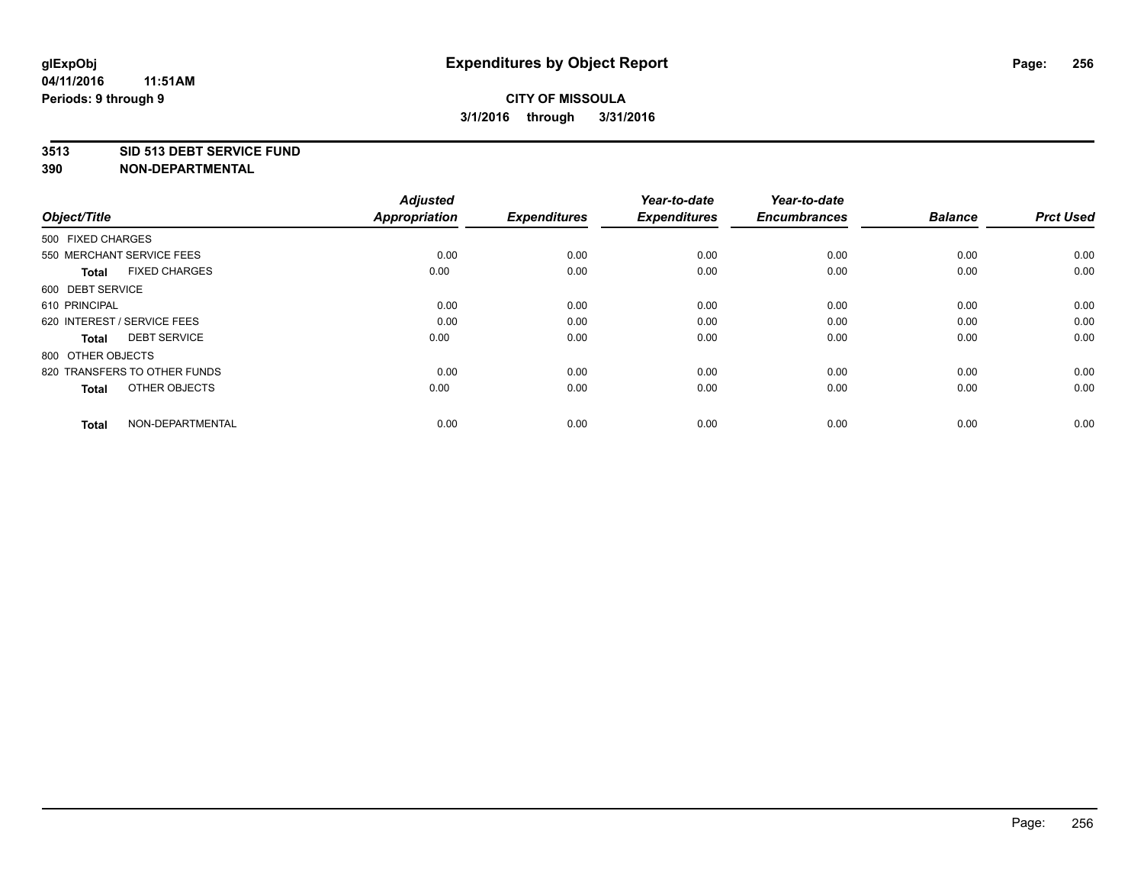#### **3513 SID 513 DEBT SERVICE FUND**

| Object/Title                         | <b>Adjusted</b><br><b>Appropriation</b> | <b>Expenditures</b> | Year-to-date<br><b>Expenditures</b> | Year-to-date<br><b>Encumbrances</b> | <b>Balance</b> | <b>Prct Used</b> |
|--------------------------------------|-----------------------------------------|---------------------|-------------------------------------|-------------------------------------|----------------|------------------|
| 500 FIXED CHARGES                    |                                         |                     |                                     |                                     |                |                  |
| 550 MERCHANT SERVICE FEES            | 0.00                                    | 0.00                | 0.00                                | 0.00                                | 0.00           | 0.00             |
| <b>FIXED CHARGES</b><br><b>Total</b> | 0.00                                    | 0.00                | 0.00                                | 0.00                                | 0.00           | 0.00             |
| 600 DEBT SERVICE                     |                                         |                     |                                     |                                     |                |                  |
| 610 PRINCIPAL                        | 0.00                                    | 0.00                | 0.00                                | 0.00                                | 0.00           | 0.00             |
| 620 INTEREST / SERVICE FEES          | 0.00                                    | 0.00                | 0.00                                | 0.00                                | 0.00           | 0.00             |
| <b>DEBT SERVICE</b><br><b>Total</b>  | 0.00                                    | 0.00                | 0.00                                | 0.00                                | 0.00           | 0.00             |
| 800 OTHER OBJECTS                    |                                         |                     |                                     |                                     |                |                  |
| 820 TRANSFERS TO OTHER FUNDS         | 0.00                                    | 0.00                | 0.00                                | 0.00                                | 0.00           | 0.00             |
| OTHER OBJECTS<br><b>Total</b>        | 0.00                                    | 0.00                | 0.00                                | 0.00                                | 0.00           | 0.00             |
|                                      |                                         |                     |                                     |                                     |                |                  |
| NON-DEPARTMENTAL<br><b>Total</b>     | 0.00                                    | 0.00                | 0.00                                | 0.00                                | 0.00           | 0.00             |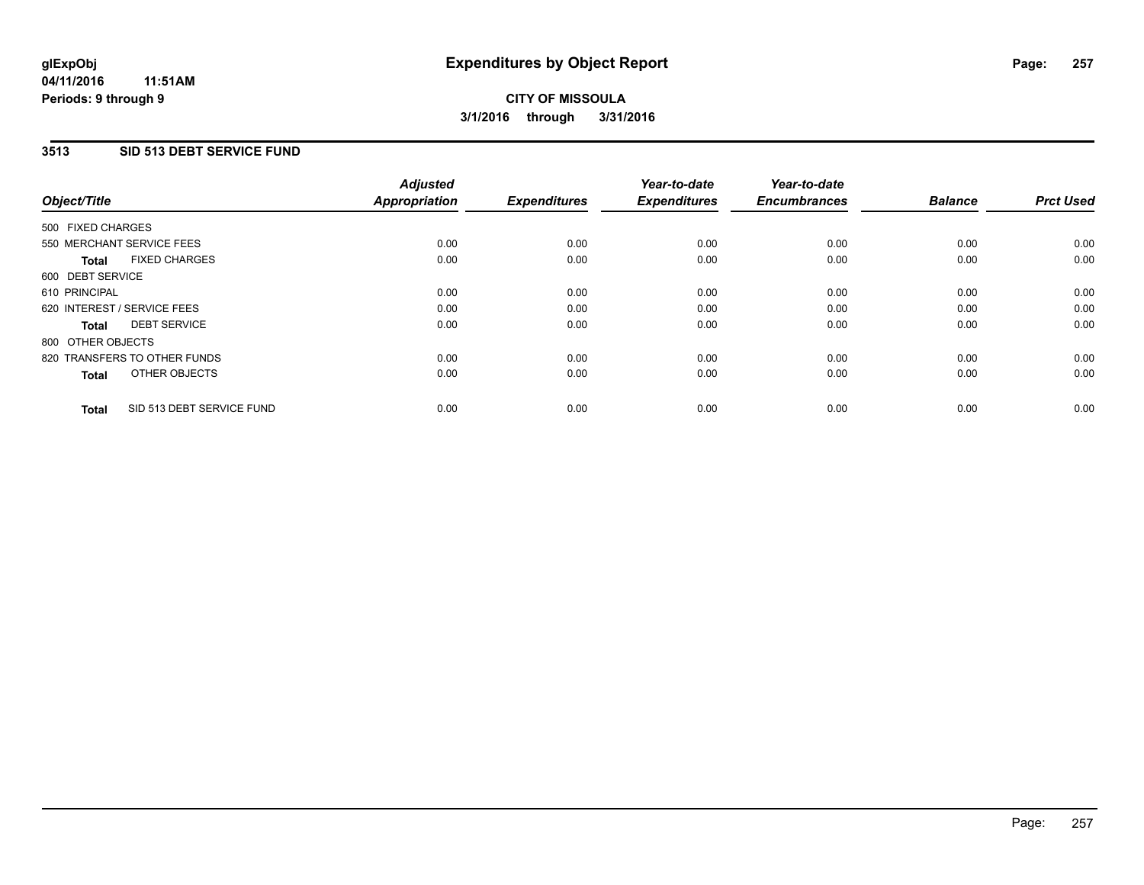#### **3513 SID 513 DEBT SERVICE FUND**

| Object/Title      |                              | <b>Adjusted</b><br>Appropriation | <b>Expenditures</b> | Year-to-date<br><b>Expenditures</b> | Year-to-date<br><b>Encumbrances</b> | <b>Balance</b> | <b>Prct Used</b> |
|-------------------|------------------------------|----------------------------------|---------------------|-------------------------------------|-------------------------------------|----------------|------------------|
| 500 FIXED CHARGES |                              |                                  |                     |                                     |                                     |                |                  |
|                   | 550 MERCHANT SERVICE FEES    | 0.00                             | 0.00                | 0.00                                | 0.00                                | 0.00           | 0.00             |
| <b>Total</b>      | <b>FIXED CHARGES</b>         | 0.00                             | 0.00                | 0.00                                | 0.00                                | 0.00           | 0.00             |
| 600 DEBT SERVICE  |                              |                                  |                     |                                     |                                     |                |                  |
| 610 PRINCIPAL     |                              | 0.00                             | 0.00                | 0.00                                | 0.00                                | 0.00           | 0.00             |
|                   | 620 INTEREST / SERVICE FEES  | 0.00                             | 0.00                | 0.00                                | 0.00                                | 0.00           | 0.00             |
| Total             | <b>DEBT SERVICE</b>          | 0.00                             | 0.00                | 0.00                                | 0.00                                | 0.00           | 0.00             |
| 800 OTHER OBJECTS |                              |                                  |                     |                                     |                                     |                |                  |
|                   | 820 TRANSFERS TO OTHER FUNDS | 0.00                             | 0.00                | 0.00                                | 0.00                                | 0.00           | 0.00             |
| <b>Total</b>      | OTHER OBJECTS                | 0.00                             | 0.00                | 0.00                                | 0.00                                | 0.00           | 0.00             |
| <b>Total</b>      | SID 513 DEBT SERVICE FUND    | 0.00                             | 0.00                | 0.00                                | 0.00                                | 0.00           | 0.00             |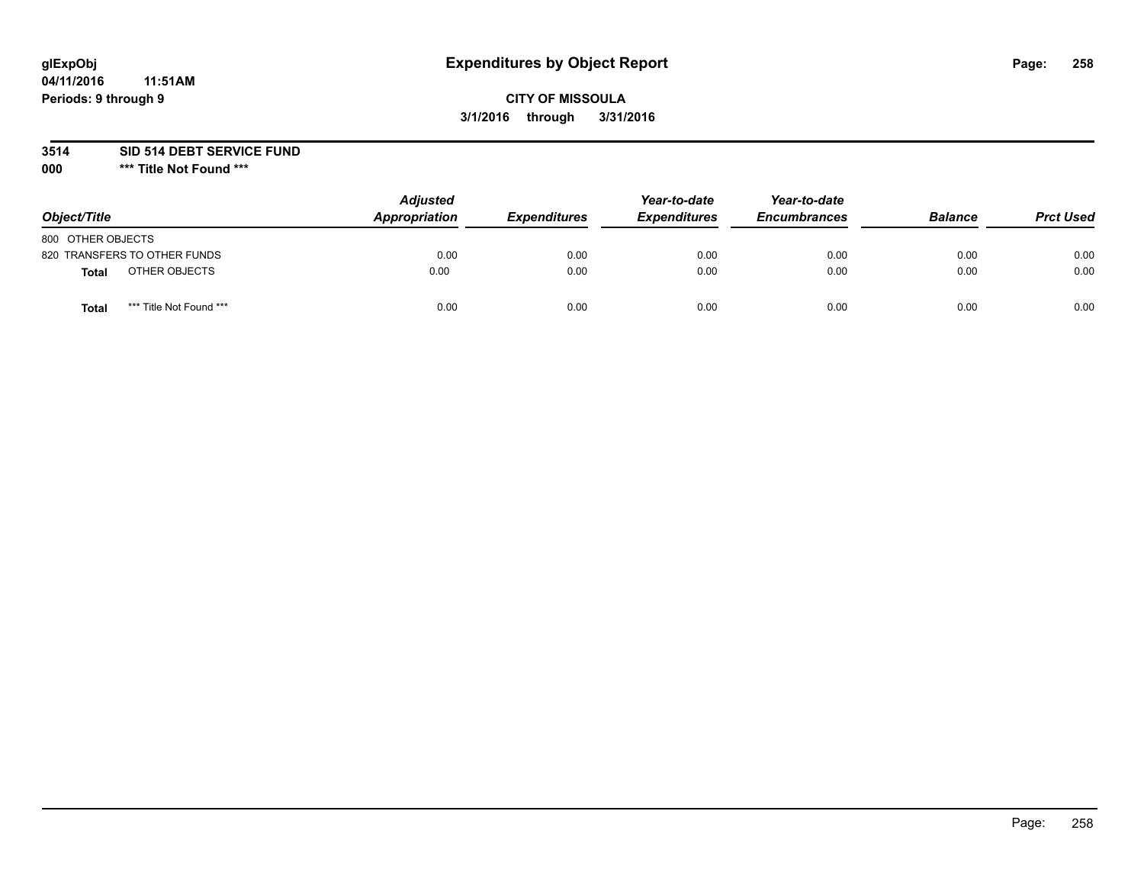# **glExpObj Expenditures by Object Report Page: 258**

## **CITY OF MISSOULA 3/1/2016 through 3/31/2016**

**3514 SID 514 DEBT SERVICE FUND**

**000 \*\*\* Title Not Found \*\*\***

| Object/Title                     | <b>Adjusted</b><br>Appropriation | <b>Expenditures</b> | Year-to-date<br><b>Expenditures</b> | Year-to-date<br><b>Encumbrances</b> | <b>Balance</b> | <b>Prct Used</b> |
|----------------------------------|----------------------------------|---------------------|-------------------------------------|-------------------------------------|----------------|------------------|
| 800 OTHER OBJECTS                |                                  |                     |                                     |                                     |                |                  |
| 820 TRANSFERS TO OTHER FUNDS     | 0.00                             | 0.00                | 0.00                                | 0.00                                | 0.00           | 0.00             |
| OTHER OBJECTS<br><b>Total</b>    | 0.00                             | 0.00                | 0.00                                | 0.00                                | 0.00           | 0.00             |
| *** Title Not Found ***<br>Total | 0.00                             | 0.00                | 0.00                                | 0.00                                | 0.00           | 0.00             |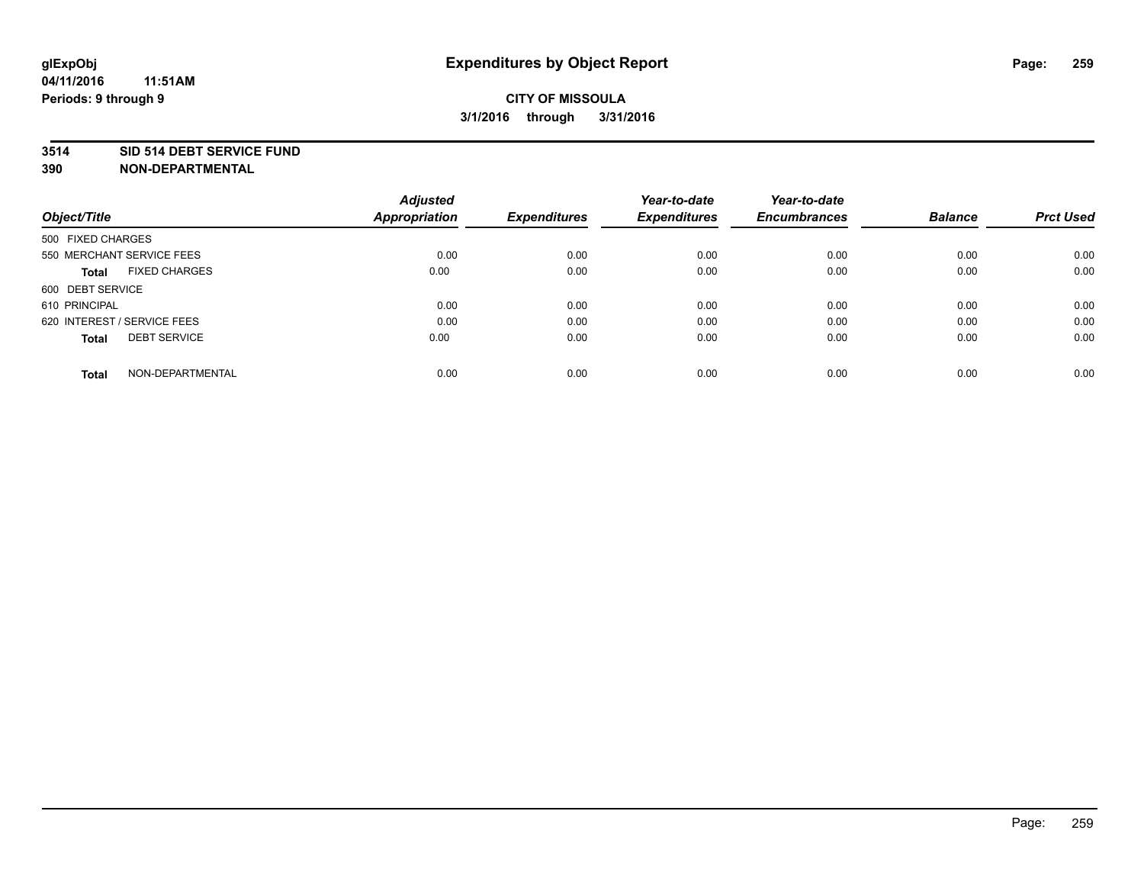#### **3514 SID 514 DEBT SERVICE FUND**

| Object/Title                         | <b>Adjusted</b><br><b>Appropriation</b> | <b>Expenditures</b> | Year-to-date<br><b>Expenditures</b> | Year-to-date<br><b>Encumbrances</b> | <b>Balance</b> | <b>Prct Used</b> |
|--------------------------------------|-----------------------------------------|---------------------|-------------------------------------|-------------------------------------|----------------|------------------|
|                                      |                                         |                     |                                     |                                     |                |                  |
| 500 FIXED CHARGES                    |                                         |                     |                                     |                                     |                |                  |
| 550 MERCHANT SERVICE FEES            | 0.00                                    | 0.00                | 0.00                                | 0.00                                | 0.00           | 0.00             |
| <b>FIXED CHARGES</b><br><b>Total</b> | 0.00                                    | 0.00                | 0.00                                | 0.00                                | 0.00           | 0.00             |
| 600 DEBT SERVICE                     |                                         |                     |                                     |                                     |                |                  |
| 610 PRINCIPAL                        | 0.00                                    | 0.00                | 0.00                                | 0.00                                | 0.00           | 0.00             |
| 620 INTEREST / SERVICE FEES          | 0.00                                    | 0.00                | 0.00                                | 0.00                                | 0.00           | 0.00             |
| <b>DEBT SERVICE</b><br><b>Total</b>  | 0.00                                    | 0.00                | 0.00                                | 0.00                                | 0.00           | 0.00             |
| NON-DEPARTMENTAL<br><b>Total</b>     | 0.00                                    | 0.00                | 0.00                                | 0.00                                | 0.00           | 0.00             |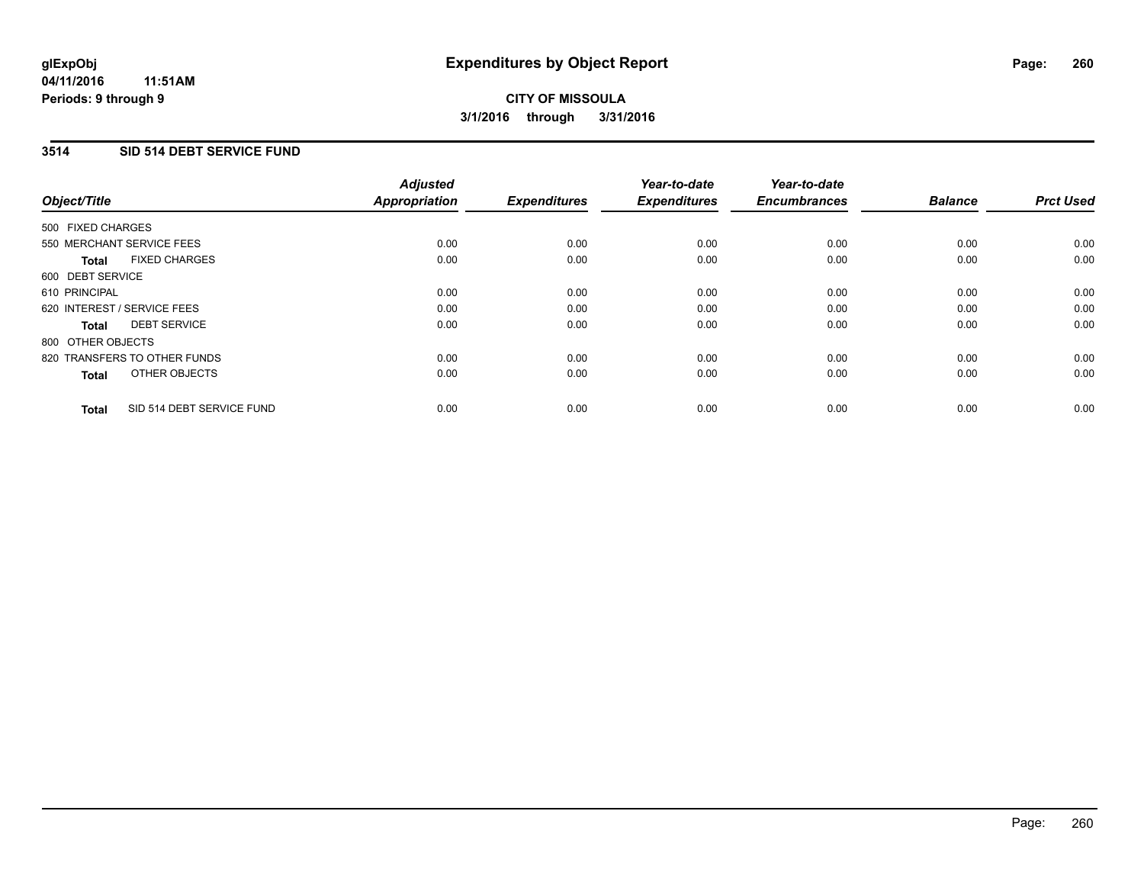### **3514 SID 514 DEBT SERVICE FUND**

| Object/Title                              | <b>Adjusted</b><br><b>Appropriation</b> | <b>Expenditures</b> | Year-to-date<br><b>Expenditures</b> | Year-to-date<br><b>Encumbrances</b> | <b>Balance</b> | <b>Prct Used</b> |
|-------------------------------------------|-----------------------------------------|---------------------|-------------------------------------|-------------------------------------|----------------|------------------|
|                                           |                                         |                     |                                     |                                     |                |                  |
| 500 FIXED CHARGES                         |                                         |                     |                                     |                                     |                |                  |
| 550 MERCHANT SERVICE FEES                 | 0.00                                    | 0.00                | 0.00                                | 0.00                                | 0.00           | 0.00             |
| <b>FIXED CHARGES</b><br>Total             | 0.00                                    | 0.00                | 0.00                                | 0.00                                | 0.00           | 0.00             |
| 600 DEBT SERVICE                          |                                         |                     |                                     |                                     |                |                  |
| 610 PRINCIPAL                             | 0.00                                    | 0.00                | 0.00                                | 0.00                                | 0.00           | 0.00             |
| 620 INTEREST / SERVICE FEES               | 0.00                                    | 0.00                | 0.00                                | 0.00                                | 0.00           | 0.00             |
| <b>DEBT SERVICE</b><br><b>Total</b>       | 0.00                                    | 0.00                | 0.00                                | 0.00                                | 0.00           | 0.00             |
| 800 OTHER OBJECTS                         |                                         |                     |                                     |                                     |                |                  |
| 820 TRANSFERS TO OTHER FUNDS              | 0.00                                    | 0.00                | 0.00                                | 0.00                                | 0.00           | 0.00             |
| OTHER OBJECTS<br><b>Total</b>             | 0.00                                    | 0.00                | 0.00                                | 0.00                                | 0.00           | 0.00             |
|                                           |                                         |                     |                                     |                                     |                |                  |
| SID 514 DEBT SERVICE FUND<br><b>Total</b> | 0.00                                    | 0.00                | 0.00                                | 0.00                                | 0.00           | 0.00             |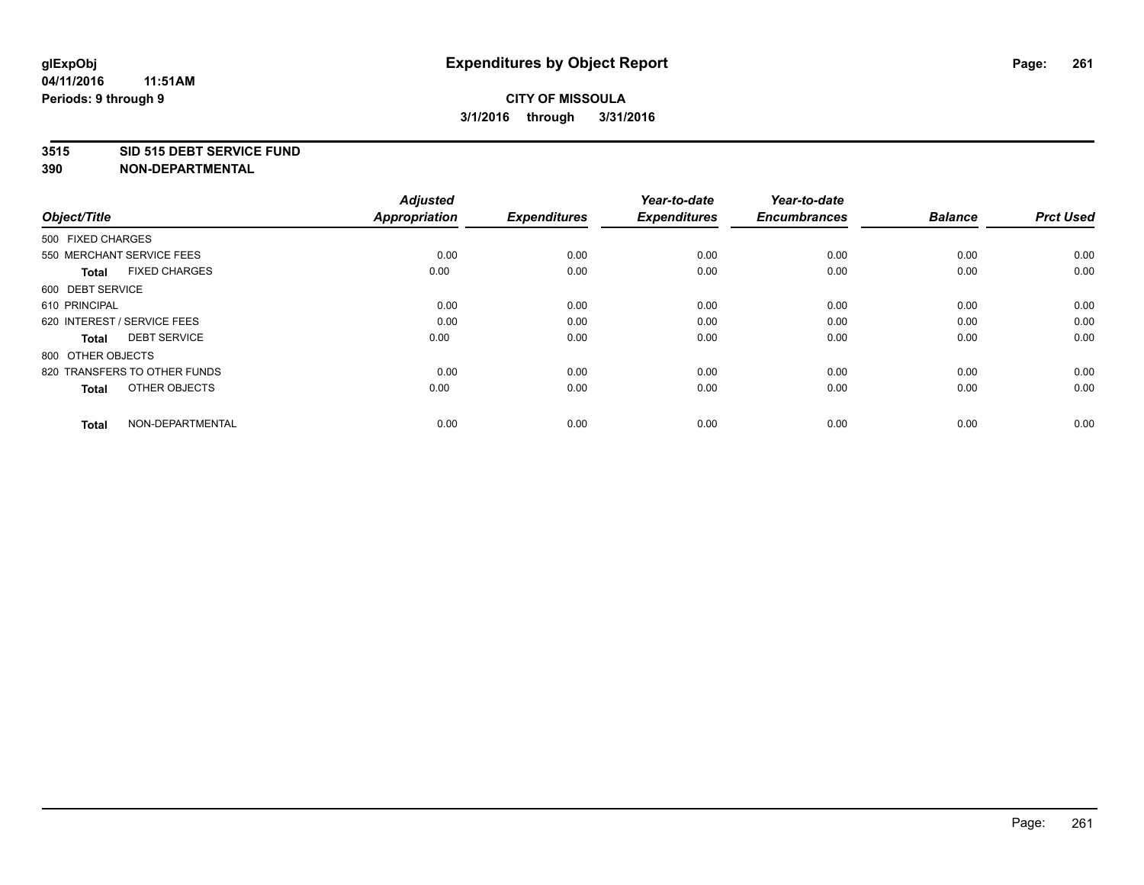#### **3515 SID 515 DEBT SERVICE FUND**

**390 NON-DEPARTMENTAL**

**04/11/2016**

| Object/Title                         | <b>Adjusted</b><br><b>Appropriation</b> | <b>Expenditures</b> | Year-to-date<br><b>Expenditures</b> | Year-to-date<br><b>Encumbrances</b> | <b>Balance</b> | <b>Prct Used</b> |
|--------------------------------------|-----------------------------------------|---------------------|-------------------------------------|-------------------------------------|----------------|------------------|
| 500 FIXED CHARGES                    |                                         |                     |                                     |                                     |                |                  |
| 550 MERCHANT SERVICE FEES            | 0.00                                    | 0.00                | 0.00                                | 0.00                                | 0.00           | 0.00             |
| <b>FIXED CHARGES</b><br><b>Total</b> | 0.00                                    | 0.00                | 0.00                                | 0.00                                | 0.00           | 0.00             |
| 600 DEBT SERVICE                     |                                         |                     |                                     |                                     |                |                  |
| 610 PRINCIPAL                        | 0.00                                    | 0.00                | 0.00                                | 0.00                                | 0.00           | 0.00             |
| 620 INTEREST / SERVICE FEES          | 0.00                                    | 0.00                | 0.00                                | 0.00                                | 0.00           | 0.00             |
| <b>DEBT SERVICE</b><br><b>Total</b>  | 0.00                                    | 0.00                | 0.00                                | 0.00                                | 0.00           | 0.00             |
| 800 OTHER OBJECTS                    |                                         |                     |                                     |                                     |                |                  |
| 820 TRANSFERS TO OTHER FUNDS         | 0.00                                    | 0.00                | 0.00                                | 0.00                                | 0.00           | 0.00             |
| OTHER OBJECTS<br><b>Total</b>        | 0.00                                    | 0.00                | 0.00                                | 0.00                                | 0.00           | 0.00             |
|                                      |                                         |                     |                                     |                                     |                |                  |
| NON-DEPARTMENTAL<br><b>Total</b>     | 0.00                                    | 0.00                | 0.00                                | 0.00                                | 0.00           | 0.00             |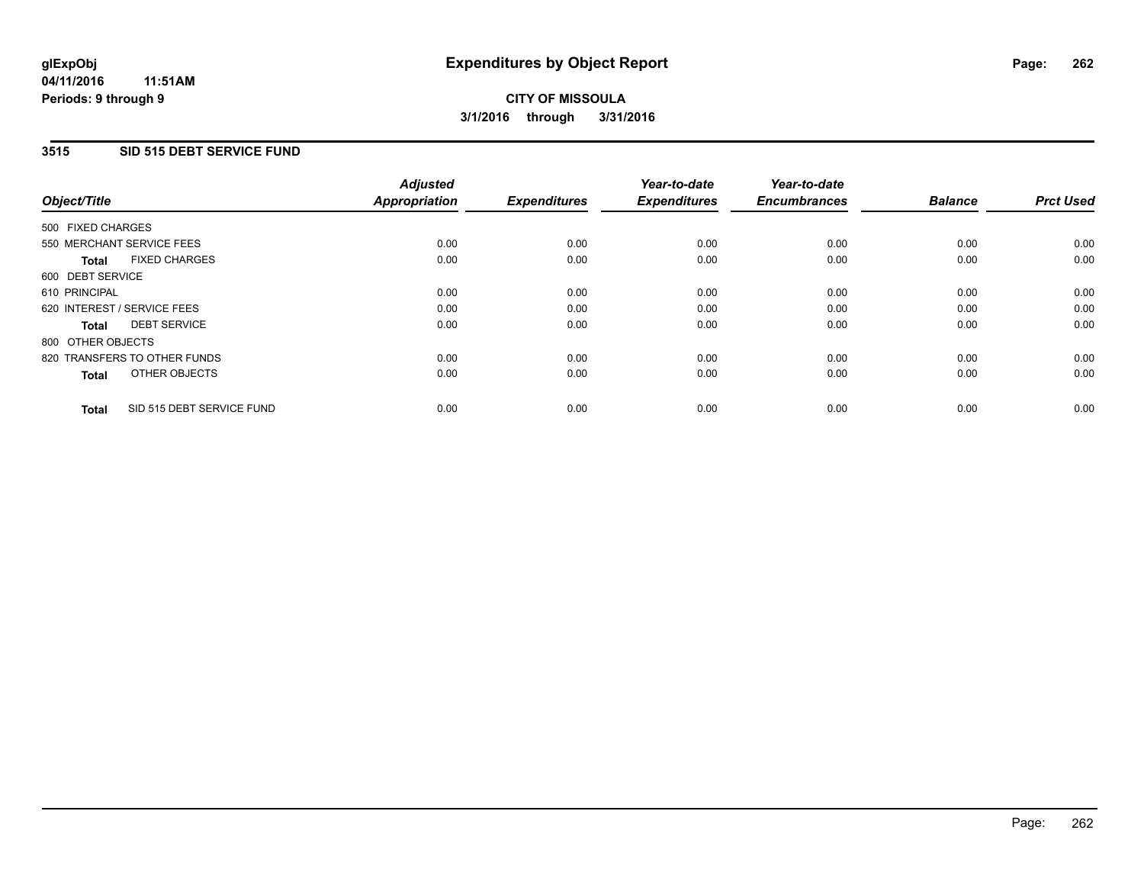### **3515 SID 515 DEBT SERVICE FUND**

| Object/Title      |                              | <b>Adjusted</b><br>Appropriation | <b>Expenditures</b> | Year-to-date<br><b>Expenditures</b> | Year-to-date<br><b>Encumbrances</b> | <b>Balance</b> | <b>Prct Used</b> |
|-------------------|------------------------------|----------------------------------|---------------------|-------------------------------------|-------------------------------------|----------------|------------------|
| 500 FIXED CHARGES |                              |                                  |                     |                                     |                                     |                |                  |
|                   | 550 MERCHANT SERVICE FEES    | 0.00                             | 0.00                | 0.00                                | 0.00                                | 0.00           | 0.00             |
| <b>Total</b>      | <b>FIXED CHARGES</b>         | 0.00                             | 0.00                | 0.00                                | 0.00                                | 0.00           | 0.00             |
| 600 DEBT SERVICE  |                              |                                  |                     |                                     |                                     |                |                  |
| 610 PRINCIPAL     |                              | 0.00                             | 0.00                | 0.00                                | 0.00                                | 0.00           | 0.00             |
|                   | 620 INTEREST / SERVICE FEES  | 0.00                             | 0.00                | 0.00                                | 0.00                                | 0.00           | 0.00             |
| Total             | <b>DEBT SERVICE</b>          | 0.00                             | 0.00                | 0.00                                | 0.00                                | 0.00           | 0.00             |
| 800 OTHER OBJECTS |                              |                                  |                     |                                     |                                     |                |                  |
|                   | 820 TRANSFERS TO OTHER FUNDS | 0.00                             | 0.00                | 0.00                                | 0.00                                | 0.00           | 0.00             |
| <b>Total</b>      | OTHER OBJECTS                | 0.00                             | 0.00                | 0.00                                | 0.00                                | 0.00           | 0.00             |
| <b>Total</b>      | SID 515 DEBT SERVICE FUND    | 0.00                             | 0.00                | 0.00                                | 0.00                                | 0.00           | 0.00             |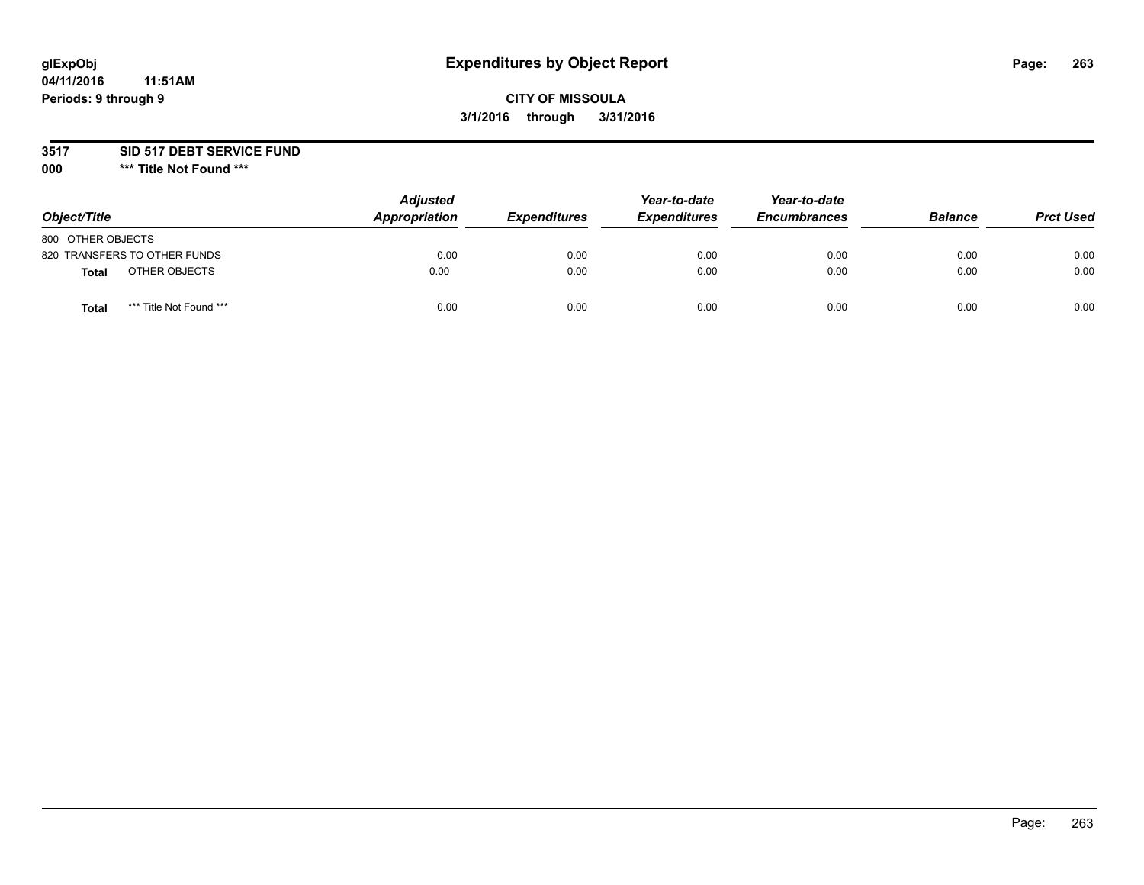# **glExpObj Expenditures by Object Report Page: 263**

## **CITY OF MISSOULA 3/1/2016 through 3/31/2016**

#### **3517 SID 517 DEBT SERVICE FUND**

**000 \*\*\* Title Not Found \*\*\***

| Object/Title                            | <b>Adjusted</b><br>Appropriation | <b>Expenditures</b> | Year-to-date<br><b>Expenditures</b> | Year-to-date<br><b>Encumbrances</b> | <b>Balance</b> | <b>Prct Used</b> |
|-----------------------------------------|----------------------------------|---------------------|-------------------------------------|-------------------------------------|----------------|------------------|
| 800 OTHER OBJECTS                       |                                  |                     |                                     |                                     |                |                  |
| 820 TRANSFERS TO OTHER FUNDS            | 0.00                             | 0.00                | 0.00                                | 0.00                                | 0.00           | 0.00             |
| OTHER OBJECTS<br>Total                  | 0.00                             | 0.00                | 0.00                                | 0.00                                | 0.00           | 0.00             |
| *** Title Not Found ***<br><b>Total</b> | 0.00                             | 0.00                | 0.00                                | 0.00                                | 0.00           | 0.00             |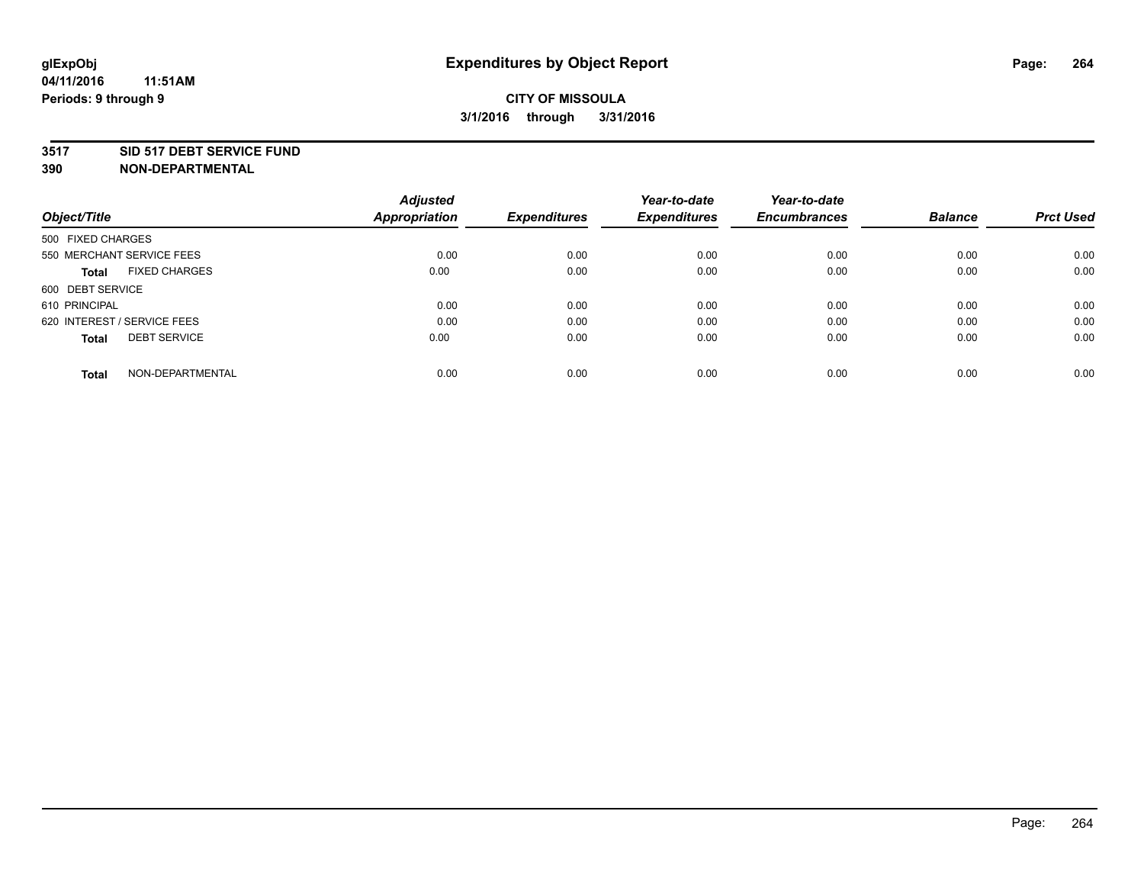#### **3517 SID 517 DEBT SERVICE FUND**

| Object/Title                         | <b>Adjusted</b><br><b>Appropriation</b> | <b>Expenditures</b> | Year-to-date<br><b>Expenditures</b> | Year-to-date<br><b>Encumbrances</b> | <b>Balance</b> | <b>Prct Used</b> |
|--------------------------------------|-----------------------------------------|---------------------|-------------------------------------|-------------------------------------|----------------|------------------|
|                                      |                                         |                     |                                     |                                     |                |                  |
| 500 FIXED CHARGES                    |                                         |                     |                                     |                                     |                |                  |
| 550 MERCHANT SERVICE FEES            | 0.00                                    | 0.00                | 0.00                                | 0.00                                | 0.00           | 0.00             |
| <b>FIXED CHARGES</b><br><b>Total</b> | 0.00                                    | 0.00                | 0.00                                | 0.00                                | 0.00           | 0.00             |
| 600 DEBT SERVICE                     |                                         |                     |                                     |                                     |                |                  |
| 610 PRINCIPAL                        | 0.00                                    | 0.00                | 0.00                                | 0.00                                | 0.00           | 0.00             |
| 620 INTEREST / SERVICE FEES          | 0.00                                    | 0.00                | 0.00                                | 0.00                                | 0.00           | 0.00             |
| <b>DEBT SERVICE</b><br><b>Total</b>  | 0.00                                    | 0.00                | 0.00                                | 0.00                                | 0.00           | 0.00             |
| NON-DEPARTMENTAL<br><b>Total</b>     | 0.00                                    | 0.00                | 0.00                                | 0.00                                | 0.00           | 0.00             |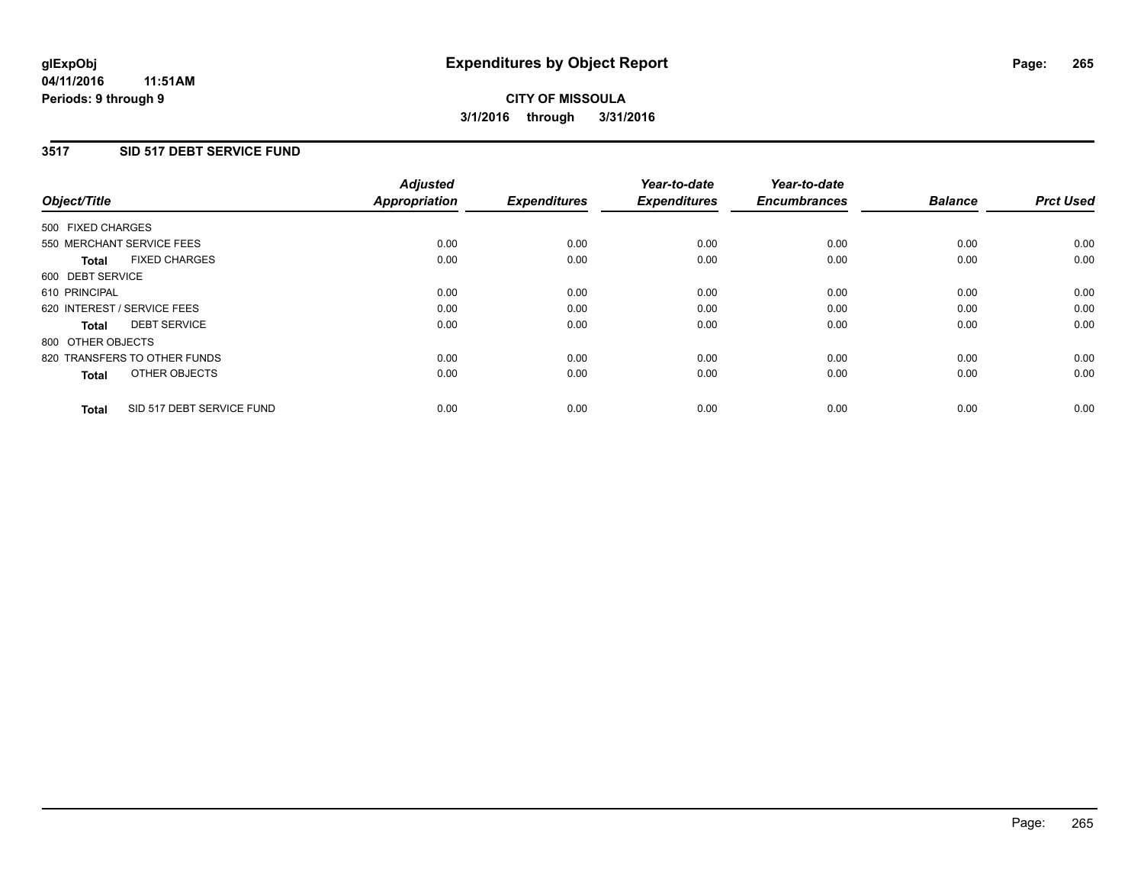#### **3517 SID 517 DEBT SERVICE FUND**

| Object/Title      |                              | <b>Adjusted</b><br>Appropriation | <b>Expenditures</b> | Year-to-date<br><b>Expenditures</b> | Year-to-date<br><b>Encumbrances</b> | <b>Balance</b> | <b>Prct Used</b> |
|-------------------|------------------------------|----------------------------------|---------------------|-------------------------------------|-------------------------------------|----------------|------------------|
| 500 FIXED CHARGES |                              |                                  |                     |                                     |                                     |                |                  |
|                   | 550 MERCHANT SERVICE FEES    | 0.00                             | 0.00                | 0.00                                | 0.00                                | 0.00           | 0.00             |
| <b>Total</b>      | <b>FIXED CHARGES</b>         | 0.00                             | 0.00                | 0.00                                | 0.00                                | 0.00           | 0.00             |
| 600 DEBT SERVICE  |                              |                                  |                     |                                     |                                     |                |                  |
| 610 PRINCIPAL     |                              | 0.00                             | 0.00                | 0.00                                | 0.00                                | 0.00           | 0.00             |
|                   | 620 INTEREST / SERVICE FEES  | 0.00                             | 0.00                | 0.00                                | 0.00                                | 0.00           | 0.00             |
| Total             | <b>DEBT SERVICE</b>          | 0.00                             | 0.00                | 0.00                                | 0.00                                | 0.00           | 0.00             |
| 800 OTHER OBJECTS |                              |                                  |                     |                                     |                                     |                |                  |
|                   | 820 TRANSFERS TO OTHER FUNDS | 0.00                             | 0.00                | 0.00                                | 0.00                                | 0.00           | 0.00             |
| <b>Total</b>      | OTHER OBJECTS                | 0.00                             | 0.00                | 0.00                                | 0.00                                | 0.00           | 0.00             |
| <b>Total</b>      | SID 517 DEBT SERVICE FUND    | 0.00                             | 0.00                | 0.00                                | 0.00                                | 0.00           | 0.00             |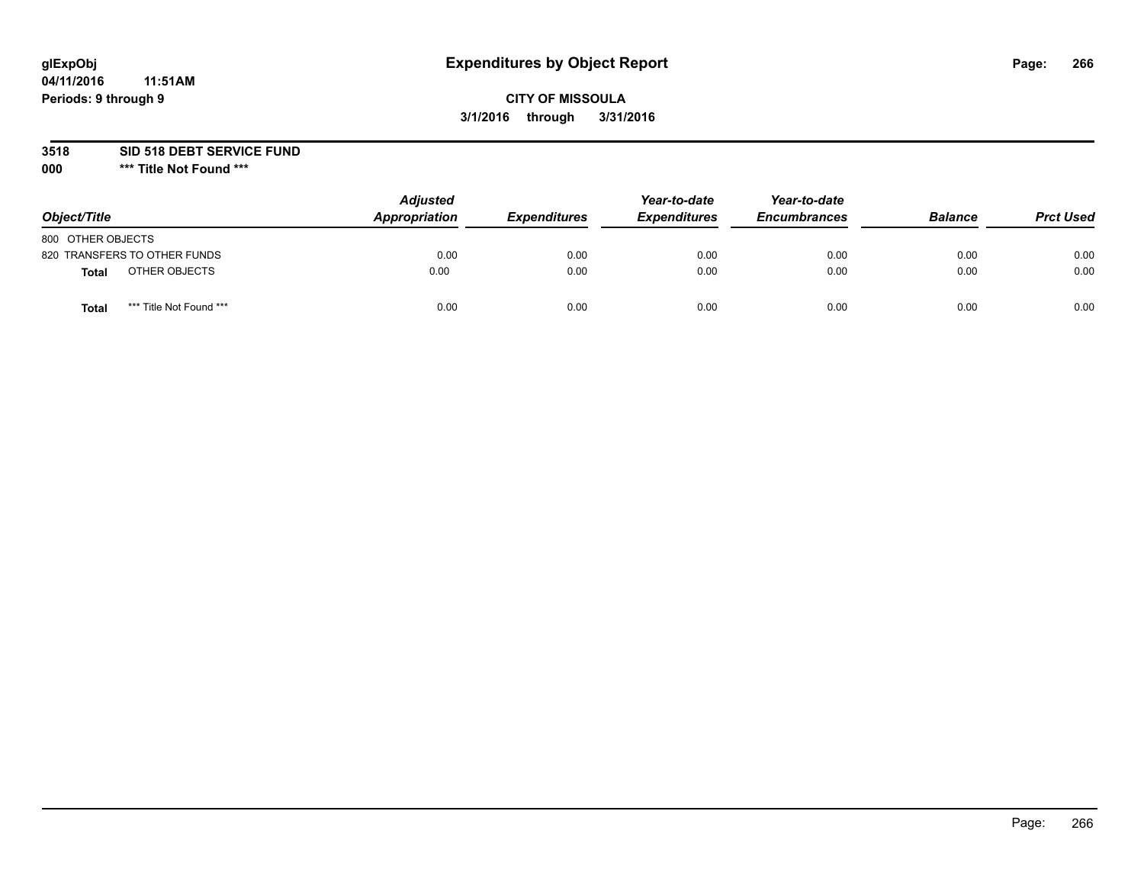# **glExpObj Expenditures by Object Report Page: 266**

## **CITY OF MISSOULA 3/1/2016 through 3/31/2016**

**3518 SID 518 DEBT SERVICE FUND**

**000 \*\*\* Title Not Found \*\*\***

| Object/Title                     | <b>Adjusted</b><br>Appropriation | <b>Expenditures</b> | Year-to-date<br><b>Expenditures</b> | Year-to-date<br><b>Encumbrances</b> | <b>Balance</b> | <b>Prct Used</b> |
|----------------------------------|----------------------------------|---------------------|-------------------------------------|-------------------------------------|----------------|------------------|
| 800 OTHER OBJECTS                |                                  |                     |                                     |                                     |                |                  |
| 820 TRANSFERS TO OTHER FUNDS     | 0.00                             | 0.00                | 0.00                                | 0.00                                | 0.00           | 0.00             |
| OTHER OBJECTS<br>Total           | 0.00                             | 0.00                | 0.00                                | 0.00                                | 0.00           | 0.00             |
| *** Title Not Found ***<br>Total | 0.00                             | 0.00                | 0.00                                | 0.00                                | 0.00           | 0.00             |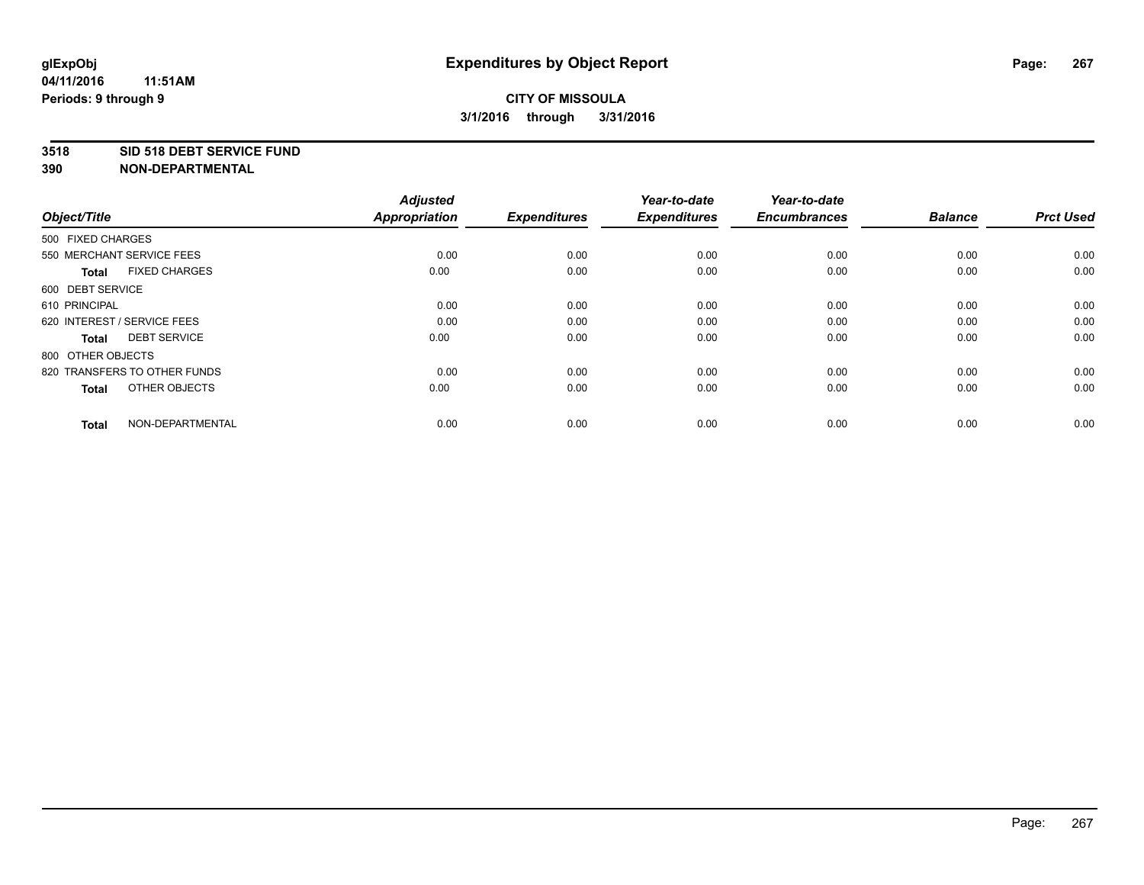#### **3518 SID 518 DEBT SERVICE FUND**

**390 NON-DEPARTMENTAL**

**04/11/2016**

| Object/Title                         | <b>Adjusted</b><br><b>Appropriation</b> | <b>Expenditures</b> | Year-to-date<br><b>Expenditures</b> | Year-to-date<br><b>Encumbrances</b> | <b>Balance</b> | <b>Prct Used</b> |
|--------------------------------------|-----------------------------------------|---------------------|-------------------------------------|-------------------------------------|----------------|------------------|
| 500 FIXED CHARGES                    |                                         |                     |                                     |                                     |                |                  |
| 550 MERCHANT SERVICE FEES            | 0.00                                    | 0.00                | 0.00                                | 0.00                                | 0.00           | 0.00             |
| <b>FIXED CHARGES</b><br><b>Total</b> | 0.00                                    | 0.00                | 0.00                                | 0.00                                | 0.00           | 0.00             |
| 600 DEBT SERVICE                     |                                         |                     |                                     |                                     |                |                  |
| 610 PRINCIPAL                        | 0.00                                    | 0.00                | 0.00                                | 0.00                                | 0.00           | 0.00             |
| 620 INTEREST / SERVICE FEES          | 0.00                                    | 0.00                | 0.00                                | 0.00                                | 0.00           | 0.00             |
| <b>DEBT SERVICE</b><br><b>Total</b>  | 0.00                                    | 0.00                | 0.00                                | 0.00                                | 0.00           | 0.00             |
| 800 OTHER OBJECTS                    |                                         |                     |                                     |                                     |                |                  |
| 820 TRANSFERS TO OTHER FUNDS         | 0.00                                    | 0.00                | 0.00                                | 0.00                                | 0.00           | 0.00             |
| OTHER OBJECTS<br><b>Total</b>        | 0.00                                    | 0.00                | 0.00                                | 0.00                                | 0.00           | 0.00             |
|                                      |                                         |                     |                                     |                                     |                |                  |
| NON-DEPARTMENTAL<br><b>Total</b>     | 0.00                                    | 0.00                | 0.00                                | 0.00                                | 0.00           | 0.00             |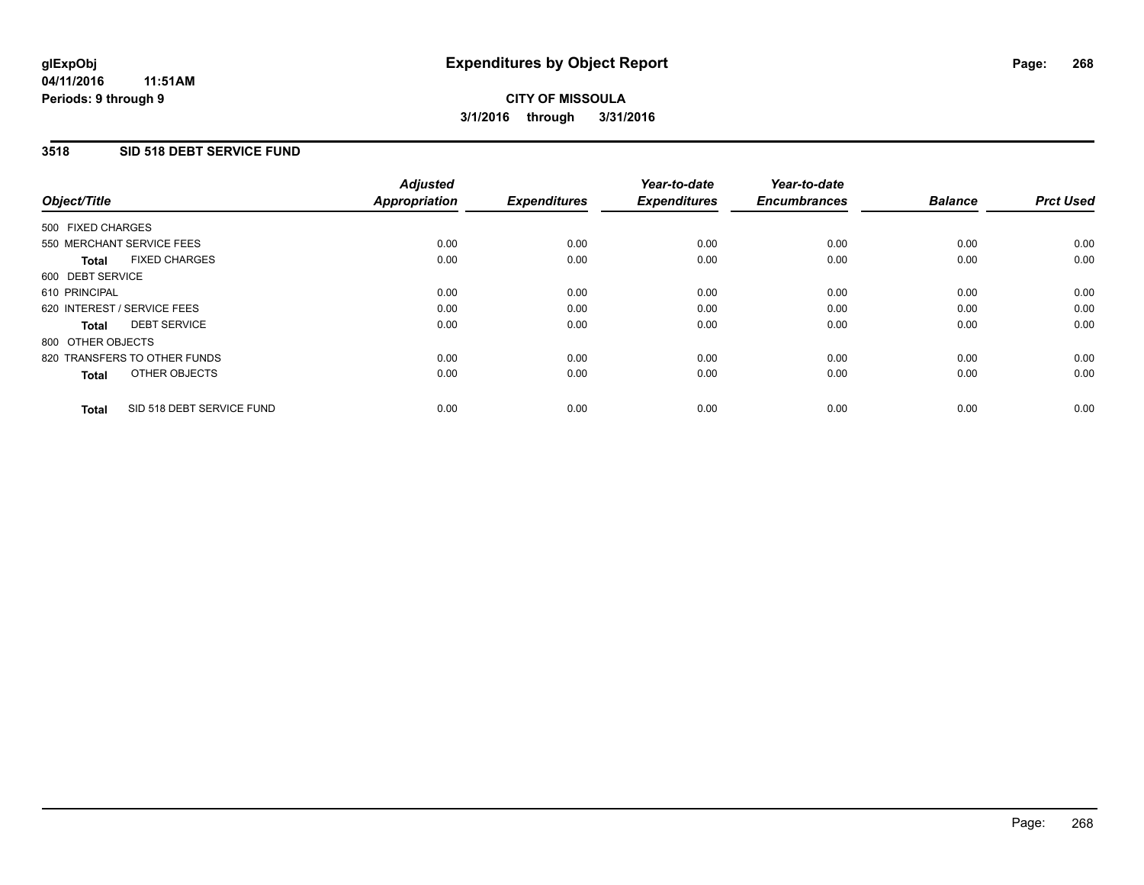### **3518 SID 518 DEBT SERVICE FUND**

| Object/Title      |                              | <b>Adjusted</b><br>Appropriation | <b>Expenditures</b> | Year-to-date<br><b>Expenditures</b> | Year-to-date<br><b>Encumbrances</b> | <b>Balance</b> | <b>Prct Used</b> |
|-------------------|------------------------------|----------------------------------|---------------------|-------------------------------------|-------------------------------------|----------------|------------------|
| 500 FIXED CHARGES |                              |                                  |                     |                                     |                                     |                |                  |
|                   | 550 MERCHANT SERVICE FEES    | 0.00                             | 0.00                | 0.00                                | 0.00                                | 0.00           | 0.00             |
| <b>Total</b>      | <b>FIXED CHARGES</b>         | 0.00                             | 0.00                | 0.00                                | 0.00                                | 0.00           | 0.00             |
| 600 DEBT SERVICE  |                              |                                  |                     |                                     |                                     |                |                  |
| 610 PRINCIPAL     |                              | 0.00                             | 0.00                | 0.00                                | 0.00                                | 0.00           | 0.00             |
|                   | 620 INTEREST / SERVICE FEES  | 0.00                             | 0.00                | 0.00                                | 0.00                                | 0.00           | 0.00             |
| Total             | <b>DEBT SERVICE</b>          | 0.00                             | 0.00                | 0.00                                | 0.00                                | 0.00           | 0.00             |
| 800 OTHER OBJECTS |                              |                                  |                     |                                     |                                     |                |                  |
|                   | 820 TRANSFERS TO OTHER FUNDS | 0.00                             | 0.00                | 0.00                                | 0.00                                | 0.00           | 0.00             |
| <b>Total</b>      | OTHER OBJECTS                | 0.00                             | 0.00                | 0.00                                | 0.00                                | 0.00           | 0.00             |
| <b>Total</b>      | SID 518 DEBT SERVICE FUND    | 0.00                             | 0.00                | 0.00                                | 0.00                                | 0.00           | 0.00             |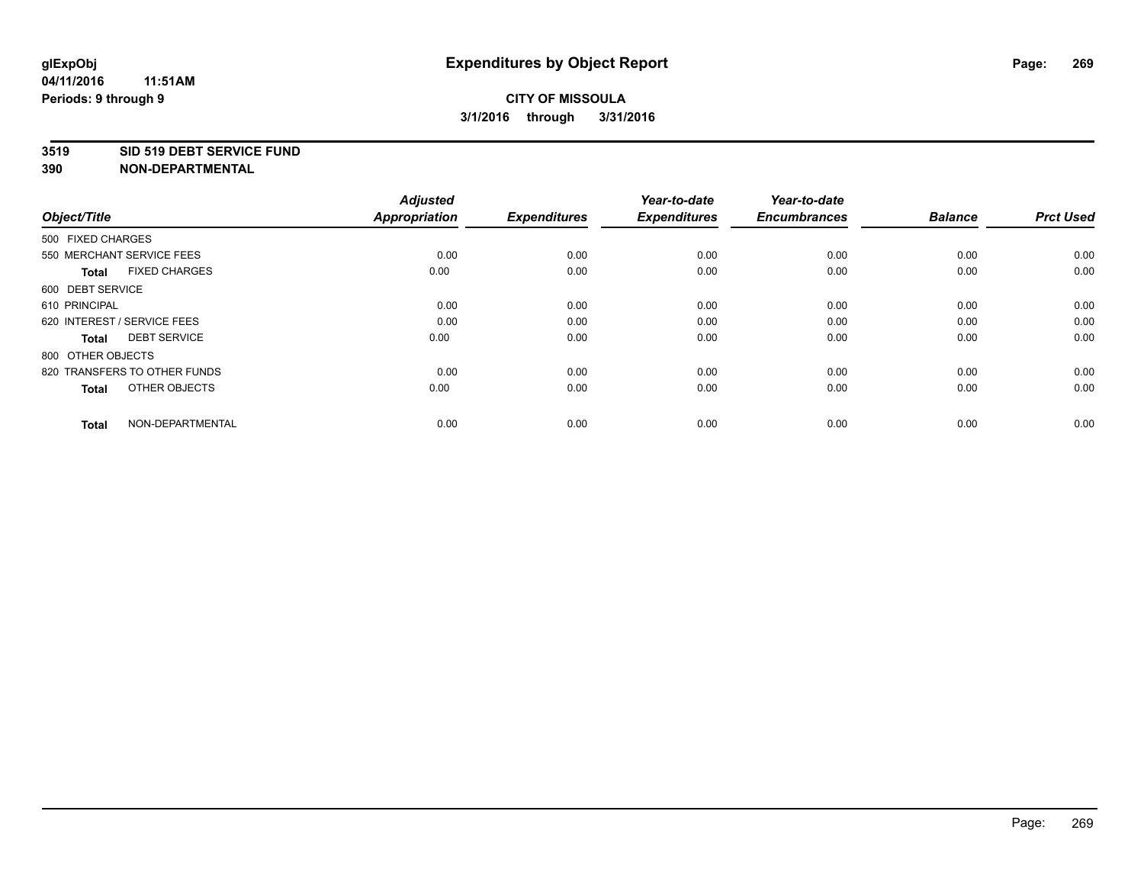#### **3519 SID 519 DEBT SERVICE FUND**

| Object/Title                         | <b>Adjusted</b><br><b>Appropriation</b> | <b>Expenditures</b> | Year-to-date<br><b>Expenditures</b> | Year-to-date<br><b>Encumbrances</b> | <b>Balance</b> | <b>Prct Used</b> |
|--------------------------------------|-----------------------------------------|---------------------|-------------------------------------|-------------------------------------|----------------|------------------|
| 500 FIXED CHARGES                    |                                         |                     |                                     |                                     |                |                  |
| 550 MERCHANT SERVICE FEES            | 0.00                                    | 0.00                | 0.00                                | 0.00                                | 0.00           | 0.00             |
| <b>FIXED CHARGES</b><br><b>Total</b> | 0.00                                    | 0.00                | 0.00                                | 0.00                                | 0.00           | 0.00             |
| 600 DEBT SERVICE                     |                                         |                     |                                     |                                     |                |                  |
| 610 PRINCIPAL                        | 0.00                                    | 0.00                | 0.00                                | 0.00                                | 0.00           | 0.00             |
| 620 INTEREST / SERVICE FEES          | 0.00                                    | 0.00                | 0.00                                | 0.00                                | 0.00           | 0.00             |
| <b>DEBT SERVICE</b><br><b>Total</b>  | 0.00                                    | 0.00                | 0.00                                | 0.00                                | 0.00           | 0.00             |
| 800 OTHER OBJECTS                    |                                         |                     |                                     |                                     |                |                  |
| 820 TRANSFERS TO OTHER FUNDS         | 0.00                                    | 0.00                | 0.00                                | 0.00                                | 0.00           | 0.00             |
| OTHER OBJECTS<br><b>Total</b>        | 0.00                                    | 0.00                | 0.00                                | 0.00                                | 0.00           | 0.00             |
|                                      |                                         |                     |                                     |                                     |                |                  |
| NON-DEPARTMENTAL<br><b>Total</b>     | 0.00                                    | 0.00                | 0.00                                | 0.00                                | 0.00           | 0.00             |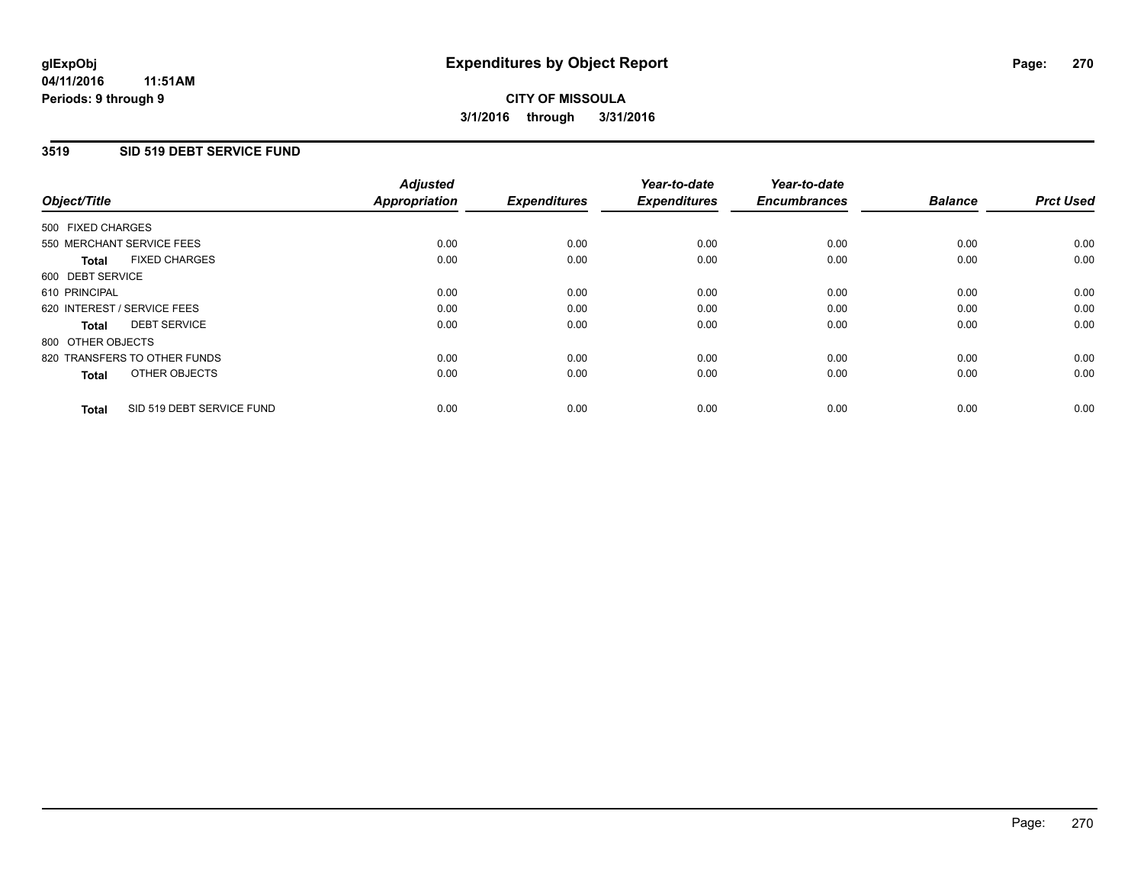#### **3519 SID 519 DEBT SERVICE FUND**

| Object/Title                              | <b>Adjusted</b><br><b>Appropriation</b> | <b>Expenditures</b> | Year-to-date<br><b>Expenditures</b> | Year-to-date<br><b>Encumbrances</b> | <b>Balance</b> | <b>Prct Used</b> |
|-------------------------------------------|-----------------------------------------|---------------------|-------------------------------------|-------------------------------------|----------------|------------------|
|                                           |                                         |                     |                                     |                                     |                |                  |
| 500 FIXED CHARGES                         |                                         |                     |                                     |                                     |                |                  |
| 550 MERCHANT SERVICE FEES                 | 0.00                                    | 0.00                | 0.00                                | 0.00                                | 0.00           | 0.00             |
| <b>FIXED CHARGES</b><br>Total             | 0.00                                    | 0.00                | 0.00                                | 0.00                                | 0.00           | 0.00             |
| 600 DEBT SERVICE                          |                                         |                     |                                     |                                     |                |                  |
| 610 PRINCIPAL                             | 0.00                                    | 0.00                | 0.00                                | 0.00                                | 0.00           | 0.00             |
| 620 INTEREST / SERVICE FEES               | 0.00                                    | 0.00                | 0.00                                | 0.00                                | 0.00           | 0.00             |
| <b>DEBT SERVICE</b><br><b>Total</b>       | 0.00                                    | 0.00                | 0.00                                | 0.00                                | 0.00           | 0.00             |
| 800 OTHER OBJECTS                         |                                         |                     |                                     |                                     |                |                  |
| 820 TRANSFERS TO OTHER FUNDS              | 0.00                                    | 0.00                | 0.00                                | 0.00                                | 0.00           | 0.00             |
| OTHER OBJECTS<br><b>Total</b>             | 0.00                                    | 0.00                | 0.00                                | 0.00                                | 0.00           | 0.00             |
|                                           |                                         |                     |                                     |                                     |                |                  |
| SID 519 DEBT SERVICE FUND<br><b>Total</b> | 0.00                                    | 0.00                | 0.00                                | 0.00                                | 0.00           | 0.00             |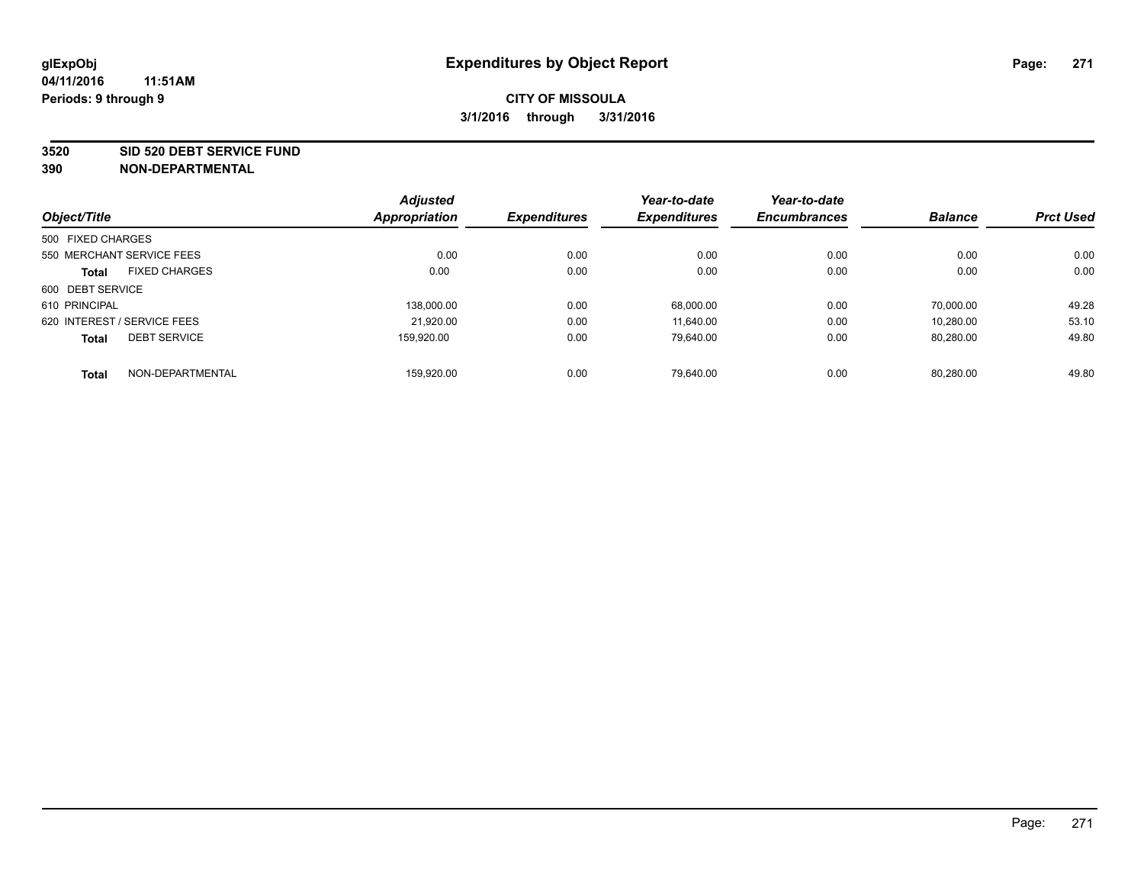#### **3520 SID 520 DEBT SERVICE FUND**

|                             |                           | <b>Adjusted</b> |                     | Year-to-date        | Year-to-date        |                |                  |
|-----------------------------|---------------------------|-----------------|---------------------|---------------------|---------------------|----------------|------------------|
| Object/Title                |                           | Appropriation   | <b>Expenditures</b> | <b>Expenditures</b> | <b>Encumbrances</b> | <b>Balance</b> | <b>Prct Used</b> |
| 500 FIXED CHARGES           |                           |                 |                     |                     |                     |                |                  |
|                             | 550 MERCHANT SERVICE FEES | 0.00            | 0.00                | 0.00                | 0.00                | 0.00           | 0.00             |
| <b>Total</b>                | <b>FIXED CHARGES</b>      | 0.00            | 0.00                | 0.00                | 0.00                | 0.00           | 0.00             |
| 600 DEBT SERVICE            |                           |                 |                     |                     |                     |                |                  |
| 610 PRINCIPAL               |                           | 138,000.00      | 0.00                | 68.000.00           | 0.00                | 70.000.00      | 49.28            |
| 620 INTEREST / SERVICE FEES |                           | 21,920.00       | 0.00                | 11.640.00           | 0.00                | 10.280.00      | 53.10            |
| <b>Total</b>                | <b>DEBT SERVICE</b>       | 159.920.00      | 0.00                | 79,640.00           | 0.00                | 80,280.00      | 49.80            |
| <b>Total</b>                | NON-DEPARTMENTAL          | 159.920.00      | 0.00                | 79.640.00           | 0.00                | 80.280.00      | 49.80            |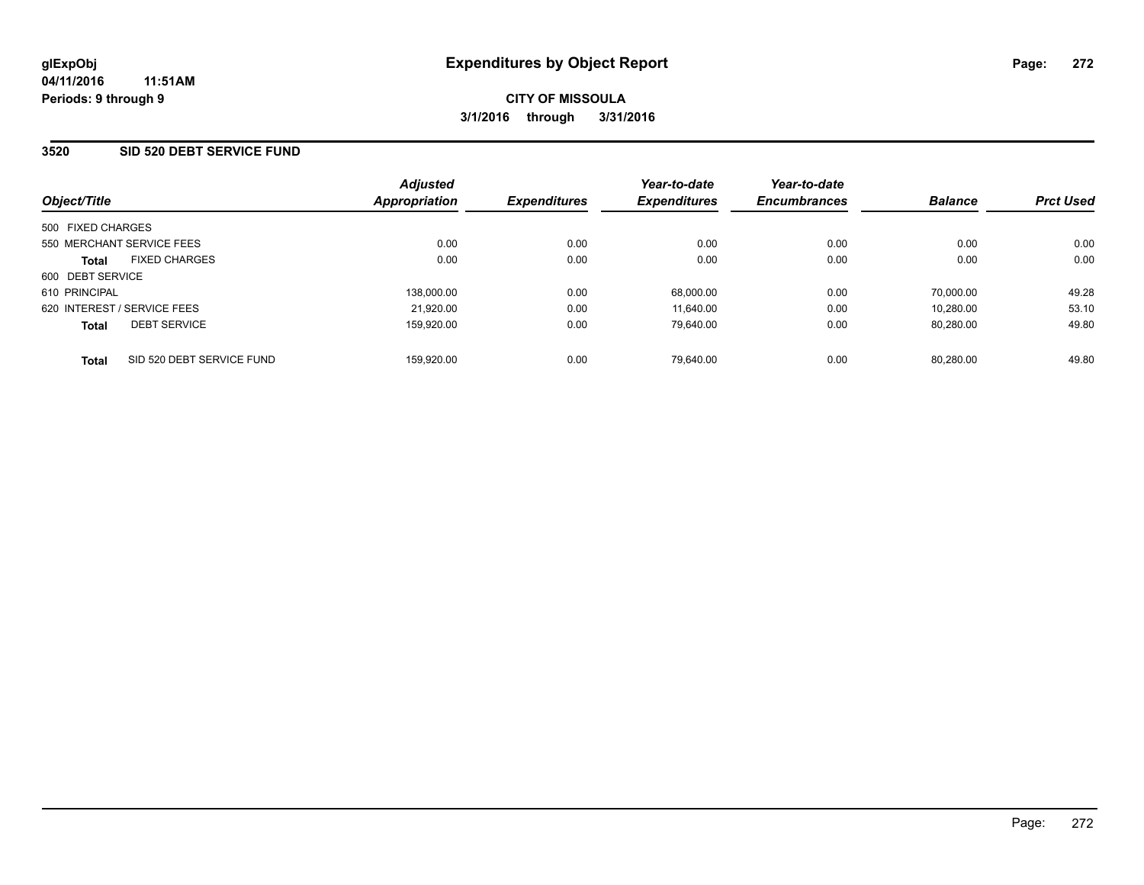### **3520 SID 520 DEBT SERVICE FUND**

| Object/Title                              | <b>Adjusted</b><br>Appropriation | <b>Expenditures</b> | Year-to-date<br><b>Expenditures</b> | Year-to-date<br><b>Encumbrances</b> | <b>Balance</b> | <b>Prct Used</b> |
|-------------------------------------------|----------------------------------|---------------------|-------------------------------------|-------------------------------------|----------------|------------------|
| 500 FIXED CHARGES                         |                                  |                     |                                     |                                     |                |                  |
| 550 MERCHANT SERVICE FEES                 | 0.00                             | 0.00                | 0.00                                | 0.00                                | 0.00           | 0.00             |
| <b>FIXED CHARGES</b><br><b>Total</b>      | 0.00                             | 0.00                | 0.00                                | 0.00                                | 0.00           | 0.00             |
| 600 DEBT SERVICE                          |                                  |                     |                                     |                                     |                |                  |
| 610 PRINCIPAL                             | 138.000.00                       | 0.00                | 68.000.00                           | 0.00                                | 70.000.00      | 49.28            |
| 620 INTEREST / SERVICE FEES               | 21,920.00                        | 0.00                | 11.640.00                           | 0.00                                | 10.280.00      | 53.10            |
| <b>DEBT SERVICE</b><br><b>Total</b>       | 159.920.00                       | 0.00                | 79.640.00                           | 0.00                                | 80.280.00      | 49.80            |
| SID 520 DEBT SERVICE FUND<br><b>Total</b> | 159.920.00                       | 0.00                | 79.640.00                           | 0.00                                | 80.280.00      | 49.80            |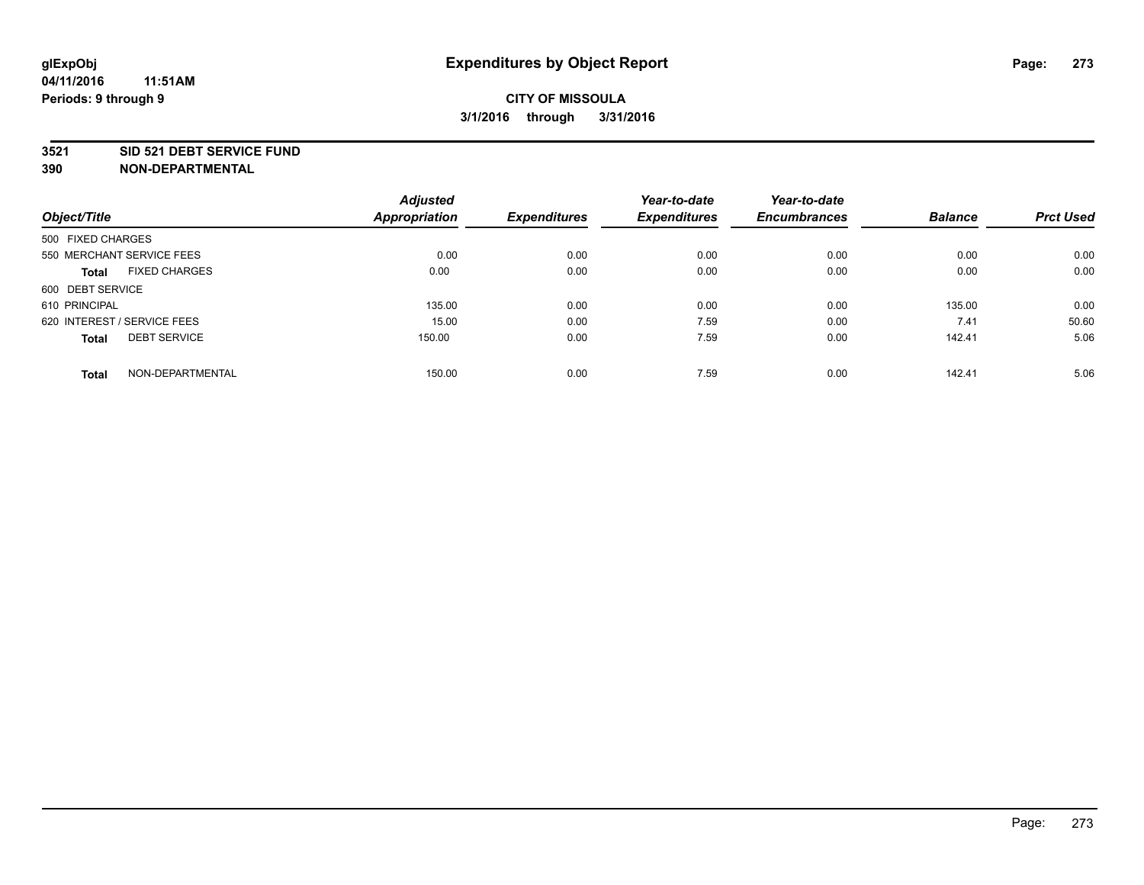#### **3521 SID 521 DEBT SERVICE FUND**

|                                      | <b>Adjusted</b>      |                     | Year-to-date        | Year-to-date        |                |                  |
|--------------------------------------|----------------------|---------------------|---------------------|---------------------|----------------|------------------|
| Object/Title                         | <b>Appropriation</b> | <b>Expenditures</b> | <b>Expenditures</b> | <b>Encumbrances</b> | <b>Balance</b> | <b>Prct Used</b> |
| 500 FIXED CHARGES                    |                      |                     |                     |                     |                |                  |
| 550 MERCHANT SERVICE FEES            | 0.00                 | 0.00                | 0.00                | 0.00                | 0.00           | 0.00             |
| <b>FIXED CHARGES</b><br><b>Total</b> | 0.00                 | 0.00                | 0.00                | 0.00                | 0.00           | 0.00             |
| 600 DEBT SERVICE                     |                      |                     |                     |                     |                |                  |
| 610 PRINCIPAL                        | 135.00               | 0.00                | 0.00                | 0.00                | 135.00         | 0.00             |
| 620 INTEREST / SERVICE FEES          | 15.00                | 0.00                | 7.59                | 0.00                | 7.41           | 50.60            |
| <b>DEBT SERVICE</b><br><b>Total</b>  | 150.00               | 0.00                | 7.59                | 0.00                | 142.41         | 5.06             |
| NON-DEPARTMENTAL<br><b>Total</b>     | 150.00               | 0.00                | 7.59                | 0.00                | 142.41         | 5.06             |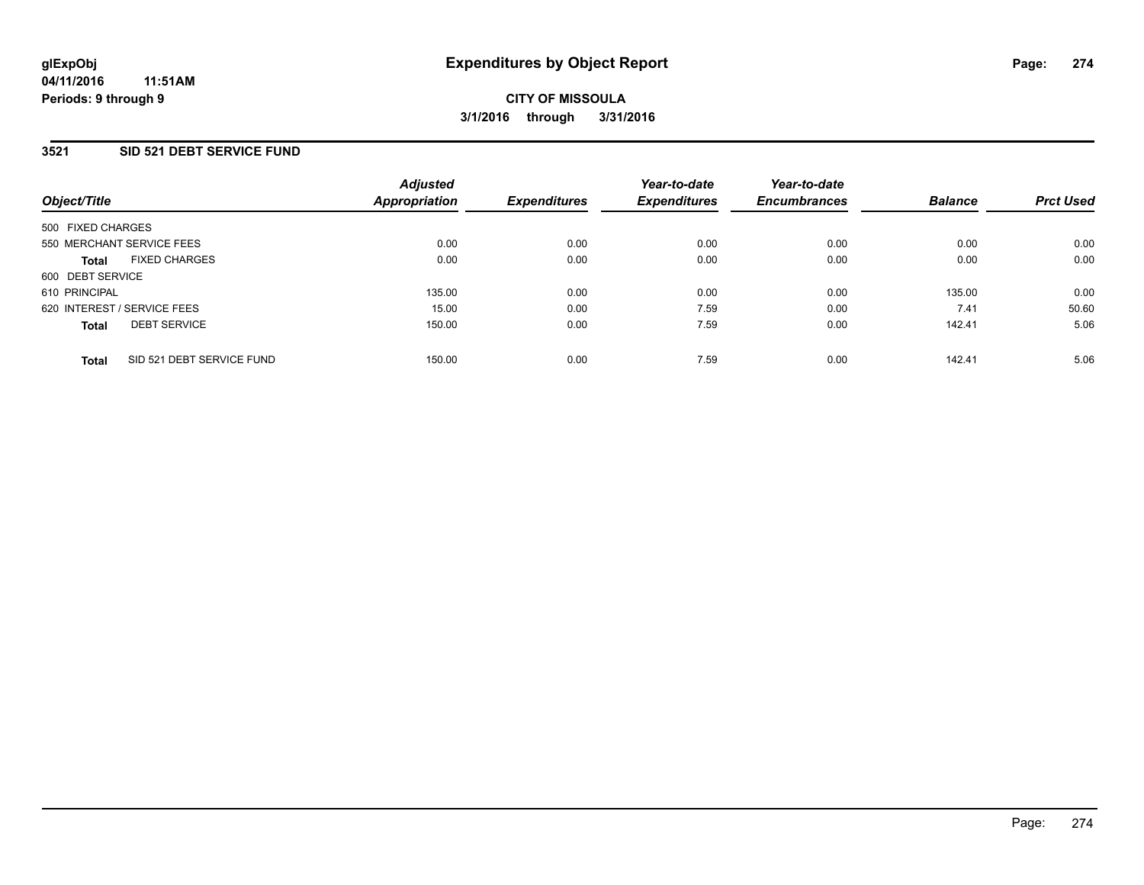### **3521 SID 521 DEBT SERVICE FUND**

| Object/Title                              | <b>Adjusted</b><br><b>Appropriation</b> | <b>Expenditures</b> | Year-to-date<br><b>Expenditures</b> | Year-to-date<br><b>Encumbrances</b> | <b>Balance</b> | <b>Prct Used</b> |
|-------------------------------------------|-----------------------------------------|---------------------|-------------------------------------|-------------------------------------|----------------|------------------|
| 500 FIXED CHARGES                         |                                         |                     |                                     |                                     |                |                  |
| 550 MERCHANT SERVICE FEES                 | 0.00                                    | 0.00                | 0.00                                | 0.00                                | 0.00           | 0.00             |
| <b>FIXED CHARGES</b><br><b>Total</b>      | 0.00                                    | 0.00                | 0.00                                | 0.00                                | 0.00           | 0.00             |
| 600 DEBT SERVICE                          |                                         |                     |                                     |                                     |                |                  |
| 610 PRINCIPAL                             | 135.00                                  | 0.00                | 0.00                                | 0.00                                | 135.00         | 0.00             |
| 620 INTEREST / SERVICE FEES               | 15.00                                   | 0.00                | 7.59                                | 0.00                                | 7.41           | 50.60            |
| <b>DEBT SERVICE</b><br><b>Total</b>       | 150.00                                  | 0.00                | 7.59                                | 0.00                                | 142.41         | 5.06             |
| SID 521 DEBT SERVICE FUND<br><b>Total</b> | 150.00                                  | 0.00                | 7.59                                | 0.00                                | 142.41         | 5.06             |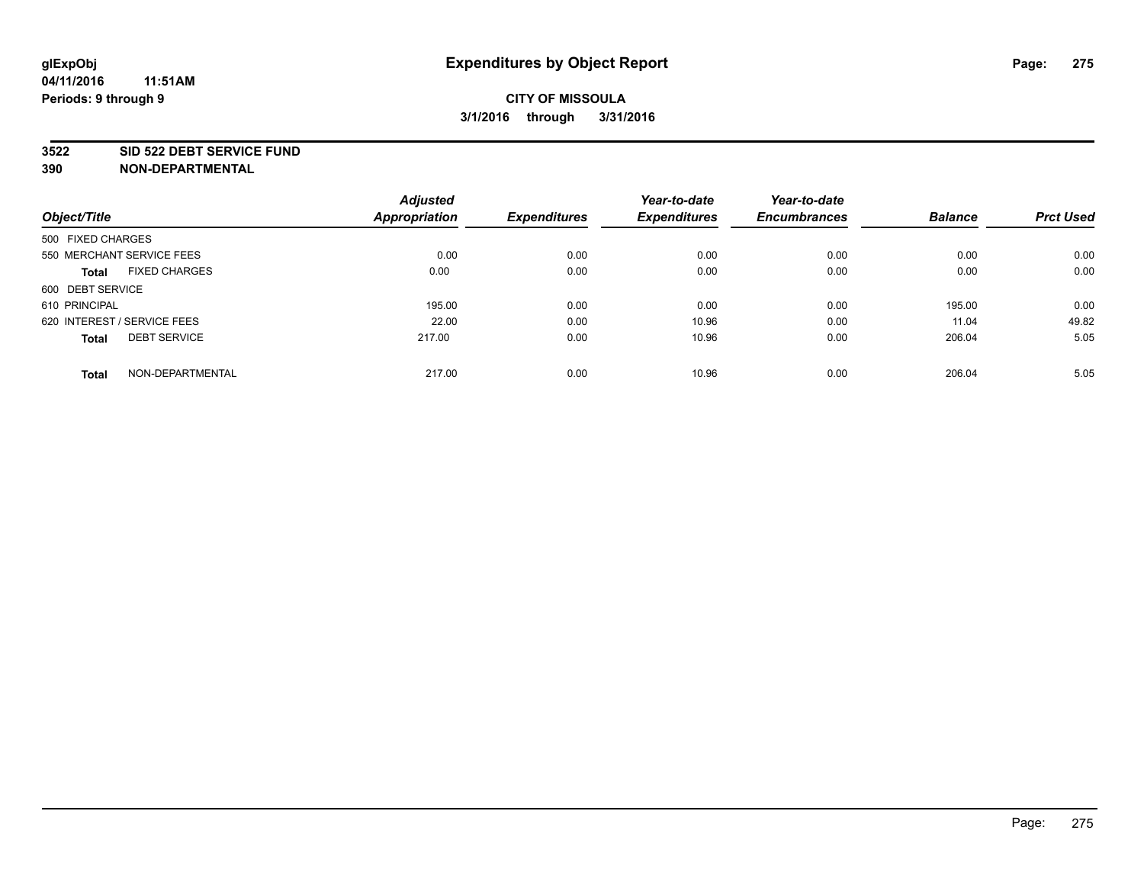#### **3522 SID 522 DEBT SERVICE FUND**

|                                      | <b>Adjusted</b>      |                     | Year-to-date        | Year-to-date        |                |                  |
|--------------------------------------|----------------------|---------------------|---------------------|---------------------|----------------|------------------|
| Object/Title                         | <b>Appropriation</b> | <b>Expenditures</b> | <b>Expenditures</b> | <b>Encumbrances</b> | <b>Balance</b> | <b>Prct Used</b> |
| 500 FIXED CHARGES                    |                      |                     |                     |                     |                |                  |
| 550 MERCHANT SERVICE FEES            | 0.00                 | 0.00                | 0.00                | 0.00                | 0.00           | 0.00             |
| <b>FIXED CHARGES</b><br><b>Total</b> | 0.00                 | 0.00                | 0.00                | 0.00                | 0.00           | 0.00             |
| 600 DEBT SERVICE                     |                      |                     |                     |                     |                |                  |
| 610 PRINCIPAL                        | 195.00               | 0.00                | 0.00                | 0.00                | 195.00         | 0.00             |
| 620 INTEREST / SERVICE FEES          | 22.00                | 0.00                | 10.96               | 0.00                | 11.04          | 49.82            |
| <b>DEBT SERVICE</b><br><b>Total</b>  | 217.00               | 0.00                | 10.96               | 0.00                | 206.04         | 5.05             |
| NON-DEPARTMENTAL<br><b>Total</b>     | 217.00               | 0.00                | 10.96               | 0.00                | 206.04         | 5.05             |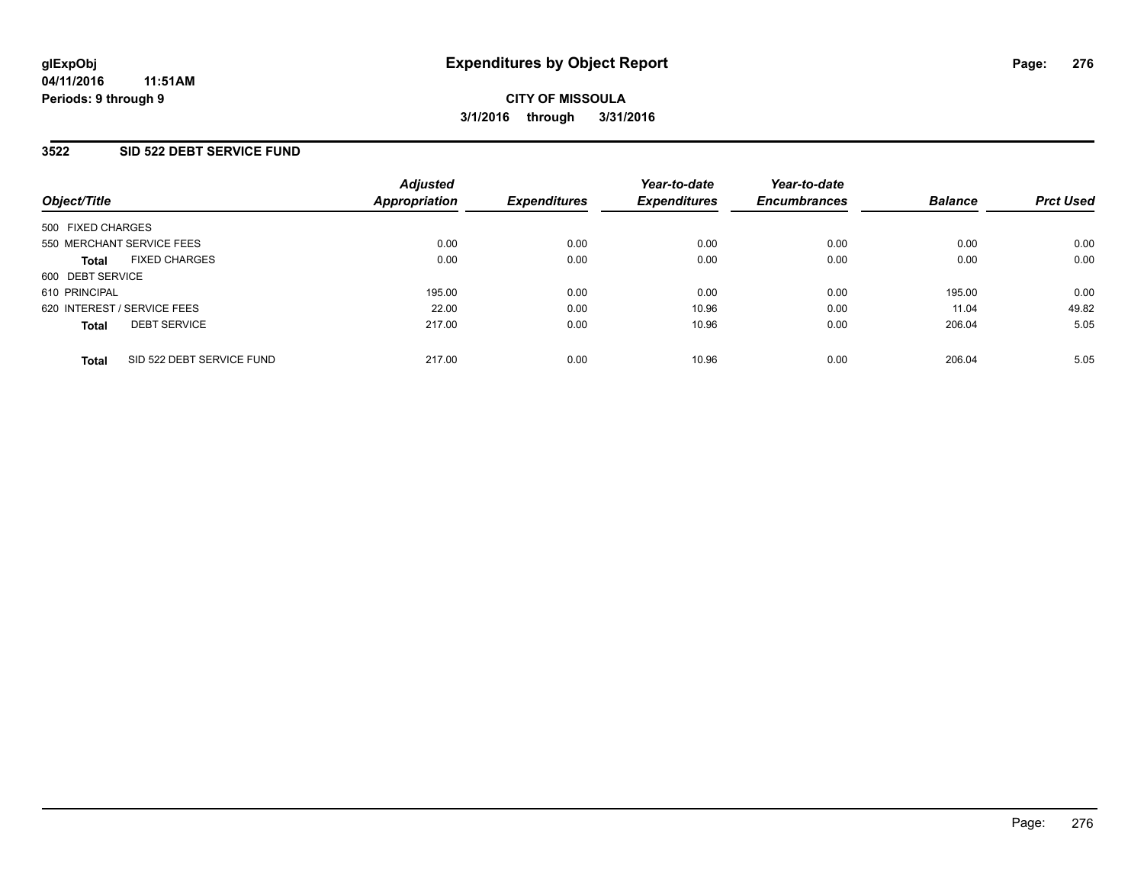#### **3522 SID 522 DEBT SERVICE FUND**

| Object/Title                              | <b>Adjusted</b><br>Appropriation | <b>Expenditures</b> | Year-to-date<br><b>Expenditures</b> | Year-to-date<br><b>Encumbrances</b> | <b>Balance</b> | <b>Prct Used</b> |
|-------------------------------------------|----------------------------------|---------------------|-------------------------------------|-------------------------------------|----------------|------------------|
| 500 FIXED CHARGES                         |                                  |                     |                                     |                                     |                |                  |
| 550 MERCHANT SERVICE FEES                 | 0.00                             | 0.00                | 0.00                                | 0.00                                | 0.00           | 0.00             |
| <b>FIXED CHARGES</b><br><b>Total</b>      | 0.00                             | 0.00                | 0.00                                | 0.00                                | 0.00           | 0.00             |
| 600 DEBT SERVICE                          |                                  |                     |                                     |                                     |                |                  |
| 610 PRINCIPAL                             | 195.00                           | 0.00                | 0.00                                | 0.00                                | 195.00         | 0.00             |
| 620 INTEREST / SERVICE FEES               | 22.00                            | 0.00                | 10.96                               | 0.00                                | 11.04          | 49.82            |
| <b>DEBT SERVICE</b><br><b>Total</b>       | 217.00                           | 0.00                | 10.96                               | 0.00                                | 206.04         | 5.05             |
| SID 522 DEBT SERVICE FUND<br><b>Total</b> | 217.00                           | 0.00                | 10.96                               | 0.00                                | 206.04         | 5.05             |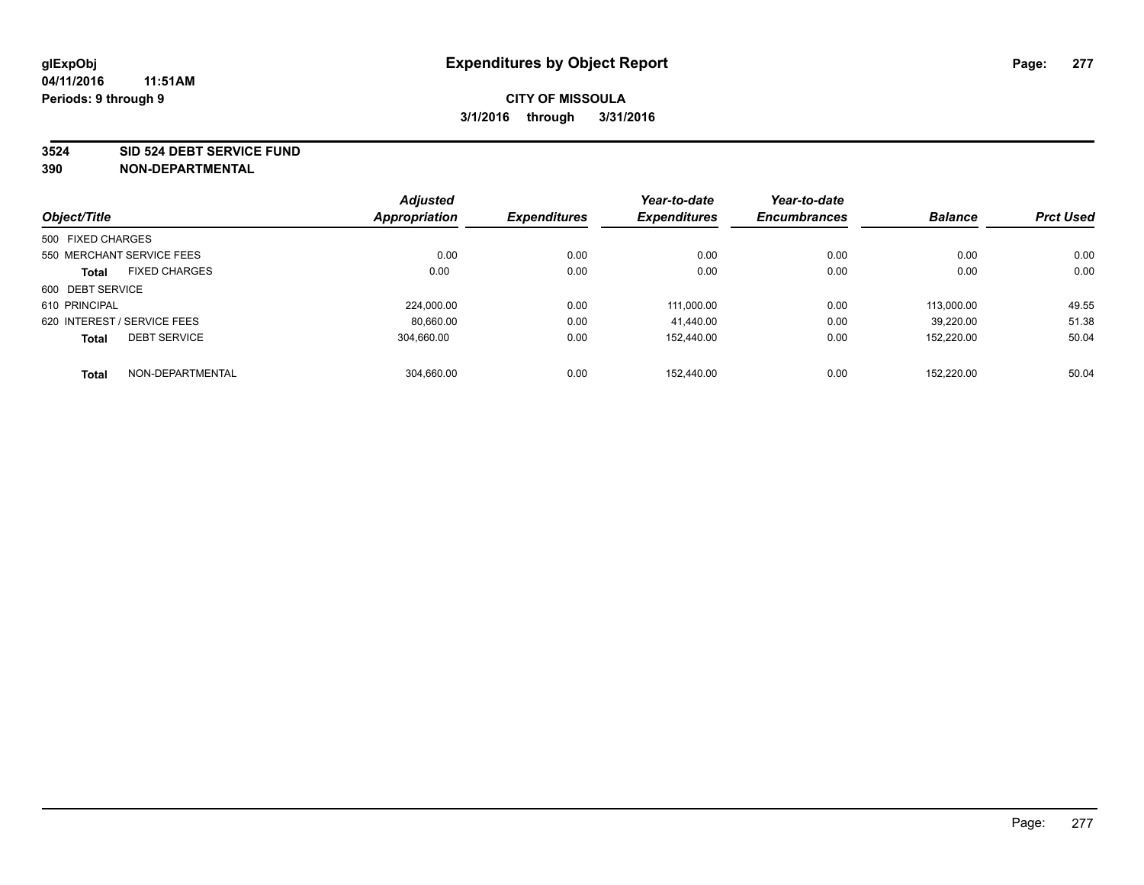#### **3524 SID 524 DEBT SERVICE FUND**

| Object/Title                |                           | <b>Adjusted</b><br>Appropriation | <b>Expenditures</b> | Year-to-date<br><b>Expenditures</b> | Year-to-date<br><b>Encumbrances</b> | <b>Balance</b> | <b>Prct Used</b> |
|-----------------------------|---------------------------|----------------------------------|---------------------|-------------------------------------|-------------------------------------|----------------|------------------|
|                             |                           |                                  |                     |                                     |                                     |                |                  |
| 500 FIXED CHARGES           |                           |                                  |                     |                                     |                                     |                |                  |
|                             | 550 MERCHANT SERVICE FEES | 0.00                             | 0.00                | 0.00                                | 0.00                                | 0.00           | 0.00             |
| <b>Total</b>                | <b>FIXED CHARGES</b>      | 0.00                             | 0.00                | 0.00                                | 0.00                                | 0.00           | 0.00             |
| 600 DEBT SERVICE            |                           |                                  |                     |                                     |                                     |                |                  |
| 610 PRINCIPAL               |                           | 224.000.00                       | 0.00                | 111.000.00                          | 0.00                                | 113.000.00     | 49.55            |
| 620 INTEREST / SERVICE FEES |                           | 80,660.00                        | 0.00                | 41.440.00                           | 0.00                                | 39.220.00      | 51.38            |
| <b>Total</b>                | <b>DEBT SERVICE</b>       | 304.660.00                       | 0.00                | 152.440.00                          | 0.00                                | 152,220.00     | 50.04            |
| <b>Total</b>                | NON-DEPARTMENTAL          | 304,660.00                       | 0.00                | 152.440.00                          | 0.00                                | 152.220.00     | 50.04            |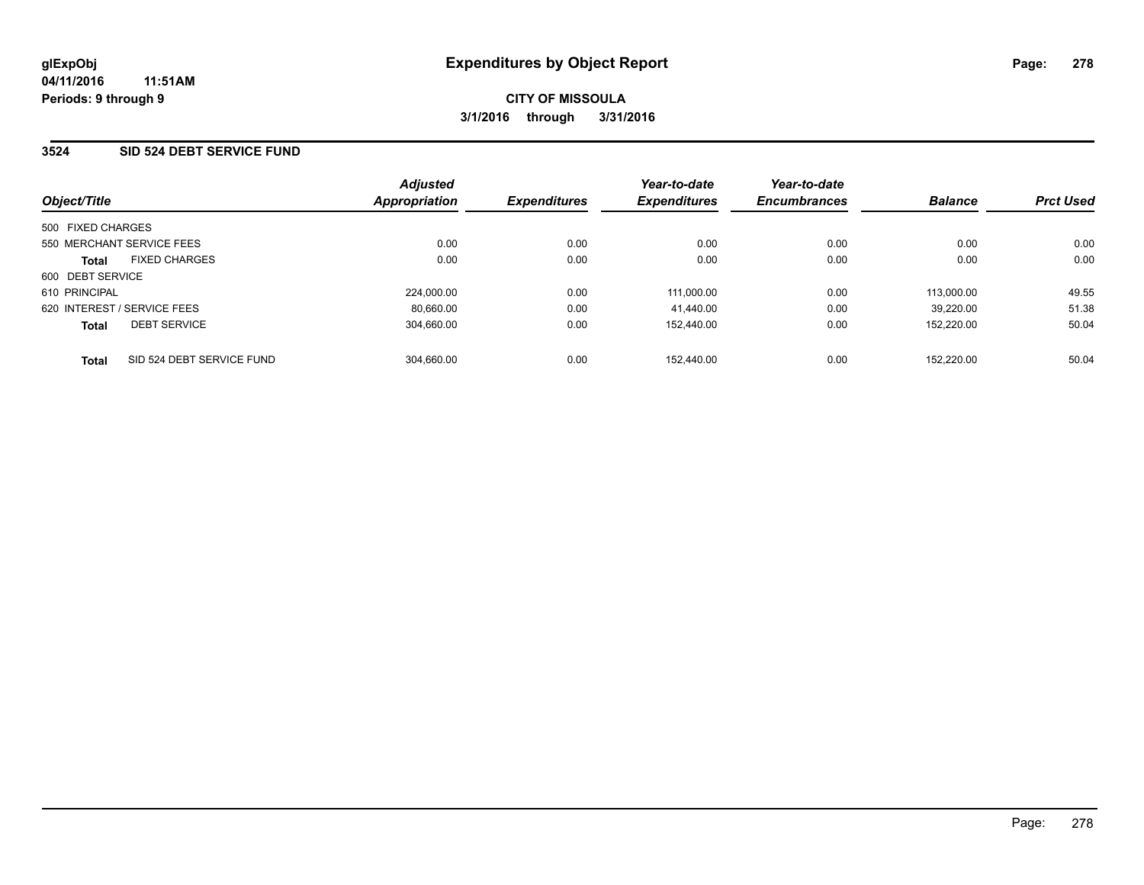#### **3524 SID 524 DEBT SERVICE FUND**

| Object/Title                              | <b>Adjusted</b><br>Appropriation | <b>Expenditures</b> | Year-to-date<br><b>Expenditures</b> | Year-to-date<br><b>Encumbrances</b> | <b>Balance</b> | <b>Prct Used</b> |
|-------------------------------------------|----------------------------------|---------------------|-------------------------------------|-------------------------------------|----------------|------------------|
| 500 FIXED CHARGES                         |                                  |                     |                                     |                                     |                |                  |
| 550 MERCHANT SERVICE FEES                 | 0.00                             | 0.00                | 0.00                                | 0.00                                | 0.00           | 0.00             |
| <b>FIXED CHARGES</b><br><b>Total</b>      | 0.00                             | 0.00                | 0.00                                | 0.00                                | 0.00           | 0.00             |
| 600 DEBT SERVICE                          |                                  |                     |                                     |                                     |                |                  |
| 610 PRINCIPAL                             | 224.000.00                       | 0.00                | 111.000.00                          | 0.00                                | 113.000.00     | 49.55            |
| 620 INTEREST / SERVICE FEES               | 80.660.00                        | 0.00                | 41.440.00                           | 0.00                                | 39.220.00      | 51.38            |
| <b>DEBT SERVICE</b><br><b>Total</b>       | 304.660.00                       | 0.00                | 152.440.00                          | 0.00                                | 152.220.00     | 50.04            |
| SID 524 DEBT SERVICE FUND<br><b>Total</b> | 304.660.00                       | 0.00                | 152.440.00                          | 0.00                                | 152.220.00     | 50.04            |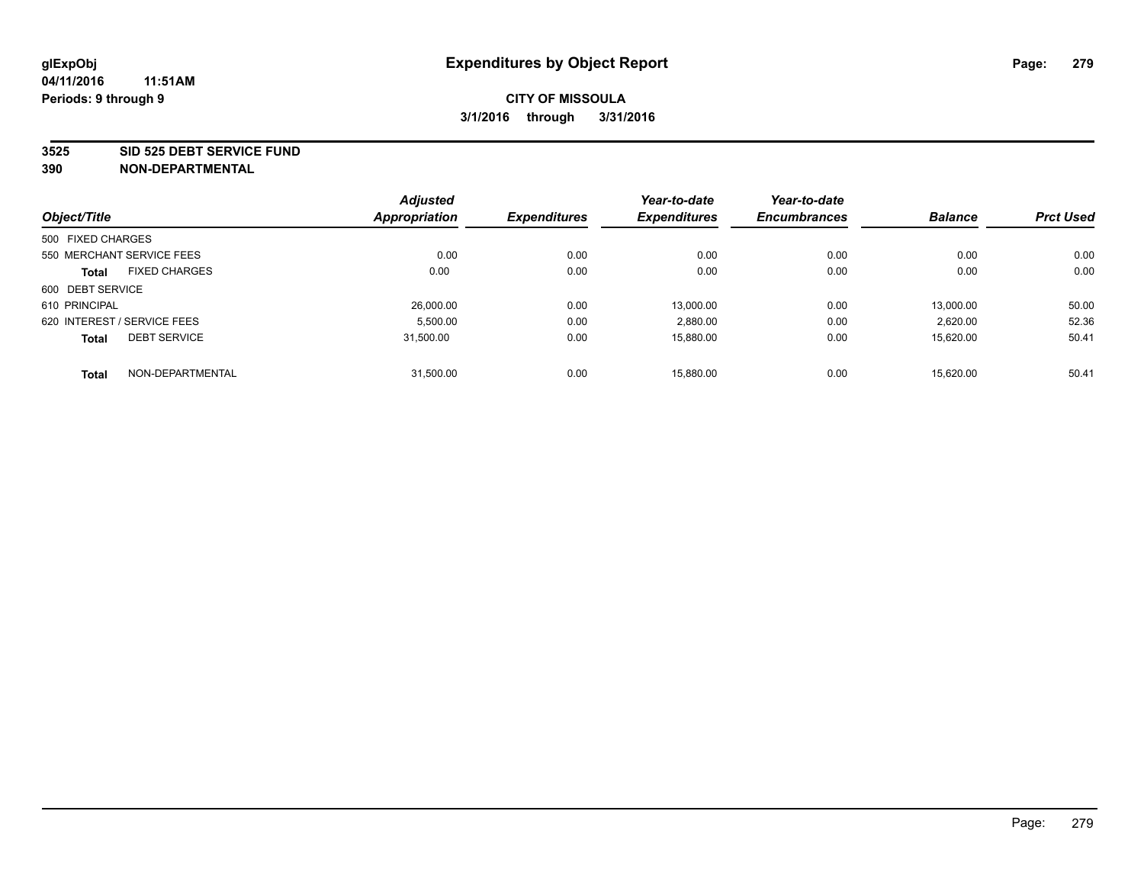#### **3525 SID 525 DEBT SERVICE FUND**

|                             |                           | <b>Adjusted</b>      |                     | Year-to-date        | Year-to-date        |                |                  |
|-----------------------------|---------------------------|----------------------|---------------------|---------------------|---------------------|----------------|------------------|
| Object/Title                |                           | <b>Appropriation</b> | <b>Expenditures</b> | <b>Expenditures</b> | <b>Encumbrances</b> | <b>Balance</b> | <b>Prct Used</b> |
| 500 FIXED CHARGES           |                           |                      |                     |                     |                     |                |                  |
|                             | 550 MERCHANT SERVICE FEES | 0.00                 | 0.00                | 0.00                | 0.00                | 0.00           | 0.00             |
| <b>Total</b>                | <b>FIXED CHARGES</b>      | 0.00                 | 0.00                | 0.00                | 0.00                | 0.00           | 0.00             |
| 600 DEBT SERVICE            |                           |                      |                     |                     |                     |                |                  |
| 610 PRINCIPAL               |                           | 26,000.00            | 0.00                | 13.000.00           | 0.00                | 13.000.00      | 50.00            |
| 620 INTEREST / SERVICE FEES |                           | 5,500.00             | 0.00                | 2,880.00            | 0.00                | 2,620.00       | 52.36            |
| <b>Total</b>                | <b>DEBT SERVICE</b>       | 31.500.00            | 0.00                | 15.880.00           | 0.00                | 15.620.00      | 50.41            |
| <b>Total</b>                | NON-DEPARTMENTAL          | 31,500.00            | 0.00                | 15.880.00           | 0.00                | 15.620.00      | 50.41            |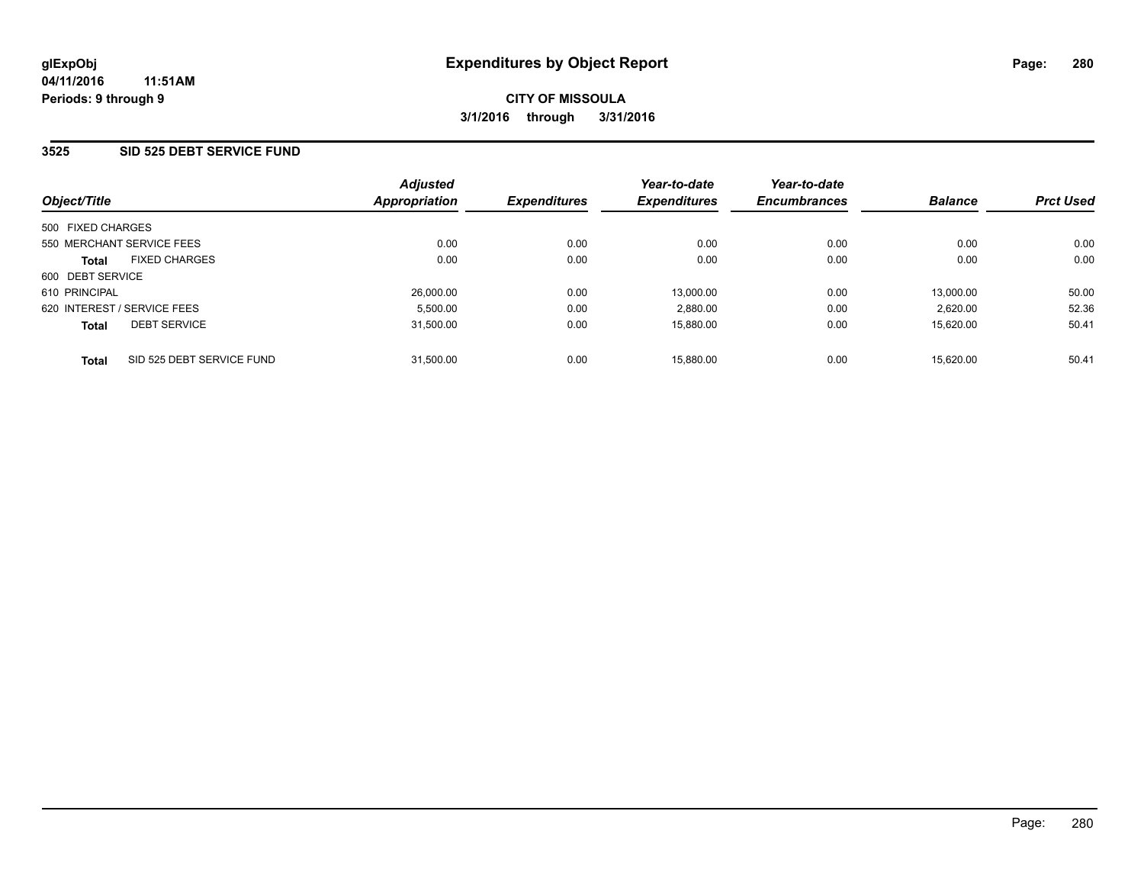#### **3525 SID 525 DEBT SERVICE FUND**

| Object/Title                              | <b>Adjusted</b><br>Appropriation | <b>Expenditures</b> | Year-to-date<br><b>Expenditures</b> | Year-to-date<br><b>Encumbrances</b> | <b>Balance</b> | <b>Prct Used</b> |
|-------------------------------------------|----------------------------------|---------------------|-------------------------------------|-------------------------------------|----------------|------------------|
| 500 FIXED CHARGES                         |                                  |                     |                                     |                                     |                |                  |
| 550 MERCHANT SERVICE FEES                 | 0.00                             | 0.00                | 0.00                                | 0.00                                | 0.00           | 0.00             |
| <b>FIXED CHARGES</b><br><b>Total</b>      | 0.00                             | 0.00                | 0.00                                | 0.00                                | 0.00           | 0.00             |
| 600 DEBT SERVICE                          |                                  |                     |                                     |                                     |                |                  |
| 610 PRINCIPAL                             | 26,000.00                        | 0.00                | 13.000.00                           | 0.00                                | 13.000.00      | 50.00            |
| 620 INTEREST / SERVICE FEES               | 5.500.00                         | 0.00                | 2,880.00                            | 0.00                                | 2.620.00       | 52.36            |
| <b>DEBT SERVICE</b><br><b>Total</b>       | 31.500.00                        | 0.00                | 15.880.00                           | 0.00                                | 15.620.00      | 50.41            |
| SID 525 DEBT SERVICE FUND<br><b>Total</b> | 31.500.00                        | 0.00                | 15.880.00                           | 0.00                                | 15.620.00      | 50.41            |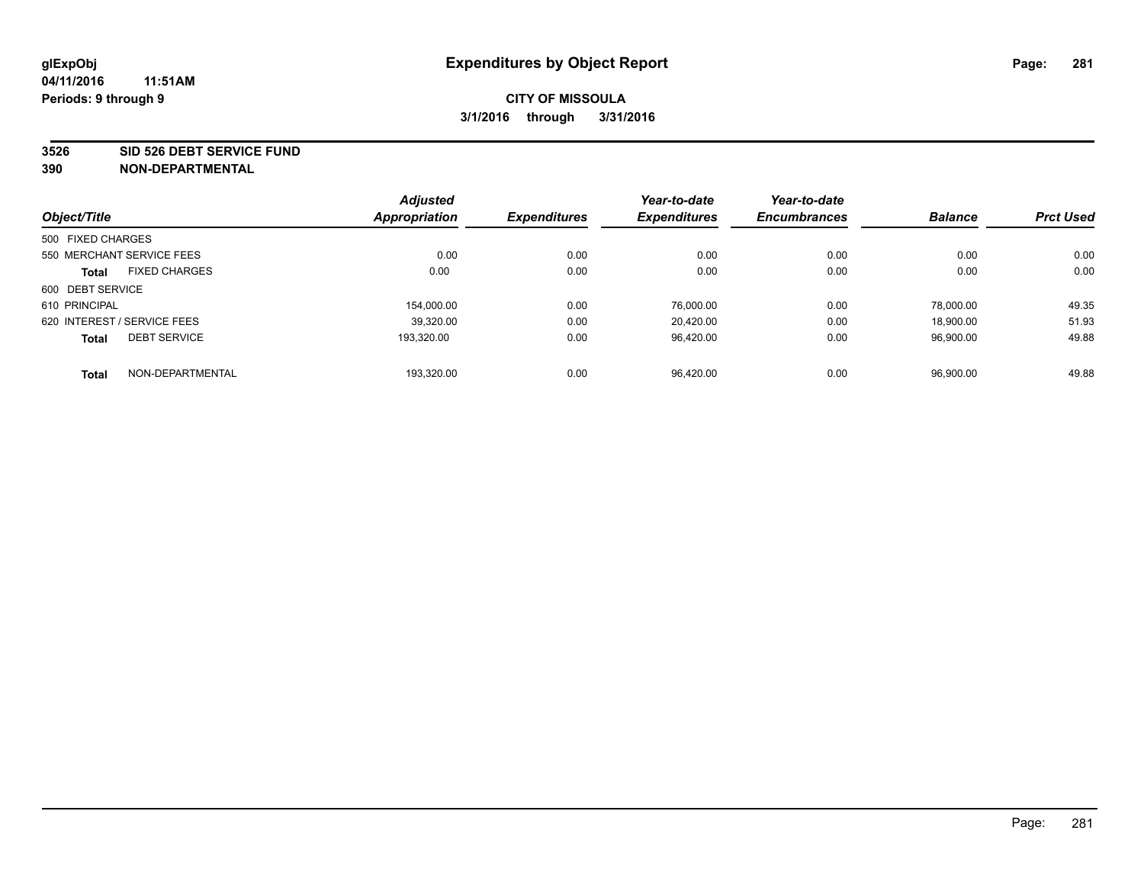#### **3526 SID 526 DEBT SERVICE FUND**

|                   |                             | <b>Adjusted</b>      |                     | Year-to-date        | Year-to-date        |                |                  |
|-------------------|-----------------------------|----------------------|---------------------|---------------------|---------------------|----------------|------------------|
| Object/Title      |                             | <b>Appropriation</b> | <b>Expenditures</b> | <b>Expenditures</b> | <b>Encumbrances</b> | <b>Balance</b> | <b>Prct Used</b> |
| 500 FIXED CHARGES |                             |                      |                     |                     |                     |                |                  |
|                   | 550 MERCHANT SERVICE FEES   | 0.00                 | 0.00                | 0.00                | 0.00                | 0.00           | 0.00             |
| <b>Total</b>      | <b>FIXED CHARGES</b>        | 0.00                 | 0.00                | 0.00                | 0.00                | 0.00           | 0.00             |
| 600 DEBT SERVICE  |                             |                      |                     |                     |                     |                |                  |
| 610 PRINCIPAL     |                             | 154.000.00           | 0.00                | 76.000.00           | 0.00                | 78.000.00      | 49.35            |
|                   | 620 INTEREST / SERVICE FEES | 39.320.00            | 0.00                | 20.420.00           | 0.00                | 18,900.00      | 51.93            |
| <b>Total</b>      | <b>DEBT SERVICE</b>         | 193.320.00           | 0.00                | 96.420.00           | 0.00                | 96.900.00      | 49.88            |
| <b>Total</b>      | NON-DEPARTMENTAL            | 193.320.00           | 0.00                | 96.420.00           | 0.00                | 96,900.00      | 49.88            |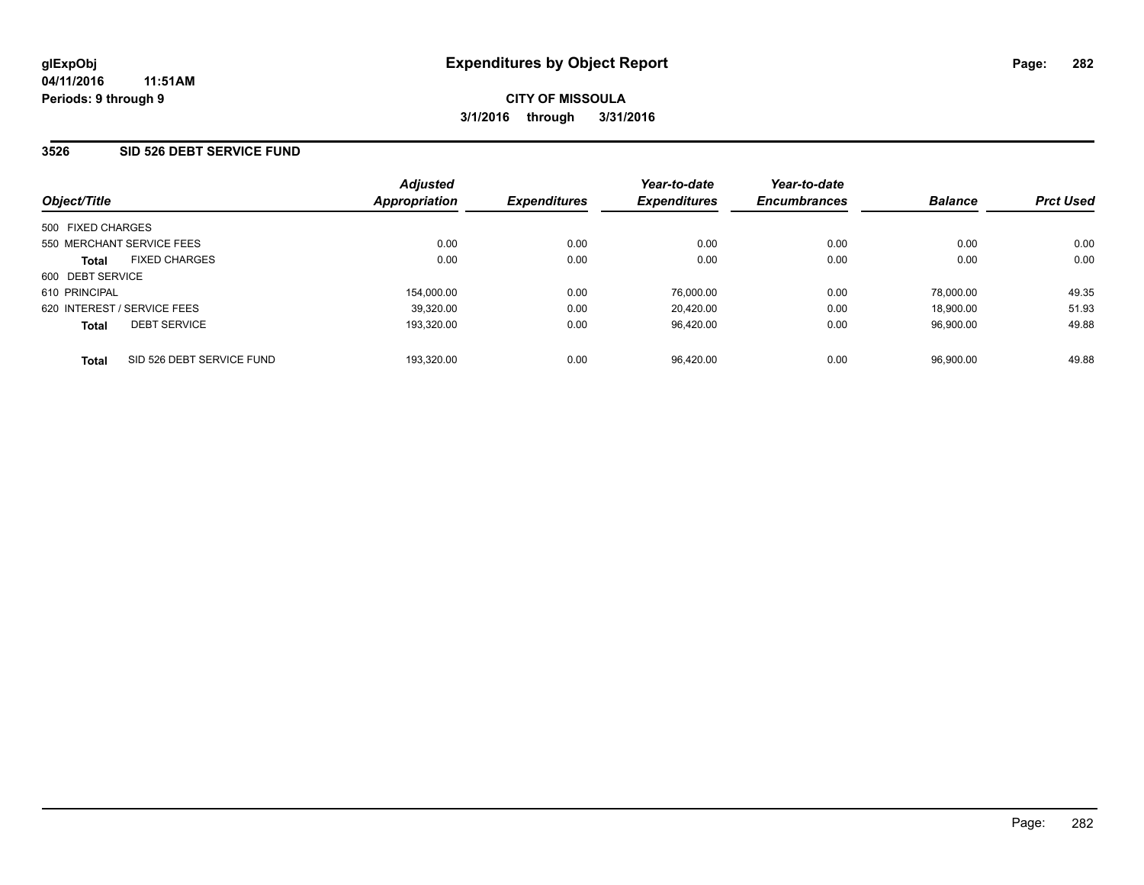#### **3526 SID 526 DEBT SERVICE FUND**

| Object/Title                              | <b>Adjusted</b><br>Appropriation | <b>Expenditures</b> | Year-to-date<br><b>Expenditures</b> | Year-to-date<br><b>Encumbrances</b> | <b>Balance</b> | <b>Prct Used</b> |
|-------------------------------------------|----------------------------------|---------------------|-------------------------------------|-------------------------------------|----------------|------------------|
| 500 FIXED CHARGES                         |                                  |                     |                                     |                                     |                |                  |
| 550 MERCHANT SERVICE FEES                 | 0.00                             | 0.00                | 0.00                                | 0.00                                | 0.00           | 0.00             |
| <b>FIXED CHARGES</b><br><b>Total</b>      | 0.00                             | 0.00                | 0.00                                | 0.00                                | 0.00           | 0.00             |
| 600 DEBT SERVICE                          |                                  |                     |                                     |                                     |                |                  |
| 610 PRINCIPAL                             | 154,000.00                       | 0.00                | 76.000.00                           | 0.00                                | 78.000.00      | 49.35            |
| 620 INTEREST / SERVICE FEES               | 39,320.00                        | 0.00                | 20.420.00                           | 0.00                                | 18.900.00      | 51.93            |
| <b>DEBT SERVICE</b><br><b>Total</b>       | 193.320.00                       | 0.00                | 96.420.00                           | 0.00                                | 96.900.00      | 49.88            |
| SID 526 DEBT SERVICE FUND<br><b>Total</b> | 193.320.00                       | 0.00                | 96.420.00                           | 0.00                                | 96.900.00      | 49.88            |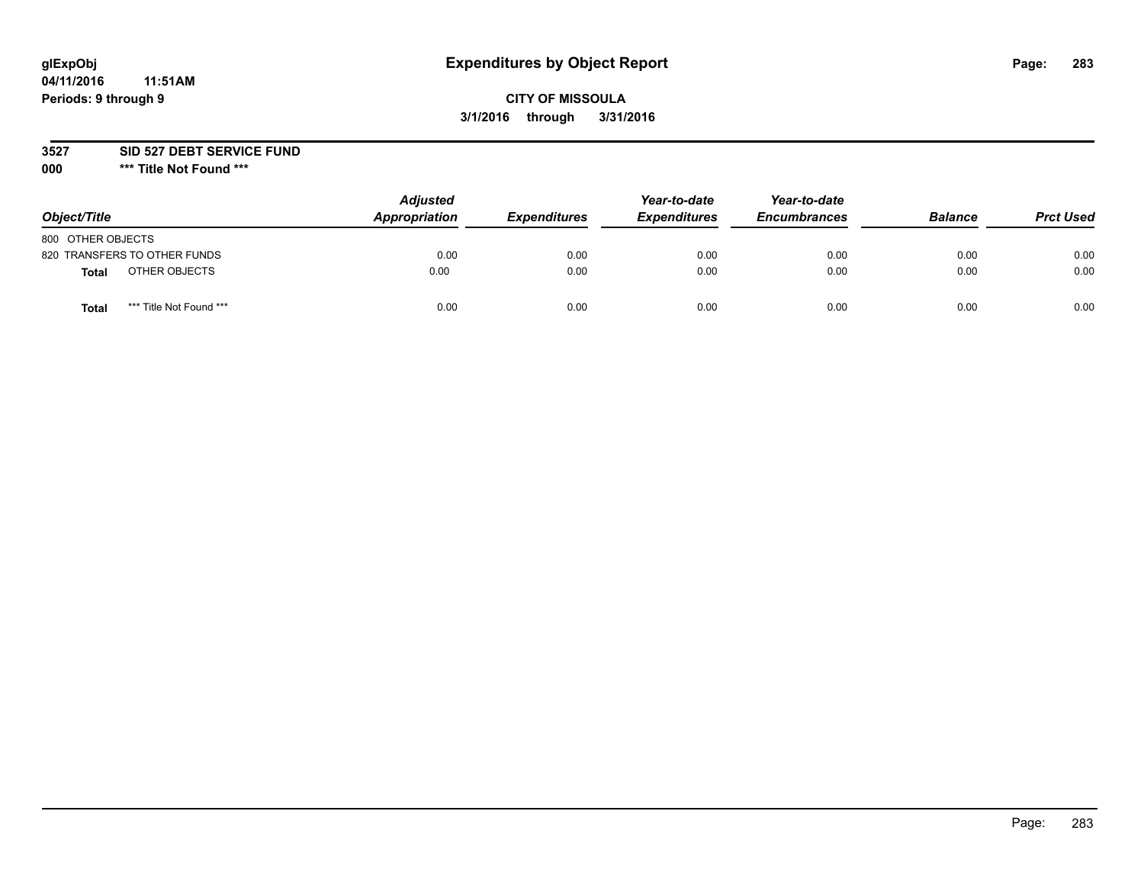# **glExpObj Expenditures by Object Report Page: 283**

## **CITY OF MISSOULA 3/1/2016 through 3/31/2016**

**3527 SID 527 DEBT SERVICE FUND**

**000 \*\*\* Title Not Found \*\*\***

| Object/Title                            | <b>Adjusted</b><br>Appropriation | <b>Expenditures</b> | Year-to-date<br><b>Expenditures</b> | Year-to-date<br><b>Encumbrances</b> | <b>Balance</b> | <b>Prct Used</b> |
|-----------------------------------------|----------------------------------|---------------------|-------------------------------------|-------------------------------------|----------------|------------------|
| 800 OTHER OBJECTS                       |                                  |                     |                                     |                                     |                |                  |
| 820 TRANSFERS TO OTHER FUNDS            | 0.00                             | 0.00                | 0.00                                | 0.00                                | 0.00           | 0.00             |
| OTHER OBJECTS<br>Total                  | 0.00                             | 0.00                | 0.00                                | 0.00                                | 0.00           | 0.00             |
| *** Title Not Found ***<br><b>Total</b> | 0.00                             | 0.00                | 0.00                                | 0.00                                | 0.00           | 0.00             |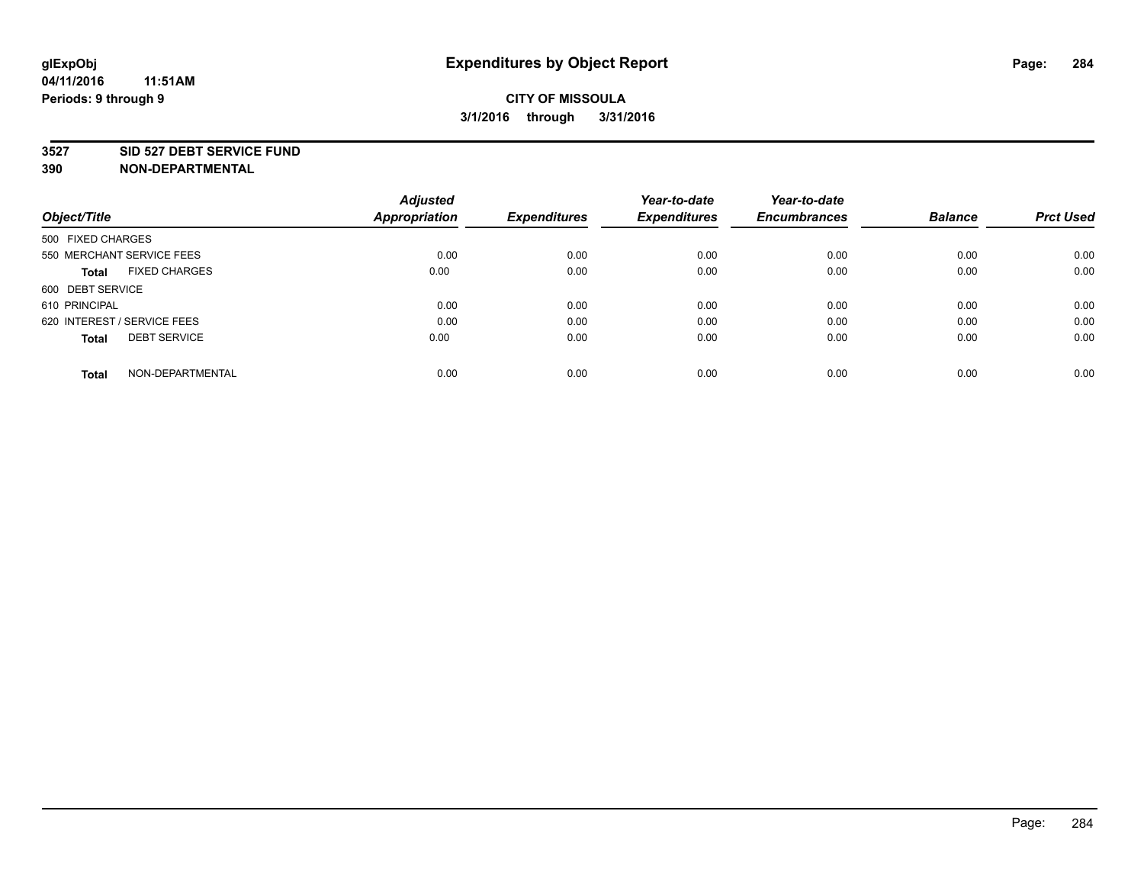#### **3527 SID 527 DEBT SERVICE FUND**

| Object/Title                         | <b>Adjusted</b><br><b>Appropriation</b> | <b>Expenditures</b> | Year-to-date<br><b>Expenditures</b> | Year-to-date<br><b>Encumbrances</b> | <b>Balance</b> | <b>Prct Used</b> |
|--------------------------------------|-----------------------------------------|---------------------|-------------------------------------|-------------------------------------|----------------|------------------|
|                                      |                                         |                     |                                     |                                     |                |                  |
| 500 FIXED CHARGES                    |                                         |                     |                                     |                                     |                |                  |
| 550 MERCHANT SERVICE FEES            | 0.00                                    | 0.00                | 0.00                                | 0.00                                | 0.00           | 0.00             |
| <b>FIXED CHARGES</b><br><b>Total</b> | 0.00                                    | 0.00                | 0.00                                | 0.00                                | 0.00           | 0.00             |
| 600 DEBT SERVICE                     |                                         |                     |                                     |                                     |                |                  |
| 610 PRINCIPAL                        | 0.00                                    | 0.00                | 0.00                                | 0.00                                | 0.00           | 0.00             |
| 620 INTEREST / SERVICE FEES          | 0.00                                    | 0.00                | 0.00                                | 0.00                                | 0.00           | 0.00             |
| <b>DEBT SERVICE</b><br><b>Total</b>  | 0.00                                    | 0.00                | 0.00                                | 0.00                                | 0.00           | 0.00             |
| NON-DEPARTMENTAL<br><b>Total</b>     | 0.00                                    | 0.00                | 0.00                                | 0.00                                | 0.00           | 0.00             |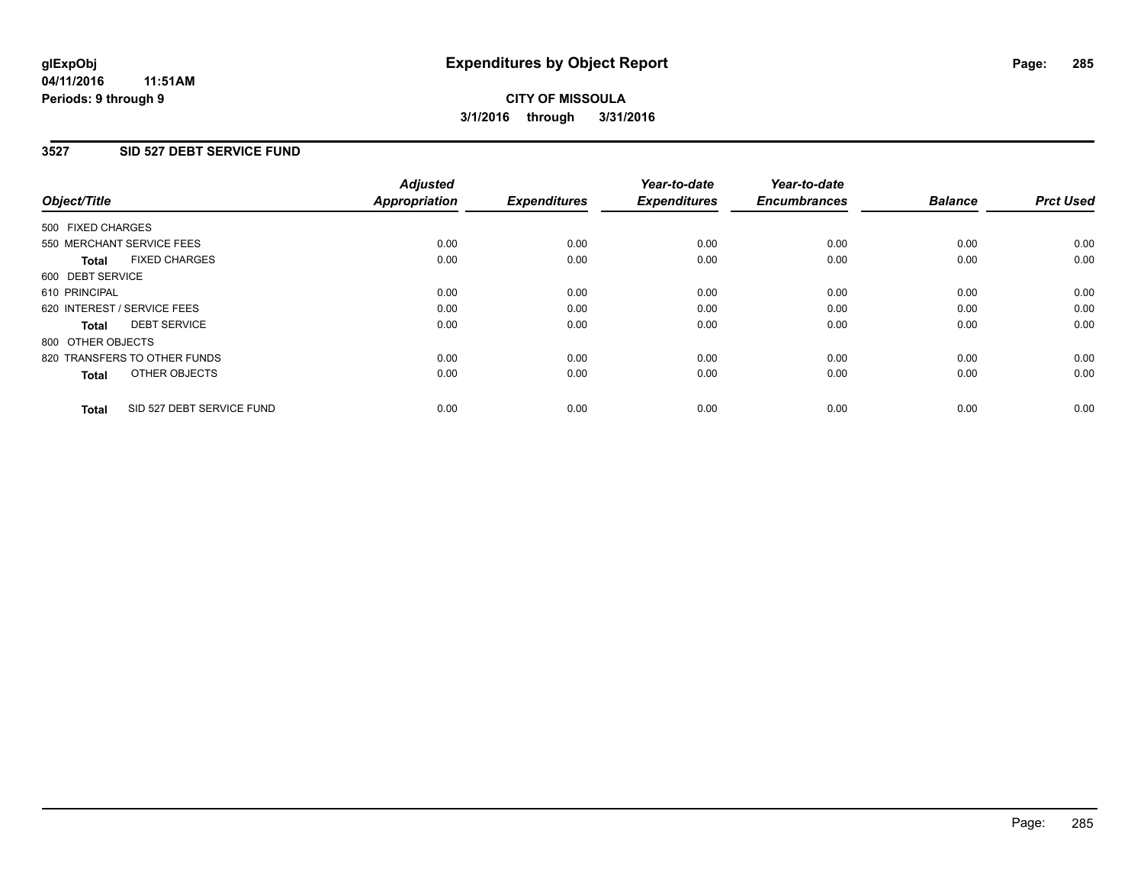### **3527 SID 527 DEBT SERVICE FUND**

| Object/Title                              | <b>Adjusted</b><br><b>Appropriation</b> | <b>Expenditures</b> | Year-to-date<br><b>Expenditures</b> | Year-to-date<br><b>Encumbrances</b> | <b>Balance</b> | <b>Prct Used</b> |
|-------------------------------------------|-----------------------------------------|---------------------|-------------------------------------|-------------------------------------|----------------|------------------|
|                                           |                                         |                     |                                     |                                     |                |                  |
| 500 FIXED CHARGES                         |                                         |                     |                                     |                                     |                |                  |
| 550 MERCHANT SERVICE FEES                 | 0.00                                    | 0.00                | 0.00                                | 0.00                                | 0.00           | 0.00             |
| <b>FIXED CHARGES</b><br>Total             | 0.00                                    | 0.00                | 0.00                                | 0.00                                | 0.00           | 0.00             |
| 600 DEBT SERVICE                          |                                         |                     |                                     |                                     |                |                  |
| 610 PRINCIPAL                             | 0.00                                    | 0.00                | 0.00                                | 0.00                                | 0.00           | 0.00             |
| 620 INTEREST / SERVICE FEES               | 0.00                                    | 0.00                | 0.00                                | 0.00                                | 0.00           | 0.00             |
| <b>DEBT SERVICE</b><br><b>Total</b>       | 0.00                                    | 0.00                | 0.00                                | 0.00                                | 0.00           | 0.00             |
| 800 OTHER OBJECTS                         |                                         |                     |                                     |                                     |                |                  |
| 820 TRANSFERS TO OTHER FUNDS              | 0.00                                    | 0.00                | 0.00                                | 0.00                                | 0.00           | 0.00             |
| OTHER OBJECTS<br><b>Total</b>             | 0.00                                    | 0.00                | 0.00                                | 0.00                                | 0.00           | 0.00             |
|                                           |                                         |                     |                                     |                                     |                |                  |
| SID 527 DEBT SERVICE FUND<br><b>Total</b> | 0.00                                    | 0.00                | 0.00                                | 0.00                                | 0.00           | 0.00             |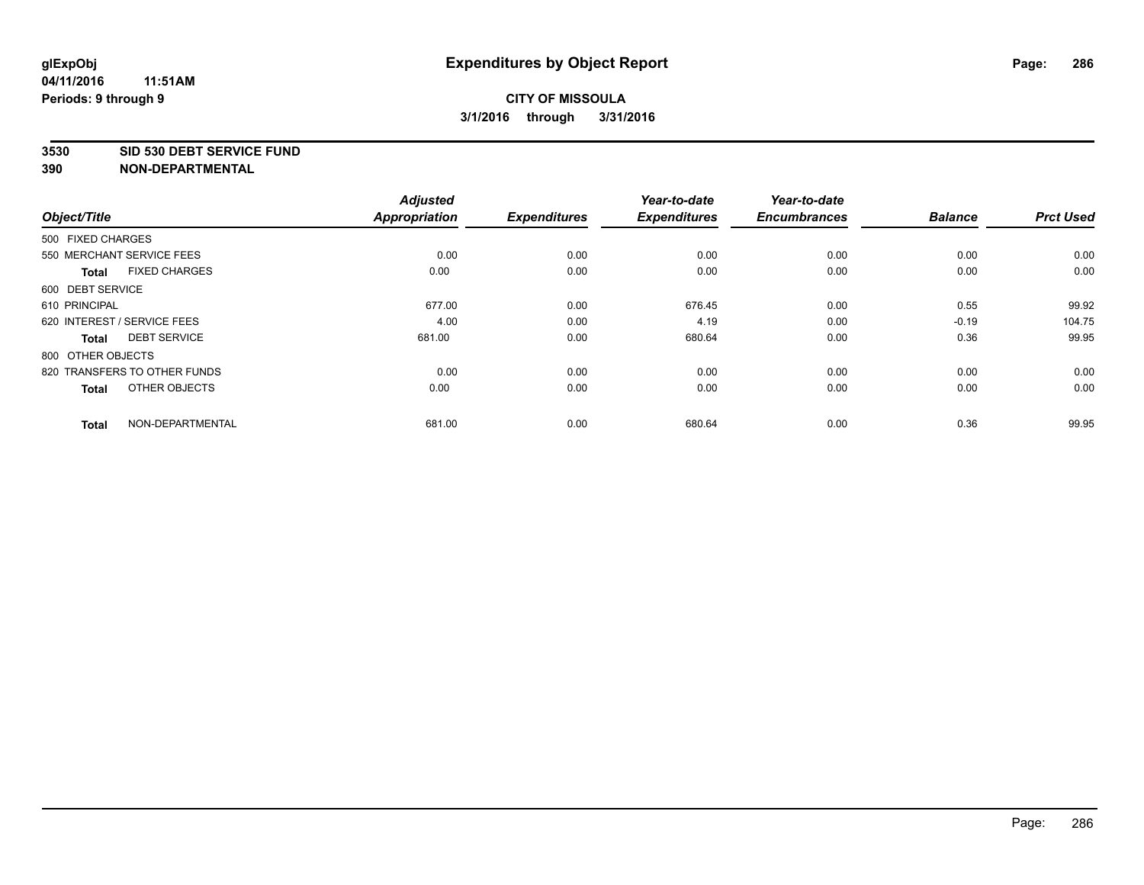#### **3530 SID 530 DEBT SERVICE FUND**

|                                      | <b>Adjusted</b> |                     | Year-to-date        | Year-to-date        |                |                  |
|--------------------------------------|-----------------|---------------------|---------------------|---------------------|----------------|------------------|
| Object/Title                         | Appropriation   | <b>Expenditures</b> | <b>Expenditures</b> | <b>Encumbrances</b> | <b>Balance</b> | <b>Prct Used</b> |
| 500 FIXED CHARGES                    |                 |                     |                     |                     |                |                  |
| 550 MERCHANT SERVICE FEES            | 0.00            | 0.00                | 0.00                | 0.00                | 0.00           | 0.00             |
| <b>FIXED CHARGES</b><br><b>Total</b> | 0.00            | 0.00                | 0.00                | 0.00                | 0.00           | 0.00             |
| 600 DEBT SERVICE                     |                 |                     |                     |                     |                |                  |
| 610 PRINCIPAL                        | 677.00          | 0.00                | 676.45              | 0.00                | 0.55           | 99.92            |
| 620 INTEREST / SERVICE FEES          | 4.00            | 0.00                | 4.19                | 0.00                | $-0.19$        | 104.75           |
| <b>DEBT SERVICE</b><br><b>Total</b>  | 681.00          | 0.00                | 680.64              | 0.00                | 0.36           | 99.95            |
| 800 OTHER OBJECTS                    |                 |                     |                     |                     |                |                  |
| 820 TRANSFERS TO OTHER FUNDS         | 0.00            | 0.00                | 0.00                | 0.00                | 0.00           | 0.00             |
| OTHER OBJECTS<br><b>Total</b>        | 0.00            | 0.00                | 0.00                | 0.00                | 0.00           | 0.00             |
|                                      |                 |                     |                     |                     |                |                  |
| NON-DEPARTMENTAL<br><b>Total</b>     | 681.00          | 0.00                | 680.64              | 0.00                | 0.36           | 99.95            |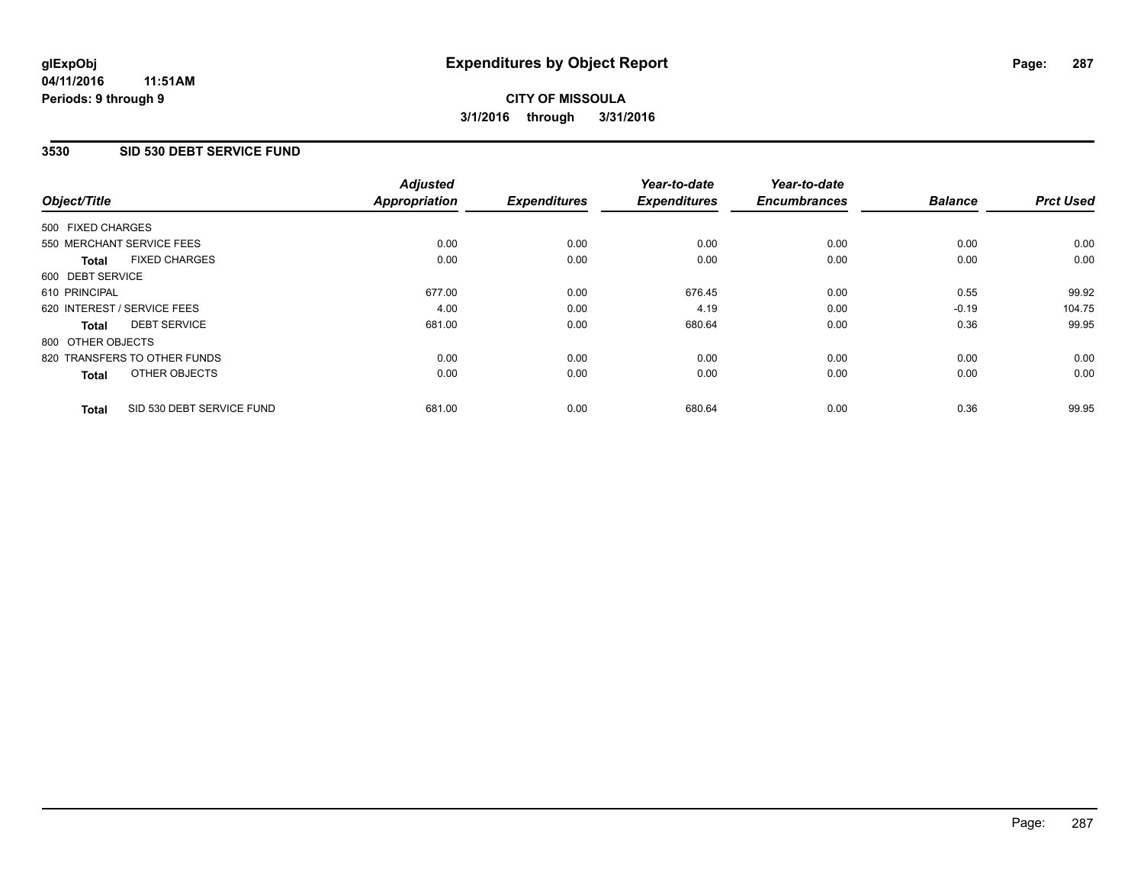#### **3530 SID 530 DEBT SERVICE FUND**

| Object/Title      |                              | <b>Adjusted</b><br><b>Appropriation</b> | <b>Expenditures</b> | Year-to-date<br><b>Expenditures</b> | Year-to-date<br><b>Encumbrances</b> | <b>Balance</b> | <b>Prct Used</b> |
|-------------------|------------------------------|-----------------------------------------|---------------------|-------------------------------------|-------------------------------------|----------------|------------------|
|                   |                              |                                         |                     |                                     |                                     |                |                  |
| 500 FIXED CHARGES |                              |                                         |                     |                                     |                                     |                |                  |
|                   | 550 MERCHANT SERVICE FEES    | 0.00                                    | 0.00                | 0.00                                | 0.00                                | 0.00           | 0.00             |
| <b>Total</b>      | <b>FIXED CHARGES</b>         | 0.00                                    | 0.00                | 0.00                                | 0.00                                | 0.00           | 0.00             |
| 600 DEBT SERVICE  |                              |                                         |                     |                                     |                                     |                |                  |
| 610 PRINCIPAL     |                              | 677.00                                  | 0.00                | 676.45                              | 0.00                                | 0.55           | 99.92            |
|                   | 620 INTEREST / SERVICE FEES  | 4.00                                    | 0.00                | 4.19                                | 0.00                                | $-0.19$        | 104.75           |
| Total             | <b>DEBT SERVICE</b>          | 681.00                                  | 0.00                | 680.64                              | 0.00                                | 0.36           | 99.95            |
| 800 OTHER OBJECTS |                              |                                         |                     |                                     |                                     |                |                  |
|                   | 820 TRANSFERS TO OTHER FUNDS | 0.00                                    | 0.00                | 0.00                                | 0.00                                | 0.00           | 0.00             |
| <b>Total</b>      | OTHER OBJECTS                | 0.00                                    | 0.00                | 0.00                                | 0.00                                | 0.00           | 0.00             |
| <b>Total</b>      | SID 530 DEBT SERVICE FUND    | 681.00                                  | 0.00                | 680.64                              | 0.00                                | 0.36           | 99.95            |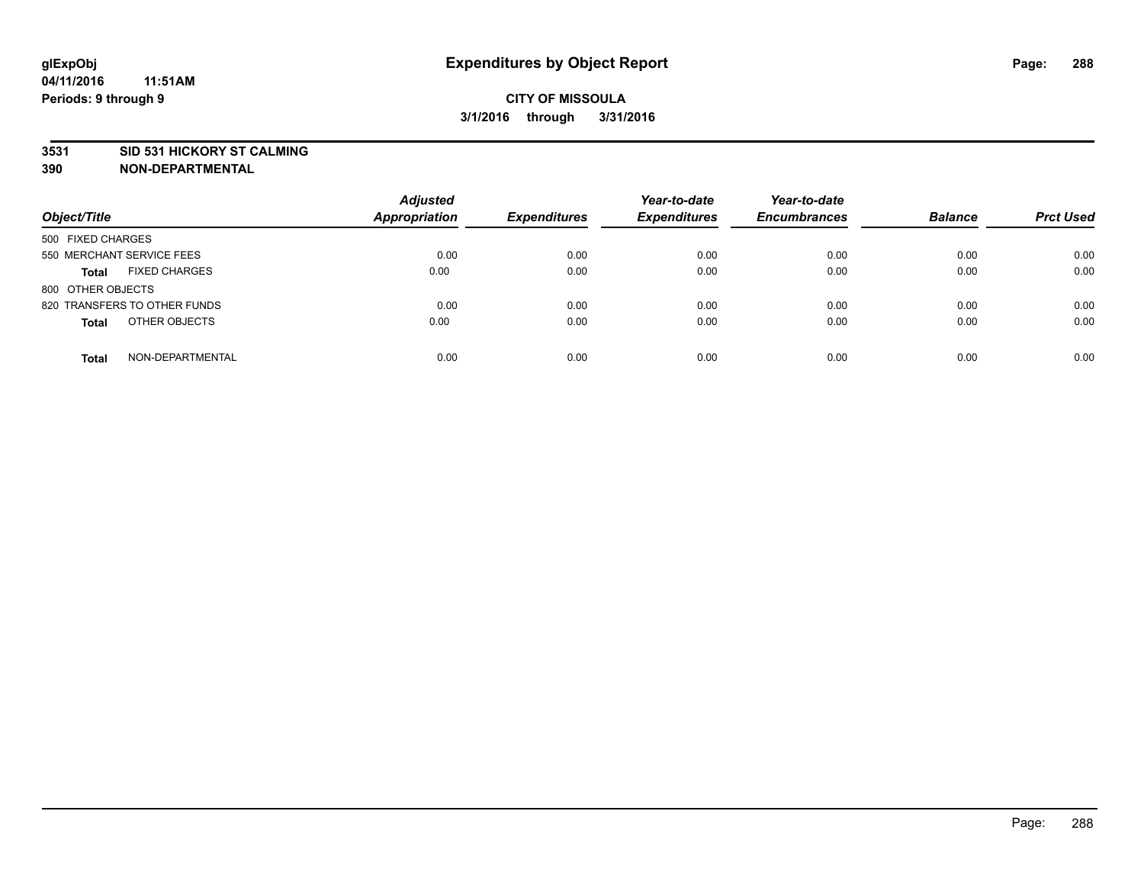#### **3531 SID 531 HICKORY ST CALMING**

| Object/Title                         | <b>Adjusted</b><br><b>Appropriation</b> | <b>Expenditures</b> | Year-to-date<br><b>Expenditures</b> | Year-to-date<br><b>Encumbrances</b> | <b>Balance</b> | <b>Prct Used</b> |
|--------------------------------------|-----------------------------------------|---------------------|-------------------------------------|-------------------------------------|----------------|------------------|
| 500 FIXED CHARGES                    |                                         |                     |                                     |                                     |                |                  |
| 550 MERCHANT SERVICE FEES            | 0.00                                    | 0.00                | 0.00                                | 0.00                                | 0.00           | 0.00             |
| <b>FIXED CHARGES</b><br><b>Total</b> | 0.00                                    | 0.00                | 0.00                                | 0.00                                | 0.00           | 0.00             |
| 800 OTHER OBJECTS                    |                                         |                     |                                     |                                     |                |                  |
| 820 TRANSFERS TO OTHER FUNDS         | 0.00                                    | 0.00                | 0.00                                | 0.00                                | 0.00           | 0.00             |
| OTHER OBJECTS<br><b>Total</b>        | 0.00                                    | 0.00                | 0.00                                | 0.00                                | 0.00           | 0.00             |
| NON-DEPARTMENTAL<br><b>Total</b>     | 0.00                                    | 0.00                | 0.00                                | 0.00                                | 0.00           | 0.00             |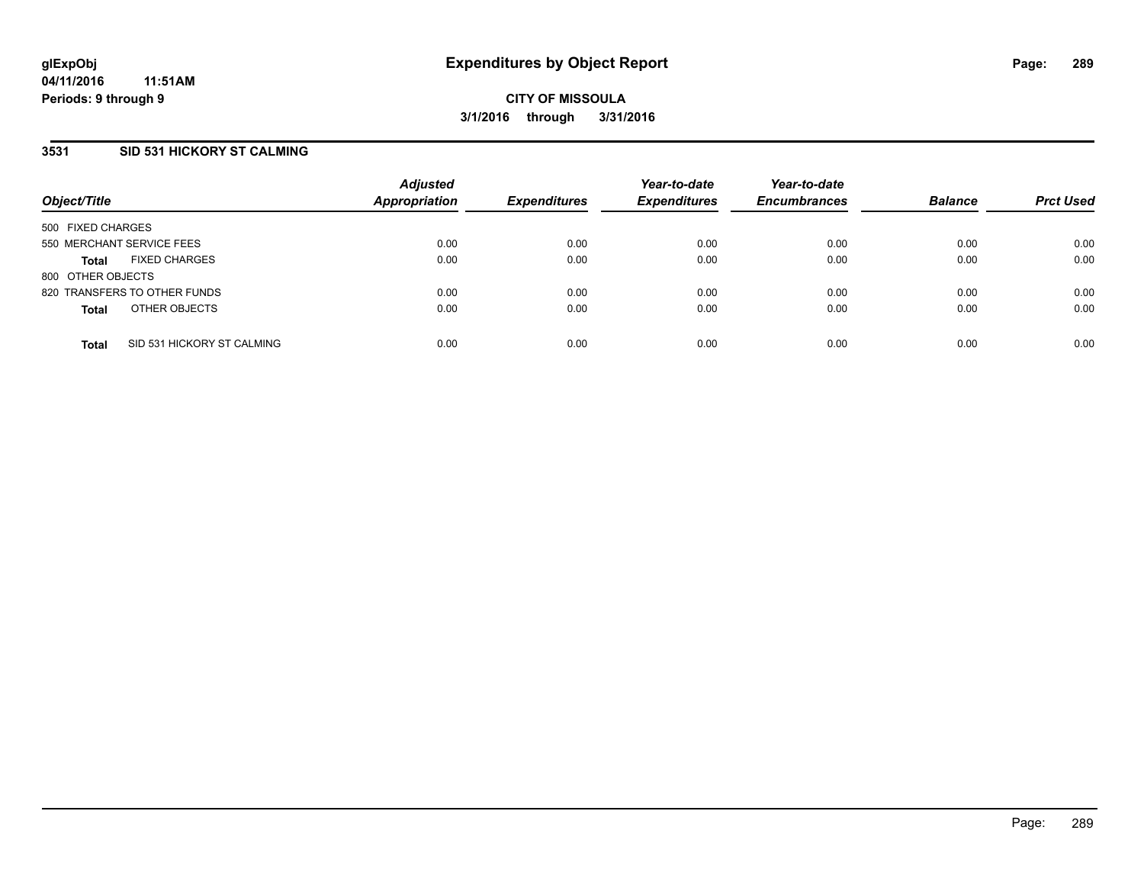## **3531 SID 531 HICKORY ST CALMING**

| Object/Title              |                              | <b>Adjusted</b><br><b>Appropriation</b> | <b>Expenditures</b> | Year-to-date<br><b>Expenditures</b> | Year-to-date<br><b>Encumbrances</b> | <b>Balance</b> | <b>Prct Used</b> |
|---------------------------|------------------------------|-----------------------------------------|---------------------|-------------------------------------|-------------------------------------|----------------|------------------|
| 500 FIXED CHARGES         |                              |                                         |                     |                                     |                                     |                |                  |
| 550 MERCHANT SERVICE FEES |                              | 0.00                                    | 0.00                | 0.00                                | 0.00                                | 0.00           | 0.00             |
| <b>Total</b>              | <b>FIXED CHARGES</b>         | 0.00                                    | 0.00                | 0.00                                | 0.00                                | 0.00           | 0.00             |
| 800 OTHER OBJECTS         |                              |                                         |                     |                                     |                                     |                |                  |
|                           | 820 TRANSFERS TO OTHER FUNDS | 0.00                                    | 0.00                | 0.00                                | 0.00                                | 0.00           | 0.00             |
| <b>Total</b>              | OTHER OBJECTS                | 0.00                                    | 0.00                | 0.00                                | 0.00                                | 0.00           | 0.00             |
| <b>Total</b>              | SID 531 HICKORY ST CALMING   | 0.00                                    | 0.00                | 0.00                                | 0.00                                | 0.00           | 0.00             |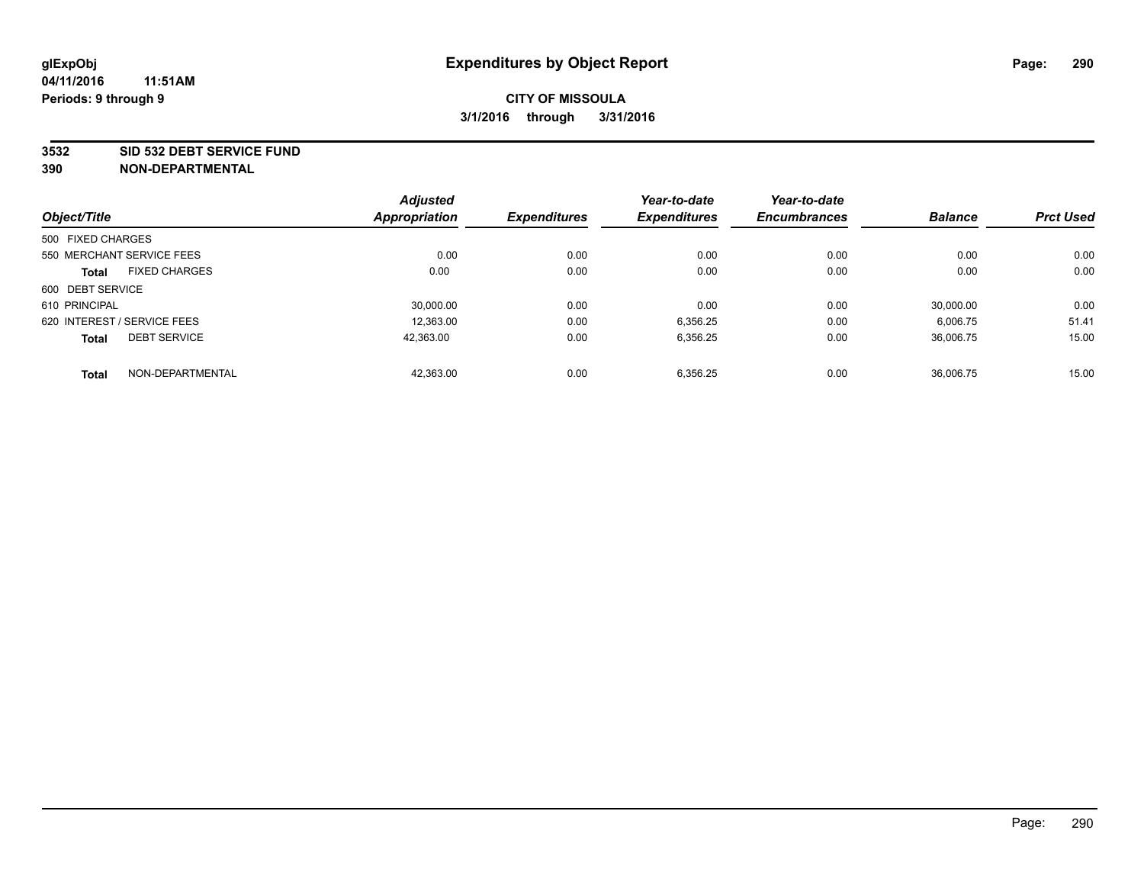#### **3532 SID 532 DEBT SERVICE FUND**

|                                      | <b>Adjusted</b>      |                     | Year-to-date        | Year-to-date        |                |                  |
|--------------------------------------|----------------------|---------------------|---------------------|---------------------|----------------|------------------|
| Object/Title                         | <b>Appropriation</b> | <b>Expenditures</b> | <b>Expenditures</b> | <b>Encumbrances</b> | <b>Balance</b> | <b>Prct Used</b> |
| 500 FIXED CHARGES                    |                      |                     |                     |                     |                |                  |
| 550 MERCHANT SERVICE FEES            | 0.00                 | 0.00                | 0.00                | 0.00                | 0.00           | 0.00             |
| <b>FIXED CHARGES</b><br><b>Total</b> | 0.00                 | 0.00                | 0.00                | 0.00                | 0.00           | 0.00             |
| 600 DEBT SERVICE                     |                      |                     |                     |                     |                |                  |
| 610 PRINCIPAL                        | 30.000.00            | 0.00                | 0.00                | 0.00                | 30.000.00      | 0.00             |
| 620 INTEREST / SERVICE FEES          | 12,363.00            | 0.00                | 6,356.25            | 0.00                | 6,006.75       | 51.41            |
| <b>DEBT SERVICE</b><br><b>Total</b>  | 42.363.00            | 0.00                | 6,356.25            | 0.00                | 36.006.75      | 15.00            |
| NON-DEPARTMENTAL<br><b>Total</b>     | 42,363.00            | 0.00                | 6,356.25            | 0.00                | 36,006.75      | 15.00            |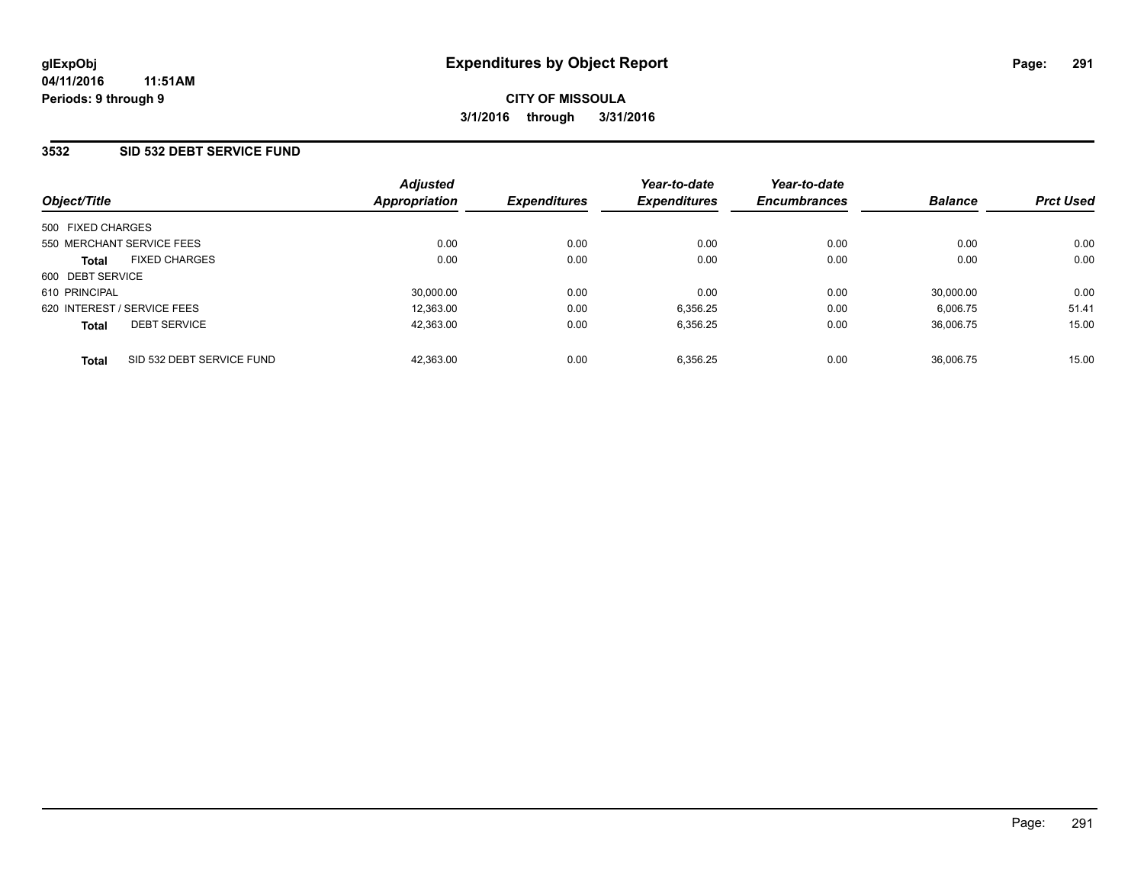### **3532 SID 532 DEBT SERVICE FUND**

| Object/Title                              | <b>Adjusted</b><br>Appropriation | <b>Expenditures</b> | Year-to-date<br><b>Expenditures</b> | Year-to-date<br><b>Encumbrances</b> | <b>Balance</b> | <b>Prct Used</b> |
|-------------------------------------------|----------------------------------|---------------------|-------------------------------------|-------------------------------------|----------------|------------------|
| 500 FIXED CHARGES                         |                                  |                     |                                     |                                     |                |                  |
| 550 MERCHANT SERVICE FEES                 | 0.00                             | 0.00                | 0.00                                | 0.00                                | 0.00           | 0.00             |
| <b>FIXED CHARGES</b><br><b>Total</b>      | 0.00                             | 0.00                | 0.00                                | 0.00                                | 0.00           | 0.00             |
| 600 DEBT SERVICE                          |                                  |                     |                                     |                                     |                |                  |
| 610 PRINCIPAL                             | 30,000.00                        | 0.00                | 0.00                                | 0.00                                | 30,000.00      | 0.00             |
| 620 INTEREST / SERVICE FEES               | 12,363.00                        | 0.00                | 6,356.25                            | 0.00                                | 6,006.75       | 51.41            |
| <b>DEBT SERVICE</b><br><b>Total</b>       | 42,363.00                        | 0.00                | 6,356.25                            | 0.00                                | 36.006.75      | 15.00            |
| SID 532 DEBT SERVICE FUND<br><b>Total</b> | 42.363.00                        | 0.00                | 6.356.25                            | 0.00                                | 36.006.75      | 15.00            |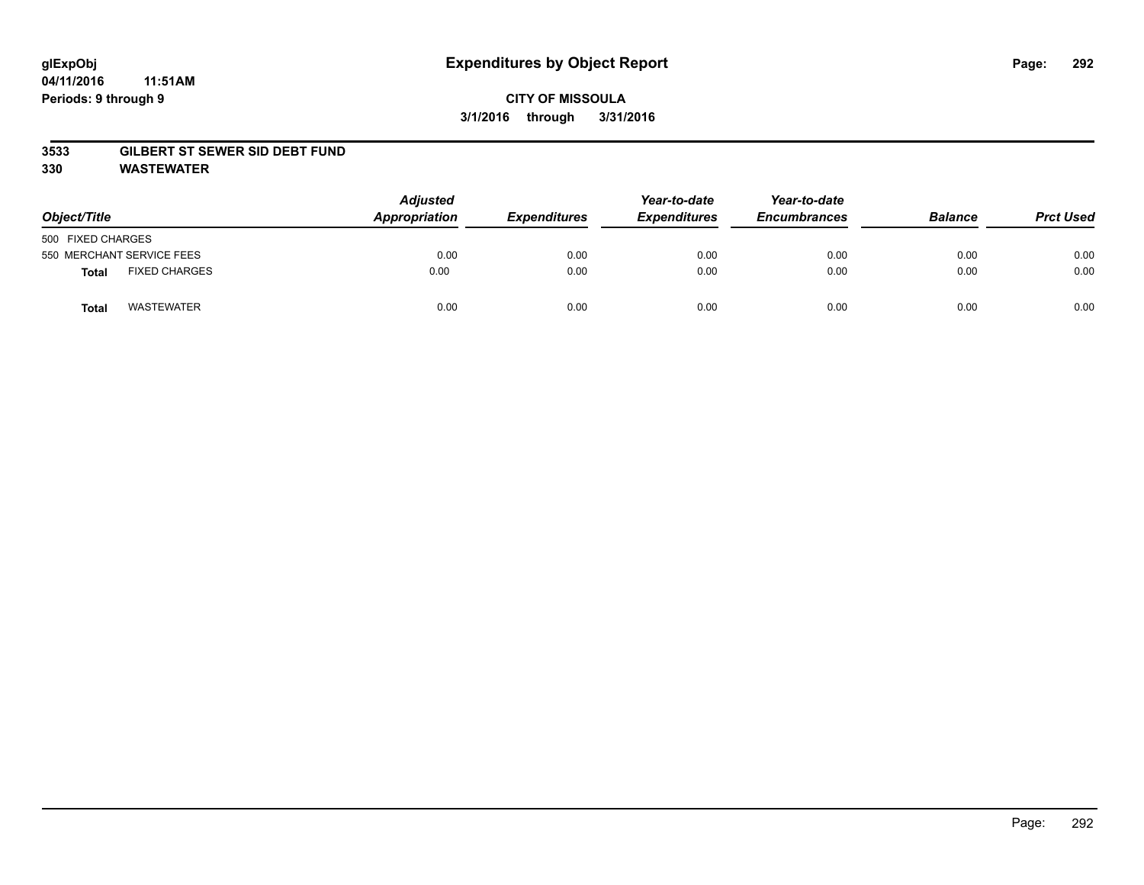#### **04/11/2016 11:51AM Periods: 9 through 9**

## **CITY OF MISSOULA 3/1/2016 through 3/31/2016**

#### **3533 GILBERT ST SEWER SID DEBT FUND**

**330 WASTEWATER**

| Object/Title              |                      | <b>Adjusted</b><br>Appropriation | <b>Expenditures</b> | Year-to-date<br><b>Expenditures</b> | Year-to-date<br><b>Encumbrances</b> | <b>Balance</b> | <b>Prct Used</b> |
|---------------------------|----------------------|----------------------------------|---------------------|-------------------------------------|-------------------------------------|----------------|------------------|
| 500 FIXED CHARGES         |                      |                                  |                     |                                     |                                     |                |                  |
| 550 MERCHANT SERVICE FEES |                      | 0.00                             | 0.00                | 0.00                                | 0.00                                | 0.00           | 0.00             |
| <b>Total</b>              | <b>FIXED CHARGES</b> | 0.00                             | 0.00                | 0.00                                | 0.00                                | 0.00           | 0.00             |
| <b>Total</b>              | <b>WASTEWATER</b>    | 0.00                             | 0.00                | 0.00                                | 0.00                                | 0.00           | 0.00             |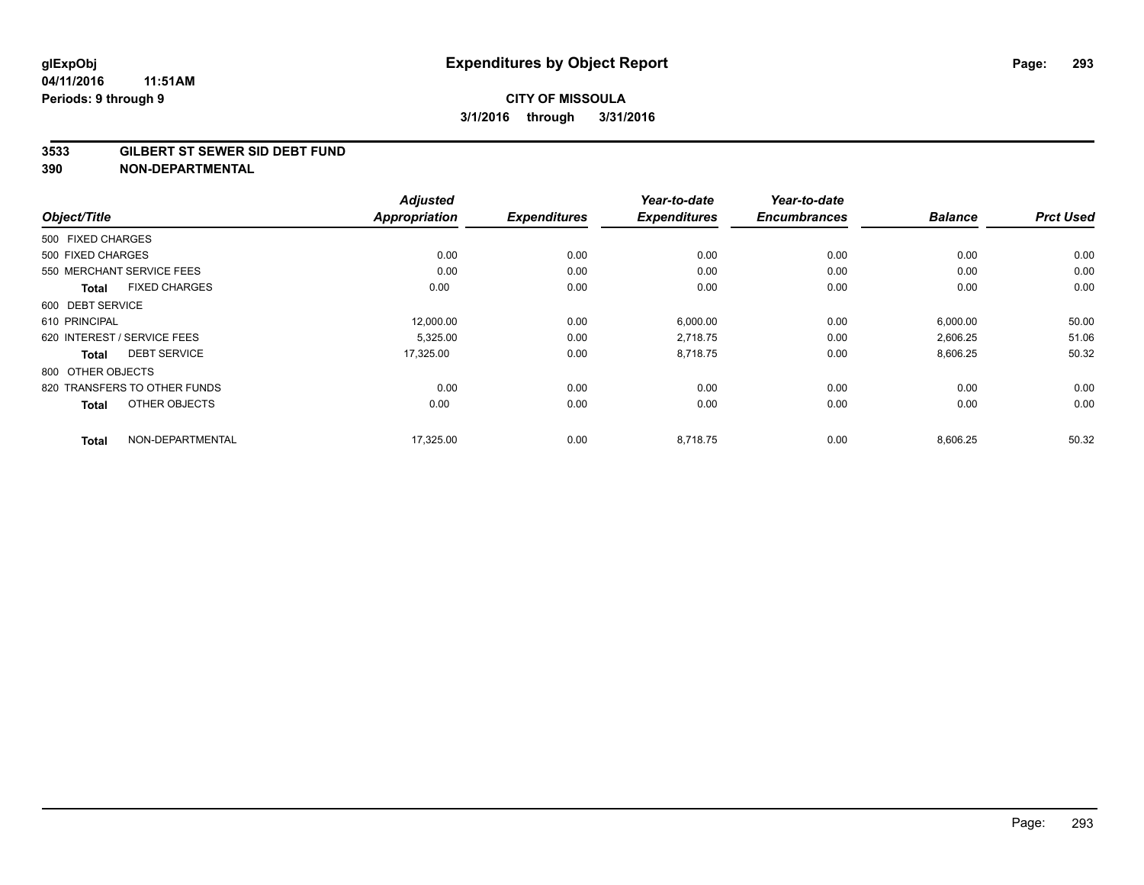#### **3533 GILBERT ST SEWER SID DEBT FUND**

|                                      | <b>Adjusted</b>      |                     | Year-to-date        | Year-to-date        |                |                  |
|--------------------------------------|----------------------|---------------------|---------------------|---------------------|----------------|------------------|
| Object/Title                         | <b>Appropriation</b> | <b>Expenditures</b> | <b>Expenditures</b> | <b>Encumbrances</b> | <b>Balance</b> | <b>Prct Used</b> |
| 500 FIXED CHARGES                    |                      |                     |                     |                     |                |                  |
| 500 FIXED CHARGES                    | 0.00                 | 0.00                | 0.00                | 0.00                | 0.00           | 0.00             |
| 550 MERCHANT SERVICE FEES            | 0.00                 | 0.00                | 0.00                | 0.00                | 0.00           | 0.00             |
| <b>FIXED CHARGES</b><br><b>Total</b> | 0.00                 | 0.00                | 0.00                | 0.00                | 0.00           | 0.00             |
| 600 DEBT SERVICE                     |                      |                     |                     |                     |                |                  |
| 610 PRINCIPAL                        | 12,000.00            | 0.00                | 6,000.00            | 0.00                | 6,000.00       | 50.00            |
| 620 INTEREST / SERVICE FEES          | 5,325.00             | 0.00                | 2,718.75            | 0.00                | 2,606.25       | 51.06            |
| <b>DEBT SERVICE</b><br>Total         | 17,325.00            | 0.00                | 8,718.75            | 0.00                | 8,606.25       | 50.32            |
| 800 OTHER OBJECTS                    |                      |                     |                     |                     |                |                  |
| 820 TRANSFERS TO OTHER FUNDS         | 0.00                 | 0.00                | 0.00                | 0.00                | 0.00           | 0.00             |
| OTHER OBJECTS<br><b>Total</b>        | 0.00                 | 0.00                | 0.00                | 0.00                | 0.00           | 0.00             |
| NON-DEPARTMENTAL<br><b>Total</b>     | 17,325.00            | 0.00                | 8,718.75            | 0.00                | 8,606.25       | 50.32            |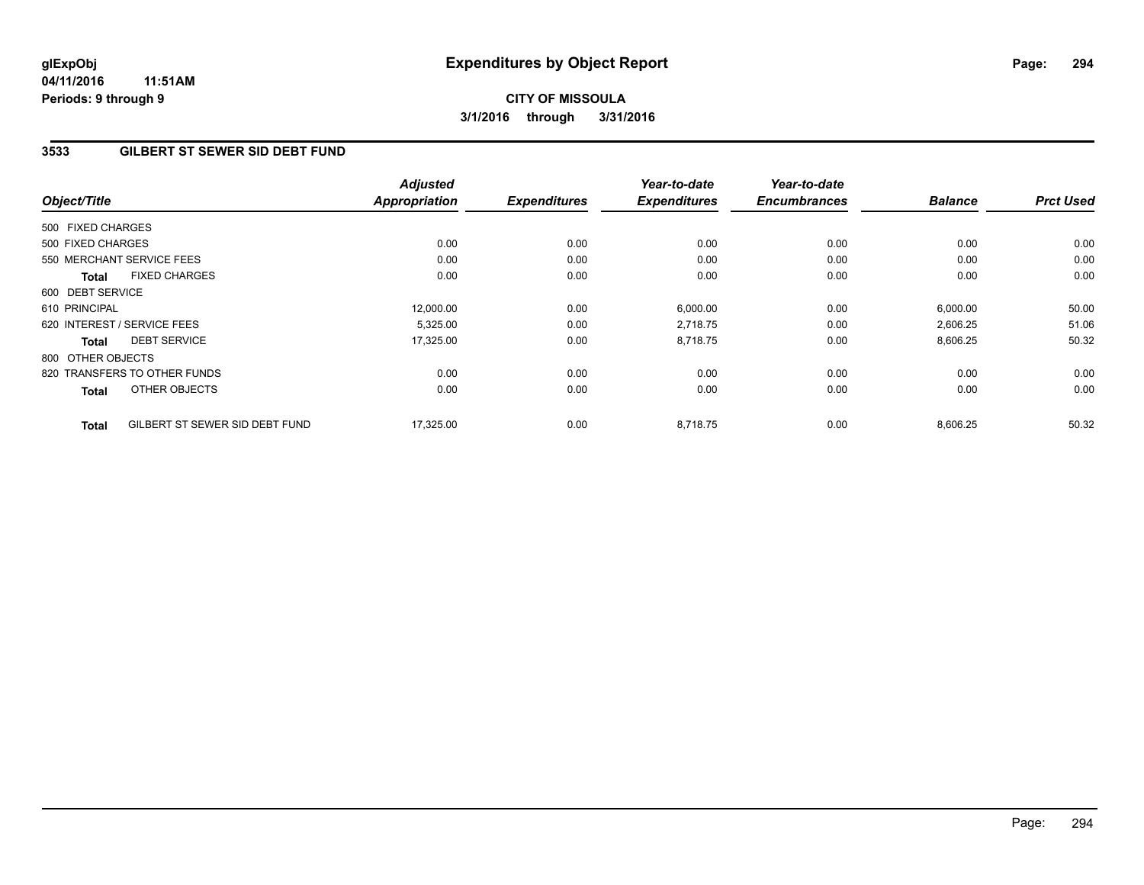**04/11/2016 11:51AM Periods: 9 through 9**

# **CITY OF MISSOULA 3/1/2016 through 3/31/2016**

### **3533 GILBERT ST SEWER SID DEBT FUND**

| Object/Title      |                                | <b>Adjusted</b><br><b>Appropriation</b> | <b>Expenditures</b> | Year-to-date<br><b>Expenditures</b> | Year-to-date<br><b>Encumbrances</b> | <b>Balance</b> | <b>Prct Used</b> |
|-------------------|--------------------------------|-----------------------------------------|---------------------|-------------------------------------|-------------------------------------|----------------|------------------|
| 500 FIXED CHARGES |                                |                                         |                     |                                     |                                     |                |                  |
| 500 FIXED CHARGES |                                | 0.00                                    | 0.00                | 0.00                                | 0.00                                | 0.00           | 0.00             |
|                   | 550 MERCHANT SERVICE FEES      | 0.00                                    | 0.00                | 0.00                                | 0.00                                | 0.00           | 0.00             |
| <b>Total</b>      | <b>FIXED CHARGES</b>           | 0.00                                    | 0.00                | 0.00                                | 0.00                                | 0.00           | 0.00             |
| 600 DEBT SERVICE  |                                |                                         |                     |                                     |                                     |                |                  |
| 610 PRINCIPAL     |                                | 12,000.00                               | 0.00                | 6,000.00                            | 0.00                                | 6,000.00       | 50.00            |
|                   | 620 INTEREST / SERVICE FEES    | 5,325.00                                | 0.00                | 2,718.75                            | 0.00                                | 2,606.25       | 51.06            |
| <b>Total</b>      | <b>DEBT SERVICE</b>            | 17,325.00                               | 0.00                | 8,718.75                            | 0.00                                | 8,606.25       | 50.32            |
| 800 OTHER OBJECTS |                                |                                         |                     |                                     |                                     |                |                  |
|                   | 820 TRANSFERS TO OTHER FUNDS   | 0.00                                    | 0.00                | 0.00                                | 0.00                                | 0.00           | 0.00             |
| <b>Total</b>      | OTHER OBJECTS                  | 0.00                                    | 0.00                | 0.00                                | 0.00                                | 0.00           | 0.00             |
| <b>Total</b>      | GILBERT ST SEWER SID DEBT FUND | 17.325.00                               | 0.00                | 8.718.75                            | 0.00                                | 8,606.25       | 50.32            |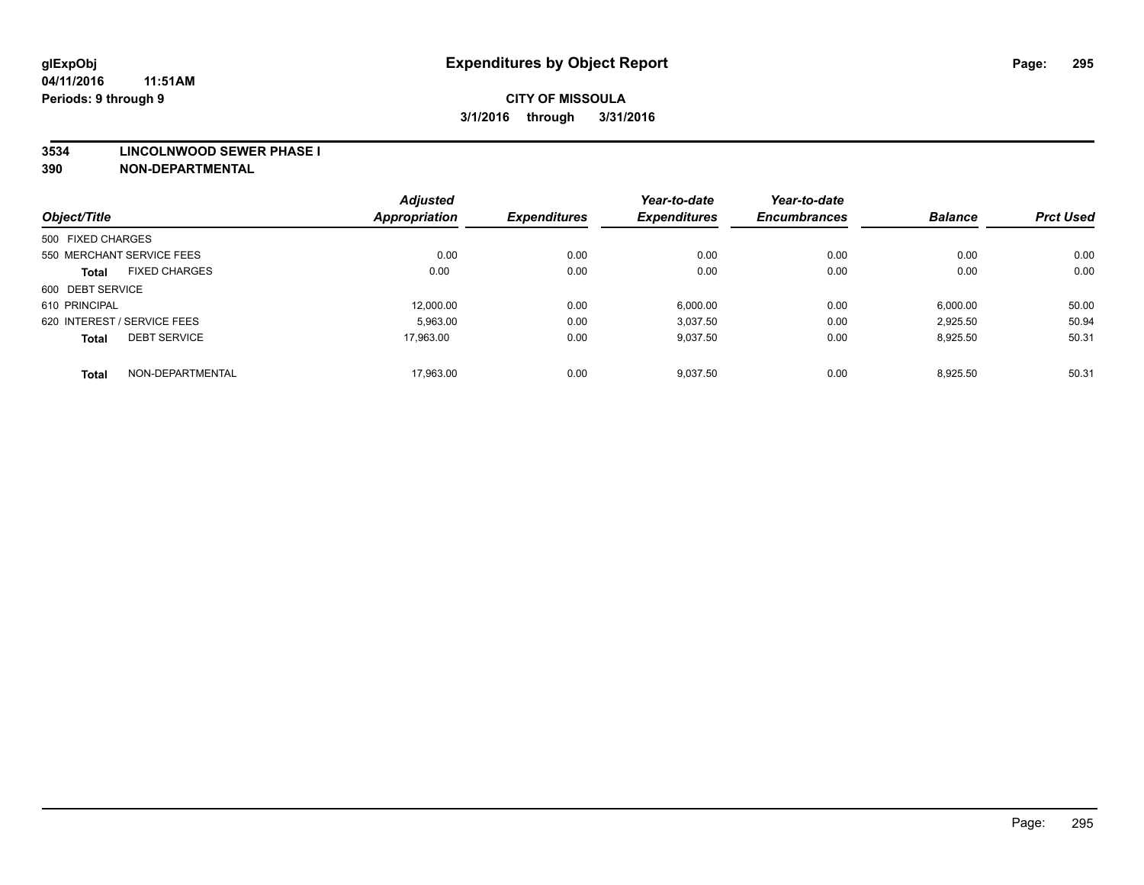#### **3534 LINCOLNWOOD SEWER PHASE I**

|                   |                             | <b>Adjusted</b>      |                     | Year-to-date        | Year-to-date        |                |                  |
|-------------------|-----------------------------|----------------------|---------------------|---------------------|---------------------|----------------|------------------|
| Object/Title      |                             | <b>Appropriation</b> | <b>Expenditures</b> | <b>Expenditures</b> | <b>Encumbrances</b> | <b>Balance</b> | <b>Prct Used</b> |
| 500 FIXED CHARGES |                             |                      |                     |                     |                     |                |                  |
|                   | 550 MERCHANT SERVICE FEES   | 0.00                 | 0.00                | 0.00                | 0.00                | 0.00           | 0.00             |
| <b>Total</b>      | <b>FIXED CHARGES</b>        | 0.00                 | 0.00                | 0.00                | 0.00                | 0.00           | 0.00             |
| 600 DEBT SERVICE  |                             |                      |                     |                     |                     |                |                  |
| 610 PRINCIPAL     |                             | 12.000.00            | 0.00                | 6,000.00            | 0.00                | 6,000.00       | 50.00            |
|                   | 620 INTEREST / SERVICE FEES | 5.963.00             | 0.00                | 3.037.50            | 0.00                | 2.925.50       | 50.94            |
| <b>Total</b>      | <b>DEBT SERVICE</b>         | 17.963.00            | 0.00                | 9,037.50            | 0.00                | 8,925.50       | 50.31            |
| <b>Total</b>      | NON-DEPARTMENTAL            | 17.963.00            | 0.00                | 9,037.50            | 0.00                | 8,925.50       | 50.31            |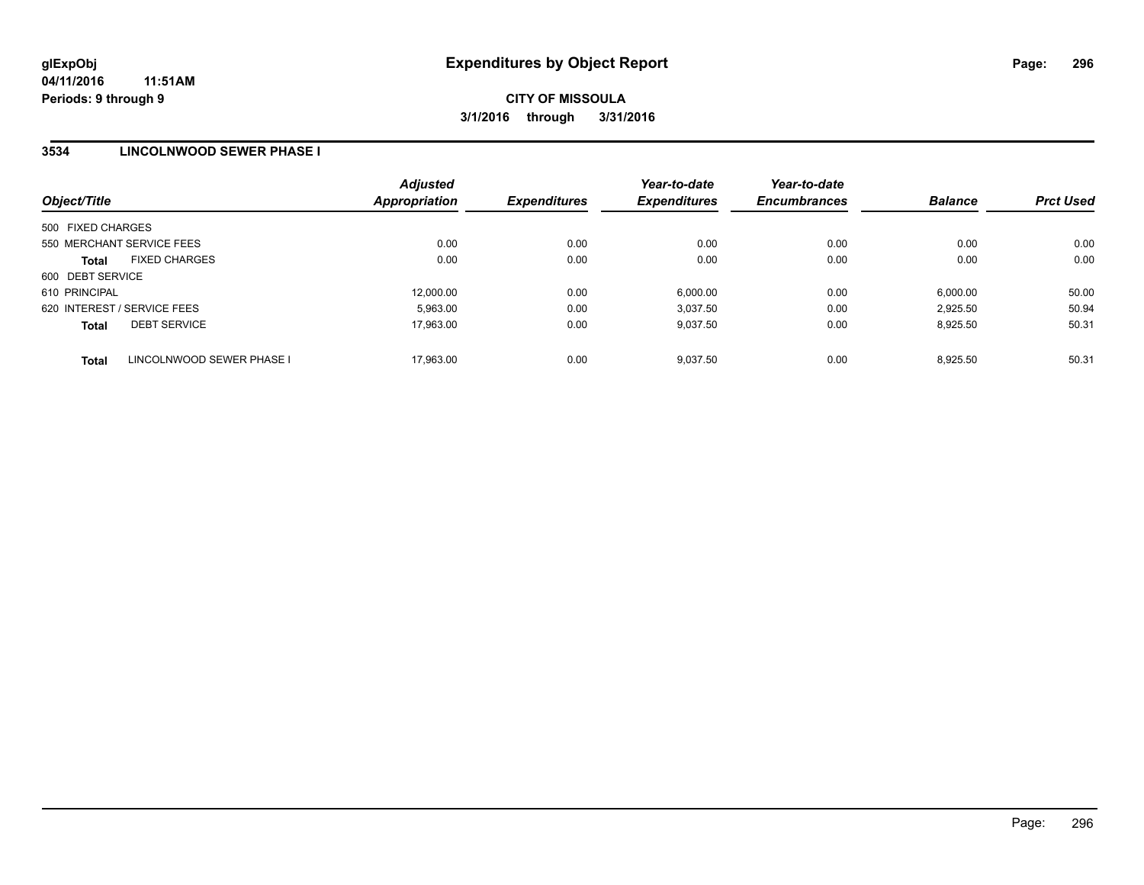### **3534 LINCOLNWOOD SEWER PHASE I**

| Object/Title                              | <b>Adjusted</b><br>Appropriation | <b>Expenditures</b> | Year-to-date<br><b>Expenditures</b> | Year-to-date<br><b>Encumbrances</b> | <b>Balance</b> | <b>Prct Used</b> |
|-------------------------------------------|----------------------------------|---------------------|-------------------------------------|-------------------------------------|----------------|------------------|
| 500 FIXED CHARGES                         |                                  |                     |                                     |                                     |                |                  |
| 550 MERCHANT SERVICE FEES                 | 0.00                             | 0.00                | 0.00                                | 0.00                                | 0.00           | 0.00             |
| <b>FIXED CHARGES</b><br><b>Total</b>      | 0.00                             | 0.00                | 0.00                                | 0.00                                | 0.00           | 0.00             |
| 600 DEBT SERVICE                          |                                  |                     |                                     |                                     |                |                  |
| 610 PRINCIPAL                             | 12,000.00                        | 0.00                | 6,000.00                            | 0.00                                | 6,000.00       | 50.00            |
| 620 INTEREST / SERVICE FEES               | 5,963.00                         | 0.00                | 3.037.50                            | 0.00                                | 2.925.50       | 50.94            |
| <b>DEBT SERVICE</b><br><b>Total</b>       | 17,963.00                        | 0.00                | 9,037.50                            | 0.00                                | 8.925.50       | 50.31            |
| LINCOLNWOOD SEWER PHASE I<br><b>Total</b> | 17.963.00                        | 0.00                | 9.037.50                            | 0.00                                | 8.925.50       | 50.31            |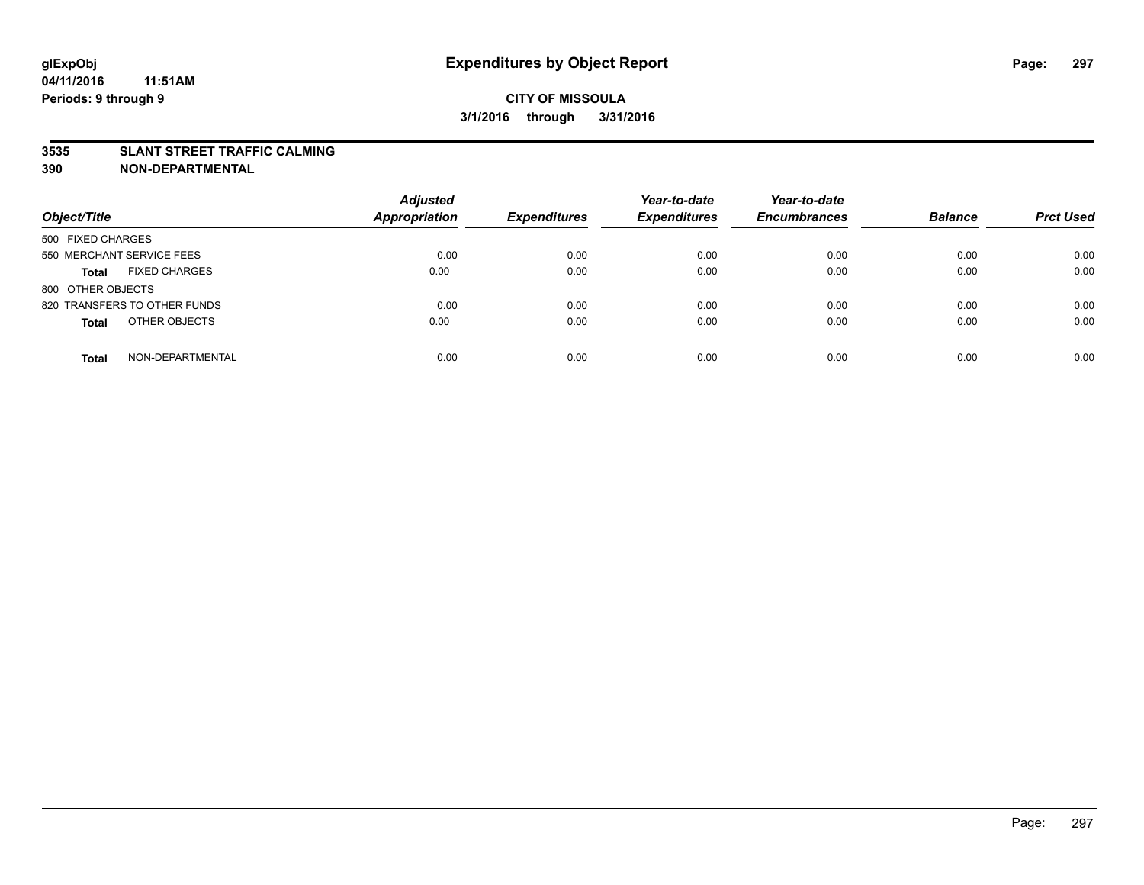#### **3535 SLANT STREET TRAFFIC CALMING**

| Object/Title                         | <b>Adjusted</b><br><b>Appropriation</b> | <b>Expenditures</b> | Year-to-date<br><b>Expenditures</b> | Year-to-date<br><b>Encumbrances</b> | <b>Balance</b> | <b>Prct Used</b> |
|--------------------------------------|-----------------------------------------|---------------------|-------------------------------------|-------------------------------------|----------------|------------------|
|                                      |                                         |                     |                                     |                                     |                |                  |
| 500 FIXED CHARGES                    |                                         |                     |                                     |                                     |                |                  |
| 550 MERCHANT SERVICE FEES            | 0.00                                    | 0.00                | 0.00                                | 0.00                                | 0.00           | 0.00             |
| <b>FIXED CHARGES</b><br><b>Total</b> | 0.00                                    | 0.00                | 0.00                                | 0.00                                | 0.00           | 0.00             |
| 800 OTHER OBJECTS                    |                                         |                     |                                     |                                     |                |                  |
| 820 TRANSFERS TO OTHER FUNDS         | 0.00                                    | 0.00                | 0.00                                | 0.00                                | 0.00           | 0.00             |
| OTHER OBJECTS<br><b>Total</b>        | 0.00                                    | 0.00                | 0.00                                | 0.00                                | 0.00           | 0.00             |
|                                      |                                         |                     |                                     |                                     |                |                  |
| NON-DEPARTMENTAL<br><b>Total</b>     | 0.00                                    | 0.00                | 0.00                                | 0.00                                | 0.00           | 0.00             |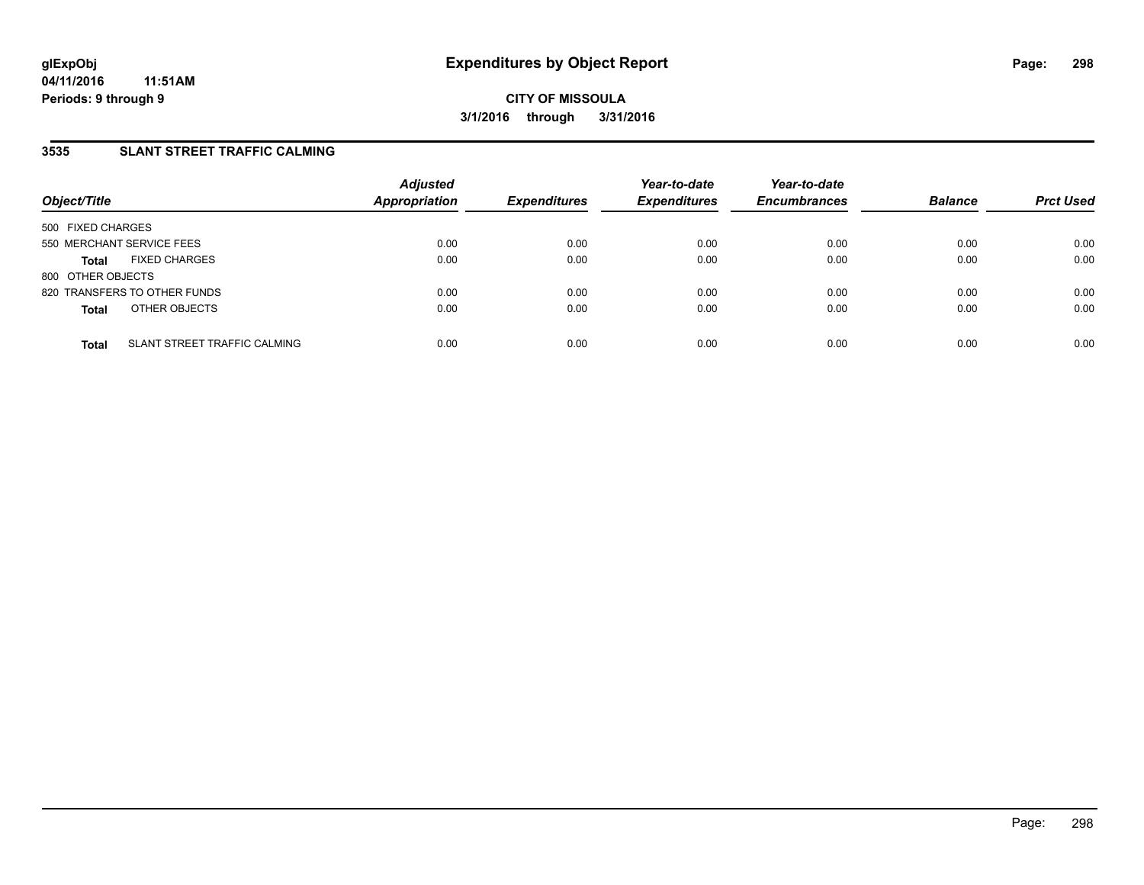### **3535 SLANT STREET TRAFFIC CALMING**

| Object/Title                                 | <b>Adjusted</b><br><b>Appropriation</b> | <b>Expenditures</b> | Year-to-date<br><b>Expenditures</b> | Year-to-date<br><b>Encumbrances</b> | <b>Balance</b> | <b>Prct Used</b> |
|----------------------------------------------|-----------------------------------------|---------------------|-------------------------------------|-------------------------------------|----------------|------------------|
| 500 FIXED CHARGES                            |                                         |                     |                                     |                                     |                |                  |
| 550 MERCHANT SERVICE FEES                    | 0.00                                    | 0.00                | 0.00                                | 0.00                                | 0.00           | 0.00             |
| <b>FIXED CHARGES</b><br><b>Total</b>         | 0.00                                    | 0.00                | 0.00                                | 0.00                                | 0.00           | 0.00             |
| 800 OTHER OBJECTS                            |                                         |                     |                                     |                                     |                |                  |
| 820 TRANSFERS TO OTHER FUNDS                 | 0.00                                    | 0.00                | 0.00                                | 0.00                                | 0.00           | 0.00             |
| OTHER OBJECTS<br><b>Total</b>                | 0.00                                    | 0.00                | 0.00                                | 0.00                                | 0.00           | 0.00             |
| SLANT STREET TRAFFIC CALMING<br><b>Total</b> | 0.00                                    | 0.00                | 0.00                                | 0.00                                | 0.00           | 0.00             |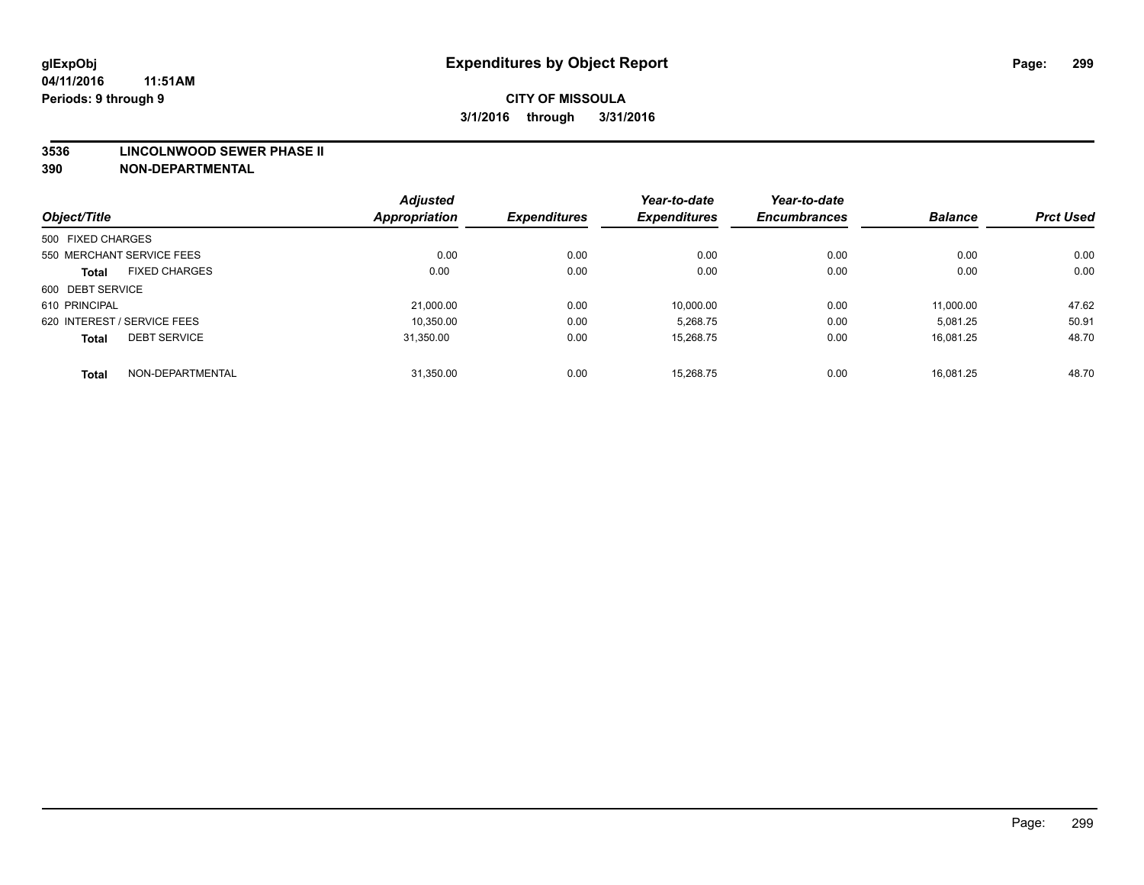#### **3536 LINCOLNWOOD SEWER PHASE II**

|                             |                      | <b>Adjusted</b> |                     | Year-to-date        | Year-to-date        |                |                  |
|-----------------------------|----------------------|-----------------|---------------------|---------------------|---------------------|----------------|------------------|
| Object/Title                |                      | Appropriation   | <b>Expenditures</b> | <b>Expenditures</b> | <b>Encumbrances</b> | <b>Balance</b> | <b>Prct Used</b> |
| 500 FIXED CHARGES           |                      |                 |                     |                     |                     |                |                  |
| 550 MERCHANT SERVICE FEES   |                      | 0.00            | 0.00                | 0.00                | 0.00                | 0.00           | 0.00             |
| <b>Total</b>                | <b>FIXED CHARGES</b> | 0.00            | 0.00                | 0.00                | 0.00                | 0.00           | 0.00             |
| 600 DEBT SERVICE            |                      |                 |                     |                     |                     |                |                  |
| 610 PRINCIPAL               |                      | 21,000.00       | 0.00                | 10,000.00           | 0.00                | 11,000.00      | 47.62            |
| 620 INTEREST / SERVICE FEES |                      | 10,350.00       | 0.00                | 5,268.75            | 0.00                | 5,081.25       | 50.91            |
| <b>Total</b>                | <b>DEBT SERVICE</b>  | 31.350.00       | 0.00                | 15.268.75           | 0.00                | 16.081.25      | 48.70            |
| <b>Total</b>                | NON-DEPARTMENTAL     | 31,350.00       | 0.00                | 15.268.75           | 0.00                | 16.081.25      | 48.70            |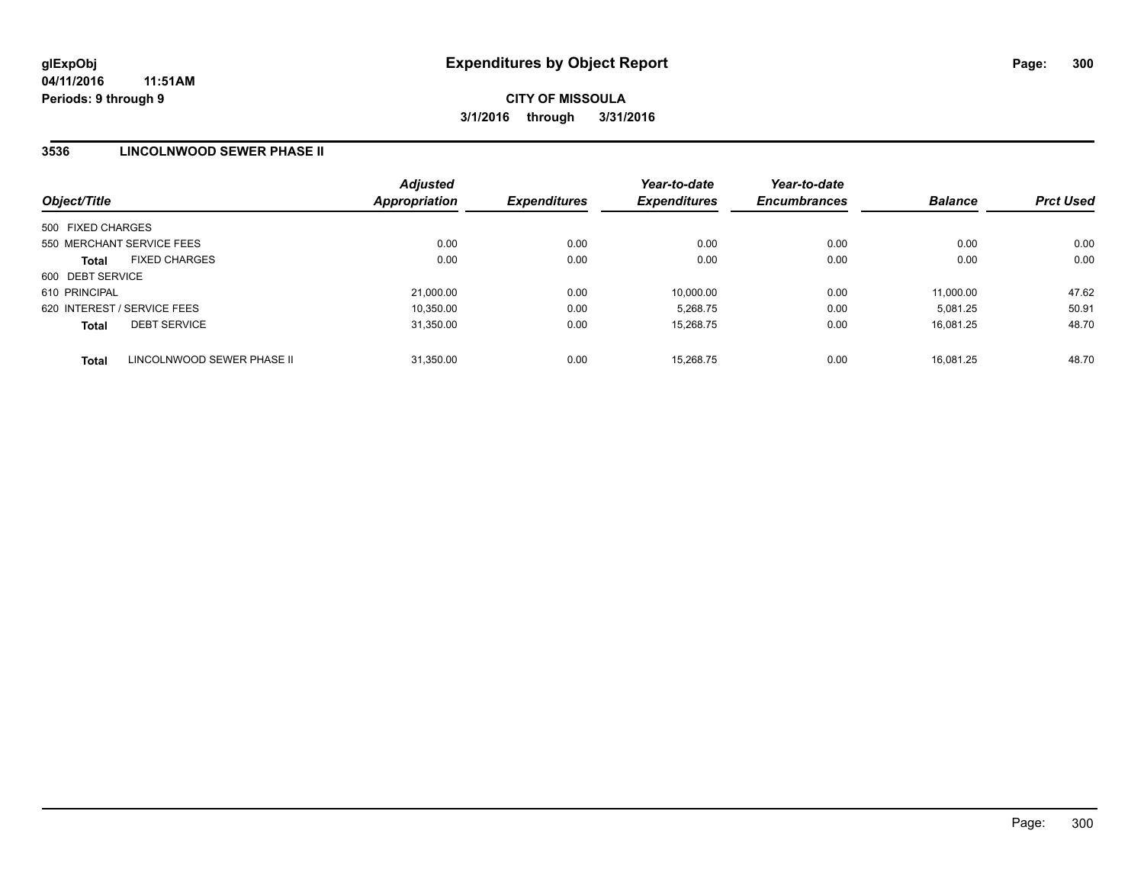### **3536 LINCOLNWOOD SEWER PHASE II**

| Object/Title                               | <b>Adjusted</b><br>Appropriation | <b>Expenditures</b> | Year-to-date<br><b>Expenditures</b> | Year-to-date<br><b>Encumbrances</b> | <b>Balance</b> | <b>Prct Used</b> |
|--------------------------------------------|----------------------------------|---------------------|-------------------------------------|-------------------------------------|----------------|------------------|
| 500 FIXED CHARGES                          |                                  |                     |                                     |                                     |                |                  |
| 550 MERCHANT SERVICE FEES                  | 0.00                             | 0.00                | 0.00                                | 0.00                                | 0.00           | 0.00             |
| <b>FIXED CHARGES</b><br><b>Total</b>       | 0.00                             | 0.00                | 0.00                                | 0.00                                | 0.00           | 0.00             |
| 600 DEBT SERVICE                           |                                  |                     |                                     |                                     |                |                  |
| 610 PRINCIPAL                              | 21.000.00                        | 0.00                | 10.000.00                           | 0.00                                | 11.000.00      | 47.62            |
| 620 INTEREST / SERVICE FEES                | 10.350.00                        | 0.00                | 5.268.75                            | 0.00                                | 5.081.25       | 50.91            |
| <b>DEBT SERVICE</b><br><b>Total</b>        | 31,350.00                        | 0.00                | 15,268.75                           | 0.00                                | 16.081.25      | 48.70            |
| LINCOLNWOOD SEWER PHASE II<br><b>Total</b> | 31.350.00                        | 0.00                | 15.268.75                           | 0.00                                | 16.081.25      | 48.70            |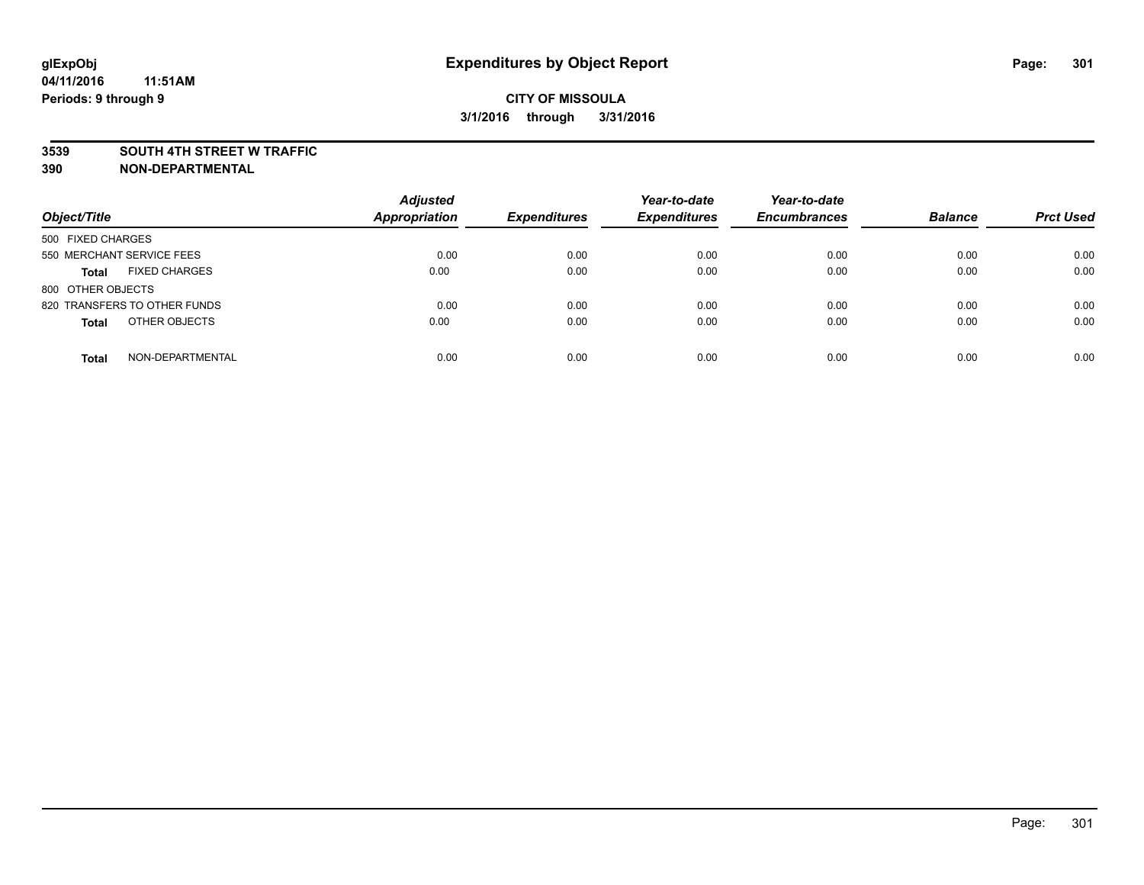#### **3539 SOUTH 4TH STREET W TRAFFIC**

| Object/Title                         | <b>Adjusted</b><br><b>Appropriation</b> | <b>Expenditures</b> | Year-to-date<br><b>Expenditures</b> | Year-to-date<br><b>Encumbrances</b> | <b>Balance</b> | <b>Prct Used</b> |
|--------------------------------------|-----------------------------------------|---------------------|-------------------------------------|-------------------------------------|----------------|------------------|
| 500 FIXED CHARGES                    |                                         |                     |                                     |                                     |                |                  |
| 550 MERCHANT SERVICE FEES            | 0.00                                    | 0.00                | 0.00                                | 0.00                                | 0.00           | 0.00             |
| <b>FIXED CHARGES</b><br><b>Total</b> | 0.00                                    | 0.00                | 0.00                                | 0.00                                | 0.00           | 0.00             |
| 800 OTHER OBJECTS                    |                                         |                     |                                     |                                     |                |                  |
| 820 TRANSFERS TO OTHER FUNDS         | 0.00                                    | 0.00                | 0.00                                | 0.00                                | 0.00           | 0.00             |
| OTHER OBJECTS<br><b>Total</b>        | 0.00                                    | 0.00                | 0.00                                | 0.00                                | 0.00           | 0.00             |
| NON-DEPARTMENTAL<br><b>Total</b>     | 0.00                                    | 0.00                | 0.00                                | 0.00                                | 0.00           | 0.00             |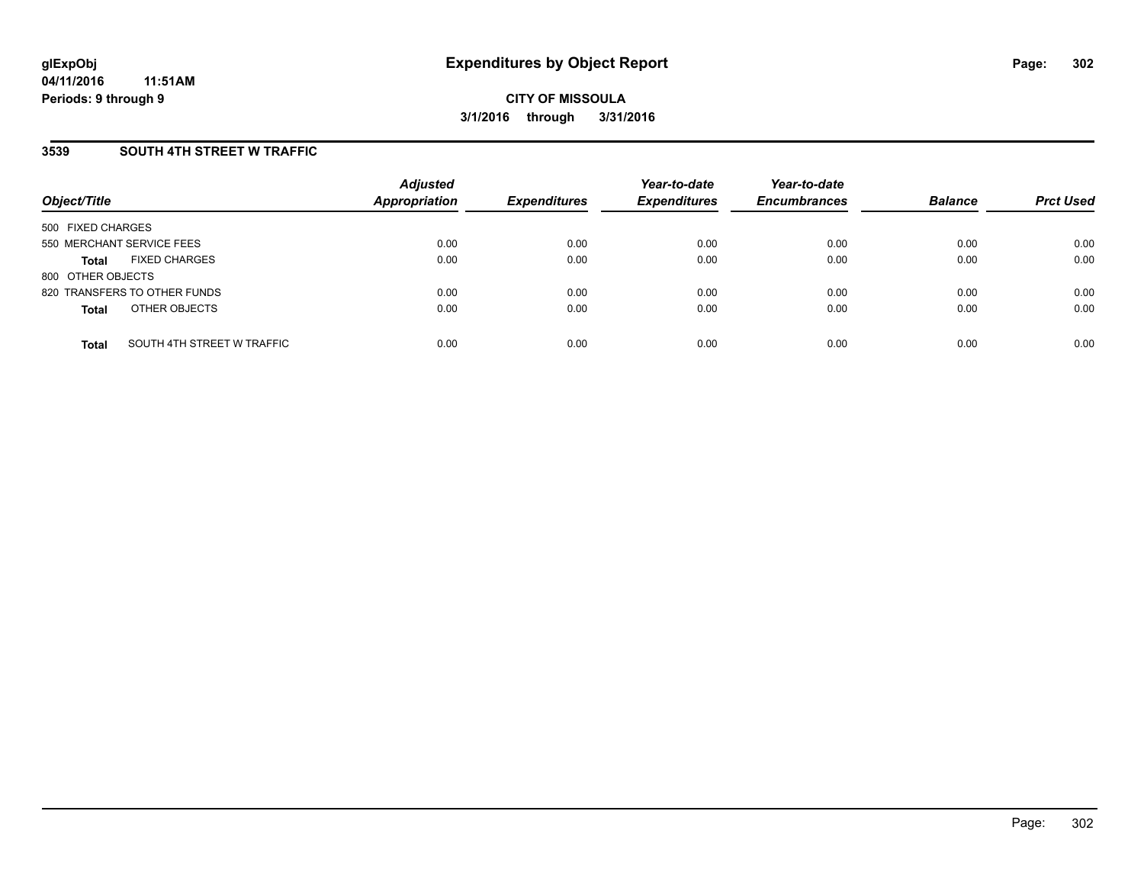### **3539 SOUTH 4TH STREET W TRAFFIC**

| Object/Title              |                              | <b>Adjusted</b><br><b>Appropriation</b> | <b>Expenditures</b> | Year-to-date<br><b>Expenditures</b> | Year-to-date<br><b>Encumbrances</b> | <b>Balance</b> | <b>Prct Used</b> |
|---------------------------|------------------------------|-----------------------------------------|---------------------|-------------------------------------|-------------------------------------|----------------|------------------|
| 500 FIXED CHARGES         |                              |                                         |                     |                                     |                                     |                |                  |
| 550 MERCHANT SERVICE FEES |                              | 0.00                                    | 0.00                | 0.00                                | 0.00                                | 0.00           | 0.00             |
| <b>Total</b>              | <b>FIXED CHARGES</b>         | 0.00                                    | 0.00                | 0.00                                | 0.00                                | 0.00           | 0.00             |
| 800 OTHER OBJECTS         |                              |                                         |                     |                                     |                                     |                |                  |
|                           | 820 TRANSFERS TO OTHER FUNDS | 0.00                                    | 0.00                | 0.00                                | 0.00                                | 0.00           | 0.00             |
| <b>Total</b>              | OTHER OBJECTS                | 0.00                                    | 0.00                | 0.00                                | 0.00                                | 0.00           | 0.00             |
| <b>Total</b>              | SOUTH 4TH STREET W TRAFFIC   | 0.00                                    | 0.00                | 0.00                                | 0.00                                | 0.00           | 0.00             |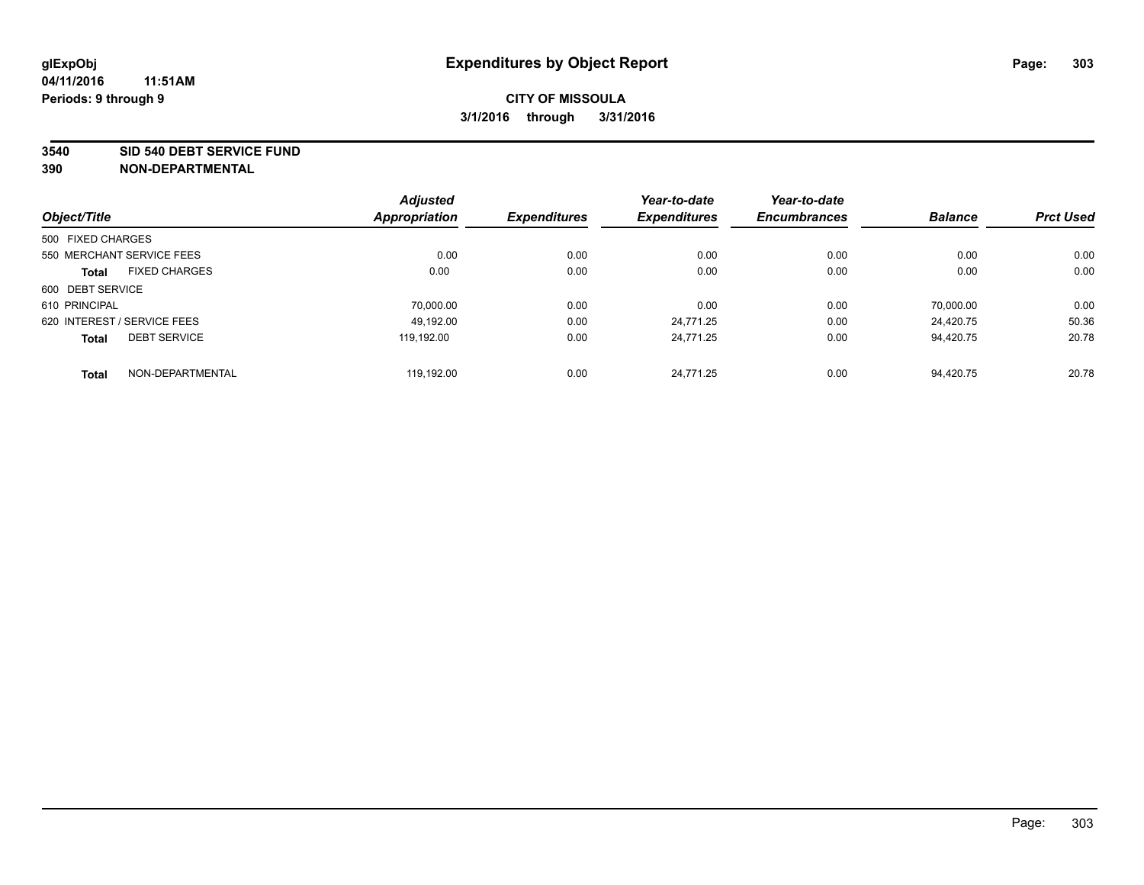#### **3540 SID 540 DEBT SERVICE FUND**

|                                      | <b>Adjusted</b>      |                     | Year-to-date        | Year-to-date        |                |                  |
|--------------------------------------|----------------------|---------------------|---------------------|---------------------|----------------|------------------|
| Object/Title                         | <b>Appropriation</b> | <b>Expenditures</b> | <b>Expenditures</b> | <b>Encumbrances</b> | <b>Balance</b> | <b>Prct Used</b> |
| 500 FIXED CHARGES                    |                      |                     |                     |                     |                |                  |
| 550 MERCHANT SERVICE FEES            | 0.00                 | 0.00                | 0.00                | 0.00                | 0.00           | 0.00             |
| <b>FIXED CHARGES</b><br><b>Total</b> | 0.00                 | 0.00                | 0.00                | 0.00                | 0.00           | 0.00             |
| 600 DEBT SERVICE                     |                      |                     |                     |                     |                |                  |
| 610 PRINCIPAL                        | 70.000.00            | 0.00                | 0.00                | 0.00                | 70.000.00      | 0.00             |
| 620 INTEREST / SERVICE FEES          | 49.192.00            | 0.00                | 24.771.25           | 0.00                | 24.420.75      | 50.36            |
| <b>DEBT SERVICE</b><br><b>Total</b>  | 119.192.00           | 0.00                | 24.771.25           | 0.00                | 94.420.75      | 20.78            |
| NON-DEPARTMENTAL<br><b>Total</b>     | 119.192.00           | 0.00                | 24.771.25           | 0.00                | 94.420.75      | 20.78            |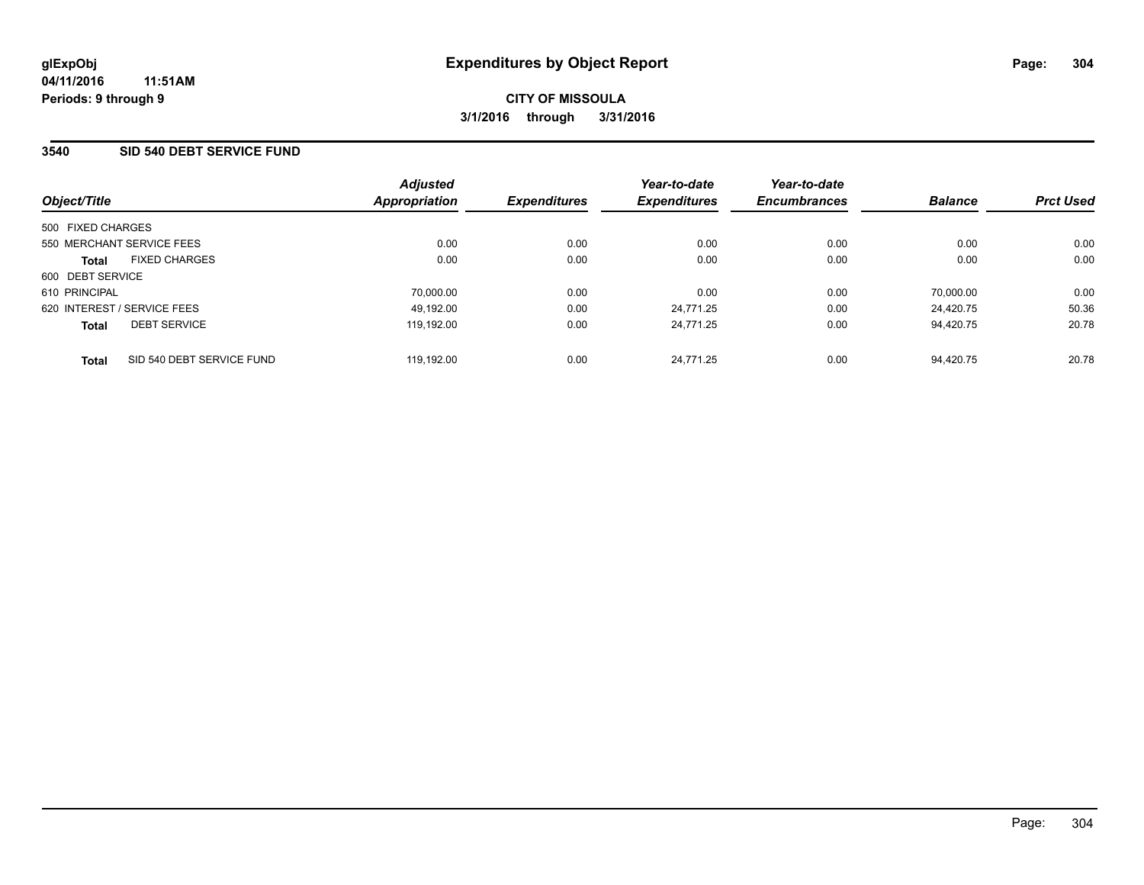### **3540 SID 540 DEBT SERVICE FUND**

| Object/Title                              | <b>Adjusted</b><br>Appropriation | <b>Expenditures</b> | Year-to-date<br><b>Expenditures</b> | Year-to-date<br><b>Encumbrances</b> | <b>Balance</b> | <b>Prct Used</b> |
|-------------------------------------------|----------------------------------|---------------------|-------------------------------------|-------------------------------------|----------------|------------------|
| 500 FIXED CHARGES                         |                                  |                     |                                     |                                     |                |                  |
| 550 MERCHANT SERVICE FEES                 | 0.00                             | 0.00                | 0.00                                | 0.00                                | 0.00           | 0.00             |
| <b>FIXED CHARGES</b><br><b>Total</b>      | 0.00                             | 0.00                | 0.00                                | 0.00                                | 0.00           | 0.00             |
| 600 DEBT SERVICE                          |                                  |                     |                                     |                                     |                |                  |
| 610 PRINCIPAL                             | 70.000.00                        | 0.00                | 0.00                                | 0.00                                | 70.000.00      | 0.00             |
| 620 INTEREST / SERVICE FEES               | 49.192.00                        | 0.00                | 24.771.25                           | 0.00                                | 24.420.75      | 50.36            |
| <b>DEBT SERVICE</b><br><b>Total</b>       | 119.192.00                       | 0.00                | 24.771.25                           | 0.00                                | 94.420.75      | 20.78            |
| SID 540 DEBT SERVICE FUND<br><b>Total</b> | 119.192.00                       | 0.00                | 24.771.25                           | 0.00                                | 94.420.75      | 20.78            |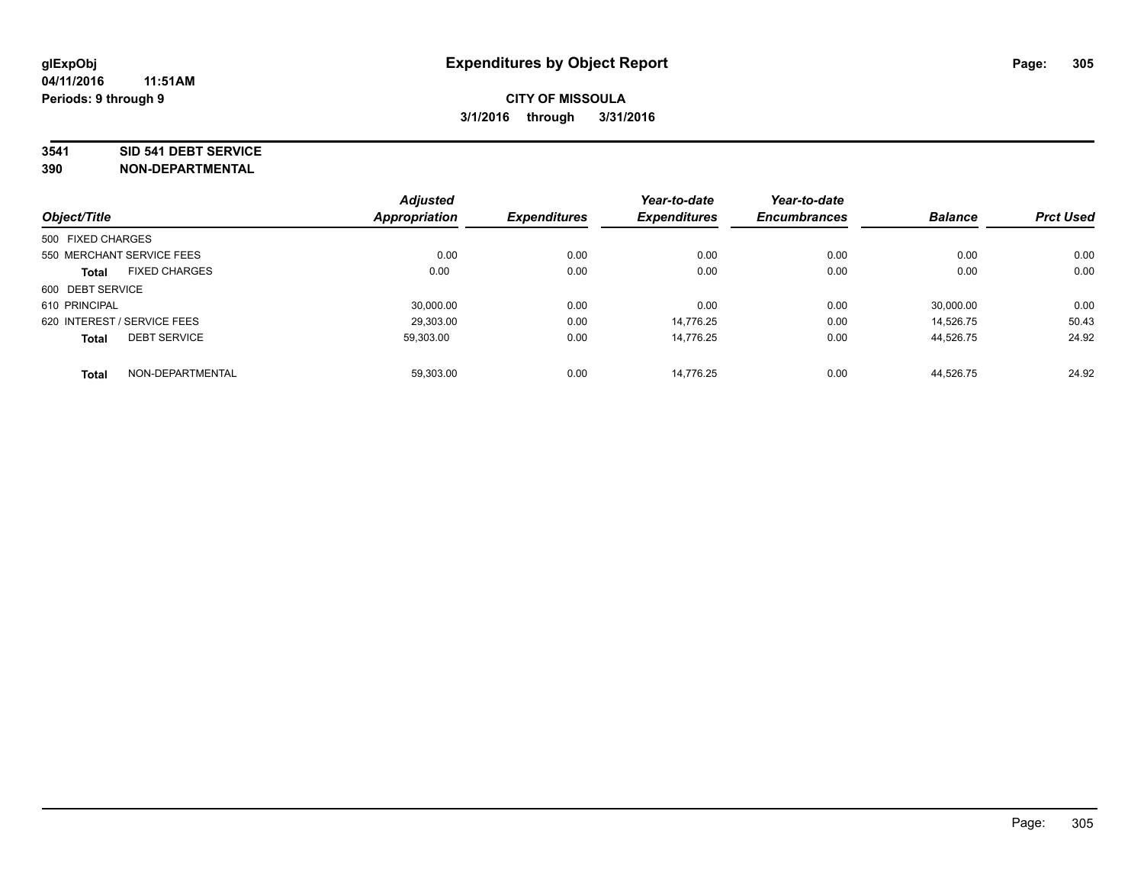#### **3541 SID 541 DEBT SERVICE**

|                             |                      | <b>Adjusted</b>      |                     | Year-to-date        | Year-to-date        |                |                  |
|-----------------------------|----------------------|----------------------|---------------------|---------------------|---------------------|----------------|------------------|
| Object/Title                |                      | <b>Appropriation</b> | <b>Expenditures</b> | <b>Expenditures</b> | <b>Encumbrances</b> | <b>Balance</b> | <b>Prct Used</b> |
| 500 FIXED CHARGES           |                      |                      |                     |                     |                     |                |                  |
| 550 MERCHANT SERVICE FEES   |                      | 0.00                 | 0.00                | 0.00                | 0.00                | 0.00           | 0.00             |
| <b>Total</b>                | <b>FIXED CHARGES</b> | 0.00                 | 0.00                | 0.00                | 0.00                | 0.00           | 0.00             |
| 600 DEBT SERVICE            |                      |                      |                     |                     |                     |                |                  |
| 610 PRINCIPAL               |                      | 30.000.00            | 0.00                | 0.00                | 0.00                | 30,000.00      | 0.00             |
| 620 INTEREST / SERVICE FEES |                      | 29,303.00            | 0.00                | 14.776.25           | 0.00                | 14.526.75      | 50.43            |
| <b>Total</b>                | <b>DEBT SERVICE</b>  | 59.303.00            | 0.00                | 14.776.25           | 0.00                | 44,526.75      | 24.92            |
| <b>Total</b>                | NON-DEPARTMENTAL     | 59,303.00            | 0.00                | 14.776.25           | 0.00                | 44.526.75      | 24.92            |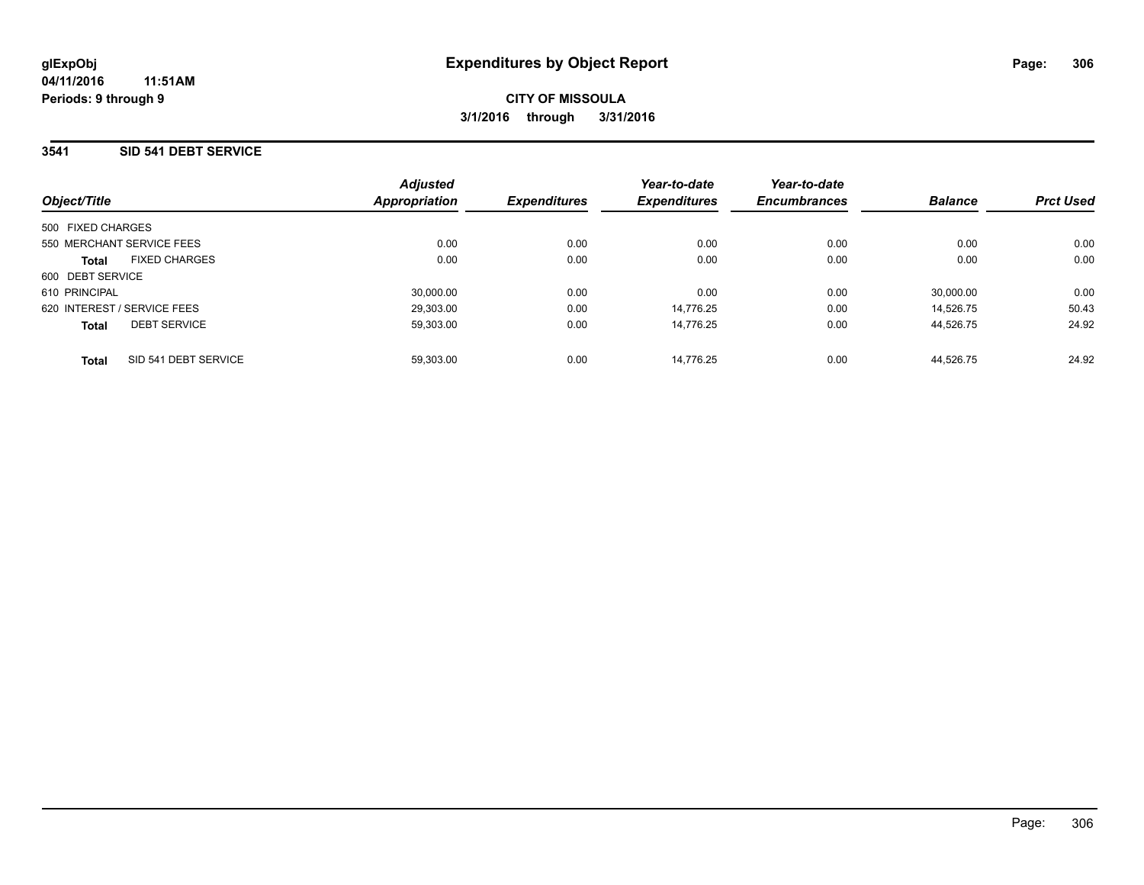### **3541 SID 541 DEBT SERVICE**

| Object/Title                |                      | <b>Adjusted</b><br>Appropriation | <b>Expenditures</b> | Year-to-date<br><b>Expenditures</b> | Year-to-date<br><b>Encumbrances</b> | <b>Balance</b> | <b>Prct Used</b> |
|-----------------------------|----------------------|----------------------------------|---------------------|-------------------------------------|-------------------------------------|----------------|------------------|
| 500 FIXED CHARGES           |                      |                                  |                     |                                     |                                     |                |                  |
| 550 MERCHANT SERVICE FEES   |                      | 0.00                             | 0.00                | 0.00                                | 0.00                                | 0.00           | 0.00             |
| <b>Total</b>                | <b>FIXED CHARGES</b> | 0.00                             | 0.00                | 0.00                                | 0.00                                | 0.00           | 0.00             |
| 600 DEBT SERVICE            |                      |                                  |                     |                                     |                                     |                |                  |
| 610 PRINCIPAL               |                      | 30,000.00                        | 0.00                | 0.00                                | 0.00                                | 30.000.00      | 0.00             |
| 620 INTEREST / SERVICE FEES |                      | 29,303.00                        | 0.00                | 14.776.25                           | 0.00                                | 14.526.75      | 50.43            |
| <b>Total</b>                | <b>DEBT SERVICE</b>  | 59,303.00                        | 0.00                | 14.776.25                           | 0.00                                | 44,526.75      | 24.92            |
| <b>Total</b>                | SID 541 DEBT SERVICE | 59.303.00                        | 0.00                | 14.776.25                           | 0.00                                | 44.526.75      | 24.92            |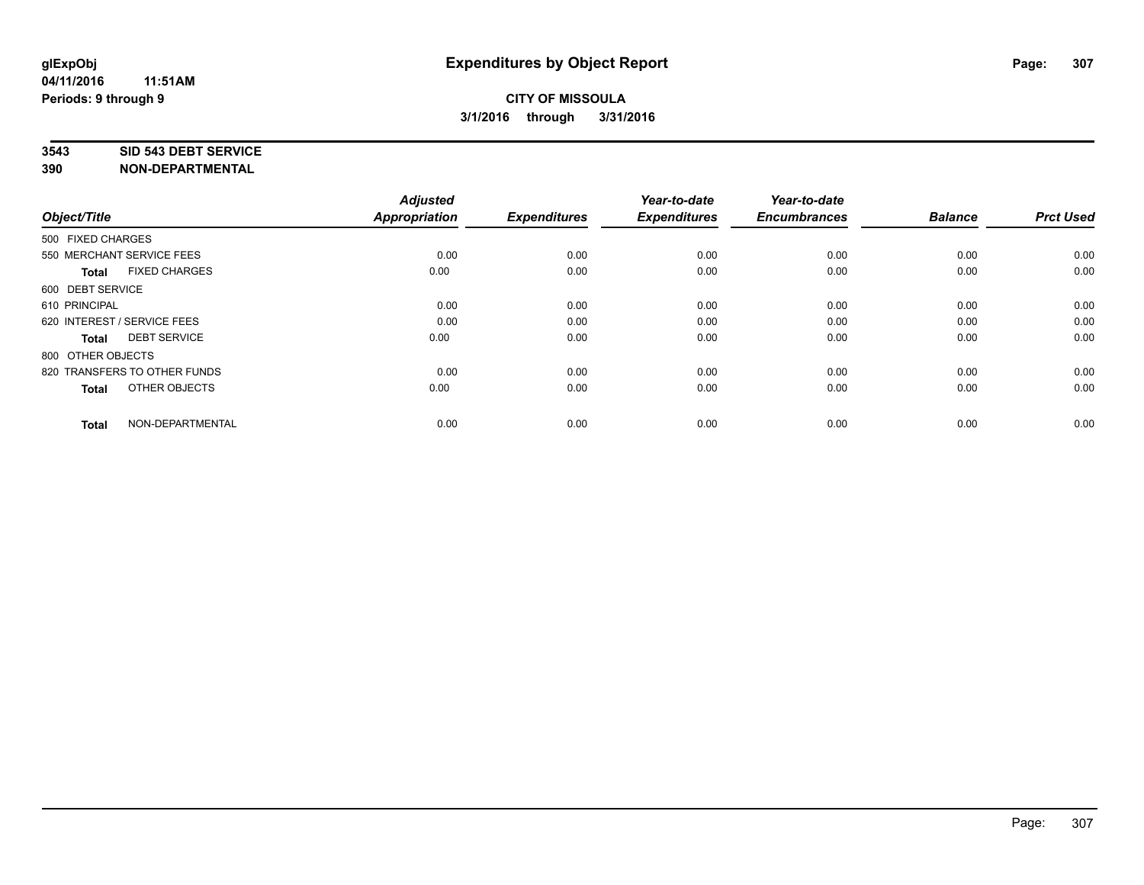#### **3543 SID 543 DEBT SERVICE**

| Object/Title                         | <b>Adjusted</b><br><b>Appropriation</b> | <b>Expenditures</b> | Year-to-date<br><b>Expenditures</b> | Year-to-date<br><b>Encumbrances</b> | <b>Balance</b> | <b>Prct Used</b> |
|--------------------------------------|-----------------------------------------|---------------------|-------------------------------------|-------------------------------------|----------------|------------------|
| 500 FIXED CHARGES                    |                                         |                     |                                     |                                     |                |                  |
| 550 MERCHANT SERVICE FEES            | 0.00                                    | 0.00                | 0.00                                | 0.00                                | 0.00           | 0.00             |
| <b>FIXED CHARGES</b><br><b>Total</b> | 0.00                                    | 0.00                | 0.00                                | 0.00                                | 0.00           | 0.00             |
| 600 DEBT SERVICE                     |                                         |                     |                                     |                                     |                |                  |
| 610 PRINCIPAL                        | 0.00                                    | 0.00                | 0.00                                | 0.00                                | 0.00           | 0.00             |
| 620 INTEREST / SERVICE FEES          | 0.00                                    | 0.00                | 0.00                                | 0.00                                | 0.00           | 0.00             |
| <b>DEBT SERVICE</b><br><b>Total</b>  | 0.00                                    | 0.00                | 0.00                                | 0.00                                | 0.00           | 0.00             |
| 800 OTHER OBJECTS                    |                                         |                     |                                     |                                     |                |                  |
| 820 TRANSFERS TO OTHER FUNDS         | 0.00                                    | 0.00                | 0.00                                | 0.00                                | 0.00           | 0.00             |
| OTHER OBJECTS<br><b>Total</b>        | 0.00                                    | 0.00                | 0.00                                | 0.00                                | 0.00           | 0.00             |
|                                      |                                         |                     |                                     |                                     |                |                  |
| NON-DEPARTMENTAL<br><b>Total</b>     | 0.00                                    | 0.00                | 0.00                                | 0.00                                | 0.00           | 0.00             |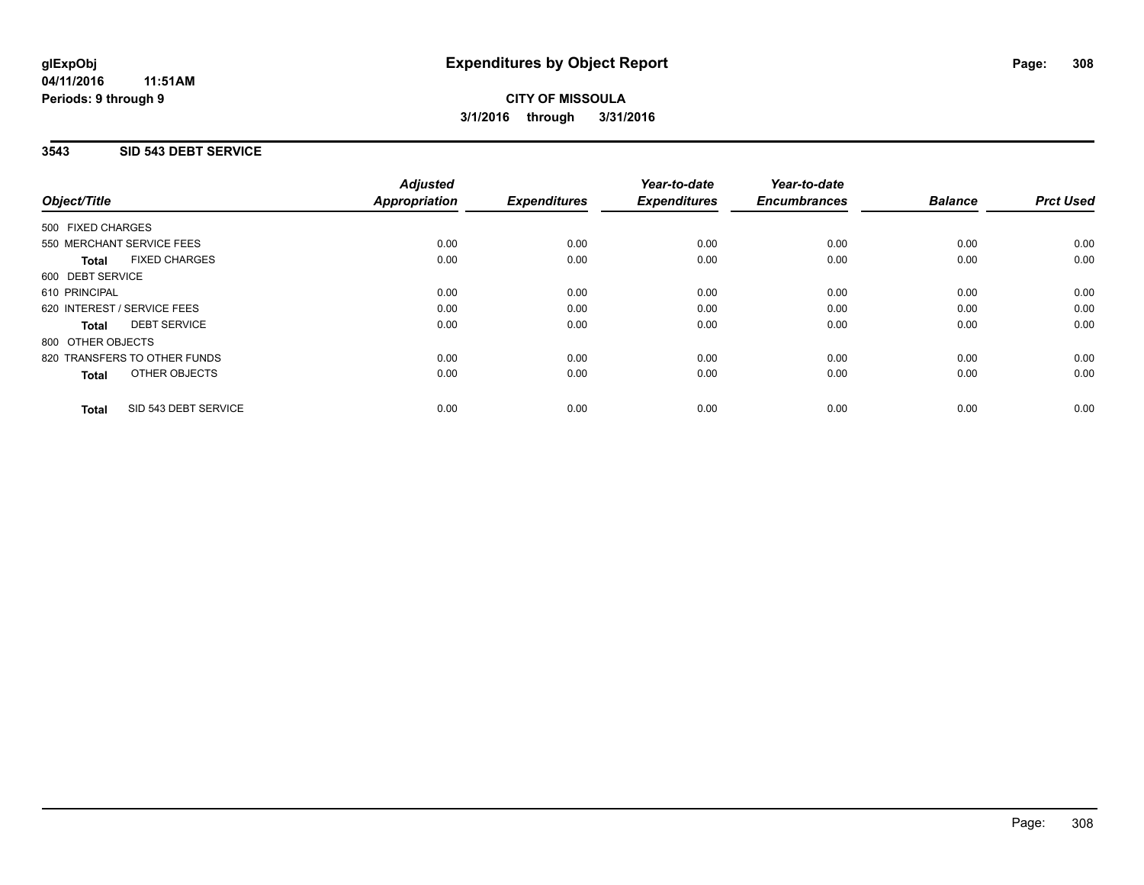## **3543 SID 543 DEBT SERVICE**

|                                      | <b>Adjusted</b>      |                     | Year-to-date        | Year-to-date        |                |                  |
|--------------------------------------|----------------------|---------------------|---------------------|---------------------|----------------|------------------|
| Object/Title                         | <b>Appropriation</b> | <b>Expenditures</b> | <b>Expenditures</b> | <b>Encumbrances</b> | <b>Balance</b> | <b>Prct Used</b> |
| 500 FIXED CHARGES                    |                      |                     |                     |                     |                |                  |
| 550 MERCHANT SERVICE FEES            | 0.00                 | 0.00                | 0.00                | 0.00                | 0.00           | 0.00             |
| <b>FIXED CHARGES</b><br>Total        | 0.00                 | 0.00                | 0.00                | 0.00                | 0.00           | 0.00             |
| 600 DEBT SERVICE                     |                      |                     |                     |                     |                |                  |
| 610 PRINCIPAL                        | 0.00                 | 0.00                | 0.00                | 0.00                | 0.00           | 0.00             |
| 620 INTEREST / SERVICE FEES          | 0.00                 | 0.00                | 0.00                | 0.00                | 0.00           | 0.00             |
| <b>DEBT SERVICE</b><br>Total         | 0.00                 | 0.00                | 0.00                | 0.00                | 0.00           | 0.00             |
| 800 OTHER OBJECTS                    |                      |                     |                     |                     |                |                  |
| 820 TRANSFERS TO OTHER FUNDS         | 0.00                 | 0.00                | 0.00                | 0.00                | 0.00           | 0.00             |
| <b>OTHER OBJECTS</b><br><b>Total</b> | 0.00                 | 0.00                | 0.00                | 0.00                | 0.00           | 0.00             |
| SID 543 DEBT SERVICE<br><b>Total</b> | 0.00                 | 0.00                | 0.00                | 0.00                | 0.00           | 0.00             |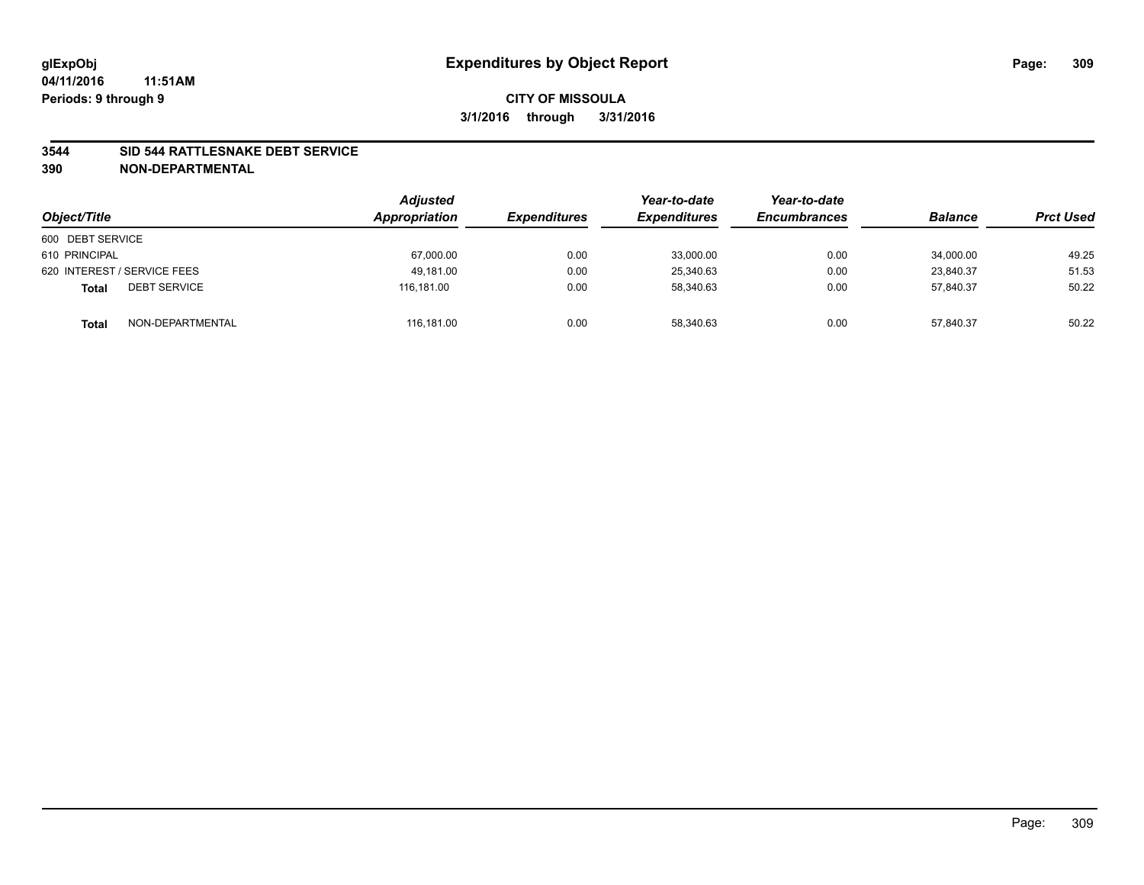#### **3544 SID 544 RATTLESNAKE DEBT SERVICE**

| Object/Title                        | <b>Adjusted</b><br>Appropriation | <b>Expenditures</b> | Year-to-date<br><b>Expenditures</b> | Year-to-date<br><b>Encumbrances</b> | <b>Balance</b> | <b>Prct Used</b> |
|-------------------------------------|----------------------------------|---------------------|-------------------------------------|-------------------------------------|----------------|------------------|
| 600 DEBT SERVICE                    |                                  |                     |                                     |                                     |                |                  |
| 610 PRINCIPAL                       | 67,000.00                        | 0.00                | 33,000.00                           | 0.00                                | 34,000.00      | 49.25            |
| 620 INTEREST / SERVICE FEES         | 49.181.00                        | 0.00                | 25,340.63                           | 0.00                                | 23.840.37      | 51.53            |
| <b>DEBT SERVICE</b><br><b>Total</b> | 116.181.00                       | 0.00                | 58.340.63                           | 0.00                                | 57.840.37      | 50.22            |
| NON-DEPARTMENTAL<br><b>Total</b>    | 116,181.00                       | 0.00                | 58,340.63                           | 0.00                                | 57,840.37      | 50.22            |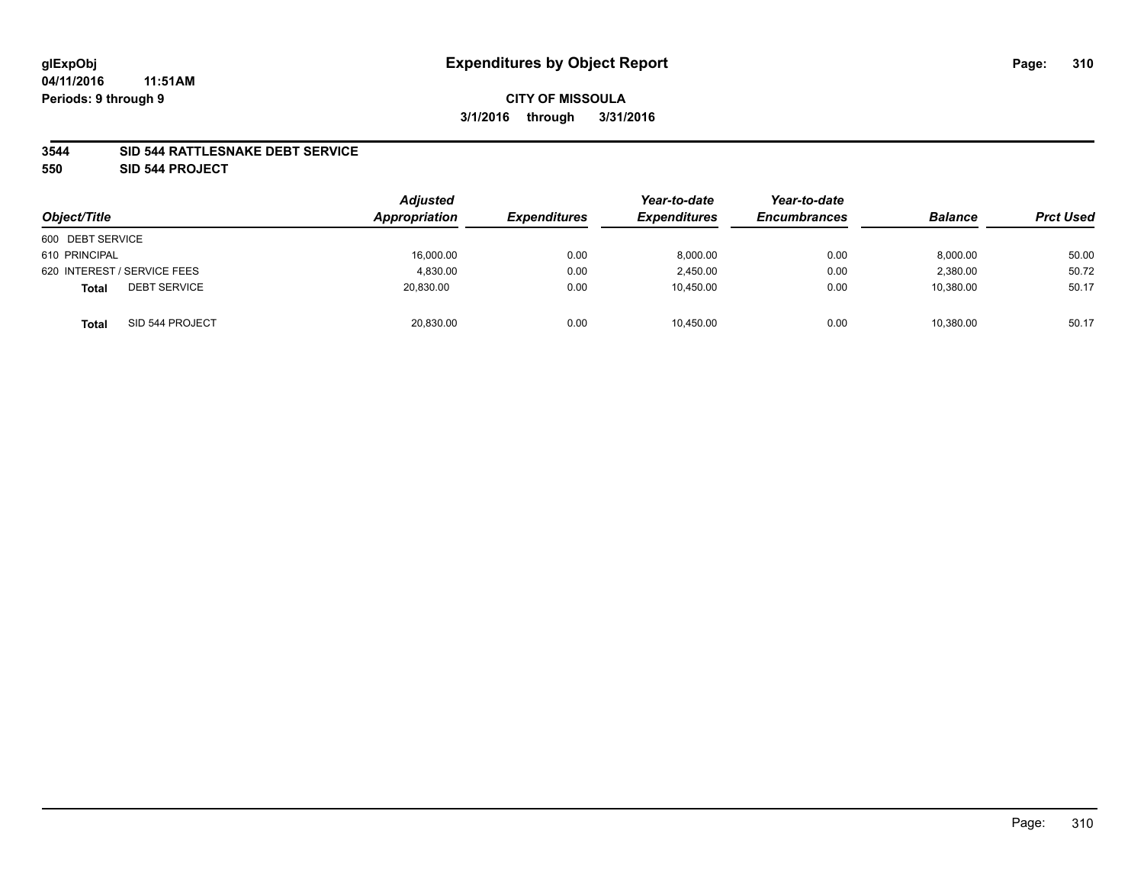#### **04/11/2016 11:51AM Periods: 9 through 9**

## **CITY OF MISSOULA 3/1/2016 through 3/31/2016**

#### **3544 SID 544 RATTLESNAKE DEBT SERVICE**

**550 SID 544 PROJECT**

| Object/Title                        | <b>Adjusted</b><br>Appropriation | <b>Expenditures</b> | Year-to-date<br><b>Expenditures</b> | Year-to-date<br><b>Encumbrances</b> | <b>Balance</b> | <b>Prct Used</b> |
|-------------------------------------|----------------------------------|---------------------|-------------------------------------|-------------------------------------|----------------|------------------|
| 600 DEBT SERVICE                    |                                  |                     |                                     |                                     |                |                  |
| 610 PRINCIPAL                       | 16,000.00                        | 0.00                | 8,000.00                            | 0.00                                | 8,000.00       | 50.00            |
| 620 INTEREST / SERVICE FEES         | 4.830.00                         | 0.00                | 2.450.00                            | 0.00                                | 2.380.00       | 50.72            |
| <b>DEBT SERVICE</b><br><b>Total</b> | 20,830.00                        | 0.00                | 10,450.00                           | 0.00                                | 10,380.00      | 50.17            |
| SID 544 PROJECT<br><b>Total</b>     | 20,830.00                        | 0.00                | 10,450.00                           | 0.00                                | 10,380.00      | 50.17            |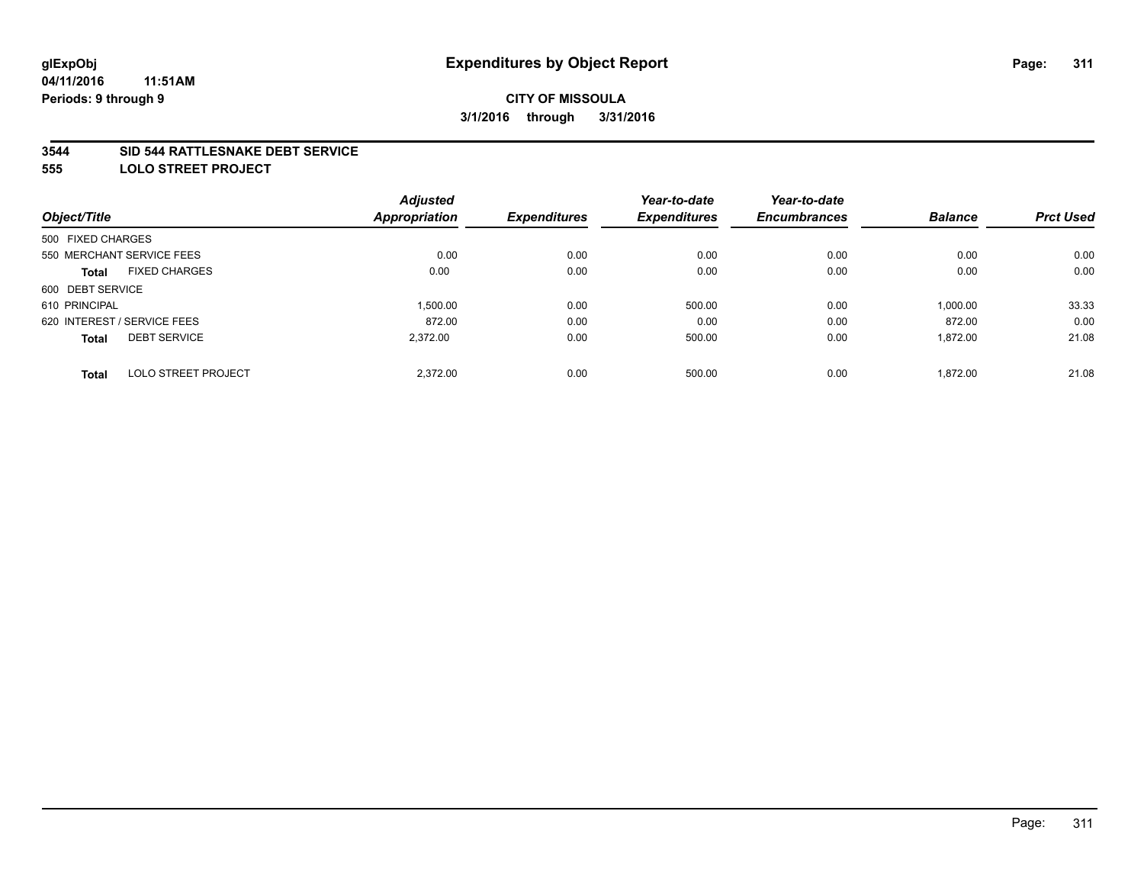#### **3544 SID 544 RATTLESNAKE DEBT SERVICE**

**555 LOLO STREET PROJECT**

|                                            | <b>Adjusted</b> |                     | Year-to-date        | Year-to-date        |                |                  |
|--------------------------------------------|-----------------|---------------------|---------------------|---------------------|----------------|------------------|
| Object/Title                               | Appropriation   | <b>Expenditures</b> | <b>Expenditures</b> | <b>Encumbrances</b> | <b>Balance</b> | <b>Prct Used</b> |
| 500 FIXED CHARGES                          |                 |                     |                     |                     |                |                  |
| 550 MERCHANT SERVICE FEES                  | 0.00            | 0.00                | 0.00                | 0.00                | 0.00           | 0.00             |
| <b>FIXED CHARGES</b><br><b>Total</b>       | 0.00            | 0.00                | 0.00                | 0.00                | 0.00           | 0.00             |
| 600 DEBT SERVICE                           |                 |                     |                     |                     |                |                  |
| 610 PRINCIPAL                              | 1,500.00        | 0.00                | 500.00              | 0.00                | 1,000.00       | 33.33            |
| 620 INTEREST / SERVICE FEES                | 872.00          | 0.00                | 0.00                | 0.00                | 872.00         | 0.00             |
| <b>DEBT SERVICE</b><br><b>Total</b>        | 2,372.00        | 0.00                | 500.00              | 0.00                | 1,872.00       | 21.08            |
| <b>LOLO STREET PROJECT</b><br><b>Total</b> | 2.372.00        | 0.00                | 500.00              | 0.00                | 1.872.00       | 21.08            |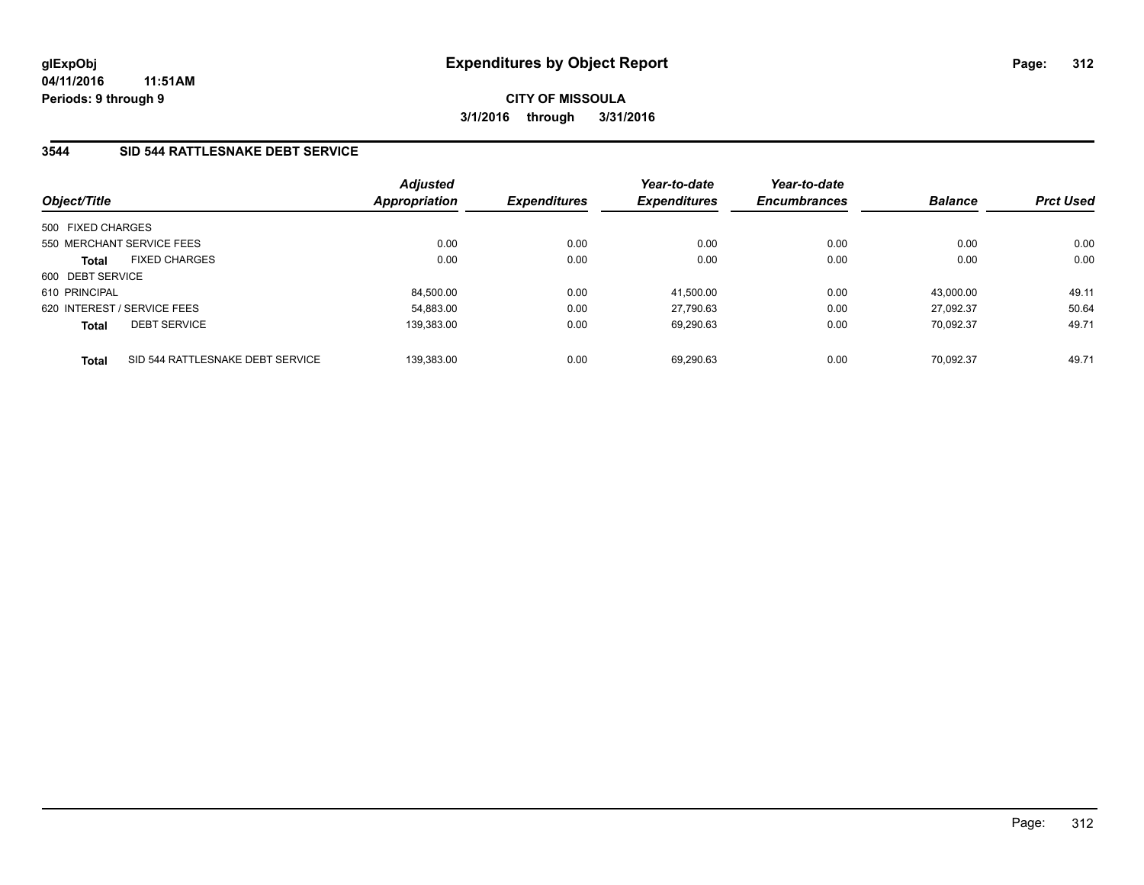# **3544 SID 544 RATTLESNAKE DEBT SERVICE**

| Object/Title                |                                  | <b>Adjusted</b><br><b>Appropriation</b> | <b>Expenditures</b> | Year-to-date<br><b>Expenditures</b> | Year-to-date<br><b>Encumbrances</b> | <b>Balance</b> | <b>Prct Used</b> |
|-----------------------------|----------------------------------|-----------------------------------------|---------------------|-------------------------------------|-------------------------------------|----------------|------------------|
| 500 FIXED CHARGES           |                                  |                                         |                     |                                     |                                     |                |                  |
| 550 MERCHANT SERVICE FEES   |                                  | 0.00                                    | 0.00                | 0.00                                | 0.00                                | 0.00           | 0.00             |
| <b>Total</b>                | <b>FIXED CHARGES</b>             | 0.00                                    | 0.00                | 0.00                                | 0.00                                | 0.00           | 0.00             |
| 600 DEBT SERVICE            |                                  |                                         |                     |                                     |                                     |                |                  |
| 610 PRINCIPAL               |                                  | 84,500.00                               | 0.00                | 41.500.00                           | 0.00                                | 43.000.00      | 49.11            |
| 620 INTEREST / SERVICE FEES |                                  | 54.883.00                               | 0.00                | 27.790.63                           | 0.00                                | 27.092.37      | 50.64            |
| <b>Total</b>                | <b>DEBT SERVICE</b>              | 139.383.00                              | 0.00                | 69.290.63                           | 0.00                                | 70.092.37      | 49.71            |
| <b>Total</b>                | SID 544 RATTLESNAKE DEBT SERVICE | 139.383.00                              | 0.00                | 69.290.63                           | 0.00                                | 70.092.37      | 49.71            |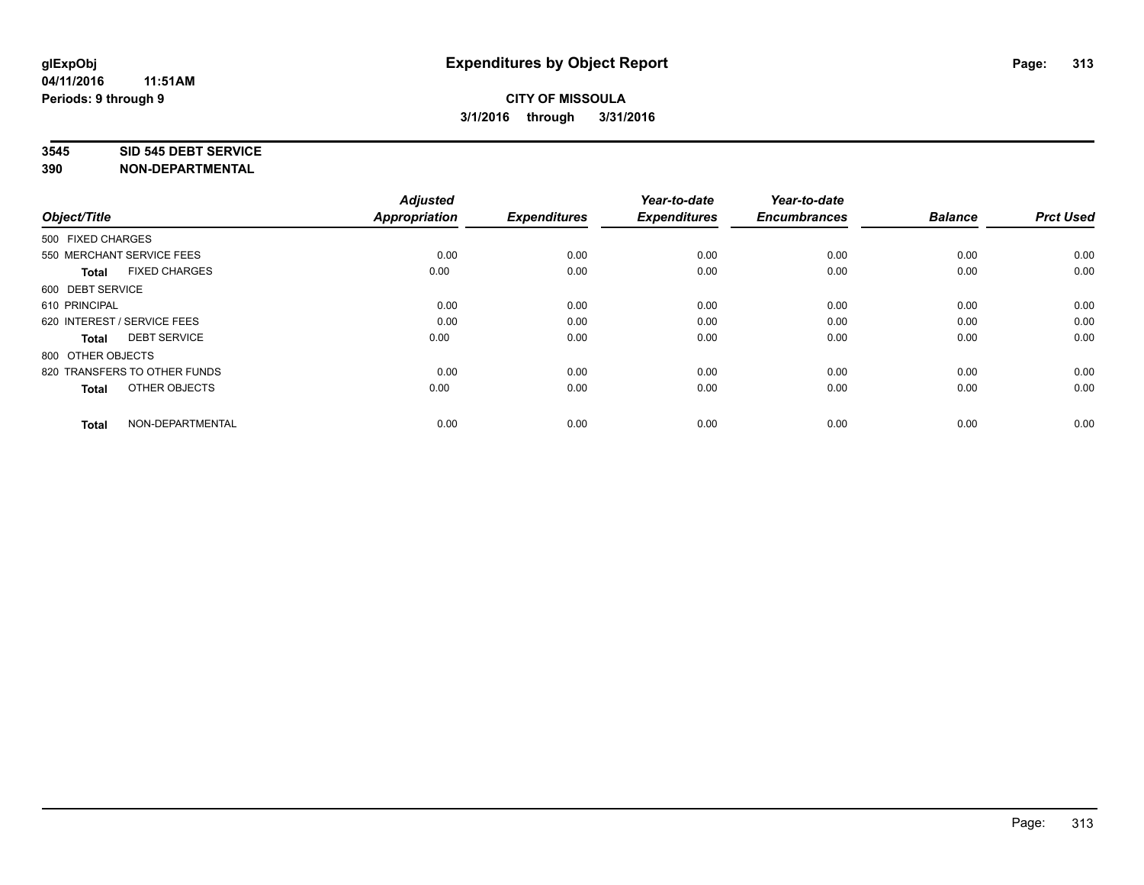#### **3545 SID 545 DEBT SERVICE**

| Object/Title                         | <b>Adjusted</b><br><b>Appropriation</b> | <b>Expenditures</b> | Year-to-date<br><b>Expenditures</b> | Year-to-date<br><b>Encumbrances</b> | <b>Balance</b> | <b>Prct Used</b> |
|--------------------------------------|-----------------------------------------|---------------------|-------------------------------------|-------------------------------------|----------------|------------------|
| 500 FIXED CHARGES                    |                                         |                     |                                     |                                     |                |                  |
| 550 MERCHANT SERVICE FEES            | 0.00                                    | 0.00                | 0.00                                | 0.00                                | 0.00           | 0.00             |
| <b>FIXED CHARGES</b><br><b>Total</b> | 0.00                                    | 0.00                | 0.00                                | 0.00                                | 0.00           | 0.00             |
| 600 DEBT SERVICE                     |                                         |                     |                                     |                                     |                |                  |
| 610 PRINCIPAL                        | 0.00                                    | 0.00                | 0.00                                | 0.00                                | 0.00           | 0.00             |
| 620 INTEREST / SERVICE FEES          | 0.00                                    | 0.00                | 0.00                                | 0.00                                | 0.00           | 0.00             |
| <b>DEBT SERVICE</b><br><b>Total</b>  | 0.00                                    | 0.00                | 0.00                                | 0.00                                | 0.00           | 0.00             |
| 800 OTHER OBJECTS                    |                                         |                     |                                     |                                     |                |                  |
| 820 TRANSFERS TO OTHER FUNDS         | 0.00                                    | 0.00                | 0.00                                | 0.00                                | 0.00           | 0.00             |
| OTHER OBJECTS<br><b>Total</b>        | 0.00                                    | 0.00                | 0.00                                | 0.00                                | 0.00           | 0.00             |
|                                      |                                         |                     |                                     |                                     |                |                  |
| NON-DEPARTMENTAL<br><b>Total</b>     | 0.00                                    | 0.00                | 0.00                                | 0.00                                | 0.00           | 0.00             |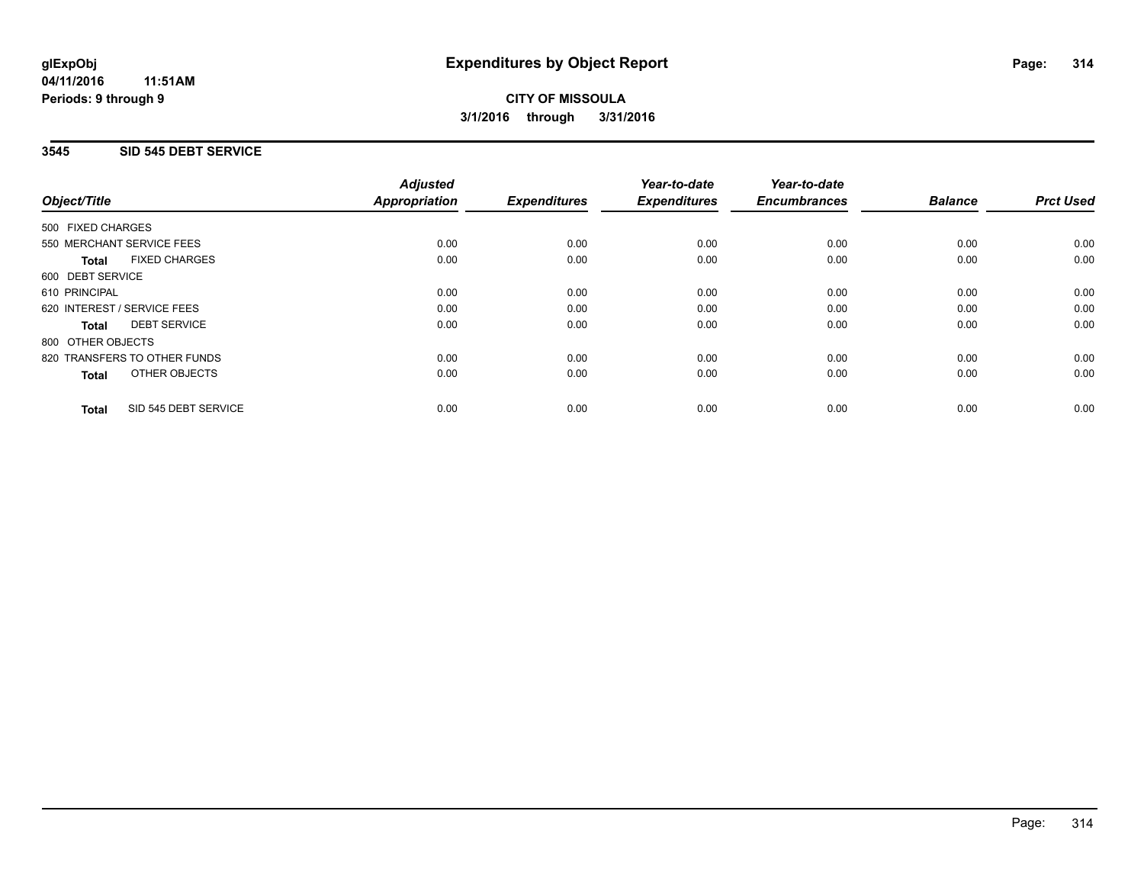### **3545 SID 545 DEBT SERVICE**

|                                      | <b>Adjusted</b>      |                     | Year-to-date        | Year-to-date        |                |                  |
|--------------------------------------|----------------------|---------------------|---------------------|---------------------|----------------|------------------|
| Object/Title                         | <b>Appropriation</b> | <b>Expenditures</b> | <b>Expenditures</b> | <b>Encumbrances</b> | <b>Balance</b> | <b>Prct Used</b> |
| 500 FIXED CHARGES                    |                      |                     |                     |                     |                |                  |
| 550 MERCHANT SERVICE FEES            | 0.00                 | 0.00                | 0.00                | 0.00                | 0.00           | 0.00             |
| <b>FIXED CHARGES</b><br>Total        | 0.00                 | 0.00                | 0.00                | 0.00                | 0.00           | 0.00             |
| 600 DEBT SERVICE                     |                      |                     |                     |                     |                |                  |
| 610 PRINCIPAL                        | 0.00                 | 0.00                | 0.00                | 0.00                | 0.00           | 0.00             |
| 620 INTEREST / SERVICE FEES          | 0.00                 | 0.00                | 0.00                | 0.00                | 0.00           | 0.00             |
| <b>DEBT SERVICE</b><br>Total         | 0.00                 | 0.00                | 0.00                | 0.00                | 0.00           | 0.00             |
| 800 OTHER OBJECTS                    |                      |                     |                     |                     |                |                  |
| 820 TRANSFERS TO OTHER FUNDS         | 0.00                 | 0.00                | 0.00                | 0.00                | 0.00           | 0.00             |
| <b>OTHER OBJECTS</b><br><b>Total</b> | 0.00                 | 0.00                | 0.00                | 0.00                | 0.00           | 0.00             |
| SID 545 DEBT SERVICE<br><b>Total</b> | 0.00                 | 0.00                | 0.00                | 0.00                | 0.00           | 0.00             |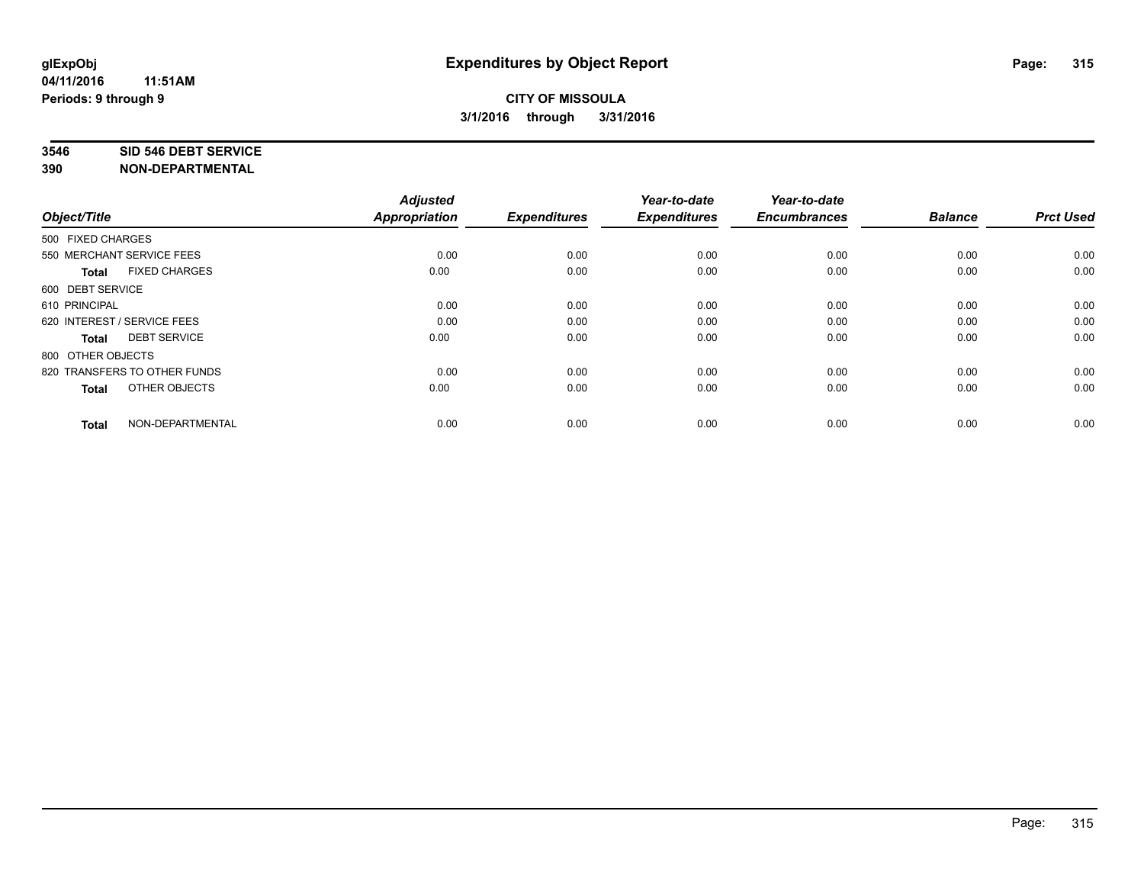#### **3546 SID 546 DEBT SERVICE**

| Object/Title                         | <b>Adjusted</b><br><b>Appropriation</b> | <b>Expenditures</b> | Year-to-date<br><b>Expenditures</b> | Year-to-date<br><b>Encumbrances</b> | <b>Balance</b> | <b>Prct Used</b> |
|--------------------------------------|-----------------------------------------|---------------------|-------------------------------------|-------------------------------------|----------------|------------------|
| 500 FIXED CHARGES                    |                                         |                     |                                     |                                     |                |                  |
| 550 MERCHANT SERVICE FEES            | 0.00                                    | 0.00                | 0.00                                | 0.00                                | 0.00           | 0.00             |
| <b>FIXED CHARGES</b><br><b>Total</b> | 0.00                                    | 0.00                | 0.00                                | 0.00                                | 0.00           | 0.00             |
| 600 DEBT SERVICE                     |                                         |                     |                                     |                                     |                |                  |
| 610 PRINCIPAL                        | 0.00                                    | 0.00                | 0.00                                | 0.00                                | 0.00           | 0.00             |
| 620 INTEREST / SERVICE FEES          | 0.00                                    | 0.00                | 0.00                                | 0.00                                | 0.00           | 0.00             |
| <b>DEBT SERVICE</b><br><b>Total</b>  | 0.00                                    | 0.00                | 0.00                                | 0.00                                | 0.00           | 0.00             |
| 800 OTHER OBJECTS                    |                                         |                     |                                     |                                     |                |                  |
| 820 TRANSFERS TO OTHER FUNDS         | 0.00                                    | 0.00                | 0.00                                | 0.00                                | 0.00           | 0.00             |
| OTHER OBJECTS<br><b>Total</b>        | 0.00                                    | 0.00                | 0.00                                | 0.00                                | 0.00           | 0.00             |
|                                      |                                         |                     |                                     |                                     |                |                  |
| NON-DEPARTMENTAL<br><b>Total</b>     | 0.00                                    | 0.00                | 0.00                                | 0.00                                | 0.00           | 0.00             |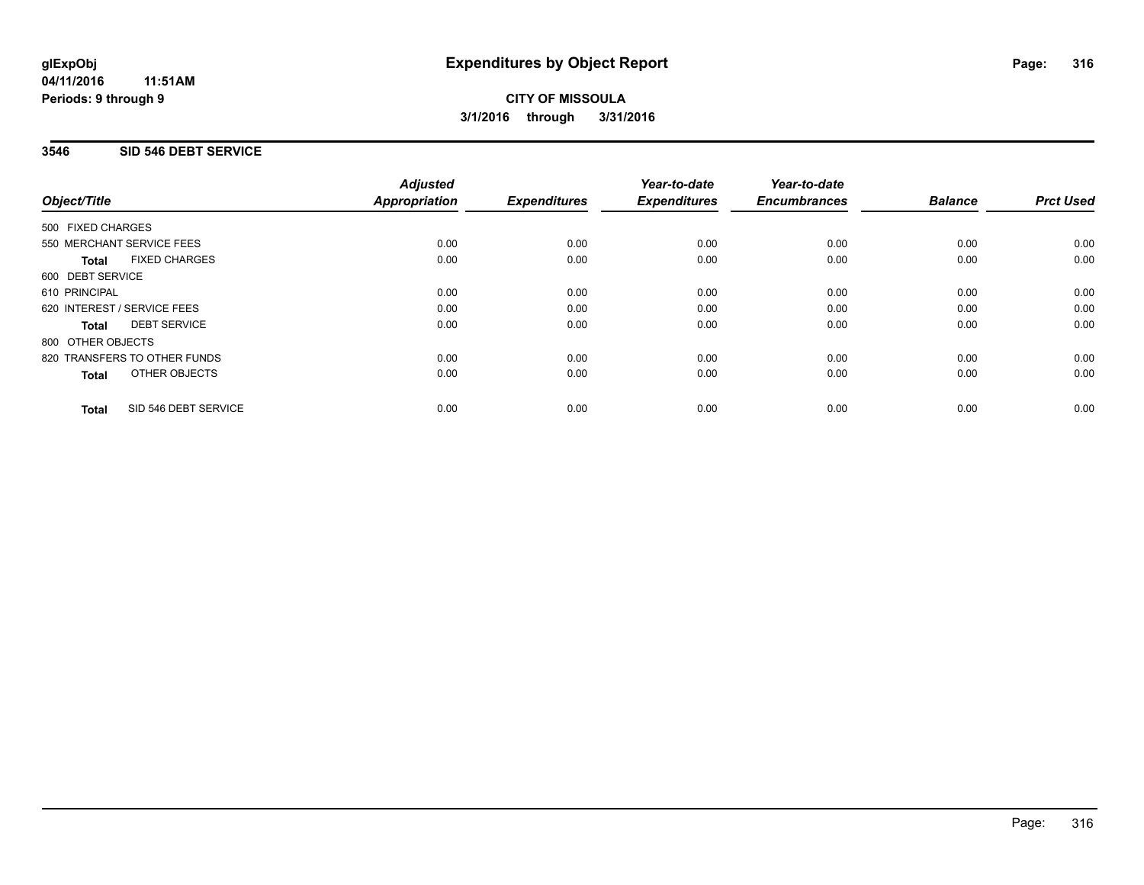## **3546 SID 546 DEBT SERVICE**

|                                      | <b>Adjusted</b>      |                     | Year-to-date        | Year-to-date<br><b>Encumbrances</b> | <b>Balance</b> | <b>Prct Used</b> |
|--------------------------------------|----------------------|---------------------|---------------------|-------------------------------------|----------------|------------------|
| Object/Title                         | <b>Appropriation</b> | <b>Expenditures</b> | <b>Expenditures</b> |                                     |                |                  |
| 500 FIXED CHARGES                    |                      |                     |                     |                                     |                |                  |
| 550 MERCHANT SERVICE FEES            | 0.00                 | 0.00                | 0.00                | 0.00                                | 0.00           | 0.00             |
| <b>FIXED CHARGES</b><br><b>Total</b> | 0.00                 | 0.00                | 0.00                | 0.00                                | 0.00           | 0.00             |
| 600 DEBT SERVICE                     |                      |                     |                     |                                     |                |                  |
| 610 PRINCIPAL                        | 0.00                 | 0.00                | 0.00                | 0.00                                | 0.00           | 0.00             |
| 620 INTEREST / SERVICE FEES          | 0.00                 | 0.00                | 0.00                | 0.00                                | 0.00           | 0.00             |
| <b>DEBT SERVICE</b><br><b>Total</b>  | 0.00                 | 0.00                | 0.00                | 0.00                                | 0.00           | 0.00             |
| 800 OTHER OBJECTS                    |                      |                     |                     |                                     |                |                  |
| 820 TRANSFERS TO OTHER FUNDS         | 0.00                 | 0.00                | 0.00                | 0.00                                | 0.00           | 0.00             |
| <b>OTHER OBJECTS</b><br><b>Total</b> | 0.00                 | 0.00                | 0.00                | 0.00                                | 0.00           | 0.00             |
| SID 546 DEBT SERVICE<br><b>Total</b> | 0.00                 | 0.00                | 0.00                | 0.00                                | 0.00           | 0.00             |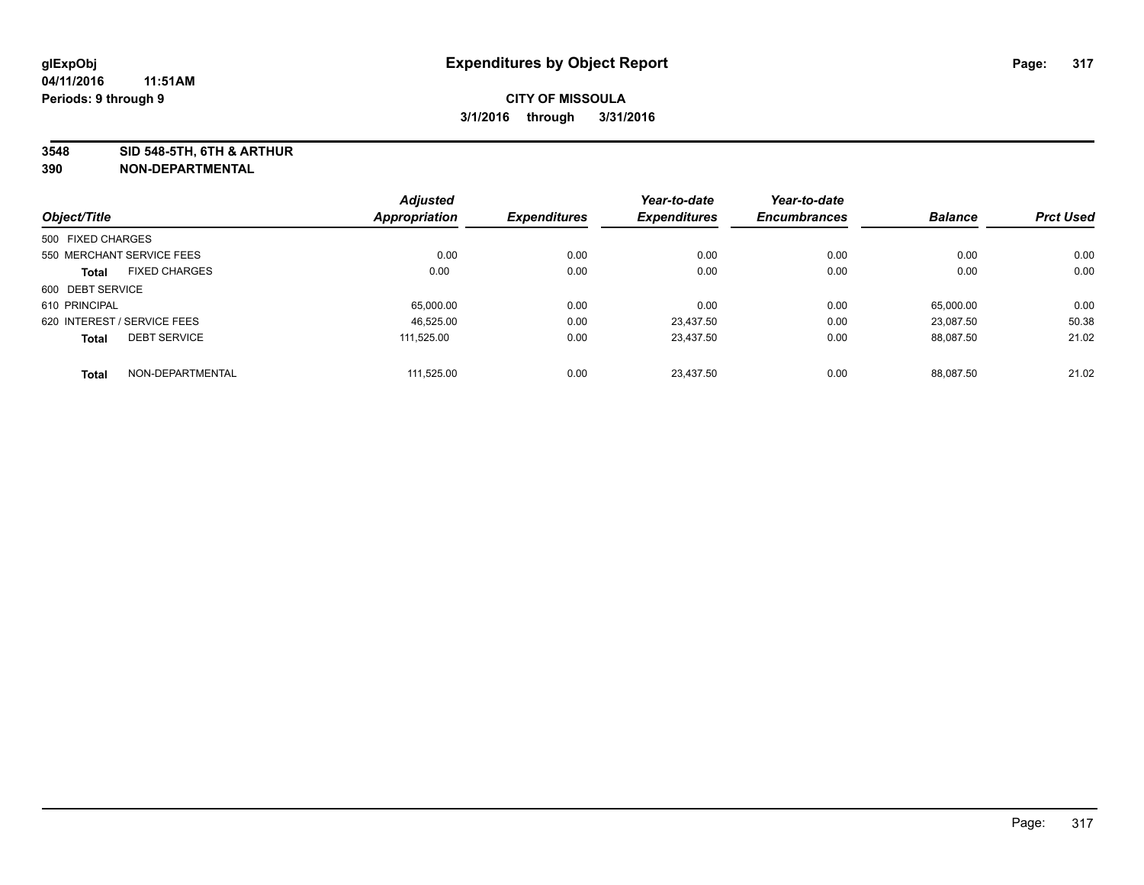**3548 SID 548-5TH, 6TH & ARTHUR**

|                             |                      | <b>Adjusted</b> |                     | Year-to-date        | Year-to-date        |                |                  |
|-----------------------------|----------------------|-----------------|---------------------|---------------------|---------------------|----------------|------------------|
| Object/Title                |                      | Appropriation   | <b>Expenditures</b> | <b>Expenditures</b> | <b>Encumbrances</b> | <b>Balance</b> | <b>Prct Used</b> |
| 500 FIXED CHARGES           |                      |                 |                     |                     |                     |                |                  |
| 550 MERCHANT SERVICE FEES   |                      | 0.00            | 0.00                | 0.00                | 0.00                | 0.00           | 0.00             |
| <b>Total</b>                | <b>FIXED CHARGES</b> | 0.00            | 0.00                | 0.00                | 0.00                | 0.00           | 0.00             |
| 600 DEBT SERVICE            |                      |                 |                     |                     |                     |                |                  |
| 610 PRINCIPAL               |                      | 65,000.00       | 0.00                | 0.00                | 0.00                | 65,000.00      | 0.00             |
| 620 INTEREST / SERVICE FEES |                      | 46.525.00       | 0.00                | 23.437.50           | 0.00                | 23.087.50      | 50.38            |
| <b>Total</b>                | <b>DEBT SERVICE</b>  | 111.525.00      | 0.00                | 23.437.50           | 0.00                | 88.087.50      | 21.02            |
| <b>Total</b>                | NON-DEPARTMENTAL     | 111.525.00      | 0.00                | 23.437.50           | 0.00                | 88.087.50      | 21.02            |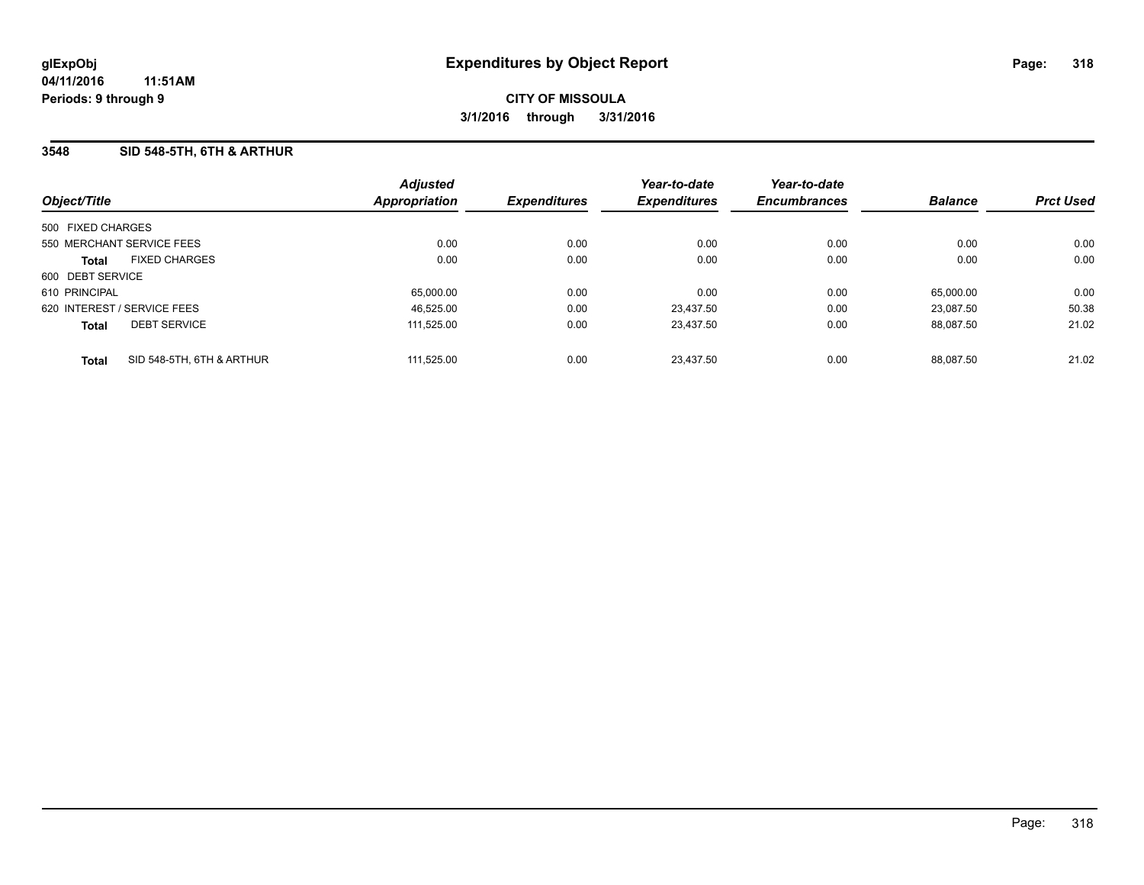### **3548 SID 548-5TH, 6TH & ARTHUR**

|                             |                           | <b>Adjusted</b> |                     | Year-to-date        | Year-to-date        |                |                  |
|-----------------------------|---------------------------|-----------------|---------------------|---------------------|---------------------|----------------|------------------|
| Object/Title                |                           | Appropriation   | <b>Expenditures</b> | <b>Expenditures</b> | <b>Encumbrances</b> | <b>Balance</b> | <b>Prct Used</b> |
| 500 FIXED CHARGES           |                           |                 |                     |                     |                     |                |                  |
| 550 MERCHANT SERVICE FEES   |                           | 0.00            | 0.00                | 0.00                | 0.00                | 0.00           | 0.00             |
| <b>Total</b>                | <b>FIXED CHARGES</b>      | 0.00            | 0.00                | 0.00                | 0.00                | 0.00           | 0.00             |
| 600 DEBT SERVICE            |                           |                 |                     |                     |                     |                |                  |
| 610 PRINCIPAL               |                           | 65,000.00       | 0.00                | 0.00                | 0.00                | 65,000.00      | 0.00             |
| 620 INTEREST / SERVICE FEES |                           | 46,525.00       | 0.00                | 23.437.50           | 0.00                | 23.087.50      | 50.38            |
| <b>Total</b>                | <b>DEBT SERVICE</b>       | 111.525.00      | 0.00                | 23.437.50           | 0.00                | 88.087.50      | 21.02            |
| <b>Total</b>                | SID 548-5TH, 6TH & ARTHUR | 111.525.00      | 0.00                | 23.437.50           | 0.00                | 88.087.50      | 21.02            |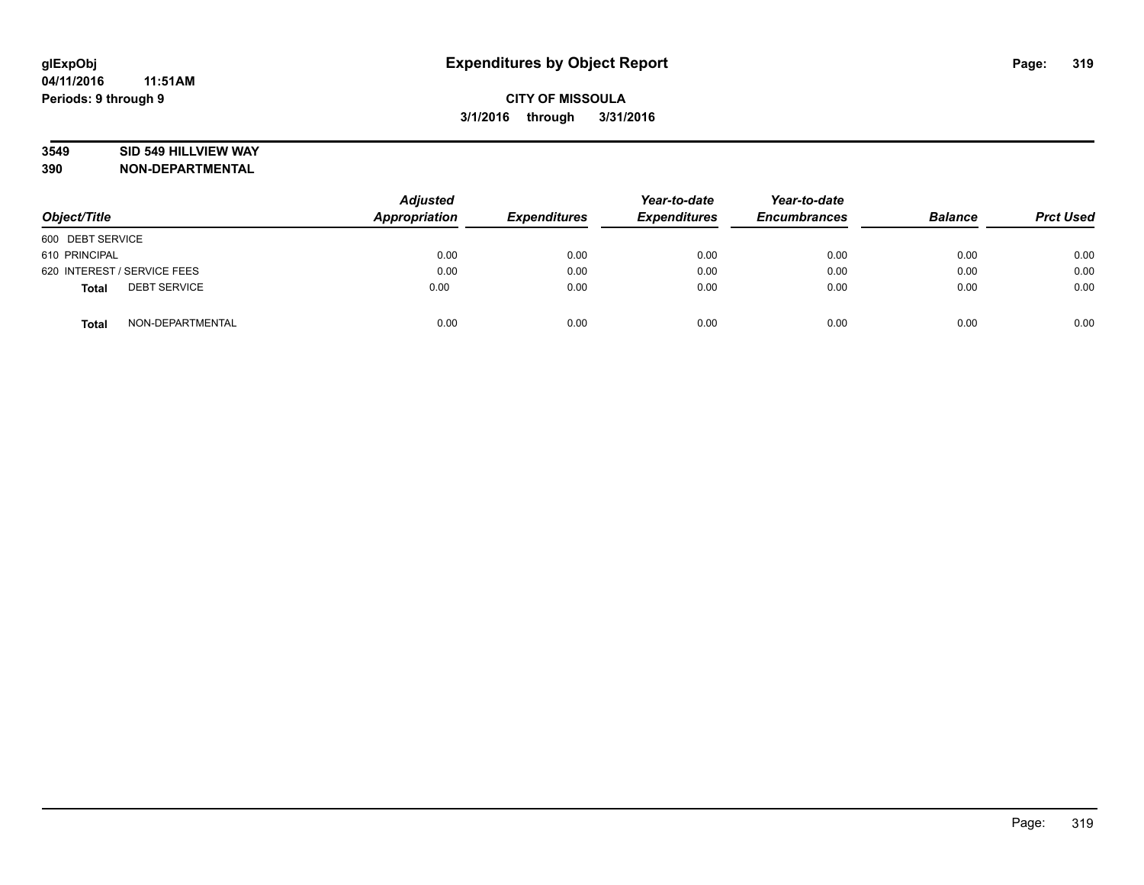## **3549 SID 549 HILLVIEW WAY**

| Object/Title                        | <b>Adjusted</b><br><b>Appropriation</b> | <b>Expenditures</b> | Year-to-date<br><b>Expenditures</b> | Year-to-date<br><b>Encumbrances</b> | <b>Balance</b> | <b>Prct Used</b> |
|-------------------------------------|-----------------------------------------|---------------------|-------------------------------------|-------------------------------------|----------------|------------------|
| 600 DEBT SERVICE                    |                                         |                     |                                     |                                     |                |                  |
| 610 PRINCIPAL                       | 0.00                                    | 0.00                | 0.00                                | 0.00                                | 0.00           | 0.00             |
| 620 INTEREST / SERVICE FEES         | 0.00                                    | 0.00                | 0.00                                | 0.00                                | 0.00           | 0.00             |
| <b>DEBT SERVICE</b><br><b>Total</b> | 0.00                                    | 0.00                | 0.00                                | 0.00                                | 0.00           | 0.00             |
| NON-DEPARTMENTAL<br><b>Total</b>    | 0.00                                    | 0.00                | 0.00                                | 0.00                                | 0.00           | 0.00             |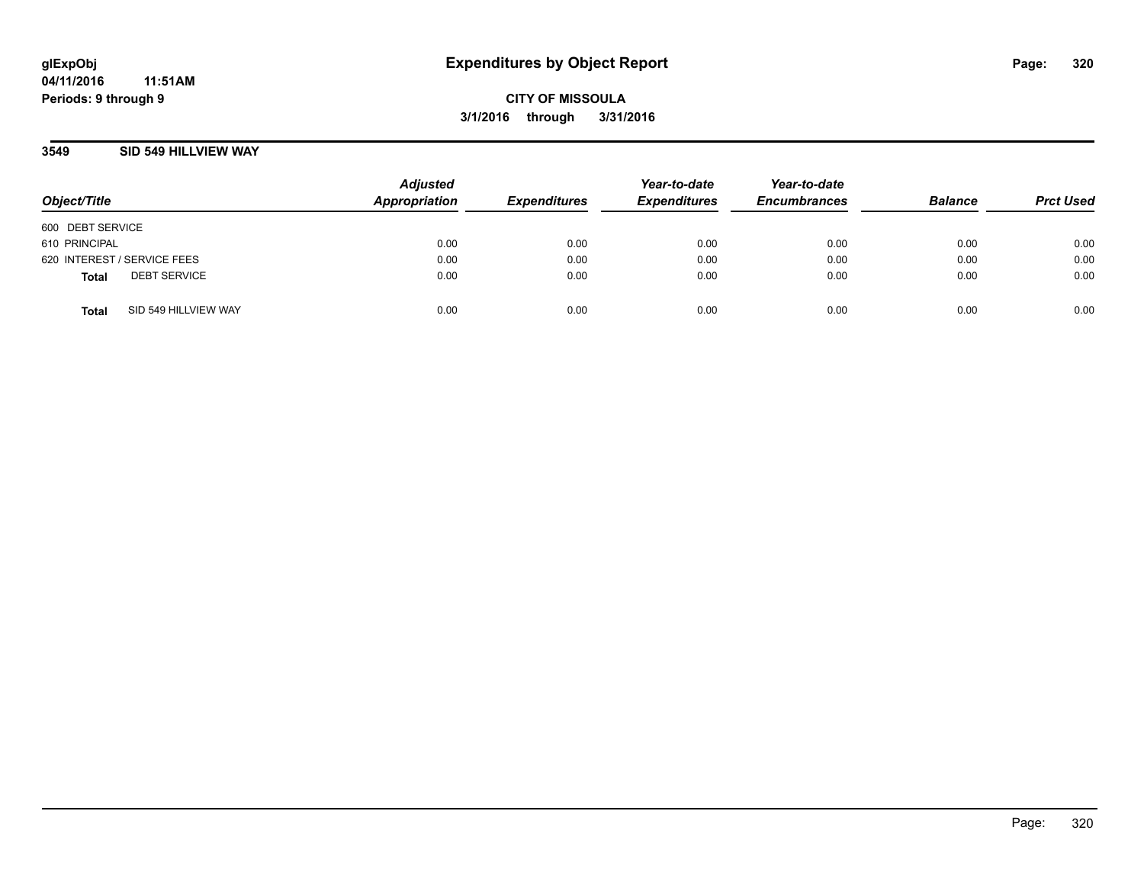### **3549 SID 549 HILLVIEW WAY**

| Object/Title                |                      | <b>Adjusted</b><br>Appropriation | <b>Expenditures</b> | Year-to-date<br><b>Expenditures</b> | Year-to-date<br><b>Encumbrances</b> | <b>Balance</b> | <b>Prct Used</b> |
|-----------------------------|----------------------|----------------------------------|---------------------|-------------------------------------|-------------------------------------|----------------|------------------|
| 600 DEBT SERVICE            |                      |                                  |                     |                                     |                                     |                |                  |
| 610 PRINCIPAL               |                      | 0.00                             | 0.00                | 0.00                                | 0.00                                | 0.00           | 0.00             |
| 620 INTEREST / SERVICE FEES |                      | 0.00                             | 0.00                | 0.00                                | 0.00                                | 0.00           | 0.00             |
| <b>Total</b>                | <b>DEBT SERVICE</b>  | 0.00                             | 0.00                | 0.00                                | 0.00                                | 0.00           | 0.00             |
| <b>Total</b>                | SID 549 HILLVIEW WAY | 0.00                             | 0.00                | 0.00                                | 0.00                                | 0.00           | 0.00             |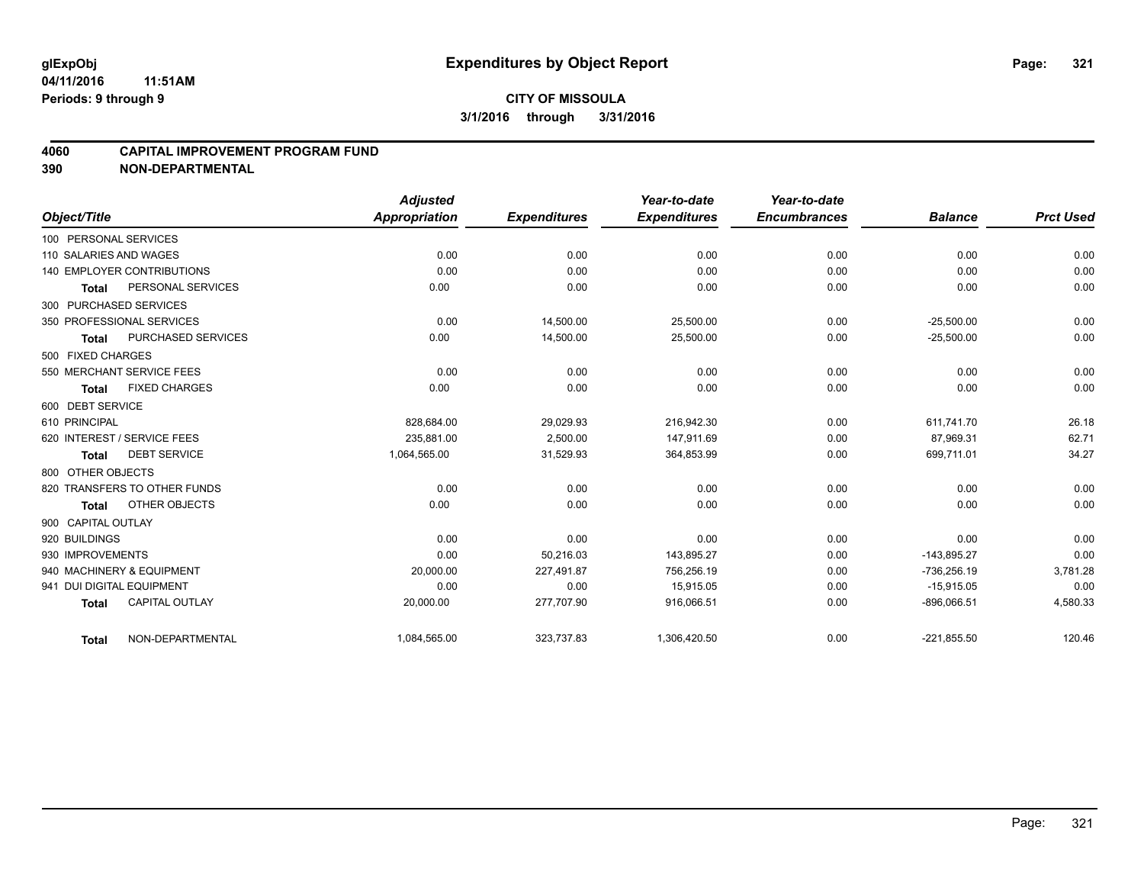#### **4060 CAPITAL IMPROVEMENT PROGRAM FUND**

|                           |                                   | <b>Adjusted</b>      |                     | Year-to-date        | Year-to-date        |                |                  |
|---------------------------|-----------------------------------|----------------------|---------------------|---------------------|---------------------|----------------|------------------|
| Object/Title              |                                   | <b>Appropriation</b> | <b>Expenditures</b> | <b>Expenditures</b> | <b>Encumbrances</b> | <b>Balance</b> | <b>Prct Used</b> |
| 100 PERSONAL SERVICES     |                                   |                      |                     |                     |                     |                |                  |
| 110 SALARIES AND WAGES    |                                   | 0.00                 | 0.00                | 0.00                | 0.00                | 0.00           | 0.00             |
|                           | <b>140 EMPLOYER CONTRIBUTIONS</b> | 0.00                 | 0.00                | 0.00                | 0.00                | 0.00           | 0.00             |
| <b>Total</b>              | PERSONAL SERVICES                 | 0.00                 | 0.00                | 0.00                | 0.00                | 0.00           | 0.00             |
| 300 PURCHASED SERVICES    |                                   |                      |                     |                     |                     |                |                  |
|                           | 350 PROFESSIONAL SERVICES         | 0.00                 | 14,500.00           | 25,500.00           | 0.00                | $-25,500.00$   | 0.00             |
| <b>Total</b>              | PURCHASED SERVICES                | 0.00                 | 14,500.00           | 25,500.00           | 0.00                | $-25,500.00$   | 0.00             |
| 500 FIXED CHARGES         |                                   |                      |                     |                     |                     |                |                  |
|                           | 550 MERCHANT SERVICE FEES         | 0.00                 | 0.00                | 0.00                | 0.00                | 0.00           | 0.00             |
| <b>Total</b>              | <b>FIXED CHARGES</b>              | 0.00                 | 0.00                | 0.00                | 0.00                | 0.00           | 0.00             |
| 600 DEBT SERVICE          |                                   |                      |                     |                     |                     |                |                  |
| 610 PRINCIPAL             |                                   | 828,684.00           | 29,029.93           | 216,942.30          | 0.00                | 611,741.70     | 26.18            |
|                           | 620 INTEREST / SERVICE FEES       | 235.881.00           | 2,500.00            | 147,911.69          | 0.00                | 87,969.31      | 62.71            |
| <b>Total</b>              | <b>DEBT SERVICE</b>               | 1,064,565.00         | 31,529.93           | 364,853.99          | 0.00                | 699,711.01     | 34.27            |
| 800 OTHER OBJECTS         |                                   |                      |                     |                     |                     |                |                  |
|                           | 820 TRANSFERS TO OTHER FUNDS      | 0.00                 | 0.00                | 0.00                | 0.00                | 0.00           | 0.00             |
| <b>Total</b>              | OTHER OBJECTS                     | 0.00                 | 0.00                | 0.00                | 0.00                | 0.00           | 0.00             |
| 900 CAPITAL OUTLAY        |                                   |                      |                     |                     |                     |                |                  |
| 920 BUILDINGS             |                                   | 0.00                 | 0.00                | 0.00                | 0.00                | 0.00           | 0.00             |
| 930 IMPROVEMENTS          |                                   | 0.00                 | 50.216.03           | 143,895.27          | 0.00                | $-143.895.27$  | 0.00             |
|                           | 940 MACHINERY & EQUIPMENT         | 20,000.00            | 227,491.87          | 756,256.19          | 0.00                | -736,256.19    | 3,781.28         |
| 941 DUI DIGITAL EQUIPMENT |                                   | 0.00                 | 0.00                | 15,915.05           | 0.00                | $-15,915.05$   | 0.00             |
| <b>Total</b>              | <b>CAPITAL OUTLAY</b>             | 20,000.00            | 277,707.90          | 916,066.51          | 0.00                | $-896,066.51$  | 4,580.33         |
| <b>Total</b>              | NON-DEPARTMENTAL                  | 1,084,565.00         | 323,737.83          | 1,306,420.50        | 0.00                | $-221,855.50$  | 120.46           |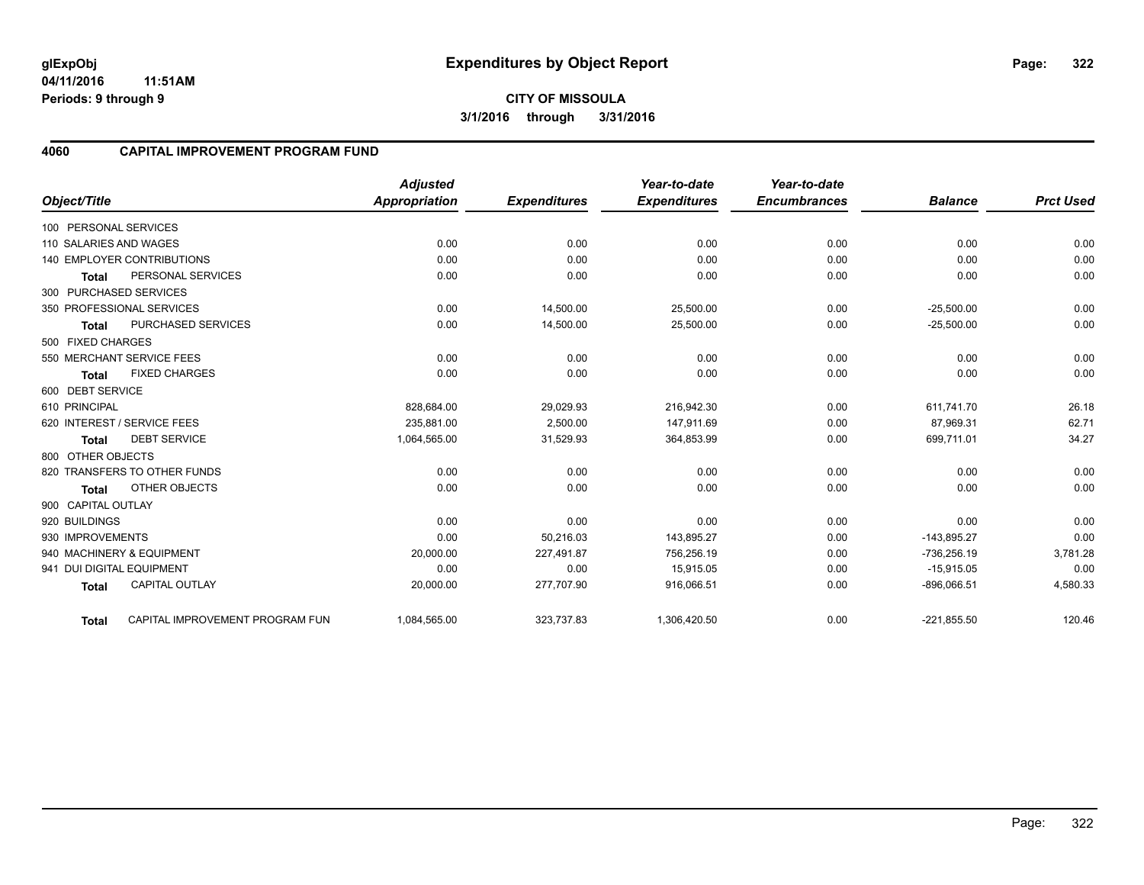**04/11/2016 11:51AM Periods: 9 through 9**

### **4060 CAPITAL IMPROVEMENT PROGRAM FUND**

| Object/Title           |                                   | <b>Adjusted</b><br><b>Appropriation</b> | <b>Expenditures</b> | Year-to-date<br><b>Expenditures</b> | Year-to-date<br><b>Encumbrances</b> | <b>Balance</b> | <b>Prct Used</b> |
|------------------------|-----------------------------------|-----------------------------------------|---------------------|-------------------------------------|-------------------------------------|----------------|------------------|
|                        |                                   |                                         |                     |                                     |                                     |                |                  |
| 100 PERSONAL SERVICES  |                                   |                                         |                     |                                     |                                     |                |                  |
| 110 SALARIES AND WAGES |                                   | 0.00                                    | 0.00                | 0.00                                | 0.00                                | 0.00           | 0.00             |
|                        | <b>140 EMPLOYER CONTRIBUTIONS</b> | 0.00                                    | 0.00                | 0.00                                | 0.00                                | 0.00           | 0.00             |
| <b>Total</b>           | PERSONAL SERVICES                 | 0.00                                    | 0.00                | 0.00                                | 0.00                                | 0.00           | 0.00             |
| 300 PURCHASED SERVICES |                                   |                                         |                     |                                     |                                     |                |                  |
|                        | 350 PROFESSIONAL SERVICES         | 0.00                                    | 14,500.00           | 25,500.00                           | 0.00                                | $-25,500.00$   | 0.00             |
| <b>Total</b>           | PURCHASED SERVICES                | 0.00                                    | 14,500.00           | 25,500.00                           | 0.00                                | $-25,500.00$   | 0.00             |
| 500 FIXED CHARGES      |                                   |                                         |                     |                                     |                                     |                |                  |
|                        | 550 MERCHANT SERVICE FEES         | 0.00                                    | 0.00                | 0.00                                | 0.00                                | 0.00           | 0.00             |
| <b>Total</b>           | <b>FIXED CHARGES</b>              | 0.00                                    | 0.00                | 0.00                                | 0.00                                | 0.00           | 0.00             |
| 600 DEBT SERVICE       |                                   |                                         |                     |                                     |                                     |                |                  |
| 610 PRINCIPAL          |                                   | 828,684.00                              | 29,029.93           | 216,942.30                          | 0.00                                | 611,741.70     | 26.18            |
|                        | 620 INTEREST / SERVICE FEES       | 235,881.00                              | 2,500.00            | 147,911.69                          | 0.00                                | 87,969.31      | 62.71            |
| <b>Total</b>           | <b>DEBT SERVICE</b>               | 1.064.565.00                            | 31,529.93           | 364,853.99                          | 0.00                                | 699,711.01     | 34.27            |
| 800 OTHER OBJECTS      |                                   |                                         |                     |                                     |                                     |                |                  |
|                        | 820 TRANSFERS TO OTHER FUNDS      | 0.00                                    | 0.00                | 0.00                                | 0.00                                | 0.00           | 0.00             |
| <b>Total</b>           | <b>OTHER OBJECTS</b>              | 0.00                                    | 0.00                | 0.00                                | 0.00                                | 0.00           | 0.00             |
| 900 CAPITAL OUTLAY     |                                   |                                         |                     |                                     |                                     |                |                  |
| 920 BUILDINGS          |                                   | 0.00                                    | 0.00                | 0.00                                | 0.00                                | 0.00           | 0.00             |
| 930 IMPROVEMENTS       |                                   | 0.00                                    | 50,216.03           | 143,895.27                          | 0.00                                | $-143,895.27$  | 0.00             |
|                        | 940 MACHINERY & EQUIPMENT         | 20,000.00                               | 227,491.87          | 756,256.19                          | 0.00                                | -736,256.19    | 3,781.28         |
|                        | 941 DUI DIGITAL EQUIPMENT         | 0.00                                    | 0.00                | 15,915.05                           | 0.00                                | $-15,915.05$   | 0.00             |
| <b>Total</b>           | <b>CAPITAL OUTLAY</b>             | 20,000.00                               | 277,707.90          | 916,066.51                          | 0.00                                | $-896,066.51$  | 4,580.33         |
| <b>Total</b>           | CAPITAL IMPROVEMENT PROGRAM FUN   | 1,084,565.00                            | 323,737.83          | 1,306,420.50                        | 0.00                                | $-221,855.50$  | 120.46           |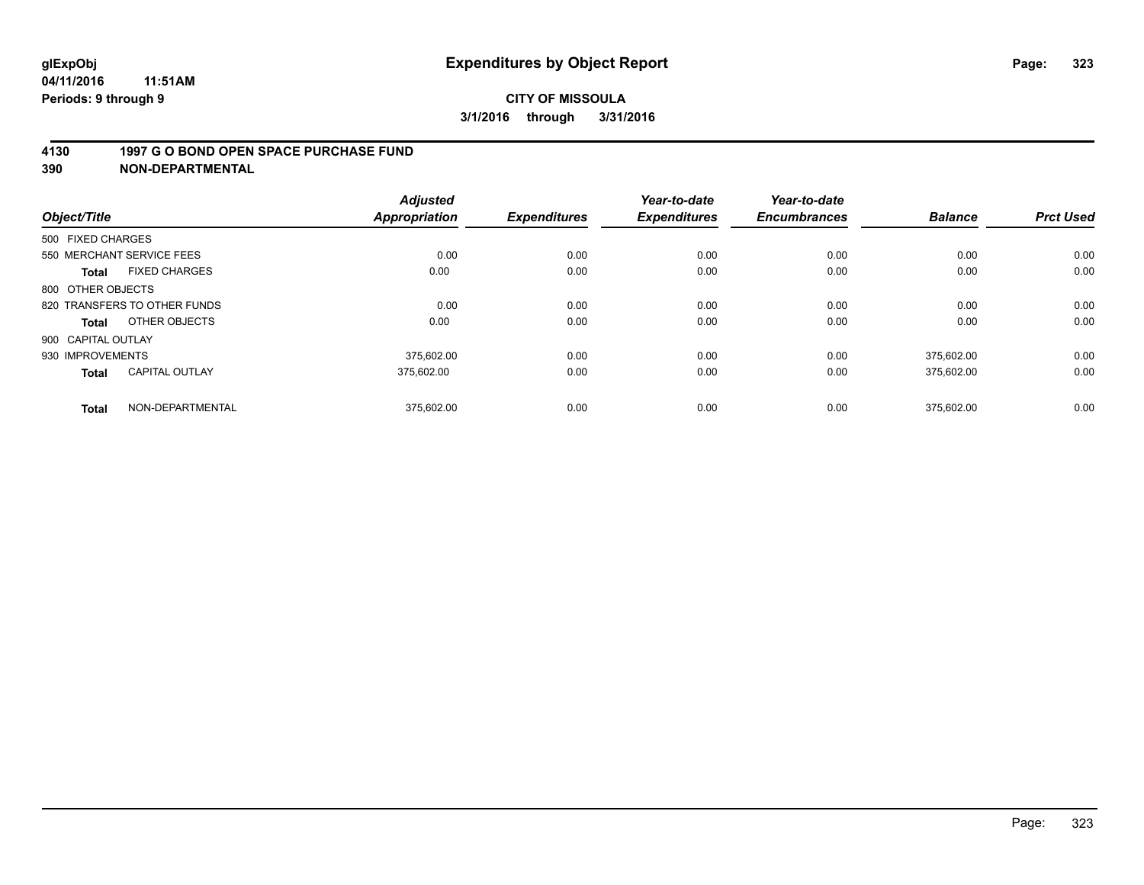#### **4130 1997 G O BOND OPEN SPACE PURCHASE FUND**

| Object/Title                          | <b>Adjusted</b><br><b>Appropriation</b> | <b>Expenditures</b> | Year-to-date<br><b>Expenditures</b> | Year-to-date<br><b>Encumbrances</b> | <b>Balance</b> | <b>Prct Used</b> |
|---------------------------------------|-----------------------------------------|---------------------|-------------------------------------|-------------------------------------|----------------|------------------|
| 500 FIXED CHARGES                     |                                         |                     |                                     |                                     |                |                  |
| 550 MERCHANT SERVICE FEES             |                                         | 0.00<br>0.00        | 0.00                                | 0.00                                | 0.00           | 0.00             |
| <b>FIXED CHARGES</b><br><b>Total</b>  | 0.00                                    | 0.00                | 0.00                                | 0.00                                | 0.00           | 0.00             |
| 800 OTHER OBJECTS                     |                                         |                     |                                     |                                     |                |                  |
| 820 TRANSFERS TO OTHER FUNDS          |                                         | 0.00<br>0.00        | 0.00                                | 0.00                                | 0.00           | 0.00             |
| OTHER OBJECTS<br>Total                | 0.00                                    | 0.00                | 0.00                                | 0.00                                | 0.00           | 0.00             |
| 900 CAPITAL OUTLAY                    |                                         |                     |                                     |                                     |                |                  |
| 930 IMPROVEMENTS                      | 375.602.00                              | 0.00                | 0.00                                | 0.00                                | 375.602.00     | 0.00             |
| <b>CAPITAL OUTLAY</b><br><b>Total</b> | 375.602.00                              | 0.00                | 0.00                                | 0.00                                | 375,602.00     | 0.00             |
| NON-DEPARTMENTAL<br><b>Total</b>      | 375,602.00                              | 0.00                | 0.00                                | 0.00                                | 375.602.00     | 0.00             |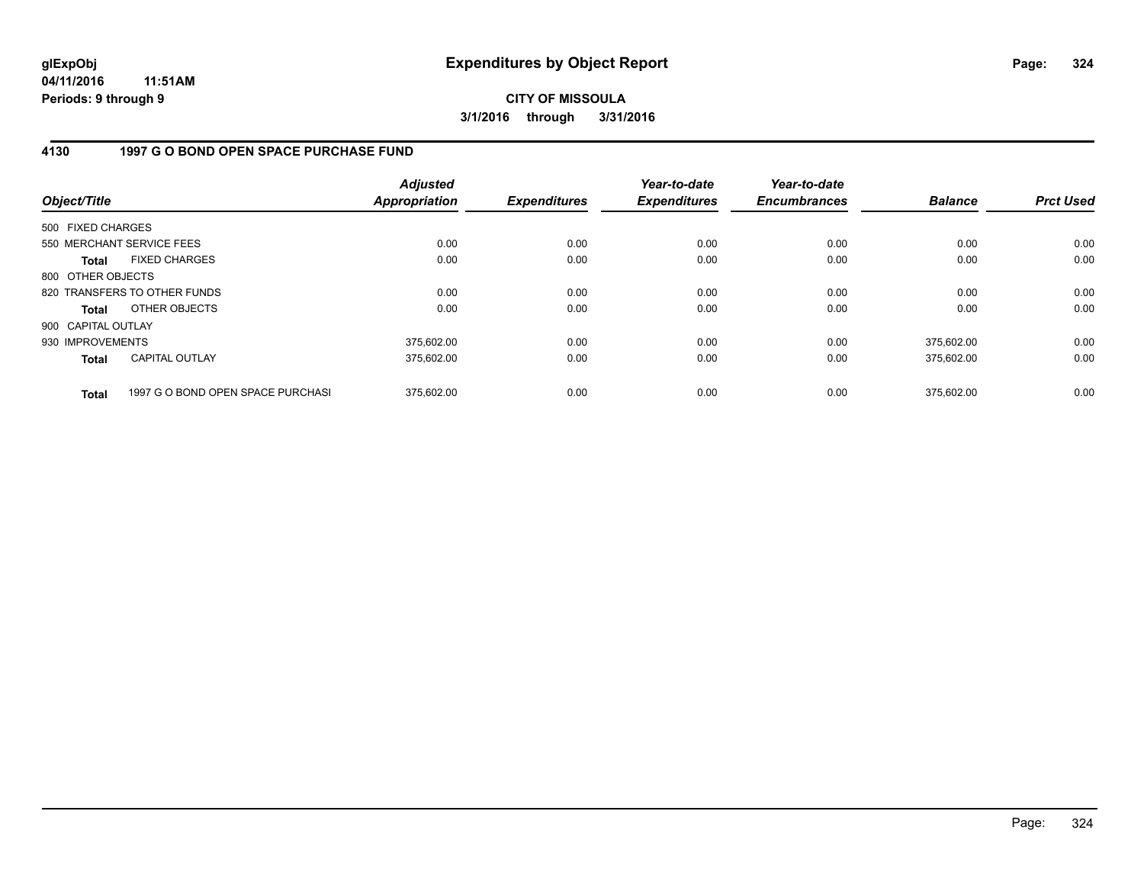**04/11/2016 11:51AM Periods: 9 through 9**

## **CITY OF MISSOULA 3/1/2016 through 3/31/2016**

## **4130 1997 G O BOND OPEN SPACE PURCHASE FUND**

| Object/Title       |                                   | <b>Adjusted</b><br><b>Appropriation</b> | <b>Expenditures</b> | Year-to-date<br><b>Expenditures</b> | Year-to-date<br><b>Encumbrances</b> | <b>Balance</b> | <b>Prct Used</b> |
|--------------------|-----------------------------------|-----------------------------------------|---------------------|-------------------------------------|-------------------------------------|----------------|------------------|
| 500 FIXED CHARGES  |                                   |                                         |                     |                                     |                                     |                |                  |
|                    | 550 MERCHANT SERVICE FEES         | 0.00                                    | 0.00                | 0.00                                | 0.00                                | 0.00           | 0.00             |
| <b>Total</b>       | <b>FIXED CHARGES</b>              | 0.00                                    | 0.00                | 0.00                                | 0.00                                | 0.00           | 0.00             |
| 800 OTHER OBJECTS  |                                   |                                         |                     |                                     |                                     |                |                  |
|                    | 820 TRANSFERS TO OTHER FUNDS      | 0.00                                    | 0.00                | 0.00                                | 0.00                                | 0.00           | 0.00             |
| Total              | OTHER OBJECTS                     | 0.00                                    | 0.00                | 0.00                                | 0.00                                | 0.00           | 0.00             |
| 900 CAPITAL OUTLAY |                                   |                                         |                     |                                     |                                     |                |                  |
| 930 IMPROVEMENTS   |                                   | 375,602.00                              | 0.00                | 0.00                                | 0.00                                | 375.602.00     | 0.00             |
| <b>Total</b>       | <b>CAPITAL OUTLAY</b>             | 375.602.00                              | 0.00                | 0.00                                | 0.00                                | 375,602.00     | 0.00             |
| <b>Total</b>       | 1997 G O BOND OPEN SPACE PURCHASI | 375.602.00                              | 0.00                | 0.00                                | 0.00                                | 375.602.00     | 0.00             |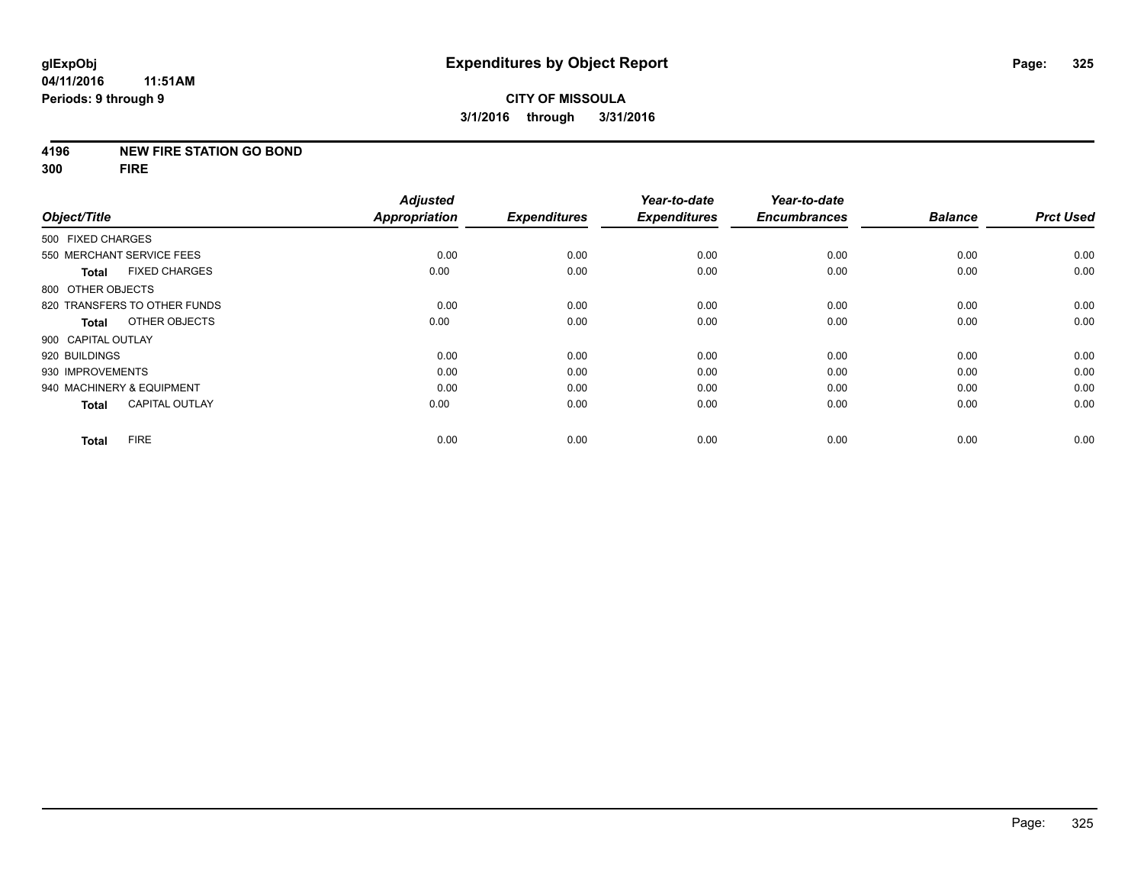#### **4196 NEW FIRE STATION GO BOND**

**300 FIRE**

|                           |                              | <b>Adjusted</b>      |                     | Year-to-date        | Year-to-date        |                |                  |
|---------------------------|------------------------------|----------------------|---------------------|---------------------|---------------------|----------------|------------------|
| Object/Title              |                              | <b>Appropriation</b> | <b>Expenditures</b> | <b>Expenditures</b> | <b>Encumbrances</b> | <b>Balance</b> | <b>Prct Used</b> |
| 500 FIXED CHARGES         |                              |                      |                     |                     |                     |                |                  |
| 550 MERCHANT SERVICE FEES |                              | 0.00                 | 0.00                | 0.00                | 0.00                | 0.00           | 0.00             |
| <b>Total</b>              | <b>FIXED CHARGES</b>         | 0.00                 | 0.00                | 0.00                | 0.00                | 0.00           | 0.00             |
| 800 OTHER OBJECTS         |                              |                      |                     |                     |                     |                |                  |
|                           | 820 TRANSFERS TO OTHER FUNDS | 0.00                 | 0.00                | 0.00                | 0.00                | 0.00           | 0.00             |
| Total                     | OTHER OBJECTS                | 0.00                 | 0.00                | 0.00                | 0.00                | 0.00           | 0.00             |
| 900 CAPITAL OUTLAY        |                              |                      |                     |                     |                     |                |                  |
| 920 BUILDINGS             |                              | 0.00                 | 0.00                | 0.00                | 0.00                | 0.00           | 0.00             |
| 930 IMPROVEMENTS          |                              | 0.00                 | 0.00                | 0.00                | 0.00                | 0.00           | 0.00             |
| 940 MACHINERY & EQUIPMENT |                              | 0.00                 | 0.00                | 0.00                | 0.00                | 0.00           | 0.00             |
| <b>Total</b>              | <b>CAPITAL OUTLAY</b>        | 0.00                 | 0.00                | 0.00                | 0.00                | 0.00           | 0.00             |
| <b>Total</b>              | <b>FIRE</b>                  | 0.00                 | 0.00                | 0.00                | 0.00                | 0.00           | 0.00             |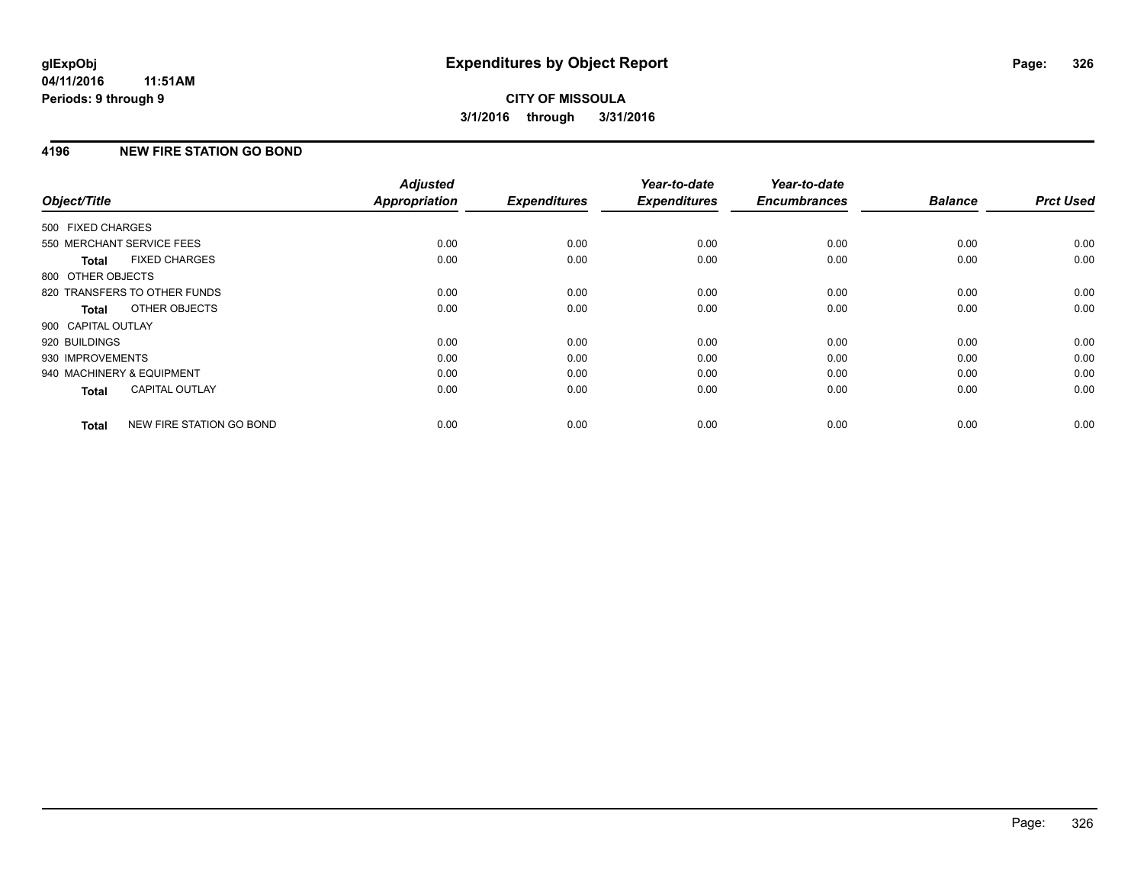### **4196 NEW FIRE STATION GO BOND**

| Object/Title              |                              | <b>Adjusted</b><br><b>Appropriation</b> | <b>Expenditures</b> | Year-to-date<br><b>Expenditures</b> | Year-to-date<br><b>Encumbrances</b> | <b>Balance</b> | <b>Prct Used</b> |
|---------------------------|------------------------------|-----------------------------------------|---------------------|-------------------------------------|-------------------------------------|----------------|------------------|
|                           |                              |                                         |                     |                                     |                                     |                |                  |
| 500 FIXED CHARGES         |                              |                                         |                     |                                     |                                     |                |                  |
| 550 MERCHANT SERVICE FEES |                              | 0.00                                    | 0.00                | 0.00                                | 0.00                                | 0.00           | 0.00             |
| Total                     | <b>FIXED CHARGES</b>         | 0.00                                    | 0.00                | 0.00                                | 0.00                                | 0.00           | 0.00             |
| 800 OTHER OBJECTS         |                              |                                         |                     |                                     |                                     |                |                  |
|                           | 820 TRANSFERS TO OTHER FUNDS | 0.00                                    | 0.00                | 0.00                                | 0.00                                | 0.00           | 0.00             |
| Total                     | OTHER OBJECTS                | 0.00                                    | 0.00                | 0.00                                | 0.00                                | 0.00           | 0.00             |
| 900 CAPITAL OUTLAY        |                              |                                         |                     |                                     |                                     |                |                  |
| 920 BUILDINGS             |                              | 0.00                                    | 0.00                | 0.00                                | 0.00                                | 0.00           | 0.00             |
| 930 IMPROVEMENTS          |                              | 0.00                                    | 0.00                | 0.00                                | 0.00                                | 0.00           | 0.00             |
| 940 MACHINERY & EQUIPMENT |                              | 0.00                                    | 0.00                | 0.00                                | 0.00                                | 0.00           | 0.00             |
| <b>Total</b>              | <b>CAPITAL OUTLAY</b>        | 0.00                                    | 0.00                | 0.00                                | 0.00                                | 0.00           | 0.00             |
| <b>Total</b>              | NEW FIRE STATION GO BOND     | 0.00                                    | 0.00                | 0.00                                | 0.00                                | 0.00           | 0.00             |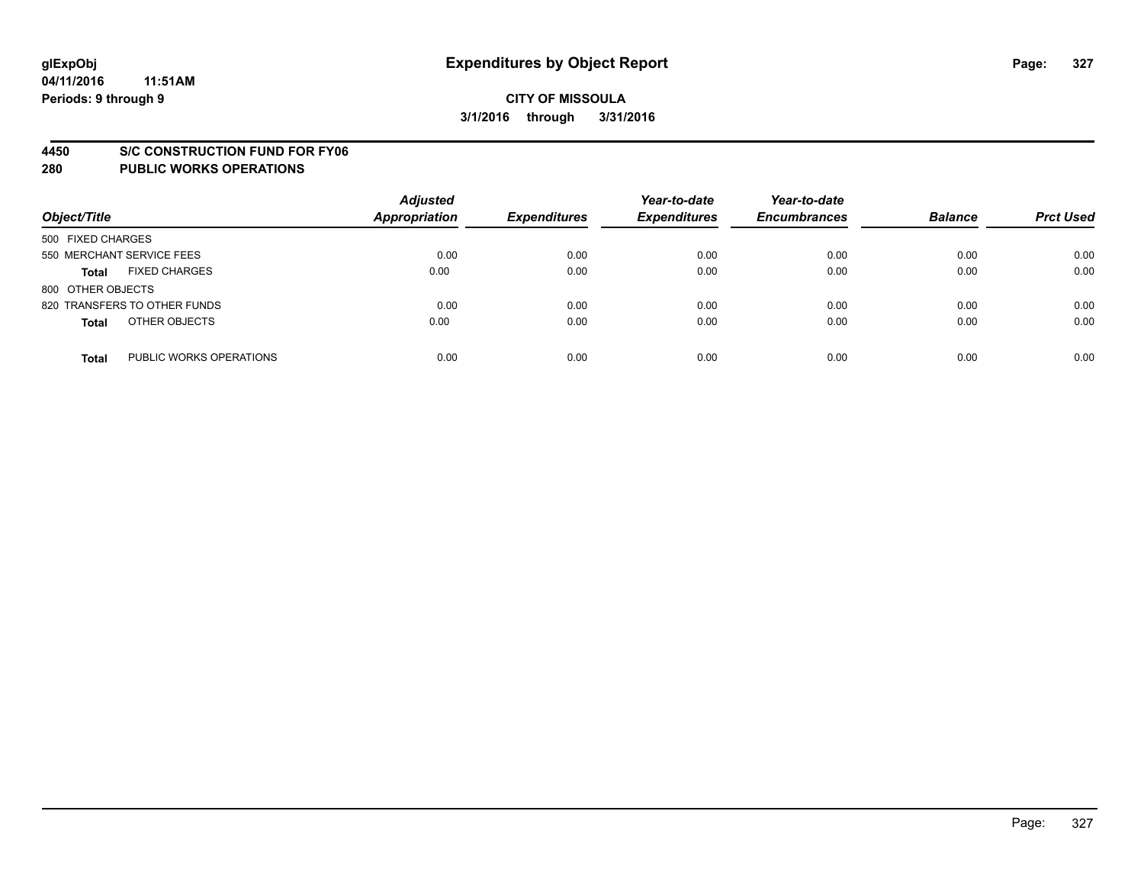#### **4450 S/C CONSTRUCTION FUND FOR FY06**

| Object/Title                            | <b>Adjusted</b><br><b>Appropriation</b> | <b>Expenditures</b> | Year-to-date<br><b>Expenditures</b> | Year-to-date<br><b>Encumbrances</b> | <b>Balance</b> | <b>Prct Used</b> |
|-----------------------------------------|-----------------------------------------|---------------------|-------------------------------------|-------------------------------------|----------------|------------------|
| 500 FIXED CHARGES                       |                                         |                     |                                     |                                     |                |                  |
| 550 MERCHANT SERVICE FEES               | 0.00                                    | 0.00                | 0.00                                | 0.00                                | 0.00           | 0.00             |
| <b>FIXED CHARGES</b><br><b>Total</b>    | 0.00                                    | 0.00                | 0.00                                | 0.00                                | 0.00           | 0.00             |
| 800 OTHER OBJECTS                       |                                         |                     |                                     |                                     |                |                  |
| 820 TRANSFERS TO OTHER FUNDS            | 0.00                                    | 0.00                | 0.00                                | 0.00                                | 0.00           | 0.00             |
| OTHER OBJECTS<br><b>Total</b>           | 0.00                                    | 0.00                | 0.00                                | 0.00                                | 0.00           | 0.00             |
| PUBLIC WORKS OPERATIONS<br><b>Total</b> | 0.00                                    | 0.00                | 0.00                                | 0.00                                | 0.00           | 0.00             |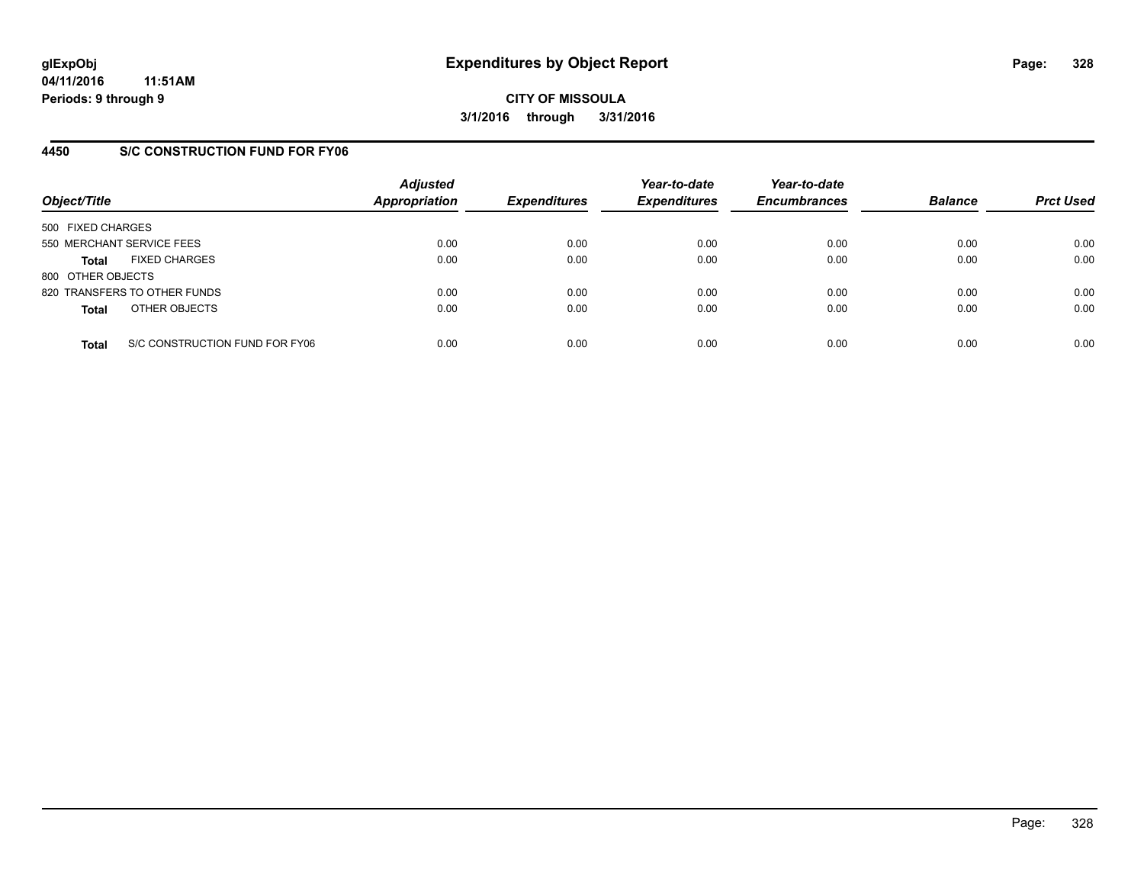### **4450 S/C CONSTRUCTION FUND FOR FY06**

| Object/Title                         |                                | <b>Adjusted</b><br><b>Appropriation</b> | <b>Expenditures</b> | Year-to-date<br><b>Expenditures</b> | Year-to-date<br><b>Encumbrances</b> | <b>Balance</b> | <b>Prct Used</b> |
|--------------------------------------|--------------------------------|-----------------------------------------|---------------------|-------------------------------------|-------------------------------------|----------------|------------------|
| 500 FIXED CHARGES                    |                                |                                         |                     |                                     |                                     |                |                  |
| 550 MERCHANT SERVICE FEES            |                                | 0.00                                    | 0.00                | 0.00                                | 0.00                                | 0.00           | 0.00             |
| <b>FIXED CHARGES</b><br><b>Total</b> |                                | 0.00                                    | 0.00                | 0.00                                | 0.00                                | 0.00           | 0.00             |
| 800 OTHER OBJECTS                    |                                |                                         |                     |                                     |                                     |                |                  |
| 820 TRANSFERS TO OTHER FUNDS         |                                | 0.00                                    | 0.00                | 0.00                                | 0.00                                | 0.00           | 0.00             |
| OTHER OBJECTS<br><b>Total</b>        |                                | 0.00                                    | 0.00                | 0.00                                | 0.00                                | 0.00           | 0.00             |
| <b>Total</b>                         | S/C CONSTRUCTION FUND FOR FY06 | 0.00                                    | 0.00                | 0.00                                | 0.00                                | 0.00           | 0.00             |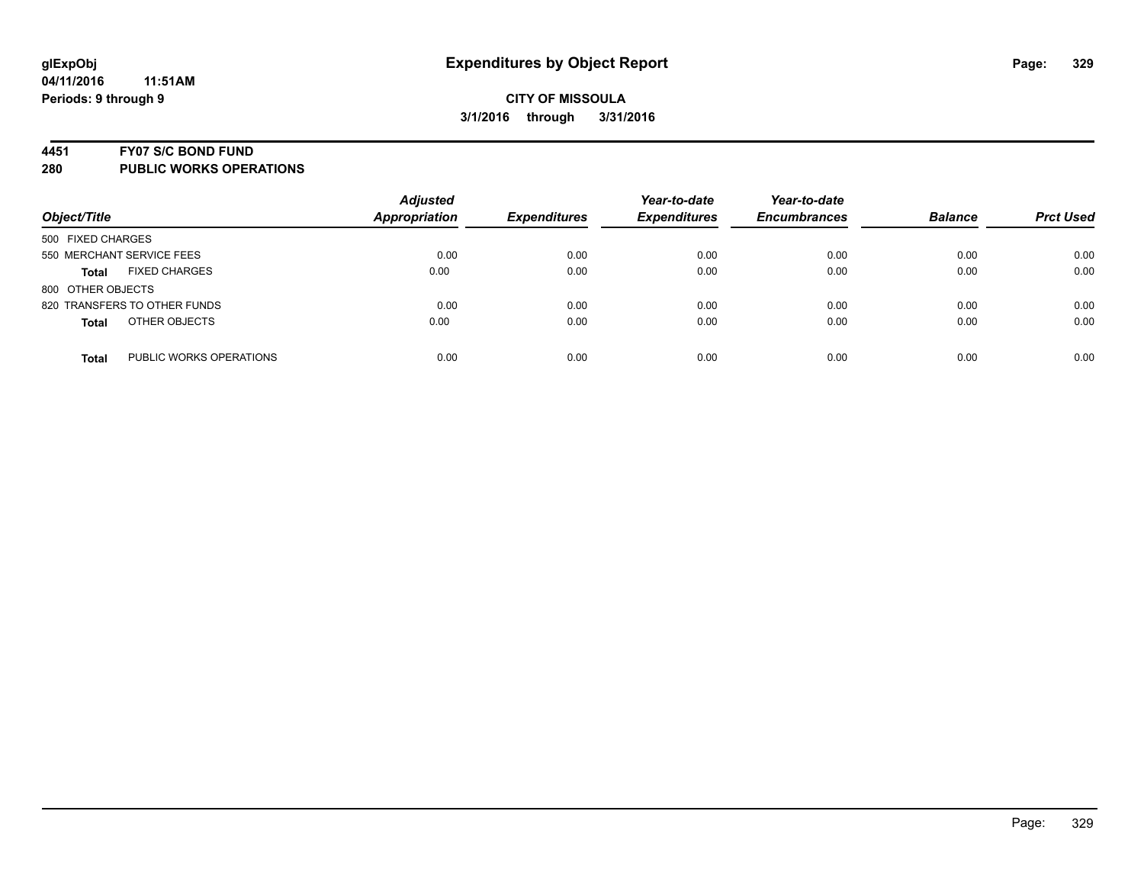#### **4451 FY07 S/C BOND FUND**

| Object/Title                            | <b>Adjusted</b><br><b>Appropriation</b> | <b>Expenditures</b> | Year-to-date<br><b>Expenditures</b> | Year-to-date<br><b>Encumbrances</b> | <b>Balance</b> | <b>Prct Used</b> |
|-----------------------------------------|-----------------------------------------|---------------------|-------------------------------------|-------------------------------------|----------------|------------------|
| 500 FIXED CHARGES                       |                                         |                     |                                     |                                     |                |                  |
| 550 MERCHANT SERVICE FEES               | 0.00                                    | 0.00                | 0.00                                | 0.00                                | 0.00           | 0.00             |
| <b>FIXED CHARGES</b><br><b>Total</b>    | 0.00                                    | 0.00                | 0.00                                | 0.00                                | 0.00           | 0.00             |
| 800 OTHER OBJECTS                       |                                         |                     |                                     |                                     |                |                  |
| 820 TRANSFERS TO OTHER FUNDS            | 0.00                                    | 0.00                | 0.00                                | 0.00                                | 0.00           | 0.00             |
| OTHER OBJECTS<br><b>Total</b>           | 0.00                                    | 0.00                | 0.00                                | 0.00                                | 0.00           | 0.00             |
| PUBLIC WORKS OPERATIONS<br><b>Total</b> | 0.00                                    | 0.00                | 0.00                                | 0.00                                | 0.00           | 0.00             |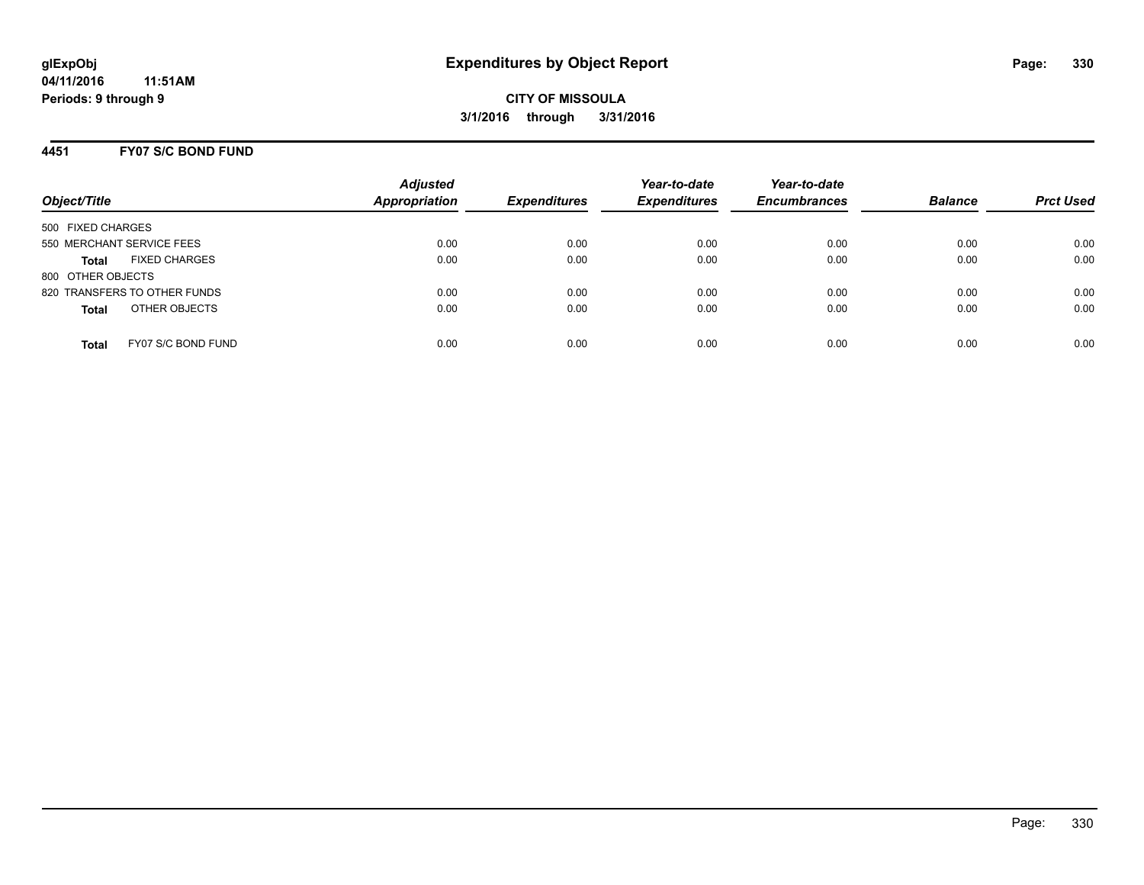### **4451 FY07 S/C BOND FUND**

| Object/Title                         | <b>Adjusted</b><br><b>Appropriation</b> | <b>Expenditures</b> | Year-to-date<br><b>Expenditures</b> | Year-to-date<br><b>Encumbrances</b> | <b>Balance</b> | <b>Prct Used</b> |
|--------------------------------------|-----------------------------------------|---------------------|-------------------------------------|-------------------------------------|----------------|------------------|
|                                      |                                         |                     |                                     |                                     |                |                  |
| 500 FIXED CHARGES                    |                                         |                     |                                     |                                     |                |                  |
| 550 MERCHANT SERVICE FEES            | 0.00                                    | 0.00                | 0.00                                | 0.00                                | 0.00           | 0.00             |
| <b>FIXED CHARGES</b><br><b>Total</b> | 0.00                                    | 0.00                | 0.00                                | 0.00                                | 0.00           | 0.00             |
| 800 OTHER OBJECTS                    |                                         |                     |                                     |                                     |                |                  |
| 820 TRANSFERS TO OTHER FUNDS         | 0.00                                    | 0.00                | 0.00                                | 0.00                                | 0.00           | 0.00             |
| OTHER OBJECTS<br><b>Total</b>        | 0.00                                    | 0.00                | 0.00                                | 0.00                                | 0.00           | 0.00             |
|                                      |                                         |                     |                                     |                                     |                |                  |
| FY07 S/C BOND FUND<br><b>Total</b>   | 0.00                                    | 0.00                | 0.00                                | 0.00                                | 0.00           | 0.00             |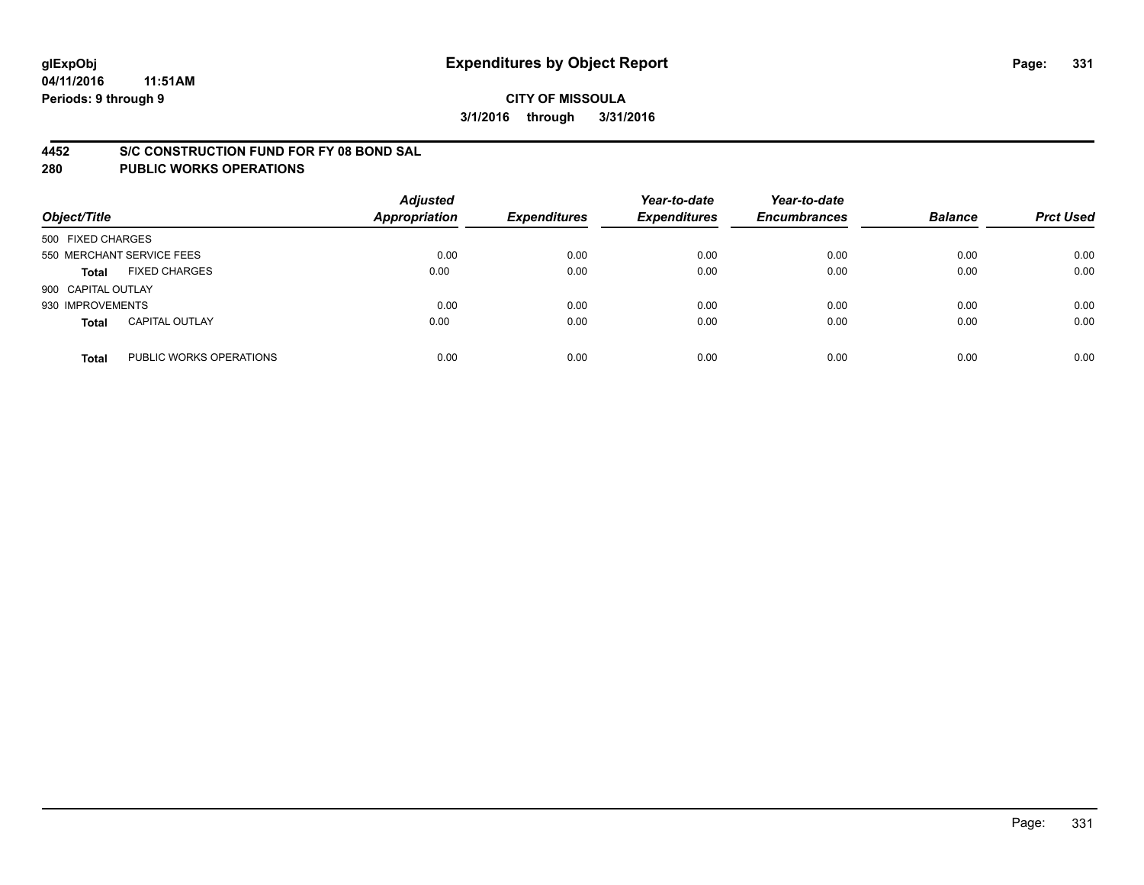#### **4452 S/C CONSTRUCTION FUND FOR FY 08 BOND SAL**

| Object/Title       |                           | <b>Adjusted</b><br><b>Appropriation</b> | <b>Expenditures</b> | Year-to-date<br><b>Expenditures</b> | Year-to-date<br><b>Encumbrances</b> | <b>Balance</b> | <b>Prct Used</b> |
|--------------------|---------------------------|-----------------------------------------|---------------------|-------------------------------------|-------------------------------------|----------------|------------------|
| 500 FIXED CHARGES  |                           |                                         |                     |                                     |                                     |                |                  |
|                    | 550 MERCHANT SERVICE FEES | 0.00                                    | 0.00                | 0.00                                | 0.00                                | 0.00           | 0.00             |
| <b>Total</b>       | <b>FIXED CHARGES</b>      | 0.00                                    | 0.00                | 0.00                                | 0.00                                | 0.00           | 0.00             |
| 900 CAPITAL OUTLAY |                           |                                         |                     |                                     |                                     |                |                  |
| 930 IMPROVEMENTS   |                           | 0.00                                    | 0.00                | 0.00                                | 0.00                                | 0.00           | 0.00             |
| <b>Total</b>       | <b>CAPITAL OUTLAY</b>     | 0.00                                    | 0.00                | 0.00                                | 0.00                                | 0.00           | 0.00             |
| <b>Total</b>       | PUBLIC WORKS OPERATIONS   | 0.00                                    | 0.00                | 0.00                                | 0.00                                | 0.00           | 0.00             |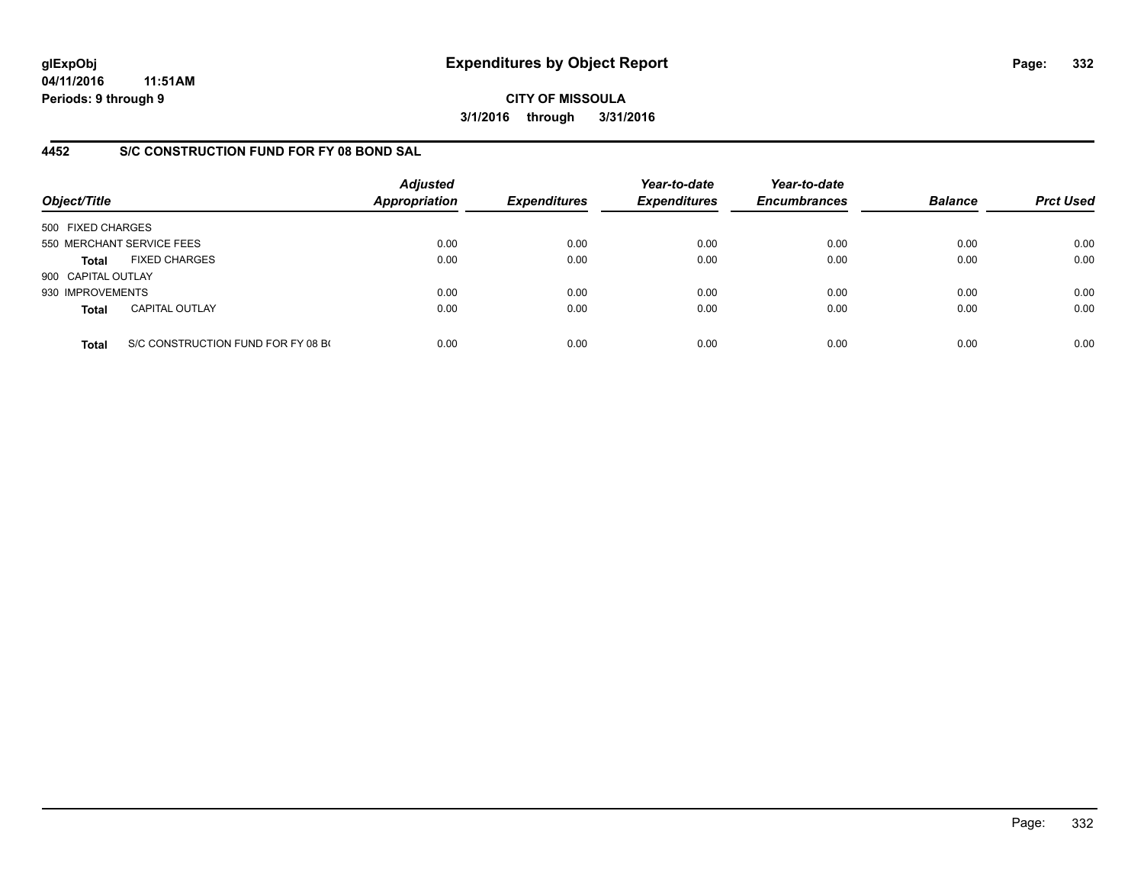**04/11/2016 11:51AM Periods: 9 through 9**

**CITY OF MISSOULA 3/1/2016 through 3/31/2016**

### **4452 S/C CONSTRUCTION FUND FOR FY 08 BOND SAL**

| Object/Title       |                                    | <b>Adjusted</b><br>Appropriation | <b>Expenditures</b> | Year-to-date<br><b>Expenditures</b> | Year-to-date<br><b>Encumbrances</b> | <b>Balance</b> | <b>Prct Used</b> |
|--------------------|------------------------------------|----------------------------------|---------------------|-------------------------------------|-------------------------------------|----------------|------------------|
| 500 FIXED CHARGES  |                                    |                                  |                     |                                     |                                     |                |                  |
|                    | 550 MERCHANT SERVICE FEES          | 0.00                             | 0.00                | 0.00                                | 0.00                                | 0.00           | 0.00             |
| Total              | <b>FIXED CHARGES</b>               | 0.00                             | 0.00                | 0.00                                | 0.00                                | 0.00           | 0.00             |
| 900 CAPITAL OUTLAY |                                    |                                  |                     |                                     |                                     |                |                  |
| 930 IMPROVEMENTS   |                                    | 0.00                             | 0.00                | 0.00                                | 0.00                                | 0.00           | 0.00             |
| <b>Total</b>       | <b>CAPITAL OUTLAY</b>              | 0.00                             | 0.00                | 0.00                                | 0.00                                | 0.00           | 0.00             |
| <b>Total</b>       | S/C CONSTRUCTION FUND FOR FY 08 BO | 0.00                             | 0.00                | 0.00                                | 0.00                                | 0.00           | 0.00             |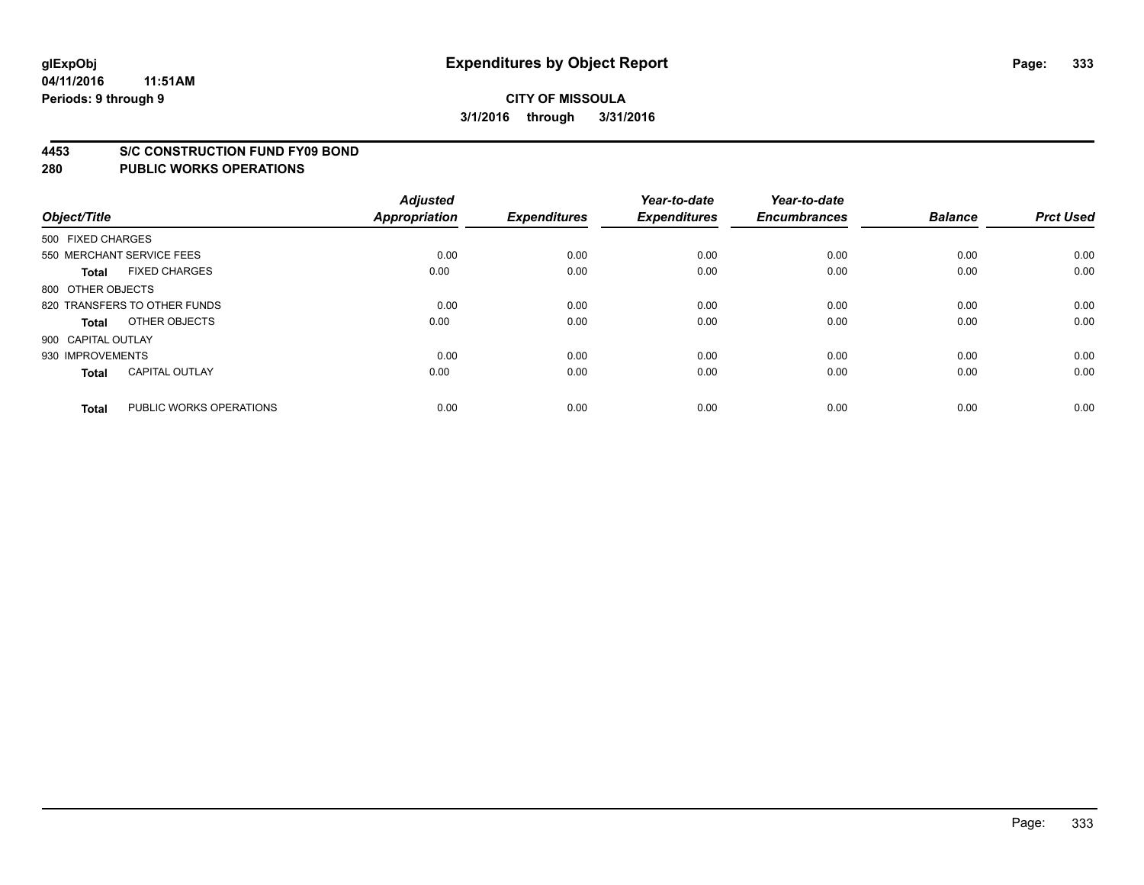#### **4453 S/C CONSTRUCTION FUND FY09 BOND**

| Object/Title       |                              | <b>Adjusted</b><br><b>Appropriation</b> | <b>Expenditures</b> | Year-to-date<br><b>Expenditures</b> | Year-to-date<br><b>Encumbrances</b> | <b>Balance</b> | <b>Prct Used</b> |
|--------------------|------------------------------|-----------------------------------------|---------------------|-------------------------------------|-------------------------------------|----------------|------------------|
| 500 FIXED CHARGES  |                              |                                         |                     |                                     |                                     |                |                  |
|                    | 550 MERCHANT SERVICE FEES    | 0.00                                    | 0.00                | 0.00                                | 0.00                                | 0.00           | 0.00             |
| <b>Total</b>       | <b>FIXED CHARGES</b>         | 0.00                                    | 0.00                | 0.00                                | 0.00                                | 0.00           | 0.00             |
| 800 OTHER OBJECTS  |                              |                                         |                     |                                     |                                     |                |                  |
|                    | 820 TRANSFERS TO OTHER FUNDS | 0.00                                    | 0.00                | 0.00                                | 0.00                                | 0.00           | 0.00             |
| Total              | OTHER OBJECTS                | 0.00                                    | 0.00                | 0.00                                | 0.00                                | 0.00           | 0.00             |
| 900 CAPITAL OUTLAY |                              |                                         |                     |                                     |                                     |                |                  |
| 930 IMPROVEMENTS   |                              | 0.00                                    | 0.00                | 0.00                                | 0.00                                | 0.00           | 0.00             |
| <b>Total</b>       | <b>CAPITAL OUTLAY</b>        | 0.00                                    | 0.00                | 0.00                                | 0.00                                | 0.00           | 0.00             |
| <b>Total</b>       | PUBLIC WORKS OPERATIONS      | 0.00                                    | 0.00                | 0.00                                | 0.00                                | 0.00           | 0.00             |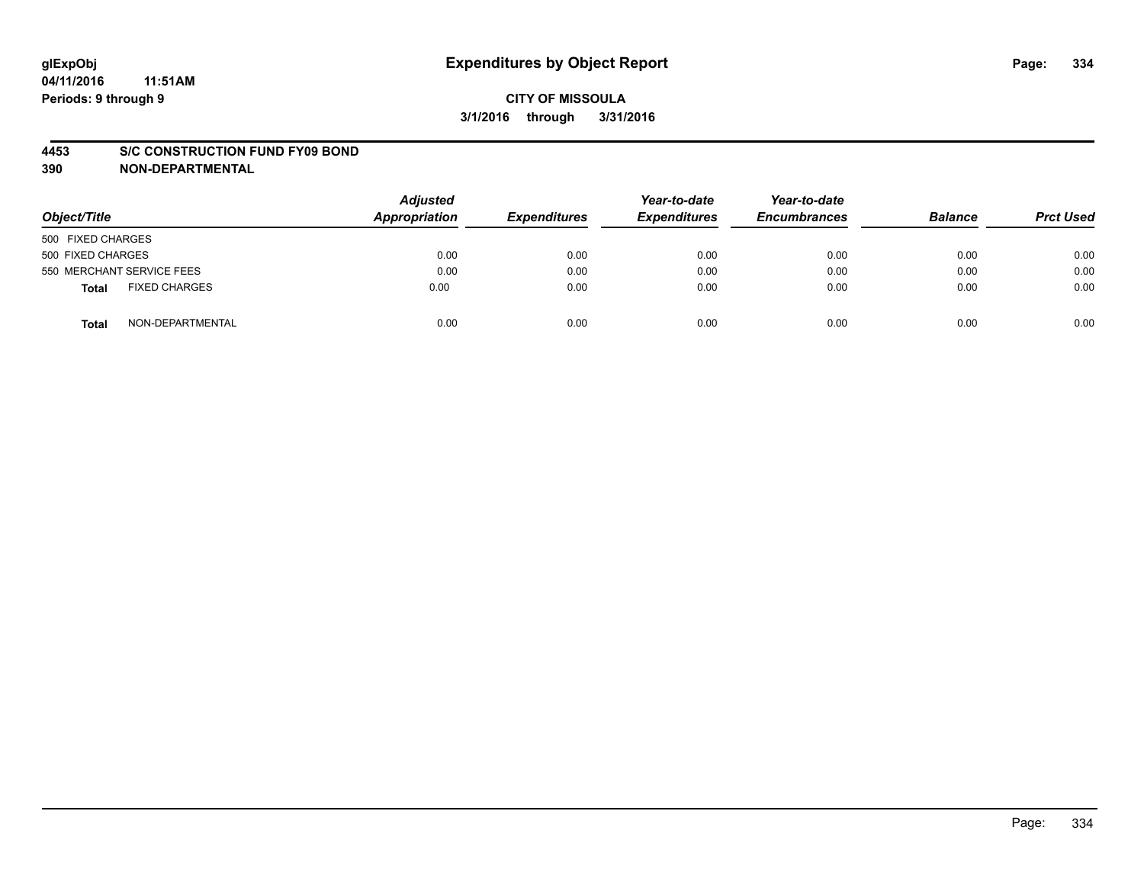#### **4453 S/C CONSTRUCTION FUND FY09 BOND**

**390 NON-DEPARTMENTAL**

| Object/Title                  | <b>Adjusted</b><br>Appropriation | <b>Expenditures</b> | Year-to-date<br><b>Expenditures</b> | Year-to-date<br><b>Encumbrances</b> | <b>Balance</b> | <b>Prct Used</b> |
|-------------------------------|----------------------------------|---------------------|-------------------------------------|-------------------------------------|----------------|------------------|
| 500 FIXED CHARGES             |                                  |                     |                                     |                                     |                |                  |
| 500 FIXED CHARGES             | 0.00                             | 0.00                | 0.00                                | 0.00                                | 0.00           | 0.00             |
| 550 MERCHANT SERVICE FEES     | 0.00                             | 0.00                | 0.00                                | 0.00                                | 0.00           | 0.00             |
| <b>FIXED CHARGES</b><br>Total | 0.00                             | 0.00                | 0.00                                | 0.00                                | 0.00           | 0.00             |
| NON-DEPARTMENTAL<br>Total     | 0.00                             | 0.00                | 0.00                                | 0.00                                | 0.00           | 0.00             |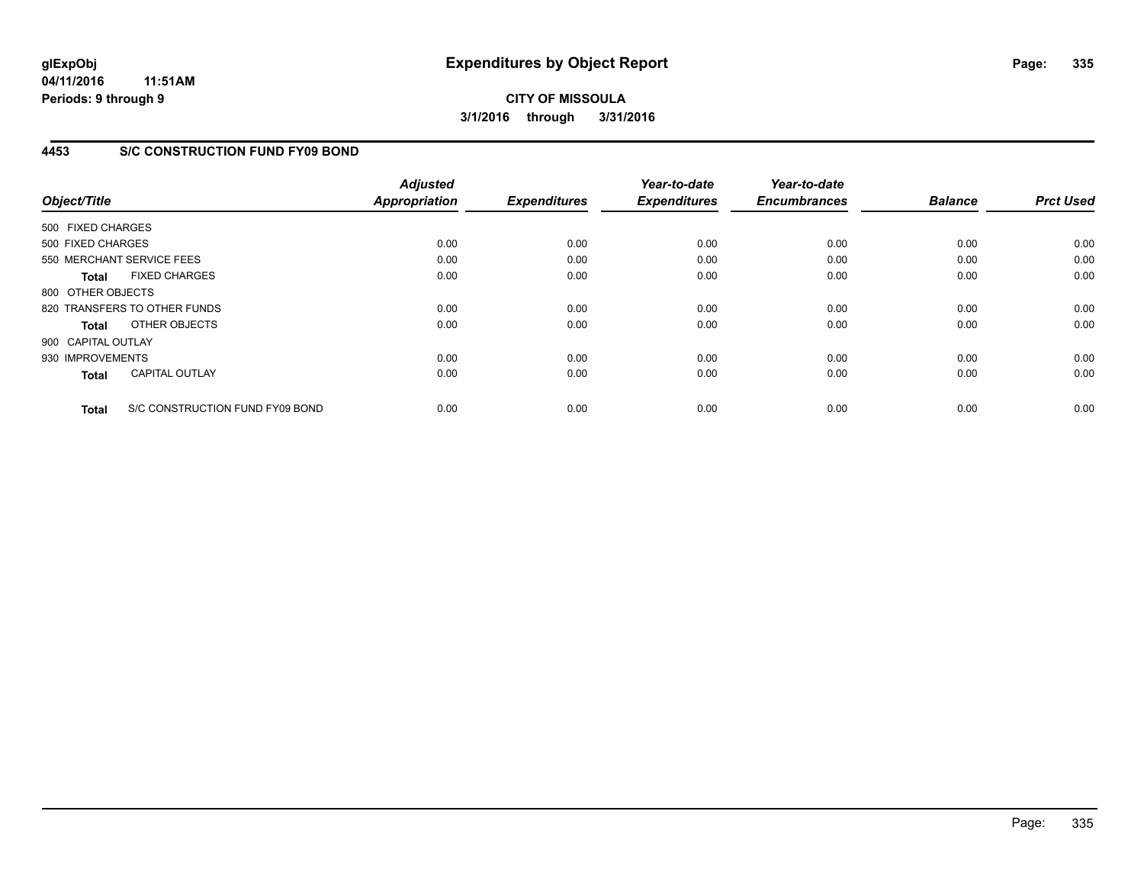**04/11/2016 11:51AM Periods: 9 through 9**

**CITY OF MISSOULA 3/1/2016 through 3/31/2016**

### **4453 S/C CONSTRUCTION FUND FY09 BOND**

| Object/Title                 |                                 | <b>Adjusted</b><br><b>Appropriation</b> | <b>Expenditures</b> | Year-to-date<br><b>Expenditures</b> | Year-to-date<br><b>Encumbrances</b> | <b>Balance</b> | <b>Prct Used</b> |
|------------------------------|---------------------------------|-----------------------------------------|---------------------|-------------------------------------|-------------------------------------|----------------|------------------|
| 500 FIXED CHARGES            |                                 |                                         |                     |                                     |                                     |                |                  |
| 500 FIXED CHARGES            |                                 | 0.00                                    | 0.00                | 0.00                                | 0.00                                | 0.00           | 0.00             |
| 550 MERCHANT SERVICE FEES    |                                 | 0.00                                    | 0.00                | 0.00                                | 0.00                                | 0.00           | 0.00             |
| <b>Total</b>                 | <b>FIXED CHARGES</b>            | 0.00                                    | 0.00                | 0.00                                | 0.00                                | 0.00           | 0.00             |
| 800 OTHER OBJECTS            |                                 |                                         |                     |                                     |                                     |                |                  |
| 820 TRANSFERS TO OTHER FUNDS |                                 | 0.00                                    | 0.00                | 0.00                                | 0.00                                | 0.00           | 0.00             |
| <b>Total</b>                 | OTHER OBJECTS                   | 0.00                                    | 0.00                | 0.00                                | 0.00                                | 0.00           | 0.00             |
| 900 CAPITAL OUTLAY           |                                 |                                         |                     |                                     |                                     |                |                  |
| 930 IMPROVEMENTS             |                                 | 0.00                                    | 0.00                | 0.00                                | 0.00                                | 0.00           | 0.00             |
| <b>Total</b>                 | <b>CAPITAL OUTLAY</b>           | 0.00                                    | 0.00                | 0.00                                | 0.00                                | 0.00           | 0.00             |
| <b>Total</b>                 | S/C CONSTRUCTION FUND FY09 BOND | 0.00                                    | 0.00                | 0.00                                | 0.00                                | 0.00           | 0.00             |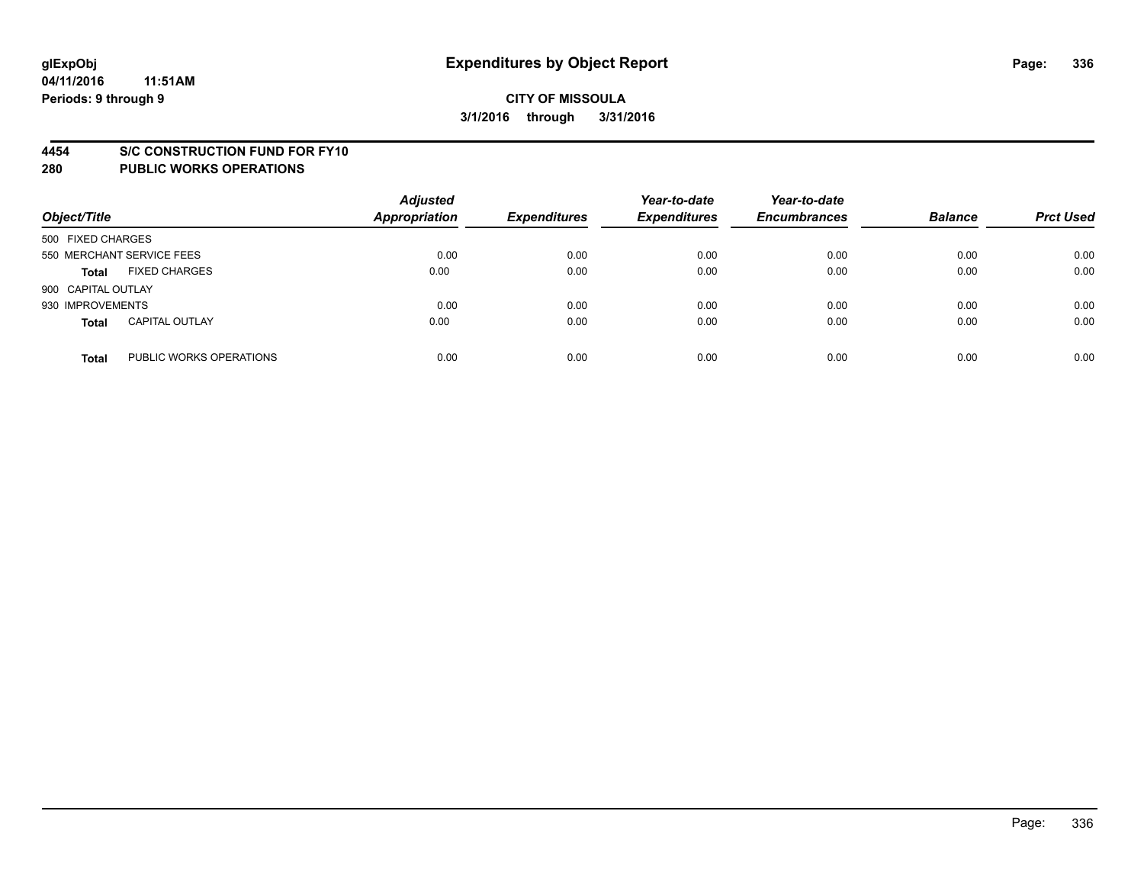#### **4454 S/C CONSTRUCTION FUND FOR FY10**

| Object/Title       |                           | <b>Adjusted</b><br><b>Appropriation</b> | <b>Expenditures</b> | Year-to-date<br><b>Expenditures</b> | Year-to-date<br><b>Encumbrances</b> | <b>Balance</b> | <b>Prct Used</b> |
|--------------------|---------------------------|-----------------------------------------|---------------------|-------------------------------------|-------------------------------------|----------------|------------------|
| 500 FIXED CHARGES  |                           |                                         |                     |                                     |                                     |                |                  |
|                    | 550 MERCHANT SERVICE FEES | 0.00                                    | 0.00                | 0.00                                | 0.00                                | 0.00           | 0.00             |
| <b>Total</b>       | <b>FIXED CHARGES</b>      | 0.00                                    | 0.00                | 0.00                                | 0.00                                | 0.00           | 0.00             |
| 900 CAPITAL OUTLAY |                           |                                         |                     |                                     |                                     |                |                  |
| 930 IMPROVEMENTS   |                           | 0.00                                    | 0.00                | 0.00                                | 0.00                                | 0.00           | 0.00             |
| <b>Total</b>       | <b>CAPITAL OUTLAY</b>     | 0.00                                    | 0.00                | 0.00                                | 0.00                                | 0.00           | 0.00             |
| <b>Total</b>       | PUBLIC WORKS OPERATIONS   | 0.00                                    | 0.00                | 0.00                                | 0.00                                | 0.00           | 0.00             |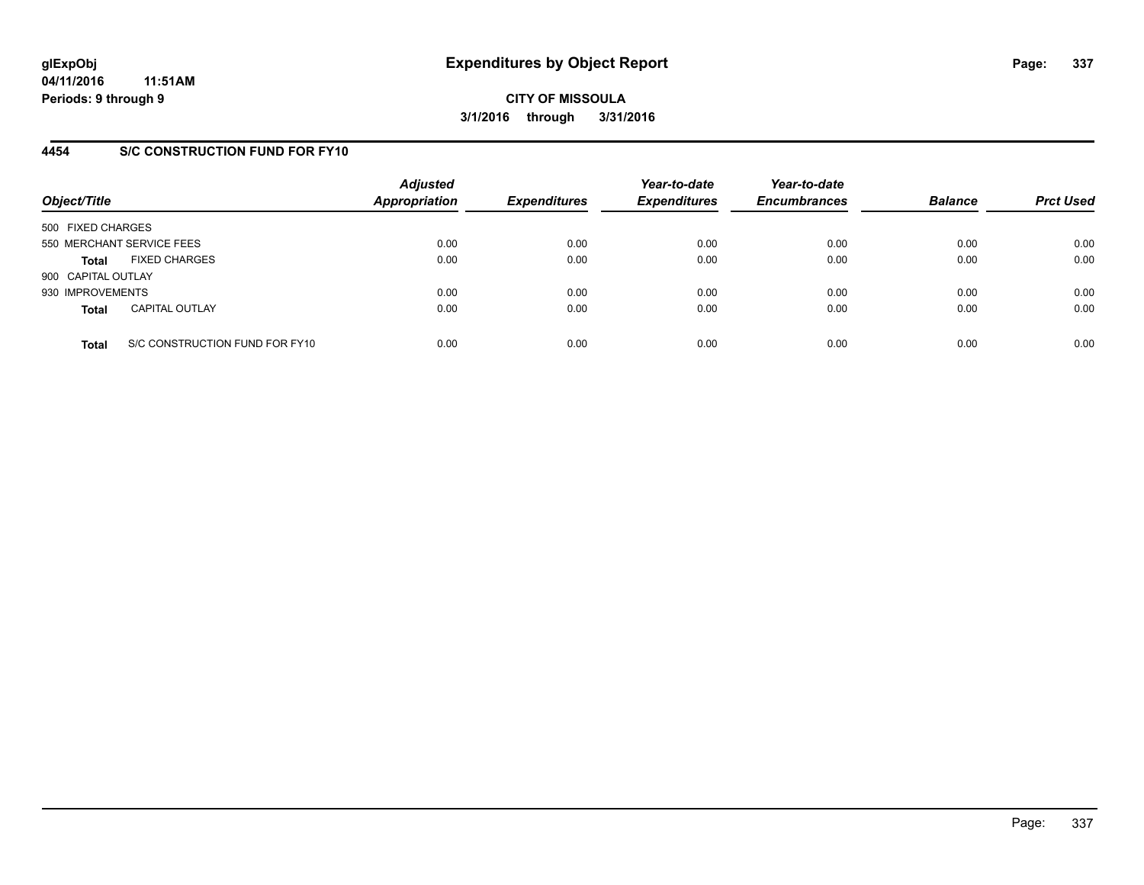### **4454 S/C CONSTRUCTION FUND FOR FY10**

| Object/Title       |                                | <b>Adjusted</b><br><b>Appropriation</b> | <b>Expenditures</b> | Year-to-date<br><b>Expenditures</b> | Year-to-date<br><b>Encumbrances</b> | <b>Balance</b> | <b>Prct Used</b> |
|--------------------|--------------------------------|-----------------------------------------|---------------------|-------------------------------------|-------------------------------------|----------------|------------------|
| 500 FIXED CHARGES  |                                |                                         |                     |                                     |                                     |                |                  |
|                    | 550 MERCHANT SERVICE FEES      | 0.00                                    | 0.00                | 0.00                                | 0.00                                | 0.00           | 0.00             |
| Total              | <b>FIXED CHARGES</b>           | 0.00                                    | 0.00                | 0.00                                | 0.00                                | 0.00           | 0.00             |
| 900 CAPITAL OUTLAY |                                |                                         |                     |                                     |                                     |                |                  |
| 930 IMPROVEMENTS   |                                | 0.00                                    | 0.00                | 0.00                                | 0.00                                | 0.00           | 0.00             |
| <b>Total</b>       | <b>CAPITAL OUTLAY</b>          | 0.00                                    | 0.00                | 0.00                                | 0.00                                | 0.00           | 0.00             |
| <b>Total</b>       | S/C CONSTRUCTION FUND FOR FY10 | 0.00                                    | 0.00                | 0.00                                | 0.00                                | 0.00           | 0.00             |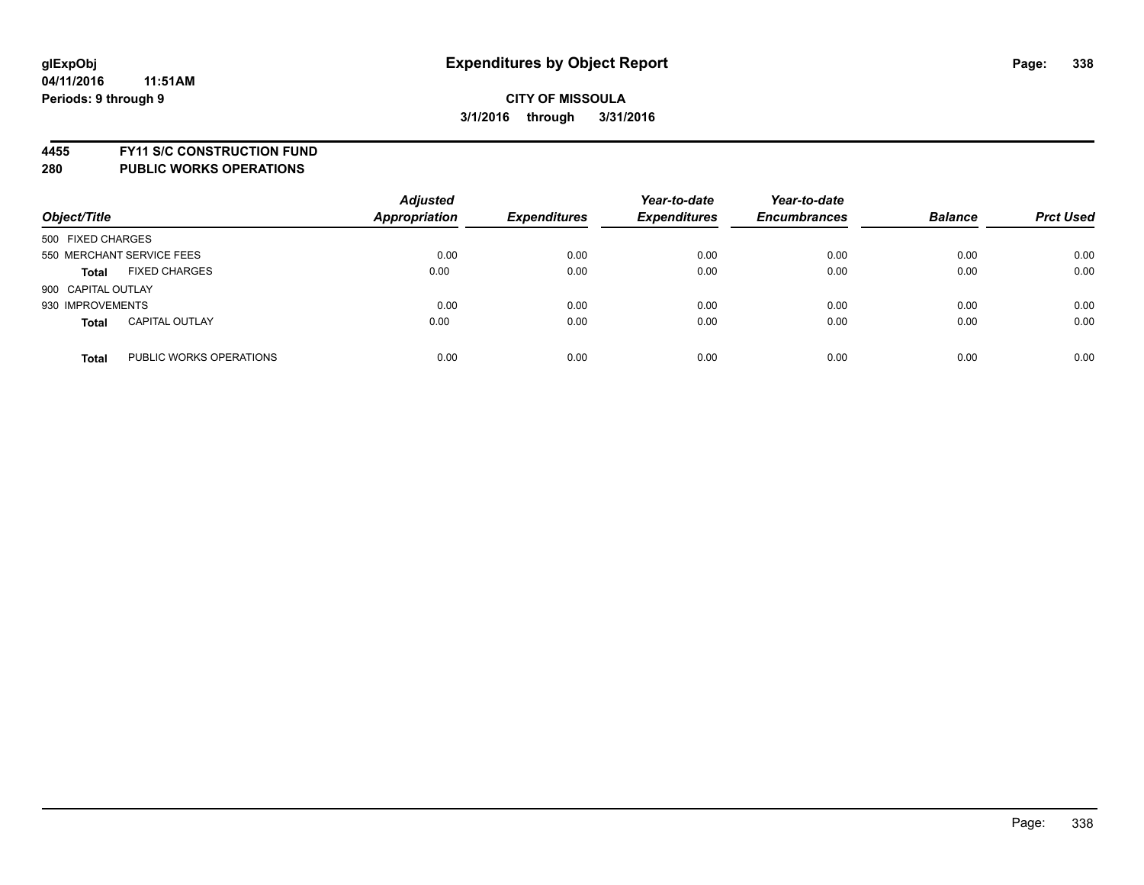**4455 FY11 S/C CONSTRUCTION FUND**

| Object/Title                            | <b>Adjusted</b><br><b>Appropriation</b> | <b>Expenditures</b> | Year-to-date<br><b>Expenditures</b> | Year-to-date<br><b>Encumbrances</b> | <b>Balance</b> | <b>Prct Used</b> |
|-----------------------------------------|-----------------------------------------|---------------------|-------------------------------------|-------------------------------------|----------------|------------------|
| 500 FIXED CHARGES                       |                                         |                     |                                     |                                     |                |                  |
| 550 MERCHANT SERVICE FEES               | 0.00                                    | 0.00                | 0.00                                | 0.00                                | 0.00           | 0.00             |
| <b>FIXED CHARGES</b><br><b>Total</b>    | 0.00                                    | 0.00                | 0.00                                | 0.00                                | 0.00           | 0.00             |
| 900 CAPITAL OUTLAY                      |                                         |                     |                                     |                                     |                |                  |
| 930 IMPROVEMENTS                        | 0.00                                    | 0.00                | 0.00                                | 0.00                                | 0.00           | 0.00             |
| <b>CAPITAL OUTLAY</b><br><b>Total</b>   | 0.00                                    | 0.00                | 0.00                                | 0.00                                | 0.00           | 0.00             |
| PUBLIC WORKS OPERATIONS<br><b>Total</b> | 0.00                                    | 0.00                | 0.00                                | 0.00                                | 0.00           | 0.00             |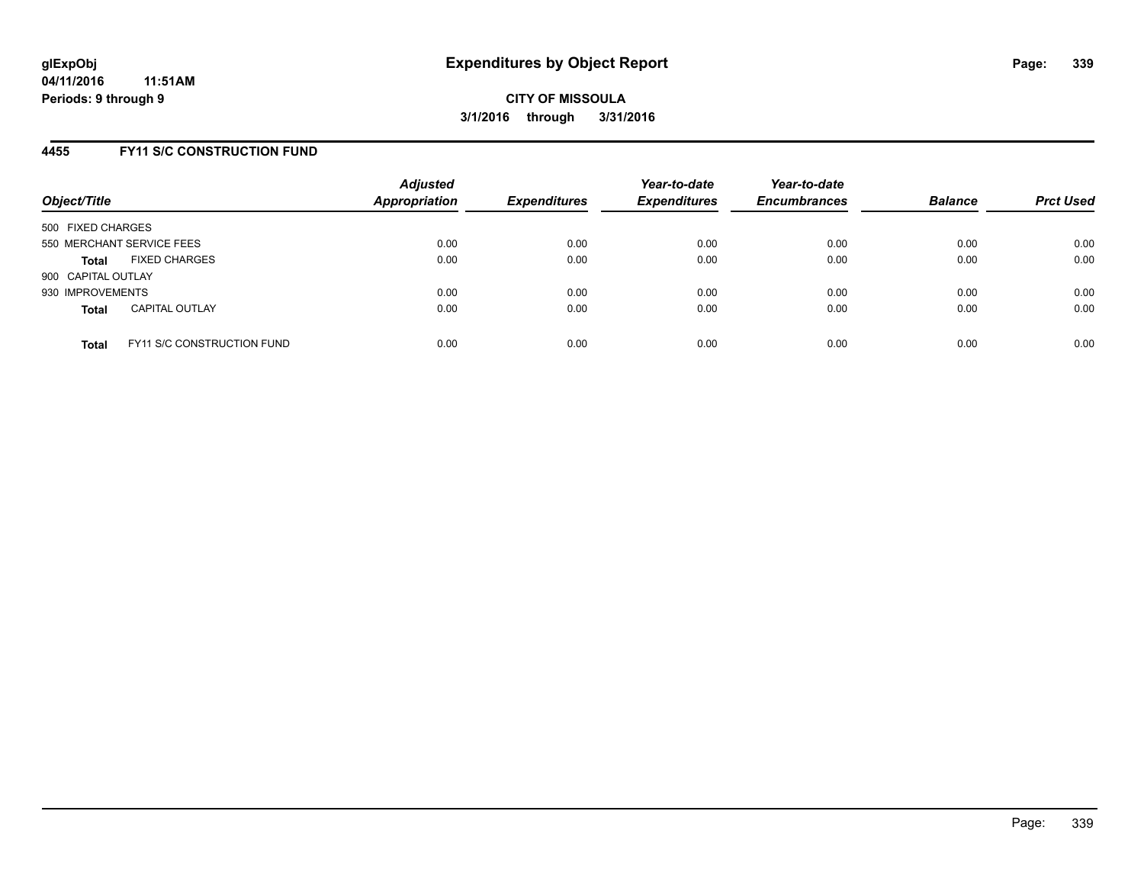### **4455 FY11 S/C CONSTRUCTION FUND**

| Object/Title       |                                   | <b>Adjusted</b><br><b>Appropriation</b> | <b>Expenditures</b> | Year-to-date<br><b>Expenditures</b> | Year-to-date<br><b>Encumbrances</b> | <b>Balance</b> | <b>Prct Used</b> |
|--------------------|-----------------------------------|-----------------------------------------|---------------------|-------------------------------------|-------------------------------------|----------------|------------------|
| 500 FIXED CHARGES  |                                   |                                         |                     |                                     |                                     |                |                  |
|                    | 550 MERCHANT SERVICE FEES         | 0.00                                    | 0.00                | 0.00                                | 0.00                                | 0.00           | 0.00             |
| <b>Total</b>       | <b>FIXED CHARGES</b>              | 0.00                                    | 0.00                | 0.00                                | 0.00                                | 0.00           | 0.00             |
| 900 CAPITAL OUTLAY |                                   |                                         |                     |                                     |                                     |                |                  |
| 930 IMPROVEMENTS   |                                   | 0.00                                    | 0.00                | 0.00                                | 0.00                                | 0.00           | 0.00             |
| <b>Total</b>       | <b>CAPITAL OUTLAY</b>             | 0.00                                    | 0.00                | 0.00                                | 0.00                                | 0.00           | 0.00             |
| <b>Total</b>       | <b>FY11 S/C CONSTRUCTION FUND</b> | 0.00                                    | 0.00                | 0.00                                | 0.00                                | 0.00           | 0.00             |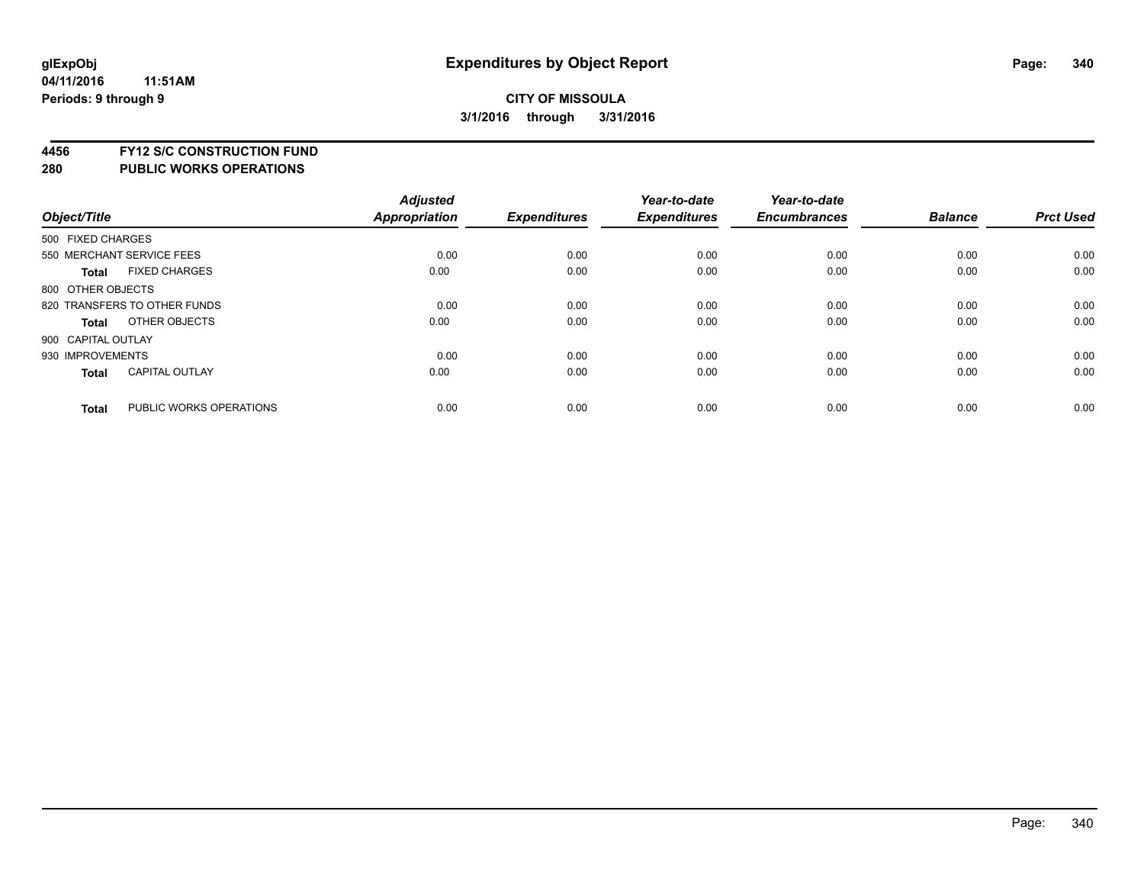**4456 FY12 S/C CONSTRUCTION FUND**

|                    |                              | <b>Adjusted</b> |                     | Year-to-date        | Year-to-date        |                |                  |
|--------------------|------------------------------|-----------------|---------------------|---------------------|---------------------|----------------|------------------|
| Object/Title       |                              | Appropriation   | <b>Expenditures</b> | <b>Expenditures</b> | <b>Encumbrances</b> | <b>Balance</b> | <b>Prct Used</b> |
| 500 FIXED CHARGES  |                              |                 |                     |                     |                     |                |                  |
|                    | 550 MERCHANT SERVICE FEES    | 0.00            | 0.00                | 0.00                | 0.00                | 0.00           | 0.00             |
| <b>Total</b>       | <b>FIXED CHARGES</b>         | 0.00            | 0.00                | 0.00                | 0.00                | 0.00           | 0.00             |
| 800 OTHER OBJECTS  |                              |                 |                     |                     |                     |                |                  |
|                    | 820 TRANSFERS TO OTHER FUNDS | 0.00            | 0.00                | 0.00                | 0.00                | 0.00           | 0.00             |
| Total              | OTHER OBJECTS                | 0.00            | 0.00                | 0.00                | 0.00                | 0.00           | 0.00             |
| 900 CAPITAL OUTLAY |                              |                 |                     |                     |                     |                |                  |
| 930 IMPROVEMENTS   |                              | 0.00            | 0.00                | 0.00                | 0.00                | 0.00           | 0.00             |
| Total              | <b>CAPITAL OUTLAY</b>        | 0.00            | 0.00                | 0.00                | 0.00                | 0.00           | 0.00             |
| <b>Total</b>       | PUBLIC WORKS OPERATIONS      | 0.00            | 0.00                | 0.00                | 0.00                | 0.00           | 0.00             |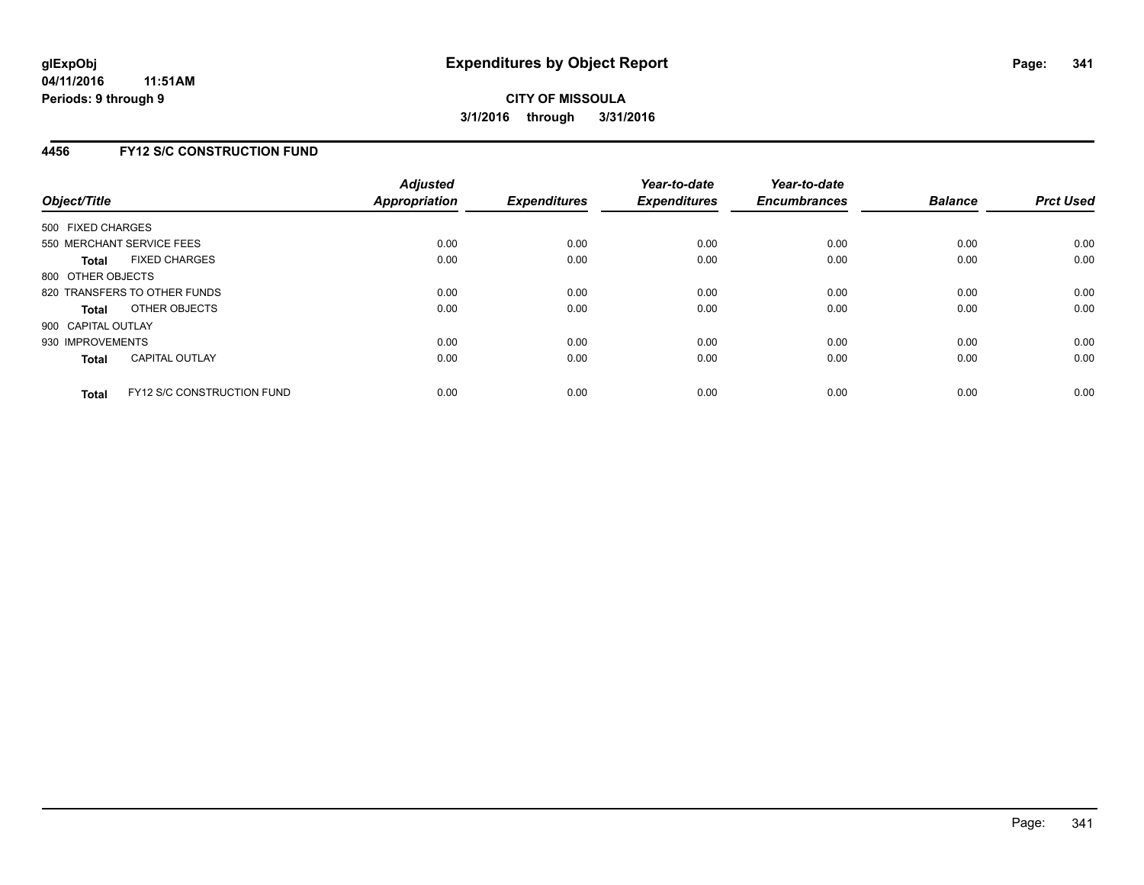### **4456 FY12 S/C CONSTRUCTION FUND**

| Object/Title       |                                   | <b>Adjusted</b><br>Appropriation | <b>Expenditures</b> | Year-to-date<br><b>Expenditures</b> | Year-to-date<br><b>Encumbrances</b> | <b>Balance</b> | <b>Prct Used</b> |
|--------------------|-----------------------------------|----------------------------------|---------------------|-------------------------------------|-------------------------------------|----------------|------------------|
| 500 FIXED CHARGES  |                                   |                                  |                     |                                     |                                     |                |                  |
|                    | 550 MERCHANT SERVICE FEES         | 0.00                             | 0.00                | 0.00                                | 0.00                                | 0.00           | 0.00             |
| Total              | <b>FIXED CHARGES</b>              | 0.00                             | 0.00                | 0.00                                | 0.00                                | 0.00           | 0.00             |
| 800 OTHER OBJECTS  |                                   |                                  |                     |                                     |                                     |                |                  |
|                    | 820 TRANSFERS TO OTHER FUNDS      | 0.00                             | 0.00                | 0.00                                | 0.00                                | 0.00           | 0.00             |
| Total              | OTHER OBJECTS                     | 0.00                             | 0.00                | 0.00                                | 0.00                                | 0.00           | 0.00             |
| 900 CAPITAL OUTLAY |                                   |                                  |                     |                                     |                                     |                |                  |
| 930 IMPROVEMENTS   |                                   | 0.00                             | 0.00                | 0.00                                | 0.00                                | 0.00           | 0.00             |
| Total              | <b>CAPITAL OUTLAY</b>             | 0.00                             | 0.00                | 0.00                                | 0.00                                | 0.00           | 0.00             |
| <b>Total</b>       | <b>FY12 S/C CONSTRUCTION FUND</b> | 0.00                             | 0.00                | 0.00                                | 0.00                                | 0.00           | 0.00             |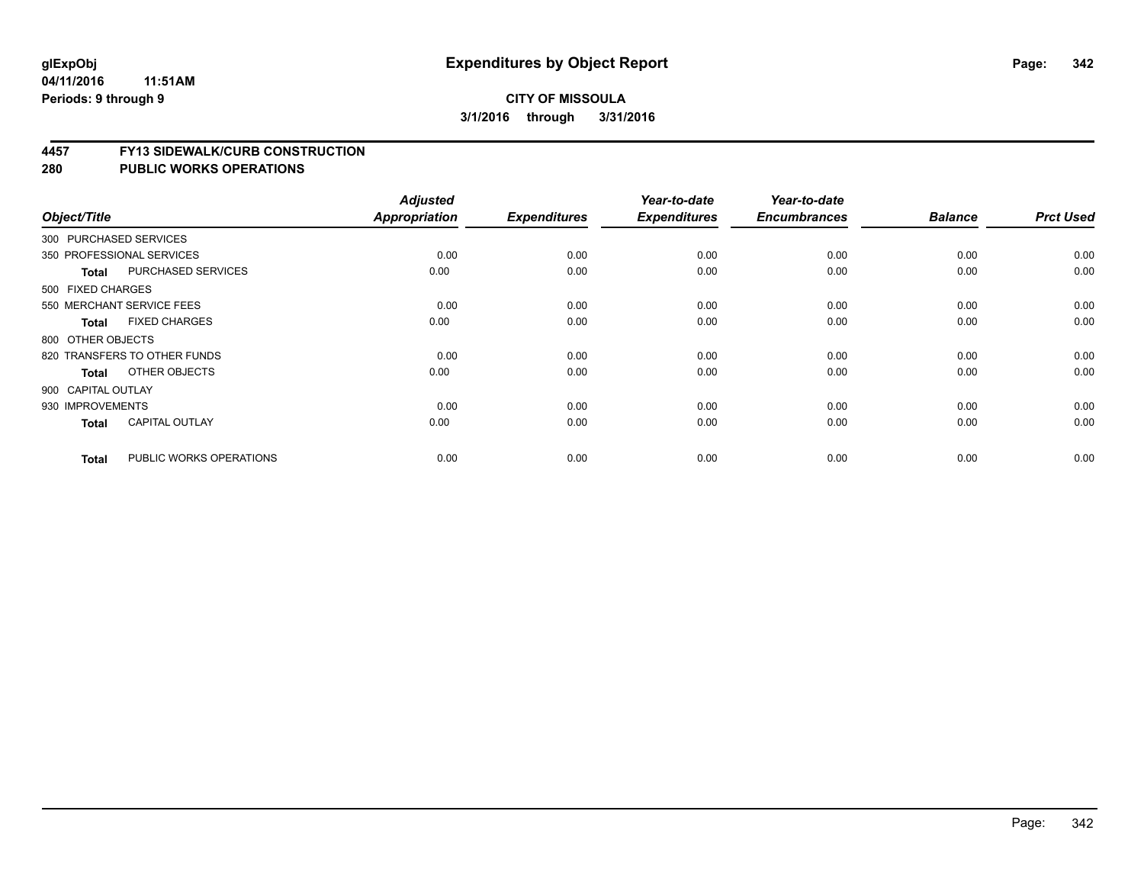#### **04/11/2016 11:51AM Periods: 9 through 9**

#### **CITY OF MISSOULA 3/1/2016 through 3/31/2016**

#### **4457 FY13 SIDEWALK/CURB CONSTRUCTION**

| Object/Title       |                              | <b>Adjusted</b><br>Appropriation | <b>Expenditures</b> | Year-to-date<br><b>Expenditures</b> | Year-to-date<br><b>Encumbrances</b> | <b>Balance</b> | <b>Prct Used</b> |
|--------------------|------------------------------|----------------------------------|---------------------|-------------------------------------|-------------------------------------|----------------|------------------|
|                    |                              |                                  |                     |                                     |                                     |                |                  |
|                    | 300 PURCHASED SERVICES       |                                  |                     |                                     |                                     |                |                  |
|                    | 350 PROFESSIONAL SERVICES    | 0.00                             | 0.00                | 0.00                                | 0.00                                | 0.00           | 0.00             |
| <b>Total</b>       | PURCHASED SERVICES           | 0.00                             | 0.00                | 0.00                                | 0.00                                | 0.00           | 0.00             |
| 500 FIXED CHARGES  |                              |                                  |                     |                                     |                                     |                |                  |
|                    | 550 MERCHANT SERVICE FEES    | 0.00                             | 0.00                | 0.00                                | 0.00                                | 0.00           | 0.00             |
| <b>Total</b>       | <b>FIXED CHARGES</b>         | 0.00                             | 0.00                | 0.00                                | 0.00                                | 0.00           | 0.00             |
| 800 OTHER OBJECTS  |                              |                                  |                     |                                     |                                     |                |                  |
|                    | 820 TRANSFERS TO OTHER FUNDS | 0.00                             | 0.00                | 0.00                                | 0.00                                | 0.00           | 0.00             |
| Total              | OTHER OBJECTS                | 0.00                             | 0.00                | 0.00                                | 0.00                                | 0.00           | 0.00             |
| 900 CAPITAL OUTLAY |                              |                                  |                     |                                     |                                     |                |                  |
| 930 IMPROVEMENTS   |                              | 0.00                             | 0.00                | 0.00                                | 0.00                                | 0.00           | 0.00             |
| <b>Total</b>       | <b>CAPITAL OUTLAY</b>        | 0.00                             | 0.00                | 0.00                                | 0.00                                | 0.00           | 0.00             |
| <b>Total</b>       | PUBLIC WORKS OPERATIONS      | 0.00                             | 0.00                | 0.00                                | 0.00                                | 0.00           | 0.00             |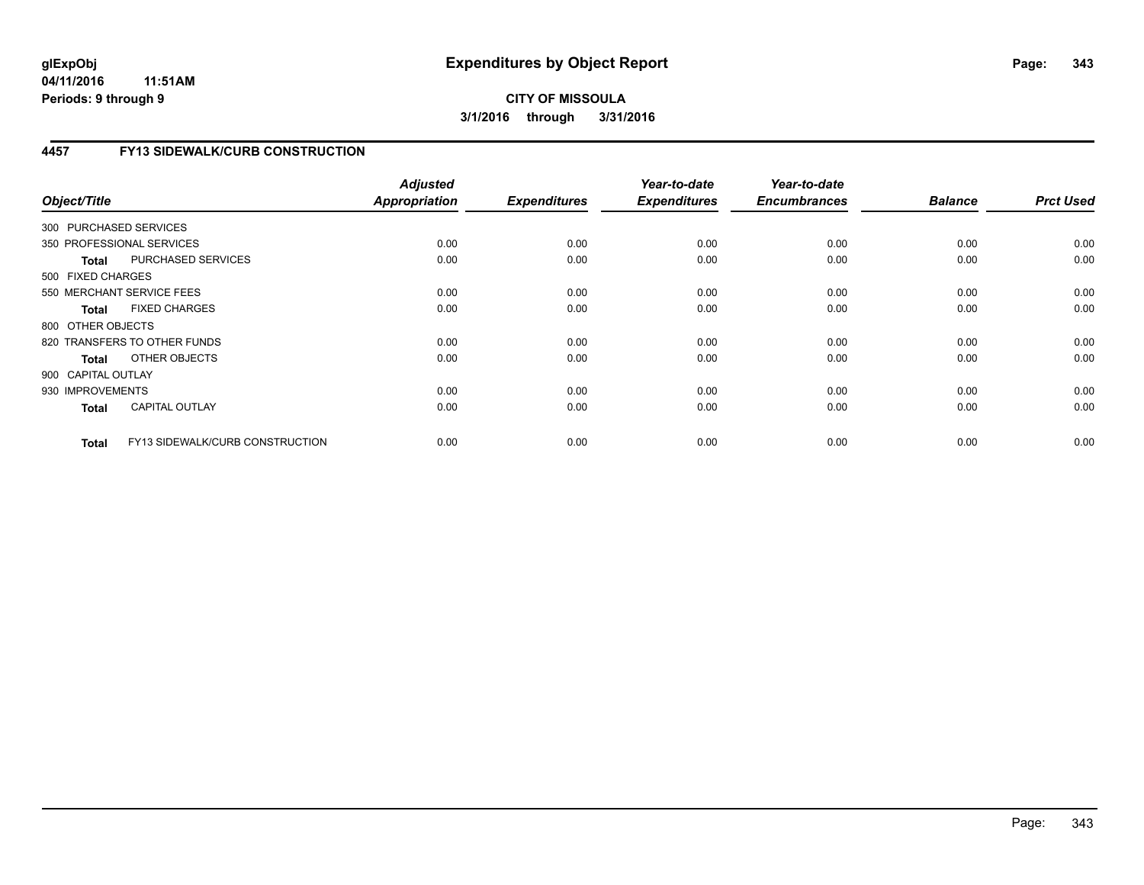**04/11/2016 11:51AM Periods: 9 through 9**

## **CITY OF MISSOULA 3/1/2016 through 3/31/2016**

## **4457 FY13 SIDEWALK/CURB CONSTRUCTION**

| Object/Title           |                                 | <b>Adjusted</b><br><b>Appropriation</b> | <b>Expenditures</b> | Year-to-date<br><b>Expenditures</b> | Year-to-date<br><b>Encumbrances</b> | <b>Balance</b> | <b>Prct Used</b> |
|------------------------|---------------------------------|-----------------------------------------|---------------------|-------------------------------------|-------------------------------------|----------------|------------------|
| 300 PURCHASED SERVICES |                                 |                                         |                     |                                     |                                     |                |                  |
|                        | 350 PROFESSIONAL SERVICES       | 0.00                                    | 0.00                | 0.00                                | 0.00                                | 0.00           | 0.00             |
| <b>Total</b>           | PURCHASED SERVICES              | 0.00                                    | 0.00                | 0.00                                | 0.00                                | 0.00           | 0.00             |
| 500 FIXED CHARGES      |                                 |                                         |                     |                                     |                                     |                |                  |
|                        | 550 MERCHANT SERVICE FEES       | 0.00                                    | 0.00                | 0.00                                | 0.00                                | 0.00           | 0.00             |
| <b>Total</b>           | <b>FIXED CHARGES</b>            | 0.00                                    | 0.00                | 0.00                                | 0.00                                | 0.00           | 0.00             |
| 800 OTHER OBJECTS      |                                 |                                         |                     |                                     |                                     |                |                  |
|                        | 820 TRANSFERS TO OTHER FUNDS    | 0.00                                    | 0.00                | 0.00                                | 0.00                                | 0.00           | 0.00             |
| Total                  | OTHER OBJECTS                   | 0.00                                    | 0.00                | 0.00                                | 0.00                                | 0.00           | 0.00             |
| 900 CAPITAL OUTLAY     |                                 |                                         |                     |                                     |                                     |                |                  |
| 930 IMPROVEMENTS       |                                 | 0.00                                    | 0.00                | 0.00                                | 0.00                                | 0.00           | 0.00             |
| <b>Total</b>           | <b>CAPITAL OUTLAY</b>           | 0.00                                    | 0.00                | 0.00                                | 0.00                                | 0.00           | 0.00             |
| <b>Total</b>           | FY13 SIDEWALK/CURB CONSTRUCTION | 0.00                                    | 0.00                | 0.00                                | 0.00                                | 0.00           | 0.00             |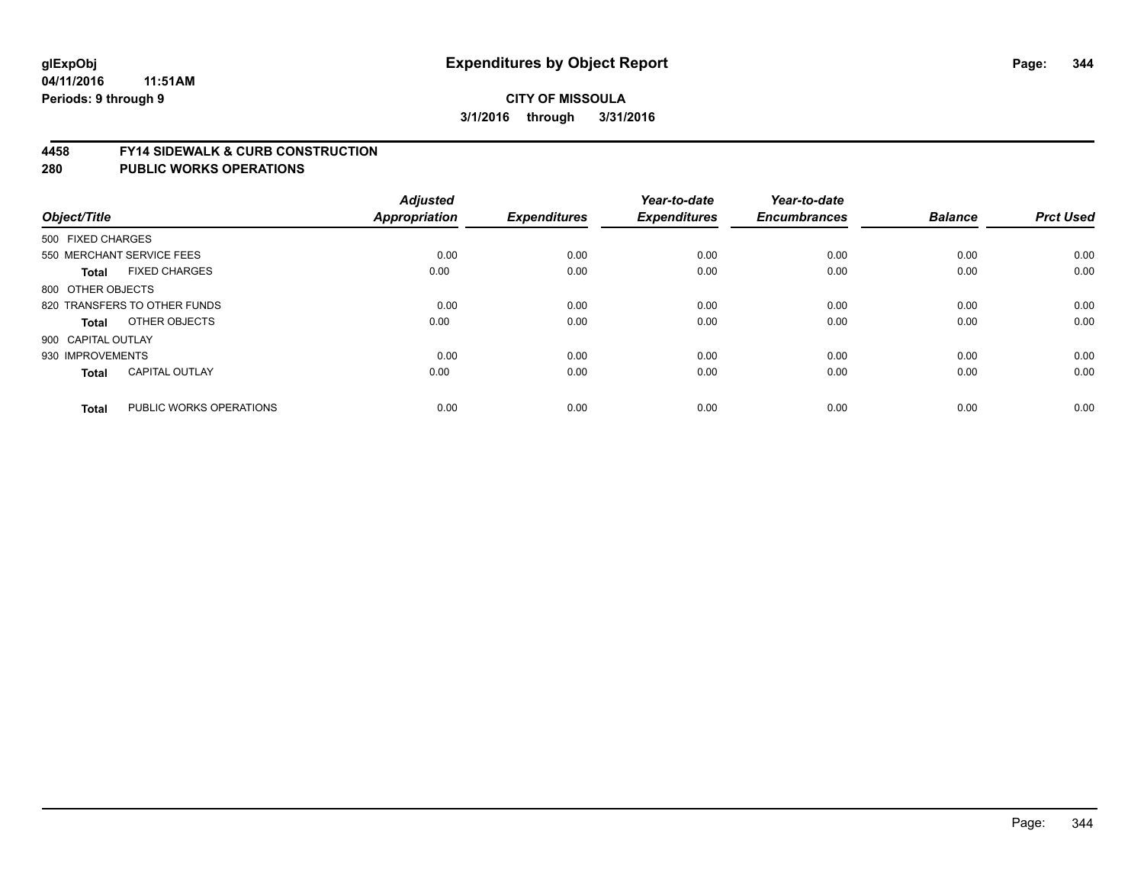#### **4458 FY14 SIDEWALK & CURB CONSTRUCTION**

| Object/Title              |                              | <b>Adjusted</b><br>Appropriation | <b>Expenditures</b> | Year-to-date<br><b>Expenditures</b> | Year-to-date<br><b>Encumbrances</b> | <b>Balance</b> | <b>Prct Used</b> |
|---------------------------|------------------------------|----------------------------------|---------------------|-------------------------------------|-------------------------------------|----------------|------------------|
| 500 FIXED CHARGES         |                              |                                  |                     |                                     |                                     |                |                  |
| 550 MERCHANT SERVICE FEES |                              | 0.00                             | 0.00                | 0.00                                | 0.00                                | 0.00           | 0.00             |
| <b>Total</b>              | <b>FIXED CHARGES</b>         | 0.00                             | 0.00                | 0.00                                | 0.00                                | 0.00           | 0.00             |
| 800 OTHER OBJECTS         |                              |                                  |                     |                                     |                                     |                |                  |
|                           | 820 TRANSFERS TO OTHER FUNDS | 0.00                             | 0.00                | 0.00                                | 0.00                                | 0.00           | 0.00             |
| Total                     | OTHER OBJECTS                | 0.00                             | 0.00                | 0.00                                | 0.00                                | 0.00           | 0.00             |
| 900 CAPITAL OUTLAY        |                              |                                  |                     |                                     |                                     |                |                  |
| 930 IMPROVEMENTS          |                              | 0.00                             | 0.00                | 0.00                                | 0.00                                | 0.00           | 0.00             |
| Total                     | <b>CAPITAL OUTLAY</b>        | 0.00                             | 0.00                | 0.00                                | 0.00                                | 0.00           | 0.00             |
|                           |                              |                                  |                     |                                     |                                     |                |                  |
| <b>Total</b>              | PUBLIC WORKS OPERATIONS      | 0.00                             | 0.00                | 0.00                                | 0.00                                | 0.00           | 0.00             |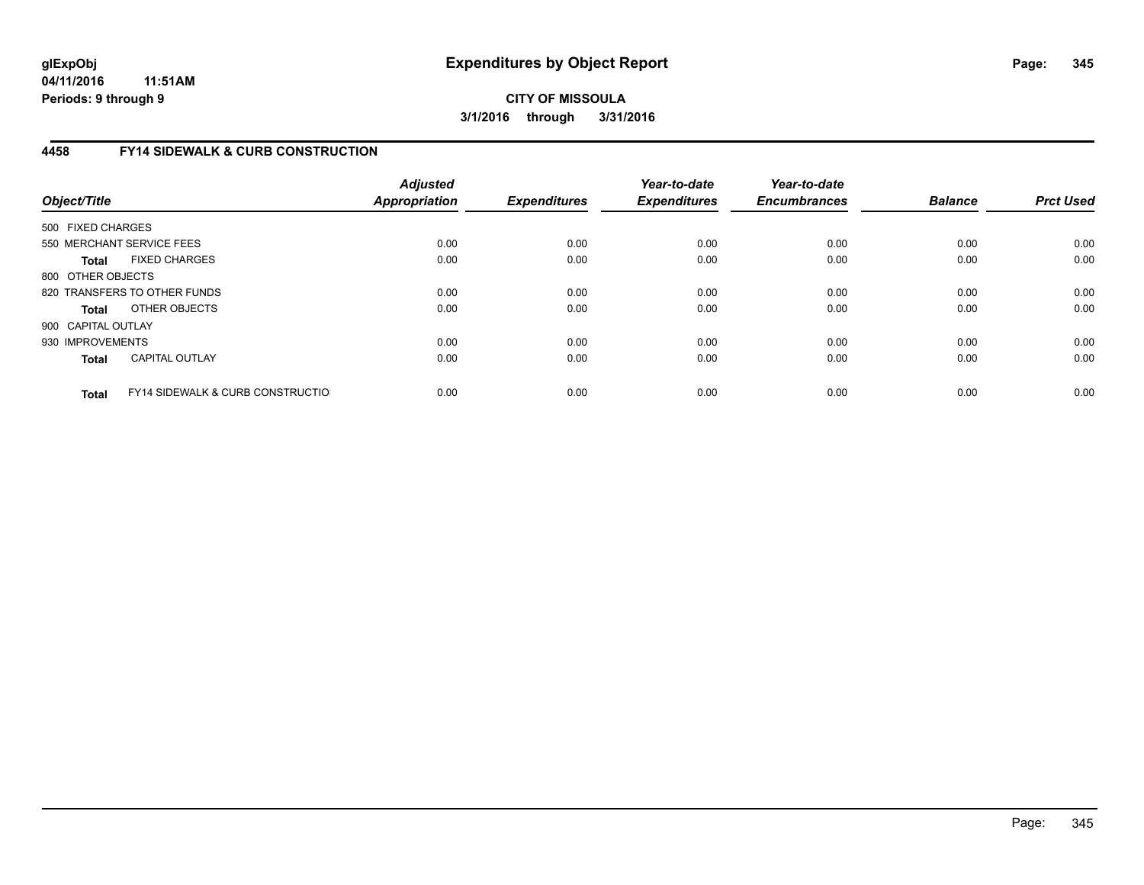## **4458 FY14 SIDEWALK & CURB CONSTRUCTION**

| Object/Title       |                                              | <b>Adjusted</b><br>Appropriation | <b>Expenditures</b> | Year-to-date<br><b>Expenditures</b> | Year-to-date<br><b>Encumbrances</b> | <b>Balance</b> | <b>Prct Used</b> |
|--------------------|----------------------------------------------|----------------------------------|---------------------|-------------------------------------|-------------------------------------|----------------|------------------|
| 500 FIXED CHARGES  |                                              |                                  |                     |                                     |                                     |                |                  |
|                    | 550 MERCHANT SERVICE FEES                    | 0.00                             | 0.00                | 0.00                                | 0.00                                | 0.00           | 0.00             |
| <b>Total</b>       | <b>FIXED CHARGES</b>                         | 0.00                             | 0.00                | 0.00                                | 0.00                                | 0.00           | 0.00             |
| 800 OTHER OBJECTS  |                                              |                                  |                     |                                     |                                     |                |                  |
|                    | 820 TRANSFERS TO OTHER FUNDS                 | 0.00                             | 0.00                | 0.00                                | 0.00                                | 0.00           | 0.00             |
| <b>Total</b>       | OTHER OBJECTS                                | 0.00                             | 0.00                | 0.00                                | 0.00                                | 0.00           | 0.00             |
| 900 CAPITAL OUTLAY |                                              |                                  |                     |                                     |                                     |                |                  |
| 930 IMPROVEMENTS   |                                              | 0.00                             | 0.00                | 0.00                                | 0.00                                | 0.00           | 0.00             |
| <b>Total</b>       | <b>CAPITAL OUTLAY</b>                        | 0.00                             | 0.00                | 0.00                                | 0.00                                | 0.00           | 0.00             |
| <b>Total</b>       | <b>FY14 SIDEWALK &amp; CURB CONSTRUCTIOL</b> | 0.00                             | 0.00                | 0.00                                | 0.00                                | 0.00           | 0.00             |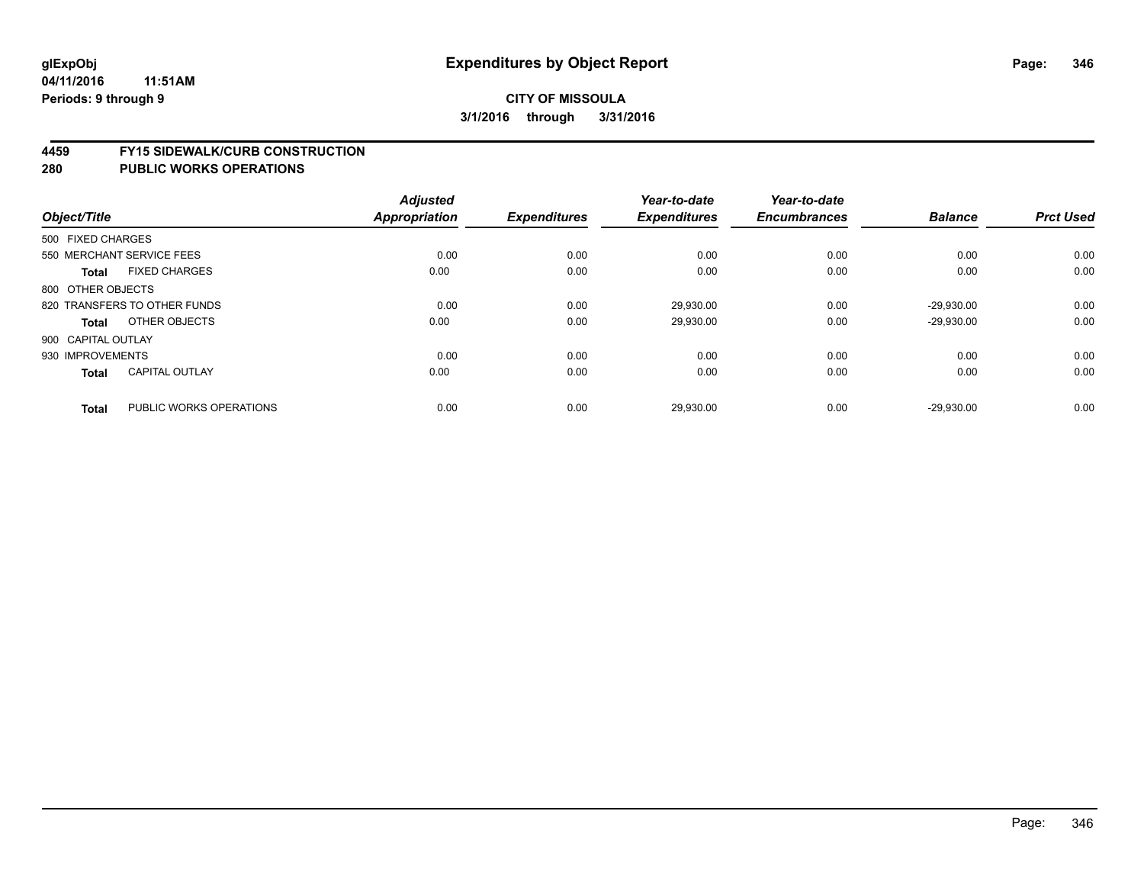#### **4459 FY15 SIDEWALK/CURB CONSTRUCTION**

| Object/Title                            | <b>Adjusted</b><br>Appropriation | <b>Expenditures</b> | Year-to-date<br><b>Expenditures</b> | Year-to-date<br><b>Encumbrances</b> | <b>Balance</b> | <b>Prct Used</b> |
|-----------------------------------------|----------------------------------|---------------------|-------------------------------------|-------------------------------------|----------------|------------------|
|                                         |                                  |                     |                                     |                                     |                |                  |
| 500 FIXED CHARGES                       |                                  |                     |                                     |                                     |                |                  |
| 550 MERCHANT SERVICE FEES               | 0.00                             | 0.00                | 0.00                                | 0.00                                | 0.00           | 0.00             |
| <b>FIXED CHARGES</b><br><b>Total</b>    | 0.00                             | 0.00                | 0.00                                | 0.00                                | 0.00           | 0.00             |
| 800 OTHER OBJECTS                       |                                  |                     |                                     |                                     |                |                  |
| 820 TRANSFERS TO OTHER FUNDS            | 0.00                             | 0.00                | 29,930.00                           | 0.00                                | $-29.930.00$   | 0.00             |
| OTHER OBJECTS<br>Total                  | 0.00                             | 0.00                | 29,930.00                           | 0.00                                | $-29,930.00$   | 0.00             |
| 900 CAPITAL OUTLAY                      |                                  |                     |                                     |                                     |                |                  |
| 930 IMPROVEMENTS                        | 0.00                             | 0.00                | 0.00                                | 0.00                                | 0.00           | 0.00             |
| <b>CAPITAL OUTLAY</b><br><b>Total</b>   | 0.00                             | 0.00                | 0.00                                | 0.00                                | 0.00           | 0.00             |
|                                         |                                  |                     |                                     |                                     |                |                  |
| PUBLIC WORKS OPERATIONS<br><b>Total</b> | 0.00                             | 0.00                | 29,930.00                           | 0.00                                | $-29.930.00$   | 0.00             |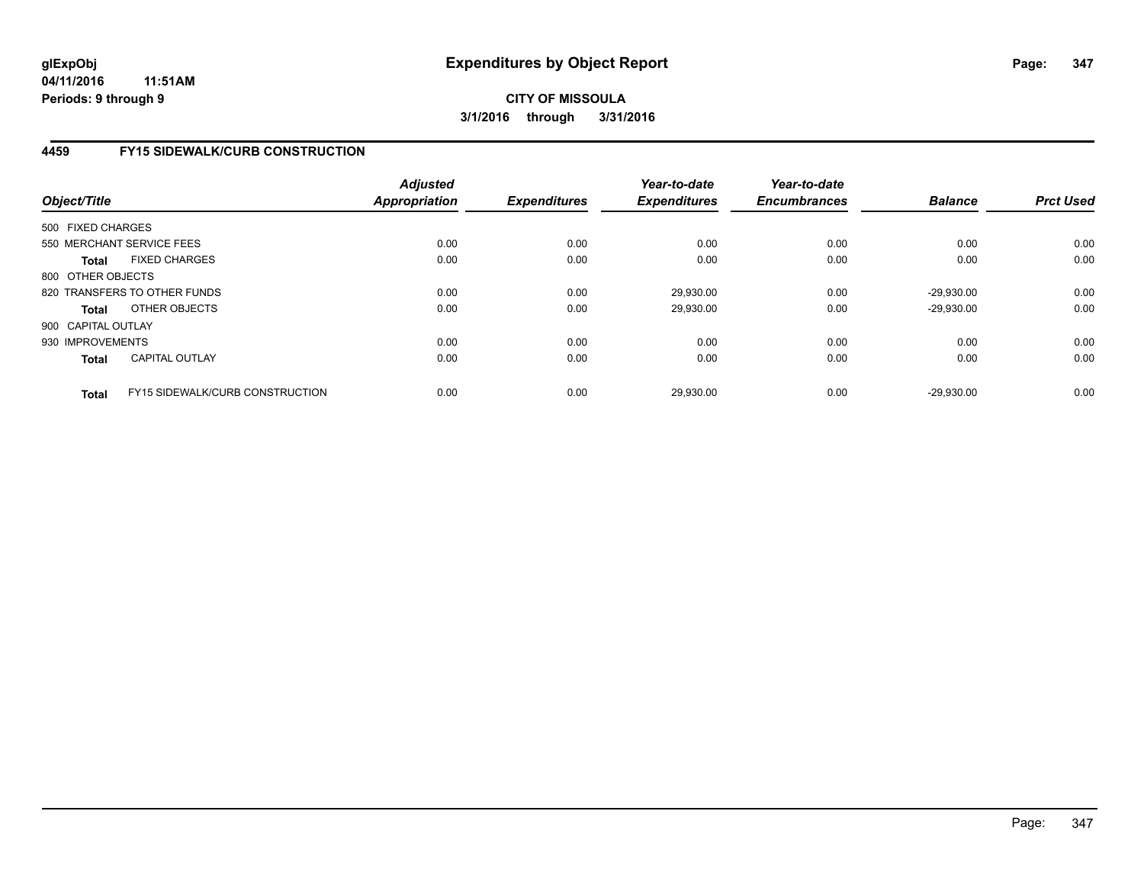## **4459 FY15 SIDEWALK/CURB CONSTRUCTION**

| Object/Title       |                                        | <b>Adjusted</b><br><b>Appropriation</b> | <b>Expenditures</b> | Year-to-date<br><b>Expenditures</b> | Year-to-date<br><b>Encumbrances</b> | <b>Balance</b> | <b>Prct Used</b> |
|--------------------|----------------------------------------|-----------------------------------------|---------------------|-------------------------------------|-------------------------------------|----------------|------------------|
| 500 FIXED CHARGES  |                                        |                                         |                     |                                     |                                     |                |                  |
|                    | 550 MERCHANT SERVICE FEES              | 0.00                                    | 0.00                | 0.00                                | 0.00                                | 0.00           | 0.00             |
| <b>Total</b>       | <b>FIXED CHARGES</b>                   | 0.00                                    | 0.00                | 0.00                                | 0.00                                | 0.00           | 0.00             |
| 800 OTHER OBJECTS  |                                        |                                         |                     |                                     |                                     |                |                  |
|                    | 820 TRANSFERS TO OTHER FUNDS           | 0.00                                    | 0.00                | 29.930.00                           | 0.00                                | $-29.930.00$   | 0.00             |
| <b>Total</b>       | OTHER OBJECTS                          | 0.00                                    | 0.00                | 29.930.00                           | 0.00                                | $-29.930.00$   | 0.00             |
| 900 CAPITAL OUTLAY |                                        |                                         |                     |                                     |                                     |                |                  |
| 930 IMPROVEMENTS   |                                        | 0.00                                    | 0.00                | 0.00                                | 0.00                                | 0.00           | 0.00             |
| <b>Total</b>       | <b>CAPITAL OUTLAY</b>                  | 0.00                                    | 0.00                | 0.00                                | 0.00                                | 0.00           | 0.00             |
| <b>Total</b>       | <b>FY15 SIDEWALK/CURB CONSTRUCTION</b> | 0.00                                    | 0.00                | 29,930.00                           | 0.00                                | $-29.930.00$   | 0.00             |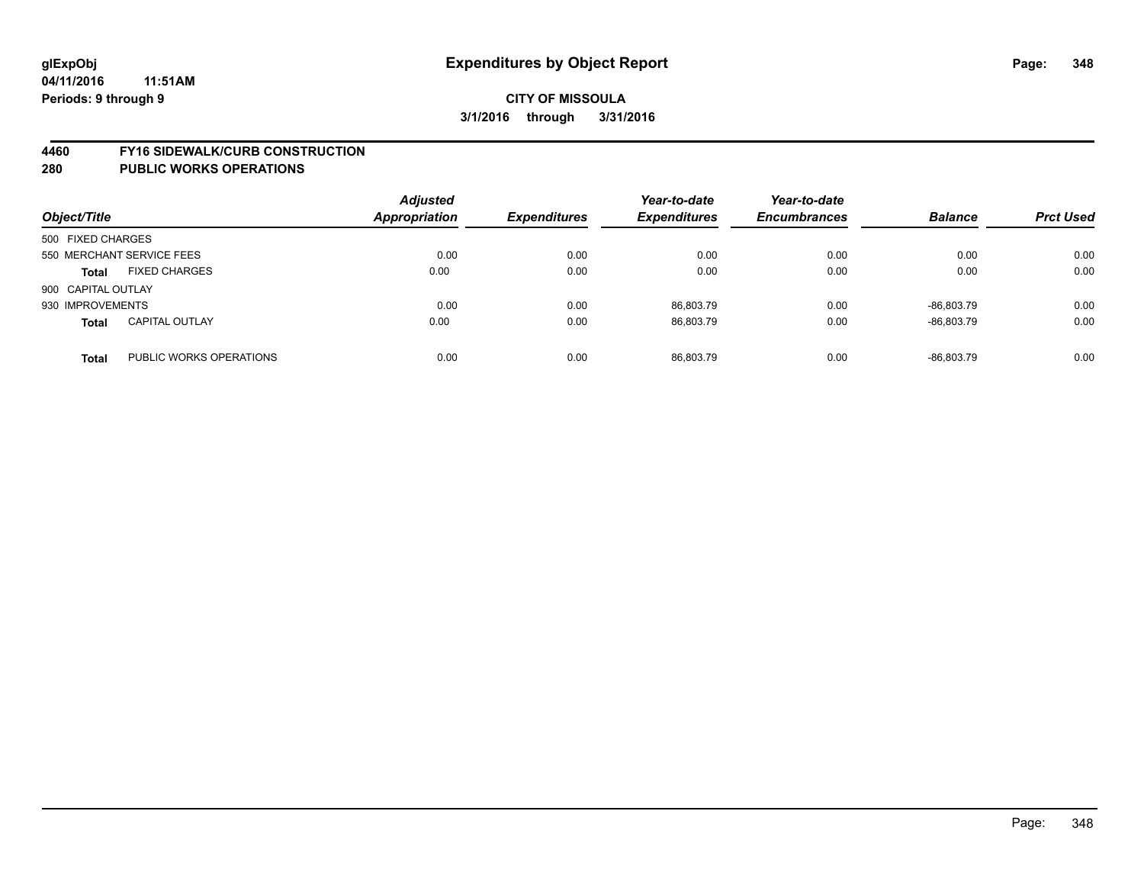#### **4460 FY16 SIDEWALK/CURB CONSTRUCTION**

| Object/Title       |                           | <b>Adjusted</b><br>Appropriation | <b>Expenditures</b> | Year-to-date<br><b>Expenditures</b> | Year-to-date<br><b>Encumbrances</b> | <b>Balance</b> | <b>Prct Used</b> |
|--------------------|---------------------------|----------------------------------|---------------------|-------------------------------------|-------------------------------------|----------------|------------------|
| 500 FIXED CHARGES  |                           |                                  |                     |                                     |                                     |                |                  |
|                    | 550 MERCHANT SERVICE FEES | 0.00                             | 0.00                | 0.00                                | 0.00                                | 0.00           | 0.00             |
| <b>Total</b>       | <b>FIXED CHARGES</b>      | 0.00                             | 0.00                | 0.00                                | 0.00                                | 0.00           | 0.00             |
| 900 CAPITAL OUTLAY |                           |                                  |                     |                                     |                                     |                |                  |
| 930 IMPROVEMENTS   |                           | 0.00                             | 0.00                | 86,803.79                           | 0.00                                | -86.803.79     | 0.00             |
| <b>Total</b>       | <b>CAPITAL OUTLAY</b>     | 0.00                             | 0.00                | 86.803.79                           | 0.00                                | -86.803.79     | 0.00             |
| <b>Total</b>       | PUBLIC WORKS OPERATIONS   | 0.00                             | 0.00                | 86.803.79                           | 0.00                                | -86.803.79     | 0.00             |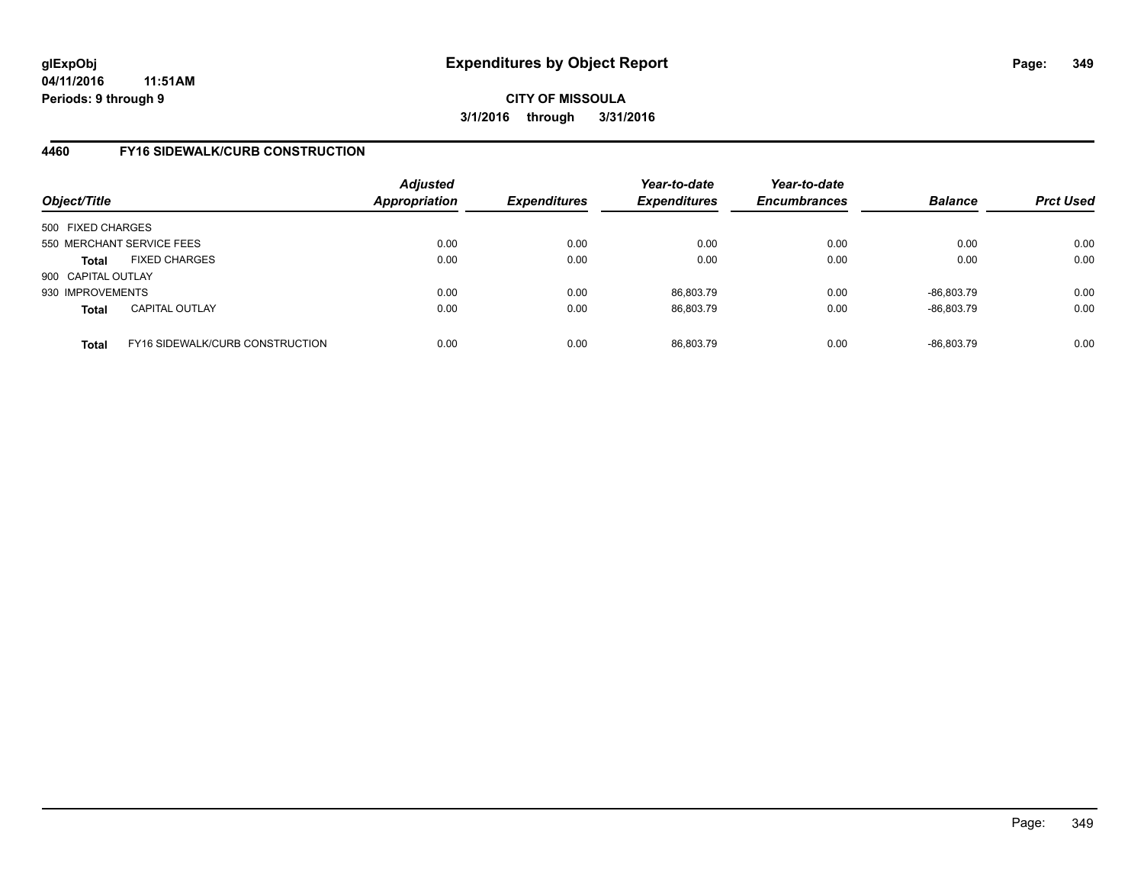### **4460 FY16 SIDEWALK/CURB CONSTRUCTION**

| Object/Title       |                                 | <b>Adjusted</b><br>Appropriation | <b>Expenditures</b> | Year-to-date<br><b>Expenditures</b> | Year-to-date<br><b>Encumbrances</b> | <b>Balance</b> | <b>Prct Used</b> |
|--------------------|---------------------------------|----------------------------------|---------------------|-------------------------------------|-------------------------------------|----------------|------------------|
| 500 FIXED CHARGES  |                                 |                                  |                     |                                     |                                     |                |                  |
|                    | 550 MERCHANT SERVICE FEES       | 0.00                             | 0.00                | 0.00                                | 0.00                                | 0.00           | 0.00             |
| <b>Total</b>       | <b>FIXED CHARGES</b>            | 0.00                             | 0.00                | 0.00                                | 0.00                                | 0.00           | 0.00             |
| 900 CAPITAL OUTLAY |                                 |                                  |                     |                                     |                                     |                |                  |
| 930 IMPROVEMENTS   |                                 | 0.00                             | 0.00                | 86.803.79                           | 0.00                                | -86.803.79     | 0.00             |
| <b>Total</b>       | <b>CAPITAL OUTLAY</b>           | 0.00                             | 0.00                | 86,803.79                           | 0.00                                | $-86,803.79$   | 0.00             |
| <b>Total</b>       | FY16 SIDEWALK/CURB CONSTRUCTION | 0.00                             | 0.00                | 86.803.79                           | 0.00                                | -86.803.79     | 0.00             |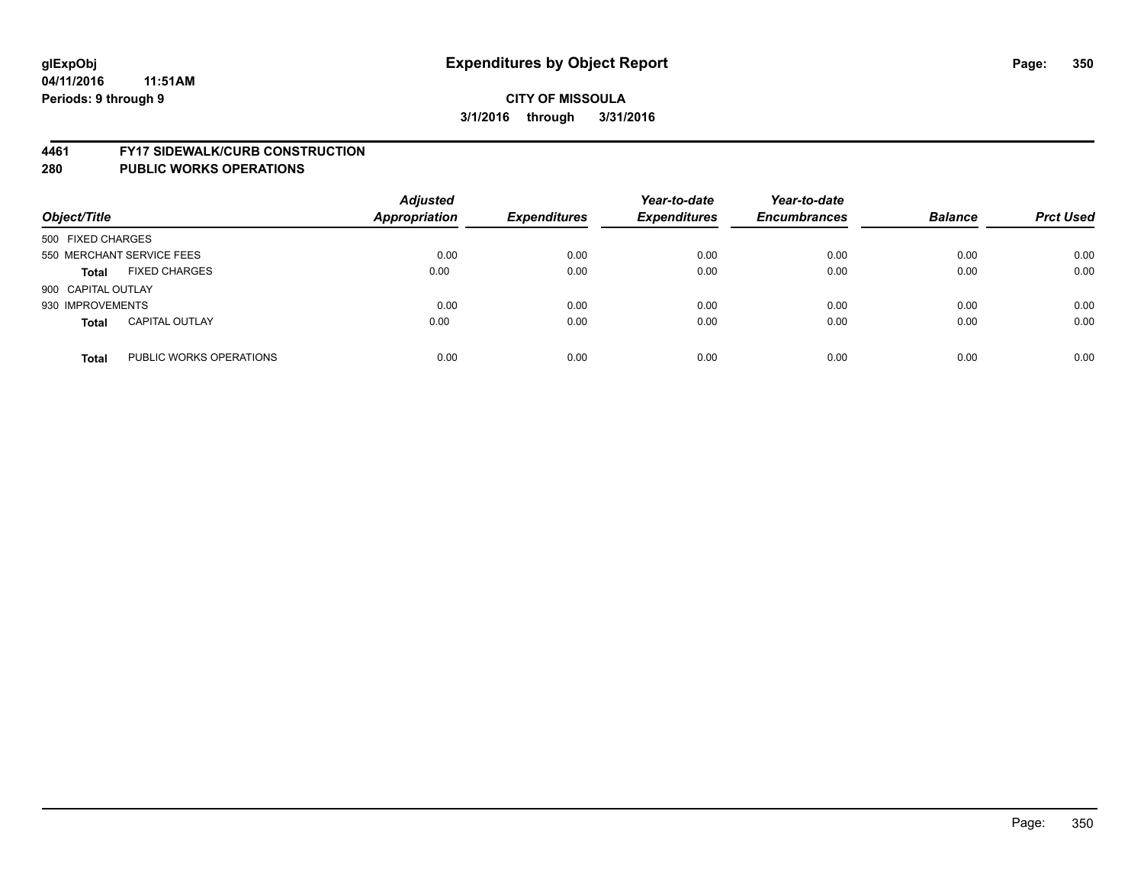#### **4461 FY17 SIDEWALK/CURB CONSTRUCTION**

| Object/Title       |                           | <b>Adjusted</b><br><b>Appropriation</b> | <b>Expenditures</b> | Year-to-date<br><b>Expenditures</b> | Year-to-date<br><b>Encumbrances</b> | <b>Balance</b> | <b>Prct Used</b> |
|--------------------|---------------------------|-----------------------------------------|---------------------|-------------------------------------|-------------------------------------|----------------|------------------|
| 500 FIXED CHARGES  |                           |                                         |                     |                                     |                                     |                |                  |
|                    | 550 MERCHANT SERVICE FEES | 0.00                                    | 0.00                | 0.00                                | 0.00                                | 0.00           | 0.00             |
| <b>Total</b>       | <b>FIXED CHARGES</b>      | 0.00                                    | 0.00                | 0.00                                | 0.00                                | 0.00           | 0.00             |
| 900 CAPITAL OUTLAY |                           |                                         |                     |                                     |                                     |                |                  |
| 930 IMPROVEMENTS   |                           | 0.00                                    | 0.00                | 0.00                                | 0.00                                | 0.00           | 0.00             |
| <b>Total</b>       | <b>CAPITAL OUTLAY</b>     | 0.00                                    | 0.00                | 0.00                                | 0.00                                | 0.00           | 0.00             |
| <b>Total</b>       | PUBLIC WORKS OPERATIONS   | 0.00                                    | 0.00                | 0.00                                | 0.00                                | 0.00           | 0.00             |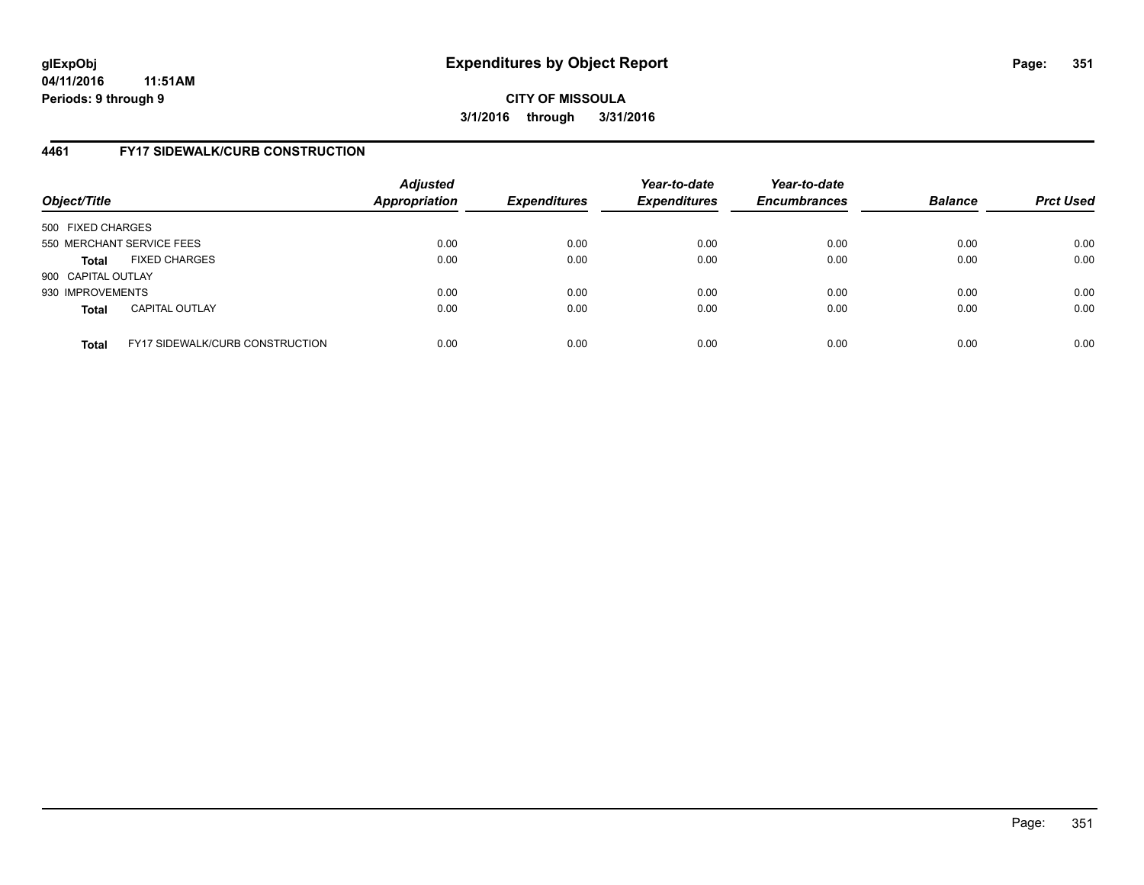## **4461 FY17 SIDEWALK/CURB CONSTRUCTION**

| Object/Title       |                                        | <b>Adjusted</b><br>Appropriation | <b>Expenditures</b> | Year-to-date<br><b>Expenditures</b> | Year-to-date<br><b>Encumbrances</b> | <b>Balance</b> | <b>Prct Used</b> |
|--------------------|----------------------------------------|----------------------------------|---------------------|-------------------------------------|-------------------------------------|----------------|------------------|
| 500 FIXED CHARGES  |                                        |                                  |                     |                                     |                                     |                |                  |
|                    | 550 MERCHANT SERVICE FEES              | 0.00                             | 0.00                | 0.00                                | 0.00                                | 0.00           | 0.00             |
| <b>Total</b>       | <b>FIXED CHARGES</b>                   | 0.00                             | 0.00                | 0.00                                | 0.00                                | 0.00           | 0.00             |
| 900 CAPITAL OUTLAY |                                        |                                  |                     |                                     |                                     |                |                  |
| 930 IMPROVEMENTS   |                                        | 0.00                             | 0.00                | 0.00                                | 0.00                                | 0.00           | 0.00             |
| <b>Total</b>       | <b>CAPITAL OUTLAY</b>                  | 0.00                             | 0.00                | 0.00                                | 0.00                                | 0.00           | 0.00             |
| <b>Total</b>       | <b>FY17 SIDEWALK/CURB CONSTRUCTION</b> | 0.00                             | 0.00                | 0.00                                | 0.00                                | 0.00           | 0.00             |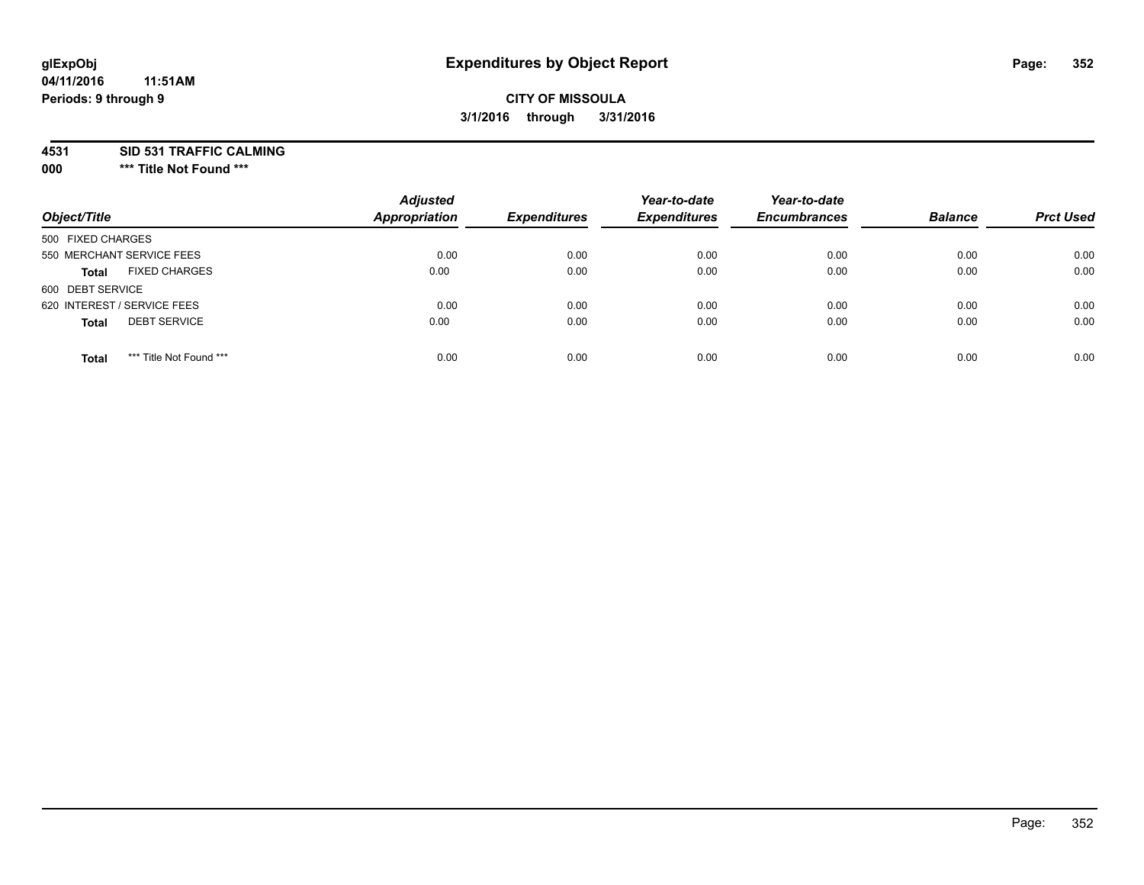# **glExpObj Expenditures by Object Report Page: 352**

#### **04/11/2016 11:51AM Periods: 9 through 9**

## **CITY OF MISSOULA 3/1/2016 through 3/31/2016**

**4531 SID 531 TRAFFIC CALMING**

**000 \*\*\* Title Not Found \*\*\***

| Object/Title                            | <b>Adjusted</b><br><b>Appropriation</b> | <b>Expenditures</b> | Year-to-date<br><b>Expenditures</b> | Year-to-date<br><b>Encumbrances</b> | <b>Balance</b> | <b>Prct Used</b> |
|-----------------------------------------|-----------------------------------------|---------------------|-------------------------------------|-------------------------------------|----------------|------------------|
| 500 FIXED CHARGES                       |                                         |                     |                                     |                                     |                |                  |
| 550 MERCHANT SERVICE FEES               | 0.00                                    | 0.00                | 0.00                                | 0.00                                | 0.00           | 0.00             |
| <b>FIXED CHARGES</b><br><b>Total</b>    | 0.00                                    | 0.00                | 0.00                                | 0.00                                | 0.00           | 0.00             |
| 600 DEBT SERVICE                        |                                         |                     |                                     |                                     |                |                  |
| 620 INTEREST / SERVICE FEES             | 0.00                                    | 0.00                | 0.00                                | 0.00                                | 0.00           | 0.00             |
| <b>DEBT SERVICE</b><br><b>Total</b>     | 0.00                                    | 0.00                | 0.00                                | 0.00                                | 0.00           | 0.00             |
| *** Title Not Found ***<br><b>Total</b> | 0.00                                    | 0.00                | 0.00                                | 0.00                                | 0.00           | 0.00             |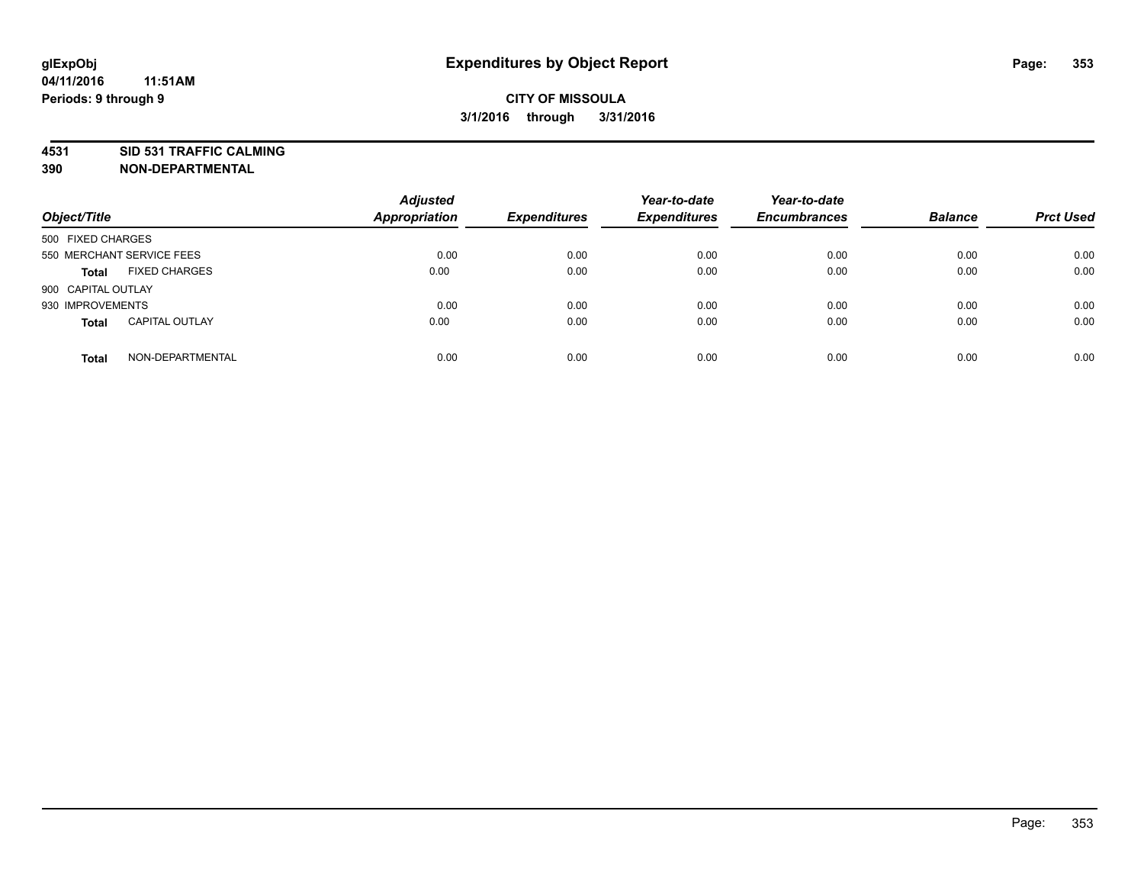## **4531 SID 531 TRAFFIC CALMING**

**390 NON-DEPARTMENTAL**

| Object/Title              |                       | <b>Adjusted</b><br>Appropriation | <b>Expenditures</b> | Year-to-date<br><b>Expenditures</b> | Year-to-date<br><b>Encumbrances</b> | <b>Balance</b> | <b>Prct Used</b> |
|---------------------------|-----------------------|----------------------------------|---------------------|-------------------------------------|-------------------------------------|----------------|------------------|
| 500 FIXED CHARGES         |                       |                                  |                     |                                     |                                     |                |                  |
| 550 MERCHANT SERVICE FEES |                       | 0.00                             | 0.00                | 0.00                                | 0.00                                | 0.00           | 0.00             |
| <b>Total</b>              | <b>FIXED CHARGES</b>  | 0.00                             | 0.00                | 0.00                                | 0.00                                | 0.00           | 0.00             |
| 900 CAPITAL OUTLAY        |                       |                                  |                     |                                     |                                     |                |                  |
| 930 IMPROVEMENTS          |                       | 0.00                             | 0.00                | 0.00                                | 0.00                                | 0.00           | 0.00             |
| <b>Total</b>              | <b>CAPITAL OUTLAY</b> | 0.00                             | 0.00                | 0.00                                | 0.00                                | 0.00           | 0.00             |
| <b>Total</b>              | NON-DEPARTMENTAL      | 0.00                             | 0.00                | 0.00                                | 0.00                                | 0.00           | 0.00             |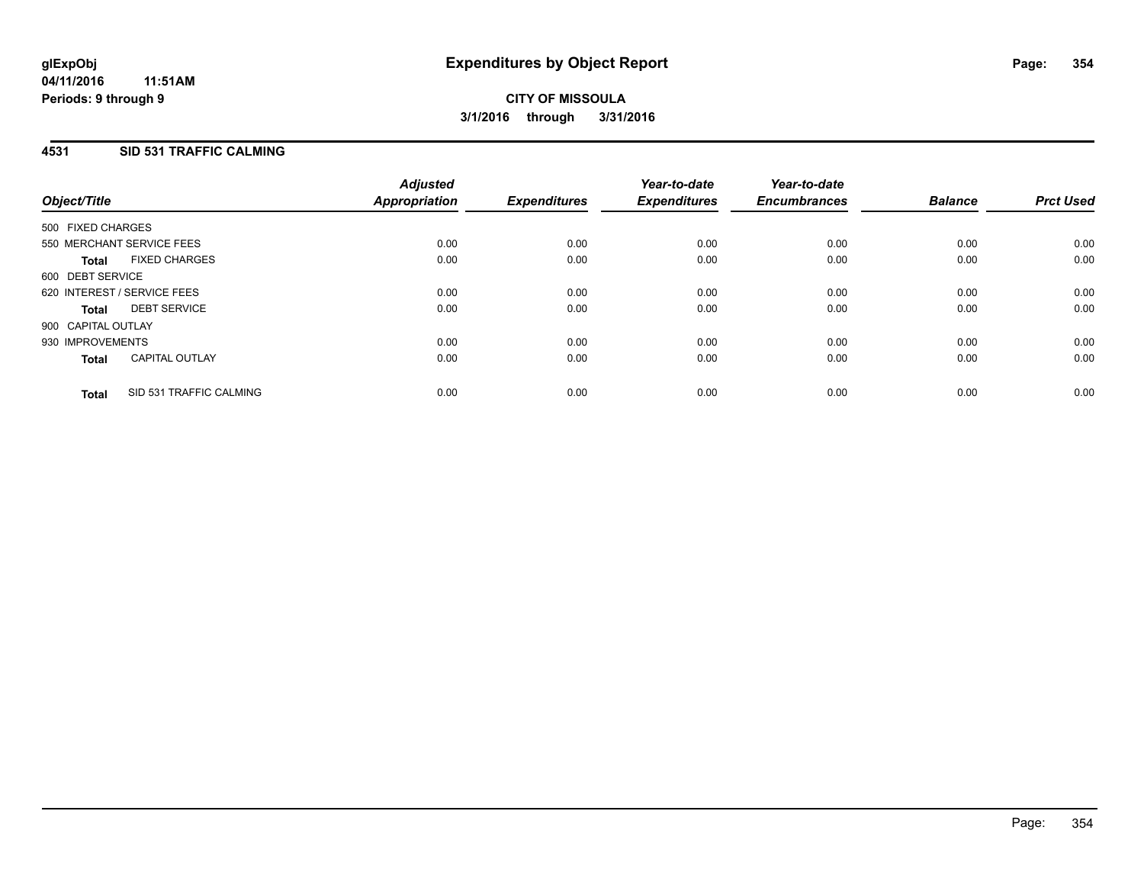#### **4531 SID 531 TRAFFIC CALMING**

| Object/Title       |                             | <b>Adjusted</b><br>Appropriation | <b>Expenditures</b> | Year-to-date<br><b>Expenditures</b> | Year-to-date<br><b>Encumbrances</b> | <b>Balance</b> | <b>Prct Used</b> |
|--------------------|-----------------------------|----------------------------------|---------------------|-------------------------------------|-------------------------------------|----------------|------------------|
| 500 FIXED CHARGES  |                             |                                  |                     |                                     |                                     |                |                  |
|                    | 550 MERCHANT SERVICE FEES   | 0.00                             | 0.00                | 0.00                                | 0.00                                | 0.00           | 0.00             |
| <b>Total</b>       | <b>FIXED CHARGES</b>        | 0.00                             | 0.00                | 0.00                                | 0.00                                | 0.00           | 0.00             |
| 600 DEBT SERVICE   |                             |                                  |                     |                                     |                                     |                |                  |
|                    | 620 INTEREST / SERVICE FEES | 0.00                             | 0.00                | 0.00                                | 0.00                                | 0.00           | 0.00             |
| Total              | <b>DEBT SERVICE</b>         | 0.00                             | 0.00                | 0.00                                | 0.00                                | 0.00           | 0.00             |
| 900 CAPITAL OUTLAY |                             |                                  |                     |                                     |                                     |                |                  |
| 930 IMPROVEMENTS   |                             | 0.00                             | 0.00                | 0.00                                | 0.00                                | 0.00           | 0.00             |
| <b>Total</b>       | <b>CAPITAL OUTLAY</b>       | 0.00                             | 0.00                | 0.00                                | 0.00                                | 0.00           | 0.00             |
| <b>Total</b>       | SID 531 TRAFFIC CALMING     | 0.00                             | 0.00                | 0.00                                | 0.00                                | 0.00           | 0.00             |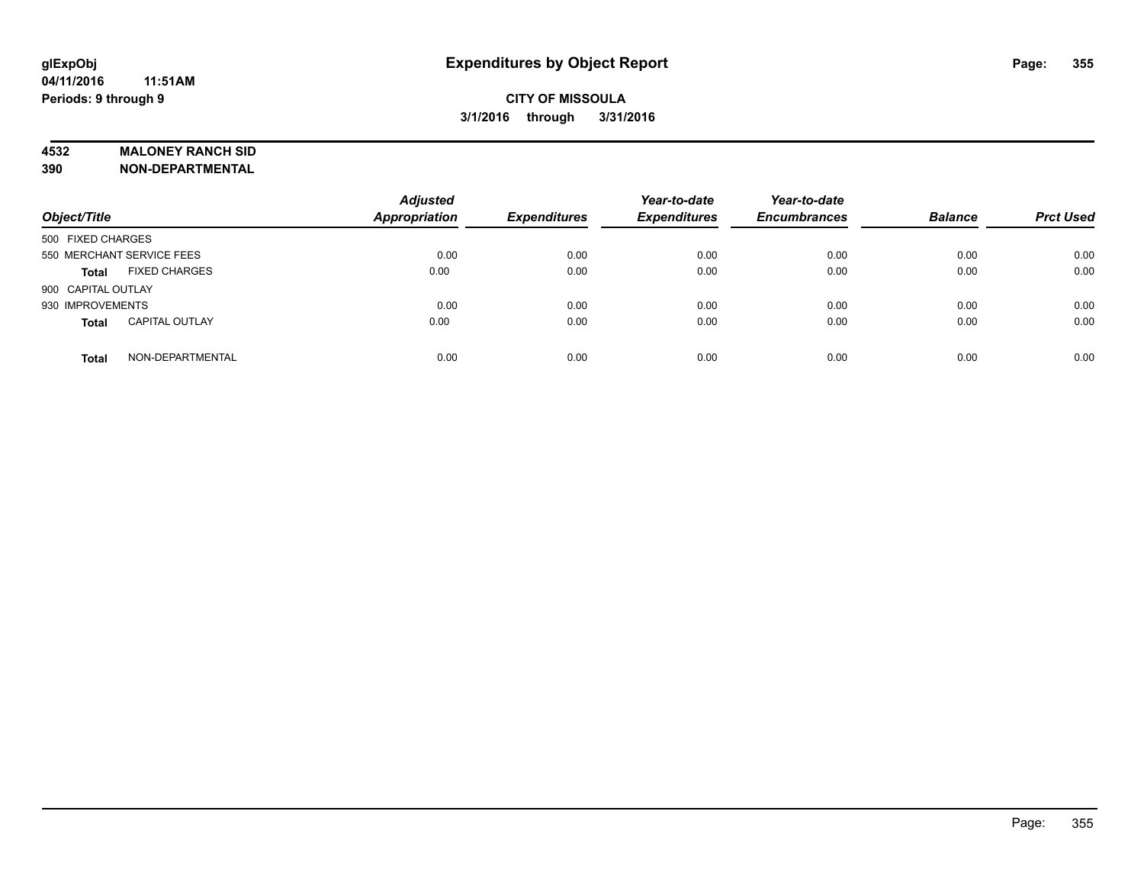#### **4532 MALONEY RANCH SID**

**390 NON-DEPARTMENTAL**

| Object/Title                          | <b>Adjusted</b><br><b>Appropriation</b> | <b>Expenditures</b> | Year-to-date<br><b>Expenditures</b> | Year-to-date<br><b>Encumbrances</b> | <b>Balance</b> | <b>Prct Used</b> |
|---------------------------------------|-----------------------------------------|---------------------|-------------------------------------|-------------------------------------|----------------|------------------|
| 500 FIXED CHARGES                     |                                         |                     |                                     |                                     |                |                  |
| 550 MERCHANT SERVICE FEES             | 0.00                                    | 0.00                | 0.00                                | 0.00                                | 0.00           | 0.00             |
| <b>FIXED CHARGES</b><br><b>Total</b>  | 0.00                                    | 0.00                | 0.00                                | 0.00                                | 0.00           | 0.00             |
| 900 CAPITAL OUTLAY                    |                                         |                     |                                     |                                     |                |                  |
| 930 IMPROVEMENTS                      | 0.00                                    | 0.00                | 0.00                                | 0.00                                | 0.00           | 0.00             |
| <b>CAPITAL OUTLAY</b><br><b>Total</b> | 0.00                                    | 0.00                | 0.00                                | 0.00                                | 0.00           | 0.00             |
| NON-DEPARTMENTAL<br><b>Total</b>      | 0.00                                    | 0.00                | 0.00                                | 0.00                                | 0.00           | 0.00             |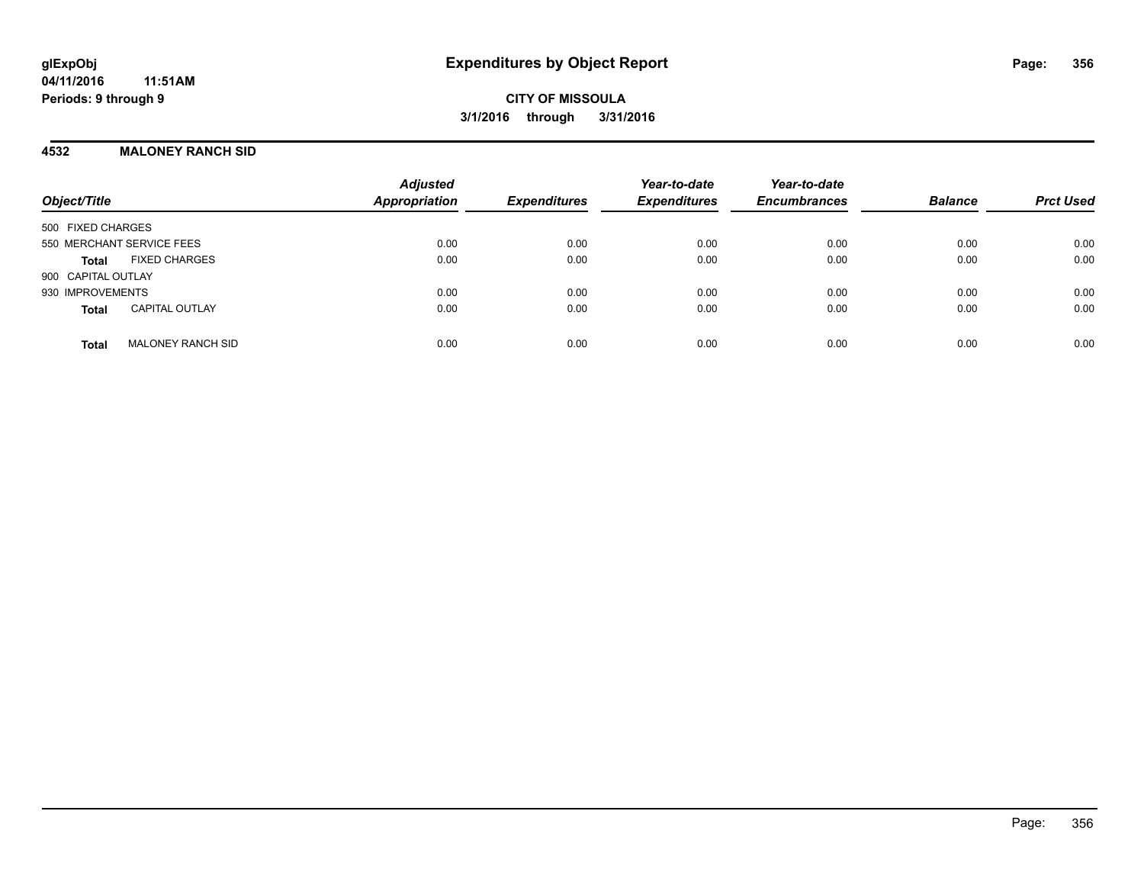#### **4532 MALONEY RANCH SID**

| Object/Title                             | <b>Adjusted</b><br><b>Appropriation</b> | <b>Expenditures</b> | Year-to-date<br><b>Expenditures</b> | Year-to-date<br><b>Encumbrances</b> | <b>Balance</b> | <b>Prct Used</b> |
|------------------------------------------|-----------------------------------------|---------------------|-------------------------------------|-------------------------------------|----------------|------------------|
| 500 FIXED CHARGES                        |                                         |                     |                                     |                                     |                |                  |
| 550 MERCHANT SERVICE FEES                | 0.00                                    | 0.00                | 0.00                                | 0.00                                | 0.00           | 0.00             |
| <b>FIXED CHARGES</b><br>Total            | 0.00                                    | 0.00                | 0.00                                | 0.00                                | 0.00           | 0.00             |
| 900 CAPITAL OUTLAY                       |                                         |                     |                                     |                                     |                |                  |
| 930 IMPROVEMENTS                         | 0.00                                    | 0.00                | 0.00                                | 0.00                                | 0.00           | 0.00             |
| <b>CAPITAL OUTLAY</b><br><b>Total</b>    | 0.00                                    | 0.00                | 0.00                                | 0.00                                | 0.00           | 0.00             |
| <b>MALONEY RANCH SID</b><br><b>Total</b> | 0.00                                    | 0.00                | 0.00                                | 0.00                                | 0.00           | 0.00             |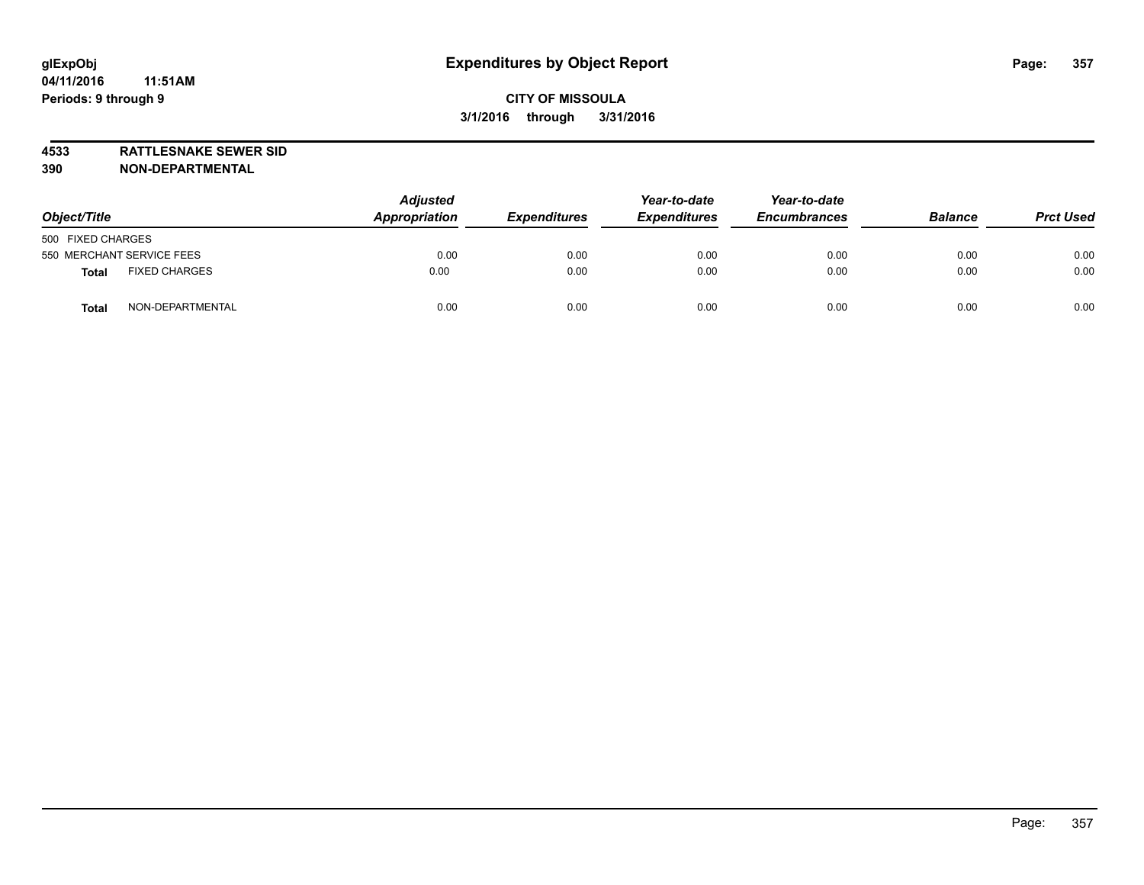**4533 RATTLESNAKE SEWER SID 390 NON-DEPARTMENTAL**

| Object/Title                         | <b>Adjusted</b><br>Appropriation | <b>Expenditures</b> | Year-to-date<br><b>Expenditures</b> | Year-to-date<br><b>Encumbrances</b> | <b>Balance</b> | <b>Prct Used</b> |
|--------------------------------------|----------------------------------|---------------------|-------------------------------------|-------------------------------------|----------------|------------------|
| 500 FIXED CHARGES                    |                                  |                     |                                     |                                     |                |                  |
| 550 MERCHANT SERVICE FEES            | 0.00                             | 0.00                | 0.00                                | 0.00                                | 0.00           | 0.00             |
| <b>FIXED CHARGES</b><br><b>Total</b> | 0.00                             | 0.00                | 0.00                                | 0.00                                | 0.00           | 0.00             |
| NON-DEPARTMENTAL<br><b>Total</b>     | 0.00                             | 0.00                | 0.00                                | 0.00                                | 0.00           | 0.00             |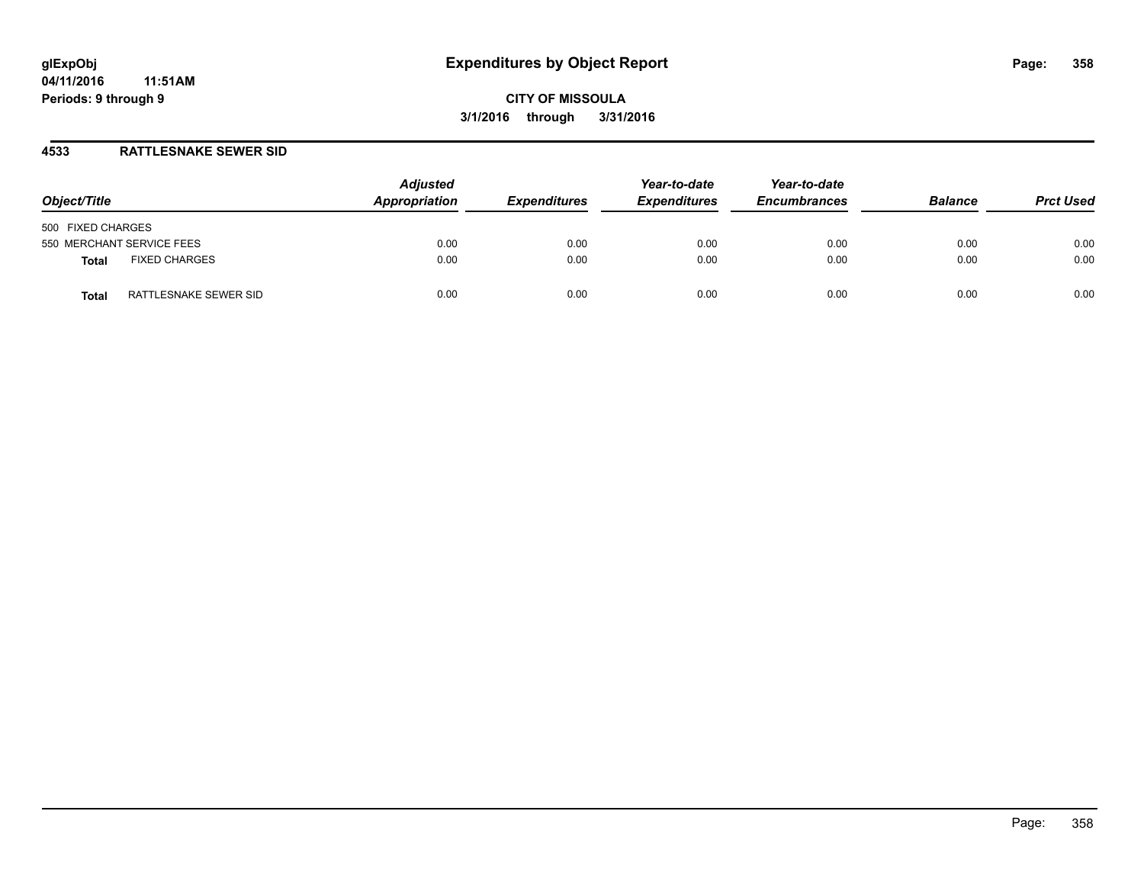#### **4533 RATTLESNAKE SEWER SID**

| Object/Title                         | <b>Adjusted</b><br>Appropriation | <b>Expenditures</b> | Year-to-date<br><b>Expenditures</b> | Year-to-date<br><b>Encumbrances</b> | <b>Balance</b> | <b>Prct Used</b> |
|--------------------------------------|----------------------------------|---------------------|-------------------------------------|-------------------------------------|----------------|------------------|
| 500 FIXED CHARGES                    |                                  |                     |                                     |                                     |                |                  |
| 550 MERCHANT SERVICE FEES            | 0.00                             | 0.00                | 0.00                                | 0.00                                | 0.00           | 0.00             |
| <b>FIXED CHARGES</b><br><b>Total</b> | 0.00                             | 0.00                | 0.00                                | 0.00                                | 0.00           | 0.00             |
| RATTLESNAKE SEWER SID<br>Total       | 0.00                             | 0.00                | 0.00                                | 0.00                                | 0.00           | 0.00             |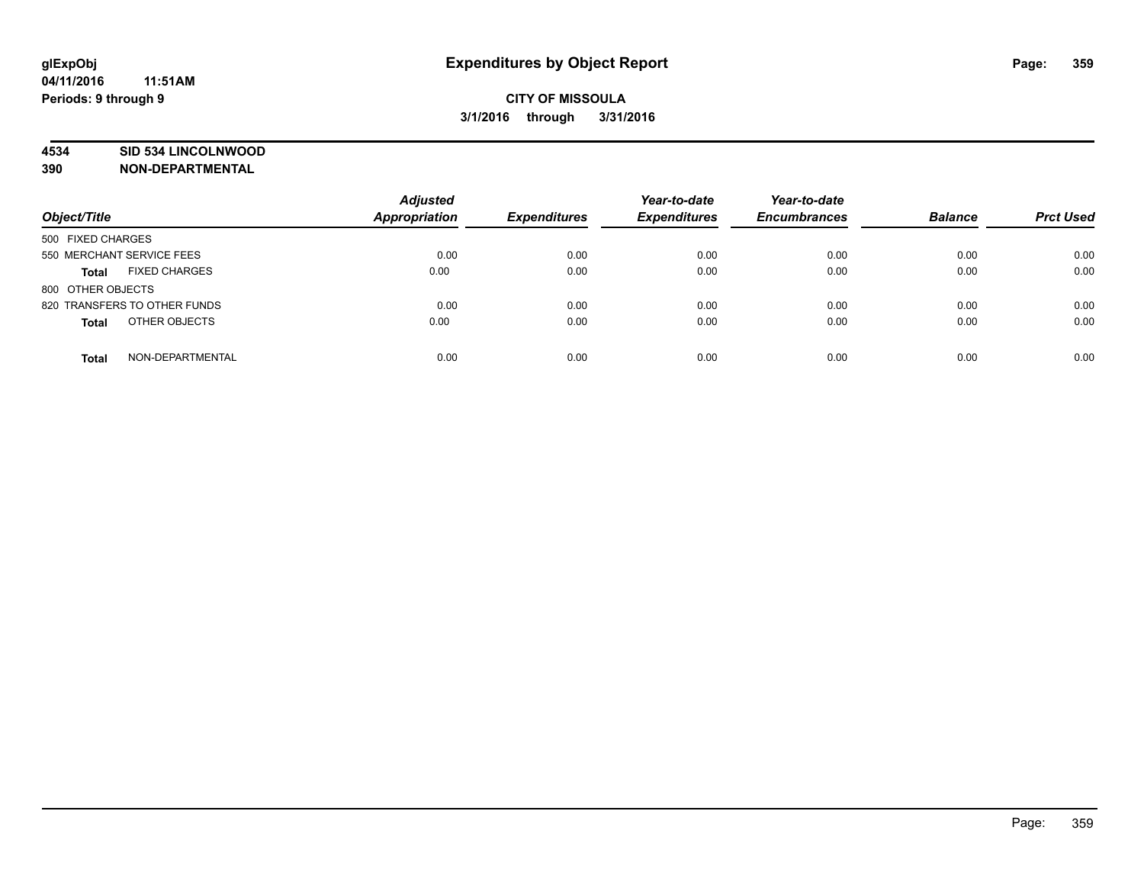#### **4534 SID 534 LINCOLNWOOD**

**390 NON-DEPARTMENTAL**

| Object/Title                         | <b>Adjusted</b><br>Appropriation | <b>Expenditures</b> | Year-to-date<br><b>Expenditures</b> | Year-to-date<br><b>Encumbrances</b> | <b>Balance</b> | <b>Prct Used</b> |
|--------------------------------------|----------------------------------|---------------------|-------------------------------------|-------------------------------------|----------------|------------------|
| 500 FIXED CHARGES                    |                                  |                     |                                     |                                     |                |                  |
| 550 MERCHANT SERVICE FEES            | 0.00                             | 0.00                | 0.00                                | 0.00                                | 0.00           | 0.00             |
| <b>FIXED CHARGES</b><br><b>Total</b> | 0.00                             | 0.00                | 0.00                                | 0.00                                | 0.00           | 0.00             |
| 800 OTHER OBJECTS                    |                                  |                     |                                     |                                     |                |                  |
| 820 TRANSFERS TO OTHER FUNDS         | 0.00                             | 0.00                | 0.00                                | 0.00                                | 0.00           | 0.00             |
| OTHER OBJECTS<br><b>Total</b>        | 0.00                             | 0.00                | 0.00                                | 0.00                                | 0.00           | 0.00             |
| NON-DEPARTMENTAL<br><b>Total</b>     | 0.00                             | 0.00                | 0.00                                | 0.00                                | 0.00           | 0.00             |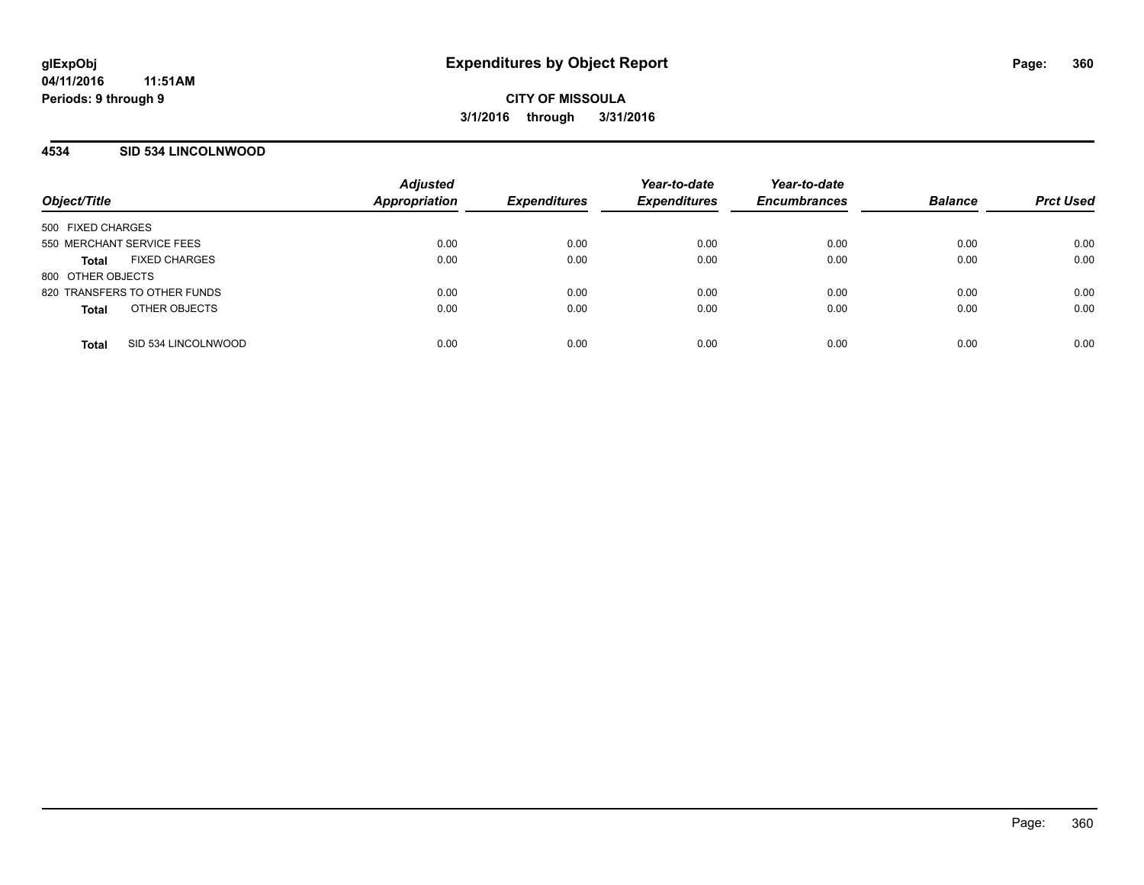### **4534 SID 534 LINCOLNWOOD**

| Object/Title                         | <b>Adjusted</b><br>Appropriation | <b>Expenditures</b> | Year-to-date<br><b>Expenditures</b> | Year-to-date<br><b>Encumbrances</b> | <b>Balance</b> | <b>Prct Used</b> |
|--------------------------------------|----------------------------------|---------------------|-------------------------------------|-------------------------------------|----------------|------------------|
| 500 FIXED CHARGES                    |                                  |                     |                                     |                                     |                |                  |
| 550 MERCHANT SERVICE FEES            | 0.00                             | 0.00                | 0.00                                | 0.00                                | 0.00           | 0.00             |
| <b>FIXED CHARGES</b><br><b>Total</b> | 0.00                             | 0.00                | 0.00                                | 0.00                                | 0.00           | 0.00             |
| 800 OTHER OBJECTS                    |                                  |                     |                                     |                                     |                |                  |
| 820 TRANSFERS TO OTHER FUNDS         | 0.00                             | 0.00                | 0.00                                | 0.00                                | 0.00           | 0.00             |
| OTHER OBJECTS<br><b>Total</b>        | 0.00                             | 0.00                | 0.00                                | 0.00                                | 0.00           | 0.00             |
| SID 534 LINCOLNWOOD<br><b>Total</b>  | 0.00                             | 0.00                | 0.00                                | 0.00                                | 0.00           | 0.00             |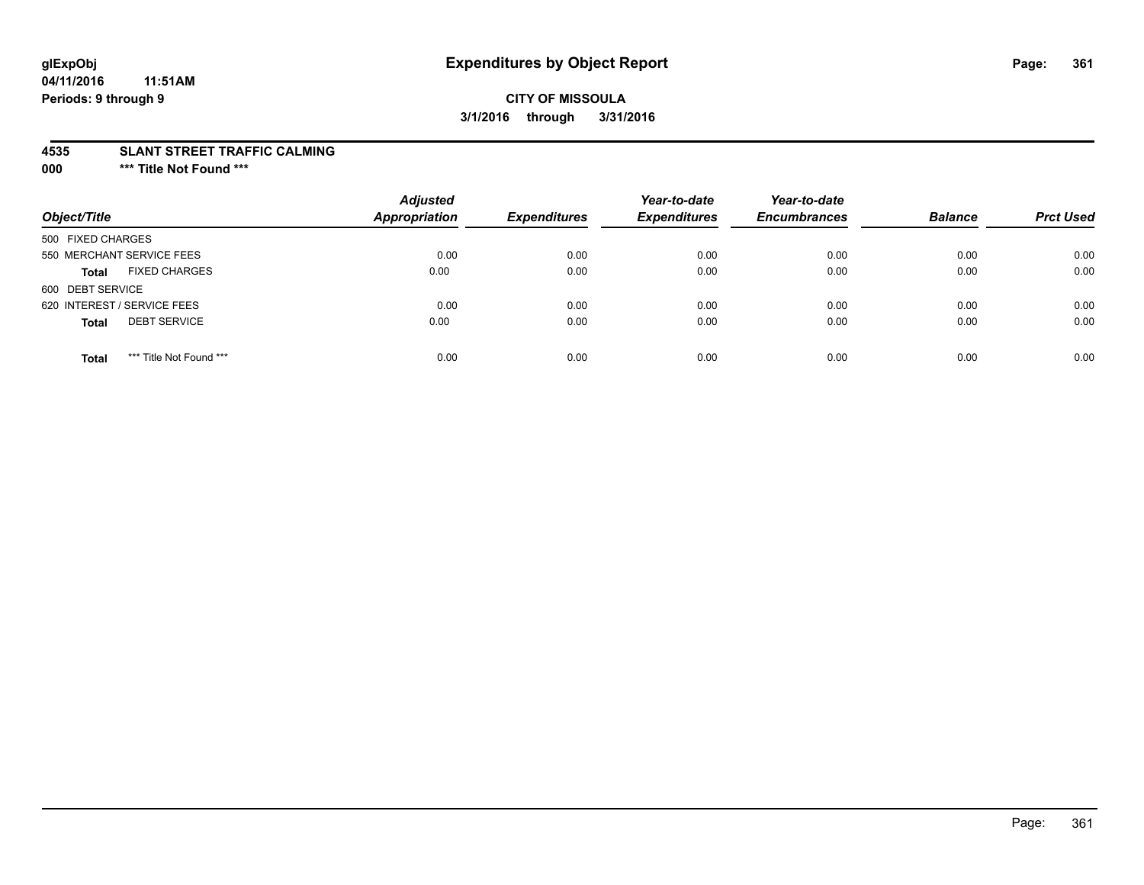# **glExpObj Expenditures by Object Report Page: 361**

#### **04/11/2016 11:51AM Periods: 9 through 9**

### **CITY OF MISSOULA 3/1/2016 through 3/31/2016**

#### **4535 SLANT STREET TRAFFIC CALMING**

**000 \*\*\* Title Not Found \*\*\***

| Object/Title                            | <b>Adjusted</b><br>Appropriation | <b>Expenditures</b> | Year-to-date<br><b>Expenditures</b> | Year-to-date<br><b>Encumbrances</b> | <b>Balance</b> | <b>Prct Used</b> |
|-----------------------------------------|----------------------------------|---------------------|-------------------------------------|-------------------------------------|----------------|------------------|
| 500 FIXED CHARGES                       |                                  |                     |                                     |                                     |                |                  |
| 550 MERCHANT SERVICE FEES               | 0.00                             | 0.00                | 0.00                                | 0.00                                | 0.00           | 0.00             |
| <b>FIXED CHARGES</b><br><b>Total</b>    | 0.00                             | 0.00                | 0.00                                | 0.00                                | 0.00           | 0.00             |
| 600 DEBT SERVICE                        |                                  |                     |                                     |                                     |                |                  |
| 620 INTEREST / SERVICE FEES             | 0.00                             | 0.00                | 0.00                                | 0.00                                | 0.00           | 0.00             |
| <b>DEBT SERVICE</b><br><b>Total</b>     | 0.00                             | 0.00                | 0.00                                | 0.00                                | 0.00           | 0.00             |
| *** Title Not Found ***<br><b>Total</b> | 0.00                             | 0.00                | 0.00                                | 0.00                                | 0.00           | 0.00             |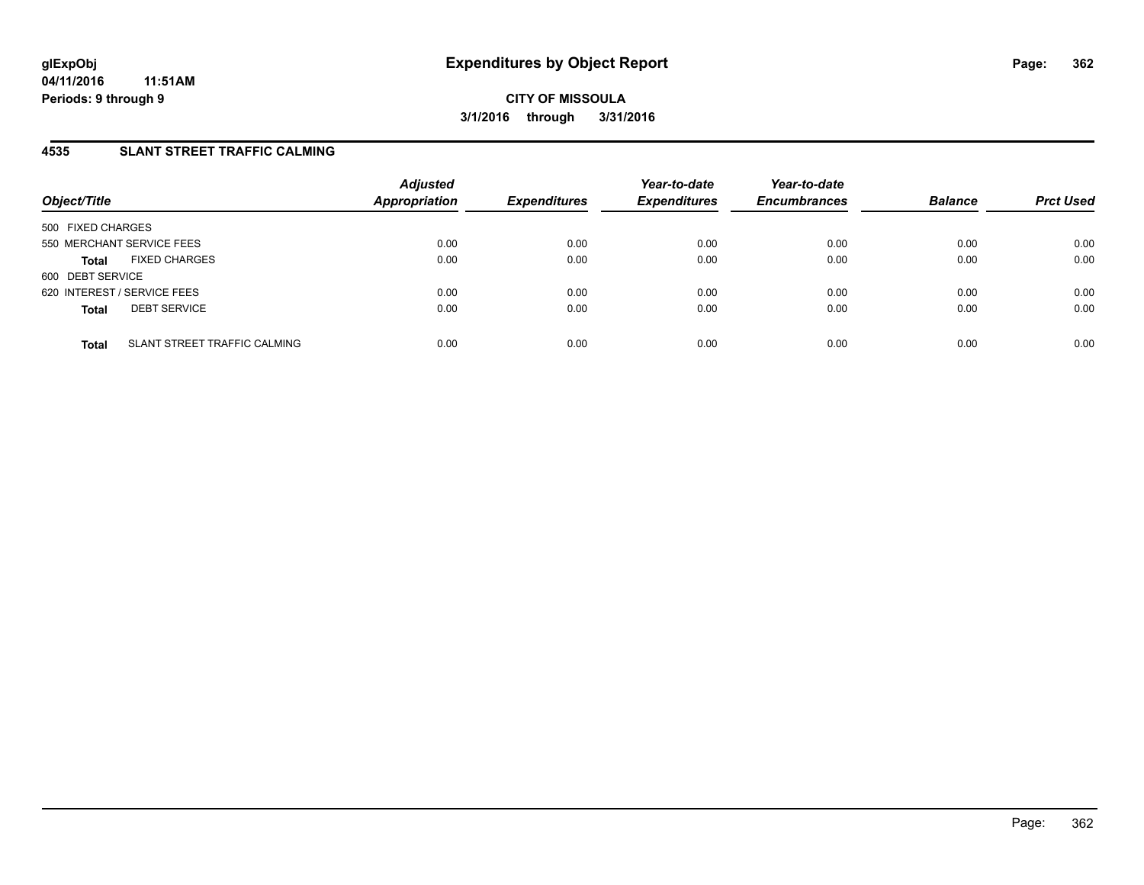### **4535 SLANT STREET TRAFFIC CALMING**

| Object/Title                                 | <b>Adjusted</b><br>Appropriation | <b>Expenditures</b> | Year-to-date<br><b>Expenditures</b> | Year-to-date<br><b>Encumbrances</b> | <b>Balance</b> | <b>Prct Used</b> |
|----------------------------------------------|----------------------------------|---------------------|-------------------------------------|-------------------------------------|----------------|------------------|
| 500 FIXED CHARGES                            |                                  |                     |                                     |                                     |                |                  |
| 550 MERCHANT SERVICE FEES                    | 0.00                             | 0.00                | 0.00                                | 0.00                                | 0.00           | 0.00             |
| <b>FIXED CHARGES</b><br><b>Total</b>         | 0.00                             | 0.00                | 0.00                                | 0.00                                | 0.00           | 0.00             |
| 600 DEBT SERVICE                             |                                  |                     |                                     |                                     |                |                  |
| 620 INTEREST / SERVICE FEES                  | 0.00                             | 0.00                | 0.00                                | 0.00                                | 0.00           | 0.00             |
| <b>DEBT SERVICE</b><br><b>Total</b>          | 0.00                             | 0.00                | 0.00                                | 0.00                                | 0.00           | 0.00             |
|                                              |                                  |                     |                                     |                                     |                |                  |
| SLANT STREET TRAFFIC CALMING<br><b>Total</b> | 0.00                             | 0.00                | 0.00                                | 0.00                                | 0.00           | 0.00             |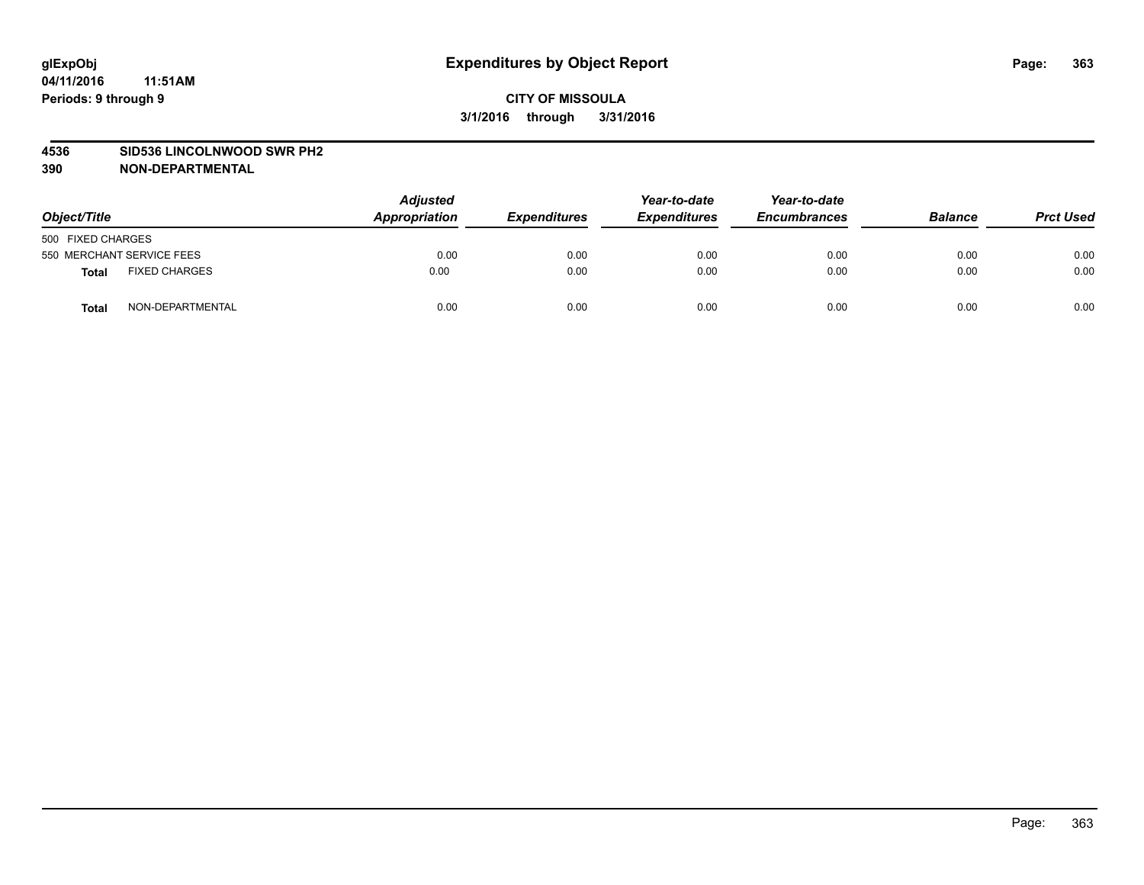#### **4536 SID536 LINCOLNWOOD SWR PH2**

| Object/Title                         | <b>Adjusted</b><br>Appropriation | <b>Expenditures</b> | Year-to-date<br><b>Expenditures</b> | Year-to-date<br><b>Encumbrances</b> | <b>Balance</b> | <b>Prct Used</b> |
|--------------------------------------|----------------------------------|---------------------|-------------------------------------|-------------------------------------|----------------|------------------|
| 500 FIXED CHARGES                    |                                  |                     |                                     |                                     |                |                  |
| 550 MERCHANT SERVICE FEES            | 0.00                             | 0.00                | 0.00                                | 0.00                                | 0.00           | 0.00             |
| <b>FIXED CHARGES</b><br><b>Total</b> | 0.00                             | 0.00                | 0.00                                | 0.00                                | 0.00           | 0.00             |
| NON-DEPARTMENTAL<br><b>Total</b>     | 0.00                             | 0.00                | 0.00                                | 0.00                                | 0.00           | 0.00             |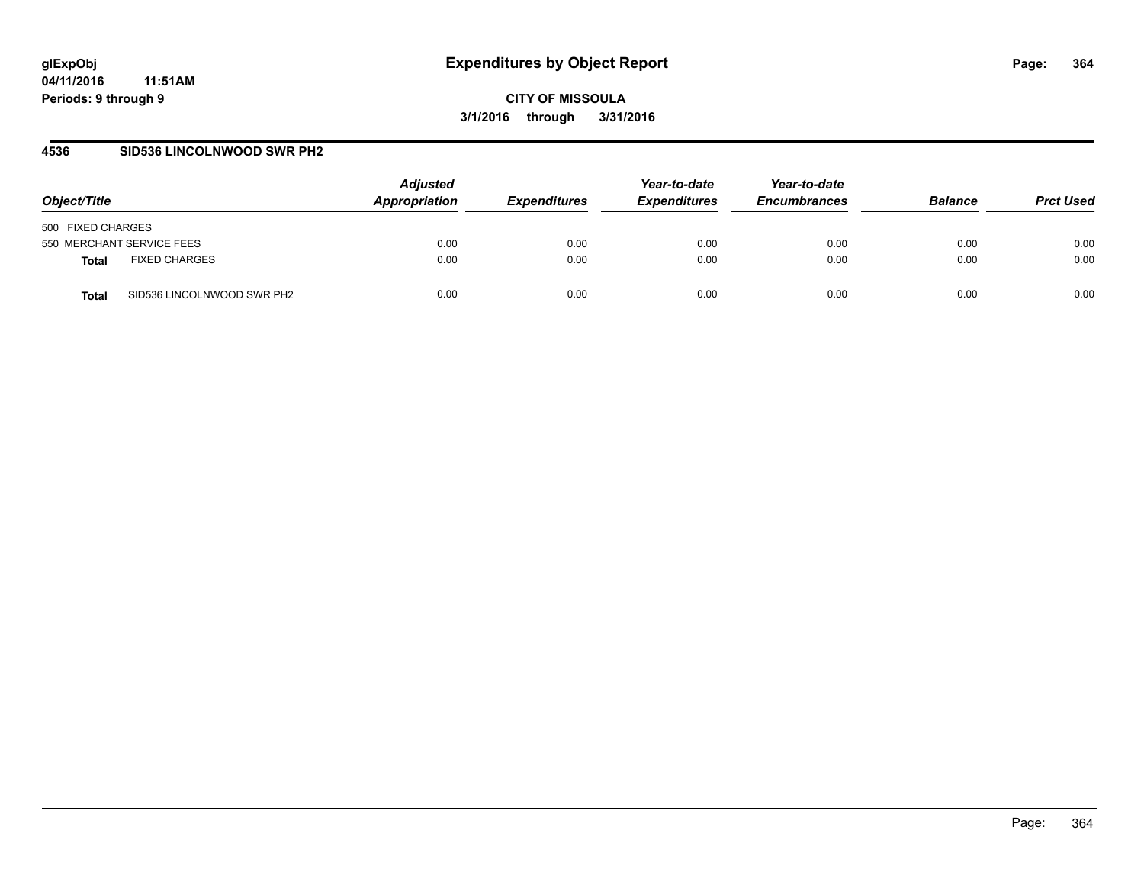#### **4536 SID536 LINCOLNWOOD SWR PH2**

| Object/Title                               | <b>Adjusted</b><br>Appropriation | <i><b>Expenditures</b></i> | Year-to-date<br><b>Expenditures</b> | Year-to-date<br><b>Encumbrances</b> | <b>Balance</b> | <b>Prct Used</b> |
|--------------------------------------------|----------------------------------|----------------------------|-------------------------------------|-------------------------------------|----------------|------------------|
| 500 FIXED CHARGES                          |                                  |                            |                                     |                                     |                |                  |
| 550 MERCHANT SERVICE FEES                  | 0.00                             | 0.00                       | 0.00                                | 0.00                                | 0.00           | 0.00             |
| <b>FIXED CHARGES</b><br>Total              | 0.00                             | 0.00                       | 0.00                                | 0.00                                | 0.00           | 0.00             |
| SID536 LINCOLNWOOD SWR PH2<br><b>Total</b> | 0.00                             | 0.00                       | 0.00                                | 0.00                                | 0.00           | 0.00             |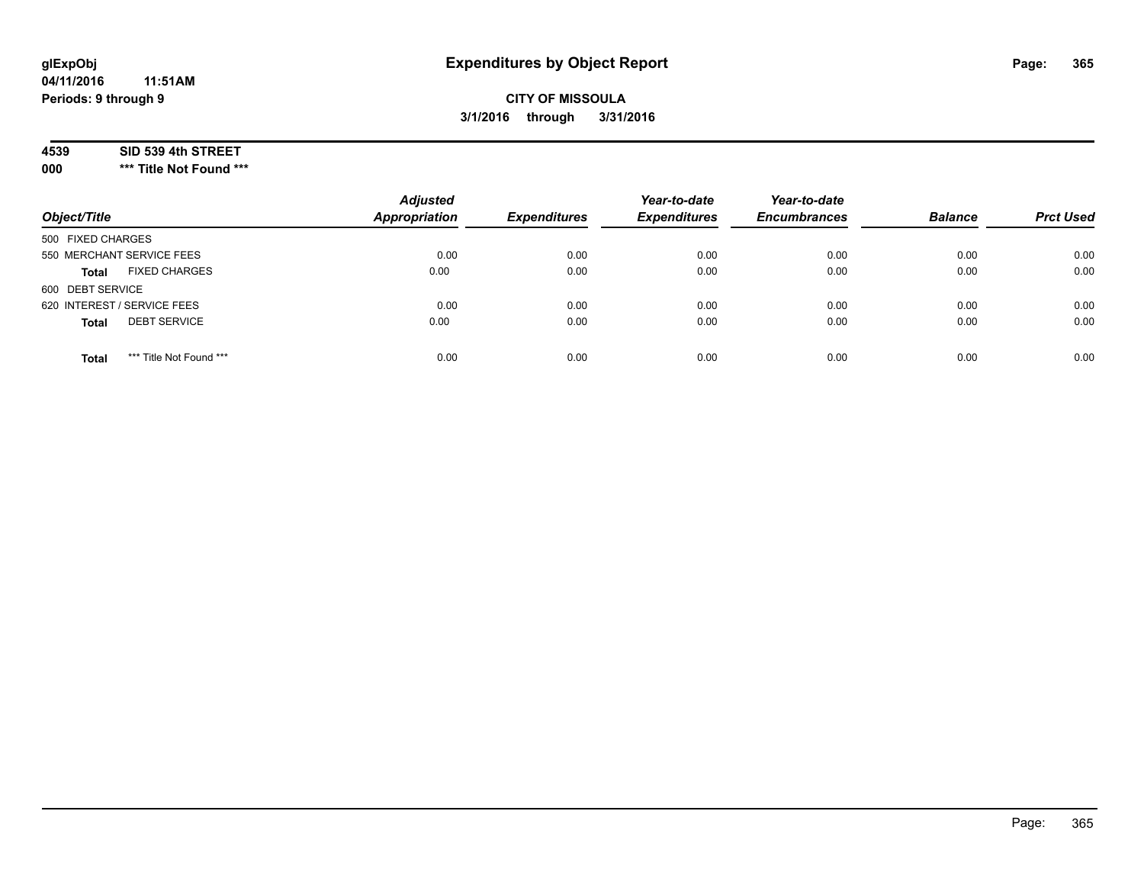#### **04/11/2016 11:51AM Periods: 9 through 9**

### **CITY OF MISSOULA 3/1/2016 through 3/31/2016**

#### **4539 SID 539 4th STREET**

**000 \*\*\* Title Not Found \*\*\***

| Object/Title                            | <b>Adjusted</b><br><b>Appropriation</b> | <b>Expenditures</b> | Year-to-date<br><b>Expenditures</b> | Year-to-date<br><b>Encumbrances</b> | <b>Balance</b> | <b>Prct Used</b> |
|-----------------------------------------|-----------------------------------------|---------------------|-------------------------------------|-------------------------------------|----------------|------------------|
| 500 FIXED CHARGES                       |                                         |                     |                                     |                                     |                |                  |
| 550 MERCHANT SERVICE FEES               | 0.00                                    | 0.00                | 0.00                                | 0.00                                | 0.00           | 0.00             |
| <b>FIXED CHARGES</b><br><b>Total</b>    | 0.00                                    | 0.00                | 0.00                                | 0.00                                | 0.00           | 0.00             |
| 600 DEBT SERVICE                        |                                         |                     |                                     |                                     |                |                  |
| 620 INTEREST / SERVICE FEES             | 0.00                                    | 0.00                | 0.00                                | 0.00                                | 0.00           | 0.00             |
| <b>DEBT SERVICE</b><br><b>Total</b>     | 0.00                                    | 0.00                | 0.00                                | 0.00                                | 0.00           | 0.00             |
| *** Title Not Found ***<br><b>Total</b> | 0.00                                    | 0.00                | 0.00                                | 0.00                                | 0.00           | 0.00             |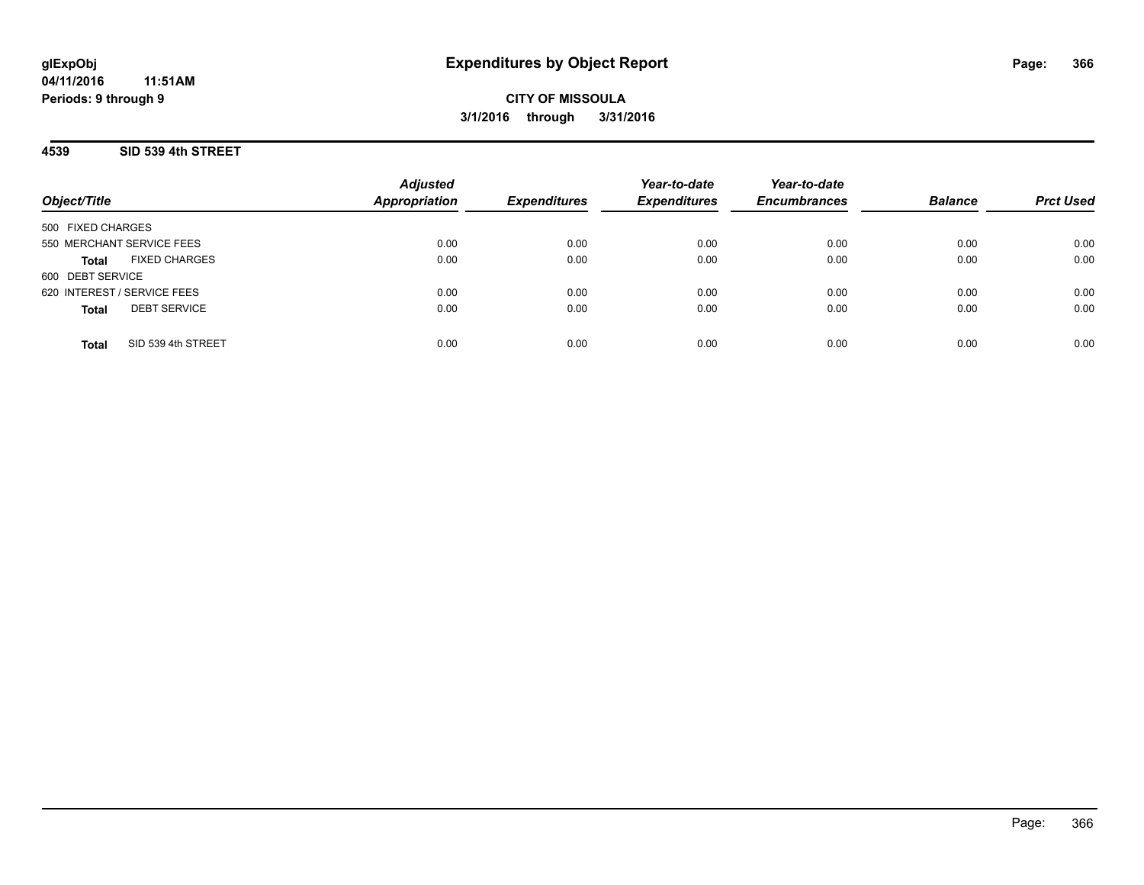### **4539 SID 539 4th STREET**

| Object/Title                         | <b>Adjusted</b><br><b>Appropriation</b> | <b>Expenditures</b> | Year-to-date<br><b>Expenditures</b> | Year-to-date<br><b>Encumbrances</b> | <b>Balance</b> | <b>Prct Used</b> |
|--------------------------------------|-----------------------------------------|---------------------|-------------------------------------|-------------------------------------|----------------|------------------|
| 500 FIXED CHARGES                    |                                         |                     |                                     |                                     |                |                  |
| 550 MERCHANT SERVICE FEES            | 0.00                                    | 0.00                | 0.00                                | 0.00                                | 0.00           | 0.00             |
| <b>FIXED CHARGES</b><br><b>Total</b> | 0.00                                    | 0.00                | 0.00                                | 0.00                                | 0.00           | 0.00             |
| 600 DEBT SERVICE                     |                                         |                     |                                     |                                     |                |                  |
| 620 INTEREST / SERVICE FEES          | 0.00                                    | 0.00                | 0.00                                | 0.00                                | 0.00           | 0.00             |
| <b>DEBT SERVICE</b><br><b>Total</b>  | 0.00                                    | 0.00                | 0.00                                | 0.00                                | 0.00           | 0.00             |
| SID 539 4th STREET<br><b>Total</b>   | 0.00                                    | 0.00                | 0.00                                | 0.00                                | 0.00           | 0.00             |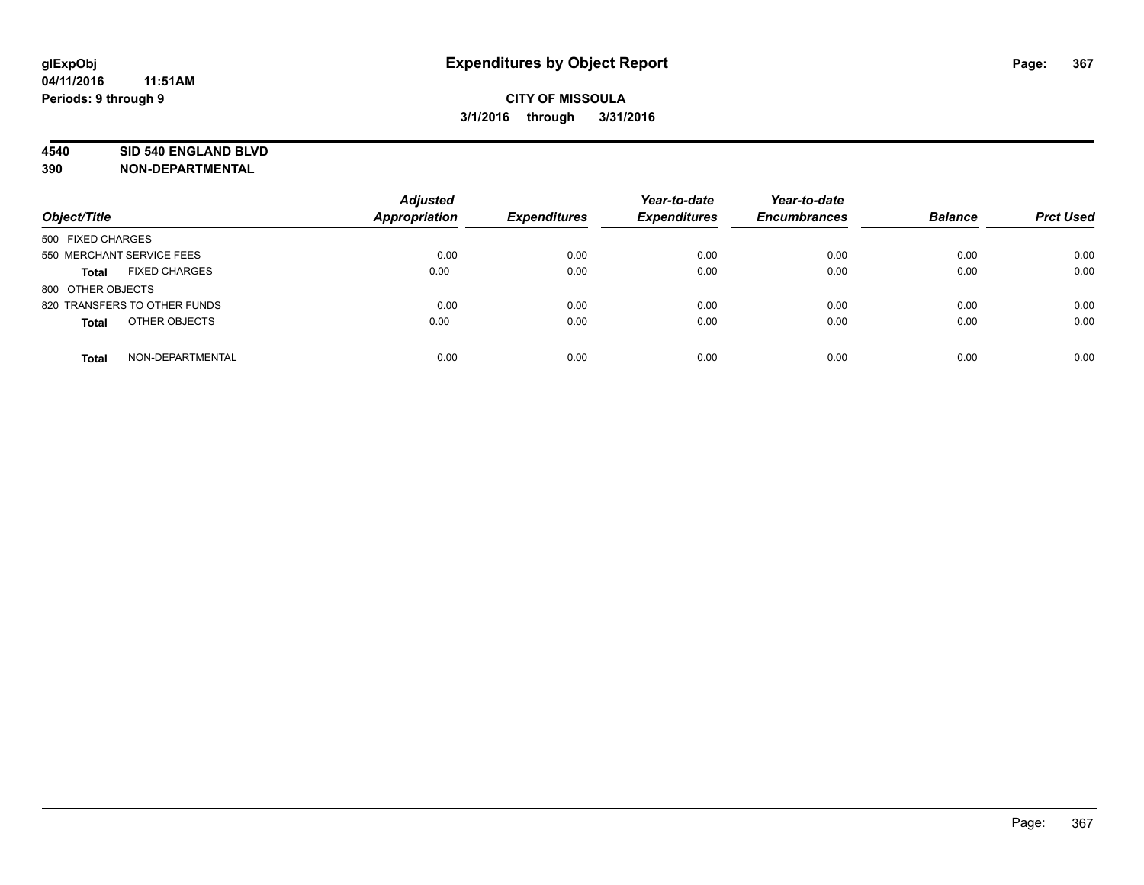#### **4540 SID 540 ENGLAND BLVD**

| Object/Title                         | <b>Adjusted</b><br>Appropriation | <b>Expenditures</b> | Year-to-date<br><b>Expenditures</b> | Year-to-date<br><b>Encumbrances</b> | <b>Balance</b> | <b>Prct Used</b> |
|--------------------------------------|----------------------------------|---------------------|-------------------------------------|-------------------------------------|----------------|------------------|
| 500 FIXED CHARGES                    |                                  |                     |                                     |                                     |                |                  |
| 550 MERCHANT SERVICE FEES            | 0.00                             | 0.00                | 0.00                                | 0.00                                | 0.00           | 0.00             |
| <b>FIXED CHARGES</b><br><b>Total</b> | 0.00                             | 0.00                | 0.00                                | 0.00                                | 0.00           | 0.00             |
| 800 OTHER OBJECTS                    |                                  |                     |                                     |                                     |                |                  |
| 820 TRANSFERS TO OTHER FUNDS         | 0.00                             | 0.00                | 0.00                                | 0.00                                | 0.00           | 0.00             |
| OTHER OBJECTS<br><b>Total</b>        | 0.00                             | 0.00                | 0.00                                | 0.00                                | 0.00           | 0.00             |
| NON-DEPARTMENTAL<br><b>Total</b>     | 0.00                             | 0.00                | 0.00                                | 0.00                                | 0.00           | 0.00             |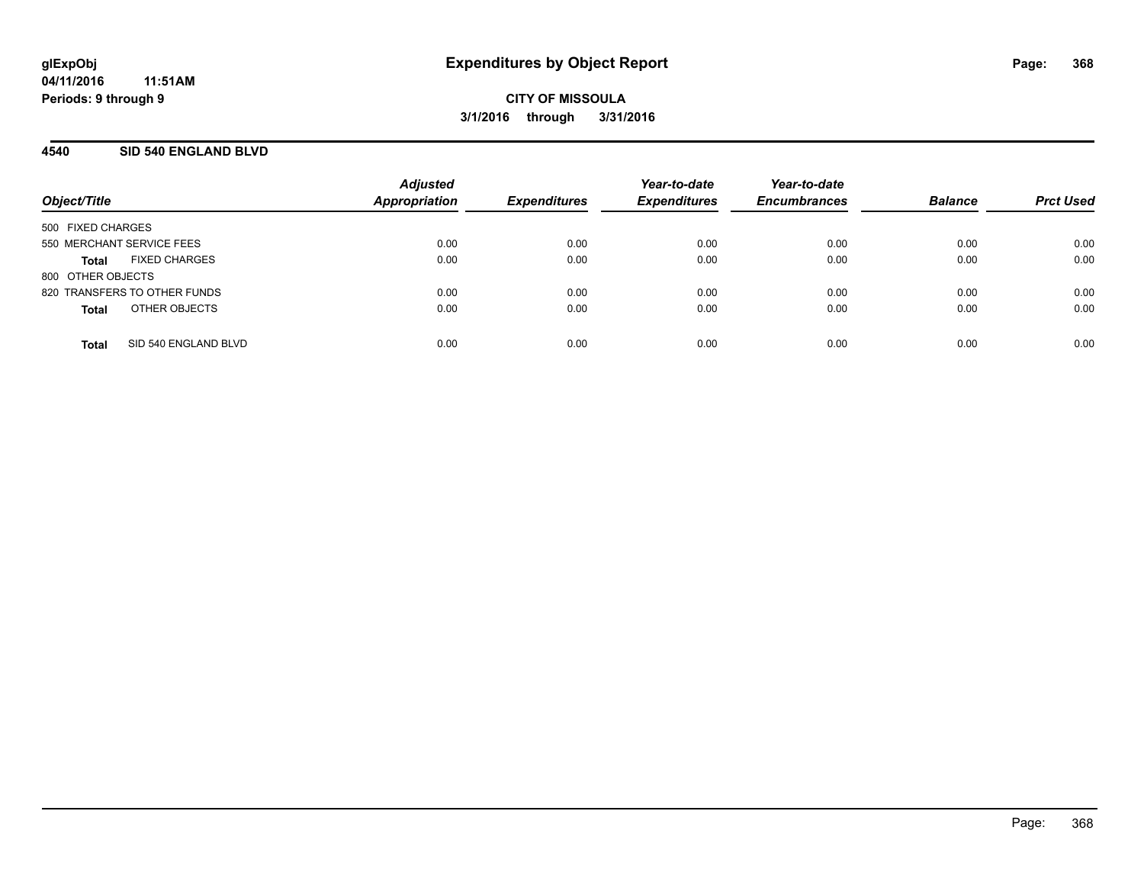### **4540 SID 540 ENGLAND BLVD**

| Object/Title              |                              | <b>Adjusted</b><br><b>Appropriation</b> | <b>Expenditures</b> | Year-to-date<br><b>Expenditures</b> | Year-to-date<br><b>Encumbrances</b> | <b>Balance</b> | <b>Prct Used</b> |
|---------------------------|------------------------------|-----------------------------------------|---------------------|-------------------------------------|-------------------------------------|----------------|------------------|
| 500 FIXED CHARGES         |                              |                                         |                     |                                     |                                     |                |                  |
| 550 MERCHANT SERVICE FEES |                              | 0.00                                    | 0.00                | 0.00                                | 0.00                                | 0.00           | 0.00             |
| Total                     | <b>FIXED CHARGES</b>         | 0.00                                    | 0.00                | 0.00                                | 0.00                                | 0.00           | 0.00             |
| 800 OTHER OBJECTS         |                              |                                         |                     |                                     |                                     |                |                  |
|                           | 820 TRANSFERS TO OTHER FUNDS | 0.00                                    | 0.00                | 0.00                                | 0.00                                | 0.00           | 0.00             |
| <b>Total</b>              | OTHER OBJECTS                | 0.00                                    | 0.00                | 0.00                                | 0.00                                | 0.00           | 0.00             |
| <b>Total</b>              | SID 540 ENGLAND BLVD         | 0.00                                    | 0.00                | 0.00                                | 0.00                                | 0.00           | 0.00             |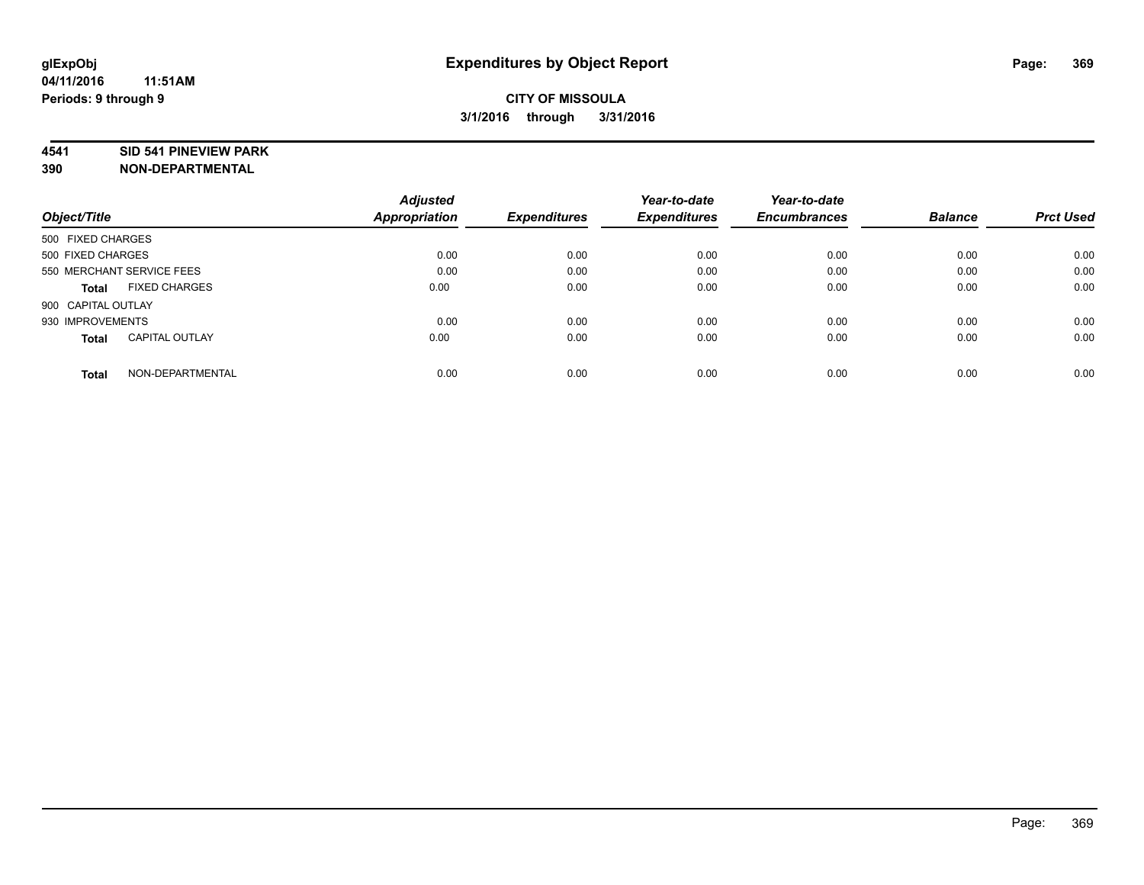#### **4541 SID 541 PINEVIEW PARK**

|                                       | <b>Adjusted</b> |                     | Year-to-date        | Year-to-date        |                |                  |
|---------------------------------------|-----------------|---------------------|---------------------|---------------------|----------------|------------------|
| Object/Title                          | Appropriation   | <b>Expenditures</b> | <b>Expenditures</b> | <b>Encumbrances</b> | <b>Balance</b> | <b>Prct Used</b> |
| 500 FIXED CHARGES                     |                 |                     |                     |                     |                |                  |
| 500 FIXED CHARGES                     | 0.00            | 0.00                | 0.00                | 0.00                | 0.00           | 0.00             |
| 550 MERCHANT SERVICE FEES             | 0.00            | 0.00                | 0.00                | 0.00                | 0.00           | 0.00             |
| <b>FIXED CHARGES</b><br>Total         | 0.00            | 0.00                | 0.00                | 0.00                | 0.00           | 0.00             |
| 900 CAPITAL OUTLAY                    |                 |                     |                     |                     |                |                  |
| 930 IMPROVEMENTS                      | 0.00            | 0.00                | 0.00                | 0.00                | 0.00           | 0.00             |
| <b>CAPITAL OUTLAY</b><br><b>Total</b> | 0.00            | 0.00                | 0.00                | 0.00                | 0.00           | 0.00             |
| NON-DEPARTMENTAL<br><b>Total</b>      | 0.00            | 0.00                | 0.00                | 0.00                | 0.00           | 0.00             |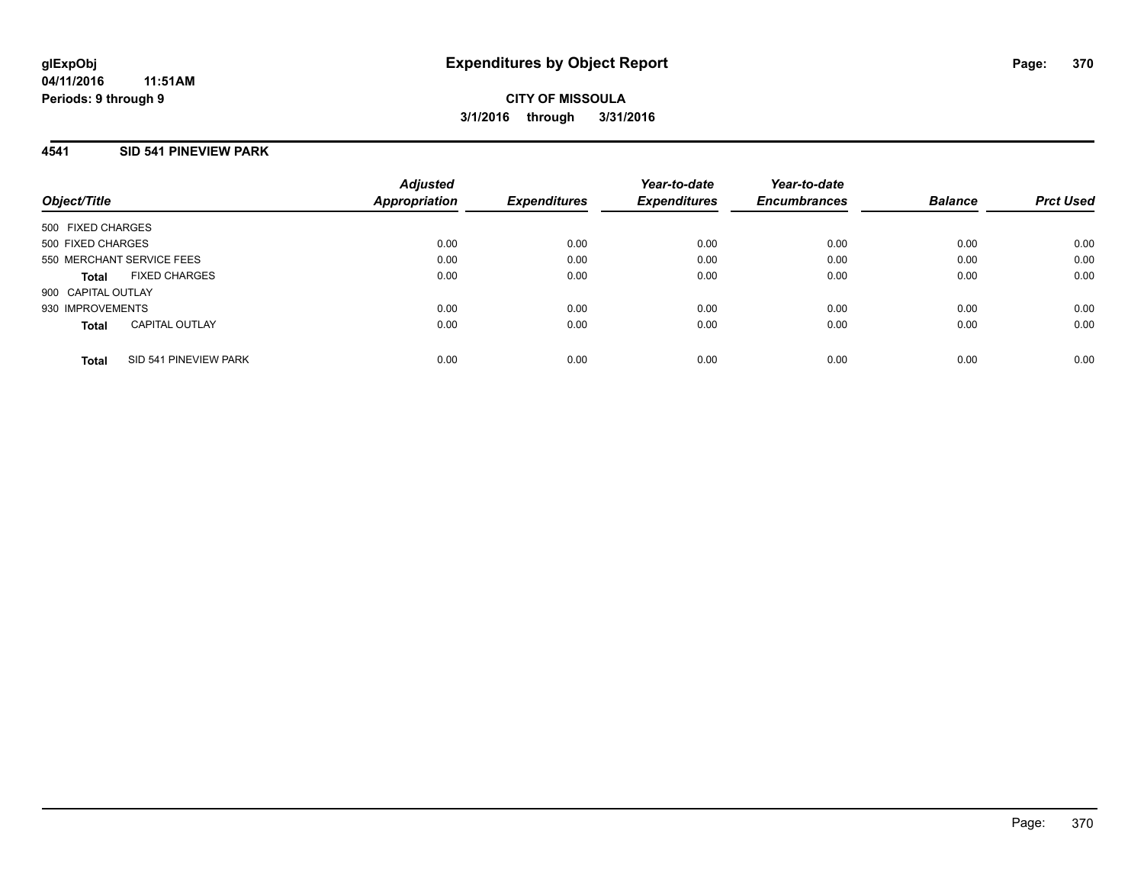### **4541 SID 541 PINEVIEW PARK**

| Object/Title              |                       | <b>Adjusted</b><br>Appropriation | <b>Expenditures</b> | Year-to-date<br><b>Expenditures</b> | Year-to-date<br><b>Encumbrances</b> | <b>Balance</b> | <b>Prct Used</b> |
|---------------------------|-----------------------|----------------------------------|---------------------|-------------------------------------|-------------------------------------|----------------|------------------|
| 500 FIXED CHARGES         |                       |                                  |                     |                                     |                                     |                |                  |
| 500 FIXED CHARGES         |                       | 0.00                             | 0.00                | 0.00                                | 0.00                                | 0.00           | 0.00             |
| 550 MERCHANT SERVICE FEES |                       | 0.00                             | 0.00                | 0.00                                | 0.00                                | 0.00           | 0.00             |
| <b>Total</b>              | <b>FIXED CHARGES</b>  | 0.00                             | 0.00                | 0.00                                | 0.00                                | 0.00           | 0.00             |
| 900 CAPITAL OUTLAY        |                       |                                  |                     |                                     |                                     |                |                  |
| 930 IMPROVEMENTS          |                       | 0.00                             | 0.00                | 0.00                                | 0.00                                | 0.00           | 0.00             |
| <b>Total</b>              | <b>CAPITAL OUTLAY</b> | 0.00                             | 0.00                | 0.00                                | 0.00                                | 0.00           | 0.00             |
| <b>Total</b>              | SID 541 PINEVIEW PARK | 0.00                             | 0.00                | 0.00                                | 0.00                                | 0.00           | 0.00             |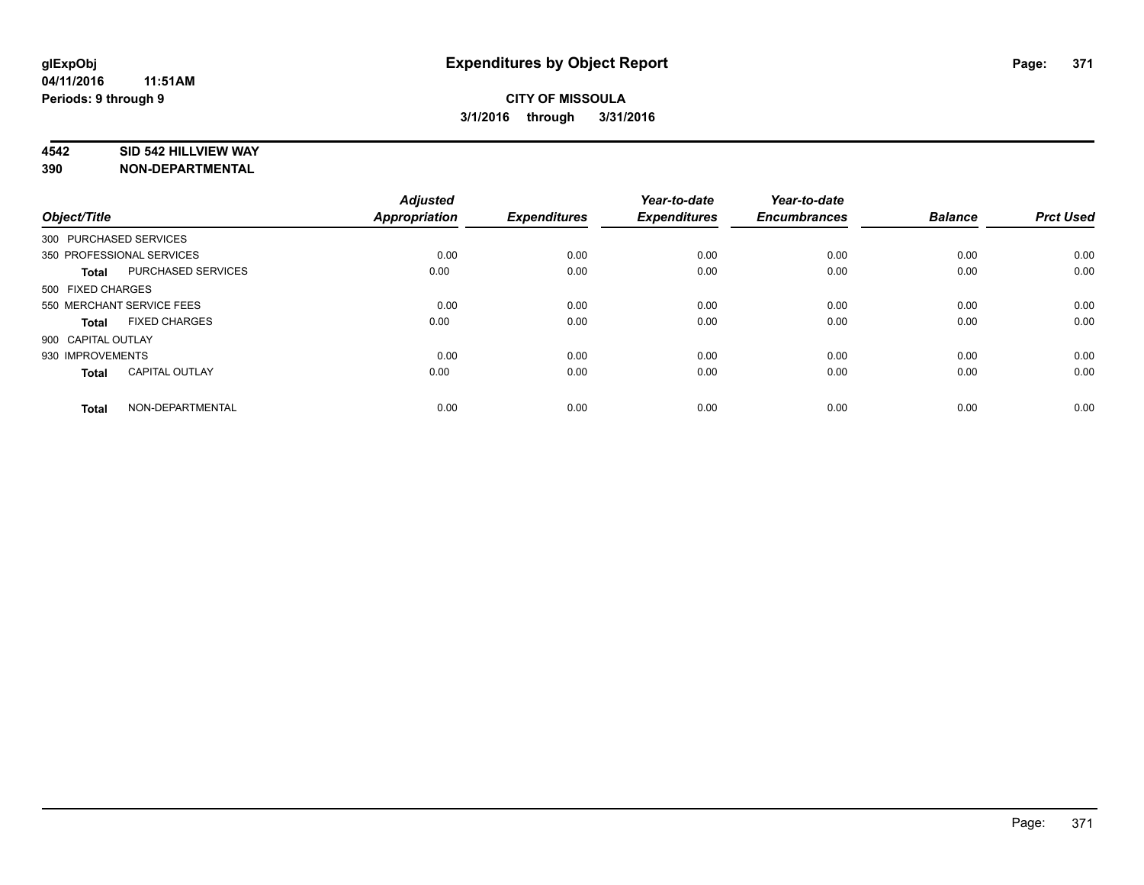#### **4542 SID 542 HILLVIEW WAY**

| Object/Title           |                           | <b>Adjusted</b><br>Appropriation | <b>Expenditures</b> | Year-to-date<br><b>Expenditures</b> | Year-to-date<br><b>Encumbrances</b> | <b>Balance</b> | <b>Prct Used</b> |
|------------------------|---------------------------|----------------------------------|---------------------|-------------------------------------|-------------------------------------|----------------|------------------|
| 300 PURCHASED SERVICES |                           |                                  |                     |                                     |                                     |                |                  |
|                        | 350 PROFESSIONAL SERVICES | 0.00                             | 0.00                | 0.00                                | 0.00                                | 0.00           | 0.00             |
| <b>Total</b>           | PURCHASED SERVICES        | 0.00                             | 0.00                | 0.00                                | 0.00                                | 0.00           | 0.00             |
| 500 FIXED CHARGES      |                           |                                  |                     |                                     |                                     |                |                  |
|                        | 550 MERCHANT SERVICE FEES | 0.00                             | 0.00                | 0.00                                | 0.00                                | 0.00           | 0.00             |
| Total                  | <b>FIXED CHARGES</b>      | 0.00                             | 0.00                | 0.00                                | 0.00                                | 0.00           | 0.00             |
| 900 CAPITAL OUTLAY     |                           |                                  |                     |                                     |                                     |                |                  |
| 930 IMPROVEMENTS       |                           | 0.00                             | 0.00                | 0.00                                | 0.00                                | 0.00           | 0.00             |
| Total                  | <b>CAPITAL OUTLAY</b>     | 0.00                             | 0.00                | 0.00                                | 0.00                                | 0.00           | 0.00             |
| <b>Total</b>           | NON-DEPARTMENTAL          | 0.00                             | 0.00                | 0.00                                | 0.00                                | 0.00           | 0.00             |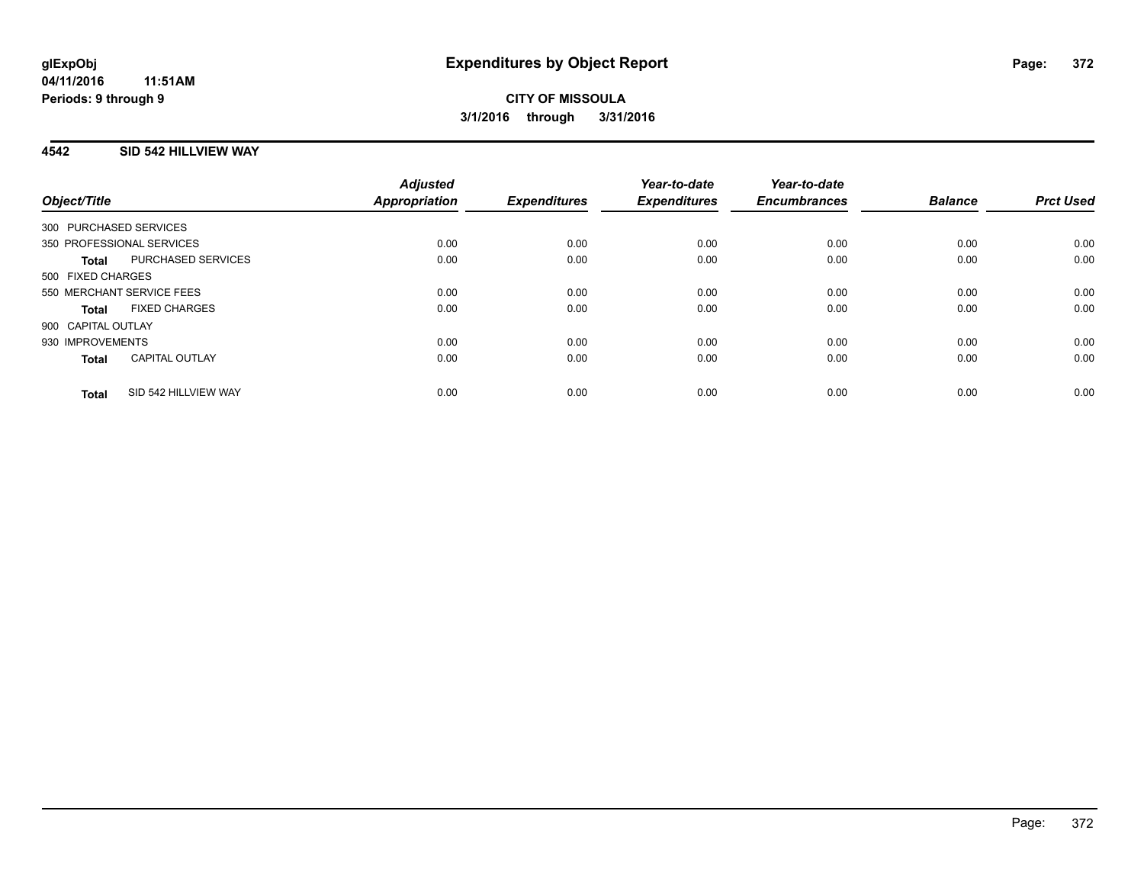### **4542 SID 542 HILLVIEW WAY**

| Object/Title              |                       | <b>Adjusted</b><br>Appropriation | <b>Expenditures</b> | Year-to-date<br><b>Expenditures</b> | Year-to-date<br><b>Encumbrances</b> | <b>Balance</b> | <b>Prct Used</b> |
|---------------------------|-----------------------|----------------------------------|---------------------|-------------------------------------|-------------------------------------|----------------|------------------|
| 300 PURCHASED SERVICES    |                       |                                  |                     |                                     |                                     |                |                  |
| 350 PROFESSIONAL SERVICES |                       | 0.00                             | 0.00                | 0.00                                | 0.00                                | 0.00           | 0.00             |
| <b>Total</b>              | PURCHASED SERVICES    | 0.00                             | 0.00                | 0.00                                | 0.00                                | 0.00           | 0.00             |
| 500 FIXED CHARGES         |                       |                                  |                     |                                     |                                     |                |                  |
| 550 MERCHANT SERVICE FEES |                       | 0.00                             | 0.00                | 0.00                                | 0.00                                | 0.00           | 0.00             |
| <b>Total</b>              | <b>FIXED CHARGES</b>  | 0.00                             | 0.00                | 0.00                                | 0.00                                | 0.00           | 0.00             |
| 900 CAPITAL OUTLAY        |                       |                                  |                     |                                     |                                     |                |                  |
| 930 IMPROVEMENTS          |                       | 0.00                             | 0.00                | 0.00                                | 0.00                                | 0.00           | 0.00             |
| <b>Total</b>              | <b>CAPITAL OUTLAY</b> | 0.00                             | 0.00                | 0.00                                | 0.00                                | 0.00           | 0.00             |
| <b>Total</b>              | SID 542 HILLVIEW WAY  | 0.00                             | 0.00                | 0.00                                | 0.00                                | 0.00           | 0.00             |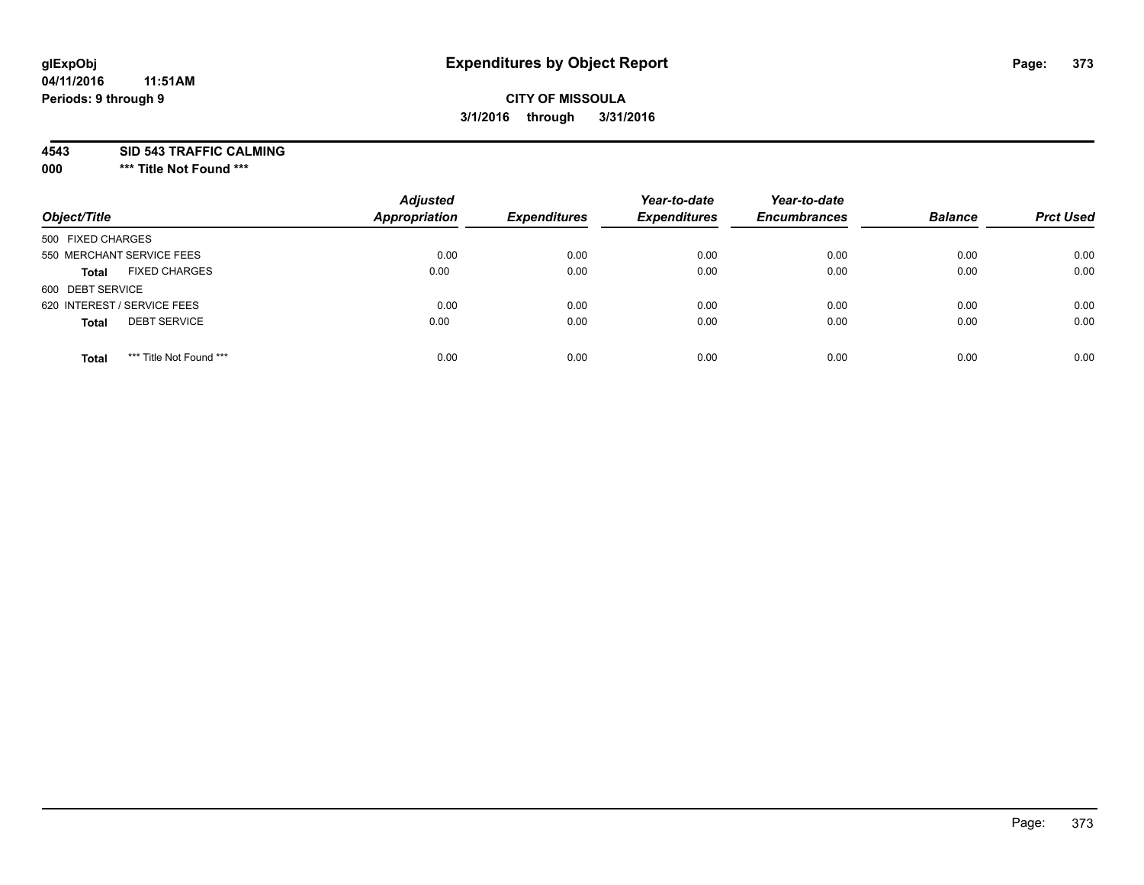# **glExpObj Expenditures by Object Report Page: 373**

#### **04/11/2016 11:51AM Periods: 9 through 9**

### **CITY OF MISSOULA 3/1/2016 through 3/31/2016**

**4543 SID 543 TRAFFIC CALMING**

**000 \*\*\* Title Not Found \*\*\***

| Object/Title                            | <b>Adjusted</b><br><b>Appropriation</b> | <b>Expenditures</b> | Year-to-date<br><b>Expenditures</b> | Year-to-date<br><b>Encumbrances</b> | <b>Balance</b> | <b>Prct Used</b> |
|-----------------------------------------|-----------------------------------------|---------------------|-------------------------------------|-------------------------------------|----------------|------------------|
| 500 FIXED CHARGES                       |                                         |                     |                                     |                                     |                |                  |
| 550 MERCHANT SERVICE FEES               | 0.00                                    | 0.00                | 0.00                                | 0.00                                | 0.00           | 0.00             |
| <b>FIXED CHARGES</b><br><b>Total</b>    | 0.00                                    | 0.00                | 0.00                                | 0.00                                | 0.00           | 0.00             |
| 600 DEBT SERVICE                        |                                         |                     |                                     |                                     |                |                  |
| 620 INTEREST / SERVICE FEES             | 0.00                                    | 0.00                | 0.00                                | 0.00                                | 0.00           | 0.00             |
| <b>DEBT SERVICE</b><br><b>Total</b>     | 0.00                                    | 0.00                | 0.00                                | 0.00                                | 0.00           | 0.00             |
| *** Title Not Found ***<br><b>Total</b> | 0.00                                    | 0.00                | 0.00                                | 0.00                                | 0.00           | 0.00             |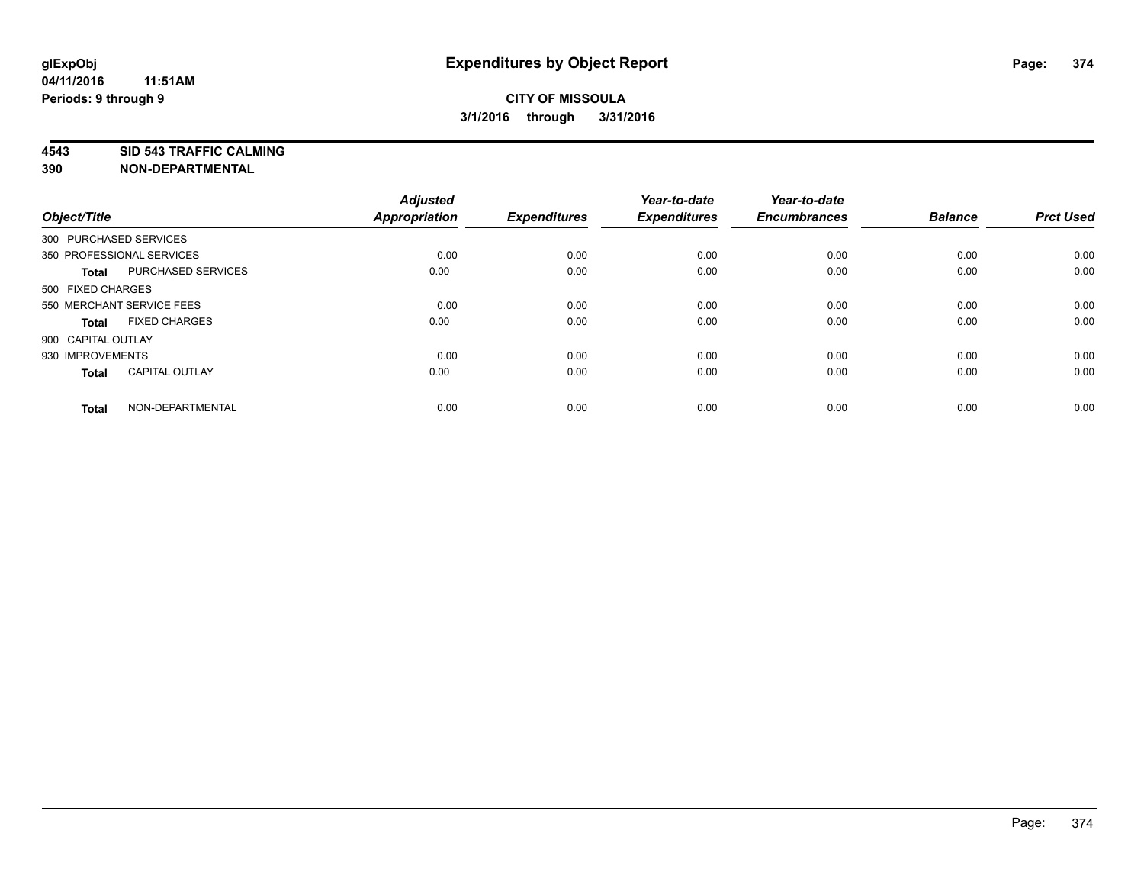**4543 SID 543 TRAFFIC CALMING**

| Object/Title           |                           | <b>Adjusted</b><br><b>Appropriation</b> | <b>Expenditures</b> | Year-to-date<br><b>Expenditures</b> | Year-to-date<br><b>Encumbrances</b> | <b>Balance</b> | <b>Prct Used</b> |
|------------------------|---------------------------|-----------------------------------------|---------------------|-------------------------------------|-------------------------------------|----------------|------------------|
| 300 PURCHASED SERVICES |                           |                                         |                     |                                     |                                     |                |                  |
|                        | 350 PROFESSIONAL SERVICES | 0.00                                    | 0.00                | 0.00                                | 0.00                                | 0.00           | 0.00             |
| <b>Total</b>           | <b>PURCHASED SERVICES</b> | 0.00                                    | 0.00                | 0.00                                | 0.00                                | 0.00           | 0.00             |
| 500 FIXED CHARGES      |                           |                                         |                     |                                     |                                     |                |                  |
|                        | 550 MERCHANT SERVICE FEES | 0.00                                    | 0.00                | 0.00                                | 0.00                                | 0.00           | 0.00             |
| <b>Total</b>           | <b>FIXED CHARGES</b>      | 0.00                                    | 0.00                | 0.00                                | 0.00                                | 0.00           | 0.00             |
| 900 CAPITAL OUTLAY     |                           |                                         |                     |                                     |                                     |                |                  |
| 930 IMPROVEMENTS       |                           | 0.00                                    | 0.00                | 0.00                                | 0.00                                | 0.00           | 0.00             |
| <b>Total</b>           | <b>CAPITAL OUTLAY</b>     | 0.00                                    | 0.00                | 0.00                                | 0.00                                | 0.00           | 0.00             |
| <b>Total</b>           | NON-DEPARTMENTAL          | 0.00                                    | 0.00                | 0.00                                | 0.00                                | 0.00           | 0.00             |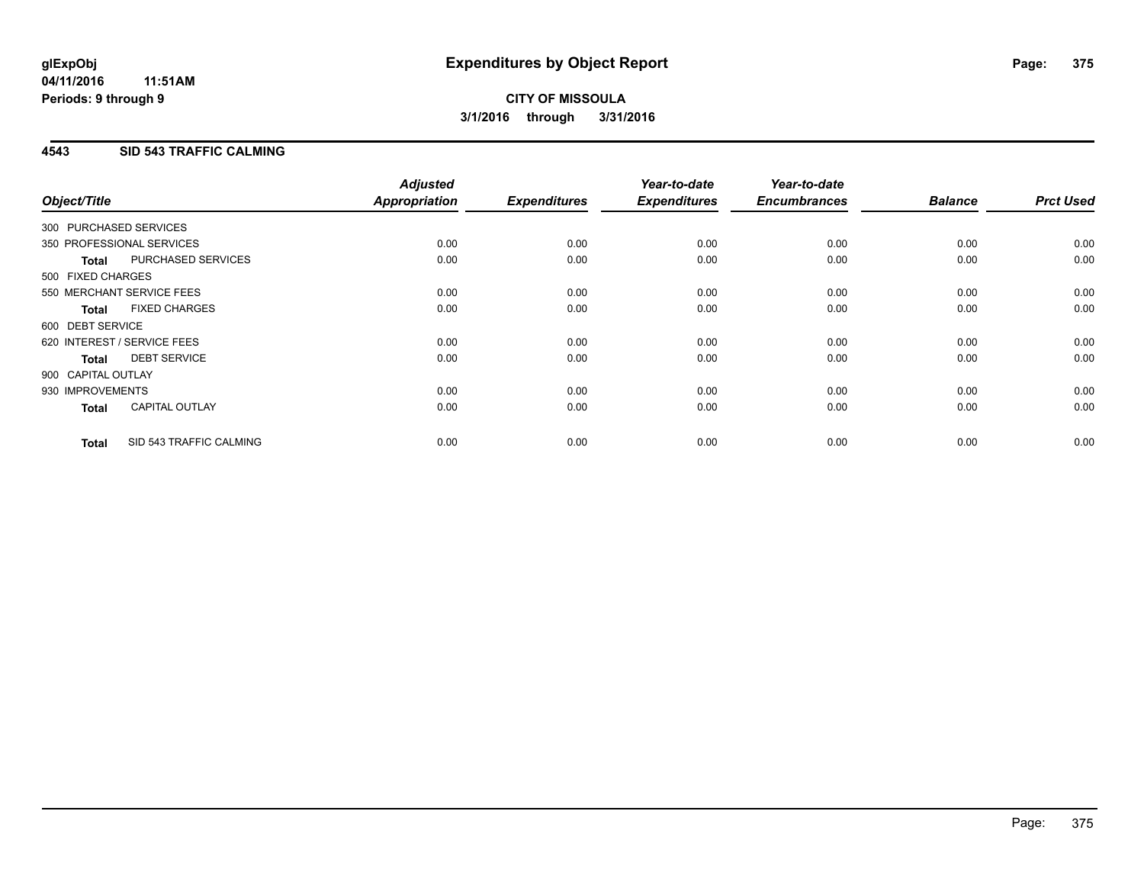### **4543 SID 543 TRAFFIC CALMING**

| Object/Title           |                             | <b>Adjusted</b><br><b>Appropriation</b> | <b>Expenditures</b> | Year-to-date<br><b>Expenditures</b> | Year-to-date<br><b>Encumbrances</b> | <b>Balance</b> | <b>Prct Used</b> |
|------------------------|-----------------------------|-----------------------------------------|---------------------|-------------------------------------|-------------------------------------|----------------|------------------|
|                        |                             |                                         |                     |                                     |                                     |                |                  |
| 300 PURCHASED SERVICES |                             |                                         |                     |                                     |                                     |                |                  |
|                        | 350 PROFESSIONAL SERVICES   | 0.00                                    | 0.00                | 0.00                                | 0.00                                | 0.00           | 0.00             |
| <b>Total</b>           | PURCHASED SERVICES          | 0.00                                    | 0.00                | 0.00                                | 0.00                                | 0.00           | 0.00             |
| 500 FIXED CHARGES      |                             |                                         |                     |                                     |                                     |                |                  |
|                        | 550 MERCHANT SERVICE FEES   | 0.00                                    | 0.00                | 0.00                                | 0.00                                | 0.00           | 0.00             |
| <b>Total</b>           | <b>FIXED CHARGES</b>        | 0.00                                    | 0.00                | 0.00                                | 0.00                                | 0.00           | 0.00             |
| 600 DEBT SERVICE       |                             |                                         |                     |                                     |                                     |                |                  |
|                        | 620 INTEREST / SERVICE FEES | 0.00                                    | 0.00                | 0.00                                | 0.00                                | 0.00           | 0.00             |
| Total                  | <b>DEBT SERVICE</b>         | 0.00                                    | 0.00                | 0.00                                | 0.00                                | 0.00           | 0.00             |
| 900 CAPITAL OUTLAY     |                             |                                         |                     |                                     |                                     |                |                  |
| 930 IMPROVEMENTS       |                             | 0.00                                    | 0.00                | 0.00                                | 0.00                                | 0.00           | 0.00             |
| <b>Total</b>           | <b>CAPITAL OUTLAY</b>       | 0.00                                    | 0.00                | 0.00                                | 0.00                                | 0.00           | 0.00             |
| <b>Total</b>           | SID 543 TRAFFIC CALMING     | 0.00                                    | 0.00                | 0.00                                | 0.00                                | 0.00           | 0.00             |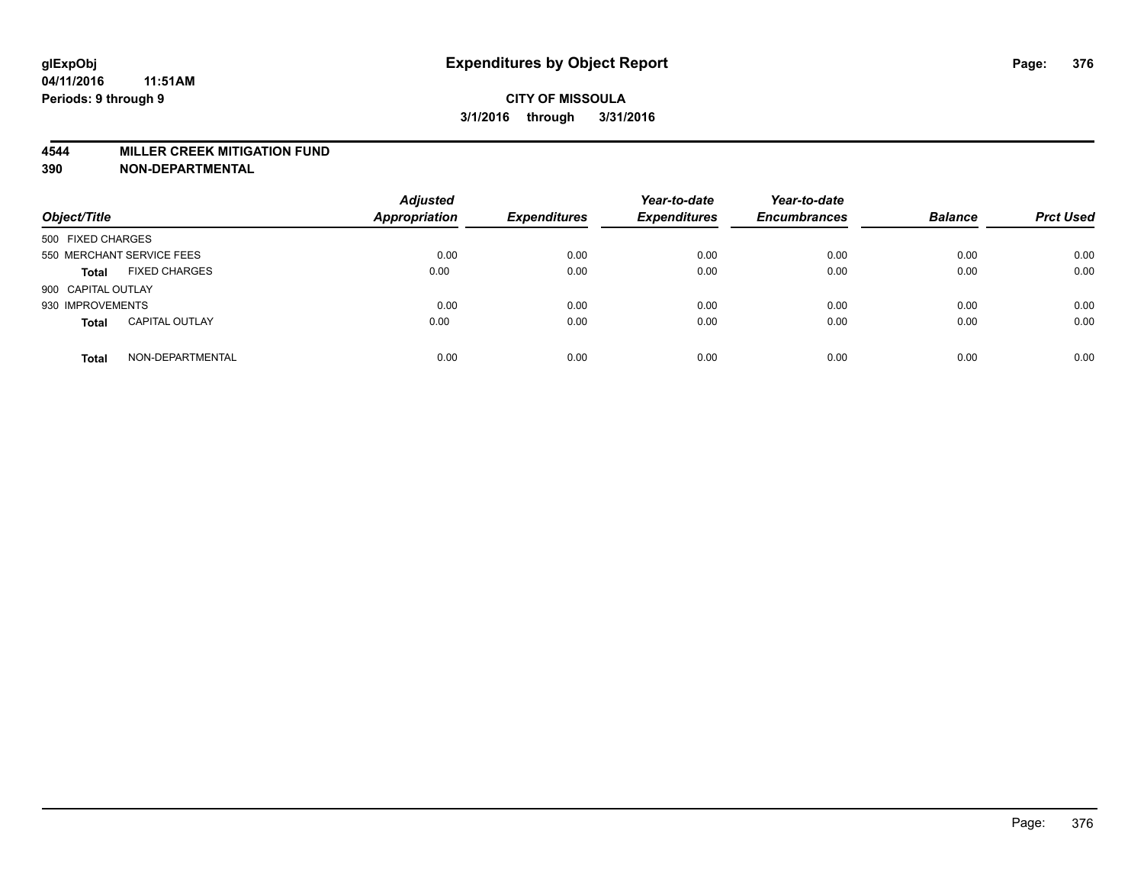#### **4544 MILLER CREEK MITIGATION FUND**

| Object/Title                          | <b>Adjusted</b><br>Appropriation | <b>Expenditures</b> | Year-to-date<br><b>Expenditures</b> | Year-to-date<br><b>Encumbrances</b> | <b>Balance</b> | <b>Prct Used</b> |
|---------------------------------------|----------------------------------|---------------------|-------------------------------------|-------------------------------------|----------------|------------------|
| 500 FIXED CHARGES                     |                                  |                     |                                     |                                     |                |                  |
| 550 MERCHANT SERVICE FEES             | 0.00                             | 0.00                | 0.00                                | 0.00                                | 0.00           | 0.00             |
| <b>FIXED CHARGES</b><br><b>Total</b>  | 0.00                             | 0.00                | 0.00                                | 0.00                                | 0.00           | 0.00             |
| 900 CAPITAL OUTLAY                    |                                  |                     |                                     |                                     |                |                  |
| 930 IMPROVEMENTS                      | 0.00                             | 0.00                | 0.00                                | 0.00                                | 0.00           | 0.00             |
| <b>CAPITAL OUTLAY</b><br><b>Total</b> | 0.00                             | 0.00                | 0.00                                | 0.00                                | 0.00           | 0.00             |
| NON-DEPARTMENTAL<br><b>Total</b>      | 0.00                             | 0.00                | 0.00                                | 0.00                                | 0.00           | 0.00             |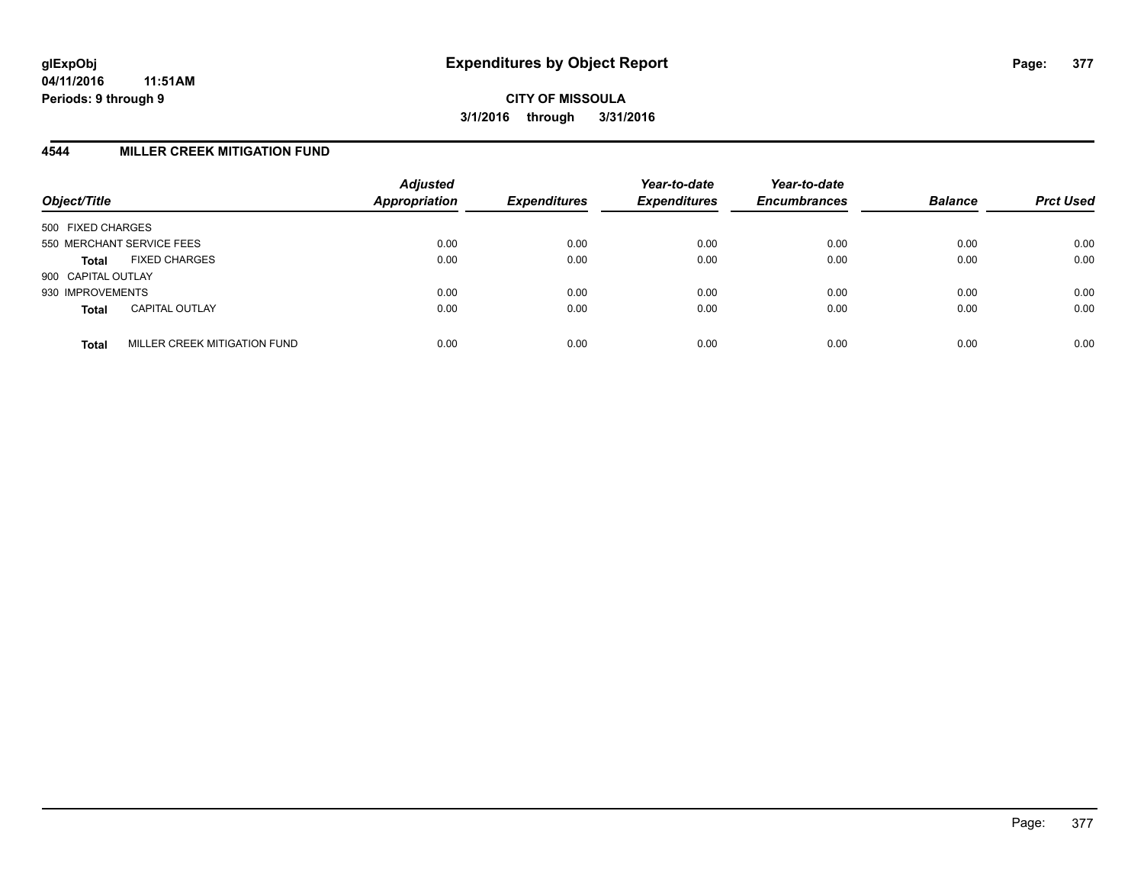#### **4544 MILLER CREEK MITIGATION FUND**

| Object/Title              |                              | <b>Adjusted</b><br>Appropriation | <b>Expenditures</b> | Year-to-date<br><b>Expenditures</b> | Year-to-date<br><b>Encumbrances</b> | <b>Balance</b> | <b>Prct Used</b> |
|---------------------------|------------------------------|----------------------------------|---------------------|-------------------------------------|-------------------------------------|----------------|------------------|
| 500 FIXED CHARGES         |                              |                                  |                     |                                     |                                     |                |                  |
| 550 MERCHANT SERVICE FEES |                              | 0.00                             | 0.00                | 0.00                                | 0.00                                | 0.00           | 0.00             |
| <b>Total</b>              | <b>FIXED CHARGES</b>         | 0.00                             | 0.00                | 0.00                                | 0.00                                | 0.00           | 0.00             |
| 900 CAPITAL OUTLAY        |                              |                                  |                     |                                     |                                     |                |                  |
| 930 IMPROVEMENTS          |                              | 0.00                             | 0.00                | 0.00                                | 0.00                                | 0.00           | 0.00             |
| <b>Total</b>              | <b>CAPITAL OUTLAY</b>        | 0.00                             | 0.00                | 0.00                                | 0.00                                | 0.00           | 0.00             |
| <b>Total</b>              | MILLER CREEK MITIGATION FUND | 0.00                             | 0.00                | 0.00                                | 0.00                                | 0.00           | 0.00             |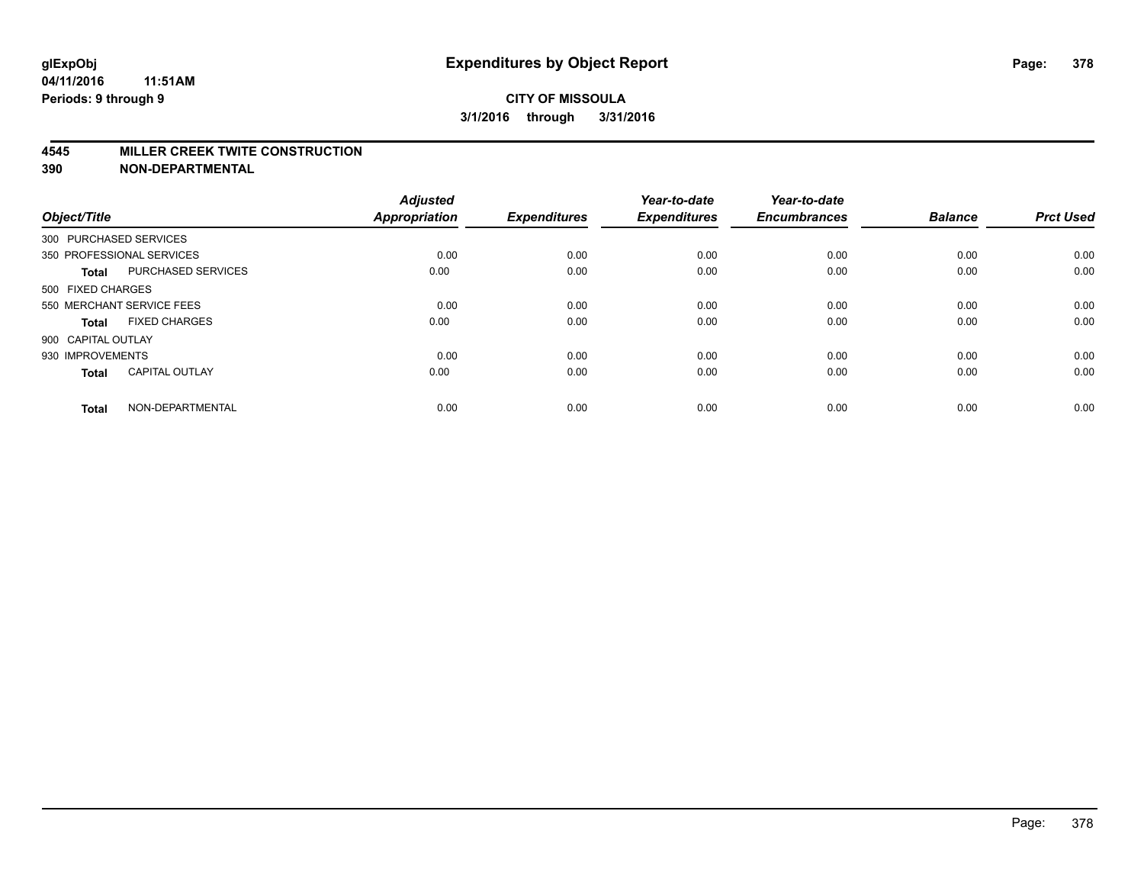#### **4545 MILLER CREEK TWITE CONSTRUCTION**

| Object/Title           |                           | <b>Adjusted</b><br>Appropriation | <b>Expenditures</b> | Year-to-date<br><b>Expenditures</b> | Year-to-date<br><b>Encumbrances</b> | <b>Balance</b> | <b>Prct Used</b> |
|------------------------|---------------------------|----------------------------------|---------------------|-------------------------------------|-------------------------------------|----------------|------------------|
| 300 PURCHASED SERVICES |                           |                                  |                     |                                     |                                     |                |                  |
|                        | 350 PROFESSIONAL SERVICES | 0.00                             | 0.00                | 0.00                                | 0.00                                | 0.00           | 0.00             |
| <b>Total</b>           | PURCHASED SERVICES        | 0.00                             | 0.00                | 0.00                                | 0.00                                | 0.00           | 0.00             |
| 500 FIXED CHARGES      |                           |                                  |                     |                                     |                                     |                |                  |
|                        | 550 MERCHANT SERVICE FEES | 0.00                             | 0.00                | 0.00                                | 0.00                                | 0.00           | 0.00             |
| Total                  | <b>FIXED CHARGES</b>      | 0.00                             | 0.00                | 0.00                                | 0.00                                | 0.00           | 0.00             |
| 900 CAPITAL OUTLAY     |                           |                                  |                     |                                     |                                     |                |                  |
| 930 IMPROVEMENTS       |                           | 0.00                             | 0.00                | 0.00                                | 0.00                                | 0.00           | 0.00             |
| Total                  | <b>CAPITAL OUTLAY</b>     | 0.00                             | 0.00                | 0.00                                | 0.00                                | 0.00           | 0.00             |
| <b>Total</b>           | NON-DEPARTMENTAL          | 0.00                             | 0.00                | 0.00                                | 0.00                                | 0.00           | 0.00             |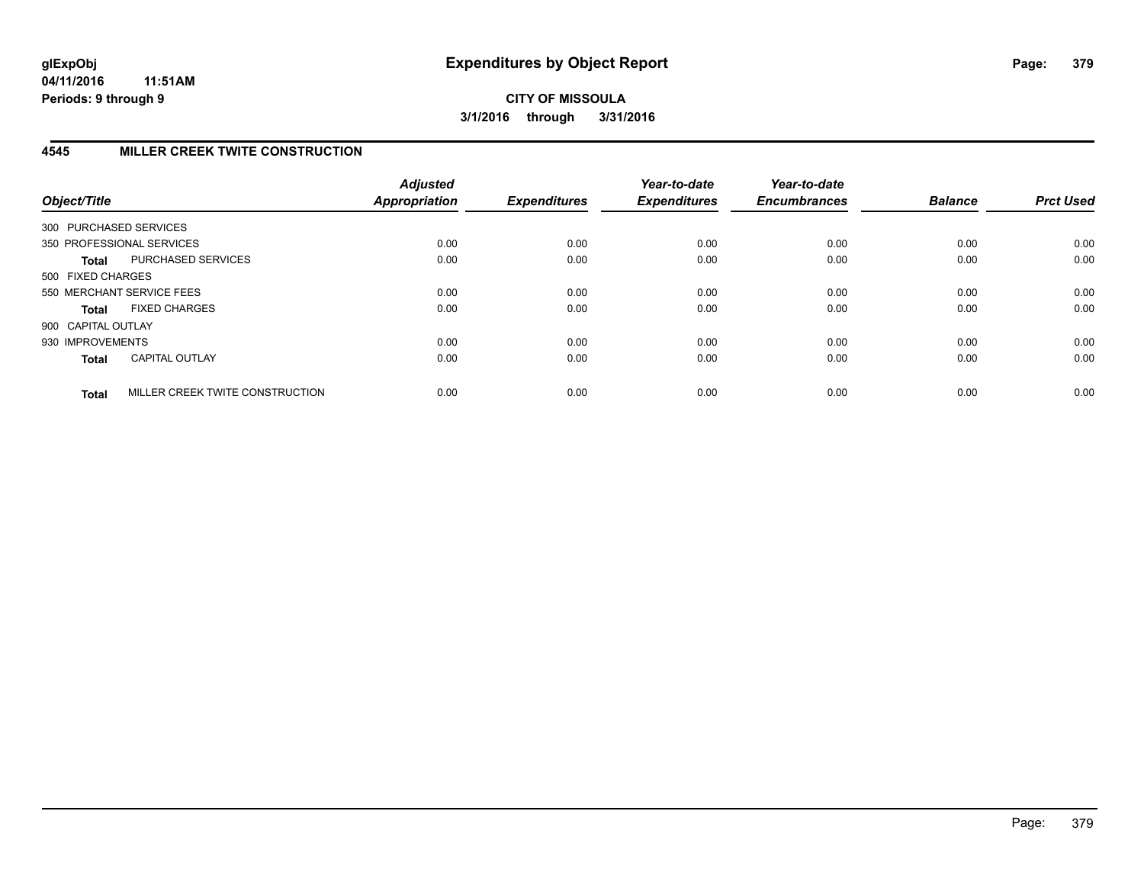# **4545 MILLER CREEK TWITE CONSTRUCTION**

| Object/Title           |                                 | <b>Adjusted</b><br><b>Appropriation</b> | <b>Expenditures</b> | Year-to-date<br><b>Expenditures</b> | Year-to-date<br><b>Encumbrances</b> | <b>Balance</b> | <b>Prct Used</b> |
|------------------------|---------------------------------|-----------------------------------------|---------------------|-------------------------------------|-------------------------------------|----------------|------------------|
| 300 PURCHASED SERVICES |                                 |                                         |                     |                                     |                                     |                |                  |
|                        | 350 PROFESSIONAL SERVICES       | 0.00                                    | 0.00                | 0.00                                | 0.00                                | 0.00           | 0.00             |
| <b>Total</b>           | <b>PURCHASED SERVICES</b>       | 0.00                                    | 0.00                | 0.00                                | 0.00                                | 0.00           | 0.00             |
| 500 FIXED CHARGES      |                                 |                                         |                     |                                     |                                     |                |                  |
|                        | 550 MERCHANT SERVICE FEES       | 0.00                                    | 0.00                | 0.00                                | 0.00                                | 0.00           | 0.00             |
| <b>Total</b>           | <b>FIXED CHARGES</b>            | 0.00                                    | 0.00                | 0.00                                | 0.00                                | 0.00           | 0.00             |
| 900 CAPITAL OUTLAY     |                                 |                                         |                     |                                     |                                     |                |                  |
| 930 IMPROVEMENTS       |                                 | 0.00                                    | 0.00                | 0.00                                | 0.00                                | 0.00           | 0.00             |
| <b>Total</b>           | <b>CAPITAL OUTLAY</b>           | 0.00                                    | 0.00                | 0.00                                | 0.00                                | 0.00           | 0.00             |
| <b>Total</b>           | MILLER CREEK TWITE CONSTRUCTION | 0.00                                    | 0.00                | 0.00                                | 0.00                                | 0.00           | 0.00             |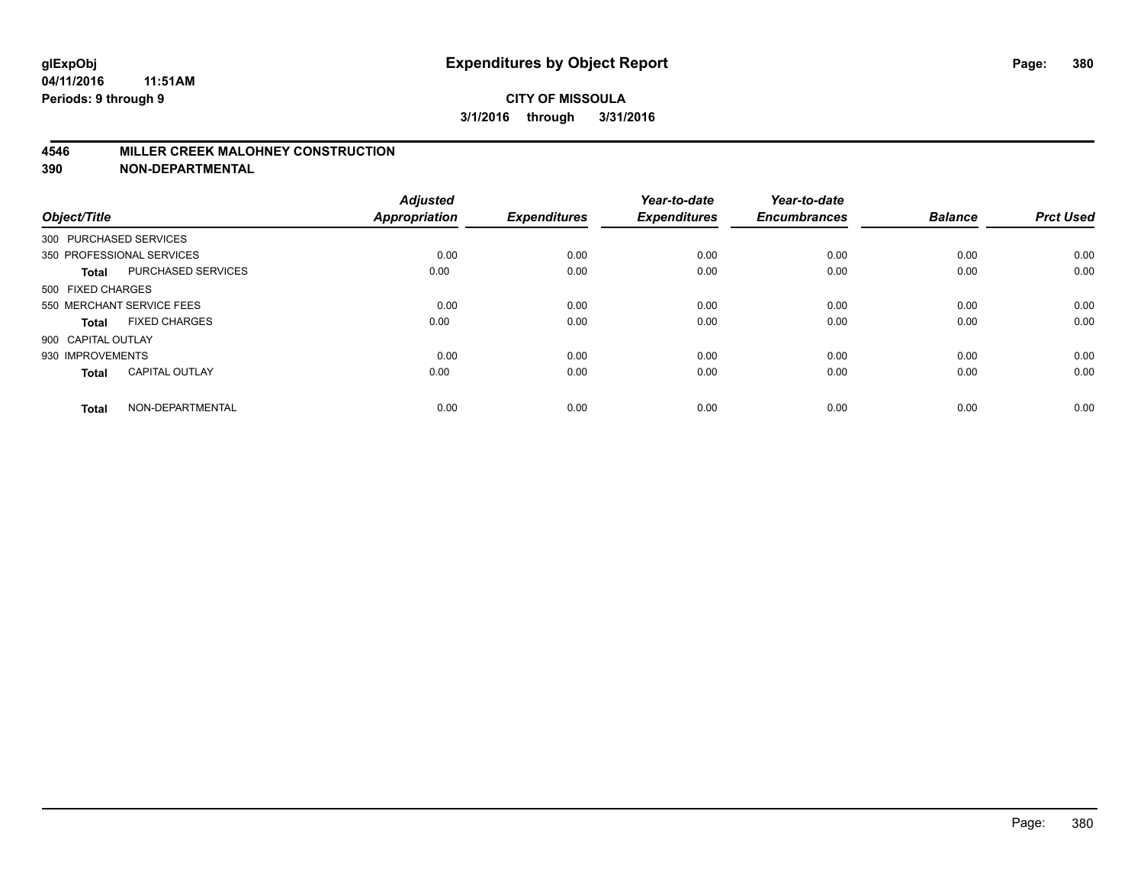#### **4546 MILLER CREEK MALOHNEY CONSTRUCTION**

| Object/Title           |                           | <b>Adjusted</b><br><b>Appropriation</b> | <b>Expenditures</b> | Year-to-date<br><b>Expenditures</b> | Year-to-date<br><b>Encumbrances</b> | <b>Balance</b> | <b>Prct Used</b> |
|------------------------|---------------------------|-----------------------------------------|---------------------|-------------------------------------|-------------------------------------|----------------|------------------|
| 300 PURCHASED SERVICES |                           |                                         |                     |                                     |                                     |                |                  |
|                        | 350 PROFESSIONAL SERVICES | 0.00                                    | 0.00                | 0.00                                | 0.00                                | 0.00           | 0.00             |
| <b>Total</b>           | <b>PURCHASED SERVICES</b> | 0.00                                    | 0.00                | 0.00                                | 0.00                                | 0.00           | 0.00             |
| 500 FIXED CHARGES      |                           |                                         |                     |                                     |                                     |                |                  |
|                        | 550 MERCHANT SERVICE FEES | 0.00                                    | 0.00                | 0.00                                | 0.00                                | 0.00           | 0.00             |
| <b>Total</b>           | <b>FIXED CHARGES</b>      | 0.00                                    | 0.00                | 0.00                                | 0.00                                | 0.00           | 0.00             |
| 900 CAPITAL OUTLAY     |                           |                                         |                     |                                     |                                     |                |                  |
| 930 IMPROVEMENTS       |                           | 0.00                                    | 0.00                | 0.00                                | 0.00                                | 0.00           | 0.00             |
| <b>Total</b>           | <b>CAPITAL OUTLAY</b>     | 0.00                                    | 0.00                | 0.00                                | 0.00                                | 0.00           | 0.00             |
| <b>Total</b>           | NON-DEPARTMENTAL          | 0.00                                    | 0.00                | 0.00                                | 0.00                                | 0.00           | 0.00             |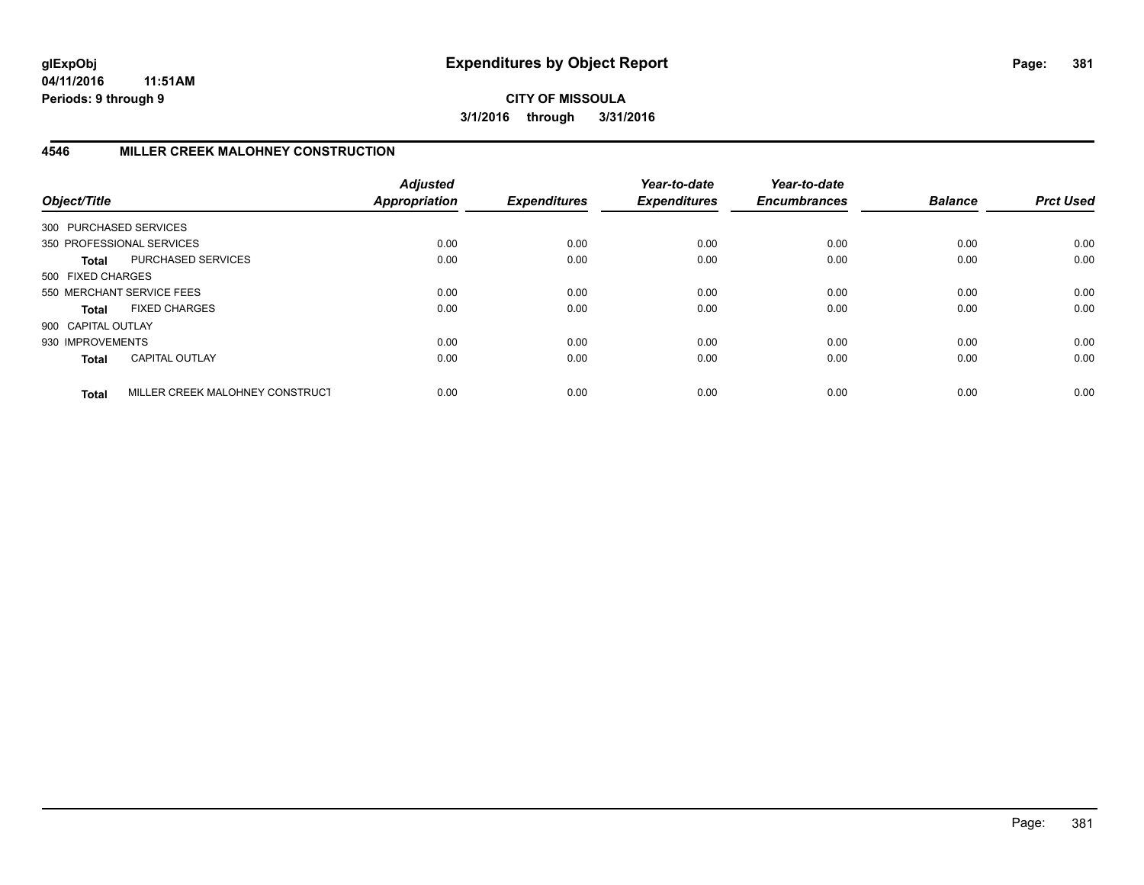**04/11/2016 11:51AM Periods: 9 through 9**

**CITY OF MISSOULA 3/1/2016 through 3/31/2016**

## **4546 MILLER CREEK MALOHNEY CONSTRUCTION**

| Object/Title       |                                 | <b>Adjusted</b><br><b>Appropriation</b> | <b>Expenditures</b> | Year-to-date<br><b>Expenditures</b> | Year-to-date<br><b>Encumbrances</b> | <b>Balance</b> | <b>Prct Used</b> |
|--------------------|---------------------------------|-----------------------------------------|---------------------|-------------------------------------|-------------------------------------|----------------|------------------|
|                    | 300 PURCHASED SERVICES          |                                         |                     |                                     |                                     |                |                  |
|                    | 350 PROFESSIONAL SERVICES       | 0.00                                    | 0.00                | 0.00                                | 0.00                                | 0.00           | 0.00             |
| <b>Total</b>       | PURCHASED SERVICES              | 0.00                                    | 0.00                | 0.00                                | 0.00                                | 0.00           | 0.00             |
| 500 FIXED CHARGES  |                                 |                                         |                     |                                     |                                     |                |                  |
|                    | 550 MERCHANT SERVICE FEES       | 0.00                                    | 0.00                | 0.00                                | 0.00                                | 0.00           | 0.00             |
| <b>Total</b>       | <b>FIXED CHARGES</b>            | 0.00                                    | 0.00                | 0.00                                | 0.00                                | 0.00           | 0.00             |
| 900 CAPITAL OUTLAY |                                 |                                         |                     |                                     |                                     |                |                  |
| 930 IMPROVEMENTS   |                                 | 0.00                                    | 0.00                | 0.00                                | 0.00                                | 0.00           | 0.00             |
| <b>Total</b>       | <b>CAPITAL OUTLAY</b>           | 0.00                                    | 0.00                | 0.00                                | 0.00                                | 0.00           | 0.00             |
| <b>Total</b>       | MILLER CREEK MALOHNEY CONSTRUCT | 0.00                                    | 0.00                | 0.00                                | 0.00                                | 0.00           | 0.00             |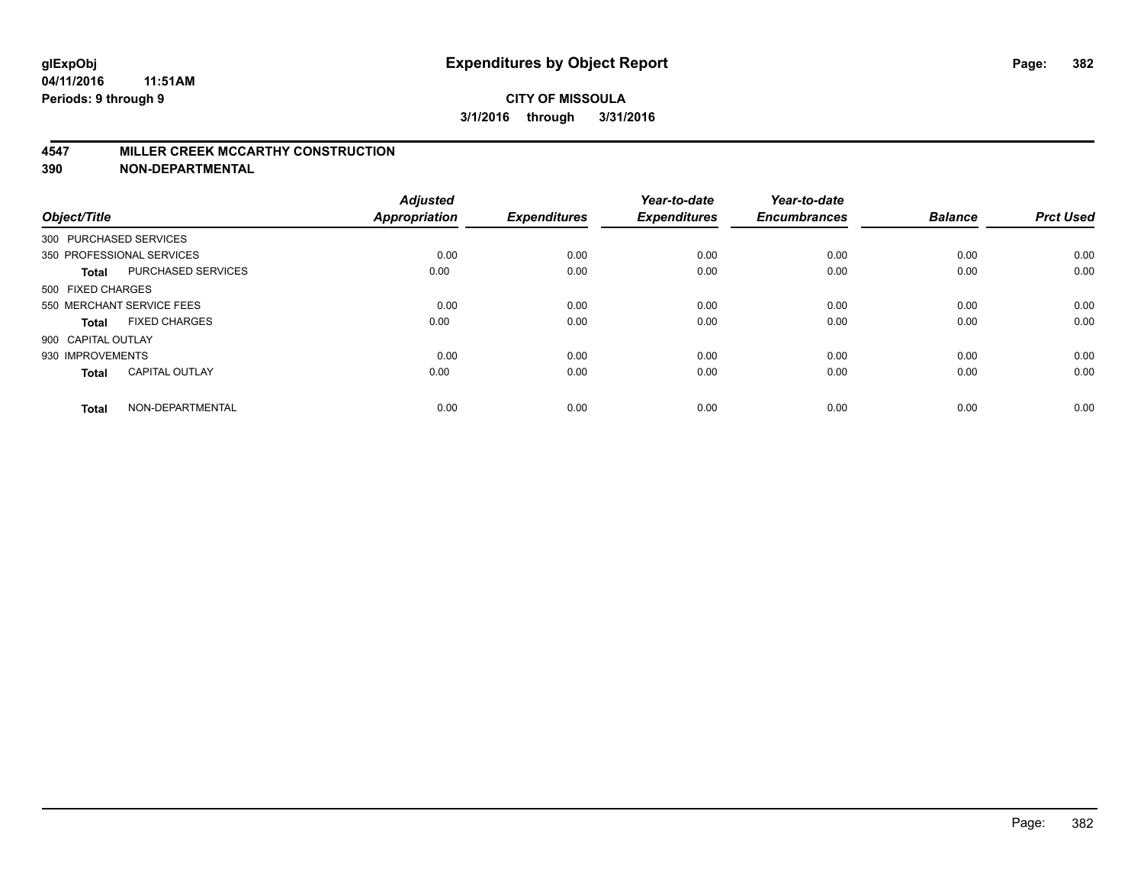#### **4547 MILLER CREEK MCCARTHY CONSTRUCTION**

| Object/Title       |                           | <b>Adjusted</b><br><b>Appropriation</b> | <b>Expenditures</b> | Year-to-date<br><b>Expenditures</b> | Year-to-date<br><b>Encumbrances</b> | <b>Balance</b> | <b>Prct Used</b> |
|--------------------|---------------------------|-----------------------------------------|---------------------|-------------------------------------|-------------------------------------|----------------|------------------|
|                    | 300 PURCHASED SERVICES    |                                         |                     |                                     |                                     |                |                  |
|                    | 350 PROFESSIONAL SERVICES | 0.00                                    | 0.00                | 0.00                                | 0.00                                | 0.00           | 0.00             |
| <b>Total</b>       | <b>PURCHASED SERVICES</b> | 0.00                                    | 0.00                | 0.00                                | 0.00                                | 0.00           | 0.00             |
| 500 FIXED CHARGES  |                           |                                         |                     |                                     |                                     |                |                  |
|                    | 550 MERCHANT SERVICE FEES | 0.00                                    | 0.00                | 0.00                                | 0.00                                | 0.00           | 0.00             |
| Total              | <b>FIXED CHARGES</b>      | 0.00                                    | 0.00                | 0.00                                | 0.00                                | 0.00           | 0.00             |
| 900 CAPITAL OUTLAY |                           |                                         |                     |                                     |                                     |                |                  |
| 930 IMPROVEMENTS   |                           | 0.00                                    | 0.00                | 0.00                                | 0.00                                | 0.00           | 0.00             |
| Total              | <b>CAPITAL OUTLAY</b>     | 0.00                                    | 0.00                | 0.00                                | 0.00                                | 0.00           | 0.00             |
| <b>Total</b>       | NON-DEPARTMENTAL          | 0.00                                    | 0.00                | 0.00                                | 0.00                                | 0.00           | 0.00             |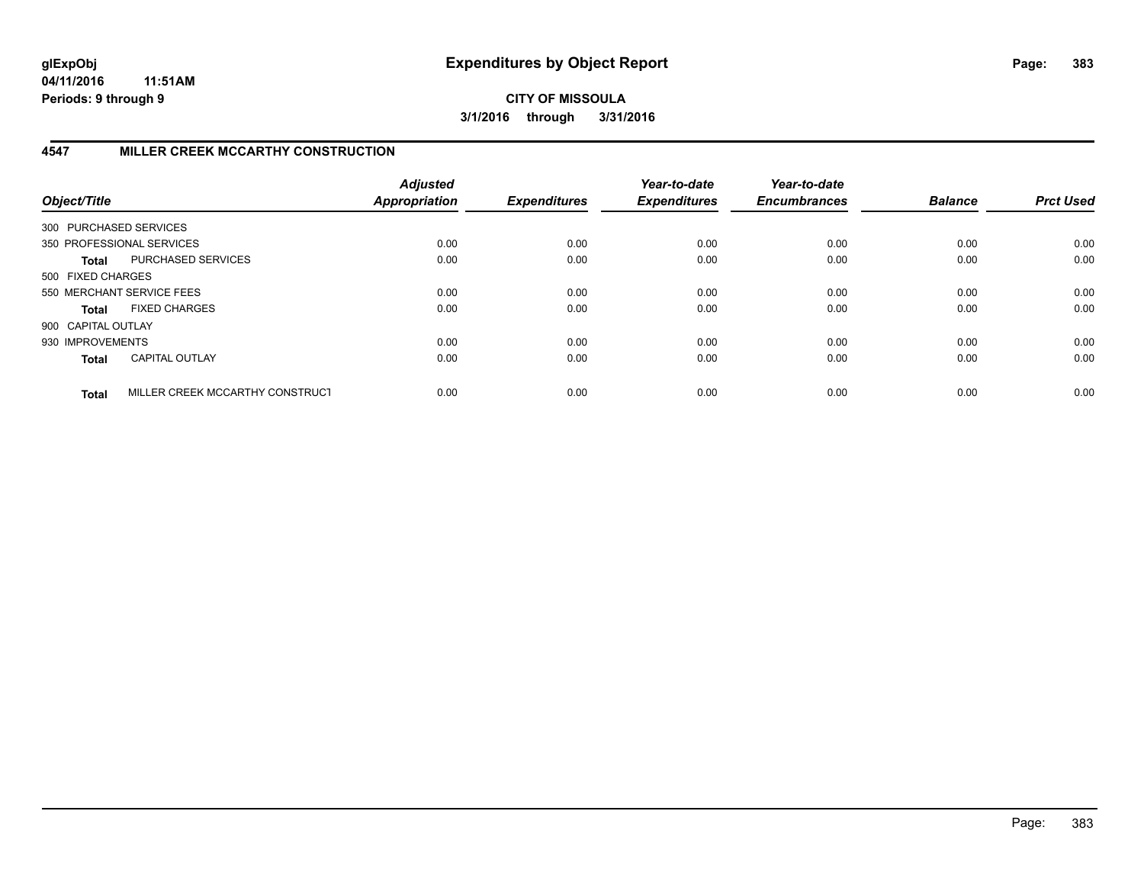**04/11/2016 11:51AM Periods: 9 through 9**

**CITY OF MISSOULA 3/1/2016 through 3/31/2016**

# **4547 MILLER CREEK MCCARTHY CONSTRUCTION**

| Object/Title           |                                 | <b>Adjusted</b><br><b>Appropriation</b> | <b>Expenditures</b> | Year-to-date<br><b>Expenditures</b> | Year-to-date<br><b>Encumbrances</b> | <b>Balance</b> | <b>Prct Used</b> |
|------------------------|---------------------------------|-----------------------------------------|---------------------|-------------------------------------|-------------------------------------|----------------|------------------|
| 300 PURCHASED SERVICES |                                 |                                         |                     |                                     |                                     |                |                  |
|                        | 350 PROFESSIONAL SERVICES       | 0.00                                    | 0.00                | 0.00                                | 0.00                                | 0.00           | 0.00             |
| Total                  | PURCHASED SERVICES              | 0.00                                    | 0.00                | 0.00                                | 0.00                                | 0.00           | 0.00             |
| 500 FIXED CHARGES      |                                 |                                         |                     |                                     |                                     |                |                  |
|                        | 550 MERCHANT SERVICE FEES       | 0.00                                    | 0.00                | 0.00                                | 0.00                                | 0.00           | 0.00             |
| Total                  | <b>FIXED CHARGES</b>            | 0.00                                    | 0.00                | 0.00                                | 0.00                                | 0.00           | 0.00             |
| 900 CAPITAL OUTLAY     |                                 |                                         |                     |                                     |                                     |                |                  |
| 930 IMPROVEMENTS       |                                 | 0.00                                    | 0.00                | 0.00                                | 0.00                                | 0.00           | 0.00             |
| <b>Total</b>           | <b>CAPITAL OUTLAY</b>           | 0.00                                    | 0.00                | 0.00                                | 0.00                                | 0.00           | 0.00             |
| <b>Total</b>           | MILLER CREEK MCCARTHY CONSTRUCT | 0.00                                    | 0.00                | 0.00                                | 0.00                                | 0.00           | 0.00             |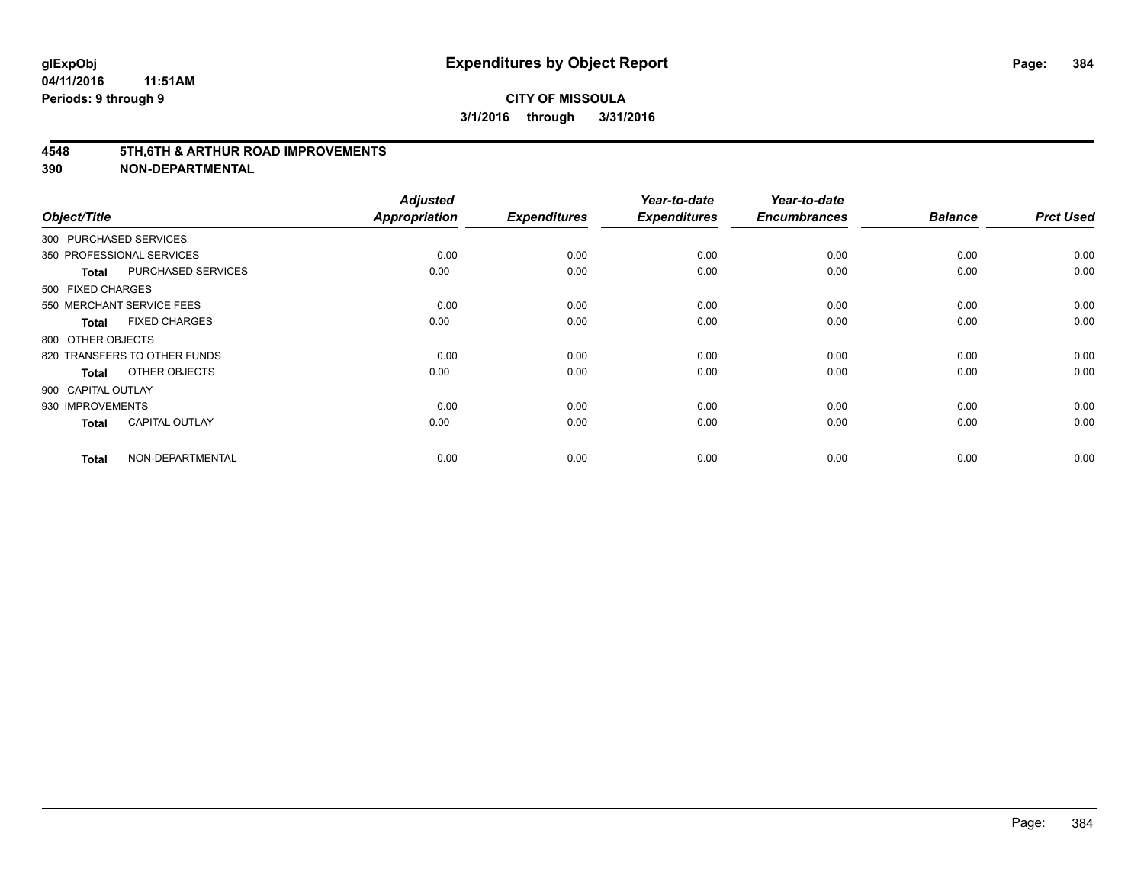#### **4548 5TH,6TH & ARTHUR ROAD IMPROVEMENTS**

| Object/Title           |                              | <b>Adjusted</b><br><b>Appropriation</b> | <b>Expenditures</b> | Year-to-date<br><b>Expenditures</b> | Year-to-date<br><b>Encumbrances</b> | <b>Balance</b> | <b>Prct Used</b> |
|------------------------|------------------------------|-----------------------------------------|---------------------|-------------------------------------|-------------------------------------|----------------|------------------|
| 300 PURCHASED SERVICES |                              |                                         |                     |                                     |                                     |                |                  |
|                        | 350 PROFESSIONAL SERVICES    | 0.00                                    | 0.00                | 0.00                                | 0.00                                | 0.00           | 0.00             |
| <b>Total</b>           | <b>PURCHASED SERVICES</b>    | 0.00                                    | 0.00                | 0.00                                | 0.00                                | 0.00           | 0.00             |
| 500 FIXED CHARGES      |                              |                                         |                     |                                     |                                     |                |                  |
|                        | 550 MERCHANT SERVICE FEES    | 0.00                                    | 0.00                | 0.00                                | 0.00                                | 0.00           | 0.00             |
| <b>Total</b>           | <b>FIXED CHARGES</b>         | 0.00                                    | 0.00                | 0.00                                | 0.00                                | 0.00           | 0.00             |
| 800 OTHER OBJECTS      |                              |                                         |                     |                                     |                                     |                |                  |
|                        | 820 TRANSFERS TO OTHER FUNDS | 0.00                                    | 0.00                | 0.00                                | 0.00                                | 0.00           | 0.00             |
| Total                  | OTHER OBJECTS                | 0.00                                    | 0.00                | 0.00                                | 0.00                                | 0.00           | 0.00             |
| 900 CAPITAL OUTLAY     |                              |                                         |                     |                                     |                                     |                |                  |
| 930 IMPROVEMENTS       |                              | 0.00                                    | 0.00                | 0.00                                | 0.00                                | 0.00           | 0.00             |
| <b>Total</b>           | <b>CAPITAL OUTLAY</b>        | 0.00                                    | 0.00                | 0.00                                | 0.00                                | 0.00           | 0.00             |
| <b>Total</b>           | NON-DEPARTMENTAL             | 0.00                                    | 0.00                | 0.00                                | 0.00                                | 0.00           | 0.00             |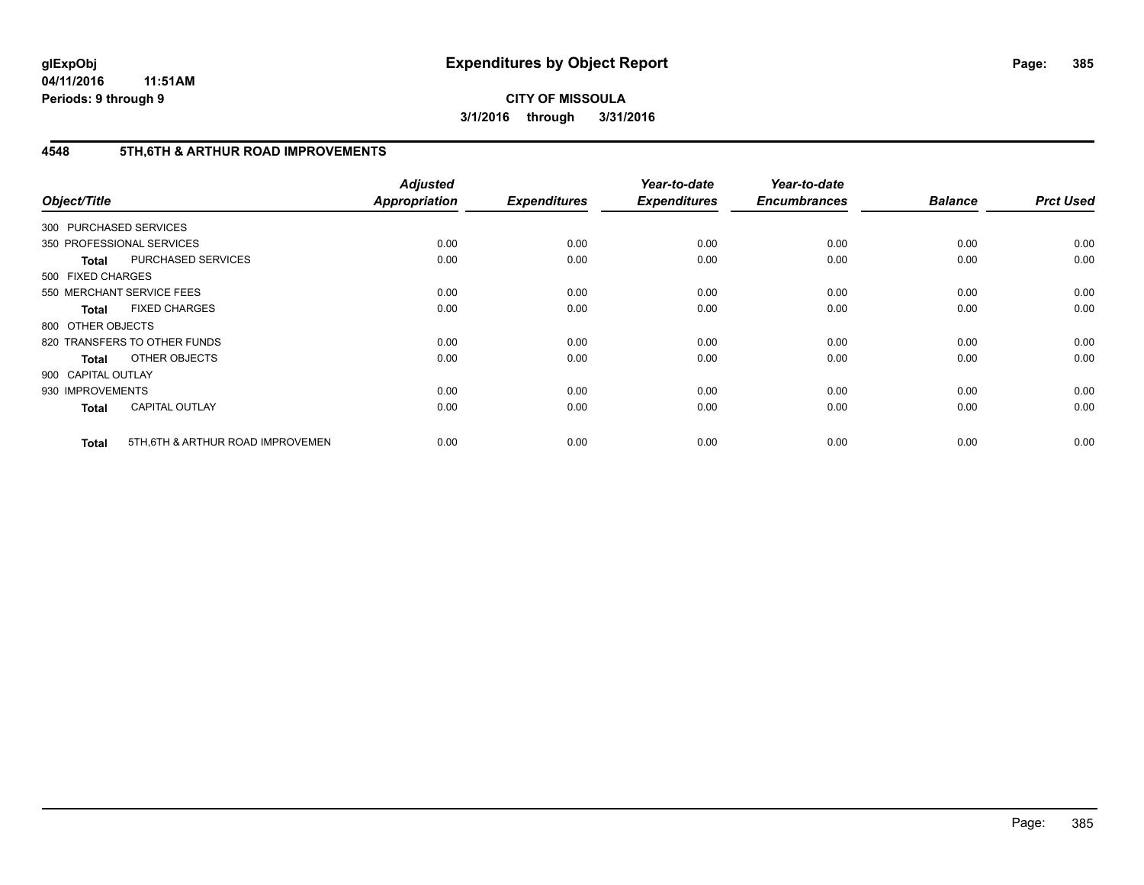**04/11/2016 11:51AM Periods: 9 through 9**

**CITY OF MISSOULA 3/1/2016 through 3/31/2016**

## **4548 5TH,6TH & ARTHUR ROAD IMPROVEMENTS**

| Object/Title           |                                   | <b>Adjusted</b><br>Appropriation | <b>Expenditures</b> | Year-to-date<br><b>Expenditures</b> | Year-to-date<br><b>Encumbrances</b> | <b>Balance</b> | <b>Prct Used</b> |
|------------------------|-----------------------------------|----------------------------------|---------------------|-------------------------------------|-------------------------------------|----------------|------------------|
| 300 PURCHASED SERVICES |                                   |                                  |                     |                                     |                                     |                |                  |
|                        | 350 PROFESSIONAL SERVICES         | 0.00                             | 0.00                | 0.00                                | 0.00                                | 0.00           | 0.00             |
| <b>Total</b>           | PURCHASED SERVICES                | 0.00                             | 0.00                | 0.00                                | 0.00                                | 0.00           | 0.00             |
| 500 FIXED CHARGES      |                                   |                                  |                     |                                     |                                     |                |                  |
|                        | 550 MERCHANT SERVICE FEES         | 0.00                             | 0.00                | 0.00                                | 0.00                                | 0.00           | 0.00             |
| <b>Total</b>           | <b>FIXED CHARGES</b>              | 0.00                             | 0.00                | 0.00                                | 0.00                                | 0.00           | 0.00             |
| 800 OTHER OBJECTS      |                                   |                                  |                     |                                     |                                     |                |                  |
|                        | 820 TRANSFERS TO OTHER FUNDS      | 0.00                             | 0.00                | 0.00                                | 0.00                                | 0.00           | 0.00             |
| <b>Total</b>           | OTHER OBJECTS                     | 0.00                             | 0.00                | 0.00                                | 0.00                                | 0.00           | 0.00             |
| 900 CAPITAL OUTLAY     |                                   |                                  |                     |                                     |                                     |                |                  |
| 930 IMPROVEMENTS       |                                   | 0.00                             | 0.00                | 0.00                                | 0.00                                | 0.00           | 0.00             |
| <b>Total</b>           | <b>CAPITAL OUTLAY</b>             | 0.00                             | 0.00                | 0.00                                | 0.00                                | 0.00           | 0.00             |
| <b>Total</b>           | 5TH, 6TH & ARTHUR ROAD IMPROVEMEN | 0.00                             | 0.00                | 0.00                                | 0.00                                | 0.00           | 0.00             |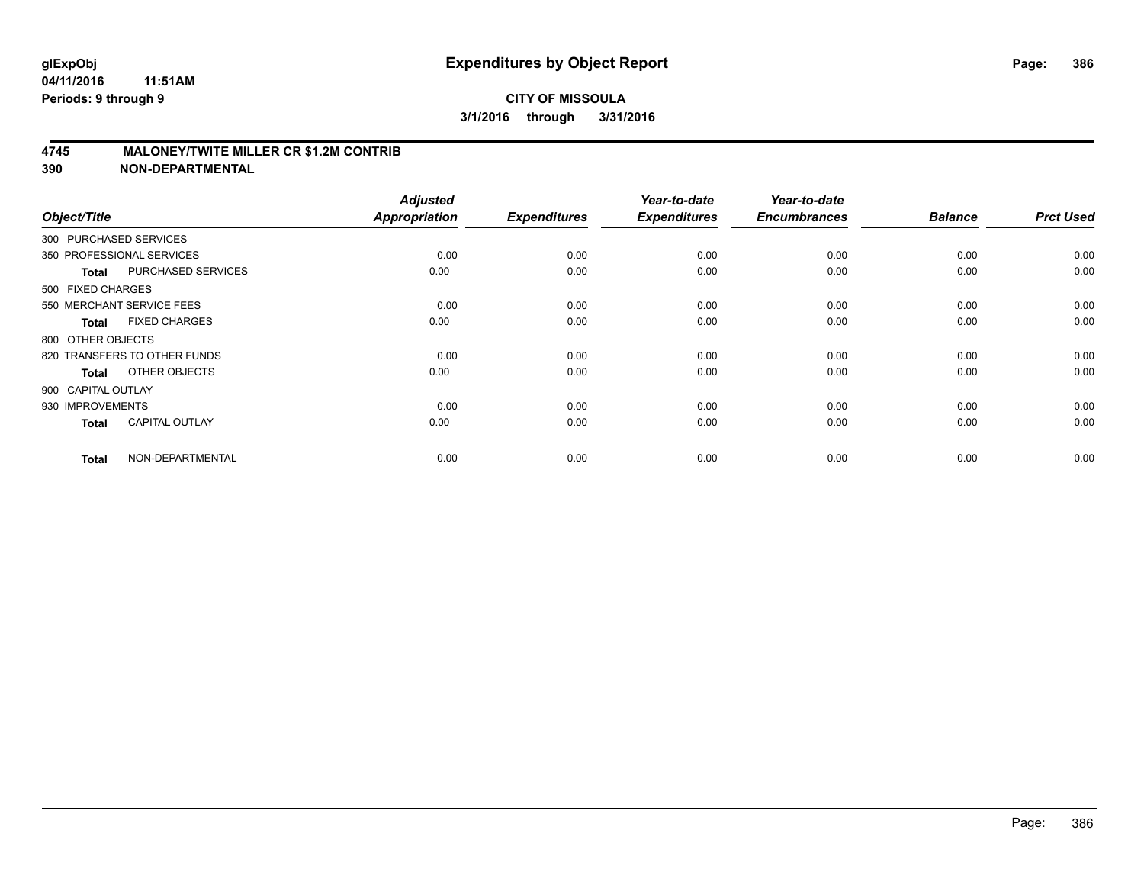### **4745 MALONEY/TWITE MILLER CR \$1.2M CONTRIB**

| Object/Title           |                              | <b>Adjusted</b><br><b>Appropriation</b> | <b>Expenditures</b> | Year-to-date<br><b>Expenditures</b> | Year-to-date<br><b>Encumbrances</b> | <b>Balance</b> | <b>Prct Used</b> |
|------------------------|------------------------------|-----------------------------------------|---------------------|-------------------------------------|-------------------------------------|----------------|------------------|
| 300 PURCHASED SERVICES |                              |                                         |                     |                                     |                                     |                |                  |
|                        | 350 PROFESSIONAL SERVICES    | 0.00                                    | 0.00                | 0.00                                | 0.00                                | 0.00           | 0.00             |
| <b>Total</b>           | <b>PURCHASED SERVICES</b>    | 0.00                                    | 0.00                | 0.00                                | 0.00                                | 0.00           | 0.00             |
| 500 FIXED CHARGES      |                              |                                         |                     |                                     |                                     |                |                  |
|                        | 550 MERCHANT SERVICE FEES    | 0.00                                    | 0.00                | 0.00                                | 0.00                                | 0.00           | 0.00             |
| <b>Total</b>           | <b>FIXED CHARGES</b>         | 0.00                                    | 0.00                | 0.00                                | 0.00                                | 0.00           | 0.00             |
| 800 OTHER OBJECTS      |                              |                                         |                     |                                     |                                     |                |                  |
|                        | 820 TRANSFERS TO OTHER FUNDS | 0.00                                    | 0.00                | 0.00                                | 0.00                                | 0.00           | 0.00             |
| <b>Total</b>           | OTHER OBJECTS                | 0.00                                    | 0.00                | 0.00                                | 0.00                                | 0.00           | 0.00             |
| 900 CAPITAL OUTLAY     |                              |                                         |                     |                                     |                                     |                |                  |
| 930 IMPROVEMENTS       |                              | 0.00                                    | 0.00                | 0.00                                | 0.00                                | 0.00           | 0.00             |
| <b>Total</b>           | <b>CAPITAL OUTLAY</b>        | 0.00                                    | 0.00                | 0.00                                | 0.00                                | 0.00           | 0.00             |
| <b>Total</b>           | NON-DEPARTMENTAL             | 0.00                                    | 0.00                | 0.00                                | 0.00                                | 0.00           | 0.00             |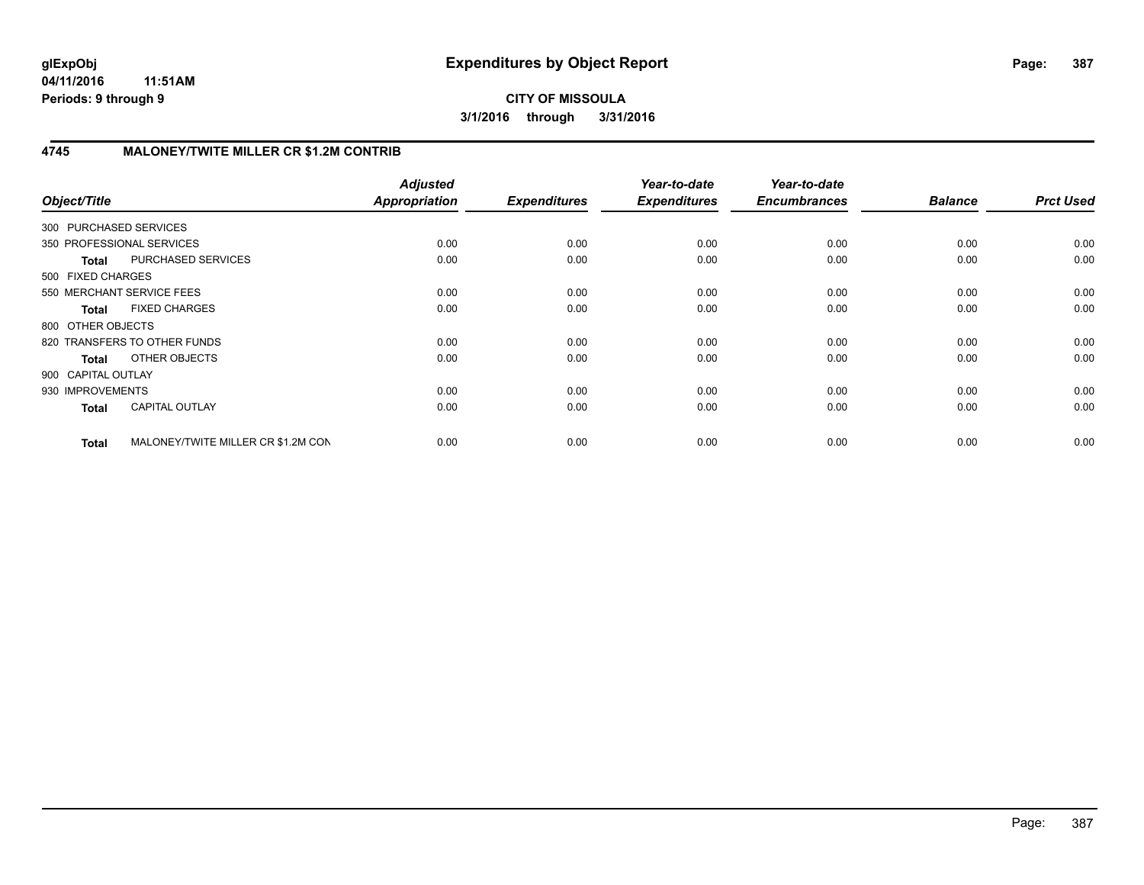**04/11/2016 11:51AM Periods: 9 through 9**

**CITY OF MISSOULA 3/1/2016 through 3/31/2016**

## **4745 MALONEY/TWITE MILLER CR \$1.2M CONTRIB**

| Object/Title              |                                    | <b>Adjusted</b><br><b>Appropriation</b> | <b>Expenditures</b> | Year-to-date<br><b>Expenditures</b> | Year-to-date<br><b>Encumbrances</b> | <b>Balance</b> | <b>Prct Used</b> |
|---------------------------|------------------------------------|-----------------------------------------|---------------------|-------------------------------------|-------------------------------------|----------------|------------------|
| 300 PURCHASED SERVICES    |                                    |                                         |                     |                                     |                                     |                |                  |
| 350 PROFESSIONAL SERVICES |                                    | 0.00                                    | 0.00                | 0.00                                | 0.00                                | 0.00           | 0.00             |
| <b>Total</b>              | PURCHASED SERVICES                 | 0.00                                    | 0.00                | 0.00                                | 0.00                                | 0.00           | 0.00             |
| 500 FIXED CHARGES         |                                    |                                         |                     |                                     |                                     |                |                  |
| 550 MERCHANT SERVICE FEES |                                    | 0.00                                    | 0.00                | 0.00                                | 0.00                                | 0.00           | 0.00             |
| <b>Total</b>              | <b>FIXED CHARGES</b>               | 0.00                                    | 0.00                | 0.00                                | 0.00                                | 0.00           | 0.00             |
| 800 OTHER OBJECTS         |                                    |                                         |                     |                                     |                                     |                |                  |
|                           | 820 TRANSFERS TO OTHER FUNDS       | 0.00                                    | 0.00                | 0.00                                | 0.00                                | 0.00           | 0.00             |
| Total                     | OTHER OBJECTS                      | 0.00                                    | 0.00                | 0.00                                | 0.00                                | 0.00           | 0.00             |
| 900 CAPITAL OUTLAY        |                                    |                                         |                     |                                     |                                     |                |                  |
| 930 IMPROVEMENTS          |                                    | 0.00                                    | 0.00                | 0.00                                | 0.00                                | 0.00           | 0.00             |
| <b>Total</b>              | <b>CAPITAL OUTLAY</b>              | 0.00                                    | 0.00                | 0.00                                | 0.00                                | 0.00           | 0.00             |
| <b>Total</b>              | MALONEY/TWITE MILLER CR \$1.2M CON | 0.00                                    | 0.00                | 0.00                                | 0.00                                | 0.00           | 0.00             |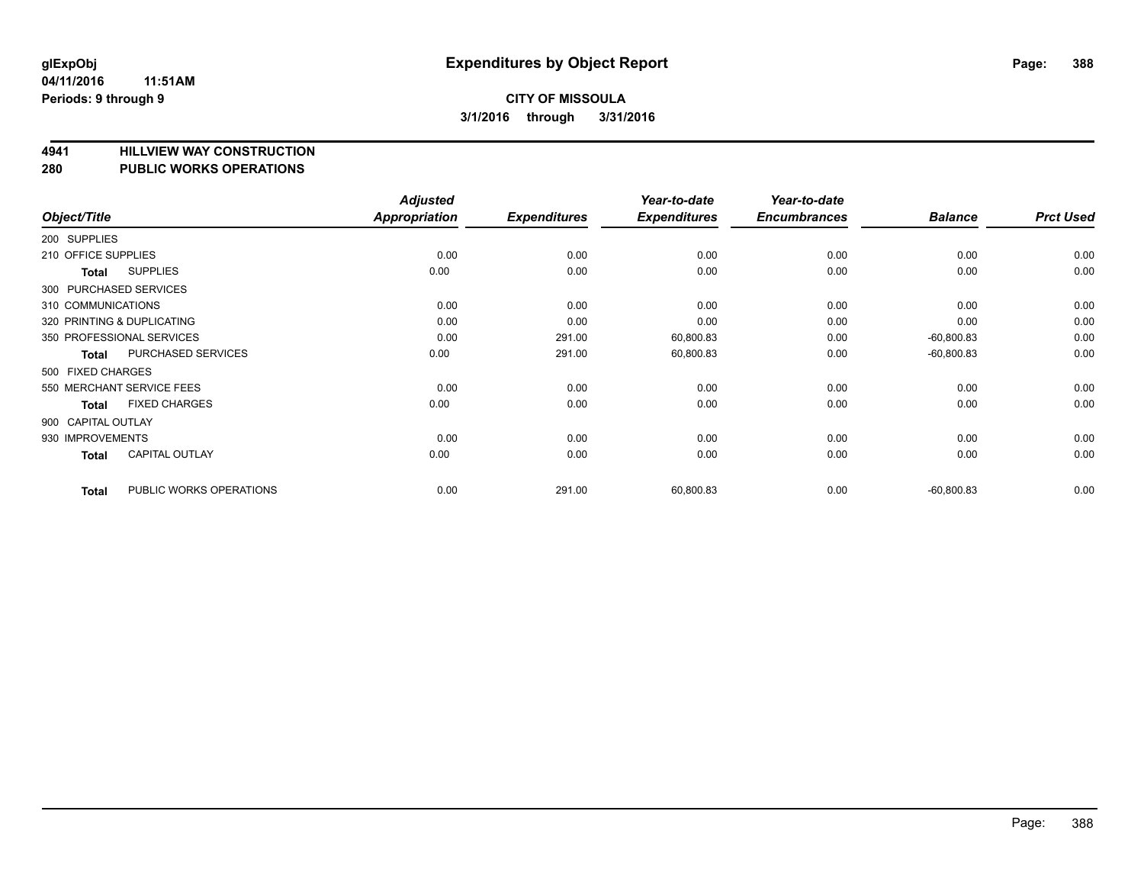# **4941 HILLVIEW WAY CONSTRUCTION**

#### **280 PUBLIC WORKS OPERATIONS**

| Object/Title        |                            | <b>Adjusted</b><br><b>Appropriation</b> | <b>Expenditures</b> | Year-to-date<br><b>Expenditures</b> | Year-to-date<br><b>Encumbrances</b> | <b>Balance</b> | <b>Prct Used</b> |
|---------------------|----------------------------|-----------------------------------------|---------------------|-------------------------------------|-------------------------------------|----------------|------------------|
| 200 SUPPLIES        |                            |                                         |                     |                                     |                                     |                |                  |
| 210 OFFICE SUPPLIES |                            | 0.00                                    | 0.00                | 0.00                                | 0.00                                | 0.00           | 0.00             |
| Total               | <b>SUPPLIES</b>            | 0.00                                    | 0.00                | 0.00                                | 0.00                                | 0.00           | 0.00             |
|                     | 300 PURCHASED SERVICES     |                                         |                     |                                     |                                     |                |                  |
| 310 COMMUNICATIONS  |                            | 0.00                                    | 0.00                | 0.00                                | 0.00                                | 0.00           | 0.00             |
|                     | 320 PRINTING & DUPLICATING | 0.00                                    | 0.00                | 0.00                                | 0.00                                | 0.00           | 0.00             |
|                     | 350 PROFESSIONAL SERVICES  | 0.00                                    | 291.00              | 60,800.83                           | 0.00                                | $-60,800.83$   | 0.00             |
| Total               | <b>PURCHASED SERVICES</b>  | 0.00                                    | 291.00              | 60,800.83                           | 0.00                                | $-60,800.83$   | 0.00             |
| 500 FIXED CHARGES   |                            |                                         |                     |                                     |                                     |                |                  |
|                     | 550 MERCHANT SERVICE FEES  | 0.00                                    | 0.00                | 0.00                                | 0.00                                | 0.00           | 0.00             |
| Total               | <b>FIXED CHARGES</b>       | 0.00                                    | 0.00                | 0.00                                | 0.00                                | 0.00           | 0.00             |
| 900 CAPITAL OUTLAY  |                            |                                         |                     |                                     |                                     |                |                  |
| 930 IMPROVEMENTS    |                            | 0.00                                    | 0.00                | 0.00                                | 0.00                                | 0.00           | 0.00             |
| <b>Total</b>        | <b>CAPITAL OUTLAY</b>      | 0.00                                    | 0.00                | 0.00                                | 0.00                                | 0.00           | 0.00             |
| <b>Total</b>        | PUBLIC WORKS OPERATIONS    | 0.00                                    | 291.00              | 60,800.83                           | 0.00                                | $-60,800.83$   | 0.00             |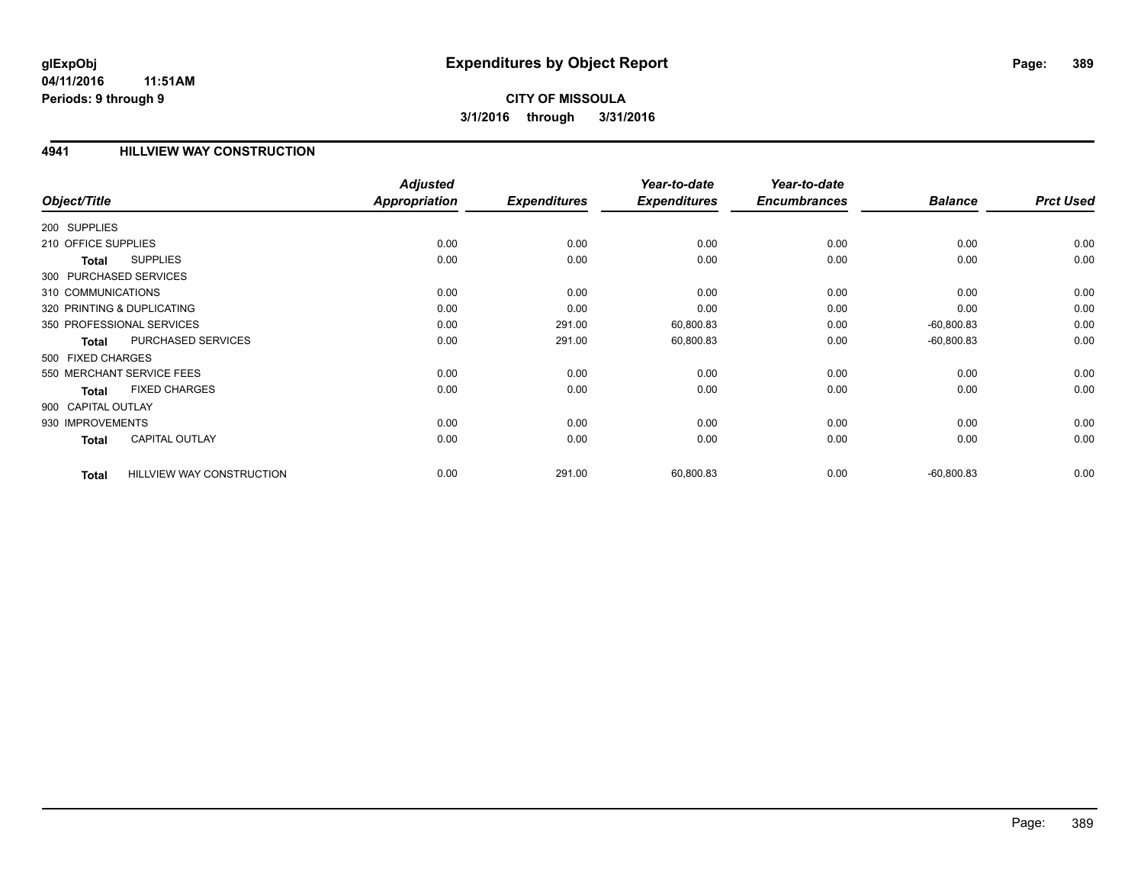### **4941 HILLVIEW WAY CONSTRUCTION**

|                        |                                  | <b>Adjusted</b>      |                     | Year-to-date        | Year-to-date        |                |                  |
|------------------------|----------------------------------|----------------------|---------------------|---------------------|---------------------|----------------|------------------|
| Object/Title           |                                  | <b>Appropriation</b> | <b>Expenditures</b> | <b>Expenditures</b> | <b>Encumbrances</b> | <b>Balance</b> | <b>Prct Used</b> |
| 200 SUPPLIES           |                                  |                      |                     |                     |                     |                |                  |
| 210 OFFICE SUPPLIES    |                                  | 0.00                 | 0.00                | 0.00                | 0.00                | 0.00           | 0.00             |
| Total                  | <b>SUPPLIES</b>                  | 0.00                 | 0.00                | 0.00                | 0.00                | 0.00           | 0.00             |
| 300 PURCHASED SERVICES |                                  |                      |                     |                     |                     |                |                  |
| 310 COMMUNICATIONS     |                                  | 0.00                 | 0.00                | 0.00                | 0.00                | 0.00           | 0.00             |
|                        | 320 PRINTING & DUPLICATING       | 0.00                 | 0.00                | 0.00                | 0.00                | 0.00           | 0.00             |
|                        | 350 PROFESSIONAL SERVICES        | 0.00                 | 291.00              | 60,800.83           | 0.00                | $-60,800.83$   | 0.00             |
| <b>Total</b>           | PURCHASED SERVICES               | 0.00                 | 291.00              | 60,800.83           | 0.00                | $-60,800.83$   | 0.00             |
| 500 FIXED CHARGES      |                                  |                      |                     |                     |                     |                |                  |
|                        | 550 MERCHANT SERVICE FEES        | 0.00                 | 0.00                | 0.00                | 0.00                | 0.00           | 0.00             |
| <b>Total</b>           | <b>FIXED CHARGES</b>             | 0.00                 | 0.00                | 0.00                | 0.00                | 0.00           | 0.00             |
| 900 CAPITAL OUTLAY     |                                  |                      |                     |                     |                     |                |                  |
| 930 IMPROVEMENTS       |                                  | 0.00                 | 0.00                | 0.00                | 0.00                | 0.00           | 0.00             |
| Total                  | <b>CAPITAL OUTLAY</b>            | 0.00                 | 0.00                | 0.00                | 0.00                | 0.00           | 0.00             |
| <b>Total</b>           | <b>HILLVIEW WAY CONSTRUCTION</b> | 0.00                 | 291.00              | 60,800.83           | 0.00                | $-60,800.83$   | 0.00             |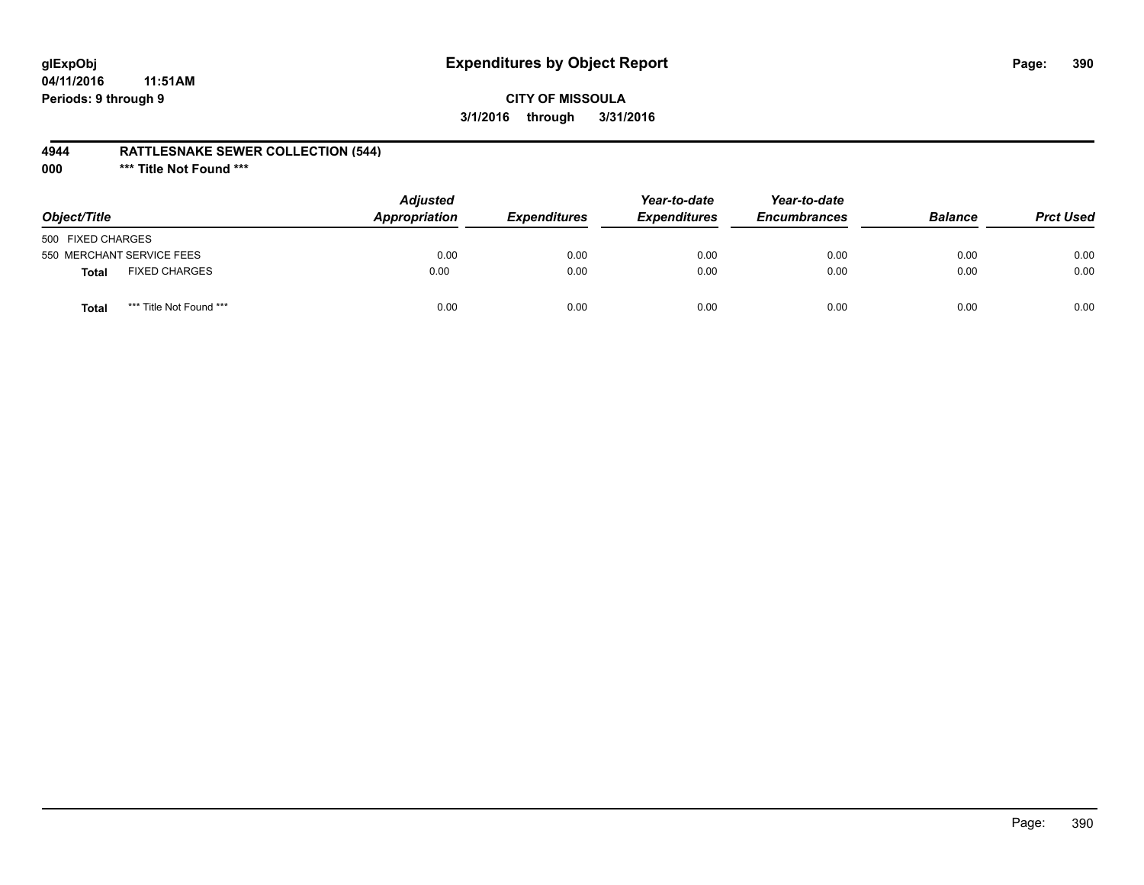# **glExpObj Expenditures by Object Report Page: 390**

### **CITY OF MISSOULA 3/1/2016 through 3/31/2016**

### **4944 RATTLESNAKE SEWER COLLECTION (544)**

**000 \*\*\* Title Not Found \*\*\***

| Object/Title                            | <b>Adjusted</b><br>Appropriation | <i><b>Expenditures</b></i> | Year-to-date<br><b>Expenditures</b> | Year-to-date<br><b>Encumbrances</b> | <b>Balance</b> | <b>Prct Used</b> |
|-----------------------------------------|----------------------------------|----------------------------|-------------------------------------|-------------------------------------|----------------|------------------|
| 500 FIXED CHARGES                       |                                  |                            |                                     |                                     |                |                  |
| 550 MERCHANT SERVICE FEES               | 0.00                             | 0.00                       | 0.00                                | 0.00                                | 0.00           | 0.00             |
| <b>FIXED CHARGES</b><br><b>Total</b>    | 0.00                             | 0.00                       | 0.00                                | 0.00                                | 0.00           | 0.00             |
| *** Title Not Found ***<br><b>Total</b> | 0.00                             | 0.00                       | 0.00                                | 0.00                                | 0.00           | 0.00             |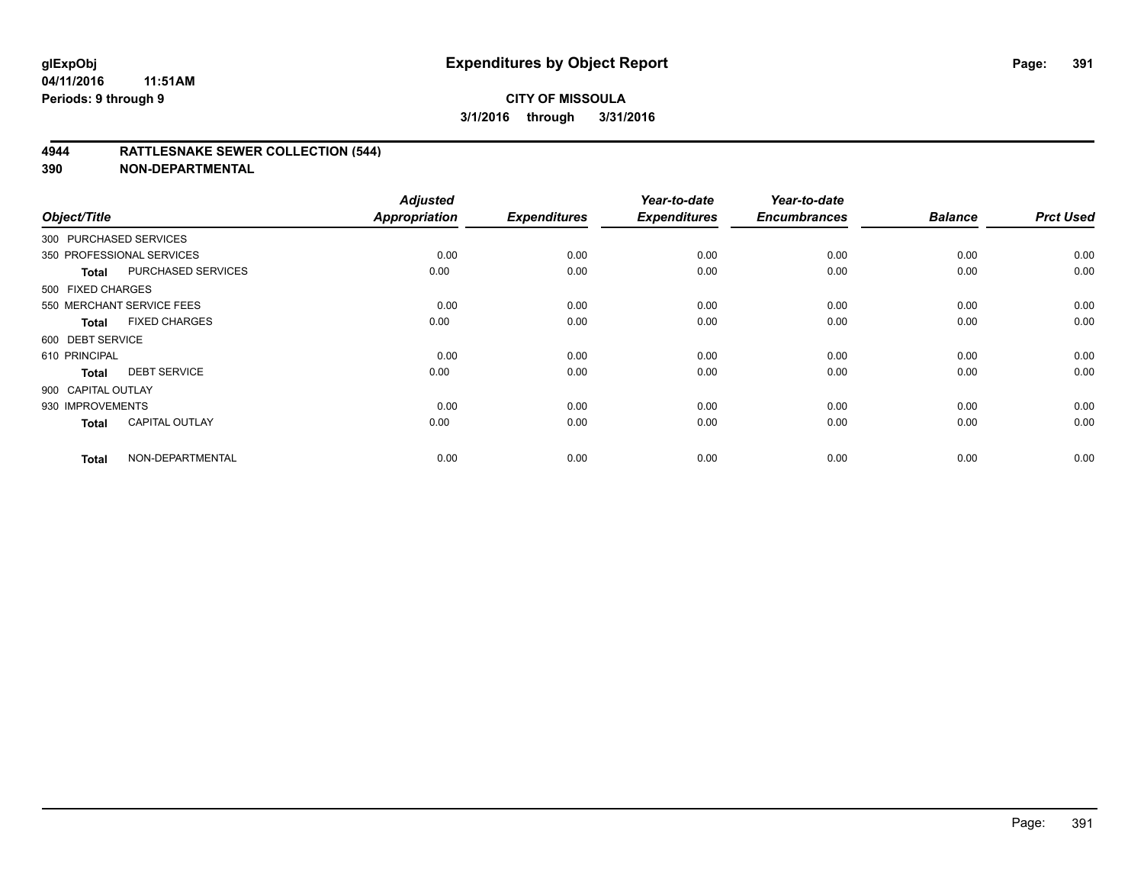### **4944 RATTLESNAKE SEWER COLLECTION (544)**

| Object/Title           |                           | <b>Adjusted</b><br><b>Appropriation</b> | <b>Expenditures</b> | Year-to-date<br><b>Expenditures</b> | Year-to-date<br><b>Encumbrances</b> | <b>Balance</b> | <b>Prct Used</b> |
|------------------------|---------------------------|-----------------------------------------|---------------------|-------------------------------------|-------------------------------------|----------------|------------------|
| 300 PURCHASED SERVICES |                           |                                         |                     |                                     |                                     |                |                  |
|                        | 350 PROFESSIONAL SERVICES | 0.00                                    | 0.00                | 0.00                                | 0.00                                | 0.00           | 0.00             |
| Total                  | PURCHASED SERVICES        | 0.00                                    | 0.00                | 0.00                                | 0.00                                | 0.00           | 0.00             |
| 500 FIXED CHARGES      |                           |                                         |                     |                                     |                                     |                |                  |
|                        | 550 MERCHANT SERVICE FEES | 0.00                                    | 0.00                | 0.00                                | 0.00                                | 0.00           | 0.00             |
| Total                  | <b>FIXED CHARGES</b>      | 0.00                                    | 0.00                | 0.00                                | 0.00                                | 0.00           | 0.00             |
| 600 DEBT SERVICE       |                           |                                         |                     |                                     |                                     |                |                  |
| 610 PRINCIPAL          |                           | 0.00                                    | 0.00                | 0.00                                | 0.00                                | 0.00           | 0.00             |
| <b>Total</b>           | <b>DEBT SERVICE</b>       | 0.00                                    | 0.00                | 0.00                                | 0.00                                | 0.00           | 0.00             |
| 900 CAPITAL OUTLAY     |                           |                                         |                     |                                     |                                     |                |                  |
| 930 IMPROVEMENTS       |                           | 0.00                                    | 0.00                | 0.00                                | 0.00                                | 0.00           | 0.00             |
| <b>Total</b>           | <b>CAPITAL OUTLAY</b>     | 0.00                                    | 0.00                | 0.00                                | 0.00                                | 0.00           | 0.00             |
| <b>Total</b>           | NON-DEPARTMENTAL          | 0.00                                    | 0.00                | 0.00                                | 0.00                                | 0.00           | 0.00             |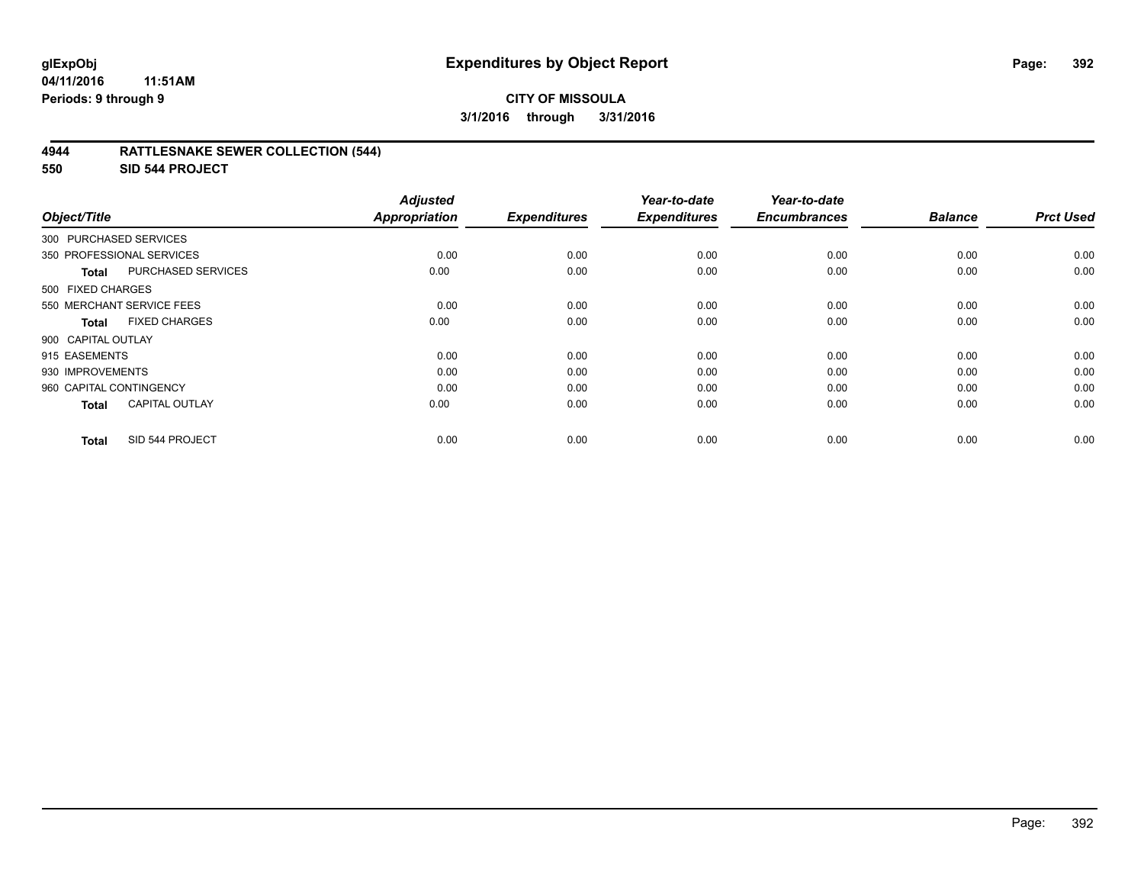### **4944 RATTLESNAKE SEWER COLLECTION (544)**

**550 SID 544 PROJECT**

| Object/Title            |                           | <b>Adjusted</b><br><b>Appropriation</b> | <b>Expenditures</b> | Year-to-date<br><b>Expenditures</b> | Year-to-date<br><b>Encumbrances</b> | <b>Balance</b> | <b>Prct Used</b> |
|-------------------------|---------------------------|-----------------------------------------|---------------------|-------------------------------------|-------------------------------------|----------------|------------------|
| 300 PURCHASED SERVICES  |                           |                                         |                     |                                     |                                     |                |                  |
|                         | 350 PROFESSIONAL SERVICES | 0.00                                    | 0.00                | 0.00                                | 0.00                                | 0.00           | 0.00             |
| <b>Total</b>            | <b>PURCHASED SERVICES</b> | 0.00                                    | 0.00                | 0.00                                | 0.00                                | 0.00           | 0.00             |
| 500 FIXED CHARGES       |                           |                                         |                     |                                     |                                     |                |                  |
|                         | 550 MERCHANT SERVICE FEES | 0.00                                    | 0.00                | 0.00                                | 0.00                                | 0.00           | 0.00             |
| <b>Total</b>            | <b>FIXED CHARGES</b>      | 0.00                                    | 0.00                | 0.00                                | 0.00                                | 0.00           | 0.00             |
| 900 CAPITAL OUTLAY      |                           |                                         |                     |                                     |                                     |                |                  |
| 915 EASEMENTS           |                           | 0.00                                    | 0.00                | 0.00                                | 0.00                                | 0.00           | 0.00             |
| 930 IMPROVEMENTS        |                           | 0.00                                    | 0.00                | 0.00                                | 0.00                                | 0.00           | 0.00             |
| 960 CAPITAL CONTINGENCY |                           | 0.00                                    | 0.00                | 0.00                                | 0.00                                | 0.00           | 0.00             |
| <b>Total</b>            | <b>CAPITAL OUTLAY</b>     | 0.00                                    | 0.00                | 0.00                                | 0.00                                | 0.00           | 0.00             |
| <b>Total</b>            | SID 544 PROJECT           | 0.00                                    | 0.00                | 0.00                                | 0.00                                | 0.00           | 0.00             |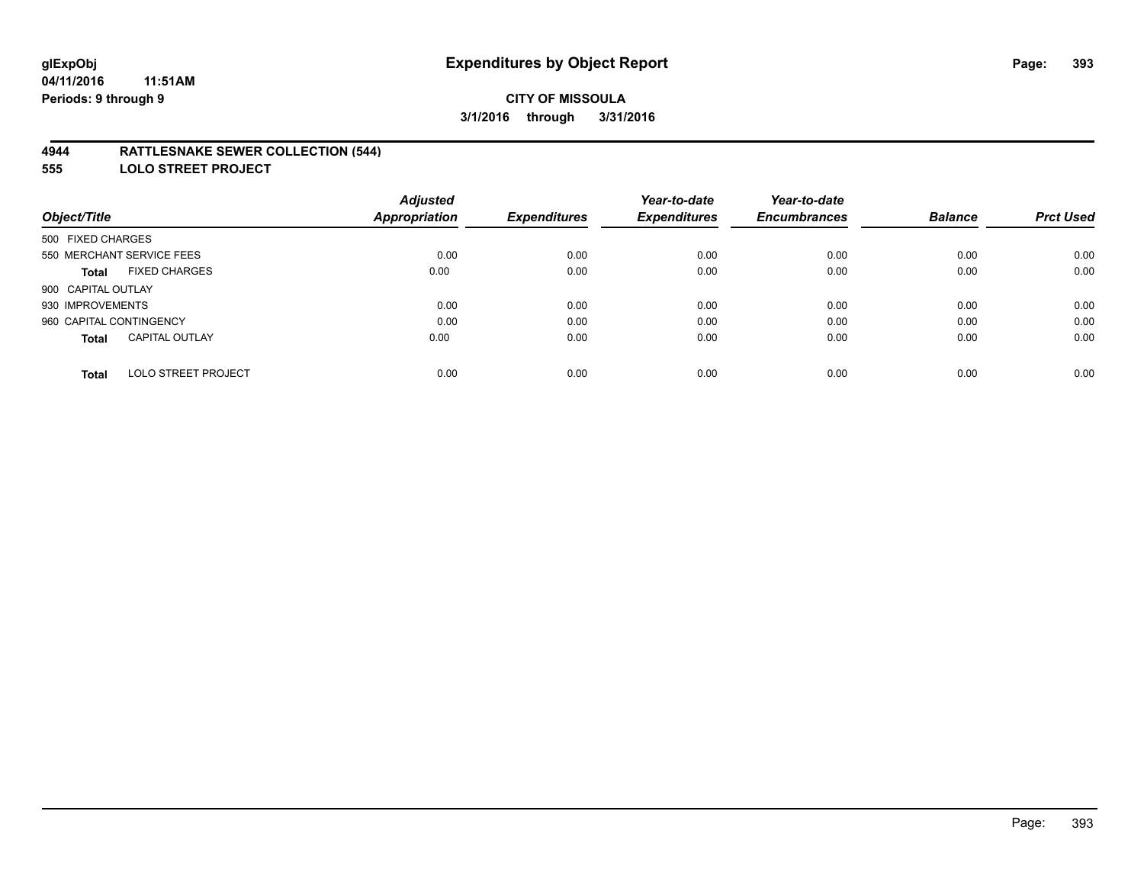### **4944 RATTLESNAKE SEWER COLLECTION (544)**

**555 LOLO STREET PROJECT**

|                                            | <b>Adjusted</b>      |                     | Year-to-date        | Year-to-date        |                |                  |
|--------------------------------------------|----------------------|---------------------|---------------------|---------------------|----------------|------------------|
| Object/Title                               | <b>Appropriation</b> | <b>Expenditures</b> | <b>Expenditures</b> | <b>Encumbrances</b> | <b>Balance</b> | <b>Prct Used</b> |
| 500 FIXED CHARGES                          |                      |                     |                     |                     |                |                  |
| 550 MERCHANT SERVICE FEES                  | 0.00                 | 0.00                | 0.00                | 0.00                | 0.00           | 0.00             |
| <b>FIXED CHARGES</b><br><b>Total</b>       | 0.00                 | 0.00                | 0.00                | 0.00                | 0.00           | 0.00             |
| 900 CAPITAL OUTLAY                         |                      |                     |                     |                     |                |                  |
| 930 IMPROVEMENTS                           | 0.00                 | 0.00                | 0.00                | 0.00                | 0.00           | 0.00             |
| 960 CAPITAL CONTINGENCY                    | 0.00                 | 0.00                | 0.00                | 0.00                | 0.00           | 0.00             |
| <b>CAPITAL OUTLAY</b><br><b>Total</b>      | 0.00                 | 0.00                | 0.00                | 0.00                | 0.00           | 0.00             |
| <b>LOLO STREET PROJECT</b><br><b>Total</b> | 0.00                 | 0.00                | 0.00                | 0.00                | 0.00           | 0.00             |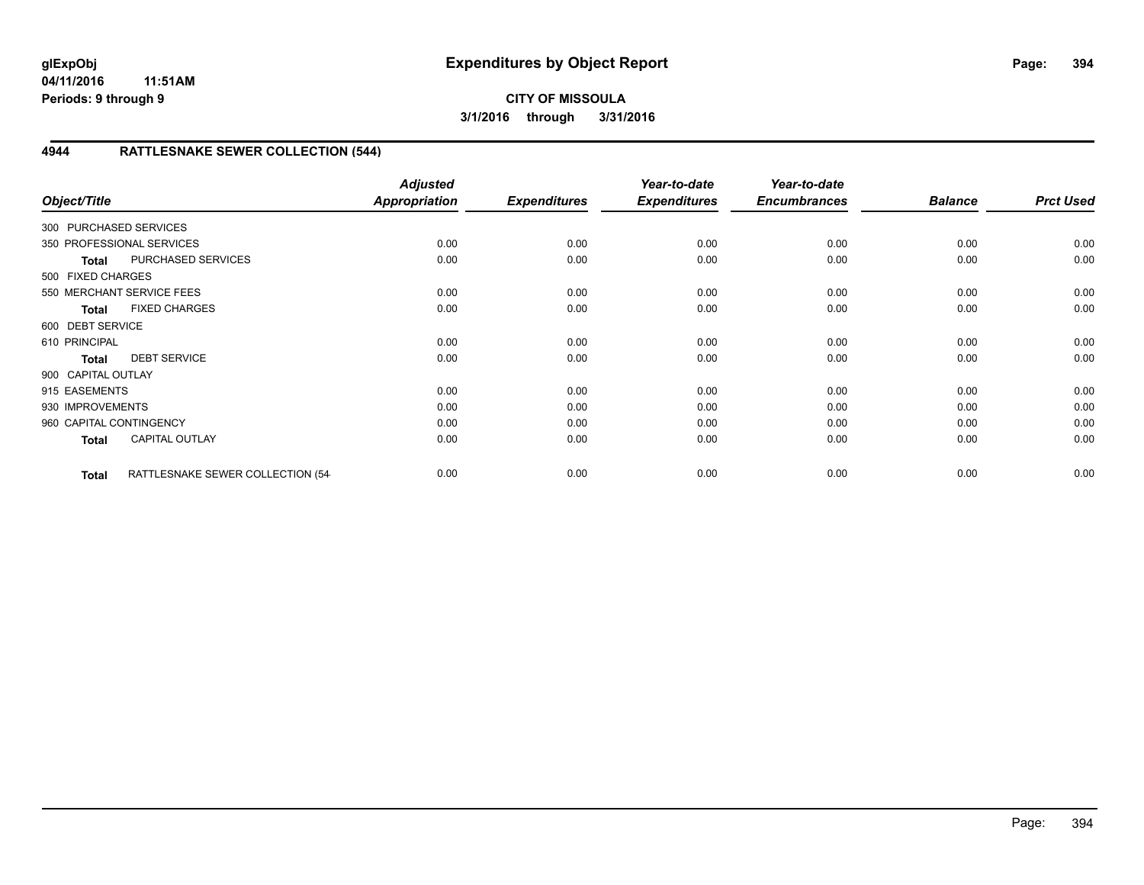# **4944 RATTLESNAKE SEWER COLLECTION (544)**

| Object/Title            |                                   | <b>Adjusted</b><br>Appropriation | <b>Expenditures</b> | Year-to-date<br><b>Expenditures</b> | Year-to-date<br><b>Encumbrances</b> | <b>Balance</b> | <b>Prct Used</b> |
|-------------------------|-----------------------------------|----------------------------------|---------------------|-------------------------------------|-------------------------------------|----------------|------------------|
| 300 PURCHASED SERVICES  |                                   |                                  |                     |                                     |                                     |                |                  |
|                         | 350 PROFESSIONAL SERVICES         | 0.00                             | 0.00                | 0.00                                | 0.00                                | 0.00           | 0.00             |
| <b>Total</b>            | PURCHASED SERVICES                | 0.00                             | 0.00                | 0.00                                | 0.00                                | 0.00           | 0.00             |
| 500 FIXED CHARGES       |                                   |                                  |                     |                                     |                                     |                |                  |
|                         | 550 MERCHANT SERVICE FEES         | 0.00                             | 0.00                | 0.00                                | 0.00                                | 0.00           | 0.00             |
| <b>Total</b>            | <b>FIXED CHARGES</b>              | 0.00                             | 0.00                | 0.00                                | 0.00                                | 0.00           | 0.00             |
| 600 DEBT SERVICE        |                                   |                                  |                     |                                     |                                     |                |                  |
| 610 PRINCIPAL           |                                   | 0.00                             | 0.00                | 0.00                                | 0.00                                | 0.00           | 0.00             |
| <b>Total</b>            | <b>DEBT SERVICE</b>               | 0.00                             | 0.00                | 0.00                                | 0.00                                | 0.00           | 0.00             |
| 900 CAPITAL OUTLAY      |                                   |                                  |                     |                                     |                                     |                |                  |
| 915 EASEMENTS           |                                   | 0.00                             | 0.00                | 0.00                                | 0.00                                | 0.00           | 0.00             |
| 930 IMPROVEMENTS        |                                   | 0.00                             | 0.00                | 0.00                                | 0.00                                | 0.00           | 0.00             |
| 960 CAPITAL CONTINGENCY |                                   | 0.00                             | 0.00                | 0.00                                | 0.00                                | 0.00           | 0.00             |
| <b>Total</b>            | <b>CAPITAL OUTLAY</b>             | 0.00                             | 0.00                | 0.00                                | 0.00                                | 0.00           | 0.00             |
| <b>Total</b>            | RATTLESNAKE SEWER COLLECTION (54- | 0.00                             | 0.00                | 0.00                                | 0.00                                | 0.00           | 0.00             |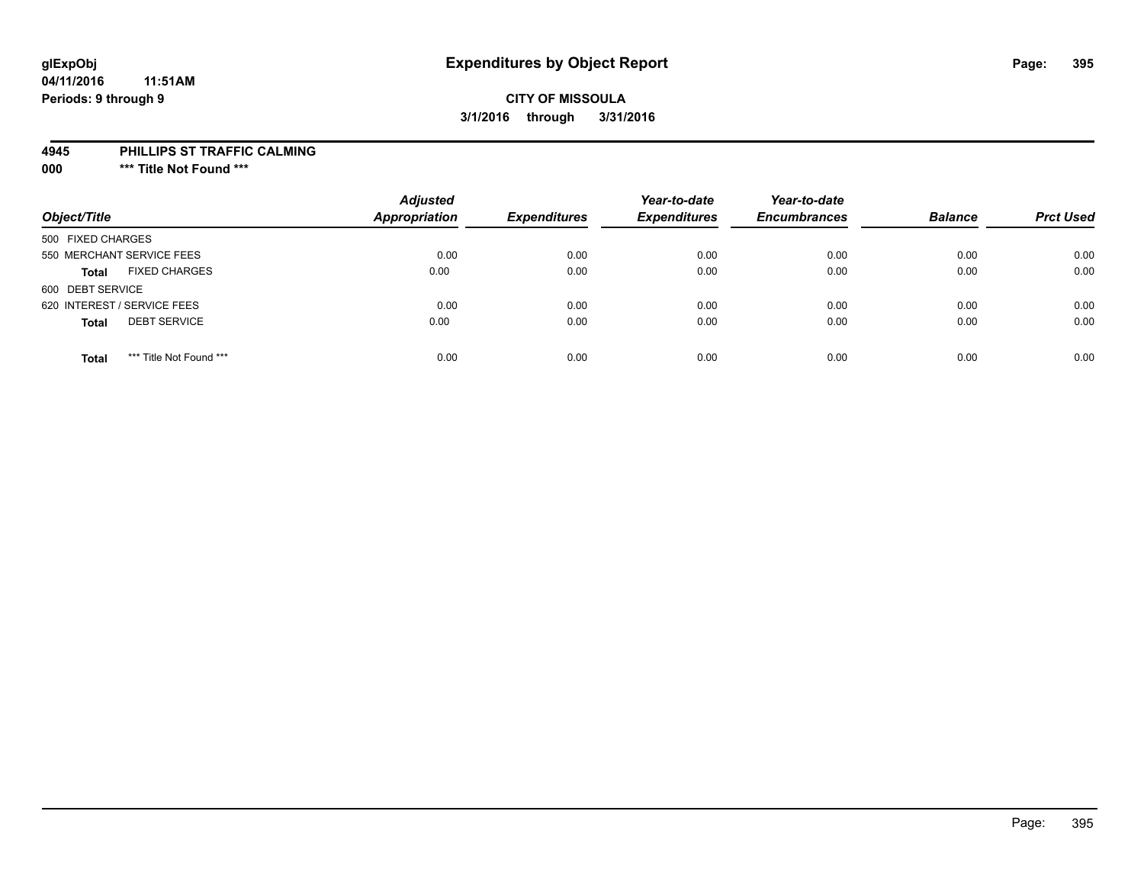# **glExpObj Expenditures by Object Report Page: 395**

#### **04/11/2016 11:51AM Periods: 9 through 9**

### **CITY OF MISSOULA 3/1/2016 through 3/31/2016**

#### **4945 PHILLIPS ST TRAFFIC CALMING**

**000 \*\*\* Title Not Found \*\*\***

| Object/Title                            | <b>Adjusted</b><br>Appropriation | <b>Expenditures</b> | Year-to-date<br><b>Expenditures</b> | Year-to-date<br><b>Encumbrances</b> | <b>Balance</b> | <b>Prct Used</b> |
|-----------------------------------------|----------------------------------|---------------------|-------------------------------------|-------------------------------------|----------------|------------------|
| 500 FIXED CHARGES                       |                                  |                     |                                     |                                     |                |                  |
| 550 MERCHANT SERVICE FEES               | 0.00                             | 0.00                | 0.00                                | 0.00                                | 0.00           | 0.00             |
| <b>FIXED CHARGES</b><br><b>Total</b>    | 0.00                             | 0.00                | 0.00                                | 0.00                                | 0.00           | 0.00             |
| 600 DEBT SERVICE                        |                                  |                     |                                     |                                     |                |                  |
| 620 INTEREST / SERVICE FEES             | 0.00                             | 0.00                | 0.00                                | 0.00                                | 0.00           | 0.00             |
| <b>DEBT SERVICE</b><br><b>Total</b>     | 0.00                             | 0.00                | 0.00                                | 0.00                                | 0.00           | 0.00             |
| *** Title Not Found ***<br><b>Total</b> | 0.00                             | 0.00                | 0.00                                | 0.00                                | 0.00           | 0.00             |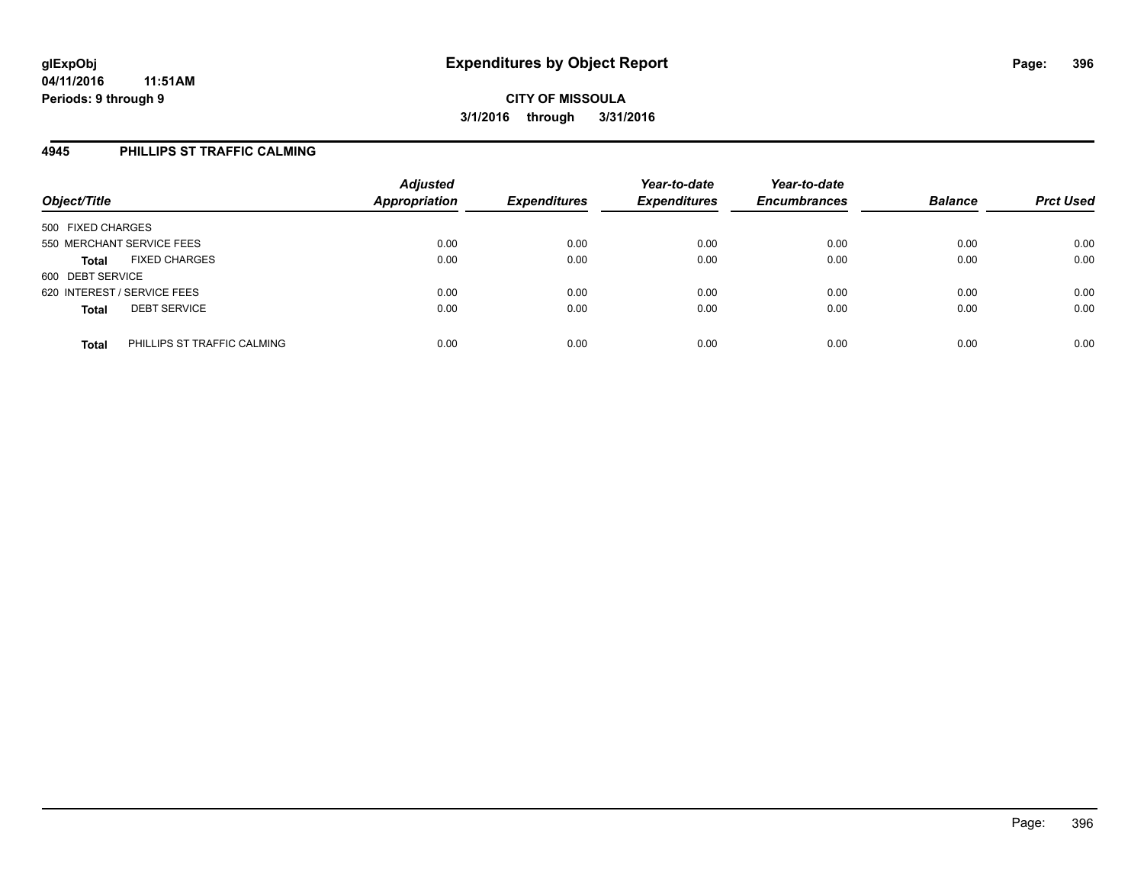### **4945 PHILLIPS ST TRAFFIC CALMING**

| Object/Title                                | <b>Adjusted</b><br>Appropriation | <b>Expenditures</b> | Year-to-date<br><b>Expenditures</b> | Year-to-date<br><b>Encumbrances</b> | <b>Balance</b> | <b>Prct Used</b> |
|---------------------------------------------|----------------------------------|---------------------|-------------------------------------|-------------------------------------|----------------|------------------|
| 500 FIXED CHARGES                           |                                  |                     |                                     |                                     |                |                  |
| 550 MERCHANT SERVICE FEES                   | 0.00                             | 0.00                | 0.00                                | 0.00                                | 0.00           | 0.00             |
| <b>FIXED CHARGES</b><br><b>Total</b>        | 0.00                             | 0.00                | 0.00                                | 0.00                                | 0.00           | 0.00             |
| 600 DEBT SERVICE                            |                                  |                     |                                     |                                     |                |                  |
| 620 INTEREST / SERVICE FEES                 | 0.00                             | 0.00                | 0.00                                | 0.00                                | 0.00           | 0.00             |
| <b>DEBT SERVICE</b><br><b>Total</b>         | 0.00                             | 0.00                | 0.00                                | 0.00                                | 0.00           | 0.00             |
| PHILLIPS ST TRAFFIC CALMING<br><b>Total</b> | 0.00                             | 0.00                | 0.00                                | 0.00                                | 0.00           | 0.00             |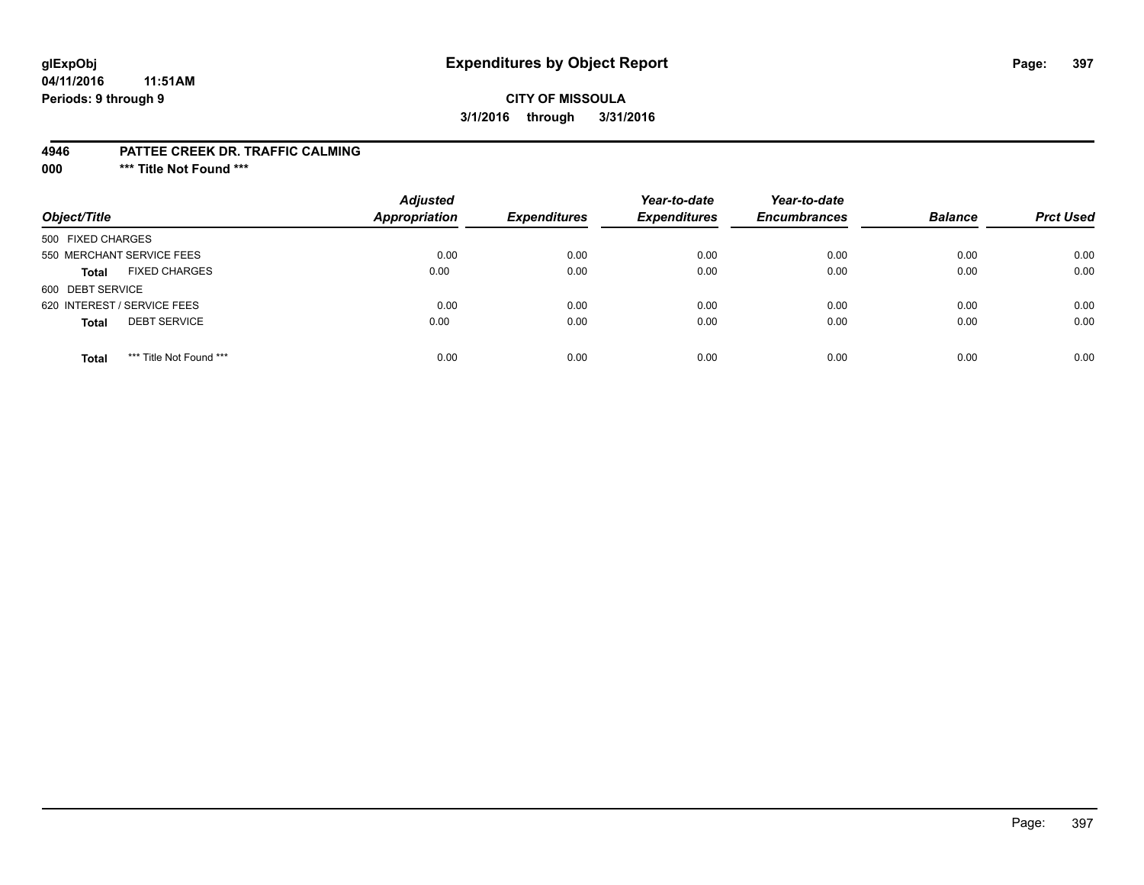## **glExpObj Expenditures by Object Report Page: 397**

### **CITY OF MISSOULA 3/1/2016 through 3/31/2016**

#### **4946 PATTEE CREEK DR. TRAFFIC CALMING**

**000 \*\*\* Title Not Found \*\*\***

| Object/Title                            | <b>Adjusted</b><br>Appropriation | <b>Expenditures</b> | Year-to-date<br><b>Expenditures</b> | Year-to-date<br><b>Encumbrances</b> | <b>Balance</b> | <b>Prct Used</b> |
|-----------------------------------------|----------------------------------|---------------------|-------------------------------------|-------------------------------------|----------------|------------------|
| 500 FIXED CHARGES                       |                                  |                     |                                     |                                     |                |                  |
| 550 MERCHANT SERVICE FEES               | 0.00                             | 0.00                | 0.00                                | 0.00                                | 0.00           | 0.00             |
| <b>FIXED CHARGES</b><br><b>Total</b>    | 0.00                             | 0.00                | 0.00                                | 0.00                                | 0.00           | 0.00             |
| 600 DEBT SERVICE                        |                                  |                     |                                     |                                     |                |                  |
| 620 INTEREST / SERVICE FEES             | 0.00                             | 0.00                | 0.00                                | 0.00                                | 0.00           | 0.00             |
| <b>DEBT SERVICE</b><br><b>Total</b>     | 0.00                             | 0.00                | 0.00                                | 0.00                                | 0.00           | 0.00             |
| *** Title Not Found ***<br><b>Total</b> | 0.00                             | 0.00                | 0.00                                | 0.00                                | 0.00           | 0.00             |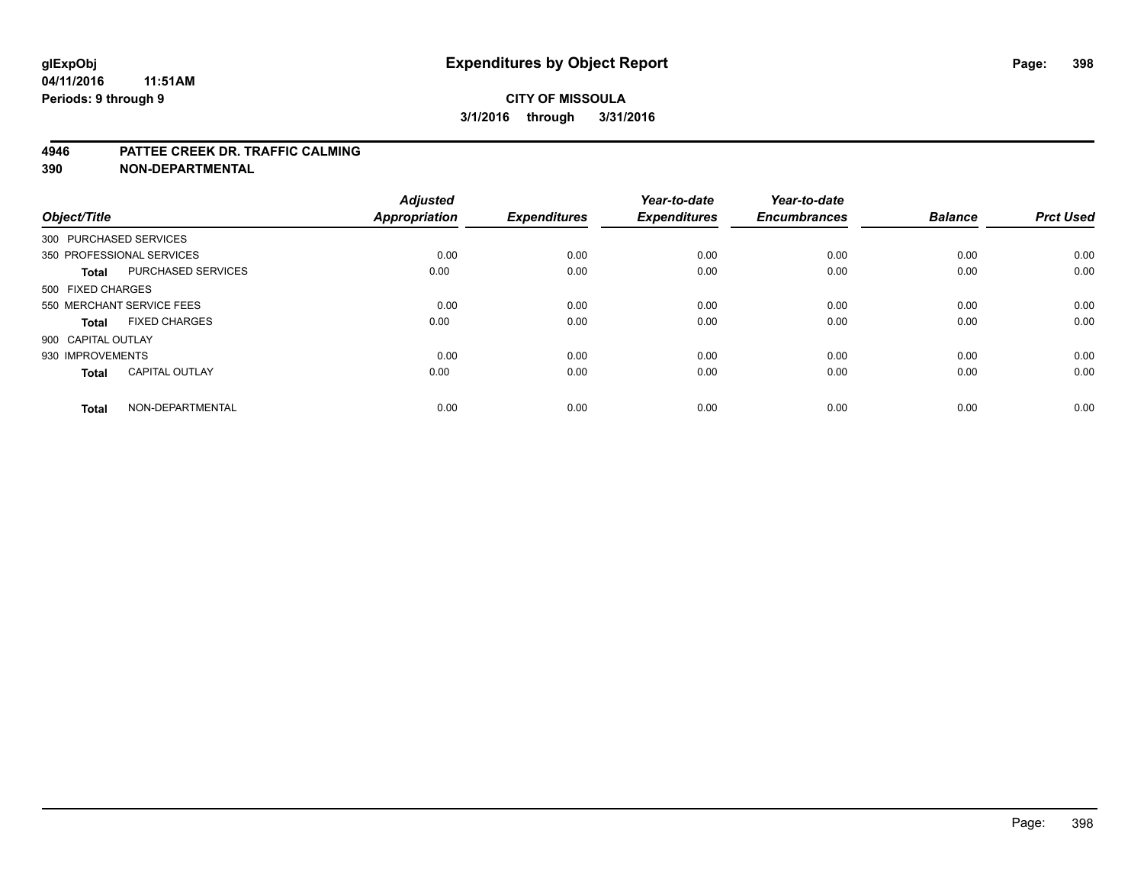#### **4946 PATTEE CREEK DR. TRAFFIC CALMING**

**390 NON-DEPARTMENTAL**

| Object/Title           |                           | <b>Adjusted</b><br><b>Appropriation</b> | <b>Expenditures</b> | Year-to-date<br><b>Expenditures</b> | Year-to-date<br><b>Encumbrances</b> | <b>Balance</b> | <b>Prct Used</b> |
|------------------------|---------------------------|-----------------------------------------|---------------------|-------------------------------------|-------------------------------------|----------------|------------------|
| 300 PURCHASED SERVICES |                           |                                         |                     |                                     |                                     |                |                  |
|                        | 350 PROFESSIONAL SERVICES | 0.00                                    | 0.00                | 0.00                                | 0.00                                | 0.00           | 0.00             |
| <b>Total</b>           | <b>PURCHASED SERVICES</b> | 0.00                                    | 0.00                | 0.00                                | 0.00                                | 0.00           | 0.00             |
| 500 FIXED CHARGES      |                           |                                         |                     |                                     |                                     |                |                  |
|                        | 550 MERCHANT SERVICE FEES | 0.00                                    | 0.00                | 0.00                                | 0.00                                | 0.00           | 0.00             |
| Total                  | <b>FIXED CHARGES</b>      | 0.00                                    | 0.00                | 0.00                                | 0.00                                | 0.00           | 0.00             |
| 900 CAPITAL OUTLAY     |                           |                                         |                     |                                     |                                     |                |                  |
| 930 IMPROVEMENTS       |                           | 0.00                                    | 0.00                | 0.00                                | 0.00                                | 0.00           | 0.00             |
| Total                  | <b>CAPITAL OUTLAY</b>     | 0.00                                    | 0.00                | 0.00                                | 0.00                                | 0.00           | 0.00             |
| <b>Total</b>           | NON-DEPARTMENTAL          | 0.00                                    | 0.00                | 0.00                                | 0.00                                | 0.00           | 0.00             |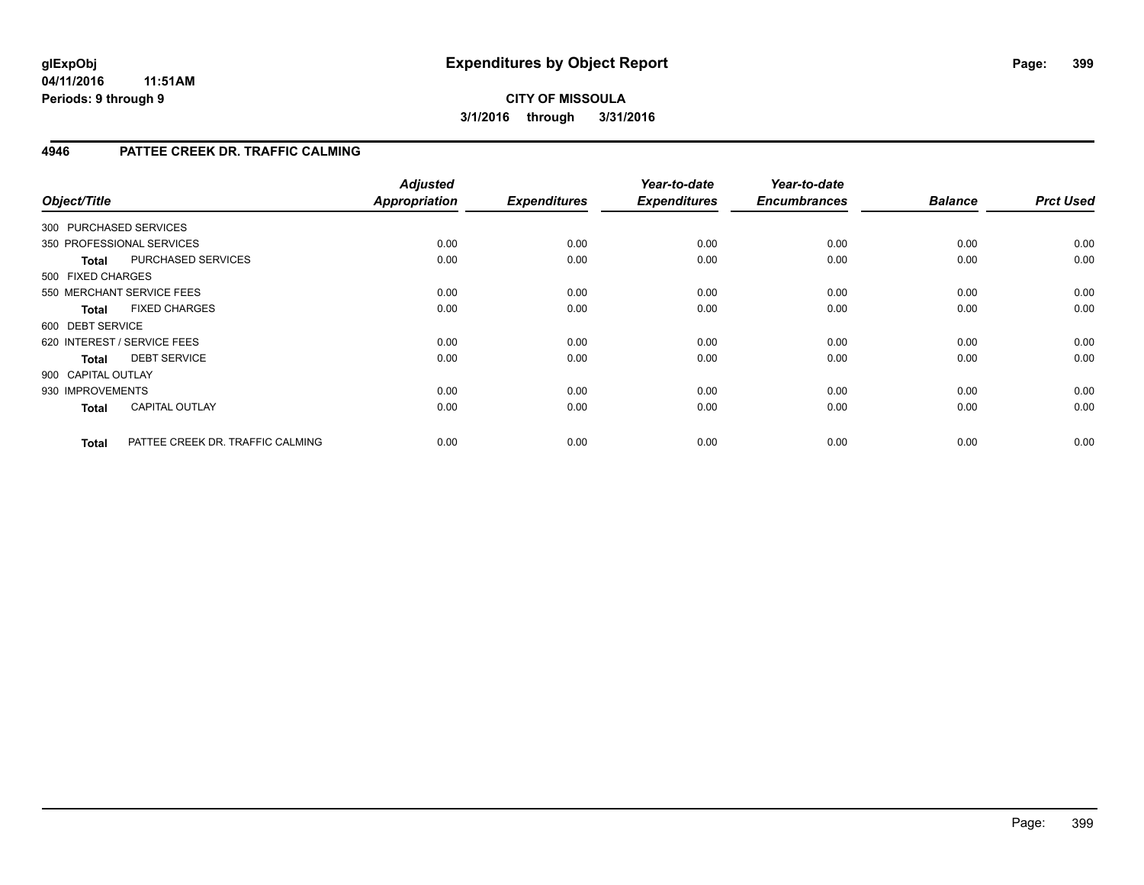## **4946 PATTEE CREEK DR. TRAFFIC CALMING**

| Object/Title       |                                  | <b>Adjusted</b><br><b>Appropriation</b> | <b>Expenditures</b> | Year-to-date<br><b>Expenditures</b> | Year-to-date<br><b>Encumbrances</b> | <b>Balance</b> | <b>Prct Used</b> |
|--------------------|----------------------------------|-----------------------------------------|---------------------|-------------------------------------|-------------------------------------|----------------|------------------|
|                    | 300 PURCHASED SERVICES           |                                         |                     |                                     |                                     |                |                  |
|                    | 350 PROFESSIONAL SERVICES        | 0.00                                    | 0.00                | 0.00                                | 0.00                                | 0.00           | 0.00             |
| <b>Total</b>       | <b>PURCHASED SERVICES</b>        | 0.00                                    | 0.00                | 0.00                                | 0.00                                | 0.00           | 0.00             |
| 500 FIXED CHARGES  |                                  |                                         |                     |                                     |                                     |                |                  |
|                    | 550 MERCHANT SERVICE FEES        | 0.00                                    | 0.00                | 0.00                                | 0.00                                | 0.00           | 0.00             |
| <b>Total</b>       | <b>FIXED CHARGES</b>             | 0.00                                    | 0.00                | 0.00                                | 0.00                                | 0.00           | 0.00             |
| 600 DEBT SERVICE   |                                  |                                         |                     |                                     |                                     |                |                  |
|                    | 620 INTEREST / SERVICE FEES      | 0.00                                    | 0.00                | 0.00                                | 0.00                                | 0.00           | 0.00             |
| Total              | <b>DEBT SERVICE</b>              | 0.00                                    | 0.00                | 0.00                                | 0.00                                | 0.00           | 0.00             |
| 900 CAPITAL OUTLAY |                                  |                                         |                     |                                     |                                     |                |                  |
| 930 IMPROVEMENTS   |                                  | 0.00                                    | 0.00                | 0.00                                | 0.00                                | 0.00           | 0.00             |
| <b>Total</b>       | <b>CAPITAL OUTLAY</b>            | 0.00                                    | 0.00                | 0.00                                | 0.00                                | 0.00           | 0.00             |
| <b>Total</b>       | PATTEE CREEK DR. TRAFFIC CALMING | 0.00                                    | 0.00                | 0.00                                | 0.00                                | 0.00           | 0.00             |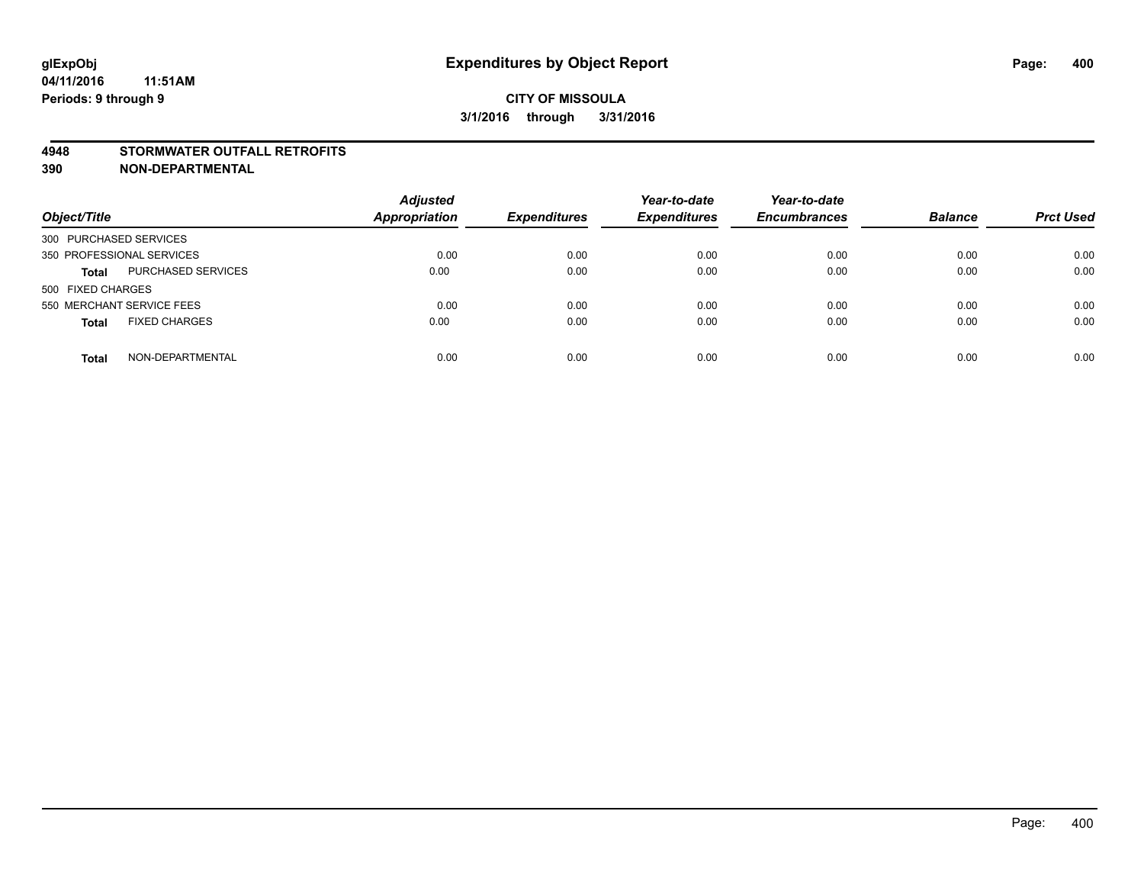#### **4948 STORMWATER OUTFALL RETROFITS**

**390 NON-DEPARTMENTAL**

| Object/Title                         | <b>Adjusted</b><br><b>Appropriation</b> | <b>Expenditures</b> | Year-to-date<br><b>Expenditures</b> | Year-to-date<br><b>Encumbrances</b> | <b>Balance</b> | <b>Prct Used</b> |
|--------------------------------------|-----------------------------------------|---------------------|-------------------------------------|-------------------------------------|----------------|------------------|
| 300 PURCHASED SERVICES               |                                         |                     |                                     |                                     |                |                  |
| 350 PROFESSIONAL SERVICES            | 0.00                                    | 0.00                | 0.00                                | 0.00                                | 0.00           | 0.00             |
| PURCHASED SERVICES<br><b>Total</b>   | 0.00                                    | 0.00                | 0.00                                | 0.00                                | 0.00           | 0.00             |
| 500 FIXED CHARGES                    |                                         |                     |                                     |                                     |                |                  |
| 550 MERCHANT SERVICE FEES            | 0.00                                    | 0.00                | 0.00                                | 0.00                                | 0.00           | 0.00             |
| <b>FIXED CHARGES</b><br><b>Total</b> | 0.00                                    | 0.00                | 0.00                                | 0.00                                | 0.00           | 0.00             |
| NON-DEPARTMENTAL<br><b>Total</b>     | 0.00                                    | 0.00                | 0.00                                | 0.00                                | 0.00           | 0.00             |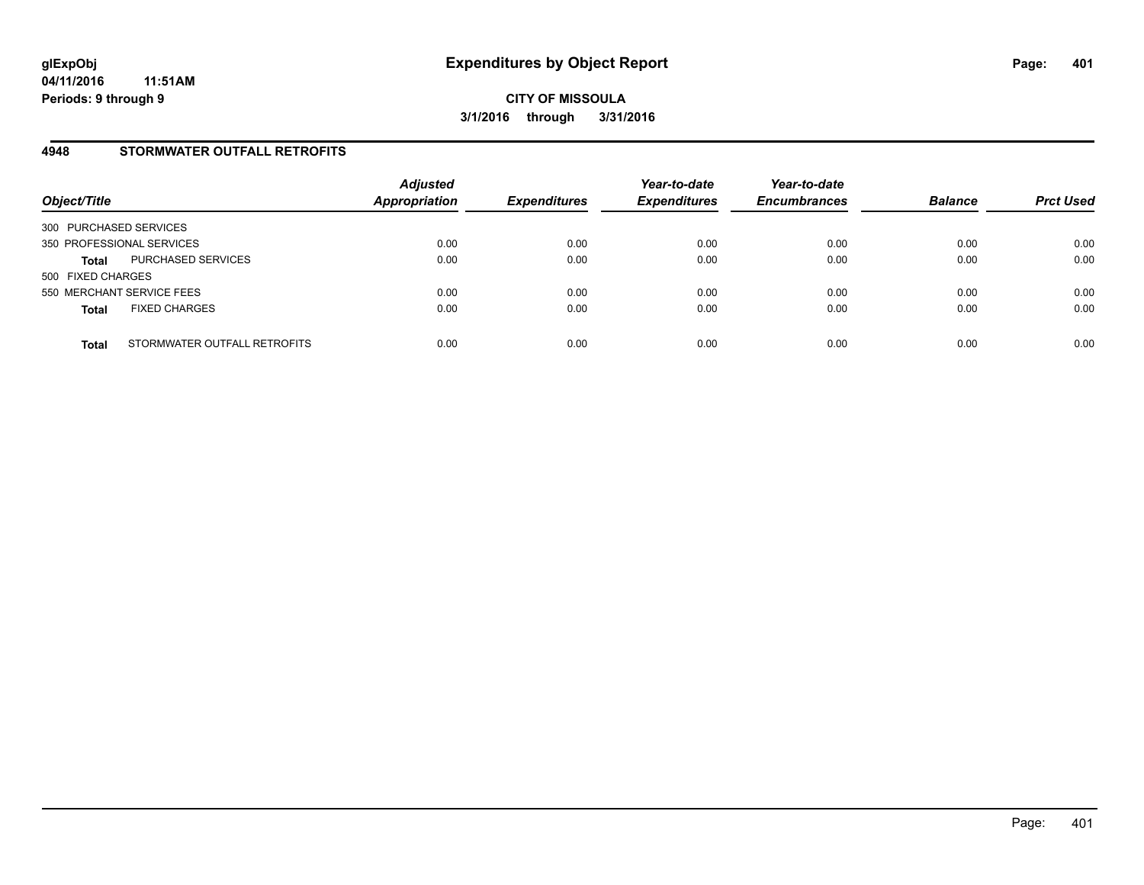#### **4948 STORMWATER OUTFALL RETROFITS**

| Object/Title              |                              | <b>Adjusted</b><br><b>Appropriation</b> | <b>Expenditures</b> | Year-to-date<br><b>Expenditures</b> | Year-to-date<br><b>Encumbrances</b> | <b>Balance</b> | <b>Prct Used</b> |
|---------------------------|------------------------------|-----------------------------------------|---------------------|-------------------------------------|-------------------------------------|----------------|------------------|
| 300 PURCHASED SERVICES    |                              |                                         |                     |                                     |                                     |                |                  |
| 350 PROFESSIONAL SERVICES |                              | 0.00                                    | 0.00                | 0.00                                | 0.00                                | 0.00           | 0.00             |
| <b>Total</b>              | PURCHASED SERVICES           | 0.00                                    | 0.00                | 0.00                                | 0.00                                | 0.00           | 0.00             |
| 500 FIXED CHARGES         |                              |                                         |                     |                                     |                                     |                |                  |
| 550 MERCHANT SERVICE FEES |                              | 0.00                                    | 0.00                | 0.00                                | 0.00                                | 0.00           | 0.00             |
| <b>Total</b>              | <b>FIXED CHARGES</b>         | 0.00                                    | 0.00                | 0.00                                | 0.00                                | 0.00           | 0.00             |
| <b>Total</b>              | STORMWATER OUTFALL RETROFITS | 0.00                                    | 0.00                | 0.00                                | 0.00                                | 0.00           | 0.00             |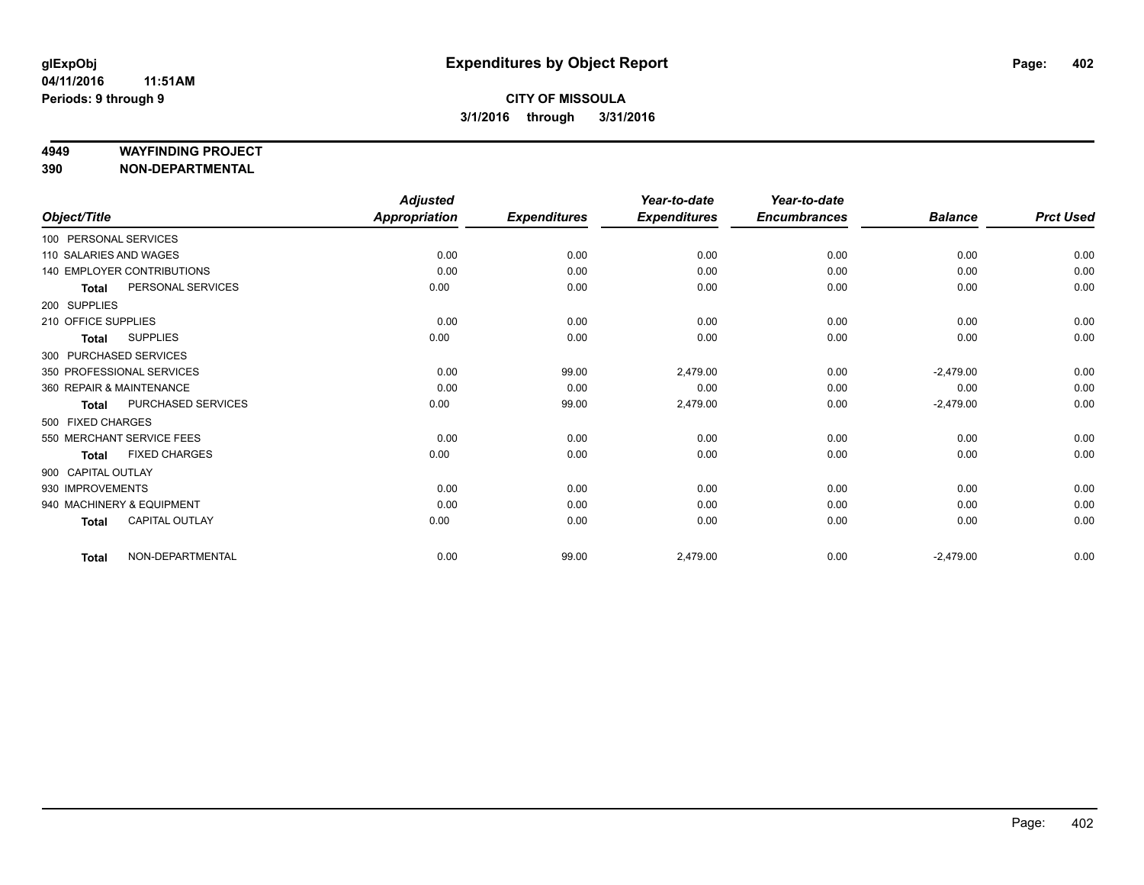#### **4949 WAYFINDING PROJECT**

**390 NON-DEPARTMENTAL**

|                        |                                   | <b>Adjusted</b> |                     | Year-to-date        | Year-to-date        |                |                  |
|------------------------|-----------------------------------|-----------------|---------------------|---------------------|---------------------|----------------|------------------|
| Object/Title           |                                   | Appropriation   | <b>Expenditures</b> | <b>Expenditures</b> | <b>Encumbrances</b> | <b>Balance</b> | <b>Prct Used</b> |
| 100 PERSONAL SERVICES  |                                   |                 |                     |                     |                     |                |                  |
| 110 SALARIES AND WAGES |                                   | 0.00            | 0.00                | 0.00                | 0.00                | 0.00           | 0.00             |
|                        | <b>140 EMPLOYER CONTRIBUTIONS</b> | 0.00            | 0.00                | 0.00                | 0.00                | 0.00           | 0.00             |
| <b>Total</b>           | PERSONAL SERVICES                 | 0.00            | 0.00                | 0.00                | 0.00                | 0.00           | 0.00             |
| 200 SUPPLIES           |                                   |                 |                     |                     |                     |                |                  |
| 210 OFFICE SUPPLIES    |                                   | 0.00            | 0.00                | 0.00                | 0.00                | 0.00           | 0.00             |
| <b>Total</b>           | <b>SUPPLIES</b>                   | 0.00            | 0.00                | 0.00                | 0.00                | 0.00           | 0.00             |
|                        | 300 PURCHASED SERVICES            |                 |                     |                     |                     |                |                  |
|                        | 350 PROFESSIONAL SERVICES         | 0.00            | 99.00               | 2,479.00            | 0.00                | $-2,479.00$    | 0.00             |
|                        | 360 REPAIR & MAINTENANCE          | 0.00            | 0.00                | 0.00                | 0.00                | 0.00           | 0.00             |
| <b>Total</b>           | PURCHASED SERVICES                | 0.00            | 99.00               | 2,479.00            | 0.00                | $-2,479.00$    | 0.00             |
| 500 FIXED CHARGES      |                                   |                 |                     |                     |                     |                |                  |
|                        | 550 MERCHANT SERVICE FEES         | 0.00            | 0.00                | 0.00                | 0.00                | 0.00           | 0.00             |
| <b>Total</b>           | <b>FIXED CHARGES</b>              | 0.00            | 0.00                | 0.00                | 0.00                | 0.00           | 0.00             |
| 900 CAPITAL OUTLAY     |                                   |                 |                     |                     |                     |                |                  |
| 930 IMPROVEMENTS       |                                   | 0.00            | 0.00                | 0.00                | 0.00                | 0.00           | 0.00             |
|                        | 940 MACHINERY & EQUIPMENT         | 0.00            | 0.00                | 0.00                | 0.00                | 0.00           | 0.00             |
| <b>Total</b>           | <b>CAPITAL OUTLAY</b>             | 0.00            | 0.00                | 0.00                | 0.00                | 0.00           | 0.00             |
| <b>Total</b>           | NON-DEPARTMENTAL                  | 0.00            | 99.00               | 2,479.00            | 0.00                | $-2,479.00$    | 0.00             |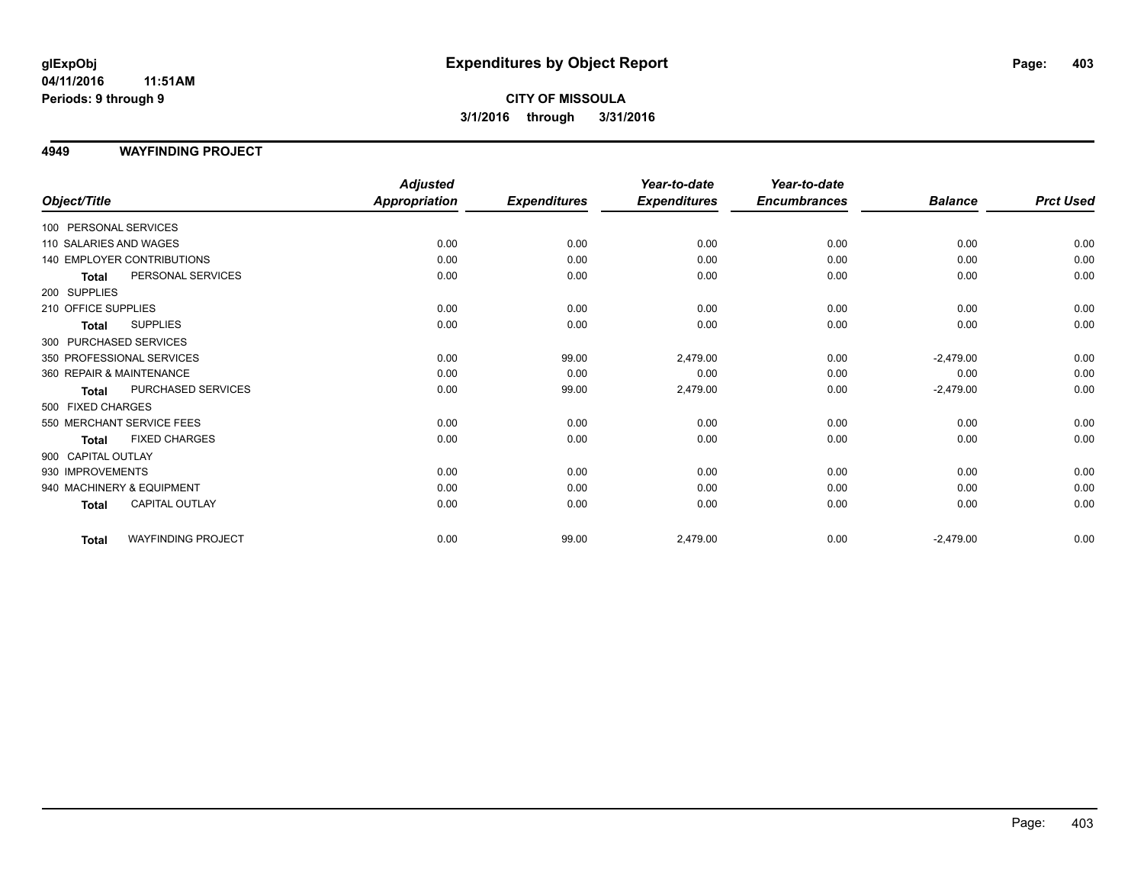## **CITY OF MISSOULA 3/1/2016 through 3/31/2016**

#### **4949 WAYFINDING PROJECT**

|                                           | <b>Adjusted</b>      |                     | Year-to-date        | Year-to-date        |                |                  |
|-------------------------------------------|----------------------|---------------------|---------------------|---------------------|----------------|------------------|
| Object/Title                              | <b>Appropriation</b> | <b>Expenditures</b> | <b>Expenditures</b> | <b>Encumbrances</b> | <b>Balance</b> | <b>Prct Used</b> |
| 100 PERSONAL SERVICES                     |                      |                     |                     |                     |                |                  |
| 110 SALARIES AND WAGES                    | 0.00                 | 0.00                | 0.00                | 0.00                | 0.00           | 0.00             |
| 140 EMPLOYER CONTRIBUTIONS                | 0.00                 | 0.00                | 0.00                | 0.00                | 0.00           | 0.00             |
| PERSONAL SERVICES<br><b>Total</b>         | 0.00                 | 0.00                | 0.00                | 0.00                | 0.00           | 0.00             |
| 200 SUPPLIES                              |                      |                     |                     |                     |                |                  |
| 210 OFFICE SUPPLIES                       | 0.00                 | 0.00                | 0.00                | 0.00                | 0.00           | 0.00             |
| <b>SUPPLIES</b><br><b>Total</b>           | 0.00                 | 0.00                | 0.00                | 0.00                | 0.00           | 0.00             |
| 300 PURCHASED SERVICES                    |                      |                     |                     |                     |                |                  |
| 350 PROFESSIONAL SERVICES                 | 0.00                 | 99.00               | 2,479.00            | 0.00                | $-2,479.00$    | 0.00             |
| 360 REPAIR & MAINTENANCE                  | 0.00                 | 0.00                | 0.00                | 0.00                | 0.00           | 0.00             |
| PURCHASED SERVICES<br><b>Total</b>        | 0.00                 | 99.00               | 2,479.00            | 0.00                | $-2,479.00$    | 0.00             |
| 500 FIXED CHARGES                         |                      |                     |                     |                     |                |                  |
| 550 MERCHANT SERVICE FEES                 | 0.00                 | 0.00                | 0.00                | 0.00                | 0.00           | 0.00             |
| <b>FIXED CHARGES</b><br><b>Total</b>      | 0.00                 | 0.00                | 0.00                | 0.00                | 0.00           | 0.00             |
| 900 CAPITAL OUTLAY                        |                      |                     |                     |                     |                |                  |
| 930 IMPROVEMENTS                          | 0.00                 | 0.00                | 0.00                | 0.00                | 0.00           | 0.00             |
| 940 MACHINERY & EQUIPMENT                 | 0.00                 | 0.00                | 0.00                | 0.00                | 0.00           | 0.00             |
| <b>CAPITAL OUTLAY</b><br>Total            | 0.00                 | 0.00                | 0.00                | 0.00                | 0.00           | 0.00             |
| <b>WAYFINDING PROJECT</b><br><b>Total</b> | 0.00                 | 99.00               | 2,479.00            | 0.00                | $-2,479.00$    | 0.00             |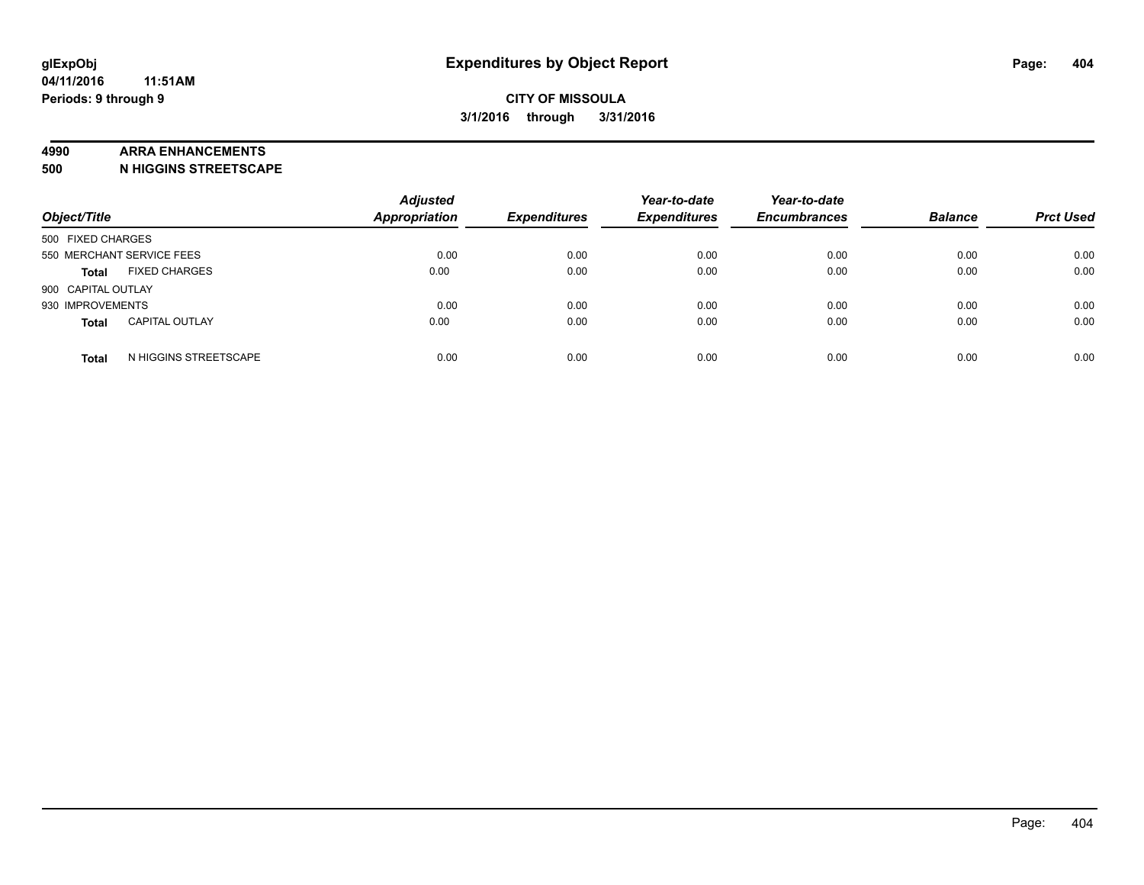#### **4990 ARRA ENHANCEMENTS**

**500 N HIGGINS STREETSCAPE**

| Object/Title                          | <b>Adjusted</b><br><b>Appropriation</b> | <b>Expenditures</b> | Year-to-date<br><b>Expenditures</b> | Year-to-date<br><b>Encumbrances</b> | <b>Balance</b> | <b>Prct Used</b> |
|---------------------------------------|-----------------------------------------|---------------------|-------------------------------------|-------------------------------------|----------------|------------------|
| 500 FIXED CHARGES                     |                                         |                     |                                     |                                     |                |                  |
| 550 MERCHANT SERVICE FEES             | 0.00                                    | 0.00                | 0.00                                | 0.00                                | 0.00           | 0.00             |
| <b>FIXED CHARGES</b><br><b>Total</b>  | 0.00                                    | 0.00                | 0.00                                | 0.00                                | 0.00           | 0.00             |
| 900 CAPITAL OUTLAY                    |                                         |                     |                                     |                                     |                |                  |
| 930 IMPROVEMENTS                      | 0.00                                    | 0.00                | 0.00                                | 0.00                                | 0.00           | 0.00             |
| <b>CAPITAL OUTLAY</b><br><b>Total</b> | 0.00                                    | 0.00                | 0.00                                | 0.00                                | 0.00           | 0.00             |
| N HIGGINS STREETSCAPE<br><b>Total</b> | 0.00                                    | 0.00                | 0.00                                | 0.00                                | 0.00           | 0.00             |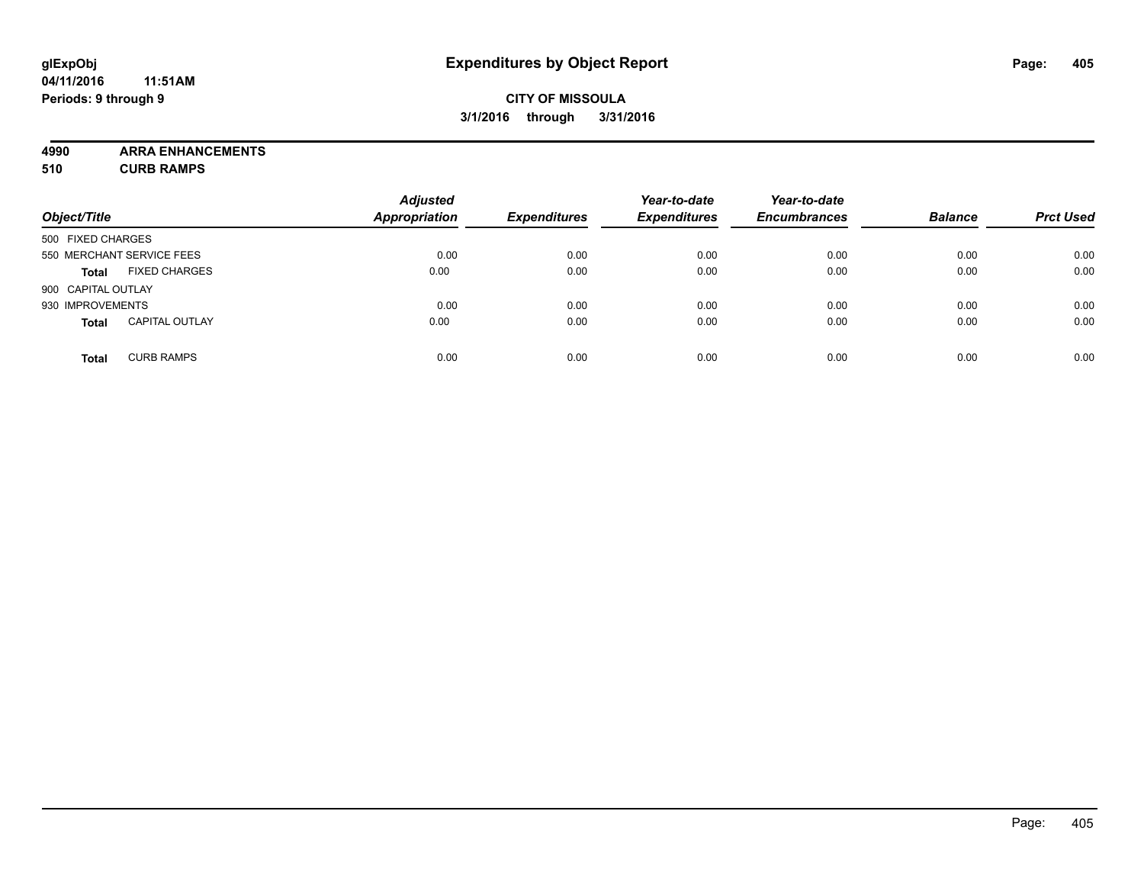## **CITY OF MISSOULA 3/1/2016 through 3/31/2016**

**4990 ARRA ENHANCEMENTS**

**510 CURB RAMPS**

|                    |                           | <b>Adjusted</b> |                     | Year-to-date        | Year-to-date        |                |                  |
|--------------------|---------------------------|-----------------|---------------------|---------------------|---------------------|----------------|------------------|
| Object/Title       |                           | Appropriation   | <b>Expenditures</b> | <b>Expenditures</b> | <b>Encumbrances</b> | <b>Balance</b> | <b>Prct Used</b> |
| 500 FIXED CHARGES  |                           |                 |                     |                     |                     |                |                  |
|                    | 550 MERCHANT SERVICE FEES | 0.00            | 0.00                | 0.00                | 0.00                | 0.00           | 0.00             |
| <b>Total</b>       | <b>FIXED CHARGES</b>      | 0.00            | 0.00                | 0.00                | 0.00                | 0.00           | 0.00             |
| 900 CAPITAL OUTLAY |                           |                 |                     |                     |                     |                |                  |
| 930 IMPROVEMENTS   |                           | 0.00            | 0.00                | 0.00                | 0.00                | 0.00           | 0.00             |
| <b>Total</b>       | <b>CAPITAL OUTLAY</b>     | 0.00            | 0.00                | 0.00                | 0.00                | 0.00           | 0.00             |
| <b>Total</b>       | <b>CURB RAMPS</b>         | 0.00            | 0.00                | 0.00                | 0.00                | 0.00           | 0.00             |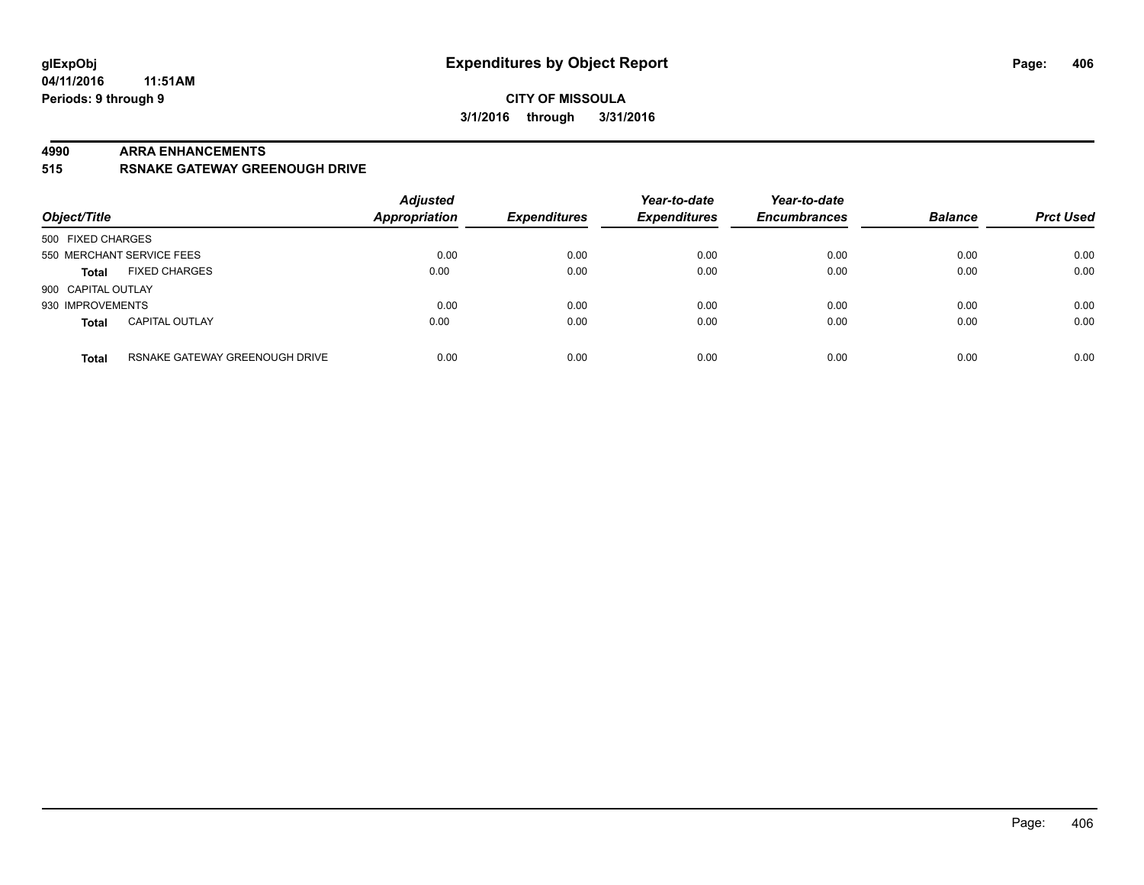#### **CITY OF MISSOULA 3/1/2016 through 3/31/2016**

#### **4990 ARRA ENHANCEMENTS**

**515 RSNAKE GATEWAY GREENOUGH DRIVE**

| Object/Title       |                                | <b>Adjusted</b><br>Appropriation | <b>Expenditures</b> | Year-to-date<br><b>Expenditures</b> | Year-to-date<br><b>Encumbrances</b> | <b>Balance</b> | <b>Prct Used</b> |
|--------------------|--------------------------------|----------------------------------|---------------------|-------------------------------------|-------------------------------------|----------------|------------------|
| 500 FIXED CHARGES  |                                |                                  |                     |                                     |                                     |                |                  |
|                    | 550 MERCHANT SERVICE FEES      | 0.00                             | 0.00                | 0.00                                | 0.00                                | 0.00           | 0.00             |
| <b>Total</b>       | <b>FIXED CHARGES</b>           | 0.00                             | 0.00                | 0.00                                | 0.00                                | 0.00           | 0.00             |
| 900 CAPITAL OUTLAY |                                |                                  |                     |                                     |                                     |                |                  |
| 930 IMPROVEMENTS   |                                | 0.00                             | 0.00                | 0.00                                | 0.00                                | 0.00           | 0.00             |
| <b>Total</b>       | <b>CAPITAL OUTLAY</b>          | 0.00                             | 0.00                | 0.00                                | 0.00                                | 0.00           | 0.00             |
| <b>Total</b>       | RSNAKE GATEWAY GREENOUGH DRIVE | 0.00                             | 0.00                | 0.00                                | 0.00                                | 0.00           | 0.00             |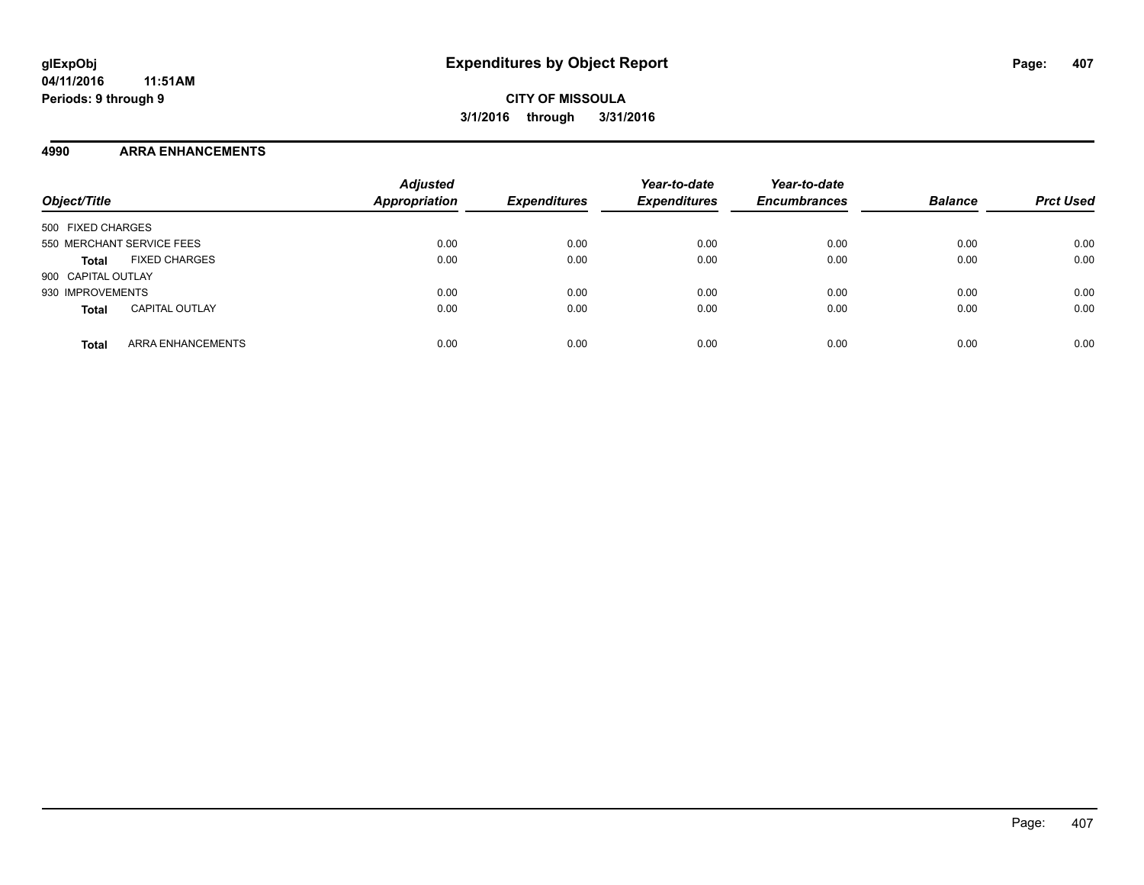#### **4990 ARRA ENHANCEMENTS**

| Object/Title                             | <b>Adjusted</b><br><b>Appropriation</b> | <b>Expenditures</b> | Year-to-date<br><b>Expenditures</b> | Year-to-date<br><b>Encumbrances</b> | <b>Balance</b> | <b>Prct Used</b> |
|------------------------------------------|-----------------------------------------|---------------------|-------------------------------------|-------------------------------------|----------------|------------------|
| 500 FIXED CHARGES                        |                                         |                     |                                     |                                     |                |                  |
| 550 MERCHANT SERVICE FEES                | 0.00                                    | 0.00                | 0.00                                | 0.00                                | 0.00           | 0.00             |
| <b>FIXED CHARGES</b><br><b>Total</b>     | 0.00                                    | 0.00                | 0.00                                | 0.00                                | 0.00           | 0.00             |
| 900 CAPITAL OUTLAY                       |                                         |                     |                                     |                                     |                |                  |
| 930 IMPROVEMENTS                         | 0.00                                    | 0.00                | 0.00                                | 0.00                                | 0.00           | 0.00             |
| <b>CAPITAL OUTLAY</b><br><b>Total</b>    | 0.00                                    | 0.00                | 0.00                                | 0.00                                | 0.00           | 0.00             |
| <b>ARRA ENHANCEMENTS</b><br><b>Total</b> | 0.00                                    | 0.00                | 0.00                                | 0.00                                | 0.00           | 0.00             |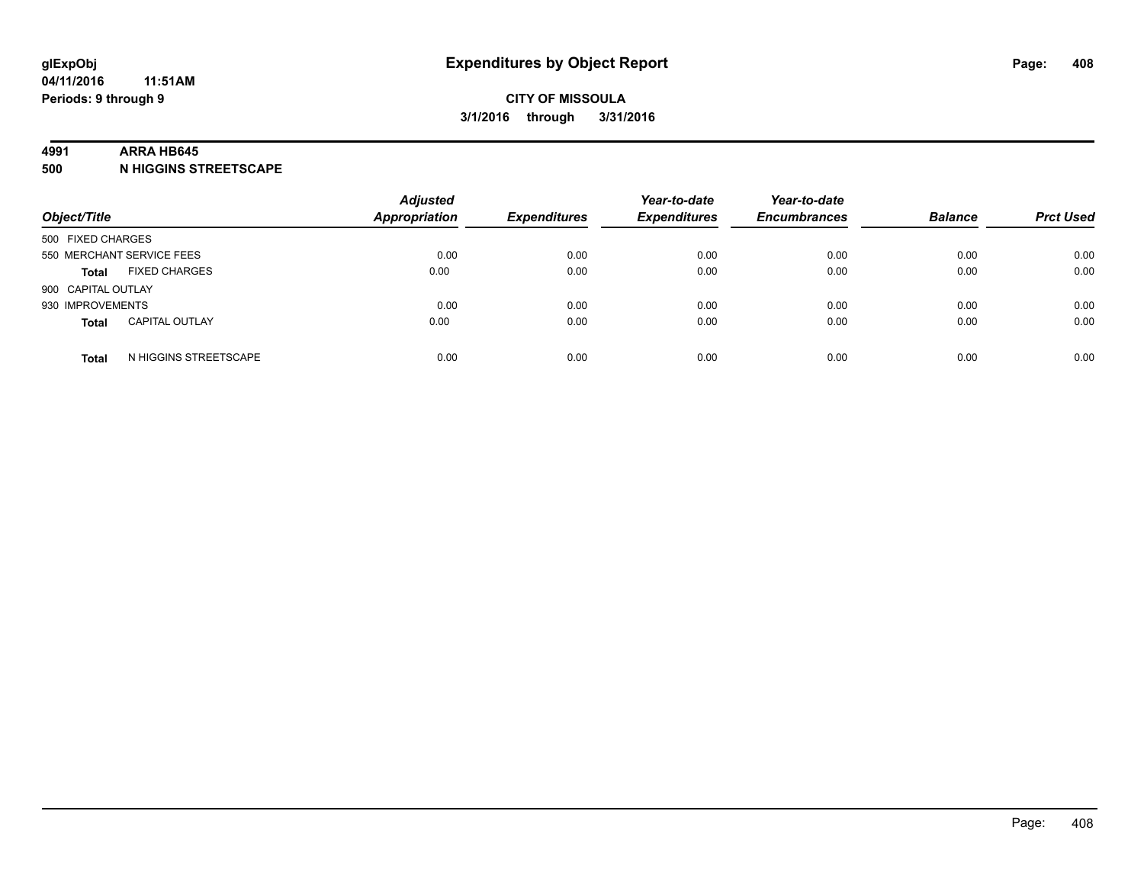#### **4991 ARRA HB645**

**500 N HIGGINS STREETSCAPE**

| Object/Title       |                           | <b>Adjusted</b><br><b>Appropriation</b> | <b>Expenditures</b> | Year-to-date<br><b>Expenditures</b> | Year-to-date<br><b>Encumbrances</b> | <b>Balance</b> | <b>Prct Used</b> |
|--------------------|---------------------------|-----------------------------------------|---------------------|-------------------------------------|-------------------------------------|----------------|------------------|
| 500 FIXED CHARGES  |                           |                                         |                     |                                     |                                     |                |                  |
|                    | 550 MERCHANT SERVICE FEES | 0.00                                    | 0.00                | 0.00                                | 0.00                                | 0.00           | 0.00             |
| <b>Total</b>       | <b>FIXED CHARGES</b>      | 0.00                                    | 0.00                | 0.00                                | 0.00                                | 0.00           | 0.00             |
| 900 CAPITAL OUTLAY |                           |                                         |                     |                                     |                                     |                |                  |
| 930 IMPROVEMENTS   |                           | 0.00                                    | 0.00                | 0.00                                | 0.00                                | 0.00           | 0.00             |
| <b>Total</b>       | <b>CAPITAL OUTLAY</b>     | 0.00                                    | 0.00                | 0.00                                | 0.00                                | 0.00           | 0.00             |
| <b>Total</b>       | N HIGGINS STREETSCAPE     | 0.00                                    | 0.00                | 0.00                                | 0.00                                | 0.00           | 0.00             |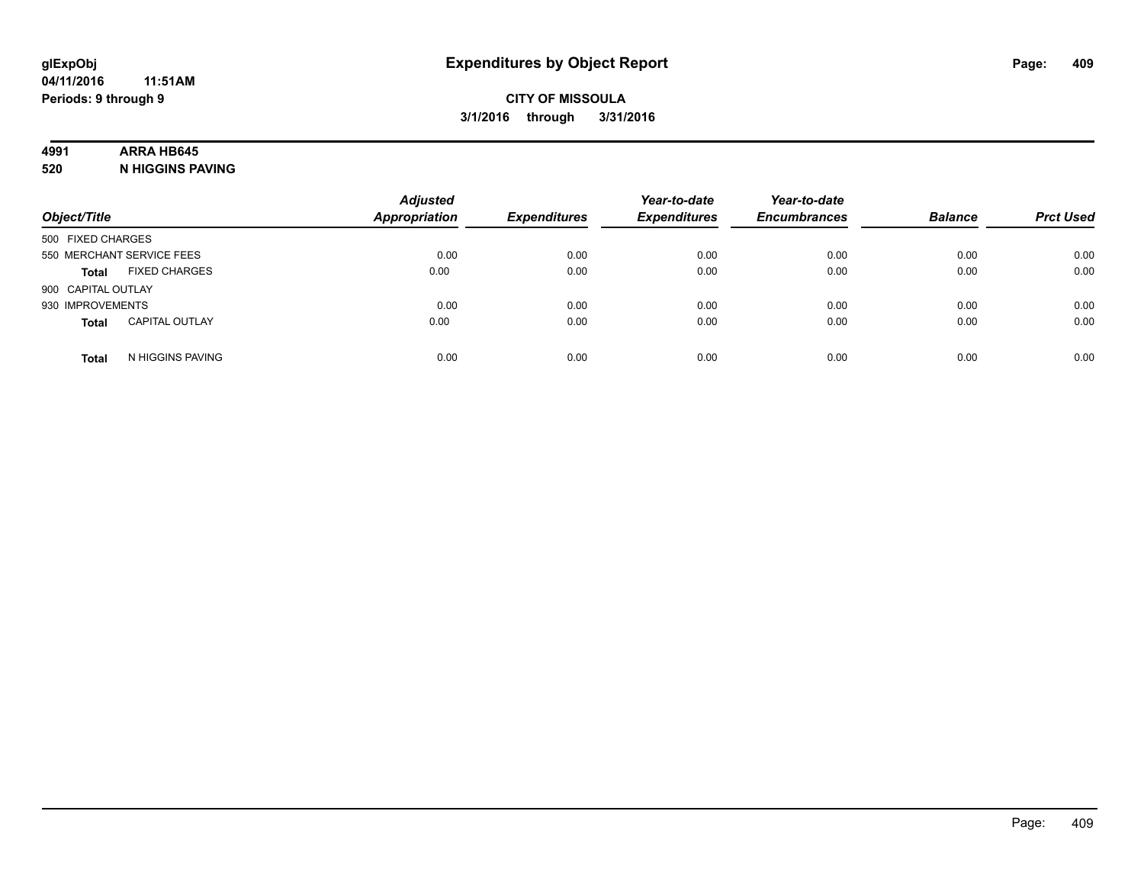## **4991 ARRA HB645**

**520 N HIGGINS PAVING**

| Object/Title       |                           | <b>Adjusted</b><br><b>Appropriation</b> | <b>Expenditures</b> | Year-to-date<br><b>Expenditures</b> | Year-to-date<br><b>Encumbrances</b> | <b>Balance</b> | <b>Prct Used</b> |
|--------------------|---------------------------|-----------------------------------------|---------------------|-------------------------------------|-------------------------------------|----------------|------------------|
| 500 FIXED CHARGES  |                           |                                         |                     |                                     |                                     |                |                  |
|                    | 550 MERCHANT SERVICE FEES | 0.00                                    | 0.00                | 0.00                                | 0.00                                | 0.00           | 0.00             |
| <b>Total</b>       | <b>FIXED CHARGES</b>      | 0.00                                    | 0.00                | 0.00                                | 0.00                                | 0.00           | 0.00             |
| 900 CAPITAL OUTLAY |                           |                                         |                     |                                     |                                     |                |                  |
| 930 IMPROVEMENTS   |                           | 0.00                                    | 0.00                | 0.00                                | 0.00                                | 0.00           | 0.00             |
| <b>Total</b>       | <b>CAPITAL OUTLAY</b>     | 0.00                                    | 0.00                | 0.00                                | 0.00                                | 0.00           | 0.00             |
| <b>Total</b>       | N HIGGINS PAVING          | 0.00                                    | 0.00                | 0.00                                | 0.00                                | 0.00           | 0.00             |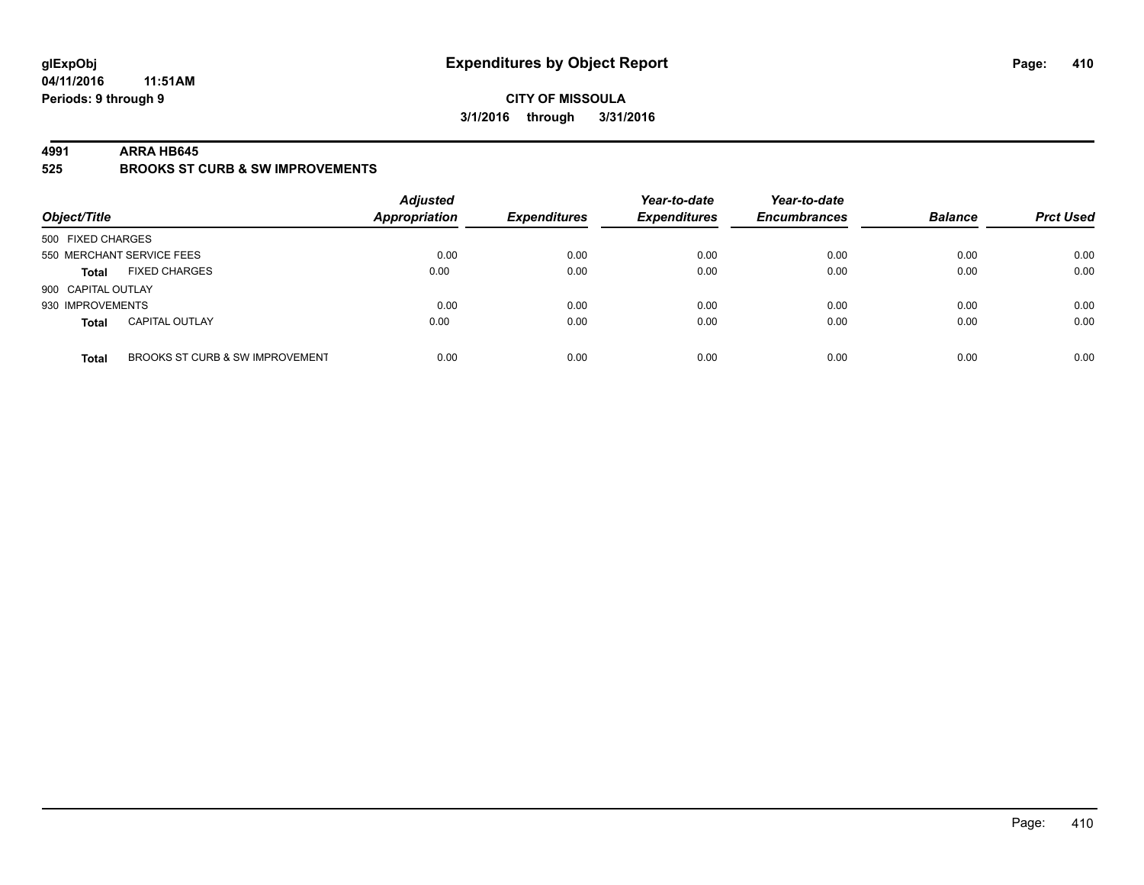#### **CITY OF MISSOULA 3/1/2016 through 3/31/2016**

#### **4991 ARRA HB645**

**525 BROOKS ST CURB & SW IMPROVEMENTS**

| Object/Title       |                                 | <b>Adjusted</b><br><b>Appropriation</b> | <b>Expenditures</b> | Year-to-date<br><b>Expenditures</b> | Year-to-date<br><b>Encumbrances</b> | <b>Balance</b> | <b>Prct Used</b> |
|--------------------|---------------------------------|-----------------------------------------|---------------------|-------------------------------------|-------------------------------------|----------------|------------------|
| 500 FIXED CHARGES  |                                 |                                         |                     |                                     |                                     |                |                  |
|                    | 550 MERCHANT SERVICE FEES       | 0.00                                    | 0.00                | 0.00                                | 0.00                                | 0.00           | 0.00             |
| <b>Total</b>       | <b>FIXED CHARGES</b>            | 0.00                                    | 0.00                | 0.00                                | 0.00                                | 0.00           | 0.00             |
| 900 CAPITAL OUTLAY |                                 |                                         |                     |                                     |                                     |                |                  |
| 930 IMPROVEMENTS   |                                 | 0.00                                    | 0.00                | 0.00                                | 0.00                                | 0.00           | 0.00             |
| <b>Total</b>       | <b>CAPITAL OUTLAY</b>           | 0.00                                    | 0.00                | 0.00                                | 0.00                                | 0.00           | 0.00             |
| <b>Total</b>       | BROOKS ST CURB & SW IMPROVEMENT | 0.00                                    | 0.00                | 0.00                                | 0.00                                | 0.00           | 0.00             |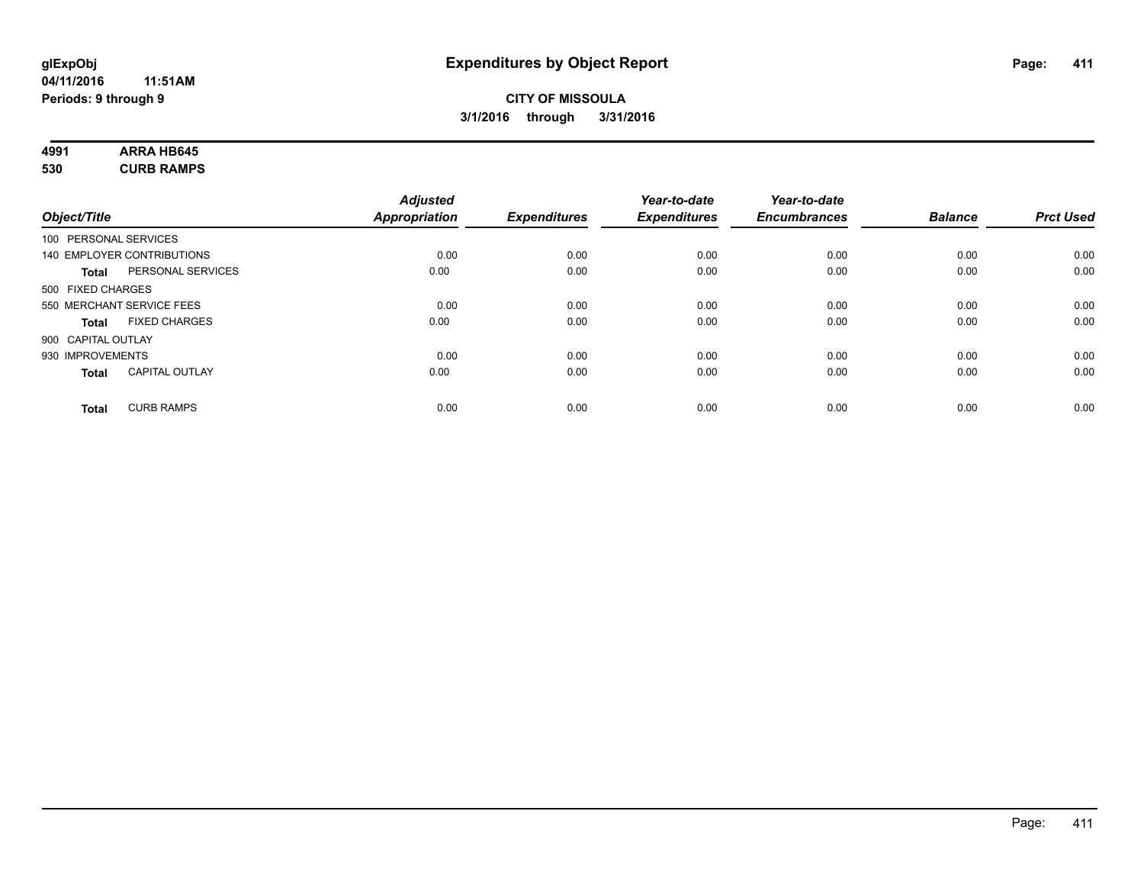# **4991 ARRA HB645**

**530 CURB RAMPS**

|                                   |                       | <b>Adjusted</b> |                     | Year-to-date        | Year-to-date        |                |                  |
|-----------------------------------|-----------------------|-----------------|---------------------|---------------------|---------------------|----------------|------------------|
| Object/Title                      |                       | Appropriation   | <b>Expenditures</b> | <b>Expenditures</b> | <b>Encumbrances</b> | <b>Balance</b> | <b>Prct Used</b> |
| 100 PERSONAL SERVICES             |                       |                 |                     |                     |                     |                |                  |
| 140 EMPLOYER CONTRIBUTIONS        |                       | 0.00            | 0.00                | 0.00                | 0.00                | 0.00           | 0.00             |
| <b>Total</b>                      | PERSONAL SERVICES     | 0.00            | 0.00                | 0.00                | 0.00                | 0.00           | 0.00             |
| 500 FIXED CHARGES                 |                       |                 |                     |                     |                     |                |                  |
| 550 MERCHANT SERVICE FEES         |                       | 0.00            | 0.00                | 0.00                | 0.00                | 0.00           | 0.00             |
| <b>Total</b>                      | <b>FIXED CHARGES</b>  | 0.00            | 0.00                | 0.00                | 0.00                | 0.00           | 0.00             |
| 900 CAPITAL OUTLAY                |                       |                 |                     |                     |                     |                |                  |
| 930 IMPROVEMENTS                  |                       | 0.00            | 0.00                | 0.00                | 0.00                | 0.00           | 0.00             |
| <b>Total</b>                      | <b>CAPITAL OUTLAY</b> | 0.00            | 0.00                | 0.00                | 0.00                | 0.00           | 0.00             |
| <b>CURB RAMPS</b><br><b>Total</b> |                       | 0.00            | 0.00                | 0.00                | 0.00                | 0.00           | 0.00             |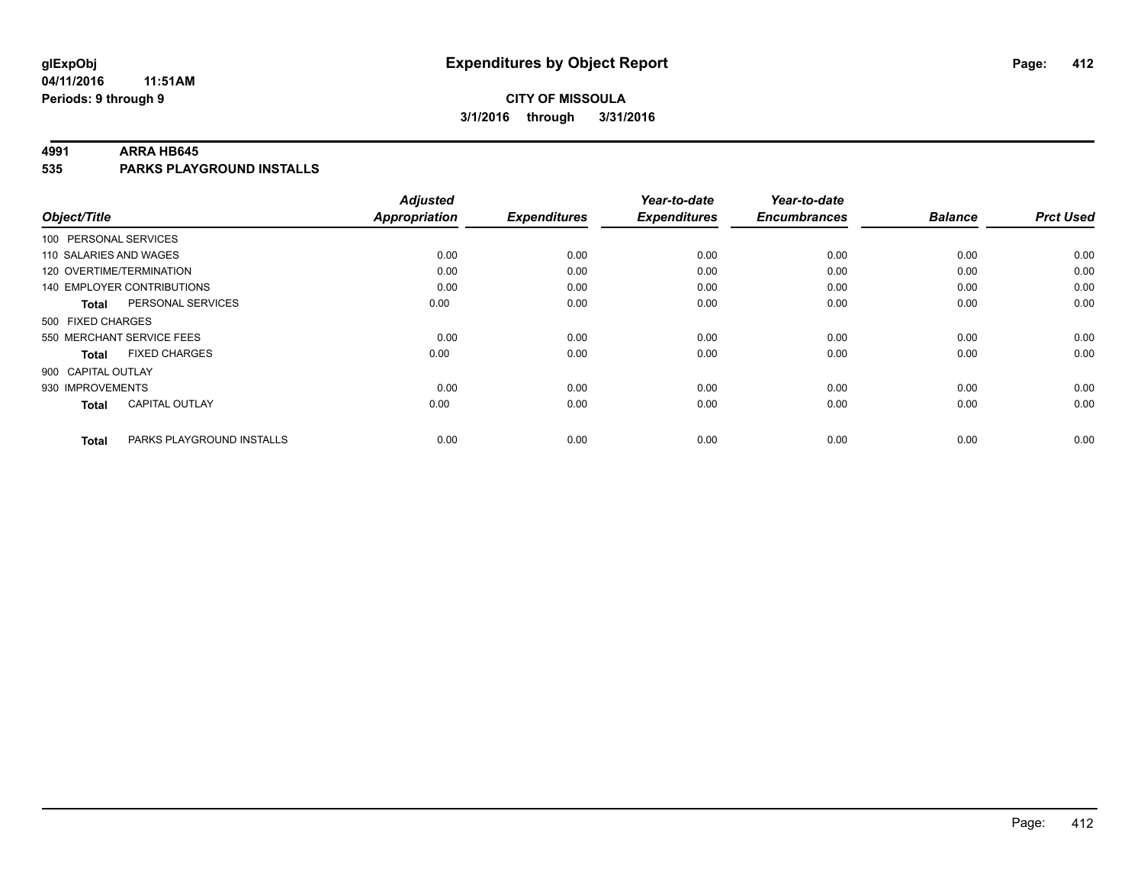## **CITY OF MISSOULA 3/1/2016 through 3/31/2016**

#### **4991 ARRA HB645**

**535 PARKS PLAYGROUND INSTALLS**

|                           |                                   | <b>Adjusted</b>      |                     | Year-to-date        | Year-to-date        |                |                  |
|---------------------------|-----------------------------------|----------------------|---------------------|---------------------|---------------------|----------------|------------------|
| Object/Title              |                                   | <b>Appropriation</b> | <b>Expenditures</b> | <b>Expenditures</b> | <b>Encumbrances</b> | <b>Balance</b> | <b>Prct Used</b> |
| 100 PERSONAL SERVICES     |                                   |                      |                     |                     |                     |                |                  |
| 110 SALARIES AND WAGES    |                                   | 0.00                 | 0.00                | 0.00                | 0.00                | 0.00           | 0.00             |
| 120 OVERTIME/TERMINATION  |                                   | 0.00                 | 0.00                | 0.00                | 0.00                | 0.00           | 0.00             |
|                           | <b>140 EMPLOYER CONTRIBUTIONS</b> | 0.00                 | 0.00                | 0.00                | 0.00                | 0.00           | 0.00             |
| Total                     | PERSONAL SERVICES                 | 0.00                 | 0.00                | 0.00                | 0.00                | 0.00           | 0.00             |
| 500 FIXED CHARGES         |                                   |                      |                     |                     |                     |                |                  |
| 550 MERCHANT SERVICE FEES |                                   | 0.00                 | 0.00                | 0.00                | 0.00                | 0.00           | 0.00             |
| <b>Total</b>              | <b>FIXED CHARGES</b>              | 0.00                 | 0.00                | 0.00                | 0.00                | 0.00           | 0.00             |
| 900 CAPITAL OUTLAY        |                                   |                      |                     |                     |                     |                |                  |
| 930 IMPROVEMENTS          |                                   | 0.00                 | 0.00                | 0.00                | 0.00                | 0.00           | 0.00             |
| Total                     | <b>CAPITAL OUTLAY</b>             | 0.00                 | 0.00                | 0.00                | 0.00                | 0.00           | 0.00             |
| <b>Total</b>              | PARKS PLAYGROUND INSTALLS         | 0.00                 | 0.00                | 0.00                | 0.00                | 0.00           | 0.00             |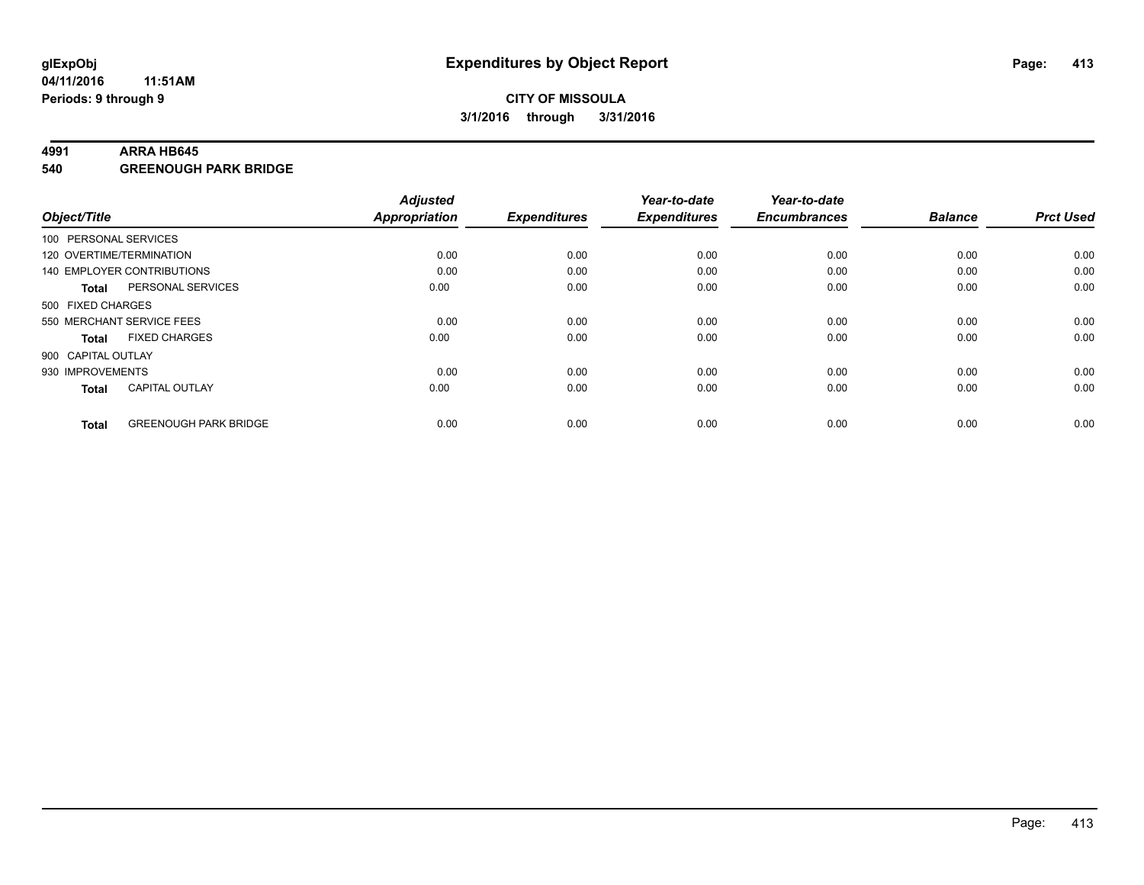#### **4991 ARRA HB645**

**540 GREENOUGH PARK BRIDGE**

| Object/Title       |                              | <b>Adjusted</b><br><b>Appropriation</b> | <b>Expenditures</b> | Year-to-date<br><b>Expenditures</b> | Year-to-date<br><b>Encumbrances</b> | <b>Balance</b> | <b>Prct Used</b> |
|--------------------|------------------------------|-----------------------------------------|---------------------|-------------------------------------|-------------------------------------|----------------|------------------|
|                    | 100 PERSONAL SERVICES        |                                         |                     |                                     |                                     |                |                  |
|                    | 120 OVERTIME/TERMINATION     | 0.00                                    | 0.00                | 0.00                                | 0.00                                | 0.00           | 0.00             |
|                    | 140 EMPLOYER CONTRIBUTIONS   | 0.00                                    | 0.00                | 0.00                                | 0.00                                | 0.00           | 0.00             |
| Total              | PERSONAL SERVICES            | 0.00                                    | 0.00                | 0.00                                | 0.00                                | 0.00           | 0.00             |
| 500 FIXED CHARGES  |                              |                                         |                     |                                     |                                     |                |                  |
|                    | 550 MERCHANT SERVICE FEES    | 0.00                                    | 0.00                | 0.00                                | 0.00                                | 0.00           | 0.00             |
| <b>Total</b>       | <b>FIXED CHARGES</b>         | 0.00                                    | 0.00                | 0.00                                | 0.00                                | 0.00           | 0.00             |
| 900 CAPITAL OUTLAY |                              |                                         |                     |                                     |                                     |                |                  |
| 930 IMPROVEMENTS   |                              | 0.00                                    | 0.00                | 0.00                                | 0.00                                | 0.00           | 0.00             |
| <b>Total</b>       | <b>CAPITAL OUTLAY</b>        | 0.00                                    | 0.00                | 0.00                                | 0.00                                | 0.00           | 0.00             |
| <b>Total</b>       | <b>GREENOUGH PARK BRIDGE</b> | 0.00                                    | 0.00                | 0.00                                | 0.00                                | 0.00           | 0.00             |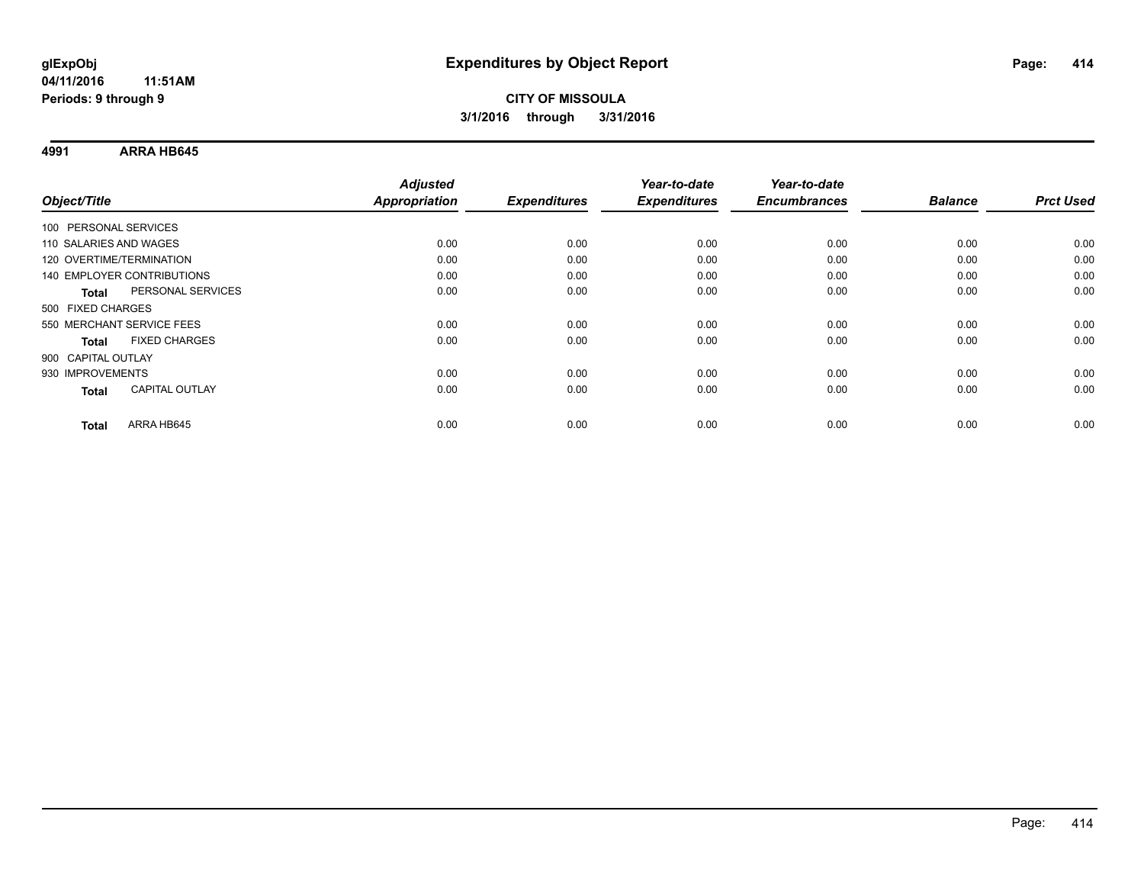**4991 ARRA HB645**

| Object/Title                      | <b>Adjusted</b><br><b>Appropriation</b> | <b>Expenditures</b> | Year-to-date<br><b>Expenditures</b> | Year-to-date<br><b>Encumbrances</b> | <b>Balance</b> | <b>Prct Used</b> |
|-----------------------------------|-----------------------------------------|---------------------|-------------------------------------|-------------------------------------|----------------|------------------|
|                                   |                                         |                     |                                     |                                     |                |                  |
| 100 PERSONAL SERVICES             |                                         |                     |                                     |                                     |                |                  |
| 110 SALARIES AND WAGES            | 0.00                                    | 0.00                | 0.00                                | 0.00                                | 0.00           | 0.00             |
| 120 OVERTIME/TERMINATION          | 0.00                                    | 0.00                | 0.00                                | 0.00                                | 0.00           | 0.00             |
| 140 EMPLOYER CONTRIBUTIONS        | 0.00                                    | 0.00                | 0.00                                | 0.00                                | 0.00           | 0.00             |
| PERSONAL SERVICES<br><b>Total</b> | 0.00                                    | 0.00                | 0.00                                | 0.00                                | 0.00           | 0.00             |
| 500 FIXED CHARGES                 |                                         |                     |                                     |                                     |                |                  |
| 550 MERCHANT SERVICE FEES         | 0.00                                    | 0.00                | 0.00                                | 0.00                                | 0.00           | 0.00             |
| <b>FIXED CHARGES</b><br>Total     | 0.00                                    | 0.00                | 0.00                                | 0.00                                | 0.00           | 0.00             |
| 900 CAPITAL OUTLAY                |                                         |                     |                                     |                                     |                |                  |
| 930 IMPROVEMENTS                  | 0.00                                    | 0.00                | 0.00                                | 0.00                                | 0.00           | 0.00             |
| <b>CAPITAL OUTLAY</b><br>Total    | 0.00                                    | 0.00                | 0.00                                | 0.00                                | 0.00           | 0.00             |
|                                   |                                         |                     |                                     |                                     |                |                  |
| ARRA HB645<br><b>Total</b>        | 0.00                                    | 0.00                | 0.00                                | 0.00                                | 0.00           | 0.00             |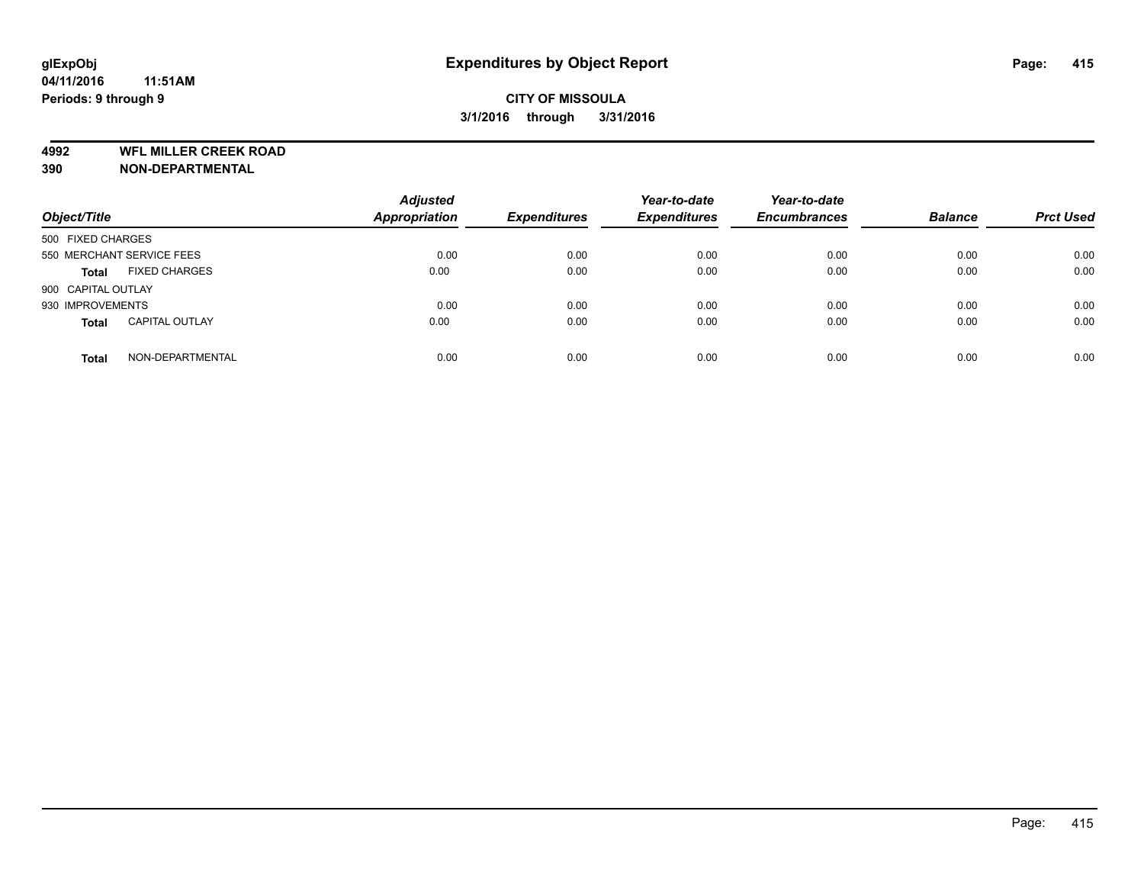## **CITY OF MISSOULA 3/1/2016 through 3/31/2016**

**4992 WFL MILLER CREEK ROAD**

**390 NON-DEPARTMENTAL**

| Object/Title              |                       | <b>Adjusted</b><br>Appropriation | <b>Expenditures</b> | Year-to-date<br><b>Expenditures</b> | Year-to-date<br><b>Encumbrances</b> | <b>Balance</b> | <b>Prct Used</b> |
|---------------------------|-----------------------|----------------------------------|---------------------|-------------------------------------|-------------------------------------|----------------|------------------|
| 500 FIXED CHARGES         |                       |                                  |                     |                                     |                                     |                |                  |
| 550 MERCHANT SERVICE FEES |                       | 0.00                             | 0.00                | 0.00                                | 0.00                                | 0.00           | 0.00             |
| <b>Total</b>              | <b>FIXED CHARGES</b>  | 0.00                             | 0.00                | 0.00                                | 0.00                                | 0.00           | 0.00             |
| 900 CAPITAL OUTLAY        |                       |                                  |                     |                                     |                                     |                |                  |
| 930 IMPROVEMENTS          |                       | 0.00                             | 0.00                | 0.00                                | 0.00                                | 0.00           | 0.00             |
| <b>Total</b>              | <b>CAPITAL OUTLAY</b> | 0.00                             | 0.00                | 0.00                                | 0.00                                | 0.00           | 0.00             |
| <b>Total</b>              | NON-DEPARTMENTAL      | 0.00                             | 0.00                | 0.00                                | 0.00                                | 0.00           | 0.00             |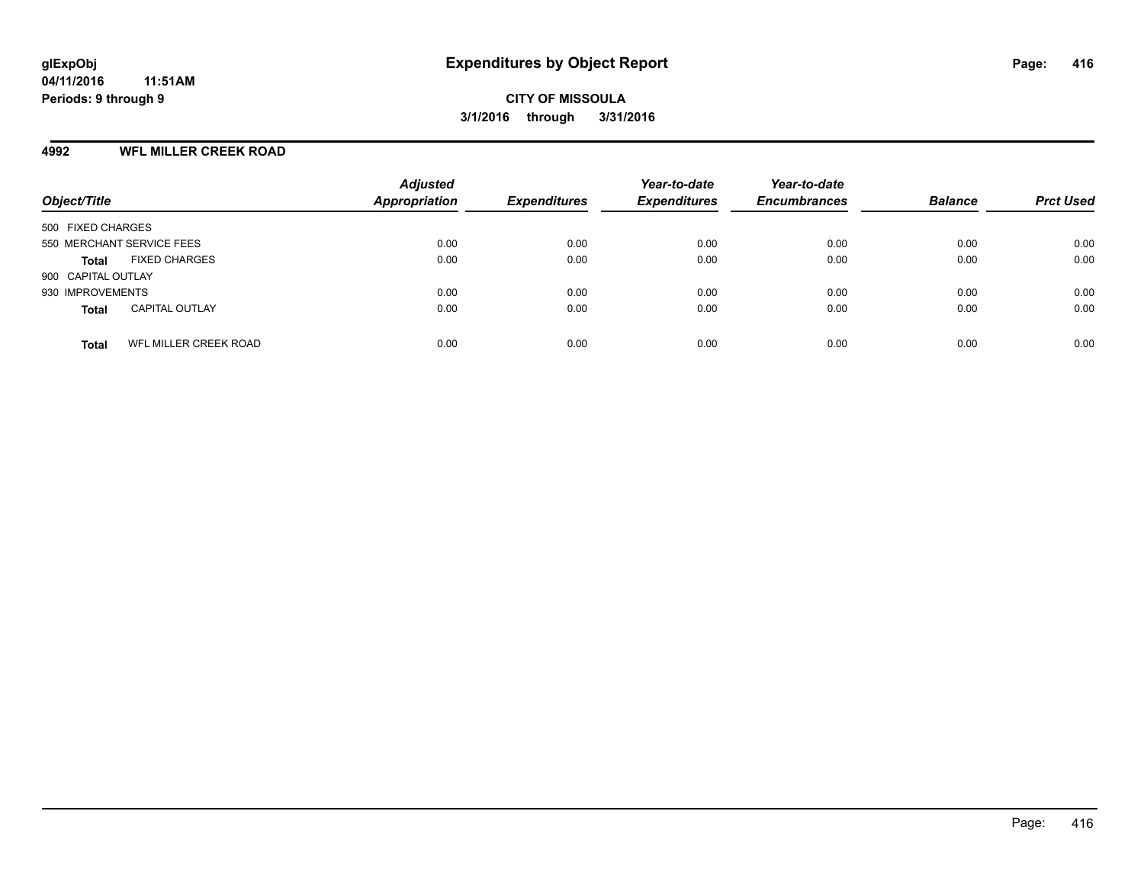#### **4992 WFL MILLER CREEK ROAD**

| Object/Title                                 | <b>Adjusted</b><br><b>Appropriation</b> | <b>Expenditures</b> | Year-to-date<br><b>Expenditures</b> | Year-to-date<br><b>Encumbrances</b> | <b>Balance</b> | <b>Prct Used</b> |
|----------------------------------------------|-----------------------------------------|---------------------|-------------------------------------|-------------------------------------|----------------|------------------|
| 500 FIXED CHARGES                            |                                         |                     |                                     |                                     |                |                  |
| 550 MERCHANT SERVICE FEES                    | 0.00                                    | 0.00                | 0.00                                | 0.00                                | 0.00           | 0.00             |
| <b>FIXED CHARGES</b><br><b>Total</b>         | 0.00                                    | 0.00                | 0.00                                | 0.00                                | 0.00           | 0.00             |
| 900 CAPITAL OUTLAY                           |                                         |                     |                                     |                                     |                |                  |
| 930 IMPROVEMENTS                             | 0.00                                    | 0.00                | 0.00                                | 0.00                                | 0.00           | 0.00             |
| <b>CAPITAL OUTLAY</b><br><b>Total</b>        | 0.00                                    | 0.00                | 0.00                                | 0.00                                | 0.00           | 0.00             |
| <b>WFL MILLER CREEK ROAD</b><br><b>Total</b> | 0.00                                    | 0.00                | 0.00                                | 0.00                                | 0.00           | 0.00             |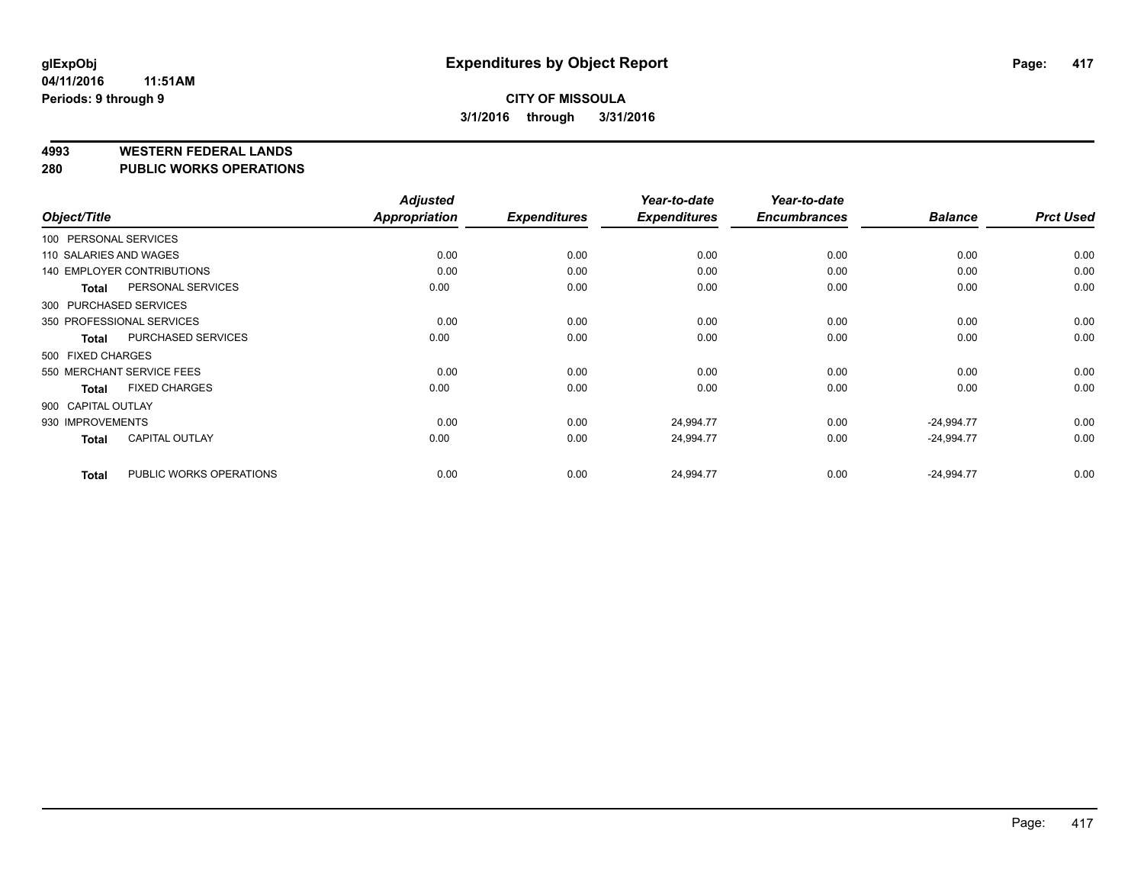#### **4993 WESTERN FEDERAL LANDS**

**280 PUBLIC WORKS OPERATIONS**

|                        |                                   | <b>Adjusted</b> |                     | Year-to-date        | Year-to-date        |                |                  |
|------------------------|-----------------------------------|-----------------|---------------------|---------------------|---------------------|----------------|------------------|
| Object/Title           |                                   | Appropriation   | <b>Expenditures</b> | <b>Expenditures</b> | <b>Encumbrances</b> | <b>Balance</b> | <b>Prct Used</b> |
| 100 PERSONAL SERVICES  |                                   |                 |                     |                     |                     |                |                  |
| 110 SALARIES AND WAGES |                                   | 0.00            | 0.00                | 0.00                | 0.00                | 0.00           | 0.00             |
|                        | <b>140 EMPLOYER CONTRIBUTIONS</b> | 0.00            | 0.00                | 0.00                | 0.00                | 0.00           | 0.00             |
| <b>Total</b>           | PERSONAL SERVICES                 | 0.00            | 0.00                | 0.00                | 0.00                | 0.00           | 0.00             |
| 300 PURCHASED SERVICES |                                   |                 |                     |                     |                     |                |                  |
|                        | 350 PROFESSIONAL SERVICES         | 0.00            | 0.00                | 0.00                | 0.00                | 0.00           | 0.00             |
| <b>Total</b>           | PURCHASED SERVICES                | 0.00            | 0.00                | 0.00                | 0.00                | 0.00           | 0.00             |
| 500 FIXED CHARGES      |                                   |                 |                     |                     |                     |                |                  |
|                        | 550 MERCHANT SERVICE FEES         | 0.00            | 0.00                | 0.00                | 0.00                | 0.00           | 0.00             |
| <b>Total</b>           | <b>FIXED CHARGES</b>              | 0.00            | 0.00                | 0.00                | 0.00                | 0.00           | 0.00             |
| 900 CAPITAL OUTLAY     |                                   |                 |                     |                     |                     |                |                  |
| 930 IMPROVEMENTS       |                                   | 0.00            | 0.00                | 24,994.77           | 0.00                | $-24,994.77$   | 0.00             |
| <b>Total</b>           | <b>CAPITAL OUTLAY</b>             | 0.00            | 0.00                | 24,994.77           | 0.00                | $-24,994.77$   | 0.00             |
| <b>Total</b>           | PUBLIC WORKS OPERATIONS           | 0.00            | 0.00                | 24,994.77           | 0.00                | $-24,994.77$   | 0.00             |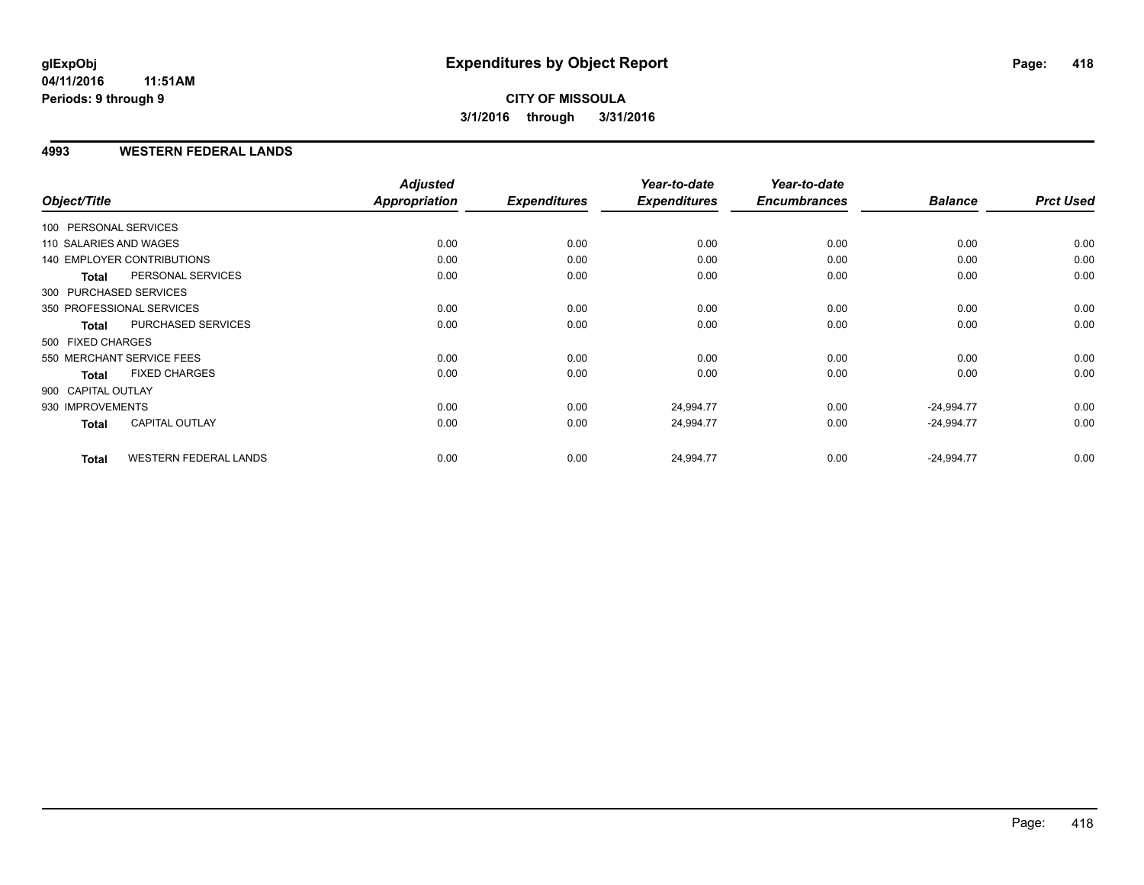#### **4993 WESTERN FEDERAL LANDS**

| Object/Title           |                                   | <b>Adjusted</b><br>Appropriation | <b>Expenditures</b> | Year-to-date<br><b>Expenditures</b> | Year-to-date<br><b>Encumbrances</b> | <b>Balance</b> | <b>Prct Used</b> |
|------------------------|-----------------------------------|----------------------------------|---------------------|-------------------------------------|-------------------------------------|----------------|------------------|
|                        |                                   |                                  |                     |                                     |                                     |                |                  |
| 100 PERSONAL SERVICES  |                                   |                                  |                     |                                     |                                     |                |                  |
| 110 SALARIES AND WAGES |                                   | 0.00                             | 0.00                | 0.00                                | 0.00                                | 0.00           | 0.00             |
|                        | <b>140 EMPLOYER CONTRIBUTIONS</b> | 0.00                             | 0.00                | 0.00                                | 0.00                                | 0.00           | 0.00             |
| <b>Total</b>           | PERSONAL SERVICES                 | 0.00                             | 0.00                | 0.00                                | 0.00                                | 0.00           | 0.00             |
| 300 PURCHASED SERVICES |                                   |                                  |                     |                                     |                                     |                |                  |
|                        | 350 PROFESSIONAL SERVICES         | 0.00                             | 0.00                | 0.00                                | 0.00                                | 0.00           | 0.00             |
| <b>Total</b>           | PURCHASED SERVICES                | 0.00                             | 0.00                | 0.00                                | 0.00                                | 0.00           | 0.00             |
| 500 FIXED CHARGES      |                                   |                                  |                     |                                     |                                     |                |                  |
|                        | 550 MERCHANT SERVICE FEES         | 0.00                             | 0.00                | 0.00                                | 0.00                                | 0.00           | 0.00             |
| <b>Total</b>           | <b>FIXED CHARGES</b>              | 0.00                             | 0.00                | 0.00                                | 0.00                                | 0.00           | 0.00             |
| 900 CAPITAL OUTLAY     |                                   |                                  |                     |                                     |                                     |                |                  |
| 930 IMPROVEMENTS       |                                   | 0.00                             | 0.00                | 24,994.77                           | 0.00                                | $-24,994.77$   | 0.00             |
| Total                  | <b>CAPITAL OUTLAY</b>             | 0.00                             | 0.00                | 24,994.77                           | 0.00                                | $-24,994.77$   | 0.00             |
| <b>Total</b>           | <b>WESTERN FEDERAL LANDS</b>      | 0.00                             | 0.00                | 24,994.77                           | 0.00                                | $-24,994.77$   | 0.00             |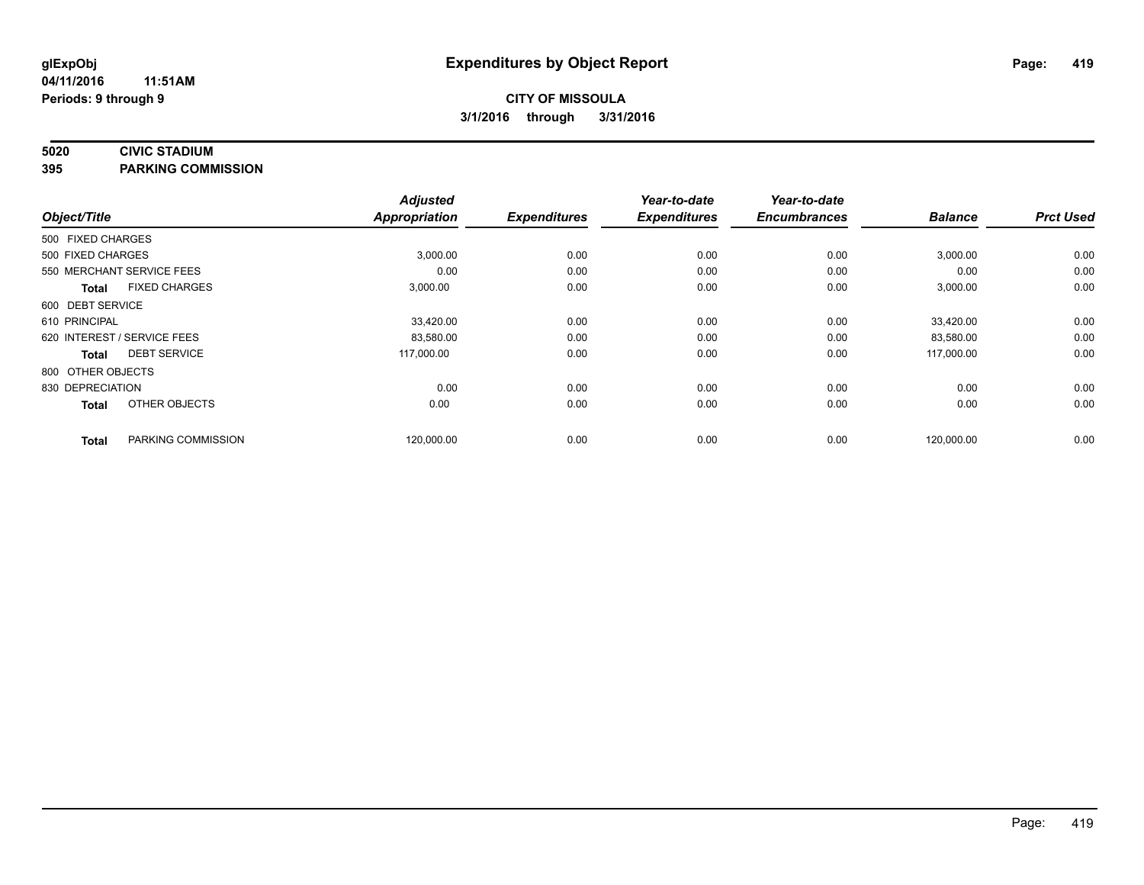#### **5020 CIVIC STADIUM**

**395 PARKING COMMISSION**

| Object/Title      |                             | <b>Adjusted</b><br>Appropriation | <b>Expenditures</b> | Year-to-date<br><b>Expenditures</b> | Year-to-date<br><b>Encumbrances</b> | <b>Balance</b> | <b>Prct Used</b> |
|-------------------|-----------------------------|----------------------------------|---------------------|-------------------------------------|-------------------------------------|----------------|------------------|
|                   |                             |                                  |                     |                                     |                                     |                |                  |
| 500 FIXED CHARGES |                             |                                  |                     |                                     |                                     |                |                  |
| 500 FIXED CHARGES |                             | 3,000.00                         | 0.00                | 0.00                                | 0.00                                | 3,000.00       | 0.00             |
|                   | 550 MERCHANT SERVICE FEES   | 0.00                             | 0.00                | 0.00                                | 0.00                                | 0.00           | 0.00             |
| <b>Total</b>      | <b>FIXED CHARGES</b>        | 3,000.00                         | 0.00                | 0.00                                | 0.00                                | 3,000.00       | 0.00             |
| 600 DEBT SERVICE  |                             |                                  |                     |                                     |                                     |                |                  |
| 610 PRINCIPAL     |                             | 33,420.00                        | 0.00                | 0.00                                | 0.00                                | 33,420.00      | 0.00             |
|                   | 620 INTEREST / SERVICE FEES | 83,580.00                        | 0.00                | 0.00                                | 0.00                                | 83,580.00      | 0.00             |
| <b>Total</b>      | <b>DEBT SERVICE</b>         | 117,000.00                       | 0.00                | 0.00                                | 0.00                                | 117,000.00     | 0.00             |
| 800 OTHER OBJECTS |                             |                                  |                     |                                     |                                     |                |                  |
| 830 DEPRECIATION  |                             | 0.00                             | 0.00                | 0.00                                | 0.00                                | 0.00           | 0.00             |
| <b>Total</b>      | OTHER OBJECTS               | 0.00                             | 0.00                | 0.00                                | 0.00                                | 0.00           | 0.00             |
| <b>Total</b>      | PARKING COMMISSION          | 120,000.00                       | 0.00                | 0.00                                | 0.00                                | 120,000.00     | 0.00             |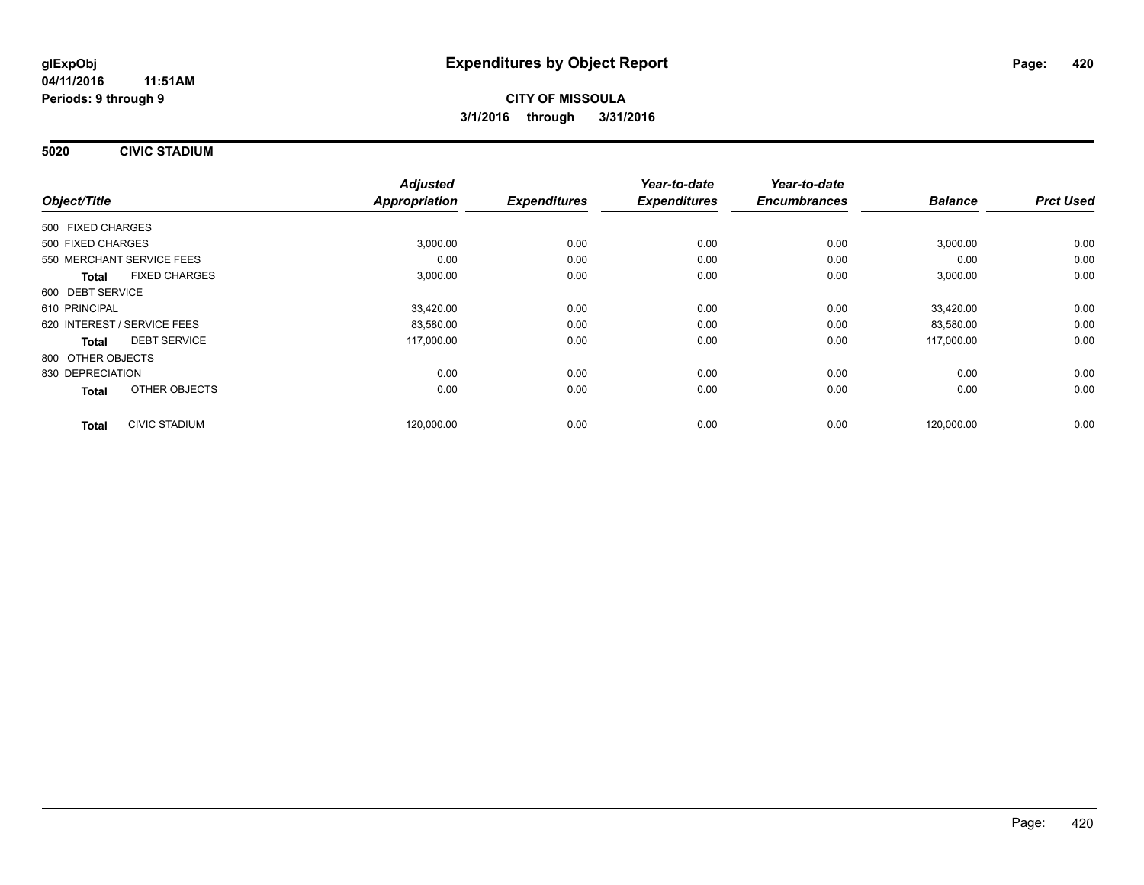**5020 CIVIC STADIUM**

|                                      | <b>Adjusted</b> |                     | Year-to-date        | Year-to-date        |                |                  |
|--------------------------------------|-----------------|---------------------|---------------------|---------------------|----------------|------------------|
| Object/Title                         | Appropriation   | <b>Expenditures</b> | <b>Expenditures</b> | <b>Encumbrances</b> | <b>Balance</b> | <b>Prct Used</b> |
| 500 FIXED CHARGES                    |                 |                     |                     |                     |                |                  |
| 500 FIXED CHARGES                    | 3,000.00        | 0.00                | 0.00                | 0.00                | 3,000.00       | 0.00             |
| 550 MERCHANT SERVICE FEES            | 0.00            | 0.00                | 0.00                | 0.00                | 0.00           | 0.00             |
| <b>FIXED CHARGES</b><br><b>Total</b> | 3,000.00        | 0.00                | 0.00                | 0.00                | 3,000.00       | 0.00             |
| 600 DEBT SERVICE                     |                 |                     |                     |                     |                |                  |
| 610 PRINCIPAL                        | 33,420.00       | 0.00                | 0.00                | 0.00                | 33.420.00      | 0.00             |
| 620 INTEREST / SERVICE FEES          | 83,580.00       | 0.00                | 0.00                | 0.00                | 83,580.00      | 0.00             |
| <b>DEBT SERVICE</b><br>Total         | 117,000.00      | 0.00                | 0.00                | 0.00                | 117,000.00     | 0.00             |
| 800 OTHER OBJECTS                    |                 |                     |                     |                     |                |                  |
| 830 DEPRECIATION                     | 0.00            | 0.00                | 0.00                | 0.00                | 0.00           | 0.00             |
| OTHER OBJECTS<br><b>Total</b>        | 0.00            | 0.00                | 0.00                | 0.00                | 0.00           | 0.00             |
| <b>CIVIC STADIUM</b><br><b>Total</b> | 120,000.00      | 0.00                | 0.00                | 0.00                | 120,000.00     | 0.00             |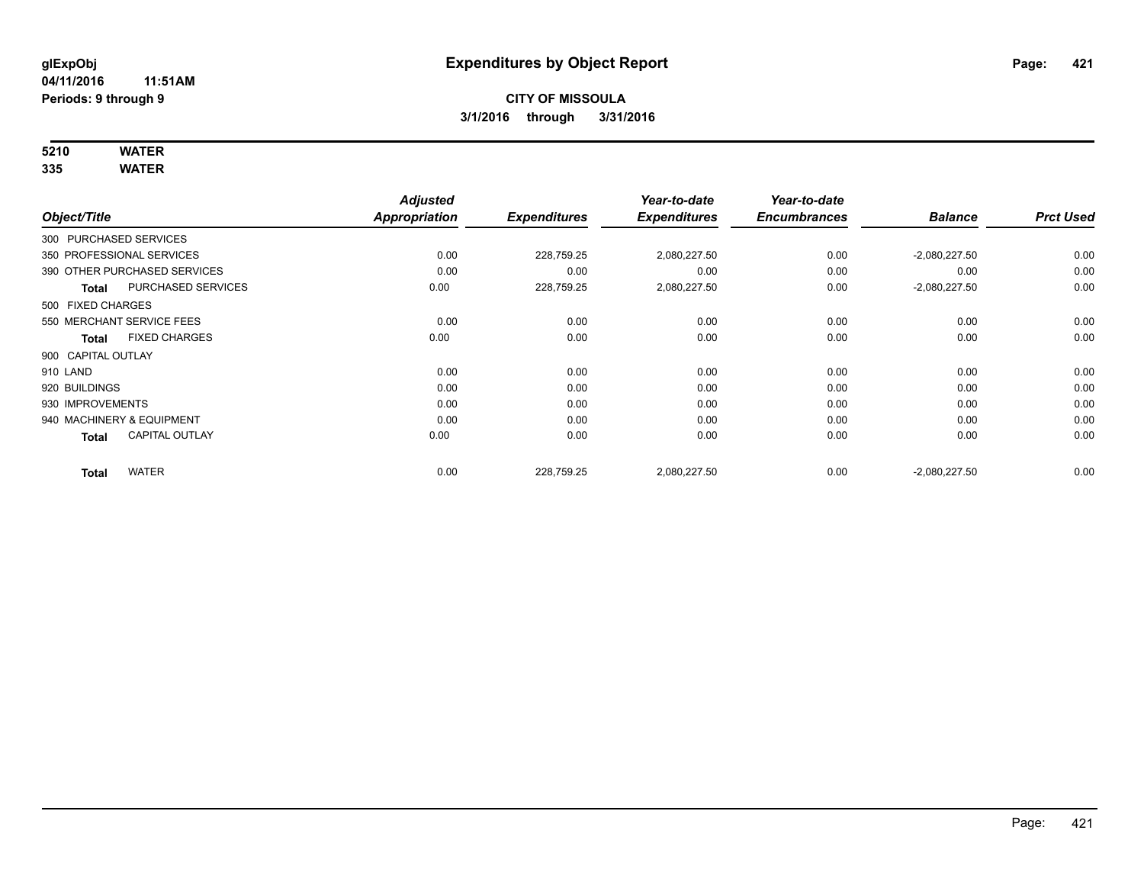# **5210 WATER**

|                        |                              | <b>Adjusted</b>      |                     | Year-to-date        | Year-to-date        |                 |                  |
|------------------------|------------------------------|----------------------|---------------------|---------------------|---------------------|-----------------|------------------|
| Object/Title           |                              | <b>Appropriation</b> | <b>Expenditures</b> | <b>Expenditures</b> | <b>Encumbrances</b> | <b>Balance</b>  | <b>Prct Used</b> |
| 300 PURCHASED SERVICES |                              |                      |                     |                     |                     |                 |                  |
|                        | 350 PROFESSIONAL SERVICES    | 0.00                 | 228,759.25          | 2,080,227.50        | 0.00                | $-2,080,227.50$ | 0.00             |
|                        | 390 OTHER PURCHASED SERVICES | 0.00                 | 0.00                | 0.00                | 0.00                | 0.00            | 0.00             |
| Total                  | PURCHASED SERVICES           | 0.00                 | 228,759.25          | 2,080,227.50        | 0.00                | $-2,080,227.50$ | 0.00             |
| 500 FIXED CHARGES      |                              |                      |                     |                     |                     |                 |                  |
|                        | 550 MERCHANT SERVICE FEES    | 0.00                 | 0.00                | 0.00                | 0.00                | 0.00            | 0.00             |
| <b>Total</b>           | <b>FIXED CHARGES</b>         | 0.00                 | 0.00                | 0.00                | 0.00                | 0.00            | 0.00             |
| 900 CAPITAL OUTLAY     |                              |                      |                     |                     |                     |                 |                  |
| 910 LAND               |                              | 0.00                 | 0.00                | 0.00                | 0.00                | 0.00            | 0.00             |
| 920 BUILDINGS          |                              | 0.00                 | 0.00                | 0.00                | 0.00                | 0.00            | 0.00             |
| 930 IMPROVEMENTS       |                              | 0.00                 | 0.00                | 0.00                | 0.00                | 0.00            | 0.00             |
|                        | 940 MACHINERY & EQUIPMENT    | 0.00                 | 0.00                | 0.00                | 0.00                | 0.00            | 0.00             |
| <b>Total</b>           | <b>CAPITAL OUTLAY</b>        | 0.00                 | 0.00                | 0.00                | 0.00                | 0.00            | 0.00             |
| <b>Total</b>           | <b>WATER</b>                 | 0.00                 | 228,759.25          | 2,080,227.50        | 0.00                | $-2,080,227.50$ | 0.00             |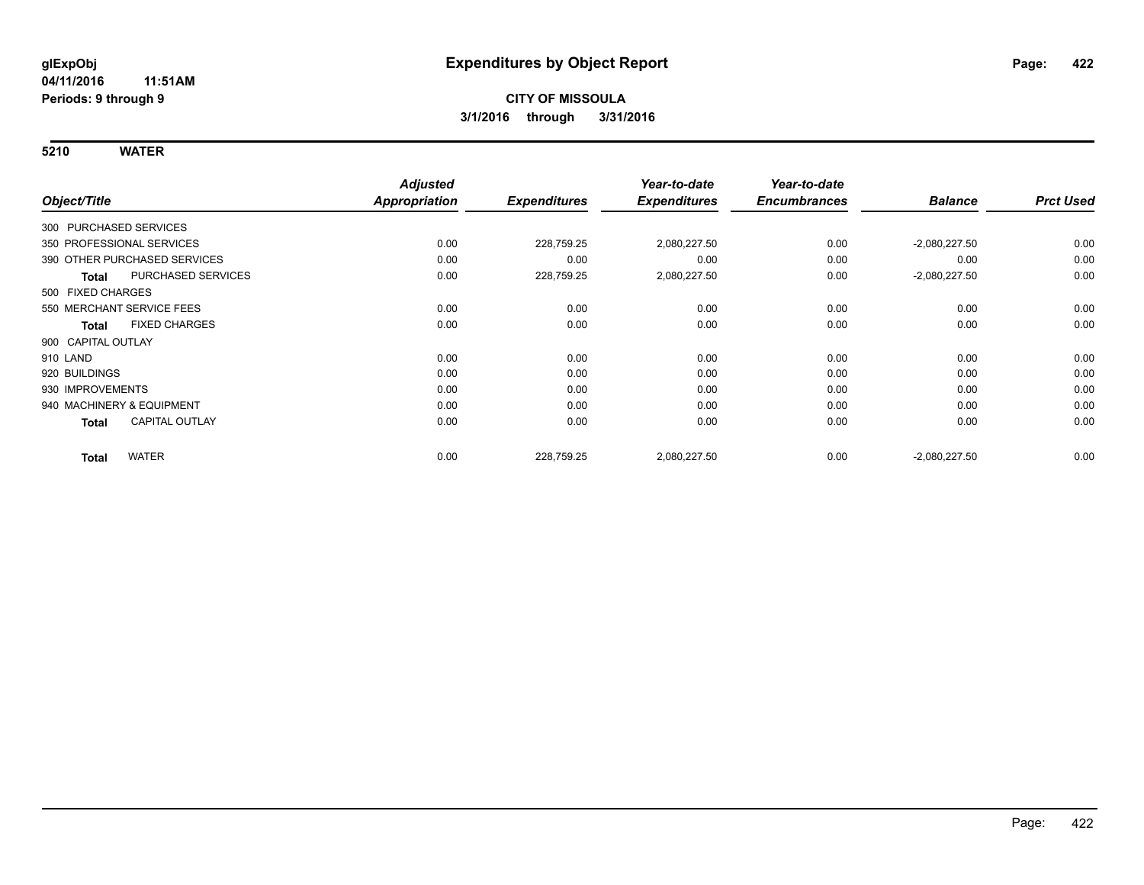|                           |                              | <b>Adjusted</b> |                     | Year-to-date        | Year-to-date        |                 |                  |
|---------------------------|------------------------------|-----------------|---------------------|---------------------|---------------------|-----------------|------------------|
| Object/Title              |                              | Appropriation   | <b>Expenditures</b> | <b>Expenditures</b> | <b>Encumbrances</b> | <b>Balance</b>  | <b>Prct Used</b> |
| 300 PURCHASED SERVICES    |                              |                 |                     |                     |                     |                 |                  |
| 350 PROFESSIONAL SERVICES |                              | 0.00            | 228,759.25          | 2,080,227.50        | 0.00                | $-2,080,227.50$ | 0.00             |
|                           | 390 OTHER PURCHASED SERVICES | 0.00            | 0.00                | 0.00                | 0.00                | 0.00            | 0.00             |
| <b>Total</b>              | PURCHASED SERVICES           | 0.00            | 228,759.25          | 2,080,227.50        | 0.00                | $-2,080,227.50$ | 0.00             |
| 500 FIXED CHARGES         |                              |                 |                     |                     |                     |                 |                  |
| 550 MERCHANT SERVICE FEES |                              | 0.00            | 0.00                | 0.00                | 0.00                | 0.00            | 0.00             |
| <b>Total</b>              | <b>FIXED CHARGES</b>         | 0.00            | 0.00                | 0.00                | 0.00                | 0.00            | 0.00             |
| 900 CAPITAL OUTLAY        |                              |                 |                     |                     |                     |                 |                  |
| 910 LAND                  |                              | 0.00            | 0.00                | 0.00                | 0.00                | 0.00            | 0.00             |
| 920 BUILDINGS             |                              | 0.00            | 0.00                | 0.00                | 0.00                | 0.00            | 0.00             |
| 930 IMPROVEMENTS          |                              | 0.00            | 0.00                | 0.00                | 0.00                | 0.00            | 0.00             |
| 940 MACHINERY & EQUIPMENT |                              | 0.00            | 0.00                | 0.00                | 0.00                | 0.00            | 0.00             |
| Total                     | <b>CAPITAL OUTLAY</b>        | 0.00            | 0.00                | 0.00                | 0.00                | 0.00            | 0.00             |
| <b>Total</b>              | <b>WATER</b>                 | 0.00            | 228,759.25          | 2,080,227.50        | 0.00                | $-2,080,227.50$ | 0.00             |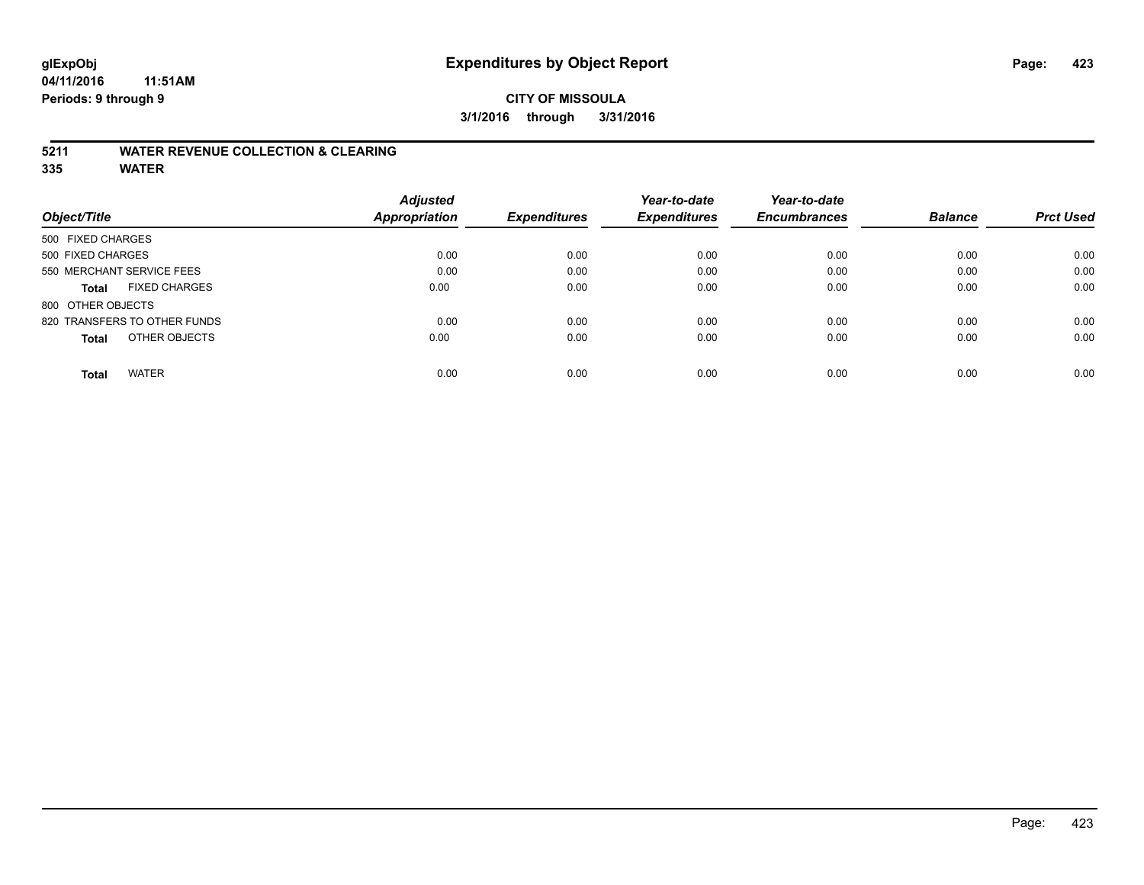#### **CITY OF MISSOULA 3/1/2016 through 3/31/2016**

#### **5211 WATER REVENUE COLLECTION & CLEARING**

|                                      | <b>Adjusted</b> | <b>Expenditures</b> | Year-to-date<br><b>Expenditures</b> | Year-to-date        | <b>Balance</b> | <b>Prct Used</b> |
|--------------------------------------|-----------------|---------------------|-------------------------------------|---------------------|----------------|------------------|
| Object/Title                         | Appropriation   |                     |                                     | <b>Encumbrances</b> |                |                  |
| 500 FIXED CHARGES                    |                 |                     |                                     |                     |                |                  |
| 500 FIXED CHARGES                    | 0.00            | 0.00                | 0.00                                | 0.00                | 0.00           | 0.00             |
| 550 MERCHANT SERVICE FEES            | 0.00            | 0.00                | 0.00                                | 0.00                | 0.00           | 0.00             |
| <b>FIXED CHARGES</b><br><b>Total</b> | 0.00            | 0.00                | 0.00                                | 0.00                | 0.00           | 0.00             |
| 800 OTHER OBJECTS                    |                 |                     |                                     |                     |                |                  |
| 820 TRANSFERS TO OTHER FUNDS         | 0.00            | 0.00                | 0.00                                | 0.00                | 0.00           | 0.00             |
| OTHER OBJECTS<br><b>Total</b>        | 0.00            | 0.00                | 0.00                                | 0.00                | 0.00           | 0.00             |
| <b>WATER</b><br>Total                | 0.00            | 0.00                | 0.00                                | 0.00                | 0.00           | 0.00             |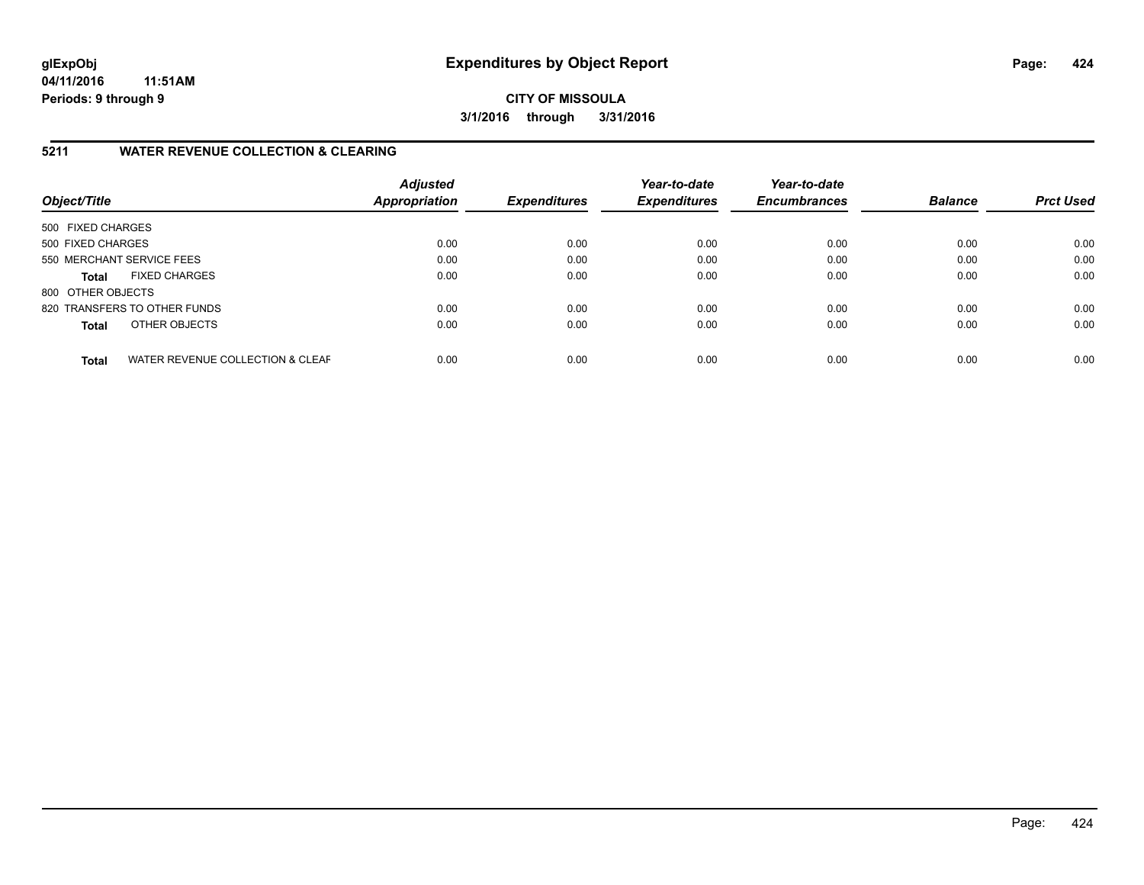**CITY OF MISSOULA 3/1/2016 through 3/31/2016**

## **5211 WATER REVENUE COLLECTION & CLEARING**

| Object/Title              |                                  | <b>Adjusted</b><br><b>Appropriation</b> | <b>Expenditures</b> | Year-to-date<br><b>Expenditures</b> | Year-to-date<br><b>Encumbrances</b> | <b>Balance</b> | <b>Prct Used</b> |
|---------------------------|----------------------------------|-----------------------------------------|---------------------|-------------------------------------|-------------------------------------|----------------|------------------|
| 500 FIXED CHARGES         |                                  |                                         |                     |                                     |                                     |                |                  |
| 500 FIXED CHARGES         |                                  | 0.00                                    | 0.00                | 0.00                                | 0.00                                | 0.00           | 0.00             |
| 550 MERCHANT SERVICE FEES |                                  | 0.00                                    | 0.00                | 0.00                                | 0.00                                | 0.00           | 0.00             |
| <b>Total</b>              | <b>FIXED CHARGES</b>             | 0.00                                    | 0.00                | 0.00                                | 0.00                                | 0.00           | 0.00             |
| 800 OTHER OBJECTS         |                                  |                                         |                     |                                     |                                     |                |                  |
|                           | 820 TRANSFERS TO OTHER FUNDS     | 0.00                                    | 0.00                | 0.00                                | 0.00                                | 0.00           | 0.00             |
| <b>Total</b>              | OTHER OBJECTS                    | 0.00                                    | 0.00                | 0.00                                | 0.00                                | 0.00           | 0.00             |
| <b>Total</b>              | WATER REVENUE COLLECTION & CLEAF | 0.00                                    | 0.00                | 0.00                                | 0.00                                | 0.00           | 0.00             |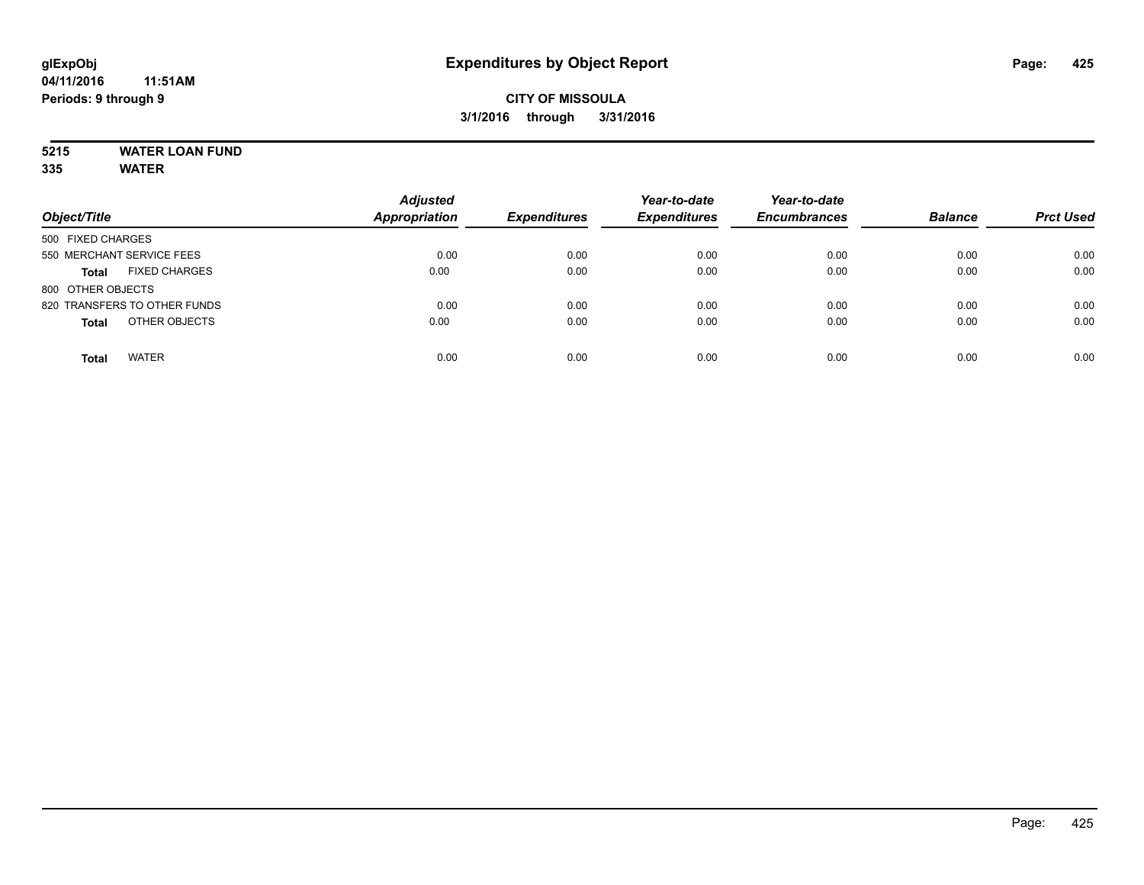# **5215 WATER LOAN FUND**

| Object/Title                         | <b>Adjusted</b><br><b>Appropriation</b> | <b>Expenditures</b> | Year-to-date<br><b>Expenditures</b> | Year-to-date<br><b>Encumbrances</b> | <b>Balance</b> | <b>Prct Used</b> |
|--------------------------------------|-----------------------------------------|---------------------|-------------------------------------|-------------------------------------|----------------|------------------|
| 500 FIXED CHARGES                    |                                         |                     |                                     |                                     |                |                  |
| 550 MERCHANT SERVICE FEES            | 0.00                                    | 0.00                | 0.00                                | 0.00                                | 0.00           | 0.00             |
| <b>FIXED CHARGES</b><br><b>Total</b> | 0.00                                    | 0.00                | 0.00                                | 0.00                                | 0.00           | 0.00             |
| 800 OTHER OBJECTS                    |                                         |                     |                                     |                                     |                |                  |
| 820 TRANSFERS TO OTHER FUNDS         | 0.00                                    | 0.00                | 0.00                                | 0.00                                | 0.00           | 0.00             |
| OTHER OBJECTS<br><b>Total</b>        | 0.00                                    | 0.00                | 0.00                                | 0.00                                | 0.00           | 0.00             |
| <b>WATER</b><br><b>Total</b>         | 0.00                                    | 0.00                | 0.00                                | 0.00                                | 0.00           | 0.00             |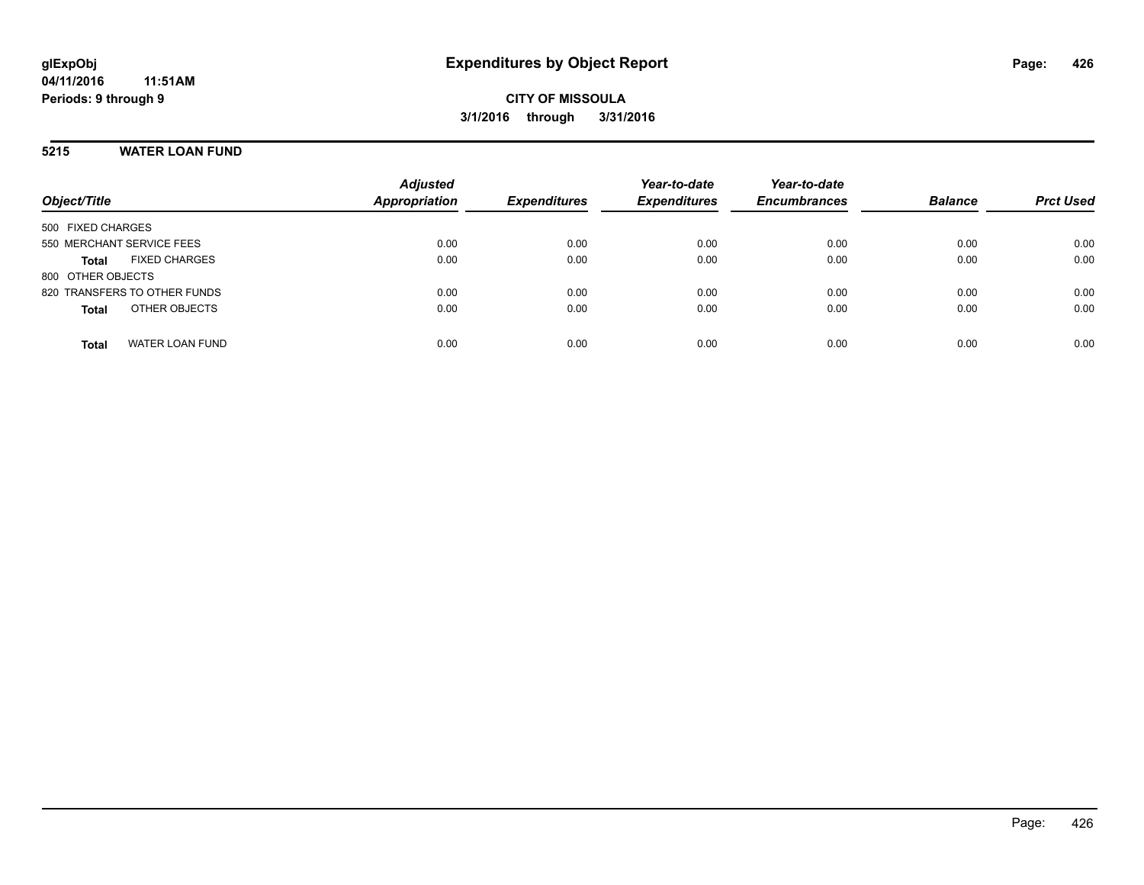#### **5215 WATER LOAN FUND**

| Object/Title                           | <b>Adjusted</b><br><b>Appropriation</b> | <b>Expenditures</b> | Year-to-date<br><b>Expenditures</b> | Year-to-date<br><b>Encumbrances</b> | <b>Balance</b> | <b>Prct Used</b> |
|----------------------------------------|-----------------------------------------|---------------------|-------------------------------------|-------------------------------------|----------------|------------------|
| 500 FIXED CHARGES                      |                                         |                     |                                     |                                     |                |                  |
| 550 MERCHANT SERVICE FEES              | 0.00                                    | 0.00                | 0.00                                | 0.00                                | 0.00           | 0.00             |
| <b>FIXED CHARGES</b><br><b>Total</b>   | 0.00                                    | 0.00                | 0.00                                | 0.00                                | 0.00           | 0.00             |
| 800 OTHER OBJECTS                      |                                         |                     |                                     |                                     |                |                  |
| 820 TRANSFERS TO OTHER FUNDS           | 0.00                                    | 0.00                | 0.00                                | 0.00                                | 0.00           | 0.00             |
| OTHER OBJECTS<br><b>Total</b>          | 0.00                                    | 0.00                | 0.00                                | 0.00                                | 0.00           | 0.00             |
| <b>WATER LOAN FUND</b><br><b>Total</b> | 0.00                                    | 0.00                | 0.00                                | 0.00                                | 0.00           | 0.00             |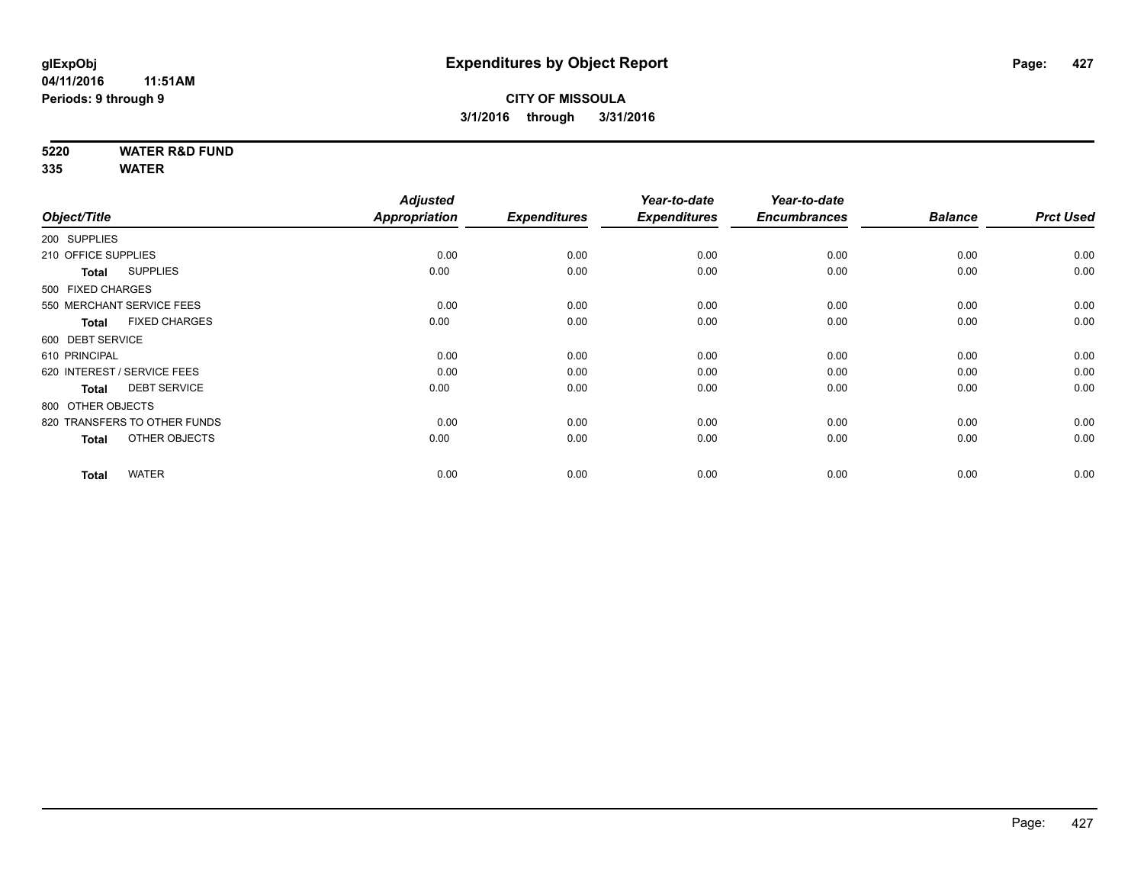**5220 WATER R&D FUND**

|                                      | <b>Adjusted</b>                                                                                                                                                                                                                                                |                       | Year-to-date                | Year-to-date                |                             |                        |
|--------------------------------------|----------------------------------------------------------------------------------------------------------------------------------------------------------------------------------------------------------------------------------------------------------------|-----------------------|-----------------------------|-----------------------------|-----------------------------|------------------------|
|                                      |                                                                                                                                                                                                                                                                |                       |                             |                             |                             | <b>Prct Used</b>       |
|                                      |                                                                                                                                                                                                                                                                |                       |                             |                             |                             |                        |
|                                      | 0.00                                                                                                                                                                                                                                                           | 0.00                  | 0.00                        | 0.00                        | 0.00                        | 0.00                   |
| <b>SUPPLIES</b><br><b>Total</b>      | 0.00                                                                                                                                                                                                                                                           | 0.00                  | 0.00                        | 0.00                        | 0.00                        | 0.00                   |
|                                      |                                                                                                                                                                                                                                                                |                       |                             |                             |                             |                        |
|                                      | 0.00                                                                                                                                                                                                                                                           | 0.00                  | 0.00                        | 0.00                        | 0.00                        | 0.00                   |
| <b>FIXED CHARGES</b><br><b>Total</b> | 0.00                                                                                                                                                                                                                                                           | 0.00                  | 0.00                        | 0.00                        | 0.00                        | 0.00                   |
|                                      |                                                                                                                                                                                                                                                                |                       |                             |                             |                             |                        |
|                                      | 0.00                                                                                                                                                                                                                                                           | 0.00                  | 0.00                        | 0.00                        | 0.00                        | 0.00                   |
|                                      | 0.00                                                                                                                                                                                                                                                           | 0.00                  | 0.00                        | 0.00                        | 0.00                        | 0.00                   |
| <b>DEBT SERVICE</b><br><b>Total</b>  | 0.00                                                                                                                                                                                                                                                           | 0.00                  | 0.00                        | 0.00                        | 0.00                        | 0.00                   |
|                                      |                                                                                                                                                                                                                                                                |                       |                             |                             |                             |                        |
|                                      | 0.00                                                                                                                                                                                                                                                           | 0.00                  | 0.00                        | 0.00                        | 0.00                        | 0.00                   |
| OTHER OBJECTS<br><b>Total</b>        | 0.00                                                                                                                                                                                                                                                           | 0.00                  | 0.00                        | 0.00                        | 0.00                        | 0.00                   |
|                                      |                                                                                                                                                                                                                                                                |                       |                             |                             |                             | 0.00                   |
|                                      | Object/Title<br>200 SUPPLIES<br>210 OFFICE SUPPLIES<br>500 FIXED CHARGES<br>550 MERCHANT SERVICE FEES<br>600 DEBT SERVICE<br>610 PRINCIPAL<br>620 INTEREST / SERVICE FEES<br>800 OTHER OBJECTS<br>820 TRANSFERS TO OTHER FUNDS<br><b>WATER</b><br><b>Total</b> | Appropriation<br>0.00 | <b>Expenditures</b><br>0.00 | <b>Expenditures</b><br>0.00 | <b>Encumbrances</b><br>0.00 | <b>Balance</b><br>0.00 |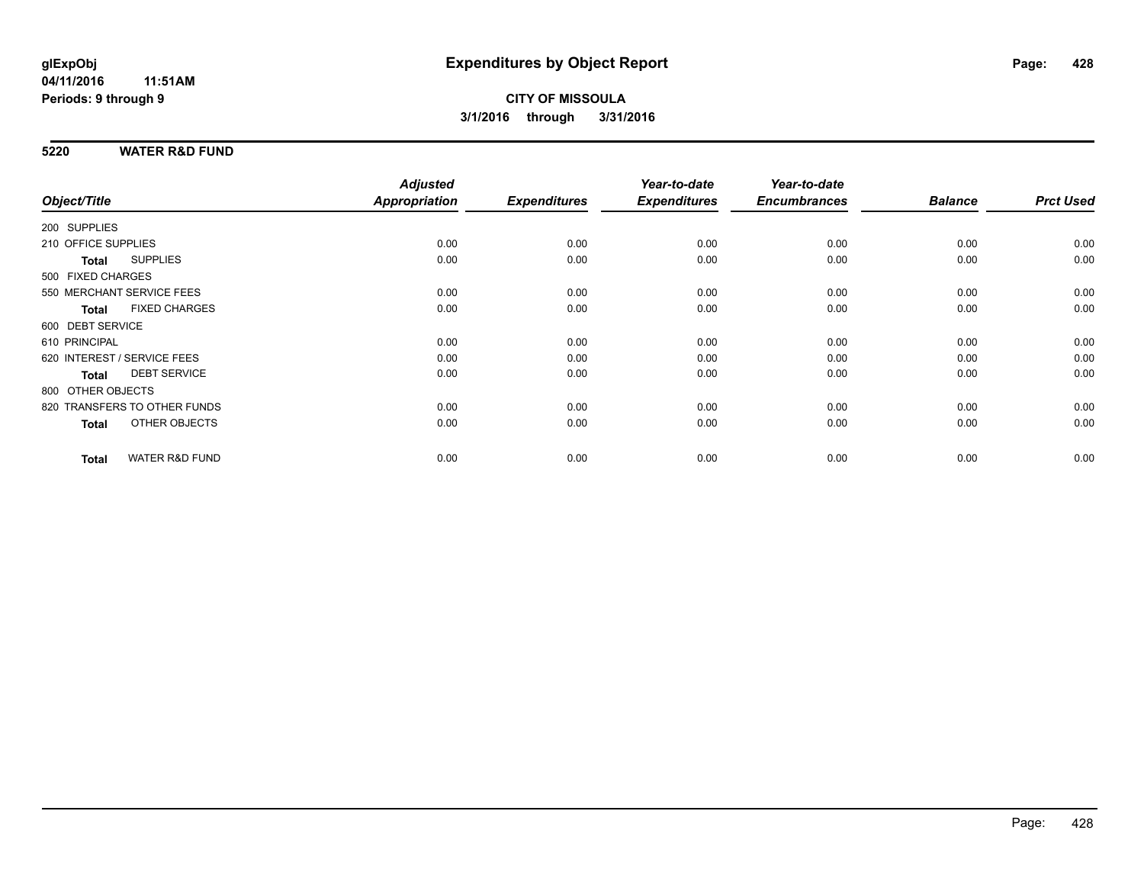#### **5220 WATER R&D FUND**

|                     |                              | <b>Adjusted</b> |                     | Year-to-date        | Year-to-date        |                |                  |
|---------------------|------------------------------|-----------------|---------------------|---------------------|---------------------|----------------|------------------|
| Object/Title        |                              | Appropriation   | <b>Expenditures</b> | <b>Expenditures</b> | <b>Encumbrances</b> | <b>Balance</b> | <b>Prct Used</b> |
| 200 SUPPLIES        |                              |                 |                     |                     |                     |                |                  |
| 210 OFFICE SUPPLIES |                              | 0.00            | 0.00                | 0.00                | 0.00                | 0.00           | 0.00             |
| <b>Total</b>        | <b>SUPPLIES</b>              | 0.00            | 0.00                | 0.00                | 0.00                | 0.00           | 0.00             |
| 500 FIXED CHARGES   |                              |                 |                     |                     |                     |                |                  |
|                     | 550 MERCHANT SERVICE FEES    | 0.00            | 0.00                | 0.00                | 0.00                | 0.00           | 0.00             |
| <b>Total</b>        | <b>FIXED CHARGES</b>         | 0.00            | 0.00                | 0.00                | 0.00                | 0.00           | 0.00             |
| 600 DEBT SERVICE    |                              |                 |                     |                     |                     |                |                  |
| 610 PRINCIPAL       |                              | 0.00            | 0.00                | 0.00                | 0.00                | 0.00           | 0.00             |
|                     | 620 INTEREST / SERVICE FEES  | 0.00            | 0.00                | 0.00                | 0.00                | 0.00           | 0.00             |
| <b>Total</b>        | <b>DEBT SERVICE</b>          | 0.00            | 0.00                | 0.00                | 0.00                | 0.00           | 0.00             |
| 800 OTHER OBJECTS   |                              |                 |                     |                     |                     |                |                  |
|                     | 820 TRANSFERS TO OTHER FUNDS | 0.00            | 0.00                | 0.00                | 0.00                | 0.00           | 0.00             |
| <b>Total</b>        | OTHER OBJECTS                | 0.00            | 0.00                | 0.00                | 0.00                | 0.00           | 0.00             |
| <b>Total</b>        | <b>WATER R&amp;D FUND</b>    | 0.00            | 0.00                | 0.00                | 0.00                | 0.00           | 0.00             |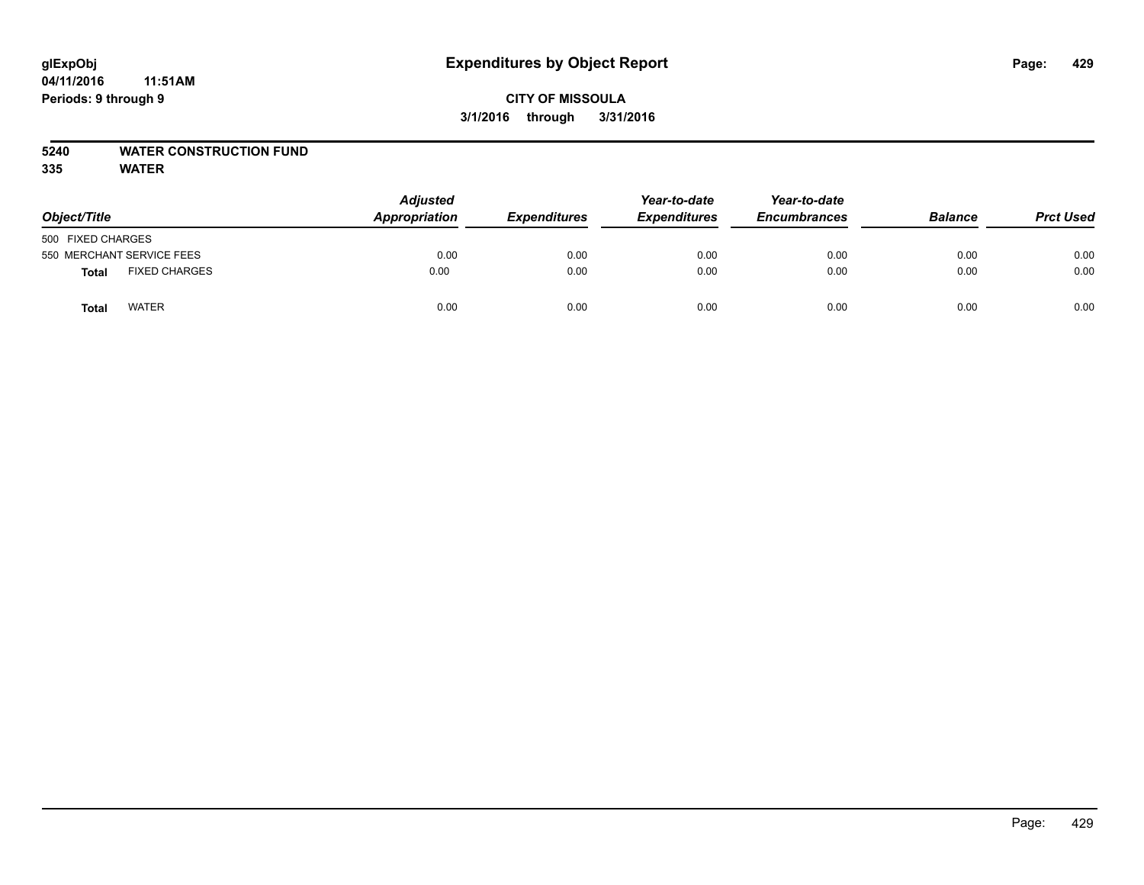# **glExpObj Expenditures by Object Report Page: 429**

**04/11/2016 11:51AM Periods: 9 through 9**

#### **5240 WATER CONSTRUCTION FUND**

|                               | <b>Adjusted</b> |                     | Year-to-date<br><b>Expenditures</b> | Year-to-date<br><b>Encumbrances</b> | <b>Balance</b> |                  |
|-------------------------------|-----------------|---------------------|-------------------------------------|-------------------------------------|----------------|------------------|
| Object/Title                  | Appropriation   | <b>Expenditures</b> |                                     |                                     |                | <b>Prct Used</b> |
| 500 FIXED CHARGES             |                 |                     |                                     |                                     |                |                  |
| 550 MERCHANT SERVICE FEES     | 0.00            | 0.00                | 0.00                                | 0.00                                | 0.00           | 0.00             |
| <b>FIXED CHARGES</b><br>Total | 0.00            | 0.00                | 0.00                                | 0.00                                | 0.00           | 0.00             |
| <b>WATER</b><br>Total         | 0.00            | 0.00                | 0.00                                | 0.00                                | 0.00           | 0.00             |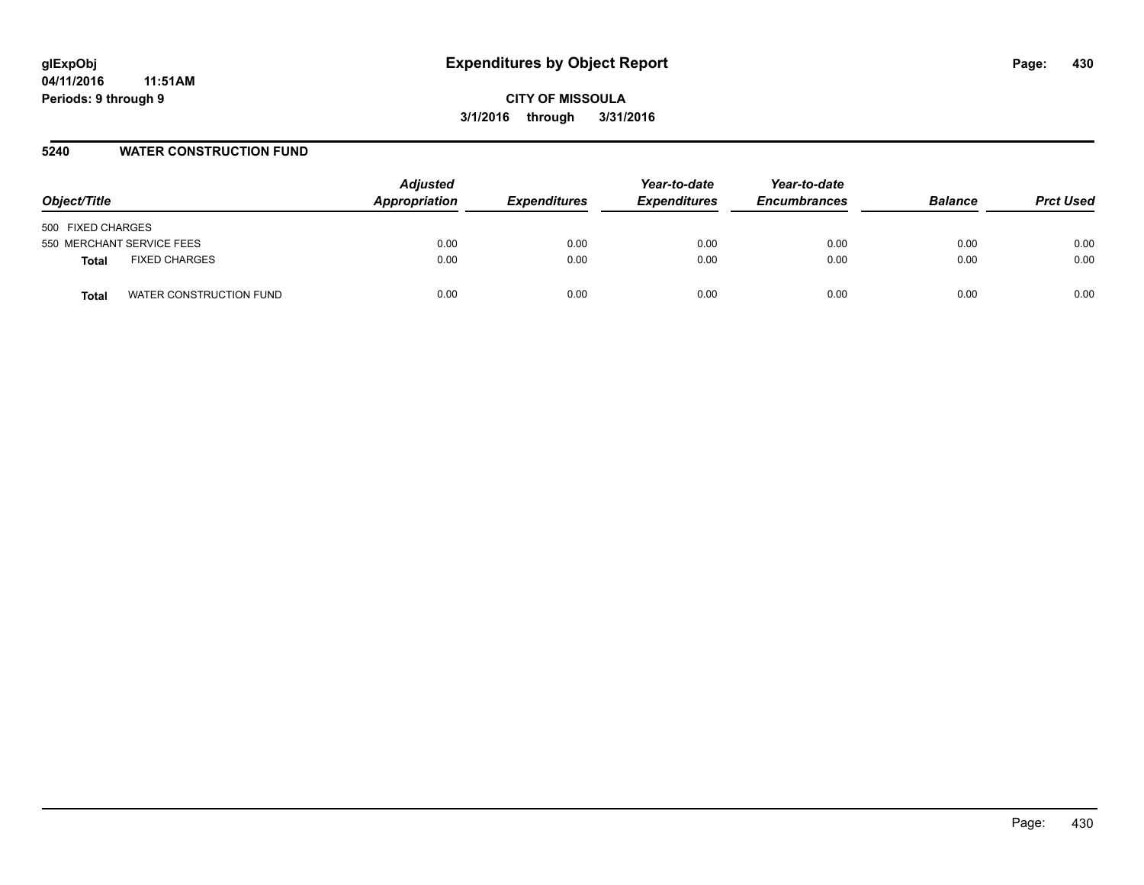# **glExpObj Expenditures by Object Report Page: 430**

**04/11/2016 11:51AM Periods: 9 through 9**

**CITY OF MISSOULA 3/1/2016 through 3/31/2016**

#### **5240 WATER CONSTRUCTION FUND**

| Object/Title                         | <b>Adjusted</b><br>Appropriation | <b>Expenditures</b> | Year-to-date<br><b>Expenditures</b> | Year-to-date<br><b>Encumbrances</b> | <b>Balance</b> | <b>Prct Used</b> |
|--------------------------------------|----------------------------------|---------------------|-------------------------------------|-------------------------------------|----------------|------------------|
| 500 FIXED CHARGES                    |                                  |                     |                                     |                                     |                |                  |
| 550 MERCHANT SERVICE FEES            | 0.00                             | 0.00                | 0.00                                | 0.00                                | 0.00           | 0.00             |
| <b>FIXED CHARGES</b><br><b>Total</b> | 0.00                             | 0.00                | 0.00                                | 0.00                                | 0.00           | 0.00             |
| WATER CONSTRUCTION FUND<br>Total     | 0.00                             | 0.00                | 0.00                                | 0.00                                | 0.00           | 0.00             |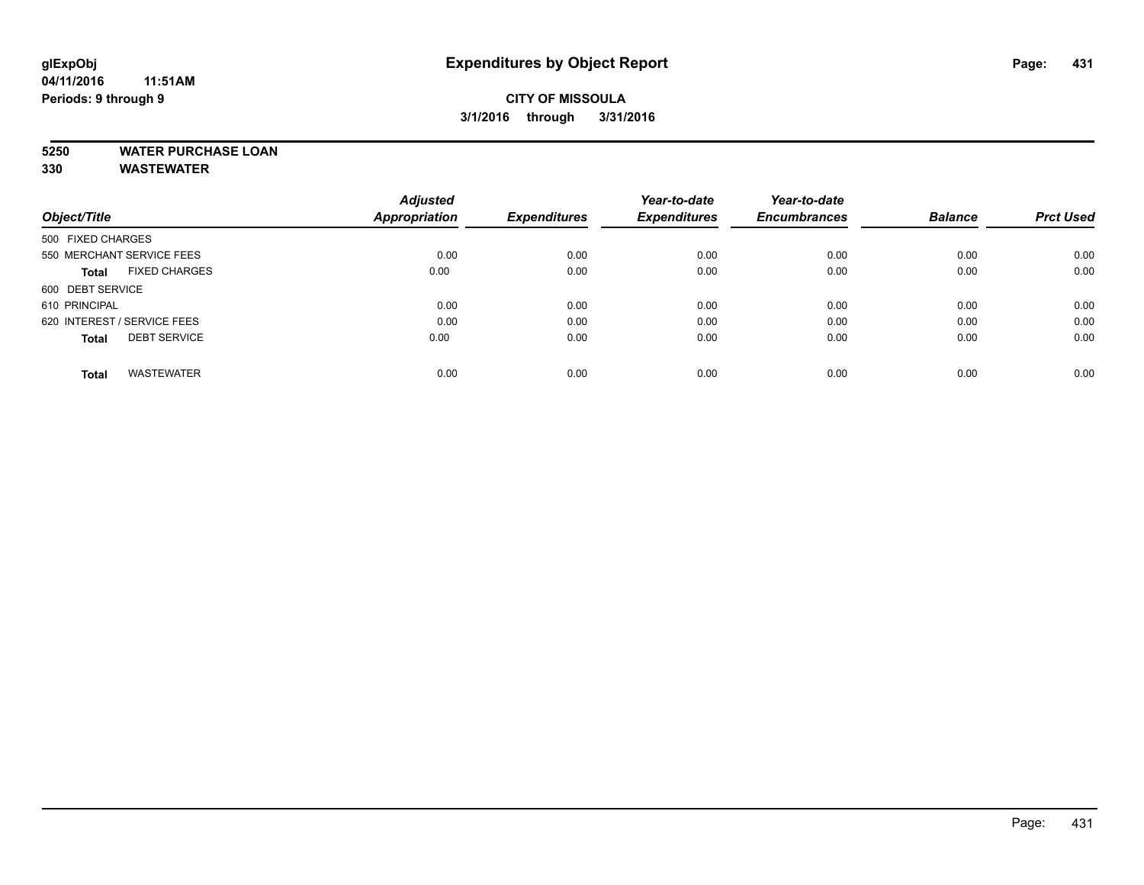## **CITY OF MISSOULA 3/1/2016 through 3/31/2016**

## **5250 WATER PURCHASE LOAN**

**330 WASTEWATER**

|                                      | <b>Adjusted</b> |                     | Year-to-date        | Year-to-date        |                |                  |
|--------------------------------------|-----------------|---------------------|---------------------|---------------------|----------------|------------------|
| Object/Title                         | Appropriation   | <b>Expenditures</b> | <b>Expenditures</b> | <b>Encumbrances</b> | <b>Balance</b> | <b>Prct Used</b> |
| 500 FIXED CHARGES                    |                 |                     |                     |                     |                |                  |
| 550 MERCHANT SERVICE FEES            | 0.00            | 0.00                | 0.00                | 0.00                | 0.00           | 0.00             |
| <b>FIXED CHARGES</b><br><b>Total</b> | 0.00            | 0.00                | 0.00                | 0.00                | 0.00           | 0.00             |
| 600 DEBT SERVICE                     |                 |                     |                     |                     |                |                  |
| 610 PRINCIPAL                        | 0.00            | 0.00                | 0.00                | 0.00                | 0.00           | 0.00             |
| 620 INTEREST / SERVICE FEES          | 0.00            | 0.00                | 0.00                | 0.00                | 0.00           | 0.00             |
| <b>DEBT SERVICE</b><br><b>Total</b>  | 0.00            | 0.00                | 0.00                | 0.00                | 0.00           | 0.00             |
| <b>WASTEWATER</b><br><b>Total</b>    | 0.00            | 0.00                | 0.00                | 0.00                | 0.00           | 0.00             |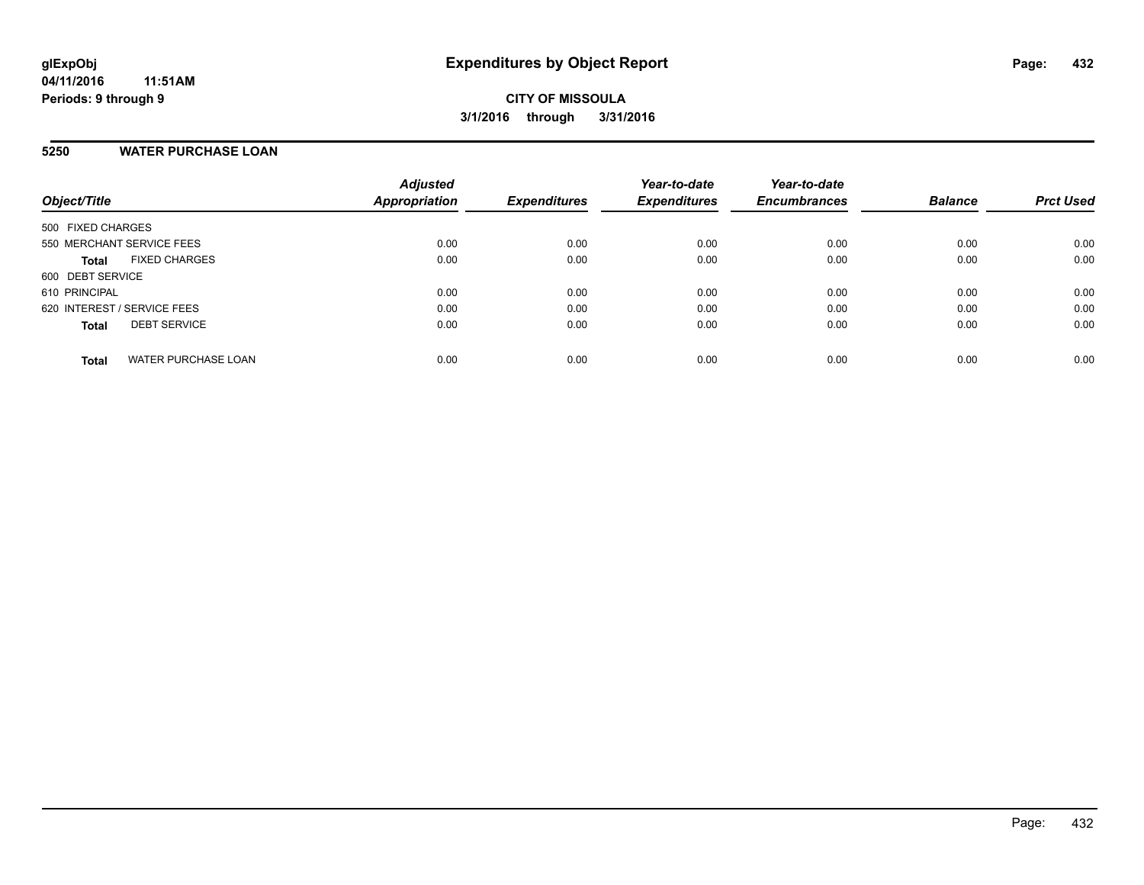#### **5250 WATER PURCHASE LOAN**

| Object/Title                               | <b>Adjusted</b><br>Appropriation | <b>Expenditures</b> | Year-to-date<br><b>Expenditures</b> | Year-to-date<br><b>Encumbrances</b> | <b>Balance</b> | <b>Prct Used</b> |
|--------------------------------------------|----------------------------------|---------------------|-------------------------------------|-------------------------------------|----------------|------------------|
| 500 FIXED CHARGES                          |                                  |                     |                                     |                                     |                |                  |
| 550 MERCHANT SERVICE FEES                  | 0.00                             | 0.00                | 0.00                                | 0.00                                | 0.00           | 0.00             |
| <b>FIXED CHARGES</b><br><b>Total</b>       | 0.00                             | 0.00                | 0.00                                | 0.00                                | 0.00           | 0.00             |
| 600 DEBT SERVICE                           |                                  |                     |                                     |                                     |                |                  |
| 610 PRINCIPAL                              | 0.00                             | 0.00                | 0.00                                | 0.00                                | 0.00           | 0.00             |
| 620 INTEREST / SERVICE FEES                | 0.00                             | 0.00                | 0.00                                | 0.00                                | 0.00           | 0.00             |
| <b>DEBT SERVICE</b><br><b>Total</b>        | 0.00                             | 0.00                | 0.00                                | 0.00                                | 0.00           | 0.00             |
|                                            |                                  |                     |                                     |                                     |                |                  |
| <b>WATER PURCHASE LOAN</b><br><b>Total</b> | 0.00                             | 0.00                | 0.00                                | 0.00                                | 0.00           | 0.00             |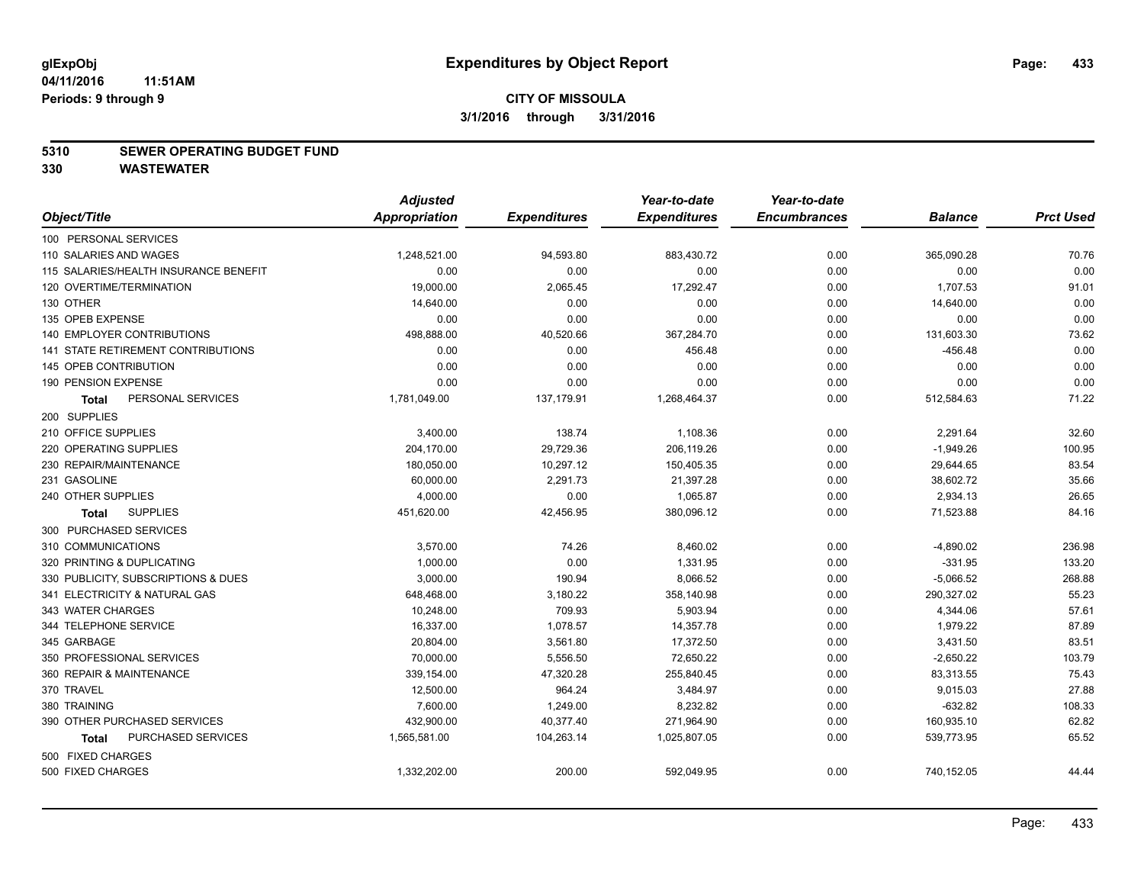#### **5310 SEWER OPERATING BUDGET FUND**

|                                       | <b>Adjusted</b> |                     | Year-to-date        | Year-to-date        |                |                  |
|---------------------------------------|-----------------|---------------------|---------------------|---------------------|----------------|------------------|
| Object/Title                          | Appropriation   | <b>Expenditures</b> | <b>Expenditures</b> | <b>Encumbrances</b> | <b>Balance</b> | <b>Prct Used</b> |
| 100 PERSONAL SERVICES                 |                 |                     |                     |                     |                |                  |
| 110 SALARIES AND WAGES                | 1,248,521.00    | 94,593.80           | 883,430.72          | 0.00                | 365,090.28     | 70.76            |
| 115 SALARIES/HEALTH INSURANCE BENEFIT | 0.00            | 0.00                | 0.00                | 0.00                | 0.00           | 0.00             |
| 120 OVERTIME/TERMINATION              | 19,000.00       | 2,065.45            | 17,292.47           | 0.00                | 1,707.53       | 91.01            |
| 130 OTHER                             | 14,640.00       | 0.00                | 0.00                | 0.00                | 14,640.00      | 0.00             |
| 135 OPEB EXPENSE                      | 0.00            | 0.00                | 0.00                | 0.00                | 0.00           | 0.00             |
| 140 EMPLOYER CONTRIBUTIONS            | 498,888.00      | 40,520.66           | 367,284.70          | 0.00                | 131,603.30     | 73.62            |
| 141 STATE RETIREMENT CONTRIBUTIONS    | 0.00            | 0.00                | 456.48              | 0.00                | $-456.48$      | 0.00             |
| 145 OPEB CONTRIBUTION                 | 0.00            | 0.00                | 0.00                | 0.00                | 0.00           | 0.00             |
| 190 PENSION EXPENSE                   | 0.00            | 0.00                | 0.00                | 0.00                | 0.00           | 0.00             |
| PERSONAL SERVICES<br><b>Total</b>     | 1,781,049.00    | 137,179.91          | 1,268,464.37        | 0.00                | 512,584.63     | 71.22            |
| 200 SUPPLIES                          |                 |                     |                     |                     |                |                  |
| 210 OFFICE SUPPLIES                   | 3,400.00        | 138.74              | 1,108.36            | 0.00                | 2,291.64       | 32.60            |
| 220 OPERATING SUPPLIES                | 204,170.00      | 29,729.36           | 206,119.26          | 0.00                | $-1,949.26$    | 100.95           |
| 230 REPAIR/MAINTENANCE                | 180,050.00      | 10,297.12           | 150,405.35          | 0.00                | 29,644.65      | 83.54            |
| 231 GASOLINE                          | 60,000.00       | 2,291.73            | 21,397.28           | 0.00                | 38,602.72      | 35.66            |
| 240 OTHER SUPPLIES                    | 4,000.00        | 0.00                | 1,065.87            | 0.00                | 2,934.13       | 26.65            |
| <b>SUPPLIES</b><br>Total              | 451,620.00      | 42,456.95           | 380,096.12          | 0.00                | 71,523.88      | 84.16            |
| 300 PURCHASED SERVICES                |                 |                     |                     |                     |                |                  |
| 310 COMMUNICATIONS                    | 3,570.00        | 74.26               | 8,460.02            | 0.00                | $-4,890.02$    | 236.98           |
| 320 PRINTING & DUPLICATING            | 1,000.00        | 0.00                | 1,331.95            | 0.00                | $-331.95$      | 133.20           |
| 330 PUBLICITY, SUBSCRIPTIONS & DUES   | 3,000.00        | 190.94              | 8,066.52            | 0.00                | $-5,066.52$    | 268.88           |
| 341 ELECTRICITY & NATURAL GAS         | 648,468.00      | 3,180.22            | 358,140.98          | 0.00                | 290,327.02     | 55.23            |
| 343 WATER CHARGES                     | 10,248.00       | 709.93              | 5,903.94            | 0.00                | 4,344.06       | 57.61            |
| 344 TELEPHONE SERVICE                 | 16,337.00       | 1,078.57            | 14,357.78           | 0.00                | 1,979.22       | 87.89            |
| 345 GARBAGE                           | 20,804.00       | 3,561.80            | 17,372.50           | 0.00                | 3,431.50       | 83.51            |
| 350 PROFESSIONAL SERVICES             | 70,000.00       | 5,556.50            | 72,650.22           | 0.00                | $-2,650.22$    | 103.79           |
| 360 REPAIR & MAINTENANCE              | 339,154.00      | 47,320.28           | 255,840.45          | 0.00                | 83,313.55      | 75.43            |
| 370 TRAVEL                            | 12,500.00       | 964.24              | 3,484.97            | 0.00                | 9,015.03       | 27.88            |
| 380 TRAINING                          | 7,600.00        | 1,249.00            | 8,232.82            | 0.00                | $-632.82$      | 108.33           |
| 390 OTHER PURCHASED SERVICES          | 432,900.00      | 40,377.40           | 271,964.90          | 0.00                | 160,935.10     | 62.82            |
| PURCHASED SERVICES<br>Total           | 1,565,581.00    | 104,263.14          | 1,025,807.05        | 0.00                | 539,773.95     | 65.52            |
| 500 FIXED CHARGES                     |                 |                     |                     |                     |                |                  |
| 500 FIXED CHARGES                     | 1,332,202.00    | 200.00              | 592,049.95          | 0.00                | 740,152.05     | 44.44            |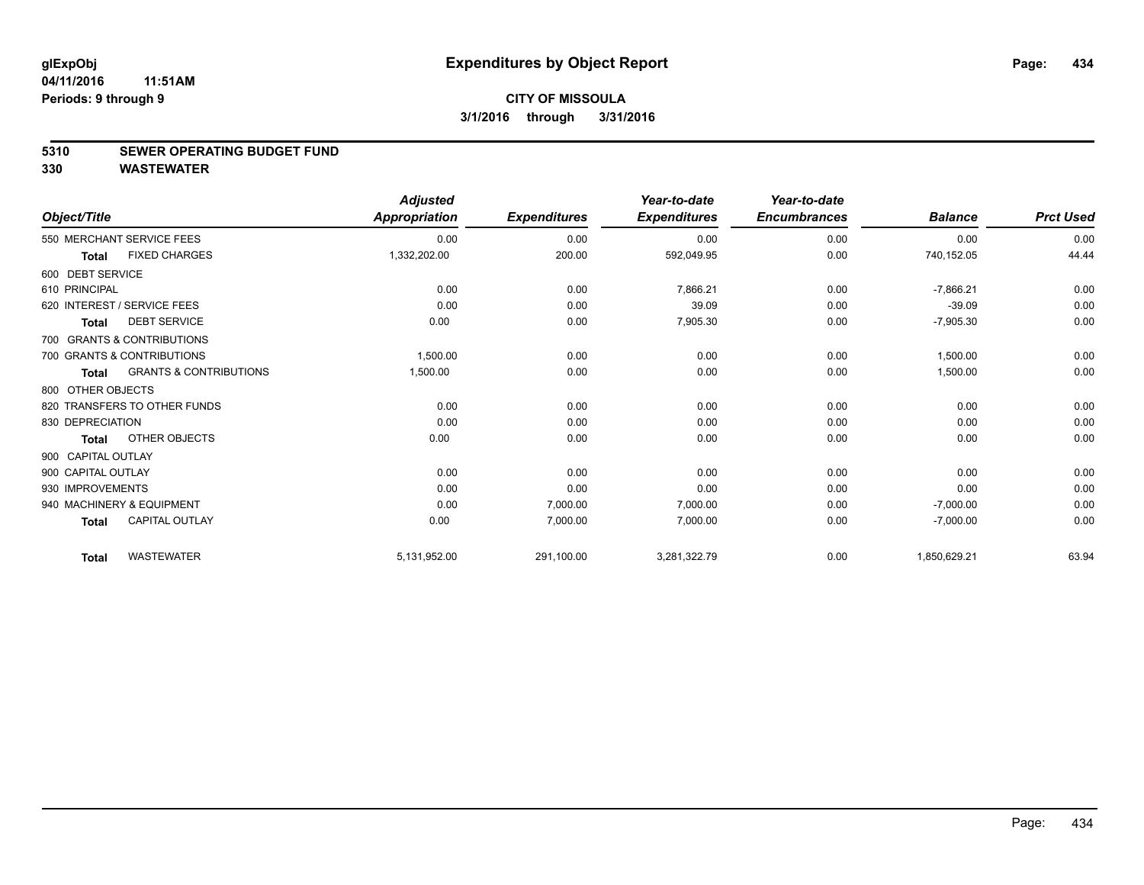#### **5310 SEWER OPERATING BUDGET FUND**

| Object/Title       |                                   | <b>Adjusted</b><br><b>Appropriation</b> | <b>Expenditures</b> | Year-to-date<br><b>Expenditures</b> | Year-to-date<br><b>Encumbrances</b> | <b>Balance</b> | <b>Prct Used</b> |
|--------------------|-----------------------------------|-----------------------------------------|---------------------|-------------------------------------|-------------------------------------|----------------|------------------|
|                    | 550 MERCHANT SERVICE FEES         | 0.00                                    | 0.00                | 0.00                                | 0.00                                | 0.00           | 0.00             |
| <b>Total</b>       | <b>FIXED CHARGES</b>              | 1,332,202.00                            | 200.00              | 592,049.95                          | 0.00                                | 740,152.05     | 44.44            |
| 600 DEBT SERVICE   |                                   |                                         |                     |                                     |                                     |                |                  |
| 610 PRINCIPAL      |                                   | 0.00                                    | 0.00                | 7,866.21                            | 0.00                                | $-7,866.21$    | 0.00             |
|                    | 620 INTEREST / SERVICE FEES       | 0.00                                    | 0.00                | 39.09                               | 0.00                                | $-39.09$       | 0.00             |
| <b>Total</b>       | <b>DEBT SERVICE</b>               | 0.00                                    | 0.00                | 7,905.30                            | 0.00                                | $-7,905.30$    | 0.00             |
|                    | 700 GRANTS & CONTRIBUTIONS        |                                         |                     |                                     |                                     |                |                  |
|                    | 700 GRANTS & CONTRIBUTIONS        | 1,500.00                                | 0.00                | 0.00                                | 0.00                                | 1,500.00       | 0.00             |
| <b>Total</b>       | <b>GRANTS &amp; CONTRIBUTIONS</b> | 1,500.00                                | 0.00                | 0.00                                | 0.00                                | 1,500.00       | 0.00             |
| 800 OTHER OBJECTS  |                                   |                                         |                     |                                     |                                     |                |                  |
|                    | 820 TRANSFERS TO OTHER FUNDS      | 0.00                                    | 0.00                | 0.00                                | 0.00                                | 0.00           | 0.00             |
| 830 DEPRECIATION   |                                   | 0.00                                    | 0.00                | 0.00                                | 0.00                                | 0.00           | 0.00             |
| <b>Total</b>       | OTHER OBJECTS                     | 0.00                                    | 0.00                | 0.00                                | 0.00                                | 0.00           | 0.00             |
| 900 CAPITAL OUTLAY |                                   |                                         |                     |                                     |                                     |                |                  |
| 900 CAPITAL OUTLAY |                                   | 0.00                                    | 0.00                | 0.00                                | 0.00                                | 0.00           | 0.00             |
| 930 IMPROVEMENTS   |                                   | 0.00                                    | 0.00                | 0.00                                | 0.00                                | 0.00           | 0.00             |
|                    | 940 MACHINERY & EQUIPMENT         | 0.00                                    | 7,000.00            | 7,000.00                            | 0.00                                | $-7,000.00$    | 0.00             |
| <b>Total</b>       | <b>CAPITAL OUTLAY</b>             | 0.00                                    | 7,000.00            | 7,000.00                            | 0.00                                | $-7,000.00$    | 0.00             |
| <b>Total</b>       | <b>WASTEWATER</b>                 | 5,131,952.00                            | 291,100.00          | 3,281,322.79                        | 0.00                                | 1,850,629.21   | 63.94            |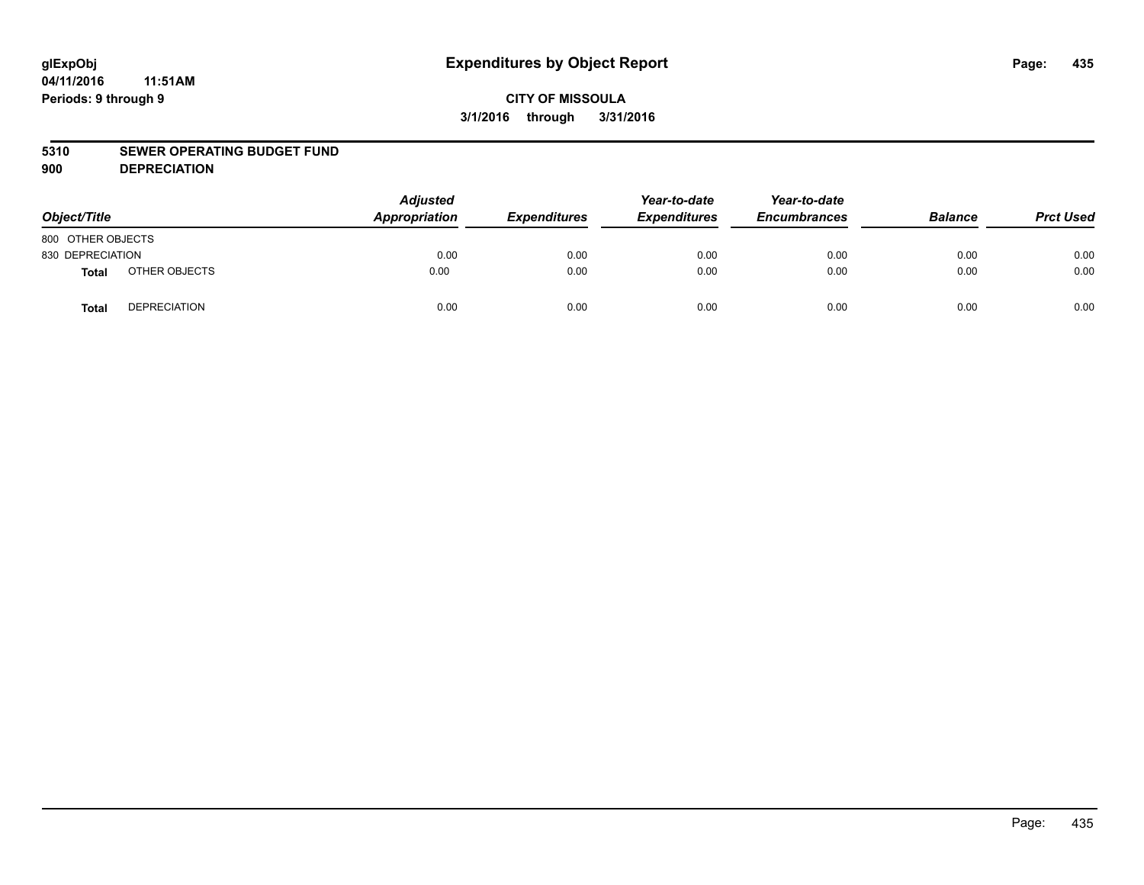# **glExpObj Expenditures by Object Report Page: 435**

# **CITY OF MISSOULA 3/1/2016 through 3/31/2016**

#### **5310 SEWER OPERATING BUDGET FUND**

**900 DEPRECIATION**

| Object/Title      |                     | <b>Adjusted</b><br>Appropriation | <b>Expenditures</b> | Year-to-date<br><b>Expenditures</b> | Year-to-date<br><b>Encumbrances</b> | <b>Balance</b> | <b>Prct Used</b> |
|-------------------|---------------------|----------------------------------|---------------------|-------------------------------------|-------------------------------------|----------------|------------------|
| 800 OTHER OBJECTS |                     |                                  |                     |                                     |                                     |                |                  |
| 830 DEPRECIATION  |                     | 0.00                             | 0.00                | 0.00                                | 0.00                                | 0.00           | 0.00             |
| <b>Total</b>      | OTHER OBJECTS       | 0.00                             | 0.00                | 0.00                                | 0.00                                | 0.00           | 0.00             |
| <b>Total</b>      | <b>DEPRECIATION</b> | 0.00                             | 0.00                | 0.00                                | 0.00                                | 0.00           | 0.00             |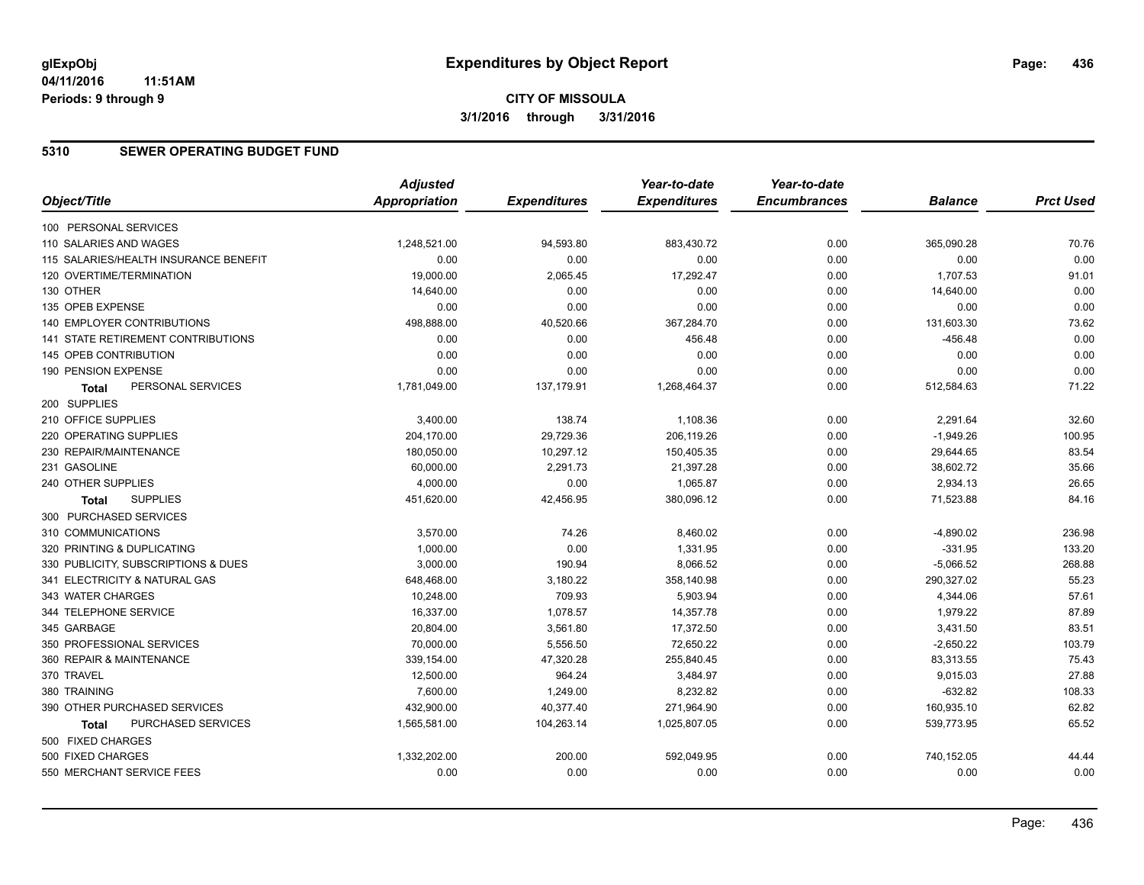### **5310 SEWER OPERATING BUDGET FUND**

|                                           | <b>Adjusted</b>      |                     | Year-to-date        | Year-to-date        |                |                  |
|-------------------------------------------|----------------------|---------------------|---------------------|---------------------|----------------|------------------|
| Object/Title                              | <b>Appropriation</b> | <b>Expenditures</b> | <b>Expenditures</b> | <b>Encumbrances</b> | <b>Balance</b> | <b>Prct Used</b> |
| 100 PERSONAL SERVICES                     |                      |                     |                     |                     |                |                  |
| 110 SALARIES AND WAGES                    | 1,248,521.00         | 94,593.80           | 883,430.72          | 0.00                | 365,090.28     | 70.76            |
| 115 SALARIES/HEALTH INSURANCE BENEFIT     | 0.00                 | 0.00                | 0.00                | 0.00                | 0.00           | 0.00             |
| 120 OVERTIME/TERMINATION                  | 19,000.00            | 2,065.45            | 17,292.47           | 0.00                | 1,707.53       | 91.01            |
| 130 OTHER                                 | 14,640.00            | 0.00                | 0.00                | 0.00                | 14,640.00      | 0.00             |
| 135 OPEB EXPENSE                          | 0.00                 | 0.00                | 0.00                | 0.00                | 0.00           | 0.00             |
| 140 EMPLOYER CONTRIBUTIONS                | 498,888.00           | 40,520.66           | 367,284.70          | 0.00                | 131,603.30     | 73.62            |
| <b>141 STATE RETIREMENT CONTRIBUTIONS</b> | 0.00                 | 0.00                | 456.48              | 0.00                | $-456.48$      | 0.00             |
| 145 OPEB CONTRIBUTION                     | 0.00                 | 0.00                | 0.00                | 0.00                | 0.00           | 0.00             |
| 190 PENSION EXPENSE                       | 0.00                 | 0.00                | 0.00                | 0.00                | 0.00           | 0.00             |
| PERSONAL SERVICES<br>Total                | 1,781,049.00         | 137,179.91          | 1,268,464.37        | 0.00                | 512,584.63     | 71.22            |
| 200 SUPPLIES                              |                      |                     |                     |                     |                |                  |
| 210 OFFICE SUPPLIES                       | 3,400.00             | 138.74              | 1,108.36            | 0.00                | 2,291.64       | 32.60            |
| 220 OPERATING SUPPLIES                    | 204,170.00           | 29,729.36           | 206,119.26          | 0.00                | $-1,949.26$    | 100.95           |
| 230 REPAIR/MAINTENANCE                    | 180,050.00           | 10,297.12           | 150,405.35          | 0.00                | 29,644.65      | 83.54            |
| 231 GASOLINE                              | 60,000.00            | 2,291.73            | 21,397.28           | 0.00                | 38,602.72      | 35.66            |
| 240 OTHER SUPPLIES                        | 4,000.00             | 0.00                | 1,065.87            | 0.00                | 2,934.13       | 26.65            |
| <b>SUPPLIES</b><br><b>Total</b>           | 451,620.00           | 42,456.95           | 380,096.12          | 0.00                | 71,523.88      | 84.16            |
| 300 PURCHASED SERVICES                    |                      |                     |                     |                     |                |                  |
| 310 COMMUNICATIONS                        | 3,570.00             | 74.26               | 8,460.02            | 0.00                | $-4,890.02$    | 236.98           |
| 320 PRINTING & DUPLICATING                | 1,000.00             | 0.00                | 1,331.95            | 0.00                | $-331.95$      | 133.20           |
| 330 PUBLICITY, SUBSCRIPTIONS & DUES       | 3,000.00             | 190.94              | 8,066.52            | 0.00                | $-5,066.52$    | 268.88           |
| 341 ELECTRICITY & NATURAL GAS             | 648,468.00           | 3,180.22            | 358,140.98          | 0.00                | 290,327.02     | 55.23            |
| 343 WATER CHARGES                         | 10,248.00            | 709.93              | 5,903.94            | 0.00                | 4,344.06       | 57.61            |
| 344 TELEPHONE SERVICE                     | 16,337.00            | 1,078.57            | 14,357.78           | 0.00                | 1,979.22       | 87.89            |
| 345 GARBAGE                               | 20,804.00            | 3,561.80            | 17,372.50           | 0.00                | 3,431.50       | 83.51            |
| 350 PROFESSIONAL SERVICES                 | 70,000.00            | 5,556.50            | 72,650.22           | 0.00                | $-2,650.22$    | 103.79           |
| 360 REPAIR & MAINTENANCE                  | 339,154.00           | 47,320.28           | 255,840.45          | 0.00                | 83,313.55      | 75.43            |
| 370 TRAVEL                                | 12,500.00            | 964.24              | 3,484.97            | 0.00                | 9,015.03       | 27.88            |
| 380 TRAINING                              | 7,600.00             | 1,249.00            | 8,232.82            | 0.00                | $-632.82$      | 108.33           |
| 390 OTHER PURCHASED SERVICES              | 432,900.00           | 40,377.40           | 271,964.90          | 0.00                | 160,935.10     | 62.82            |
| PURCHASED SERVICES<br>Total               | 1,565,581.00         | 104,263.14          | 1,025,807.05        | 0.00                | 539,773.95     | 65.52            |
| 500 FIXED CHARGES                         |                      |                     |                     |                     |                |                  |
| 500 FIXED CHARGES                         | 1,332,202.00         | 200.00              | 592,049.95          | 0.00                | 740,152.05     | 44.44            |
| 550 MERCHANT SERVICE FEES                 | 0.00                 | 0.00                | 0.00                | 0.00                | 0.00           | 0.00             |
|                                           |                      |                     |                     |                     |                |                  |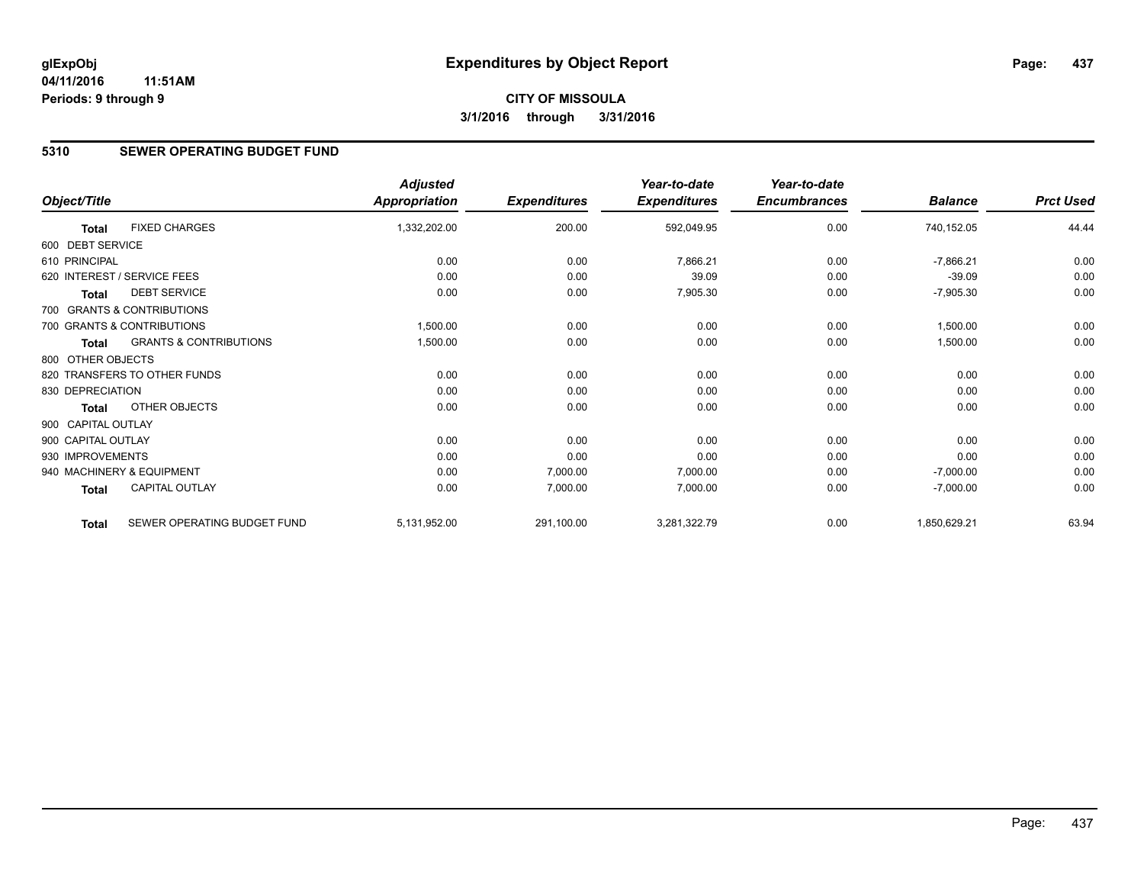# **5310 SEWER OPERATING BUDGET FUND**

|                    |                                   | <b>Adjusted</b>      |                     | Year-to-date        | Year-to-date        |                |                  |
|--------------------|-----------------------------------|----------------------|---------------------|---------------------|---------------------|----------------|------------------|
| Object/Title       |                                   | <b>Appropriation</b> | <b>Expenditures</b> | <b>Expenditures</b> | <b>Encumbrances</b> | <b>Balance</b> | <b>Prct Used</b> |
| <b>Total</b>       | <b>FIXED CHARGES</b>              | 1,332,202.00         | 200.00              | 592,049.95          | 0.00                | 740,152.05     | 44.44            |
| 600 DEBT SERVICE   |                                   |                      |                     |                     |                     |                |                  |
| 610 PRINCIPAL      |                                   | 0.00                 | 0.00                | 7,866.21            | 0.00                | $-7,866.21$    | 0.00             |
|                    | 620 INTEREST / SERVICE FEES       | 0.00                 | 0.00                | 39.09               | 0.00                | $-39.09$       | 0.00             |
| Total              | <b>DEBT SERVICE</b>               | 0.00                 | 0.00                | 7,905.30            | 0.00                | $-7,905.30$    | 0.00             |
|                    | 700 GRANTS & CONTRIBUTIONS        |                      |                     |                     |                     |                |                  |
|                    | 700 GRANTS & CONTRIBUTIONS        | 1,500.00             | 0.00                | 0.00                | 0.00                | 1,500.00       | 0.00             |
| <b>Total</b>       | <b>GRANTS &amp; CONTRIBUTIONS</b> | 1,500.00             | 0.00                | 0.00                | 0.00                | 1,500.00       | 0.00             |
| 800 OTHER OBJECTS  |                                   |                      |                     |                     |                     |                |                  |
|                    | 820 TRANSFERS TO OTHER FUNDS      | 0.00                 | 0.00                | 0.00                | 0.00                | 0.00           | 0.00             |
| 830 DEPRECIATION   |                                   | 0.00                 | 0.00                | 0.00                | 0.00                | 0.00           | 0.00             |
| Total              | OTHER OBJECTS                     | 0.00                 | 0.00                | 0.00                | 0.00                | 0.00           | 0.00             |
| 900 CAPITAL OUTLAY |                                   |                      |                     |                     |                     |                |                  |
| 900 CAPITAL OUTLAY |                                   | 0.00                 | 0.00                | 0.00                | 0.00                | 0.00           | 0.00             |
| 930 IMPROVEMENTS   |                                   | 0.00                 | 0.00                | 0.00                | 0.00                | 0.00           | 0.00             |
|                    | 940 MACHINERY & EQUIPMENT         | 0.00                 | 7,000.00            | 7,000.00            | 0.00                | $-7,000.00$    | 0.00             |
| <b>Total</b>       | <b>CAPITAL OUTLAY</b>             | 0.00                 | 7,000.00            | 7,000.00            | 0.00                | $-7,000.00$    | 0.00             |
| <b>Total</b>       | SEWER OPERATING BUDGET FUND       | 5,131,952.00         | 291,100.00          | 3,281,322.79        | 0.00                | 1,850,629.21   | 63.94            |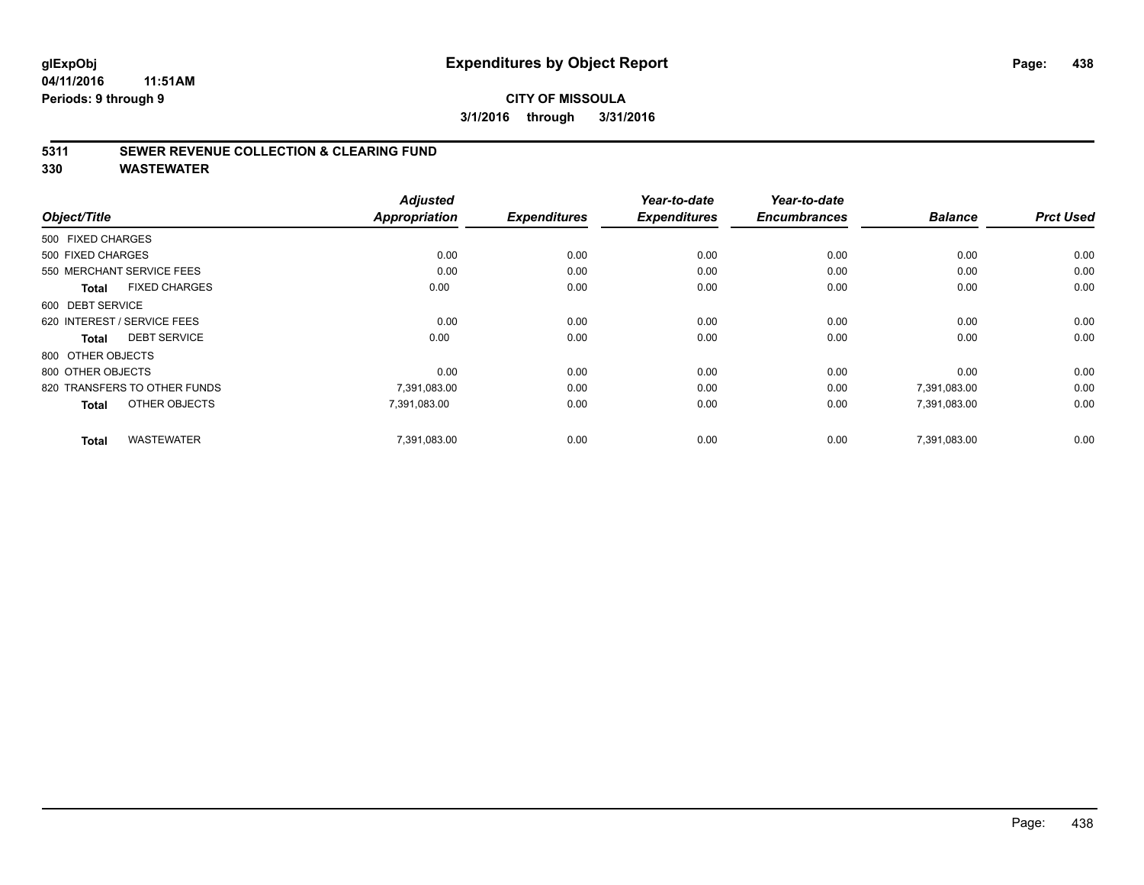### **CITY OF MISSOULA 3/1/2016 through 3/31/2016**

### **5311 SEWER REVENUE COLLECTION & CLEARING FUND**

|                                      | <b>Adjusted</b>      |                     | Year-to-date        | Year-to-date        |                |                  |
|--------------------------------------|----------------------|---------------------|---------------------|---------------------|----------------|------------------|
| Object/Title                         | <b>Appropriation</b> | <b>Expenditures</b> | <b>Expenditures</b> | <b>Encumbrances</b> | <b>Balance</b> | <b>Prct Used</b> |
| 500 FIXED CHARGES                    |                      |                     |                     |                     |                |                  |
| 500 FIXED CHARGES                    | 0.00                 | 0.00                | 0.00                | 0.00                | 0.00           | 0.00             |
| 550 MERCHANT SERVICE FEES            | 0.00                 | 0.00                | 0.00                | 0.00                | 0.00           | 0.00             |
| <b>FIXED CHARGES</b><br><b>Total</b> | 0.00                 | 0.00                | 0.00                | 0.00                | 0.00           | 0.00             |
| 600 DEBT SERVICE                     |                      |                     |                     |                     |                |                  |
| 620 INTEREST / SERVICE FEES          | 0.00                 | 0.00                | 0.00                | 0.00                | 0.00           | 0.00             |
| <b>DEBT SERVICE</b><br><b>Total</b>  | 0.00                 | 0.00                | 0.00                | 0.00                | 0.00           | 0.00             |
| 800 OTHER OBJECTS                    |                      |                     |                     |                     |                |                  |
| 800 OTHER OBJECTS                    | 0.00                 | 0.00                | 0.00                | 0.00                | 0.00           | 0.00             |
| 820 TRANSFERS TO OTHER FUNDS         | 7,391,083.00         | 0.00                | 0.00                | 0.00                | 7,391,083.00   | 0.00             |
| OTHER OBJECTS<br><b>Total</b>        | 7,391,083.00         | 0.00                | 0.00                | 0.00                | 7,391,083.00   | 0.00             |
| <b>WASTEWATER</b><br><b>Total</b>    | 7,391,083.00         | 0.00                | 0.00                | 0.00                | 7.391.083.00   | 0.00             |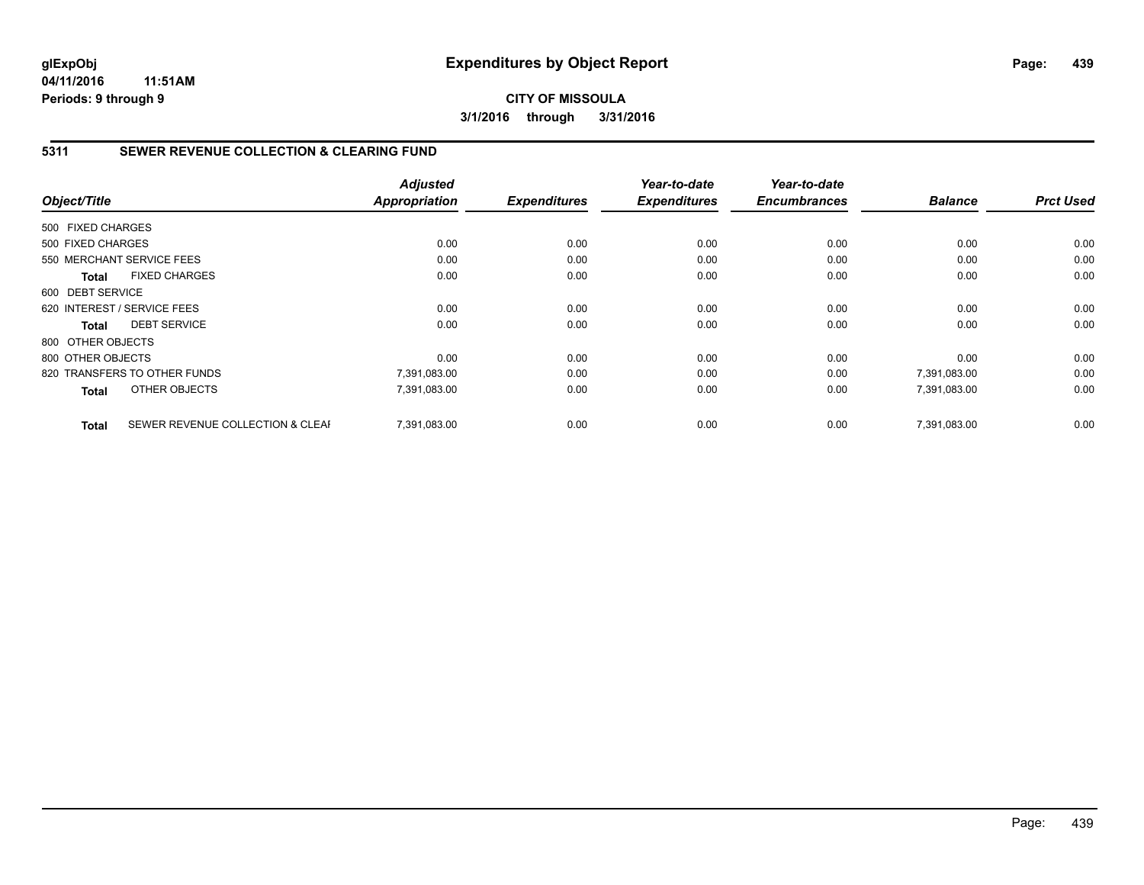**CITY OF MISSOULA 3/1/2016 through 3/31/2016**

### **5311 SEWER REVENUE COLLECTION & CLEARING FUND**

|                   |                                  | <b>Adjusted</b> |                     | Year-to-date        | Year-to-date<br><b>Encumbrances</b> |                | <b>Prct Used</b> |
|-------------------|----------------------------------|-----------------|---------------------|---------------------|-------------------------------------|----------------|------------------|
| Object/Title      |                                  | Appropriation   | <b>Expenditures</b> | <b>Expenditures</b> |                                     | <b>Balance</b> |                  |
| 500 FIXED CHARGES |                                  |                 |                     |                     |                                     |                |                  |
| 500 FIXED CHARGES |                                  | 0.00            | 0.00                | 0.00                | 0.00                                | 0.00           | 0.00             |
|                   | 550 MERCHANT SERVICE FEES        | 0.00            | 0.00                | 0.00                | 0.00                                | 0.00           | 0.00             |
| Total             | <b>FIXED CHARGES</b>             | 0.00            | 0.00                | 0.00                | 0.00                                | 0.00           | 0.00             |
| 600 DEBT SERVICE  |                                  |                 |                     |                     |                                     |                |                  |
|                   | 620 INTEREST / SERVICE FEES      | 0.00            | 0.00                | 0.00                | 0.00                                | 0.00           | 0.00             |
| Total             | <b>DEBT SERVICE</b>              | 0.00            | 0.00                | 0.00                | 0.00                                | 0.00           | 0.00             |
| 800 OTHER OBJECTS |                                  |                 |                     |                     |                                     |                |                  |
| 800 OTHER OBJECTS |                                  | 0.00            | 0.00                | 0.00                | 0.00                                | 0.00           | 0.00             |
|                   | 820 TRANSFERS TO OTHER FUNDS     | 7,391,083.00    | 0.00                | 0.00                | 0.00                                | 7,391,083.00   | 0.00             |
| <b>Total</b>      | OTHER OBJECTS                    | 7,391,083.00    | 0.00                | 0.00                | 0.00                                | 7,391,083.00   | 0.00             |
| <b>Total</b>      | SEWER REVENUE COLLECTION & CLEAF | 7.391.083.00    | 0.00                | 0.00                | 0.00                                | 7,391,083.00   | 0.00             |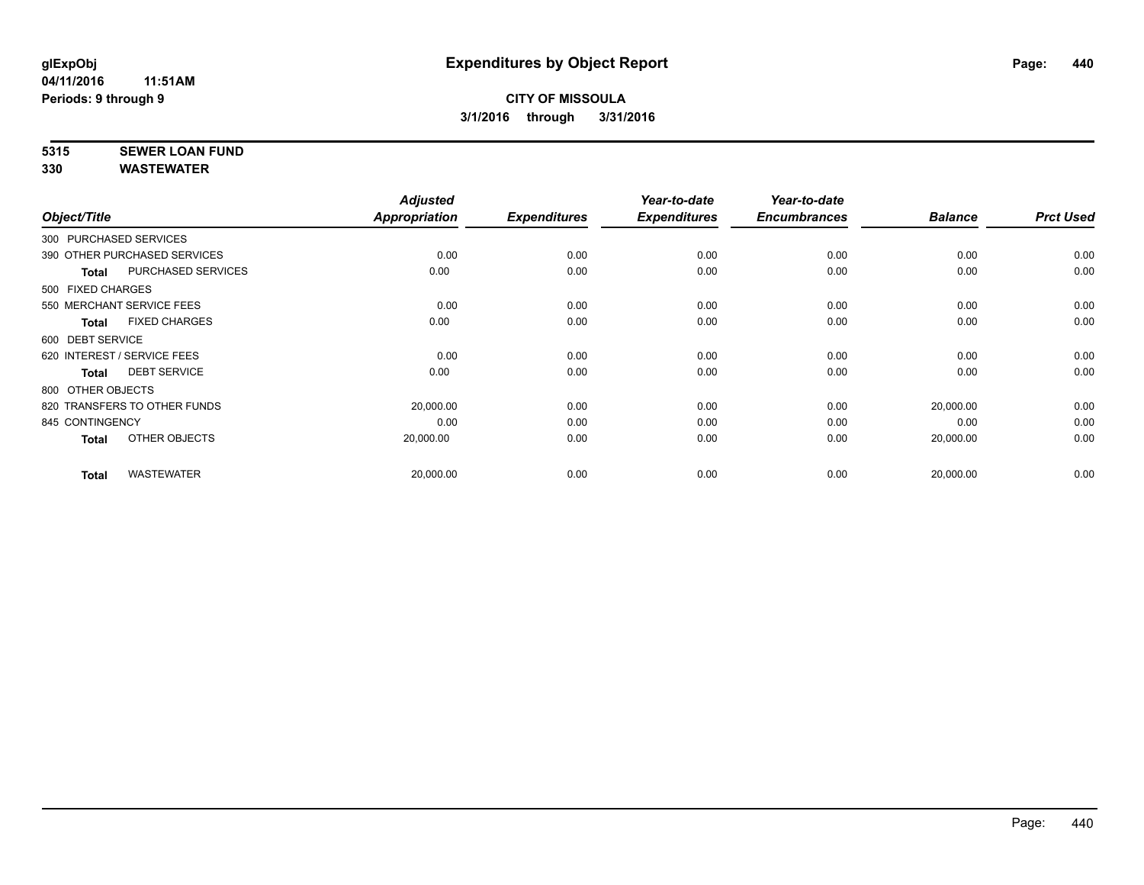# **5315 SEWER LOAN FUND**

|                                     | <b>Adjusted</b> |                     | Year-to-date        | Year-to-date        |                |                  |
|-------------------------------------|-----------------|---------------------|---------------------|---------------------|----------------|------------------|
| Object/Title                        | Appropriation   | <b>Expenditures</b> | <b>Expenditures</b> | <b>Encumbrances</b> | <b>Balance</b> | <b>Prct Used</b> |
| 300 PURCHASED SERVICES              |                 |                     |                     |                     |                |                  |
| 390 OTHER PURCHASED SERVICES        | 0.00            | 0.00                | 0.00                | 0.00                | 0.00           | 0.00             |
| PURCHASED SERVICES<br><b>Total</b>  | 0.00            | 0.00                | 0.00                | 0.00                | 0.00           | 0.00             |
| 500 FIXED CHARGES                   |                 |                     |                     |                     |                |                  |
| 550 MERCHANT SERVICE FEES           | 0.00            | 0.00                | 0.00                | 0.00                | 0.00           | 0.00             |
| <b>FIXED CHARGES</b><br>Total       | 0.00            | 0.00                | 0.00                | 0.00                | 0.00           | 0.00             |
| 600 DEBT SERVICE                    |                 |                     |                     |                     |                |                  |
| 620 INTEREST / SERVICE FEES         | 0.00            | 0.00                | 0.00                | 0.00                | 0.00           | 0.00             |
| <b>DEBT SERVICE</b><br><b>Total</b> | 0.00            | 0.00                | 0.00                | 0.00                | 0.00           | 0.00             |
| 800 OTHER OBJECTS                   |                 |                     |                     |                     |                |                  |
| 820 TRANSFERS TO OTHER FUNDS        | 20,000.00       | 0.00                | 0.00                | 0.00                | 20,000.00      | 0.00             |
| 845 CONTINGENCY                     | 0.00            | 0.00                | 0.00                | 0.00                | 0.00           | 0.00             |
| OTHER OBJECTS<br>Total              | 20,000.00       | 0.00                | 0.00                | 0.00                | 20,000.00      | 0.00             |
| <b>WASTEWATER</b><br><b>Total</b>   | 20,000.00       | 0.00                | 0.00                | 0.00                | 20,000.00      | 0.00             |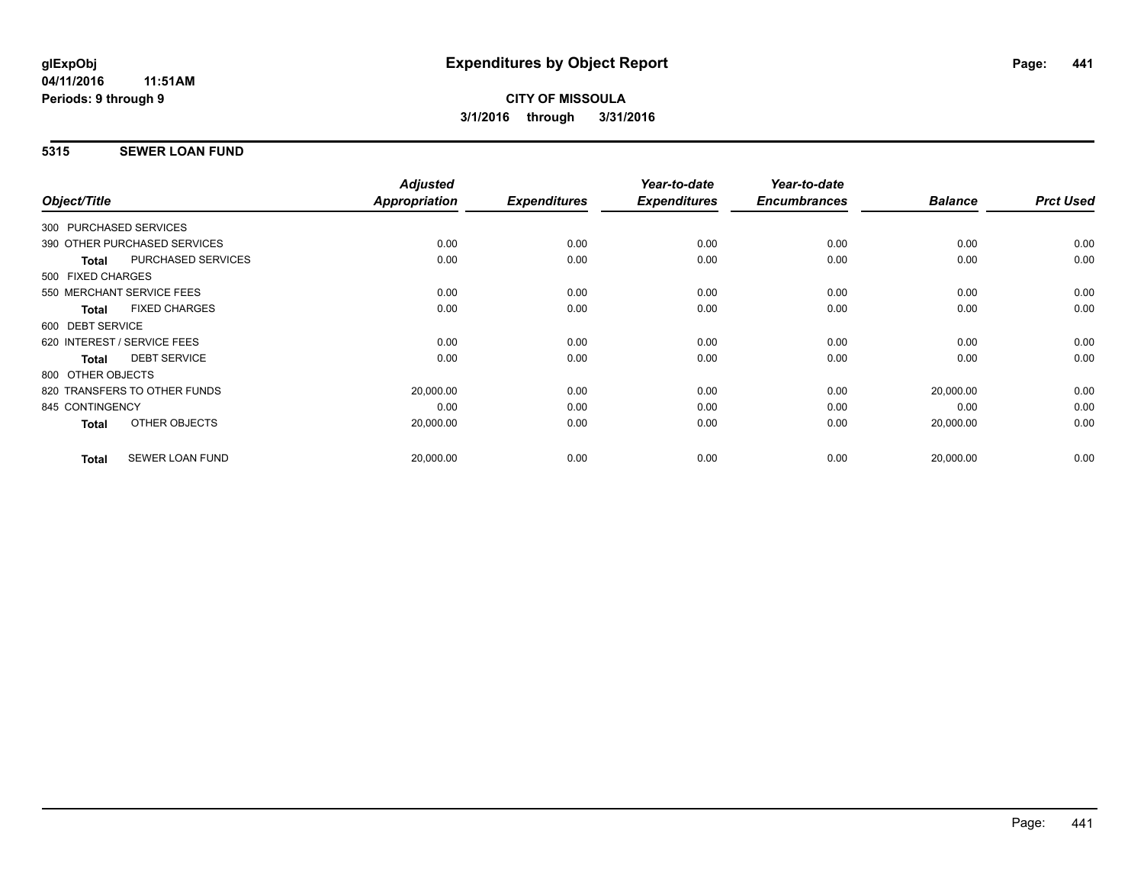# **5315 SEWER LOAN FUND**

| Object/Title     |                              | <b>Adjusted</b><br>Appropriation | <b>Expenditures</b> | Year-to-date<br><b>Expenditures</b> | Year-to-date<br><b>Encumbrances</b> | <b>Balance</b> | <b>Prct Used</b> |
|------------------|------------------------------|----------------------------------|---------------------|-------------------------------------|-------------------------------------|----------------|------------------|
|                  |                              |                                  |                     |                                     |                                     |                |                  |
|                  | 300 PURCHASED SERVICES       |                                  |                     |                                     |                                     |                |                  |
|                  | 390 OTHER PURCHASED SERVICES | 0.00                             | 0.00                | 0.00                                | 0.00                                | 0.00           | 0.00             |
| <b>Total</b>     | <b>PURCHASED SERVICES</b>    | 0.00                             | 0.00                | 0.00                                | 0.00                                | 0.00           | 0.00             |
|                  | 500 FIXED CHARGES            |                                  |                     |                                     |                                     |                |                  |
|                  | 550 MERCHANT SERVICE FEES    | 0.00                             | 0.00                | 0.00                                | 0.00                                | 0.00           | 0.00             |
| <b>Total</b>     | <b>FIXED CHARGES</b>         | 0.00                             | 0.00                | 0.00                                | 0.00                                | 0.00           | 0.00             |
| 600 DEBT SERVICE |                              |                                  |                     |                                     |                                     |                |                  |
|                  | 620 INTEREST / SERVICE FEES  | 0.00                             | 0.00                | 0.00                                | 0.00                                | 0.00           | 0.00             |
| <b>Total</b>     | <b>DEBT SERVICE</b>          | 0.00                             | 0.00                | 0.00                                | 0.00                                | 0.00           | 0.00             |
|                  | 800 OTHER OBJECTS            |                                  |                     |                                     |                                     |                |                  |
|                  | 820 TRANSFERS TO OTHER FUNDS | 20,000.00                        | 0.00                | 0.00                                | 0.00                                | 20,000.00      | 0.00             |
| 845 CONTINGENCY  |                              | 0.00                             | 0.00                | 0.00                                | 0.00                                | 0.00           | 0.00             |
| Total            | OTHER OBJECTS                | 20,000.00                        | 0.00                | 0.00                                | 0.00                                | 20,000.00      | 0.00             |
|                  |                              |                                  |                     |                                     |                                     |                |                  |
| <b>Total</b>     | <b>SEWER LOAN FUND</b>       | 20,000.00                        | 0.00                | 0.00                                | 0.00                                | 20,000.00      | 0.00             |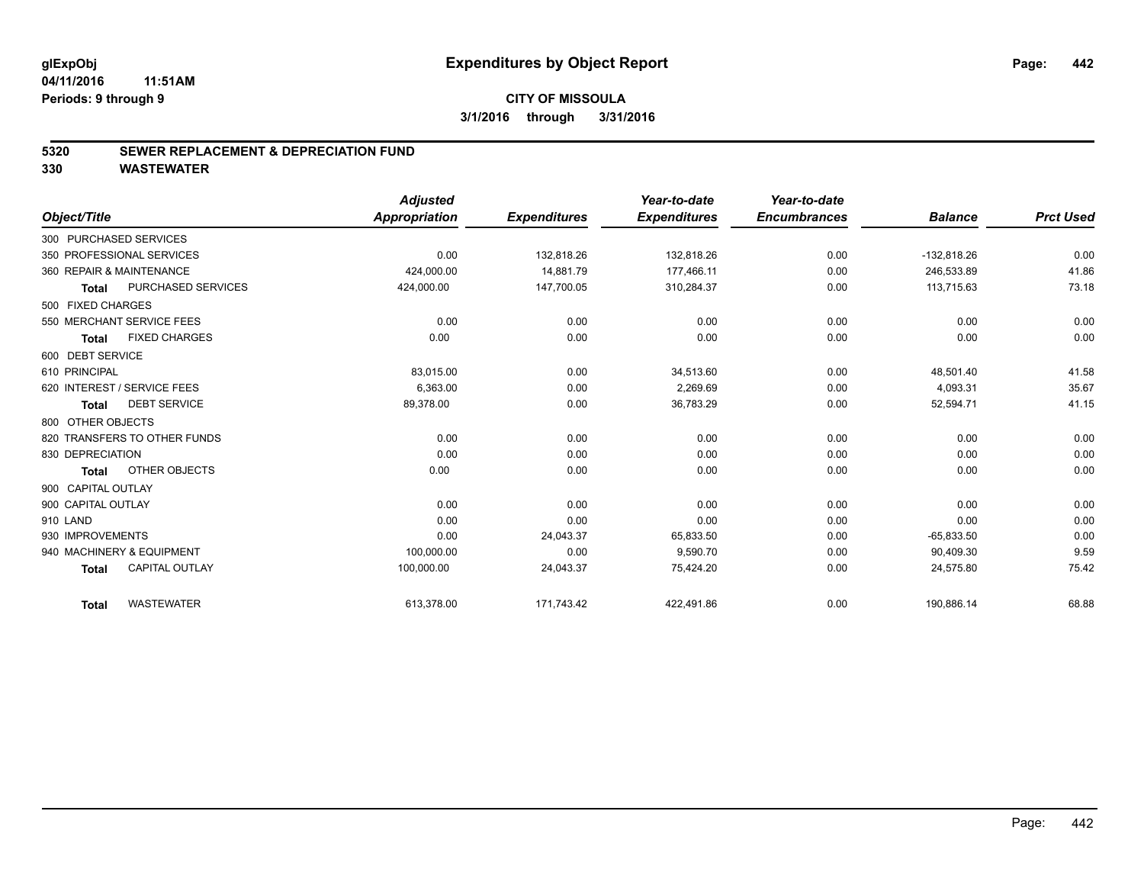### **CITY OF MISSOULA 3/1/2016 through 3/31/2016**

### **5320 SEWER REPLACEMENT & DEPRECIATION FUND**

|                                       | <b>Adjusted</b> |                     | Year-to-date        | Year-to-date        |                |                  |
|---------------------------------------|-----------------|---------------------|---------------------|---------------------|----------------|------------------|
| Object/Title                          | Appropriation   | <b>Expenditures</b> | <b>Expenditures</b> | <b>Encumbrances</b> | <b>Balance</b> | <b>Prct Used</b> |
| 300 PURCHASED SERVICES                |                 |                     |                     |                     |                |                  |
| 350 PROFESSIONAL SERVICES             | 0.00            | 132,818.26          | 132,818.26          | 0.00                | $-132,818.26$  | 0.00             |
| 360 REPAIR & MAINTENANCE              | 424,000.00      | 14,881.79           | 177,466.11          | 0.00                | 246,533.89     | 41.86            |
| PURCHASED SERVICES<br><b>Total</b>    | 424,000.00      | 147,700.05          | 310,284.37          | 0.00                | 113,715.63     | 73.18            |
| 500 FIXED CHARGES                     |                 |                     |                     |                     |                |                  |
| 550 MERCHANT SERVICE FEES             | 0.00            | 0.00                | 0.00                | 0.00                | 0.00           | 0.00             |
| <b>FIXED CHARGES</b><br><b>Total</b>  | 0.00            | 0.00                | 0.00                | 0.00                | 0.00           | 0.00             |
| 600 DEBT SERVICE                      |                 |                     |                     |                     |                |                  |
| 610 PRINCIPAL                         | 83,015.00       | 0.00                | 34,513.60           | 0.00                | 48,501.40      | 41.58            |
| 620 INTEREST / SERVICE FEES           | 6,363.00        | 0.00                | 2,269.69            | 0.00                | 4,093.31       | 35.67            |
| <b>DEBT SERVICE</b><br><b>Total</b>   | 89,378.00       | 0.00                | 36,783.29           | 0.00                | 52,594.71      | 41.15            |
| 800 OTHER OBJECTS                     |                 |                     |                     |                     |                |                  |
| 820 TRANSFERS TO OTHER FUNDS          | 0.00            | 0.00                | 0.00                | 0.00                | 0.00           | 0.00             |
| 830 DEPRECIATION                      | 0.00            | 0.00                | 0.00                | 0.00                | 0.00           | 0.00             |
| OTHER OBJECTS<br><b>Total</b>         | 0.00            | 0.00                | 0.00                | 0.00                | 0.00           | 0.00             |
| 900 CAPITAL OUTLAY                    |                 |                     |                     |                     |                |                  |
| 900 CAPITAL OUTLAY                    | 0.00            | 0.00                | 0.00                | 0.00                | 0.00           | 0.00             |
| 910 LAND                              | 0.00            | 0.00                | 0.00                | 0.00                | 0.00           | 0.00             |
| 930 IMPROVEMENTS                      | 0.00            | 24,043.37           | 65,833.50           | 0.00                | $-65,833.50$   | 0.00             |
| 940 MACHINERY & EQUIPMENT             | 100,000.00      | 0.00                | 9,590.70            | 0.00                | 90,409.30      | 9.59             |
| <b>CAPITAL OUTLAY</b><br><b>Total</b> | 100,000.00      | 24,043.37           | 75,424.20           | 0.00                | 24,575.80      | 75.42            |
| <b>WASTEWATER</b><br><b>Total</b>     | 613,378.00      | 171.743.42          | 422.491.86          | 0.00                | 190,886.14     | 68.88            |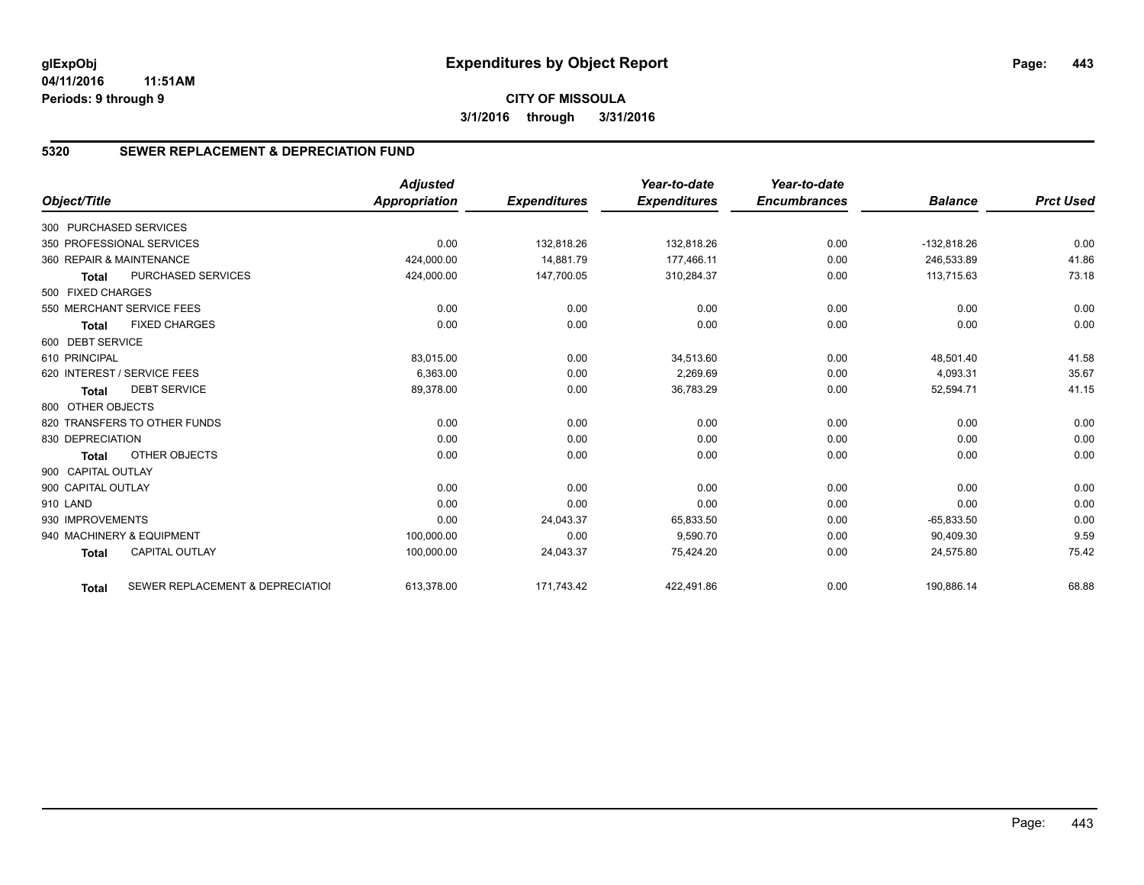# **5320 SEWER REPLACEMENT & DEPRECIATION FUND**

|                        |                                  | <b>Adjusted</b>      |                     | Year-to-date        | Year-to-date        |                |                  |
|------------------------|----------------------------------|----------------------|---------------------|---------------------|---------------------|----------------|------------------|
| Object/Title           |                                  | <b>Appropriation</b> | <b>Expenditures</b> | <b>Expenditures</b> | <b>Encumbrances</b> | <b>Balance</b> | <b>Prct Used</b> |
| 300 PURCHASED SERVICES |                                  |                      |                     |                     |                     |                |                  |
|                        | 350 PROFESSIONAL SERVICES        | 0.00                 | 132,818.26          | 132,818.26          | 0.00                | $-132,818.26$  | 0.00             |
|                        | 360 REPAIR & MAINTENANCE         | 424,000.00           | 14,881.79           | 177,466.11          | 0.00                | 246,533.89     | 41.86            |
| <b>Total</b>           | <b>PURCHASED SERVICES</b>        | 424,000.00           | 147,700.05          | 310,284.37          | 0.00                | 113,715.63     | 73.18            |
| 500 FIXED CHARGES      |                                  |                      |                     |                     |                     |                |                  |
|                        | 550 MERCHANT SERVICE FEES        | 0.00                 | 0.00                | 0.00                | 0.00                | 0.00           | 0.00             |
| <b>Total</b>           | <b>FIXED CHARGES</b>             | 0.00                 | 0.00                | 0.00                | 0.00                | 0.00           | 0.00             |
| 600 DEBT SERVICE       |                                  |                      |                     |                     |                     |                |                  |
| 610 PRINCIPAL          |                                  | 83,015.00            | 0.00                | 34,513.60           | 0.00                | 48,501.40      | 41.58            |
|                        | 620 INTEREST / SERVICE FEES      | 6,363.00             | 0.00                | 2,269.69            | 0.00                | 4,093.31       | 35.67            |
| <b>Total</b>           | <b>DEBT SERVICE</b>              | 89,378.00            | 0.00                | 36,783.29           | 0.00                | 52,594.71      | 41.15            |
| 800 OTHER OBJECTS      |                                  |                      |                     |                     |                     |                |                  |
|                        | 820 TRANSFERS TO OTHER FUNDS     | 0.00                 | 0.00                | 0.00                | 0.00                | 0.00           | 0.00             |
| 830 DEPRECIATION       |                                  | 0.00                 | 0.00                | 0.00                | 0.00                | 0.00           | 0.00             |
| <b>Total</b>           | OTHER OBJECTS                    | 0.00                 | 0.00                | 0.00                | 0.00                | 0.00           | 0.00             |
| 900 CAPITAL OUTLAY     |                                  |                      |                     |                     |                     |                |                  |
| 900 CAPITAL OUTLAY     |                                  | 0.00                 | 0.00                | 0.00                | 0.00                | 0.00           | 0.00             |
| 910 LAND               |                                  | 0.00                 | 0.00                | 0.00                | 0.00                | 0.00           | 0.00             |
| 930 IMPROVEMENTS       |                                  | 0.00                 | 24,043.37           | 65,833.50           | 0.00                | $-65,833.50$   | 0.00             |
|                        | 940 MACHINERY & EQUIPMENT        | 100,000.00           | 0.00                | 9.590.70            | 0.00                | 90.409.30      | 9.59             |
| <b>Total</b>           | <b>CAPITAL OUTLAY</b>            | 100,000.00           | 24,043.37           | 75,424.20           | 0.00                | 24,575.80      | 75.42            |
| <b>Total</b>           | SEWER REPLACEMENT & DEPRECIATION | 613,378.00           | 171,743.42          | 422,491.86          | 0.00                | 190,886.14     | 68.88            |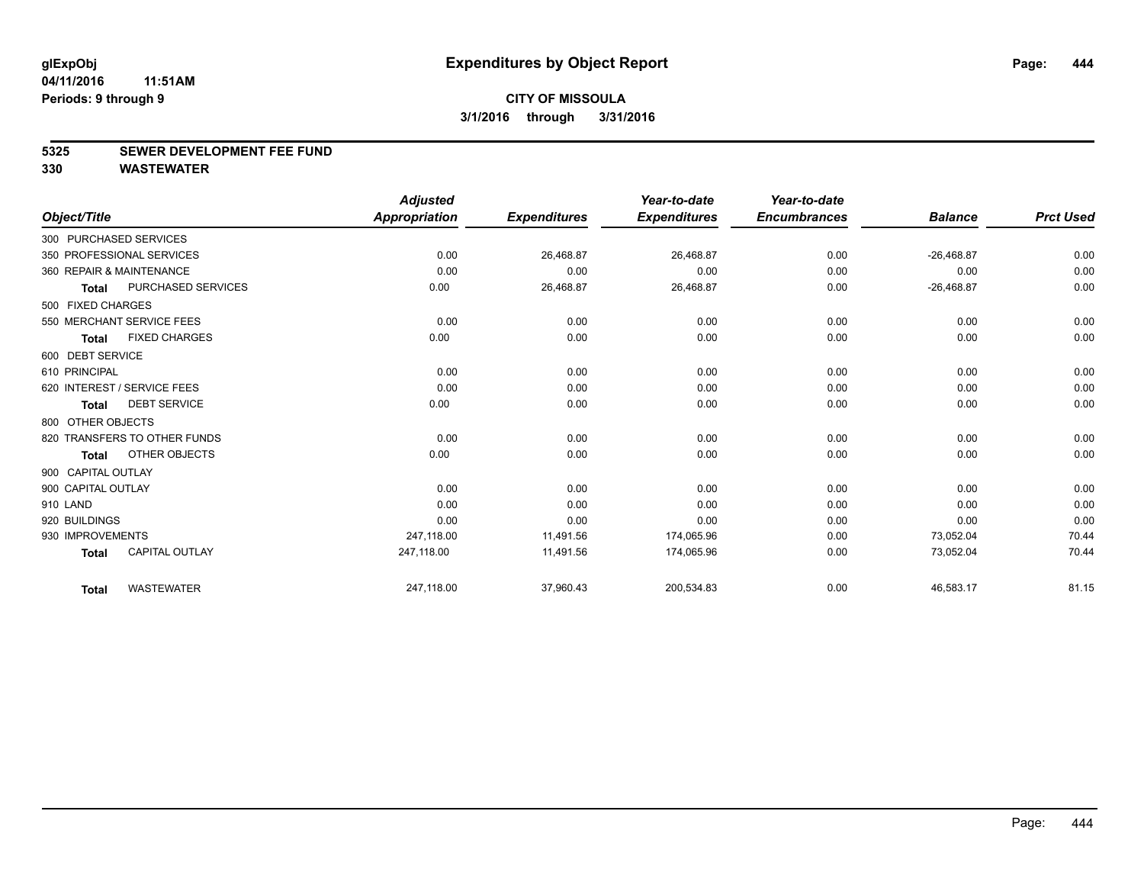#### **5325 SEWER DEVELOPMENT FEE FUND**

|                    |                              | <b>Adjusted</b>      |                     | Year-to-date        | Year-to-date        |                |                  |
|--------------------|------------------------------|----------------------|---------------------|---------------------|---------------------|----------------|------------------|
| Object/Title       |                              | <b>Appropriation</b> | <b>Expenditures</b> | <b>Expenditures</b> | <b>Encumbrances</b> | <b>Balance</b> | <b>Prct Used</b> |
|                    | 300 PURCHASED SERVICES       |                      |                     |                     |                     |                |                  |
|                    | 350 PROFESSIONAL SERVICES    | 0.00                 | 26,468.87           | 26,468.87           | 0.00                | $-26,468.87$   | 0.00             |
|                    | 360 REPAIR & MAINTENANCE     | 0.00                 | 0.00                | 0.00                | 0.00                | 0.00           | 0.00             |
| <b>Total</b>       | PURCHASED SERVICES           | 0.00                 | 26,468.87           | 26,468.87           | 0.00                | $-26,468.87$   | 0.00             |
| 500 FIXED CHARGES  |                              |                      |                     |                     |                     |                |                  |
|                    | 550 MERCHANT SERVICE FEES    | 0.00                 | 0.00                | 0.00                | 0.00                | 0.00           | 0.00             |
| <b>Total</b>       | <b>FIXED CHARGES</b>         | 0.00                 | 0.00                | 0.00                | 0.00                | 0.00           | 0.00             |
| 600 DEBT SERVICE   |                              |                      |                     |                     |                     |                |                  |
| 610 PRINCIPAL      |                              | 0.00                 | 0.00                | 0.00                | 0.00                | 0.00           | 0.00             |
|                    | 620 INTEREST / SERVICE FEES  | 0.00                 | 0.00                | 0.00                | 0.00                | 0.00           | 0.00             |
| <b>Total</b>       | <b>DEBT SERVICE</b>          | 0.00                 | 0.00                | 0.00                | 0.00                | 0.00           | 0.00             |
| 800 OTHER OBJECTS  |                              |                      |                     |                     |                     |                |                  |
|                    | 820 TRANSFERS TO OTHER FUNDS | 0.00                 | 0.00                | 0.00                | 0.00                | 0.00           | 0.00             |
| Total              | OTHER OBJECTS                | 0.00                 | 0.00                | 0.00                | 0.00                | 0.00           | 0.00             |
| 900 CAPITAL OUTLAY |                              |                      |                     |                     |                     |                |                  |
| 900 CAPITAL OUTLAY |                              | 0.00                 | 0.00                | 0.00                | 0.00                | 0.00           | 0.00             |
| 910 LAND           |                              | 0.00                 | 0.00                | 0.00                | 0.00                | 0.00           | 0.00             |
| 920 BUILDINGS      |                              | 0.00                 | 0.00                | 0.00                | 0.00                | 0.00           | 0.00             |
| 930 IMPROVEMENTS   |                              | 247,118.00           | 11,491.56           | 174,065.96          | 0.00                | 73,052.04      | 70.44            |
| <b>Total</b>       | <b>CAPITAL OUTLAY</b>        | 247,118.00           | 11,491.56           | 174,065.96          | 0.00                | 73,052.04      | 70.44            |
| <b>Total</b>       | <b>WASTEWATER</b>            | 247,118.00           | 37,960.43           | 200,534.83          | 0.00                | 46,583.17      | 81.15            |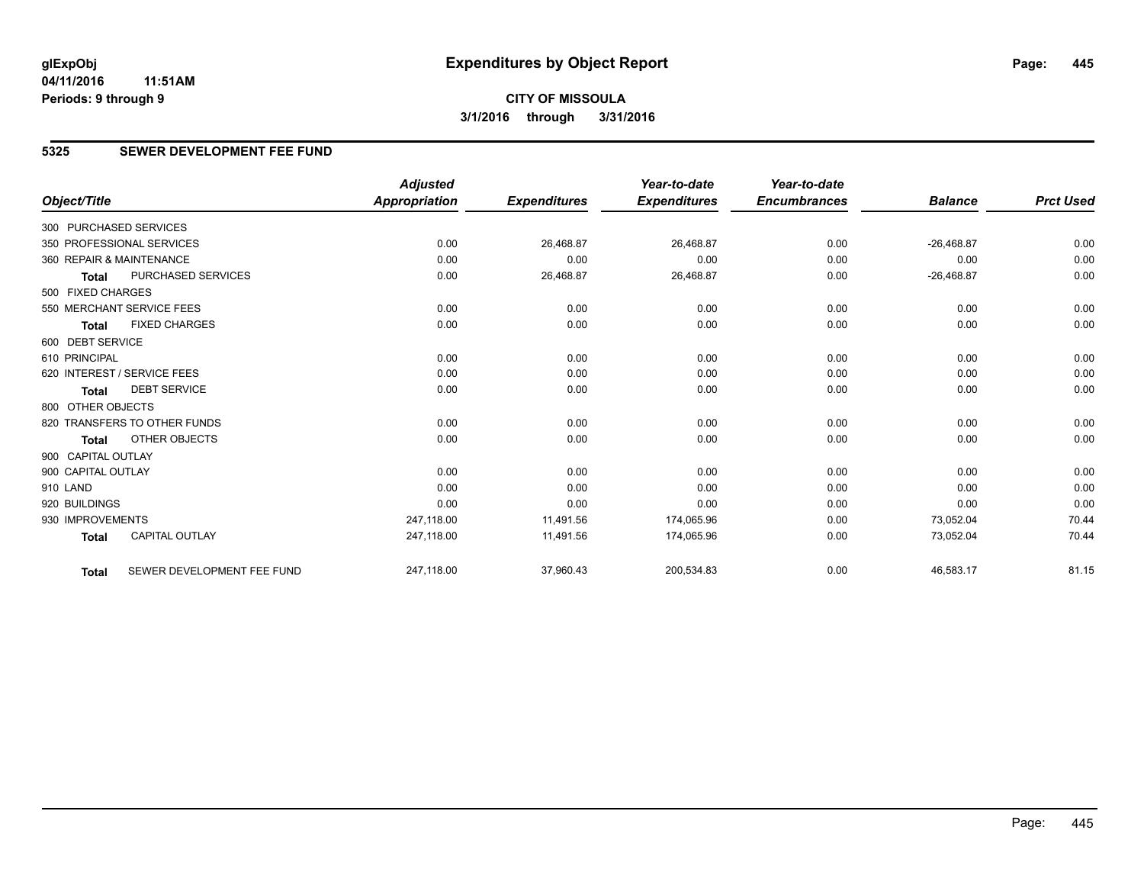**CITY OF MISSOULA 3/1/2016 through 3/31/2016**

### **5325 SEWER DEVELOPMENT FEE FUND**

|                        |                              | <b>Adjusted</b>      |                     | Year-to-date        | Year-to-date        |                |                  |
|------------------------|------------------------------|----------------------|---------------------|---------------------|---------------------|----------------|------------------|
| Object/Title           |                              | <b>Appropriation</b> | <b>Expenditures</b> | <b>Expenditures</b> | <b>Encumbrances</b> | <b>Balance</b> | <b>Prct Used</b> |
| 300 PURCHASED SERVICES |                              |                      |                     |                     |                     |                |                  |
|                        | 350 PROFESSIONAL SERVICES    | 0.00                 | 26,468.87           | 26,468.87           | 0.00                | $-26,468.87$   | 0.00             |
|                        | 360 REPAIR & MAINTENANCE     | 0.00                 | 0.00                | 0.00                | 0.00                | 0.00           | 0.00             |
| <b>Total</b>           | PURCHASED SERVICES           | 0.00                 | 26,468.87           | 26,468.87           | 0.00                | $-26,468.87$   | 0.00             |
| 500 FIXED CHARGES      |                              |                      |                     |                     |                     |                |                  |
|                        | 550 MERCHANT SERVICE FEES    | 0.00                 | 0.00                | 0.00                | 0.00                | 0.00           | 0.00             |
| <b>Total</b>           | <b>FIXED CHARGES</b>         | 0.00                 | 0.00                | 0.00                | 0.00                | 0.00           | 0.00             |
| 600 DEBT SERVICE       |                              |                      |                     |                     |                     |                |                  |
| 610 PRINCIPAL          |                              | 0.00                 | 0.00                | 0.00                | 0.00                | 0.00           | 0.00             |
|                        | 620 INTEREST / SERVICE FEES  | 0.00                 | 0.00                | 0.00                | 0.00                | 0.00           | 0.00             |
| <b>Total</b>           | <b>DEBT SERVICE</b>          | 0.00                 | 0.00                | 0.00                | 0.00                | 0.00           | 0.00             |
| 800 OTHER OBJECTS      |                              |                      |                     |                     |                     |                |                  |
|                        | 820 TRANSFERS TO OTHER FUNDS | 0.00                 | 0.00                | 0.00                | 0.00                | 0.00           | 0.00             |
| <b>Total</b>           | <b>OTHER OBJECTS</b>         | 0.00                 | 0.00                | 0.00                | 0.00                | 0.00           | 0.00             |
| 900 CAPITAL OUTLAY     |                              |                      |                     |                     |                     |                |                  |
| 900 CAPITAL OUTLAY     |                              | 0.00                 | 0.00                | 0.00                | 0.00                | 0.00           | 0.00             |
| 910 LAND               |                              | 0.00                 | 0.00                | 0.00                | 0.00                | 0.00           | 0.00             |
| 920 BUILDINGS          |                              | 0.00                 | 0.00                | 0.00                | 0.00                | 0.00           | 0.00             |
| 930 IMPROVEMENTS       |                              | 247,118.00           | 11,491.56           | 174,065.96          | 0.00                | 73,052.04      | 70.44            |
| <b>Total</b>           | <b>CAPITAL OUTLAY</b>        | 247,118.00           | 11,491.56           | 174,065.96          | 0.00                | 73,052.04      | 70.44            |
| <b>Total</b>           | SEWER DEVELOPMENT FEE FUND   | 247,118.00           | 37,960.43           | 200,534.83          | 0.00                | 46,583.17      | 81.15            |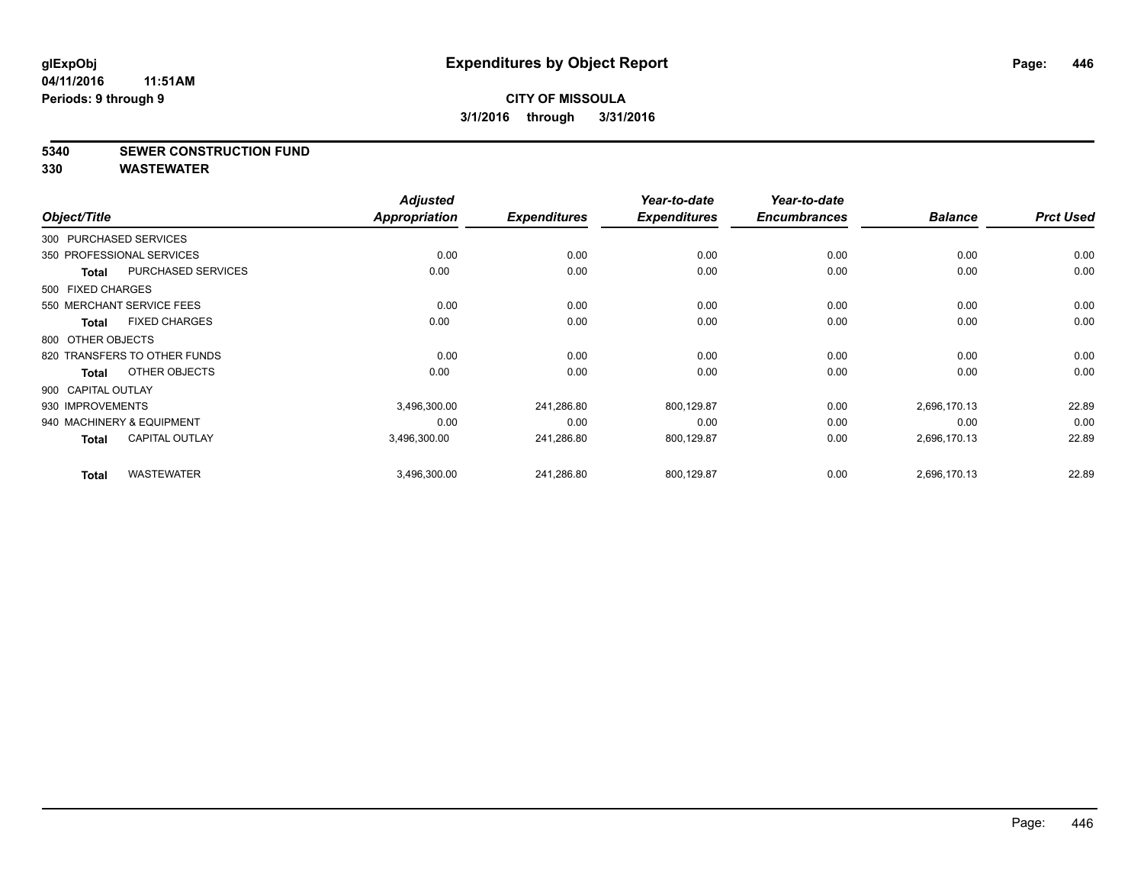#### **5340 SEWER CONSTRUCTION FUND**

|                        |                              | <b>Adjusted</b> |                     | Year-to-date        | Year-to-date        |                |                  |
|------------------------|------------------------------|-----------------|---------------------|---------------------|---------------------|----------------|------------------|
| Object/Title           |                              | Appropriation   | <b>Expenditures</b> | <b>Expenditures</b> | <b>Encumbrances</b> | <b>Balance</b> | <b>Prct Used</b> |
| 300 PURCHASED SERVICES |                              |                 |                     |                     |                     |                |                  |
|                        | 350 PROFESSIONAL SERVICES    | 0.00            | 0.00                | 0.00                | 0.00                | 0.00           | 0.00             |
| <b>Total</b>           | <b>PURCHASED SERVICES</b>    | 0.00            | 0.00                | 0.00                | 0.00                | 0.00           | 0.00             |
| 500 FIXED CHARGES      |                              |                 |                     |                     |                     |                |                  |
|                        | 550 MERCHANT SERVICE FEES    | 0.00            | 0.00                | 0.00                | 0.00                | 0.00           | 0.00             |
| Total                  | <b>FIXED CHARGES</b>         | 0.00            | 0.00                | 0.00                | 0.00                | 0.00           | 0.00             |
| 800 OTHER OBJECTS      |                              |                 |                     |                     |                     |                |                  |
|                        | 820 TRANSFERS TO OTHER FUNDS | 0.00            | 0.00                | 0.00                | 0.00                | 0.00           | 0.00             |
| Total                  | OTHER OBJECTS                | 0.00            | 0.00                | 0.00                | 0.00                | 0.00           | 0.00             |
| 900 CAPITAL OUTLAY     |                              |                 |                     |                     |                     |                |                  |
| 930 IMPROVEMENTS       |                              | 3,496,300.00    | 241,286.80          | 800,129.87          | 0.00                | 2,696,170.13   | 22.89            |
|                        | 940 MACHINERY & EQUIPMENT    | 0.00            | 0.00                | 0.00                | 0.00                | 0.00           | 0.00             |
| Total                  | <b>CAPITAL OUTLAY</b>        | 3,496,300.00    | 241,286.80          | 800,129.87          | 0.00                | 2,696,170.13   | 22.89            |
| <b>Total</b>           | <b>WASTEWATER</b>            | 3,496,300.00    | 241,286.80          | 800,129.87          | 0.00                | 2,696,170.13   | 22.89            |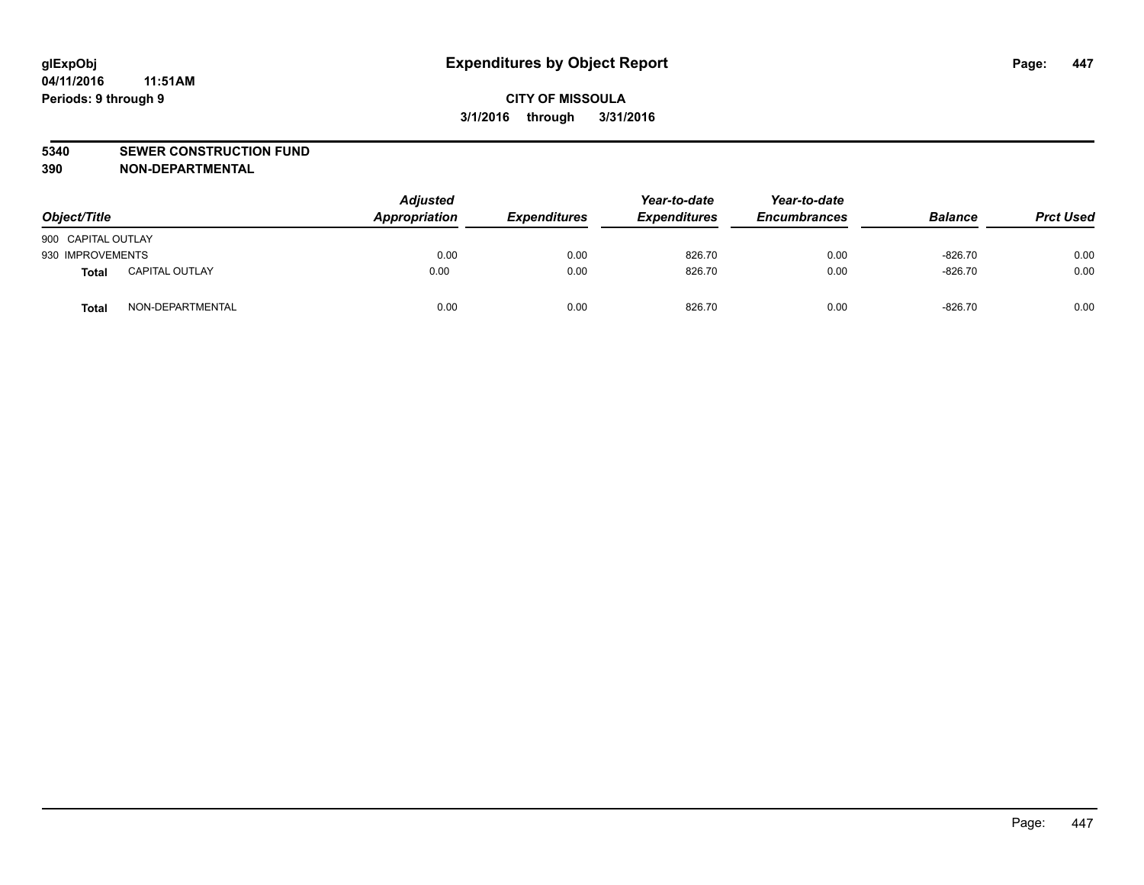#### **5340 SEWER CONSTRUCTION FUND**

**390 NON-DEPARTMENTAL**

| Object/Title       |                       | <b>Adjusted</b><br>Appropriation | <b>Expenditures</b> | Year-to-date<br><b>Expenditures</b> | Year-to-date<br><b>Encumbrances</b> | <b>Balance</b> | <b>Prct Used</b> |
|--------------------|-----------------------|----------------------------------|---------------------|-------------------------------------|-------------------------------------|----------------|------------------|
| 900 CAPITAL OUTLAY |                       |                                  |                     |                                     |                                     |                |                  |
| 930 IMPROVEMENTS   |                       | 0.00                             | 0.00                | 826.70                              | 0.00                                | $-826.70$      | 0.00             |
| Total              | <b>CAPITAL OUTLAY</b> | 0.00                             | 0.00                | 826.70                              | 0.00                                | $-826.70$      | 0.00             |
| Total              | NON-DEPARTMENTAL      | 0.00                             | 0.00                | 826.70                              | 0.00                                | $-826.70$      | 0.00             |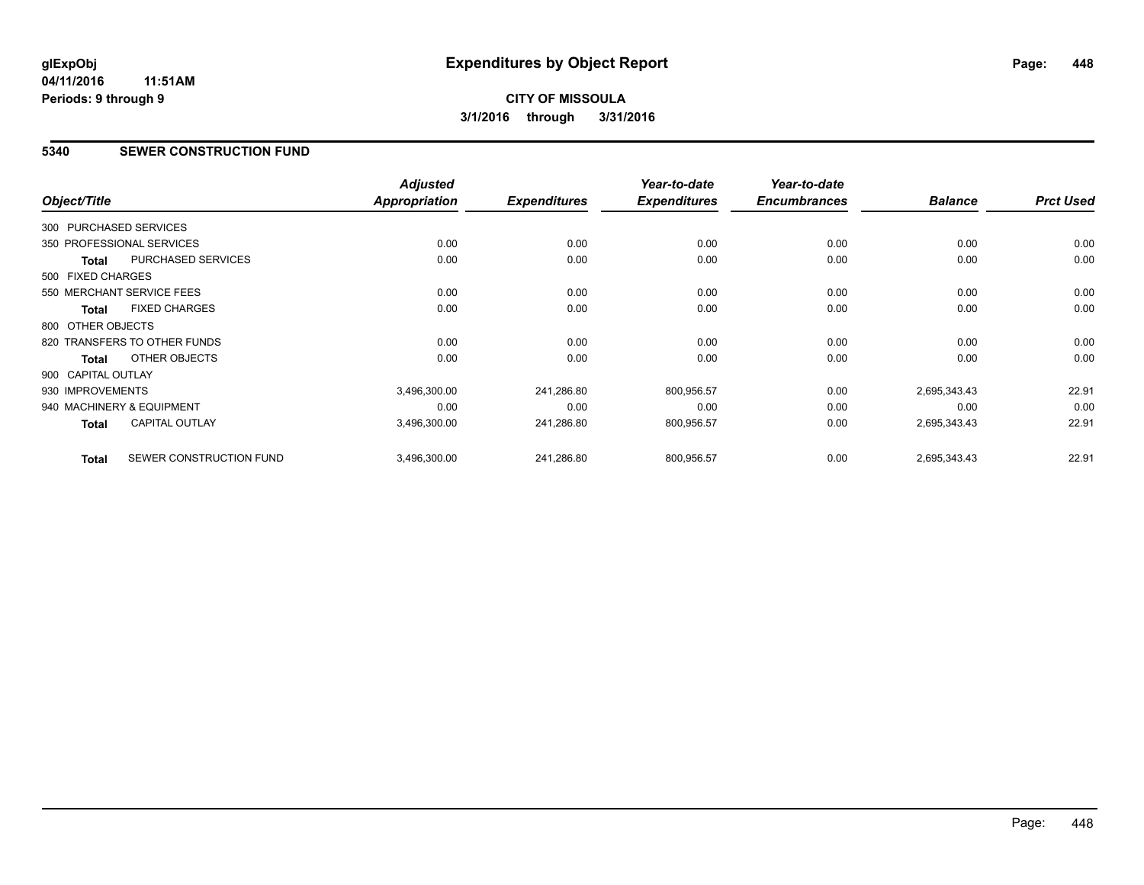### **5340 SEWER CONSTRUCTION FUND**

| Object/Title       |                              | <b>Adjusted</b><br>Appropriation | <b>Expenditures</b> | Year-to-date<br><b>Expenditures</b> | Year-to-date<br><b>Encumbrances</b> | <b>Balance</b> | <b>Prct Used</b> |
|--------------------|------------------------------|----------------------------------|---------------------|-------------------------------------|-------------------------------------|----------------|------------------|
|                    |                              |                                  |                     |                                     |                                     |                |                  |
|                    | 300 PURCHASED SERVICES       |                                  |                     |                                     |                                     |                |                  |
|                    | 350 PROFESSIONAL SERVICES    | 0.00                             | 0.00                | 0.00                                | 0.00                                | 0.00           | 0.00             |
| <b>Total</b>       | <b>PURCHASED SERVICES</b>    | 0.00                             | 0.00                | 0.00                                | 0.00                                | 0.00           | 0.00             |
| 500 FIXED CHARGES  |                              |                                  |                     |                                     |                                     |                |                  |
|                    | 550 MERCHANT SERVICE FEES    | 0.00                             | 0.00                | 0.00                                | 0.00                                | 0.00           | 0.00             |
| <b>Total</b>       | <b>FIXED CHARGES</b>         | 0.00                             | 0.00                | 0.00                                | 0.00                                | 0.00           | 0.00             |
| 800 OTHER OBJECTS  |                              |                                  |                     |                                     |                                     |                |                  |
|                    | 820 TRANSFERS TO OTHER FUNDS | 0.00                             | 0.00                | 0.00                                | 0.00                                | 0.00           | 0.00             |
| Total              | OTHER OBJECTS                | 0.00                             | 0.00                | 0.00                                | 0.00                                | 0.00           | 0.00             |
| 900 CAPITAL OUTLAY |                              |                                  |                     |                                     |                                     |                |                  |
| 930 IMPROVEMENTS   |                              | 3,496,300.00                     | 241,286.80          | 800,956.57                          | 0.00                                | 2,695,343.43   | 22.91            |
|                    | 940 MACHINERY & EQUIPMENT    | 0.00                             | 0.00                | 0.00                                | 0.00                                | 0.00           | 0.00             |
| <b>Total</b>       | <b>CAPITAL OUTLAY</b>        | 3,496,300.00                     | 241,286.80          | 800,956.57                          | 0.00                                | 2,695,343.43   | 22.91            |
| <b>Total</b>       | SEWER CONSTRUCTION FUND      | 3,496,300.00                     | 241,286.80          | 800,956.57                          | 0.00                                | 2,695,343.43   | 22.91            |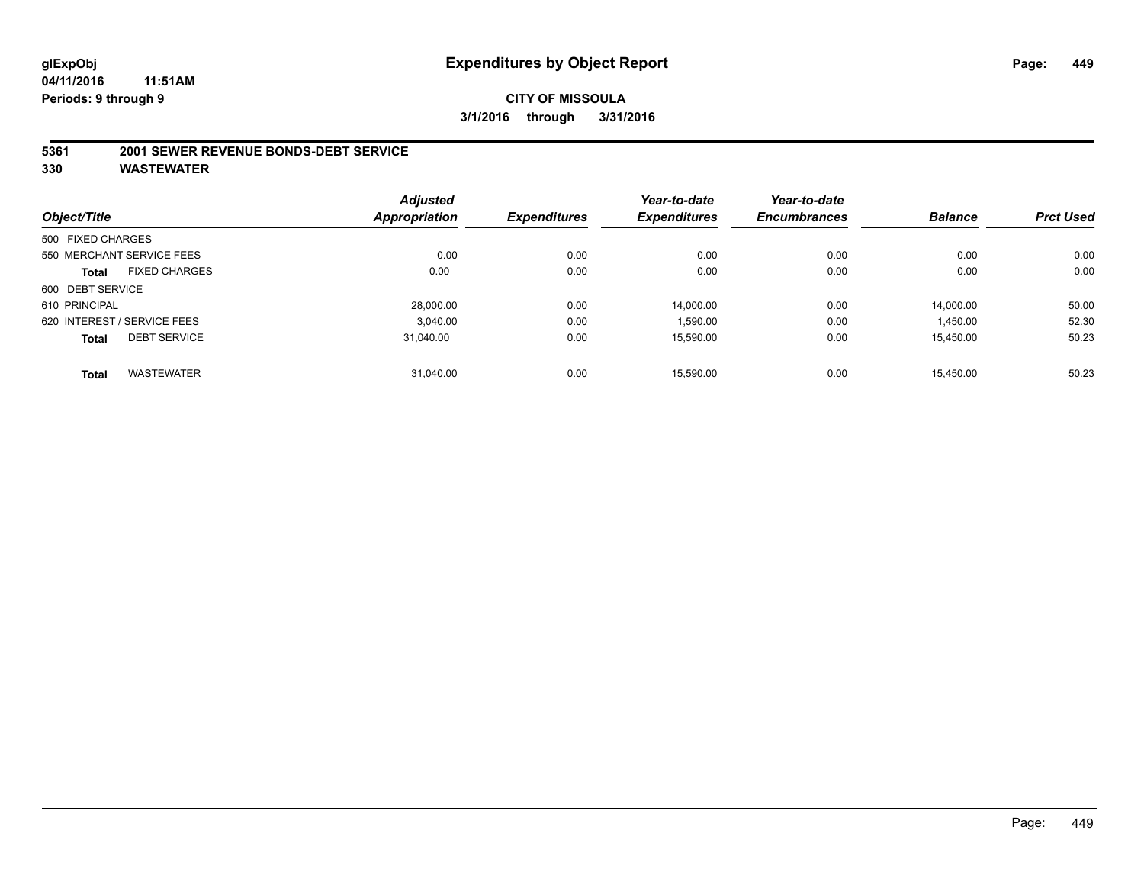#### **5361 2001 SEWER REVENUE BONDS-DEBT SERVICE**

|                   |                             | <b>Adjusted</b> |                     | Year-to-date        | Year-to-date        |                |                  |
|-------------------|-----------------------------|-----------------|---------------------|---------------------|---------------------|----------------|------------------|
| Object/Title      |                             | Appropriation   | <b>Expenditures</b> | <b>Expenditures</b> | <b>Encumbrances</b> | <b>Balance</b> | <b>Prct Used</b> |
| 500 FIXED CHARGES |                             |                 |                     |                     |                     |                |                  |
|                   | 550 MERCHANT SERVICE FEES   | 0.00            | 0.00                | 0.00                | 0.00                | 0.00           | 0.00             |
| <b>Total</b>      | <b>FIXED CHARGES</b>        | 0.00            | 0.00                | 0.00                | 0.00                | 0.00           | 0.00             |
| 600 DEBT SERVICE  |                             |                 |                     |                     |                     |                |                  |
| 610 PRINCIPAL     |                             | 28,000.00       | 0.00                | 14.000.00           | 0.00                | 14.000.00      | 50.00            |
|                   | 620 INTEREST / SERVICE FEES | 3.040.00        | 0.00                | 1,590.00            | 0.00                | 1,450.00       | 52.30            |
| <b>Total</b>      | <b>DEBT SERVICE</b>         | 31.040.00       | 0.00                | 15.590.00           | 0.00                | 15.450.00      | 50.23            |
| <b>Total</b>      | <b>WASTEWATER</b>           | 31.040.00       | 0.00                | 15.590.00           | 0.00                | 15.450.00      | 50.23            |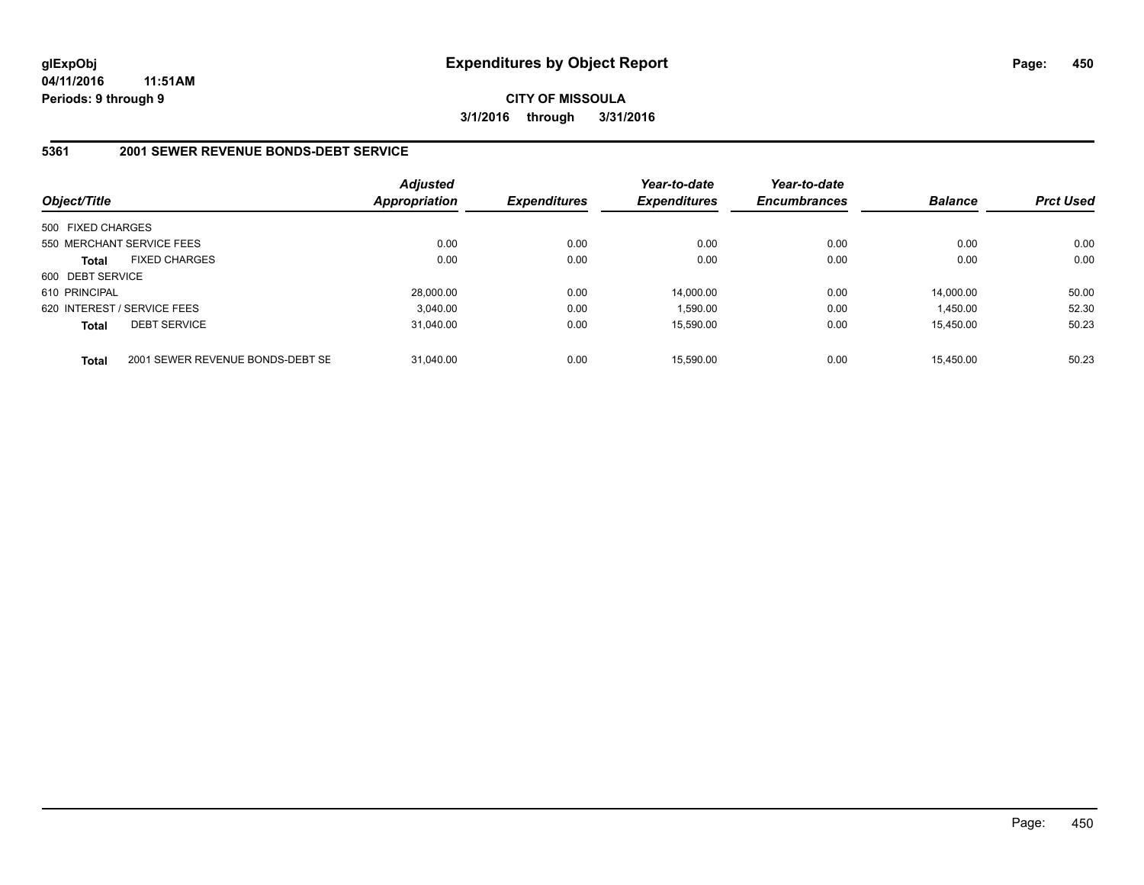**CITY OF MISSOULA 3/1/2016 through 3/31/2016**

### **5361 2001 SEWER REVENUE BONDS-DEBT SERVICE**

| Object/Title      |                                  | <b>Adjusted</b><br>Appropriation | <b>Expenditures</b> | Year-to-date<br><b>Expenditures</b> | Year-to-date<br><b>Encumbrances</b> | <b>Balance</b> | <b>Prct Used</b> |
|-------------------|----------------------------------|----------------------------------|---------------------|-------------------------------------|-------------------------------------|----------------|------------------|
| 500 FIXED CHARGES |                                  |                                  |                     |                                     |                                     |                |                  |
|                   | 550 MERCHANT SERVICE FEES        | 0.00                             | 0.00                | 0.00                                | 0.00                                | 0.00           | 0.00             |
| <b>Total</b>      | <b>FIXED CHARGES</b>             | 0.00                             | 0.00                | 0.00                                | 0.00                                | 0.00           | 0.00             |
| 600 DEBT SERVICE  |                                  |                                  |                     |                                     |                                     |                |                  |
| 610 PRINCIPAL     |                                  | 28,000.00                        | 0.00                | 14.000.00                           | 0.00                                | 14.000.00      | 50.00            |
|                   | 620 INTEREST / SERVICE FEES      | 3.040.00                         | 0.00                | 1.590.00                            | 0.00                                | 1.450.00       | 52.30            |
| <b>Total</b>      | <b>DEBT SERVICE</b>              | 31.040.00                        | 0.00                | 15.590.00                           | 0.00                                | 15.450.00      | 50.23            |
| <b>Total</b>      | 2001 SEWER REVENUE BONDS-DEBT SE | 31.040.00                        | 0.00                | 15.590.00                           | 0.00                                | 15.450.00      | 50.23            |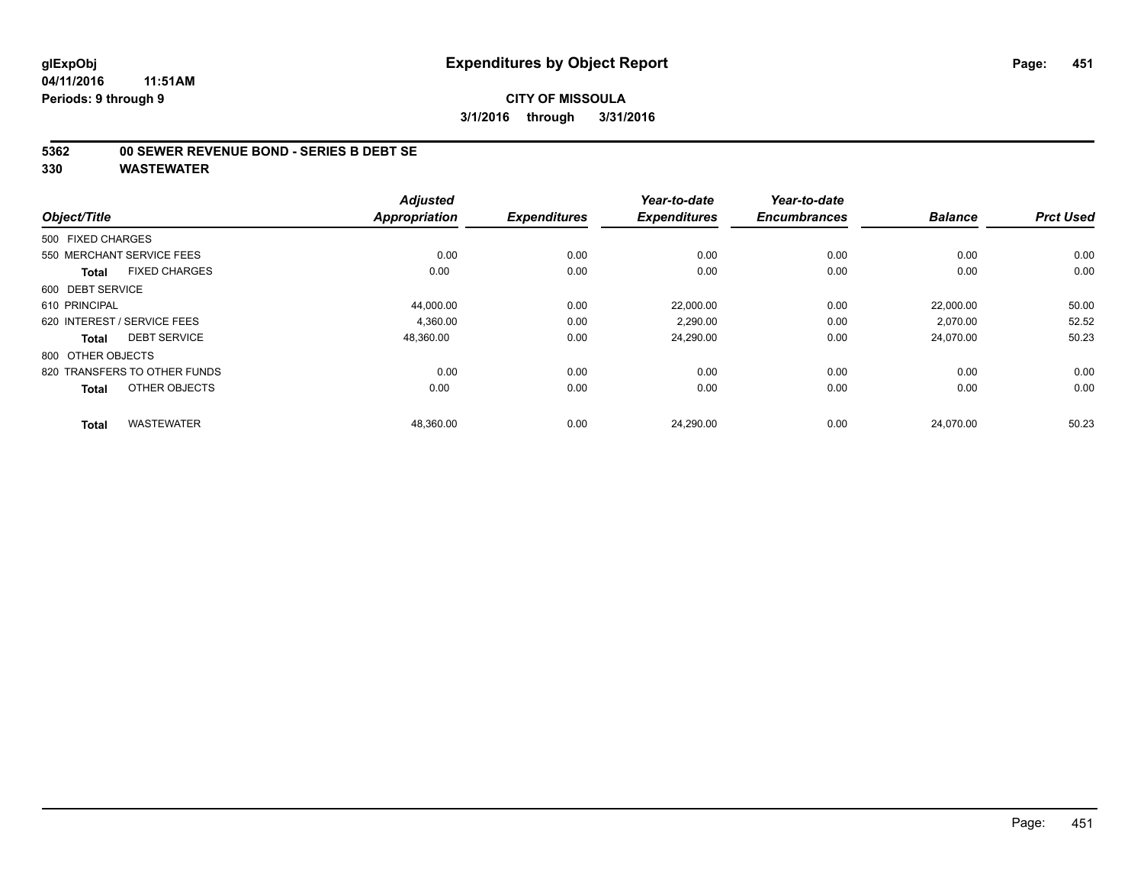#### **5362 00 SEWER REVENUE BOND - SERIES B DEBT SE**

| Object/Title                         | <b>Adjusted</b><br><b>Appropriation</b> | <b>Expenditures</b> | Year-to-date<br><b>Expenditures</b> | Year-to-date<br><b>Encumbrances</b> | <b>Balance</b> | <b>Prct Used</b> |
|--------------------------------------|-----------------------------------------|---------------------|-------------------------------------|-------------------------------------|----------------|------------------|
| 500 FIXED CHARGES                    |                                         |                     |                                     |                                     |                |                  |
| 550 MERCHANT SERVICE FEES            | 0.00                                    | 0.00                | 0.00                                | 0.00                                | 0.00           | 0.00             |
| <b>FIXED CHARGES</b><br><b>Total</b> | 0.00                                    | 0.00                | 0.00                                | 0.00                                | 0.00           | 0.00             |
| 600 DEBT SERVICE                     |                                         |                     |                                     |                                     |                |                  |
| 610 PRINCIPAL                        | 44,000.00                               | 0.00                | 22,000.00                           | 0.00                                | 22,000.00      | 50.00            |
| 620 INTEREST / SERVICE FEES          | 4.360.00                                | 0.00                | 2.290.00                            | 0.00                                | 2.070.00       | 52.52            |
| <b>DEBT SERVICE</b><br><b>Total</b>  | 48,360.00                               | 0.00                | 24,290.00                           | 0.00                                | 24,070.00      | 50.23            |
| 800 OTHER OBJECTS                    |                                         |                     |                                     |                                     |                |                  |
| 820 TRANSFERS TO OTHER FUNDS         | 0.00                                    | 0.00                | 0.00                                | 0.00                                | 0.00           | 0.00             |
| OTHER OBJECTS<br><b>Total</b>        | 0.00                                    | 0.00                | 0.00                                | 0.00                                | 0.00           | 0.00             |
| <b>WASTEWATER</b><br><b>Total</b>    | 48,360.00                               | 0.00                | 24,290.00                           | 0.00                                | 24,070.00      | 50.23            |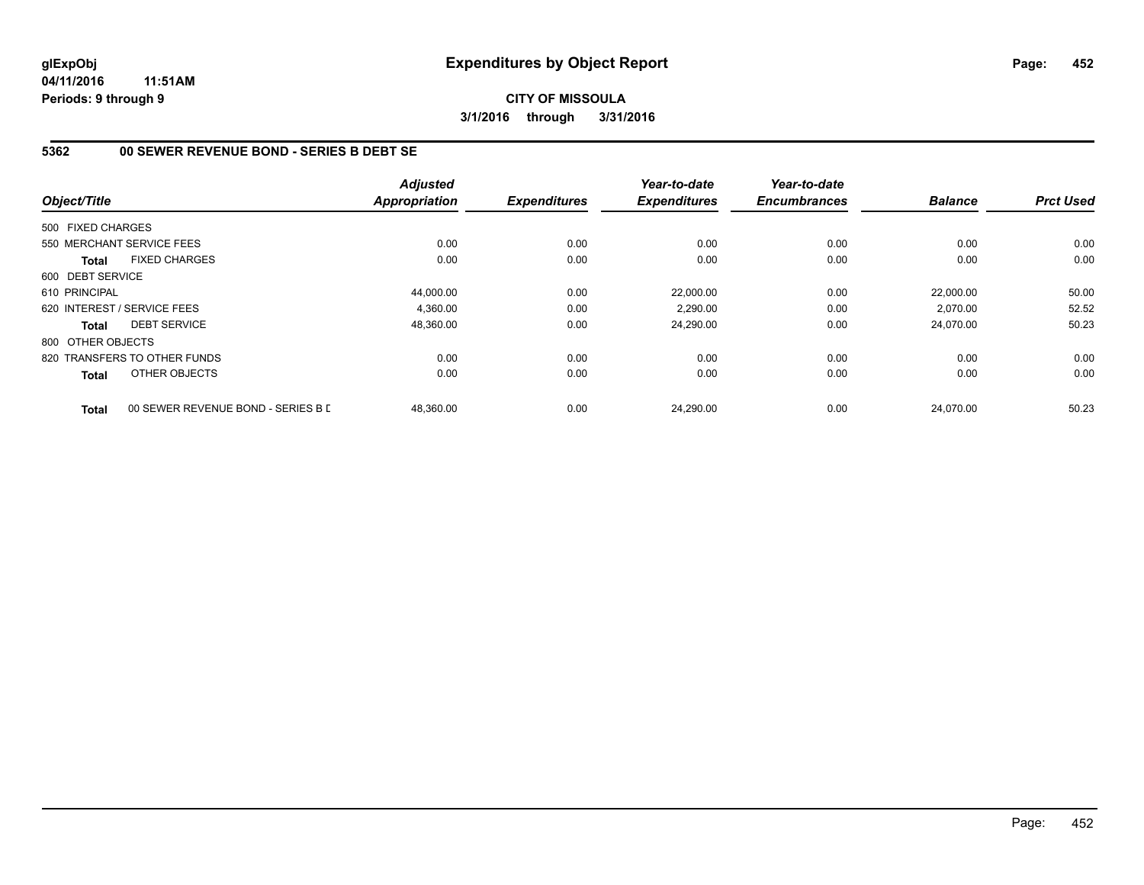### **CITY OF MISSOULA 3/1/2016 through 3/31/2016**

# **5362 00 SEWER REVENUE BOND - SERIES B DEBT SE**

| Object/Title      |                                    | <b>Adjusted</b><br><b>Appropriation</b> | <b>Expenditures</b> | Year-to-date<br><b>Expenditures</b> | Year-to-date<br><b>Encumbrances</b> | <b>Balance</b> | <b>Prct Used</b> |
|-------------------|------------------------------------|-----------------------------------------|---------------------|-------------------------------------|-------------------------------------|----------------|------------------|
|                   |                                    |                                         |                     |                                     |                                     |                |                  |
| 500 FIXED CHARGES |                                    |                                         |                     |                                     |                                     |                |                  |
|                   | 550 MERCHANT SERVICE FEES          | 0.00                                    | 0.00                | 0.00                                | 0.00                                | 0.00           | 0.00             |
| <b>Total</b>      | <b>FIXED CHARGES</b>               | 0.00                                    | 0.00                | 0.00                                | 0.00                                | 0.00           | 0.00             |
| 600 DEBT SERVICE  |                                    |                                         |                     |                                     |                                     |                |                  |
| 610 PRINCIPAL     |                                    | 44,000.00                               | 0.00                | 22,000.00                           | 0.00                                | 22,000.00      | 50.00            |
|                   | 620 INTEREST / SERVICE FEES        | 4,360.00                                | 0.00                | 2,290.00                            | 0.00                                | 2,070.00       | 52.52            |
| <b>Total</b>      | <b>DEBT SERVICE</b>                | 48,360.00                               | 0.00                | 24,290.00                           | 0.00                                | 24,070.00      | 50.23            |
| 800 OTHER OBJECTS |                                    |                                         |                     |                                     |                                     |                |                  |
|                   | 820 TRANSFERS TO OTHER FUNDS       | 0.00                                    | 0.00                | 0.00                                | 0.00                                | 0.00           | 0.00             |
| Total             | OTHER OBJECTS                      | 0.00                                    | 0.00                | 0.00                                | 0.00                                | 0.00           | 0.00             |
| <b>Total</b>      | 00 SEWER REVENUE BOND - SERIES B D | 48,360.00                               | 0.00                | 24,290.00                           | 0.00                                | 24,070.00      | 50.23            |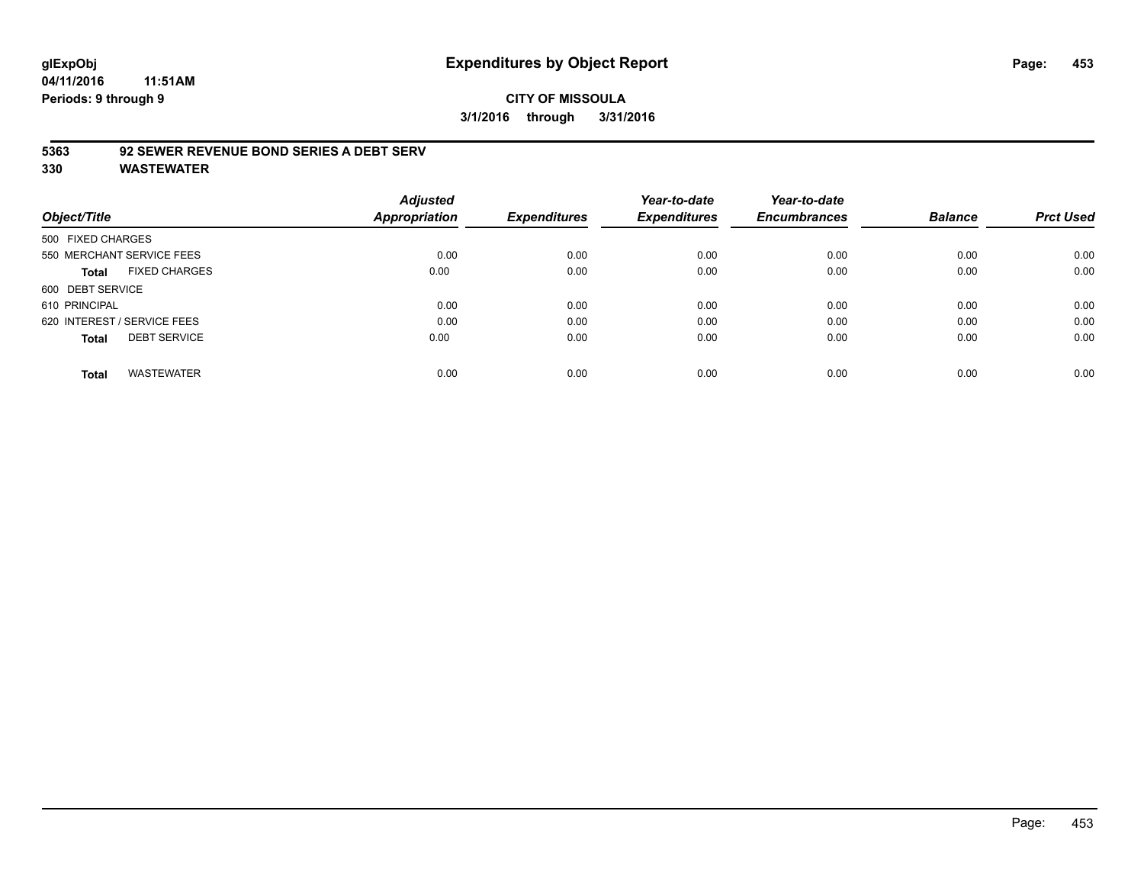# **glExpObj Expenditures by Object Report Page: 453**

**04/11/2016 11:51AM Periods: 9 through 9**

### **5363 92 SEWER REVENUE BOND SERIES A DEBT SERV**

|                                     |                      | <b>Adjusted</b> |                     | Year-to-date        | Year-to-date        |                |                  |
|-------------------------------------|----------------------|-----------------|---------------------|---------------------|---------------------|----------------|------------------|
| Object/Title                        |                      | Appropriation   | <b>Expenditures</b> | <b>Expenditures</b> | <b>Encumbrances</b> | <b>Balance</b> | <b>Prct Used</b> |
| 500 FIXED CHARGES                   |                      |                 |                     |                     |                     |                |                  |
| 550 MERCHANT SERVICE FEES           |                      | 0.00            | 0.00                | 0.00                | 0.00                | 0.00           | 0.00             |
| Total                               | <b>FIXED CHARGES</b> | 0.00            | 0.00                | 0.00                | 0.00                | 0.00           | 0.00             |
| 600 DEBT SERVICE                    |                      |                 |                     |                     |                     |                |                  |
| 610 PRINCIPAL                       |                      | 0.00            | 0.00                | 0.00                | 0.00                | 0.00           | 0.00             |
| 620 INTEREST / SERVICE FEES         |                      | 0.00            | 0.00                | 0.00                | 0.00                | 0.00           | 0.00             |
| <b>DEBT SERVICE</b><br><b>Total</b> |                      | 0.00            | 0.00                | 0.00                | 0.00                | 0.00           | 0.00             |
| <b>WASTEWATER</b><br><b>Total</b>   |                      | 0.00            | 0.00                | 0.00                | 0.00                | 0.00           | 0.00             |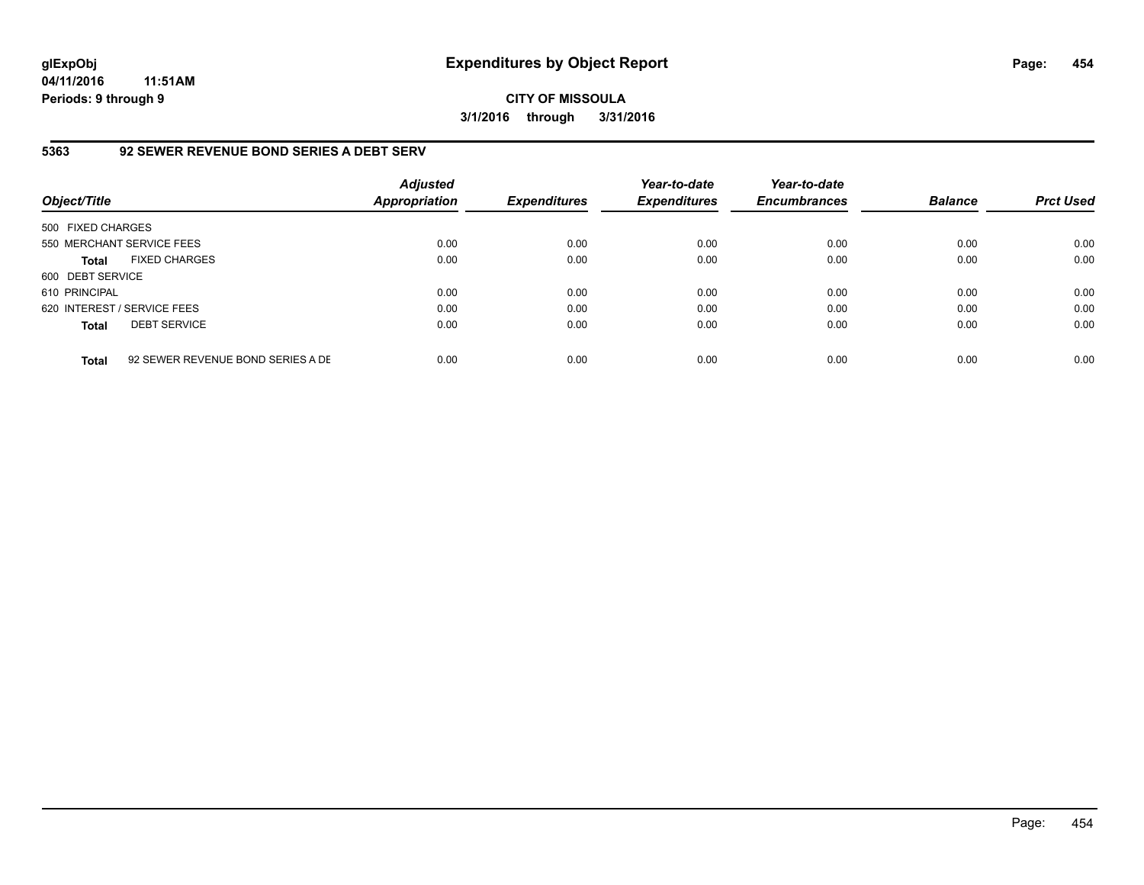**CITY OF MISSOULA 3/1/2016 through 3/31/2016**

### **5363 92 SEWER REVENUE BOND SERIES A DEBT SERV**

| Object/Title                |                                   | <b>Adjusted</b><br>Appropriation | <b>Expenditures</b> | Year-to-date<br><b>Expenditures</b> | Year-to-date<br><b>Encumbrances</b> | <b>Balance</b> | <b>Prct Used</b> |
|-----------------------------|-----------------------------------|----------------------------------|---------------------|-------------------------------------|-------------------------------------|----------------|------------------|
| 500 FIXED CHARGES           |                                   |                                  |                     |                                     |                                     |                |                  |
| 550 MERCHANT SERVICE FEES   |                                   | 0.00                             | 0.00                | 0.00                                | 0.00                                | 0.00           | 0.00             |
| <b>Total</b>                | <b>FIXED CHARGES</b>              | 0.00                             | 0.00                | 0.00                                | 0.00                                | 0.00           | 0.00             |
| 600 DEBT SERVICE            |                                   |                                  |                     |                                     |                                     |                |                  |
| 610 PRINCIPAL               |                                   | 0.00                             | 0.00                | 0.00                                | 0.00                                | 0.00           | 0.00             |
| 620 INTEREST / SERVICE FEES |                                   | 0.00                             | 0.00                | 0.00                                | 0.00                                | 0.00           | 0.00             |
| <b>Total</b>                | <b>DEBT SERVICE</b>               | 0.00                             | 0.00                | 0.00                                | 0.00                                | 0.00           | 0.00             |
| <b>Total</b>                | 92 SEWER REVENUE BOND SERIES A DE | 0.00                             | 0.00                | 0.00                                | 0.00                                | 0.00           | 0.00             |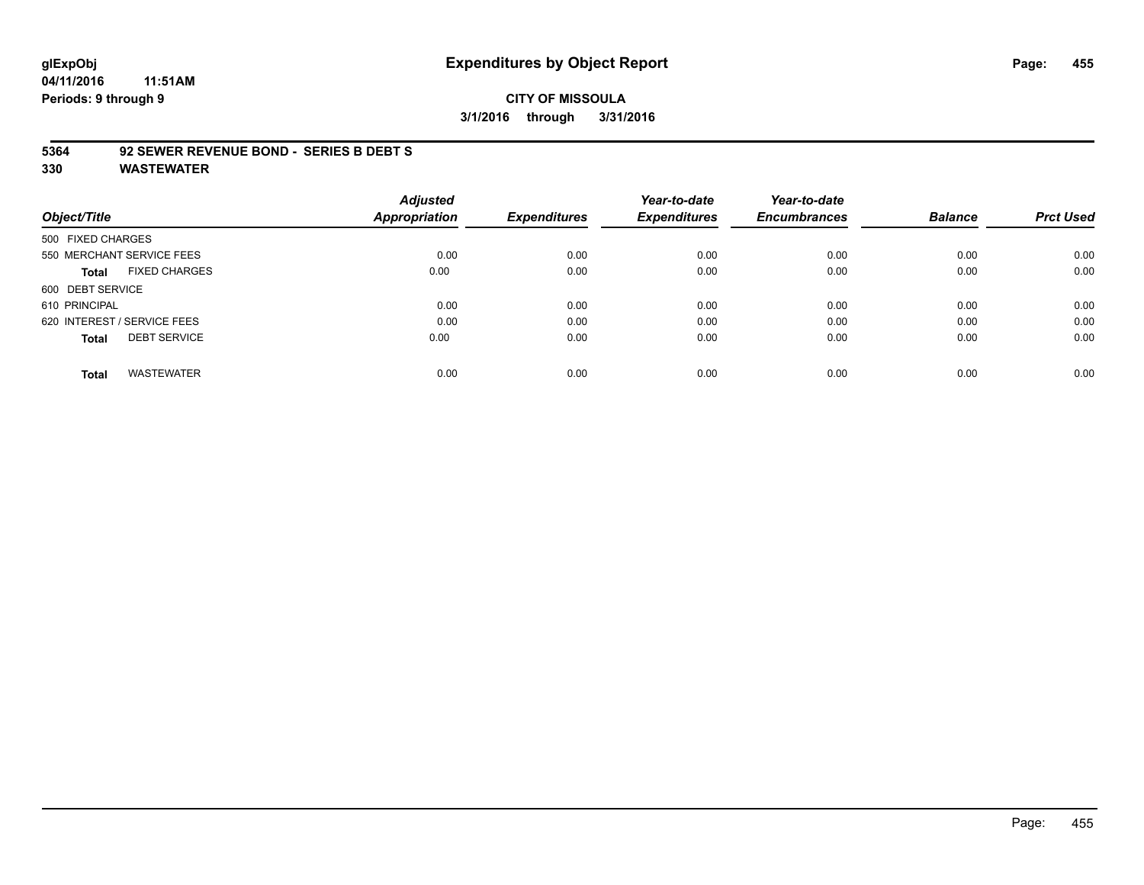# **glExpObj Expenditures by Object Report Page: 455**

**04/11/2016 11:51AM Periods: 9 through 9**

#### **CITY OF MISSOULA 3/1/2016 through 3/31/2016**

#### **5364 92 SEWER REVENUE BOND - SERIES B DEBT S**

|                                      | <b>Adjusted</b> |                     | Year-to-date        | Year-to-date        |                |                  |
|--------------------------------------|-----------------|---------------------|---------------------|---------------------|----------------|------------------|
| Object/Title                         | Appropriation   | <b>Expenditures</b> | <b>Expenditures</b> | <b>Encumbrances</b> | <b>Balance</b> | <b>Prct Used</b> |
| 500 FIXED CHARGES                    |                 |                     |                     |                     |                |                  |
| 550 MERCHANT SERVICE FEES            | 0.00            | 0.00                | 0.00                | 0.00                | 0.00           | 0.00             |
| <b>FIXED CHARGES</b><br><b>Total</b> | 0.00            | 0.00                | 0.00                | 0.00                | 0.00           | 0.00             |
| 600 DEBT SERVICE                     |                 |                     |                     |                     |                |                  |
| 610 PRINCIPAL                        | 0.00            | 0.00                | 0.00                | 0.00                | 0.00           | 0.00             |
| 620 INTEREST / SERVICE FEES          | 0.00            | 0.00                | 0.00                | 0.00                | 0.00           | 0.00             |
| <b>DEBT SERVICE</b><br><b>Total</b>  | 0.00            | 0.00                | 0.00                | 0.00                | 0.00           | 0.00             |
| <b>WASTEWATER</b><br><b>Total</b>    | 0.00            | 0.00                | 0.00                | 0.00                | 0.00           | 0.00             |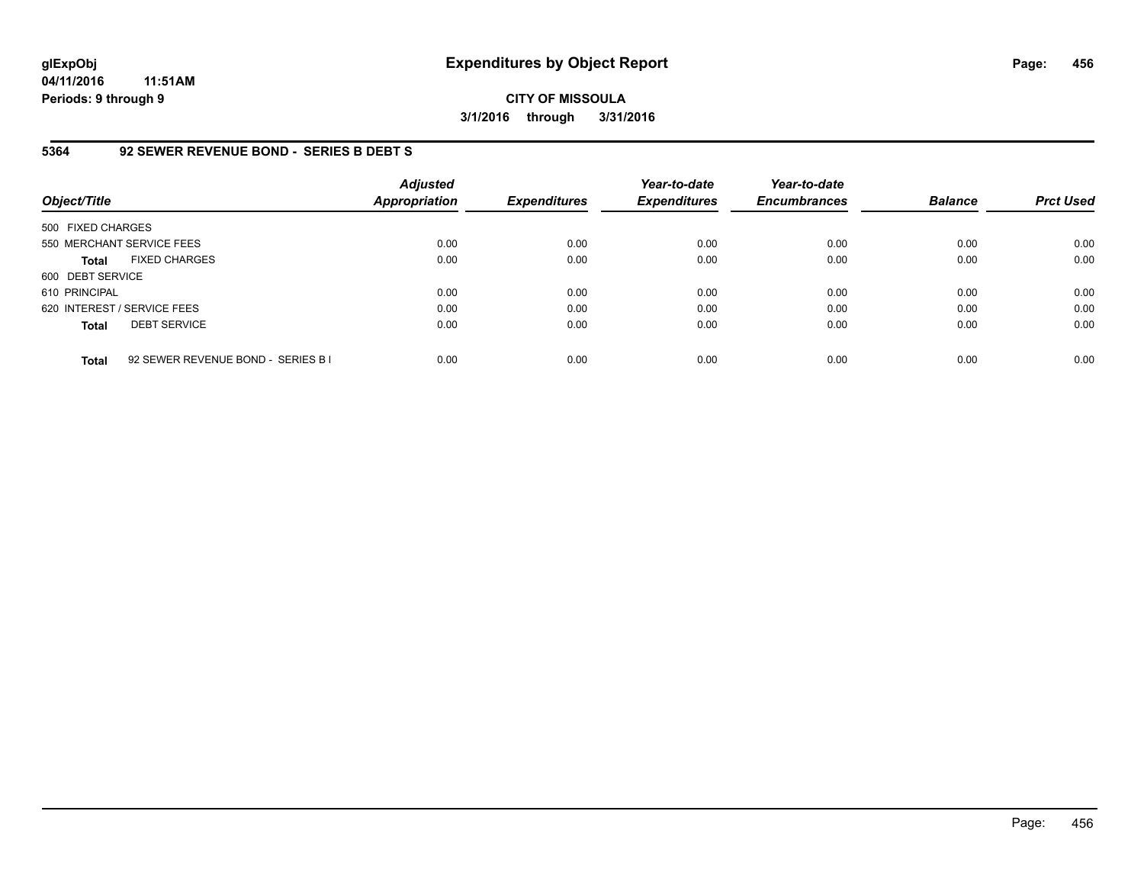**CITY OF MISSOULA 3/1/2016 through 3/31/2016**

#### **5364 92 SEWER REVENUE BOND - SERIES B DEBT S**

| Object/Title                |                                    | <b>Adjusted</b><br><b>Appropriation</b> | <b>Expenditures</b> | Year-to-date<br><b>Expenditures</b> | Year-to-date<br><b>Encumbrances</b> | <b>Balance</b> | <b>Prct Used</b> |
|-----------------------------|------------------------------------|-----------------------------------------|---------------------|-------------------------------------|-------------------------------------|----------------|------------------|
| 500 FIXED CHARGES           |                                    |                                         |                     |                                     |                                     |                |                  |
| 550 MERCHANT SERVICE FEES   |                                    | 0.00                                    | 0.00                | 0.00                                | 0.00                                | 0.00           | 0.00             |
| <b>Total</b>                | <b>FIXED CHARGES</b>               | 0.00                                    | 0.00                | 0.00                                | 0.00                                | 0.00           | 0.00             |
| 600 DEBT SERVICE            |                                    |                                         |                     |                                     |                                     |                |                  |
| 610 PRINCIPAL               |                                    | 0.00                                    | 0.00                | 0.00                                | 0.00                                | 0.00           | 0.00             |
| 620 INTEREST / SERVICE FEES |                                    | 0.00                                    | 0.00                | 0.00                                | 0.00                                | 0.00           | 0.00             |
| <b>Total</b>                | <b>DEBT SERVICE</b>                | 0.00                                    | 0.00                | 0.00                                | 0.00                                | 0.00           | 0.00             |
| <b>Total</b>                | 92 SEWER REVENUE BOND - SERIES B I | 0.00                                    | 0.00                | 0.00                                | 0.00                                | 0.00           | 0.00             |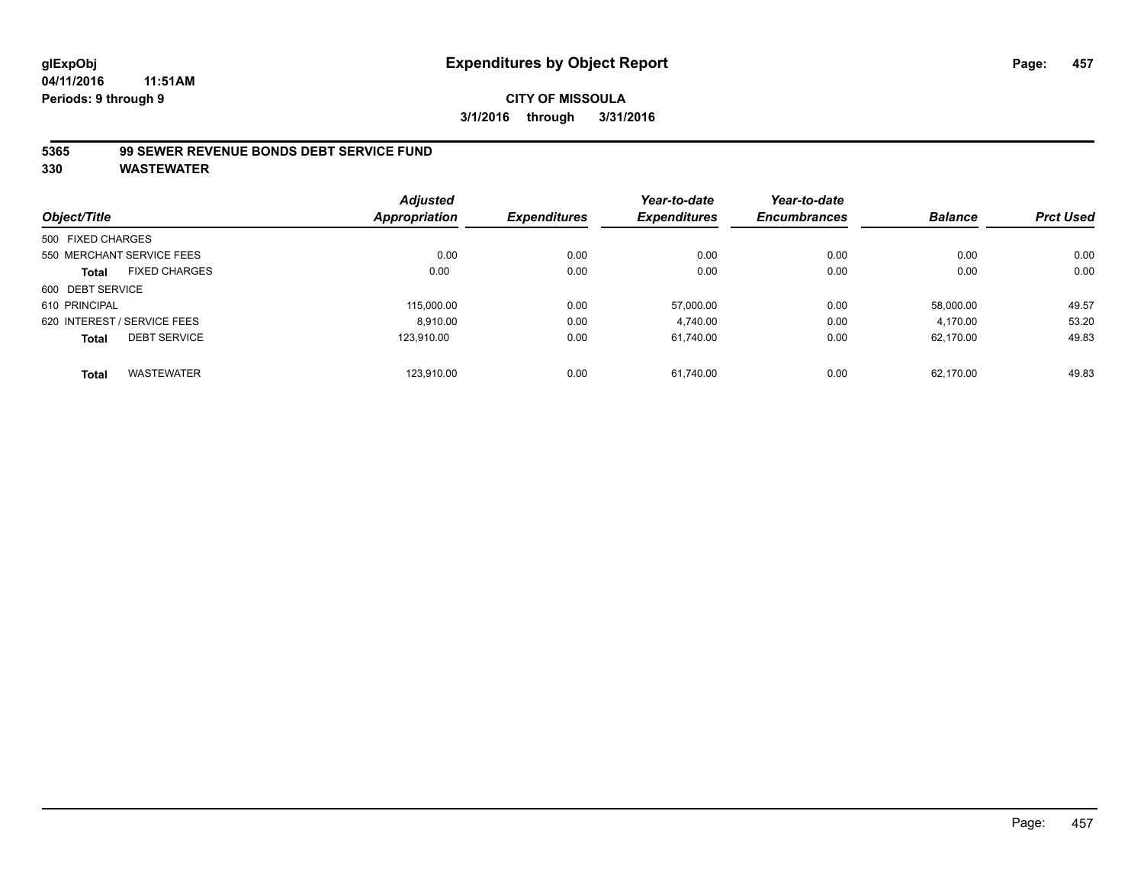# **CITY OF MISSOULA 3/1/2016 through 3/31/2016**

### **5365 99 SEWER REVENUE BONDS DEBT SERVICE FUND**

| Object/Title      |                             | <b>Adjusted</b> | <b>Expenditures</b> | Year-to-date        | Year-to-date<br><b>Encumbrances</b> | <b>Balance</b> | <b>Prct Used</b> |
|-------------------|-----------------------------|-----------------|---------------------|---------------------|-------------------------------------|----------------|------------------|
|                   |                             | Appropriation   |                     | <b>Expenditures</b> |                                     |                |                  |
| 500 FIXED CHARGES |                             |                 |                     |                     |                                     |                |                  |
|                   | 550 MERCHANT SERVICE FEES   | 0.00            | 0.00                | 0.00                | 0.00                                | 0.00           | 0.00             |
| <b>Total</b>      | <b>FIXED CHARGES</b>        | 0.00            | 0.00                | 0.00                | 0.00                                | 0.00           | 0.00             |
| 600 DEBT SERVICE  |                             |                 |                     |                     |                                     |                |                  |
| 610 PRINCIPAL     |                             | 115.000.00      | 0.00                | 57,000.00           | 0.00                                | 58,000.00      | 49.57            |
|                   | 620 INTEREST / SERVICE FEES | 8.910.00        | 0.00                | 4,740.00            | 0.00                                | 4,170.00       | 53.20            |
| <b>Total</b>      | <b>DEBT SERVICE</b>         | 123.910.00      | 0.00                | 61.740.00           | 0.00                                | 62.170.00      | 49.83            |
| <b>Total</b>      | <b>WASTEWATER</b>           | 123.910.00      | 0.00                | 61.740.00           | 0.00                                | 62.170.00      | 49.83            |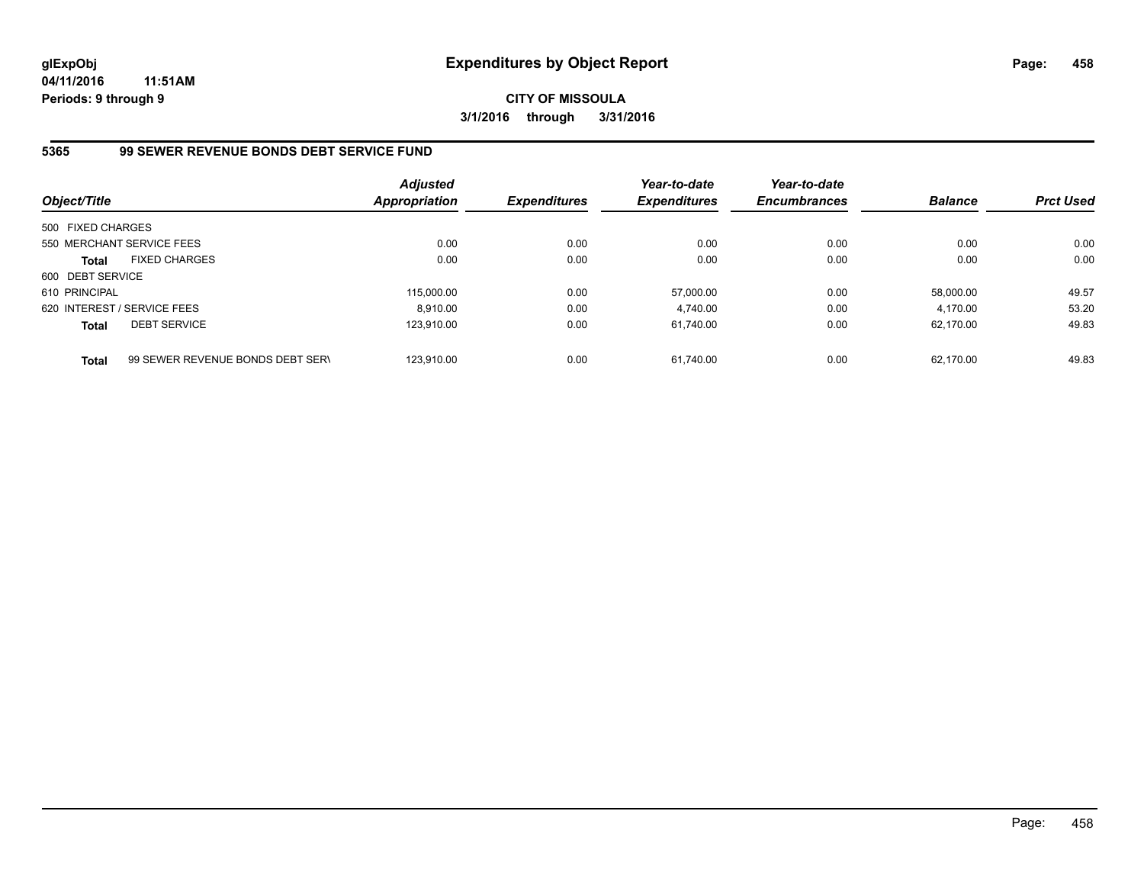**CITY OF MISSOULA 3/1/2016 through 3/31/2016**

### **5365 99 SEWER REVENUE BONDS DEBT SERVICE FUND**

| Object/Title                |                                  | <b>Adjusted</b><br>Appropriation | <b>Expenditures</b> | Year-to-date<br><b>Expenditures</b> | Year-to-date<br><b>Encumbrances</b> | <b>Balance</b> | <b>Prct Used</b> |
|-----------------------------|----------------------------------|----------------------------------|---------------------|-------------------------------------|-------------------------------------|----------------|------------------|
| 500 FIXED CHARGES           |                                  |                                  |                     |                                     |                                     |                |                  |
|                             | 550 MERCHANT SERVICE FEES        | 0.00                             | 0.00                | 0.00                                | 0.00                                | 0.00           | 0.00             |
| <b>Total</b>                | <b>FIXED CHARGES</b>             | 0.00                             | 0.00                | 0.00                                | 0.00                                | 0.00           | 0.00             |
| 600 DEBT SERVICE            |                                  |                                  |                     |                                     |                                     |                |                  |
| 610 PRINCIPAL               |                                  | 115,000.00                       | 0.00                | 57.000.00                           | 0.00                                | 58.000.00      | 49.57            |
| 620 INTEREST / SERVICE FEES |                                  | 8.910.00                         | 0.00                | 4.740.00                            | 0.00                                | 4.170.00       | 53.20            |
| <b>Total</b>                | <b>DEBT SERVICE</b>              | 123.910.00                       | 0.00                | 61.740.00                           | 0.00                                | 62.170.00      | 49.83            |
| <b>Total</b>                | 99 SEWER REVENUE BONDS DEBT SERV | 123.910.00                       | 0.00                | 61.740.00                           | 0.00                                | 62.170.00      | 49.83            |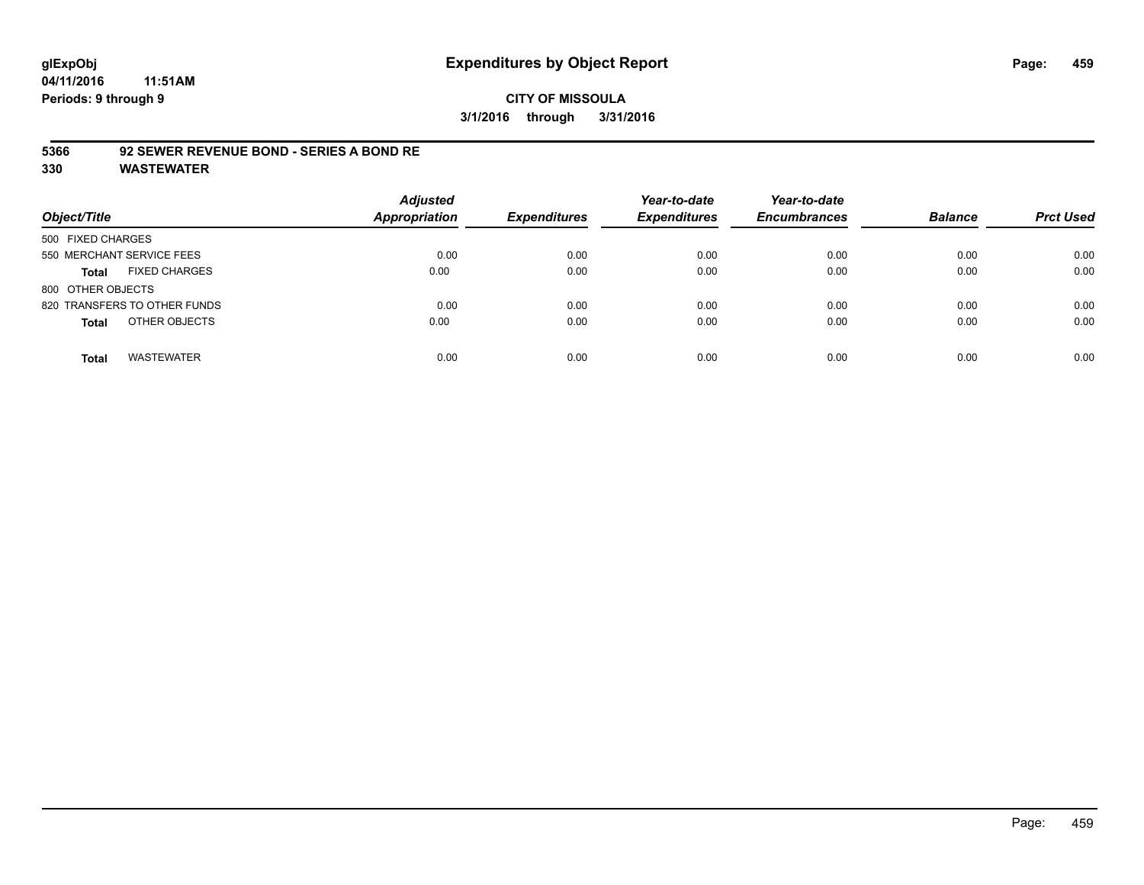# **glExpObj Expenditures by Object Report Page: 459**

**04/11/2016 11:51AM Periods: 9 through 9**

### **CITY OF MISSOULA 3/1/2016 through 3/31/2016**

### **5366 92 SEWER REVENUE BOND - SERIES A BOND RE**

| Object/Title                         | <b>Adjusted</b><br><b>Appropriation</b> | <b>Expenditures</b> | Year-to-date<br><b>Expenditures</b> | Year-to-date<br><b>Encumbrances</b> | <b>Balance</b> | <b>Prct Used</b> |
|--------------------------------------|-----------------------------------------|---------------------|-------------------------------------|-------------------------------------|----------------|------------------|
| 500 FIXED CHARGES                    |                                         |                     |                                     |                                     |                |                  |
| 550 MERCHANT SERVICE FEES            | 0.00                                    | 0.00                | 0.00                                | 0.00                                | 0.00           | 0.00             |
| <b>FIXED CHARGES</b><br><b>Total</b> | 0.00                                    | 0.00                | 0.00                                | 0.00                                | 0.00           | 0.00             |
| 800 OTHER OBJECTS                    |                                         |                     |                                     |                                     |                |                  |
| 820 TRANSFERS TO OTHER FUNDS         | 0.00                                    | 0.00                | 0.00                                | 0.00                                | 0.00           | 0.00             |
| OTHER OBJECTS<br><b>Total</b>        | 0.00                                    | 0.00                | 0.00                                | 0.00                                | 0.00           | 0.00             |
| <b>WASTEWATER</b><br><b>Total</b>    | 0.00                                    | 0.00                | 0.00                                | 0.00                                | 0.00           | 0.00             |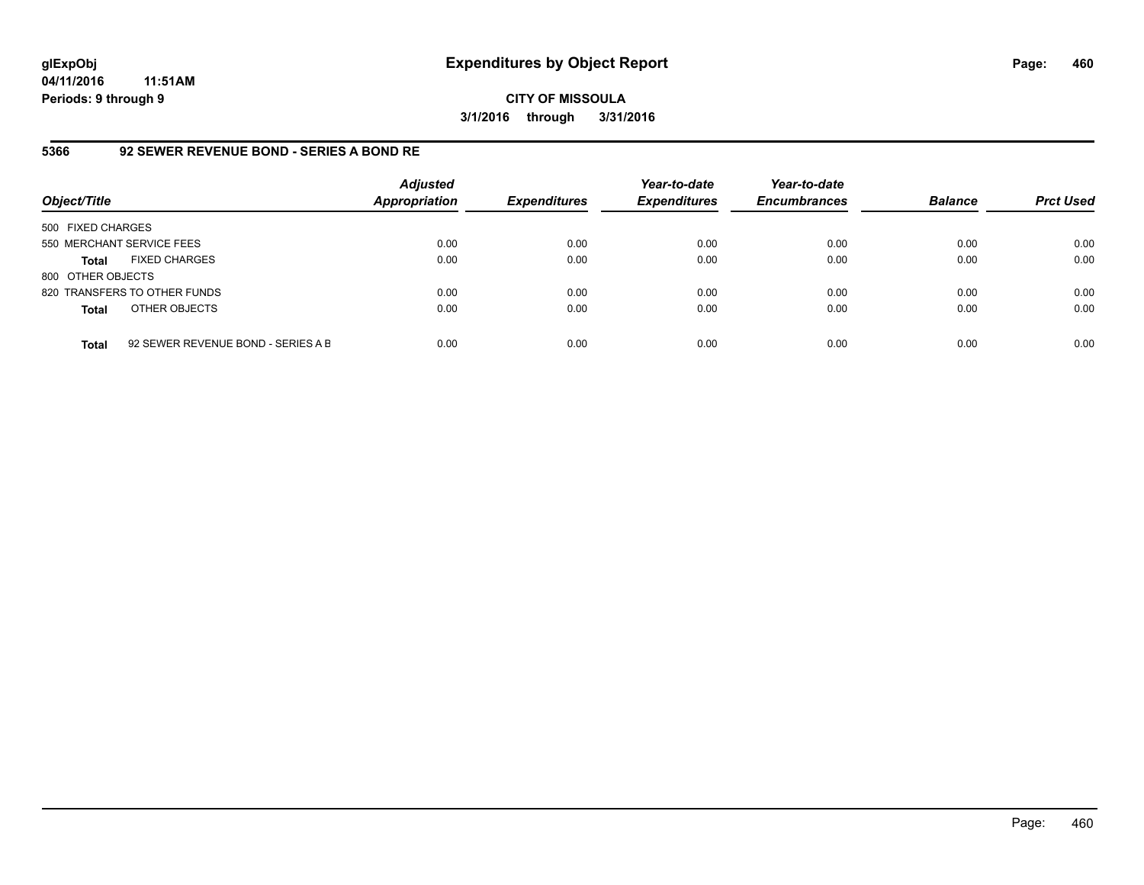**CITY OF MISSOULA 3/1/2016 through 3/31/2016**

### **5366 92 SEWER REVENUE BOND - SERIES A BOND RE**

| Object/Title              |                                    | <b>Adjusted</b><br><b>Appropriation</b> | <b>Expenditures</b> | Year-to-date<br><b>Expenditures</b> | Year-to-date<br><b>Encumbrances</b> | <b>Balance</b> | <b>Prct Used</b> |
|---------------------------|------------------------------------|-----------------------------------------|---------------------|-------------------------------------|-------------------------------------|----------------|------------------|
| 500 FIXED CHARGES         |                                    |                                         |                     |                                     |                                     |                |                  |
| 550 MERCHANT SERVICE FEES |                                    | 0.00                                    | 0.00                | 0.00                                | 0.00                                | 0.00           | 0.00             |
| <b>Total</b>              | <b>FIXED CHARGES</b>               | 0.00                                    | 0.00                | 0.00                                | 0.00                                | 0.00           | 0.00             |
| 800 OTHER OBJECTS         |                                    |                                         |                     |                                     |                                     |                |                  |
|                           | 820 TRANSFERS TO OTHER FUNDS       | 0.00                                    | 0.00                | 0.00                                | 0.00                                | 0.00           | 0.00             |
| <b>Total</b>              | OTHER OBJECTS                      | 0.00                                    | 0.00                | 0.00                                | 0.00                                | 0.00           | 0.00             |
| <b>Total</b>              | 92 SEWER REVENUE BOND - SERIES A B | 0.00                                    | 0.00                | 0.00                                | 0.00                                | 0.00           | 0.00             |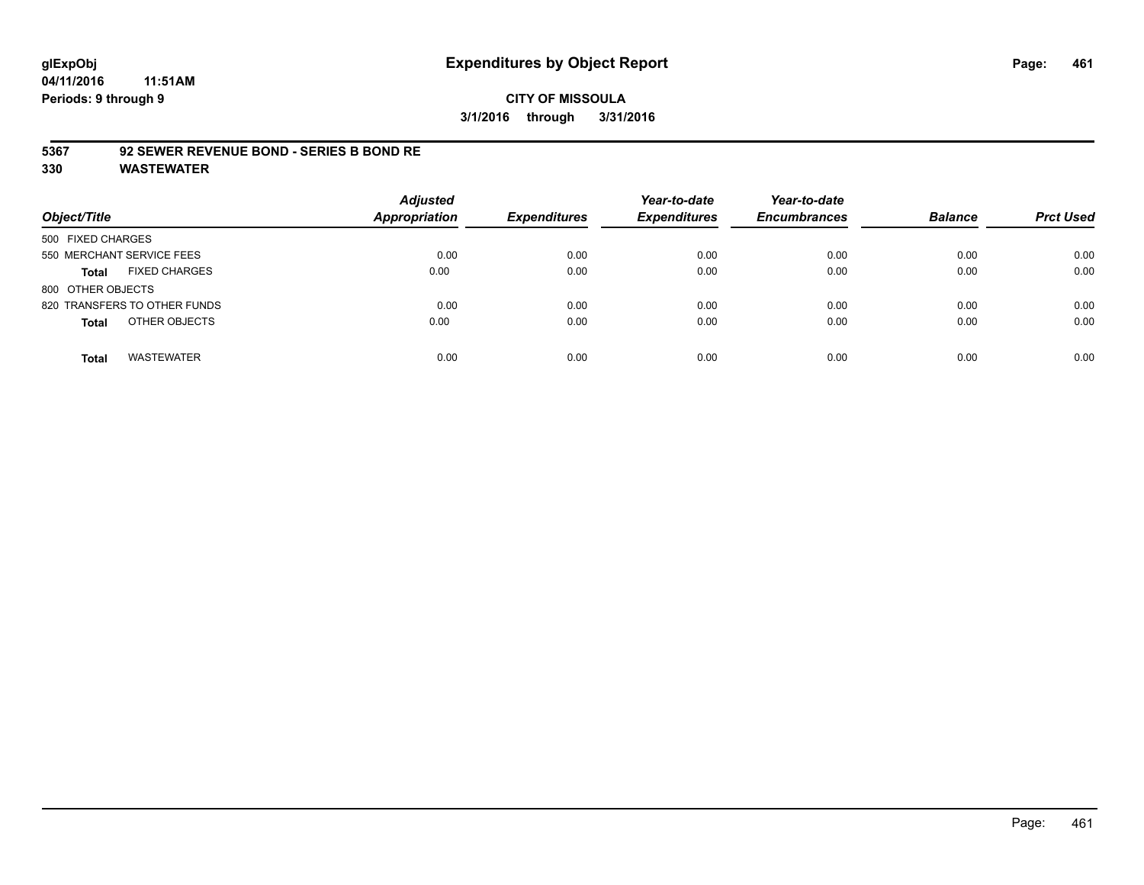### **CITY OF MISSOULA 3/1/2016 through 3/31/2016**

### **5367 92 SEWER REVENUE BOND - SERIES B BOND RE**

| Object/Title                         | <b>Adjusted</b><br><b>Appropriation</b> | <b>Expenditures</b> | Year-to-date<br><b>Expenditures</b> | Year-to-date<br><b>Encumbrances</b> | <b>Balance</b> | <b>Prct Used</b> |
|--------------------------------------|-----------------------------------------|---------------------|-------------------------------------|-------------------------------------|----------------|------------------|
| 500 FIXED CHARGES                    |                                         |                     |                                     |                                     |                |                  |
| 550 MERCHANT SERVICE FEES            | 0.00                                    | 0.00                | 0.00                                | 0.00                                | 0.00           | 0.00             |
| <b>FIXED CHARGES</b><br><b>Total</b> | 0.00                                    | 0.00                | 0.00                                | 0.00                                | 0.00           | 0.00             |
| 800 OTHER OBJECTS                    |                                         |                     |                                     |                                     |                |                  |
| 820 TRANSFERS TO OTHER FUNDS         | 0.00                                    | 0.00                | 0.00                                | 0.00                                | 0.00           | 0.00             |
| OTHER OBJECTS<br><b>Total</b>        | 0.00                                    | 0.00                | 0.00                                | 0.00                                | 0.00           | 0.00             |
| <b>WASTEWATER</b><br><b>Total</b>    | 0.00                                    | 0.00                | 0.00                                | 0.00                                | 0.00           | 0.00             |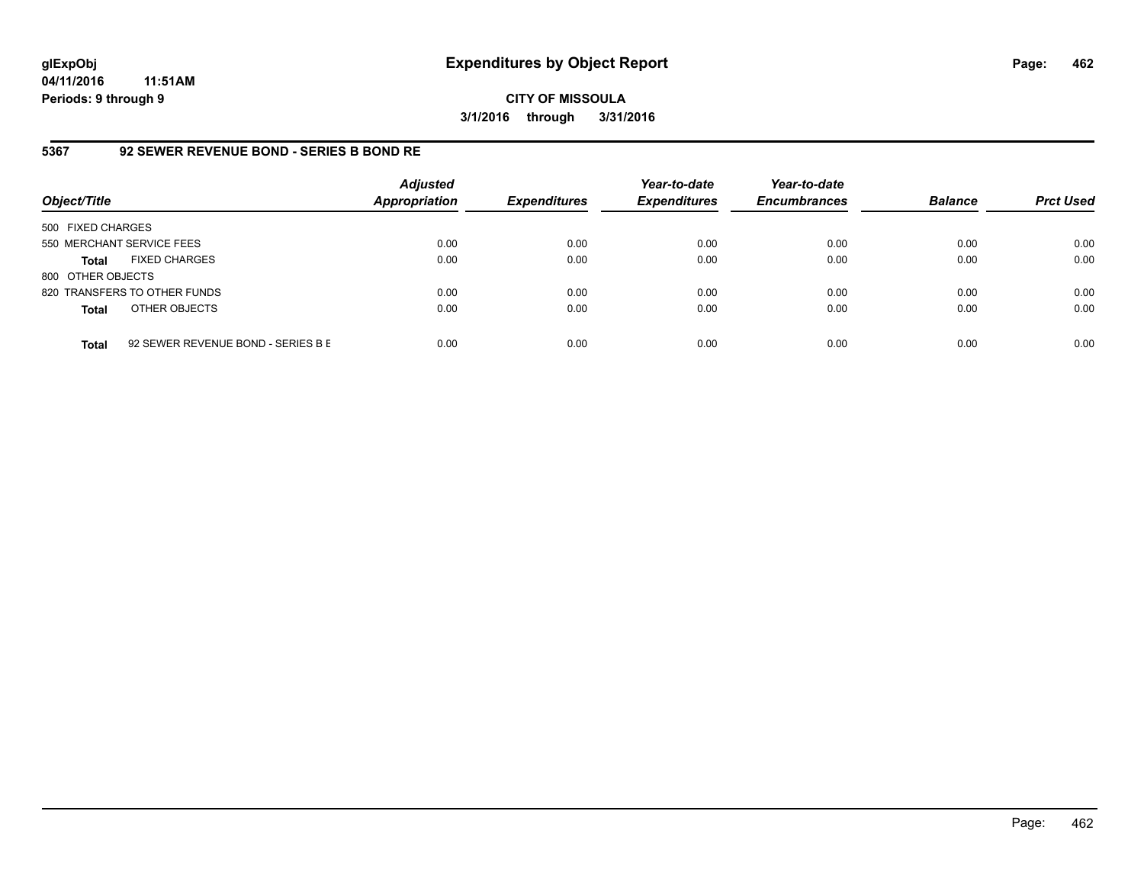**CITY OF MISSOULA 3/1/2016 through 3/31/2016**

### **5367 92 SEWER REVENUE BOND - SERIES B BOND RE**

| Object/Title              |                                    | <b>Adjusted</b><br><b>Appropriation</b> | <b>Expenditures</b> | Year-to-date<br><b>Expenditures</b> | Year-to-date<br><b>Encumbrances</b> | <b>Balance</b> | <b>Prct Used</b> |
|---------------------------|------------------------------------|-----------------------------------------|---------------------|-------------------------------------|-------------------------------------|----------------|------------------|
| 500 FIXED CHARGES         |                                    |                                         |                     |                                     |                                     |                |                  |
| 550 MERCHANT SERVICE FEES |                                    | 0.00                                    | 0.00                | 0.00                                | 0.00                                | 0.00           | 0.00             |
| <b>Total</b>              | <b>FIXED CHARGES</b>               | 0.00                                    | 0.00                | 0.00                                | 0.00                                | 0.00           | 0.00             |
| 800 OTHER OBJECTS         |                                    |                                         |                     |                                     |                                     |                |                  |
|                           | 820 TRANSFERS TO OTHER FUNDS       | 0.00                                    | 0.00                | 0.00                                | 0.00                                | 0.00           | 0.00             |
| <b>Total</b>              | OTHER OBJECTS                      | 0.00                                    | 0.00                | 0.00                                | 0.00                                | 0.00           | 0.00             |
| <b>Total</b>              | 92 SEWER REVENUE BOND - SERIES B E | 0.00                                    | 0.00                | 0.00                                | 0.00                                | 0.00           | 0.00             |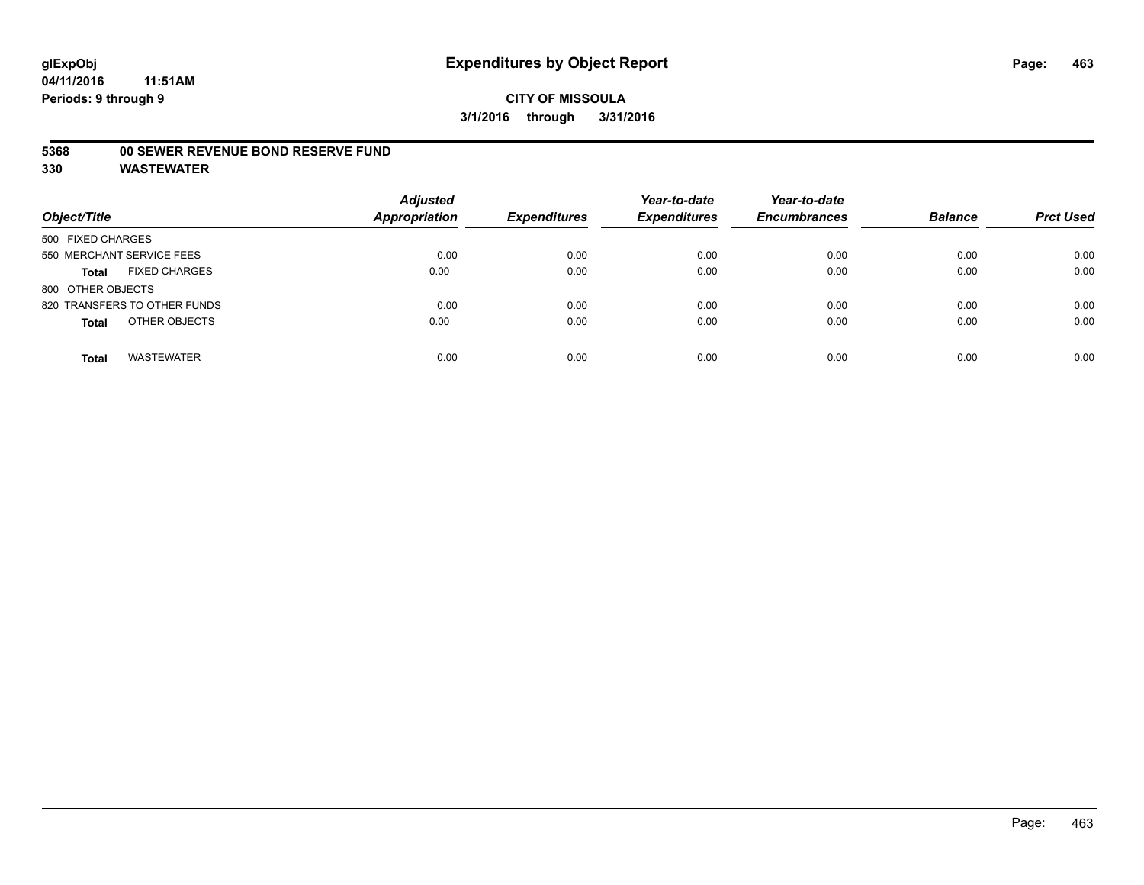#### **5368 00 SEWER REVENUE BOND RESERVE FUND**

| Object/Title                         | <b>Adjusted</b><br><b>Appropriation</b> | <b>Expenditures</b> | Year-to-date<br><b>Expenditures</b> | Year-to-date<br><b>Encumbrances</b> | <b>Balance</b> | <b>Prct Used</b> |
|--------------------------------------|-----------------------------------------|---------------------|-------------------------------------|-------------------------------------|----------------|------------------|
| 500 FIXED CHARGES                    |                                         |                     |                                     |                                     |                |                  |
| 550 MERCHANT SERVICE FEES            | 0.00                                    | 0.00                | 0.00                                | 0.00                                | 0.00           | 0.00             |
| <b>FIXED CHARGES</b><br><b>Total</b> | 0.00                                    | 0.00                | 0.00                                | 0.00                                | 0.00           | 0.00             |
| 800 OTHER OBJECTS                    |                                         |                     |                                     |                                     |                |                  |
| 820 TRANSFERS TO OTHER FUNDS         | 0.00                                    | 0.00                | 0.00                                | 0.00                                | 0.00           | 0.00             |
| OTHER OBJECTS<br><b>Total</b>        | 0.00                                    | 0.00                | 0.00                                | 0.00                                | 0.00           | 0.00             |
| <b>WASTEWATER</b><br><b>Total</b>    | 0.00                                    | 0.00                | 0.00                                | 0.00                                | 0.00           | 0.00             |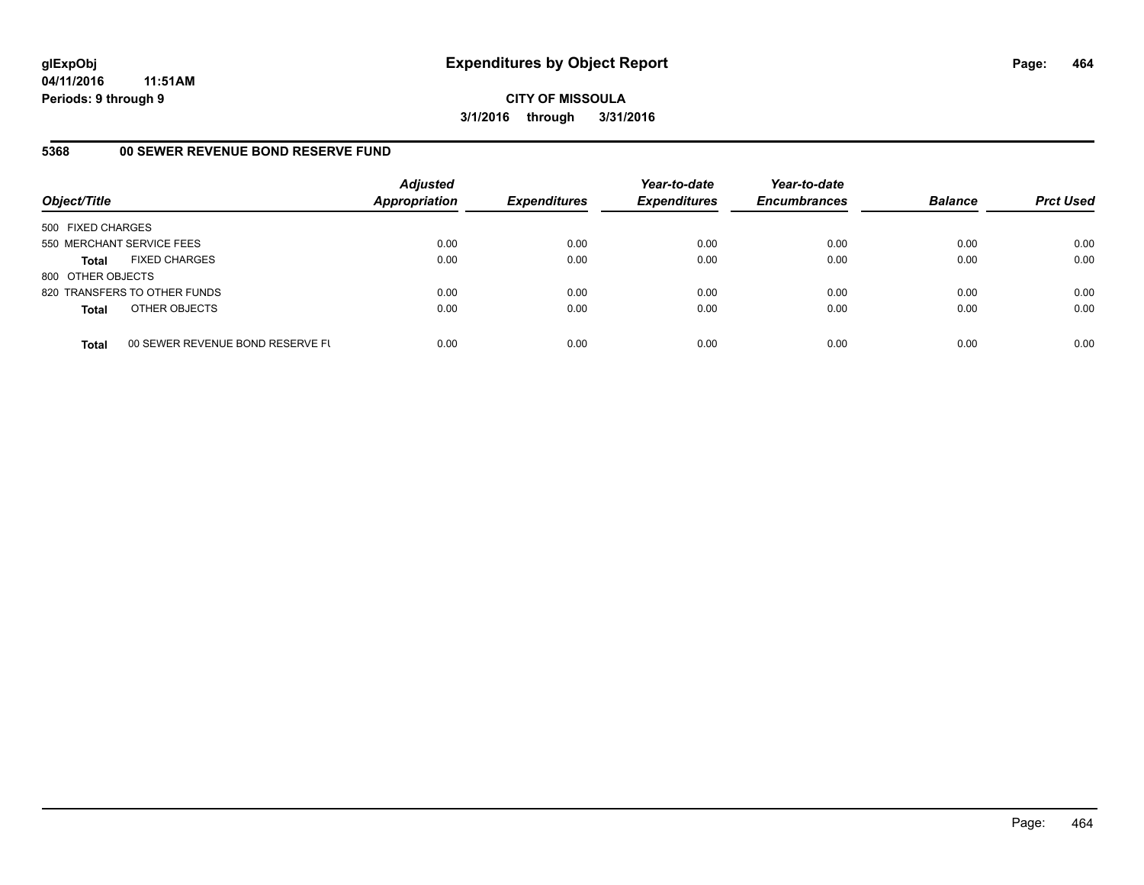**CITY OF MISSOULA 3/1/2016 through 3/31/2016**

# **5368 00 SEWER REVENUE BOND RESERVE FUND**

| Object/Title              |                                  | <b>Adjusted</b><br><b>Appropriation</b> | <b>Expenditures</b> | Year-to-date<br><b>Expenditures</b> | Year-to-date<br><b>Encumbrances</b> | <b>Balance</b> | <b>Prct Used</b> |
|---------------------------|----------------------------------|-----------------------------------------|---------------------|-------------------------------------|-------------------------------------|----------------|------------------|
| 500 FIXED CHARGES         |                                  |                                         |                     |                                     |                                     |                |                  |
| 550 MERCHANT SERVICE FEES |                                  | 0.00                                    | 0.00                | 0.00                                | 0.00                                | 0.00           | 0.00             |
| Total                     | <b>FIXED CHARGES</b>             | 0.00                                    | 0.00                | 0.00                                | 0.00                                | 0.00           | 0.00             |
| 800 OTHER OBJECTS         |                                  |                                         |                     |                                     |                                     |                |                  |
|                           | 820 TRANSFERS TO OTHER FUNDS     | 0.00                                    | 0.00                | 0.00                                | 0.00                                | 0.00           | 0.00             |
| <b>Total</b>              | OTHER OBJECTS                    | 0.00                                    | 0.00                | 0.00                                | 0.00                                | 0.00           | 0.00             |
| <b>Total</b>              | 00 SEWER REVENUE BOND RESERVE FL | 0.00                                    | 0.00                | 0.00                                | 0.00                                | 0.00           | 0.00             |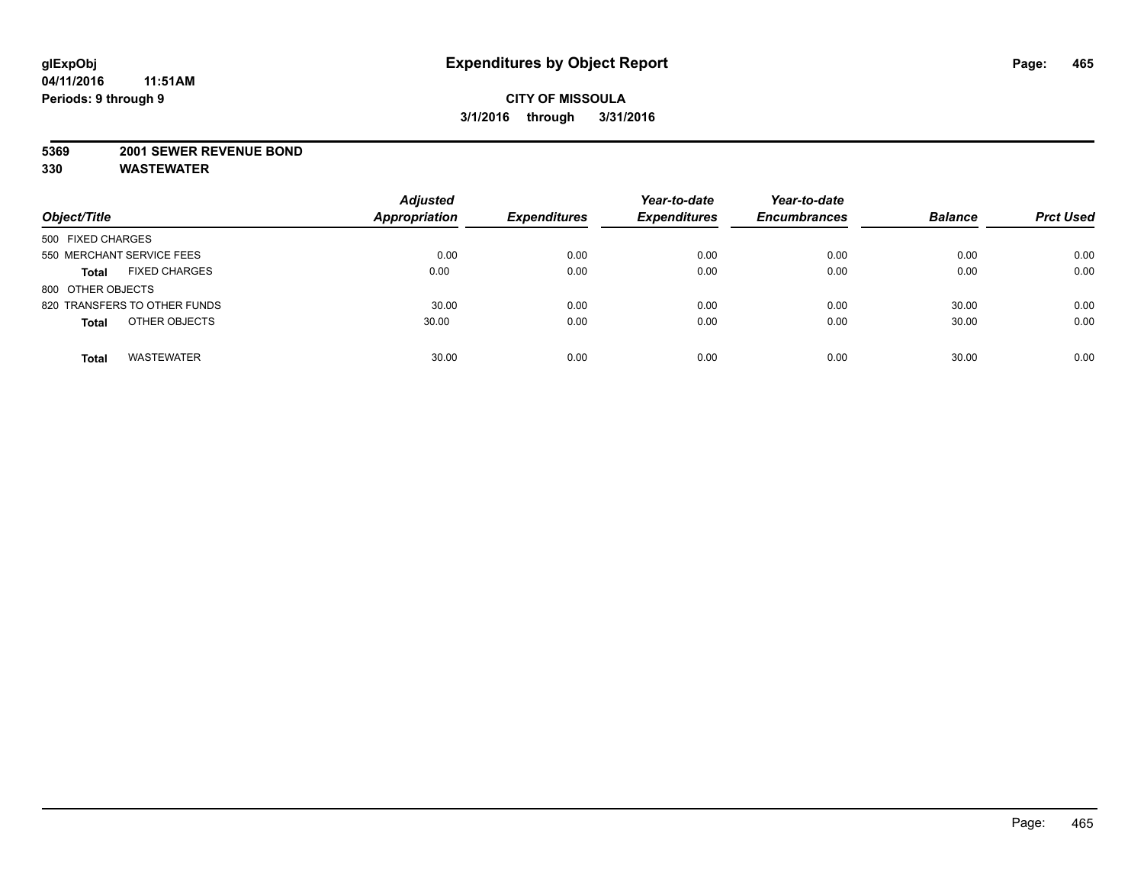#### **5369 2001 SEWER REVENUE BOND**

| Object/Title                         | <b>Adjusted</b><br><b>Appropriation</b> | <b>Expenditures</b> | Year-to-date<br><b>Expenditures</b> | Year-to-date<br><b>Encumbrances</b> | <b>Balance</b> | <b>Prct Used</b> |
|--------------------------------------|-----------------------------------------|---------------------|-------------------------------------|-------------------------------------|----------------|------------------|
| 500 FIXED CHARGES                    |                                         |                     |                                     |                                     |                |                  |
| 550 MERCHANT SERVICE FEES            | 0.00                                    | 0.00                | 0.00                                | 0.00                                | 0.00           | 0.00             |
| <b>FIXED CHARGES</b><br><b>Total</b> | 0.00                                    | 0.00                | 0.00                                | 0.00                                | 0.00           | 0.00             |
| 800 OTHER OBJECTS                    |                                         |                     |                                     |                                     |                |                  |
| 820 TRANSFERS TO OTHER FUNDS         | 30.00                                   | 0.00                | 0.00                                | 0.00                                | 30.00          | 0.00             |
| OTHER OBJECTS<br><b>Total</b>        | 30.00                                   | 0.00                | 0.00                                | 0.00                                | 30.00          | 0.00             |
| <b>WASTEWATER</b><br><b>Total</b>    | 30.00                                   | 0.00                | 0.00                                | 0.00                                | 30.00          | 0.00             |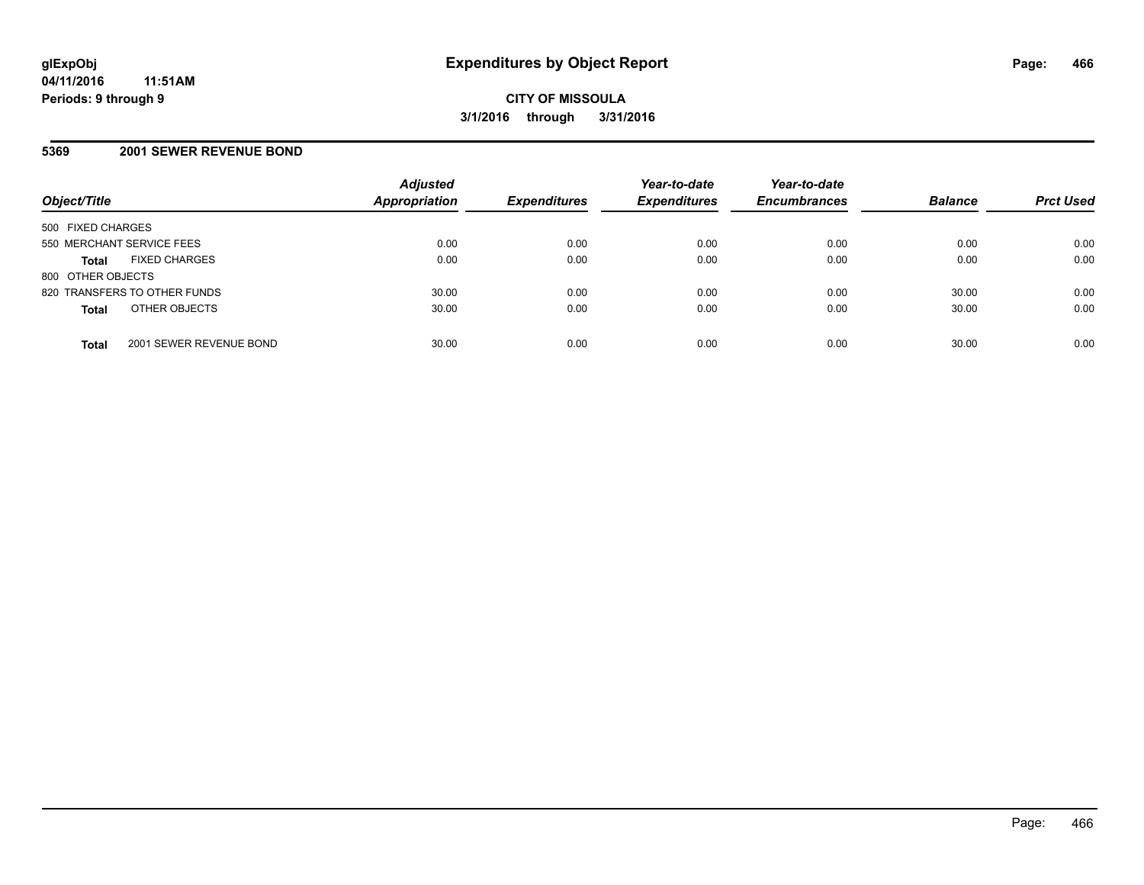### **5369 2001 SEWER REVENUE BOND**

| Object/Title                            | <b>Adjusted</b><br>Appropriation | <b>Expenditures</b> | Year-to-date<br><b>Expenditures</b> | Year-to-date<br><b>Encumbrances</b> | <b>Balance</b> | <b>Prct Used</b> |
|-----------------------------------------|----------------------------------|---------------------|-------------------------------------|-------------------------------------|----------------|------------------|
| 500 FIXED CHARGES                       |                                  |                     |                                     |                                     |                |                  |
| 550 MERCHANT SERVICE FEES               | 0.00                             | 0.00                | 0.00                                | 0.00                                | 0.00           | 0.00             |
| <b>FIXED CHARGES</b><br><b>Total</b>    | 0.00                             | 0.00                | 0.00                                | 0.00                                | 0.00           | 0.00             |
| 800 OTHER OBJECTS                       |                                  |                     |                                     |                                     |                |                  |
| 820 TRANSFERS TO OTHER FUNDS            | 30.00                            | 0.00                | 0.00                                | 0.00                                | 30.00          | 0.00             |
| OTHER OBJECTS<br><b>Total</b>           | 30.00                            | 0.00                | 0.00                                | 0.00                                | 30.00          | 0.00             |
| 2001 SEWER REVENUE BOND<br><b>Total</b> | 30.00                            | 0.00                | 0.00                                | 0.00                                | 30.00          | 0.00             |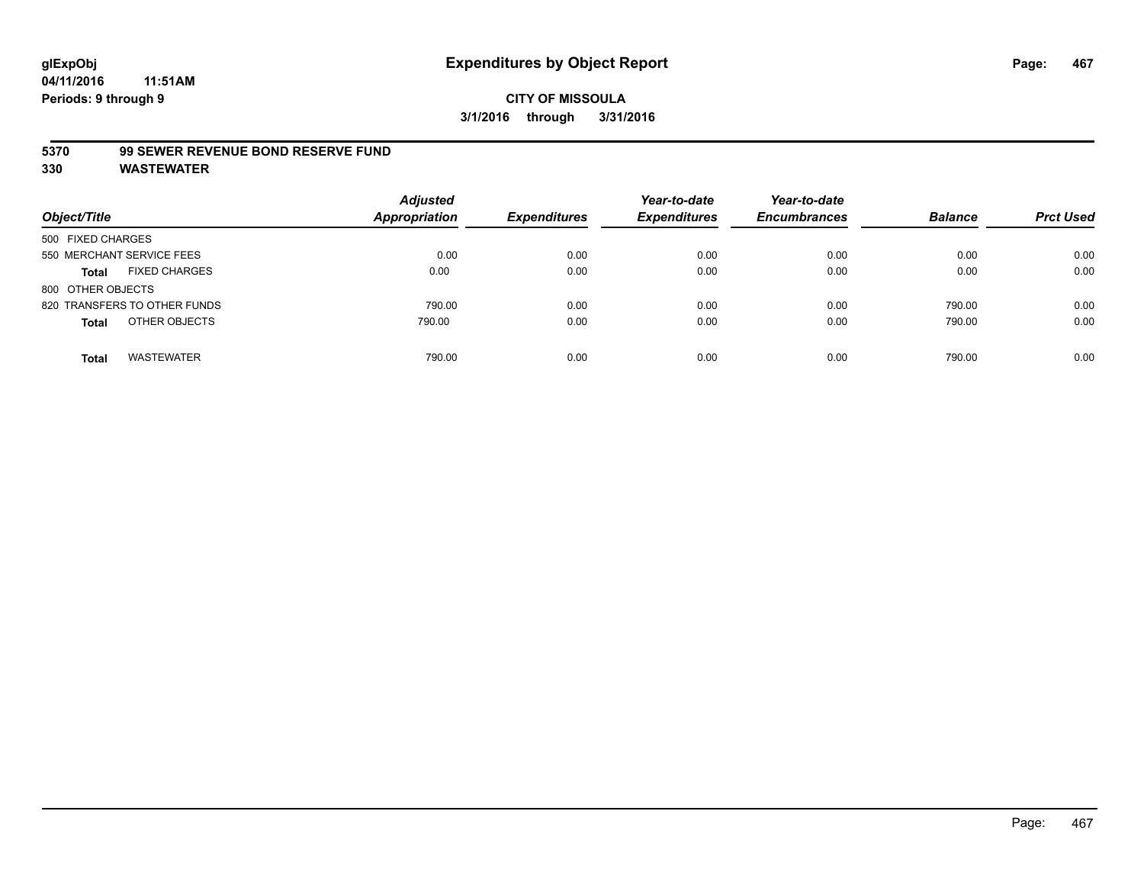#### **5370 99 SEWER REVENUE BOND RESERVE FUND**

| Object/Title                         | <b>Adjusted</b><br><b>Appropriation</b> | <b>Expenditures</b> | Year-to-date<br><b>Expenditures</b> | Year-to-date<br><b>Encumbrances</b> | <b>Balance</b> | <b>Prct Used</b> |
|--------------------------------------|-----------------------------------------|---------------------|-------------------------------------|-------------------------------------|----------------|------------------|
| 500 FIXED CHARGES                    |                                         |                     |                                     |                                     |                |                  |
| 550 MERCHANT SERVICE FEES            | 0.00                                    | 0.00                | 0.00                                | 0.00                                | 0.00           | 0.00             |
| <b>FIXED CHARGES</b><br><b>Total</b> | 0.00                                    | 0.00                | 0.00                                | 0.00                                | 0.00           | 0.00             |
| 800 OTHER OBJECTS                    |                                         |                     |                                     |                                     |                |                  |
| 820 TRANSFERS TO OTHER FUNDS         | 790.00                                  | 0.00                | 0.00                                | 0.00                                | 790.00         | 0.00             |
| OTHER OBJECTS<br><b>Total</b>        | 790.00                                  | 0.00                | 0.00                                | 0.00                                | 790.00         | 0.00             |
| <b>WASTEWATER</b><br>Total           | 790.00                                  | 0.00                | 0.00                                | 0.00                                | 790.00         | 0.00             |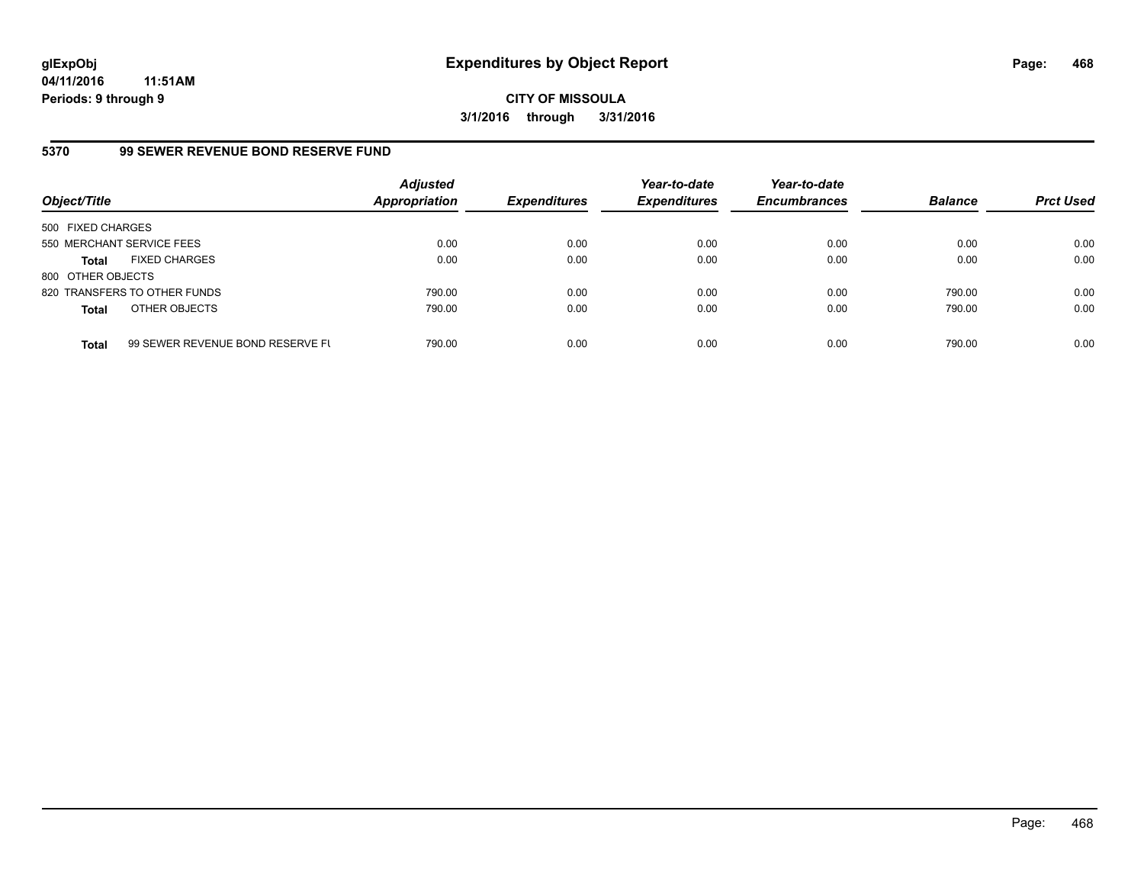**CITY OF MISSOULA 3/1/2016 through 3/31/2016**

# **5370 99 SEWER REVENUE BOND RESERVE FUND**

| Object/Title              |                                  | <b>Adjusted</b><br><b>Appropriation</b> | <b>Expenditures</b> | Year-to-date<br><b>Expenditures</b> | Year-to-date<br><b>Encumbrances</b> | <b>Balance</b> | <b>Prct Used</b> |
|---------------------------|----------------------------------|-----------------------------------------|---------------------|-------------------------------------|-------------------------------------|----------------|------------------|
| 500 FIXED CHARGES         |                                  |                                         |                     |                                     |                                     |                |                  |
| 550 MERCHANT SERVICE FEES |                                  | 0.00                                    | 0.00                | 0.00                                | 0.00                                | 0.00           | 0.00             |
| <b>Total</b>              | <b>FIXED CHARGES</b>             | 0.00                                    | 0.00                | 0.00                                | 0.00                                | 0.00           | 0.00             |
| 800 OTHER OBJECTS         |                                  |                                         |                     |                                     |                                     |                |                  |
|                           | 820 TRANSFERS TO OTHER FUNDS     | 790.00                                  | 0.00                | 0.00                                | 0.00                                | 790.00         | 0.00             |
| <b>Total</b>              | OTHER OBJECTS                    | 790.00                                  | 0.00                | 0.00                                | 0.00                                | 790.00         | 0.00             |
| <b>Total</b>              | 99 SEWER REVENUE BOND RESERVE FL | 790.00                                  | 0.00                | 0.00                                | 0.00                                | 790.00         | 0.00             |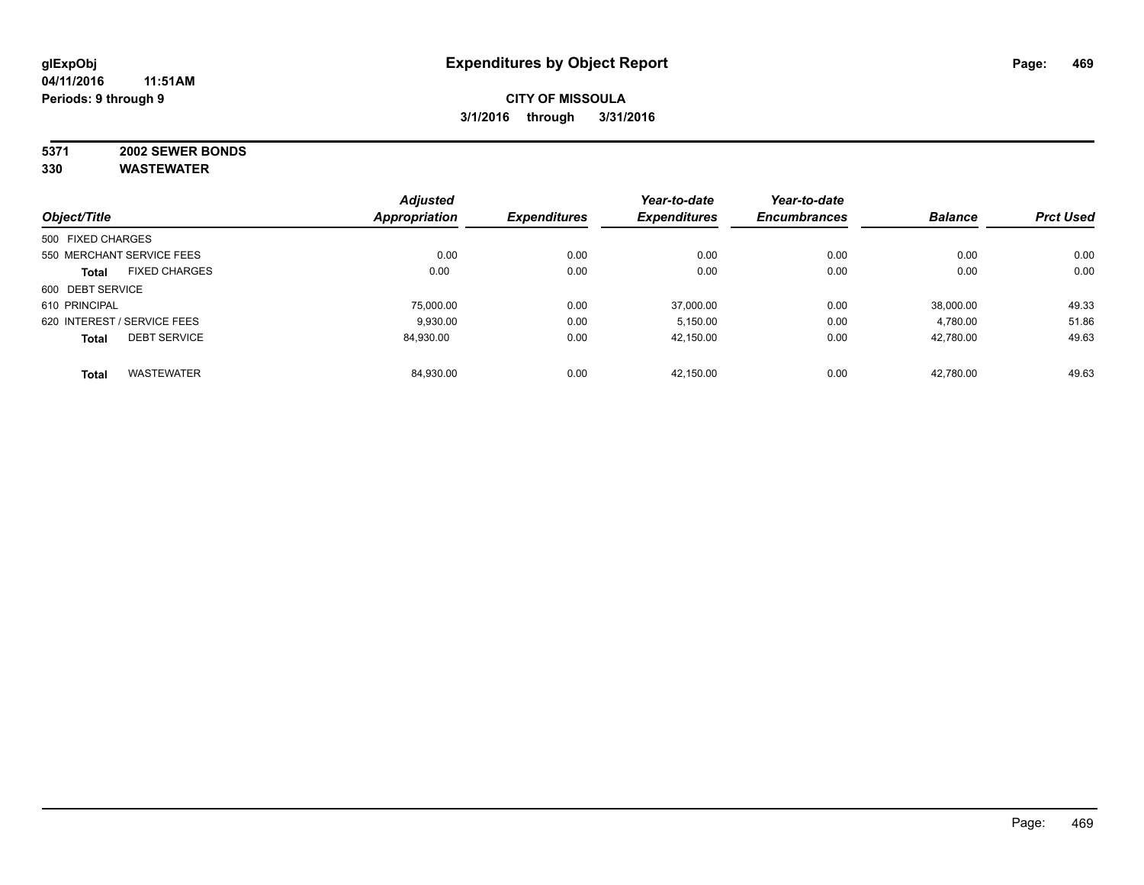# **5371 2002 SEWER BONDS**

|                   |                             | <b>Adjusted</b> |                     | Year-to-date        | Year-to-date        |                |                  |
|-------------------|-----------------------------|-----------------|---------------------|---------------------|---------------------|----------------|------------------|
| Object/Title      |                             | Appropriation   | <b>Expenditures</b> | <b>Expenditures</b> | <b>Encumbrances</b> | <b>Balance</b> | <b>Prct Used</b> |
| 500 FIXED CHARGES |                             |                 |                     |                     |                     |                |                  |
|                   | 550 MERCHANT SERVICE FEES   | 0.00            | 0.00                | 0.00                | 0.00                | 0.00           | 0.00             |
| <b>Total</b>      | <b>FIXED CHARGES</b>        | 0.00            | 0.00                | 0.00                | 0.00                | 0.00           | 0.00             |
| 600 DEBT SERVICE  |                             |                 |                     |                     |                     |                |                  |
| 610 PRINCIPAL     |                             | 75.000.00       | 0.00                | 37.000.00           | 0.00                | 38.000.00      | 49.33            |
|                   | 620 INTEREST / SERVICE FEES | 9.930.00        | 0.00                | 5,150.00            | 0.00                | 4,780.00       | 51.86            |
| <b>Total</b>      | <b>DEBT SERVICE</b>         | 84.930.00       | 0.00                | 42,150.00           | 0.00                | 42,780.00      | 49.63            |
| <b>Total</b>      | <b>WASTEWATER</b>           | 84,930.00       | 0.00                | 42.150.00           | 0.00                | 42,780.00      | 49.63            |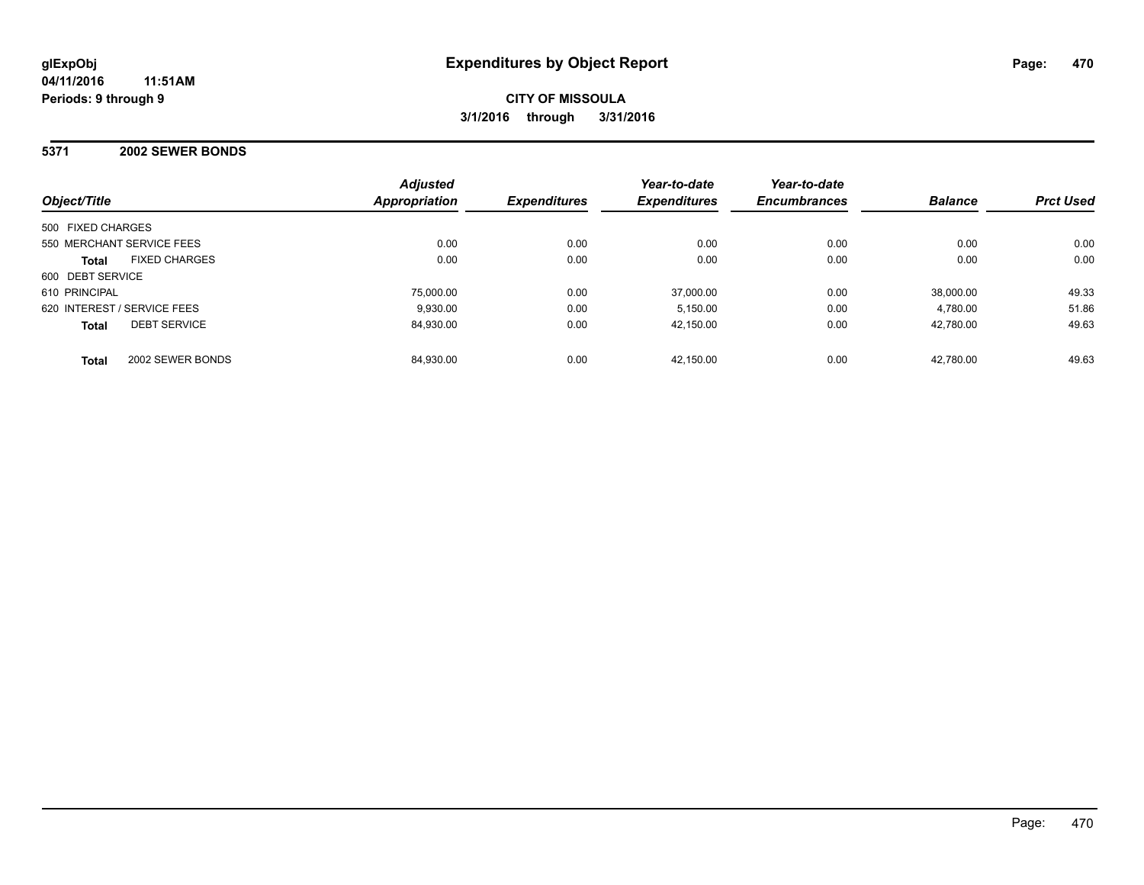#### **5371 2002 SEWER BONDS**

| Object/Title                         | <b>Adjusted</b><br>Appropriation | <b>Expenditures</b> | Year-to-date<br><b>Expenditures</b> | Year-to-date<br><b>Encumbrances</b> | <b>Balance</b> | <b>Prct Used</b> |
|--------------------------------------|----------------------------------|---------------------|-------------------------------------|-------------------------------------|----------------|------------------|
| 500 FIXED CHARGES                    |                                  |                     |                                     |                                     |                |                  |
| 550 MERCHANT SERVICE FEES            | 0.00                             | 0.00                | 0.00                                | 0.00                                | 0.00           | 0.00             |
| <b>FIXED CHARGES</b><br><b>Total</b> | 0.00                             | 0.00                | 0.00                                | 0.00                                | 0.00           | 0.00             |
| 600 DEBT SERVICE                     |                                  |                     |                                     |                                     |                |                  |
| 610 PRINCIPAL                        | 75.000.00                        | 0.00                | 37.000.00                           | 0.00                                | 38.000.00      | 49.33            |
| 620 INTEREST / SERVICE FEES          | 9.930.00                         | 0.00                | 5.150.00                            | 0.00                                | 4.780.00       | 51.86            |
| <b>DEBT SERVICE</b><br><b>Total</b>  | 84,930.00                        | 0.00                | 42,150.00                           | 0.00                                | 42,780.00      | 49.63            |
| 2002 SEWER BONDS<br><b>Total</b>     | 84,930.00                        | 0.00                | 42.150.00                           | 0.00                                | 42.780.00      | 49.63            |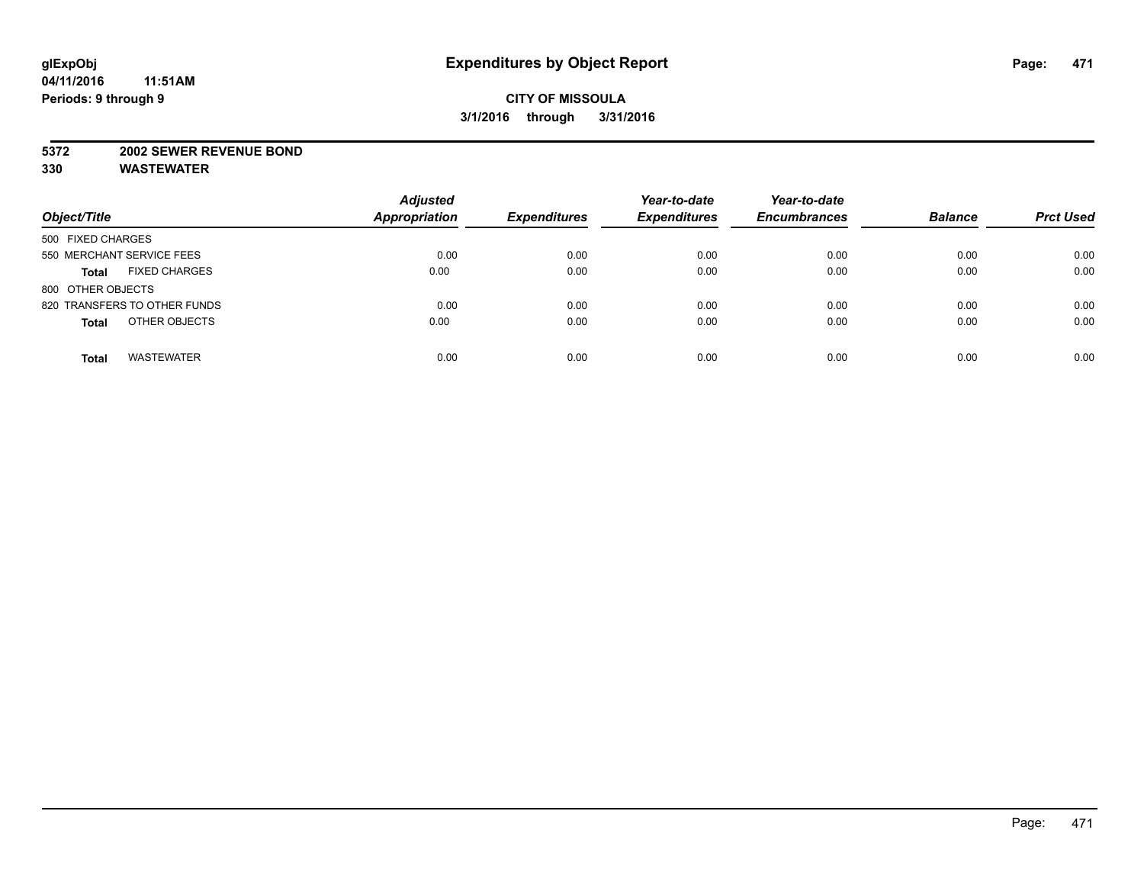#### **5372 2002 SEWER REVENUE BOND**

| Object/Title                         | <b>Adjusted</b><br>Appropriation | <b>Expenditures</b> | Year-to-date<br><b>Expenditures</b> | Year-to-date<br><b>Encumbrances</b> | <b>Balance</b> | <b>Prct Used</b> |
|--------------------------------------|----------------------------------|---------------------|-------------------------------------|-------------------------------------|----------------|------------------|
| 500 FIXED CHARGES                    |                                  |                     |                                     |                                     |                |                  |
| 550 MERCHANT SERVICE FEES            | 0.00                             | 0.00                | 0.00                                | 0.00                                | 0.00           | 0.00             |
| <b>FIXED CHARGES</b><br><b>Total</b> | 0.00                             | 0.00                | 0.00                                | 0.00                                | 0.00           | 0.00             |
| 800 OTHER OBJECTS                    |                                  |                     |                                     |                                     |                |                  |
| 820 TRANSFERS TO OTHER FUNDS         | 0.00                             | 0.00                | 0.00                                | 0.00                                | 0.00           | 0.00             |
| OTHER OBJECTS<br><b>Total</b>        | 0.00                             | 0.00                | 0.00                                | 0.00                                | 0.00           | 0.00             |
| <b>WASTEWATER</b><br><b>Total</b>    | 0.00                             | 0.00                | 0.00                                | 0.00                                | 0.00           | 0.00             |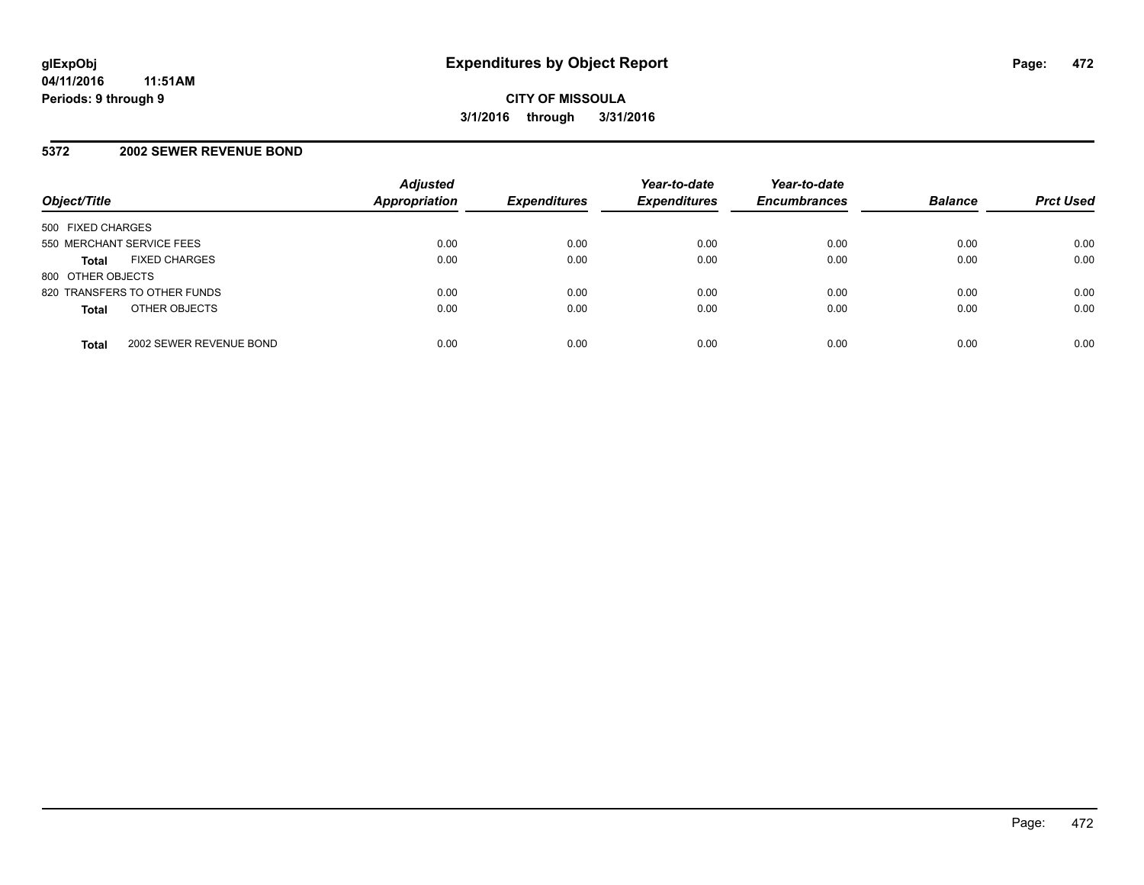#### **5372 2002 SEWER REVENUE BOND**

| Object/Title              |                              | <b>Adjusted</b><br>Appropriation | <b>Expenditures</b> | Year-to-date<br><b>Expenditures</b> | Year-to-date<br><b>Encumbrances</b> | <b>Balance</b> | <b>Prct Used</b> |
|---------------------------|------------------------------|----------------------------------|---------------------|-------------------------------------|-------------------------------------|----------------|------------------|
| 500 FIXED CHARGES         |                              |                                  |                     |                                     |                                     |                |                  |
| 550 MERCHANT SERVICE FEES |                              | 0.00                             | 0.00                | 0.00                                | 0.00                                | 0.00           | 0.00             |
| <b>Total</b>              | <b>FIXED CHARGES</b>         | 0.00                             | 0.00                | 0.00                                | 0.00                                | 0.00           | 0.00             |
| 800 OTHER OBJECTS         |                              |                                  |                     |                                     |                                     |                |                  |
|                           | 820 TRANSFERS TO OTHER FUNDS | 0.00                             | 0.00                | 0.00                                | 0.00                                | 0.00           | 0.00             |
| <b>Total</b>              | OTHER OBJECTS                | 0.00                             | 0.00                | 0.00                                | 0.00                                | 0.00           | 0.00             |
| <b>Total</b>              | 2002 SEWER REVENUE BOND      | 0.00                             | 0.00                | 0.00                                | 0.00                                | 0.00           | 0.00             |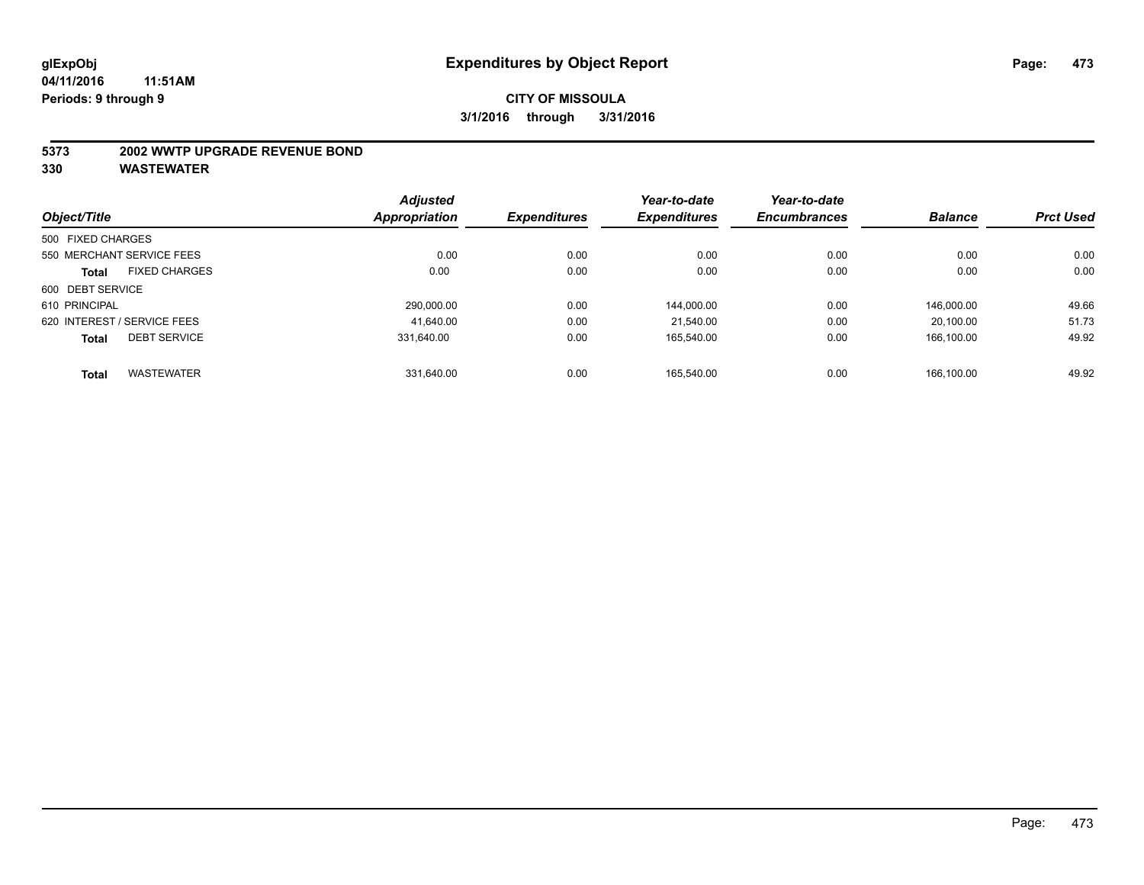#### **5373 2002 WWTP UPGRADE REVENUE BOND**

|                   |                             | <b>Adjusted</b> |                     | Year-to-date        | Year-to-date        |                |                  |
|-------------------|-----------------------------|-----------------|---------------------|---------------------|---------------------|----------------|------------------|
| Object/Title      |                             | Appropriation   | <b>Expenditures</b> | <b>Expenditures</b> | <b>Encumbrances</b> | <b>Balance</b> | <b>Prct Used</b> |
| 500 FIXED CHARGES |                             |                 |                     |                     |                     |                |                  |
|                   | 550 MERCHANT SERVICE FEES   | 0.00            | 0.00                | 0.00                | 0.00                | 0.00           | 0.00             |
| <b>Total</b>      | <b>FIXED CHARGES</b>        | 0.00            | 0.00                | 0.00                | 0.00                | 0.00           | 0.00             |
| 600 DEBT SERVICE  |                             |                 |                     |                     |                     |                |                  |
| 610 PRINCIPAL     |                             | 290.000.00      | 0.00                | 144,000.00          | 0.00                | 146.000.00     | 49.66            |
|                   | 620 INTEREST / SERVICE FEES | 41,640.00       | 0.00                | 21.540.00           | 0.00                | 20.100.00      | 51.73            |
| <b>Total</b>      | <b>DEBT SERVICE</b>         | 331.640.00      | 0.00                | 165.540.00          | 0.00                | 166.100.00     | 49.92            |
| <b>Total</b>      | <b>WASTEWATER</b>           | 331.640.00      | 0.00                | 165.540.00          | 0.00                | 166.100.00     | 49.92            |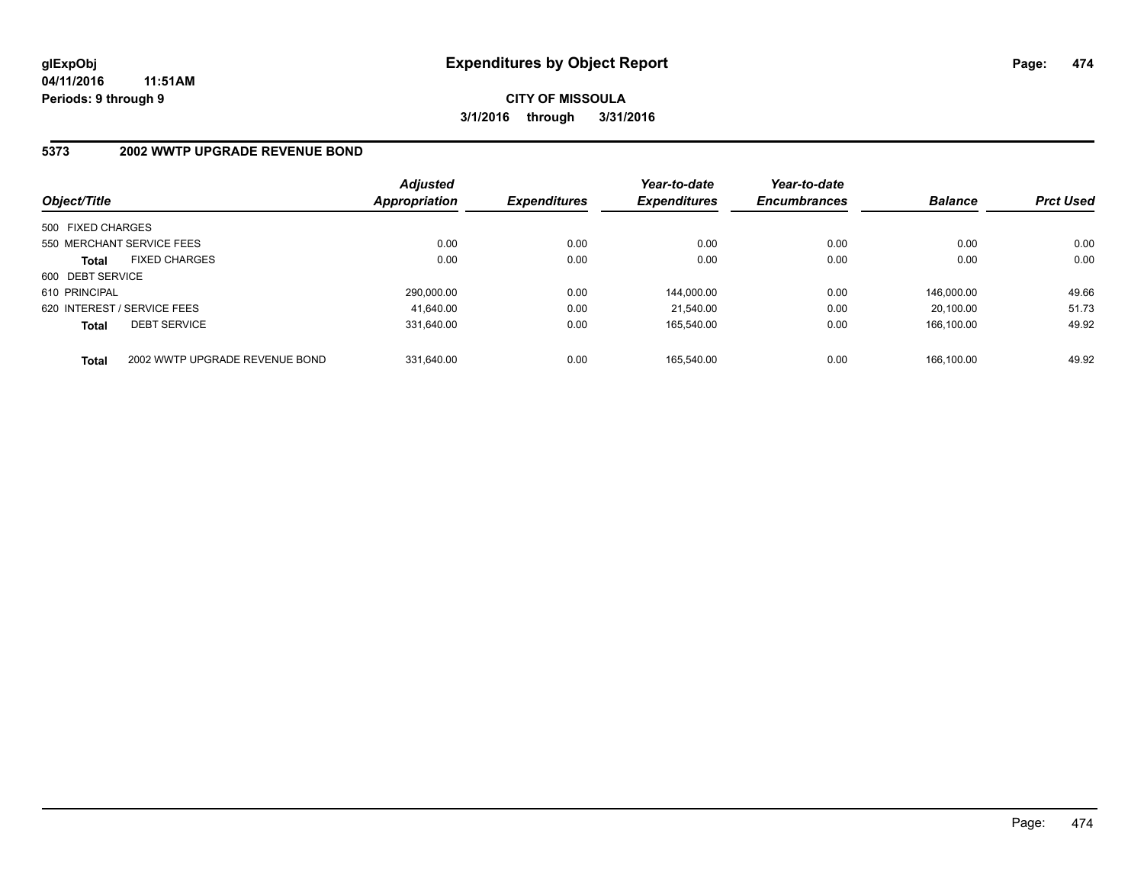# **5373 2002 WWTP UPGRADE REVENUE BOND**

| Object/Title                |                                | <b>Adjusted</b><br>Appropriation | <b>Expenditures</b> | Year-to-date<br><b>Expenditures</b> | Year-to-date<br><b>Encumbrances</b> | <b>Balance</b> | <b>Prct Used</b> |
|-----------------------------|--------------------------------|----------------------------------|---------------------|-------------------------------------|-------------------------------------|----------------|------------------|
| 500 FIXED CHARGES           |                                |                                  |                     |                                     |                                     |                |                  |
|                             | 550 MERCHANT SERVICE FEES      | 0.00                             | 0.00                | 0.00                                | 0.00                                | 0.00           | 0.00             |
| <b>Total</b>                | <b>FIXED CHARGES</b>           | 0.00                             | 0.00                | 0.00                                | 0.00                                | 0.00           | 0.00             |
| 600 DEBT SERVICE            |                                |                                  |                     |                                     |                                     |                |                  |
| 610 PRINCIPAL               |                                | 290.000.00                       | 0.00                | 144.000.00                          | 0.00                                | 146.000.00     | 49.66            |
| 620 INTEREST / SERVICE FEES |                                | 41.640.00                        | 0.00                | 21.540.00                           | 0.00                                | 20.100.00      | 51.73            |
| <b>Total</b>                | <b>DEBT SERVICE</b>            | 331.640.00                       | 0.00                | 165.540.00                          | 0.00                                | 166.100.00     | 49.92            |
| <b>Total</b>                | 2002 WWTP UPGRADE REVENUE BOND | 331.640.00                       | 0.00                | 165.540.00                          | 0.00                                | 166.100.00     | 49.92            |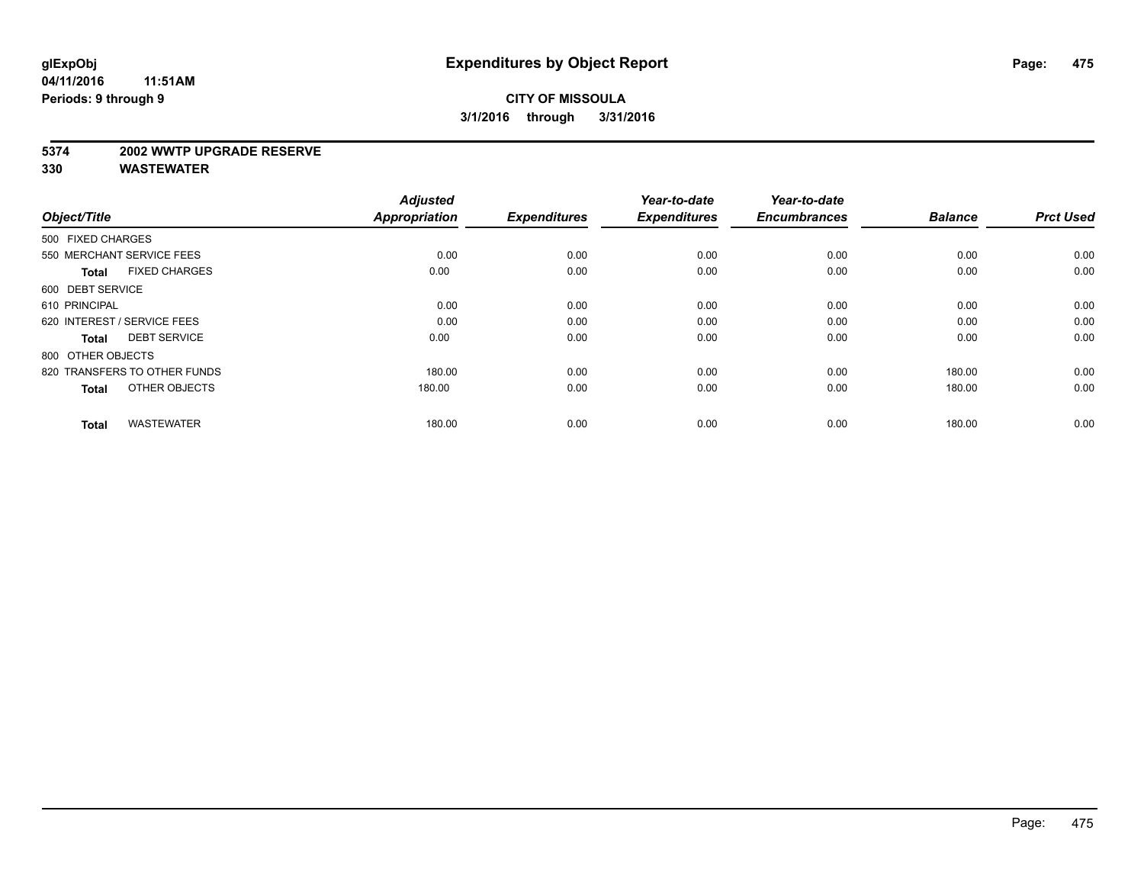#### **5374 2002 WWTP UPGRADE RESERVE**

| Object/Title                         | <b>Adjusted</b><br><b>Appropriation</b> | <b>Expenditures</b> | Year-to-date<br><b>Expenditures</b> | Year-to-date<br><b>Encumbrances</b> | <b>Balance</b> | <b>Prct Used</b> |
|--------------------------------------|-----------------------------------------|---------------------|-------------------------------------|-------------------------------------|----------------|------------------|
| 500 FIXED CHARGES                    |                                         |                     |                                     |                                     |                |                  |
| 550 MERCHANT SERVICE FEES            | 0.00                                    | 0.00                | 0.00                                | 0.00                                | 0.00           | 0.00             |
| <b>FIXED CHARGES</b><br><b>Total</b> | 0.00                                    | 0.00                | 0.00                                | 0.00                                | 0.00           | 0.00             |
| 600 DEBT SERVICE                     |                                         |                     |                                     |                                     |                |                  |
| 610 PRINCIPAL                        | 0.00                                    | 0.00                | 0.00                                | 0.00                                | 0.00           | 0.00             |
| 620 INTEREST / SERVICE FEES          | 0.00                                    | 0.00                | 0.00                                | 0.00                                | 0.00           | 0.00             |
| <b>DEBT SERVICE</b><br><b>Total</b>  | 0.00                                    | 0.00                | 0.00                                | 0.00                                | 0.00           | 0.00             |
| 800 OTHER OBJECTS                    |                                         |                     |                                     |                                     |                |                  |
| 820 TRANSFERS TO OTHER FUNDS         | 180.00                                  | 0.00                | 0.00                                | 0.00                                | 180.00         | 0.00             |
| OTHER OBJECTS<br><b>Total</b>        | 180.00                                  | 0.00                | 0.00                                | 0.00                                | 180.00         | 0.00             |
|                                      |                                         |                     |                                     |                                     |                |                  |
| <b>WASTEWATER</b><br><b>Total</b>    | 180.00                                  | 0.00                | 0.00                                | 0.00                                | 180.00         | 0.00             |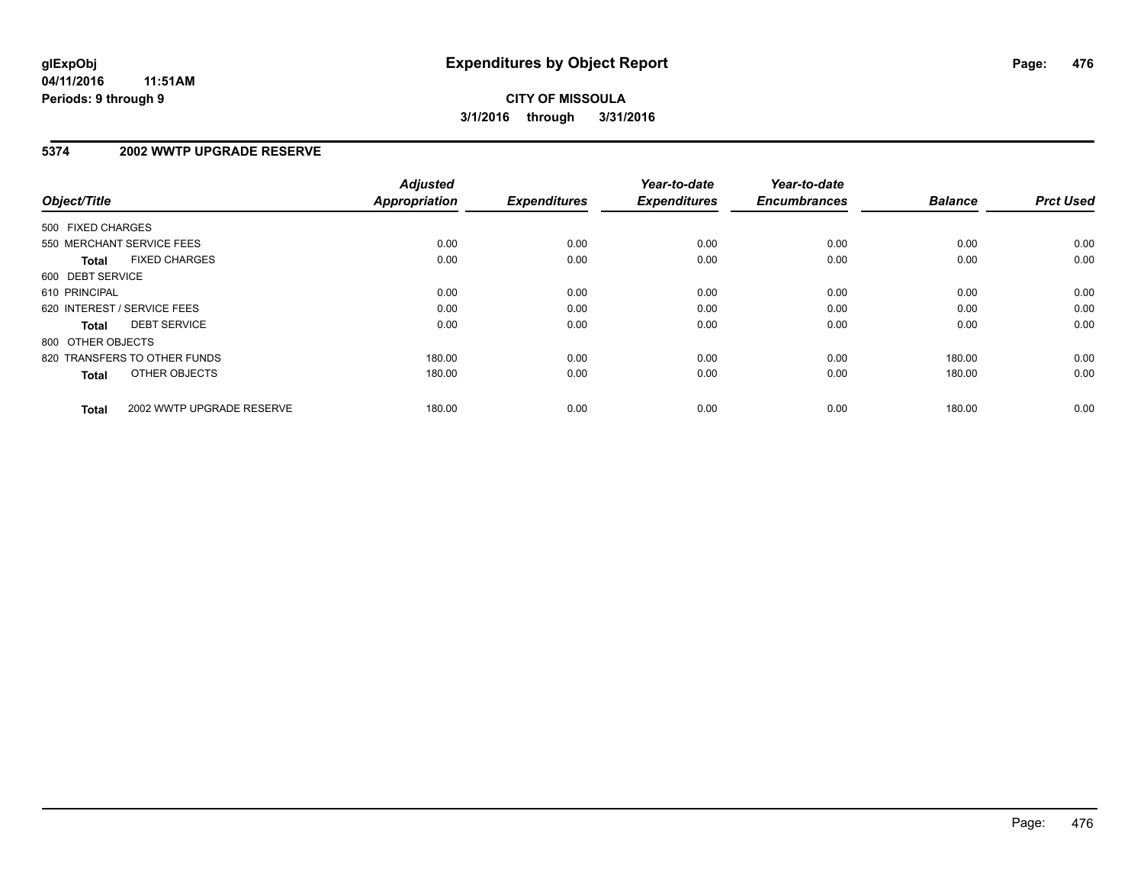#### **5374 2002 WWTP UPGRADE RESERVE**

| Object/Title      |                              | <b>Adjusted</b><br><b>Appropriation</b> | <b>Expenditures</b> | Year-to-date<br><b>Expenditures</b> | Year-to-date<br><b>Encumbrances</b> | <b>Balance</b> | <b>Prct Used</b> |
|-------------------|------------------------------|-----------------------------------------|---------------------|-------------------------------------|-------------------------------------|----------------|------------------|
| 500 FIXED CHARGES |                              |                                         |                     |                                     |                                     |                |                  |
|                   | 550 MERCHANT SERVICE FEES    | 0.00                                    | 0.00                | 0.00                                | 0.00                                | 0.00           | 0.00             |
| <b>Total</b>      | <b>FIXED CHARGES</b>         | 0.00                                    | 0.00                | 0.00                                | 0.00                                | 0.00           | 0.00             |
| 600 DEBT SERVICE  |                              |                                         |                     |                                     |                                     |                |                  |
| 610 PRINCIPAL     |                              | 0.00                                    | 0.00                | 0.00                                | 0.00                                | 0.00           | 0.00             |
|                   | 620 INTEREST / SERVICE FEES  | 0.00                                    | 0.00                | 0.00                                | 0.00                                | 0.00           | 0.00             |
| Total             | <b>DEBT SERVICE</b>          | 0.00                                    | 0.00                | 0.00                                | 0.00                                | 0.00           | 0.00             |
| 800 OTHER OBJECTS |                              |                                         |                     |                                     |                                     |                |                  |
|                   | 820 TRANSFERS TO OTHER FUNDS | 180.00                                  | 0.00                | 0.00                                | 0.00                                | 180.00         | 0.00             |
| <b>Total</b>      | OTHER OBJECTS                | 180.00                                  | 0.00                | 0.00                                | 0.00                                | 180.00         | 0.00             |
| <b>Total</b>      | 2002 WWTP UPGRADE RESERVE    | 180.00                                  | 0.00                | 0.00                                | 0.00                                | 180.00         | 0.00             |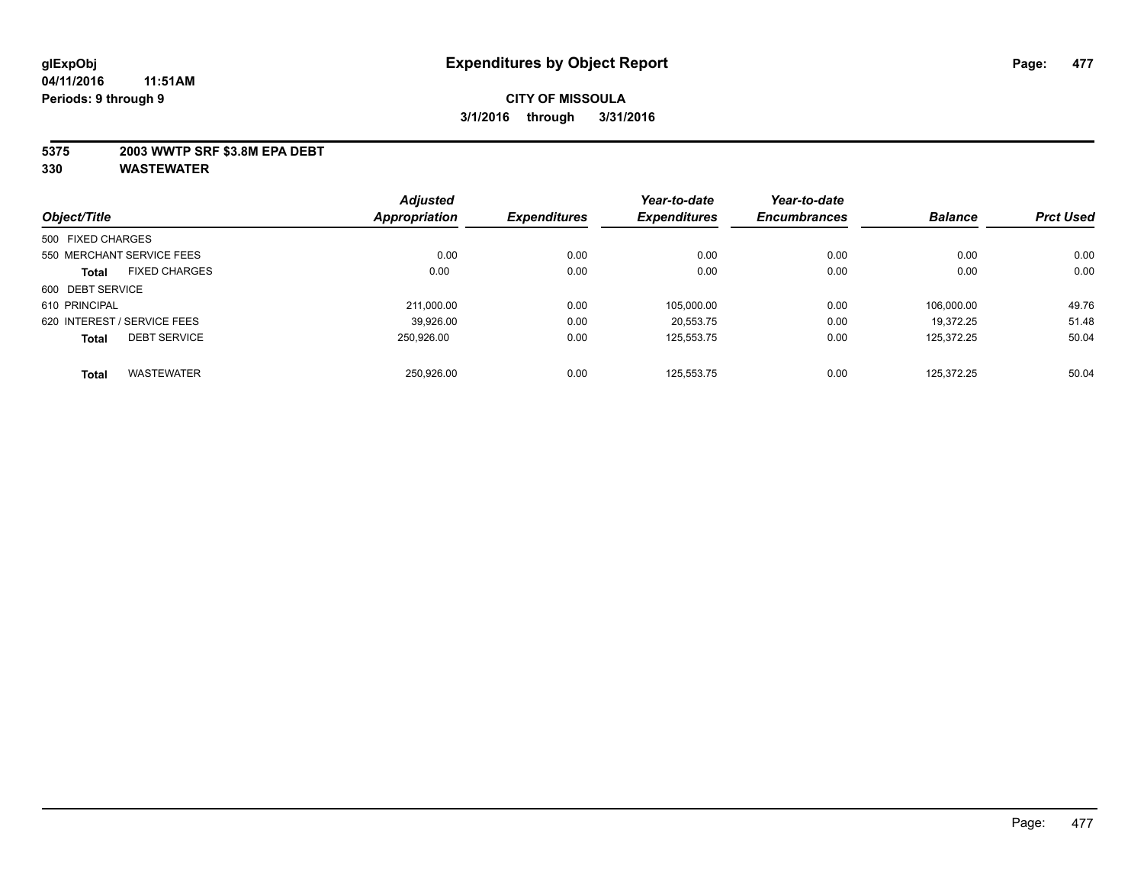#### **5375 2003 WWTP SRF \$3.8M EPA DEBT**

| Object/Title      |                             | <b>Adjusted</b> | <b>Expenditures</b> | Year-to-date<br><b>Expenditures</b> | Year-to-date        | <b>Balance</b> | <b>Prct Used</b> |
|-------------------|-----------------------------|-----------------|---------------------|-------------------------------------|---------------------|----------------|------------------|
|                   |                             | Appropriation   |                     |                                     | <b>Encumbrances</b> |                |                  |
| 500 FIXED CHARGES |                             |                 |                     |                                     |                     |                |                  |
|                   | 550 MERCHANT SERVICE FEES   | 0.00            | 0.00                | 0.00                                | 0.00                | 0.00           | 0.00             |
| <b>Total</b>      | <b>FIXED CHARGES</b>        | 0.00            | 0.00                | 0.00                                | 0.00                | 0.00           | 0.00             |
| 600 DEBT SERVICE  |                             |                 |                     |                                     |                     |                |                  |
| 610 PRINCIPAL     |                             | 211,000.00      | 0.00                | 105,000.00                          | 0.00                | 106.000.00     | 49.76            |
|                   | 620 INTEREST / SERVICE FEES | 39.926.00       | 0.00                | 20.553.75                           | 0.00                | 19.372.25      | 51.48            |
| <b>Total</b>      | <b>DEBT SERVICE</b>         | 250.926.00      | 0.00                | 125.553.75                          | 0.00                | 125.372.25     | 50.04            |
| <b>Total</b>      | <b>WASTEWATER</b>           | 250.926.00      | 0.00                | 125.553.75                          | 0.00                | 125.372.25     | 50.04            |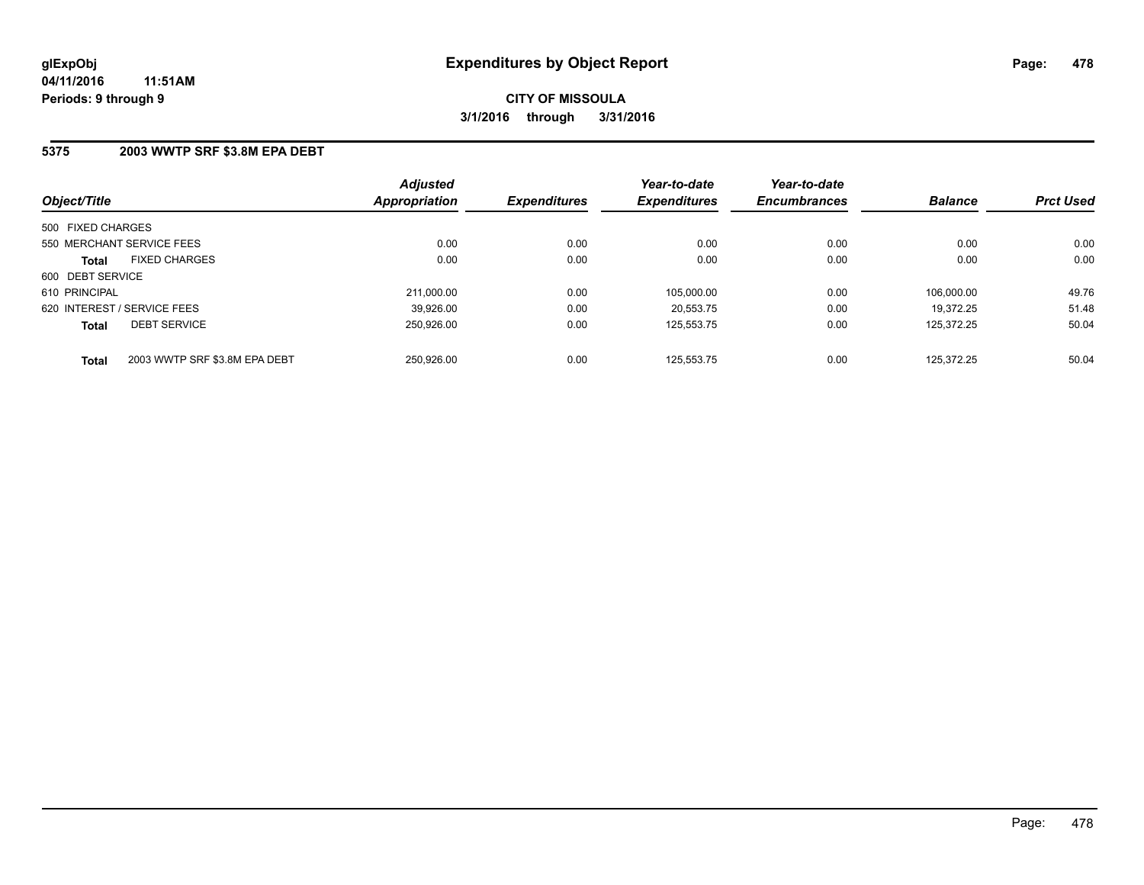#### **5375 2003 WWTP SRF \$3.8M EPA DEBT**

| Object/Title                                  | <b>Adjusted</b><br><b>Appropriation</b> | <b>Expenditures</b> | Year-to-date<br><b>Expenditures</b> | Year-to-date<br><b>Encumbrances</b> | <b>Balance</b> | <b>Prct Used</b> |
|-----------------------------------------------|-----------------------------------------|---------------------|-------------------------------------|-------------------------------------|----------------|------------------|
| 500 FIXED CHARGES                             |                                         |                     |                                     |                                     |                |                  |
| 550 MERCHANT SERVICE FEES                     | 0.00                                    | 0.00                | 0.00                                | 0.00                                | 0.00           | 0.00             |
| <b>FIXED CHARGES</b><br><b>Total</b>          | 0.00                                    | 0.00                | 0.00                                | 0.00                                | 0.00           | 0.00             |
| 600 DEBT SERVICE                              |                                         |                     |                                     |                                     |                |                  |
| 610 PRINCIPAL                                 | 211.000.00                              | 0.00                | 105.000.00                          | 0.00                                | 106.000.00     | 49.76            |
| 620 INTEREST / SERVICE FEES                   | 39,926.00                               | 0.00                | 20,553.75                           | 0.00                                | 19.372.25      | 51.48            |
| <b>DEBT SERVICE</b><br><b>Total</b>           | 250.926.00                              | 0.00                | 125.553.75                          | 0.00                                | 125.372.25     | 50.04            |
| 2003 WWTP SRF \$3.8M EPA DEBT<br><b>Total</b> | 250.926.00                              | 0.00                | 125.553.75                          | 0.00                                | 125.372.25     | 50.04            |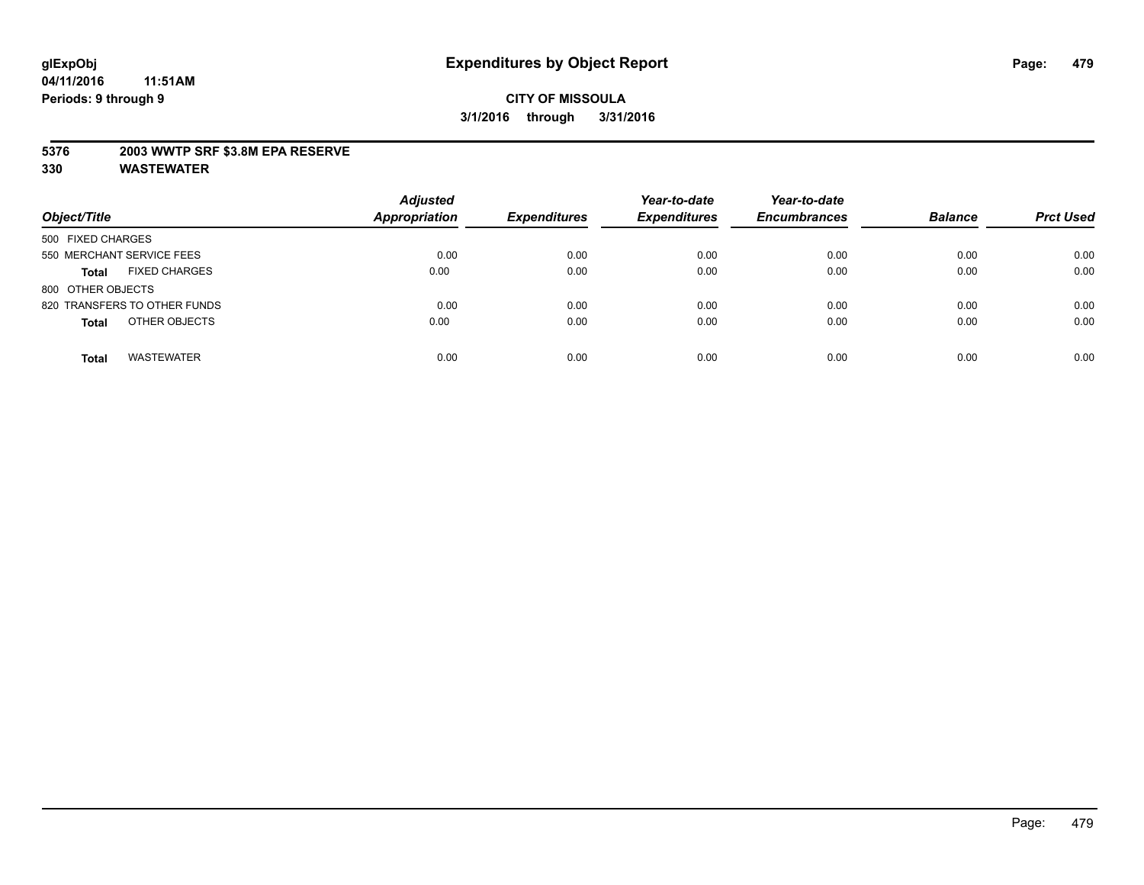#### **5376 2003 WWTP SRF \$3.8M EPA RESERVE**

| Object/Title                         | <b>Adjusted</b><br><b>Appropriation</b> | <b>Expenditures</b> | Year-to-date<br><b>Expenditures</b> | Year-to-date<br><b>Encumbrances</b> | <b>Balance</b> | <b>Prct Used</b> |
|--------------------------------------|-----------------------------------------|---------------------|-------------------------------------|-------------------------------------|----------------|------------------|
| 500 FIXED CHARGES                    |                                         |                     |                                     |                                     |                |                  |
| 550 MERCHANT SERVICE FEES            | 0.00                                    | 0.00                | 0.00                                | 0.00                                | 0.00           | 0.00             |
| <b>FIXED CHARGES</b><br><b>Total</b> | 0.00                                    | 0.00                | 0.00                                | 0.00                                | 0.00           | 0.00             |
| 800 OTHER OBJECTS                    |                                         |                     |                                     |                                     |                |                  |
| 820 TRANSFERS TO OTHER FUNDS         | 0.00                                    | 0.00                | 0.00                                | 0.00                                | 0.00           | 0.00             |
| OTHER OBJECTS<br><b>Total</b>        | 0.00                                    | 0.00                | 0.00                                | 0.00                                | 0.00           | 0.00             |
| <b>WASTEWATER</b><br><b>Total</b>    | 0.00                                    | 0.00                | 0.00                                | 0.00                                | 0.00           | 0.00             |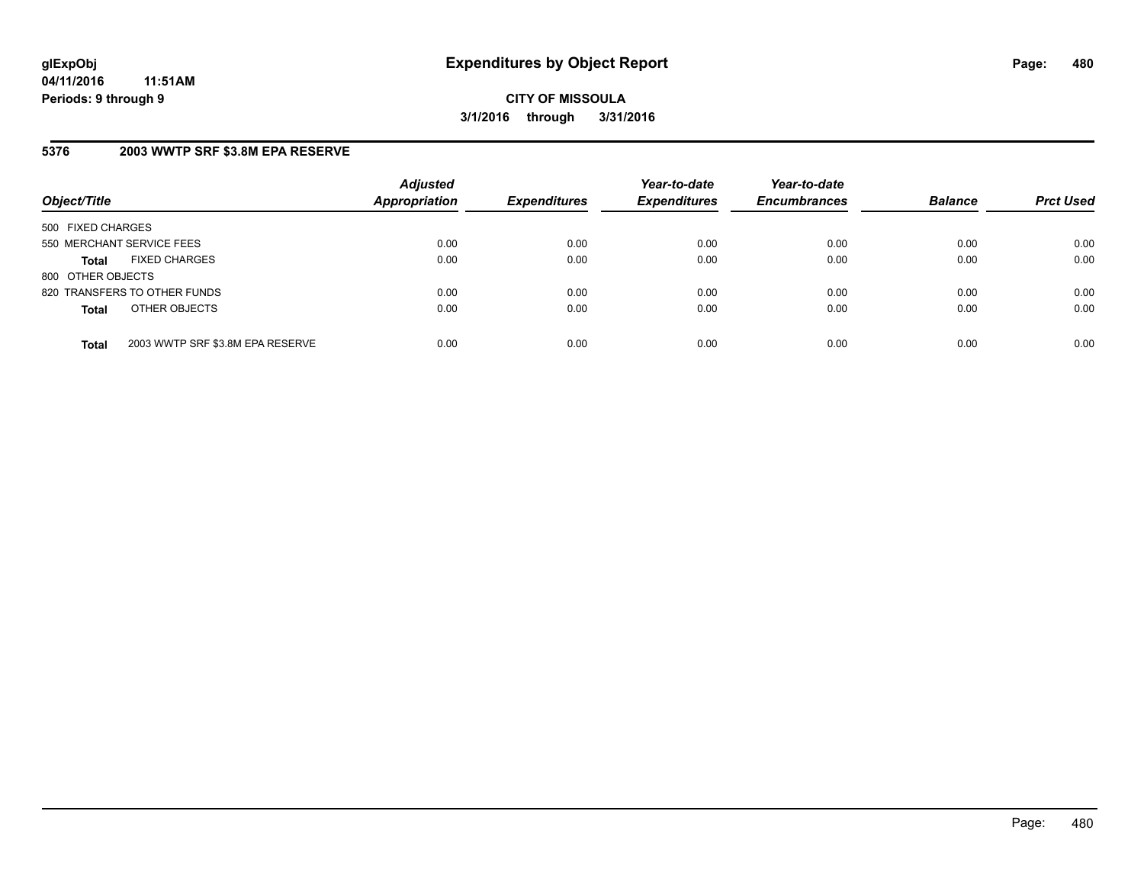# **5376 2003 WWTP SRF \$3.8M EPA RESERVE**

| Object/Title                                     | <b>Adjusted</b><br><b>Appropriation</b> | <b>Expenditures</b> | Year-to-date<br><b>Expenditures</b> | Year-to-date<br><b>Encumbrances</b> | <b>Balance</b> | <b>Prct Used</b> |
|--------------------------------------------------|-----------------------------------------|---------------------|-------------------------------------|-------------------------------------|----------------|------------------|
| 500 FIXED CHARGES                                |                                         |                     |                                     |                                     |                |                  |
| 550 MERCHANT SERVICE FEES                        | 0.00                                    | 0.00                | 0.00                                | 0.00                                | 0.00           | 0.00             |
| <b>FIXED CHARGES</b><br><b>Total</b>             | 0.00                                    | 0.00                | 0.00                                | 0.00                                | 0.00           | 0.00             |
| 800 OTHER OBJECTS                                |                                         |                     |                                     |                                     |                |                  |
| 820 TRANSFERS TO OTHER FUNDS                     | 0.00                                    | 0.00                | 0.00                                | 0.00                                | 0.00           | 0.00             |
| OTHER OBJECTS<br><b>Total</b>                    | 0.00                                    | 0.00                | 0.00                                | 0.00                                | 0.00           | 0.00             |
| 2003 WWTP SRF \$3.8M EPA RESERVE<br><b>Total</b> | 0.00                                    | 0.00                | 0.00                                | 0.00                                | 0.00           | 0.00             |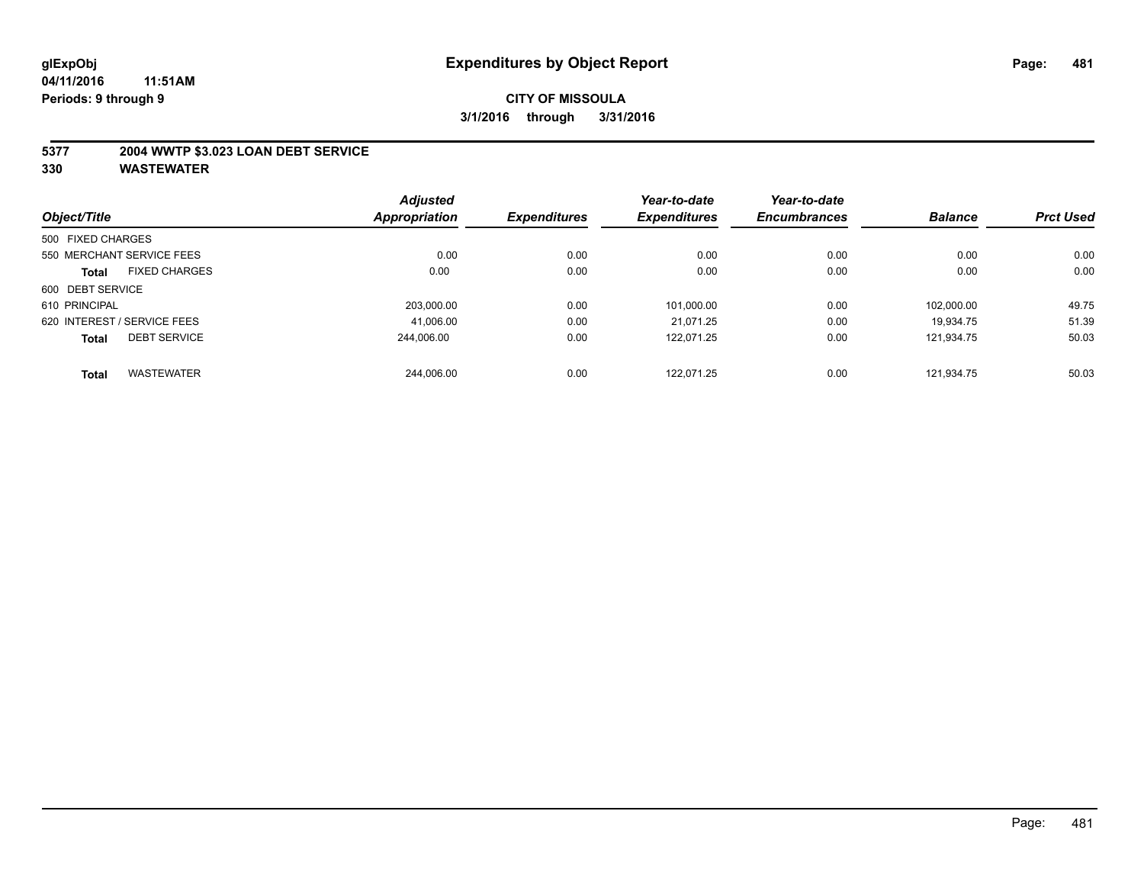#### **5377 2004 WWTP \$3.023 LOAN DEBT SERVICE**

|                   |                             | <b>Adjusted</b>      |                     | Year-to-date        | Year-to-date        |                | <b>Prct Used</b> |
|-------------------|-----------------------------|----------------------|---------------------|---------------------|---------------------|----------------|------------------|
| Object/Title      |                             | <b>Appropriation</b> | <b>Expenditures</b> | <b>Expenditures</b> | <b>Encumbrances</b> | <b>Balance</b> |                  |
| 500 FIXED CHARGES |                             |                      |                     |                     |                     |                |                  |
|                   | 550 MERCHANT SERVICE FEES   | 0.00                 | 0.00                | 0.00                | 0.00                | 0.00           | 0.00             |
| <b>Total</b>      | <b>FIXED CHARGES</b>        | 0.00                 | 0.00                | 0.00                | 0.00                | 0.00           | 0.00             |
| 600 DEBT SERVICE  |                             |                      |                     |                     |                     |                |                  |
| 610 PRINCIPAL     |                             | 203.000.00           | 0.00                | 101,000.00          | 0.00                | 102.000.00     | 49.75            |
|                   | 620 INTEREST / SERVICE FEES | 41,006.00            | 0.00                | 21.071.25           | 0.00                | 19.934.75      | 51.39            |
| <b>Total</b>      | <b>DEBT SERVICE</b>         | 244.006.00           | 0.00                | 122.071.25          | 0.00                | 121.934.75     | 50.03            |
| <b>Total</b>      | <b>WASTEWATER</b>           | 244.006.00           | 0.00                | 122.071.25          | 0.00                | 121.934.75     | 50.03            |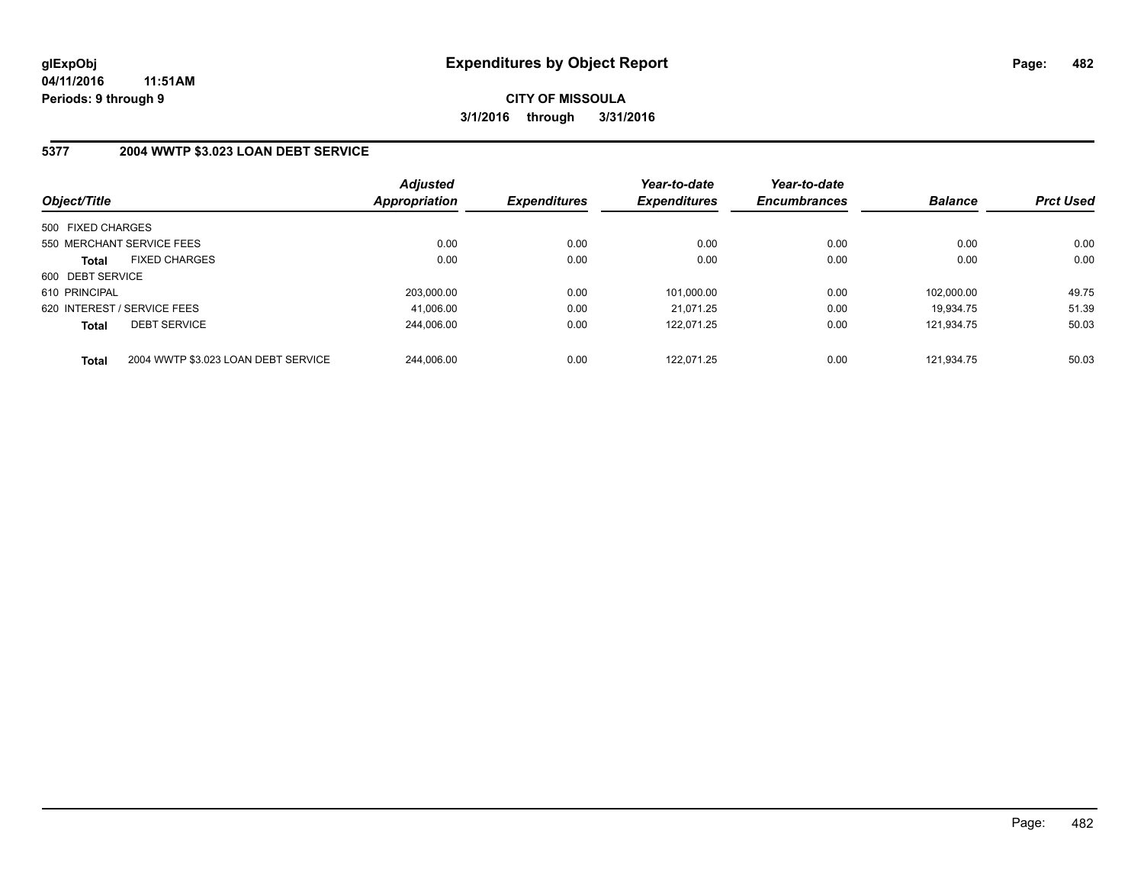#### **5377 2004 WWTP \$3.023 LOAN DEBT SERVICE**

| Object/Title      |                                     | <b>Adjusted</b><br>Appropriation | <b>Expenditures</b> | Year-to-date<br><b>Expenditures</b> | Year-to-date<br><b>Encumbrances</b> | <b>Balance</b> | <b>Prct Used</b> |
|-------------------|-------------------------------------|----------------------------------|---------------------|-------------------------------------|-------------------------------------|----------------|------------------|
| 500 FIXED CHARGES |                                     |                                  |                     |                                     |                                     |                |                  |
|                   | 550 MERCHANT SERVICE FEES           | 0.00                             | 0.00                | 0.00                                | 0.00                                | 0.00           | 0.00             |
| <b>Total</b>      | <b>FIXED CHARGES</b>                | 0.00                             | 0.00                | 0.00                                | 0.00                                | 0.00           | 0.00             |
| 600 DEBT SERVICE  |                                     |                                  |                     |                                     |                                     |                |                  |
| 610 PRINCIPAL     |                                     | 203.000.00                       | 0.00                | 101.000.00                          | 0.00                                | 102.000.00     | 49.75            |
|                   | 620 INTEREST / SERVICE FEES         | 41.006.00                        | 0.00                | 21.071.25                           | 0.00                                | 19.934.75      | 51.39            |
| <b>Total</b>      | <b>DEBT SERVICE</b>                 | 244.006.00                       | 0.00                | 122.071.25                          | 0.00                                | 121.934.75     | 50.03            |
| <b>Total</b>      | 2004 WWTP \$3.023 LOAN DEBT SERVICE | 244.006.00                       | 0.00                | 122.071.25                          | 0.00                                | 121.934.75     | 50.03            |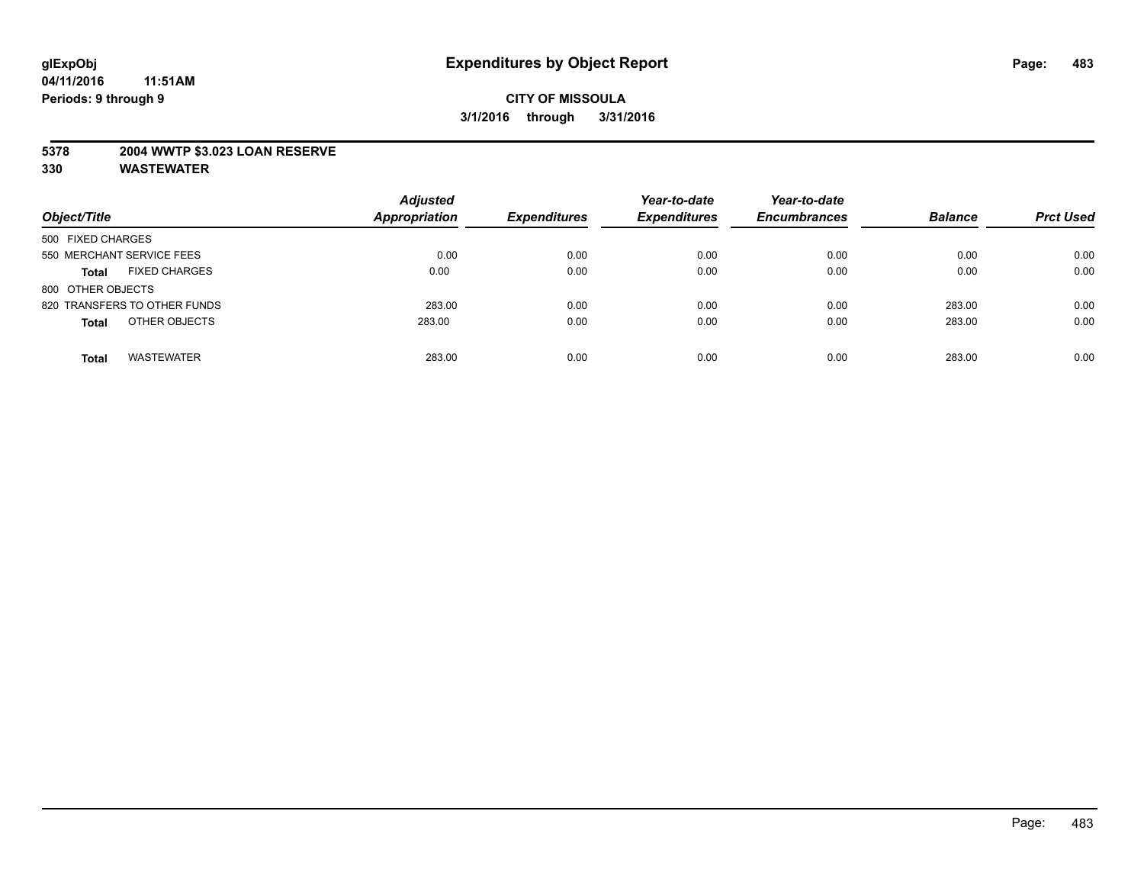#### **5378 2004 WWTP \$3.023 LOAN RESERVE**

| Object/Title                         | <b>Adjusted</b><br><b>Appropriation</b> | <b>Expenditures</b> | Year-to-date<br><b>Expenditures</b> | Year-to-date<br><b>Encumbrances</b> | <b>Balance</b> | <b>Prct Used</b> |
|--------------------------------------|-----------------------------------------|---------------------|-------------------------------------|-------------------------------------|----------------|------------------|
| 500 FIXED CHARGES                    |                                         |                     |                                     |                                     |                |                  |
| 550 MERCHANT SERVICE FEES            | 0.00                                    | 0.00                | 0.00                                | 0.00                                | 0.00           | 0.00             |
| <b>FIXED CHARGES</b><br><b>Total</b> | 0.00                                    | 0.00                | 0.00                                | 0.00                                | 0.00           | 0.00             |
| 800 OTHER OBJECTS                    |                                         |                     |                                     |                                     |                |                  |
| 820 TRANSFERS TO OTHER FUNDS         | 283.00                                  | 0.00                | 0.00                                | 0.00                                | 283.00         | 0.00             |
| OTHER OBJECTS<br><b>Total</b>        | 283.00                                  | 0.00                | 0.00                                | 0.00                                | 283.00         | 0.00             |
| <b>WASTEWATER</b><br><b>Total</b>    | 283.00                                  | 0.00                | 0.00                                | 0.00                                | 283.00         | 0.00             |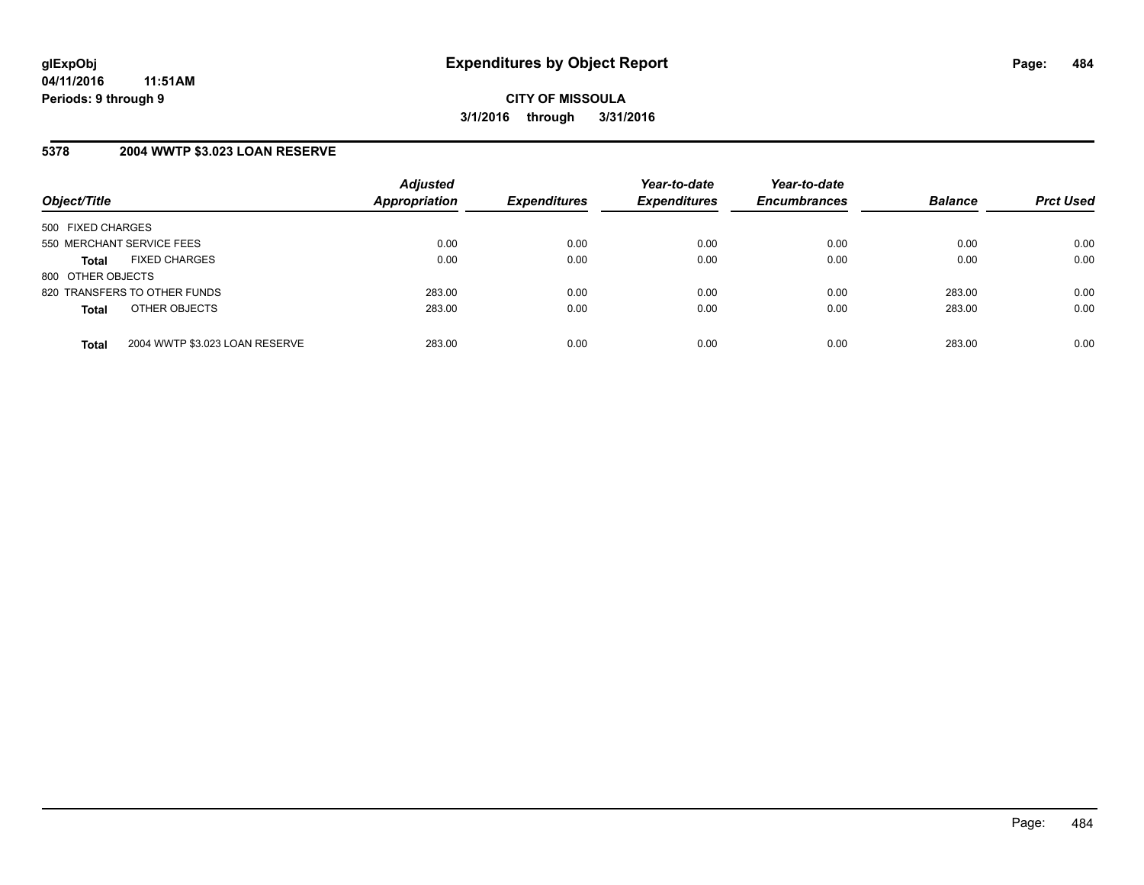### **5378 2004 WWTP \$3.023 LOAN RESERVE**

| Object/Title                 |                                | <b>Adjusted</b><br><b>Appropriation</b> | <b>Expenditures</b> | Year-to-date<br><b>Expenditures</b> | Year-to-date<br><b>Encumbrances</b> | <b>Balance</b> | <b>Prct Used</b> |
|------------------------------|--------------------------------|-----------------------------------------|---------------------|-------------------------------------|-------------------------------------|----------------|------------------|
| 500 FIXED CHARGES            |                                |                                         |                     |                                     |                                     |                |                  |
| 550 MERCHANT SERVICE FEES    |                                | 0.00                                    | 0.00                | 0.00                                | 0.00                                | 0.00           | 0.00             |
| <b>Total</b>                 | <b>FIXED CHARGES</b>           | 0.00                                    | 0.00                | 0.00                                | 0.00                                | 0.00           | 0.00             |
| 800 OTHER OBJECTS            |                                |                                         |                     |                                     |                                     |                |                  |
| 820 TRANSFERS TO OTHER FUNDS |                                | 283.00                                  | 0.00                | 0.00                                | 0.00                                | 283.00         | 0.00             |
| <b>Total</b>                 | OTHER OBJECTS                  | 283.00                                  | 0.00                | 0.00                                | 0.00                                | 283.00         | 0.00             |
|                              |                                |                                         |                     |                                     |                                     |                |                  |
| <b>Total</b>                 | 2004 WWTP \$3.023 LOAN RESERVE | 283.00                                  | 0.00                | 0.00                                | 0.00                                | 283.00         | 0.00             |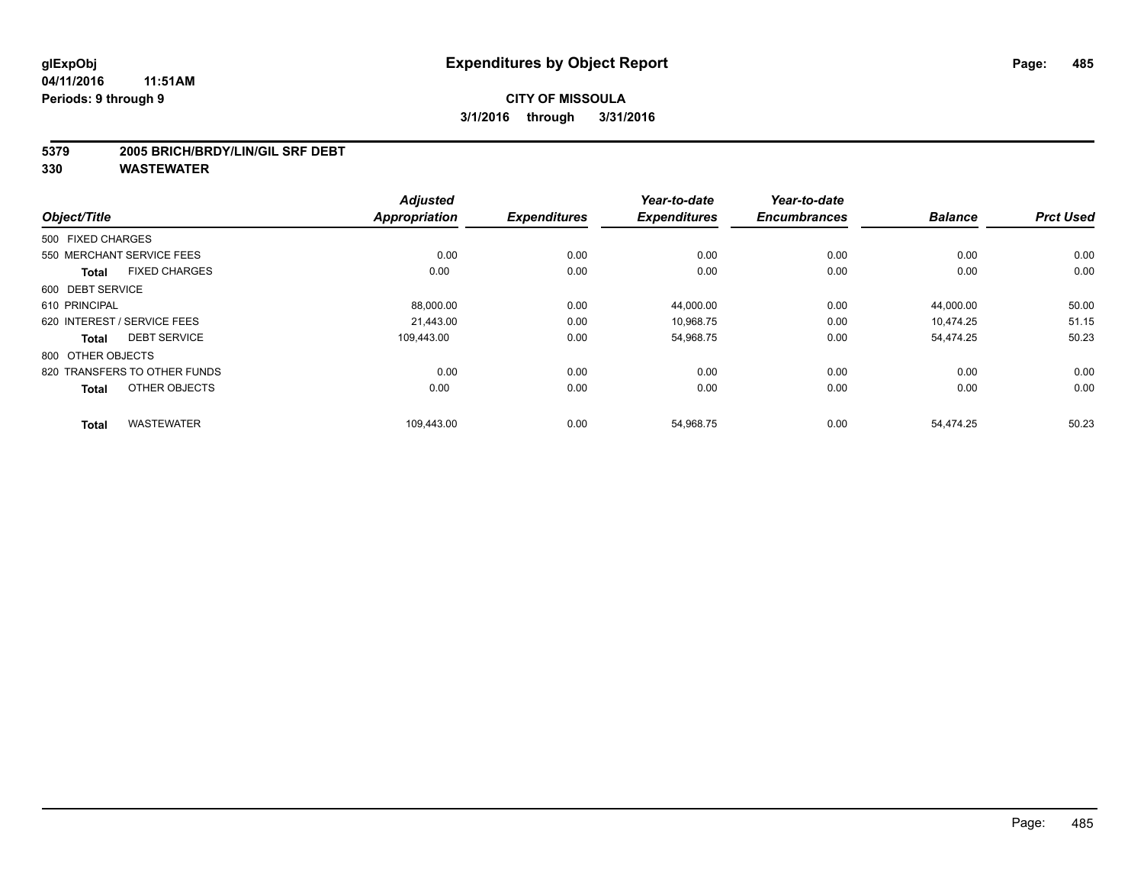#### **5379 2005 BRICH/BRDY/LIN/GIL SRF DEBT**

|                              | <b>Adjusted</b>                        |                             | Year-to-date                | Year-to-date                     |                             | <b>Prct Used</b>            |
|------------------------------|----------------------------------------|-----------------------------|-----------------------------|----------------------------------|-----------------------------|-----------------------------|
|                              |                                        |                             |                             |                                  |                             |                             |
|                              |                                        |                             |                             |                                  |                             |                             |
| 550 MERCHANT SERVICE FEES    | 0.00                                   | 0.00                        | 0.00                        | 0.00                             | 0.00                        | 0.00                        |
| <b>FIXED CHARGES</b>         | 0.00                                   | 0.00                        | 0.00                        | 0.00                             | 0.00                        | 0.00                        |
| 600 DEBT SERVICE             |                                        |                             |                             |                                  |                             |                             |
|                              | 88,000.00                              | 0.00                        | 44,000.00                   | 0.00                             | 44,000.00                   | 50.00                       |
| 620 INTEREST / SERVICE FEES  | 21.443.00                              | 0.00                        | 10,968.75                   | 0.00                             | 10.474.25                   | 51.15                       |
| <b>DEBT SERVICE</b>          | 109.443.00                             | 0.00                        | 54,968.75                   | 0.00                             | 54,474.25                   | 50.23                       |
| 800 OTHER OBJECTS            |                                        |                             |                             |                                  |                             |                             |
| 820 TRANSFERS TO OTHER FUNDS | 0.00                                   | 0.00                        | 0.00                        | 0.00                             | 0.00                        | 0.00                        |
| OTHER OBJECTS                | 0.00                                   | 0.00                        | 0.00                        | 0.00                             | 0.00                        | 0.00                        |
|                              |                                        |                             |                             |                                  |                             | 50.23                       |
|                              | 500 FIXED CHARGES<br><b>WASTEWATER</b> | Appropriation<br>109,443.00 | <b>Expenditures</b><br>0.00 | <b>Expenditures</b><br>54,968.75 | <b>Encumbrances</b><br>0.00 | <b>Balance</b><br>54,474.25 |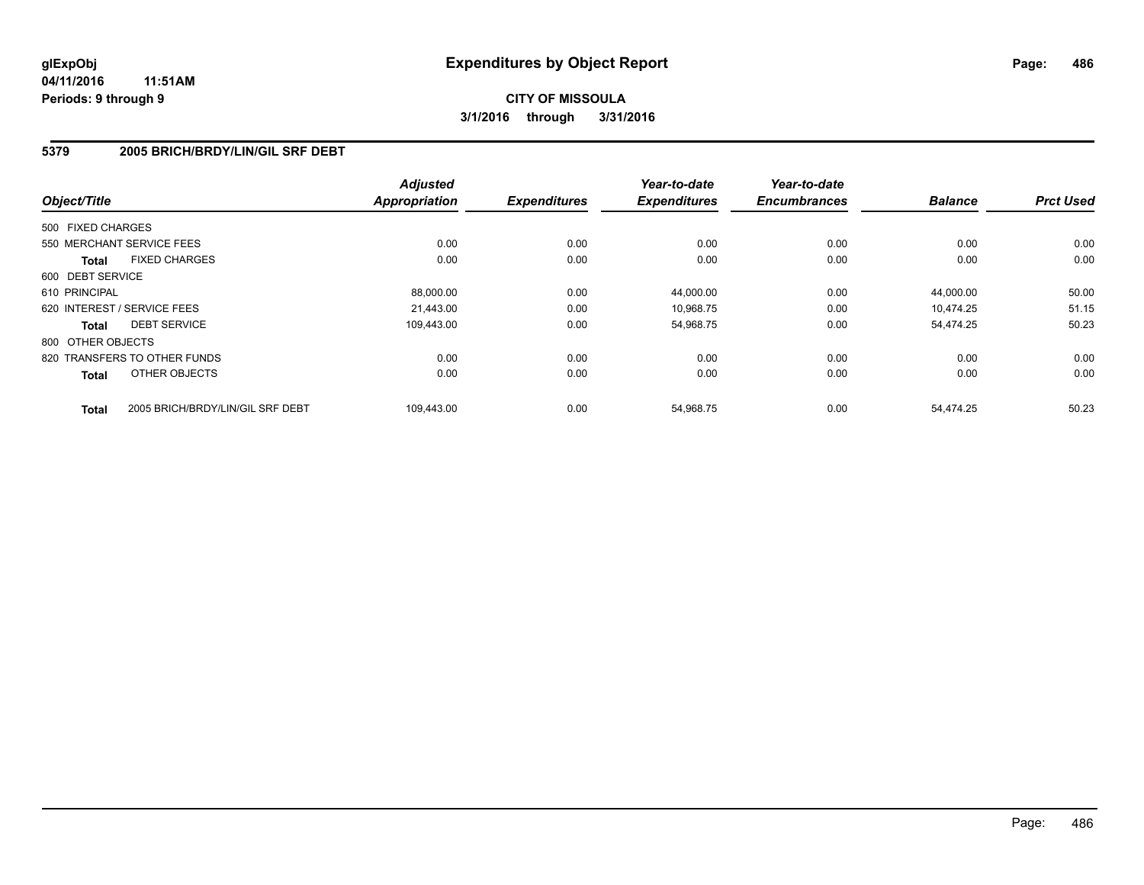#### **5379 2005 BRICH/BRDY/LIN/GIL SRF DEBT**

| Object/Title                         |                                  | <b>Adjusted</b><br><b>Appropriation</b> | <b>Expenditures</b> | Year-to-date<br><b>Expenditures</b> | Year-to-date<br><b>Encumbrances</b> | <b>Balance</b> | <b>Prct Used</b> |
|--------------------------------------|----------------------------------|-----------------------------------------|---------------------|-------------------------------------|-------------------------------------|----------------|------------------|
|                                      |                                  |                                         |                     |                                     |                                     |                |                  |
| 500 FIXED CHARGES                    |                                  |                                         |                     |                                     |                                     |                |                  |
| 550 MERCHANT SERVICE FEES            |                                  | 0.00                                    | 0.00                | 0.00                                | 0.00                                | 0.00           | 0.00             |
| <b>FIXED CHARGES</b><br><b>Total</b> |                                  | 0.00                                    | 0.00                | 0.00                                | 0.00                                | 0.00           | 0.00             |
| 600 DEBT SERVICE                     |                                  |                                         |                     |                                     |                                     |                |                  |
| 610 PRINCIPAL                        |                                  | 88,000.00                               | 0.00                | 44,000.00                           | 0.00                                | 44.000.00      | 50.00            |
| 620 INTEREST / SERVICE FEES          |                                  | 21,443.00                               | 0.00                | 10,968.75                           | 0.00                                | 10,474.25      | 51.15            |
| <b>DEBT SERVICE</b><br><b>Total</b>  |                                  | 109,443.00                              | 0.00                | 54,968.75                           | 0.00                                | 54,474.25      | 50.23            |
| 800 OTHER OBJECTS                    |                                  |                                         |                     |                                     |                                     |                |                  |
| 820 TRANSFERS TO OTHER FUNDS         |                                  | 0.00                                    | 0.00                | 0.00                                | 0.00                                | 0.00           | 0.00             |
| OTHER OBJECTS<br><b>Total</b>        |                                  | 0.00                                    | 0.00                | 0.00                                | 0.00                                | 0.00           | 0.00             |
| <b>Total</b>                         | 2005 BRICH/BRDY/LIN/GIL SRF DEBT | 109.443.00                              | 0.00                | 54,968.75                           | 0.00                                | 54.474.25      | 50.23            |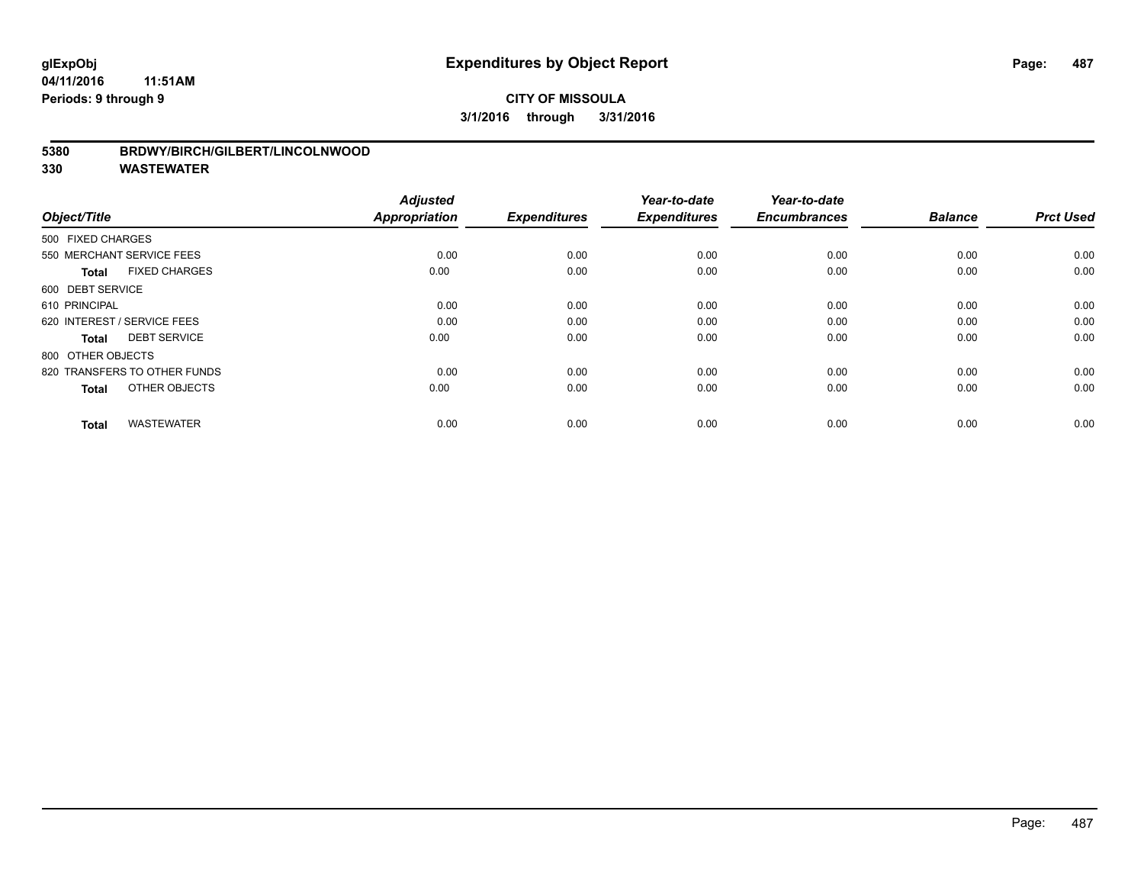### **CITY OF MISSOULA 3/1/2016 through 3/31/2016**

#### **5380 BRDWY/BIRCH/GILBERT/LINCOLNWOOD**

| Object/Title                         | <b>Adjusted</b><br><b>Appropriation</b> | <b>Expenditures</b> | Year-to-date<br><b>Expenditures</b> | Year-to-date<br><b>Encumbrances</b> | <b>Balance</b> | <b>Prct Used</b> |
|--------------------------------------|-----------------------------------------|---------------------|-------------------------------------|-------------------------------------|----------------|------------------|
|                                      |                                         |                     |                                     |                                     |                |                  |
| 500 FIXED CHARGES                    |                                         |                     |                                     |                                     |                |                  |
| 550 MERCHANT SERVICE FEES            | 0.00                                    | 0.00                | 0.00                                | 0.00                                | 0.00           | 0.00             |
| <b>FIXED CHARGES</b><br><b>Total</b> | 0.00                                    | 0.00                | 0.00                                | 0.00                                | 0.00           | 0.00             |
| 600 DEBT SERVICE                     |                                         |                     |                                     |                                     |                |                  |
| 610 PRINCIPAL                        | 0.00                                    | 0.00                | 0.00                                | 0.00                                | 0.00           | 0.00             |
| 620 INTEREST / SERVICE FEES          | 0.00                                    | 0.00                | 0.00                                | 0.00                                | 0.00           | 0.00             |
| <b>DEBT SERVICE</b><br><b>Total</b>  | 0.00                                    | 0.00                | 0.00                                | 0.00                                | 0.00           | 0.00             |
| 800 OTHER OBJECTS                    |                                         |                     |                                     |                                     |                |                  |
| 820 TRANSFERS TO OTHER FUNDS         | 0.00                                    | 0.00                | 0.00                                | 0.00                                | 0.00           | 0.00             |
| OTHER OBJECTS<br><b>Total</b>        | 0.00                                    | 0.00                | 0.00                                | 0.00                                | 0.00           | 0.00             |
|                                      |                                         |                     |                                     |                                     |                |                  |
| <b>WASTEWATER</b><br><b>Total</b>    | 0.00                                    | 0.00                | 0.00                                | 0.00                                | 0.00           | 0.00             |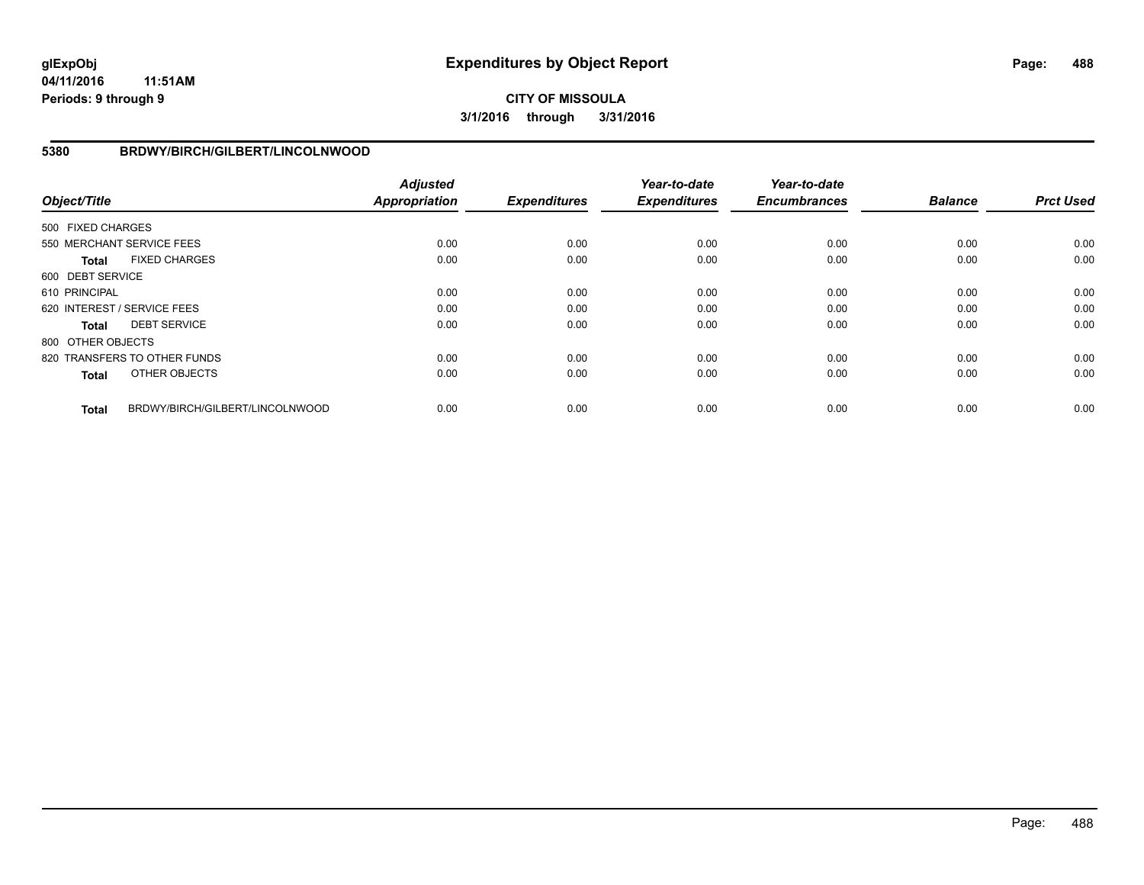**CITY OF MISSOULA 3/1/2016 through 3/31/2016**

#### **5380 BRDWY/BIRCH/GILBERT/LINCOLNWOOD**

| Object/Title      |                                 | <b>Adjusted</b><br><b>Appropriation</b> | <b>Expenditures</b> | Year-to-date<br><b>Expenditures</b> | Year-to-date<br><b>Encumbrances</b> | <b>Balance</b> | <b>Prct Used</b> |
|-------------------|---------------------------------|-----------------------------------------|---------------------|-------------------------------------|-------------------------------------|----------------|------------------|
| 500 FIXED CHARGES |                                 |                                         |                     |                                     |                                     |                |                  |
|                   | 550 MERCHANT SERVICE FEES       | 0.00                                    | 0.00                | 0.00                                | 0.00                                | 0.00           | 0.00             |
| Total             | <b>FIXED CHARGES</b>            | 0.00                                    | 0.00                | 0.00                                | 0.00                                | 0.00           | 0.00             |
| 600 DEBT SERVICE  |                                 |                                         |                     |                                     |                                     |                |                  |
| 610 PRINCIPAL     |                                 | 0.00                                    | 0.00                | 0.00                                | 0.00                                | 0.00           | 0.00             |
|                   | 620 INTEREST / SERVICE FEES     | 0.00                                    | 0.00                | 0.00                                | 0.00                                | 0.00           | 0.00             |
| Total             | <b>DEBT SERVICE</b>             | 0.00                                    | 0.00                | 0.00                                | 0.00                                | 0.00           | 0.00             |
| 800 OTHER OBJECTS |                                 |                                         |                     |                                     |                                     |                |                  |
|                   | 820 TRANSFERS TO OTHER FUNDS    | 0.00                                    | 0.00                | 0.00                                | 0.00                                | 0.00           | 0.00             |
| <b>Total</b>      | OTHER OBJECTS                   | 0.00                                    | 0.00                | 0.00                                | 0.00                                | 0.00           | 0.00             |
| <b>Total</b>      | BRDWY/BIRCH/GILBERT/LINCOLNWOOD | 0.00                                    | 0.00                | 0.00                                | 0.00                                | 0.00           | 0.00             |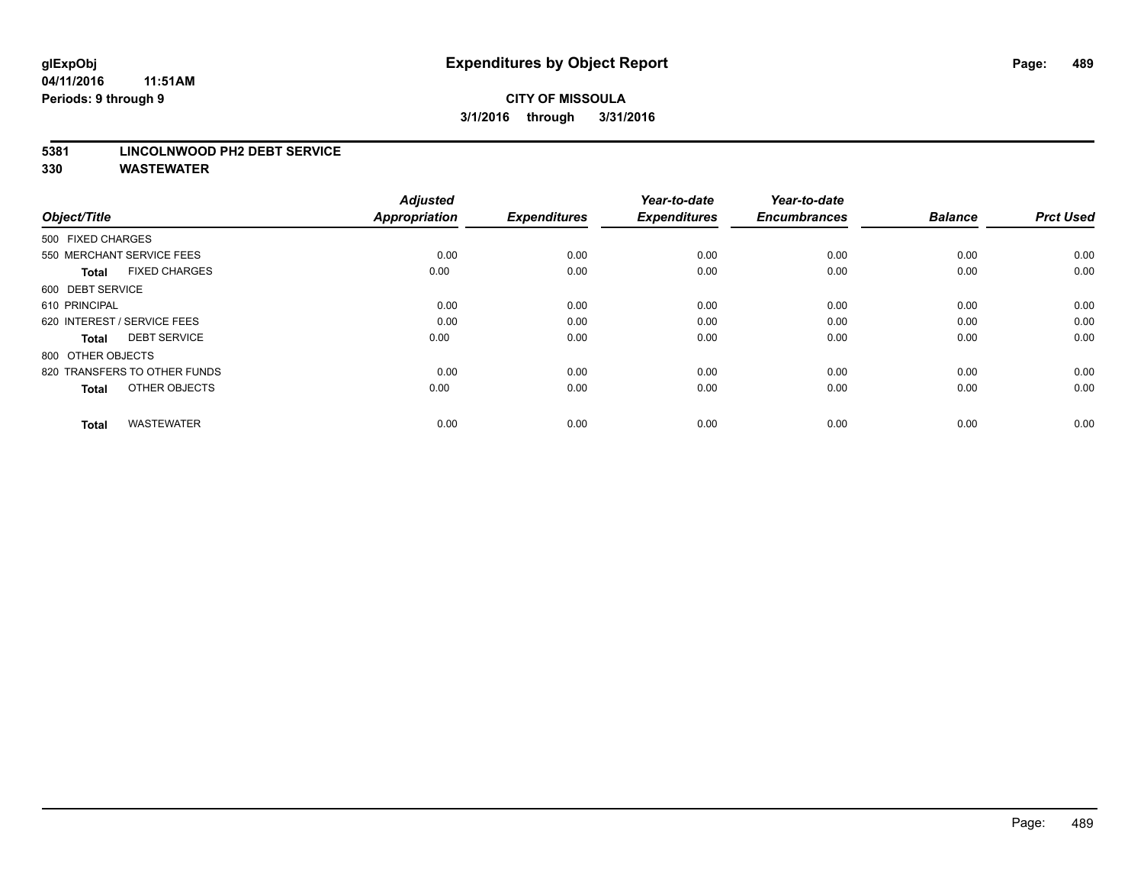### **CITY OF MISSOULA 3/1/2016 through 3/31/2016**

#### **5381 LINCOLNWOOD PH2 DEBT SERVICE**

| Object/Title                         | <b>Adjusted</b><br><b>Appropriation</b> | <b>Expenditures</b> | Year-to-date<br><b>Expenditures</b> | Year-to-date<br><b>Encumbrances</b> | <b>Balance</b> | <b>Prct Used</b> |
|--------------------------------------|-----------------------------------------|---------------------|-------------------------------------|-------------------------------------|----------------|------------------|
| 500 FIXED CHARGES                    |                                         |                     |                                     |                                     |                |                  |
| 550 MERCHANT SERVICE FEES            | 0.00                                    | 0.00                | 0.00                                | 0.00                                | 0.00           | 0.00             |
| <b>FIXED CHARGES</b><br><b>Total</b> | 0.00                                    | 0.00                | 0.00                                | 0.00                                | 0.00           | 0.00             |
| 600 DEBT SERVICE                     |                                         |                     |                                     |                                     |                |                  |
| 610 PRINCIPAL                        | 0.00                                    | 0.00                | 0.00                                | 0.00                                | 0.00           | 0.00             |
| 620 INTEREST / SERVICE FEES          | 0.00                                    | 0.00                | 0.00                                | 0.00                                | 0.00           | 0.00             |
| <b>DEBT SERVICE</b><br><b>Total</b>  | 0.00                                    | 0.00                | 0.00                                | 0.00                                | 0.00           | 0.00             |
| 800 OTHER OBJECTS                    |                                         |                     |                                     |                                     |                |                  |
| 820 TRANSFERS TO OTHER FUNDS         | 0.00                                    | 0.00                | 0.00                                | 0.00                                | 0.00           | 0.00             |
| OTHER OBJECTS<br><b>Total</b>        | 0.00                                    | 0.00                | 0.00                                | 0.00                                | 0.00           | 0.00             |
|                                      |                                         |                     |                                     |                                     |                |                  |
| <b>WASTEWATER</b><br><b>Total</b>    | 0.00                                    | 0.00                | 0.00                                | 0.00                                | 0.00           | 0.00             |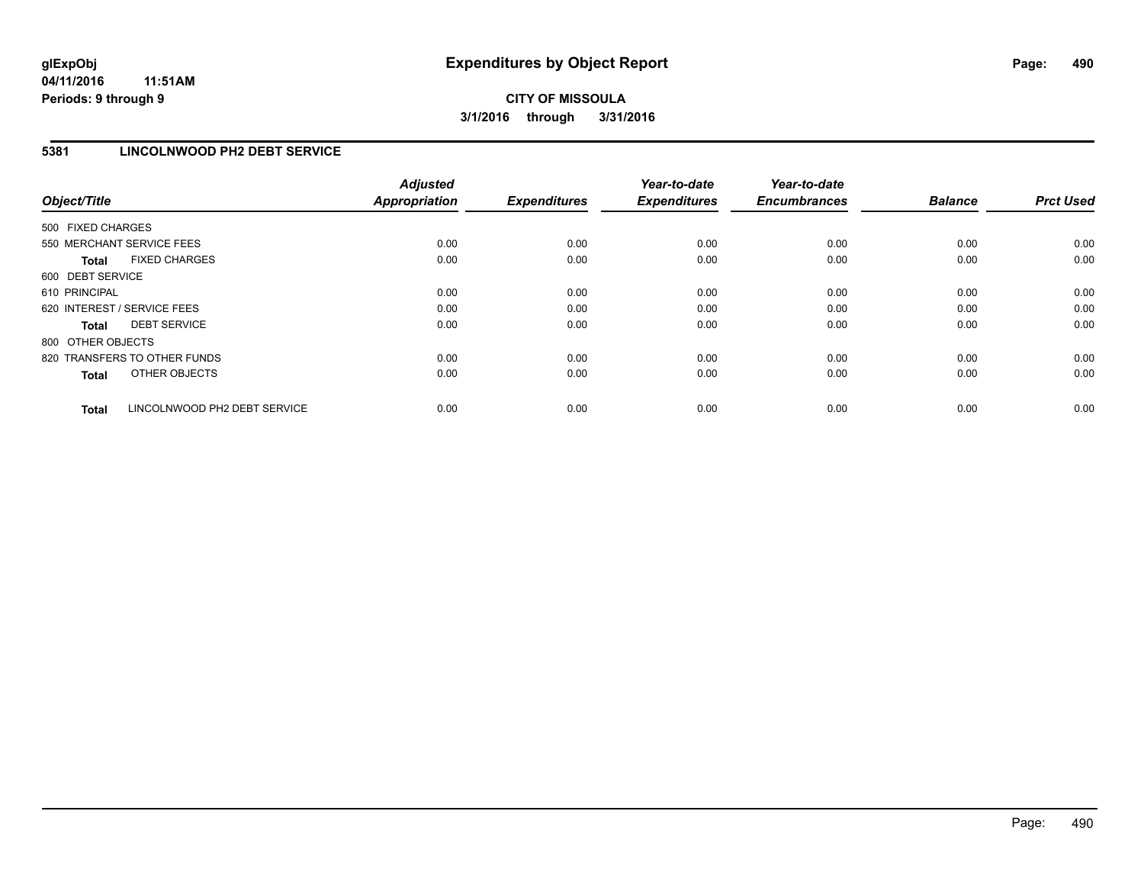### **5381 LINCOLNWOOD PH2 DEBT SERVICE**

| Object/Title                 |                              | <b>Adjusted</b><br><b>Appropriation</b> | <b>Expenditures</b> | Year-to-date<br><b>Expenditures</b> | Year-to-date<br><b>Encumbrances</b> | <b>Balance</b> | <b>Prct Used</b> |
|------------------------------|------------------------------|-----------------------------------------|---------------------|-------------------------------------|-------------------------------------|----------------|------------------|
| 500 FIXED CHARGES            |                              |                                         |                     |                                     |                                     |                |                  |
| 550 MERCHANT SERVICE FEES    |                              | 0.00                                    | 0.00                | 0.00                                | 0.00                                | 0.00           | 0.00             |
| <b>Total</b>                 | <b>FIXED CHARGES</b>         | 0.00                                    | 0.00                | 0.00                                | 0.00                                | 0.00           | 0.00             |
| 600 DEBT SERVICE             |                              |                                         |                     |                                     |                                     |                |                  |
| 610 PRINCIPAL                |                              | 0.00                                    | 0.00                | 0.00                                | 0.00                                | 0.00           | 0.00             |
| 620 INTEREST / SERVICE FEES  |                              | 0.00                                    | 0.00                | 0.00                                | 0.00                                | 0.00           | 0.00             |
| Total                        | <b>DEBT SERVICE</b>          | 0.00                                    | 0.00                | 0.00                                | 0.00                                | 0.00           | 0.00             |
| 800 OTHER OBJECTS            |                              |                                         |                     |                                     |                                     |                |                  |
| 820 TRANSFERS TO OTHER FUNDS |                              | 0.00                                    | 0.00                | 0.00                                | 0.00                                | 0.00           | 0.00             |
| <b>Total</b>                 | OTHER OBJECTS                | 0.00                                    | 0.00                | 0.00                                | 0.00                                | 0.00           | 0.00             |
| <b>Total</b>                 | LINCOLNWOOD PH2 DEBT SERVICE | 0.00                                    | 0.00                | 0.00                                | 0.00                                | 0.00           | 0.00             |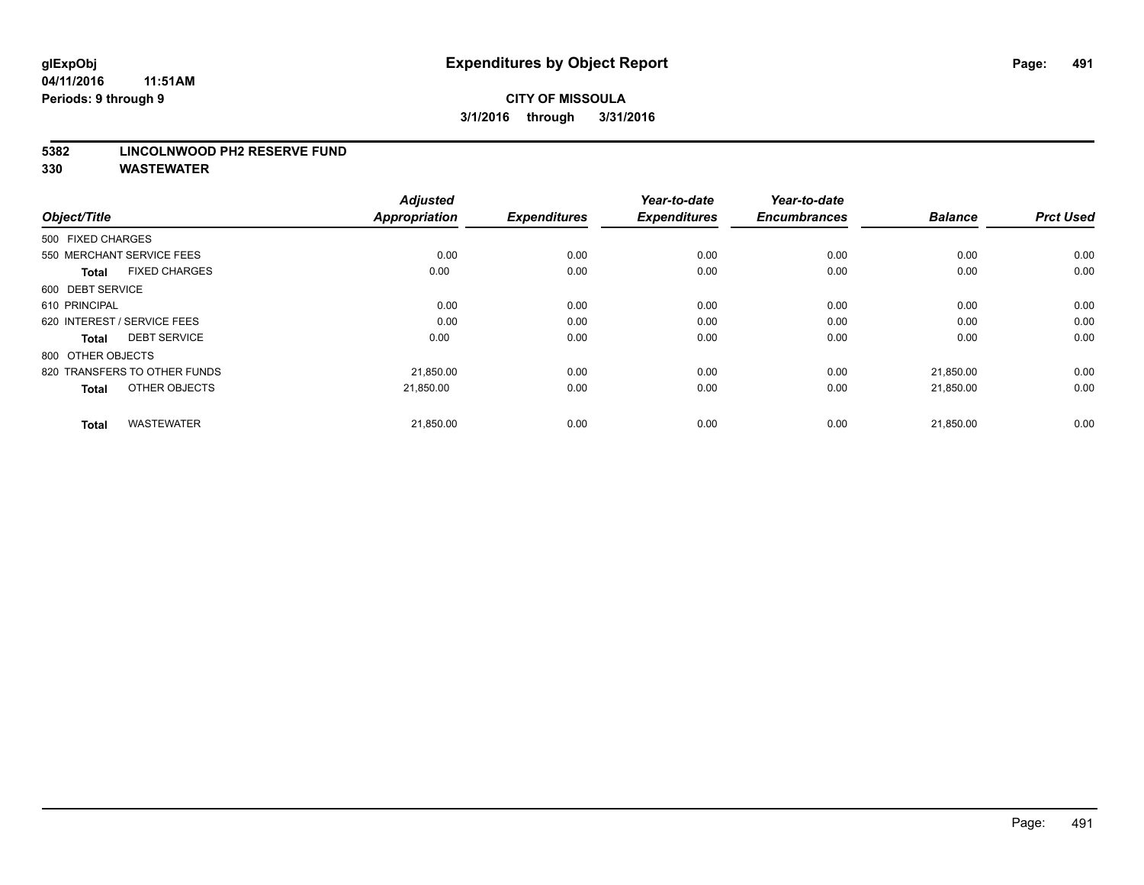#### **5382 LINCOLNWOOD PH2 RESERVE FUND**

| Object/Title                         | <b>Adjusted</b><br><b>Appropriation</b> | <b>Expenditures</b> | Year-to-date<br><b>Expenditures</b> | Year-to-date<br><b>Encumbrances</b> | <b>Balance</b> | <b>Prct Used</b> |
|--------------------------------------|-----------------------------------------|---------------------|-------------------------------------|-------------------------------------|----------------|------------------|
| 500 FIXED CHARGES                    |                                         |                     |                                     |                                     |                |                  |
| 550 MERCHANT SERVICE FEES            | 0.00                                    | 0.00                | 0.00                                | 0.00                                | 0.00           | 0.00             |
| <b>FIXED CHARGES</b><br><b>Total</b> | 0.00                                    | 0.00                | 0.00                                | 0.00                                | 0.00           | 0.00             |
| 600 DEBT SERVICE                     |                                         |                     |                                     |                                     |                |                  |
| 610 PRINCIPAL                        | 0.00                                    | 0.00                | 0.00                                | 0.00                                | 0.00           | 0.00             |
| 620 INTEREST / SERVICE FEES          | 0.00                                    | 0.00                | 0.00                                | 0.00                                | 0.00           | 0.00             |
| <b>DEBT SERVICE</b><br><b>Total</b>  | 0.00                                    | 0.00                | 0.00                                | 0.00                                | 0.00           | 0.00             |
| 800 OTHER OBJECTS                    |                                         |                     |                                     |                                     |                |                  |
| 820 TRANSFERS TO OTHER FUNDS         | 21,850.00                               | 0.00                | 0.00                                | 0.00                                | 21,850.00      | 0.00             |
| OTHER OBJECTS<br><b>Total</b>        | 21.850.00                               | 0.00                | 0.00                                | 0.00                                | 21,850.00      | 0.00             |
|                                      |                                         |                     |                                     |                                     |                |                  |
| <b>WASTEWATER</b><br><b>Total</b>    | 21,850.00                               | 0.00                | 0.00                                | 0.00                                | 21,850.00      | 0.00             |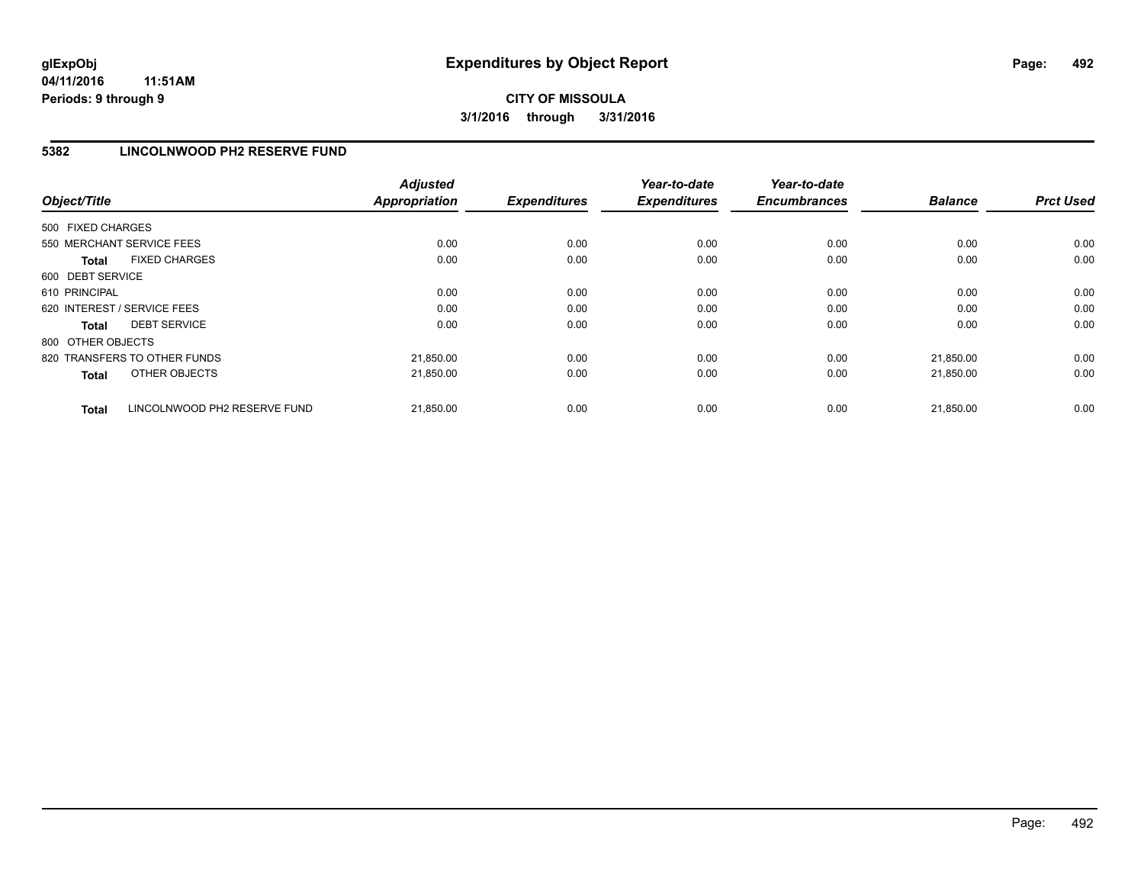#### **5382 LINCOLNWOOD PH2 RESERVE FUND**

| Object/Title                                 | <b>Adjusted</b><br><b>Appropriation</b> | <b>Expenditures</b> | Year-to-date<br><b>Expenditures</b> | Year-to-date<br><b>Encumbrances</b> | <b>Balance</b> | <b>Prct Used</b> |
|----------------------------------------------|-----------------------------------------|---------------------|-------------------------------------|-------------------------------------|----------------|------------------|
| 500 FIXED CHARGES                            |                                         |                     |                                     |                                     |                |                  |
| 550 MERCHANT SERVICE FEES                    | 0.00                                    | 0.00                | 0.00                                | 0.00                                | 0.00           | 0.00             |
| <b>FIXED CHARGES</b><br><b>Total</b>         | 0.00                                    | 0.00                | 0.00                                | 0.00                                | 0.00           | 0.00             |
| 600 DEBT SERVICE                             |                                         |                     |                                     |                                     |                |                  |
| 610 PRINCIPAL                                | 0.00                                    | 0.00                | 0.00                                | 0.00                                | 0.00           | 0.00             |
| 620 INTEREST / SERVICE FEES                  | 0.00                                    | 0.00                | 0.00                                | 0.00                                | 0.00           | 0.00             |
| <b>DEBT SERVICE</b><br><b>Total</b>          | 0.00                                    | 0.00                | 0.00                                | 0.00                                | 0.00           | 0.00             |
| 800 OTHER OBJECTS                            |                                         |                     |                                     |                                     |                |                  |
| 820 TRANSFERS TO OTHER FUNDS                 | 21,850.00                               | 0.00                | 0.00                                | 0.00                                | 21,850.00      | 0.00             |
| OTHER OBJECTS<br><b>Total</b>                | 21,850.00                               | 0.00                | 0.00                                | 0.00                                | 21,850.00      | 0.00             |
| LINCOLNWOOD PH2 RESERVE FUND<br><b>Total</b> | 21,850.00                               | 0.00                | 0.00                                | 0.00                                | 21,850.00      | 0.00             |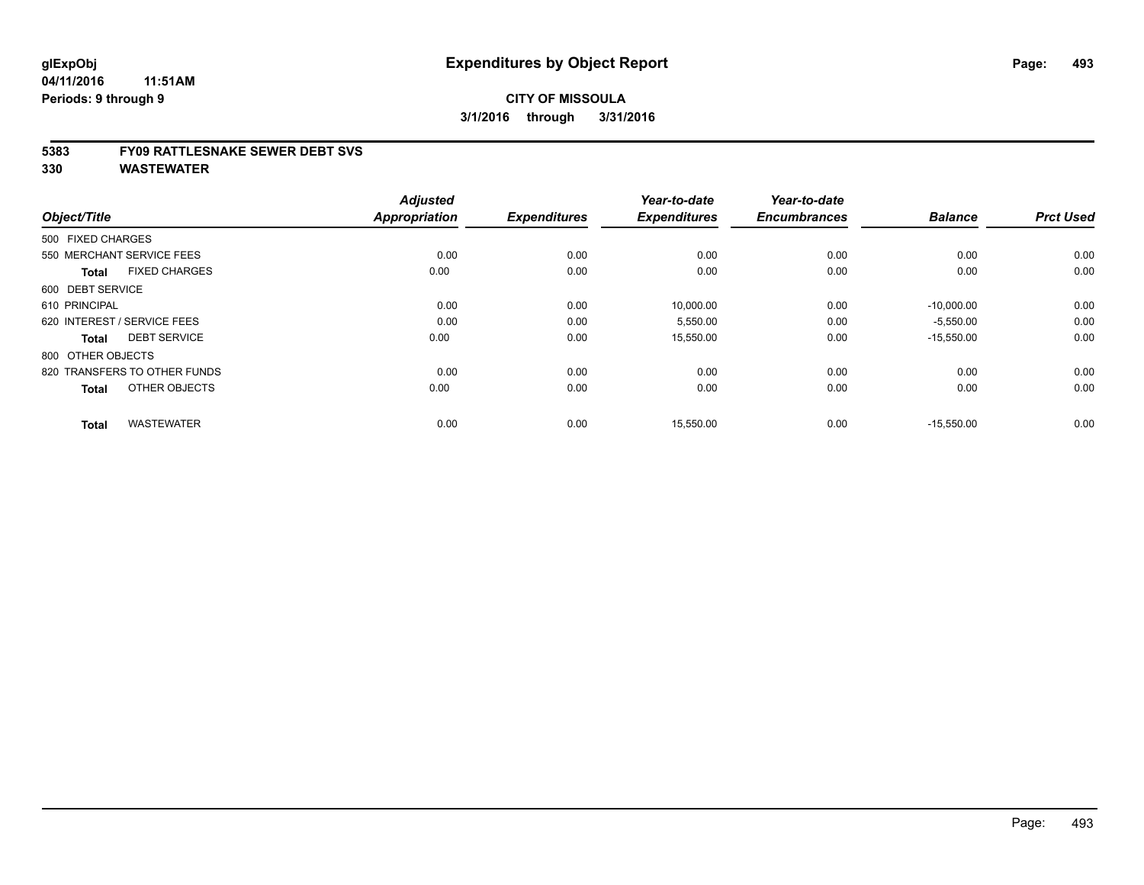#### **5383 FY09 RATTLESNAKE SEWER DEBT SVS**

| Object/Title                         | <b>Adjusted</b><br><b>Appropriation</b> | <b>Expenditures</b> | Year-to-date<br><b>Expenditures</b> | Year-to-date<br><b>Encumbrances</b> | <b>Balance</b> | <b>Prct Used</b> |
|--------------------------------------|-----------------------------------------|---------------------|-------------------------------------|-------------------------------------|----------------|------------------|
| 500 FIXED CHARGES                    |                                         |                     |                                     |                                     |                |                  |
| 550 MERCHANT SERVICE FEES            | 0.00                                    | 0.00                | 0.00                                | 0.00                                | 0.00           | 0.00             |
| <b>FIXED CHARGES</b><br><b>Total</b> | 0.00                                    | 0.00                | 0.00                                | 0.00                                | 0.00           | 0.00             |
| 600 DEBT SERVICE                     |                                         |                     |                                     |                                     |                |                  |
| 610 PRINCIPAL                        | 0.00                                    | 0.00                | 10,000.00                           | 0.00                                | $-10,000.00$   | 0.00             |
| 620 INTEREST / SERVICE FEES          | 0.00                                    | 0.00                | 5,550.00                            | 0.00                                | $-5,550.00$    | 0.00             |
| <b>DEBT SERVICE</b><br><b>Total</b>  | 0.00                                    | 0.00                | 15,550.00                           | 0.00                                | $-15,550.00$   | 0.00             |
| 800 OTHER OBJECTS                    |                                         |                     |                                     |                                     |                |                  |
| 820 TRANSFERS TO OTHER FUNDS         | 0.00                                    | 0.00                | 0.00                                | 0.00                                | 0.00           | 0.00             |
| OTHER OBJECTS<br><b>Total</b>        | 0.00                                    | 0.00                | 0.00                                | 0.00                                | 0.00           | 0.00             |
|                                      |                                         |                     |                                     |                                     |                |                  |
| <b>WASTEWATER</b><br><b>Total</b>    | 0.00                                    | 0.00                | 15,550.00                           | 0.00                                | $-15,550.00$   | 0.00             |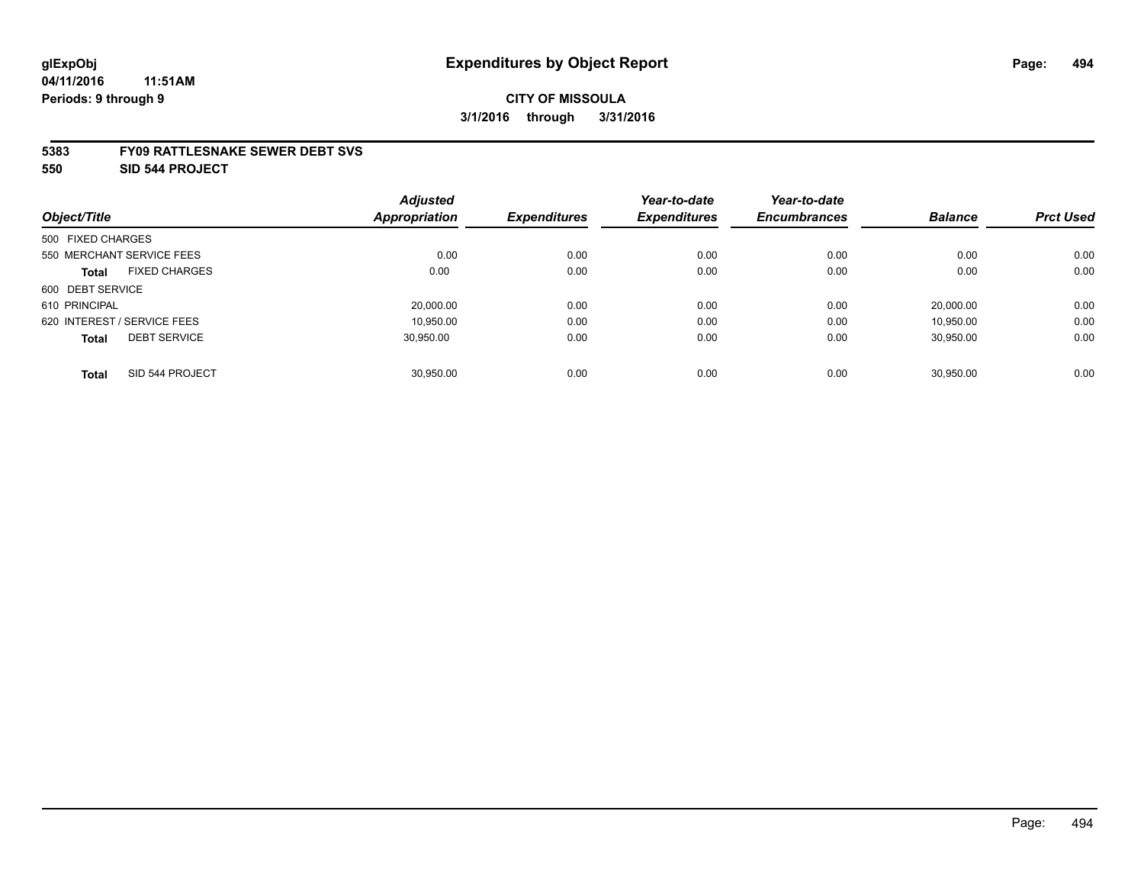### **CITY OF MISSOULA 3/1/2016 through 3/31/2016**

#### **5383 FY09 RATTLESNAKE SEWER DEBT SVS**

**550 SID 544 PROJECT**

|                                      | <b>Adjusted</b> |                     | Year-to-date        | Year-to-date        |                |                  |
|--------------------------------------|-----------------|---------------------|---------------------|---------------------|----------------|------------------|
| Object/Title                         | Appropriation   | <b>Expenditures</b> | <b>Expenditures</b> | <b>Encumbrances</b> | <b>Balance</b> | <b>Prct Used</b> |
| 500 FIXED CHARGES                    |                 |                     |                     |                     |                |                  |
| 550 MERCHANT SERVICE FEES            | 0.00            | 0.00                | 0.00                | 0.00                | 0.00           | 0.00             |
| <b>FIXED CHARGES</b><br><b>Total</b> | 0.00            | 0.00                | 0.00                | 0.00                | 0.00           | 0.00             |
| 600 DEBT SERVICE                     |                 |                     |                     |                     |                |                  |
| 610 PRINCIPAL                        | 20,000.00       | 0.00                | 0.00                | 0.00                | 20.000.00      | 0.00             |
| 620 INTEREST / SERVICE FEES          | 10.950.00       | 0.00                | 0.00                | 0.00                | 10.950.00      | 0.00             |
| <b>DEBT SERVICE</b><br><b>Total</b>  | 30.950.00       | 0.00                | 0.00                | 0.00                | 30,950.00      | 0.00             |
| SID 544 PROJECT<br><b>Total</b>      | 30.950.00       | 0.00                | 0.00                | 0.00                | 30.950.00      | 0.00             |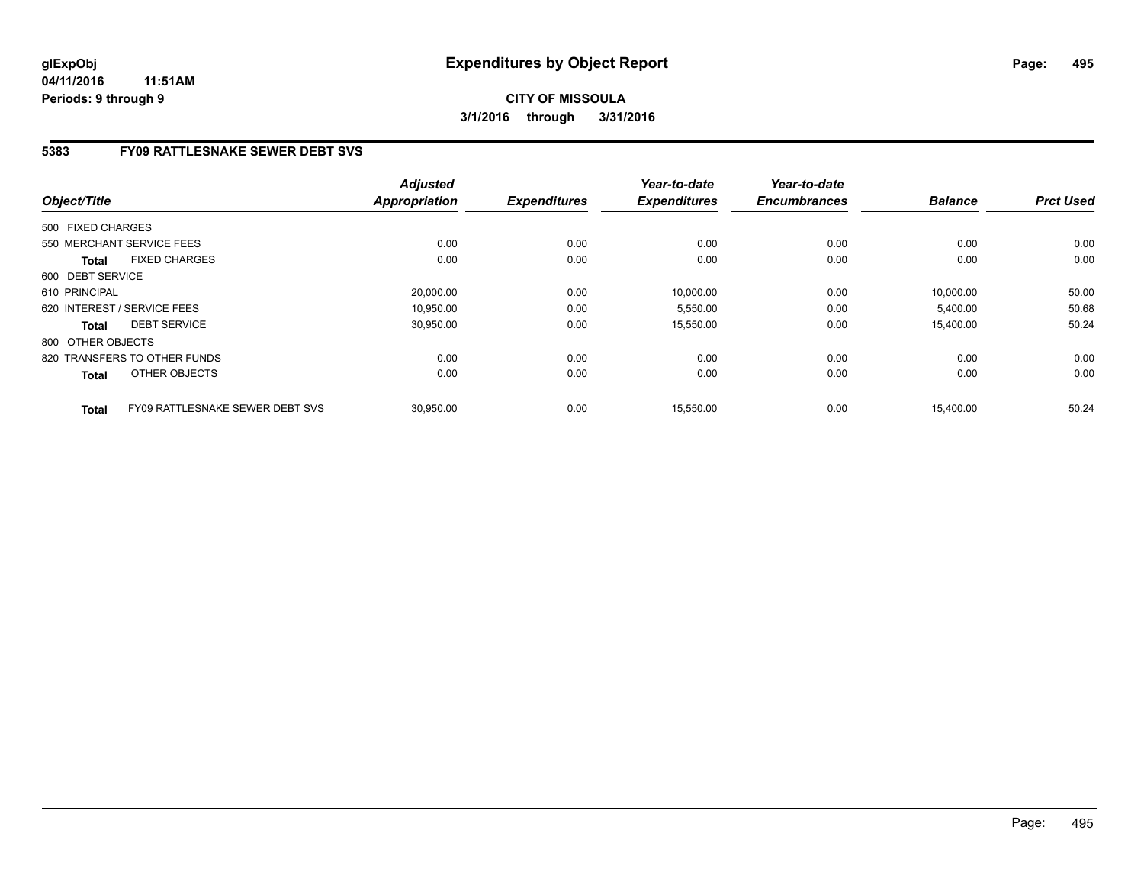# **5383 FY09 RATTLESNAKE SEWER DEBT SVS**

| Object/Title                                    | <b>Adjusted</b><br><b>Appropriation</b> | <b>Expenditures</b> | Year-to-date<br><b>Expenditures</b> | Year-to-date<br><b>Encumbrances</b> | <b>Balance</b> | <b>Prct Used</b> |
|-------------------------------------------------|-----------------------------------------|---------------------|-------------------------------------|-------------------------------------|----------------|------------------|
| 500 FIXED CHARGES                               |                                         |                     |                                     |                                     |                |                  |
| 550 MERCHANT SERVICE FEES                       | 0.00                                    | 0.00                | 0.00                                | 0.00                                | 0.00           | 0.00             |
| <b>FIXED CHARGES</b><br><b>Total</b>            | 0.00                                    | 0.00                | 0.00                                | 0.00                                | 0.00           | 0.00             |
| 600 DEBT SERVICE                                |                                         |                     |                                     |                                     |                |                  |
| 610 PRINCIPAL                                   | 20,000.00                               | 0.00                | 10,000.00                           | 0.00                                | 10,000.00      | 50.00            |
| 620 INTEREST / SERVICE FEES                     | 10.950.00                               | 0.00                | 5,550.00                            | 0.00                                | 5,400.00       | 50.68            |
| <b>DEBT SERVICE</b><br><b>Total</b>             | 30,950.00                               | 0.00                | 15,550.00                           | 0.00                                | 15.400.00      | 50.24            |
| 800 OTHER OBJECTS                               |                                         |                     |                                     |                                     |                |                  |
| 820 TRANSFERS TO OTHER FUNDS                    | 0.00                                    | 0.00                | 0.00                                | 0.00                                | 0.00           | 0.00             |
| OTHER OBJECTS<br><b>Total</b>                   | 0.00                                    | 0.00                | 0.00                                | 0.00                                | 0.00           | 0.00             |
| FY09 RATTLESNAKE SEWER DEBT SVS<br><b>Total</b> | 30,950.00                               | 0.00                | 15,550.00                           | 0.00                                | 15,400.00      | 50.24            |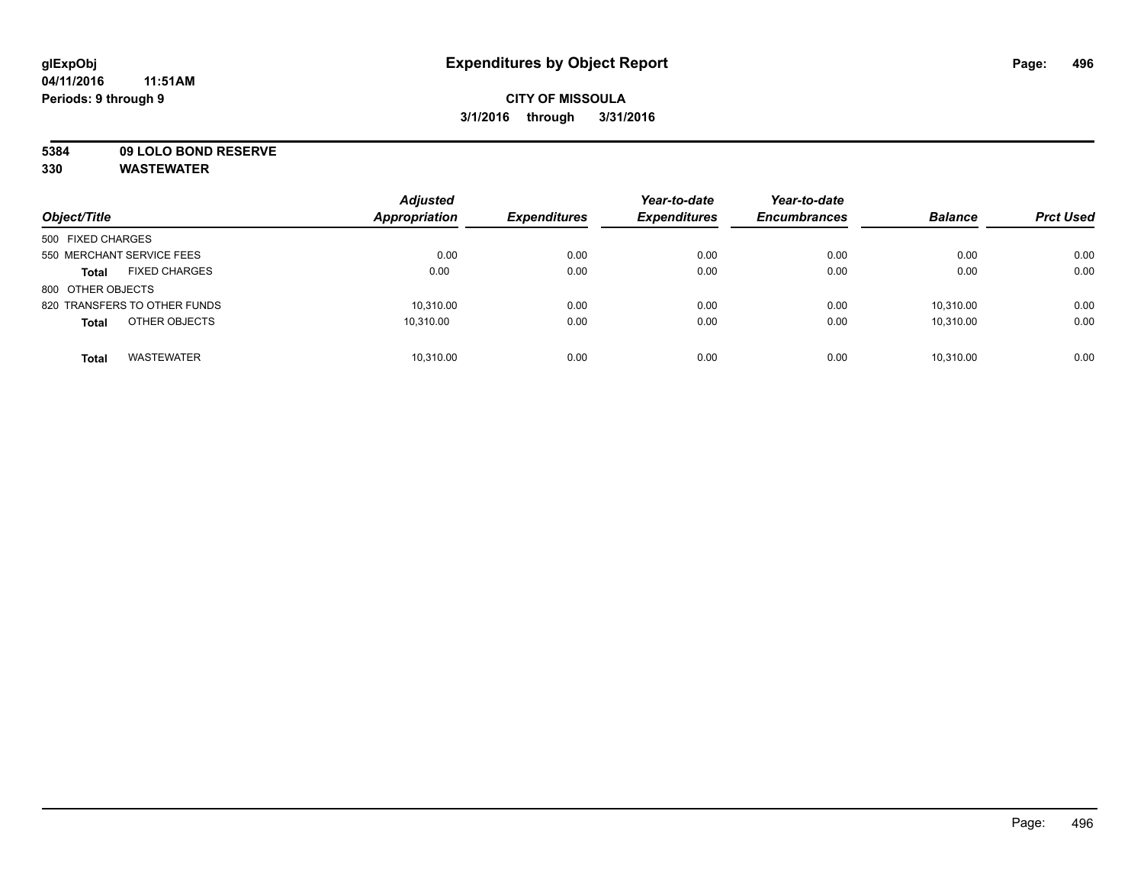# **CITY OF MISSOULA 3/1/2016 through 3/31/2016**

**5384 09 LOLO BOND RESERVE**

| Object/Title                         | <b>Adjusted</b><br><b>Appropriation</b> | <b>Expenditures</b> | Year-to-date<br><b>Expenditures</b> | Year-to-date<br><b>Encumbrances</b> | <b>Balance</b> | <b>Prct Used</b> |
|--------------------------------------|-----------------------------------------|---------------------|-------------------------------------|-------------------------------------|----------------|------------------|
| 500 FIXED CHARGES                    |                                         |                     |                                     |                                     |                |                  |
| 550 MERCHANT SERVICE FEES            | 0.00                                    | 0.00                | 0.00                                | 0.00                                | 0.00           | 0.00             |
| <b>FIXED CHARGES</b><br><b>Total</b> | 0.00                                    | 0.00                | 0.00                                | 0.00                                | 0.00           | 0.00             |
| 800 OTHER OBJECTS                    |                                         |                     |                                     |                                     |                |                  |
| 820 TRANSFERS TO OTHER FUNDS         | 10.310.00                               | 0.00                | 0.00                                | 0.00                                | 10.310.00      | 0.00             |
| OTHER OBJECTS<br><b>Total</b>        | 10.310.00                               | 0.00                | 0.00                                | 0.00                                | 10.310.00      | 0.00             |
| <b>WASTEWATER</b><br><b>Total</b>    | 10.310.00                               | 0.00                | 0.00                                | 0.00                                | 10.310.00      | 0.00             |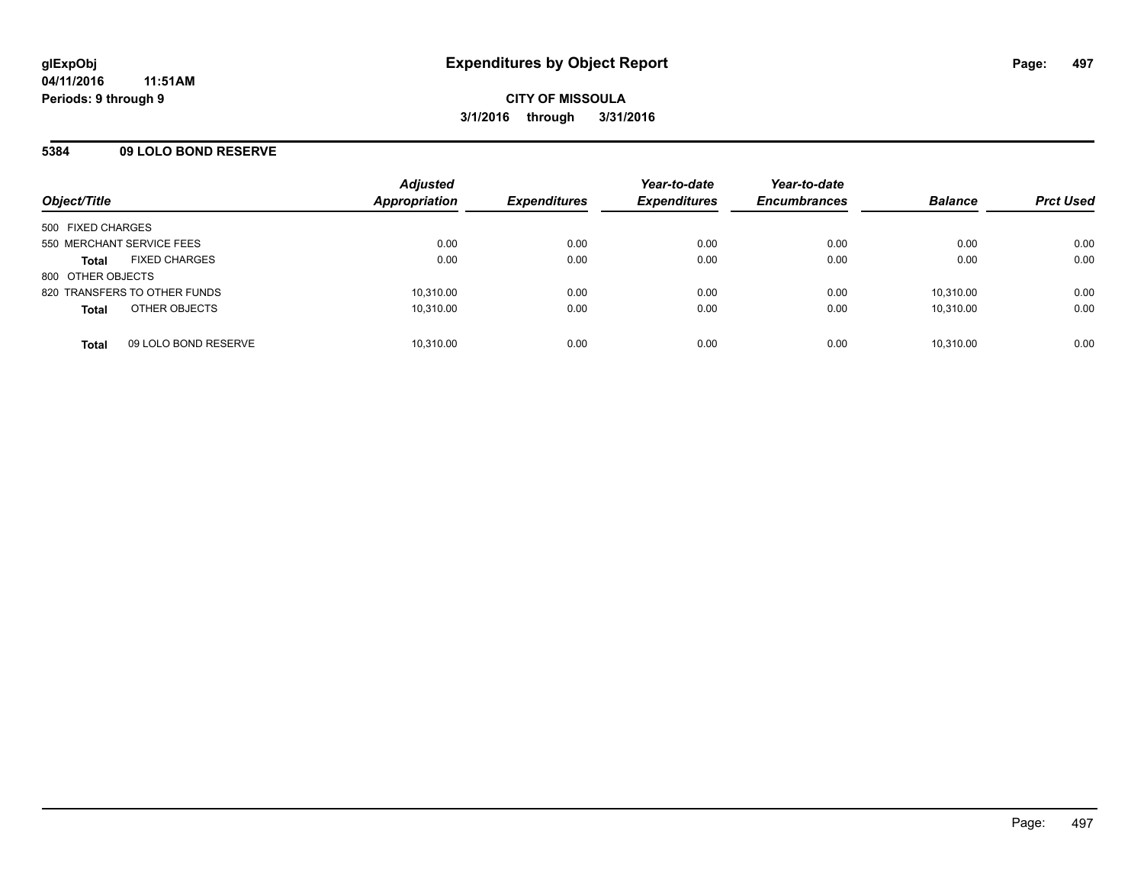### **5384 09 LOLO BOND RESERVE**

| Object/Title                 |                      | <b>Adjusted</b><br>Appropriation | <b>Expenditures</b> | Year-to-date<br><b>Expenditures</b> | Year-to-date<br><b>Encumbrances</b> | <b>Balance</b> | <b>Prct Used</b> |
|------------------------------|----------------------|----------------------------------|---------------------|-------------------------------------|-------------------------------------|----------------|------------------|
| 500 FIXED CHARGES            |                      |                                  |                     |                                     |                                     |                |                  |
| 550 MERCHANT SERVICE FEES    |                      | 0.00                             | 0.00                | 0.00                                | 0.00                                | 0.00           | 0.00             |
| <b>Total</b>                 | <b>FIXED CHARGES</b> | 0.00                             | 0.00                | 0.00                                | 0.00                                | 0.00           | 0.00             |
| 800 OTHER OBJECTS            |                      |                                  |                     |                                     |                                     |                |                  |
| 820 TRANSFERS TO OTHER FUNDS |                      | 10,310.00                        | 0.00                | 0.00                                | 0.00                                | 10.310.00      | 0.00             |
| <b>Total</b>                 | OTHER OBJECTS        | 10,310.00                        | 0.00                | 0.00                                | 0.00                                | 10.310.00      | 0.00             |
| <b>Total</b>                 | 09 LOLO BOND RESERVE | 10,310.00                        | 0.00                | 0.00                                | 0.00                                | 10,310.00      | 0.00             |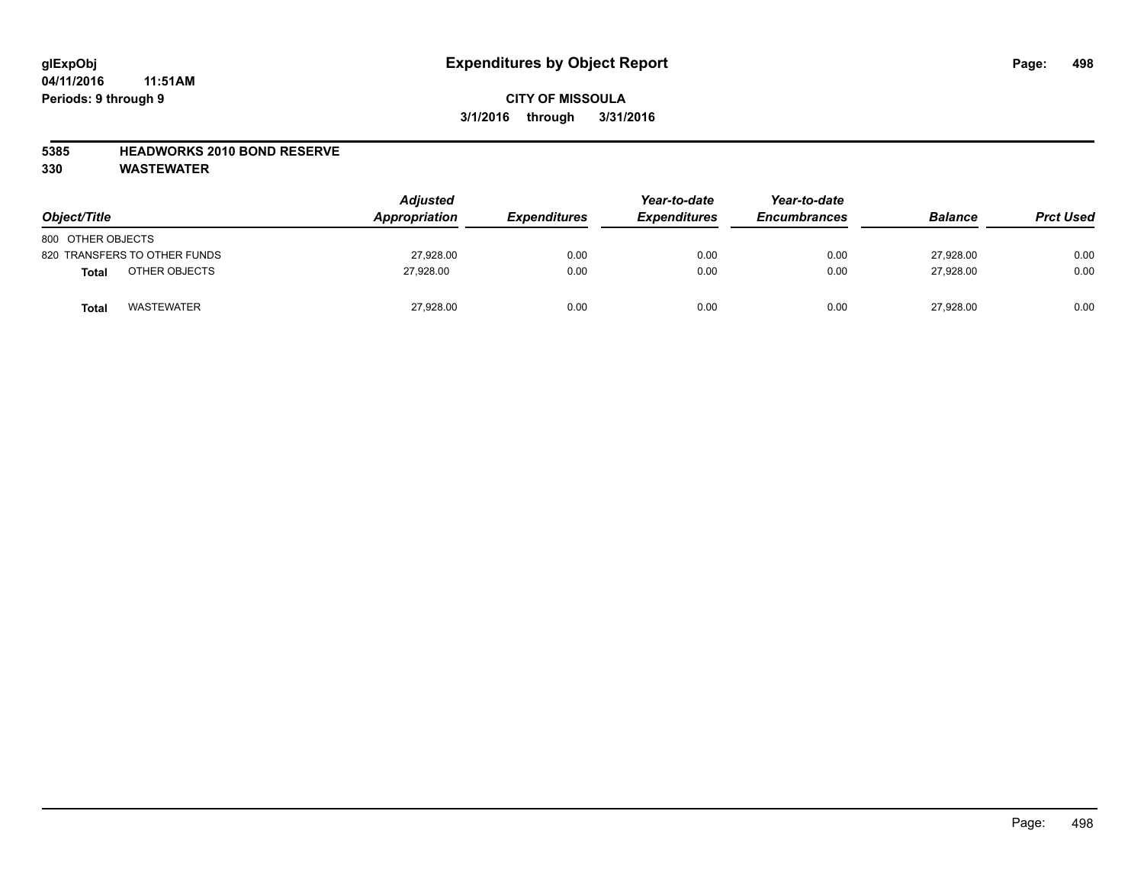# **CITY OF MISSOULA 3/1/2016 through 3/31/2016**

#### **5385 HEADWORKS 2010 BOND RESERVE**

| Object/Title                  | <b>Adjusted</b><br><b>Appropriation</b> | <b>Expenditures</b> | Year-to-date<br><b>Expenditures</b> | Year-to-date<br><b>Encumbrances</b> | <b>Balance</b> | <b>Prct Used</b> |
|-------------------------------|-----------------------------------------|---------------------|-------------------------------------|-------------------------------------|----------------|------------------|
| 800 OTHER OBJECTS             |                                         |                     |                                     |                                     |                |                  |
| 820 TRANSFERS TO OTHER FUNDS  | 27,928.00                               | 0.00                | 0.00                                | 0.00                                | 27.928.00      | 0.00             |
| OTHER OBJECTS<br><b>Total</b> | 27.928.00                               | 0.00                | 0.00                                | 0.00                                | 27.928.00      | 0.00             |
| <b>WASTEWATER</b><br>Total    | 27,928.00                               | 0.00                | 0.00                                | 0.00                                | 27,928.00      | 0.00             |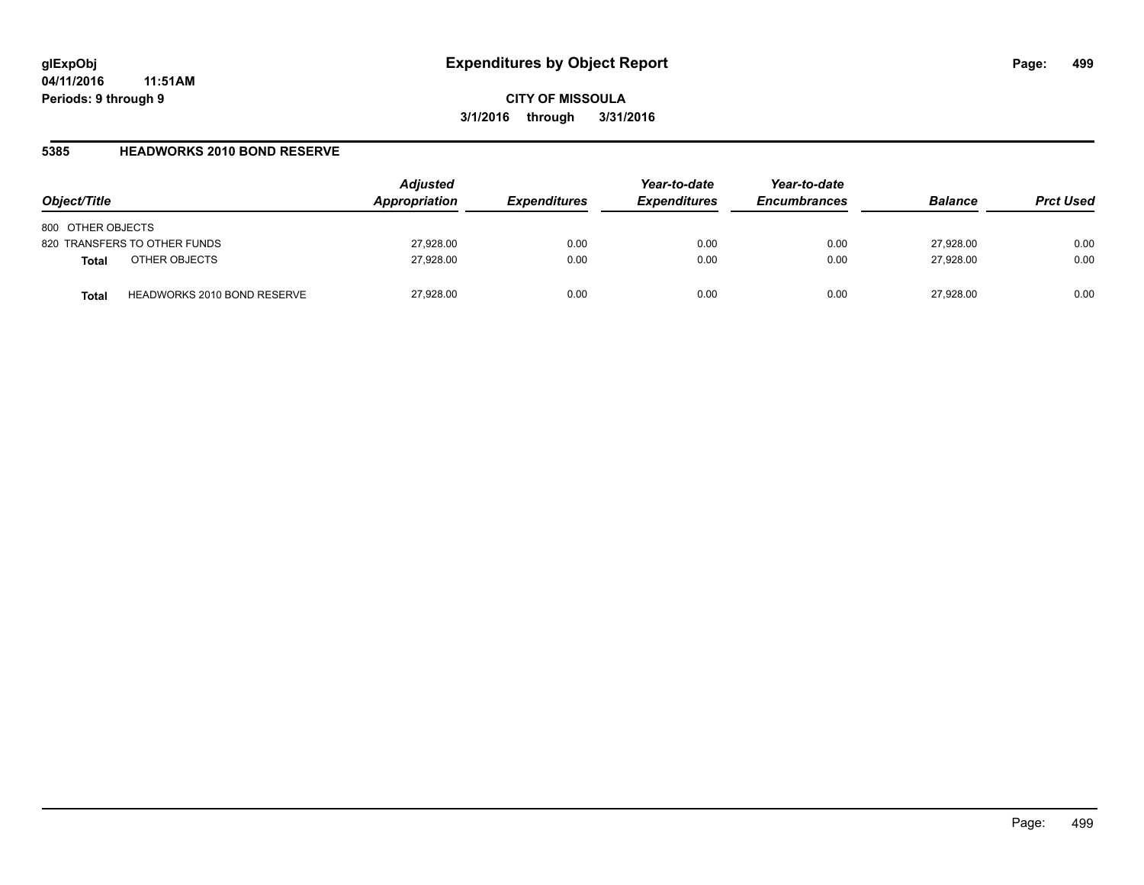#### **5385 HEADWORKS 2010 BOND RESERVE**

| Object/Title                                | <b>Adjusted</b><br>Appropriation | <i><b>Expenditures</b></i> | Year-to-date<br><b>Expenditures</b> | Year-to-date<br><b>Encumbrances</b> | <b>Balance</b> | <b>Prct Used</b> |
|---------------------------------------------|----------------------------------|----------------------------|-------------------------------------|-------------------------------------|----------------|------------------|
| 800 OTHER OBJECTS                           |                                  |                            |                                     |                                     |                |                  |
| 820 TRANSFERS TO OTHER FUNDS                | 27,928.00                        | 0.00                       | 0.00                                | 0.00                                | 27,928.00      | 0.00             |
| OTHER OBJECTS<br><b>Total</b>               | 27,928.00                        | 0.00                       | 0.00                                | 0.00                                | 27,928.00      | 0.00             |
| <b>HEADWORKS 2010 BOND RESERVE</b><br>Total | 27,928.00                        | 0.00                       | 0.00                                | 0.00                                | 27.928.00      | 0.00             |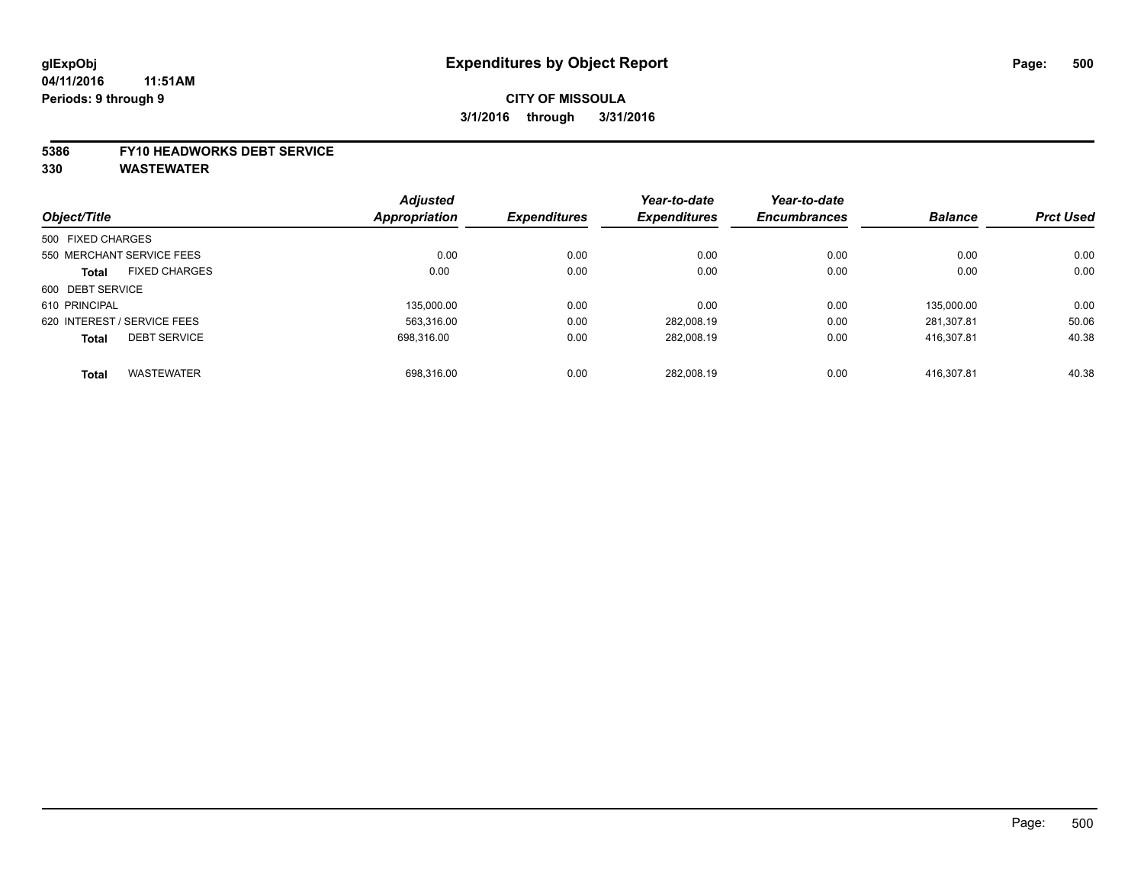### **CITY OF MISSOULA 3/1/2016 through 3/31/2016**

#### **5386 FY10 HEADWORKS DEBT SERVICE**

|                   |                             | <b>Adjusted</b>      |                     | Year-to-date        | Year-to-date        |                |                  |
|-------------------|-----------------------------|----------------------|---------------------|---------------------|---------------------|----------------|------------------|
| Object/Title      |                             | <b>Appropriation</b> | <b>Expenditures</b> | <b>Expenditures</b> | <b>Encumbrances</b> | <b>Balance</b> | <b>Prct Used</b> |
| 500 FIXED CHARGES |                             |                      |                     |                     |                     |                |                  |
|                   | 550 MERCHANT SERVICE FEES   | 0.00                 | 0.00                | 0.00                | 0.00                | 0.00           | 0.00             |
| <b>Total</b>      | <b>FIXED CHARGES</b>        | 0.00                 | 0.00                | 0.00                | 0.00                | 0.00           | 0.00             |
| 600 DEBT SERVICE  |                             |                      |                     |                     |                     |                |                  |
| 610 PRINCIPAL     |                             | 135.000.00           | 0.00                | 0.00                | 0.00                | 135.000.00     | 0.00             |
|                   | 620 INTEREST / SERVICE FEES | 563.316.00           | 0.00                | 282.008.19          | 0.00                | 281.307.81     | 50.06            |
| <b>Total</b>      | <b>DEBT SERVICE</b>         | 698.316.00           | 0.00                | 282.008.19          | 0.00                | 416.307.81     | 40.38            |
| <b>Total</b>      | <b>WASTEWATER</b>           | 698.316.00           | 0.00                | 282.008.19          | 0.00                | 416.307.81     | 40.38            |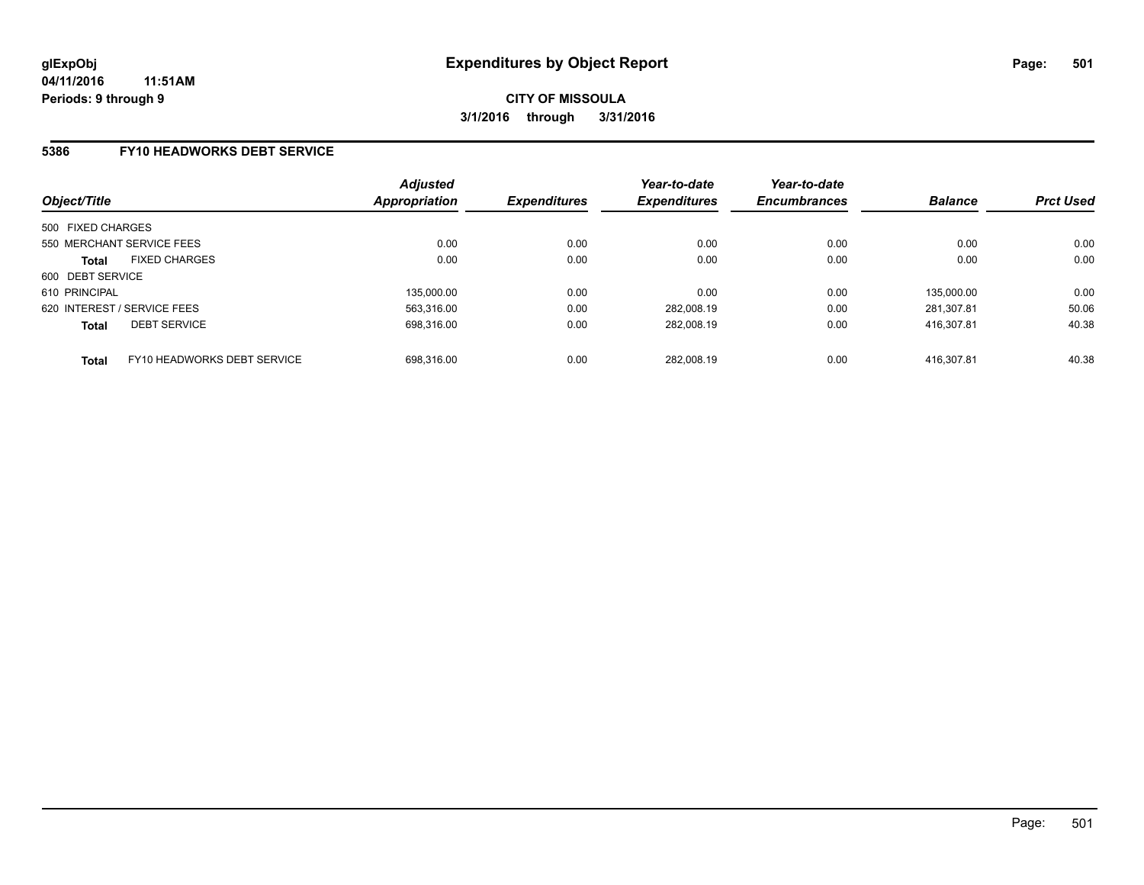### **5386 FY10 HEADWORKS DEBT SERVICE**

| Object/Title                |                             | <b>Adjusted</b><br><b>Appropriation</b> | <b>Expenditures</b> | Year-to-date<br><b>Expenditures</b> | Year-to-date<br><b>Encumbrances</b> | <b>Balance</b> | <b>Prct Used</b> |
|-----------------------------|-----------------------------|-----------------------------------------|---------------------|-------------------------------------|-------------------------------------|----------------|------------------|
| 500 FIXED CHARGES           |                             |                                         |                     |                                     |                                     |                |                  |
| 550 MERCHANT SERVICE FEES   |                             | 0.00                                    | 0.00                | 0.00                                | 0.00                                | 0.00           | 0.00             |
| <b>Total</b>                | <b>FIXED CHARGES</b>        | 0.00                                    | 0.00                | 0.00                                | 0.00                                | 0.00           | 0.00             |
| 600 DEBT SERVICE            |                             |                                         |                     |                                     |                                     |                |                  |
| 610 PRINCIPAL               |                             | 135.000.00                              | 0.00                | 0.00                                | 0.00                                | 135.000.00     | 0.00             |
| 620 INTEREST / SERVICE FEES |                             | 563.316.00                              | 0.00                | 282.008.19                          | 0.00                                | 281.307.81     | 50.06            |
| <b>Total</b>                | <b>DEBT SERVICE</b>         | 698.316.00                              | 0.00                | 282.008.19                          | 0.00                                | 416.307.81     | 40.38            |
| <b>Total</b>                | FY10 HEADWORKS DEBT SERVICE | 698.316.00                              | 0.00                | 282.008.19                          | 0.00                                | 416.307.81     | 40.38            |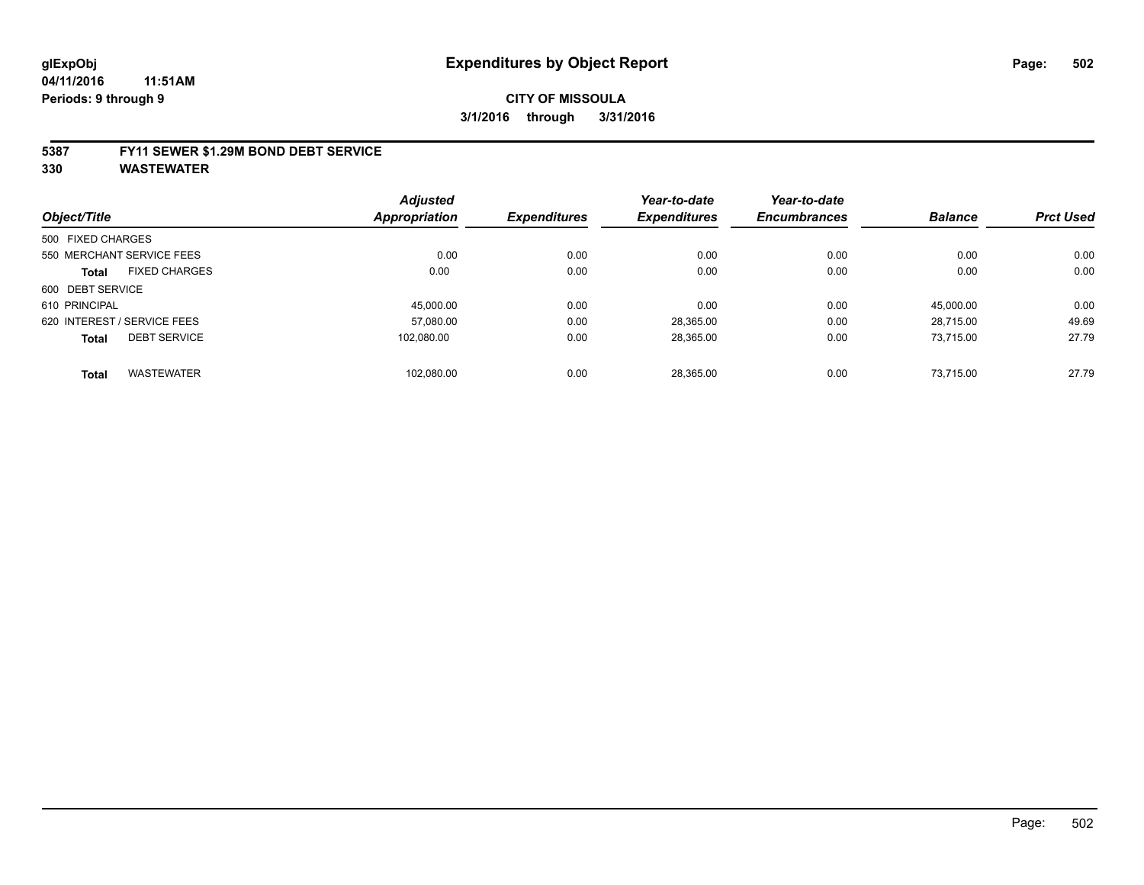#### **5387 FY11 SEWER \$1.29M BOND DEBT SERVICE**

|                   |                             | <b>Adjusted</b> |                     | Year-to-date        | Year-to-date        |                |                  |
|-------------------|-----------------------------|-----------------|---------------------|---------------------|---------------------|----------------|------------------|
| Object/Title      |                             | Appropriation   | <b>Expenditures</b> | <b>Expenditures</b> | <b>Encumbrances</b> | <b>Balance</b> | <b>Prct Used</b> |
| 500 FIXED CHARGES |                             |                 |                     |                     |                     |                |                  |
|                   | 550 MERCHANT SERVICE FEES   | 0.00            | 0.00                | 0.00                | 0.00                | 0.00           | 0.00             |
| <b>Total</b>      | <b>FIXED CHARGES</b>        | 0.00            | 0.00                | 0.00                | 0.00                | 0.00           | 0.00             |
| 600 DEBT SERVICE  |                             |                 |                     |                     |                     |                |                  |
| 610 PRINCIPAL     |                             | 45.000.00       | 0.00                | 0.00                | 0.00                | 45.000.00      | 0.00             |
|                   | 620 INTEREST / SERVICE FEES | 57.080.00       | 0.00                | 28,365.00           | 0.00                | 28.715.00      | 49.69            |
| <b>Total</b>      | <b>DEBT SERVICE</b>         | 102.080.00      | 0.00                | 28,365.00           | 0.00                | 73.715.00      | 27.79            |
| <b>Total</b>      | <b>WASTEWATER</b>           | 102.080.00      | 0.00                | 28.365.00           | 0.00                | 73.715.00      | 27.79            |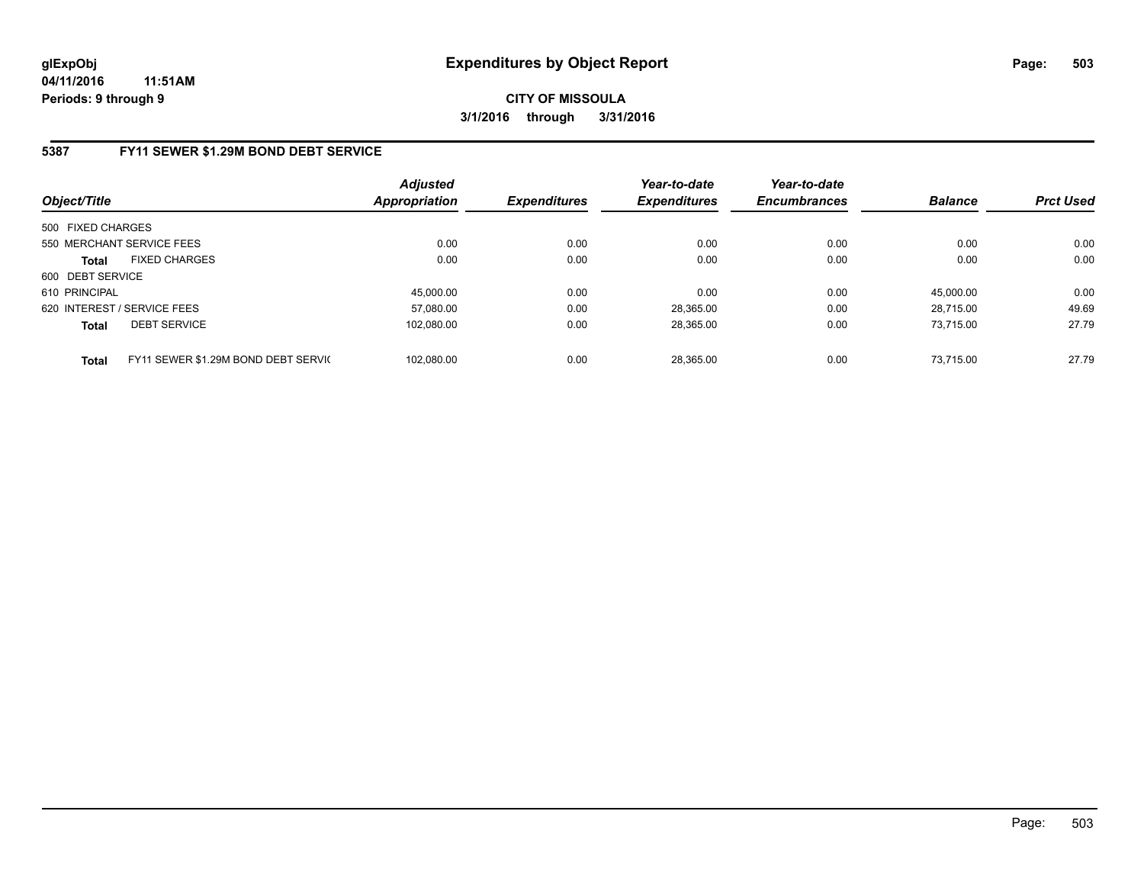# **5387 FY11 SEWER \$1.29M BOND DEBT SERVICE**

| Object/Title      |                                     | Adjusted<br>Appropriation | <b>Expenditures</b> | Year-to-date<br><b>Expenditures</b> | Year-to-date<br><b>Encumbrances</b> | <b>Balance</b> | <b>Prct Used</b> |
|-------------------|-------------------------------------|---------------------------|---------------------|-------------------------------------|-------------------------------------|----------------|------------------|
| 500 FIXED CHARGES |                                     |                           |                     |                                     |                                     |                |                  |
|                   | 550 MERCHANT SERVICE FEES           | 0.00                      | 0.00                | 0.00                                | 0.00                                | 0.00           | 0.00             |
| <b>Total</b>      | <b>FIXED CHARGES</b>                | 0.00                      | 0.00                | 0.00                                | 0.00                                | 0.00           | 0.00             |
| 600 DEBT SERVICE  |                                     |                           |                     |                                     |                                     |                |                  |
| 610 PRINCIPAL     |                                     | 45.000.00                 | 0.00                | 0.00                                | 0.00                                | 45.000.00      | 0.00             |
|                   | 620 INTEREST / SERVICE FEES         | 57.080.00                 | 0.00                | 28.365.00                           | 0.00                                | 28.715.00      | 49.69            |
| <b>Total</b>      | <b>DEBT SERVICE</b>                 | 102.080.00                | 0.00                | 28.365.00                           | 0.00                                | 73.715.00      | 27.79            |
| <b>Total</b>      | FY11 SEWER \$1.29M BOND DEBT SERVIC | 102.080.00                | 0.00                | 28.365.00                           | 0.00                                | 73.715.00      | 27.79            |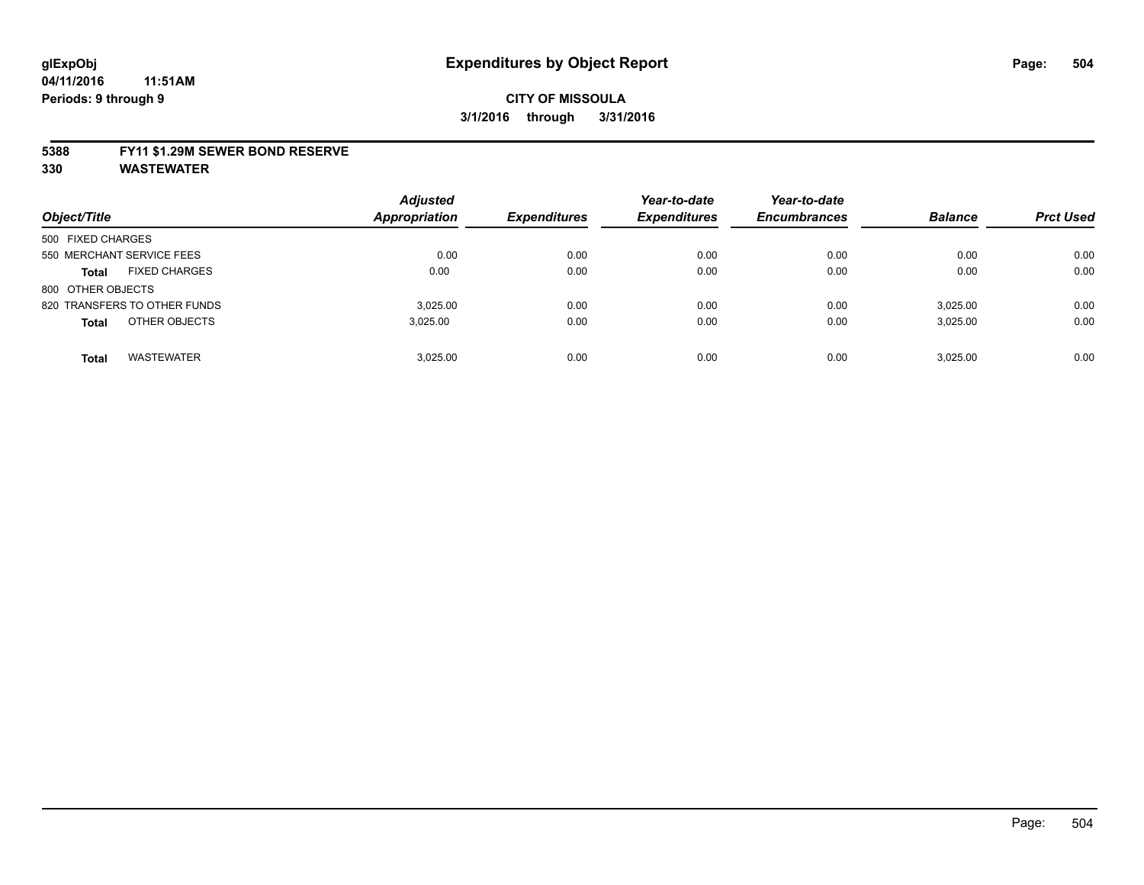#### **5388 FY11 \$1.29M SEWER BOND RESERVE**

| Object/Title                         | <b>Adjusted</b><br><b>Appropriation</b> | <b>Expenditures</b> | Year-to-date<br><b>Expenditures</b> | Year-to-date<br><b>Encumbrances</b> | <b>Balance</b> | <b>Prct Used</b> |
|--------------------------------------|-----------------------------------------|---------------------|-------------------------------------|-------------------------------------|----------------|------------------|
| 500 FIXED CHARGES                    |                                         |                     |                                     |                                     |                |                  |
| 550 MERCHANT SERVICE FEES            | 0.00                                    | 0.00                | 0.00                                | 0.00                                | 0.00           | 0.00             |
| <b>FIXED CHARGES</b><br><b>Total</b> | 0.00                                    | 0.00                | 0.00                                | 0.00                                | 0.00           | 0.00             |
| 800 OTHER OBJECTS                    |                                         |                     |                                     |                                     |                |                  |
| 820 TRANSFERS TO OTHER FUNDS         | 3.025.00                                | 0.00                | 0.00                                | 0.00                                | 3.025.00       | 0.00             |
| OTHER OBJECTS<br><b>Total</b>        | 3,025.00                                | 0.00                | 0.00                                | 0.00                                | 3,025.00       | 0.00             |
| <b>WASTEWATER</b><br><b>Total</b>    | 3.025.00                                | 0.00                | 0.00                                | 0.00                                | 3.025.00       | 0.00             |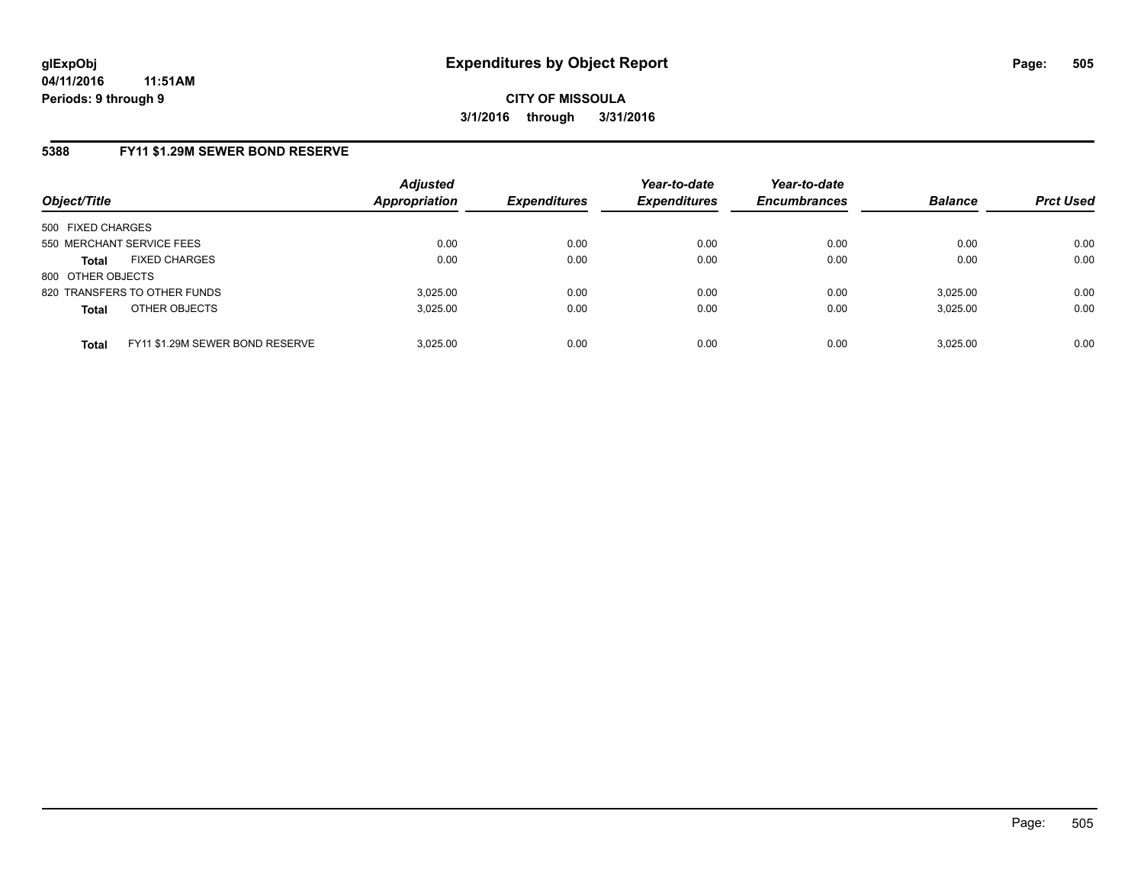### **5388 FY11 \$1.29M SEWER BOND RESERVE**

| Object/Title              |                                 | <b>Adjusted</b><br><b>Appropriation</b> | <b>Expenditures</b> | Year-to-date<br><b>Expenditures</b> | Year-to-date<br><b>Encumbrances</b> | <b>Balance</b> | <b>Prct Used</b> |
|---------------------------|---------------------------------|-----------------------------------------|---------------------|-------------------------------------|-------------------------------------|----------------|------------------|
| 500 FIXED CHARGES         |                                 |                                         |                     |                                     |                                     |                |                  |
| 550 MERCHANT SERVICE FEES |                                 | 0.00                                    | 0.00                | 0.00                                | 0.00                                | 0.00           | 0.00             |
| <b>Total</b>              | <b>FIXED CHARGES</b>            | 0.00                                    | 0.00                | 0.00                                | 0.00                                | 0.00           | 0.00             |
| 800 OTHER OBJECTS         |                                 |                                         |                     |                                     |                                     |                |                  |
|                           | 820 TRANSFERS TO OTHER FUNDS    | 3.025.00                                | 0.00                | 0.00                                | 0.00                                | 3.025.00       | 0.00             |
| <b>Total</b>              | OTHER OBJECTS                   | 3.025.00                                | 0.00                | 0.00                                | 0.00                                | 3,025.00       | 0.00             |
| <b>Total</b>              | FY11 \$1.29M SEWER BOND RESERVE | 3.025.00                                | 0.00                | 0.00                                | 0.00                                | 3.025.00       | 0.00             |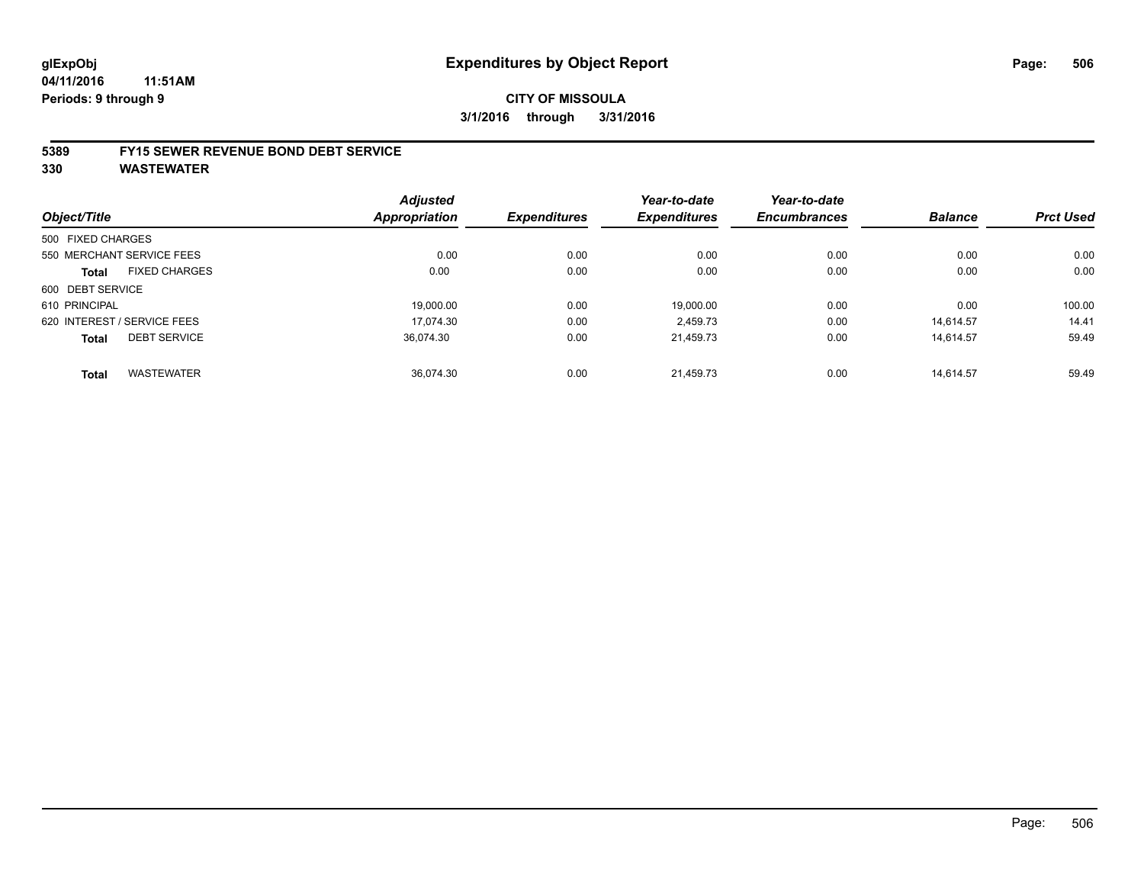### **CITY OF MISSOULA 3/1/2016 through 3/31/2016**

#### **5389 FY15 SEWER REVENUE BOND DEBT SERVICE**

**330 WASTEWATER**

| Object/Title                |                      | <b>Adjusted</b><br>Appropriation | <b>Expenditures</b> | Year-to-date<br><b>Expenditures</b> | Year-to-date<br><b>Encumbrances</b> | <b>Balance</b> | <b>Prct Used</b> |
|-----------------------------|----------------------|----------------------------------|---------------------|-------------------------------------|-------------------------------------|----------------|------------------|
| 500 FIXED CHARGES           |                      |                                  |                     |                                     |                                     |                |                  |
| 550 MERCHANT SERVICE FEES   |                      | 0.00                             | 0.00                | 0.00                                | 0.00                                | 0.00           | 0.00             |
| <b>Total</b>                | <b>FIXED CHARGES</b> | 0.00                             | 0.00                | 0.00                                | 0.00                                | 0.00           | 0.00             |
| 600 DEBT SERVICE            |                      |                                  |                     |                                     |                                     |                |                  |
| 610 PRINCIPAL               |                      | 19.000.00                        | 0.00                | 19.000.00                           | 0.00                                | 0.00           | 100.00           |
| 620 INTEREST / SERVICE FEES |                      | 17.074.30                        | 0.00                | 2.459.73                            | 0.00                                | 14.614.57      | 14.41            |
| <b>Total</b>                | <b>DEBT SERVICE</b>  | 36.074.30                        | 0.00                | 21,459.73                           | 0.00                                | 14,614.57      | 59.49            |
| <b>Total</b>                | <b>WASTEWATER</b>    | 36.074.30                        | 0.00                | 21.459.73                           | 0.00                                | 14.614.57      | 59.49            |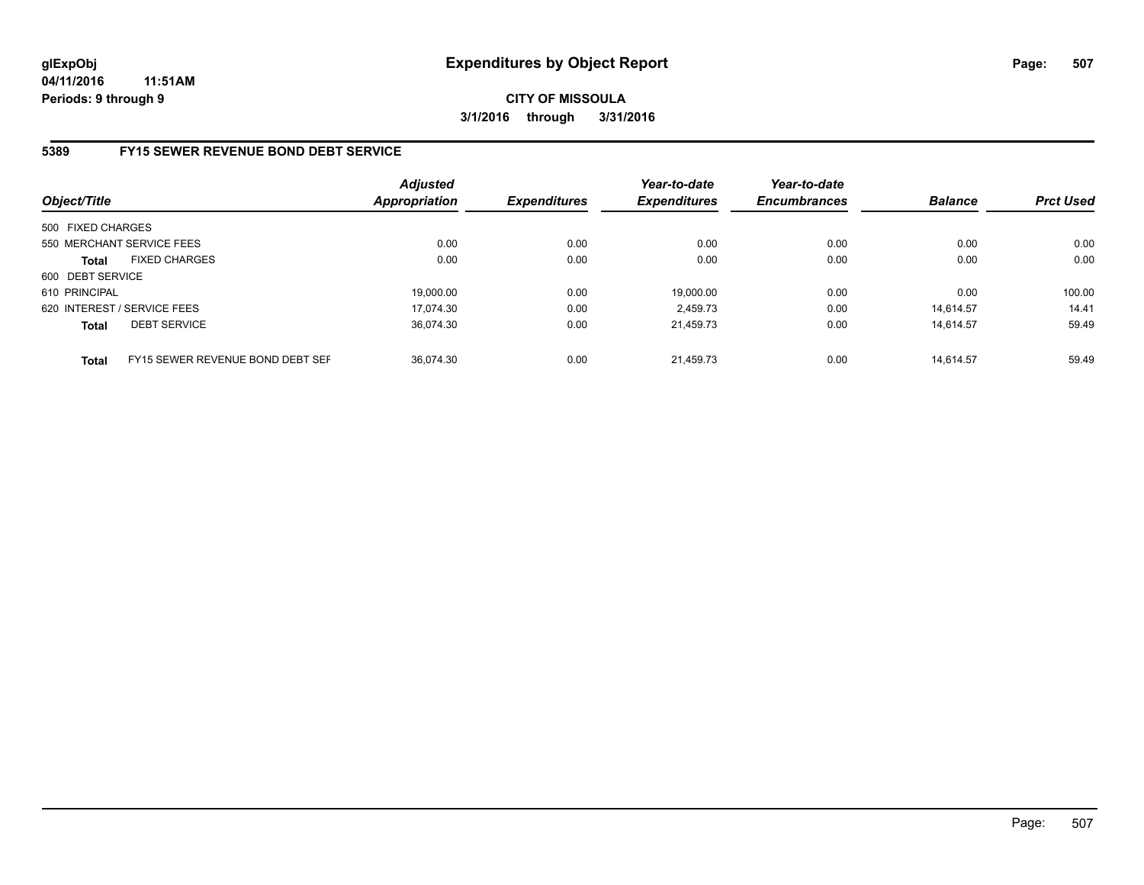# **5389 FY15 SEWER REVENUE BOND DEBT SERVICE**

| Object/Title      |                                  | <b>Adjusted</b><br><b>Appropriation</b> | <b>Expenditures</b> | Year-to-date<br><b>Expenditures</b> | Year-to-date<br><b>Encumbrances</b> | <b>Balance</b> | <b>Prct Used</b> |
|-------------------|----------------------------------|-----------------------------------------|---------------------|-------------------------------------|-------------------------------------|----------------|------------------|
| 500 FIXED CHARGES |                                  |                                         |                     |                                     |                                     |                |                  |
|                   | 550 MERCHANT SERVICE FEES        | 0.00                                    | 0.00                | 0.00                                | 0.00                                | 0.00           | 0.00             |
| <b>Total</b>      | <b>FIXED CHARGES</b>             | 0.00                                    | 0.00                | 0.00                                | 0.00                                | 0.00           | 0.00             |
| 600 DEBT SERVICE  |                                  |                                         |                     |                                     |                                     |                |                  |
| 610 PRINCIPAL     |                                  | 19.000.00                               | 0.00                | 19.000.00                           | 0.00                                | 0.00           | 100.00           |
|                   | 620 INTEREST / SERVICE FEES      | 17.074.30                               | 0.00                | 2.459.73                            | 0.00                                | 14.614.57      | 14.41            |
| <b>Total</b>      | <b>DEBT SERVICE</b>              | 36.074.30                               | 0.00                | 21.459.73                           | 0.00                                | 14.614.57      | 59.49            |
| <b>Total</b>      | FY15 SEWER REVENUE BOND DEBT SEF | 36.074.30                               | 0.00                | 21.459.73                           | 0.00                                | 14.614.57      | 59.49            |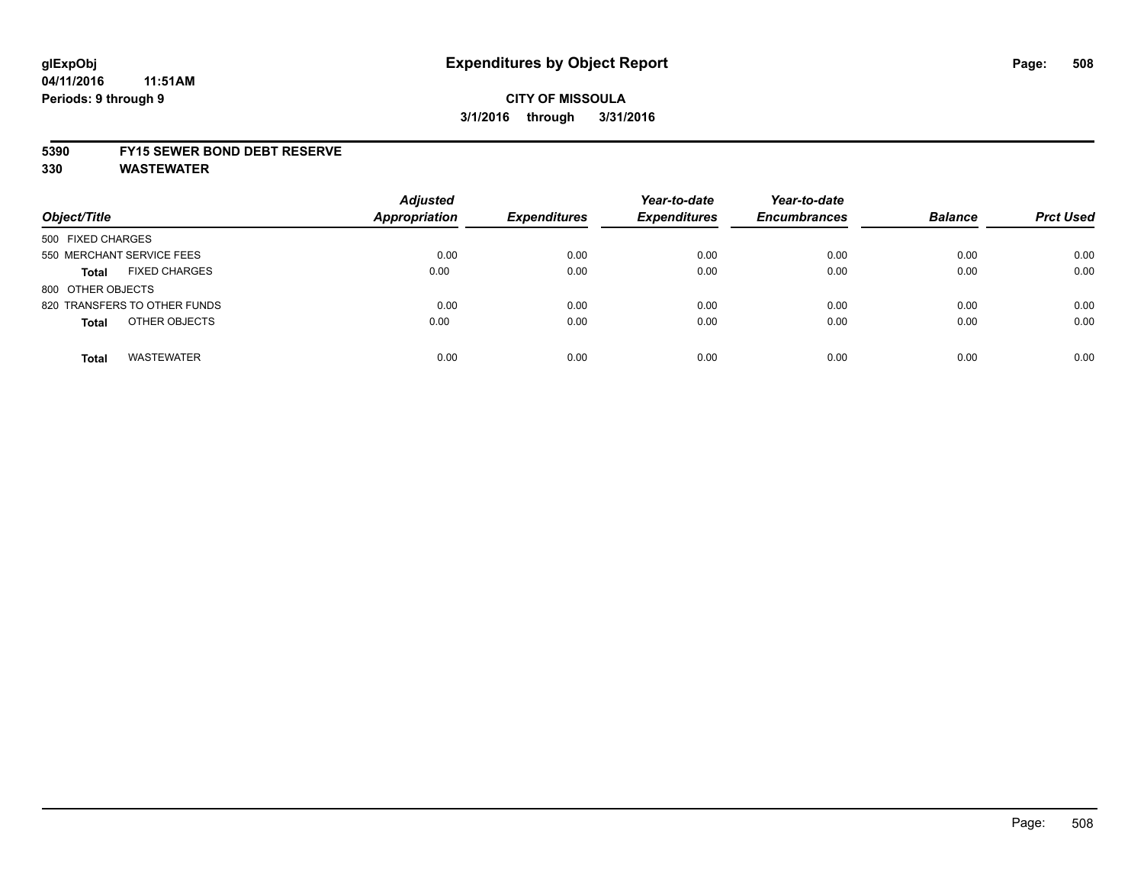# **CITY OF MISSOULA 3/1/2016 through 3/31/2016**

#### **5390 FY15 SEWER BOND DEBT RESERVE**

**330 WASTEWATER**

| Object/Title                         | <b>Adjusted</b><br><b>Appropriation</b> | <b>Expenditures</b> | Year-to-date<br><b>Expenditures</b> | Year-to-date<br><b>Encumbrances</b> | <b>Balance</b> | <b>Prct Used</b> |
|--------------------------------------|-----------------------------------------|---------------------|-------------------------------------|-------------------------------------|----------------|------------------|
| 500 FIXED CHARGES                    |                                         |                     |                                     |                                     |                |                  |
| 550 MERCHANT SERVICE FEES            | 0.00                                    | 0.00                | 0.00                                | 0.00                                | 0.00           | 0.00             |
| <b>FIXED CHARGES</b><br><b>Total</b> | 0.00                                    | 0.00                | 0.00                                | 0.00                                | 0.00           | 0.00             |
| 800 OTHER OBJECTS                    |                                         |                     |                                     |                                     |                |                  |
| 820 TRANSFERS TO OTHER FUNDS         | 0.00                                    | 0.00                | 0.00                                | 0.00                                | 0.00           | 0.00             |
| OTHER OBJECTS<br><b>Total</b>        | 0.00                                    | 0.00                | 0.00                                | 0.00                                | 0.00           | 0.00             |
| <b>WASTEWATER</b><br><b>Total</b>    | 0.00                                    | 0.00                | 0.00                                | 0.00                                | 0.00           | 0.00             |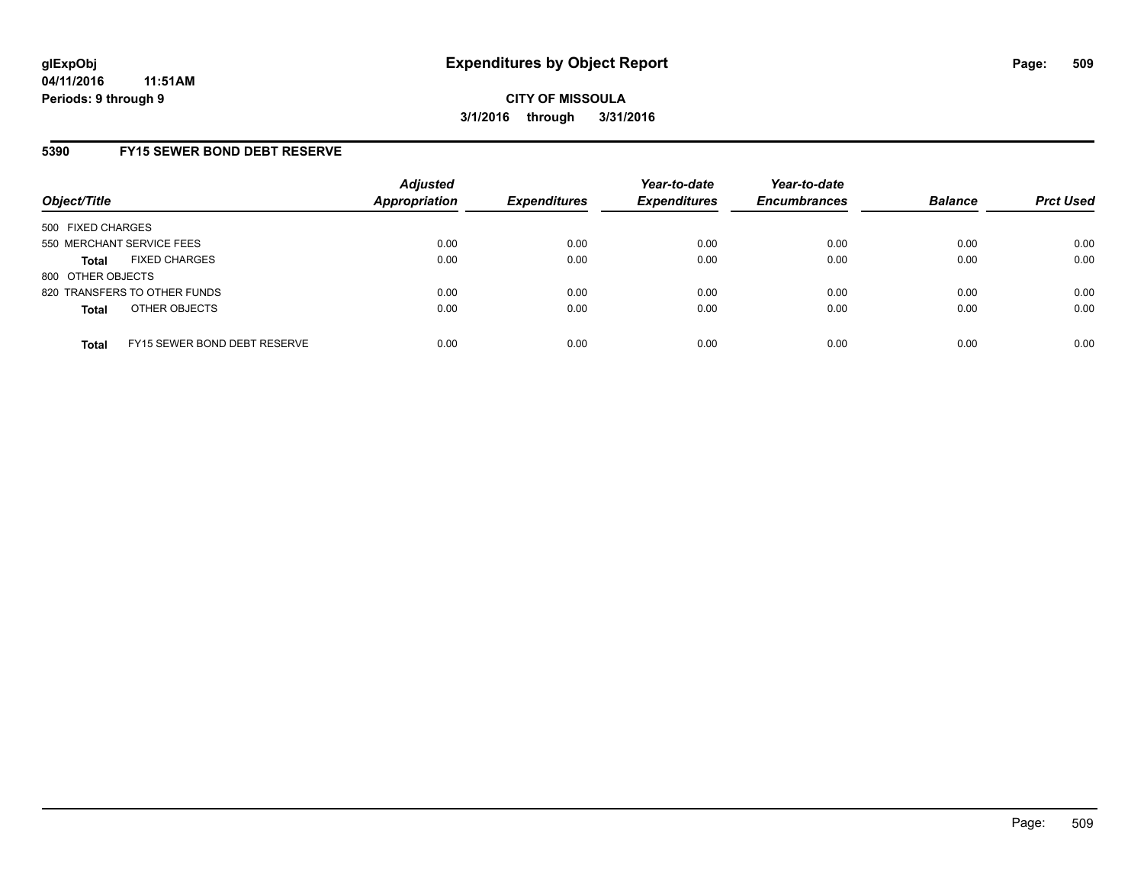# **5390 FY15 SEWER BOND DEBT RESERVE**

| Object/Title              |                              | <b>Adjusted</b><br><b>Appropriation</b> | <b>Expenditures</b> | Year-to-date<br><b>Expenditures</b> | Year-to-date<br><b>Encumbrances</b> | <b>Balance</b> | <b>Prct Used</b> |
|---------------------------|------------------------------|-----------------------------------------|---------------------|-------------------------------------|-------------------------------------|----------------|------------------|
| 500 FIXED CHARGES         |                              |                                         |                     |                                     |                                     |                |                  |
| 550 MERCHANT SERVICE FEES |                              | 0.00                                    | 0.00                | 0.00                                | 0.00                                | 0.00           | 0.00             |
| Total                     | <b>FIXED CHARGES</b>         | 0.00                                    | 0.00                | 0.00                                | 0.00                                | 0.00           | 0.00             |
| 800 OTHER OBJECTS         |                              |                                         |                     |                                     |                                     |                |                  |
|                           | 820 TRANSFERS TO OTHER FUNDS | 0.00                                    | 0.00                | 0.00                                | 0.00                                | 0.00           | 0.00             |
| <b>Total</b>              | OTHER OBJECTS                | 0.00                                    | 0.00                | 0.00                                | 0.00                                | 0.00           | 0.00             |
| <b>Total</b>              | FY15 SEWER BOND DEBT RESERVE | 0.00                                    | 0.00                | 0.00                                | 0.00                                | 0.00           | 0.00             |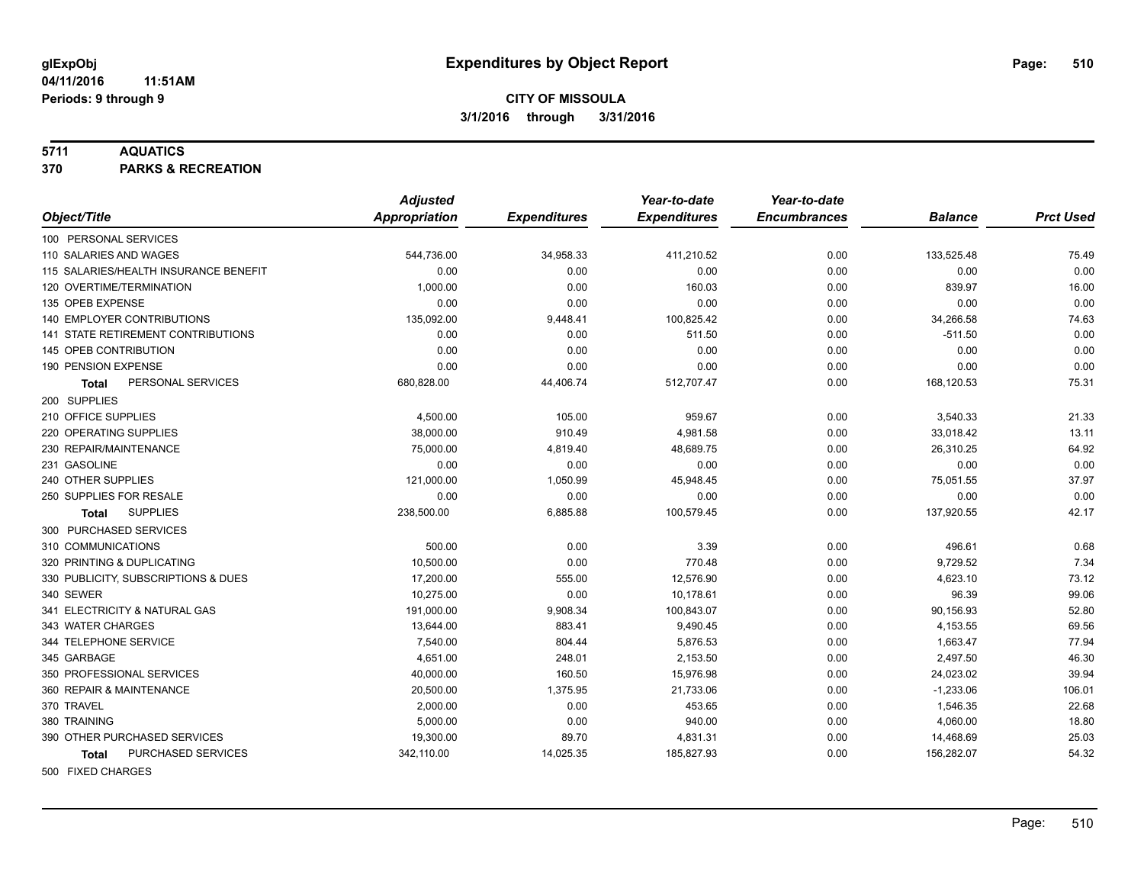#### **5711 AQUATICS**

**370 PARKS & RECREATION**

|                                       | <b>Adjusted</b> |                     | Year-to-date        | Year-to-date        |                |                  |
|---------------------------------------|-----------------|---------------------|---------------------|---------------------|----------------|------------------|
| Object/Title                          | Appropriation   | <b>Expenditures</b> | <b>Expenditures</b> | <b>Encumbrances</b> | <b>Balance</b> | <b>Prct Used</b> |
| 100 PERSONAL SERVICES                 |                 |                     |                     |                     |                |                  |
| 110 SALARIES AND WAGES                | 544,736.00      | 34,958.33           | 411,210.52          | 0.00                | 133,525.48     | 75.49            |
| 115 SALARIES/HEALTH INSURANCE BENEFIT | 0.00            | 0.00                | 0.00                | 0.00                | 0.00           | 0.00             |
| 120 OVERTIME/TERMINATION              | 1,000.00        | 0.00                | 160.03              | 0.00                | 839.97         | 16.00            |
| 135 OPEB EXPENSE                      | 0.00            | 0.00                | 0.00                | 0.00                | 0.00           | 0.00             |
| 140 EMPLOYER CONTRIBUTIONS            | 135,092.00      | 9,448.41            | 100,825.42          | 0.00                | 34,266.58      | 74.63            |
| 141 STATE RETIREMENT CONTRIBUTIONS    | 0.00            | 0.00                | 511.50              | 0.00                | $-511.50$      | 0.00             |
| 145 OPEB CONTRIBUTION                 | 0.00            | 0.00                | 0.00                | 0.00                | 0.00           | 0.00             |
| 190 PENSION EXPENSE                   | 0.00            | 0.00                | 0.00                | 0.00                | 0.00           | 0.00             |
| PERSONAL SERVICES<br>Total            | 680,828.00      | 44,406.74           | 512,707.47          | 0.00                | 168,120.53     | 75.31            |
| 200 SUPPLIES                          |                 |                     |                     |                     |                |                  |
| 210 OFFICE SUPPLIES                   | 4,500.00        | 105.00              | 959.67              | 0.00                | 3,540.33       | 21.33            |
| 220 OPERATING SUPPLIES                | 38,000.00       | 910.49              | 4,981.58            | 0.00                | 33,018.42      | 13.11            |
| 230 REPAIR/MAINTENANCE                | 75,000.00       | 4,819.40            | 48,689.75           | 0.00                | 26,310.25      | 64.92            |
| 231 GASOLINE                          | 0.00            | 0.00                | 0.00                | 0.00                | 0.00           | 0.00             |
| 240 OTHER SUPPLIES                    | 121,000.00      | 1,050.99            | 45,948.45           | 0.00                | 75,051.55      | 37.97            |
| 250 SUPPLIES FOR RESALE               | 0.00            | 0.00                | 0.00                | 0.00                | 0.00           | 0.00             |
| <b>SUPPLIES</b><br>Total              | 238,500.00      | 6,885.88            | 100,579.45          | 0.00                | 137,920.55     | 42.17            |
| 300 PURCHASED SERVICES                |                 |                     |                     |                     |                |                  |
| 310 COMMUNICATIONS                    | 500.00          | 0.00                | 3.39                | 0.00                | 496.61         | 0.68             |
| 320 PRINTING & DUPLICATING            | 10,500.00       | 0.00                | 770.48              | 0.00                | 9,729.52       | 7.34             |
| 330 PUBLICITY, SUBSCRIPTIONS & DUES   | 17.200.00       | 555.00              | 12,576.90           | 0.00                | 4,623.10       | 73.12            |
| 340 SEWER                             | 10,275.00       | 0.00                | 10,178.61           | 0.00                | 96.39          | 99.06            |
| 341 ELECTRICITY & NATURAL GAS         | 191,000.00      | 9,908.34            | 100,843.07          | 0.00                | 90,156.93      | 52.80            |
| 343 WATER CHARGES                     | 13,644.00       | 883.41              | 9,490.45            | 0.00                | 4,153.55       | 69.56            |
| 344 TELEPHONE SERVICE                 | 7,540.00        | 804.44              | 5,876.53            | 0.00                | 1,663.47       | 77.94            |
| 345 GARBAGE                           | 4,651.00        | 248.01              | 2,153.50            | 0.00                | 2,497.50       | 46.30            |
| 350 PROFESSIONAL SERVICES             | 40,000.00       | 160.50              | 15,976.98           | 0.00                | 24,023.02      | 39.94            |
| 360 REPAIR & MAINTENANCE              | 20,500.00       | 1,375.95            | 21,733.06           | 0.00                | $-1,233.06$    | 106.01           |
| 370 TRAVEL                            | 2,000.00        | 0.00                | 453.65              | 0.00                | 1,546.35       | 22.68            |
| 380 TRAINING                          | 5,000.00        | 0.00                | 940.00              | 0.00                | 4,060.00       | 18.80            |
| 390 OTHER PURCHASED SERVICES          | 19,300.00       | 89.70               | 4,831.31            | 0.00                | 14,468.69      | 25.03            |
| PURCHASED SERVICES<br>Total           | 342,110.00      | 14,025.35           | 185,827.93          | 0.00                | 156,282.07     | 54.32            |
| 500 FIXED CHARGES                     |                 |                     |                     |                     |                |                  |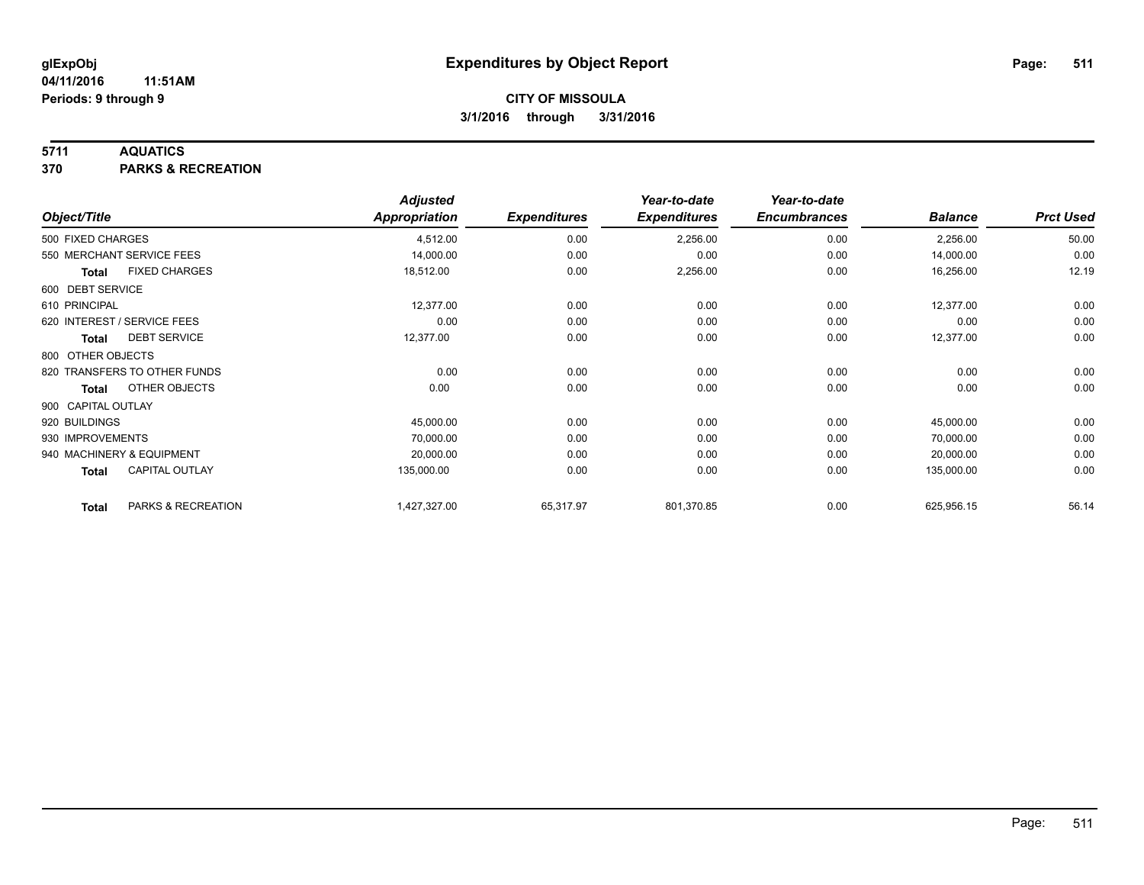### **5711 AQUATICS**

**370 PARKS & RECREATION**

|                    |                              | <b>Adjusted</b>      |                     | Year-to-date        | Year-to-date        |                |                  |
|--------------------|------------------------------|----------------------|---------------------|---------------------|---------------------|----------------|------------------|
| Object/Title       |                              | <b>Appropriation</b> | <b>Expenditures</b> | <b>Expenditures</b> | <b>Encumbrances</b> | <b>Balance</b> | <b>Prct Used</b> |
| 500 FIXED CHARGES  |                              | 4,512.00             | 0.00                | 2,256.00            | 0.00                | 2,256.00       | 50.00            |
|                    | 550 MERCHANT SERVICE FEES    | 14,000.00            | 0.00                | 0.00                | 0.00                | 14,000.00      | 0.00             |
| <b>Total</b>       | <b>FIXED CHARGES</b>         | 18,512.00            | 0.00                | 2,256.00            | 0.00                | 16,256.00      | 12.19            |
| 600 DEBT SERVICE   |                              |                      |                     |                     |                     |                |                  |
| 610 PRINCIPAL      |                              | 12,377.00            | 0.00                | 0.00                | 0.00                | 12,377.00      | 0.00             |
|                    | 620 INTEREST / SERVICE FEES  | 0.00                 | 0.00                | 0.00                | 0.00                | 0.00           | 0.00             |
| Total              | <b>DEBT SERVICE</b>          | 12,377.00            | 0.00                | 0.00                | 0.00                | 12,377.00      | 0.00             |
| 800 OTHER OBJECTS  |                              |                      |                     |                     |                     |                |                  |
|                    | 820 TRANSFERS TO OTHER FUNDS | 0.00                 | 0.00                | 0.00                | 0.00                | 0.00           | 0.00             |
| Total              | OTHER OBJECTS                | 0.00                 | 0.00                | 0.00                | 0.00                | 0.00           | 0.00             |
| 900 CAPITAL OUTLAY |                              |                      |                     |                     |                     |                |                  |
| 920 BUILDINGS      |                              | 45,000.00            | 0.00                | 0.00                | 0.00                | 45,000.00      | 0.00             |
| 930 IMPROVEMENTS   |                              | 70,000.00            | 0.00                | 0.00                | 0.00                | 70,000.00      | 0.00             |
|                    | 940 MACHINERY & EQUIPMENT    | 20,000.00            | 0.00                | 0.00                | 0.00                | 20,000.00      | 0.00             |
| <b>Total</b>       | <b>CAPITAL OUTLAY</b>        | 135,000.00           | 0.00                | 0.00                | 0.00                | 135,000.00     | 0.00             |
| <b>Total</b>       | PARKS & RECREATION           | 1,427,327.00         | 65,317.97           | 801,370.85          | 0.00                | 625,956.15     | 56.14            |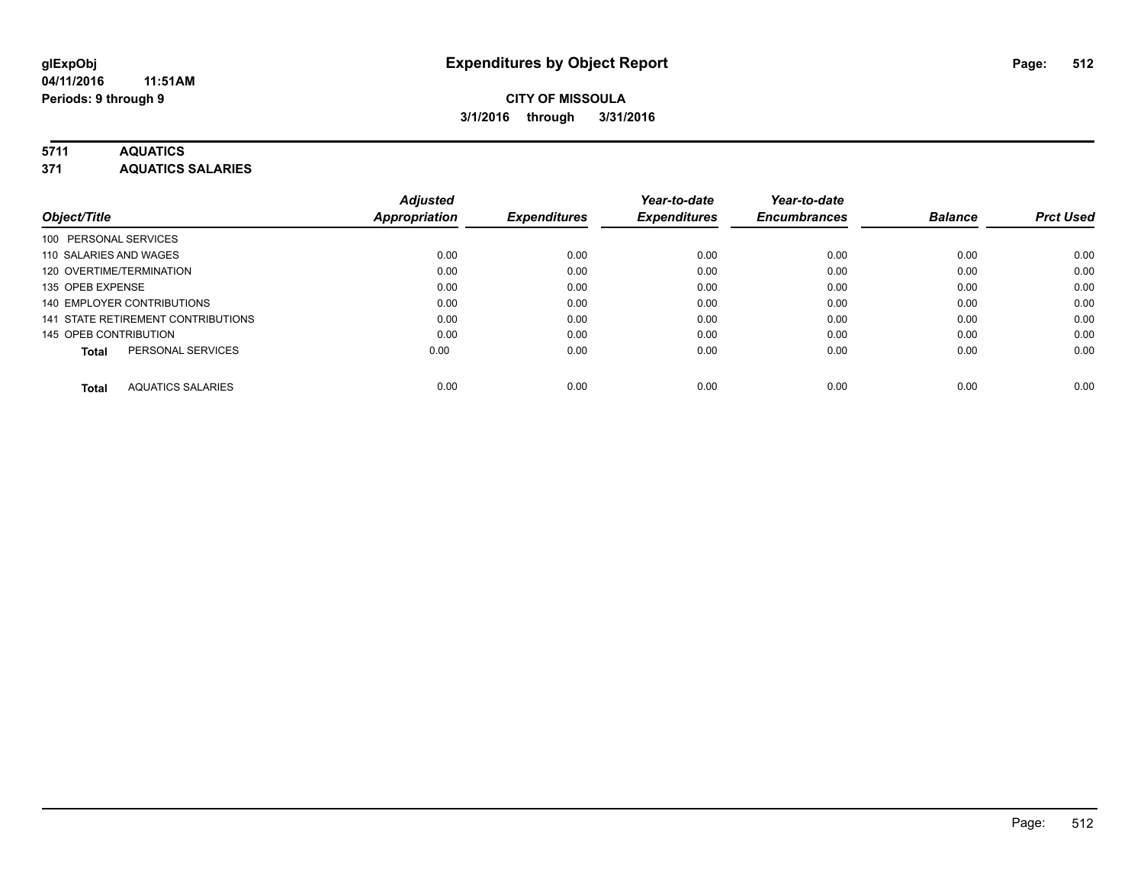### **5711 AQUATICS**

**371 AQUATICS SALARIES**

| Object/Title                             | <b>Adjusted</b><br><b>Appropriation</b> | <b>Expenditures</b> | Year-to-date<br><b>Expenditures</b> | Year-to-date<br><b>Encumbrances</b> | <b>Balance</b> | <b>Prct Used</b> |
|------------------------------------------|-----------------------------------------|---------------------|-------------------------------------|-------------------------------------|----------------|------------------|
| 100 PERSONAL SERVICES                    |                                         |                     |                                     |                                     |                |                  |
| 110 SALARIES AND WAGES                   | 0.00                                    | 0.00                | 0.00                                | 0.00                                | 0.00           | 0.00             |
| 120 OVERTIME/TERMINATION                 | 0.00                                    | 0.00                | 0.00                                | 0.00                                | 0.00           | 0.00             |
| 135 OPEB EXPENSE                         | 0.00                                    | 0.00                | 0.00                                | 0.00                                | 0.00           | 0.00             |
| 140 EMPLOYER CONTRIBUTIONS               | 0.00                                    | 0.00                | 0.00                                | 0.00                                | 0.00           | 0.00             |
| 141 STATE RETIREMENT CONTRIBUTIONS       | 0.00                                    | 0.00                | 0.00                                | 0.00                                | 0.00           | 0.00             |
| 145 OPEB CONTRIBUTION                    | 0.00                                    | 0.00                | 0.00                                | 0.00                                | 0.00           | 0.00             |
| PERSONAL SERVICES<br><b>Total</b>        | 0.00                                    | 0.00                | 0.00                                | 0.00                                | 0.00           | 0.00             |
| <b>AQUATICS SALARIES</b><br><b>Total</b> | 0.00                                    | 0.00                | 0.00                                | 0.00                                | 0.00           | 0.00             |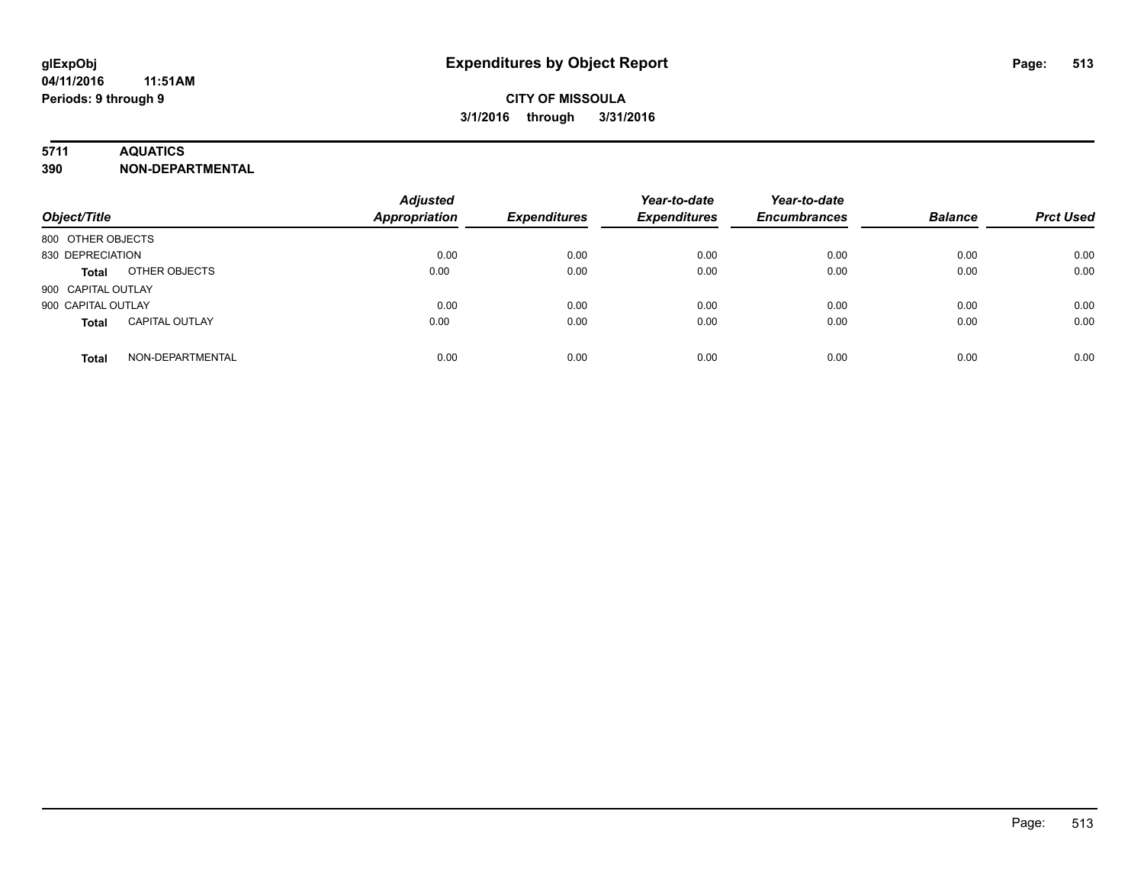### **5711 AQUATICS**

**390 NON-DEPARTMENTAL**

| Object/Title                          | <b>Adjusted</b><br><b>Appropriation</b> | <b>Expenditures</b> | Year-to-date<br><b>Expenditures</b> | Year-to-date<br><b>Encumbrances</b> | <b>Balance</b> | <b>Prct Used</b> |
|---------------------------------------|-----------------------------------------|---------------------|-------------------------------------|-------------------------------------|----------------|------------------|
| 800 OTHER OBJECTS                     |                                         |                     |                                     |                                     |                |                  |
| 830 DEPRECIATION                      | 0.00                                    | 0.00                | 0.00                                | 0.00                                | 0.00           | 0.00             |
| OTHER OBJECTS<br><b>Total</b>         | 0.00                                    | 0.00                | 0.00                                | 0.00                                | 0.00           | 0.00             |
| 900 CAPITAL OUTLAY                    |                                         |                     |                                     |                                     |                |                  |
| 900 CAPITAL OUTLAY                    | 0.00                                    | 0.00                | 0.00                                | 0.00                                | 0.00           | 0.00             |
| <b>CAPITAL OUTLAY</b><br><b>Total</b> | 0.00                                    | 0.00                | 0.00                                | 0.00                                | 0.00           | 0.00             |
| NON-DEPARTMENTAL<br><b>Total</b>      | 0.00                                    | 0.00                | 0.00                                | 0.00                                | 0.00           | 0.00             |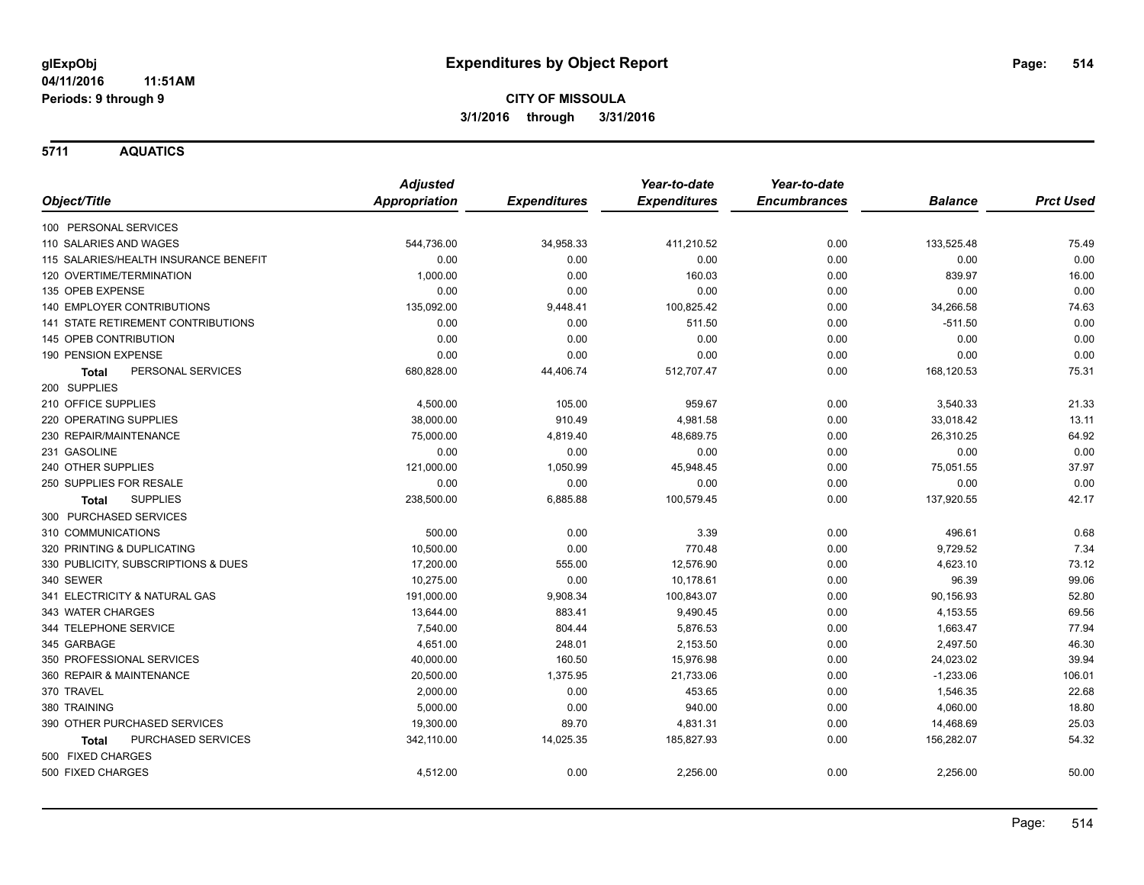**5711 AQUATICS**

|                                       | <b>Adjusted</b>      |                     | Year-to-date        | Year-to-date        |                |                  |
|---------------------------------------|----------------------|---------------------|---------------------|---------------------|----------------|------------------|
| Object/Title                          | <b>Appropriation</b> | <b>Expenditures</b> | <b>Expenditures</b> | <b>Encumbrances</b> | <b>Balance</b> | <b>Prct Used</b> |
| 100 PERSONAL SERVICES                 |                      |                     |                     |                     |                |                  |
| 110 SALARIES AND WAGES                | 544,736.00           | 34,958.33           | 411,210.52          | 0.00                | 133,525.48     | 75.49            |
| 115 SALARIES/HEALTH INSURANCE BENEFIT | 0.00                 | 0.00                | 0.00                | 0.00                | 0.00           | 0.00             |
| 120 OVERTIME/TERMINATION              | 1,000.00             | 0.00                | 160.03              | 0.00                | 839.97         | 16.00            |
| 135 OPEB EXPENSE                      | 0.00                 | 0.00                | 0.00                | 0.00                | 0.00           | 0.00             |
| 140 EMPLOYER CONTRIBUTIONS            | 135,092.00           | 9,448.41            | 100,825.42          | 0.00                | 34,266.58      | 74.63            |
| 141 STATE RETIREMENT CONTRIBUTIONS    | 0.00                 | 0.00                | 511.50              | 0.00                | $-511.50$      | 0.00             |
| 145 OPEB CONTRIBUTION                 | 0.00                 | 0.00                | 0.00                | 0.00                | 0.00           | 0.00             |
| 190 PENSION EXPENSE                   | 0.00                 | 0.00                | 0.00                | 0.00                | 0.00           | 0.00             |
| PERSONAL SERVICES<br><b>Total</b>     | 680,828.00           | 44,406.74           | 512,707.47          | 0.00                | 168,120.53     | 75.31            |
| 200 SUPPLIES                          |                      |                     |                     |                     |                |                  |
| 210 OFFICE SUPPLIES                   | 4,500.00             | 105.00              | 959.67              | 0.00                | 3,540.33       | 21.33            |
| 220 OPERATING SUPPLIES                | 38,000.00            | 910.49              | 4,981.58            | 0.00                | 33,018.42      | 13.11            |
| 230 REPAIR/MAINTENANCE                | 75,000.00            | 4,819.40            | 48,689.75           | 0.00                | 26,310.25      | 64.92            |
| 231 GASOLINE                          | 0.00                 | 0.00                | 0.00                | 0.00                | 0.00           | 0.00             |
| 240 OTHER SUPPLIES                    | 121,000.00           | 1,050.99            | 45,948.45           | 0.00                | 75,051.55      | 37.97            |
| 250 SUPPLIES FOR RESALE               | 0.00                 | 0.00                | 0.00                | 0.00                | 0.00           | 0.00             |
| <b>SUPPLIES</b><br><b>Total</b>       | 238,500.00           | 6,885.88            | 100,579.45          | 0.00                | 137,920.55     | 42.17            |
| 300 PURCHASED SERVICES                |                      |                     |                     |                     |                |                  |
| 310 COMMUNICATIONS                    | 500.00               | 0.00                | 3.39                | 0.00                | 496.61         | 0.68             |
| 320 PRINTING & DUPLICATING            | 10,500.00            | 0.00                | 770.48              | 0.00                | 9,729.52       | 7.34             |
| 330 PUBLICITY, SUBSCRIPTIONS & DUES   | 17,200.00            | 555.00              | 12,576.90           | 0.00                | 4,623.10       | 73.12            |
| 340 SEWER                             | 10,275.00            | 0.00                | 10,178.61           | 0.00                | 96.39          | 99.06            |
| 341 ELECTRICITY & NATURAL GAS         | 191,000.00           | 9,908.34            | 100,843.07          | 0.00                | 90,156.93      | 52.80            |
| 343 WATER CHARGES                     | 13,644.00            | 883.41              | 9,490.45            | 0.00                | 4,153.55       | 69.56            |
| 344 TELEPHONE SERVICE                 | 7,540.00             | 804.44              | 5,876.53            | 0.00                | 1,663.47       | 77.94            |
| 345 GARBAGE                           | 4,651.00             | 248.01              | 2,153.50            | 0.00                | 2,497.50       | 46.30            |
| 350 PROFESSIONAL SERVICES             | 40,000.00            | 160.50              | 15,976.98           | 0.00                | 24,023.02      | 39.94            |
| 360 REPAIR & MAINTENANCE              | 20,500.00            | 1,375.95            | 21,733.06           | 0.00                | $-1,233.06$    | 106.01           |
| 370 TRAVEL                            | 2,000.00             | 0.00                | 453.65              | 0.00                | 1,546.35       | 22.68            |
| 380 TRAINING                          | 5,000.00             | 0.00                | 940.00              | 0.00                | 4,060.00       | 18.80            |
| 390 OTHER PURCHASED SERVICES          | 19,300.00            | 89.70               | 4,831.31            | 0.00                | 14,468.69      | 25.03            |
| PURCHASED SERVICES<br><b>Total</b>    | 342,110.00           | 14,025.35           | 185,827.93          | 0.00                | 156,282.07     | 54.32            |
| 500 FIXED CHARGES                     |                      |                     |                     |                     |                |                  |
| 500 FIXED CHARGES                     | 4,512.00             | 0.00                | 2,256.00            | 0.00                | 2,256.00       | 50.00            |
|                                       |                      |                     |                     |                     |                |                  |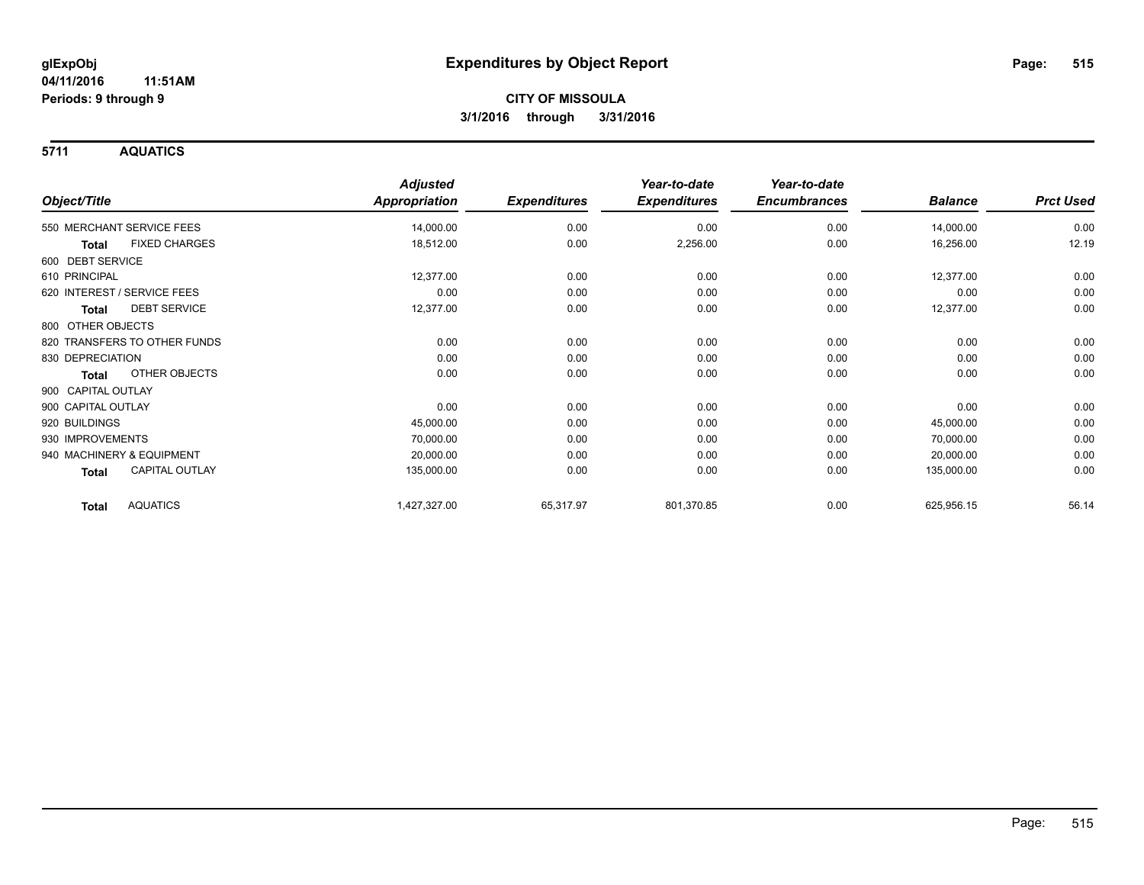**5711 AQUATICS**

|                                 | <b>Adjusted</b>      |                     | Year-to-date        | Year-to-date        |                |                  |
|---------------------------------|----------------------|---------------------|---------------------|---------------------|----------------|------------------|
| Object/Title                    | <b>Appropriation</b> | <b>Expenditures</b> | <b>Expenditures</b> | <b>Encumbrances</b> | <b>Balance</b> | <b>Prct Used</b> |
| 550 MERCHANT SERVICE FEES       | 14,000.00            | 0.00                | 0.00                | 0.00                | 14,000.00      | 0.00             |
| <b>FIXED CHARGES</b><br>Total   | 18,512.00            | 0.00                | 2,256.00            | 0.00                | 16,256.00      | 12.19            |
| 600 DEBT SERVICE                |                      |                     |                     |                     |                |                  |
| 610 PRINCIPAL                   | 12,377.00            | 0.00                | 0.00                | 0.00                | 12,377.00      | 0.00             |
| 620 INTEREST / SERVICE FEES     | 0.00                 | 0.00                | 0.00                | 0.00                | 0.00           | 0.00             |
| <b>DEBT SERVICE</b><br>Total    | 12,377.00            | 0.00                | 0.00                | 0.00                | 12,377.00      | 0.00             |
| 800 OTHER OBJECTS               |                      |                     |                     |                     |                |                  |
| 820 TRANSFERS TO OTHER FUNDS    | 0.00                 | 0.00                | 0.00                | 0.00                | 0.00           | 0.00             |
| 830 DEPRECIATION                | 0.00                 | 0.00                | 0.00                | 0.00                | 0.00           | 0.00             |
| <b>OTHER OBJECTS</b><br>Total   | 0.00                 | 0.00                | 0.00                | 0.00                | 0.00           | 0.00             |
| 900 CAPITAL OUTLAY              |                      |                     |                     |                     |                |                  |
| 900 CAPITAL OUTLAY              | 0.00                 | 0.00                | 0.00                | 0.00                | 0.00           | 0.00             |
| 920 BUILDINGS                   | 45,000.00            | 0.00                | 0.00                | 0.00                | 45,000.00      | 0.00             |
| 930 IMPROVEMENTS                | 70,000.00            | 0.00                | 0.00                | 0.00                | 70,000.00      | 0.00             |
| 940 MACHINERY & EQUIPMENT       | 20,000.00            | 0.00                | 0.00                | 0.00                | 20,000.00      | 0.00             |
| <b>CAPITAL OUTLAY</b><br>Total  | 135,000.00           | 0.00                | 0.00                | 0.00                | 135,000.00     | 0.00             |
| <b>AQUATICS</b><br><b>Total</b> | 1,427,327.00         | 65,317.97           | 801,370.85          | 0.00                | 625,956.15     | 56.14            |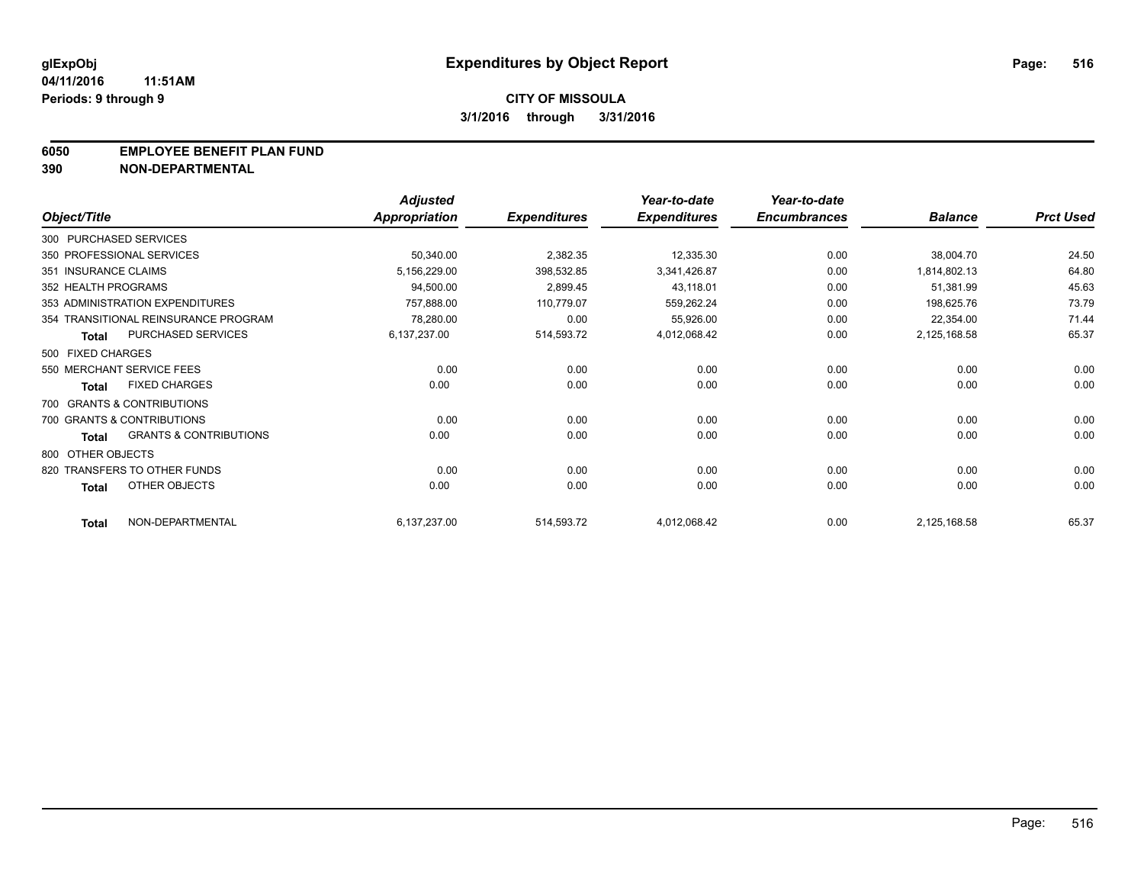#### **6050 EMPLOYEE BENEFIT PLAN FUND**

**390 NON-DEPARTMENTAL**

|                      |                                      | <b>Adjusted</b>      |                     | Year-to-date        | Year-to-date        |                |                  |
|----------------------|--------------------------------------|----------------------|---------------------|---------------------|---------------------|----------------|------------------|
| Object/Title         |                                      | <b>Appropriation</b> | <b>Expenditures</b> | <b>Expenditures</b> | <b>Encumbrances</b> | <b>Balance</b> | <b>Prct Used</b> |
|                      | 300 PURCHASED SERVICES               |                      |                     |                     |                     |                |                  |
|                      | 350 PROFESSIONAL SERVICES            | 50,340.00            | 2,382.35            | 12,335.30           | 0.00                | 38,004.70      | 24.50            |
| 351 INSURANCE CLAIMS |                                      | 5,156,229.00         | 398,532.85          | 3,341,426.87        | 0.00                | 1,814,802.13   | 64.80            |
| 352 HEALTH PROGRAMS  |                                      | 94,500.00            | 2,899.45            | 43,118.01           | 0.00                | 51,381.99      | 45.63            |
|                      | 353 ADMINISTRATION EXPENDITURES      | 757,888.00           | 110,779.07          | 559,262.24          | 0.00                | 198,625.76     | 73.79            |
|                      | 354 TRANSITIONAL REINSURANCE PROGRAM | 78,280.00            | 0.00                | 55,926.00           | 0.00                | 22,354.00      | 71.44            |
| <b>Total</b>         | PURCHASED SERVICES                   | 6,137,237.00         | 514,593.72          | 4,012,068.42        | 0.00                | 2,125,168.58   | 65.37            |
| 500 FIXED CHARGES    |                                      |                      |                     |                     |                     |                |                  |
|                      | 550 MERCHANT SERVICE FEES            | 0.00                 | 0.00                | 0.00                | 0.00                | 0.00           | 0.00             |
| <b>Total</b>         | <b>FIXED CHARGES</b>                 | 0.00                 | 0.00                | 0.00                | 0.00                | 0.00           | 0.00             |
|                      | 700 GRANTS & CONTRIBUTIONS           |                      |                     |                     |                     |                |                  |
|                      | 700 GRANTS & CONTRIBUTIONS           | 0.00                 | 0.00                | 0.00                | 0.00                | 0.00           | 0.00             |
| <b>Total</b>         | <b>GRANTS &amp; CONTRIBUTIONS</b>    | 0.00                 | 0.00                | 0.00                | 0.00                | 0.00           | 0.00             |
| 800 OTHER OBJECTS    |                                      |                      |                     |                     |                     |                |                  |
|                      | 820 TRANSFERS TO OTHER FUNDS         | 0.00                 | 0.00                | 0.00                | 0.00                | 0.00           | 0.00             |
| <b>Total</b>         | OTHER OBJECTS                        | 0.00                 | 0.00                | 0.00                | 0.00                | 0.00           | 0.00             |
| <b>Total</b>         | NON-DEPARTMENTAL                     | 6,137,237.00         | 514,593.72          | 4,012,068.42        | 0.00                | 2,125,168.58   | 65.37            |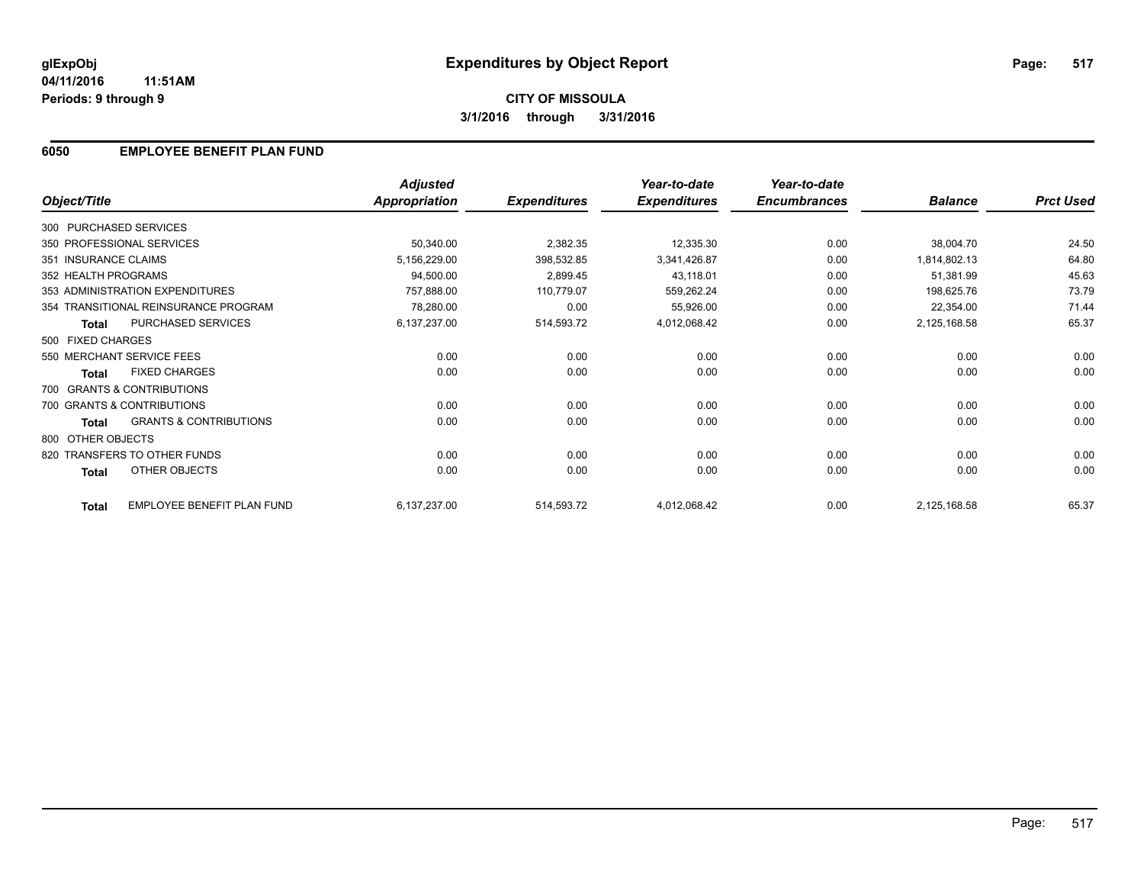### **6050 EMPLOYEE BENEFIT PLAN FUND**

|                        |                                      | <b>Adjusted</b>      |                     | Year-to-date        | Year-to-date        |                |                  |
|------------------------|--------------------------------------|----------------------|---------------------|---------------------|---------------------|----------------|------------------|
| Object/Title           |                                      | <b>Appropriation</b> | <b>Expenditures</b> | <b>Expenditures</b> | <b>Encumbrances</b> | <b>Balance</b> | <b>Prct Used</b> |
| 300 PURCHASED SERVICES |                                      |                      |                     |                     |                     |                |                  |
|                        | 350 PROFESSIONAL SERVICES            | 50,340.00            | 2,382.35            | 12,335.30           | 0.00                | 38,004.70      | 24.50            |
| 351 INSURANCE CLAIMS   |                                      | 5,156,229.00         | 398,532.85          | 3,341,426.87        | 0.00                | 1,814,802.13   | 64.80            |
| 352 HEALTH PROGRAMS    |                                      | 94,500.00            | 2,899.45            | 43,118.01           | 0.00                | 51,381.99      | 45.63            |
|                        | 353 ADMINISTRATION EXPENDITURES      | 757,888.00           | 110,779.07          | 559,262.24          | 0.00                | 198,625.76     | 73.79            |
|                        | 354 TRANSITIONAL REINSURANCE PROGRAM | 78,280.00            | 0.00                | 55,926.00           | 0.00                | 22,354.00      | 71.44            |
| <b>Total</b>           | PURCHASED SERVICES                   | 6,137,237.00         | 514,593.72          | 4,012,068.42        | 0.00                | 2,125,168.58   | 65.37            |
| 500 FIXED CHARGES      |                                      |                      |                     |                     |                     |                |                  |
|                        | 550 MERCHANT SERVICE FEES            | 0.00                 | 0.00                | 0.00                | 0.00                | 0.00           | 0.00             |
| <b>Total</b>           | <b>FIXED CHARGES</b>                 | 0.00                 | 0.00                | 0.00                | 0.00                | 0.00           | 0.00             |
|                        | 700 GRANTS & CONTRIBUTIONS           |                      |                     |                     |                     |                |                  |
|                        | 700 GRANTS & CONTRIBUTIONS           | 0.00                 | 0.00                | 0.00                | 0.00                | 0.00           | 0.00             |
| <b>Total</b>           | <b>GRANTS &amp; CONTRIBUTIONS</b>    | 0.00                 | 0.00                | 0.00                | 0.00                | 0.00           | 0.00             |
| 800 OTHER OBJECTS      |                                      |                      |                     |                     |                     |                |                  |
|                        | 820 TRANSFERS TO OTHER FUNDS         | 0.00                 | 0.00                | 0.00                | 0.00                | 0.00           | 0.00             |
| Total                  | <b>OTHER OBJECTS</b>                 | 0.00                 | 0.00                | 0.00                | 0.00                | 0.00           | 0.00             |
| <b>Total</b>           | EMPLOYEE BENEFIT PLAN FUND           | 6,137,237.00         | 514,593.72          | 4,012,068.42        | 0.00                | 2,125,168.58   | 65.37            |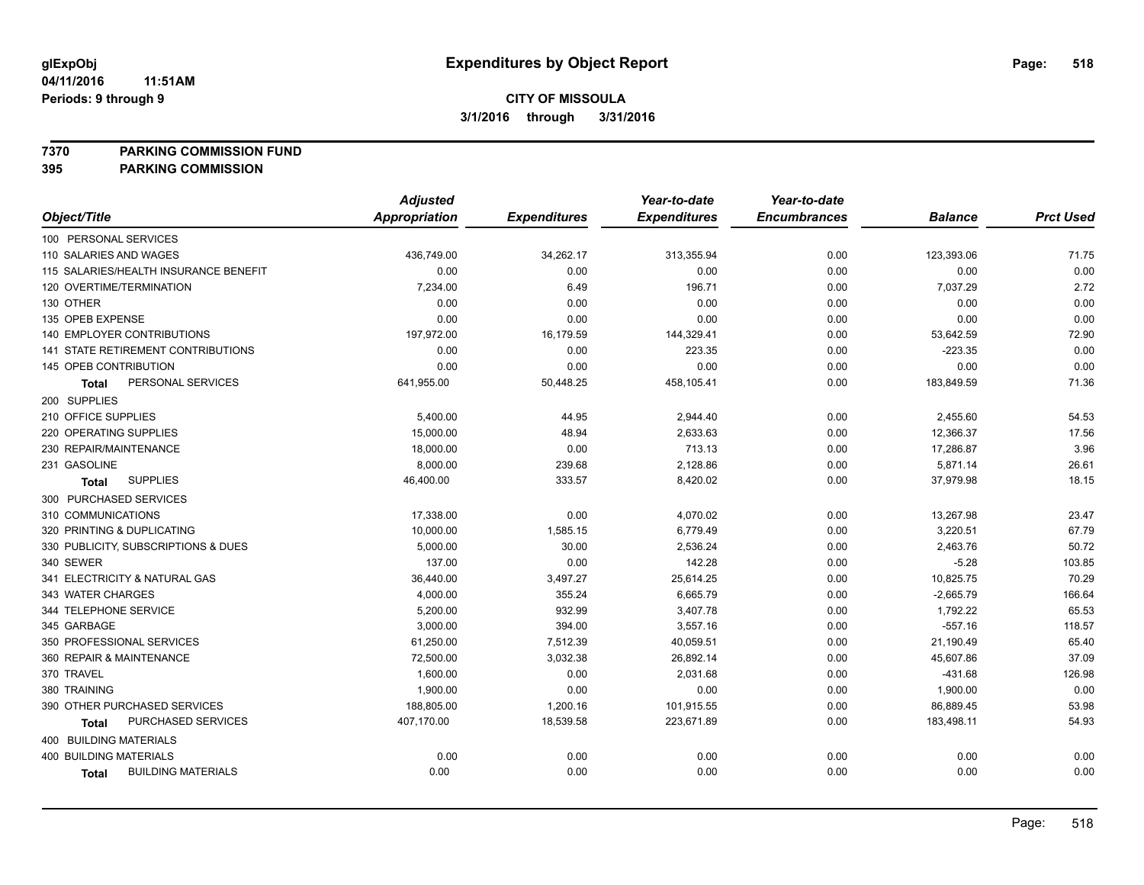**7370 PARKING COMMISSION FUND**

|                                       | <b>Adjusted</b> |                     | Year-to-date        | Year-to-date        |                |                  |
|---------------------------------------|-----------------|---------------------|---------------------|---------------------|----------------|------------------|
| Object/Title                          | Appropriation   | <b>Expenditures</b> | <b>Expenditures</b> | <b>Encumbrances</b> | <b>Balance</b> | <b>Prct Used</b> |
| 100 PERSONAL SERVICES                 |                 |                     |                     |                     |                |                  |
| 110 SALARIES AND WAGES                | 436,749.00      | 34,262.17           | 313,355.94          | 0.00                | 123,393.06     | 71.75            |
| 115 SALARIES/HEALTH INSURANCE BENEFIT | 0.00            | 0.00                | 0.00                | 0.00                | 0.00           | 0.00             |
| 120 OVERTIME/TERMINATION              | 7,234.00        | 6.49                | 196.71              | 0.00                | 7,037.29       | 2.72             |
| 130 OTHER                             | 0.00            | 0.00                | 0.00                | 0.00                | 0.00           | 0.00             |
| 135 OPEB EXPENSE                      | 0.00            | 0.00                | 0.00                | 0.00                | 0.00           | 0.00             |
| 140 EMPLOYER CONTRIBUTIONS            | 197,972.00      | 16,179.59           | 144,329.41          | 0.00                | 53,642.59      | 72.90            |
| 141 STATE RETIREMENT CONTRIBUTIONS    | 0.00            | 0.00                | 223.35              | 0.00                | $-223.35$      | 0.00             |
| 145 OPEB CONTRIBUTION                 | 0.00            | 0.00                | 0.00                | 0.00                | 0.00           | 0.00             |
| PERSONAL SERVICES<br>Total            | 641,955.00      | 50,448.25           | 458,105.41          | 0.00                | 183,849.59     | 71.36            |
| 200 SUPPLIES                          |                 |                     |                     |                     |                |                  |
| 210 OFFICE SUPPLIES                   | 5,400.00        | 44.95               | 2,944.40            | 0.00                | 2,455.60       | 54.53            |
| 220 OPERATING SUPPLIES                | 15,000.00       | 48.94               | 2,633.63            | 0.00                | 12,366.37      | 17.56            |
| 230 REPAIR/MAINTENANCE                | 18,000.00       | 0.00                | 713.13              | 0.00                | 17,286.87      | 3.96             |
| 231 GASOLINE                          | 8.000.00        | 239.68              | 2,128.86            | 0.00                | 5,871.14       | 26.61            |
| <b>SUPPLIES</b><br>Total              | 46,400.00       | 333.57              | 8,420.02            | 0.00                | 37,979.98      | 18.15            |
| 300 PURCHASED SERVICES                |                 |                     |                     |                     |                |                  |
| 310 COMMUNICATIONS                    | 17,338.00       | 0.00                | 4,070.02            | 0.00                | 13,267.98      | 23.47            |
| 320 PRINTING & DUPLICATING            | 10,000.00       | 1,585.15            | 6,779.49            | 0.00                | 3,220.51       | 67.79            |
| 330 PUBLICITY, SUBSCRIPTIONS & DUES   | 5,000.00        | 30.00               | 2,536.24            | 0.00                | 2,463.76       | 50.72            |
| 340 SEWER                             | 137.00          | 0.00                | 142.28              | 0.00                | $-5.28$        | 103.85           |
| 341 ELECTRICITY & NATURAL GAS         | 36,440.00       | 3,497.27            | 25,614.25           | 0.00                | 10,825.75      | 70.29            |
| 343 WATER CHARGES                     | 4,000.00        | 355.24              | 6,665.79            | 0.00                | $-2,665.79$    | 166.64           |
| 344 TELEPHONE SERVICE                 | 5,200.00        | 932.99              | 3,407.78            | 0.00                | 1,792.22       | 65.53            |
| 345 GARBAGE                           | 3,000.00        | 394.00              | 3,557.16            | 0.00                | $-557.16$      | 118.57           |
| 350 PROFESSIONAL SERVICES             | 61,250.00       | 7,512.39            | 40,059.51           | 0.00                | 21,190.49      | 65.40            |
| 360 REPAIR & MAINTENANCE              | 72,500.00       | 3,032.38            | 26,892.14           | 0.00                | 45,607.86      | 37.09            |
| 370 TRAVEL                            | 1,600.00        | 0.00                | 2,031.68            | 0.00                | $-431.68$      | 126.98           |
| 380 TRAINING                          | 1,900.00        | 0.00                | 0.00                | 0.00                | 1,900.00       | 0.00             |
| 390 OTHER PURCHASED SERVICES          | 188,805.00      | 1,200.16            | 101,915.55          | 0.00                | 86,889.45      | 53.98            |
| PURCHASED SERVICES<br><b>Total</b>    | 407,170.00      | 18,539.58           | 223,671.89          | 0.00                | 183,498.11     | 54.93            |
| 400 BUILDING MATERIALS                |                 |                     |                     |                     |                |                  |
| <b>400 BUILDING MATERIALS</b>         | 0.00            | 0.00                | 0.00                | 0.00                | 0.00           | 0.00             |
| <b>BUILDING MATERIALS</b><br>Total    | 0.00            | 0.00                | 0.00                | 0.00                | 0.00           | 0.00             |
|                                       |                 |                     |                     |                     |                |                  |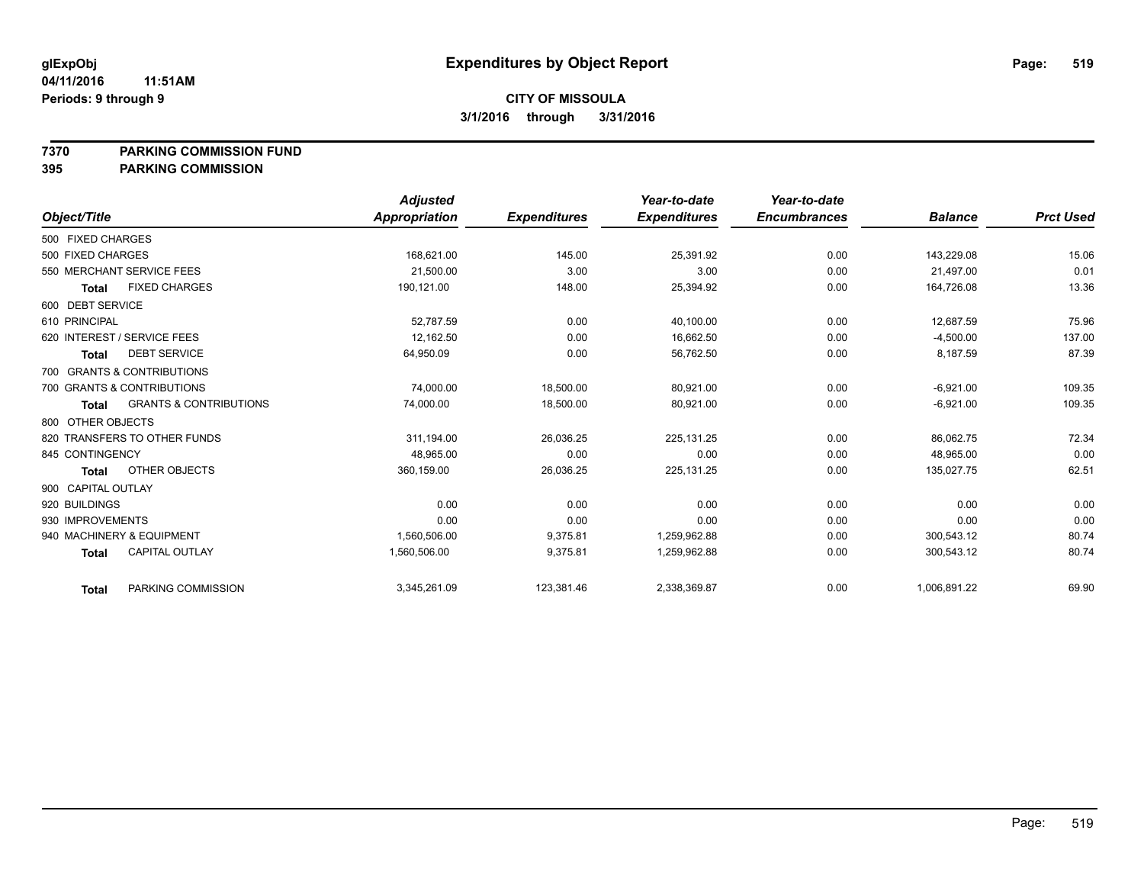#### **7370 PARKING COMMISSION FUND**

|                                                   | <b>Adjusted</b> |                     | Year-to-date        | Year-to-date        |                |                  |
|---------------------------------------------------|-----------------|---------------------|---------------------|---------------------|----------------|------------------|
| Object/Title                                      | Appropriation   | <b>Expenditures</b> | <b>Expenditures</b> | <b>Encumbrances</b> | <b>Balance</b> | <b>Prct Used</b> |
| 500 FIXED CHARGES                                 |                 |                     |                     |                     |                |                  |
| 500 FIXED CHARGES                                 | 168,621.00      | 145.00              | 25,391.92           | 0.00                | 143,229.08     | 15.06            |
| 550 MERCHANT SERVICE FEES                         | 21,500.00       | 3.00                | 3.00                | 0.00                | 21,497.00      | 0.01             |
| <b>FIXED CHARGES</b><br><b>Total</b>              | 190,121.00      | 148.00              | 25,394.92           | 0.00                | 164,726.08     | 13.36            |
| 600 DEBT SERVICE                                  |                 |                     |                     |                     |                |                  |
| 610 PRINCIPAL                                     | 52,787.59       | 0.00                | 40,100.00           | 0.00                | 12,687.59      | 75.96            |
| 620 INTEREST / SERVICE FEES                       | 12,162.50       | 0.00                | 16,662.50           | 0.00                | $-4,500.00$    | 137.00           |
| <b>DEBT SERVICE</b><br><b>Total</b>               | 64,950.09       | 0.00                | 56,762.50           | 0.00                | 8,187.59       | 87.39            |
| 700 GRANTS & CONTRIBUTIONS                        |                 |                     |                     |                     |                |                  |
| 700 GRANTS & CONTRIBUTIONS                        | 74,000.00       | 18,500.00           | 80,921.00           | 0.00                | $-6,921.00$    | 109.35           |
| <b>GRANTS &amp; CONTRIBUTIONS</b><br><b>Total</b> | 74,000.00       | 18,500.00           | 80,921.00           | 0.00                | $-6,921.00$    | 109.35           |
| 800 OTHER OBJECTS                                 |                 |                     |                     |                     |                |                  |
| 820 TRANSFERS TO OTHER FUNDS                      | 311,194.00      | 26,036.25           | 225, 131.25         | 0.00                | 86,062.75      | 72.34            |
| 845 CONTINGENCY                                   | 48.965.00       | 0.00                | 0.00                | 0.00                | 48.965.00      | 0.00             |
| OTHER OBJECTS<br><b>Total</b>                     | 360,159.00      | 26,036.25           | 225,131.25          | 0.00                | 135,027.75     | 62.51            |
| 900 CAPITAL OUTLAY                                |                 |                     |                     |                     |                |                  |
| 920 BUILDINGS                                     | 0.00            | 0.00                | 0.00                | 0.00                | 0.00           | 0.00             |
| 930 IMPROVEMENTS                                  | 0.00            | 0.00                | 0.00                | 0.00                | 0.00           | 0.00             |
| 940 MACHINERY & EQUIPMENT                         | 1.560.506.00    | 9,375.81            | 1,259,962.88        | 0.00                | 300.543.12     | 80.74            |
| <b>CAPITAL OUTLAY</b><br><b>Total</b>             | 1,560,506.00    | 9,375.81            | 1,259,962.88        | 0.00                | 300,543.12     | 80.74            |
| PARKING COMMISSION<br><b>Total</b>                | 3,345,261.09    | 123,381.46          | 2,338,369.87        | 0.00                | 1,006,891.22   | 69.90            |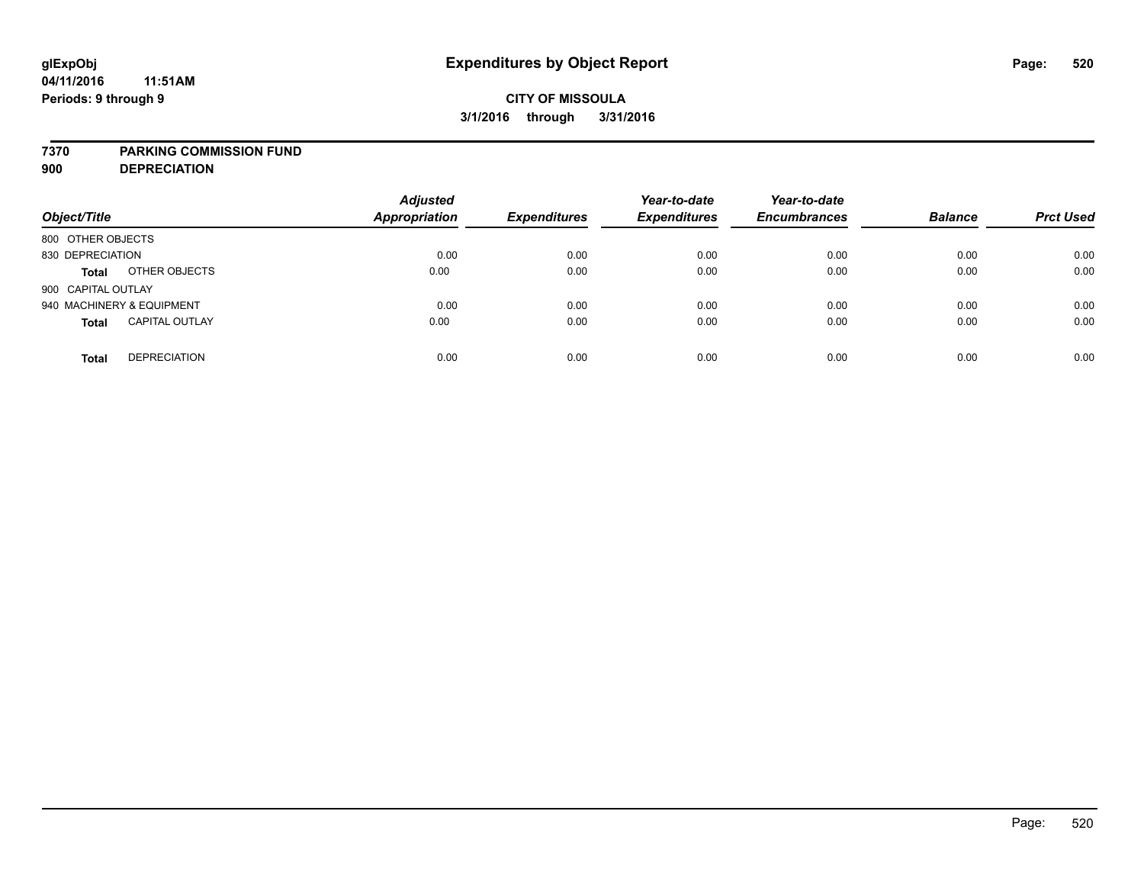# **CITY OF MISSOULA 3/1/2016 through 3/31/2016**

### **7370 PARKING COMMISSION FUND**

**900 DEPRECIATION**

| Object/Title                          | <b>Adjusted</b><br><b>Appropriation</b> | <b>Expenditures</b> | Year-to-date<br><b>Expenditures</b> | Year-to-date<br><b>Encumbrances</b> | <b>Balance</b> | <b>Prct Used</b> |
|---------------------------------------|-----------------------------------------|---------------------|-------------------------------------|-------------------------------------|----------------|------------------|
| 800 OTHER OBJECTS                     |                                         |                     |                                     |                                     |                |                  |
| 830 DEPRECIATION                      | 0.00                                    | 0.00                | 0.00                                | 0.00                                | 0.00           | 0.00             |
| OTHER OBJECTS<br><b>Total</b>         | 0.00                                    | 0.00                | 0.00                                | 0.00                                | 0.00           | 0.00             |
| 900 CAPITAL OUTLAY                    |                                         |                     |                                     |                                     |                |                  |
| 940 MACHINERY & EQUIPMENT             | 0.00                                    | 0.00                | 0.00                                | 0.00                                | 0.00           | 0.00             |
| <b>CAPITAL OUTLAY</b><br><b>Total</b> | 0.00                                    | 0.00                | 0.00                                | 0.00                                | 0.00           | 0.00             |
| <b>DEPRECIATION</b><br><b>Total</b>   | 0.00                                    | 0.00                | 0.00                                | 0.00                                | 0.00           | 0.00             |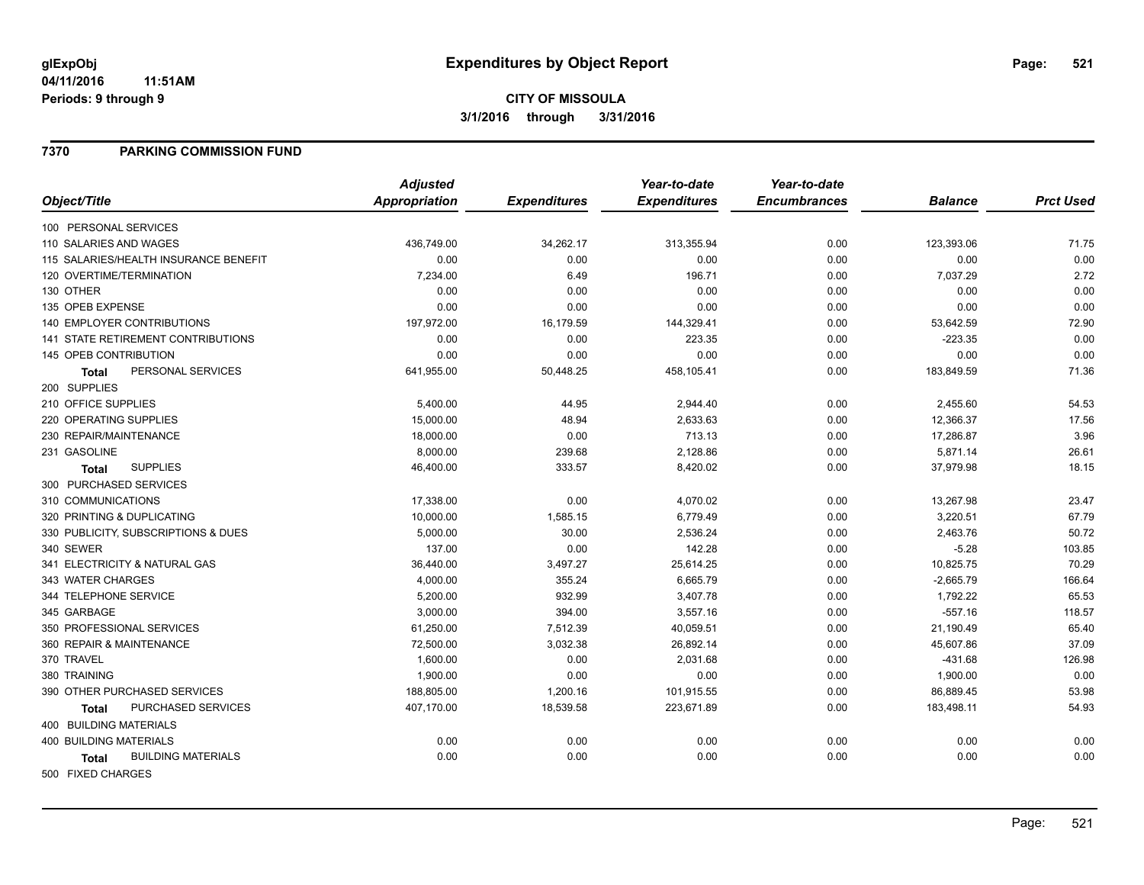# **CITY OF MISSOULA 3/1/2016 through 3/31/2016**

### **7370 PARKING COMMISSION FUND**

|                                           | <b>Adjusted</b>      |                     | Year-to-date        | Year-to-date        |                |                  |
|-------------------------------------------|----------------------|---------------------|---------------------|---------------------|----------------|------------------|
| Object/Title                              | <b>Appropriation</b> | <b>Expenditures</b> | <b>Expenditures</b> | <b>Encumbrances</b> | <b>Balance</b> | <b>Prct Used</b> |
| 100 PERSONAL SERVICES                     |                      |                     |                     |                     |                |                  |
| 110 SALARIES AND WAGES                    | 436,749.00           | 34,262.17           | 313,355.94          | 0.00                | 123,393.06     | 71.75            |
| 115 SALARIES/HEALTH INSURANCE BENEFIT     | 0.00                 | 0.00                | 0.00                | 0.00                | 0.00           | 0.00             |
| 120 OVERTIME/TERMINATION                  | 7,234.00             | 6.49                | 196.71              | 0.00                | 7,037.29       | 2.72             |
| 130 OTHER                                 | 0.00                 | 0.00                | 0.00                | 0.00                | 0.00           | 0.00             |
| 135 OPEB EXPENSE                          | 0.00                 | 0.00                | 0.00                | 0.00                | 0.00           | 0.00             |
| <b>140 EMPLOYER CONTRIBUTIONS</b>         | 197,972.00           | 16,179.59           | 144,329.41          | 0.00                | 53,642.59      | 72.90            |
| 141 STATE RETIREMENT CONTRIBUTIONS        | 0.00                 | 0.00                | 223.35              | 0.00                | $-223.35$      | 0.00             |
| 145 OPEB CONTRIBUTION                     | 0.00                 | 0.00                | 0.00                | 0.00                | 0.00           | 0.00             |
| PERSONAL SERVICES<br><b>Total</b>         | 641,955.00           | 50,448.25           | 458,105.41          | 0.00                | 183,849.59     | 71.36            |
| 200 SUPPLIES                              |                      |                     |                     |                     |                |                  |
| 210 OFFICE SUPPLIES                       | 5,400.00             | 44.95               | 2,944.40            | 0.00                | 2,455.60       | 54.53            |
| 220 OPERATING SUPPLIES                    | 15,000.00            | 48.94               | 2,633.63            | 0.00                | 12,366.37      | 17.56            |
| 230 REPAIR/MAINTENANCE                    | 18,000.00            | 0.00                | 713.13              | 0.00                | 17,286.87      | 3.96             |
| 231 GASOLINE                              | 8,000.00             | 239.68              | 2,128.86            | 0.00                | 5,871.14       | 26.61            |
| <b>SUPPLIES</b><br><b>Total</b>           | 46,400.00            | 333.57              | 8,420.02            | 0.00                | 37,979.98      | 18.15            |
| 300 PURCHASED SERVICES                    |                      |                     |                     |                     |                |                  |
| 310 COMMUNICATIONS                        | 17,338.00            | 0.00                | 4,070.02            | 0.00                | 13,267.98      | 23.47            |
| 320 PRINTING & DUPLICATING                | 10,000.00            | 1,585.15            | 6,779.49            | 0.00                | 3,220.51       | 67.79            |
| 330 PUBLICITY, SUBSCRIPTIONS & DUES       | 5,000.00             | 30.00               | 2,536.24            | 0.00                | 2,463.76       | 50.72            |
| 340 SEWER                                 | 137.00               | 0.00                | 142.28              | 0.00                | $-5.28$        | 103.85           |
| 341 ELECTRICITY & NATURAL GAS             | 36,440.00            | 3,497.27            | 25,614.25           | 0.00                | 10,825.75      | 70.29            |
| 343 WATER CHARGES                         | 4,000.00             | 355.24              | 6,665.79            | 0.00                | $-2,665.79$    | 166.64           |
| 344 TELEPHONE SERVICE                     | 5,200.00             | 932.99              | 3,407.78            | 0.00                | 1,792.22       | 65.53            |
| 345 GARBAGE                               | 3,000.00             | 394.00              | 3,557.16            | 0.00                | $-557.16$      | 118.57           |
| 350 PROFESSIONAL SERVICES                 | 61,250.00            | 7,512.39            | 40,059.51           | 0.00                | 21,190.49      | 65.40            |
| 360 REPAIR & MAINTENANCE                  | 72,500.00            | 3,032.38            | 26,892.14           | 0.00                | 45,607.86      | 37.09            |
| 370 TRAVEL                                | 1,600.00             | 0.00                | 2,031.68            | 0.00                | -431.68        | 126.98           |
| 380 TRAINING                              | 1,900.00             | 0.00                | 0.00                | 0.00                | 1,900.00       | 0.00             |
| 390 OTHER PURCHASED SERVICES              | 188,805.00           | 1,200.16            | 101,915.55          | 0.00                | 86,889.45      | 53.98            |
| PURCHASED SERVICES<br>Total               | 407,170.00           | 18,539.58           | 223,671.89          | 0.00                | 183,498.11     | 54.93            |
| <b>400 BUILDING MATERIALS</b>             |                      |                     |                     |                     |                |                  |
| <b>400 BUILDING MATERIALS</b>             | 0.00                 | 0.00                | 0.00                | 0.00                | 0.00           | 0.00             |
| <b>BUILDING MATERIALS</b><br><b>Total</b> | 0.00                 | 0.00                | 0.00                | 0.00                | 0.00           | 0.00             |
| 500 FIXED CHARGES                         |                      |                     |                     |                     |                |                  |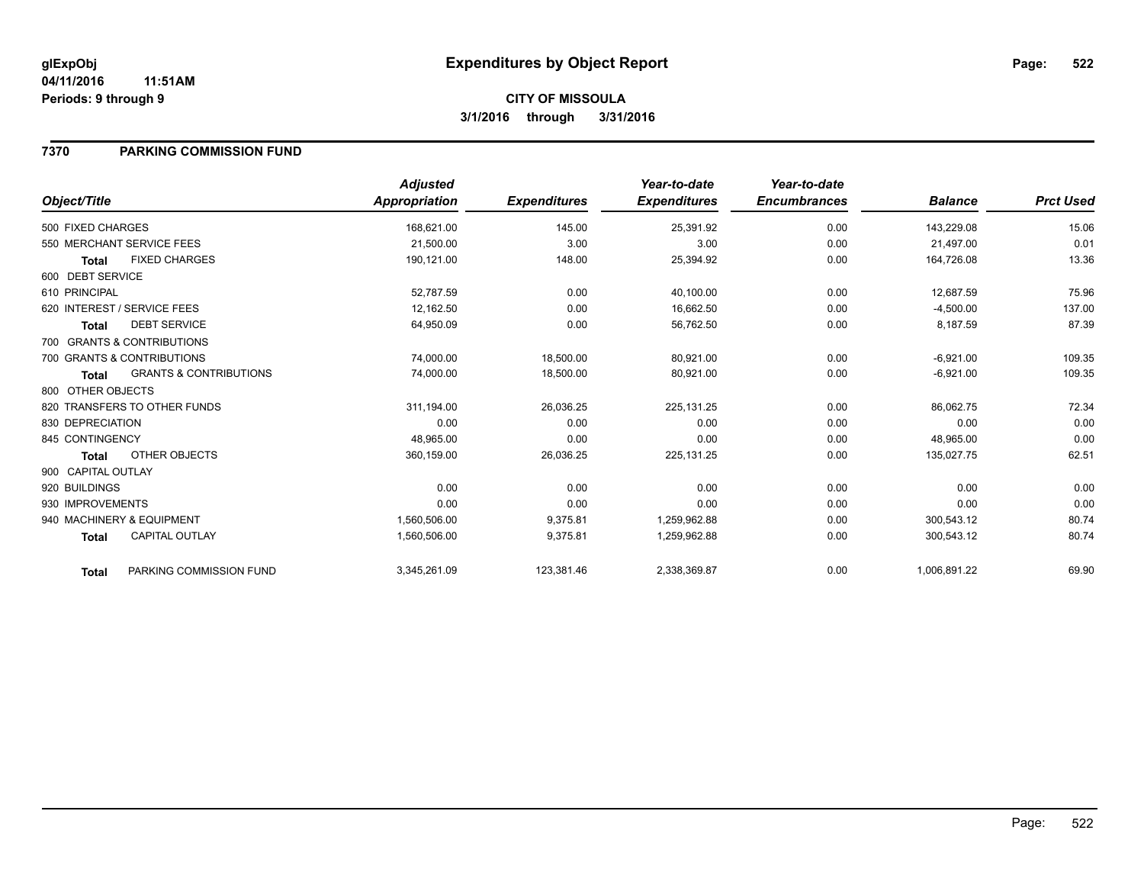**CITY OF MISSOULA 3/1/2016 through 3/31/2016**

### **7370 PARKING COMMISSION FUND**

|                    |                                   | <b>Adjusted</b> |                     | Year-to-date        | Year-to-date        |                |                  |
|--------------------|-----------------------------------|-----------------|---------------------|---------------------|---------------------|----------------|------------------|
| Object/Title       |                                   | Appropriation   | <b>Expenditures</b> | <b>Expenditures</b> | <b>Encumbrances</b> | <b>Balance</b> | <b>Prct Used</b> |
| 500 FIXED CHARGES  |                                   | 168,621.00      | 145.00              | 25,391.92           | 0.00                | 143,229.08     | 15.06            |
|                    | 550 MERCHANT SERVICE FEES         | 21,500.00       | 3.00                | 3.00                | 0.00                | 21,497.00      | 0.01             |
| <b>Total</b>       | <b>FIXED CHARGES</b>              | 190,121.00      | 148.00              | 25,394.92           | 0.00                | 164,726.08     | 13.36            |
| 600 DEBT SERVICE   |                                   |                 |                     |                     |                     |                |                  |
| 610 PRINCIPAL      |                                   | 52,787.59       | 0.00                | 40,100.00           | 0.00                | 12,687.59      | 75.96            |
|                    | 620 INTEREST / SERVICE FEES       | 12,162.50       | 0.00                | 16,662.50           | 0.00                | $-4,500.00$    | 137.00           |
| Total              | <b>DEBT SERVICE</b>               | 64,950.09       | 0.00                | 56,762.50           | 0.00                | 8,187.59       | 87.39            |
|                    | 700 GRANTS & CONTRIBUTIONS        |                 |                     |                     |                     |                |                  |
|                    | 700 GRANTS & CONTRIBUTIONS        | 74,000.00       | 18,500.00           | 80,921.00           | 0.00                | $-6,921.00$    | 109.35           |
| <b>Total</b>       | <b>GRANTS &amp; CONTRIBUTIONS</b> | 74,000.00       | 18,500.00           | 80,921.00           | 0.00                | $-6,921.00$    | 109.35           |
| 800 OTHER OBJECTS  |                                   |                 |                     |                     |                     |                |                  |
|                    | 820 TRANSFERS TO OTHER FUNDS      | 311,194.00      | 26,036.25           | 225, 131. 25        | 0.00                | 86,062.75      | 72.34            |
| 830 DEPRECIATION   |                                   | 0.00            | 0.00                | 0.00                | 0.00                | 0.00           | 0.00             |
| 845 CONTINGENCY    |                                   | 48,965.00       | 0.00                | 0.00                | 0.00                | 48,965.00      | 0.00             |
| <b>Total</b>       | OTHER OBJECTS                     | 360,159.00      | 26,036.25           | 225,131.25          | 0.00                | 135,027.75     | 62.51            |
| 900 CAPITAL OUTLAY |                                   |                 |                     |                     |                     |                |                  |
| 920 BUILDINGS      |                                   | 0.00            | 0.00                | 0.00                | 0.00                | 0.00           | 0.00             |
| 930 IMPROVEMENTS   |                                   | 0.00            | 0.00                | 0.00                | 0.00                | 0.00           | 0.00             |
|                    | 940 MACHINERY & EQUIPMENT         | 1,560,506.00    | 9,375.81            | 1,259,962.88        | 0.00                | 300,543.12     | 80.74            |
| <b>Total</b>       | <b>CAPITAL OUTLAY</b>             | 1,560,506.00    | 9,375.81            | 1,259,962.88        | 0.00                | 300,543.12     | 80.74            |
| <b>Total</b>       | PARKING COMMISSION FUND           | 3,345,261.09    | 123,381.46          | 2,338,369.87        | 0.00                | 1,006,891.22   | 69.90            |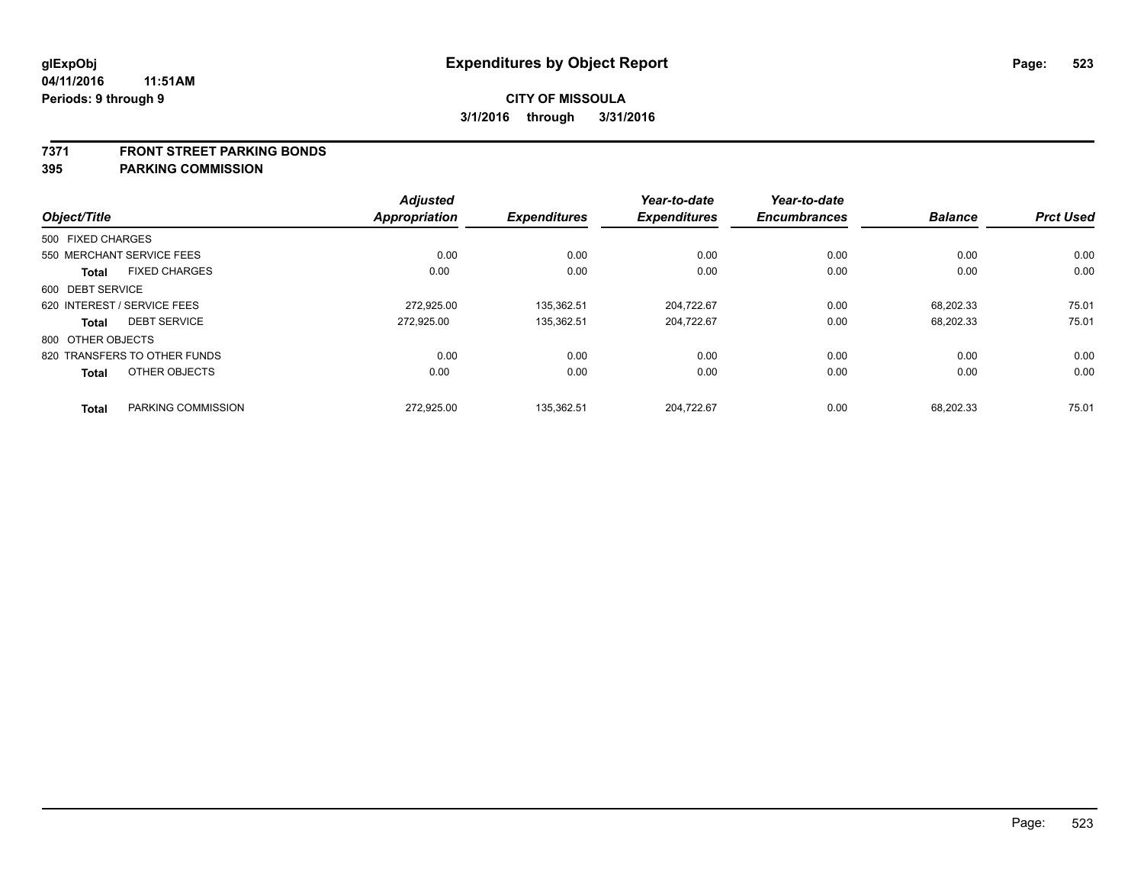#### **7371 FRONT STREET PARKING BONDS**

| Object/Title      |                              | <b>Adjusted</b><br><b>Appropriation</b> | <b>Expenditures</b> | Year-to-date<br><b>Expenditures</b> | Year-to-date<br><b>Encumbrances</b> | <b>Balance</b> | <b>Prct Used</b> |
|-------------------|------------------------------|-----------------------------------------|---------------------|-------------------------------------|-------------------------------------|----------------|------------------|
| 500 FIXED CHARGES |                              |                                         |                     |                                     |                                     |                |                  |
|                   | 550 MERCHANT SERVICE FEES    | 0.00                                    | 0.00                | 0.00                                | 0.00                                | 0.00           | 0.00             |
| <b>Total</b>      | <b>FIXED CHARGES</b>         | 0.00                                    | 0.00                | 0.00                                | 0.00                                | 0.00           | 0.00             |
| 600 DEBT SERVICE  |                              |                                         |                     |                                     |                                     |                |                  |
|                   | 620 INTEREST / SERVICE FEES  | 272.925.00                              | 135.362.51          | 204.722.67                          | 0.00                                | 68.202.33      | 75.01            |
| <b>Total</b>      | <b>DEBT SERVICE</b>          | 272.925.00                              | 135,362.51          | 204,722.67                          | 0.00                                | 68,202.33      | 75.01            |
| 800 OTHER OBJECTS |                              |                                         |                     |                                     |                                     |                |                  |
|                   | 820 TRANSFERS TO OTHER FUNDS | 0.00                                    | 0.00                | 0.00                                | 0.00                                | 0.00           | 0.00             |
| <b>Total</b>      | OTHER OBJECTS                | 0.00                                    | 0.00                | 0.00                                | 0.00                                | 0.00           | 0.00             |
| <b>Total</b>      | PARKING COMMISSION           | 272.925.00                              | 135.362.51          | 204.722.67                          | 0.00                                | 68.202.33      | 75.01            |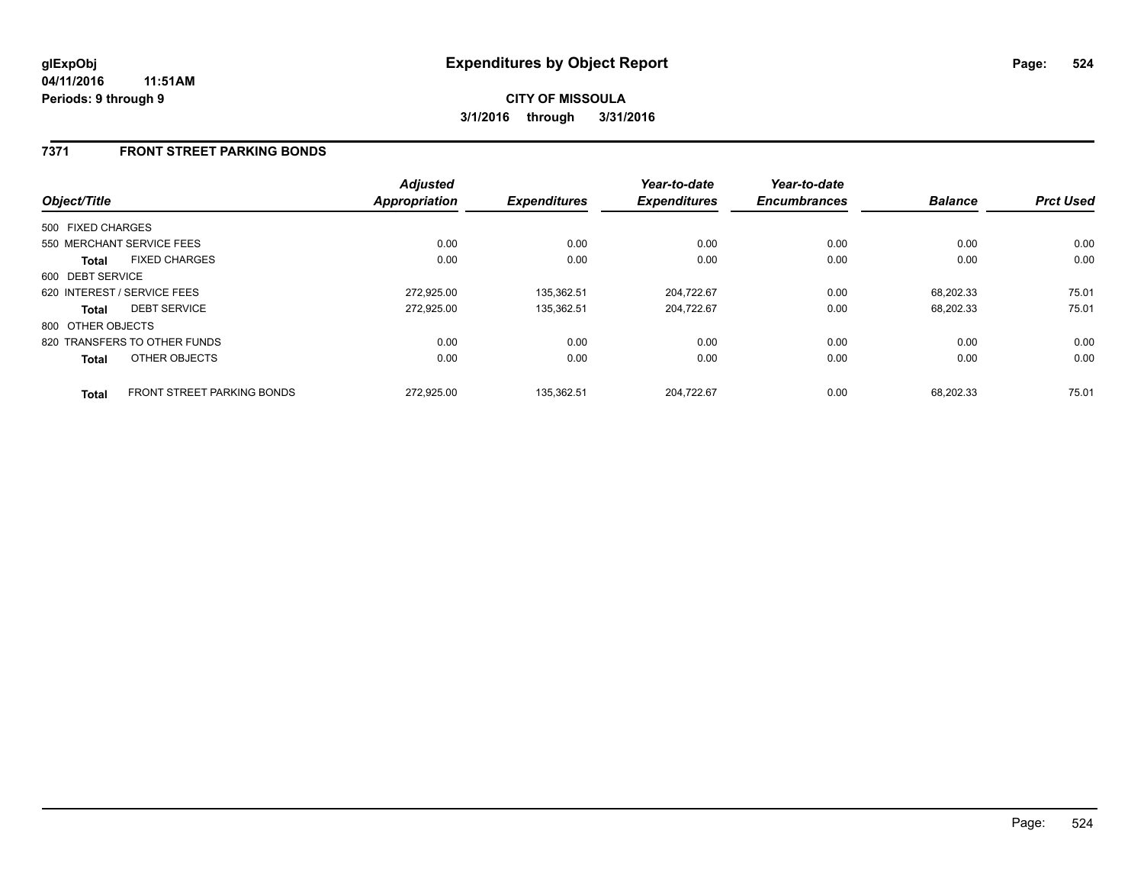### **7371 FRONT STREET PARKING BONDS**

| Object/Title      |                                   | <b>Adjusted</b><br><b>Appropriation</b> | <b>Expenditures</b> | Year-to-date<br><b>Expenditures</b> | Year-to-date<br><b>Encumbrances</b> | <b>Balance</b> | <b>Prct Used</b> |
|-------------------|-----------------------------------|-----------------------------------------|---------------------|-------------------------------------|-------------------------------------|----------------|------------------|
| 500 FIXED CHARGES |                                   |                                         |                     |                                     |                                     |                |                  |
|                   | 550 MERCHANT SERVICE FEES         | 0.00                                    | 0.00                | 0.00                                | 0.00                                | 0.00           | 0.00             |
|                   |                                   |                                         |                     |                                     |                                     |                |                  |
| <b>Total</b>      | <b>FIXED CHARGES</b>              | 0.00                                    | 0.00                | 0.00                                | 0.00                                | 0.00           | 0.00             |
| 600 DEBT SERVICE  |                                   |                                         |                     |                                     |                                     |                |                  |
|                   | 620 INTEREST / SERVICE FEES       | 272.925.00                              | 135.362.51          | 204,722.67                          | 0.00                                | 68.202.33      | 75.01            |
| <b>Total</b>      | <b>DEBT SERVICE</b>               | 272.925.00                              | 135.362.51          | 204,722.67                          | 0.00                                | 68.202.33      | 75.01            |
| 800 OTHER OBJECTS |                                   |                                         |                     |                                     |                                     |                |                  |
|                   | 820 TRANSFERS TO OTHER FUNDS      | 0.00                                    | 0.00                | 0.00                                | 0.00                                | 0.00           | 0.00             |
| <b>Total</b>      | OTHER OBJECTS                     | 0.00                                    | 0.00                | 0.00                                | 0.00                                | 0.00           | 0.00             |
| <b>Total</b>      | <b>FRONT STREET PARKING BONDS</b> | 272.925.00                              | 135.362.51          | 204.722.67                          | 0.00                                | 68.202.33      | 75.01            |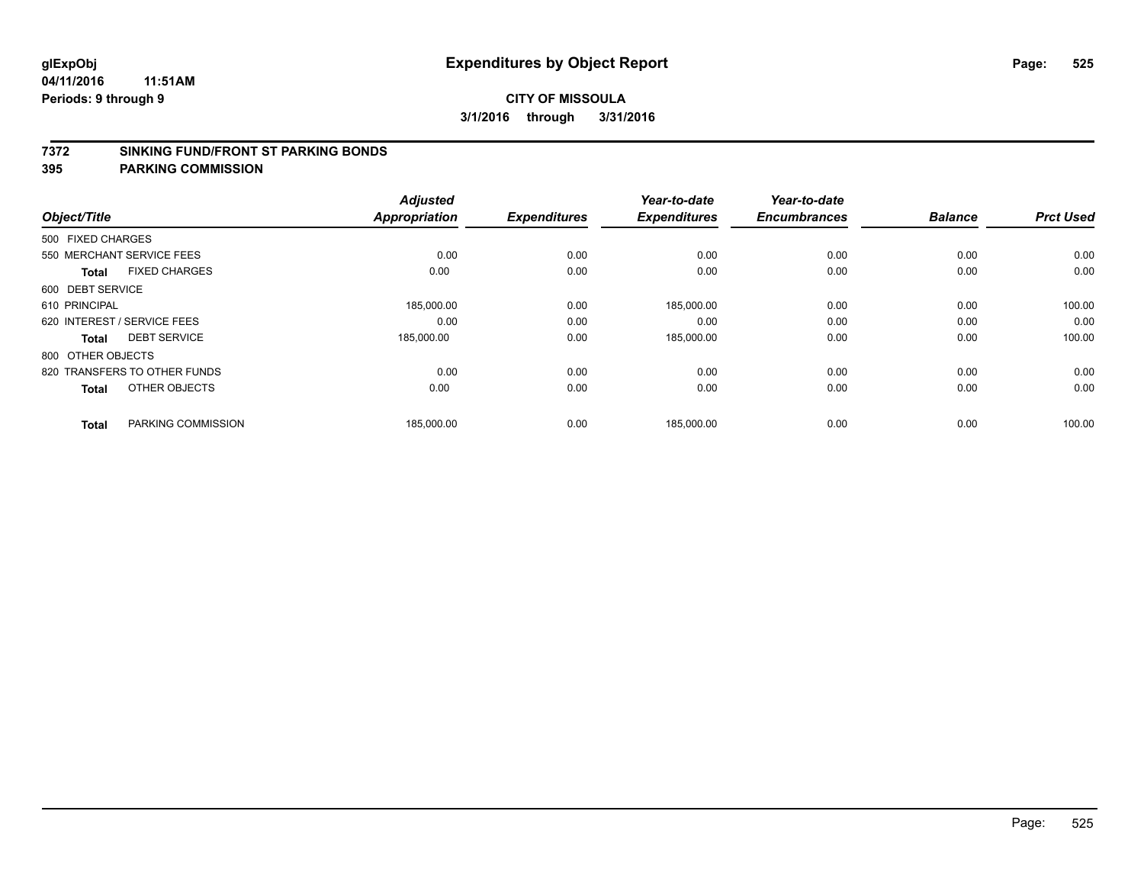#### **7372 SINKING FUND/FRONT ST PARKING BONDS**

| Object/Title                |                              | <b>Adjusted</b><br><b>Appropriation</b> | <b>Expenditures</b> | Year-to-date<br><b>Expenditures</b> | Year-to-date<br><b>Encumbrances</b> | <b>Balance</b> | <b>Prct Used</b> |
|-----------------------------|------------------------------|-----------------------------------------|---------------------|-------------------------------------|-------------------------------------|----------------|------------------|
|                             |                              |                                         |                     |                                     |                                     |                |                  |
| 500 FIXED CHARGES           |                              |                                         |                     |                                     |                                     |                |                  |
| 550 MERCHANT SERVICE FEES   |                              | 0.00                                    | 0.00                | 0.00                                | 0.00                                | 0.00           | 0.00             |
| <b>Total</b>                | <b>FIXED CHARGES</b>         | 0.00                                    | 0.00                | 0.00                                | 0.00                                | 0.00           | 0.00             |
| 600 DEBT SERVICE            |                              |                                         |                     |                                     |                                     |                |                  |
| 610 PRINCIPAL               |                              | 185,000.00                              | 0.00                | 185,000.00                          | 0.00                                | 0.00           | 100.00           |
| 620 INTEREST / SERVICE FEES |                              | 0.00                                    | 0.00                | 0.00                                | 0.00                                | 0.00           | 0.00             |
| Total                       | <b>DEBT SERVICE</b>          | 185,000.00                              | 0.00                | 185,000.00                          | 0.00                                | 0.00           | 100.00           |
| 800 OTHER OBJECTS           |                              |                                         |                     |                                     |                                     |                |                  |
|                             | 820 TRANSFERS TO OTHER FUNDS | 0.00                                    | 0.00                | 0.00                                | 0.00                                | 0.00           | 0.00             |
| <b>Total</b>                | OTHER OBJECTS                | 0.00                                    | 0.00                | 0.00                                | 0.00                                | 0.00           | 0.00             |
|                             |                              |                                         |                     |                                     |                                     |                |                  |
| <b>Total</b>                | PARKING COMMISSION           | 185,000.00                              | 0.00                | 185,000.00                          | 0.00                                | 0.00           | 100.00           |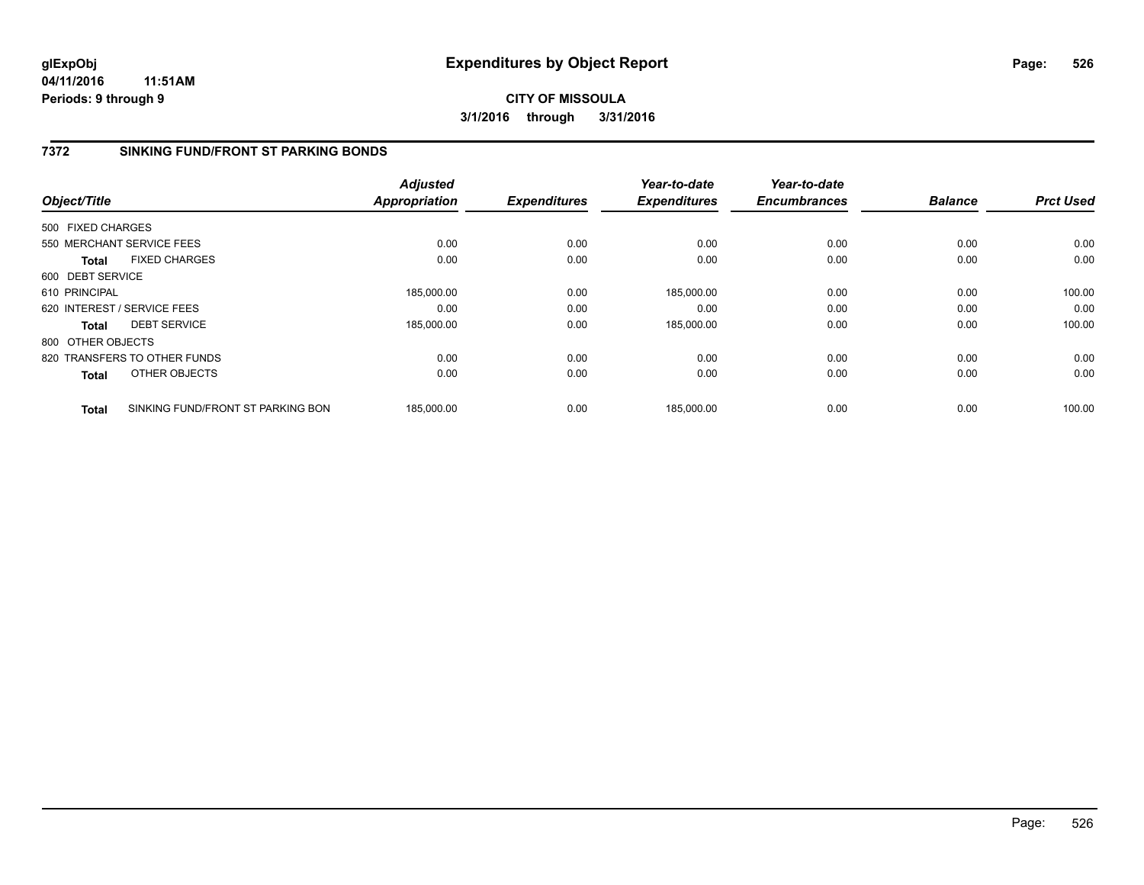**CITY OF MISSOULA 3/1/2016 through 3/31/2016**

## **7372 SINKING FUND/FRONT ST PARKING BONDS**

|                   |                                   | <b>Adjusted</b>      |                     | Year-to-date        | Year-to-date        |                |                  |
|-------------------|-----------------------------------|----------------------|---------------------|---------------------|---------------------|----------------|------------------|
| Object/Title      |                                   | <b>Appropriation</b> | <b>Expenditures</b> | <b>Expenditures</b> | <b>Encumbrances</b> | <b>Balance</b> | <b>Prct Used</b> |
| 500 FIXED CHARGES |                                   |                      |                     |                     |                     |                |                  |
|                   | 550 MERCHANT SERVICE FEES         | 0.00                 | 0.00                | 0.00                | 0.00                | 0.00           | 0.00             |
| <b>Total</b>      | <b>FIXED CHARGES</b>              | 0.00                 | 0.00                | 0.00                | 0.00                | 0.00           | 0.00             |
| 600 DEBT SERVICE  |                                   |                      |                     |                     |                     |                |                  |
| 610 PRINCIPAL     |                                   | 185,000.00           | 0.00                | 185.000.00          | 0.00                | 0.00           | 100.00           |
|                   | 620 INTEREST / SERVICE FEES       | 0.00                 | 0.00                | 0.00                | 0.00                | 0.00           | 0.00             |
| <b>Total</b>      | <b>DEBT SERVICE</b>               | 185,000.00           | 0.00                | 185,000.00          | 0.00                | 0.00           | 100.00           |
| 800 OTHER OBJECTS |                                   |                      |                     |                     |                     |                |                  |
|                   | 820 TRANSFERS TO OTHER FUNDS      | 0.00                 | 0.00                | 0.00                | 0.00                | 0.00           | 0.00             |
| Total             | OTHER OBJECTS                     | 0.00                 | 0.00                | 0.00                | 0.00                | 0.00           | 0.00             |
| <b>Total</b>      | SINKING FUND/FRONT ST PARKING BON | 185.000.00           | 0.00                | 185.000.00          | 0.00                | 0.00           | 100.00           |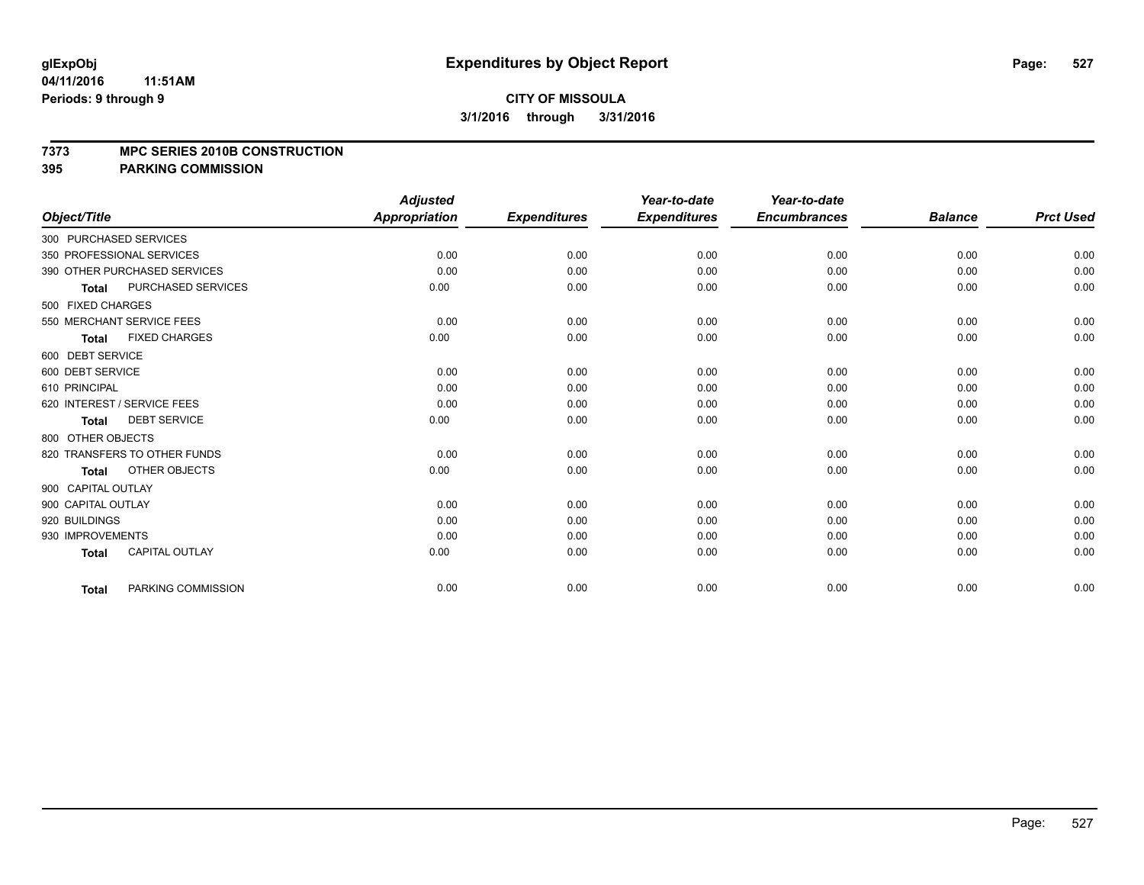### **CITY OF MISSOULA 3/1/2016 through 3/31/2016**

#### **7373 MPC SERIES 2010B CONSTRUCTION**

|                                           | <b>Adjusted</b>      |                     | Year-to-date        | Year-to-date        |                |                  |
|-------------------------------------------|----------------------|---------------------|---------------------|---------------------|----------------|------------------|
| Object/Title                              | <b>Appropriation</b> | <b>Expenditures</b> | <b>Expenditures</b> | <b>Encumbrances</b> | <b>Balance</b> | <b>Prct Used</b> |
| 300 PURCHASED SERVICES                    |                      |                     |                     |                     |                |                  |
| 350 PROFESSIONAL SERVICES                 | 0.00                 | 0.00                | 0.00                | 0.00                | 0.00           | 0.00             |
| 390 OTHER PURCHASED SERVICES              | 0.00                 | 0.00                | 0.00                | 0.00                | 0.00           | 0.00             |
| <b>PURCHASED SERVICES</b><br><b>Total</b> | 0.00                 | 0.00                | 0.00                | 0.00                | 0.00           | 0.00             |
| 500 FIXED CHARGES                         |                      |                     |                     |                     |                |                  |
| 550 MERCHANT SERVICE FEES                 | 0.00                 | 0.00                | 0.00                | 0.00                | 0.00           | 0.00             |
| <b>FIXED CHARGES</b><br><b>Total</b>      | 0.00                 | 0.00                | 0.00                | 0.00                | 0.00           | 0.00             |
| 600 DEBT SERVICE                          |                      |                     |                     |                     |                |                  |
| 600 DEBT SERVICE                          | 0.00                 | 0.00                | 0.00                | 0.00                | 0.00           | 0.00             |
| 610 PRINCIPAL                             | 0.00                 | 0.00                | 0.00                | 0.00                | 0.00           | 0.00             |
| 620 INTEREST / SERVICE FEES               | 0.00                 | 0.00                | 0.00                | 0.00                | 0.00           | 0.00             |
| <b>DEBT SERVICE</b><br><b>Total</b>       | 0.00                 | 0.00                | 0.00                | 0.00                | 0.00           | 0.00             |
| 800 OTHER OBJECTS                         |                      |                     |                     |                     |                |                  |
| 820 TRANSFERS TO OTHER FUNDS              | 0.00                 | 0.00                | 0.00                | 0.00                | 0.00           | 0.00             |
| OTHER OBJECTS<br><b>Total</b>             | 0.00                 | 0.00                | 0.00                | 0.00                | 0.00           | 0.00             |
| 900 CAPITAL OUTLAY                        |                      |                     |                     |                     |                |                  |
| 900 CAPITAL OUTLAY                        | 0.00                 | 0.00                | 0.00                | 0.00                | 0.00           | 0.00             |
| 920 BUILDINGS                             | 0.00                 | 0.00                | 0.00                | 0.00                | 0.00           | 0.00             |
| 930 IMPROVEMENTS                          | 0.00                 | 0.00                | 0.00                | 0.00                | 0.00           | 0.00             |
| <b>CAPITAL OUTLAY</b><br><b>Total</b>     | 0.00                 | 0.00                | 0.00                | 0.00                | 0.00           | 0.00             |
| PARKING COMMISSION<br><b>Total</b>        | 0.00                 | 0.00                | 0.00                | 0.00                | 0.00           | 0.00             |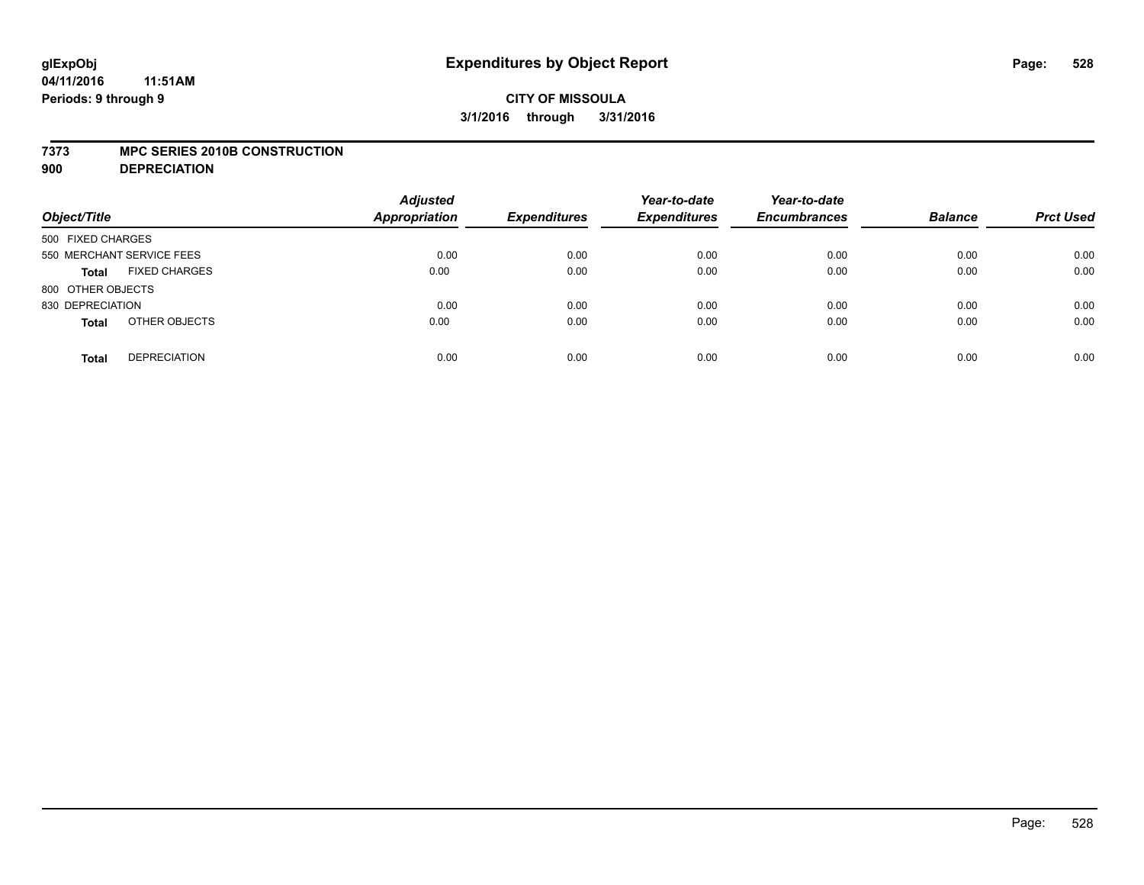# **CITY OF MISSOULA 3/1/2016 through 3/31/2016**

#### **7373 MPC SERIES 2010B CONSTRUCTION**

**900 DEPRECIATION**

| Object/Title                         | <b>Adjusted</b><br>Appropriation | <b>Expenditures</b> | Year-to-date<br><b>Expenditures</b> | Year-to-date<br><b>Encumbrances</b> | <b>Balance</b> | <b>Prct Used</b> |
|--------------------------------------|----------------------------------|---------------------|-------------------------------------|-------------------------------------|----------------|------------------|
| 500 FIXED CHARGES                    |                                  |                     |                                     |                                     |                |                  |
| 550 MERCHANT SERVICE FEES            | 0.00                             | 0.00                | 0.00                                | 0.00                                | 0.00           | 0.00             |
| <b>FIXED CHARGES</b><br><b>Total</b> | 0.00                             | 0.00                | 0.00                                | 0.00                                | 0.00           | 0.00             |
| 800 OTHER OBJECTS                    |                                  |                     |                                     |                                     |                |                  |
| 830 DEPRECIATION                     | 0.00                             | 0.00                | 0.00                                | 0.00                                | 0.00           | 0.00             |
| OTHER OBJECTS<br><b>Total</b>        | 0.00                             | 0.00                | 0.00                                | 0.00                                | 0.00           | 0.00             |
| <b>DEPRECIATION</b><br><b>Total</b>  | 0.00                             | 0.00                | 0.00                                | 0.00                                | 0.00           | 0.00             |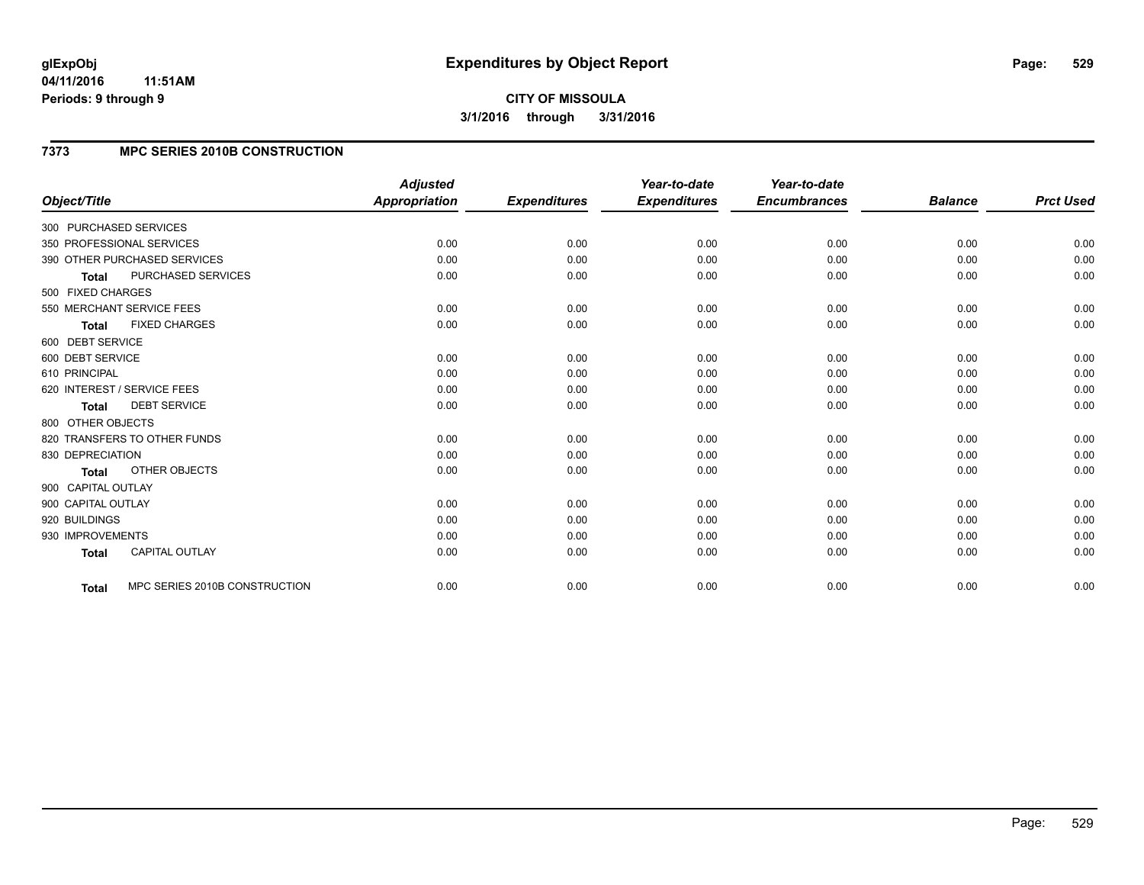**CITY OF MISSOULA 3/1/2016 through 3/31/2016**

### **7373 MPC SERIES 2010B CONSTRUCTION**

|                                               | <b>Adjusted</b>      |                     | Year-to-date        | Year-to-date        |                |                  |
|-----------------------------------------------|----------------------|---------------------|---------------------|---------------------|----------------|------------------|
| Object/Title                                  | <b>Appropriation</b> | <b>Expenditures</b> | <b>Expenditures</b> | <b>Encumbrances</b> | <b>Balance</b> | <b>Prct Used</b> |
| 300 PURCHASED SERVICES                        |                      |                     |                     |                     |                |                  |
| 350 PROFESSIONAL SERVICES                     | 0.00                 | 0.00                | 0.00                | 0.00                | 0.00           | 0.00             |
| 390 OTHER PURCHASED SERVICES                  | 0.00                 | 0.00                | 0.00                | 0.00                | 0.00           | 0.00             |
| PURCHASED SERVICES<br><b>Total</b>            | 0.00                 | 0.00                | 0.00                | 0.00                | 0.00           | 0.00             |
| 500 FIXED CHARGES                             |                      |                     |                     |                     |                |                  |
| 550 MERCHANT SERVICE FEES                     | 0.00                 | 0.00                | 0.00                | 0.00                | 0.00           | 0.00             |
| <b>FIXED CHARGES</b><br><b>Total</b>          | 0.00                 | 0.00                | 0.00                | 0.00                | 0.00           | 0.00             |
| 600 DEBT SERVICE                              |                      |                     |                     |                     |                |                  |
| 600 DEBT SERVICE                              | 0.00                 | 0.00                | 0.00                | 0.00                | 0.00           | 0.00             |
| 610 PRINCIPAL                                 | 0.00                 | 0.00                | 0.00                | 0.00                | 0.00           | 0.00             |
| 620 INTEREST / SERVICE FEES                   | 0.00                 | 0.00                | 0.00                | 0.00                | 0.00           | 0.00             |
| <b>DEBT SERVICE</b><br><b>Total</b>           | 0.00                 | 0.00                | 0.00                | 0.00                | 0.00           | 0.00             |
| 800 OTHER OBJECTS                             |                      |                     |                     |                     |                |                  |
| 820 TRANSFERS TO OTHER FUNDS                  | 0.00                 | 0.00                | 0.00                | 0.00                | 0.00           | 0.00             |
| 830 DEPRECIATION                              | 0.00                 | 0.00                | 0.00                | 0.00                | 0.00           | 0.00             |
| OTHER OBJECTS<br>Total                        | 0.00                 | 0.00                | 0.00                | 0.00                | 0.00           | 0.00             |
| 900 CAPITAL OUTLAY                            |                      |                     |                     |                     |                |                  |
| 900 CAPITAL OUTLAY                            | 0.00                 | 0.00                | 0.00                | 0.00                | 0.00           | 0.00             |
| 920 BUILDINGS                                 | 0.00                 | 0.00                | 0.00                | 0.00                | 0.00           | 0.00             |
| 930 IMPROVEMENTS                              | 0.00                 | 0.00                | 0.00                | 0.00                | 0.00           | 0.00             |
| <b>CAPITAL OUTLAY</b><br><b>Total</b>         | 0.00                 | 0.00                | 0.00                | 0.00                | 0.00           | 0.00             |
| MPC SERIES 2010B CONSTRUCTION<br><b>Total</b> | 0.00                 | 0.00                | 0.00                | 0.00                | 0.00           | 0.00             |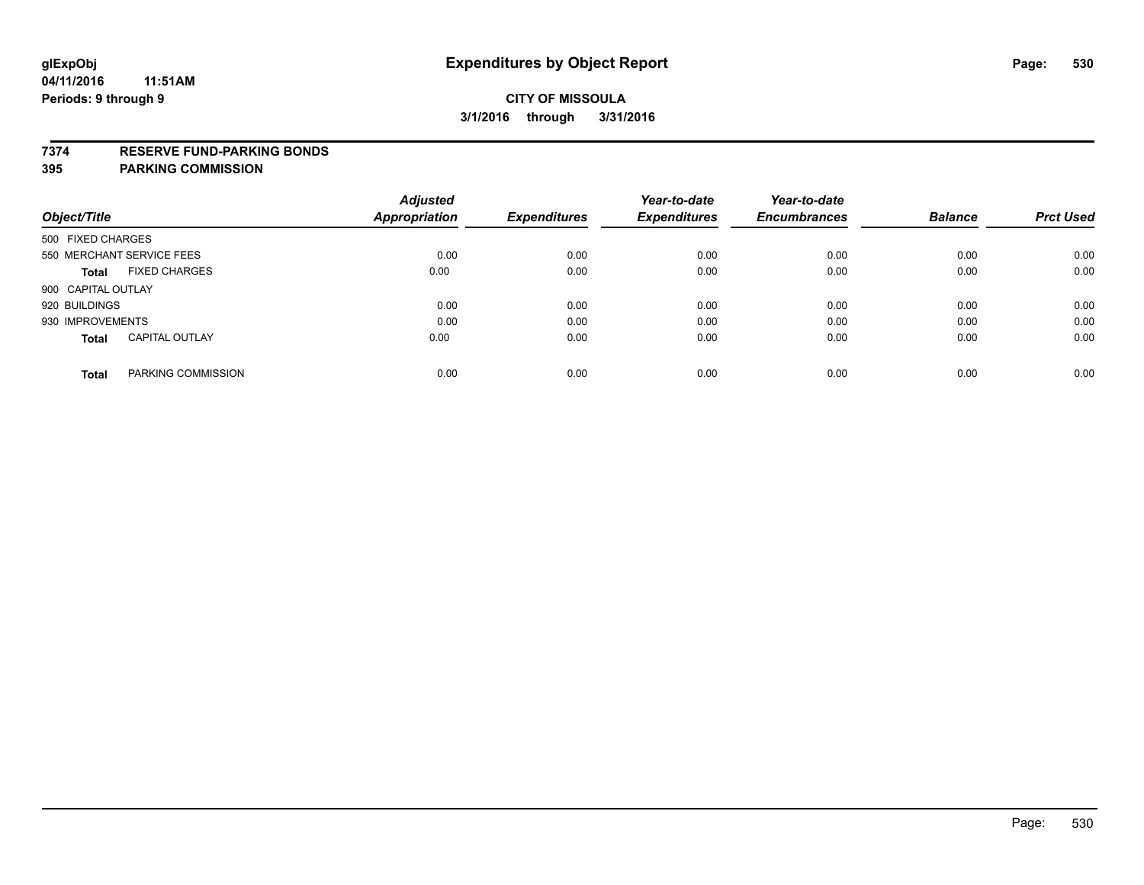### **7374 RESERVE FUND-PARKING BONDS**

|                                       | <b>Adjusted</b>      |                     | Year-to-date        | Year-to-date        |                |                  |
|---------------------------------------|----------------------|---------------------|---------------------|---------------------|----------------|------------------|
| Object/Title                          | <b>Appropriation</b> | <b>Expenditures</b> | <b>Expenditures</b> | <b>Encumbrances</b> | <b>Balance</b> | <b>Prct Used</b> |
| 500 FIXED CHARGES                     |                      |                     |                     |                     |                |                  |
| 550 MERCHANT SERVICE FEES             | 0.00                 | 0.00                | 0.00                | 0.00                | 0.00           | 0.00             |
| <b>FIXED CHARGES</b><br><b>Total</b>  | 0.00                 | 0.00                | 0.00                | 0.00                | 0.00           | 0.00             |
| 900 CAPITAL OUTLAY                    |                      |                     |                     |                     |                |                  |
| 920 BUILDINGS                         | 0.00                 | 0.00                | 0.00                | 0.00                | 0.00           | 0.00             |
| 930 IMPROVEMENTS                      | 0.00                 | 0.00                | 0.00                | 0.00                | 0.00           | 0.00             |
| <b>CAPITAL OUTLAY</b><br><b>Total</b> | 0.00                 | 0.00                | 0.00                | 0.00                | 0.00           | 0.00             |
| PARKING COMMISSION<br><b>Total</b>    | 0.00                 | 0.00                | 0.00                | 0.00                | 0.00           | 0.00             |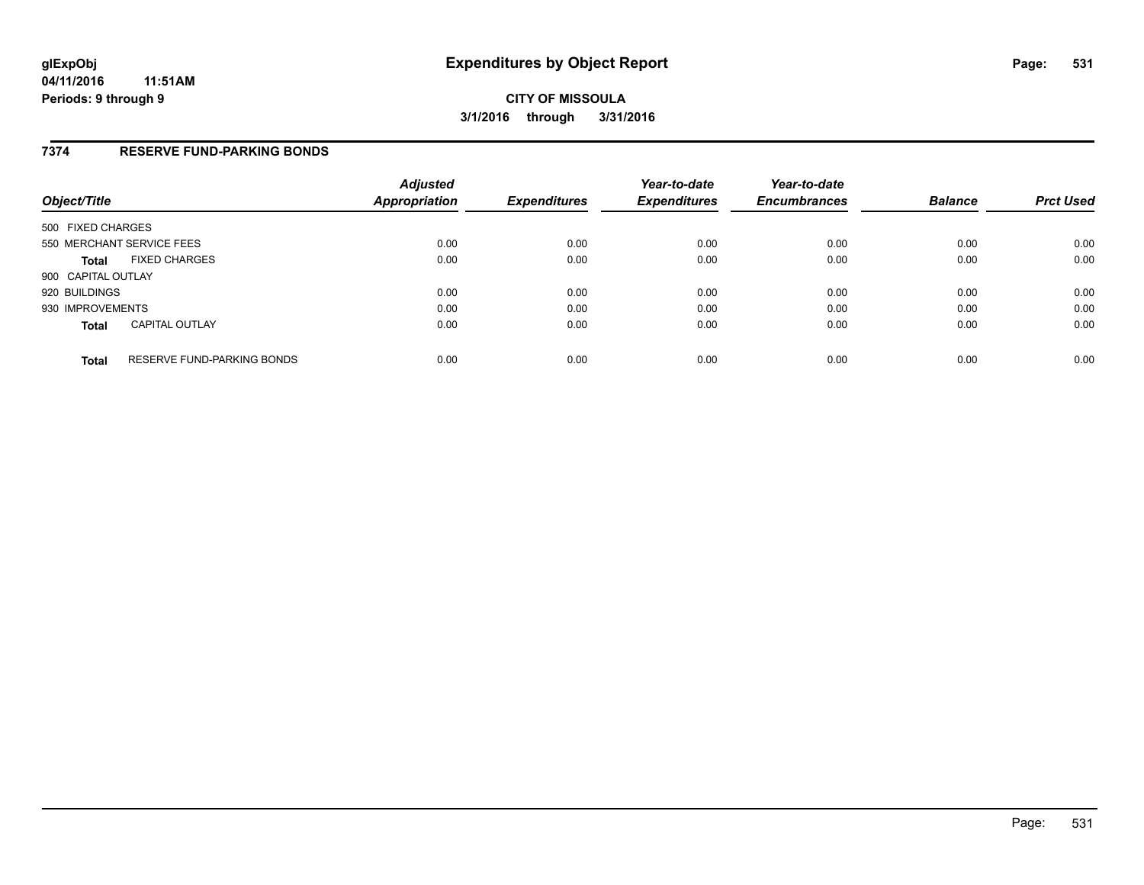### **7374 RESERVE FUND-PARKING BONDS**

| Object/Title              |                            | <b>Adjusted</b><br>Appropriation | <b>Expenditures</b> | Year-to-date<br><b>Expenditures</b> | Year-to-date<br><b>Encumbrances</b> | <b>Balance</b> | <b>Prct Used</b> |
|---------------------------|----------------------------|----------------------------------|---------------------|-------------------------------------|-------------------------------------|----------------|------------------|
| 500 FIXED CHARGES         |                            |                                  |                     |                                     |                                     |                |                  |
| 550 MERCHANT SERVICE FEES |                            | 0.00                             | 0.00                | 0.00                                | 0.00                                | 0.00           | 0.00             |
| <b>Total</b>              | <b>FIXED CHARGES</b>       | 0.00                             | 0.00                | 0.00                                | 0.00                                | 0.00           | 0.00             |
| 900 CAPITAL OUTLAY        |                            |                                  |                     |                                     |                                     |                |                  |
| 920 BUILDINGS             |                            | 0.00                             | 0.00                | 0.00                                | 0.00                                | 0.00           | 0.00             |
| 930 IMPROVEMENTS          |                            | 0.00                             | 0.00                | 0.00                                | 0.00                                | 0.00           | 0.00             |
| <b>Total</b>              | <b>CAPITAL OUTLAY</b>      | 0.00                             | 0.00                | 0.00                                | 0.00                                | 0.00           | 0.00             |
| <b>Total</b>              | RESERVE FUND-PARKING BONDS | 0.00                             | 0.00                | 0.00                                | 0.00                                | 0.00           | 0.00             |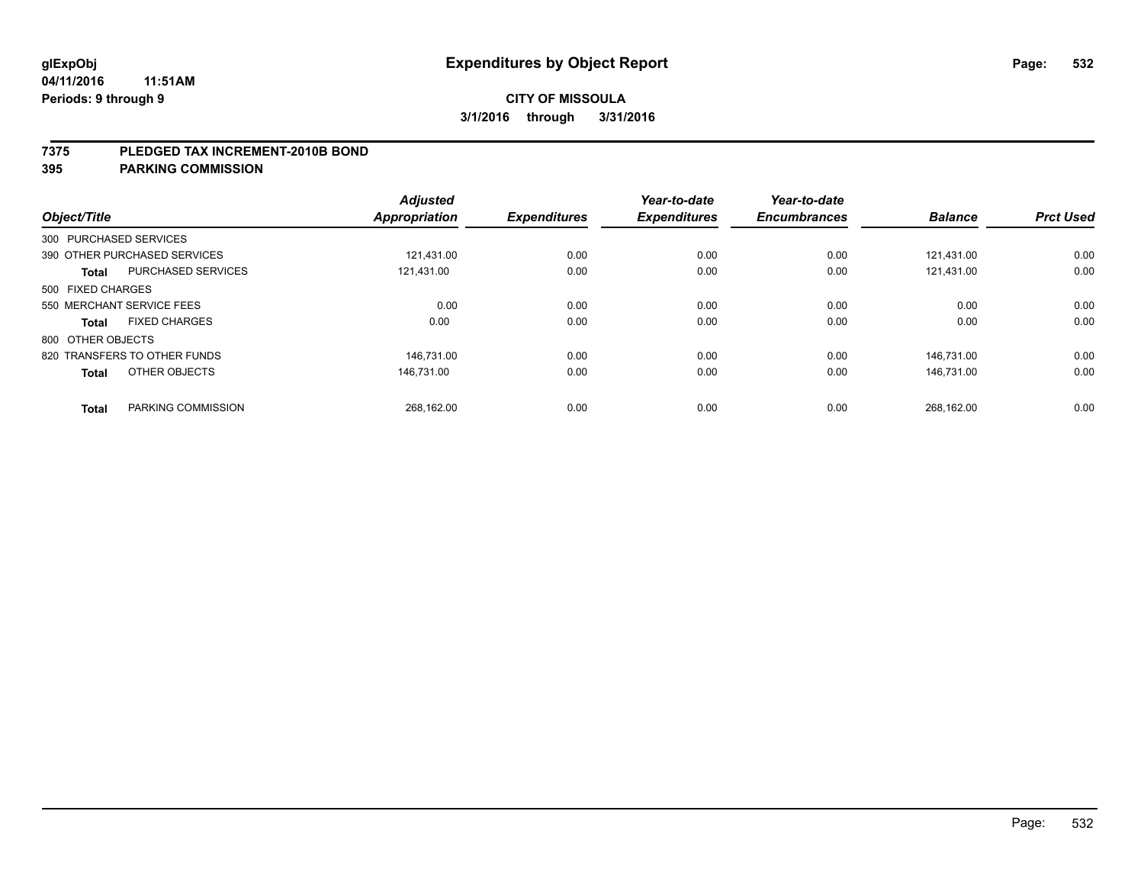#### **7375 PLEDGED TAX INCREMENT-2010B BOND**

| Object/Title      |                              | <b>Adjusted</b><br>Appropriation | <b>Expenditures</b> | Year-to-date<br><b>Expenditures</b> | Year-to-date<br><b>Encumbrances</b> | <b>Balance</b> | <b>Prct Used</b> |
|-------------------|------------------------------|----------------------------------|---------------------|-------------------------------------|-------------------------------------|----------------|------------------|
|                   | 300 PURCHASED SERVICES       |                                  |                     |                                     |                                     |                |                  |
|                   | 390 OTHER PURCHASED SERVICES | 121.431.00                       | 0.00                | 0.00                                | 0.00                                | 121.431.00     | 0.00             |
| <b>Total</b>      | <b>PURCHASED SERVICES</b>    | 121,431.00                       | 0.00                | 0.00                                | 0.00                                | 121.431.00     | 0.00             |
| 500 FIXED CHARGES |                              |                                  |                     |                                     |                                     |                |                  |
|                   | 550 MERCHANT SERVICE FEES    | 0.00                             | 0.00                | 0.00                                | 0.00                                | 0.00           | 0.00             |
| <b>Total</b>      | <b>FIXED CHARGES</b>         | 0.00                             | 0.00                | 0.00                                | 0.00                                | 0.00           | 0.00             |
| 800 OTHER OBJECTS |                              |                                  |                     |                                     |                                     |                |                  |
|                   | 820 TRANSFERS TO OTHER FUNDS | 146.731.00                       | 0.00                | 0.00                                | 0.00                                | 146.731.00     | 0.00             |
| <b>Total</b>      | OTHER OBJECTS                | 146.731.00                       | 0.00                | 0.00                                | 0.00                                | 146.731.00     | 0.00             |
| <b>Total</b>      | PARKING COMMISSION           | 268,162.00                       | 0.00                | 0.00                                | 0.00                                | 268.162.00     | 0.00             |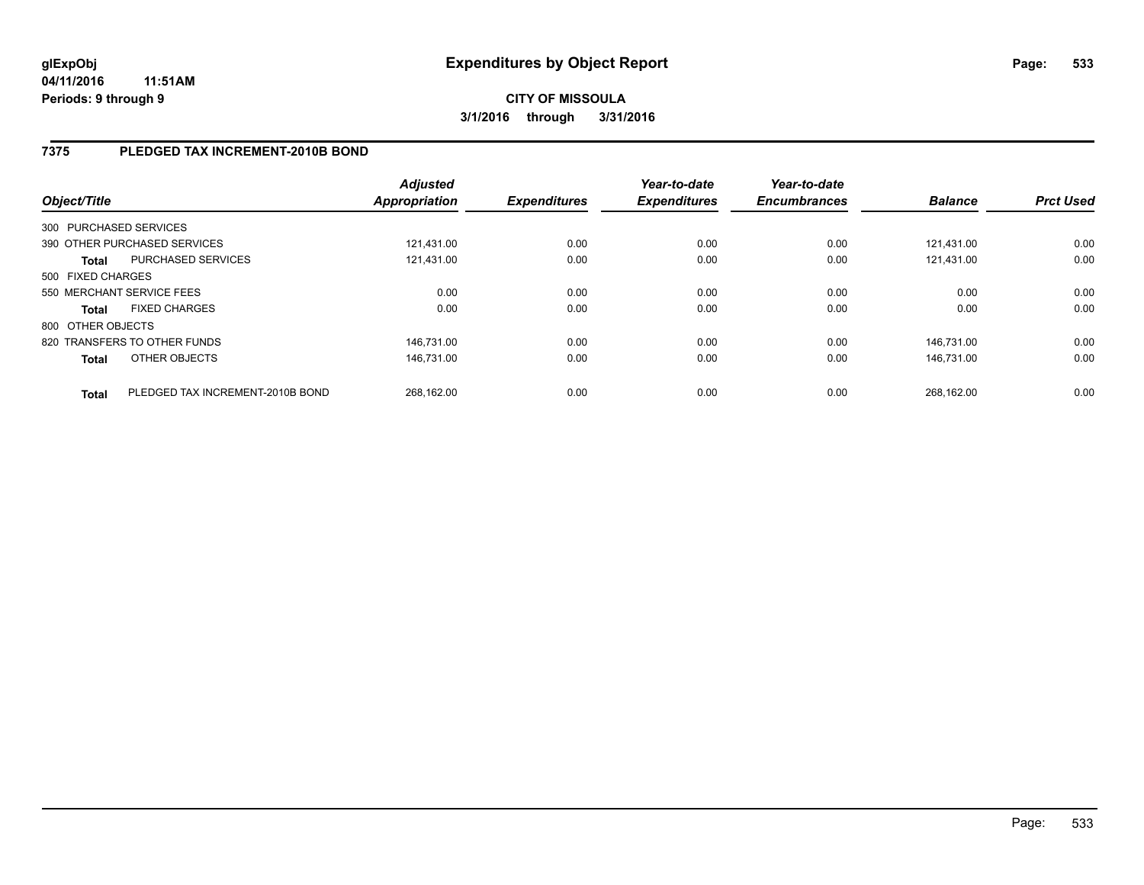## **7375 PLEDGED TAX INCREMENT-2010B BOND**

| Object/Title      |                                  | <b>Adjusted</b><br><b>Appropriation</b> | <b>Expenditures</b> | Year-to-date<br><b>Expenditures</b> | Year-to-date<br><b>Encumbrances</b> | <b>Balance</b> | <b>Prct Used</b> |
|-------------------|----------------------------------|-----------------------------------------|---------------------|-------------------------------------|-------------------------------------|----------------|------------------|
|                   | 300 PURCHASED SERVICES           |                                         |                     |                                     |                                     |                |                  |
|                   | 390 OTHER PURCHASED SERVICES     | 121.431.00                              | 0.00                | 0.00                                | 0.00                                | 121.431.00     | 0.00             |
| <b>Total</b>      | PURCHASED SERVICES               | 121,431.00                              | 0.00                | 0.00                                | 0.00                                | 121.431.00     | 0.00             |
| 500 FIXED CHARGES |                                  |                                         |                     |                                     |                                     |                |                  |
|                   | 550 MERCHANT SERVICE FEES        | 0.00                                    | 0.00                | 0.00                                | 0.00                                | 0.00           | 0.00             |
| <b>Total</b>      | <b>FIXED CHARGES</b>             | 0.00                                    | 0.00                | 0.00                                | 0.00                                | 0.00           | 0.00             |
| 800 OTHER OBJECTS |                                  |                                         |                     |                                     |                                     |                |                  |
|                   | 820 TRANSFERS TO OTHER FUNDS     | 146.731.00                              | 0.00                | 0.00                                | 0.00                                | 146.731.00     | 0.00             |
| <b>Total</b>      | OTHER OBJECTS                    | 146.731.00                              | 0.00                | 0.00                                | 0.00                                | 146.731.00     | 0.00             |
| <b>Total</b>      | PLEDGED TAX INCREMENT-2010B BOND | 268.162.00                              | 0.00                | 0.00                                | 0.00                                | 268.162.00     | 0.00             |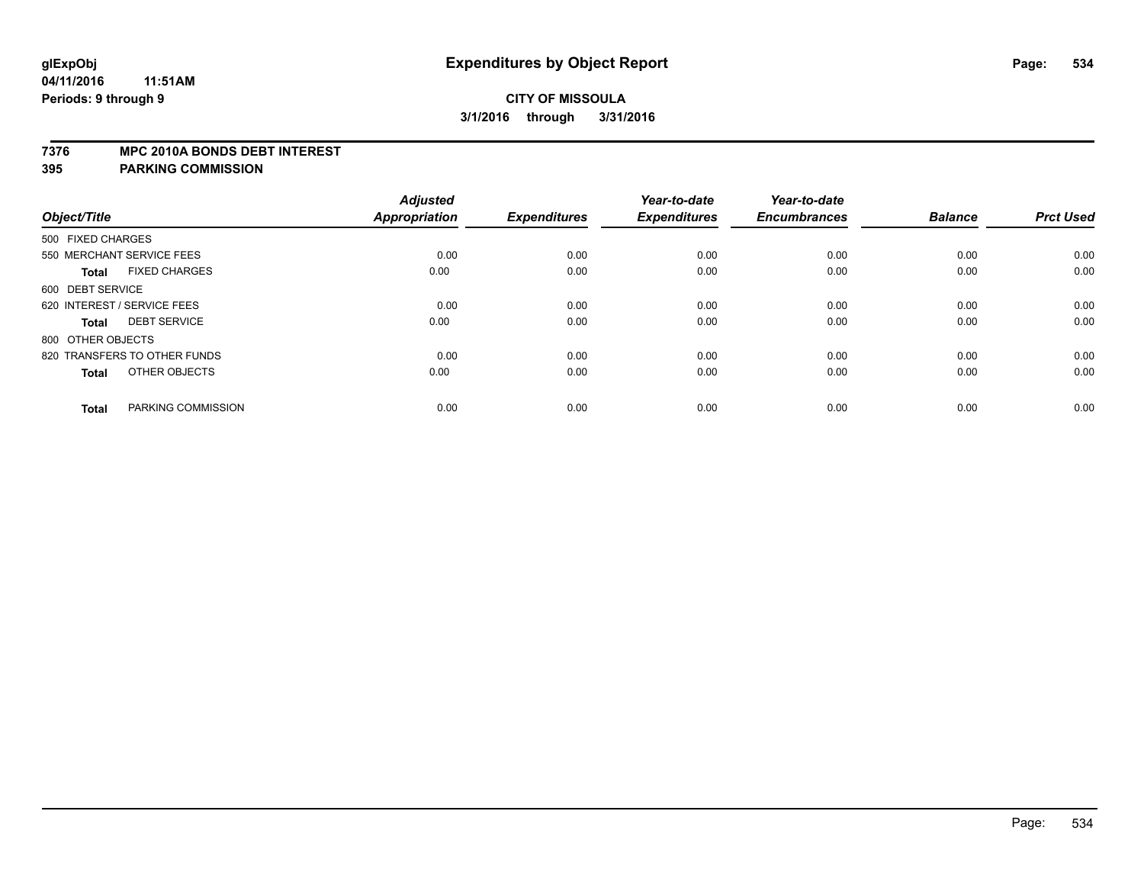# **CITY OF MISSOULA 3/1/2016 through 3/31/2016**

#### **7376 MPC 2010A BONDS DEBT INTEREST**

| Object/Title                         | <b>Adjusted</b><br><b>Appropriation</b> | <b>Expenditures</b> | Year-to-date<br><b>Expenditures</b> | Year-to-date<br><b>Encumbrances</b> | <b>Balance</b> | <b>Prct Used</b> |
|--------------------------------------|-----------------------------------------|---------------------|-------------------------------------|-------------------------------------|----------------|------------------|
| 500 FIXED CHARGES                    |                                         |                     |                                     |                                     |                |                  |
| 550 MERCHANT SERVICE FEES            | 0.00                                    | 0.00                | 0.00                                | 0.00                                | 0.00           | 0.00             |
| <b>FIXED CHARGES</b><br><b>Total</b> | 0.00                                    | 0.00                | 0.00                                | 0.00                                | 0.00           | 0.00             |
| 600 DEBT SERVICE                     |                                         |                     |                                     |                                     |                |                  |
| 620 INTEREST / SERVICE FEES          | 0.00                                    | 0.00                | 0.00                                | 0.00                                | 0.00           | 0.00             |
| <b>DEBT SERVICE</b><br><b>Total</b>  | 0.00                                    | 0.00                | 0.00                                | 0.00                                | 0.00           | 0.00             |
| 800 OTHER OBJECTS                    |                                         |                     |                                     |                                     |                |                  |
| 820 TRANSFERS TO OTHER FUNDS         | 0.00                                    | 0.00                | 0.00                                | 0.00                                | 0.00           | 0.00             |
| OTHER OBJECTS<br><b>Total</b>        | 0.00                                    | 0.00                | 0.00                                | 0.00                                | 0.00           | 0.00             |
|                                      |                                         |                     |                                     |                                     |                |                  |
| PARKING COMMISSION<br><b>Total</b>   | 0.00                                    | 0.00                | 0.00                                | 0.00                                | 0.00           | 0.00             |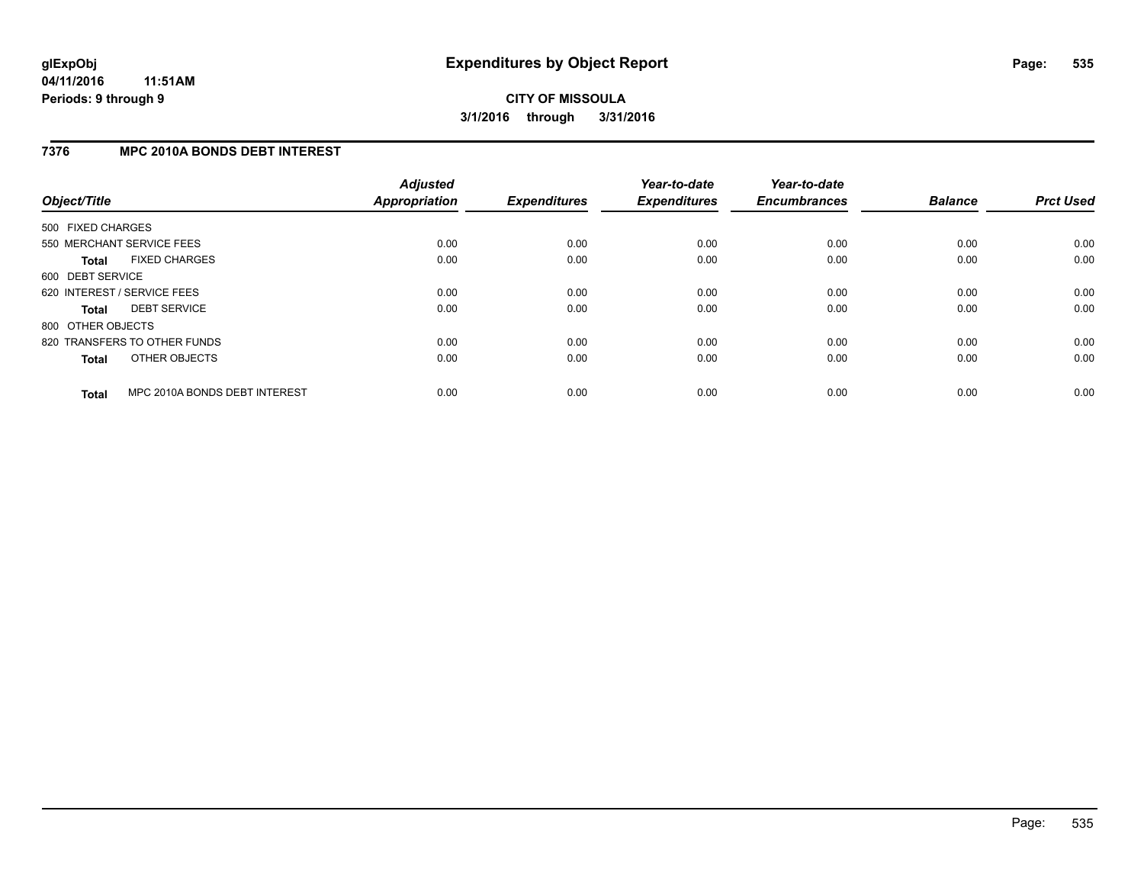### **7376 MPC 2010A BONDS DEBT INTEREST**

| Object/Title      |                               | <b>Adjusted</b><br>Appropriation | <b>Expenditures</b> | Year-to-date<br><b>Expenditures</b> | Year-to-date<br><b>Encumbrances</b> | <b>Balance</b> | <b>Prct Used</b> |
|-------------------|-------------------------------|----------------------------------|---------------------|-------------------------------------|-------------------------------------|----------------|------------------|
| 500 FIXED CHARGES |                               |                                  |                     |                                     |                                     |                |                  |
|                   | 550 MERCHANT SERVICE FEES     | 0.00                             | 0.00                | 0.00                                | 0.00                                | 0.00           | 0.00             |
| <b>Total</b>      | <b>FIXED CHARGES</b>          | 0.00                             | 0.00                | 0.00                                | 0.00                                | 0.00           | 0.00             |
| 600 DEBT SERVICE  |                               |                                  |                     |                                     |                                     |                |                  |
|                   | 620 INTEREST / SERVICE FEES   | 0.00                             | 0.00                | 0.00                                | 0.00                                | 0.00           | 0.00             |
| <b>Total</b>      | <b>DEBT SERVICE</b>           | 0.00                             | 0.00                | 0.00                                | 0.00                                | 0.00           | 0.00             |
| 800 OTHER OBJECTS |                               |                                  |                     |                                     |                                     |                |                  |
|                   | 820 TRANSFERS TO OTHER FUNDS  | 0.00                             | 0.00                | 0.00                                | 0.00                                | 0.00           | 0.00             |
| <b>Total</b>      | OTHER OBJECTS                 | 0.00                             | 0.00                | 0.00                                | 0.00                                | 0.00           | 0.00             |
| <b>Total</b>      | MPC 2010A BONDS DEBT INTEREST | 0.00                             | 0.00                | 0.00                                | 0.00                                | 0.00           | 0.00             |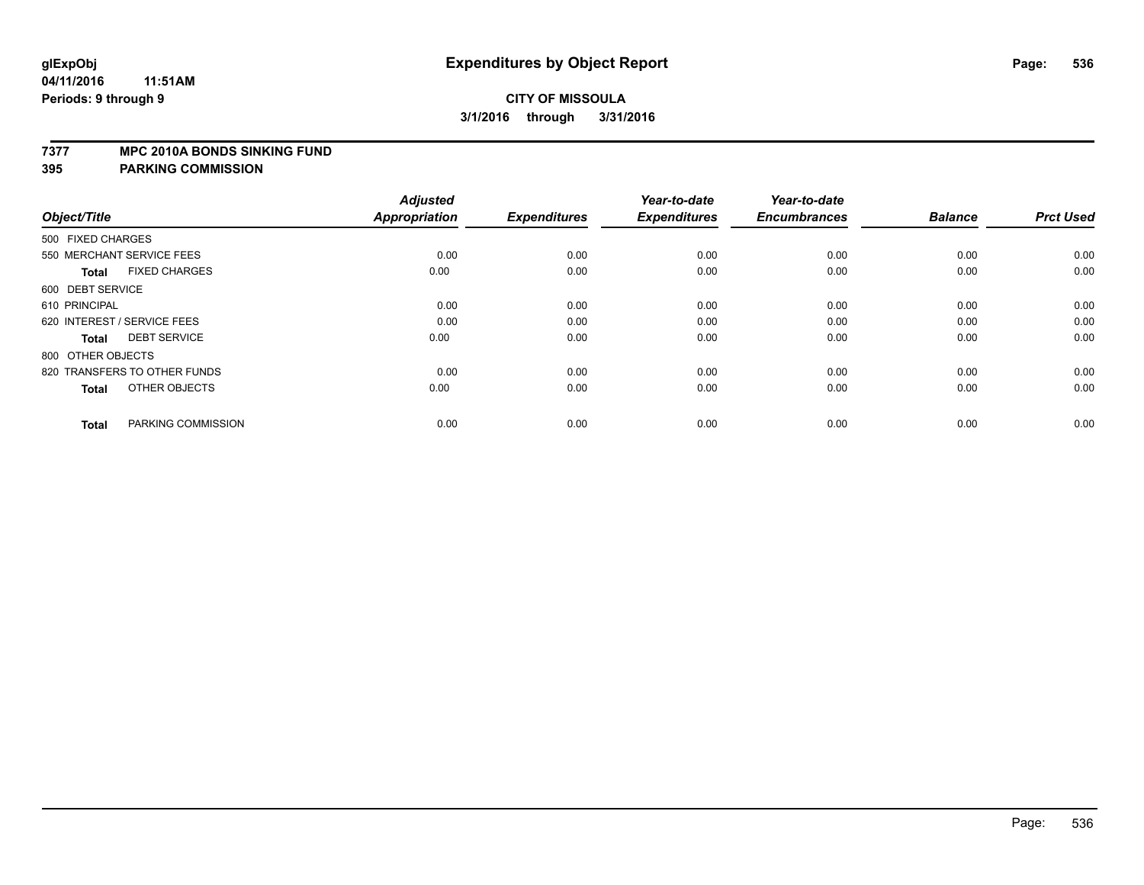#### **7377 MPC 2010A BONDS SINKING FUND**

| Object/Title                         | <b>Adjusted</b><br><b>Appropriation</b> | <b>Expenditures</b> | Year-to-date<br><b>Expenditures</b> | Year-to-date<br><b>Encumbrances</b> | <b>Balance</b> | <b>Prct Used</b> |
|--------------------------------------|-----------------------------------------|---------------------|-------------------------------------|-------------------------------------|----------------|------------------|
| 500 FIXED CHARGES                    |                                         |                     |                                     |                                     |                |                  |
| 550 MERCHANT SERVICE FEES            | 0.00                                    | 0.00                | 0.00                                | 0.00                                | 0.00           | 0.00             |
| <b>FIXED CHARGES</b><br><b>Total</b> | 0.00                                    | 0.00                | 0.00                                | 0.00                                | 0.00           | 0.00             |
| 600 DEBT SERVICE                     |                                         |                     |                                     |                                     |                |                  |
| 610 PRINCIPAL                        | 0.00                                    | 0.00                | 0.00                                | 0.00                                | 0.00           | 0.00             |
| 620 INTEREST / SERVICE FEES          | 0.00                                    | 0.00                | 0.00                                | 0.00                                | 0.00           | 0.00             |
| <b>DEBT SERVICE</b><br><b>Total</b>  | 0.00                                    | 0.00                | 0.00                                | 0.00                                | 0.00           | 0.00             |
| 800 OTHER OBJECTS                    |                                         |                     |                                     |                                     |                |                  |
| 820 TRANSFERS TO OTHER FUNDS         | 0.00                                    | 0.00                | 0.00                                | 0.00                                | 0.00           | 0.00             |
| OTHER OBJECTS<br><b>Total</b>        | 0.00                                    | 0.00                | 0.00                                | 0.00                                | 0.00           | 0.00             |
|                                      |                                         |                     |                                     |                                     |                |                  |
| PARKING COMMISSION<br><b>Total</b>   | 0.00                                    | 0.00                | 0.00                                | 0.00                                | 0.00           | 0.00             |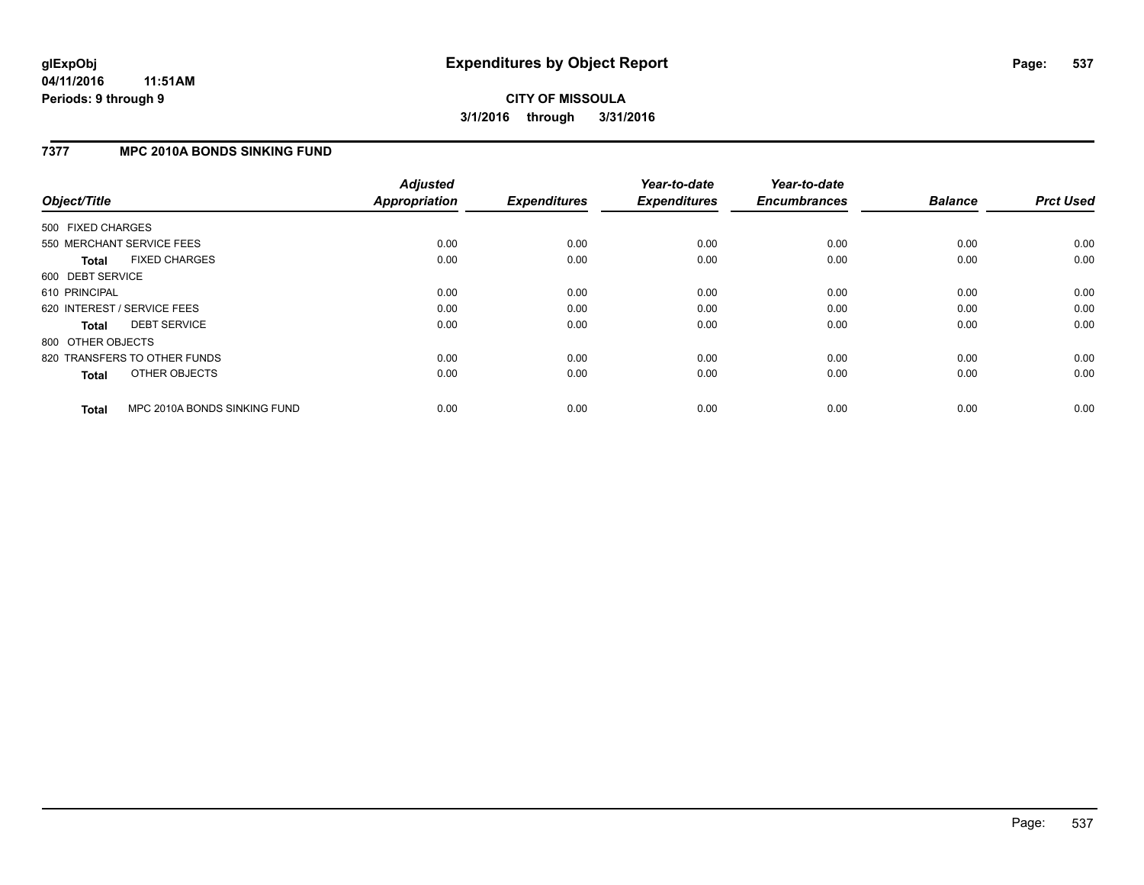### **7377 MPC 2010A BONDS SINKING FUND**

| Object/Title                 |                              | <b>Adjusted</b><br><b>Appropriation</b> | <b>Expenditures</b> | Year-to-date<br><b>Expenditures</b> | Year-to-date<br><b>Encumbrances</b> | <b>Balance</b> | <b>Prct Used</b> |
|------------------------------|------------------------------|-----------------------------------------|---------------------|-------------------------------------|-------------------------------------|----------------|------------------|
| 500 FIXED CHARGES            |                              |                                         |                     |                                     |                                     |                |                  |
| 550 MERCHANT SERVICE FEES    |                              | 0.00                                    | 0.00                | 0.00                                | 0.00                                | 0.00           | 0.00             |
| <b>Total</b>                 | <b>FIXED CHARGES</b>         | 0.00                                    | 0.00                | 0.00                                | 0.00                                | 0.00           | 0.00             |
| 600 DEBT SERVICE             |                              |                                         |                     |                                     |                                     |                |                  |
| 610 PRINCIPAL                |                              | 0.00                                    | 0.00                | 0.00                                | 0.00                                | 0.00           | 0.00             |
| 620 INTEREST / SERVICE FEES  |                              | 0.00                                    | 0.00                | 0.00                                | 0.00                                | 0.00           | 0.00             |
| Total                        | <b>DEBT SERVICE</b>          | 0.00                                    | 0.00                | 0.00                                | 0.00                                | 0.00           | 0.00             |
| 800 OTHER OBJECTS            |                              |                                         |                     |                                     |                                     |                |                  |
| 820 TRANSFERS TO OTHER FUNDS |                              | 0.00                                    | 0.00                | 0.00                                | 0.00                                | 0.00           | 0.00             |
| <b>Total</b>                 | OTHER OBJECTS                | 0.00                                    | 0.00                | 0.00                                | 0.00                                | 0.00           | 0.00             |
| <b>Total</b>                 | MPC 2010A BONDS SINKING FUND | 0.00                                    | 0.00                | 0.00                                | 0.00                                | 0.00           | 0.00             |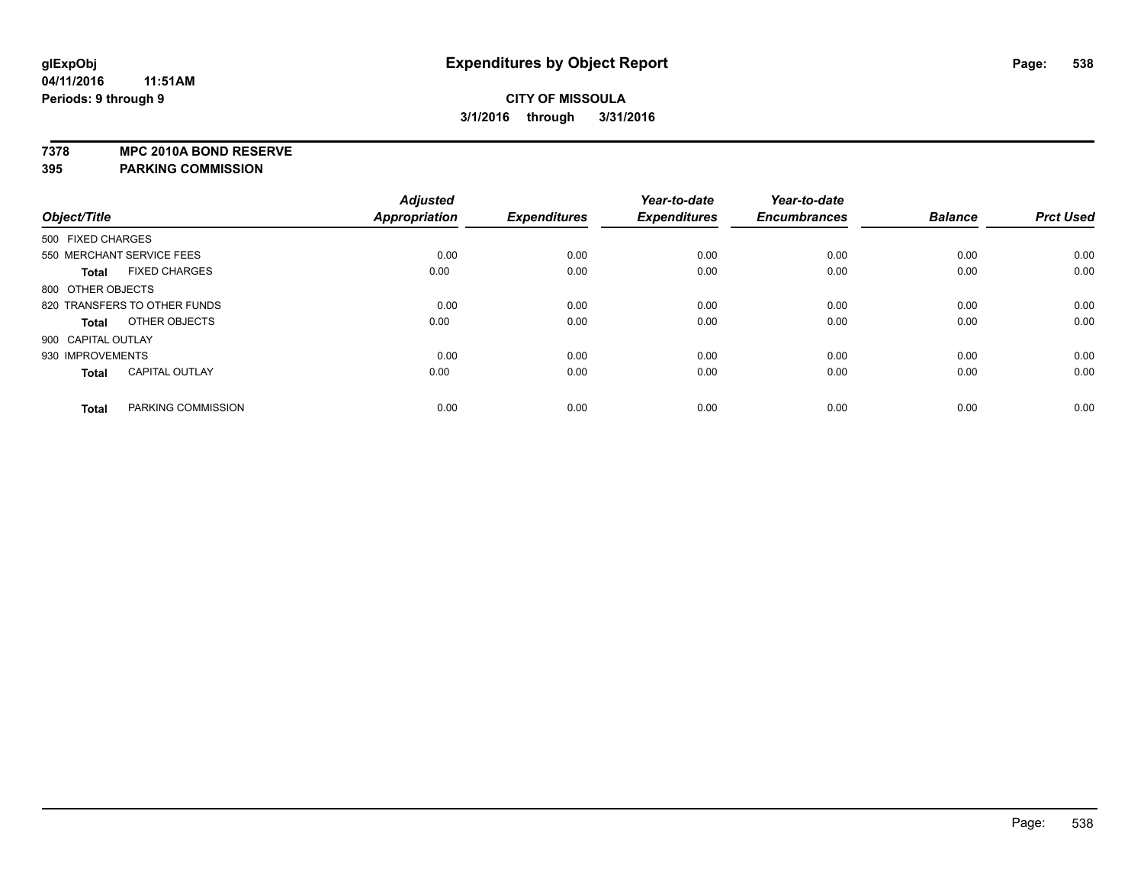**7378 MPC 2010A BOND RESERVE**

|                    |                              | <b>Adjusted</b>      |                     | Year-to-date        | Year-to-date        |                |                  |
|--------------------|------------------------------|----------------------|---------------------|---------------------|---------------------|----------------|------------------|
| Object/Title       |                              | <b>Appropriation</b> | <b>Expenditures</b> | <b>Expenditures</b> | <b>Encumbrances</b> | <b>Balance</b> | <b>Prct Used</b> |
| 500 FIXED CHARGES  |                              |                      |                     |                     |                     |                |                  |
|                    | 550 MERCHANT SERVICE FEES    | 0.00                 | 0.00                | 0.00                | 0.00                | 0.00           | 0.00             |
| <b>Total</b>       | <b>FIXED CHARGES</b>         | 0.00                 | 0.00                | 0.00                | 0.00                | 0.00           | 0.00             |
| 800 OTHER OBJECTS  |                              |                      |                     |                     |                     |                |                  |
|                    | 820 TRANSFERS TO OTHER FUNDS | 0.00                 | 0.00                | 0.00                | 0.00                | 0.00           | 0.00             |
| Total              | OTHER OBJECTS                | 0.00                 | 0.00                | 0.00                | 0.00                | 0.00           | 0.00             |
| 900 CAPITAL OUTLAY |                              |                      |                     |                     |                     |                |                  |
| 930 IMPROVEMENTS   |                              | 0.00                 | 0.00                | 0.00                | 0.00                | 0.00           | 0.00             |
| <b>Total</b>       | <b>CAPITAL OUTLAY</b>        | 0.00                 | 0.00                | 0.00                | 0.00                | 0.00           | 0.00             |
| <b>Total</b>       | PARKING COMMISSION           | 0.00                 | 0.00                | 0.00                | 0.00                | 0.00           | 0.00             |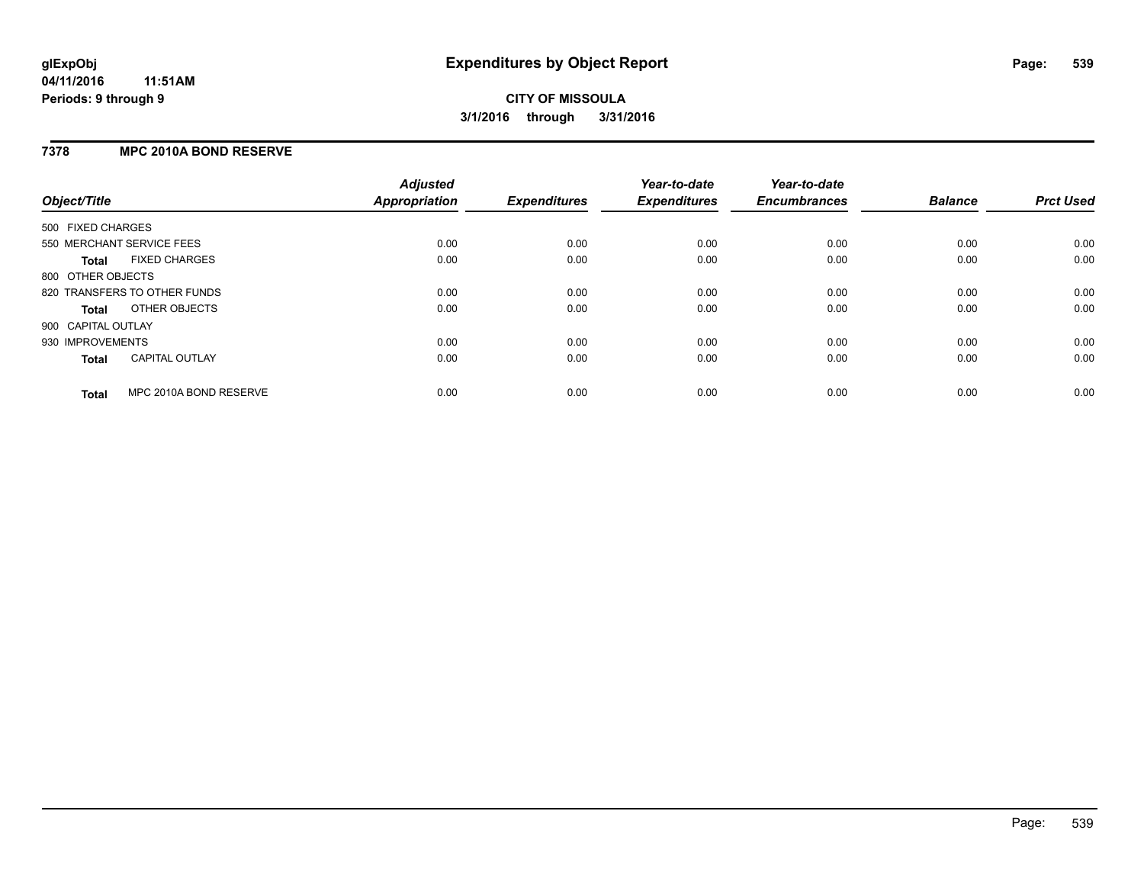### **7378 MPC 2010A BOND RESERVE**

| Object/Title       |                              | <b>Adjusted</b><br>Appropriation | <b>Expenditures</b> | Year-to-date<br><b>Expenditures</b> | Year-to-date<br><b>Encumbrances</b> | <b>Balance</b> | <b>Prct Used</b> |
|--------------------|------------------------------|----------------------------------|---------------------|-------------------------------------|-------------------------------------|----------------|------------------|
| 500 FIXED CHARGES  |                              |                                  |                     |                                     |                                     |                |                  |
|                    | 550 MERCHANT SERVICE FEES    | 0.00                             | 0.00                | 0.00                                | 0.00                                | 0.00           | 0.00             |
| <b>Total</b>       | <b>FIXED CHARGES</b>         | 0.00                             | 0.00                | 0.00                                | 0.00                                | 0.00           | 0.00             |
| 800 OTHER OBJECTS  |                              |                                  |                     |                                     |                                     |                |                  |
|                    | 820 TRANSFERS TO OTHER FUNDS | 0.00                             | 0.00                | 0.00                                | 0.00                                | 0.00           | 0.00             |
| Total              | OTHER OBJECTS                | 0.00                             | 0.00                | 0.00                                | 0.00                                | 0.00           | 0.00             |
| 900 CAPITAL OUTLAY |                              |                                  |                     |                                     |                                     |                |                  |
| 930 IMPROVEMENTS   |                              | 0.00                             | 0.00                | 0.00                                | 0.00                                | 0.00           | 0.00             |
| <b>Total</b>       | <b>CAPITAL OUTLAY</b>        | 0.00                             | 0.00                | 0.00                                | 0.00                                | 0.00           | 0.00             |
| <b>Total</b>       | MPC 2010A BOND RESERVE       | 0.00                             | 0.00                | 0.00                                | 0.00                                | 0.00           | 0.00             |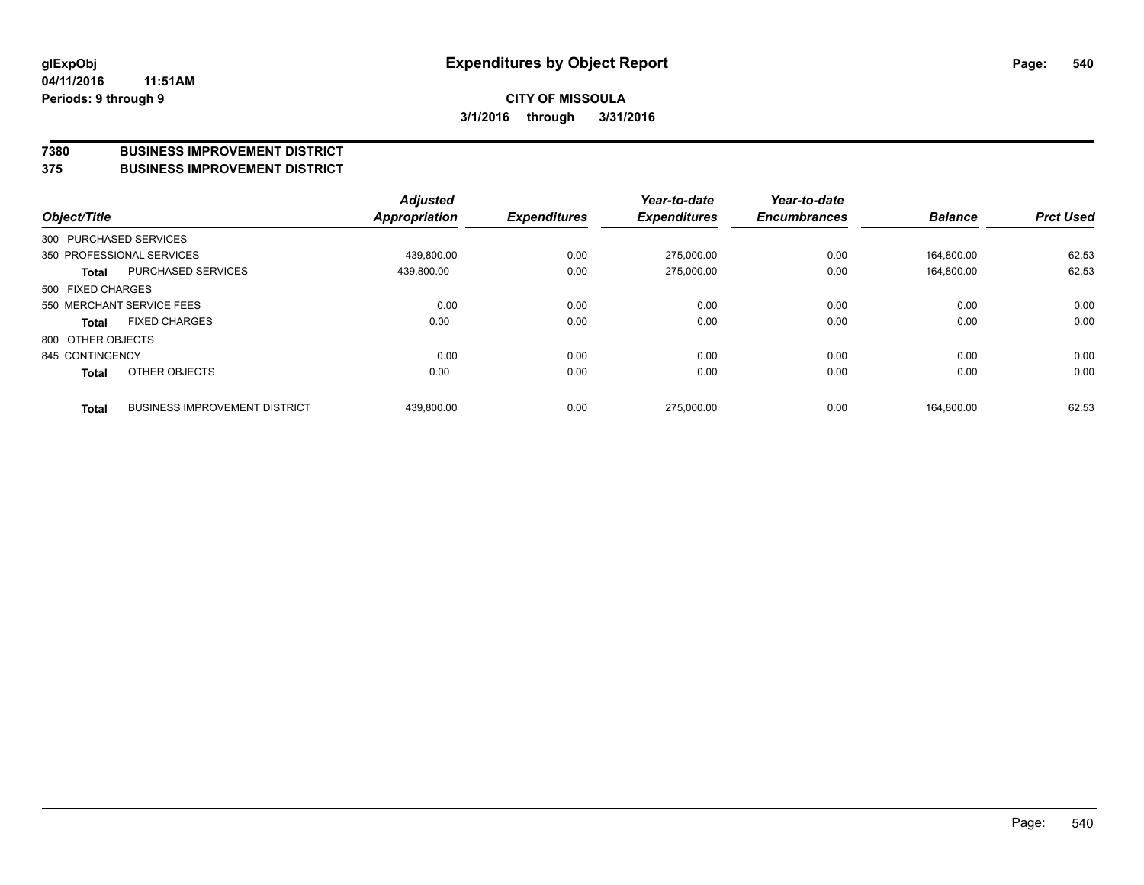#### **7380 BUSINESS IMPROVEMENT DISTRICT**

**375 BUSINESS IMPROVEMENT DISTRICT**

| Object/Title      |                                      | <b>Adjusted</b><br>Appropriation | <b>Expenditures</b> | Year-to-date<br><b>Expenditures</b> | Year-to-date<br><b>Encumbrances</b> | <b>Balance</b> | <b>Prct Used</b> |
|-------------------|--------------------------------------|----------------------------------|---------------------|-------------------------------------|-------------------------------------|----------------|------------------|
|                   | 300 PURCHASED SERVICES               |                                  |                     |                                     |                                     |                |                  |
|                   | 350 PROFESSIONAL SERVICES            | 439.800.00                       | 0.00                | 275.000.00                          | 0.00                                | 164.800.00     | 62.53            |
| <b>Total</b>      | <b>PURCHASED SERVICES</b>            | 439,800.00                       | 0.00                | 275,000.00                          | 0.00                                | 164,800.00     | 62.53            |
| 500 FIXED CHARGES |                                      |                                  |                     |                                     |                                     |                |                  |
|                   | 550 MERCHANT SERVICE FEES            | 0.00                             | 0.00                | 0.00                                | 0.00                                | 0.00           | 0.00             |
| <b>Total</b>      | <b>FIXED CHARGES</b>                 | 0.00                             | 0.00                | 0.00                                | 0.00                                | 0.00           | 0.00             |
| 800 OTHER OBJECTS |                                      |                                  |                     |                                     |                                     |                |                  |
| 845 CONTINGENCY   |                                      | 0.00                             | 0.00                | 0.00                                | 0.00                                | 0.00           | 0.00             |
| <b>Total</b>      | OTHER OBJECTS                        | 0.00                             | 0.00                | 0.00                                | 0.00                                | 0.00           | 0.00             |
| <b>Total</b>      | <b>BUSINESS IMPROVEMENT DISTRICT</b> | 439,800.00                       | 0.00                | 275.000.00                          | 0.00                                | 164.800.00     | 62.53            |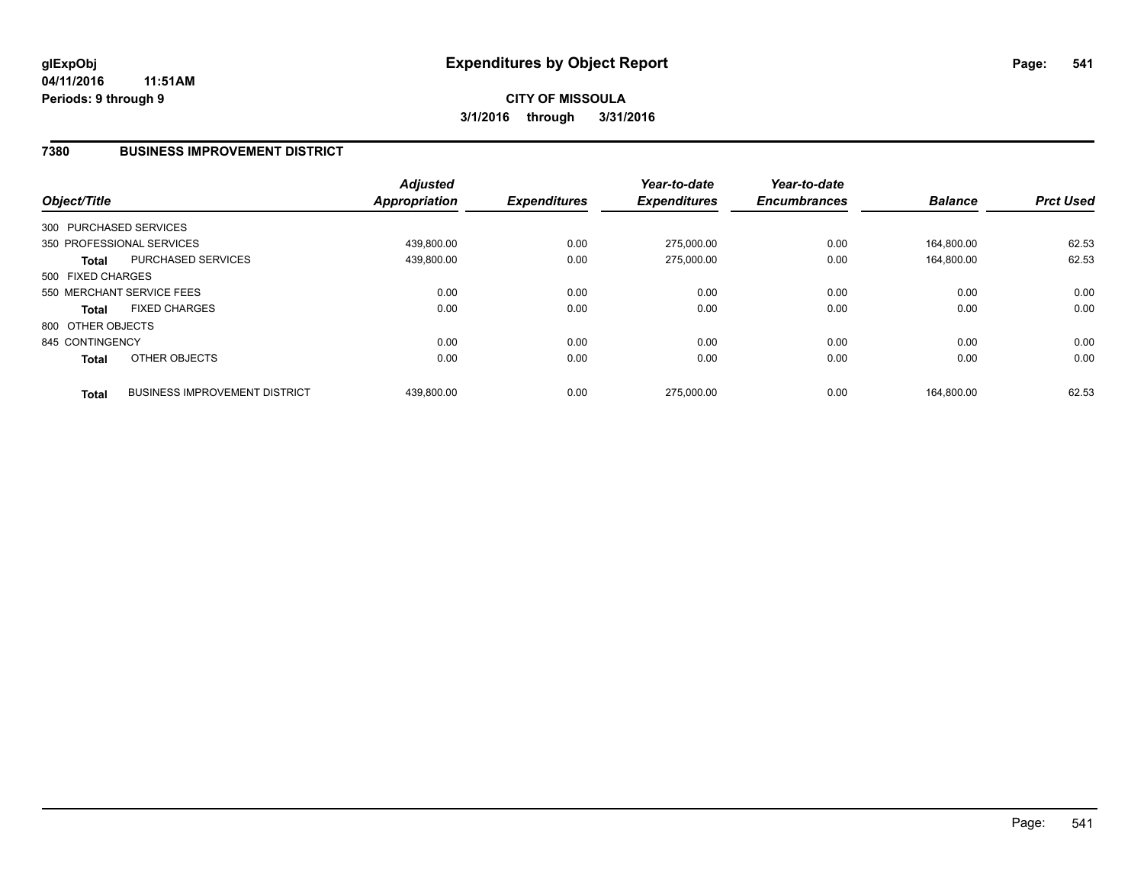### **7380 BUSINESS IMPROVEMENT DISTRICT**

| Object/Title      |                                      | <b>Adjusted</b><br><b>Appropriation</b> | <b>Expenditures</b> | Year-to-date<br><b>Expenditures</b> | Year-to-date<br><b>Encumbrances</b> | <b>Balance</b> | <b>Prct Used</b> |
|-------------------|--------------------------------------|-----------------------------------------|---------------------|-------------------------------------|-------------------------------------|----------------|------------------|
|                   | 300 PURCHASED SERVICES               |                                         |                     |                                     |                                     |                |                  |
|                   | 350 PROFESSIONAL SERVICES            | 439.800.00                              | 0.00                | 275.000.00                          | 0.00                                | 164.800.00     | 62.53            |
| <b>Total</b>      | <b>PURCHASED SERVICES</b>            | 439,800.00                              | 0.00                | 275,000.00                          | 0.00                                | 164.800.00     | 62.53            |
| 500 FIXED CHARGES |                                      |                                         |                     |                                     |                                     |                |                  |
|                   | 550 MERCHANT SERVICE FEES            | 0.00                                    | 0.00                | 0.00                                | 0.00                                | 0.00           | 0.00             |
| <b>Total</b>      | <b>FIXED CHARGES</b>                 | 0.00                                    | 0.00                | 0.00                                | 0.00                                | 0.00           | 0.00             |
| 800 OTHER OBJECTS |                                      |                                         |                     |                                     |                                     |                |                  |
| 845 CONTINGENCY   |                                      | 0.00                                    | 0.00                | 0.00                                | 0.00                                | 0.00           | 0.00             |
| <b>Total</b>      | OTHER OBJECTS                        | 0.00                                    | 0.00                | 0.00                                | 0.00                                | 0.00           | 0.00             |
| <b>Total</b>      | <b>BUSINESS IMPROVEMENT DISTRICT</b> | 439.800.00                              | 0.00                | 275.000.00                          | 0.00                                | 164.800.00     | 62.53            |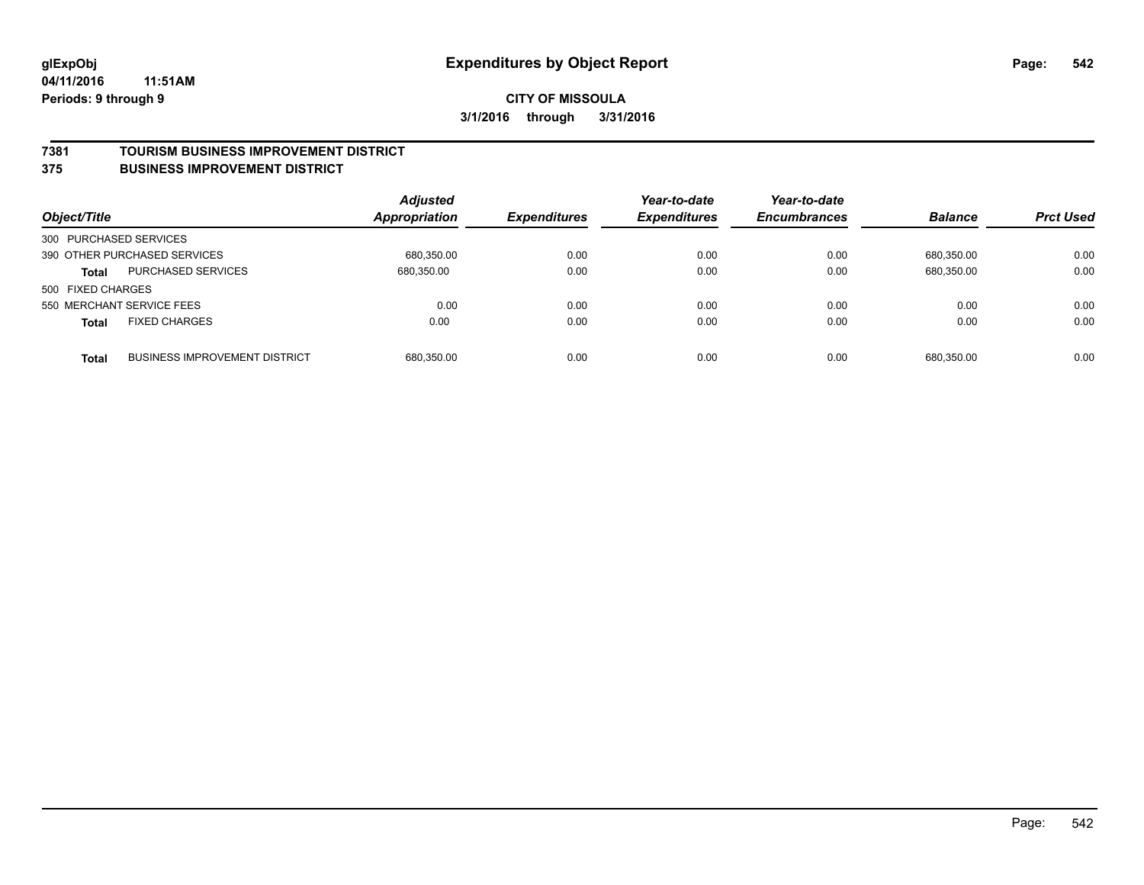#### **7381 TOURISM BUSINESS IMPROVEMENT DISTRICT**

#### **375 BUSINESS IMPROVEMENT DISTRICT**

| Object/Title           |                                      | <b>Adjusted</b><br><b>Appropriation</b> | <b>Expenditures</b> | Year-to-date<br><b>Expenditures</b> | Year-to-date<br><b>Encumbrances</b> | <b>Balance</b> | <b>Prct Used</b> |
|------------------------|--------------------------------------|-----------------------------------------|---------------------|-------------------------------------|-------------------------------------|----------------|------------------|
| 300 PURCHASED SERVICES |                                      |                                         |                     |                                     |                                     |                |                  |
|                        | 390 OTHER PURCHASED SERVICES         | 680.350.00                              | 0.00                | 0.00                                | 0.00                                | 680.350.00     | 0.00             |
| <b>Total</b>           | <b>PURCHASED SERVICES</b>            | 680,350.00                              | 0.00                | 0.00                                | 0.00                                | 680,350.00     | 0.00             |
| 500 FIXED CHARGES      |                                      |                                         |                     |                                     |                                     |                |                  |
|                        | 550 MERCHANT SERVICE FEES            | 0.00                                    | 0.00                | 0.00                                | 0.00                                | 0.00           | 0.00             |
| <b>Total</b>           | <b>FIXED CHARGES</b>                 | 0.00                                    | 0.00                | 0.00                                | 0.00                                | 0.00           | 0.00             |
| <b>Total</b>           | <b>BUSINESS IMPROVEMENT DISTRICT</b> | 680,350.00                              | 0.00                | 0.00                                | 0.00                                | 680.350.00     | 0.00             |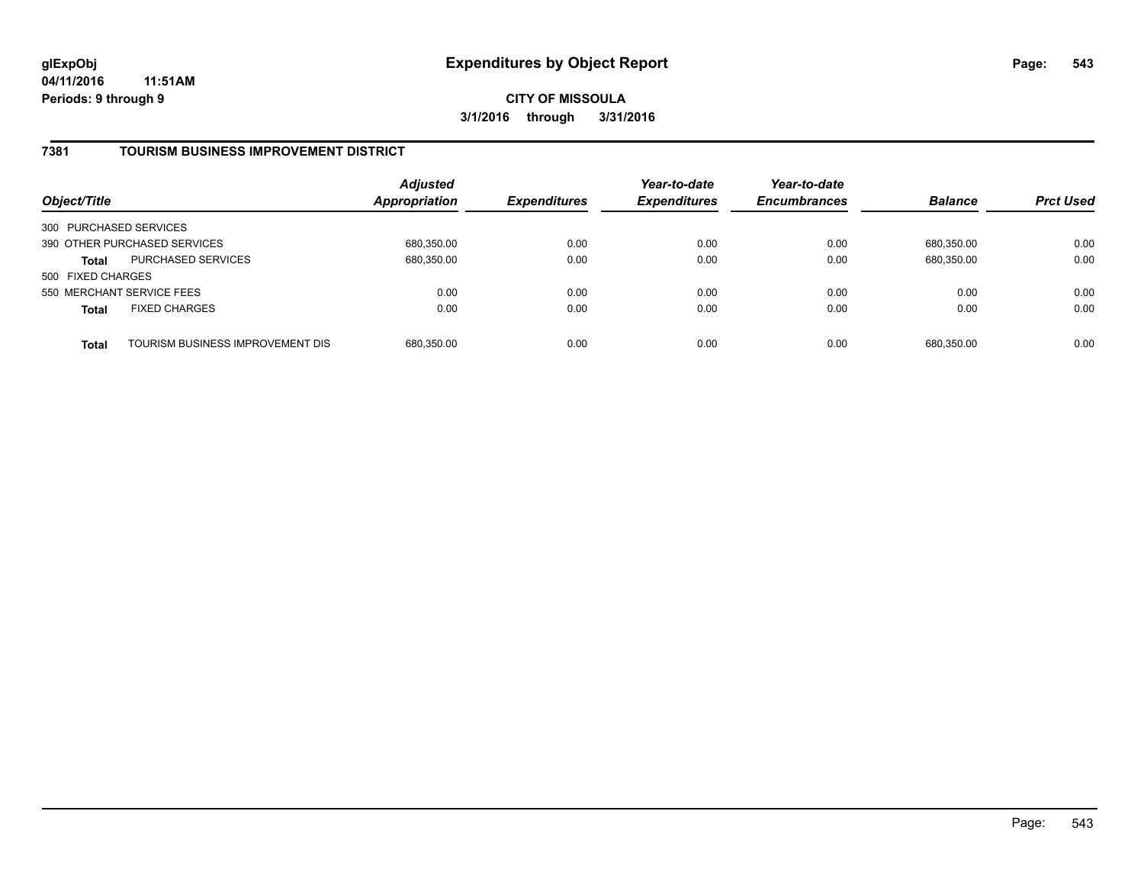## **7381 TOURISM BUSINESS IMPROVEMENT DISTRICT**

| Object/Title              |                                  | <b>Adjusted</b><br>Appropriation | <b>Expenditures</b> | Year-to-date<br><b>Expenditures</b> | Year-to-date<br><b>Encumbrances</b> | <b>Balance</b> | <b>Prct Used</b> |
|---------------------------|----------------------------------|----------------------------------|---------------------|-------------------------------------|-------------------------------------|----------------|------------------|
| 300 PURCHASED SERVICES    |                                  |                                  |                     |                                     |                                     |                |                  |
|                           | 390 OTHER PURCHASED SERVICES     | 680,350.00                       | 0.00                | 0.00                                | 0.00                                | 680.350.00     | 0.00             |
| <b>Total</b>              | <b>PURCHASED SERVICES</b>        | 680,350.00                       | 0.00                | 0.00                                | 0.00                                | 680,350.00     | 0.00             |
| 500 FIXED CHARGES         |                                  |                                  |                     |                                     |                                     |                |                  |
| 550 MERCHANT SERVICE FEES |                                  | 0.00                             | 0.00                | 0.00                                | 0.00                                | 0.00           | 0.00             |
| <b>Total</b>              | <b>FIXED CHARGES</b>             | 0.00                             | 0.00                | 0.00                                | 0.00                                | 0.00           | 0.00             |
| <b>Total</b>              | TOURISM BUSINESS IMPROVEMENT DIS | 680,350.00                       | 0.00                | 0.00                                | 0.00                                | 680,350.00     | 0.00             |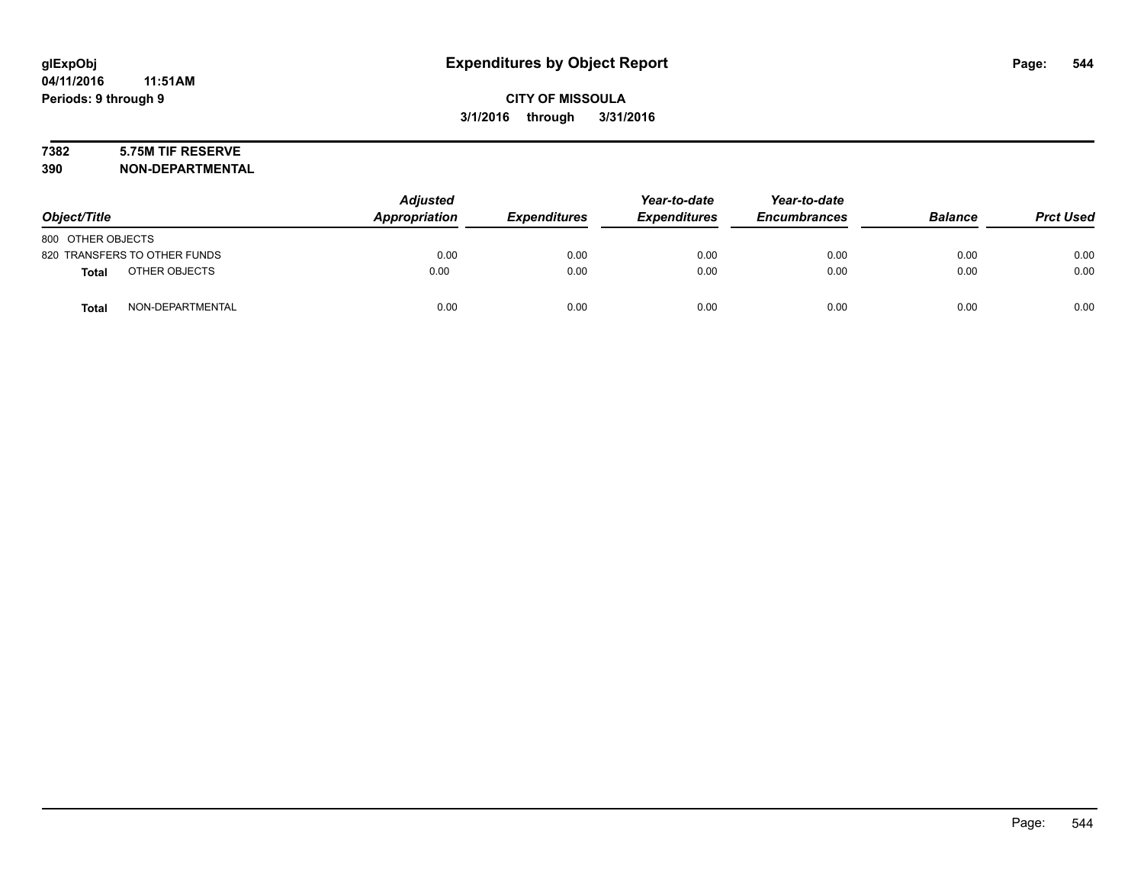# **7382 5.75M TIF RESERVE**

**390 NON-DEPARTMENTAL**

| Object/Title                 |                  | <b>Adjusted</b><br>Appropriation | <b>Expenditures</b> | Year-to-date<br><b>Expenditures</b> | Year-to-date<br><b>Encumbrances</b> | <b>Balance</b> | <b>Prct Used</b> |
|------------------------------|------------------|----------------------------------|---------------------|-------------------------------------|-------------------------------------|----------------|------------------|
| 800 OTHER OBJECTS            |                  |                                  |                     |                                     |                                     |                |                  |
| 820 TRANSFERS TO OTHER FUNDS |                  | 0.00                             | 0.00                | 0.00                                | 0.00                                | 0.00           | 0.00             |
| <b>Total</b>                 | OTHER OBJECTS    | 0.00                             | 0.00                | 0.00                                | 0.00                                | 0.00           | 0.00             |
| <b>Total</b>                 | NON-DEPARTMENTAL | 0.00                             | 0.00                | 0.00                                | 0.00                                | 0.00           | 0.00             |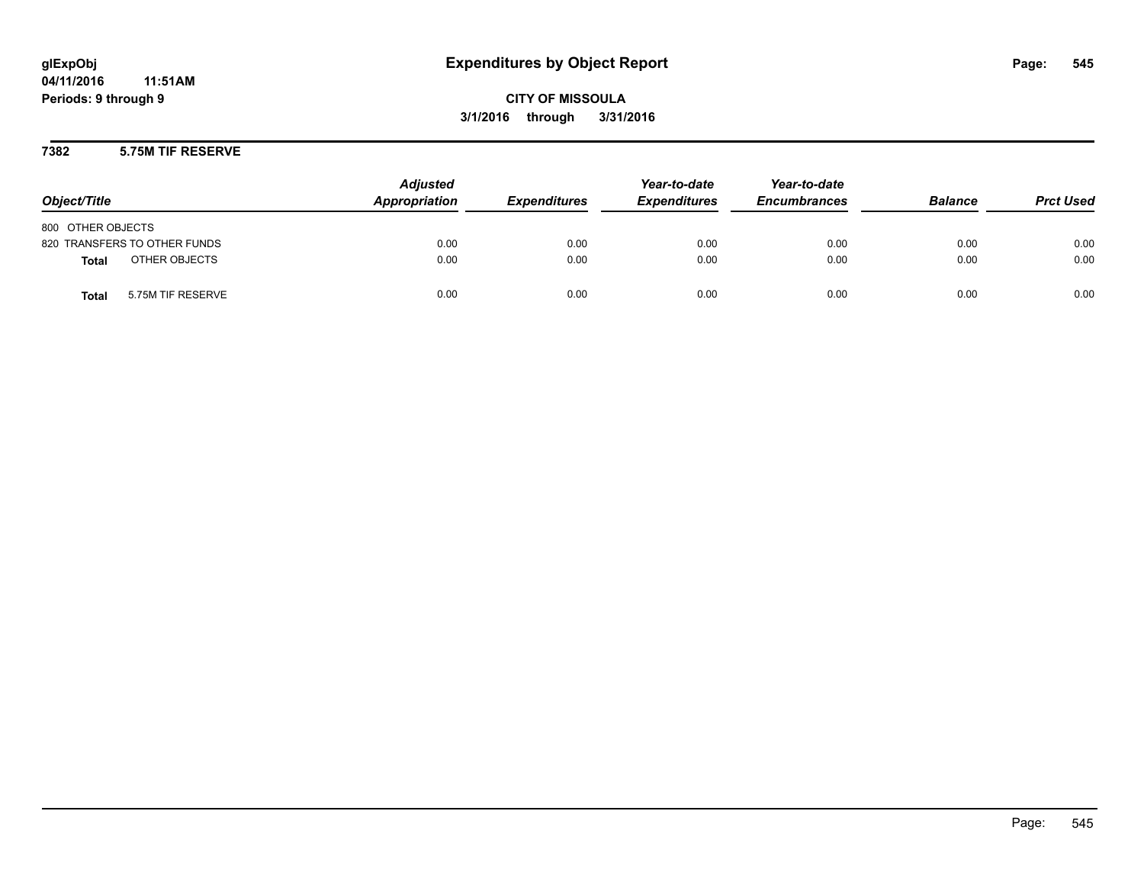**CITY OF MISSOULA 3/1/2016 through 3/31/2016**

**7382 5.75M TIF RESERVE**

| Object/Title                      | <b>Adjusted</b><br>Appropriation | <b>Expenditures</b> | Year-to-date<br><b>Expenditures</b> | Year-to-date<br><b>Encumbrances</b> | <b>Balance</b> | <b>Prct Used</b> |
|-----------------------------------|----------------------------------|---------------------|-------------------------------------|-------------------------------------|----------------|------------------|
| 800 OTHER OBJECTS                 |                                  |                     |                                     |                                     |                |                  |
| 820 TRANSFERS TO OTHER FUNDS      | 0.00                             | 0.00                | 0.00                                | 0.00                                | 0.00           | 0.00             |
| OTHER OBJECTS<br><b>Total</b>     | 0.00                             | 0.00                | 0.00                                | 0.00                                | 0.00           | 0.00             |
| <b>Total</b><br>5.75M TIF RESERVE | 0.00                             | 0.00                | 0.00                                | 0.00                                | 0.00           | 0.00             |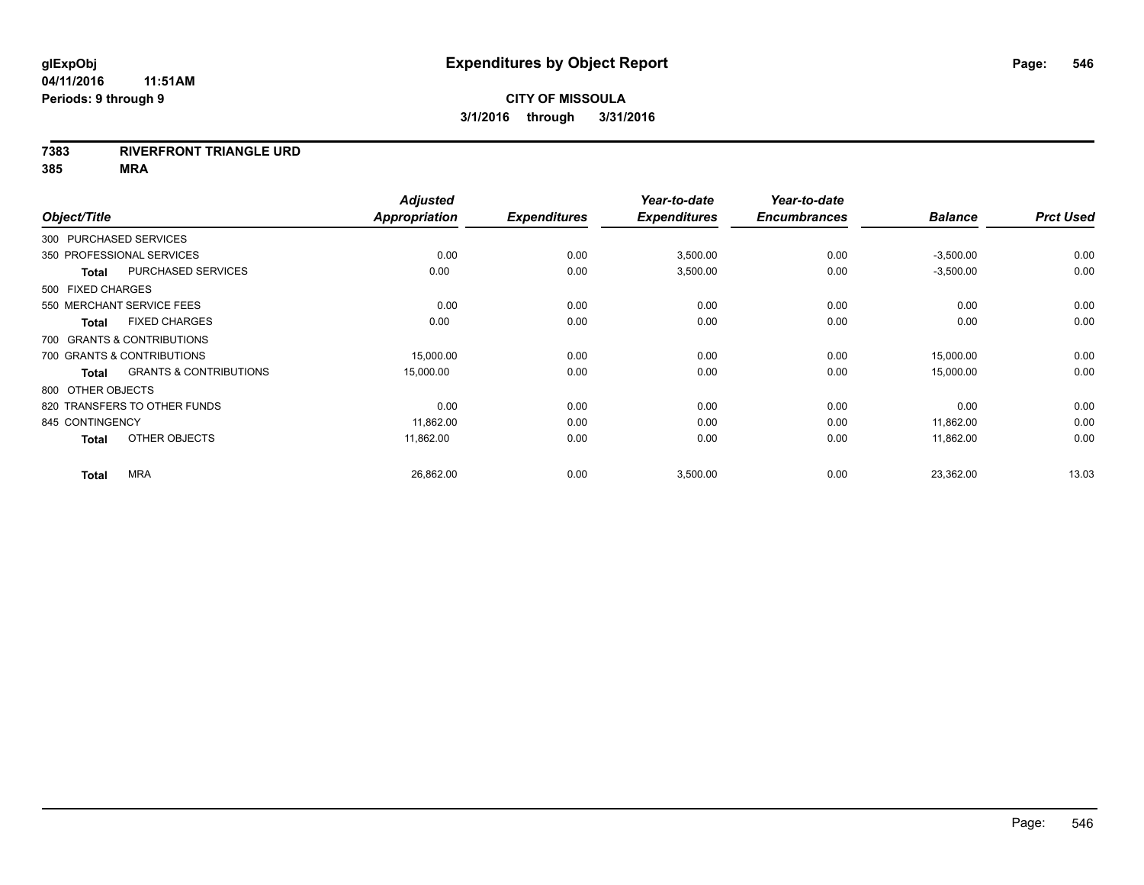#### **7383 RIVERFRONT TRIANGLE URD**

|                        |                                   | <b>Adjusted</b>      |                     | Year-to-date        | Year-to-date        |                |                  |
|------------------------|-----------------------------------|----------------------|---------------------|---------------------|---------------------|----------------|------------------|
| Object/Title           |                                   | <b>Appropriation</b> | <b>Expenditures</b> | <b>Expenditures</b> | <b>Encumbrances</b> | <b>Balance</b> | <b>Prct Used</b> |
| 300 PURCHASED SERVICES |                                   |                      |                     |                     |                     |                |                  |
|                        | 350 PROFESSIONAL SERVICES         | 0.00                 | 0.00                | 3,500.00            | 0.00                | $-3,500.00$    | 0.00             |
| <b>Total</b>           | <b>PURCHASED SERVICES</b>         | 0.00                 | 0.00                | 3,500.00            | 0.00                | $-3,500.00$    | 0.00             |
| 500 FIXED CHARGES      |                                   |                      |                     |                     |                     |                |                  |
|                        | 550 MERCHANT SERVICE FEES         | 0.00                 | 0.00                | 0.00                | 0.00                | 0.00           | 0.00             |
| <b>Total</b>           | <b>FIXED CHARGES</b>              | 0.00                 | 0.00                | 0.00                | 0.00                | 0.00           | 0.00             |
|                        | 700 GRANTS & CONTRIBUTIONS        |                      |                     |                     |                     |                |                  |
|                        | 700 GRANTS & CONTRIBUTIONS        | 15,000.00            | 0.00                | 0.00                | 0.00                | 15,000.00      | 0.00             |
| <b>Total</b>           | <b>GRANTS &amp; CONTRIBUTIONS</b> | 15,000.00            | 0.00                | 0.00                | 0.00                | 15,000.00      | 0.00             |
| 800 OTHER OBJECTS      |                                   |                      |                     |                     |                     |                |                  |
|                        | 820 TRANSFERS TO OTHER FUNDS      | 0.00                 | 0.00                | 0.00                | 0.00                | 0.00           | 0.00             |
| 845 CONTINGENCY        |                                   | 11,862.00            | 0.00                | 0.00                | 0.00                | 11,862.00      | 0.00             |
| <b>Total</b>           | OTHER OBJECTS                     | 11,862.00            | 0.00                | 0.00                | 0.00                | 11,862.00      | 0.00             |
| <b>Total</b>           | <b>MRA</b>                        | 26,862.00            | 0.00                | 3,500.00            | 0.00                | 23,362.00      | 13.03            |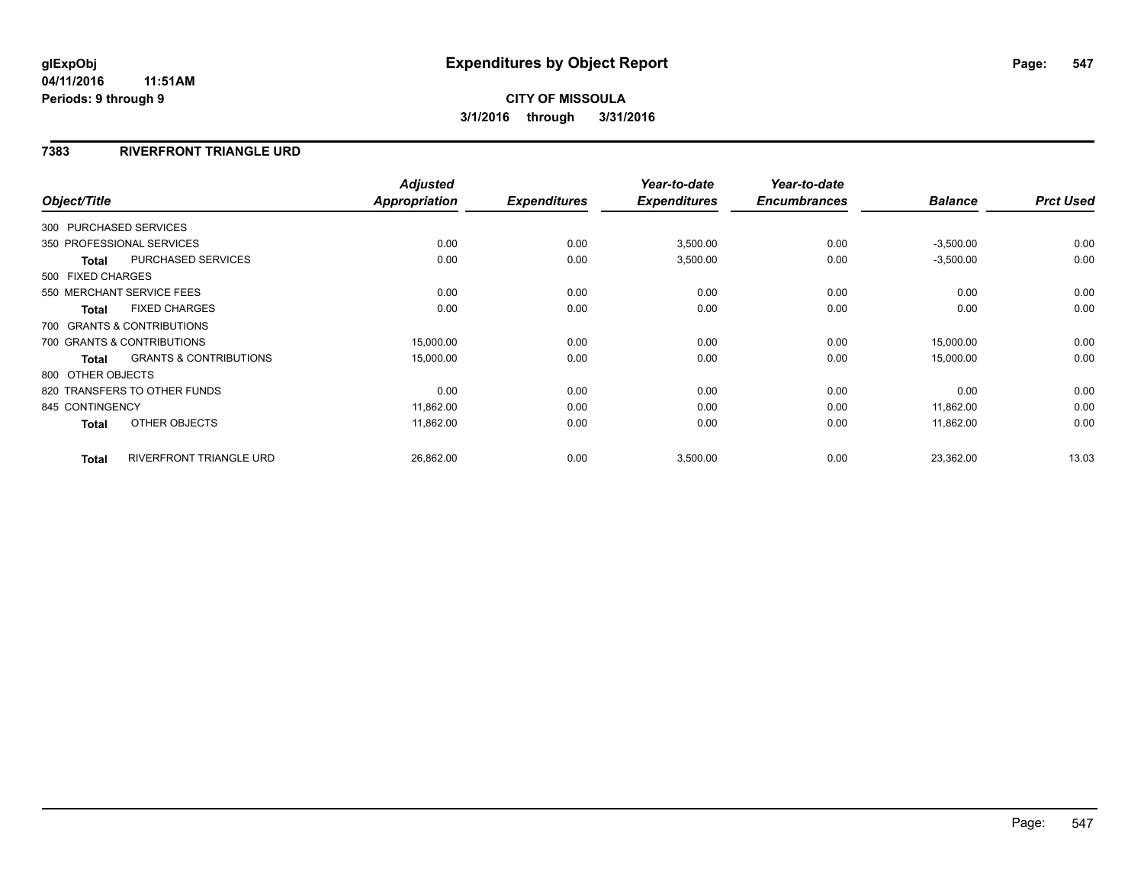### **7383 RIVERFRONT TRIANGLE URD**

|                   |                                   | <b>Adjusted</b>      |                     | Year-to-date        | Year-to-date        |                |                  |
|-------------------|-----------------------------------|----------------------|---------------------|---------------------|---------------------|----------------|------------------|
| Object/Title      |                                   | <b>Appropriation</b> | <b>Expenditures</b> | <b>Expenditures</b> | <b>Encumbrances</b> | <b>Balance</b> | <b>Prct Used</b> |
|                   | 300 PURCHASED SERVICES            |                      |                     |                     |                     |                |                  |
|                   | 350 PROFESSIONAL SERVICES         | 0.00                 | 0.00                | 3,500.00            | 0.00                | $-3,500.00$    | 0.00             |
| <b>Total</b>      | <b>PURCHASED SERVICES</b>         | 0.00                 | 0.00                | 3,500.00            | 0.00                | $-3,500.00$    | 0.00             |
| 500 FIXED CHARGES |                                   |                      |                     |                     |                     |                |                  |
|                   | 550 MERCHANT SERVICE FEES         | 0.00                 | 0.00                | 0.00                | 0.00                | 0.00           | 0.00             |
| <b>Total</b>      | <b>FIXED CHARGES</b>              | 0.00                 | 0.00                | 0.00                | 0.00                | 0.00           | 0.00             |
|                   | 700 GRANTS & CONTRIBUTIONS        |                      |                     |                     |                     |                |                  |
|                   | 700 GRANTS & CONTRIBUTIONS        | 15,000.00            | 0.00                | 0.00                | 0.00                | 15,000.00      | 0.00             |
| <b>Total</b>      | <b>GRANTS &amp; CONTRIBUTIONS</b> | 15,000.00            | 0.00                | 0.00                | 0.00                | 15,000.00      | 0.00             |
| 800 OTHER OBJECTS |                                   |                      |                     |                     |                     |                |                  |
|                   | 820 TRANSFERS TO OTHER FUNDS      | 0.00                 | 0.00                | 0.00                | 0.00                | 0.00           | 0.00             |
| 845 CONTINGENCY   |                                   | 11,862.00            | 0.00                | 0.00                | 0.00                | 11,862.00      | 0.00             |
| <b>Total</b>      | OTHER OBJECTS                     | 11,862.00            | 0.00                | 0.00                | 0.00                | 11,862.00      | 0.00             |
| <b>Total</b>      | RIVERFRONT TRIANGLE URD           | 26,862.00            | 0.00                | 3,500.00            | 0.00                | 23,362.00      | 13.03            |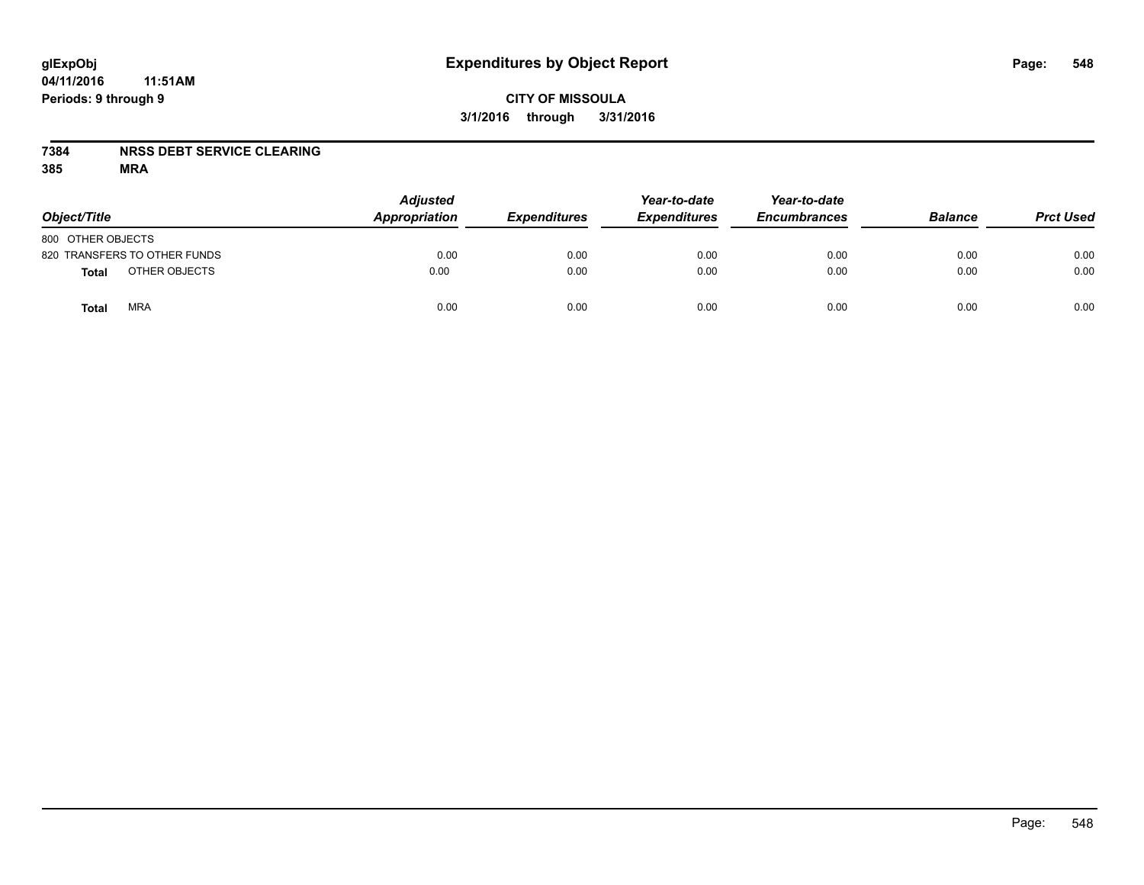# **CITY OF MISSOULA 3/1/2016 through 3/31/2016**

### **7384 NRSS DEBT SERVICE CLEARING**

| Object/Title                 | <b>Adjusted</b><br>Appropriation | <b>Expenditures</b> | Year-to-date<br><b>Expenditures</b> | Year-to-date<br><b>Encumbrances</b> | <b>Balance</b> | <b>Prct Used</b> |
|------------------------------|----------------------------------|---------------------|-------------------------------------|-------------------------------------|----------------|------------------|
| 800 OTHER OBJECTS            |                                  |                     |                                     |                                     |                |                  |
| 820 TRANSFERS TO OTHER FUNDS | 0.00                             | 0.00                | 0.00                                | 0.00                                | 0.00           | 0.00             |
| OTHER OBJECTS<br>Total       | 0.00                             | 0.00                | 0.00                                | 0.00                                | 0.00           | 0.00             |
| <b>MRA</b><br><b>Total</b>   | 0.00                             | 0.00                | 0.00                                | 0.00                                | 0.00           | 0.00             |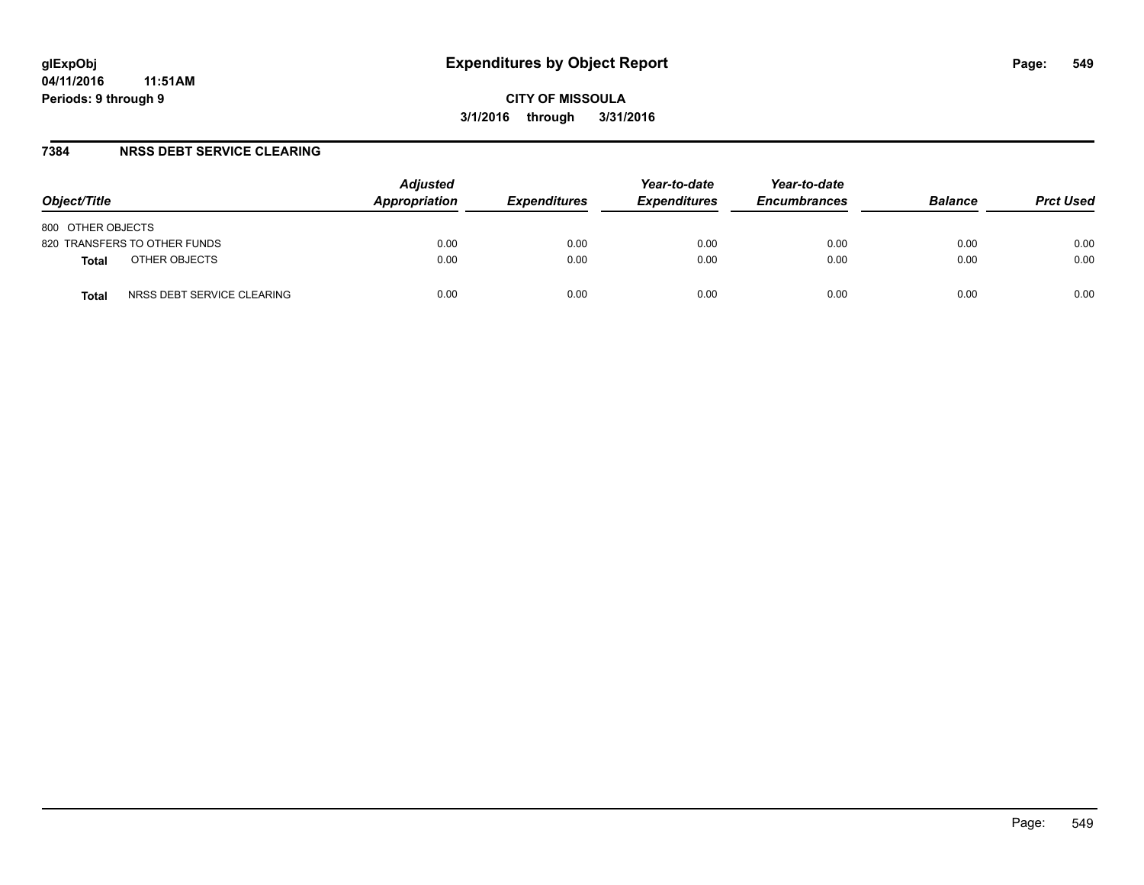### **7384 NRSS DEBT SERVICE CLEARING**

| Object/Title                        | <b>Adjusted</b><br>Appropriation | <i><b>Expenditures</b></i> | Year-to-date<br><b>Expenditures</b> | Year-to-date<br><b>Encumbrances</b> | <b>Balance</b> | <b>Prct Used</b> |
|-------------------------------------|----------------------------------|----------------------------|-------------------------------------|-------------------------------------|----------------|------------------|
| 800 OTHER OBJECTS                   |                                  |                            |                                     |                                     |                |                  |
| 820 TRANSFERS TO OTHER FUNDS        | 0.00                             | 0.00                       | 0.00                                | 0.00                                | 0.00           | 0.00             |
| OTHER OBJECTS<br><b>Total</b>       | 0.00                             | 0.00                       | 0.00                                | 0.00                                | 0.00           | 0.00             |
| NRSS DEBT SERVICE CLEARING<br>Total | 0.00                             | 0.00                       | 0.00                                | 0.00                                | 0.00           | 0.00             |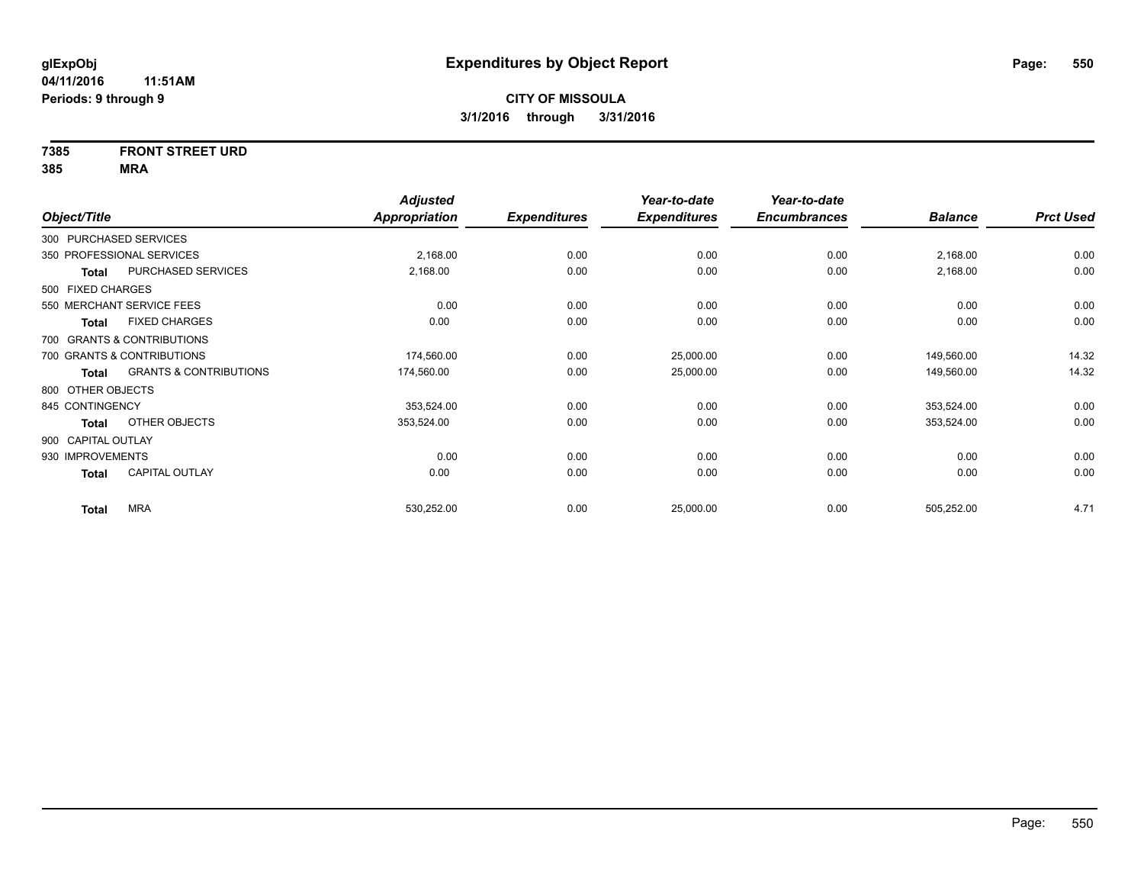# **7385 FRONT STREET URD**

|                    |                                   | <b>Adjusted</b> |                     | Year-to-date        | Year-to-date        |                |                  |
|--------------------|-----------------------------------|-----------------|---------------------|---------------------|---------------------|----------------|------------------|
| Object/Title       |                                   | Appropriation   | <b>Expenditures</b> | <b>Expenditures</b> | <b>Encumbrances</b> | <b>Balance</b> | <b>Prct Used</b> |
|                    | 300 PURCHASED SERVICES            |                 |                     |                     |                     |                |                  |
|                    | 350 PROFESSIONAL SERVICES         | 2,168.00        | 0.00                | 0.00                | 0.00                | 2,168.00       | 0.00             |
| Total              | PURCHASED SERVICES                | 2,168.00        | 0.00                | 0.00                | 0.00                | 2,168.00       | 0.00             |
| 500 FIXED CHARGES  |                                   |                 |                     |                     |                     |                |                  |
|                    | 550 MERCHANT SERVICE FEES         | 0.00            | 0.00                | 0.00                | 0.00                | 0.00           | 0.00             |
| <b>Total</b>       | <b>FIXED CHARGES</b>              | 0.00            | 0.00                | 0.00                | 0.00                | 0.00           | 0.00             |
|                    | 700 GRANTS & CONTRIBUTIONS        |                 |                     |                     |                     |                |                  |
|                    | 700 GRANTS & CONTRIBUTIONS        | 174,560.00      | 0.00                | 25,000.00           | 0.00                | 149,560.00     | 14.32            |
| Total              | <b>GRANTS &amp; CONTRIBUTIONS</b> | 174,560.00      | 0.00                | 25,000.00           | 0.00                | 149,560.00     | 14.32            |
| 800 OTHER OBJECTS  |                                   |                 |                     |                     |                     |                |                  |
| 845 CONTINGENCY    |                                   | 353,524.00      | 0.00                | 0.00                | 0.00                | 353,524.00     | 0.00             |
| Total              | OTHER OBJECTS                     | 353,524.00      | 0.00                | 0.00                | 0.00                | 353,524.00     | 0.00             |
| 900 CAPITAL OUTLAY |                                   |                 |                     |                     |                     |                |                  |
| 930 IMPROVEMENTS   |                                   | 0.00            | 0.00                | 0.00                | 0.00                | 0.00           | 0.00             |
| <b>Total</b>       | <b>CAPITAL OUTLAY</b>             | 0.00            | 0.00                | 0.00                | 0.00                | 0.00           | 0.00             |
| <b>Total</b>       | <b>MRA</b>                        | 530,252.00      | 0.00                | 25,000.00           | 0.00                | 505,252.00     | 4.71             |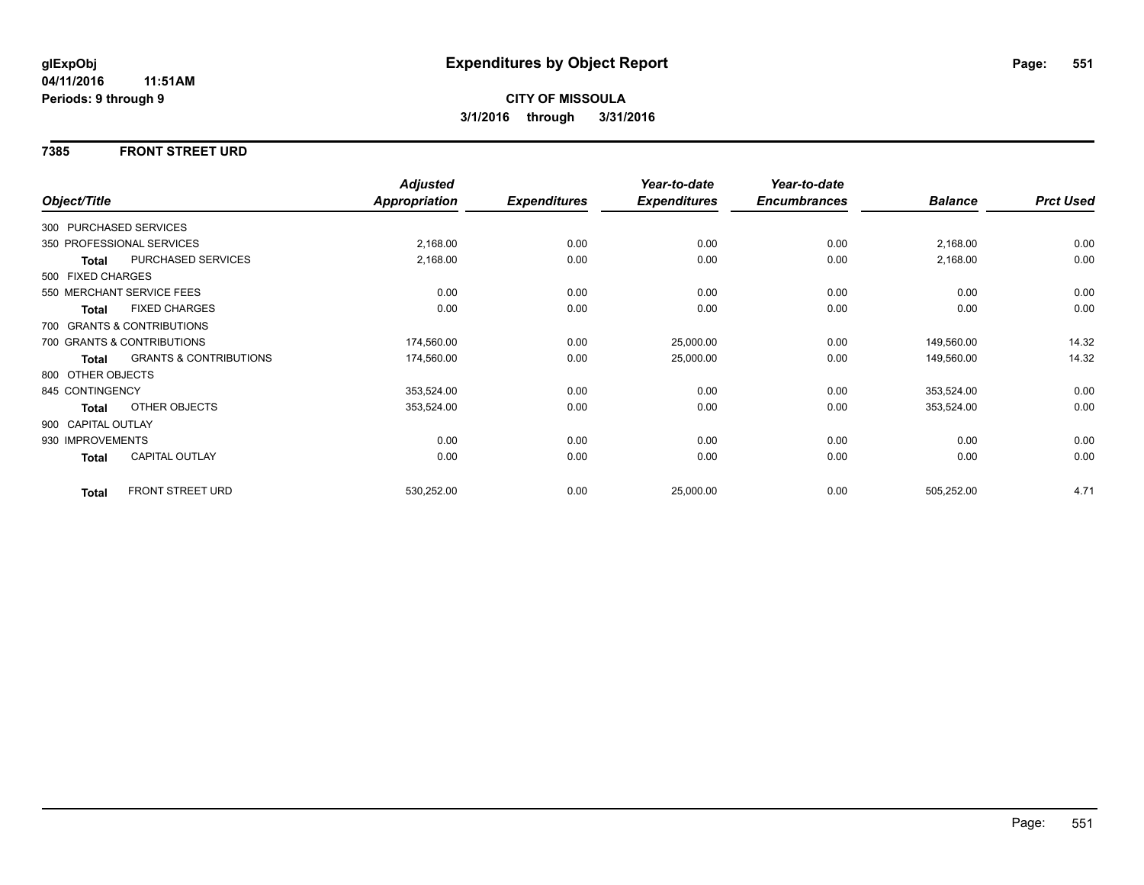### **7385 FRONT STREET URD**

|                        |                                   | <b>Adjusted</b> |                     | Year-to-date        | Year-to-date        |                |                  |
|------------------------|-----------------------------------|-----------------|---------------------|---------------------|---------------------|----------------|------------------|
| Object/Title           |                                   | Appropriation   | <b>Expenditures</b> | <b>Expenditures</b> | <b>Encumbrances</b> | <b>Balance</b> | <b>Prct Used</b> |
| 300 PURCHASED SERVICES |                                   |                 |                     |                     |                     |                |                  |
|                        | 350 PROFESSIONAL SERVICES         | 2,168.00        | 0.00                | 0.00                | 0.00                | 2,168.00       | 0.00             |
| Total                  | PURCHASED SERVICES                | 2,168.00        | 0.00                | 0.00                | 0.00                | 2,168.00       | 0.00             |
| 500 FIXED CHARGES      |                                   |                 |                     |                     |                     |                |                  |
|                        | 550 MERCHANT SERVICE FEES         | 0.00            | 0.00                | 0.00                | 0.00                | 0.00           | 0.00             |
| <b>Total</b>           | <b>FIXED CHARGES</b>              | 0.00            | 0.00                | 0.00                | 0.00                | 0.00           | 0.00             |
|                        | 700 GRANTS & CONTRIBUTIONS        |                 |                     |                     |                     |                |                  |
|                        | 700 GRANTS & CONTRIBUTIONS        | 174,560.00      | 0.00                | 25,000.00           | 0.00                | 149,560.00     | 14.32            |
| Total                  | <b>GRANTS &amp; CONTRIBUTIONS</b> | 174,560.00      | 0.00                | 25,000.00           | 0.00                | 149,560.00     | 14.32            |
| 800 OTHER OBJECTS      |                                   |                 |                     |                     |                     |                |                  |
| 845 CONTINGENCY        |                                   | 353,524.00      | 0.00                | 0.00                | 0.00                | 353,524.00     | 0.00             |
| <b>Total</b>           | OTHER OBJECTS                     | 353,524.00      | 0.00                | 0.00                | 0.00                | 353,524.00     | 0.00             |
| 900 CAPITAL OUTLAY     |                                   |                 |                     |                     |                     |                |                  |
| 930 IMPROVEMENTS       |                                   | 0.00            | 0.00                | 0.00                | 0.00                | 0.00           | 0.00             |
| <b>Total</b>           | CAPITAL OUTLAY                    | 0.00            | 0.00                | 0.00                | 0.00                | 0.00           | 0.00             |
| <b>Total</b>           | FRONT STREET URD                  | 530,252.00      | 0.00                | 25,000.00           | 0.00                | 505,252.00     | 4.71             |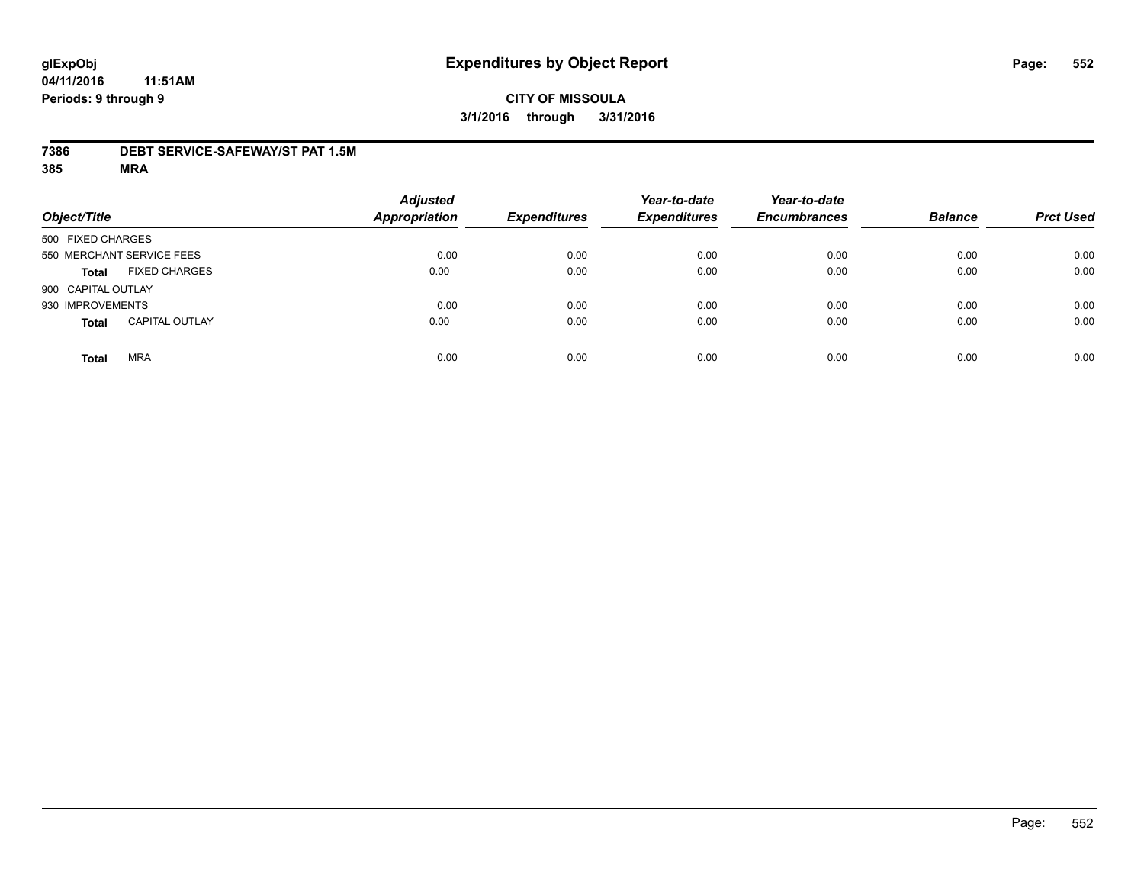# **CITY OF MISSOULA 3/1/2016 through 3/31/2016**

### **7386 DEBT SERVICE-SAFEWAY/ST PAT 1.5M**

| Object/Title              |                       | <b>Adjusted</b><br><b>Appropriation</b> | <b>Expenditures</b> | Year-to-date<br><b>Expenditures</b> | Year-to-date<br><b>Encumbrances</b> | <b>Balance</b> | <b>Prct Used</b> |
|---------------------------|-----------------------|-----------------------------------------|---------------------|-------------------------------------|-------------------------------------|----------------|------------------|
| 500 FIXED CHARGES         |                       |                                         |                     |                                     |                                     |                |                  |
| 550 MERCHANT SERVICE FEES |                       | 0.00                                    | 0.00                | 0.00                                | 0.00                                | 0.00           | 0.00             |
| <b>Total</b>              | <b>FIXED CHARGES</b>  | 0.00                                    | 0.00                | 0.00                                | 0.00                                | 0.00           | 0.00             |
| 900 CAPITAL OUTLAY        |                       |                                         |                     |                                     |                                     |                |                  |
| 930 IMPROVEMENTS          |                       | 0.00                                    | 0.00                | 0.00                                | 0.00                                | 0.00           | 0.00             |
| <b>Total</b>              | <b>CAPITAL OUTLAY</b> | 0.00                                    | 0.00                | 0.00                                | 0.00                                | 0.00           | 0.00             |
| <b>Total</b>              | <b>MRA</b>            | 0.00                                    | 0.00                | 0.00                                | 0.00                                | 0.00           | 0.00             |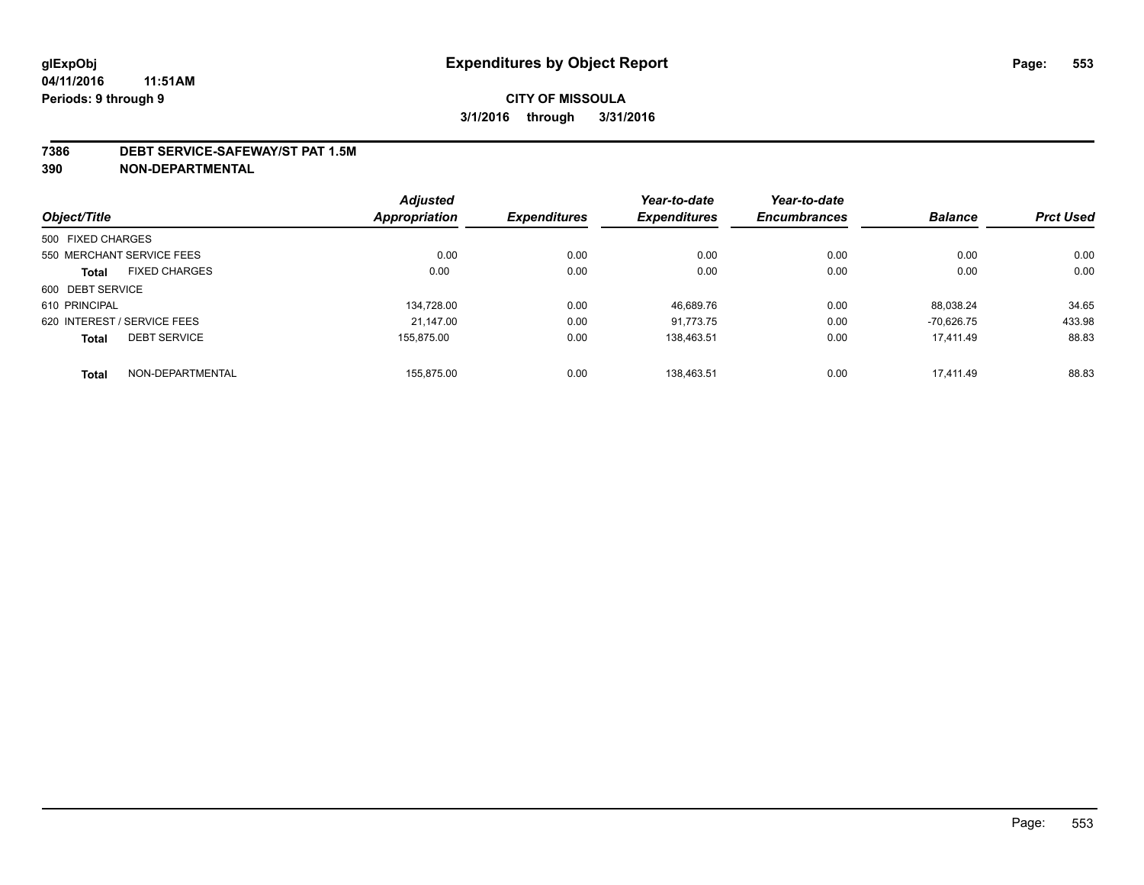#### **7386 DEBT SERVICE-SAFEWAY/ST PAT 1.5M**

**390 NON-DEPARTMENTAL**

|                   |                             | <b>Adjusted</b> |                     | Year-to-date        | Year-to-date        |                |                  |
|-------------------|-----------------------------|-----------------|---------------------|---------------------|---------------------|----------------|------------------|
| Object/Title      |                             | Appropriation   | <b>Expenditures</b> | <b>Expenditures</b> | <b>Encumbrances</b> | <b>Balance</b> | <b>Prct Used</b> |
| 500 FIXED CHARGES |                             |                 |                     |                     |                     |                |                  |
|                   | 550 MERCHANT SERVICE FEES   | 0.00            | 0.00                | 0.00                | 0.00                | 0.00           | 0.00             |
| <b>Total</b>      | <b>FIXED CHARGES</b>        | 0.00            | 0.00                | 0.00                | 0.00                | 0.00           | 0.00             |
| 600 DEBT SERVICE  |                             |                 |                     |                     |                     |                |                  |
| 610 PRINCIPAL     |                             | 134,728.00      | 0.00                | 46,689.76           | 0.00                | 88.038.24      | 34.65            |
|                   | 620 INTEREST / SERVICE FEES | 21.147.00       | 0.00                | 91.773.75           | 0.00                | $-70.626.75$   | 433.98           |
| <b>Total</b>      | <b>DEBT SERVICE</b>         | 155.875.00      | 0.00                | 138.463.51          | 0.00                | 17.411.49      | 88.83            |
| <b>Total</b>      | NON-DEPARTMENTAL            | 155.875.00      | 0.00                | 138.463.51          | 0.00                | 17.411.49      | 88.83            |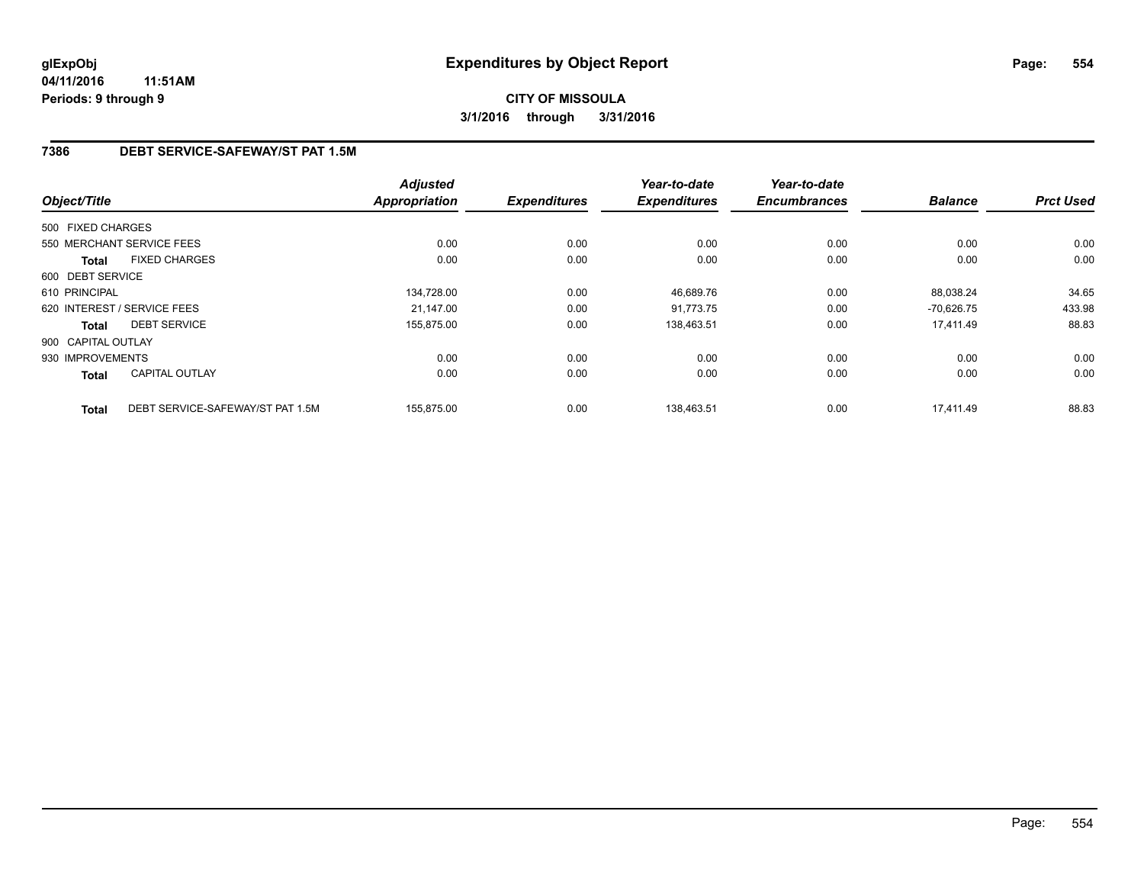## **7386 DEBT SERVICE-SAFEWAY/ST PAT 1.5M**

| Object/Title       |                                  | <b>Adjusted</b><br><b>Appropriation</b> | <b>Expenditures</b> | Year-to-date<br><b>Expenditures</b> | Year-to-date<br><b>Encumbrances</b> | <b>Balance</b> | <b>Prct Used</b> |
|--------------------|----------------------------------|-----------------------------------------|---------------------|-------------------------------------|-------------------------------------|----------------|------------------|
|                    |                                  |                                         |                     |                                     |                                     |                |                  |
| 500 FIXED CHARGES  |                                  |                                         |                     |                                     |                                     |                |                  |
|                    | 550 MERCHANT SERVICE FEES        | 0.00                                    | 0.00                | 0.00                                | 0.00                                | 0.00           | 0.00             |
| <b>Total</b>       | <b>FIXED CHARGES</b>             | 0.00                                    | 0.00                | 0.00                                | 0.00                                | 0.00           | 0.00             |
| 600 DEBT SERVICE   |                                  |                                         |                     |                                     |                                     |                |                  |
| 610 PRINCIPAL      |                                  | 134.728.00                              | 0.00                | 46,689.76                           | 0.00                                | 88.038.24      | 34.65            |
|                    | 620 INTEREST / SERVICE FEES      | 21,147.00                               | 0.00                | 91,773.75                           | 0.00                                | $-70,626.75$   | 433.98           |
| <b>Total</b>       | <b>DEBT SERVICE</b>              | 155,875.00                              | 0.00                | 138,463.51                          | 0.00                                | 17,411.49      | 88.83            |
| 900 CAPITAL OUTLAY |                                  |                                         |                     |                                     |                                     |                |                  |
| 930 IMPROVEMENTS   |                                  | 0.00                                    | 0.00                | 0.00                                | 0.00                                | 0.00           | 0.00             |
| Total              | <b>CAPITAL OUTLAY</b>            | 0.00                                    | 0.00                | 0.00                                | 0.00                                | 0.00           | 0.00             |
| <b>Total</b>       | DEBT SERVICE-SAFEWAY/ST PAT 1.5M | 155.875.00                              | 0.00                | 138.463.51                          | 0.00                                | 17.411.49      | 88.83            |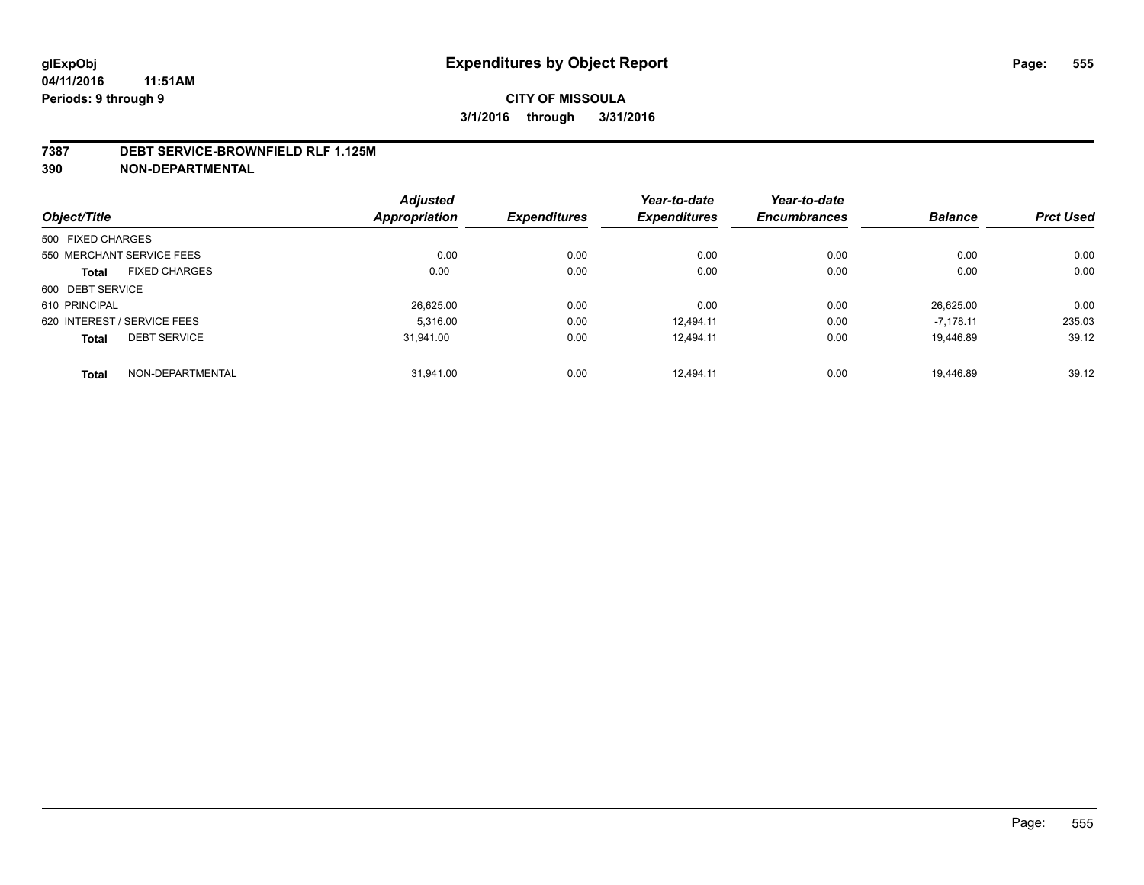#### **7387 DEBT SERVICE-BROWNFIELD RLF 1.125M**

**390 NON-DEPARTMENTAL**

|                                      | <b>Adjusted</b> |                     | Year-to-date        | Year-to-date        |                |                  |
|--------------------------------------|-----------------|---------------------|---------------------|---------------------|----------------|------------------|
| Object/Title                         | Appropriation   | <b>Expenditures</b> | <b>Expenditures</b> | <b>Encumbrances</b> | <b>Balance</b> | <b>Prct Used</b> |
| 500 FIXED CHARGES                    |                 |                     |                     |                     |                |                  |
| 550 MERCHANT SERVICE FEES            | 0.00            | 0.00                | 0.00                | 0.00                | 0.00           | 0.00             |
| <b>FIXED CHARGES</b><br><b>Total</b> | 0.00            | 0.00                | 0.00                | 0.00                | 0.00           | 0.00             |
| 600 DEBT SERVICE                     |                 |                     |                     |                     |                |                  |
| 610 PRINCIPAL                        | 26,625.00       | 0.00                | 0.00                | 0.00                | 26.625.00      | 0.00             |
| 620 INTEREST / SERVICE FEES          | 5.316.00        | 0.00                | 12.494.11           | 0.00                | $-7.178.11$    | 235.03           |
| <b>DEBT SERVICE</b><br><b>Total</b>  | 31,941.00       | 0.00                | 12.494.11           | 0.00                | 19.446.89      | 39.12            |
| NON-DEPARTMENTAL<br><b>Total</b>     | 31.941.00       | 0.00                | 12.494.11           | 0.00                | 19.446.89      | 39.12            |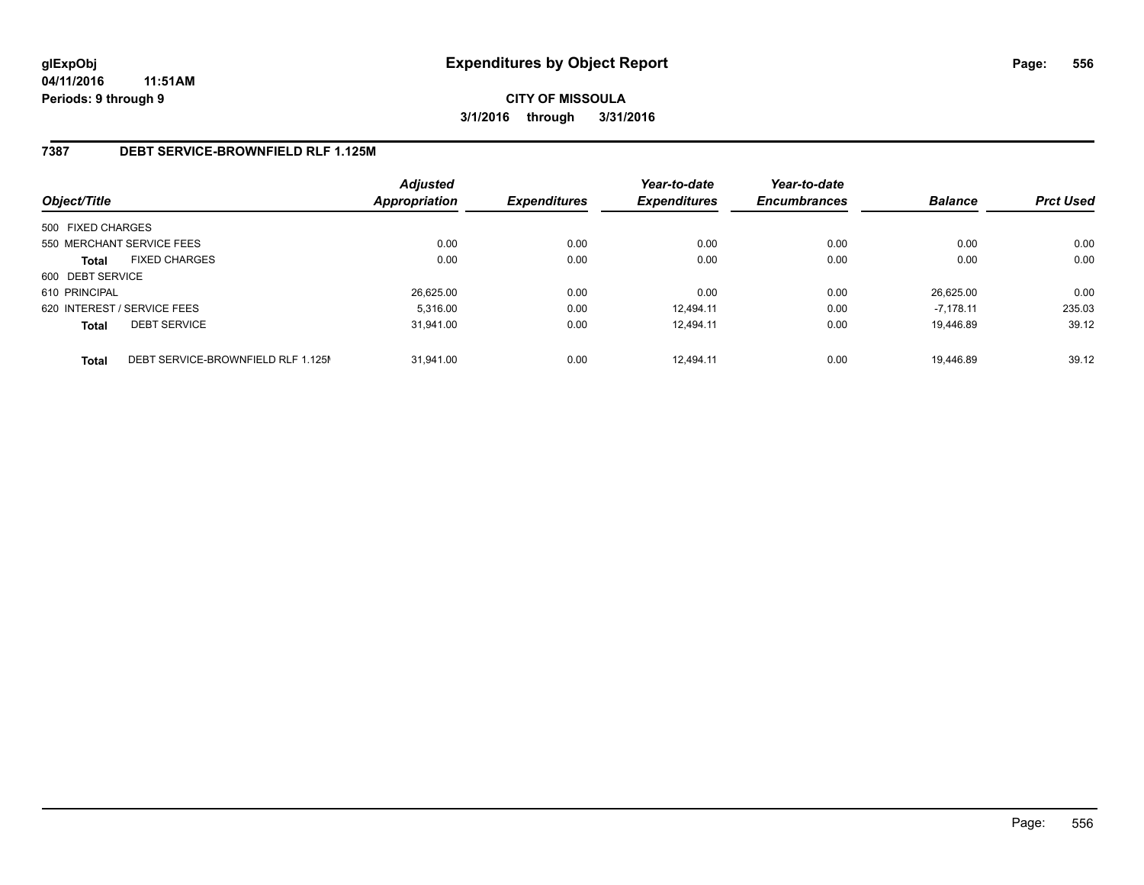## **7387 DEBT SERVICE-BROWNFIELD RLF 1.125M**

| Object/Title                |                                    | <b>Adjusted</b><br>Appropriation | <b>Expenditures</b> | Year-to-date<br><b>Expenditures</b> | Year-to-date<br><b>Encumbrances</b> | <b>Balance</b> | <b>Prct Used</b> |
|-----------------------------|------------------------------------|----------------------------------|---------------------|-------------------------------------|-------------------------------------|----------------|------------------|
| 500 FIXED CHARGES           |                                    |                                  |                     |                                     |                                     |                |                  |
| 550 MERCHANT SERVICE FEES   |                                    | 0.00                             | 0.00                | 0.00                                | 0.00                                | 0.00           | 0.00             |
| <b>Total</b>                | <b>FIXED CHARGES</b>               | 0.00                             | 0.00                | 0.00                                | 0.00                                | 0.00           | 0.00             |
| 600 DEBT SERVICE            |                                    |                                  |                     |                                     |                                     |                |                  |
| 610 PRINCIPAL               |                                    | 26,625.00                        | 0.00                | 0.00                                | 0.00                                | 26.625.00      | 0.00             |
| 620 INTEREST / SERVICE FEES |                                    | 5.316.00                         | 0.00                | 12.494.11                           | 0.00                                | $-7.178.11$    | 235.03           |
| <b>Total</b>                | <b>DEBT SERVICE</b>                | 31.941.00                        | 0.00                | 12.494.11                           | 0.00                                | 19.446.89      | 39.12            |
| <b>Total</b>                | DEBT SERVICE-BROWNFIELD RLF 1.125M | 31.941.00                        | 0.00                | 12.494.11                           | 0.00                                | 19.446.89      | 39.12            |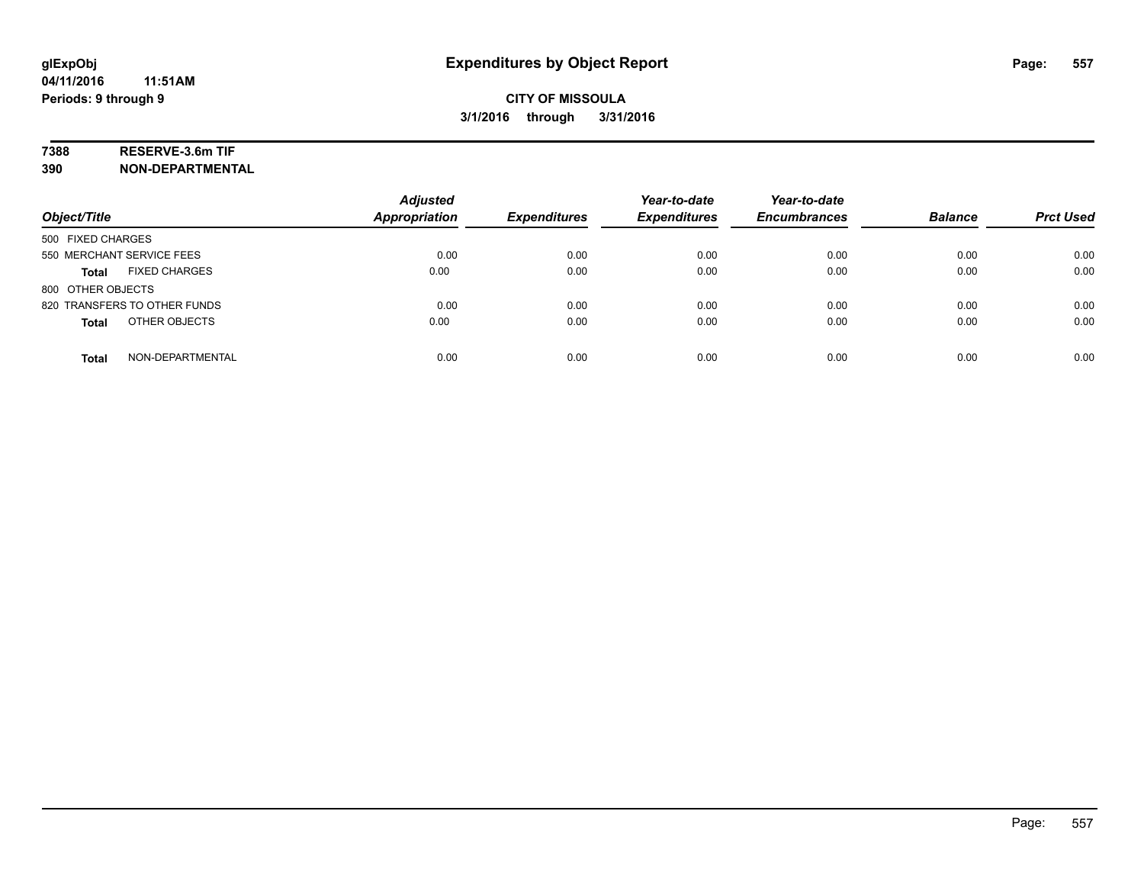# **7388 RESERVE-3.6m TIF**

**390 NON-DEPARTMENTAL**

| Object/Title                     | <b>Adjusted</b><br><b>Appropriation</b> | <b>Expenditures</b> | Year-to-date<br><b>Expenditures</b> | Year-to-date<br><b>Encumbrances</b> | <b>Balance</b> | <b>Prct Used</b> |
|----------------------------------|-----------------------------------------|---------------------|-------------------------------------|-------------------------------------|----------------|------------------|
| 500 FIXED CHARGES                |                                         |                     |                                     |                                     |                |                  |
| 550 MERCHANT SERVICE FEES        | 0.00                                    | 0.00                | 0.00                                | 0.00                                | 0.00           | 0.00             |
| <b>FIXED CHARGES</b><br>Total    | 0.00                                    | 0.00                | 0.00                                | 0.00                                | 0.00           | 0.00             |
| 800 OTHER OBJECTS                |                                         |                     |                                     |                                     |                |                  |
| 820 TRANSFERS TO OTHER FUNDS     | 0.00                                    | 0.00                | 0.00                                | 0.00                                | 0.00           | 0.00             |
| OTHER OBJECTS<br><b>Total</b>    | 0.00                                    | 0.00                | 0.00                                | 0.00                                | 0.00           | 0.00             |
| NON-DEPARTMENTAL<br><b>Total</b> | 0.00                                    | 0.00                | 0.00                                | 0.00                                | 0.00           | 0.00             |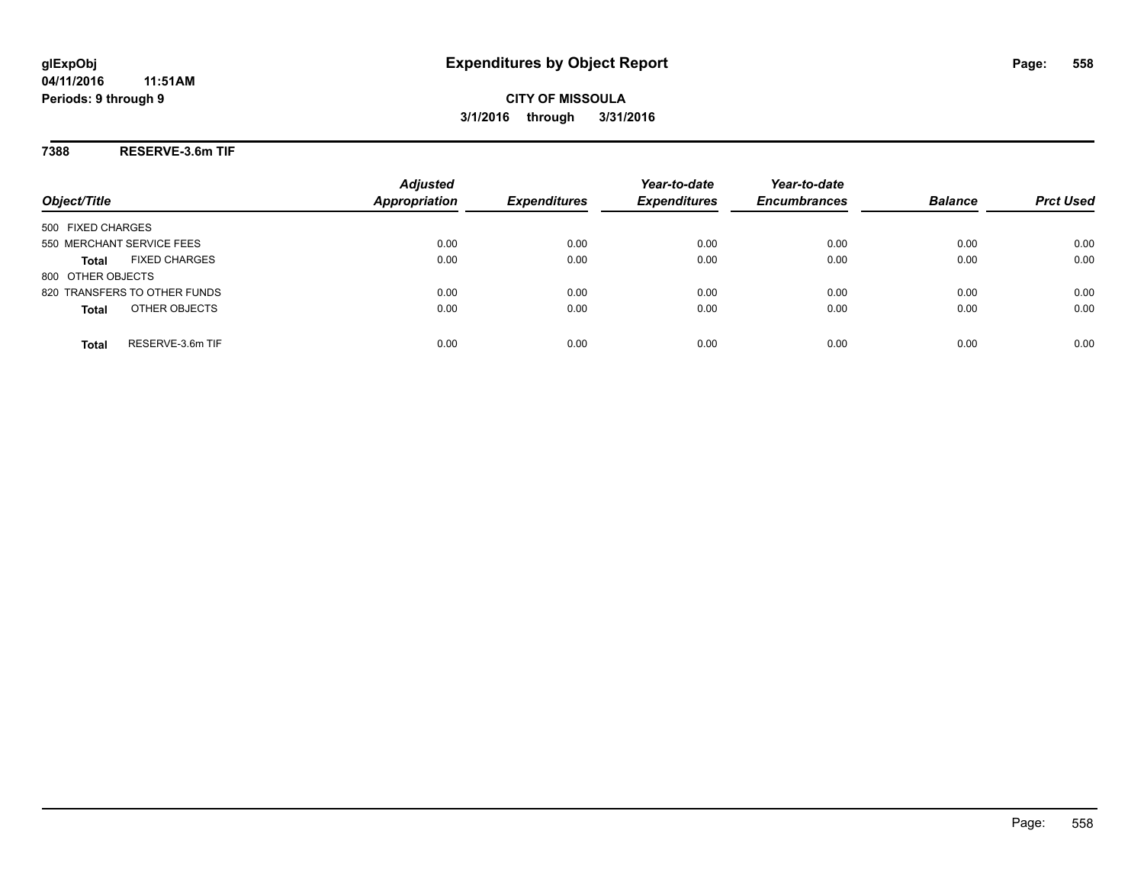### **7388 RESERVE-3.6m TIF**

| Object/Title                         | <b>Adjusted</b><br><b>Appropriation</b> | <b>Expenditures</b> | Year-to-date<br><b>Expenditures</b> | Year-to-date<br><b>Encumbrances</b> | <b>Balance</b> | <b>Prct Used</b> |
|--------------------------------------|-----------------------------------------|---------------------|-------------------------------------|-------------------------------------|----------------|------------------|
| 500 FIXED CHARGES                    |                                         |                     |                                     |                                     |                |                  |
| 550 MERCHANT SERVICE FEES            | 0.00                                    | 0.00                | 0.00                                | 0.00                                | 0.00           | 0.00             |
| <b>FIXED CHARGES</b><br><b>Total</b> | 0.00                                    | 0.00                | 0.00                                | 0.00                                | 0.00           | 0.00             |
| 800 OTHER OBJECTS                    |                                         |                     |                                     |                                     |                |                  |
| 820 TRANSFERS TO OTHER FUNDS         | 0.00                                    | 0.00                | 0.00                                | 0.00                                | 0.00           | 0.00             |
| OTHER OBJECTS<br><b>Total</b>        | 0.00                                    | 0.00                | 0.00                                | 0.00                                | 0.00           | 0.00             |
| RESERVE-3.6m TIF<br><b>Total</b>     | 0.00                                    | 0.00                | 0.00                                | 0.00                                | 0.00           | 0.00             |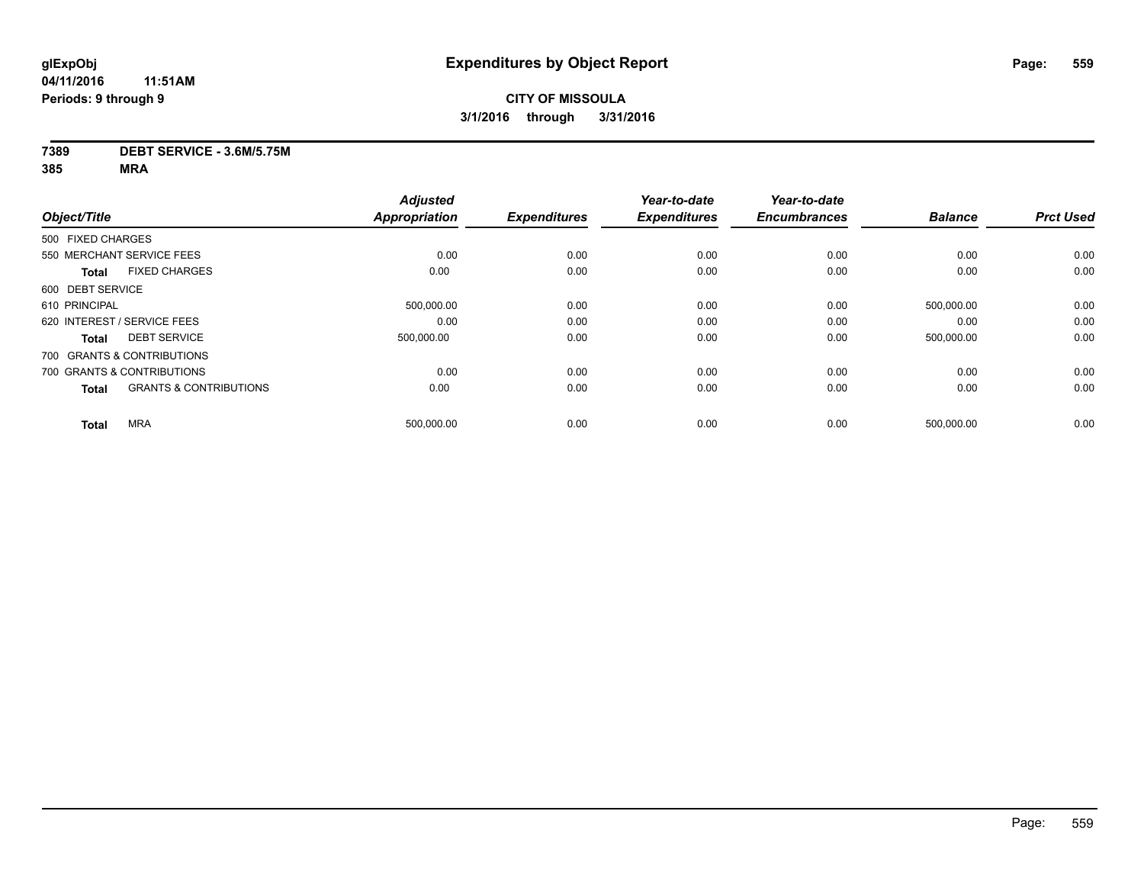# **CITY OF MISSOULA 3/1/2016 through 3/31/2016**

#### **7389 DEBT SERVICE - 3.6M/5.75M**

|                                                   | <b>Adjusted</b>      |                     | Year-to-date        | Year-to-date        |                |                  |
|---------------------------------------------------|----------------------|---------------------|---------------------|---------------------|----------------|------------------|
| Object/Title                                      | <b>Appropriation</b> | <b>Expenditures</b> | <b>Expenditures</b> | <b>Encumbrances</b> | <b>Balance</b> | <b>Prct Used</b> |
| 500 FIXED CHARGES                                 |                      |                     |                     |                     |                |                  |
| 550 MERCHANT SERVICE FEES                         | 0.00                 | 0.00                | 0.00                | 0.00                | 0.00           | 0.00             |
| <b>FIXED CHARGES</b><br><b>Total</b>              | 0.00                 | 0.00                | 0.00                | 0.00                | 0.00           | 0.00             |
| 600 DEBT SERVICE                                  |                      |                     |                     |                     |                |                  |
| 610 PRINCIPAL                                     | 500,000.00           | 0.00                | 0.00                | 0.00                | 500,000.00     | 0.00             |
| 620 INTEREST / SERVICE FEES                       | 0.00                 | 0.00                | 0.00                | 0.00                | 0.00           | 0.00             |
| <b>DEBT SERVICE</b><br><b>Total</b>               | 500,000.00           | 0.00                | 0.00                | 0.00                | 500,000.00     | 0.00             |
| 700 GRANTS & CONTRIBUTIONS                        |                      |                     |                     |                     |                |                  |
| 700 GRANTS & CONTRIBUTIONS                        | 0.00                 | 0.00                | 0.00                | 0.00                | 0.00           | 0.00             |
| <b>GRANTS &amp; CONTRIBUTIONS</b><br><b>Total</b> | 0.00                 | 0.00                | 0.00                | 0.00                | 0.00           | 0.00             |
| <b>MRA</b><br><b>Total</b>                        | 500,000.00           | 0.00                | 0.00                | 0.00                | 500,000.00     | 0.00             |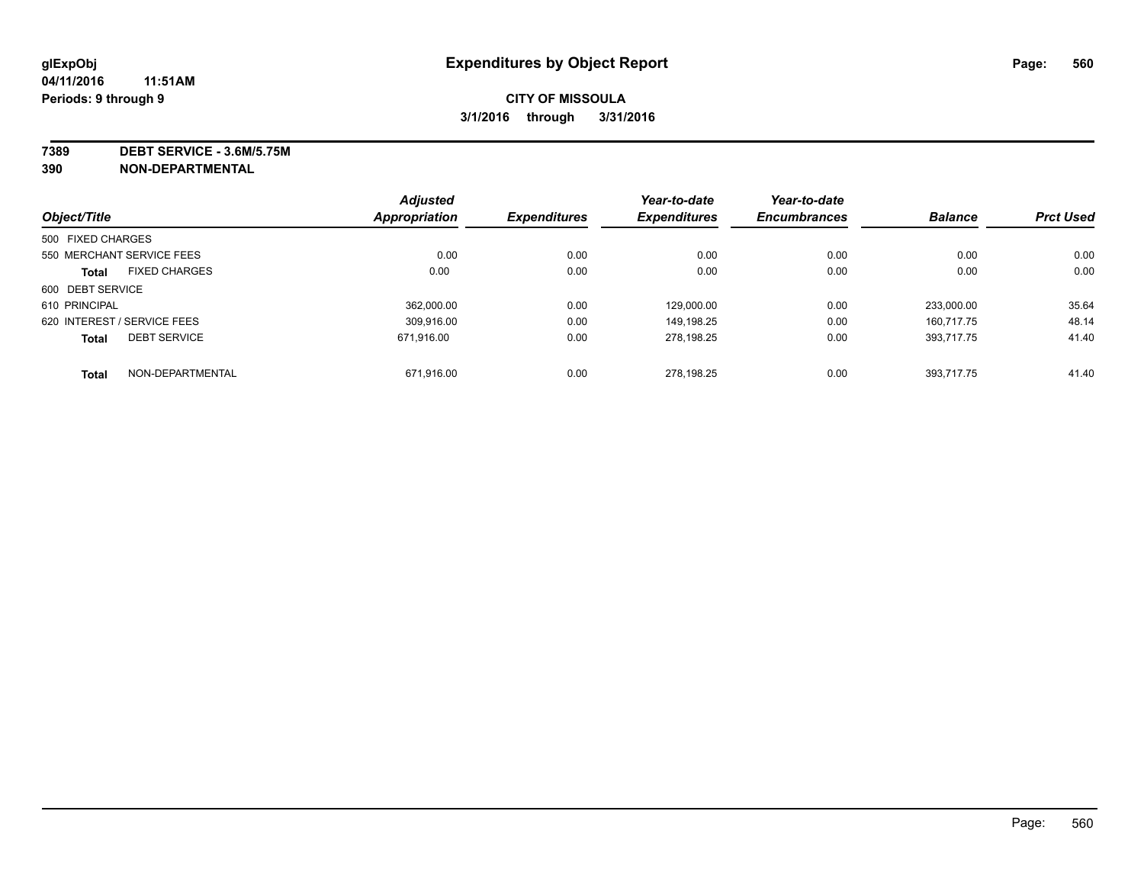**7389 DEBT SERVICE - 3.6M/5.75M**

**390 NON-DEPARTMENTAL**

|                             |                      | <b>Adjusted</b> |                     | Year-to-date        | Year-to-date        |                |                  |
|-----------------------------|----------------------|-----------------|---------------------|---------------------|---------------------|----------------|------------------|
| Object/Title                |                      | Appropriation   | <b>Expenditures</b> | <b>Expenditures</b> | <b>Encumbrances</b> | <b>Balance</b> | <b>Prct Used</b> |
| 500 FIXED CHARGES           |                      |                 |                     |                     |                     |                |                  |
| 550 MERCHANT SERVICE FEES   |                      | 0.00            | 0.00                | 0.00                | 0.00                | 0.00           | 0.00             |
| <b>Total</b>                | <b>FIXED CHARGES</b> | 0.00            | 0.00                | 0.00                | 0.00                | 0.00           | 0.00             |
| 600 DEBT SERVICE            |                      |                 |                     |                     |                     |                |                  |
| 610 PRINCIPAL               |                      | 362.000.00      | 0.00                | 129.000.00          | 0.00                | 233.000.00     | 35.64            |
| 620 INTEREST / SERVICE FEES |                      | 309.916.00      | 0.00                | 149.198.25          | 0.00                | 160.717.75     | 48.14            |
| <b>Total</b>                | <b>DEBT SERVICE</b>  | 671.916.00      | 0.00                | 278,198.25          | 0.00                | 393.717.75     | 41.40            |
| <b>Total</b>                | NON-DEPARTMENTAL     | 671.916.00      | 0.00                | 278.198.25          | 0.00                | 393.717.75     | 41.40            |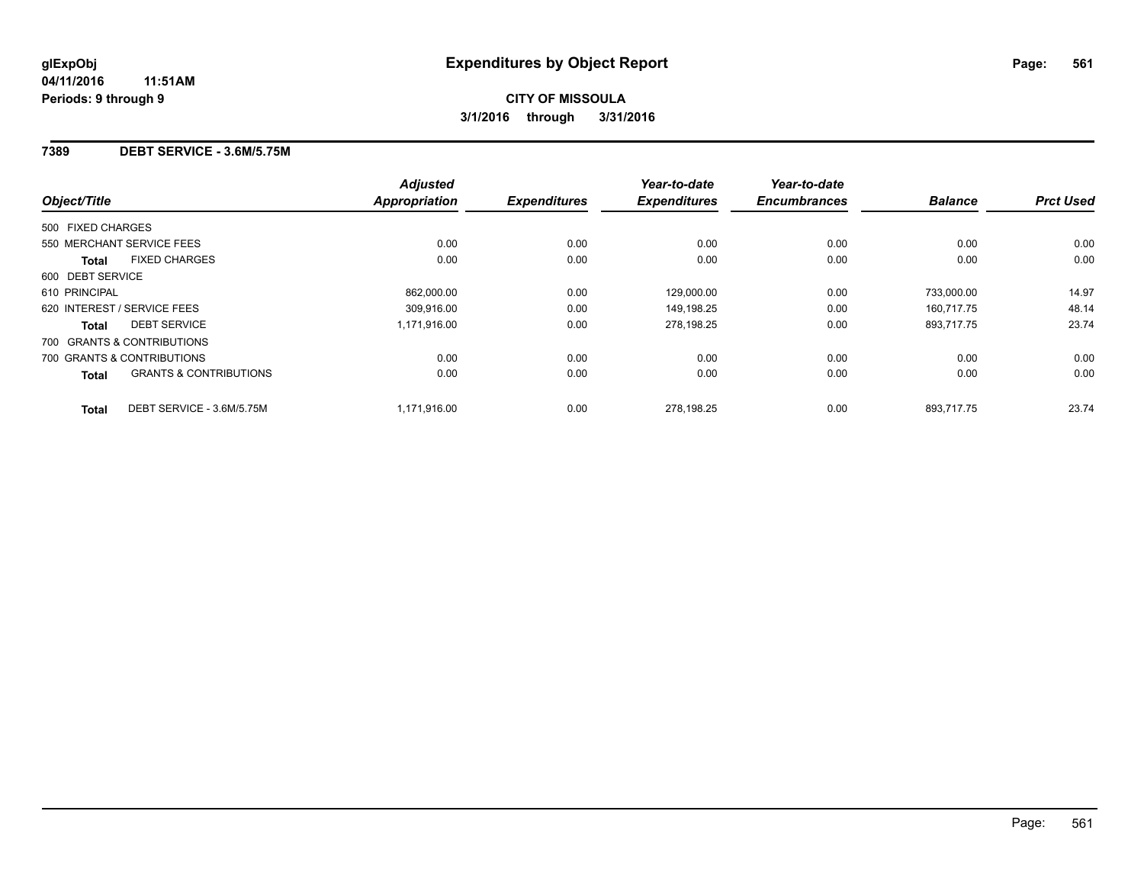### **7389 DEBT SERVICE - 3.6M/5.75M**

| Object/Title                                      | <b>Adjusted</b><br><b>Appropriation</b> | <b>Expenditures</b> | Year-to-date<br><b>Expenditures</b> | Year-to-date<br><b>Encumbrances</b> | <b>Balance</b> | <b>Prct Used</b> |
|---------------------------------------------------|-----------------------------------------|---------------------|-------------------------------------|-------------------------------------|----------------|------------------|
| 500 FIXED CHARGES                                 |                                         |                     |                                     |                                     |                |                  |
| 550 MERCHANT SERVICE FEES                         | 0.00                                    | 0.00                | 0.00                                | 0.00                                | 0.00           | 0.00             |
| <b>FIXED CHARGES</b><br><b>Total</b>              | 0.00                                    | 0.00                | 0.00                                | 0.00                                | 0.00           | 0.00             |
| 600 DEBT SERVICE                                  |                                         |                     |                                     |                                     |                |                  |
| 610 PRINCIPAL                                     | 862.000.00                              | 0.00                | 129.000.00                          | 0.00                                | 733.000.00     | 14.97            |
| 620 INTEREST / SERVICE FEES                       | 309,916.00                              | 0.00                | 149,198.25                          | 0.00                                | 160,717.75     | 48.14            |
| <b>DEBT SERVICE</b><br><b>Total</b>               | 1,171,916.00                            | 0.00                | 278,198.25                          | 0.00                                | 893,717.75     | 23.74            |
| 700 GRANTS & CONTRIBUTIONS                        |                                         |                     |                                     |                                     |                |                  |
| 700 GRANTS & CONTRIBUTIONS                        | 0.00                                    | 0.00                | 0.00                                | 0.00                                | 0.00           | 0.00             |
| <b>GRANTS &amp; CONTRIBUTIONS</b><br><b>Total</b> | 0.00                                    | 0.00                | 0.00                                | 0.00                                | 0.00           | 0.00             |
| DEBT SERVICE - 3.6M/5.75M<br><b>Total</b>         | 1,171,916.00                            | 0.00                | 278.198.25                          | 0.00                                | 893.717.75     | 23.74            |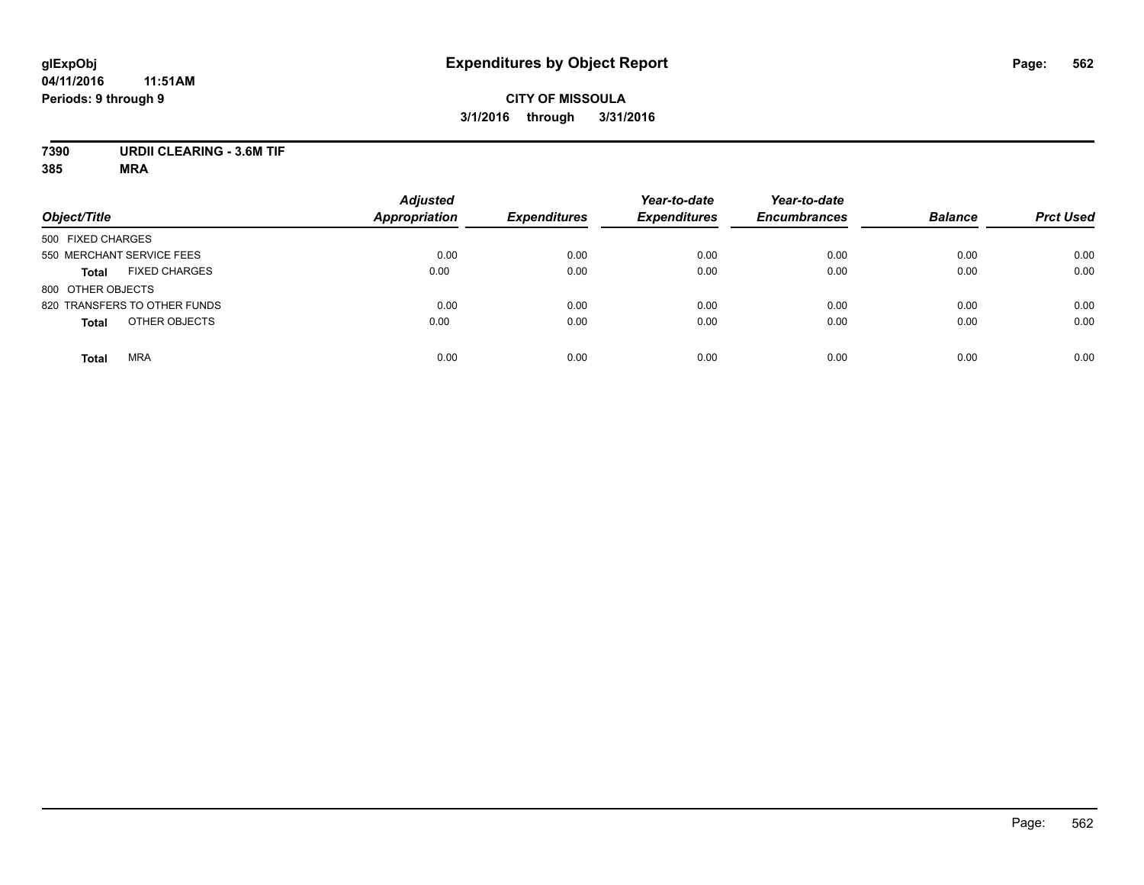# **CITY OF MISSOULA 3/1/2016 through 3/31/2016**

# **7390 URDII CLEARING - 3.6M TIF**

| Object/Title                         | <b>Adjusted</b><br><b>Appropriation</b> | <b>Expenditures</b> | Year-to-date<br><b>Expenditures</b> | Year-to-date<br><b>Encumbrances</b> | <b>Balance</b> | <b>Prct Used</b> |
|--------------------------------------|-----------------------------------------|---------------------|-------------------------------------|-------------------------------------|----------------|------------------|
| 500 FIXED CHARGES                    |                                         |                     |                                     |                                     |                |                  |
| 550 MERCHANT SERVICE FEES            | 0.00                                    | 0.00                | 0.00                                | 0.00                                | 0.00           | 0.00             |
| <b>FIXED CHARGES</b><br><b>Total</b> | 0.00                                    | 0.00                | 0.00                                | 0.00                                | 0.00           | 0.00             |
| 800 OTHER OBJECTS                    |                                         |                     |                                     |                                     |                |                  |
| 820 TRANSFERS TO OTHER FUNDS         | 0.00                                    | 0.00                | 0.00                                | 0.00                                | 0.00           | 0.00             |
| OTHER OBJECTS<br><b>Total</b>        | 0.00                                    | 0.00                | 0.00                                | 0.00                                | 0.00           | 0.00             |
| <b>MRA</b><br><b>Total</b>           | 0.00                                    | 0.00                | 0.00                                | 0.00                                | 0.00           | 0.00             |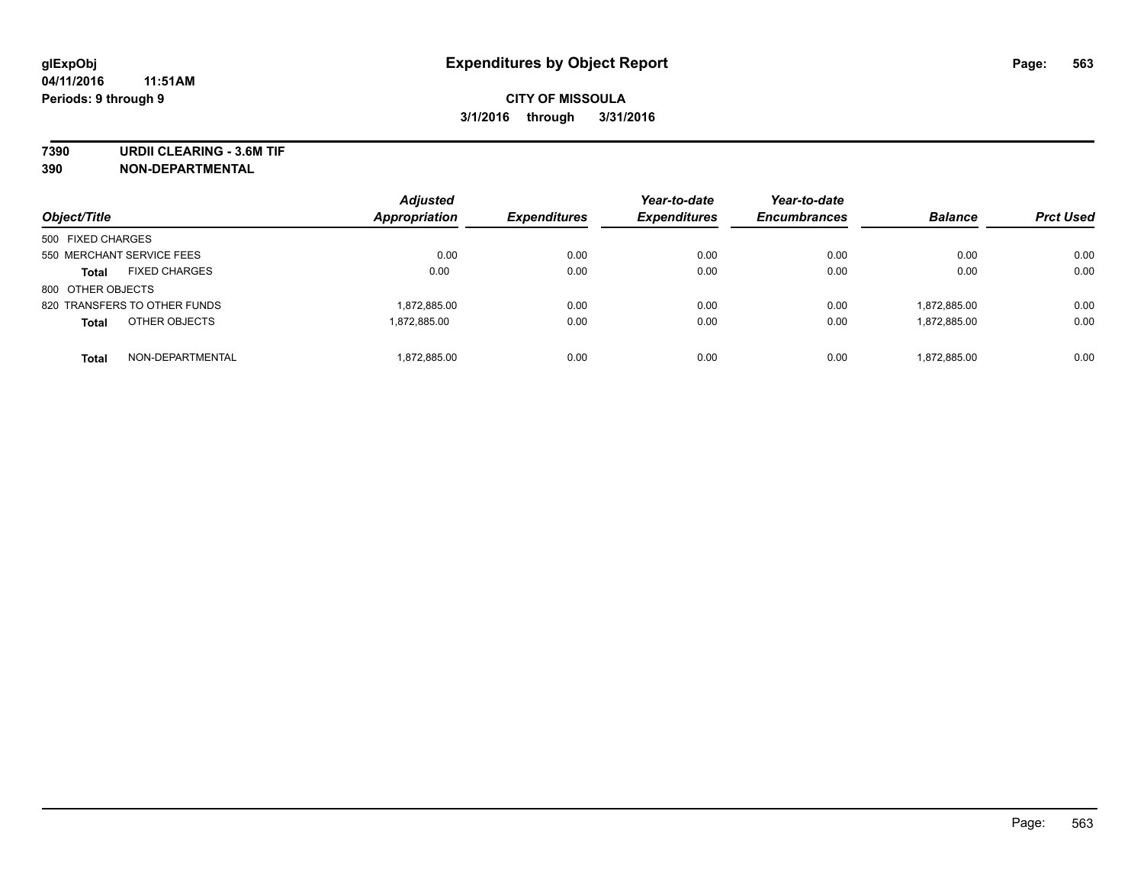**7390 URDII CLEARING - 3.6M TIF**

**390 NON-DEPARTMENTAL**

| Object/Title                         | <b>Adjusted</b><br>Appropriation | <b>Expenditures</b> | Year-to-date<br><b>Expenditures</b> | Year-to-date<br><b>Encumbrances</b> | <b>Balance</b> | <b>Prct Used</b> |
|--------------------------------------|----------------------------------|---------------------|-------------------------------------|-------------------------------------|----------------|------------------|
| 500 FIXED CHARGES                    |                                  |                     |                                     |                                     |                |                  |
| 550 MERCHANT SERVICE FEES            | 0.00                             | 0.00                | 0.00                                | 0.00                                | 0.00           | 0.00             |
| <b>FIXED CHARGES</b><br><b>Total</b> | 0.00                             | 0.00                | 0.00                                | 0.00                                | 0.00           | 0.00             |
| 800 OTHER OBJECTS                    |                                  |                     |                                     |                                     |                |                  |
| 820 TRANSFERS TO OTHER FUNDS         | 1,872,885.00                     | 0.00                | 0.00                                | 0.00                                | 1.872.885.00   | 0.00             |
| OTHER OBJECTS<br><b>Total</b>        | 1.872.885.00                     | 0.00                | 0.00                                | 0.00                                | 1.872.885.00   | 0.00             |
| NON-DEPARTMENTAL<br><b>Total</b>     | 1.872.885.00                     | 0.00                | 0.00                                | 0.00                                | 1.872.885.00   | 0.00             |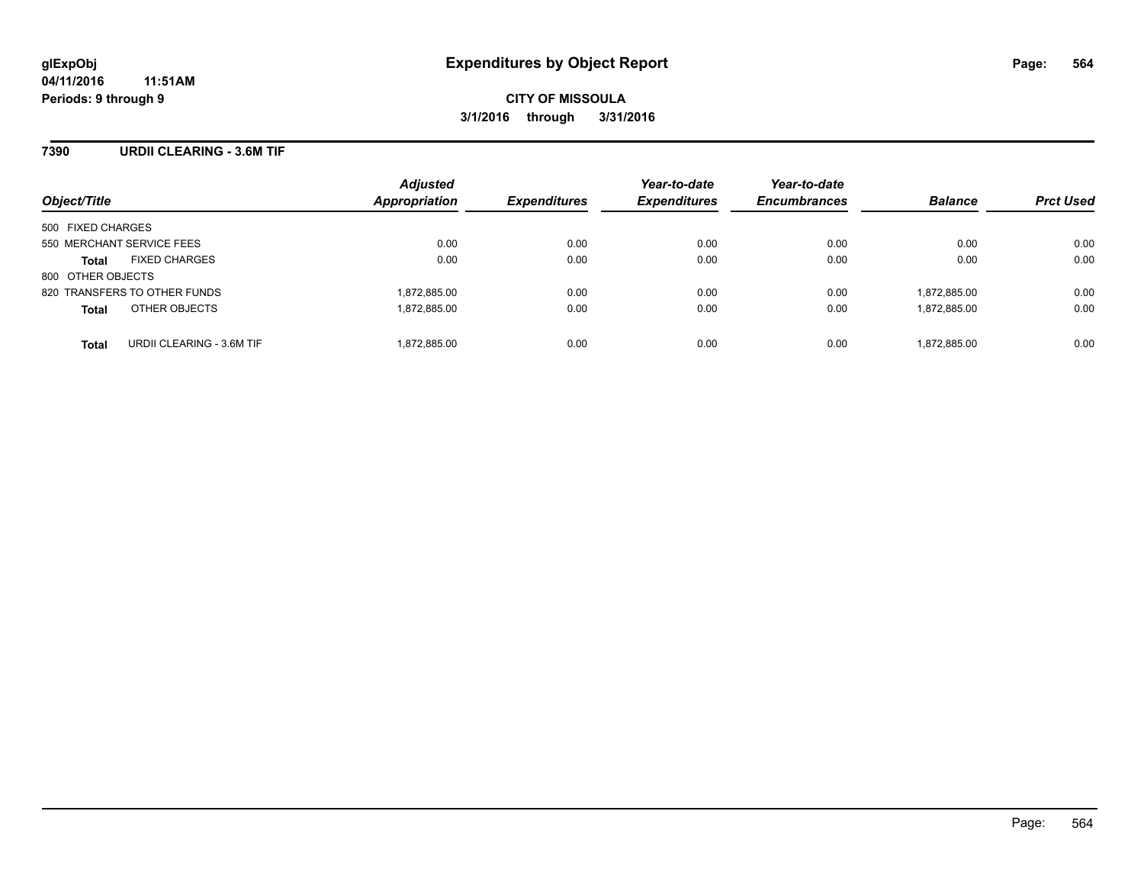### **7390 URDII CLEARING - 3.6M TIF**

| Object/Title                              | <b>Adjusted</b><br>Appropriation | <b>Expenditures</b> | Year-to-date<br><b>Expenditures</b> | Year-to-date<br><b>Encumbrances</b> | <b>Balance</b> | <b>Prct Used</b> |
|-------------------------------------------|----------------------------------|---------------------|-------------------------------------|-------------------------------------|----------------|------------------|
| 500 FIXED CHARGES                         |                                  |                     |                                     |                                     |                |                  |
| 550 MERCHANT SERVICE FEES                 | 0.00                             | 0.00                | 0.00                                | 0.00                                | 0.00           | 0.00             |
| <b>FIXED CHARGES</b><br><b>Total</b>      | 0.00                             | 0.00                | 0.00                                | 0.00                                | 0.00           | 0.00             |
| 800 OTHER OBJECTS                         |                                  |                     |                                     |                                     |                |                  |
| 820 TRANSFERS TO OTHER FUNDS              | 1,872,885.00                     | 0.00                | 0.00                                | 0.00                                | 1,872,885.00   | 0.00             |
| OTHER OBJECTS<br><b>Total</b>             | 1,872,885.00                     | 0.00                | 0.00                                | 0.00                                | 1,872,885.00   | 0.00             |
| URDII CLEARING - 3.6M TIF<br><b>Total</b> | 1,872,885.00                     | 0.00                | 0.00                                | 0.00                                | 1,872,885.00   | 0.00             |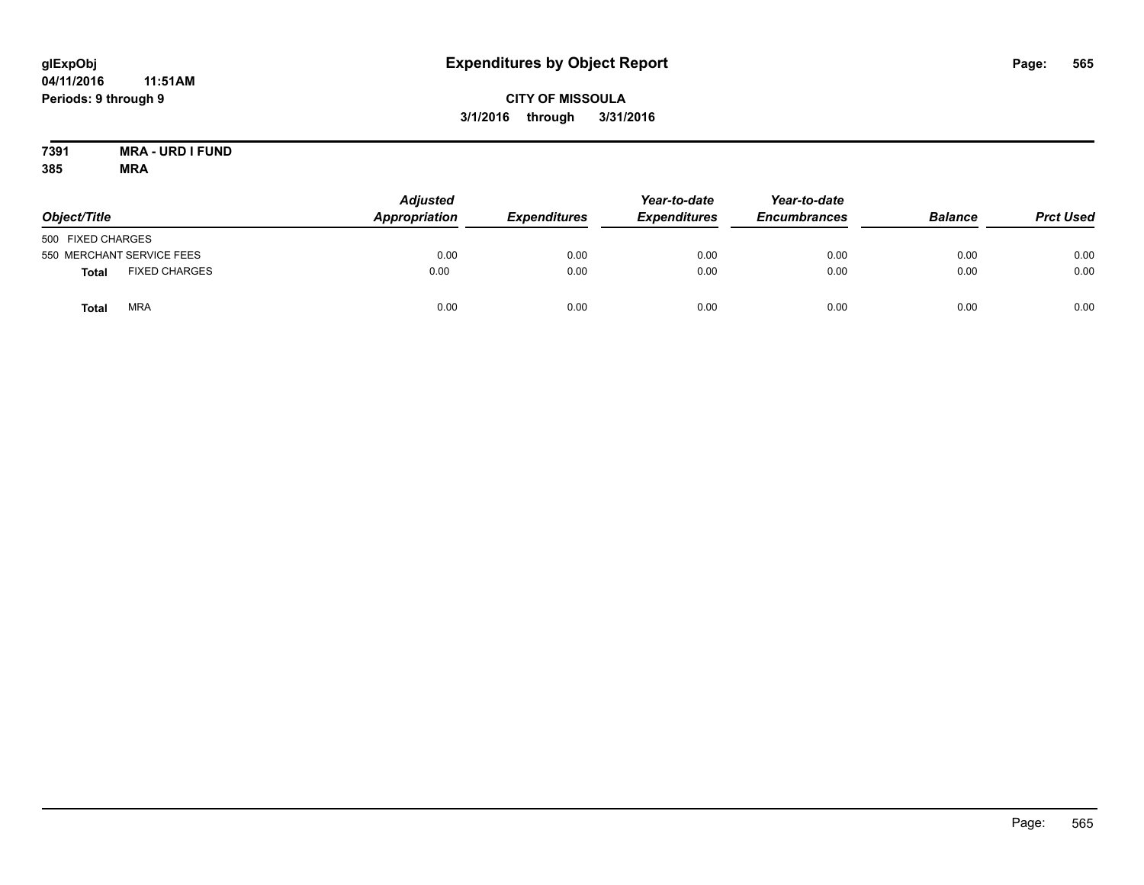# **CITY OF MISSOULA 3/1/2016 through 3/31/2016**

#### **7391 MRA - URD I FUND 385 MRA**

| Object/Title      |                           | <b>Adjusted</b><br>Appropriation | <b>Expenditures</b> | Year-to-date<br><b>Expenditures</b> | Year-to-date<br><b>Encumbrances</b> | <b>Balance</b> | <b>Prct Used</b> |
|-------------------|---------------------------|----------------------------------|---------------------|-------------------------------------|-------------------------------------|----------------|------------------|
| 500 FIXED CHARGES |                           |                                  |                     |                                     |                                     |                |                  |
|                   | 550 MERCHANT SERVICE FEES | 0.00                             | 0.00                | 0.00                                | 0.00                                | 0.00           | 0.00             |
| <b>Total</b>      | <b>FIXED CHARGES</b>      | 0.00                             | 0.00                | 0.00                                | 0.00                                | 0.00           | 0.00             |
| Total             | <b>MRA</b>                | 0.00                             | 0.00                | 0.00                                | 0.00                                | 0.00           | 0.00             |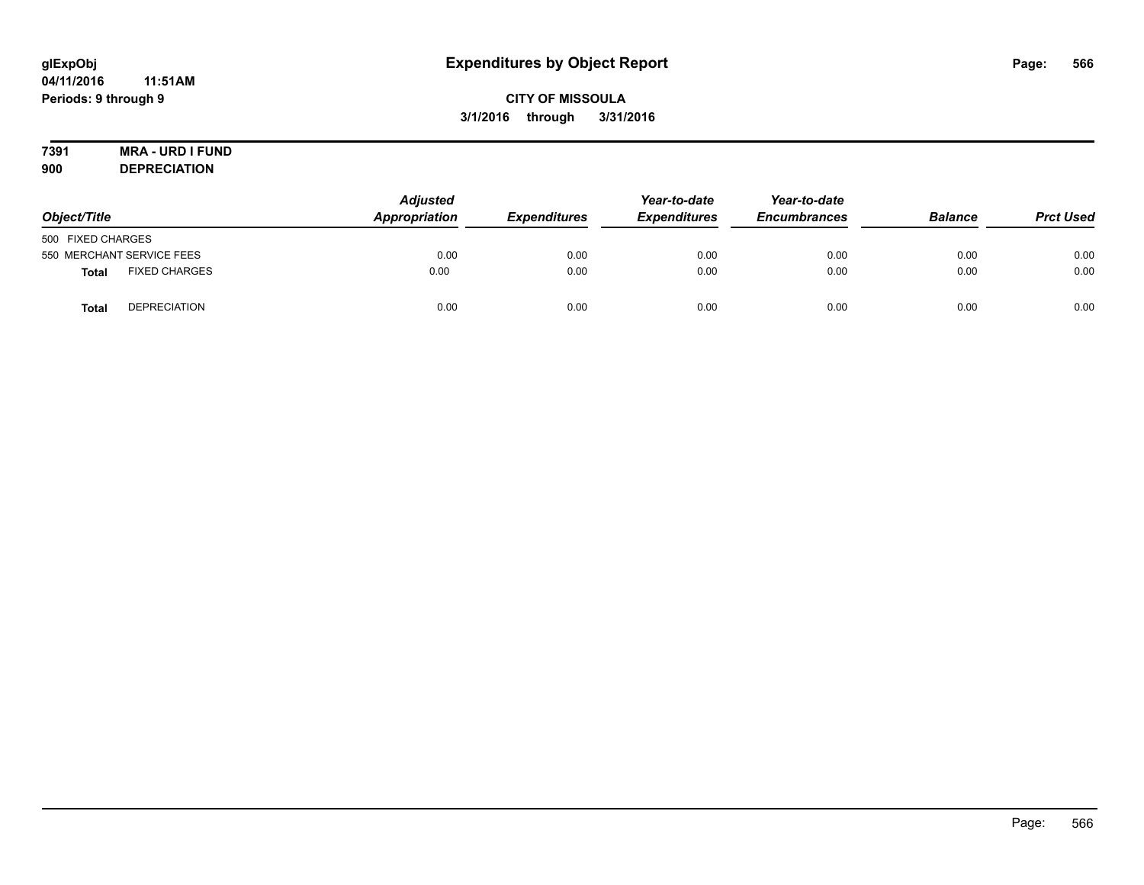# **CITY OF MISSOULA 3/1/2016 through 3/31/2016**

# **7391 MRA - URD I FUND**

**900 DEPRECIATION**

| Object/Title              |                      | <b>Adjusted</b><br>Appropriation | <b>Expenditures</b> | Year-to-date<br><b>Expenditures</b> | Year-to-date<br><b>Encumbrances</b> | <b>Balance</b> | <b>Prct Used</b> |
|---------------------------|----------------------|----------------------------------|---------------------|-------------------------------------|-------------------------------------|----------------|------------------|
| 500 FIXED CHARGES         |                      |                                  |                     |                                     |                                     |                |                  |
| 550 MERCHANT SERVICE FEES |                      | 0.00                             | 0.00                | 0.00                                | 0.00                                | 0.00           | 0.00             |
| <b>Total</b>              | <b>FIXED CHARGES</b> | 0.00                             | 0.00                | 0.00                                | 0.00                                | 0.00           | 0.00             |
| <b>Total</b>              | <b>DEPRECIATION</b>  | 0.00                             | 0.00                | 0.00                                | 0.00                                | 0.00           | 0.00             |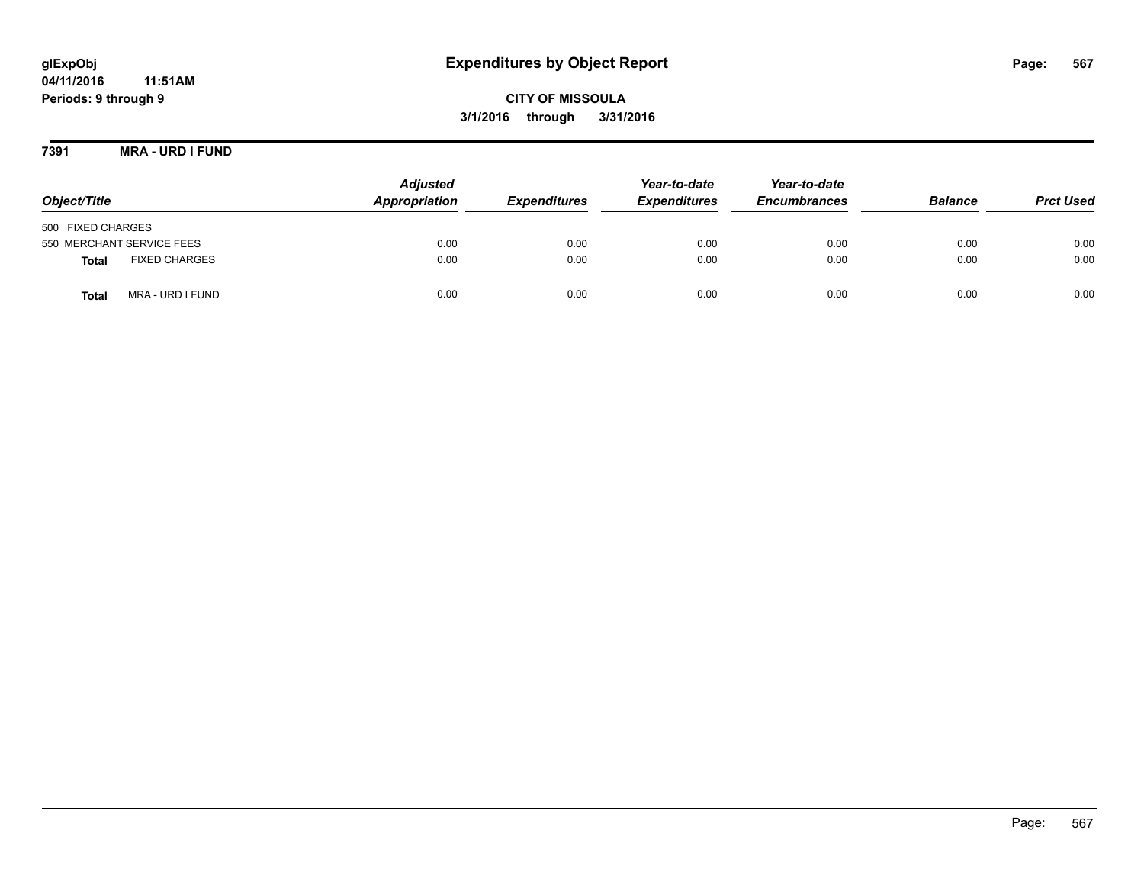# **glExpObj Expenditures by Object Report Page: 567**

**04/11/2016 11:51AM Periods: 9 through 9**

**CITY OF MISSOULA 3/1/2016 through 3/31/2016**

**7391 MRA - URD I FUND**

| Object/Title                         | <b>Adjusted</b><br>Appropriation | <b>Expenditures</b> | Year-to-date<br><b>Expenditures</b> | Year-to-date<br><b>Encumbrances</b> | <b>Balance</b> | <b>Prct Used</b> |
|--------------------------------------|----------------------------------|---------------------|-------------------------------------|-------------------------------------|----------------|------------------|
| 500 FIXED CHARGES                    |                                  |                     |                                     |                                     |                |                  |
| 550 MERCHANT SERVICE FEES            | 0.00                             | 0.00                | 0.00                                | 0.00                                | 0.00           | 0.00             |
| <b>FIXED CHARGES</b><br><b>Total</b> | 0.00                             | 0.00                | 0.00                                | 0.00                                | 0.00           | 0.00             |
| MRA - URD I FUND<br>Total            | 0.00                             | 0.00                | 0.00                                | 0.00                                | 0.00           | 0.00             |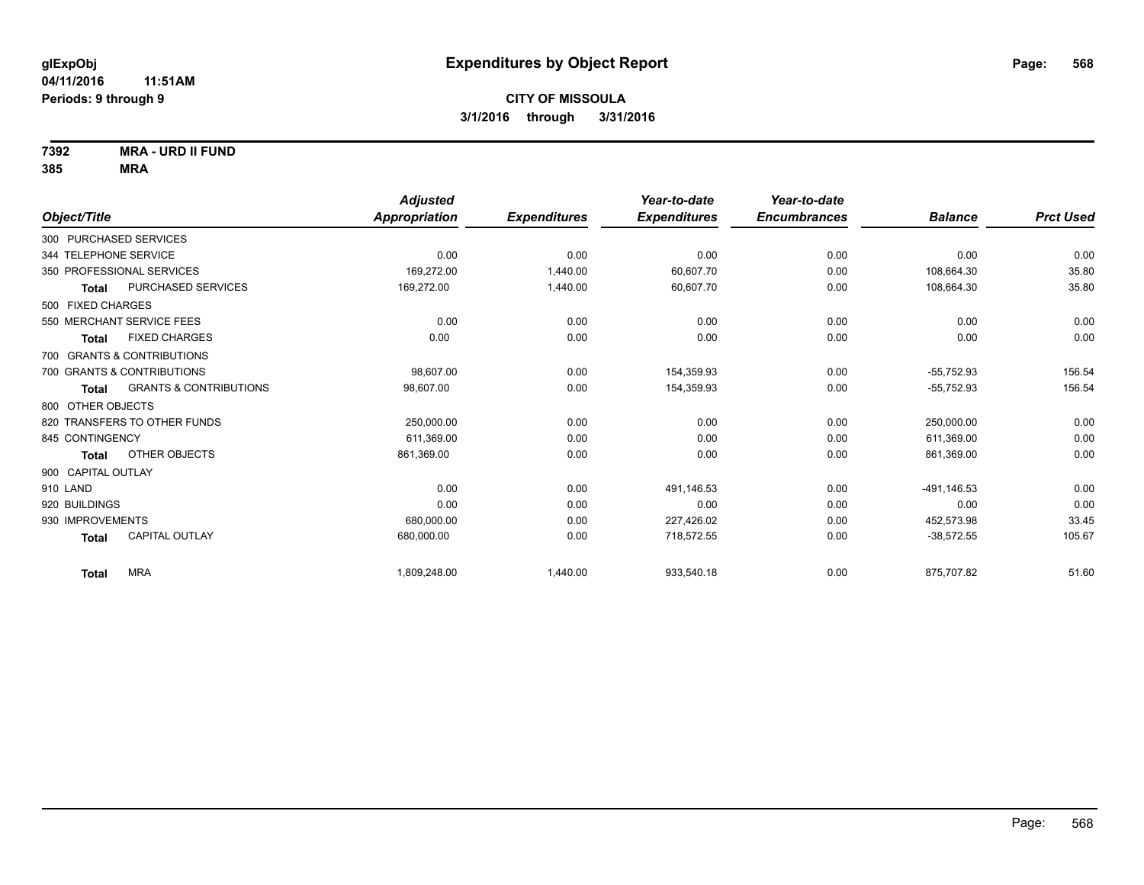**7392 MRA - URD II FUND**

|                                       |                                   | <b>Adjusted</b> |                     | Year-to-date        | Year-to-date        |                |                  |
|---------------------------------------|-----------------------------------|-----------------|---------------------|---------------------|---------------------|----------------|------------------|
| Object/Title                          |                                   | Appropriation   | <b>Expenditures</b> | <b>Expenditures</b> | <b>Encumbrances</b> | <b>Balance</b> | <b>Prct Used</b> |
| 300 PURCHASED SERVICES                |                                   |                 |                     |                     |                     |                |                  |
| 344 TELEPHONE SERVICE                 |                                   | 0.00            | 0.00                | 0.00                | 0.00                | 0.00           | 0.00             |
| 350 PROFESSIONAL SERVICES             |                                   | 169,272.00      | 1,440.00            | 60,607.70           | 0.00                | 108,664.30     | 35.80            |
| <b>Total</b>                          | PURCHASED SERVICES                | 169,272.00      | 1,440.00            | 60,607.70           | 0.00                | 108,664.30     | 35.80            |
| 500 FIXED CHARGES                     |                                   |                 |                     |                     |                     |                |                  |
| 550 MERCHANT SERVICE FEES             |                                   | 0.00            | 0.00                | 0.00                | 0.00                | 0.00           | 0.00             |
| <b>FIXED CHARGES</b><br>Total         |                                   | 0.00            | 0.00                | 0.00                | 0.00                | 0.00           | 0.00             |
| 700 GRANTS & CONTRIBUTIONS            |                                   |                 |                     |                     |                     |                |                  |
| 700 GRANTS & CONTRIBUTIONS            |                                   | 98,607.00       | 0.00                | 154,359.93          | 0.00                | $-55,752.93$   | 156.54           |
| <b>Total</b>                          | <b>GRANTS &amp; CONTRIBUTIONS</b> | 98,607.00       | 0.00                | 154,359.93          | 0.00                | $-55,752.93$   | 156.54           |
| 800 OTHER OBJECTS                     |                                   |                 |                     |                     |                     |                |                  |
| 820 TRANSFERS TO OTHER FUNDS          |                                   | 250,000.00      | 0.00                | 0.00                | 0.00                | 250,000.00     | 0.00             |
| 845 CONTINGENCY                       |                                   | 611,369.00      | 0.00                | 0.00                | 0.00                | 611,369.00     | 0.00             |
| OTHER OBJECTS<br><b>Total</b>         |                                   | 861,369.00      | 0.00                | 0.00                | 0.00                | 861,369.00     | 0.00             |
| 900 CAPITAL OUTLAY                    |                                   |                 |                     |                     |                     |                |                  |
| 910 LAND                              |                                   | 0.00            | 0.00                | 491.146.53          | 0.00                | -491.146.53    | 0.00             |
| 920 BUILDINGS                         |                                   | 0.00            | 0.00                | 0.00                | 0.00                | 0.00           | 0.00             |
| 930 IMPROVEMENTS                      |                                   | 680,000.00      | 0.00                | 227,426.02          | 0.00                | 452,573.98     | 33.45            |
| <b>CAPITAL OUTLAY</b><br><b>Total</b> |                                   | 680,000.00      | 0.00                | 718,572.55          | 0.00                | $-38,572.55$   | 105.67           |
| <b>MRA</b><br><b>Total</b>            |                                   | 1,809,248.00    | 1,440.00            | 933,540.18          | 0.00                | 875,707.82     | 51.60            |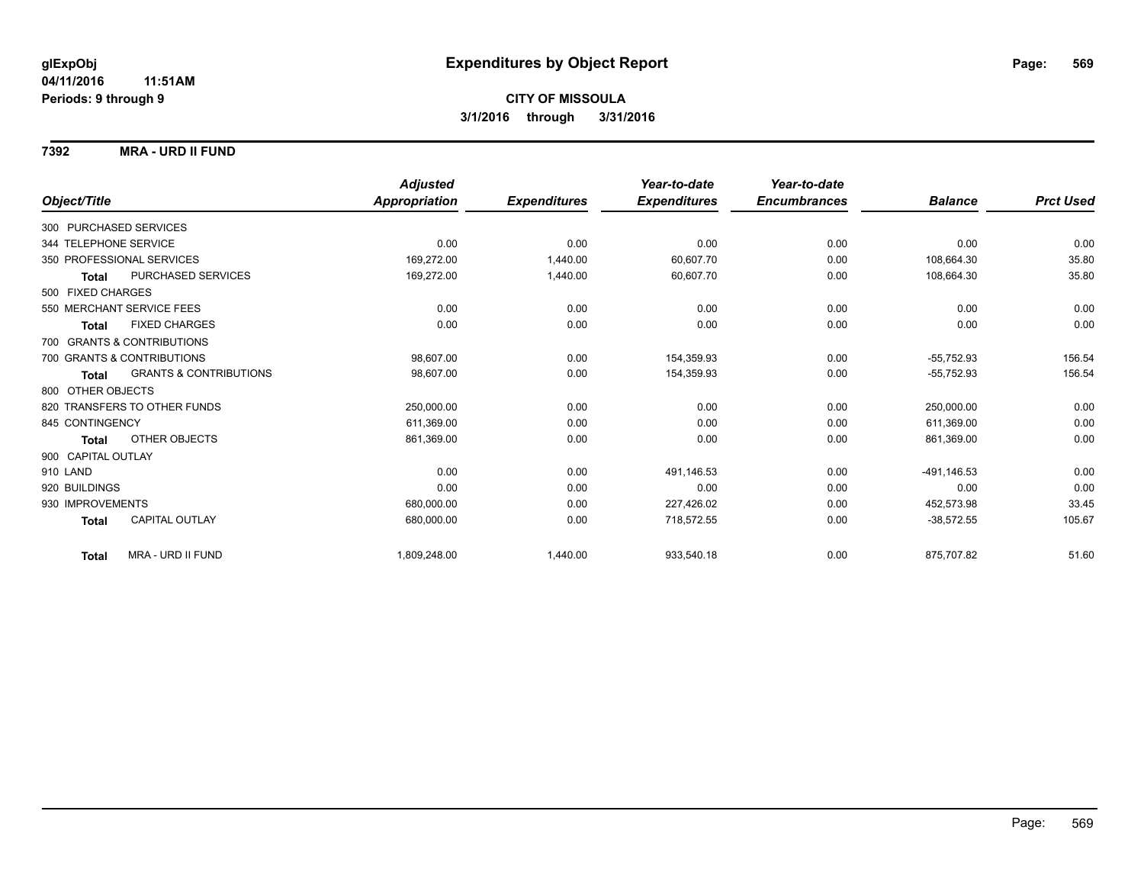### **7392 MRA - URD II FUND**

|                              |                                   | <b>Adjusted</b> |                     | Year-to-date        | Year-to-date        |                |                  |
|------------------------------|-----------------------------------|-----------------|---------------------|---------------------|---------------------|----------------|------------------|
| Object/Title                 |                                   | Appropriation   | <b>Expenditures</b> | <b>Expenditures</b> | <b>Encumbrances</b> | <b>Balance</b> | <b>Prct Used</b> |
| 300 PURCHASED SERVICES       |                                   |                 |                     |                     |                     |                |                  |
| 344 TELEPHONE SERVICE        |                                   | 0.00            | 0.00                | 0.00                | 0.00                | 0.00           | 0.00             |
| 350 PROFESSIONAL SERVICES    |                                   | 169,272.00      | 1,440.00            | 60.607.70           | 0.00                | 108,664.30     | 35.80            |
| <b>Total</b>                 | PURCHASED SERVICES                | 169,272.00      | 1,440.00            | 60,607.70           | 0.00                | 108,664.30     | 35.80            |
| 500 FIXED CHARGES            |                                   |                 |                     |                     |                     |                |                  |
| 550 MERCHANT SERVICE FEES    |                                   | 0.00            | 0.00                | 0.00                | 0.00                | 0.00           | 0.00             |
| Total                        | <b>FIXED CHARGES</b>              | 0.00            | 0.00                | 0.00                | 0.00                | 0.00           | 0.00             |
| 700 GRANTS & CONTRIBUTIONS   |                                   |                 |                     |                     |                     |                |                  |
| 700 GRANTS & CONTRIBUTIONS   |                                   | 98.607.00       | 0.00                | 154,359.93          | 0.00                | $-55.752.93$   | 156.54           |
| Total                        | <b>GRANTS &amp; CONTRIBUTIONS</b> | 98,607.00       | 0.00                | 154,359.93          | 0.00                | $-55,752.93$   | 156.54           |
| 800 OTHER OBJECTS            |                                   |                 |                     |                     |                     |                |                  |
| 820 TRANSFERS TO OTHER FUNDS |                                   | 250,000.00      | 0.00                | 0.00                | 0.00                | 250,000.00     | 0.00             |
| 845 CONTINGENCY              |                                   | 611,369.00      | 0.00                | 0.00                | 0.00                | 611,369.00     | 0.00             |
| Total                        | OTHER OBJECTS                     | 861,369.00      | 0.00                | 0.00                | 0.00                | 861,369.00     | 0.00             |
| 900 CAPITAL OUTLAY           |                                   |                 |                     |                     |                     |                |                  |
| 910 LAND                     |                                   | 0.00            | 0.00                | 491,146.53          | 0.00                | -491,146.53    | 0.00             |
| 920 BUILDINGS                |                                   | 0.00            | 0.00                | 0.00                | 0.00                | 0.00           | 0.00             |
| 930 IMPROVEMENTS             |                                   | 680,000.00      | 0.00                | 227,426.02          | 0.00                | 452,573.98     | 33.45            |
| <b>Total</b>                 | <b>CAPITAL OUTLAY</b>             | 680,000.00      | 0.00                | 718,572.55          | 0.00                | $-38,572.55$   | 105.67           |
| <b>Total</b>                 | MRA - URD II FUND                 | 1,809,248.00    | 1,440.00            | 933,540.18          | 0.00                | 875,707.82     | 51.60            |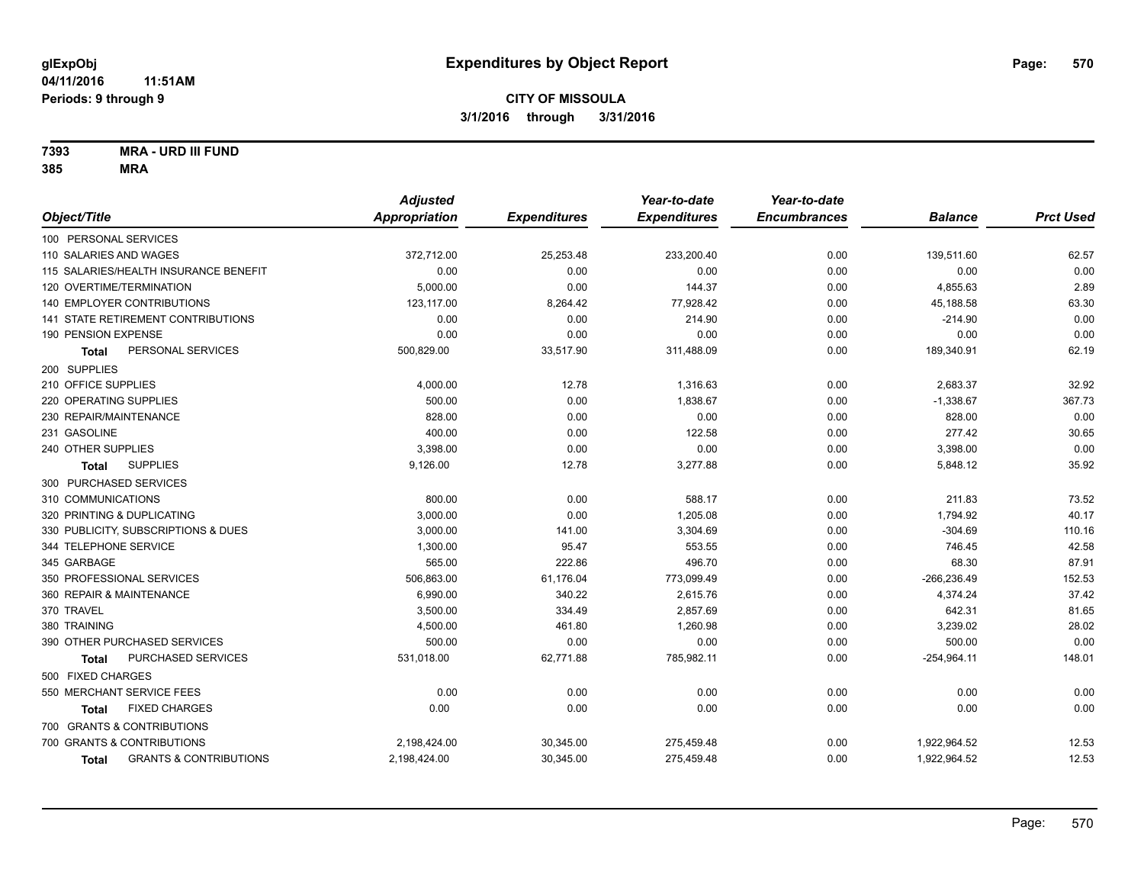### **7393 MRA - URD III FUND**

|                                                   | <b>Adjusted</b> |                     | Year-to-date        | Year-to-date        |                |                  |
|---------------------------------------------------|-----------------|---------------------|---------------------|---------------------|----------------|------------------|
| Object/Title                                      | Appropriation   | <b>Expenditures</b> | <b>Expenditures</b> | <b>Encumbrances</b> | <b>Balance</b> | <b>Prct Used</b> |
| 100 PERSONAL SERVICES                             |                 |                     |                     |                     |                |                  |
| 110 SALARIES AND WAGES                            | 372,712.00      | 25,253.48           | 233,200.40          | 0.00                | 139,511.60     | 62.57            |
| 115 SALARIES/HEALTH INSURANCE BENEFIT             | 0.00            | 0.00                | 0.00                | 0.00                | 0.00           | 0.00             |
| 120 OVERTIME/TERMINATION                          | 5,000.00        | 0.00                | 144.37              | 0.00                | 4,855.63       | 2.89             |
| <b>140 EMPLOYER CONTRIBUTIONS</b>                 | 123.117.00      | 8,264.42            | 77,928.42           | 0.00                | 45,188.58      | 63.30            |
| 141 STATE RETIREMENT CONTRIBUTIONS                | 0.00            | 0.00                | 214.90              | 0.00                | $-214.90$      | 0.00             |
| 190 PENSION EXPENSE                               | 0.00            | 0.00                | 0.00                | 0.00                | 0.00           | 0.00             |
| PERSONAL SERVICES<br><b>Total</b>                 | 500,829.00      | 33,517.90           | 311,488.09          | 0.00                | 189,340.91     | 62.19            |
| 200 SUPPLIES                                      |                 |                     |                     |                     |                |                  |
| 210 OFFICE SUPPLIES                               | 4,000.00        | 12.78               | 1,316.63            | 0.00                | 2,683.37       | 32.92            |
| 220 OPERATING SUPPLIES                            | 500.00          | 0.00                | 1,838.67            | 0.00                | $-1,338.67$    | 367.73           |
| 230 REPAIR/MAINTENANCE                            | 828.00          | 0.00                | 0.00                | 0.00                | 828.00         | 0.00             |
| 231 GASOLINE                                      | 400.00          | 0.00                | 122.58              | 0.00                | 277.42         | 30.65            |
| 240 OTHER SUPPLIES                                | 3,398.00        | 0.00                | 0.00                | 0.00                | 3,398.00       | 0.00             |
| <b>SUPPLIES</b><br><b>Total</b>                   | 9,126.00        | 12.78               | 3,277.88            | 0.00                | 5,848.12       | 35.92            |
| 300 PURCHASED SERVICES                            |                 |                     |                     |                     |                |                  |
| 310 COMMUNICATIONS                                | 800.00          | 0.00                | 588.17              | 0.00                | 211.83         | 73.52            |
| 320 PRINTING & DUPLICATING                        | 3,000.00        | 0.00                | 1,205.08            | 0.00                | 1,794.92       | 40.17            |
| 330 PUBLICITY, SUBSCRIPTIONS & DUES               | 3,000.00        | 141.00              | 3,304.69            | 0.00                | $-304.69$      | 110.16           |
| 344 TELEPHONE SERVICE                             | 1,300.00        | 95.47               | 553.55              | 0.00                | 746.45         | 42.58            |
| 345 GARBAGE                                       | 565.00          | 222.86              | 496.70              | 0.00                | 68.30          | 87.91            |
| 350 PROFESSIONAL SERVICES                         | 506,863.00      | 61,176.04           | 773,099.49          | 0.00                | $-266, 236.49$ | 152.53           |
| 360 REPAIR & MAINTENANCE                          | 6,990.00        | 340.22              | 2,615.76            | 0.00                | 4,374.24       | 37.42            |
| 370 TRAVEL                                        | 3,500.00        | 334.49              | 2,857.69            | 0.00                | 642.31         | 81.65            |
| 380 TRAINING                                      | 4,500.00        | 461.80              | 1,260.98            | 0.00                | 3,239.02       | 28.02            |
| 390 OTHER PURCHASED SERVICES                      | 500.00          | 0.00                | 0.00                | 0.00                | 500.00         | 0.00             |
| PURCHASED SERVICES<br><b>Total</b>                | 531,018.00      | 62,771.88           | 785,982.11          | 0.00                | $-254,964.11$  | 148.01           |
| 500 FIXED CHARGES                                 |                 |                     |                     |                     |                |                  |
| 550 MERCHANT SERVICE FEES                         | 0.00            | 0.00                | 0.00                | 0.00                | 0.00           | 0.00             |
| <b>FIXED CHARGES</b><br>Total                     | 0.00            | 0.00                | 0.00                | 0.00                | 0.00           | 0.00             |
| 700 GRANTS & CONTRIBUTIONS                        |                 |                     |                     |                     |                |                  |
| 700 GRANTS & CONTRIBUTIONS                        | 2,198,424.00    | 30,345.00           | 275,459.48          | 0.00                | 1,922,964.52   | 12.53            |
| <b>GRANTS &amp; CONTRIBUTIONS</b><br><b>Total</b> | 2,198,424.00    | 30,345.00           | 275,459.48          | 0.00                | 1,922,964.52   | 12.53            |
|                                                   |                 |                     |                     |                     |                |                  |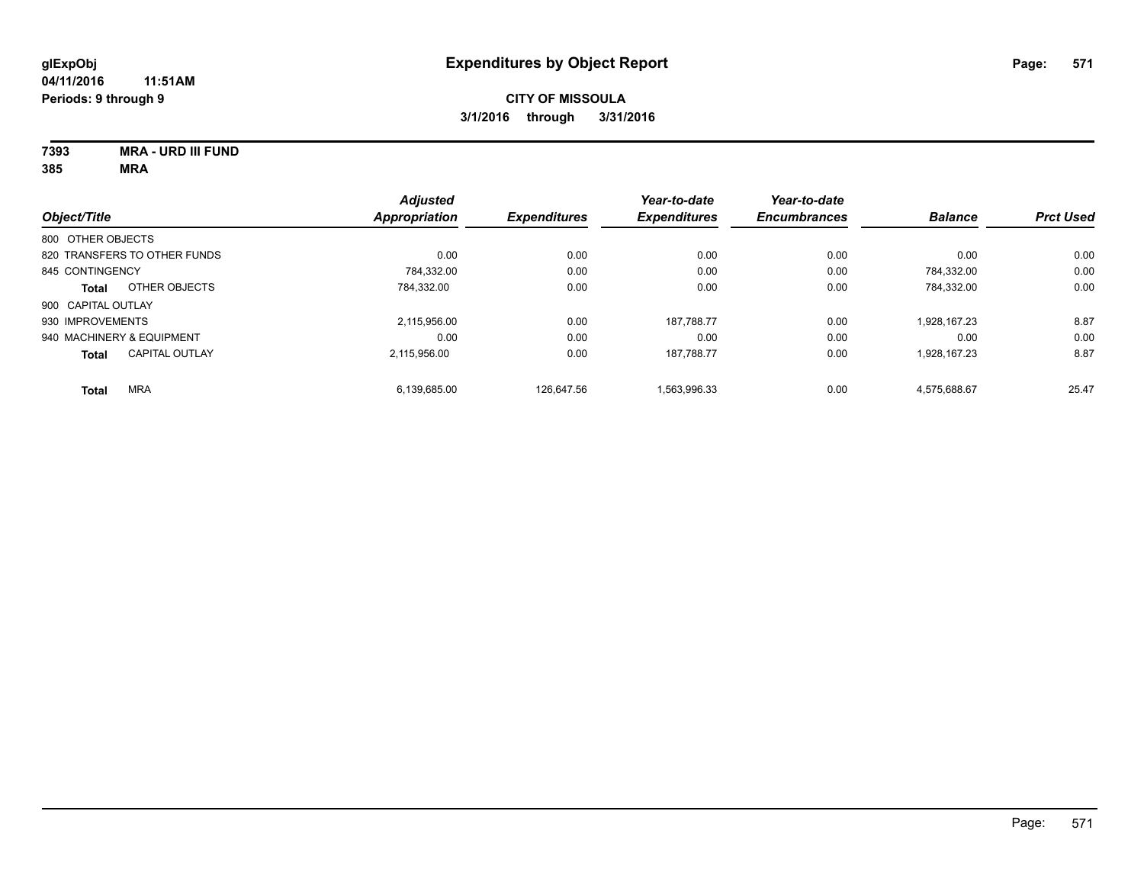**7393 MRA - URD III FUND**

|                              |                       | <b>Adjusted</b>      |                     | Year-to-date        | Year-to-date        |                |                  |
|------------------------------|-----------------------|----------------------|---------------------|---------------------|---------------------|----------------|------------------|
| Object/Title                 |                       | <b>Appropriation</b> | <b>Expenditures</b> | <b>Expenditures</b> | <b>Encumbrances</b> | <b>Balance</b> | <b>Prct Used</b> |
| 800 OTHER OBJECTS            |                       |                      |                     |                     |                     |                |                  |
| 820 TRANSFERS TO OTHER FUNDS |                       | 0.00                 | 0.00                | 0.00                | 0.00                | 0.00           | 0.00             |
| 845 CONTINGENCY              |                       | 784,332.00           | 0.00                | 0.00                | 0.00                | 784.332.00     | 0.00             |
| <b>Total</b>                 | OTHER OBJECTS         | 784.332.00           | 0.00                | 0.00                | 0.00                | 784.332.00     | 0.00             |
| 900 CAPITAL OUTLAY           |                       |                      |                     |                     |                     |                |                  |
| 930 IMPROVEMENTS             |                       | 2.115.956.00         | 0.00                | 187.788.77          | 0.00                | 1.928.167.23   | 8.87             |
| 940 MACHINERY & EQUIPMENT    |                       | 0.00                 | 0.00                | 0.00                | 0.00                | 0.00           | 0.00             |
| <b>Total</b>                 | <b>CAPITAL OUTLAY</b> | 2.115.956.00         | 0.00                | 187.788.77          | 0.00                | 1.928.167.23   | 8.87             |
| <b>MRA</b><br><b>Total</b>   |                       | 6,139,685.00         | 126.647.56          | 1,563,996.33        | 0.00                | 4,575,688.67   | 25.47            |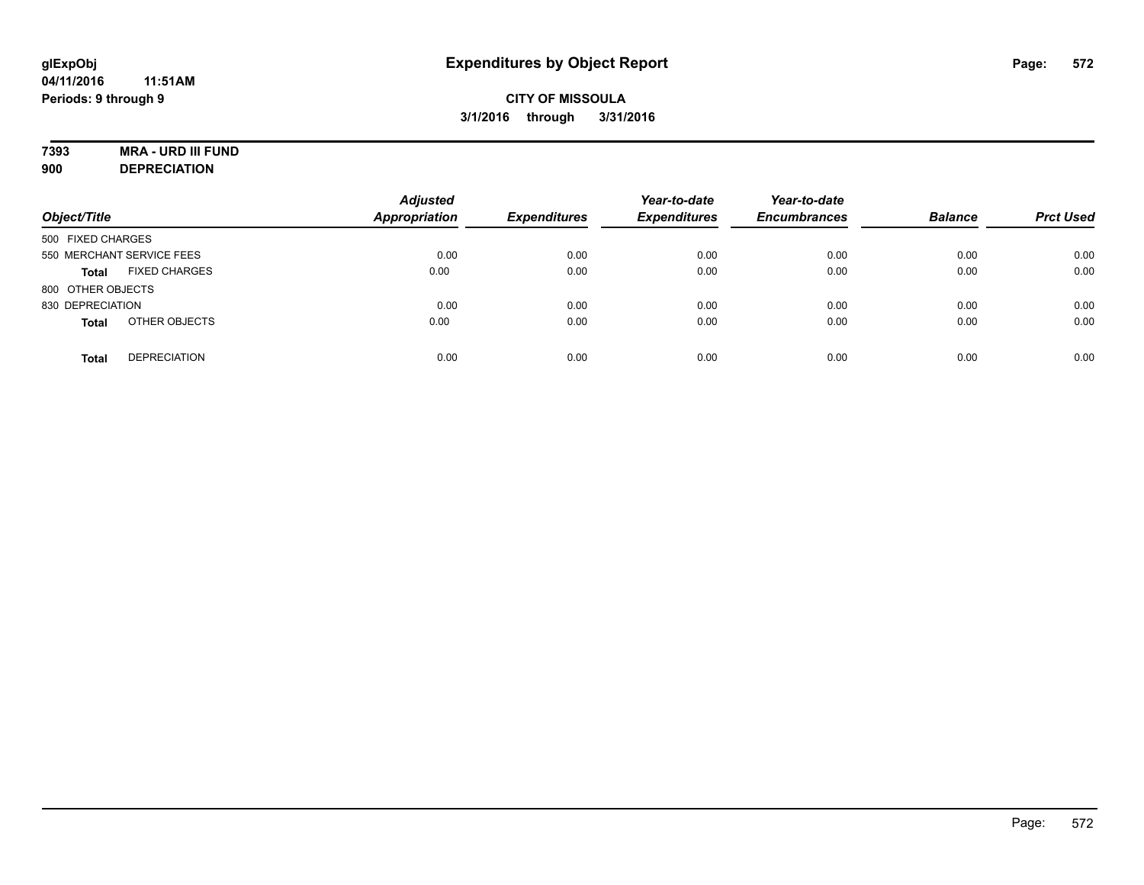# **7393 MRA - URD III FUND**

**900 DEPRECIATION**

| Object/Title                         | <b>Adjusted</b><br><b>Appropriation</b> | <b>Expenditures</b> | Year-to-date<br><b>Expenditures</b> | Year-to-date<br><b>Encumbrances</b> | <b>Balance</b> | <b>Prct Used</b> |
|--------------------------------------|-----------------------------------------|---------------------|-------------------------------------|-------------------------------------|----------------|------------------|
| 500 FIXED CHARGES                    |                                         |                     |                                     |                                     |                |                  |
| 550 MERCHANT SERVICE FEES            | 0.00                                    | 0.00                | 0.00                                | 0.00                                | 0.00           | 0.00             |
| <b>FIXED CHARGES</b><br><b>Total</b> | 0.00                                    | 0.00                | 0.00                                | 0.00                                | 0.00           | 0.00             |
| 800 OTHER OBJECTS                    |                                         |                     |                                     |                                     |                |                  |
| 830 DEPRECIATION                     | 0.00                                    | 0.00                | 0.00                                | 0.00                                | 0.00           | 0.00             |
| OTHER OBJECTS<br><b>Total</b>        | 0.00                                    | 0.00                | 0.00                                | 0.00                                | 0.00           | 0.00             |
| <b>DEPRECIATION</b><br><b>Total</b>  | 0.00                                    | 0.00                | 0.00                                | 0.00                                | 0.00           | 0.00             |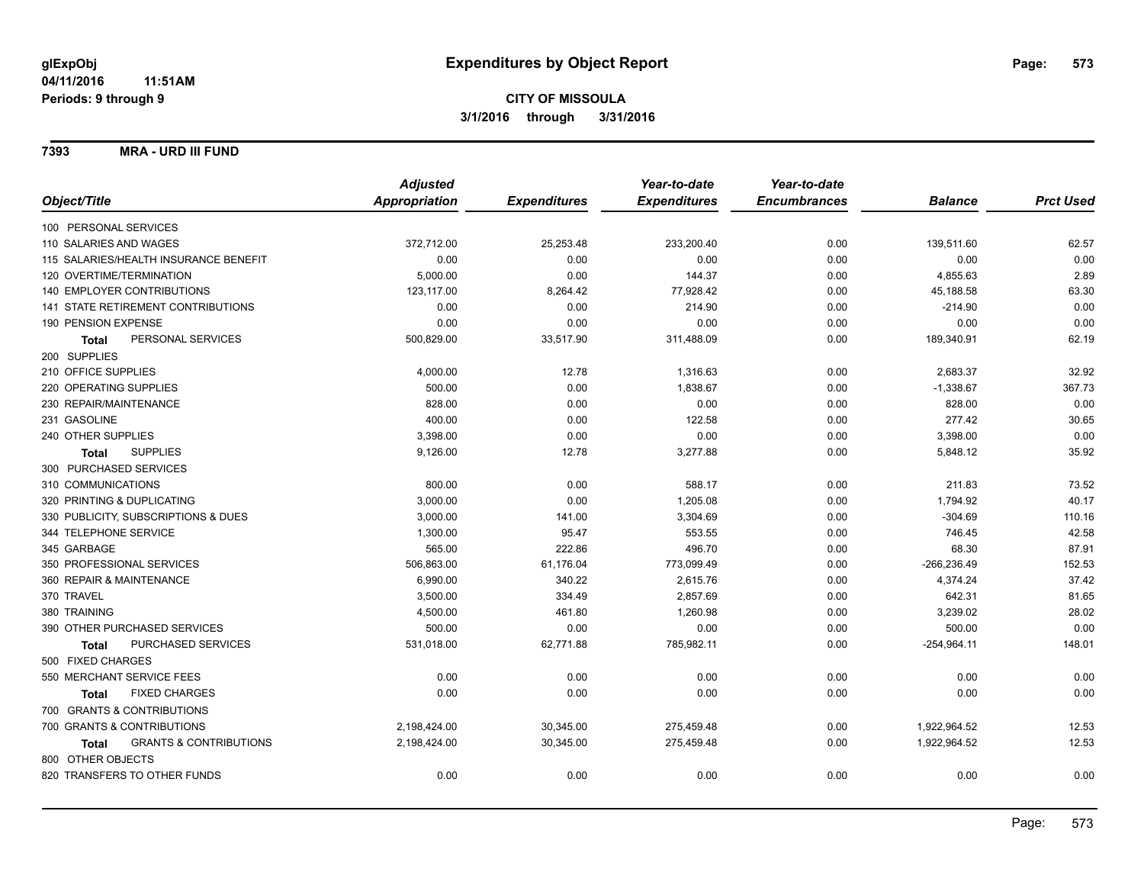### **7393 MRA - URD III FUND**

|                                                   | <b>Adjusted</b> |                     | Year-to-date        | Year-to-date        |                |                  |
|---------------------------------------------------|-----------------|---------------------|---------------------|---------------------|----------------|------------------|
| Object/Title                                      | Appropriation   | <b>Expenditures</b> | <b>Expenditures</b> | <b>Encumbrances</b> | <b>Balance</b> | <b>Prct Used</b> |
| 100 PERSONAL SERVICES                             |                 |                     |                     |                     |                |                  |
| 110 SALARIES AND WAGES                            | 372,712.00      | 25,253.48           | 233,200.40          | 0.00                | 139,511.60     | 62.57            |
| 115 SALARIES/HEALTH INSURANCE BENEFIT             | 0.00            | 0.00                | 0.00                | 0.00                | 0.00           | 0.00             |
| 120 OVERTIME/TERMINATION                          | 5,000.00        | 0.00                | 144.37              | 0.00                | 4,855.63       | 2.89             |
| 140 EMPLOYER CONTRIBUTIONS                        | 123,117.00      | 8,264.42            | 77,928.42           | 0.00                | 45,188.58      | 63.30            |
| <b>141 STATE RETIREMENT CONTRIBUTIONS</b>         | 0.00            | 0.00                | 214.90              | 0.00                | $-214.90$      | 0.00             |
| 190 PENSION EXPENSE                               | 0.00            | 0.00                | 0.00                | 0.00                | 0.00           | 0.00             |
| PERSONAL SERVICES<br><b>Total</b>                 | 500,829.00      | 33,517.90           | 311,488.09          | 0.00                | 189,340.91     | 62.19            |
| 200 SUPPLIES                                      |                 |                     |                     |                     |                |                  |
| 210 OFFICE SUPPLIES                               | 4,000.00        | 12.78               | 1,316.63            | 0.00                | 2,683.37       | 32.92            |
| 220 OPERATING SUPPLIES                            | 500.00          | 0.00                | 1,838.67            | 0.00                | $-1,338.67$    | 367.73           |
| 230 REPAIR/MAINTENANCE                            | 828.00          | 0.00                | 0.00                | 0.00                | 828.00         | 0.00             |
| 231 GASOLINE                                      | 400.00          | 0.00                | 122.58              | 0.00                | 277.42         | 30.65            |
| 240 OTHER SUPPLIES                                | 3,398.00        | 0.00                | 0.00                | 0.00                | 3,398.00       | 0.00             |
| <b>SUPPLIES</b><br><b>Total</b>                   | 9,126.00        | 12.78               | 3,277.88            | 0.00                | 5,848.12       | 35.92            |
| 300 PURCHASED SERVICES                            |                 |                     |                     |                     |                |                  |
| 310 COMMUNICATIONS                                | 800.00          | 0.00                | 588.17              | 0.00                | 211.83         | 73.52            |
| 320 PRINTING & DUPLICATING                        | 3,000.00        | 0.00                | 1,205.08            | 0.00                | 1,794.92       | 40.17            |
| 330 PUBLICITY, SUBSCRIPTIONS & DUES               | 3,000.00        | 141.00              | 3,304.69            | 0.00                | $-304.69$      | 110.16           |
| 344 TELEPHONE SERVICE                             | 1,300.00        | 95.47               | 553.55              | 0.00                | 746.45         | 42.58            |
| 345 GARBAGE                                       | 565.00          | 222.86              | 496.70              | 0.00                | 68.30          | 87.91            |
| 350 PROFESSIONAL SERVICES                         | 506,863.00      | 61,176.04           | 773,099.49          | 0.00                | $-266, 236.49$ | 152.53           |
| 360 REPAIR & MAINTENANCE                          | 6,990.00        | 340.22              | 2,615.76            | 0.00                | 4,374.24       | 37.42            |
| 370 TRAVEL                                        | 3,500.00        | 334.49              | 2,857.69            | 0.00                | 642.31         | 81.65            |
| 380 TRAINING                                      | 4,500.00        | 461.80              | 1,260.98            | 0.00                | 3,239.02       | 28.02            |
| 390 OTHER PURCHASED SERVICES                      | 500.00          | 0.00                | 0.00                | 0.00                | 500.00         | 0.00             |
| PURCHASED SERVICES<br><b>Total</b>                | 531,018.00      | 62,771.88           | 785,982.11          | 0.00                | $-254,964.11$  | 148.01           |
| 500 FIXED CHARGES                                 |                 |                     |                     |                     |                |                  |
| 550 MERCHANT SERVICE FEES                         | 0.00            | 0.00                | 0.00                | 0.00                | 0.00           | 0.00             |
| <b>FIXED CHARGES</b><br><b>Total</b>              | 0.00            | 0.00                | 0.00                | 0.00                | 0.00           | 0.00             |
| 700 GRANTS & CONTRIBUTIONS                        |                 |                     |                     |                     |                |                  |
| 700 GRANTS & CONTRIBUTIONS                        | 2,198,424.00    | 30,345.00           | 275,459.48          | 0.00                | 1,922,964.52   | 12.53            |
| <b>GRANTS &amp; CONTRIBUTIONS</b><br><b>Total</b> | 2,198,424.00    | 30,345.00           | 275,459.48          | 0.00                | 1,922,964.52   | 12.53            |
| 800 OTHER OBJECTS                                 |                 |                     |                     |                     |                |                  |
| 820 TRANSFERS TO OTHER FUNDS                      | 0.00            | 0.00                | 0.00                | 0.00                | 0.00           | 0.00             |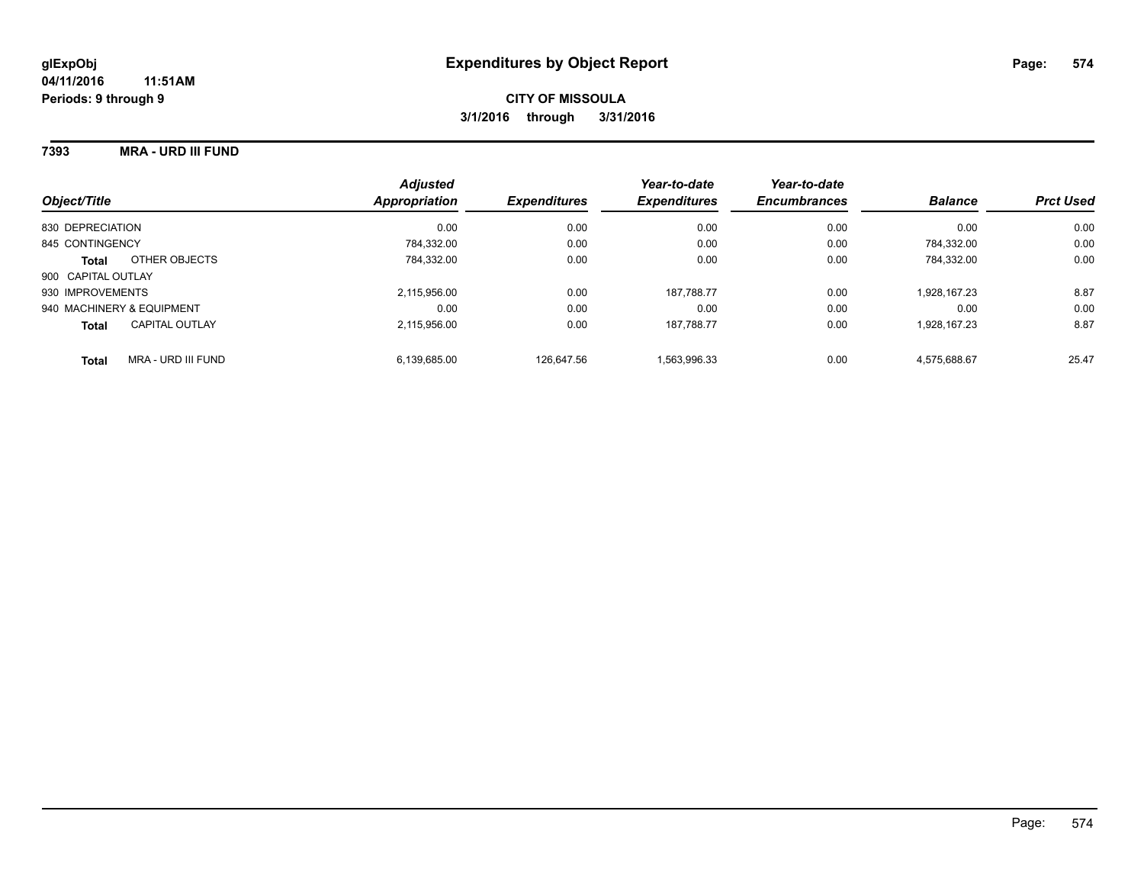### **7393 MRA - URD III FUND**

| Object/Title                       | <b>Adjusted</b><br>Appropriation | <b>Expenditures</b> | Year-to-date<br><b>Expenditures</b> | Year-to-date<br><b>Encumbrances</b> | <b>Balance</b> | <b>Prct Used</b> |
|------------------------------------|----------------------------------|---------------------|-------------------------------------|-------------------------------------|----------------|------------------|
| 830 DEPRECIATION                   | 0.00                             | 0.00                | 0.00                                | 0.00                                | 0.00           | 0.00             |
| 845 CONTINGENCY                    | 784.332.00                       | 0.00                | 0.00                                | 0.00                                | 784.332.00     | 0.00             |
| OTHER OBJECTS<br><b>Total</b>      | 784.332.00                       | 0.00                | 0.00                                | 0.00                                | 784.332.00     | 0.00             |
| 900 CAPITAL OUTLAY                 |                                  |                     |                                     |                                     |                |                  |
| 930 IMPROVEMENTS                   | 2,115,956.00                     | 0.00                | 187.788.77                          | 0.00                                | 1.928.167.23   | 8.87             |
| 940 MACHINERY & EQUIPMENT          | 0.00                             | 0.00                | 0.00                                | 0.00                                | 0.00           | 0.00             |
| CAPITAL OUTLAY<br><b>Total</b>     | 2.115.956.00                     | 0.00                | 187.788.77                          | 0.00                                | 1.928.167.23   | 8.87             |
| MRA - URD III FUND<br><b>Total</b> | 6.139.685.00                     | 126.647.56          | 1.563.996.33                        | 0.00                                | 4.575.688.67   | 25.47            |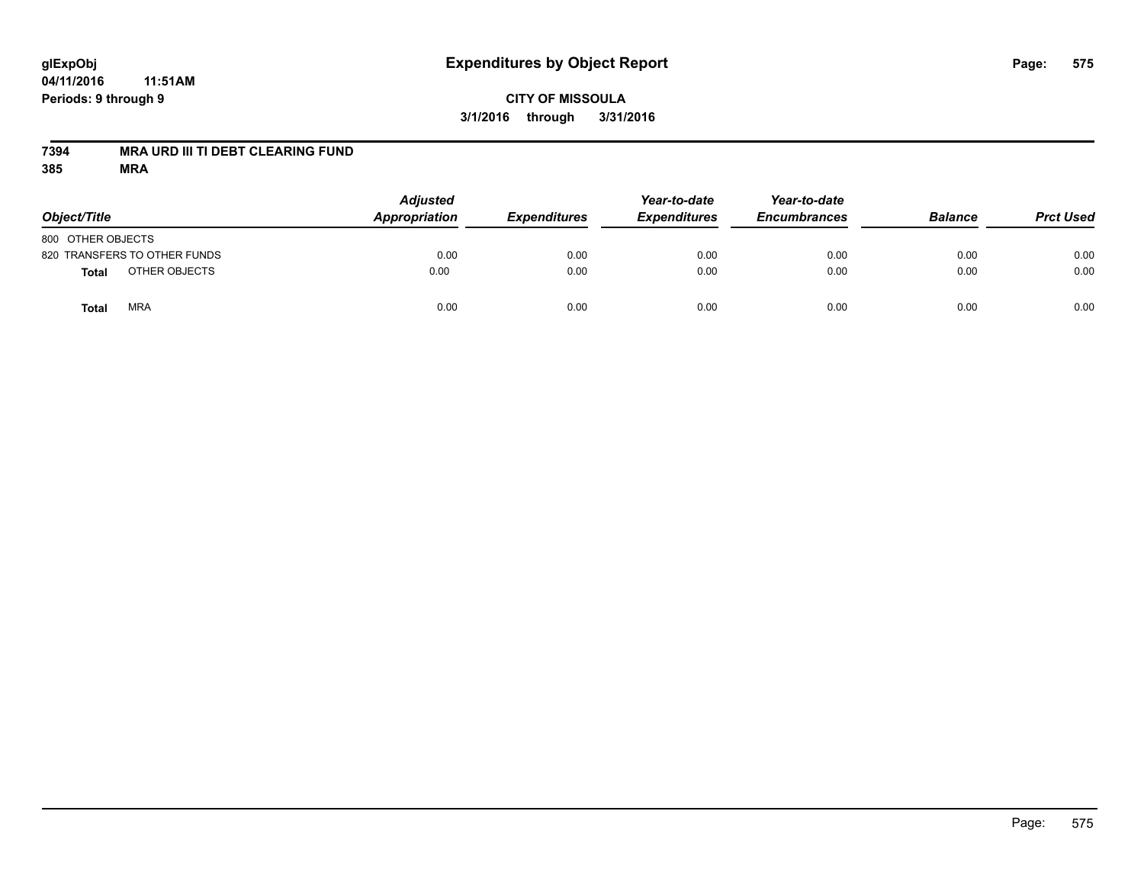# **glExpObj Expenditures by Object Report Page: 575**

**04/11/2016 11:51AM Periods: 9 through 9**

**7394 MRA URD III TI DEBT CLEARING FUND**

| Object/Title                  | <b>Adjusted</b><br>Appropriation | <b>Expenditures</b> | Year-to-date<br><b>Expenditures</b> | Year-to-date<br><b>Encumbrances</b> | <b>Balance</b> | <b>Prct Used</b> |
|-------------------------------|----------------------------------|---------------------|-------------------------------------|-------------------------------------|----------------|------------------|
| 800 OTHER OBJECTS             |                                  |                     |                                     |                                     |                |                  |
| 820 TRANSFERS TO OTHER FUNDS  | 0.00                             | 0.00                | 0.00                                | 0.00                                | 0.00           | 0.00             |
| OTHER OBJECTS<br><b>Total</b> | 0.00                             | 0.00                | 0.00                                | 0.00                                | 0.00           | 0.00             |
| <b>MRA</b><br>Total           | 0.00                             | 0.00                | 0.00                                | 0.00                                | 0.00           | 0.00             |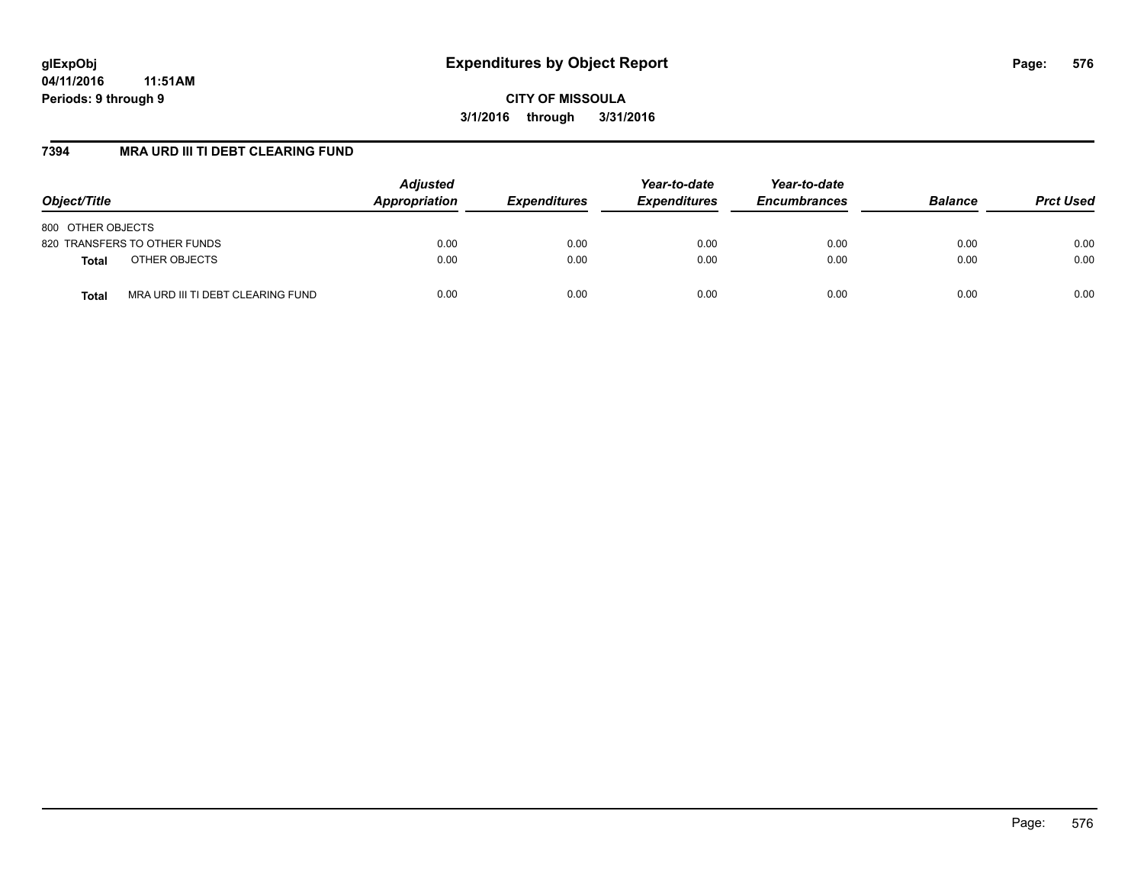**CITY OF MISSOULA 3/1/2016 through 3/31/2016**

# **7394 MRA URD III TI DEBT CLEARING FUND**

| Object/Title                               | <b>Adjusted</b><br>Appropriation | <b>Expenditures</b> | Year-to-date<br><b>Expenditures</b> | Year-to-date<br><b>Encumbrances</b> | <b>Balance</b> | <b>Prct Used</b> |
|--------------------------------------------|----------------------------------|---------------------|-------------------------------------|-------------------------------------|----------------|------------------|
| 800 OTHER OBJECTS                          |                                  |                     |                                     |                                     |                |                  |
| 820 TRANSFERS TO OTHER FUNDS               | 0.00                             | 0.00                | 0.00                                | 0.00                                | 0.00           | 0.00             |
| OTHER OBJECTS<br><b>Total</b>              | 0.00                             | 0.00                | 0.00                                | 0.00                                | 0.00           | 0.00             |
| MRA URD III TI DEBT CLEARING FUND<br>Total | 0.00                             | 0.00                | 0.00                                | 0.00                                | 0.00           | 0.00             |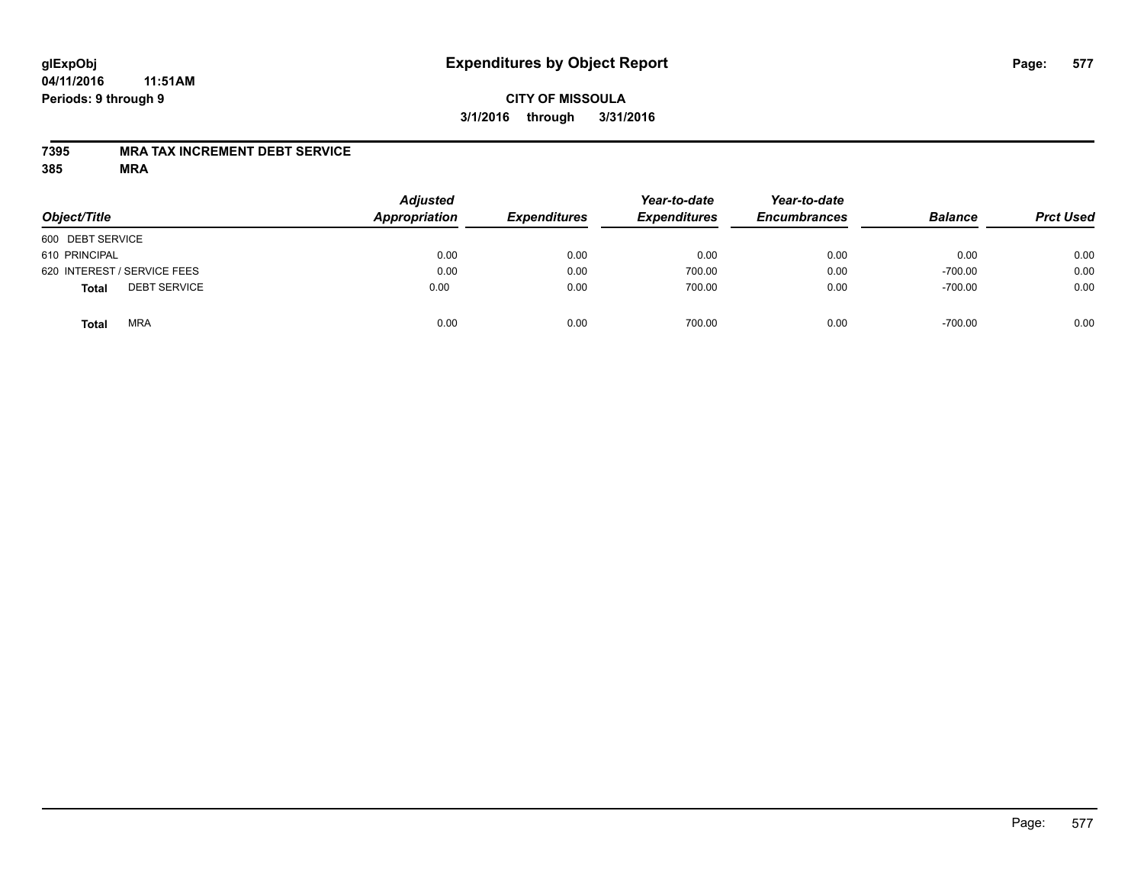#### **04/11/2016 11:51AM Periods: 9 through 9**

### **CITY OF MISSOULA 3/1/2016 through 3/31/2016**

### **7395 MRA TAX INCREMENT DEBT SERVICE**

| Object/Title                        | <b>Adjusted</b><br>Appropriation | <b>Expenditures</b> | Year-to-date<br><b>Expenditures</b> | Year-to-date<br><b>Encumbrances</b> | <b>Balance</b> | <b>Prct Used</b> |
|-------------------------------------|----------------------------------|---------------------|-------------------------------------|-------------------------------------|----------------|------------------|
| 600 DEBT SERVICE                    |                                  |                     |                                     |                                     |                |                  |
| 610 PRINCIPAL                       | 0.00                             | 0.00                | 0.00                                | 0.00                                | 0.00           | 0.00             |
| 620 INTEREST / SERVICE FEES         | 0.00                             | 0.00                | 700.00                              | 0.00                                | $-700.00$      | 0.00             |
| <b>DEBT SERVICE</b><br><b>Total</b> | 0.00                             | 0.00                | 700.00                              | 0.00                                | $-700.00$      | 0.00             |
| <b>MRA</b><br>Total                 | 0.00                             | 0.00                | 700.00                              | 0.00                                | $-700.00$      | 0.00             |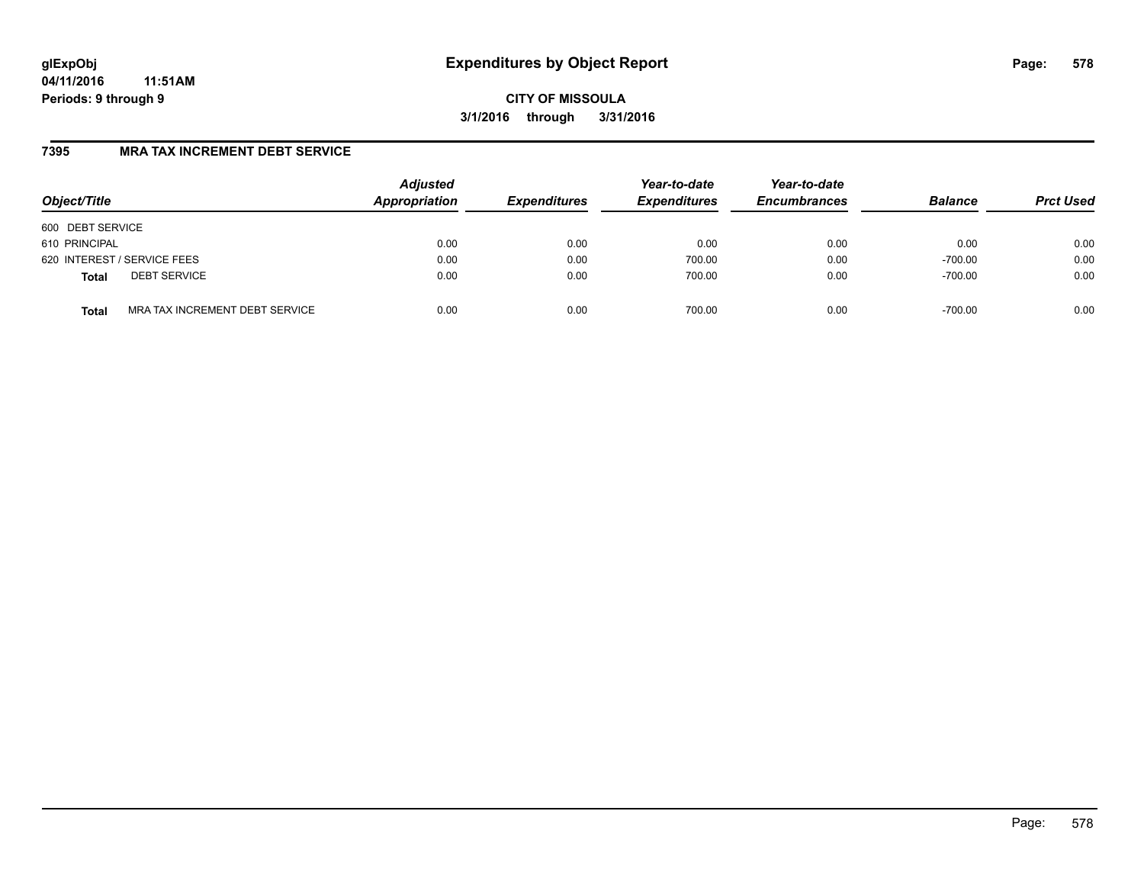# **glExpObj Expenditures by Object Report Page: 578**

**04/11/2016 11:51AM Periods: 9 through 9**

**CITY OF MISSOULA 3/1/2016 through 3/31/2016**

### **7395 MRA TAX INCREMENT DEBT SERVICE**

| Object/Title     |                                | <b>Adjusted</b><br>Appropriation | <b>Expenditures</b> | Year-to-date<br><b>Expenditures</b> | Year-to-date<br><b>Encumbrances</b> | <b>Balance</b> | <b>Prct Used</b> |
|------------------|--------------------------------|----------------------------------|---------------------|-------------------------------------|-------------------------------------|----------------|------------------|
| 600 DEBT SERVICE |                                |                                  |                     |                                     |                                     |                |                  |
| 610 PRINCIPAL    |                                | 0.00                             | 0.00                | 0.00                                | 0.00                                | 0.00           | 0.00             |
|                  | 620 INTEREST / SERVICE FEES    | 0.00                             | 0.00                | 700.00                              | 0.00                                | $-700.00$      | 0.00             |
| <b>Total</b>     | <b>DEBT SERVICE</b>            | 0.00                             | 0.00                | 700.00                              | 0.00                                | $-700.00$      | 0.00             |
| <b>Total</b>     | MRA TAX INCREMENT DEBT SERVICE | 0.00                             | 0.00                | 700.00                              | 0.00                                | $-700.00$      | 0.00             |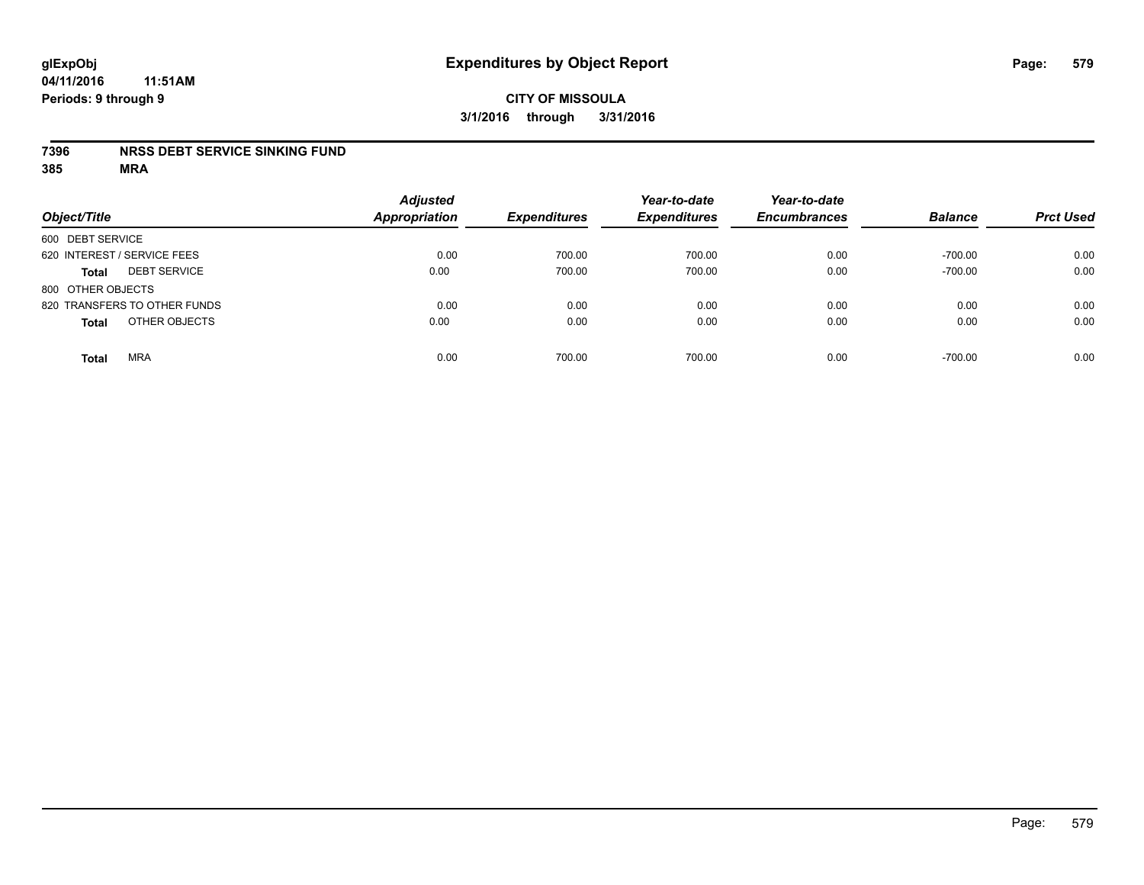#### **04/11/2016 11:51AM Periods: 9 through 9**

## **CITY OF MISSOULA 3/1/2016 through 3/31/2016**

#### **7396 NRSS DEBT SERVICE SINKING FUND**

| Object/Title                        | <b>Adjusted</b><br><b>Appropriation</b> | <b>Expenditures</b> | Year-to-date<br><b>Expenditures</b> | Year-to-date<br><b>Encumbrances</b> | <b>Balance</b> | <b>Prct Used</b> |
|-------------------------------------|-----------------------------------------|---------------------|-------------------------------------|-------------------------------------|----------------|------------------|
| 600 DEBT SERVICE                    |                                         |                     |                                     |                                     |                |                  |
| 620 INTEREST / SERVICE FEES         | 0.00                                    | 700.00              | 700.00                              | 0.00                                | $-700.00$      | 0.00             |
| <b>DEBT SERVICE</b><br><b>Total</b> | 0.00                                    | 700.00              | 700.00                              | 0.00                                | $-700.00$      | 0.00             |
| 800 OTHER OBJECTS                   |                                         |                     |                                     |                                     |                |                  |
| 820 TRANSFERS TO OTHER FUNDS        | 0.00                                    | 0.00                | 0.00                                | 0.00                                | 0.00           | 0.00             |
| OTHER OBJECTS<br><b>Total</b>       | 0.00                                    | 0.00                | 0.00                                | 0.00                                | 0.00           | 0.00             |
| <b>MRA</b><br><b>Total</b>          | 0.00                                    | 700.00              | 700.00                              | 0.00                                | $-700.00$      | 0.00             |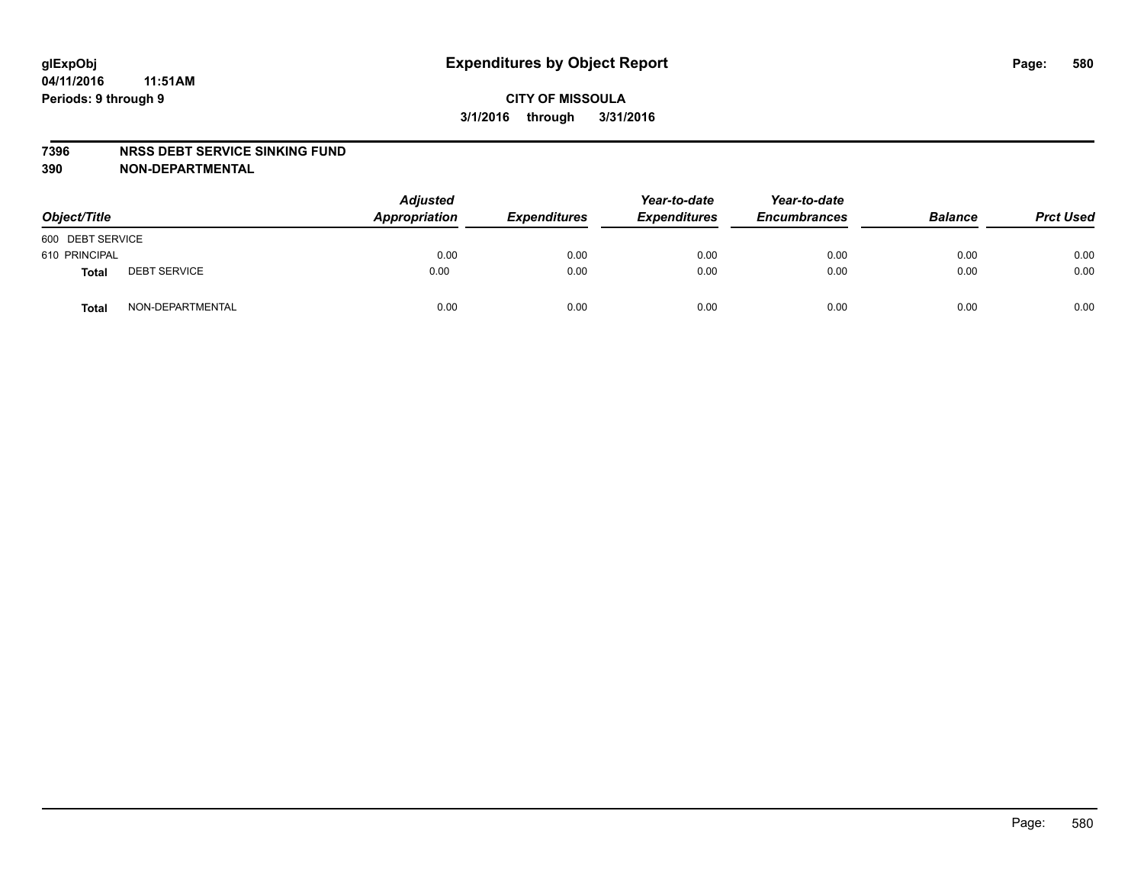#### **7396 NRSS DEBT SERVICE SINKING FUND**

**390 NON-DEPARTMENTAL**

| Object/Title     |                     | <b>Adjusted</b><br>Appropriation | <b>Expenditures</b> | Year-to-date<br><b>Expenditures</b> | Year-to-date<br><b>Encumbrances</b> | <b>Balance</b> | <b>Prct Used</b> |
|------------------|---------------------|----------------------------------|---------------------|-------------------------------------|-------------------------------------|----------------|------------------|
| 600 DEBT SERVICE |                     |                                  |                     |                                     |                                     |                |                  |
| 610 PRINCIPAL    |                     | 0.00                             | 0.00                | 0.00                                | 0.00                                | 0.00           | 0.00             |
| Total            | <b>DEBT SERVICE</b> | 0.00                             | 0.00                | 0.00                                | 0.00                                | 0.00           | 0.00             |
| Total            | NON-DEPARTMENTAL    | 0.00                             | 0.00                | 0.00                                | 0.00                                | 0.00           | 0.00             |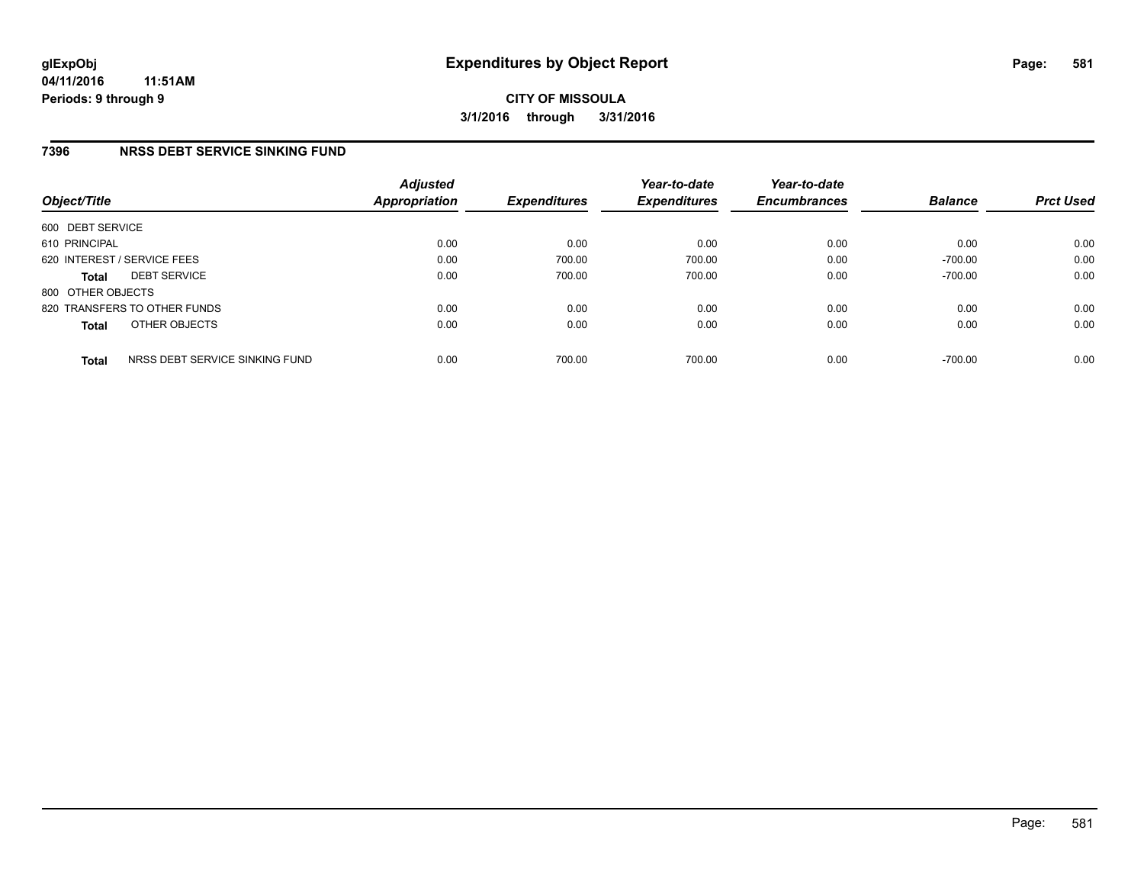### **7396 NRSS DEBT SERVICE SINKING FUND**

| Object/Title      |                                | <b>Adjusted</b><br>Appropriation | <b>Expenditures</b> | Year-to-date<br><b>Expenditures</b> | Year-to-date<br><b>Encumbrances</b> | <b>Balance</b> | <b>Prct Used</b> |
|-------------------|--------------------------------|----------------------------------|---------------------|-------------------------------------|-------------------------------------|----------------|------------------|
| 600 DEBT SERVICE  |                                |                                  |                     |                                     |                                     |                |                  |
| 610 PRINCIPAL     |                                | 0.00                             | 0.00                | 0.00                                | 0.00                                | 0.00           | 0.00             |
|                   | 620 INTEREST / SERVICE FEES    | 0.00                             | 700.00              | 700.00                              | 0.00                                | $-700.00$      | 0.00             |
| <b>Total</b>      | <b>DEBT SERVICE</b>            | 0.00                             | 700.00              | 700.00                              | 0.00                                | $-700.00$      | 0.00             |
| 800 OTHER OBJECTS |                                |                                  |                     |                                     |                                     |                |                  |
|                   | 820 TRANSFERS TO OTHER FUNDS   | 0.00                             | 0.00                | 0.00                                | 0.00                                | 0.00           | 0.00             |
| <b>Total</b>      | OTHER OBJECTS                  | 0.00                             | 0.00                | 0.00                                | 0.00                                | 0.00           | 0.00             |
| <b>Total</b>      | NRSS DEBT SERVICE SINKING FUND | 0.00                             | 700.00              | 700.00                              | 0.00                                | $-700.00$      | 0.00             |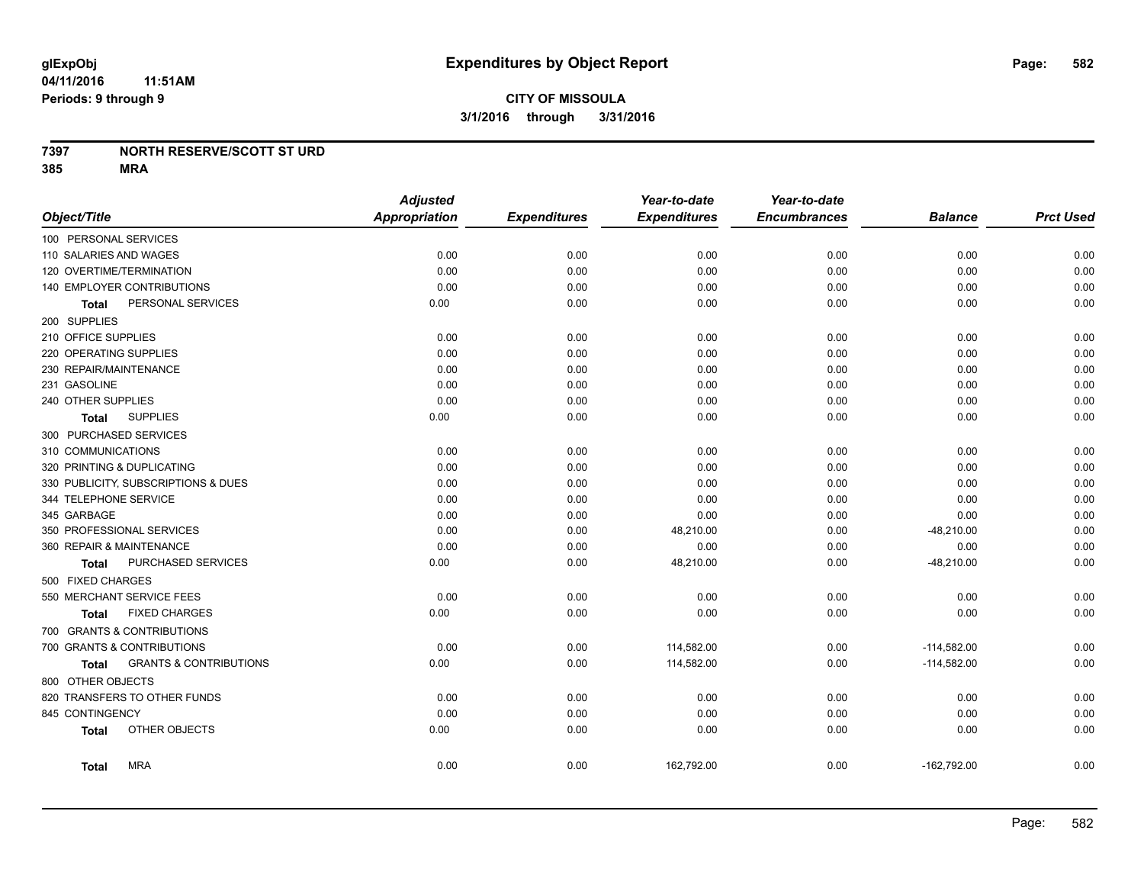### **7397 NORTH RESERVE/SCOTT ST URD**

|                                     |                                   | <b>Adjusted</b>      |                     | Year-to-date        | Year-to-date        |                |                  |
|-------------------------------------|-----------------------------------|----------------------|---------------------|---------------------|---------------------|----------------|------------------|
| Object/Title                        |                                   | <b>Appropriation</b> | <b>Expenditures</b> | <b>Expenditures</b> | <b>Encumbrances</b> | <b>Balance</b> | <b>Prct Used</b> |
| 100 PERSONAL SERVICES               |                                   |                      |                     |                     |                     |                |                  |
| 110 SALARIES AND WAGES              |                                   | 0.00                 | 0.00                | 0.00                | 0.00                | 0.00           | 0.00             |
| 120 OVERTIME/TERMINATION            |                                   | 0.00                 | 0.00                | 0.00                | 0.00                | 0.00           | 0.00             |
| 140 EMPLOYER CONTRIBUTIONS          |                                   | 0.00                 | 0.00                | 0.00                | 0.00                | 0.00           | 0.00             |
| Total                               | PERSONAL SERVICES                 | 0.00                 | 0.00                | 0.00                | 0.00                | 0.00           | 0.00             |
| 200 SUPPLIES                        |                                   |                      |                     |                     |                     |                |                  |
| 210 OFFICE SUPPLIES                 |                                   | 0.00                 | 0.00                | 0.00                | 0.00                | 0.00           | 0.00             |
| 220 OPERATING SUPPLIES              |                                   | 0.00                 | 0.00                | 0.00                | 0.00                | 0.00           | 0.00             |
| 230 REPAIR/MAINTENANCE              |                                   | 0.00                 | 0.00                | 0.00                | 0.00                | 0.00           | 0.00             |
| 231 GASOLINE                        |                                   | 0.00                 | 0.00                | 0.00                | 0.00                | 0.00           | 0.00             |
| 240 OTHER SUPPLIES                  |                                   | 0.00                 | 0.00                | 0.00                | 0.00                | 0.00           | 0.00             |
| <b>SUPPLIES</b><br>Total            |                                   | 0.00                 | 0.00                | 0.00                | 0.00                | 0.00           | 0.00             |
| 300 PURCHASED SERVICES              |                                   |                      |                     |                     |                     |                |                  |
| 310 COMMUNICATIONS                  |                                   | 0.00                 | 0.00                | 0.00                | 0.00                | 0.00           | 0.00             |
| 320 PRINTING & DUPLICATING          |                                   | 0.00                 | 0.00                | 0.00                | 0.00                | 0.00           | 0.00             |
| 330 PUBLICITY, SUBSCRIPTIONS & DUES |                                   | 0.00                 | 0.00                | 0.00                | 0.00                | 0.00           | 0.00             |
| 344 TELEPHONE SERVICE               |                                   | 0.00                 | 0.00                | 0.00                | 0.00                | 0.00           | 0.00             |
| 345 GARBAGE                         |                                   | 0.00                 | 0.00                | 0.00                | 0.00                | 0.00           | 0.00             |
| 350 PROFESSIONAL SERVICES           |                                   | 0.00                 | 0.00                | 48,210.00           | 0.00                | $-48,210.00$   | 0.00             |
| 360 REPAIR & MAINTENANCE            |                                   | 0.00                 | 0.00                | 0.00                | 0.00                | 0.00           | 0.00             |
| Total                               | PURCHASED SERVICES                | 0.00                 | 0.00                | 48,210.00           | 0.00                | $-48,210.00$   | 0.00             |
| 500 FIXED CHARGES                   |                                   |                      |                     |                     |                     |                |                  |
| 550 MERCHANT SERVICE FEES           |                                   | 0.00                 | 0.00                | 0.00                | 0.00                | 0.00           | 0.00             |
| <b>FIXED CHARGES</b><br>Total       |                                   | 0.00                 | 0.00                | 0.00                | 0.00                | 0.00           | 0.00             |
| 700 GRANTS & CONTRIBUTIONS          |                                   |                      |                     |                     |                     |                |                  |
| 700 GRANTS & CONTRIBUTIONS          |                                   | 0.00                 | 0.00                | 114,582.00          | 0.00                | $-114,582.00$  | 0.00             |
| <b>Total</b>                        | <b>GRANTS &amp; CONTRIBUTIONS</b> | 0.00                 | 0.00                | 114,582.00          | 0.00                | $-114,582.00$  | 0.00             |
| 800 OTHER OBJECTS                   |                                   |                      |                     |                     |                     |                |                  |
| 820 TRANSFERS TO OTHER FUNDS        |                                   | 0.00                 | 0.00                | 0.00                | 0.00                | 0.00           | 0.00             |
| 845 CONTINGENCY                     |                                   | 0.00                 | 0.00                | 0.00                | 0.00                | 0.00           | 0.00             |
| OTHER OBJECTS<br><b>Total</b>       |                                   | 0.00                 | 0.00                | 0.00                | 0.00                | 0.00           | 0.00             |
| <b>MRA</b><br><b>Total</b>          |                                   | 0.00                 | 0.00                | 162,792.00          | 0.00                | $-162,792.00$  | 0.00             |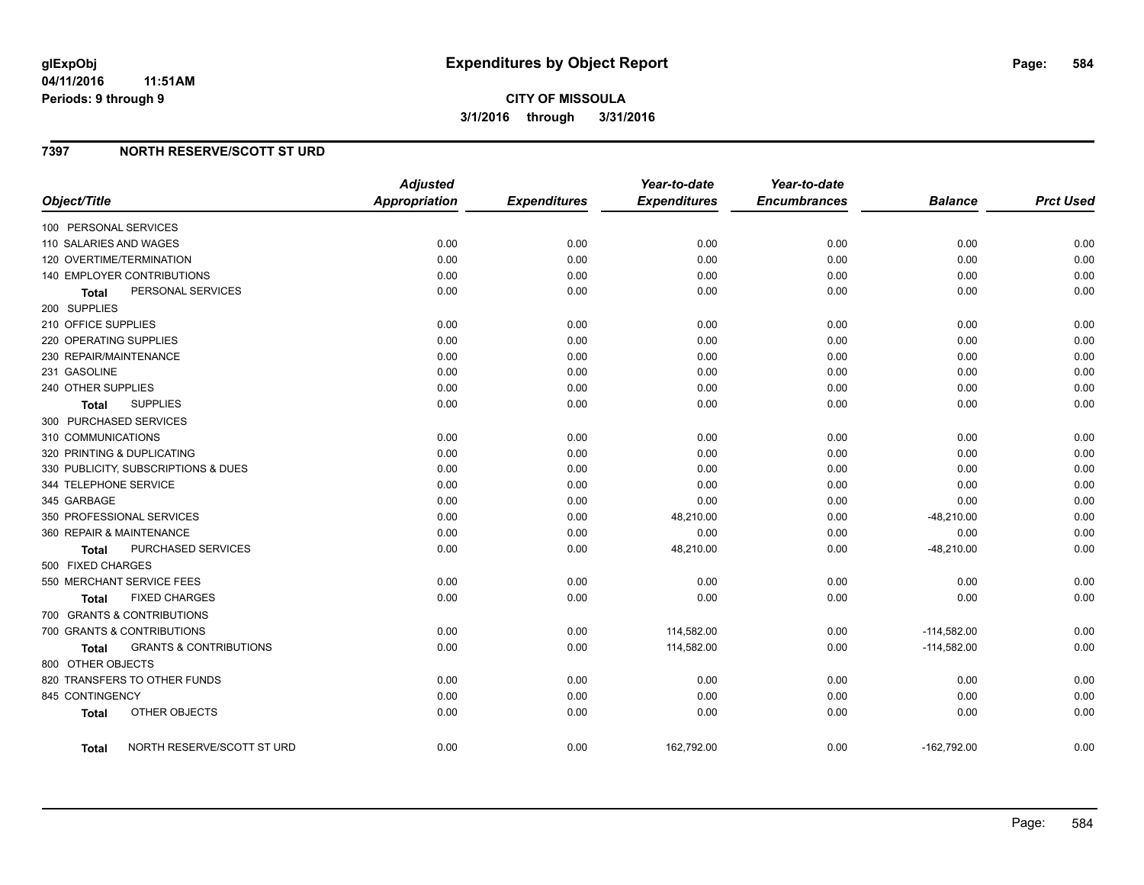**04/11/2016 11:51AM Periods: 9 through 9**

### **7397 NORTH RESERVE/SCOTT ST URD**

|                                                   | <b>Adjusted</b>      |                     | Year-to-date        | Year-to-date        |                |                  |
|---------------------------------------------------|----------------------|---------------------|---------------------|---------------------|----------------|------------------|
| Object/Title                                      | <b>Appropriation</b> | <b>Expenditures</b> | <b>Expenditures</b> | <b>Encumbrances</b> | <b>Balance</b> | <b>Prct Used</b> |
| 100 PERSONAL SERVICES                             |                      |                     |                     |                     |                |                  |
| 110 SALARIES AND WAGES                            | 0.00                 | 0.00                | 0.00                | 0.00                | 0.00           | 0.00             |
| 120 OVERTIME/TERMINATION                          | 0.00                 | 0.00                | 0.00                | 0.00                | 0.00           | 0.00             |
| 140 EMPLOYER CONTRIBUTIONS                        | 0.00                 | 0.00                | 0.00                | 0.00                | 0.00           | 0.00             |
| PERSONAL SERVICES<br><b>Total</b>                 | 0.00                 | 0.00                | 0.00                | 0.00                | 0.00           | 0.00             |
| 200 SUPPLIES                                      |                      |                     |                     |                     |                |                  |
| 210 OFFICE SUPPLIES                               | 0.00                 | 0.00                | 0.00                | 0.00                | 0.00           | 0.00             |
| 220 OPERATING SUPPLIES                            | 0.00                 | 0.00                | 0.00                | 0.00                | 0.00           | 0.00             |
| 230 REPAIR/MAINTENANCE                            | 0.00                 | 0.00                | 0.00                | 0.00                | 0.00           | 0.00             |
| 231 GASOLINE                                      | 0.00                 | 0.00                | 0.00                | 0.00                | 0.00           | 0.00             |
| 240 OTHER SUPPLIES                                | 0.00                 | 0.00                | 0.00                | 0.00                | 0.00           | 0.00             |
| <b>SUPPLIES</b><br><b>Total</b>                   | 0.00                 | 0.00                | 0.00                | 0.00                | 0.00           | 0.00             |
| 300 PURCHASED SERVICES                            |                      |                     |                     |                     |                |                  |
| 310 COMMUNICATIONS                                | 0.00                 | 0.00                | 0.00                | 0.00                | 0.00           | 0.00             |
| 320 PRINTING & DUPLICATING                        | 0.00                 | 0.00                | 0.00                | 0.00                | 0.00           | 0.00             |
| 330 PUBLICITY, SUBSCRIPTIONS & DUES               | 0.00                 | 0.00                | 0.00                | 0.00                | 0.00           | 0.00             |
| 344 TELEPHONE SERVICE                             | 0.00                 | 0.00                | 0.00                | 0.00                | 0.00           | 0.00             |
| 345 GARBAGE                                       | 0.00                 | 0.00                | 0.00                | 0.00                | 0.00           | 0.00             |
| 350 PROFESSIONAL SERVICES                         | 0.00                 | 0.00                | 48,210.00           | 0.00                | $-48,210.00$   | 0.00             |
| 360 REPAIR & MAINTENANCE                          | 0.00                 | 0.00                | 0.00                | 0.00                | 0.00           | 0.00             |
| PURCHASED SERVICES<br>Total                       | 0.00                 | 0.00                | 48,210.00           | 0.00                | $-48,210.00$   | 0.00             |
| 500 FIXED CHARGES                                 |                      |                     |                     |                     |                |                  |
| 550 MERCHANT SERVICE FEES                         | 0.00                 | 0.00                | 0.00                | 0.00                | 0.00           | 0.00             |
| <b>FIXED CHARGES</b><br>Total                     | 0.00                 | 0.00                | 0.00                | 0.00                | 0.00           | 0.00             |
| 700 GRANTS & CONTRIBUTIONS                        |                      |                     |                     |                     |                |                  |
| 700 GRANTS & CONTRIBUTIONS                        | 0.00                 | 0.00                | 114,582.00          | 0.00                | $-114,582.00$  | 0.00             |
| <b>GRANTS &amp; CONTRIBUTIONS</b><br><b>Total</b> | 0.00                 | 0.00                | 114,582.00          | 0.00                | $-114,582.00$  | 0.00             |
| 800 OTHER OBJECTS                                 |                      |                     |                     |                     |                |                  |
| 820 TRANSFERS TO OTHER FUNDS                      | 0.00                 | 0.00                | 0.00                | 0.00                | 0.00           | 0.00             |
| 845 CONTINGENCY                                   | 0.00                 | 0.00                | 0.00                | 0.00                | 0.00           | 0.00             |
| OTHER OBJECTS<br><b>Total</b>                     | 0.00                 | 0.00                | 0.00                | 0.00                | 0.00           | 0.00             |
| NORTH RESERVE/SCOTT ST URD<br>Total               | 0.00                 | 0.00                | 162,792.00          | 0.00                | $-162,792.00$  | 0.00             |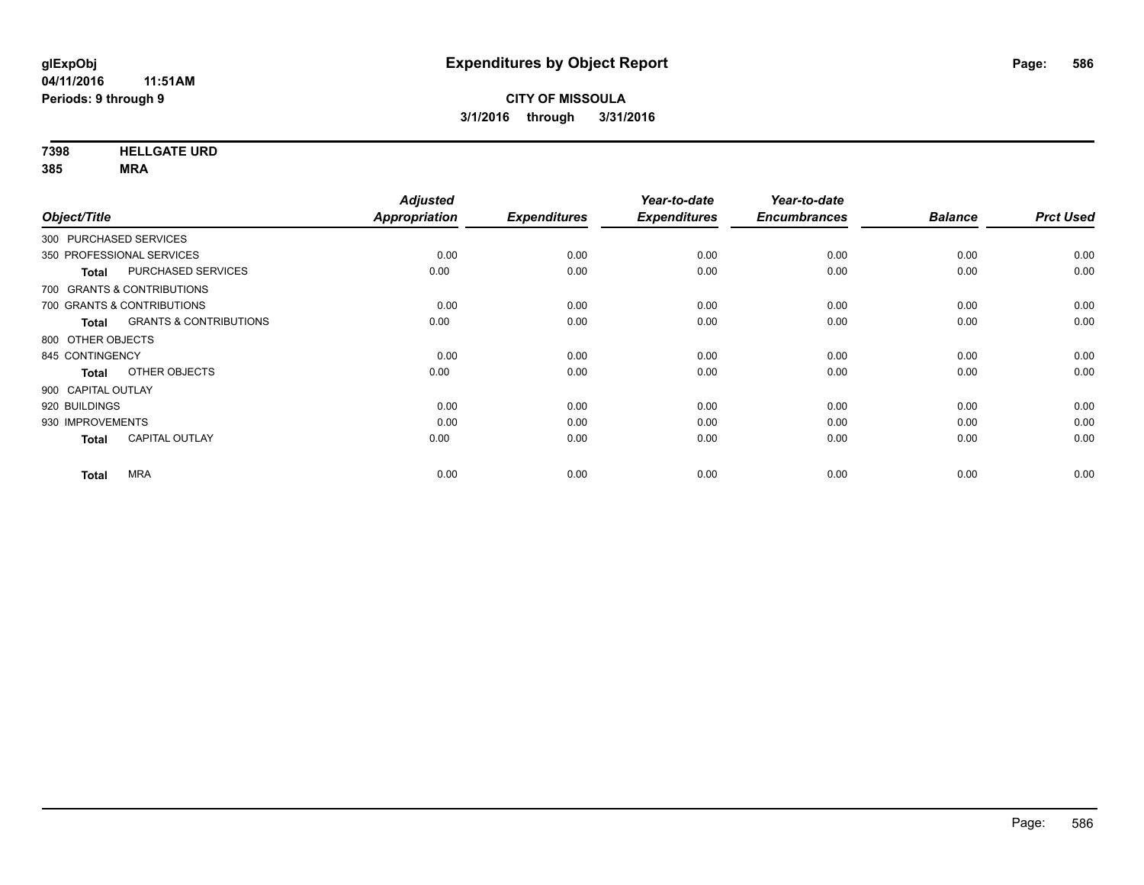**7398 HELLGATE URD**

|                                                   | <b>Adjusted</b>      |                     | Year-to-date        | Year-to-date        |                |                  |
|---------------------------------------------------|----------------------|---------------------|---------------------|---------------------|----------------|------------------|
| Object/Title                                      | <b>Appropriation</b> | <b>Expenditures</b> | <b>Expenditures</b> | <b>Encumbrances</b> | <b>Balance</b> | <b>Prct Used</b> |
| 300 PURCHASED SERVICES                            |                      |                     |                     |                     |                |                  |
| 350 PROFESSIONAL SERVICES                         | 0.00                 | 0.00                | 0.00                | 0.00                | 0.00           | 0.00             |
| PURCHASED SERVICES<br><b>Total</b>                | 0.00                 | 0.00                | 0.00                | 0.00                | 0.00           | 0.00             |
| 700 GRANTS & CONTRIBUTIONS                        |                      |                     |                     |                     |                |                  |
| 700 GRANTS & CONTRIBUTIONS                        | 0.00                 | 0.00                | 0.00                | 0.00                | 0.00           | 0.00             |
| <b>GRANTS &amp; CONTRIBUTIONS</b><br><b>Total</b> | 0.00                 | 0.00                | 0.00                | 0.00                | 0.00           | 0.00             |
| 800 OTHER OBJECTS                                 |                      |                     |                     |                     |                |                  |
| 845 CONTINGENCY                                   | 0.00                 | 0.00                | 0.00                | 0.00                | 0.00           | 0.00             |
| OTHER OBJECTS<br><b>Total</b>                     | 0.00                 | 0.00                | 0.00                | 0.00                | 0.00           | 0.00             |
| 900 CAPITAL OUTLAY                                |                      |                     |                     |                     |                |                  |
| 920 BUILDINGS                                     | 0.00                 | 0.00                | 0.00                | 0.00                | 0.00           | 0.00             |
| 930 IMPROVEMENTS                                  | 0.00                 | 0.00                | 0.00                | 0.00                | 0.00           | 0.00             |
| <b>CAPITAL OUTLAY</b><br><b>Total</b>             | 0.00                 | 0.00                | 0.00                | 0.00                | 0.00           | 0.00             |
| <b>MRA</b>                                        | 0.00                 | 0.00                | 0.00                | 0.00                | 0.00           | 0.00             |
| <b>Total</b>                                      |                      |                     |                     |                     |                |                  |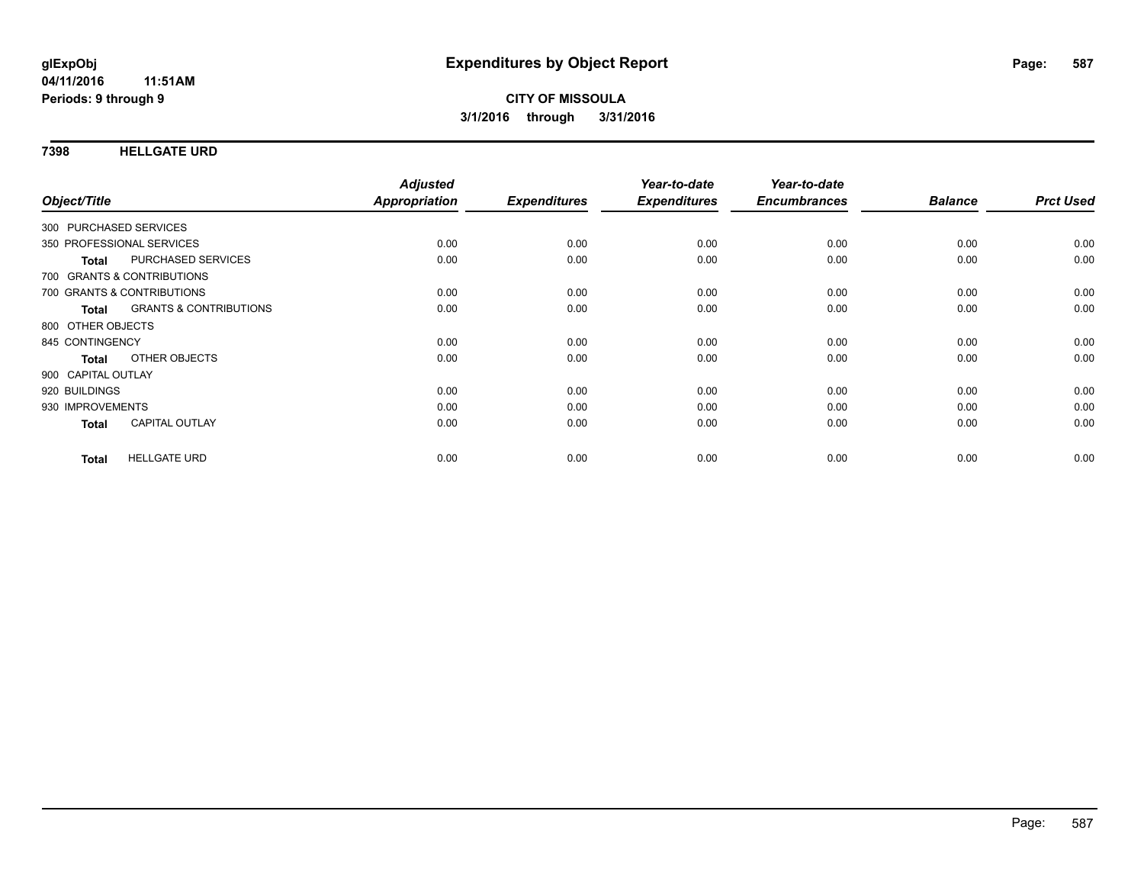### **7398 HELLGATE URD**

| Object/Title                               | <b>Adjusted</b><br>Appropriation | <b>Expenditures</b> | Year-to-date<br><b>Expenditures</b> | Year-to-date<br><b>Encumbrances</b> | <b>Balance</b> | <b>Prct Used</b> |
|--------------------------------------------|----------------------------------|---------------------|-------------------------------------|-------------------------------------|----------------|------------------|
|                                            |                                  |                     |                                     |                                     |                |                  |
| 300 PURCHASED SERVICES                     |                                  |                     |                                     |                                     |                |                  |
| 350 PROFESSIONAL SERVICES                  | 0.00                             | 0.00                | 0.00                                | 0.00                                | 0.00           | 0.00             |
| PURCHASED SERVICES<br><b>Total</b>         | 0.00                             | 0.00                | 0.00                                | 0.00                                | 0.00           | 0.00             |
| 700 GRANTS & CONTRIBUTIONS                 |                                  |                     |                                     |                                     |                |                  |
| 700 GRANTS & CONTRIBUTIONS                 | 0.00                             | 0.00                | 0.00                                | 0.00                                | 0.00           | 0.00             |
| <b>GRANTS &amp; CONTRIBUTIONS</b><br>Total | 0.00                             | 0.00                | 0.00                                | 0.00                                | 0.00           | 0.00             |
| 800 OTHER OBJECTS                          |                                  |                     |                                     |                                     |                |                  |
| 845 CONTINGENCY                            | 0.00                             | 0.00                | 0.00                                | 0.00                                | 0.00           | 0.00             |
| OTHER OBJECTS<br><b>Total</b>              | 0.00                             | 0.00                | 0.00                                | 0.00                                | 0.00           | 0.00             |
| 900 CAPITAL OUTLAY                         |                                  |                     |                                     |                                     |                |                  |
| 920 BUILDINGS                              | 0.00                             | 0.00                | 0.00                                | 0.00                                | 0.00           | 0.00             |
| 930 IMPROVEMENTS                           | 0.00                             | 0.00                | 0.00                                | 0.00                                | 0.00           | 0.00             |
| <b>CAPITAL OUTLAY</b><br><b>Total</b>      | 0.00                             | 0.00                | 0.00                                | 0.00                                | 0.00           | 0.00             |
| <b>HELLGATE URD</b><br><b>Total</b>        | 0.00                             | 0.00                | 0.00                                | 0.00                                | 0.00           | 0.00             |
|                                            |                                  |                     |                                     |                                     |                |                  |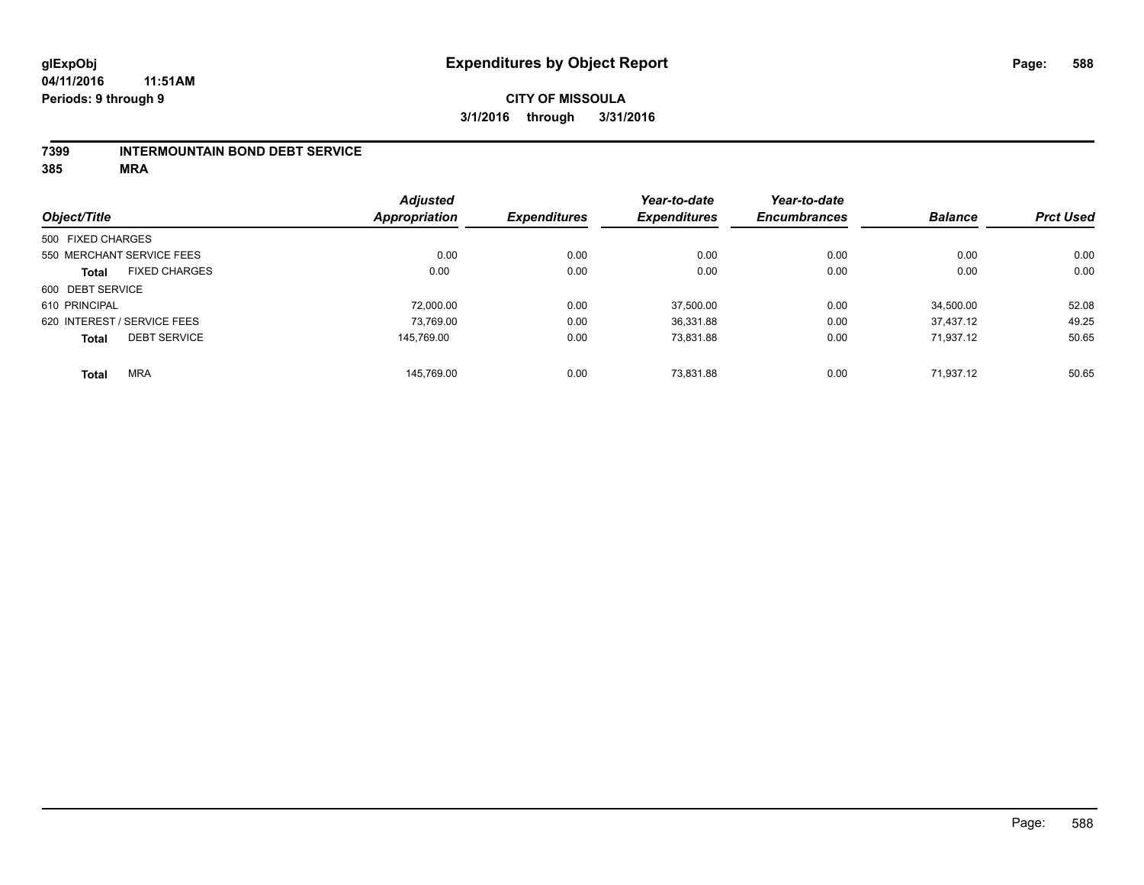#### **04/11/2016 11:51AM Periods: 9 through 9**

### **CITY OF MISSOULA 3/1/2016 through 3/31/2016**

#### **7399 INTERMOUNTAIN BOND DEBT SERVICE**

|                   |                             | <b>Adjusted</b> |                     | Year-to-date        | Year-to-date        |                |                  |
|-------------------|-----------------------------|-----------------|---------------------|---------------------|---------------------|----------------|------------------|
| Object/Title      |                             | Appropriation   | <b>Expenditures</b> | <b>Expenditures</b> | <b>Encumbrances</b> | <b>Balance</b> | <b>Prct Used</b> |
| 500 FIXED CHARGES |                             |                 |                     |                     |                     |                |                  |
|                   | 550 MERCHANT SERVICE FEES   | 0.00            | 0.00                | 0.00                | 0.00                | 0.00           | 0.00             |
| <b>Total</b>      | <b>FIXED CHARGES</b>        | 0.00            | 0.00                | 0.00                | 0.00                | 0.00           | 0.00             |
| 600 DEBT SERVICE  |                             |                 |                     |                     |                     |                |                  |
| 610 PRINCIPAL     |                             | 72,000.00       | 0.00                | 37.500.00           | 0.00                | 34.500.00      | 52.08            |
|                   | 620 INTEREST / SERVICE FEES | 73,769.00       | 0.00                | 36,331.88           | 0.00                | 37.437.12      | 49.25            |
| <b>Total</b>      | <b>DEBT SERVICE</b>         | 145.769.00      | 0.00                | 73,831.88           | 0.00                | 71.937.12      | 50.65            |
| <b>Total</b>      | <b>MRA</b>                  | 145.769.00      | 0.00                | 73.831.88           | 0.00                | 71.937.12      | 50.65            |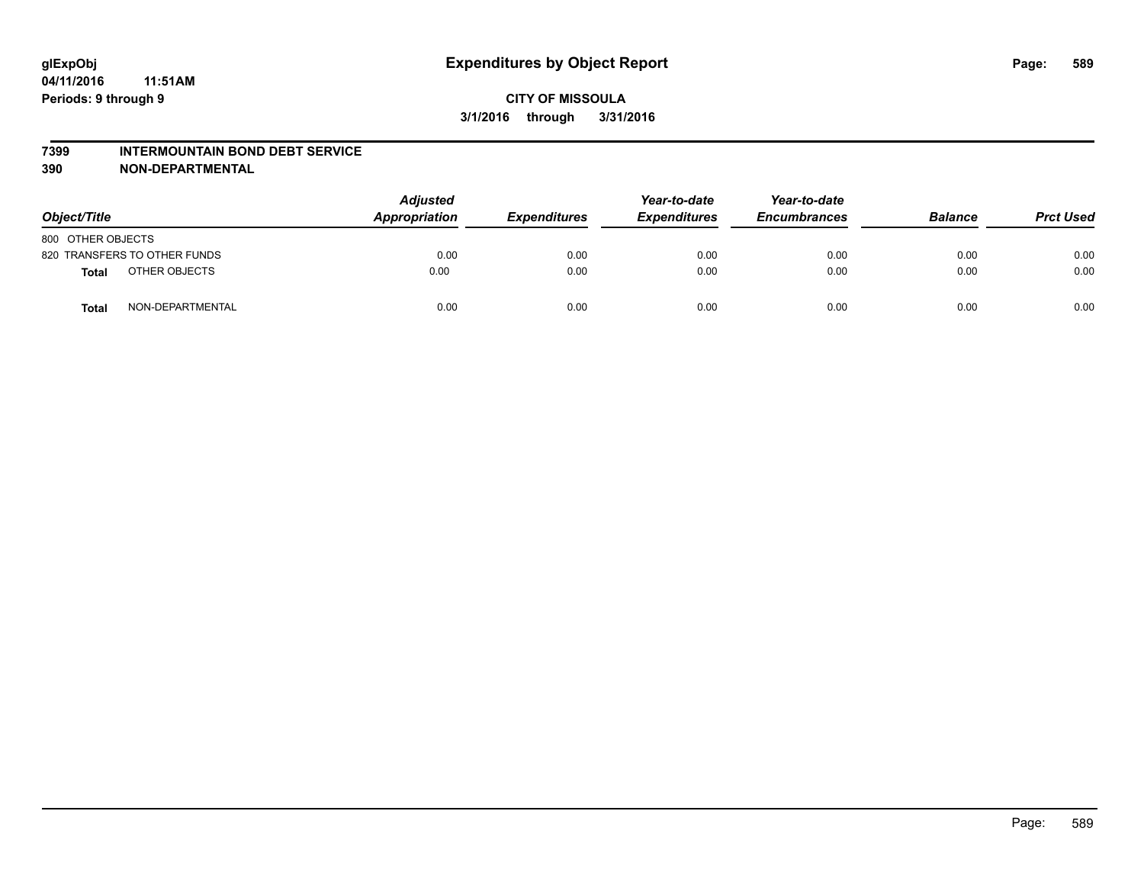#### **7399 INTERMOUNTAIN BOND DEBT SERVICE**

**390 NON-DEPARTMENTAL**

| Object/Title                     | <b>Adjusted</b><br>Appropriation | <b>Expenditures</b> | Year-to-date<br><b>Expenditures</b> | Year-to-date<br><b>Encumbrances</b> | <b>Balance</b> | <b>Prct Used</b> |
|----------------------------------|----------------------------------|---------------------|-------------------------------------|-------------------------------------|----------------|------------------|
| 800 OTHER OBJECTS                |                                  |                     |                                     |                                     |                |                  |
| 820 TRANSFERS TO OTHER FUNDS     | 0.00                             | 0.00                | 0.00                                | 0.00                                | 0.00           | 0.00             |
| OTHER OBJECTS<br><b>Total</b>    | 0.00                             | 0.00                | 0.00                                | 0.00                                | 0.00           | 0.00             |
| NON-DEPARTMENTAL<br><b>Total</b> | 0.00                             | 0.00                | 0.00                                | 0.00                                | 0.00           | 0.00             |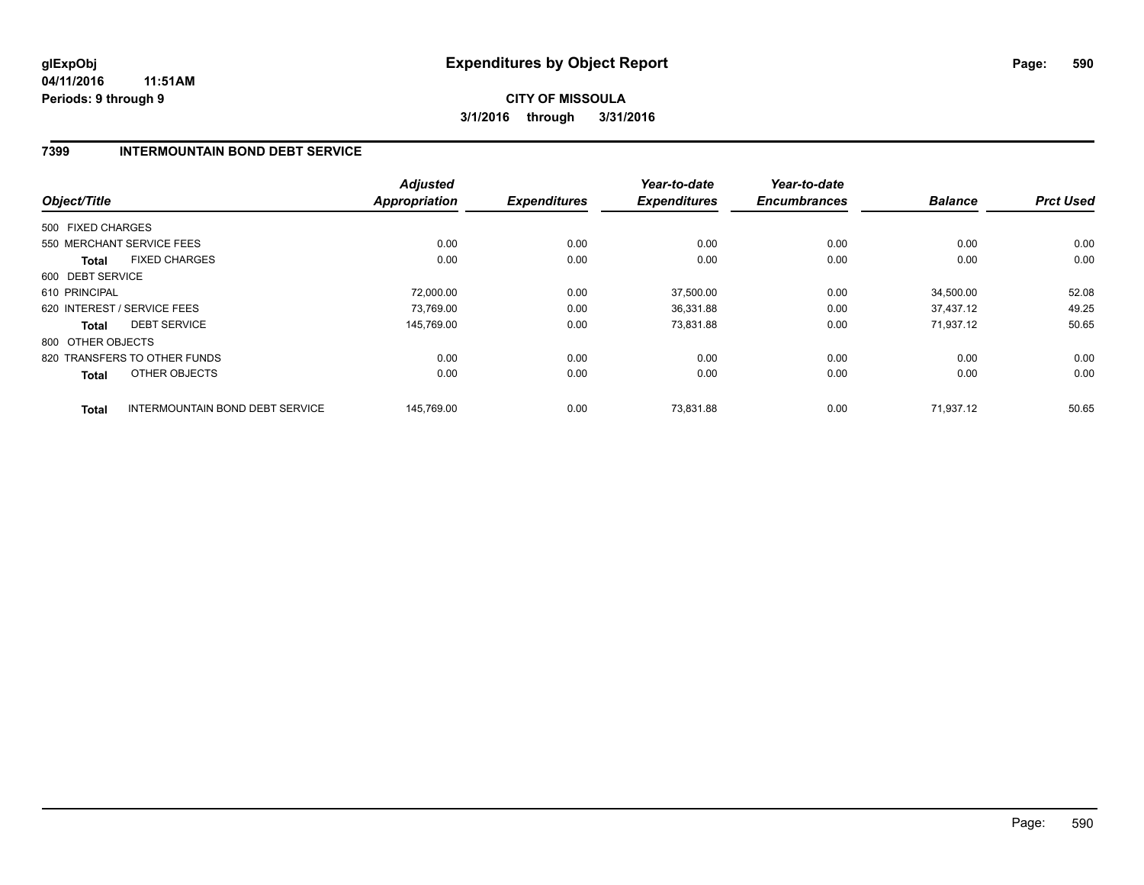### **7399 INTERMOUNTAIN BOND DEBT SERVICE**

|                   |                                        | <b>Adjusted</b> |                     | Year-to-date        | Year-to-date        |                |                  |
|-------------------|----------------------------------------|-----------------|---------------------|---------------------|---------------------|----------------|------------------|
| Object/Title      |                                        | Appropriation   | <b>Expenditures</b> | <b>Expenditures</b> | <b>Encumbrances</b> | <b>Balance</b> | <b>Prct Used</b> |
| 500 FIXED CHARGES |                                        |                 |                     |                     |                     |                |                  |
|                   | 550 MERCHANT SERVICE FEES              | 0.00            | 0.00                | 0.00                | 0.00                | 0.00           | 0.00             |
| <b>Total</b>      | <b>FIXED CHARGES</b>                   | 0.00            | 0.00                | 0.00                | 0.00                | 0.00           | 0.00             |
| 600 DEBT SERVICE  |                                        |                 |                     |                     |                     |                |                  |
| 610 PRINCIPAL     |                                        | 72,000.00       | 0.00                | 37,500.00           | 0.00                | 34,500.00      | 52.08            |
|                   | 620 INTEREST / SERVICE FEES            | 73.769.00       | 0.00                | 36,331.88           | 0.00                | 37.437.12      | 49.25            |
| <b>Total</b>      | <b>DEBT SERVICE</b>                    | 145,769.00      | 0.00                | 73,831.88           | 0.00                | 71,937.12      | 50.65            |
| 800 OTHER OBJECTS |                                        |                 |                     |                     |                     |                |                  |
|                   | 820 TRANSFERS TO OTHER FUNDS           | 0.00            | 0.00                | 0.00                | 0.00                | 0.00           | 0.00             |
| Total             | OTHER OBJECTS                          | 0.00            | 0.00                | 0.00                | 0.00                | 0.00           | 0.00             |
| <b>Total</b>      | <b>INTERMOUNTAIN BOND DEBT SERVICE</b> | 145.769.00      | 0.00                | 73.831.88           | 0.00                | 71.937.12      | 50.65            |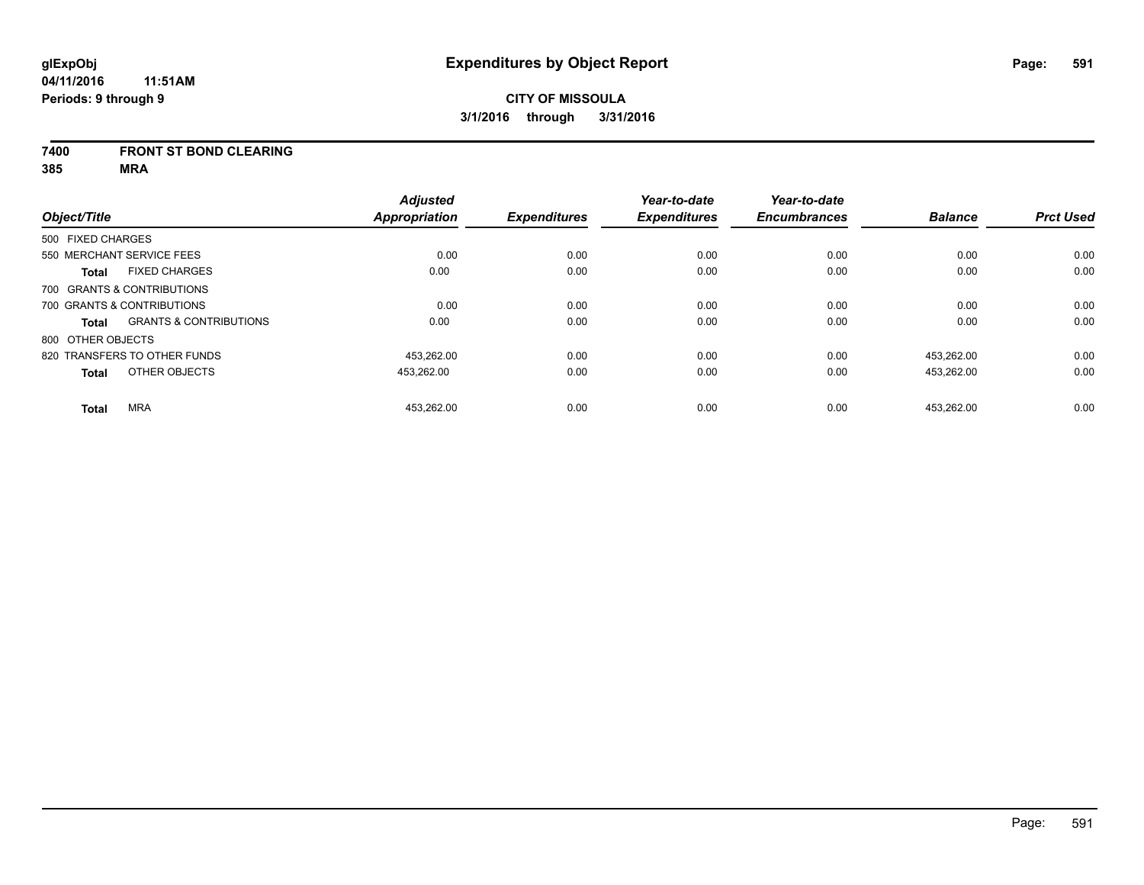#### **7400 FRONT ST BOND CLEARING**

|                   |                                   | <b>Adjusted</b> |                     | Year-to-date        | Year-to-date        |                |                  |
|-------------------|-----------------------------------|-----------------|---------------------|---------------------|---------------------|----------------|------------------|
| Object/Title      |                                   | Appropriation   | <b>Expenditures</b> | <b>Expenditures</b> | <b>Encumbrances</b> | <b>Balance</b> | <b>Prct Used</b> |
| 500 FIXED CHARGES |                                   |                 |                     |                     |                     |                |                  |
|                   | 550 MERCHANT SERVICE FEES         | 0.00            | 0.00                | 0.00                | 0.00                | 0.00           | 0.00             |
| <b>Total</b>      | <b>FIXED CHARGES</b>              | 0.00            | 0.00                | 0.00                | 0.00                | 0.00           | 0.00             |
|                   | 700 GRANTS & CONTRIBUTIONS        |                 |                     |                     |                     |                |                  |
|                   | 700 GRANTS & CONTRIBUTIONS        | 0.00            | 0.00                | 0.00                | 0.00                | 0.00           | 0.00             |
| Total             | <b>GRANTS &amp; CONTRIBUTIONS</b> | 0.00            | 0.00                | 0.00                | 0.00                | 0.00           | 0.00             |
| 800 OTHER OBJECTS |                                   |                 |                     |                     |                     |                |                  |
|                   | 820 TRANSFERS TO OTHER FUNDS      | 453.262.00      | 0.00                | 0.00                | 0.00                | 453.262.00     | 0.00             |
| <b>Total</b>      | OTHER OBJECTS                     | 453.262.00      | 0.00                | 0.00                | 0.00                | 453,262.00     | 0.00             |
| <b>Total</b>      | <b>MRA</b>                        | 453,262.00      | 0.00                | 0.00                | 0.00                | 453.262.00     | 0.00             |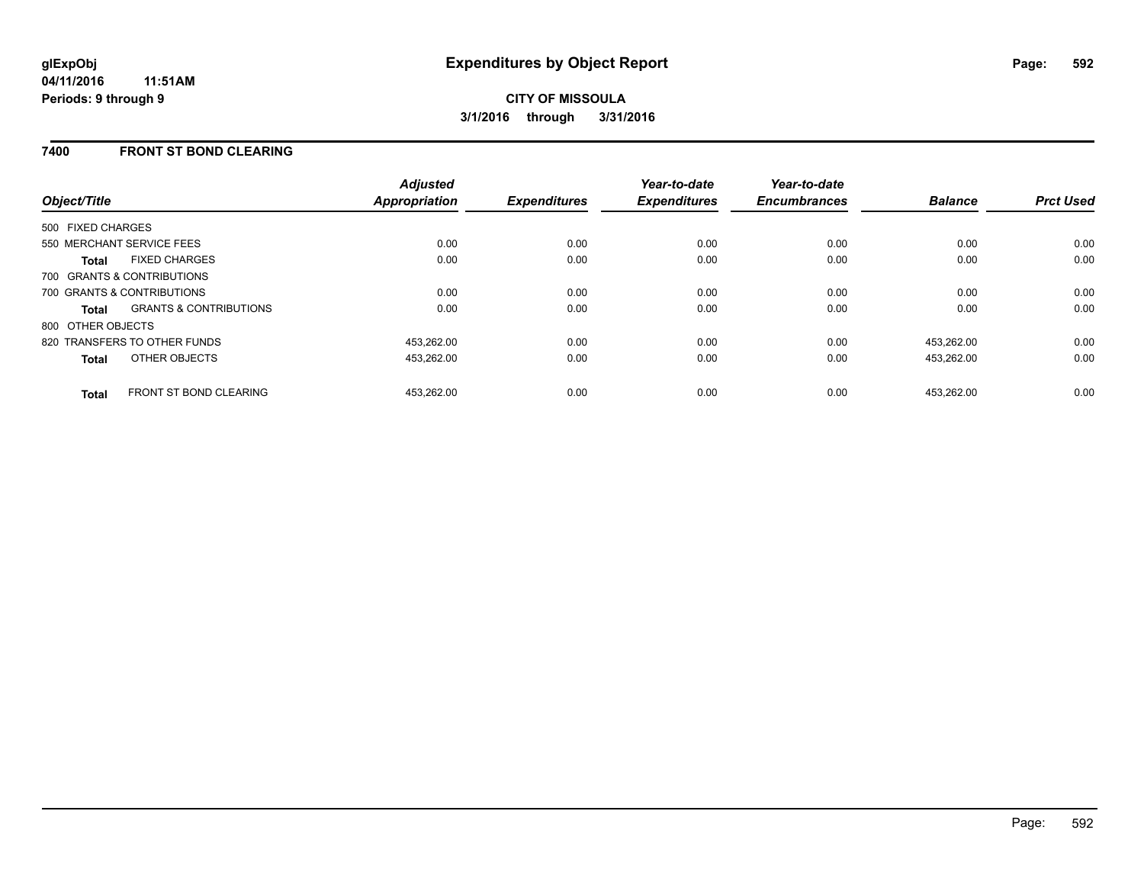### **7400 FRONT ST BOND CLEARING**

| Object/Title                 |                                   | <b>Adjusted</b><br><b>Appropriation</b> | <b>Expenditures</b> | Year-to-date<br><b>Expenditures</b> | Year-to-date<br><b>Encumbrances</b> | <b>Balance</b> | <b>Prct Used</b> |
|------------------------------|-----------------------------------|-----------------------------------------|---------------------|-------------------------------------|-------------------------------------|----------------|------------------|
| 500 FIXED CHARGES            |                                   |                                         |                     |                                     |                                     |                |                  |
| 550 MERCHANT SERVICE FEES    |                                   | 0.00                                    | 0.00                | 0.00                                | 0.00                                | 0.00           | 0.00             |
| <b>Total</b>                 | <b>FIXED CHARGES</b>              | 0.00                                    | 0.00                | 0.00                                | 0.00                                | 0.00           | 0.00             |
| 700 GRANTS & CONTRIBUTIONS   |                                   |                                         |                     |                                     |                                     |                |                  |
| 700 GRANTS & CONTRIBUTIONS   |                                   | 0.00                                    | 0.00                | 0.00                                | 0.00                                | 0.00           | 0.00             |
| <b>Total</b>                 | <b>GRANTS &amp; CONTRIBUTIONS</b> | 0.00                                    | 0.00                | 0.00                                | 0.00                                | 0.00           | 0.00             |
| 800 OTHER OBJECTS            |                                   |                                         |                     |                                     |                                     |                |                  |
| 820 TRANSFERS TO OTHER FUNDS |                                   | 453,262.00                              | 0.00                | 0.00                                | 0.00                                | 453.262.00     | 0.00             |
| <b>Total</b>                 | OTHER OBJECTS                     | 453,262.00                              | 0.00                | 0.00                                | 0.00                                | 453,262.00     | 0.00             |
| <b>Total</b>                 | <b>FRONT ST BOND CLEARING</b>     | 453.262.00                              | 0.00                | 0.00                                | 0.00                                | 453.262.00     | 0.00             |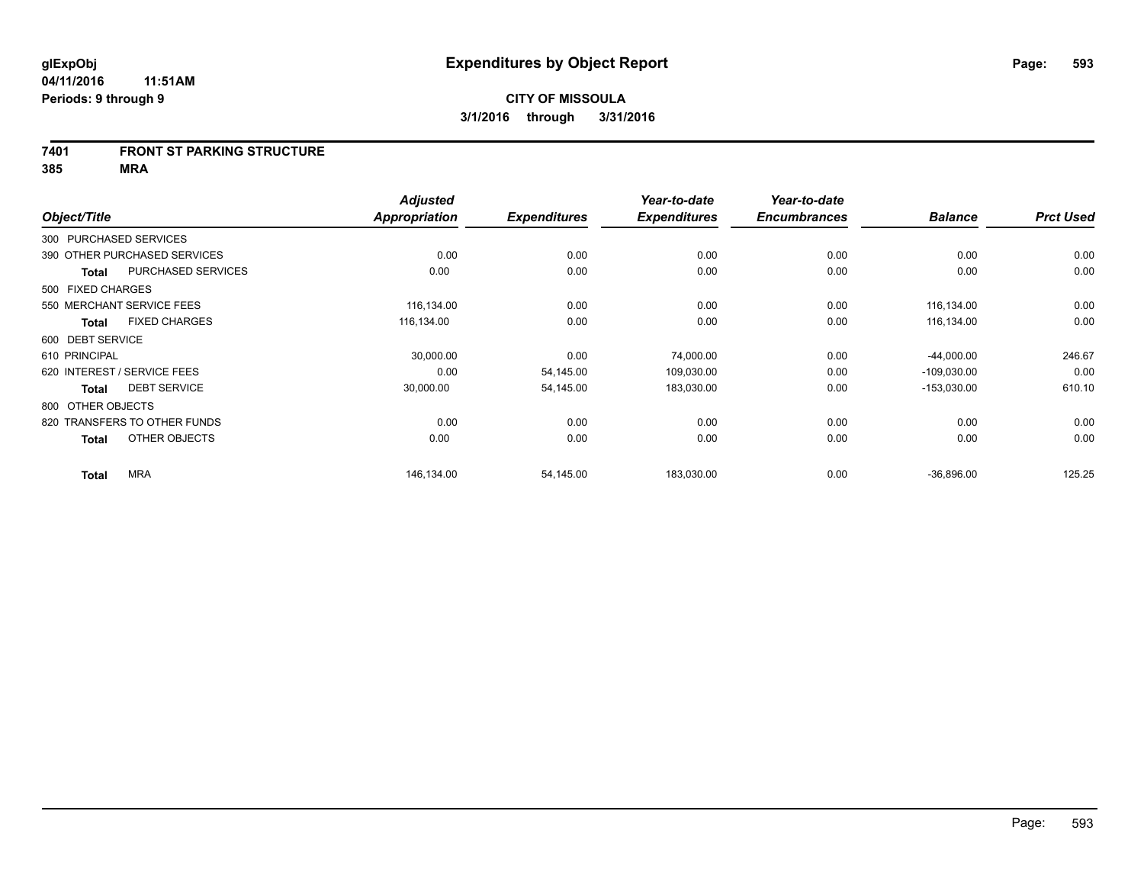#### **7401 FRONT ST PARKING STRUCTURE**

|                                           | <b>Adjusted</b> |                     | Year-to-date        | Year-to-date        |                |                  |
|-------------------------------------------|-----------------|---------------------|---------------------|---------------------|----------------|------------------|
| Object/Title                              | Appropriation   | <b>Expenditures</b> | <b>Expenditures</b> | <b>Encumbrances</b> | <b>Balance</b> | <b>Prct Used</b> |
| 300 PURCHASED SERVICES                    |                 |                     |                     |                     |                |                  |
| 390 OTHER PURCHASED SERVICES              | 0.00            | 0.00                | 0.00                | 0.00                | 0.00           | 0.00             |
| <b>PURCHASED SERVICES</b><br><b>Total</b> | 0.00            | 0.00                | 0.00                | 0.00                | 0.00           | 0.00             |
| 500 FIXED CHARGES                         |                 |                     |                     |                     |                |                  |
| 550 MERCHANT SERVICE FEES                 | 116,134.00      | 0.00                | 0.00                | 0.00                | 116,134.00     | 0.00             |
| <b>FIXED CHARGES</b><br>Total             | 116,134.00      | 0.00                | 0.00                | 0.00                | 116,134.00     | 0.00             |
| 600 DEBT SERVICE                          |                 |                     |                     |                     |                |                  |
| 610 PRINCIPAL                             | 30,000.00       | 0.00                | 74,000.00           | 0.00                | $-44,000.00$   | 246.67           |
| 620 INTEREST / SERVICE FEES               | 0.00            | 54,145.00           | 109,030.00          | 0.00                | $-109,030.00$  | 0.00             |
| <b>DEBT SERVICE</b><br><b>Total</b>       | 30,000.00       | 54,145.00           | 183,030.00          | 0.00                | $-153,030.00$  | 610.10           |
| 800 OTHER OBJECTS                         |                 |                     |                     |                     |                |                  |
| 820 TRANSFERS TO OTHER FUNDS              | 0.00            | 0.00                | 0.00                | 0.00                | 0.00           | 0.00             |
| OTHER OBJECTS<br>Total                    | 0.00            | 0.00                | 0.00                | 0.00                | 0.00           | 0.00             |
| <b>MRA</b><br><b>Total</b>                | 146,134.00      | 54,145.00           | 183,030.00          | 0.00                | $-36,896.00$   | 125.25           |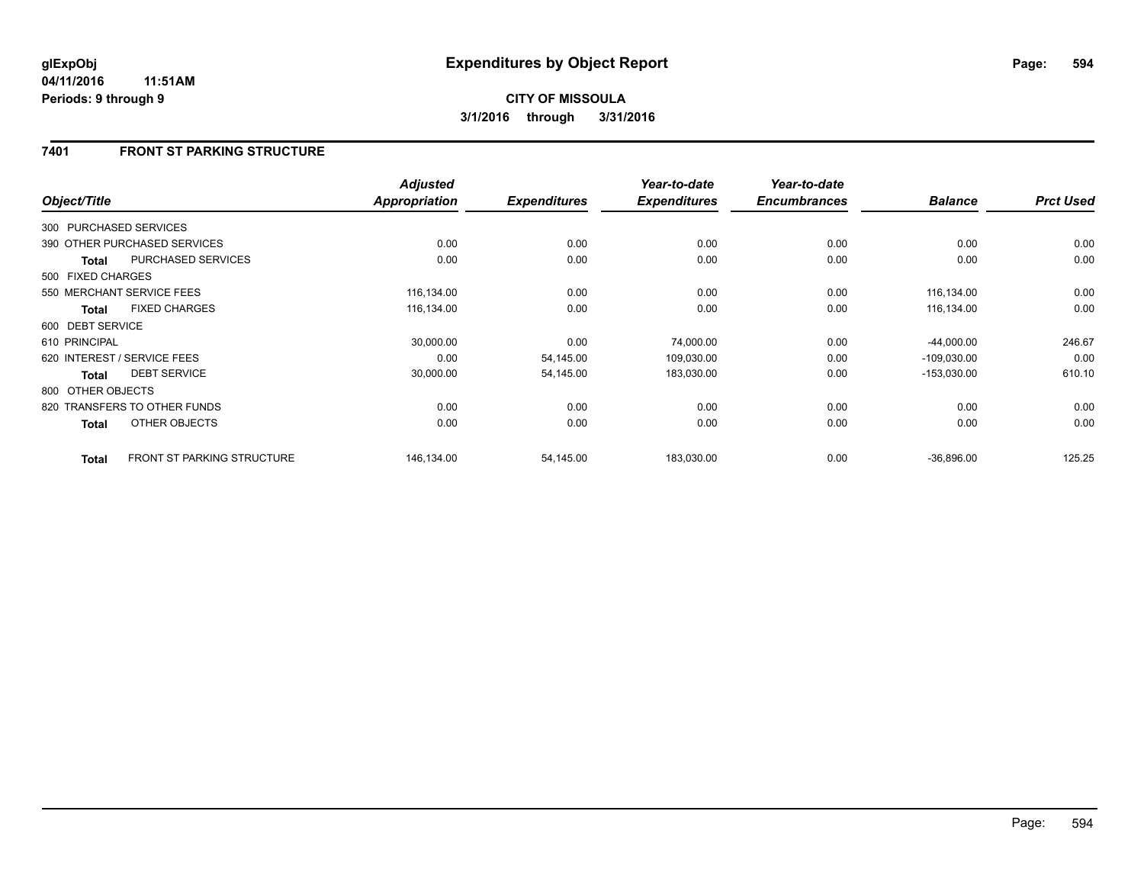## **7401 FRONT ST PARKING STRUCTURE**

| Object/Title      |                                   | <b>Adjusted</b><br><b>Appropriation</b> | <b>Expenditures</b> | Year-to-date<br><b>Expenditures</b> | Year-to-date<br><b>Encumbrances</b> | <b>Balance</b> | <b>Prct Used</b> |
|-------------------|-----------------------------------|-----------------------------------------|---------------------|-------------------------------------|-------------------------------------|----------------|------------------|
|                   |                                   |                                         |                     |                                     |                                     |                |                  |
|                   | 300 PURCHASED SERVICES            |                                         |                     |                                     |                                     |                |                  |
|                   | 390 OTHER PURCHASED SERVICES      | 0.00                                    | 0.00                | 0.00                                | 0.00                                | 0.00           | 0.00             |
| <b>Total</b>      | PURCHASED SERVICES                | 0.00                                    | 0.00                | 0.00                                | 0.00                                | 0.00           | 0.00             |
| 500 FIXED CHARGES |                                   |                                         |                     |                                     |                                     |                |                  |
|                   | 550 MERCHANT SERVICE FEES         | 116,134.00                              | 0.00                | 0.00                                | 0.00                                | 116,134.00     | 0.00             |
| <b>Total</b>      | <b>FIXED CHARGES</b>              | 116,134.00                              | 0.00                | 0.00                                | 0.00                                | 116,134.00     | 0.00             |
| 600 DEBT SERVICE  |                                   |                                         |                     |                                     |                                     |                |                  |
| 610 PRINCIPAL     |                                   | 30,000.00                               | 0.00                | 74,000.00                           | 0.00                                | $-44,000.00$   | 246.67           |
|                   | 620 INTEREST / SERVICE FEES       | 0.00                                    | 54,145.00           | 109,030.00                          | 0.00                                | $-109,030.00$  | 0.00             |
| <b>Total</b>      | <b>DEBT SERVICE</b>               | 30,000.00                               | 54,145.00           | 183,030.00                          | 0.00                                | $-153,030.00$  | 610.10           |
| 800 OTHER OBJECTS |                                   |                                         |                     |                                     |                                     |                |                  |
|                   | 820 TRANSFERS TO OTHER FUNDS      | 0.00                                    | 0.00                | 0.00                                | 0.00                                | 0.00           | 0.00             |
| <b>Total</b>      | OTHER OBJECTS                     | 0.00                                    | 0.00                | 0.00                                | 0.00                                | 0.00           | 0.00             |
| <b>Total</b>      | <b>FRONT ST PARKING STRUCTURE</b> | 146,134.00                              | 54,145.00           | 183,030.00                          | 0.00                                | $-36,896.00$   | 125.25           |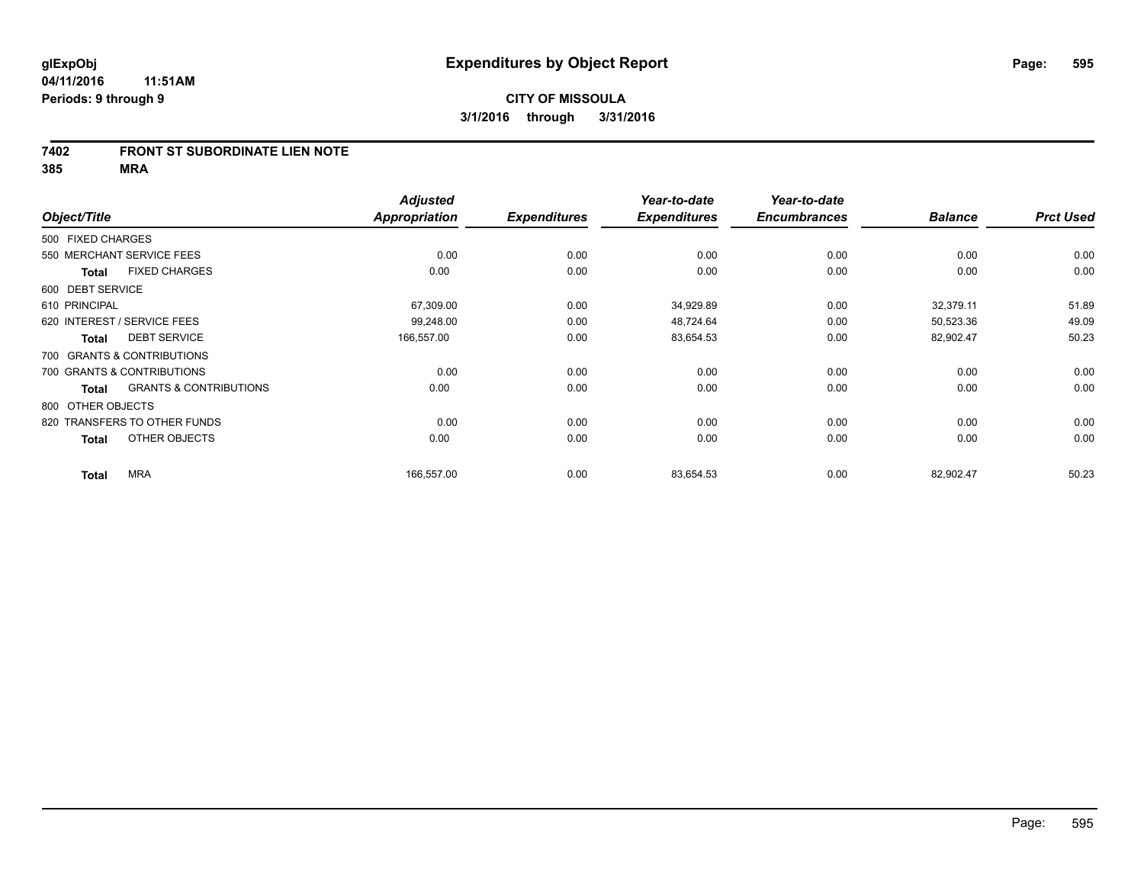### **7402 FRONT ST SUBORDINATE LIEN NOTE**

|                   |                                   | <b>Adjusted</b>      |                     | Year-to-date        | Year-to-date        |                |                  |
|-------------------|-----------------------------------|----------------------|---------------------|---------------------|---------------------|----------------|------------------|
| Object/Title      |                                   | <b>Appropriation</b> | <b>Expenditures</b> | <b>Expenditures</b> | <b>Encumbrances</b> | <b>Balance</b> | <b>Prct Used</b> |
| 500 FIXED CHARGES |                                   |                      |                     |                     |                     |                |                  |
|                   | 550 MERCHANT SERVICE FEES         | 0.00                 | 0.00                | 0.00                | 0.00                | 0.00           | 0.00             |
| <b>Total</b>      | <b>FIXED CHARGES</b>              | 0.00                 | 0.00                | 0.00                | 0.00                | 0.00           | 0.00             |
| 600 DEBT SERVICE  |                                   |                      |                     |                     |                     |                |                  |
| 610 PRINCIPAL     |                                   | 67,309.00            | 0.00                | 34,929.89           | 0.00                | 32,379.11      | 51.89            |
|                   | 620 INTEREST / SERVICE FEES       | 99,248.00            | 0.00                | 48,724.64           | 0.00                | 50,523.36      | 49.09            |
| <b>Total</b>      | <b>DEBT SERVICE</b>               | 166,557.00           | 0.00                | 83,654.53           | 0.00                | 82,902.47      | 50.23            |
|                   | 700 GRANTS & CONTRIBUTIONS        |                      |                     |                     |                     |                |                  |
|                   | 700 GRANTS & CONTRIBUTIONS        | 0.00                 | 0.00                | 0.00                | 0.00                | 0.00           | 0.00             |
| <b>Total</b>      | <b>GRANTS &amp; CONTRIBUTIONS</b> | 0.00                 | 0.00                | 0.00                | 0.00                | 0.00           | 0.00             |
| 800 OTHER OBJECTS |                                   |                      |                     |                     |                     |                |                  |
|                   | 820 TRANSFERS TO OTHER FUNDS      | 0.00                 | 0.00                | 0.00                | 0.00                | 0.00           | 0.00             |
| <b>Total</b>      | OTHER OBJECTS                     | 0.00                 | 0.00                | 0.00                | 0.00                | 0.00           | 0.00             |
| <b>Total</b>      | <b>MRA</b>                        | 166,557.00           | 0.00                | 83,654.53           | 0.00                | 82,902.47      | 50.23            |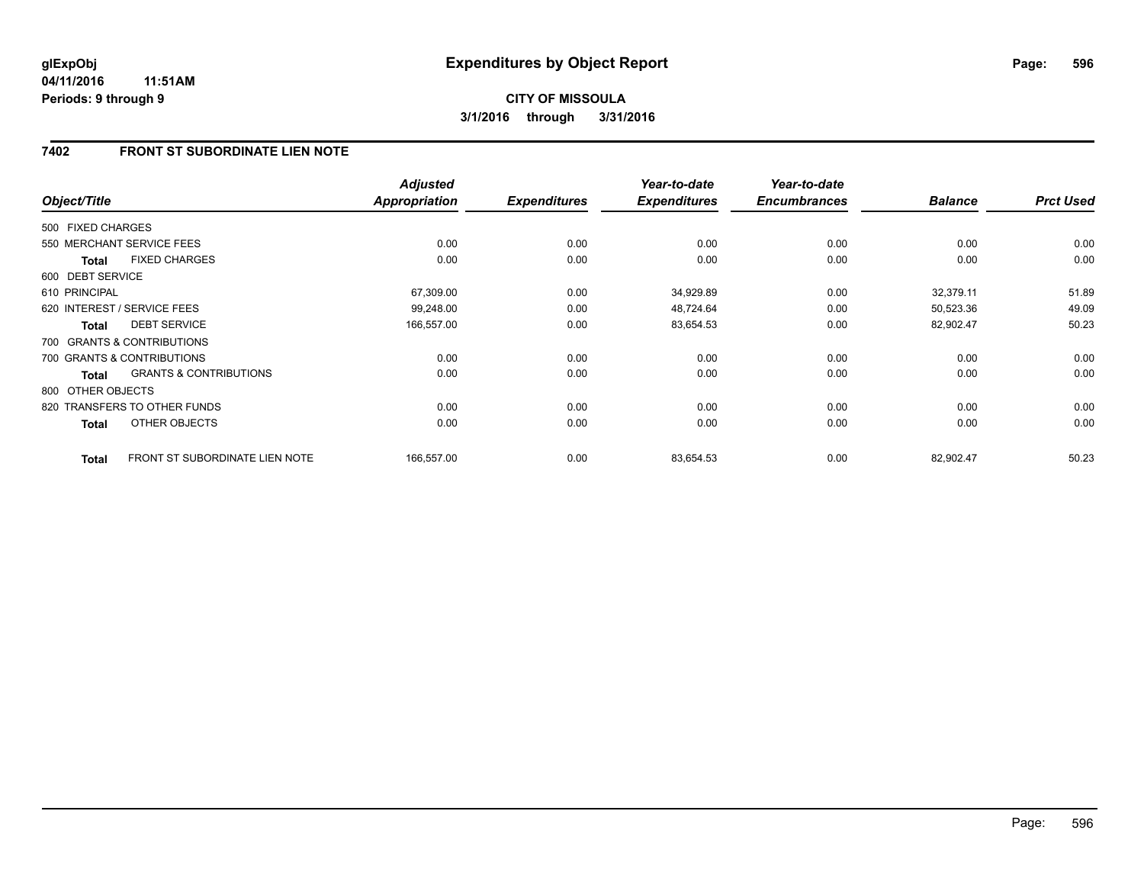## **7402 FRONT ST SUBORDINATE LIEN NOTE**

| Object/Title      |                                   | <b>Adjusted</b><br><b>Appropriation</b> | <b>Expenditures</b> | Year-to-date<br><b>Expenditures</b> | Year-to-date<br><b>Encumbrances</b> | <b>Balance</b> | <b>Prct Used</b> |
|-------------------|-----------------------------------|-----------------------------------------|---------------------|-------------------------------------|-------------------------------------|----------------|------------------|
| 500 FIXED CHARGES |                                   |                                         |                     |                                     |                                     |                |                  |
|                   | 550 MERCHANT SERVICE FEES         | 0.00                                    |                     | 0.00                                |                                     | 0.00           |                  |
|                   |                                   |                                         | 0.00                |                                     | 0.00                                |                | 0.00             |
| Total             | <b>FIXED CHARGES</b>              | 0.00                                    | 0.00                | 0.00                                | 0.00                                | 0.00           | 0.00             |
| 600 DEBT SERVICE  |                                   |                                         |                     |                                     |                                     |                |                  |
| 610 PRINCIPAL     |                                   | 67,309.00                               | 0.00                | 34,929.89                           | 0.00                                | 32,379.11      | 51.89            |
|                   | 620 INTEREST / SERVICE FEES       | 99,248.00                               | 0.00                | 48,724.64                           | 0.00                                | 50,523.36      | 49.09            |
| <b>Total</b>      | <b>DEBT SERVICE</b>               | 166,557.00                              | 0.00                | 83,654.53                           | 0.00                                | 82,902.47      | 50.23            |
|                   | 700 GRANTS & CONTRIBUTIONS        |                                         |                     |                                     |                                     |                |                  |
|                   | 700 GRANTS & CONTRIBUTIONS        | 0.00                                    | 0.00                | 0.00                                | 0.00                                | 0.00           | 0.00             |
| Total             | <b>GRANTS &amp; CONTRIBUTIONS</b> | 0.00                                    | 0.00                | 0.00                                | 0.00                                | 0.00           | 0.00             |
| 800 OTHER OBJECTS |                                   |                                         |                     |                                     |                                     |                |                  |
|                   | 820 TRANSFERS TO OTHER FUNDS      | 0.00                                    | 0.00                | 0.00                                | 0.00                                | 0.00           | 0.00             |
| <b>Total</b>      | OTHER OBJECTS                     | 0.00                                    | 0.00                | 0.00                                | 0.00                                | 0.00           | 0.00             |
| <b>Total</b>      | FRONT ST SUBORDINATE LIEN NOTE    | 166,557.00                              | 0.00                | 83,654.53                           | 0.00                                | 82,902.47      | 50.23            |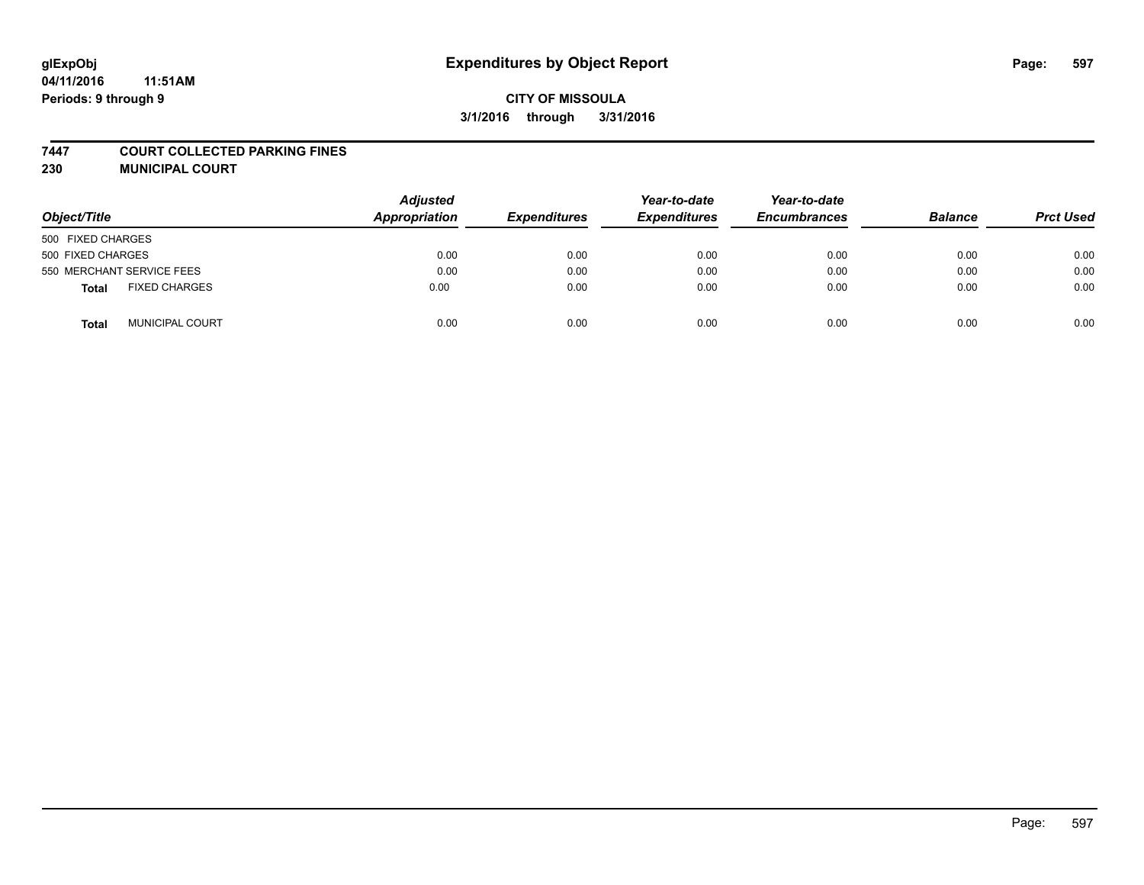# **glExpObj Expenditures by Object Report Page: 597**

## **CITY OF MISSOULA 3/1/2016 through 3/31/2016**

#### **7447 COURT COLLECTED PARKING FINES**

**230 MUNICIPAL COURT**

| Object/Title                         | <b>Adjusted</b><br>Appropriation | <b>Expenditures</b> | Year-to-date<br><b>Expenditures</b> | Year-to-date<br><b>Encumbrances</b> | <b>Balance</b> | <b>Prct Used</b> |
|--------------------------------------|----------------------------------|---------------------|-------------------------------------|-------------------------------------|----------------|------------------|
| 500 FIXED CHARGES                    |                                  |                     |                                     |                                     |                |                  |
| 500 FIXED CHARGES                    | 0.00                             | 0.00                | 0.00                                | 0.00                                | 0.00           | 0.00             |
| 550 MERCHANT SERVICE FEES            | 0.00                             | 0.00                | 0.00                                | 0.00                                | 0.00           | 0.00             |
| <b>FIXED CHARGES</b><br><b>Total</b> | 0.00                             | 0.00                | 0.00                                | 0.00                                | 0.00           | 0.00             |
| <b>MUNICIPAL COURT</b><br>Total      | 0.00                             | 0.00                | 0.00                                | 0.00                                | 0.00           | 0.00             |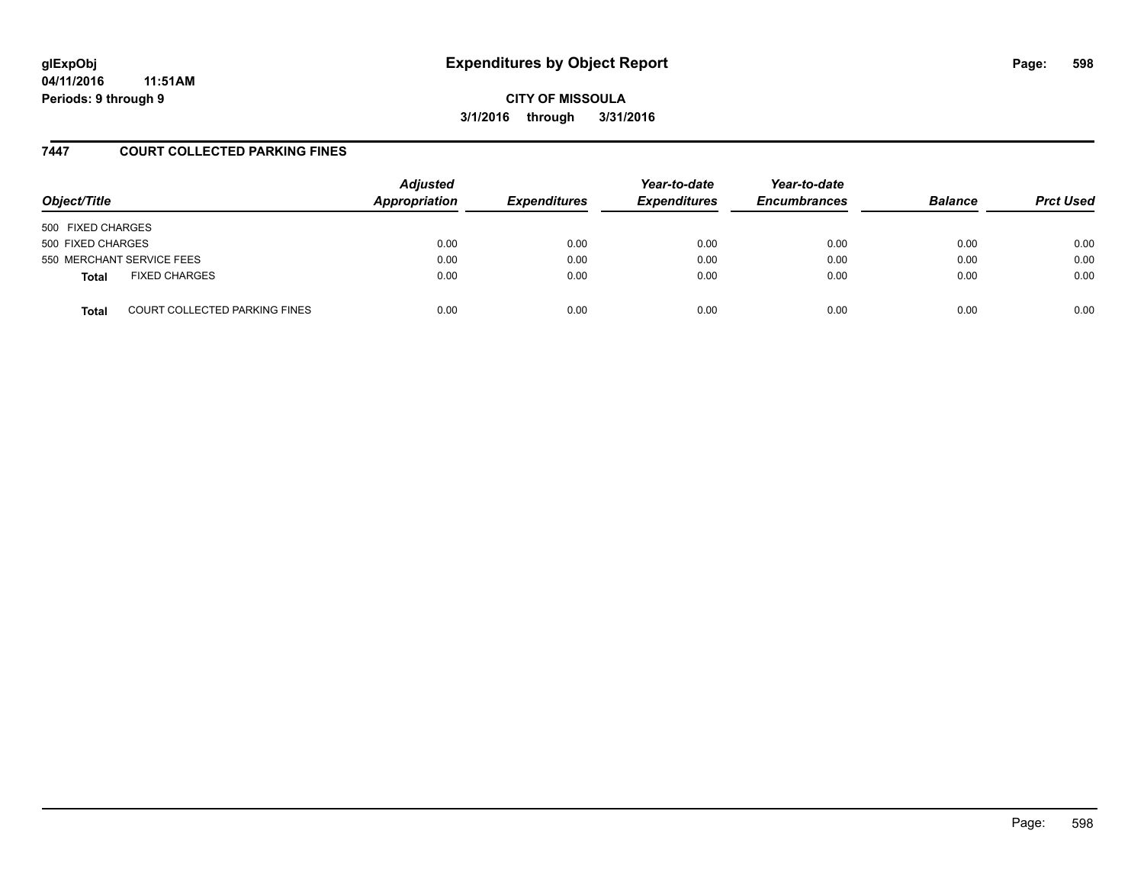# **glExpObj Expenditures by Object Report Page: 598**

**04/11/2016 11:51AM Periods: 9 through 9**

**CITY OF MISSOULA 3/1/2016 through 3/31/2016**

### **7447 COURT COLLECTED PARKING FINES**

| Object/Title              |                                      | <b>Adjusted</b><br>Appropriation | <b>Expenditures</b> | Year-to-date<br><b>Expenditures</b> | Year-to-date<br><b>Encumbrances</b> | <b>Balance</b> | <b>Prct Used</b> |
|---------------------------|--------------------------------------|----------------------------------|---------------------|-------------------------------------|-------------------------------------|----------------|------------------|
| 500 FIXED CHARGES         |                                      |                                  |                     |                                     |                                     |                |                  |
| 500 FIXED CHARGES         |                                      | 0.00                             | 0.00                | 0.00                                | 0.00                                | 0.00           | 0.00             |
| 550 MERCHANT SERVICE FEES |                                      | 0.00                             | 0.00                | 0.00                                | 0.00                                | 0.00           | 0.00             |
| <b>Total</b>              | <b>FIXED CHARGES</b>                 | 0.00                             | 0.00                | 0.00                                | 0.00                                | 0.00           | 0.00             |
| <b>Total</b>              | <b>COURT COLLECTED PARKING FINES</b> | 0.00                             | 0.00                | 0.00                                | 0.00                                | 0.00           | 0.00             |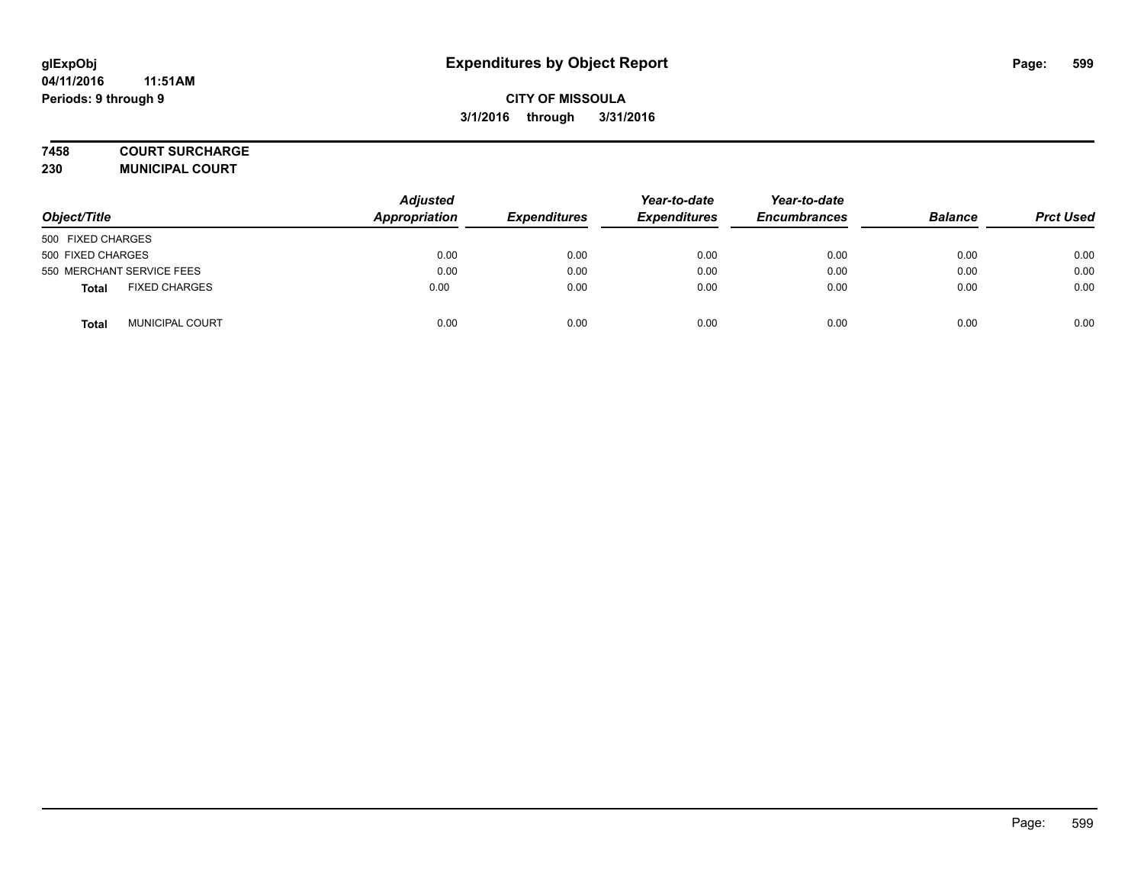### **7458 COURT SURCHARGE**

**230 MUNICIPAL COURT**

| Object/Title                         | <b>Adjusted</b><br>Appropriation | <b>Expenditures</b> | Year-to-date<br><b>Expenditures</b> | Year-to-date<br><b>Encumbrances</b> | <b>Balance</b> | <b>Prct Used</b> |
|--------------------------------------|----------------------------------|---------------------|-------------------------------------|-------------------------------------|----------------|------------------|
| 500 FIXED CHARGES                    |                                  |                     |                                     |                                     |                |                  |
| 500 FIXED CHARGES                    | 0.00                             | 0.00                | 0.00                                | 0.00                                | 0.00           | 0.00             |
| 550 MERCHANT SERVICE FEES            | 0.00                             | 0.00                | 0.00                                | 0.00                                | 0.00           | 0.00             |
| <b>FIXED CHARGES</b><br><b>Total</b> | 0.00                             | 0.00                | 0.00                                | 0.00                                | 0.00           | 0.00             |
| <b>MUNICIPAL COURT</b><br>Total      | 0.00                             | 0.00                | 0.00                                | 0.00                                | 0.00           | 0.00             |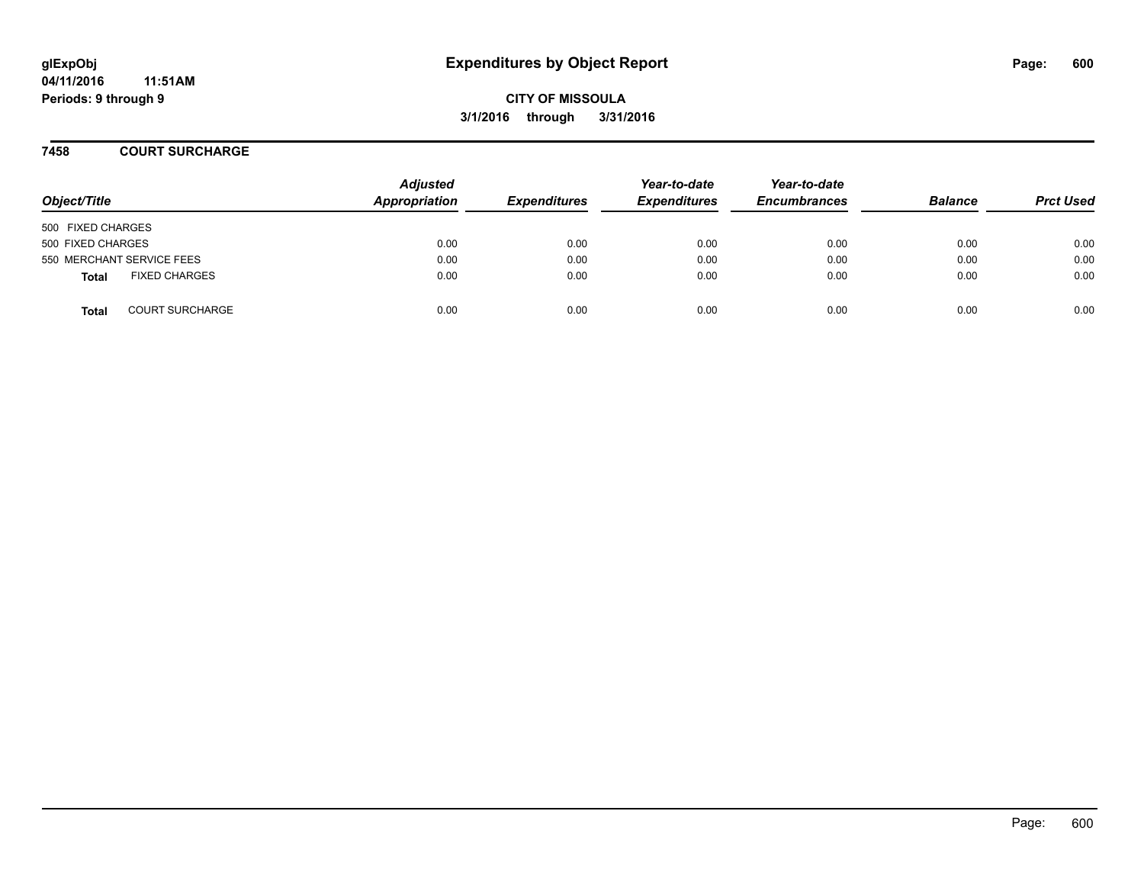#### **7458 COURT SURCHARGE**

| Object/Title                           | <b>Adjusted</b><br>Appropriation | <b>Expenditures</b> | Year-to-date<br><b>Expenditures</b> | Year-to-date<br><b>Encumbrances</b> | <b>Balance</b> | <b>Prct Used</b> |
|----------------------------------------|----------------------------------|---------------------|-------------------------------------|-------------------------------------|----------------|------------------|
| 500 FIXED CHARGES                      |                                  |                     |                                     |                                     |                |                  |
| 500 FIXED CHARGES                      | 0.00                             | 0.00                | 0.00                                | 0.00                                | 0.00           | 0.00             |
| 550 MERCHANT SERVICE FEES              | 0.00                             | 0.00                | 0.00                                | 0.00                                | 0.00           | 0.00             |
| <b>FIXED CHARGES</b><br><b>Total</b>   | 0.00                             | 0.00                | 0.00                                | 0.00                                | 0.00           | 0.00             |
| <b>COURT SURCHARGE</b><br><b>Total</b> | 0.00                             | 0.00                | 0.00                                | 0.00                                | 0.00           | 0.00             |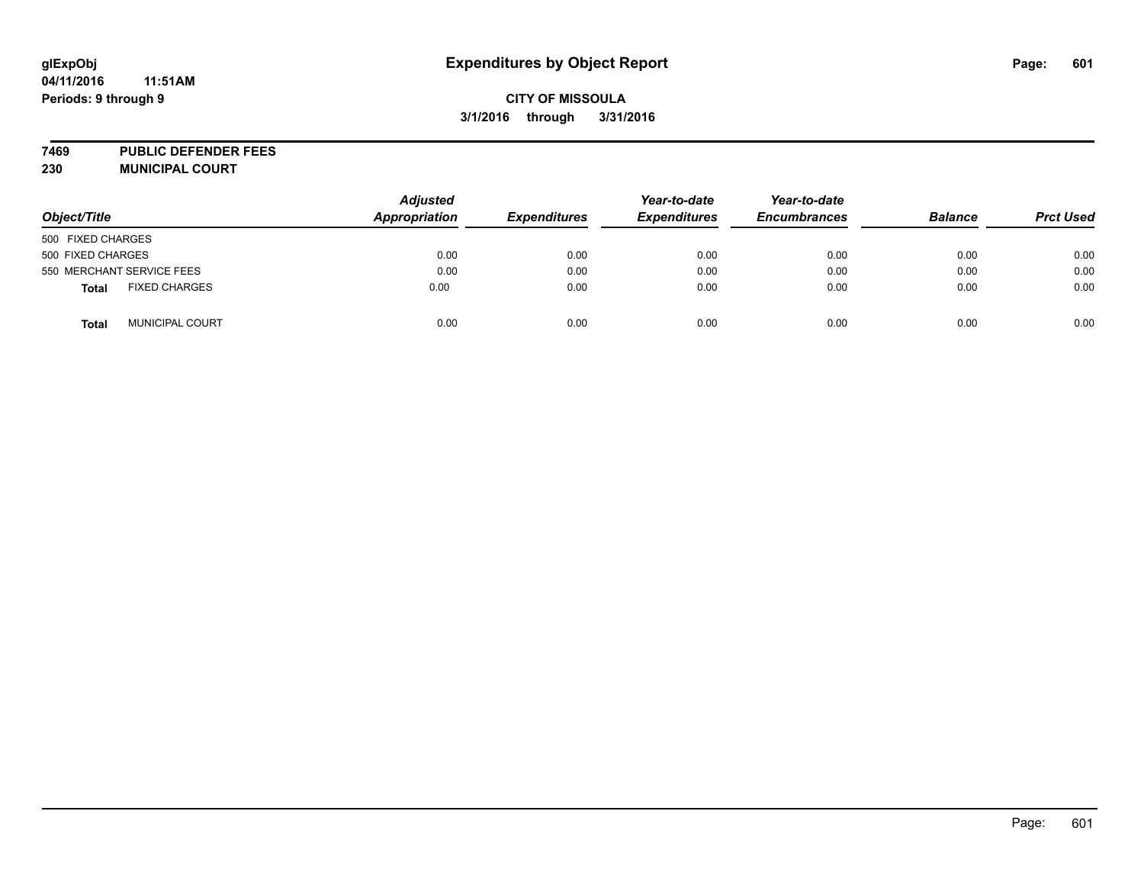# **glExpObj Expenditures by Object Report Page: 601**

#### **04/11/2016 11:51AM Periods: 9 through 9**

## **CITY OF MISSOULA 3/1/2016 through 3/31/2016**

**7469 PUBLIC DEFENDER FEES 230 MUNICIPAL COURT**

| Object/Title                           | <b>Adjusted</b><br><b>Appropriation</b> | <b>Expenditures</b> | Year-to-date<br><b>Expenditures</b> | Year-to-date<br><b>Encumbrances</b> | <b>Balance</b> | <b>Prct Used</b> |
|----------------------------------------|-----------------------------------------|---------------------|-------------------------------------|-------------------------------------|----------------|------------------|
| 500 FIXED CHARGES                      |                                         |                     |                                     |                                     |                |                  |
| 500 FIXED CHARGES                      | 0.00                                    | 0.00                | 0.00                                | 0.00                                | 0.00           | 0.00             |
| 550 MERCHANT SERVICE FEES              | 0.00                                    | 0.00                | 0.00                                | 0.00                                | 0.00           | 0.00             |
| <b>FIXED CHARGES</b><br><b>Total</b>   | 0.00                                    | 0.00                | 0.00                                | 0.00                                | 0.00           | 0.00             |
| <b>MUNICIPAL COURT</b><br><b>Total</b> | 0.00                                    | 0.00                | 0.00                                | 0.00                                | 0.00           | 0.00             |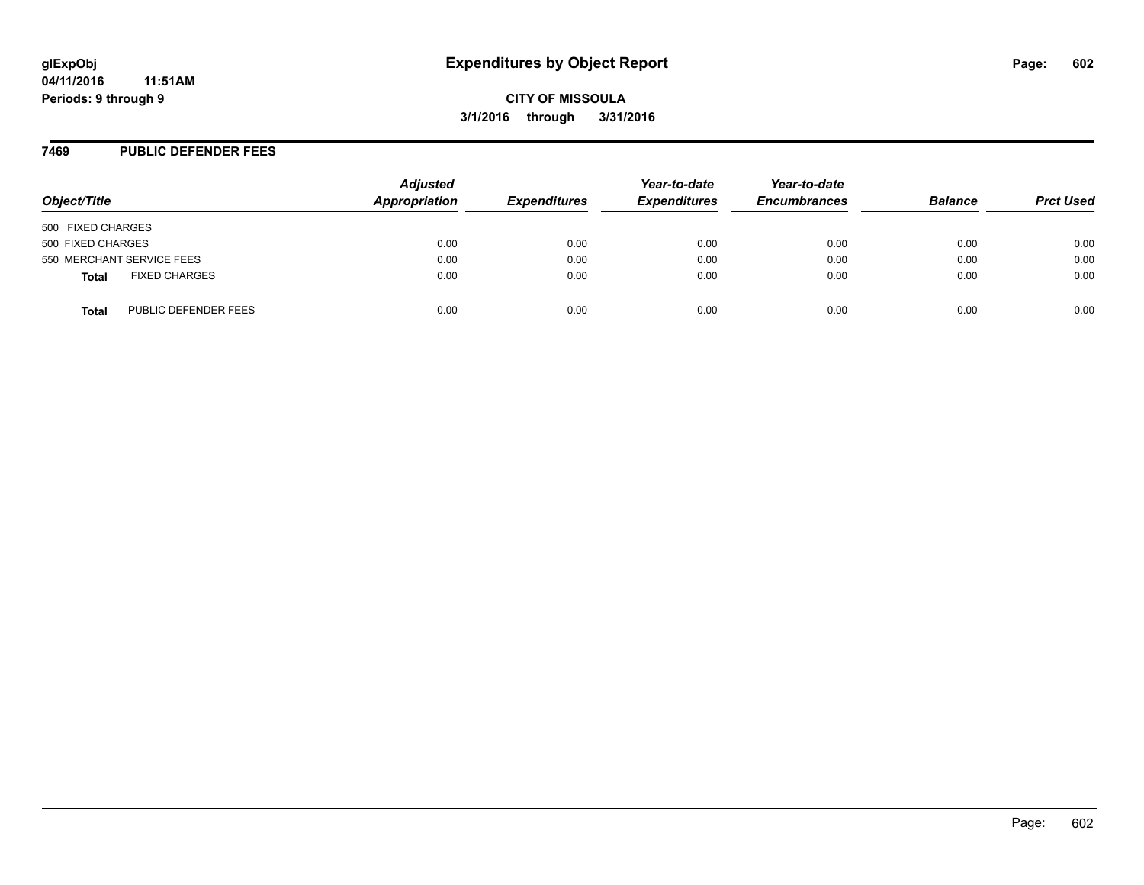#### **7469 PUBLIC DEFENDER FEES**

| Object/Title                         | <b>Adjusted</b><br>Appropriation | <b>Expenditures</b> | Year-to-date<br><b>Expenditures</b> | Year-to-date<br><b>Encumbrances</b> | <b>Balance</b> | <b>Prct Used</b> |
|--------------------------------------|----------------------------------|---------------------|-------------------------------------|-------------------------------------|----------------|------------------|
| 500 FIXED CHARGES                    |                                  |                     |                                     |                                     |                |                  |
| 500 FIXED CHARGES                    | 0.00                             | 0.00                | 0.00                                | 0.00                                | 0.00           | 0.00             |
| 550 MERCHANT SERVICE FEES            | 0.00                             | 0.00                | 0.00                                | 0.00                                | 0.00           | 0.00             |
| <b>FIXED CHARGES</b><br><b>Total</b> | 0.00                             | 0.00                | 0.00                                | 0.00                                | 0.00           | 0.00             |
| PUBLIC DEFENDER FEES<br>Total        | 0.00                             | 0.00                | 0.00                                | 0.00                                | 0.00           | 0.00             |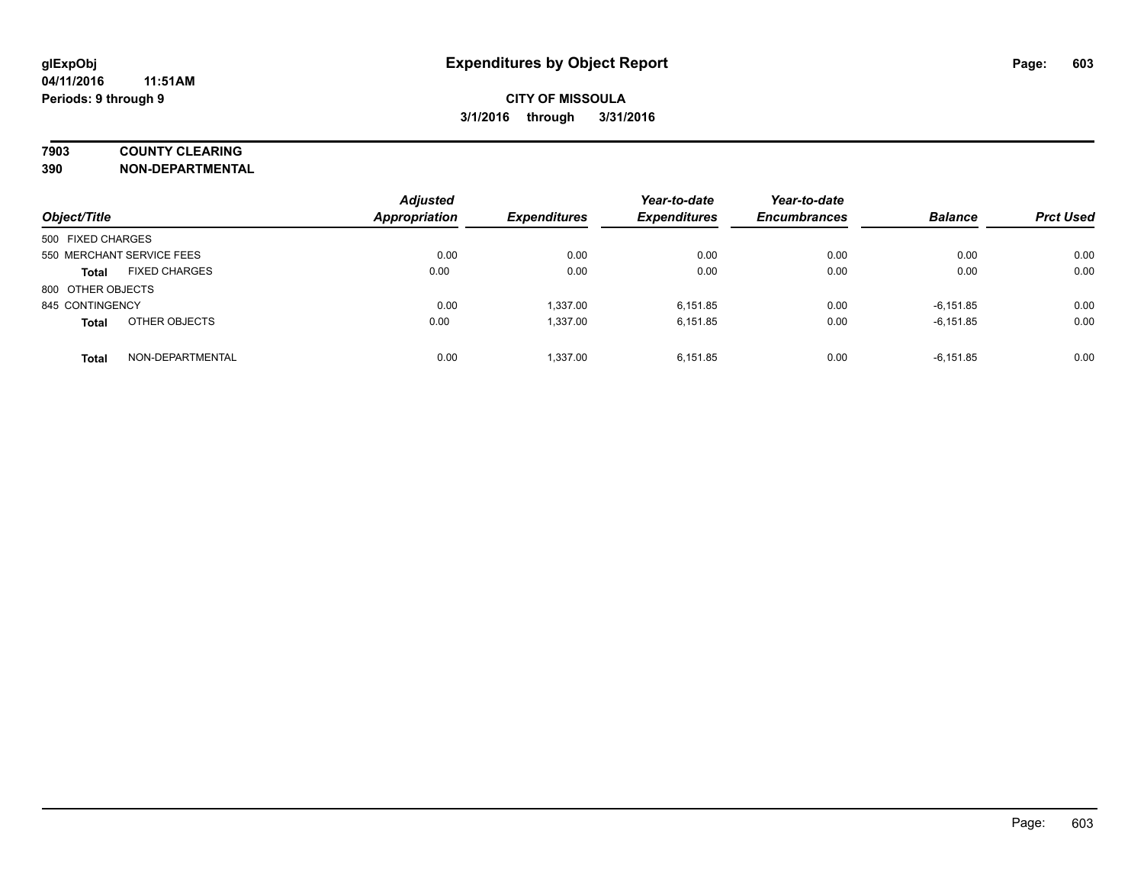### **7903 COUNTY CLEARING**

**390 NON-DEPARTMENTAL**

| Object/Title                         | <b>Adjusted</b><br>Appropriation | <b>Expenditures</b> | Year-to-date<br><b>Expenditures</b> | Year-to-date<br><b>Encumbrances</b> | <b>Balance</b> | <b>Prct Used</b> |
|--------------------------------------|----------------------------------|---------------------|-------------------------------------|-------------------------------------|----------------|------------------|
| 500 FIXED CHARGES                    |                                  |                     |                                     |                                     |                |                  |
| 550 MERCHANT SERVICE FEES            | 0.00                             | 0.00                | 0.00                                | 0.00                                | 0.00           | 0.00             |
| <b>FIXED CHARGES</b><br><b>Total</b> | 0.00                             | 0.00                | 0.00                                | 0.00                                | 0.00           | 0.00             |
| 800 OTHER OBJECTS                    |                                  |                     |                                     |                                     |                |                  |
| 845 CONTINGENCY                      | 0.00                             | 1,337.00            | 6.151.85                            | 0.00                                | $-6,151.85$    | 0.00             |
| OTHER OBJECTS<br><b>Total</b>        | 0.00                             | 1,337.00            | 6.151.85                            | 0.00                                | $-6,151.85$    | 0.00             |
| NON-DEPARTMENTAL<br><b>Total</b>     | 0.00                             | 1.337.00            | 6.151.85                            | 0.00                                | $-6.151.85$    | 0.00             |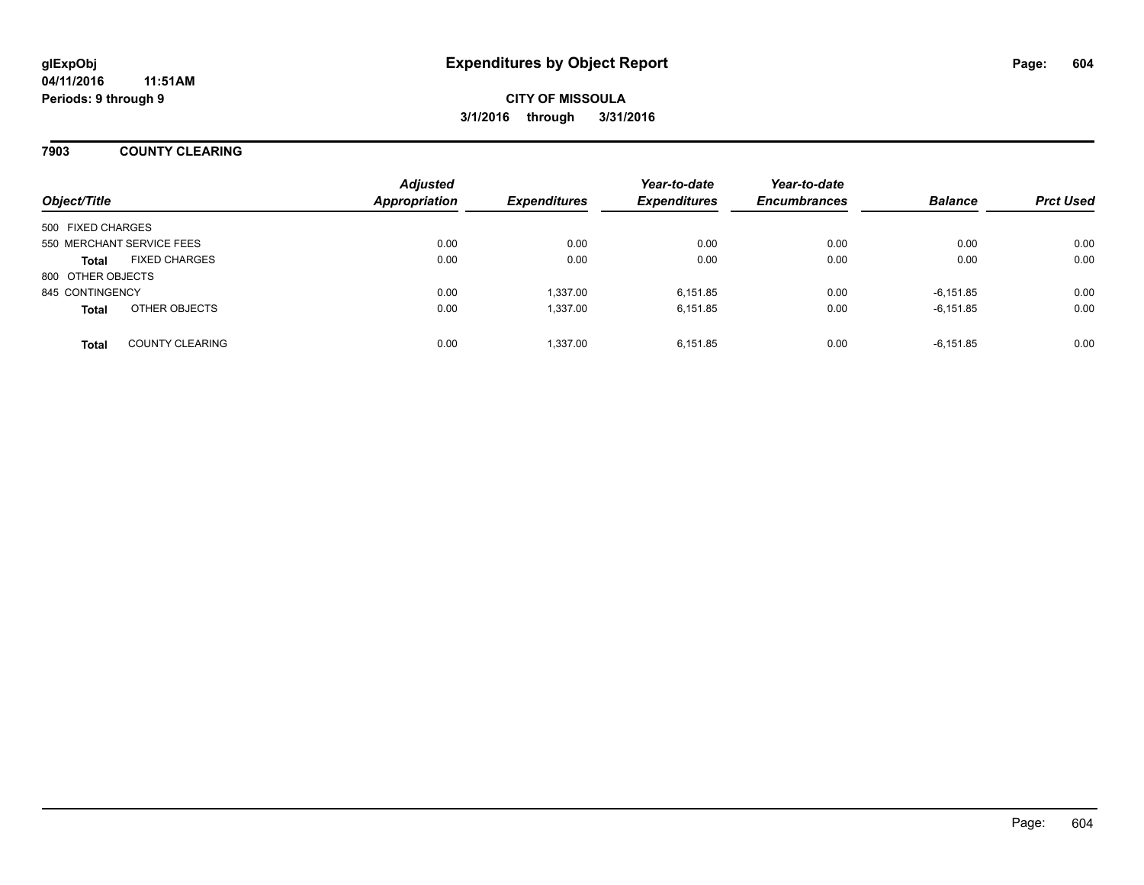### **7903 COUNTY CLEARING**

| Object/Title              |                        | <b>Adjusted</b><br><b>Appropriation</b> | <b>Expenditures</b> | Year-to-date<br><b>Expenditures</b> | Year-to-date<br><b>Encumbrances</b> | <b>Balance</b> | <b>Prct Used</b> |
|---------------------------|------------------------|-----------------------------------------|---------------------|-------------------------------------|-------------------------------------|----------------|------------------|
| 500 FIXED CHARGES         |                        |                                         |                     |                                     |                                     |                |                  |
| 550 MERCHANT SERVICE FEES |                        | 0.00                                    | 0.00                | 0.00                                | 0.00                                | 0.00           | 0.00             |
| <b>Total</b>              | <b>FIXED CHARGES</b>   | 0.00                                    | 0.00                | 0.00                                | 0.00                                | 0.00           | 0.00             |
| 800 OTHER OBJECTS         |                        |                                         |                     |                                     |                                     |                |                  |
| 845 CONTINGENCY           |                        | 0.00                                    | 1.337.00            | 6.151.85                            | 0.00                                | $-6.151.85$    | 0.00             |
| <b>Total</b>              | OTHER OBJECTS          | 0.00                                    | 1,337.00            | 6.151.85                            | 0.00                                | $-6,151.85$    | 0.00             |
| <b>Total</b>              | <b>COUNTY CLEARING</b> | 0.00                                    | 1.337.00            | 6.151.85                            | 0.00                                | $-6,151.85$    | 0.00             |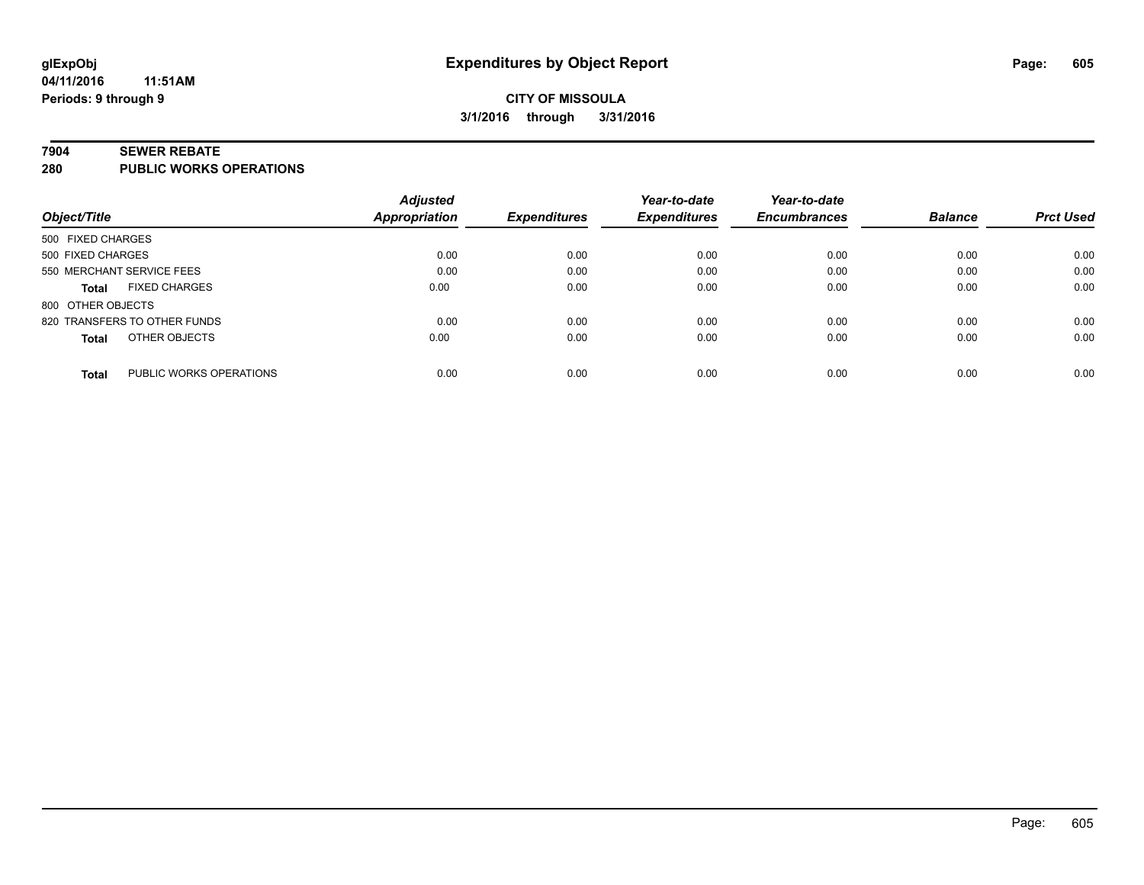#### **7904 SEWER REBATE**

**280 PUBLIC WORKS OPERATIONS**

|                                         | <b>Adjusted</b> |                     | Year-to-date        | Year-to-date        |                |                  |
|-----------------------------------------|-----------------|---------------------|---------------------|---------------------|----------------|------------------|
| Object/Title                            | Appropriation   | <b>Expenditures</b> | <b>Expenditures</b> | <b>Encumbrances</b> | <b>Balance</b> | <b>Prct Used</b> |
| 500 FIXED CHARGES                       |                 |                     |                     |                     |                |                  |
| 500 FIXED CHARGES                       | 0.00            | 0.00                | 0.00                | 0.00                | 0.00           | 0.00             |
| 550 MERCHANT SERVICE FEES               | 0.00            | 0.00                | 0.00                | 0.00                | 0.00           | 0.00             |
| <b>FIXED CHARGES</b><br><b>Total</b>    | 0.00            | 0.00                | 0.00                | 0.00                | 0.00           | 0.00             |
| 800 OTHER OBJECTS                       |                 |                     |                     |                     |                |                  |
| 820 TRANSFERS TO OTHER FUNDS            | 0.00            | 0.00                | 0.00                | 0.00                | 0.00           | 0.00             |
| OTHER OBJECTS<br><b>Total</b>           | 0.00            | 0.00                | 0.00                | 0.00                | 0.00           | 0.00             |
| PUBLIC WORKS OPERATIONS<br><b>Total</b> | 0.00            | 0.00                | 0.00                | 0.00                | 0.00           | 0.00             |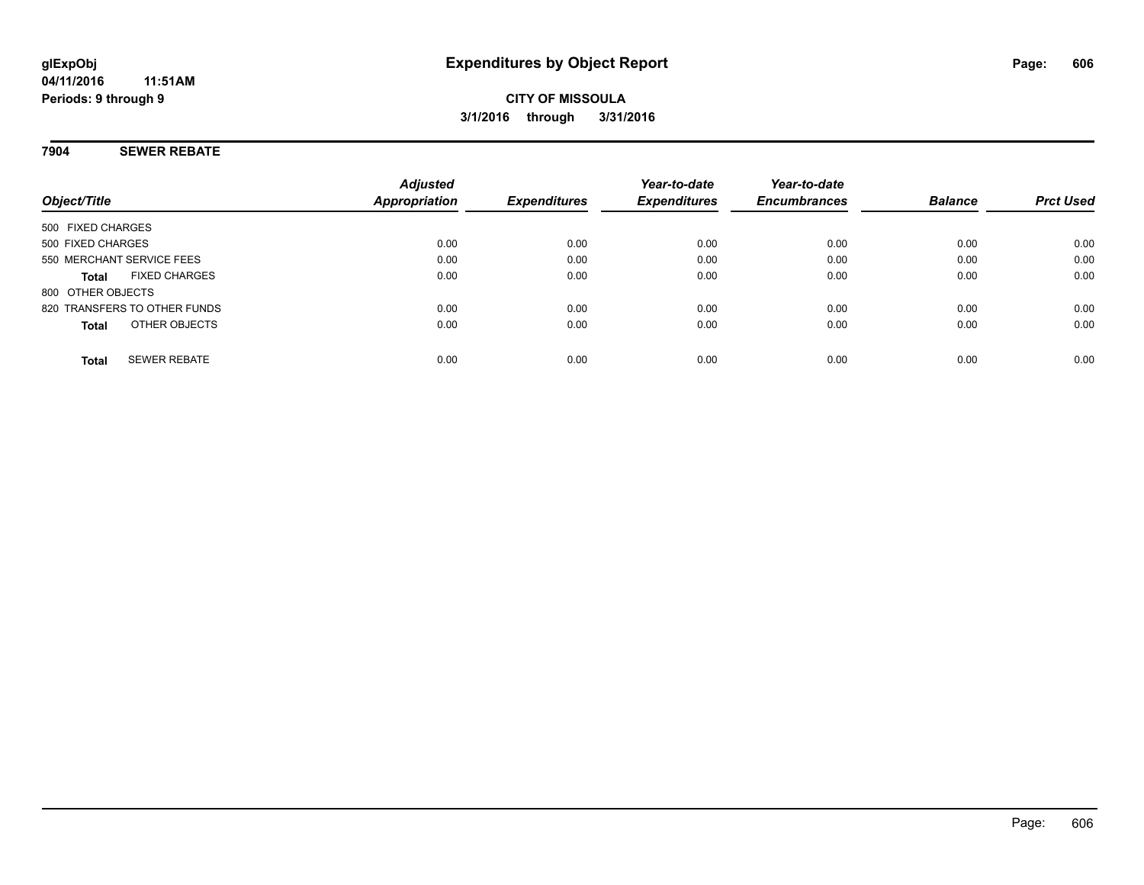### **7904 SEWER REBATE**

| Object/Title                         | <b>Adjusted</b><br>Appropriation | <b>Expenditures</b> | Year-to-date<br><b>Expenditures</b> | Year-to-date<br><b>Encumbrances</b> | <b>Balance</b> | <b>Prct Used</b> |
|--------------------------------------|----------------------------------|---------------------|-------------------------------------|-------------------------------------|----------------|------------------|
| 500 FIXED CHARGES                    |                                  |                     |                                     |                                     |                |                  |
| 500 FIXED CHARGES                    | 0.00                             | 0.00                | 0.00                                | 0.00                                | 0.00           | 0.00             |
| 550 MERCHANT SERVICE FEES            | 0.00                             | 0.00                | 0.00                                | 0.00                                | 0.00           | 0.00             |
| <b>FIXED CHARGES</b><br><b>Total</b> | 0.00                             | 0.00                | 0.00                                | 0.00                                | 0.00           | 0.00             |
| 800 OTHER OBJECTS                    |                                  |                     |                                     |                                     |                |                  |
| 820 TRANSFERS TO OTHER FUNDS         | 0.00                             | 0.00                | 0.00                                | 0.00                                | 0.00           | 0.00             |
| OTHER OBJECTS<br><b>Total</b>        | 0.00                             | 0.00                | 0.00                                | 0.00                                | 0.00           | 0.00             |
| <b>SEWER REBATE</b><br><b>Total</b>  | 0.00                             | 0.00                | 0.00                                | 0.00                                | 0.00           | 0.00             |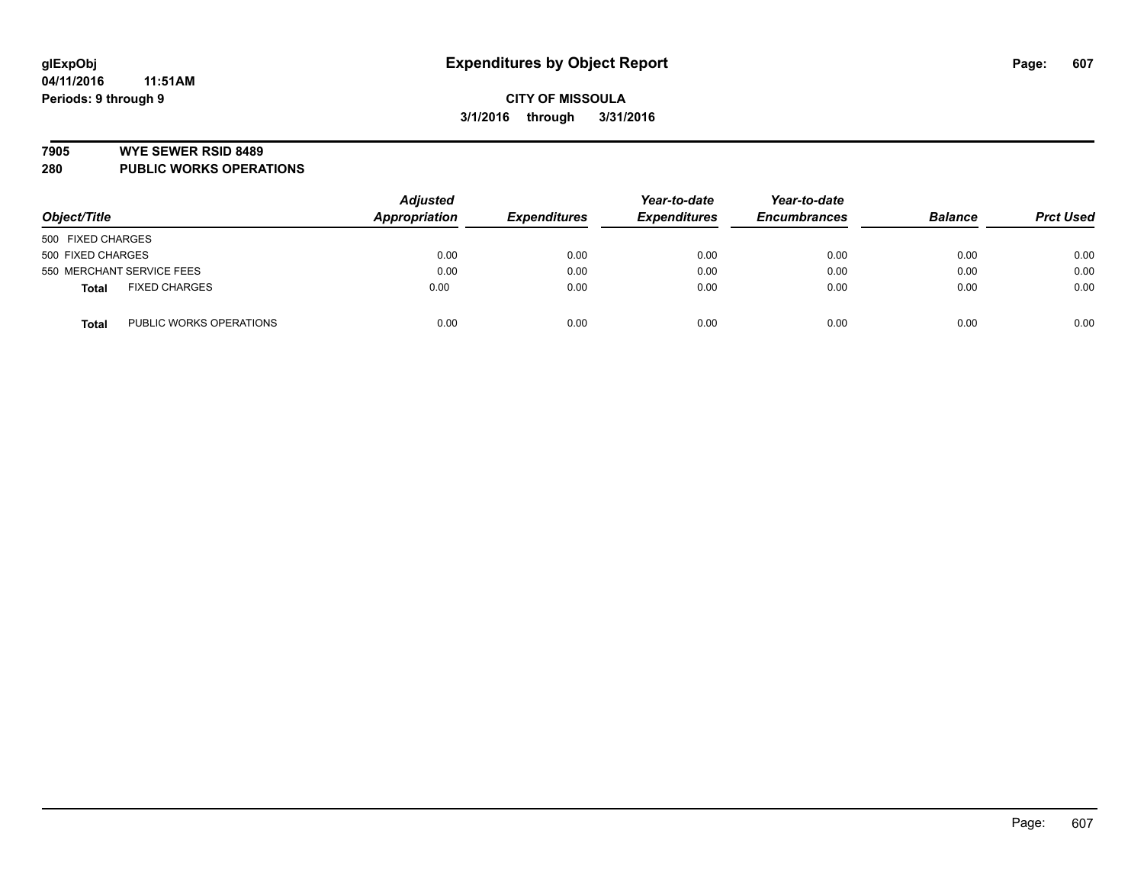#### **7905 WYE SEWER RSID 8489**

**280 PUBLIC WORKS OPERATIONS**

|                                         | <b>Adjusted</b> |                     | Year-to-date        | Year-to-date        |                |                  |
|-----------------------------------------|-----------------|---------------------|---------------------|---------------------|----------------|------------------|
| Object/Title                            | Appropriation   | <b>Expenditures</b> | <b>Expenditures</b> | <b>Encumbrances</b> | <b>Balance</b> | <b>Prct Used</b> |
| 500 FIXED CHARGES                       |                 |                     |                     |                     |                |                  |
| 500 FIXED CHARGES                       | 0.00            | 0.00                | 0.00                | 0.00                | 0.00           | 0.00             |
| 550 MERCHANT SERVICE FEES               | 0.00            | 0.00                | 0.00                | 0.00                | 0.00           | 0.00             |
| <b>FIXED CHARGES</b><br><b>Total</b>    | 0.00            | 0.00                | 0.00                | 0.00                | 0.00           | 0.00             |
| PUBLIC WORKS OPERATIONS<br><b>Total</b> | 0.00            | 0.00                | 0.00                | 0.00                | 0.00           | 0.00             |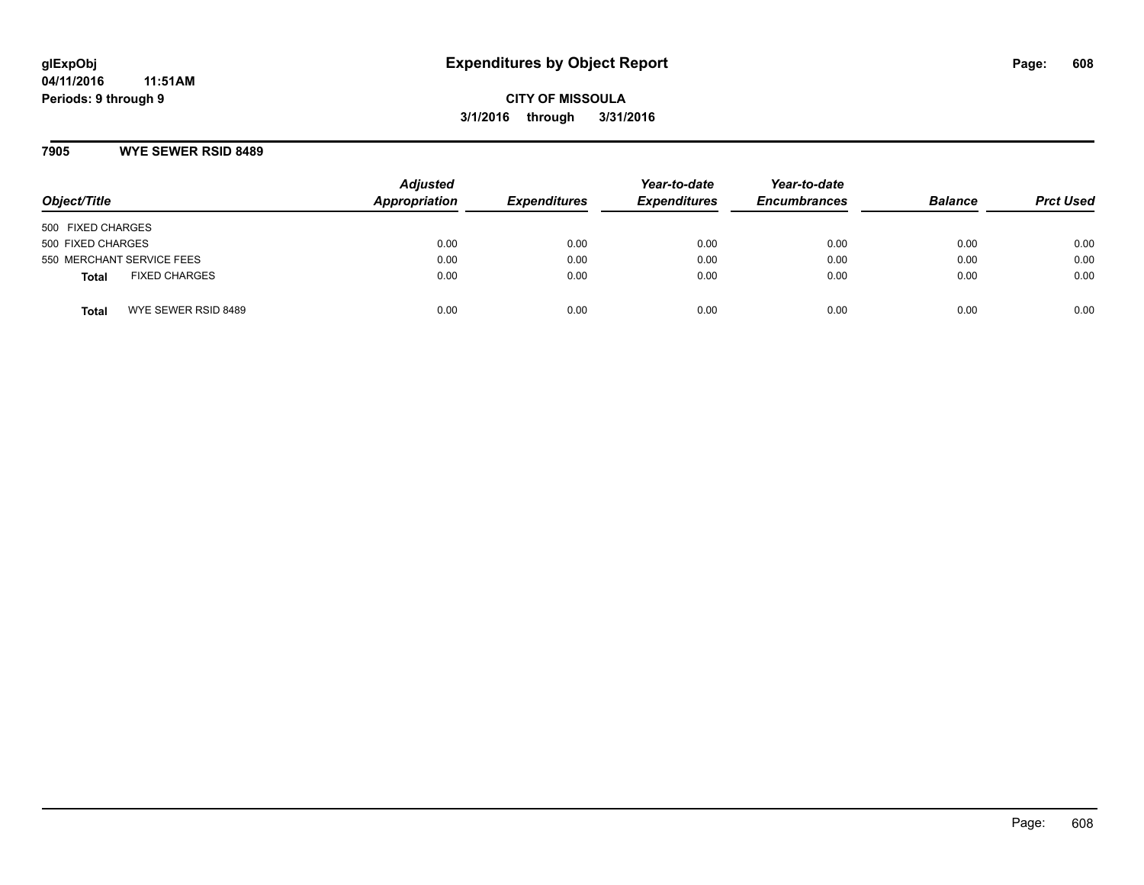### **7905 WYE SEWER RSID 8489**

| Object/Title              |                      | <b>Adjusted</b><br>Appropriation | <b>Expenditures</b> | Year-to-date<br><b>Expenditures</b> | Year-to-date<br><b>Encumbrances</b> | <b>Balance</b> | <b>Prct Used</b> |
|---------------------------|----------------------|----------------------------------|---------------------|-------------------------------------|-------------------------------------|----------------|------------------|
| 500 FIXED CHARGES         |                      |                                  |                     |                                     |                                     |                |                  |
| 500 FIXED CHARGES         |                      | 0.00                             | 0.00                | 0.00                                | 0.00                                | 0.00           | 0.00             |
| 550 MERCHANT SERVICE FEES |                      | 0.00                             | 0.00                | 0.00                                | 0.00                                | 0.00           | 0.00             |
| <b>Total</b>              | <b>FIXED CHARGES</b> | 0.00                             | 0.00                | 0.00                                | 0.00                                | 0.00           | 0.00             |
| <b>Total</b>              | WYE SEWER RSID 8489  | 0.00                             | 0.00                | 0.00                                | 0.00                                | 0.00           | 0.00             |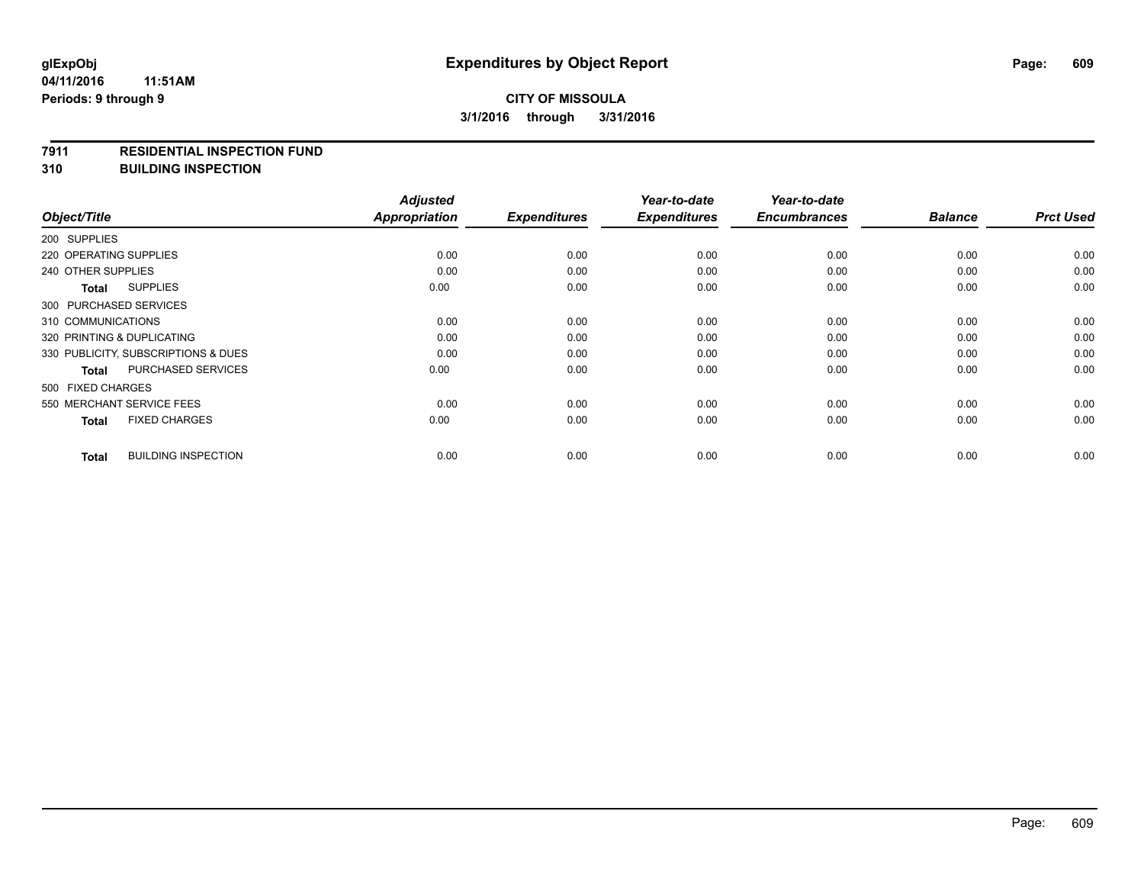#### **7911 RESIDENTIAL INSPECTION FUND**

**310 BUILDING INSPECTION**

| Object/Title                               | <b>Adjusted</b><br><b>Appropriation</b> | <b>Expenditures</b> | Year-to-date<br><b>Expenditures</b> | Year-to-date<br><b>Encumbrances</b> | <b>Balance</b> | <b>Prct Used</b> |
|--------------------------------------------|-----------------------------------------|---------------------|-------------------------------------|-------------------------------------|----------------|------------------|
| 200 SUPPLIES                               |                                         |                     |                                     |                                     |                |                  |
| 220 OPERATING SUPPLIES                     | 0.00                                    | 0.00                | 0.00                                | 0.00                                | 0.00           | 0.00             |
| 240 OTHER SUPPLIES                         | 0.00                                    | 0.00                | 0.00                                | 0.00                                | 0.00           | 0.00             |
| <b>SUPPLIES</b><br><b>Total</b>            | 0.00                                    | 0.00                | 0.00                                | 0.00                                | 0.00           | 0.00             |
| 300 PURCHASED SERVICES                     |                                         |                     |                                     |                                     |                |                  |
| 310 COMMUNICATIONS                         | 0.00                                    | 0.00                | 0.00                                | 0.00                                | 0.00           | 0.00             |
| 320 PRINTING & DUPLICATING                 | 0.00                                    | 0.00                | 0.00                                | 0.00                                | 0.00           | 0.00             |
| 330 PUBLICITY, SUBSCRIPTIONS & DUES        | 0.00                                    | 0.00                | 0.00                                | 0.00                                | 0.00           | 0.00             |
| PURCHASED SERVICES<br><b>Total</b>         | 0.00                                    | 0.00                | 0.00                                | 0.00                                | 0.00           | 0.00             |
| 500 FIXED CHARGES                          |                                         |                     |                                     |                                     |                |                  |
| 550 MERCHANT SERVICE FEES                  | 0.00                                    | 0.00                | 0.00                                | 0.00                                | 0.00           | 0.00             |
| <b>FIXED CHARGES</b><br><b>Total</b>       | 0.00                                    | 0.00                | 0.00                                | 0.00                                | 0.00           | 0.00             |
| <b>BUILDING INSPECTION</b><br><b>Total</b> | 0.00                                    | 0.00                | 0.00                                | 0.00                                | 0.00           | 0.00             |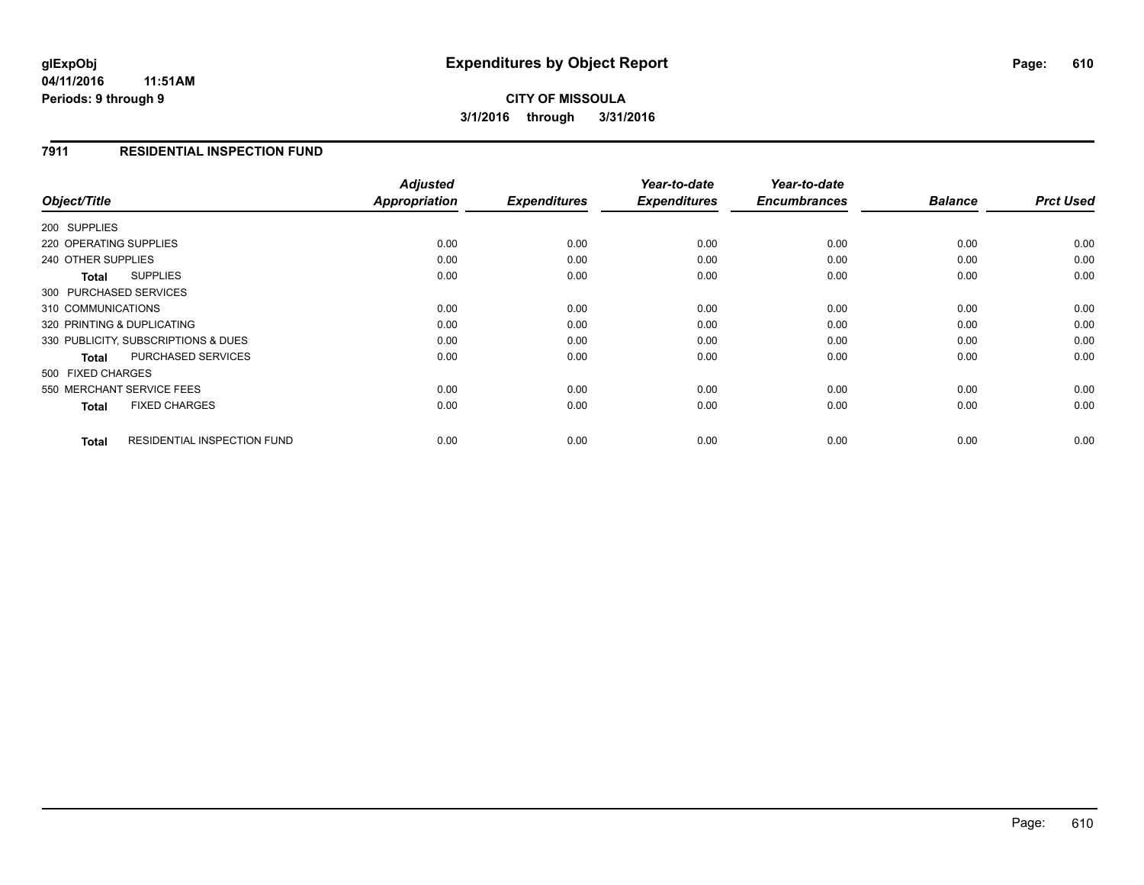#### **04/11/2016 11:51AM Periods: 9 through 9**

# **CITY OF MISSOULA 3/1/2016 through 3/31/2016**

### **7911 RESIDENTIAL INSPECTION FUND**

| Object/Title                                       | <b>Adjusted</b><br>Appropriation | <b>Expenditures</b> | Year-to-date<br><b>Expenditures</b> | Year-to-date<br><b>Encumbrances</b> | <b>Balance</b> | <b>Prct Used</b> |
|----------------------------------------------------|----------------------------------|---------------------|-------------------------------------|-------------------------------------|----------------|------------------|
|                                                    |                                  |                     |                                     |                                     |                |                  |
| 200 SUPPLIES                                       |                                  |                     |                                     |                                     |                |                  |
| 220 OPERATING SUPPLIES                             | 0.00                             | 0.00                | 0.00                                | 0.00                                | 0.00           | 0.00             |
| 240 OTHER SUPPLIES                                 | 0.00                             | 0.00                | 0.00                                | 0.00                                | 0.00           | 0.00             |
| <b>SUPPLIES</b><br>Total                           | 0.00                             | 0.00                | 0.00                                | 0.00                                | 0.00           | 0.00             |
| 300 PURCHASED SERVICES                             |                                  |                     |                                     |                                     |                |                  |
| 310 COMMUNICATIONS                                 | 0.00                             | 0.00                | 0.00                                | 0.00                                | 0.00           | 0.00             |
| 320 PRINTING & DUPLICATING                         | 0.00                             | 0.00                | 0.00                                | 0.00                                | 0.00           | 0.00             |
| 330 PUBLICITY, SUBSCRIPTIONS & DUES                | 0.00                             | 0.00                | 0.00                                | 0.00                                | 0.00           | 0.00             |
| <b>PURCHASED SERVICES</b><br><b>Total</b>          | 0.00                             | 0.00                | 0.00                                | 0.00                                | 0.00           | 0.00             |
| 500 FIXED CHARGES                                  |                                  |                     |                                     |                                     |                |                  |
| 550 MERCHANT SERVICE FEES                          | 0.00                             | 0.00                | 0.00                                | 0.00                                | 0.00           | 0.00             |
| <b>FIXED CHARGES</b><br><b>Total</b>               | 0.00                             | 0.00                | 0.00                                | 0.00                                | 0.00           | 0.00             |
| <b>RESIDENTIAL INSPECTION FUND</b><br><b>Total</b> | 0.00                             | 0.00                | 0.00                                | 0.00                                | 0.00           | 0.00             |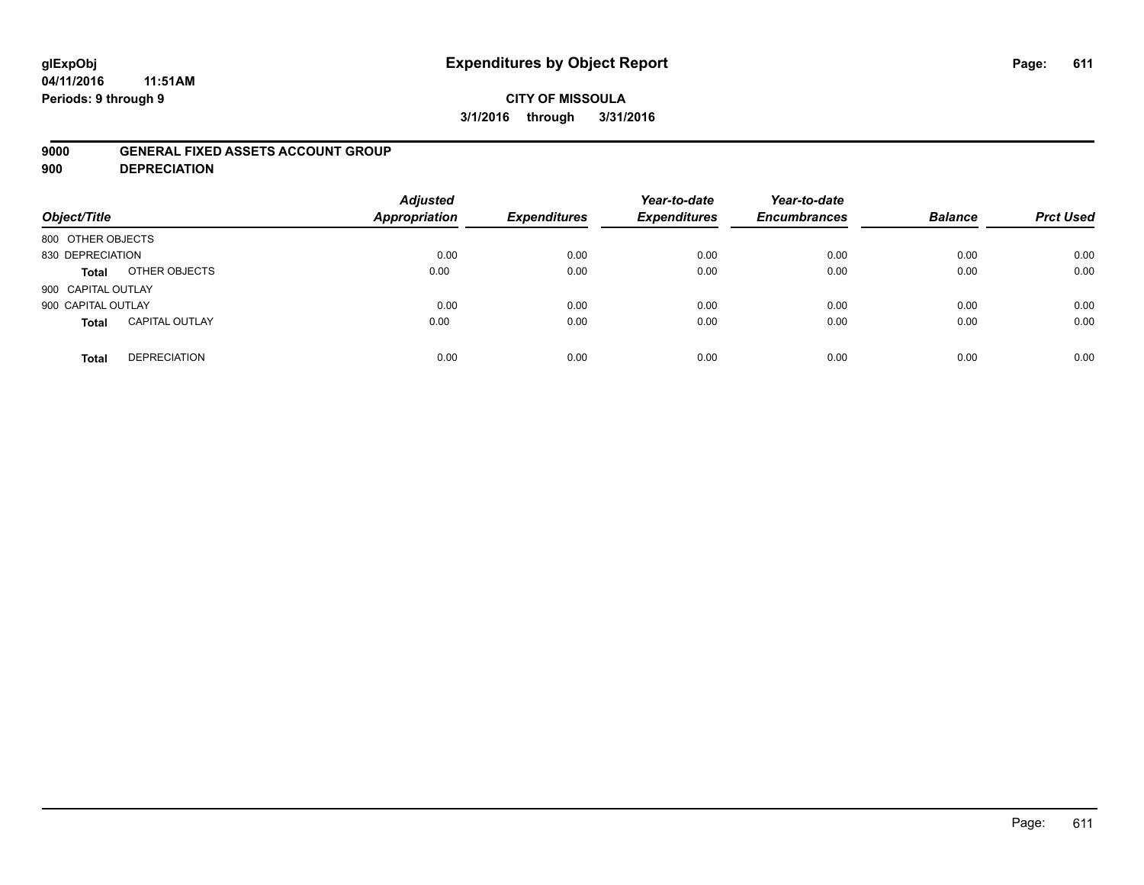# **glExpObj Expenditures by Object Report Page: 611**

**04/11/2016 11:51AM Periods: 9 through 9**

### **9000 GENERAL FIXED ASSETS ACCOUNT GROUP**

**900 DEPRECIATION**

| Object/Title       |                       | <b>Adjusted</b><br><b>Appropriation</b> | <b>Expenditures</b> | Year-to-date<br><b>Expenditures</b> | Year-to-date<br><b>Encumbrances</b> | <b>Balance</b> | <b>Prct Used</b> |
|--------------------|-----------------------|-----------------------------------------|---------------------|-------------------------------------|-------------------------------------|----------------|------------------|
| 800 OTHER OBJECTS  |                       |                                         |                     |                                     |                                     |                |                  |
| 830 DEPRECIATION   |                       | 0.00                                    | 0.00                | 0.00                                | 0.00                                | 0.00           | 0.00             |
| Total              | OTHER OBJECTS         | 0.00                                    | 0.00                | 0.00                                | 0.00                                | 0.00           | 0.00             |
| 900 CAPITAL OUTLAY |                       |                                         |                     |                                     |                                     |                |                  |
| 900 CAPITAL OUTLAY |                       | 0.00                                    | 0.00                | 0.00                                | 0.00                                | 0.00           | 0.00             |
| <b>Total</b>       | <b>CAPITAL OUTLAY</b> | 0.00                                    | 0.00                | 0.00                                | 0.00                                | 0.00           | 0.00             |
| <b>Total</b>       | <b>DEPRECIATION</b>   | 0.00                                    | 0.00                | 0.00                                | 0.00                                | 0.00           | 0.00             |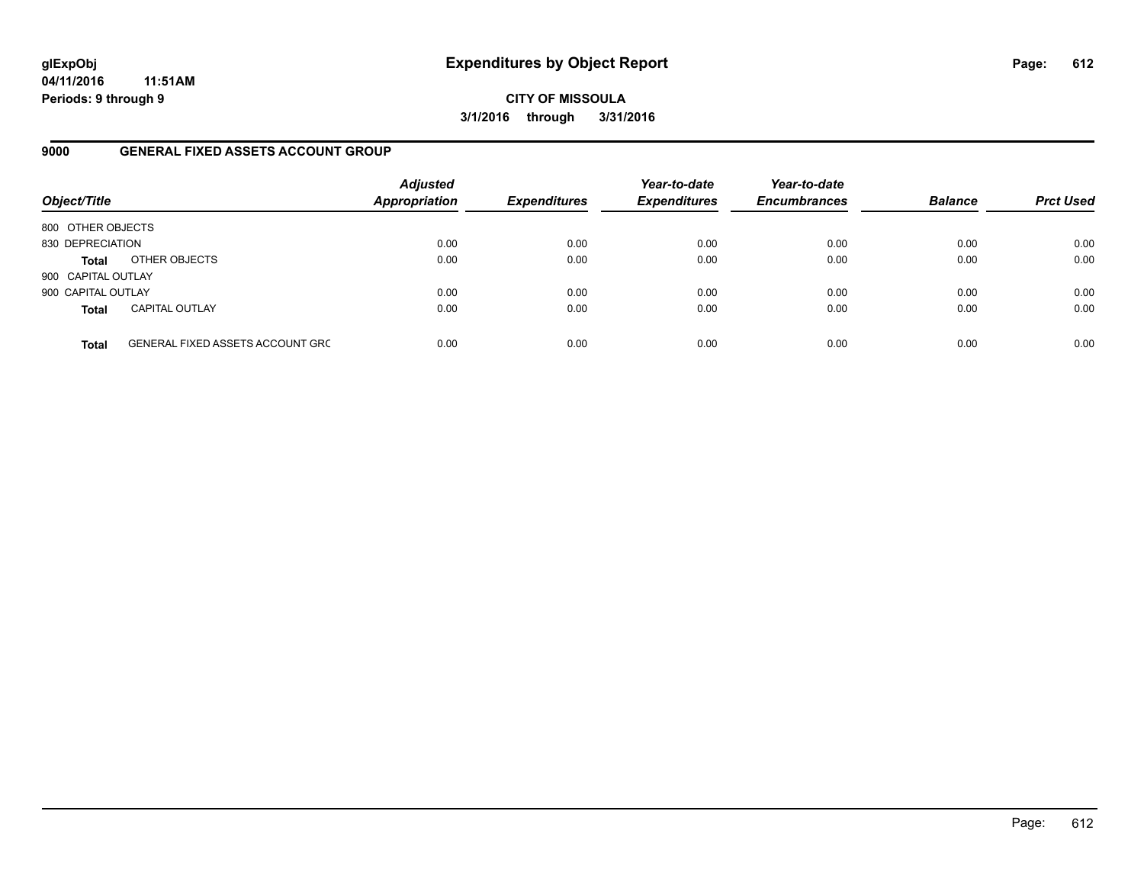**04/11/2016 11:51AM Periods: 9 through 9**

**CITY OF MISSOULA 3/1/2016 through 3/31/2016**

### **9000 GENERAL FIXED ASSETS ACCOUNT GROUP**

| Object/Title       |                                         | <b>Adjusted</b><br><b>Appropriation</b> | <b>Expenditures</b> | Year-to-date<br><b>Expenditures</b> | Year-to-date<br><b>Encumbrances</b> | <b>Balance</b> | <b>Prct Used</b> |
|--------------------|-----------------------------------------|-----------------------------------------|---------------------|-------------------------------------|-------------------------------------|----------------|------------------|
| 800 OTHER OBJECTS  |                                         |                                         |                     |                                     |                                     |                |                  |
| 830 DEPRECIATION   |                                         | 0.00                                    | 0.00                | 0.00                                | 0.00                                | 0.00           | 0.00             |
| <b>Total</b>       | OTHER OBJECTS                           | 0.00                                    | 0.00                | 0.00                                | 0.00                                | 0.00           | 0.00             |
| 900 CAPITAL OUTLAY |                                         |                                         |                     |                                     |                                     |                |                  |
| 900 CAPITAL OUTLAY |                                         | 0.00                                    | 0.00                | 0.00                                | 0.00                                | 0.00           | 0.00             |
| <b>Total</b>       | <b>CAPITAL OUTLAY</b>                   | 0.00                                    | 0.00                | 0.00                                | 0.00                                | 0.00           | 0.00             |
| <b>Total</b>       | <b>GENERAL FIXED ASSETS ACCOUNT GRC</b> | 0.00                                    | 0.00                | 0.00                                | 0.00                                | 0.00           | 0.00             |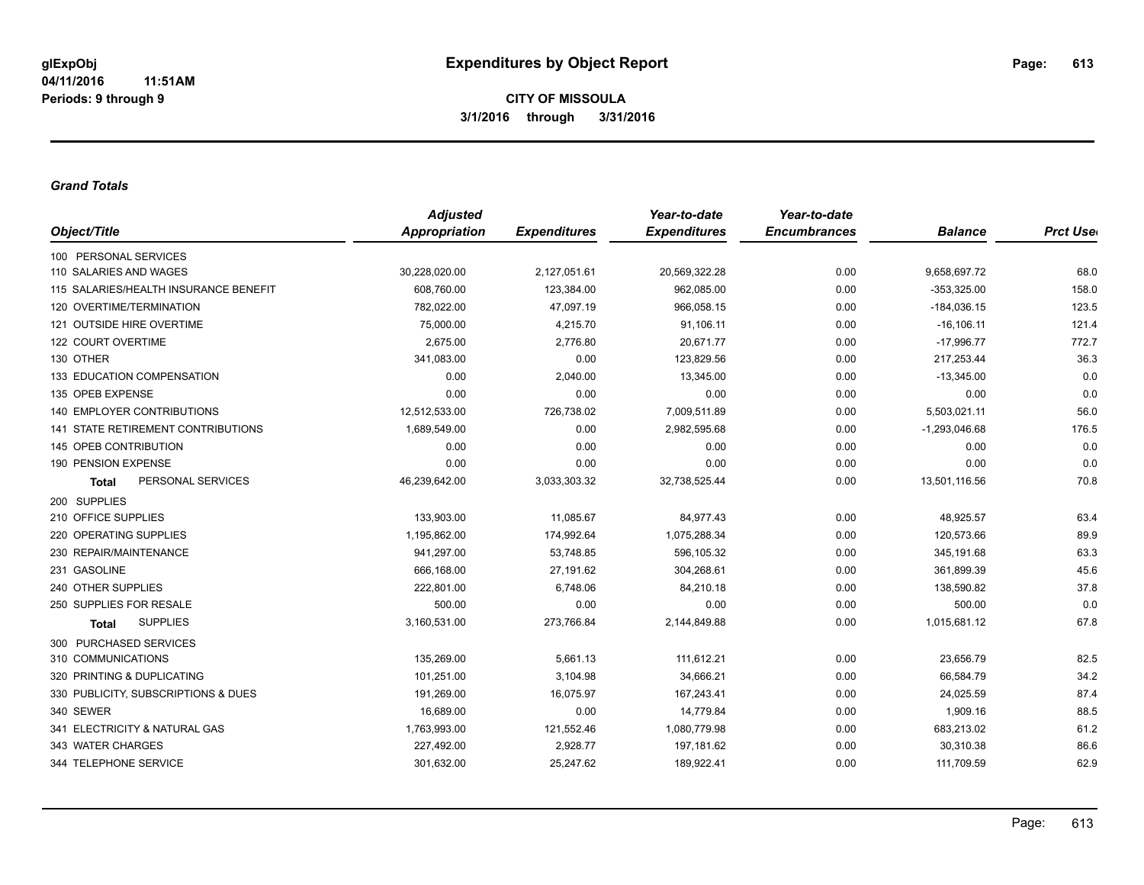**CITY OF MISSOULA 3/1/2016 through 3/31/2016**

## *Grand Totals*

| Object/Title                              | <b>Adjusted</b> |                     | Year-to-date        | Year-to-date        |                 |                  |
|-------------------------------------------|-----------------|---------------------|---------------------|---------------------|-----------------|------------------|
|                                           | Appropriation   | <b>Expenditures</b> | <b>Expenditures</b> | <b>Encumbrances</b> | <b>Balance</b>  | <b>Prct User</b> |
| 100 PERSONAL SERVICES                     |                 |                     |                     |                     |                 |                  |
| 110 SALARIES AND WAGES                    | 30,228,020.00   | 2,127,051.61        | 20,569,322.28       | 0.00                | 9,658,697.72    | 68.0             |
| 115 SALARIES/HEALTH INSURANCE BENEFIT     | 608,760.00      | 123,384.00          | 962,085.00          | 0.00                | $-353,325.00$   | 158.0            |
| 120 OVERTIME/TERMINATION                  | 782,022.00      | 47,097.19           | 966,058.15          | 0.00                | $-184,036.15$   | 123.5            |
| 121 OUTSIDE HIRE OVERTIME                 | 75,000.00       | 4,215.70            | 91,106.11           | 0.00                | $-16, 106.11$   | 121.4            |
| 122 COURT OVERTIME                        | 2,675.00        | 2,776.80            | 20,671.77           | 0.00                | $-17,996.77$    | 772.7            |
| 130 OTHER                                 | 341,083.00      | 0.00                | 123,829.56          | 0.00                | 217,253.44      | 36.3             |
| 133 EDUCATION COMPENSATION                | 0.00            | 2,040.00            | 13,345.00           | 0.00                | $-13,345.00$    | 0.0              |
| 135 OPEB EXPENSE                          | 0.00            | 0.00                | 0.00                | 0.00                | 0.00            | 0.0              |
| <b>140 EMPLOYER CONTRIBUTIONS</b>         | 12,512,533.00   | 726,738.02          | 7,009,511.89        | 0.00                | 5,503,021.11    | 56.0             |
| <b>141 STATE RETIREMENT CONTRIBUTIONS</b> | 1,689,549.00    | 0.00                | 2,982,595.68        | 0.00                | $-1,293,046.68$ | 176.5            |
| <b>145 OPEB CONTRIBUTION</b>              | 0.00            | 0.00                | 0.00                | 0.00                | 0.00            | 0.0              |
| 190 PENSION EXPENSE                       | 0.00            | 0.00                | 0.00                | 0.00                | 0.00            | 0.0              |
| PERSONAL SERVICES<br><b>Total</b>         | 46,239,642.00   | 3,033,303.32        | 32,738,525.44       | 0.00                | 13,501,116.56   | 70.8             |
| 200 SUPPLIES                              |                 |                     |                     |                     |                 |                  |
| 210 OFFICE SUPPLIES                       | 133,903.00      | 11,085.67           | 84,977.43           | 0.00                | 48,925.57       | 63.4             |
| 220 OPERATING SUPPLIES                    | 1,195,862.00    | 174,992.64          | 1,075,288.34        | 0.00                | 120,573.66      | 89.9             |
| 230 REPAIR/MAINTENANCE                    | 941,297.00      | 53,748.85           | 596,105.32          | 0.00                | 345,191.68      | 63.3             |
| 231 GASOLINE                              | 666,168.00      | 27,191.62           | 304,268.61          | 0.00                | 361,899.39      | 45.6             |
| 240 OTHER SUPPLIES                        | 222,801.00      | 6,748.06            | 84,210.18           | 0.00                | 138,590.82      | 37.8             |
| 250 SUPPLIES FOR RESALE                   | 500.00          | 0.00                | 0.00                | 0.00                | 500.00          | 0.0              |
| <b>SUPPLIES</b><br>Total                  | 3,160,531.00    | 273,766.84          | 2,144,849.88        | 0.00                | 1,015,681.12    | 67.8             |
| 300 PURCHASED SERVICES                    |                 |                     |                     |                     |                 |                  |
| 310 COMMUNICATIONS                        | 135,269.00      | 5,661.13            | 111,612.21          | 0.00                | 23,656.79       | 82.5             |
| 320 PRINTING & DUPLICATING                | 101,251.00      | 3,104.98            | 34,666.21           | 0.00                | 66,584.79       | 34.2             |
| 330 PUBLICITY, SUBSCRIPTIONS & DUES       | 191,269.00      | 16,075.97           | 167,243.41          | 0.00                | 24,025.59       | 87.4             |
| 340 SEWER                                 | 16,689.00       | 0.00                | 14,779.84           | 0.00                | 1,909.16        | 88.5             |
| 341 ELECTRICITY & NATURAL GAS             | 1,763,993.00    | 121,552.46          | 1,080,779.98        | 0.00                | 683,213.02      | 61.2             |
| 343 WATER CHARGES                         | 227,492.00      | 2,928.77            | 197,181.62          | 0.00                | 30,310.38       | 86.6             |
| 344 TELEPHONE SERVICE                     | 301,632.00      | 25,247.62           | 189,922.41          | 0.00                | 111,709.59      | 62.9             |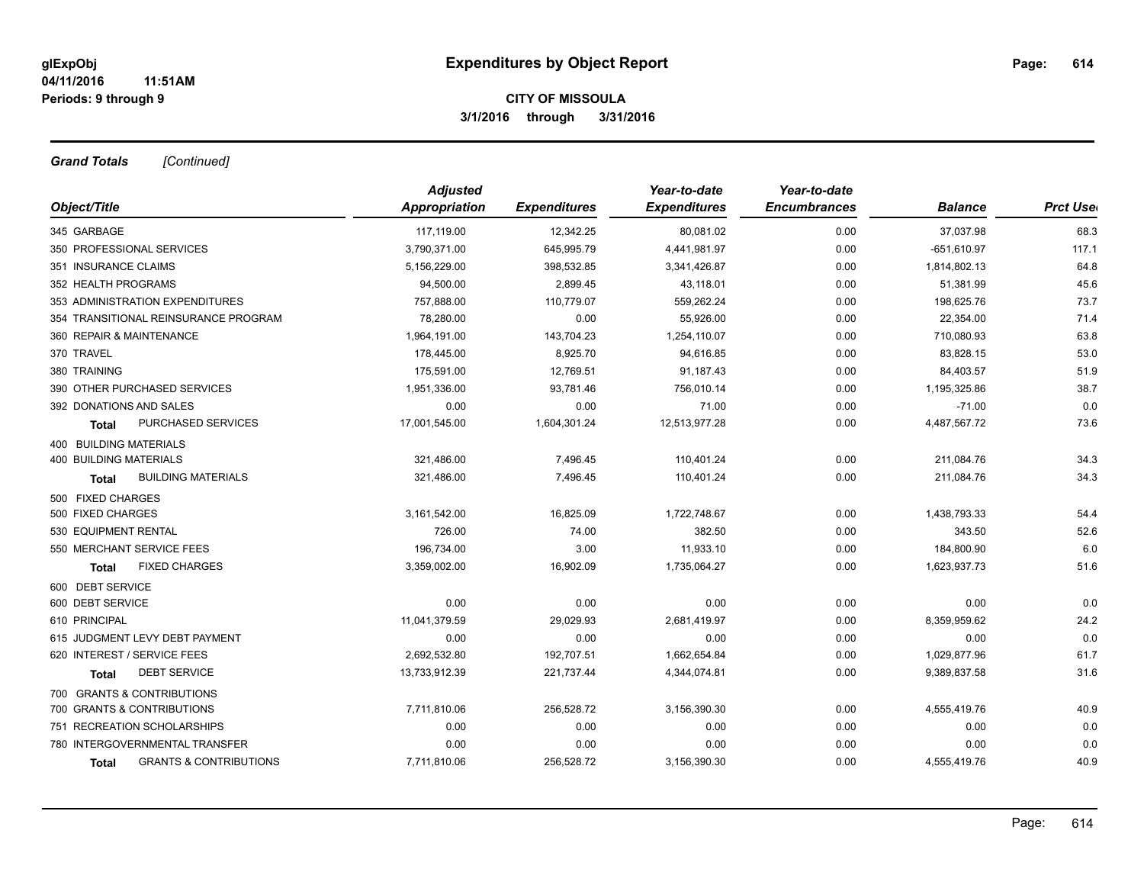## **CITY OF MISSOULA 3/1/2016 through 3/31/2016**

*Grand Totals [Continued]*

|                                            | <b>Adjusted</b> |                     | Year-to-date        | Year-to-date        |                |                  |
|--------------------------------------------|-----------------|---------------------|---------------------|---------------------|----------------|------------------|
| Object/Title                               | Appropriation   | <b>Expenditures</b> | <b>Expenditures</b> | <b>Encumbrances</b> | <b>Balance</b> | <b>Prct Uset</b> |
| 345 GARBAGE                                | 117,119.00      | 12,342.25           | 80,081.02           | 0.00                | 37,037.98      | 68.3             |
| 350 PROFESSIONAL SERVICES                  | 3,790,371.00    | 645,995.79          | 4,441,981.97        | 0.00                | $-651,610.97$  | 117.1            |
| 351 INSURANCE CLAIMS                       | 5,156,229.00    | 398,532.85          | 3,341,426.87        | 0.00                | 1,814,802.13   | 64.8             |
| 352 HEALTH PROGRAMS                        | 94,500.00       | 2,899.45            | 43,118.01           | 0.00                | 51,381.99      | 45.6             |
| 353 ADMINISTRATION EXPENDITURES            | 757,888.00      | 110,779.07          | 559,262.24          | 0.00                | 198,625.76     | 73.7             |
| 354 TRANSITIONAL REINSURANCE PROGRAM       | 78,280.00       | 0.00                | 55,926.00           | 0.00                | 22,354.00      | 71.4             |
| 360 REPAIR & MAINTENANCE                   | 1,964,191.00    | 143,704.23          | 1,254,110.07        | 0.00                | 710,080.93     | 63.8             |
| 370 TRAVEL                                 | 178,445.00      | 8,925.70            | 94,616.85           | 0.00                | 83,828.15      | 53.0             |
| 380 TRAINING                               | 175,591.00      | 12,769.51           | 91,187.43           | 0.00                | 84,403.57      | 51.9             |
| 390 OTHER PURCHASED SERVICES               | 1,951,336.00    | 93,781.46           | 756,010.14          | 0.00                | 1,195,325.86   | 38.7             |
| 392 DONATIONS AND SALES                    | 0.00            | 0.00                | 71.00               | 0.00                | $-71.00$       | 0.0              |
| PURCHASED SERVICES<br><b>Total</b>         | 17,001,545.00   | 1,604,301.24        | 12,513,977.28       | 0.00                | 4,487,567.72   | 73.6             |
| 400 BUILDING MATERIALS                     |                 |                     |                     |                     |                |                  |
| 400 BUILDING MATERIALS                     | 321,486.00      | 7,496.45            | 110,401.24          | 0.00                | 211,084.76     | 34.3             |
| <b>BUILDING MATERIALS</b><br><b>Total</b>  | 321,486.00      | 7,496.45            | 110,401.24          | 0.00                | 211,084.76     | 34.3             |
| 500 FIXED CHARGES                          |                 |                     |                     |                     |                |                  |
| 500 FIXED CHARGES                          | 3,161,542.00    | 16,825.09           | 1,722,748.67        | 0.00                | 1,438,793.33   | 54.4             |
| 530 EQUIPMENT RENTAL                       | 726.00          | 74.00               | 382.50              | 0.00                | 343.50         | 52.6             |
| 550 MERCHANT SERVICE FEES                  | 196,734.00      | 3.00                | 11,933.10           | 0.00                | 184,800.90     | 6.0              |
| <b>FIXED CHARGES</b><br>Total              | 3,359,002.00    | 16,902.09           | 1,735,064.27        | 0.00                | 1,623,937.73   | 51.6             |
| 600 DEBT SERVICE                           |                 |                     |                     |                     |                |                  |
| 600 DEBT SERVICE                           | 0.00            | 0.00                | 0.00                | 0.00                | 0.00           | 0.0              |
| 610 PRINCIPAL                              | 11,041,379.59   | 29,029.93           | 2,681,419.97        | 0.00                | 8,359,959.62   | 24.2             |
| 615 JUDGMENT LEVY DEBT PAYMENT             | 0.00            | 0.00                | 0.00                | 0.00                | 0.00           | 0.0              |
| 620 INTEREST / SERVICE FEES                | 2,692,532.80    | 192,707.51          | 1,662,654.84        | 0.00                | 1,029,877.96   | 61.7             |
| <b>DEBT SERVICE</b><br>Total               | 13,733,912.39   | 221,737.44          | 4,344,074.81        | 0.00                | 9,389,837.58   | 31.6             |
| 700 GRANTS & CONTRIBUTIONS                 |                 |                     |                     |                     |                |                  |
| 700 GRANTS & CONTRIBUTIONS                 | 7,711,810.06    | 256,528.72          | 3,156,390.30        | 0.00                | 4,555,419.76   | 40.9             |
| 751 RECREATION SCHOLARSHIPS                | 0.00            | 0.00                | 0.00                | 0.00                | 0.00           | 0.0              |
| 780 INTERGOVERNMENTAL TRANSFER             | 0.00            | 0.00                | 0.00                | 0.00                | 0.00           | 0.0              |
| <b>GRANTS &amp; CONTRIBUTIONS</b><br>Total | 7,711,810.06    | 256,528.72          | 3,156,390.30        | 0.00                | 4,555,419.76   | 40.9             |